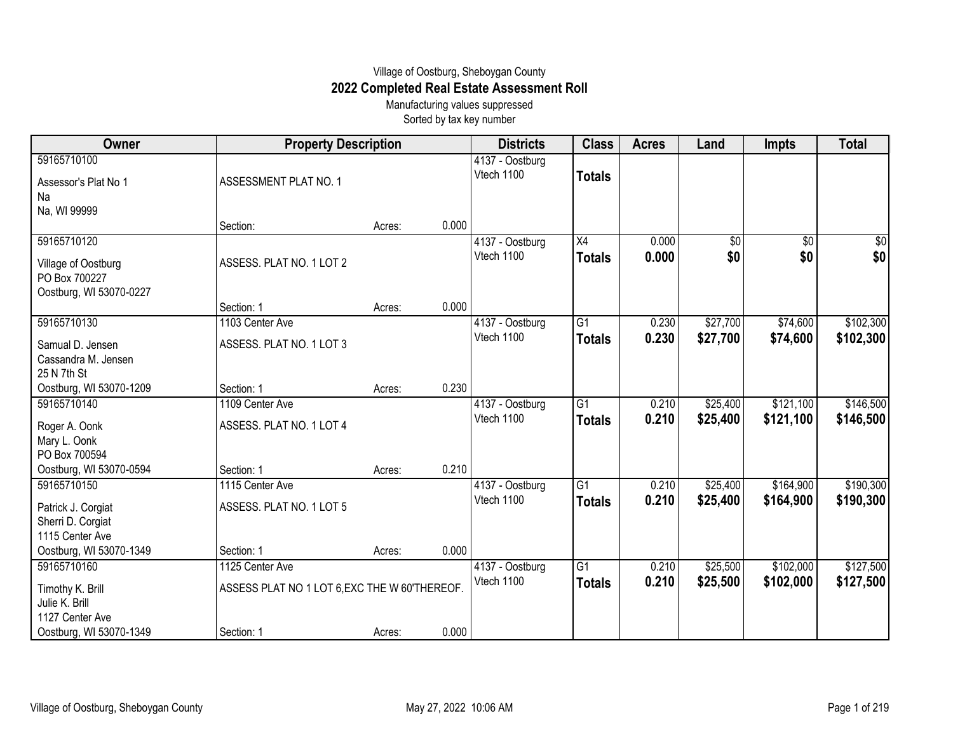## Village of Oostburg, Sheboygan County **2022 Completed Real Estate Assessment Roll**

Manufacturing values suppressed Sorted by tax key number

| Owner                                                                                           | <b>Property Description</b>                                                    |        |       | <b>Districts</b>              | <b>Class</b>                     | <b>Acres</b>   | Land                 | <b>Impts</b>           | <b>Total</b>           |
|-------------------------------------------------------------------------------------------------|--------------------------------------------------------------------------------|--------|-------|-------------------------------|----------------------------------|----------------|----------------------|------------------------|------------------------|
| 59165710100<br>Assessor's Plat No 1<br>Na                                                       | ASSESSMENT PLAT NO. 1                                                          |        |       | 4137 - Oostburg<br>Vtech 1100 | <b>Totals</b>                    |                |                      |                        |                        |
| Na, WI 99999                                                                                    | Section:                                                                       | Acres: | 0.000 |                               |                                  |                |                      |                        |                        |
| 59165710120<br>Village of Oostburg<br>PO Box 700227<br>Oostburg, WI 53070-0227                  | ASSESS. PLAT NO. 1 LOT 2                                                       |        |       | 4137 - Oostburg<br>Vtech 1100 | $\overline{X4}$<br><b>Totals</b> | 0.000<br>0.000 | \$0<br>\$0           | $\overline{50}$<br>\$0 | $\sqrt{60}$<br>\$0     |
|                                                                                                 | Section: 1                                                                     | Acres: | 0.000 |                               |                                  |                |                      |                        |                        |
| 59165710130<br>Samual D. Jensen<br>Cassandra M. Jensen<br>25 N 7th St                           | 1103 Center Ave<br>ASSESS. PLAT NO. 1 LOT 3                                    |        |       | 4137 - Oostburg<br>Vtech 1100 | G1<br><b>Totals</b>              | 0.230<br>0.230 | \$27,700<br>\$27,700 | \$74,600<br>\$74,600   | \$102,300<br>\$102,300 |
| Oostburg, WI 53070-1209                                                                         | Section: 1                                                                     | Acres: | 0.230 |                               |                                  |                |                      |                        |                        |
| 59165710140<br>Roger A. Oonk<br>Mary L. Oonk<br>PO Box 700594                                   | 1109 Center Ave<br>ASSESS. PLAT NO. 1 LOT 4                                    |        |       | 4137 - Oostburg<br>Vtech 1100 | $\overline{G1}$<br><b>Totals</b> | 0.210<br>0.210 | \$25,400<br>\$25,400 | \$121,100<br>\$121,100 | \$146,500<br>\$146,500 |
| Oostburg, WI 53070-0594                                                                         | Section: 1                                                                     | Acres: | 0.210 |                               |                                  |                |                      |                        |                        |
| 59165710150<br>Patrick J. Corgiat<br>Sherri D. Corgiat<br>1115 Center Ave                       | 1115 Center Ave<br>ASSESS. PLAT NO. 1 LOT 5                                    |        |       | 4137 - Oostburg<br>Vtech 1100 | G <sub>1</sub><br><b>Totals</b>  | 0.210<br>0.210 | \$25,400<br>\$25,400 | \$164,900<br>\$164,900 | \$190,300<br>\$190,300 |
| Oostburg, WI 53070-1349                                                                         | Section: 1                                                                     | Acres: | 0.000 |                               |                                  |                |                      |                        |                        |
| 59165710160<br>Timothy K. Brill<br>Julie K. Brill<br>1127 Center Ave<br>Oostburg, WI 53070-1349 | 1125 Center Ave<br>ASSESS PLAT NO 1 LOT 6, EXC THE W 60'THEREOF.<br>Section: 1 | Acres: | 0.000 | 4137 - Oostburg<br>Vtech 1100 | $\overline{G1}$<br><b>Totals</b> | 0.210<br>0.210 | \$25,500<br>\$25,500 | \$102,000<br>\$102,000 | \$127,500<br>\$127,500 |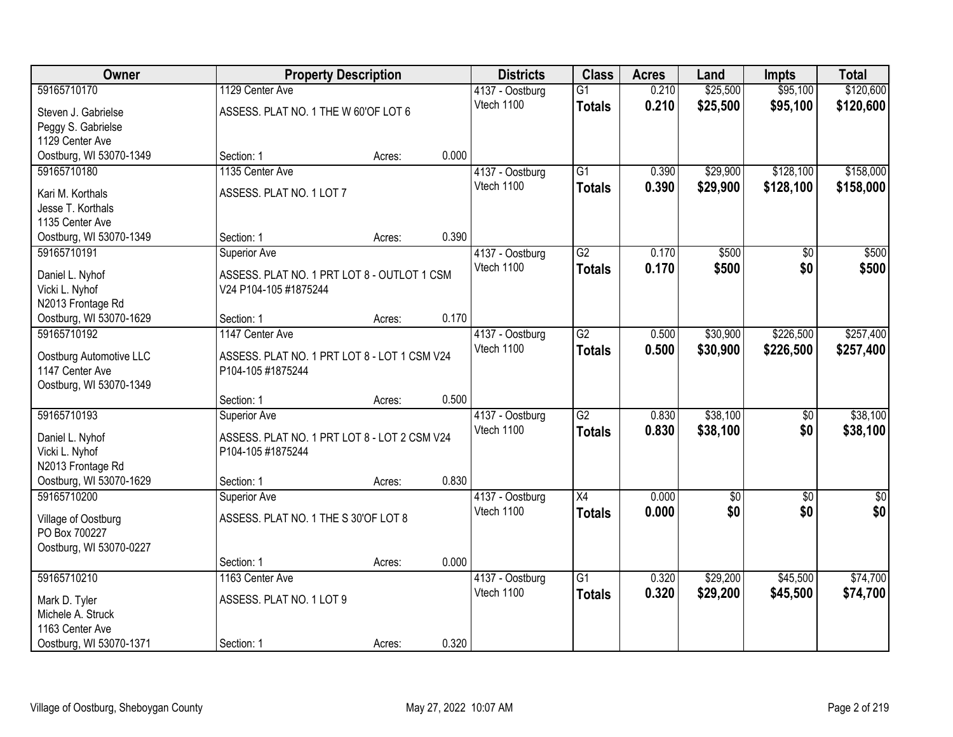| Owner                                        | <b>Property Description</b>                  |        |       | <b>Districts</b>              | <b>Class</b>    | <b>Acres</b> | Land            | <b>Impts</b>          | <b>Total</b> |
|----------------------------------------------|----------------------------------------------|--------|-------|-------------------------------|-----------------|--------------|-----------------|-----------------------|--------------|
| 59165710170                                  | 1129 Center Ave                              |        |       | 4137 - Oostburg               | $\overline{G1}$ | 0.210        | \$25,500        | \$95,100              | \$120,600    |
| Steven J. Gabrielse                          | ASSESS. PLAT NO. 1 THE W 60'OF LOT 6         |        |       | Vtech 1100                    | <b>Totals</b>   | 0.210        | \$25,500        | \$95,100              | \$120,600    |
| Peggy S. Gabrielse                           |                                              |        |       |                               |                 |              |                 |                       |              |
| 1129 Center Ave                              |                                              |        |       |                               |                 |              |                 |                       |              |
| Oostburg, WI 53070-1349                      | Section: 1                                   | Acres: | 0.000 |                               |                 |              |                 |                       |              |
| 59165710180                                  | 1135 Center Ave                              |        |       | 4137 - Oostburg               | $\overline{G1}$ | 0.390        | \$29,900        | \$128,100             | \$158,000    |
| Kari M. Korthals                             | ASSESS. PLAT NO. 1 LOT 7                     |        |       | Vtech 1100                    | <b>Totals</b>   | 0.390        | \$29,900        | \$128,100             | \$158,000    |
| Jesse T. Korthals                            |                                              |        |       |                               |                 |              |                 |                       |              |
| 1135 Center Ave                              |                                              |        |       |                               |                 |              |                 |                       |              |
| Oostburg, WI 53070-1349                      | Section: 1                                   | Acres: | 0.390 |                               |                 |              |                 |                       |              |
| 59165710191                                  | Superior Ave                                 |        |       | 4137 - Oostburg               | G2              | 0.170        | \$500           | \$0                   | \$500        |
| Daniel L. Nyhof                              | ASSESS. PLAT NO. 1 PRT LOT 8 - OUTLOT 1 CSM  |        |       | Vtech 1100                    | <b>Totals</b>   | 0.170        | \$500           | \$0                   | \$500        |
| Vicki L. Nyhof                               | V24 P104-105 #1875244                        |        |       |                               |                 |              |                 |                       |              |
| N2013 Frontage Rd                            |                                              |        |       |                               |                 |              |                 |                       |              |
| Oostburg, WI 53070-1629                      | Section: 1                                   | Acres: | 0.170 |                               |                 |              |                 |                       |              |
| 59165710192                                  | 1147 Center Ave                              |        |       | 4137 - Oostburg<br>Vtech 1100 | $\overline{G2}$ | 0.500        | \$30,900        | \$226,500             | \$257,400    |
| Oostburg Automotive LLC                      | ASSESS. PLAT NO. 1 PRT LOT 8 - LOT 1 CSM V24 |        |       |                               | <b>Totals</b>   | 0.500        | \$30,900        | \$226,500             | \$257,400    |
| 1147 Center Ave                              | P104-105 #1875244                            |        |       |                               |                 |              |                 |                       |              |
| Oostburg, WI 53070-1349                      |                                              |        |       |                               |                 |              |                 |                       |              |
| 59165710193                                  | Section: 1                                   | Acres: | 0.500 |                               | $\overline{G2}$ | 0.830        | \$38,100        |                       | \$38,100     |
|                                              | <b>Superior Ave</b>                          |        |       | 4137 - Oostburg<br>Vtech 1100 | <b>Totals</b>   | 0.830        | \$38,100        | $\frac{1}{20}$<br>\$0 | \$38,100     |
| Daniel L. Nyhof                              | ASSESS. PLAT NO. 1 PRT LOT 8 - LOT 2 CSM V24 |        |       |                               |                 |              |                 |                       |              |
| Vicki L. Nyhof                               | P104-105 #1875244                            |        |       |                               |                 |              |                 |                       |              |
| N2013 Frontage Rd<br>Oostburg, WI 53070-1629 | Section: 1                                   |        | 0.830 |                               |                 |              |                 |                       |              |
| 59165710200                                  | Superior Ave                                 | Acres: |       | 4137 - Oostburg               | X4              | 0.000        | $\overline{50}$ | \$0                   | $\sqrt{30}$  |
|                                              |                                              |        |       | Vtech 1100                    | <b>Totals</b>   | 0.000        | \$0             | \$0                   | \$0          |
| Village of Oostburg                          | ASSESS. PLAT NO. 1 THE S 30'OF LOT 8         |        |       |                               |                 |              |                 |                       |              |
| PO Box 700227                                |                                              |        |       |                               |                 |              |                 |                       |              |
| Oostburg, WI 53070-0227                      | Section: 1                                   | Acres: | 0.000 |                               |                 |              |                 |                       |              |
| 59165710210                                  | 1163 Center Ave                              |        |       | 4137 - Oostburg               | $\overline{G1}$ | 0.320        | \$29,200        | \$45,500              | \$74,700     |
|                                              |                                              |        |       | Vtech 1100                    | <b>Totals</b>   | 0.320        | \$29,200        | \$45,500              | \$74,700     |
| Mark D. Tyler<br>Michele A. Struck           | ASSESS. PLAT NO. 1 LOT 9                     |        |       |                               |                 |              |                 |                       |              |
| 1163 Center Ave                              |                                              |        |       |                               |                 |              |                 |                       |              |
| Oostburg, WI 53070-1371                      | Section: 1                                   | Acres: | 0.320 |                               |                 |              |                 |                       |              |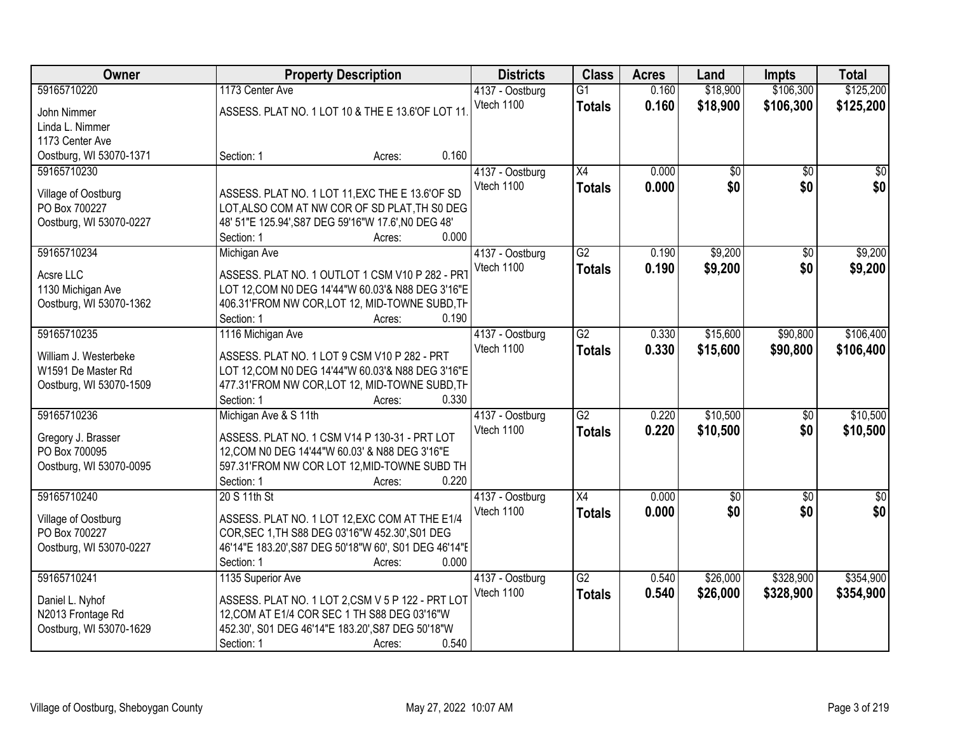| Owner                                         | <b>Property Description</b>                                                                         |       | <b>Districts</b> | <b>Class</b>    | <b>Acres</b> | Land            | <b>Impts</b>    | <b>Total</b> |
|-----------------------------------------------|-----------------------------------------------------------------------------------------------------|-------|------------------|-----------------|--------------|-----------------|-----------------|--------------|
| 59165710220                                   | 1173 Center Ave                                                                                     |       | 4137 - Oostburg  | $\overline{G1}$ | 0.160        | \$18,900        | \$106,300       | \$125,200    |
| John Nimmer                                   | ASSESS. PLAT NO. 1 LOT 10 & THE E 13.6'OF LOT 11                                                    |       | Vtech 1100       | <b>Totals</b>   | 0.160        | \$18,900        | \$106,300       | \$125,200    |
| Linda L. Nimmer                               |                                                                                                     |       |                  |                 |              |                 |                 |              |
| 1173 Center Ave                               |                                                                                                     |       |                  |                 |              |                 |                 |              |
| Oostburg, WI 53070-1371                       | Section: 1<br>Acres:                                                                                | 0.160 |                  |                 |              |                 |                 |              |
| 59165710230                                   |                                                                                                     |       | 4137 - Oostburg  | $\overline{X4}$ | 0.000        | $\overline{50}$ | $\overline{30}$ | \$0          |
| Village of Oostburg                           | ASSESS. PLAT NO. 1 LOT 11, EXC THE E 13.6'OF SD                                                     |       | Vtech 1100       | <b>Totals</b>   | 0.000        | \$0             | \$0             | \$0          |
| PO Box 700227                                 | LOT, ALSO COM AT NW COR OF SD PLAT, TH S0 DEG                                                       |       |                  |                 |              |                 |                 |              |
| Oostburg, WI 53070-0227                       | 48' 51"E 125.94', S87 DEG 59'16"W 17.6', N0 DEG 48'                                                 |       |                  |                 |              |                 |                 |              |
|                                               | Section: 1<br>Acres:                                                                                | 0.000 |                  |                 |              |                 |                 |              |
| 59165710234                                   | Michigan Ave                                                                                        |       | 4137 - Oostburg  | $\overline{G2}$ | 0.190        | \$9,200         | \$0             | \$9,200      |
| Acsre LLC                                     | ASSESS. PLAT NO. 1 OUTLOT 1 CSM V10 P 282 - PRT                                                     |       | Vtech 1100       | <b>Totals</b>   | 0.190        | \$9,200         | \$0             | \$9,200      |
| 1130 Michigan Ave                             | LOT 12, COM N0 DEG 14'44"W 60.03'& N88 DEG 3'16"E                                                   |       |                  |                 |              |                 |                 |              |
| Oostburg, WI 53070-1362                       | 406.31'FROM NW COR, LOT 12, MID-TOWNE SUBD, TH                                                      |       |                  |                 |              |                 |                 |              |
|                                               | Section: 1<br>Acres:                                                                                | 0.190 |                  |                 |              |                 |                 |              |
| 59165710235                                   | 1116 Michigan Ave                                                                                   |       | 4137 - Oostburg  | $\overline{G2}$ | 0.330        | \$15,600        | \$90,800        | \$106,400    |
|                                               |                                                                                                     |       | Vtech 1100       | <b>Totals</b>   | 0.330        | \$15,600        | \$90,800        | \$106,400    |
| William J. Westerbeke                         | ASSESS. PLAT NO. 1 LOT 9 CSM V10 P 282 - PRT                                                        |       |                  |                 |              |                 |                 |              |
| W1591 De Master Rd<br>Oostburg, WI 53070-1509 | LOT 12, COM N0 DEG 14'44"W 60.03'& N88 DEG 3'16"E<br>477.31'FROM NW COR, LOT 12, MID-TOWNE SUBD, TH |       |                  |                 |              |                 |                 |              |
|                                               | Section: 1<br>Acres:                                                                                | 0.330 |                  |                 |              |                 |                 |              |
| 59165710236                                   | Michigan Ave & S 11th                                                                               |       | 4137 - Oostburg  | $\overline{G2}$ | 0.220        | \$10,500        | \$0             | \$10,500     |
|                                               |                                                                                                     |       | Vtech 1100       | <b>Totals</b>   | 0.220        | \$10,500        | \$0             | \$10,500     |
| Gregory J. Brasser                            | ASSESS. PLAT NO. 1 CSM V14 P 130-31 - PRT LOT                                                       |       |                  |                 |              |                 |                 |              |
| PO Box 700095<br>Oostburg, WI 53070-0095      | 12, COM N0 DEG 14'44"W 60.03' & N88 DEG 3'16"E<br>597.31'FROM NW COR LOT 12, MID-TOWNE SUBD TH      |       |                  |                 |              |                 |                 |              |
|                                               | Section: 1<br>Acres:                                                                                | 0.220 |                  |                 |              |                 |                 |              |
| 59165710240                                   | 20 S 11th St                                                                                        |       | 4137 - Oostburg  | $\overline{X4}$ | 0.000        | $\overline{60}$ | $\overline{50}$ | $\sqrt{50}$  |
|                                               |                                                                                                     |       | Vtech 1100       | <b>Totals</b>   | 0.000        | \$0             | \$0             | \$0          |
| Village of Oostburg                           | ASSESS. PLAT NO. 1 LOT 12, EXC COM AT THE E1/4                                                      |       |                  |                 |              |                 |                 |              |
| PO Box 700227                                 | COR, SEC 1, TH S88 DEG 03'16"W 452.30', S01 DEG                                                     |       |                  |                 |              |                 |                 |              |
| Oostburg, WI 53070-0227                       | 46'14"E 183.20', S87 DEG 50'18"W 60', S01 DEG 46'14"E<br>Section: 1<br>Acres:                       | 0.000 |                  |                 |              |                 |                 |              |
| 59165710241                                   | 1135 Superior Ave                                                                                   |       | 4137 - Oostburg  | $\overline{G2}$ | 0.540        | \$26,000        | \$328,900       | \$354,900    |
|                                               |                                                                                                     |       | Vtech 1100       | <b>Totals</b>   | 0.540        | \$26,000        | \$328,900       | \$354,900    |
| Daniel L. Nyhof                               | ASSESS. PLAT NO. 1 LOT 2,CSM V 5 P 122 - PRT LOT                                                    |       |                  |                 |              |                 |                 |              |
| N2013 Frontage Rd                             | 12, COM AT E1/4 COR SEC 1 TH S88 DEG 03'16"W                                                        |       |                  |                 |              |                 |                 |              |
| Oostburg, WI 53070-1629                       | 452.30', S01 DEG 46'14"E 183.20', S87 DEG 50'18"W                                                   |       |                  |                 |              |                 |                 |              |
|                                               | Section: 1<br>Acres:                                                                                | 0.540 |                  |                 |              |                 |                 |              |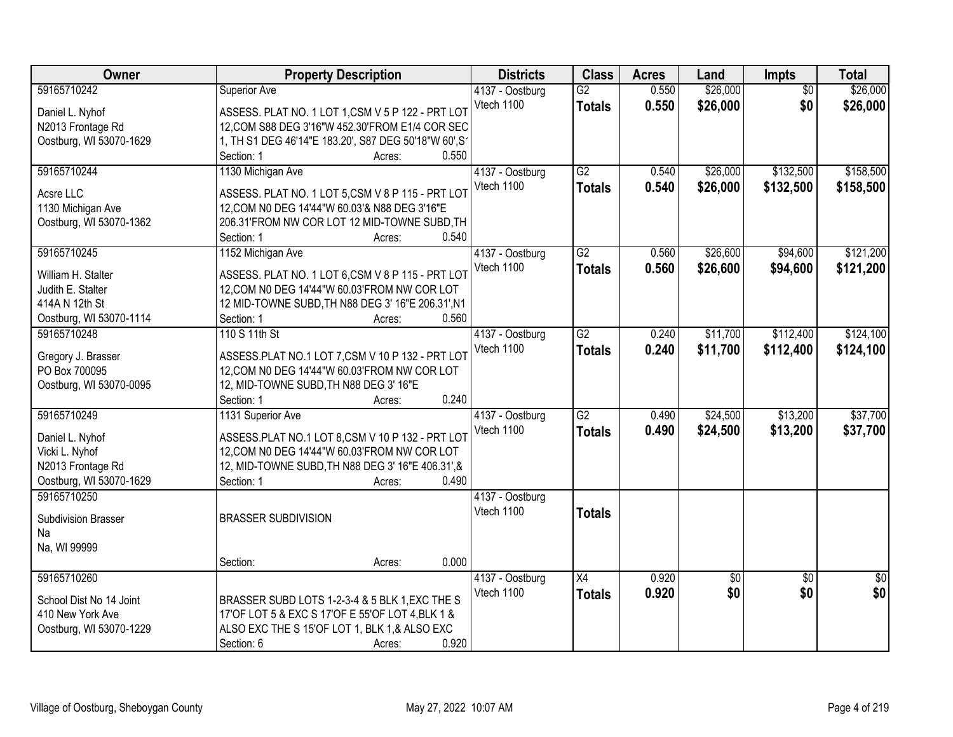| Owner                               | <b>Property Description</b>                           | <b>Districts</b> | <b>Class</b>    | <b>Acres</b> | Land     | Impts           | <b>Total</b> |
|-------------------------------------|-------------------------------------------------------|------------------|-----------------|--------------|----------|-----------------|--------------|
| 59165710242                         | Superior Ave                                          | 4137 - Oostburg  | $\overline{G2}$ | 0.550        | \$26,000 | $\overline{50}$ | \$26,000     |
| Daniel L. Nyhof                     | ASSESS. PLAT NO. 1 LOT 1,CSM V 5 P 122 - PRT LOT      | Vtech 1100       | <b>Totals</b>   | 0.550        | \$26,000 | \$0             | \$26,000     |
| N2013 Frontage Rd                   | 12, COM S88 DEG 3'16"W 452.30'FROM E1/4 COR SEC       |                  |                 |              |          |                 |              |
| Oostburg, WI 53070-1629             | 1, TH S1 DEG 46'14"E 183.20', S87 DEG 50'18"W 60', S1 |                  |                 |              |          |                 |              |
|                                     | 0.550<br>Section: 1<br>Acres:                         |                  |                 |              |          |                 |              |
| 59165710244                         | 1130 Michigan Ave                                     | 4137 - Oostburg  | $\overline{G2}$ | 0.540        | \$26,000 | \$132,500       | \$158,500    |
|                                     |                                                       | Vtech 1100       | <b>Totals</b>   | 0.540        | \$26,000 | \$132,500       | \$158,500    |
| Acsre LLC                           | ASSESS. PLAT NO. 1 LOT 5,CSM V 8 P 115 - PRT LOT      |                  |                 |              |          |                 |              |
| 1130 Michigan Ave                   | 12, COM N0 DEG 14'44"W 60.03'& N88 DEG 3'16"E         |                  |                 |              |          |                 |              |
| Oostburg, WI 53070-1362             | 206.31'FROM NW COR LOT 12 MID-TOWNE SUBD, TH          |                  |                 |              |          |                 |              |
|                                     | 0.540<br>Section: 1<br>Acres:                         |                  |                 |              |          |                 |              |
| 59165710245                         | 1152 Michigan Ave                                     | 4137 - Oostburg  | $\overline{G2}$ | 0.560        | \$26,600 | \$94,600        | \$121,200    |
| William H. Stalter                  | ASSESS. PLAT NO. 1 LOT 6,CSM V 8 P 115 - PRT LOT      | Vtech 1100       | <b>Totals</b>   | 0.560        | \$26,600 | \$94,600        | \$121,200    |
|                                     | 12, COM N0 DEG 14'44"W 60.03'FROM NW COR LOT          |                  |                 |              |          |                 |              |
| Judith E. Stalter<br>414A N 12th St | 12 MID-TOWNE SUBD, TH N88 DEG 3' 16"E 206.31', N1     |                  |                 |              |          |                 |              |
|                                     | 0.560                                                 |                  |                 |              |          |                 |              |
| Oostburg, WI 53070-1114             | Section: 1<br>Acres:                                  |                  | $\overline{G2}$ |              |          | \$112,400       |              |
| 59165710248                         | 110 S 11th St                                         | 4137 - Oostburg  |                 | 0.240        | \$11,700 |                 | \$124,100    |
| Gregory J. Brasser                  | ASSESS.PLAT NO.1 LOT 7,CSM V 10 P 132 - PRT LOT       | Vtech 1100       | <b>Totals</b>   | 0.240        | \$11,700 | \$112,400       | \$124,100    |
| PO Box 700095                       | 12, COM N0 DEG 14'44"W 60.03'FROM NW COR LOT          |                  |                 |              |          |                 |              |
| Oostburg, WI 53070-0095             | 12, MID-TOWNE SUBD, TH N88 DEG 3' 16"E                |                  |                 |              |          |                 |              |
|                                     | 0.240<br>Section: 1<br>Acres:                         |                  |                 |              |          |                 |              |
| 59165710249                         | 1131 Superior Ave                                     | 4137 - Oostburg  | $\overline{G2}$ | 0.490        | \$24,500 | \$13,200        | \$37,700     |
|                                     |                                                       | Vtech 1100       | <b>Totals</b>   | 0.490        | \$24,500 | \$13,200        | \$37,700     |
| Daniel L. Nyhof                     | ASSESS.PLAT NO.1 LOT 8,CSM V 10 P 132 - PRT LOT       |                  |                 |              |          |                 |              |
| Vicki L. Nyhof                      | 12, COM N0 DEG 14'44"W 60.03'FROM NW COR LOT          |                  |                 |              |          |                 |              |
| N2013 Frontage Rd                   | 12, MID-TOWNE SUBD, TH N88 DEG 3' 16"E 406.31", &     |                  |                 |              |          |                 |              |
| Oostburg, WI 53070-1629             | 0.490<br>Section: 1<br>Acres:                         |                  |                 |              |          |                 |              |
| 59165710250                         |                                                       | 4137 - Oostburg  |                 |              |          |                 |              |
| Subdivision Brasser                 | <b>BRASSER SUBDIVISION</b>                            | Vtech 1100       | <b>Totals</b>   |              |          |                 |              |
| Na                                  |                                                       |                  |                 |              |          |                 |              |
| Na, WI 99999                        |                                                       |                  |                 |              |          |                 |              |
|                                     | 0.000<br>Section:<br>Acres:                           |                  |                 |              |          |                 |              |
| 59165710260                         |                                                       | 4137 - Oostburg  | $\overline{X4}$ | 0.920        | \$0      | $\overline{30}$ | $\sqrt{50}$  |
|                                     |                                                       | Vtech 1100       | <b>Totals</b>   | 0.920        | \$0      | \$0             | \$0          |
| School Dist No 14 Joint             | BRASSER SUBD LOTS 1-2-3-4 & 5 BLK 1, EXC THE S        |                  |                 |              |          |                 |              |
| 410 New York Ave                    | 17'OF LOT 5 & EXC S 17'OF E 55'OF LOT 4, BLK 1 &      |                  |                 |              |          |                 |              |
| Oostburg, WI 53070-1229             | ALSO EXC THE S 15'OF LOT 1, BLK 1,& ALSO EXC          |                  |                 |              |          |                 |              |
|                                     | 0.920<br>Section: 6<br>Acres:                         |                  |                 |              |          |                 |              |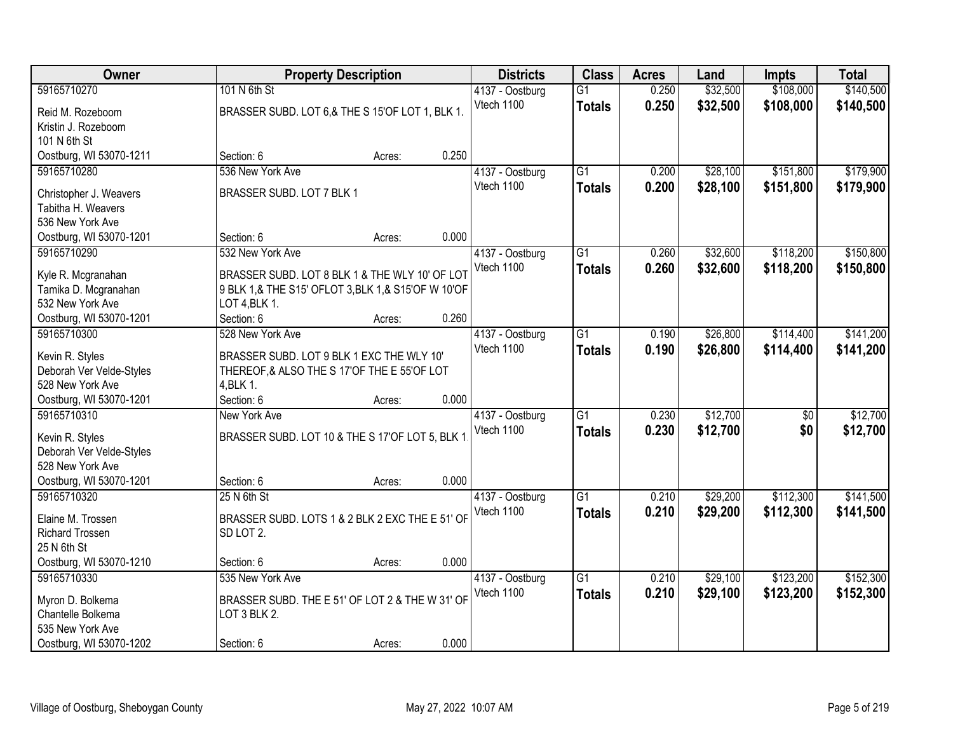| Owner                                        |                                                    | <b>Property Description</b> |       | <b>Districts</b>              | <b>Class</b>    | <b>Acres</b> | Land     | <b>Impts</b> | <b>Total</b> |
|----------------------------------------------|----------------------------------------------------|-----------------------------|-------|-------------------------------|-----------------|--------------|----------|--------------|--------------|
| 59165710270                                  | 101 N 6th St                                       |                             |       | 4137 - Oostburg               | $\overline{G1}$ | 0.250        | \$32,500 | \$108,000    | \$140,500    |
| Reid M. Rozeboom                             | BRASSER SUBD. LOT 6,& THE S 15'OF LOT 1, BLK 1.    |                             |       | Vtech 1100                    | <b>Totals</b>   | 0.250        | \$32,500 | \$108,000    | \$140,500    |
| Kristin J. Rozeboom                          |                                                    |                             |       |                               |                 |              |          |              |              |
| 101 N 6th St                                 |                                                    |                             |       |                               |                 |              |          |              |              |
| Oostburg, WI 53070-1211                      | Section: 6                                         | Acres:                      | 0.250 |                               |                 |              |          |              |              |
| 59165710280                                  | 536 New York Ave                                   |                             |       | 4137 - Oostburg               | $\overline{G1}$ | 0.200        | \$28,100 | \$151,800    | \$179,900    |
|                                              | BRASSER SUBD. LOT 7 BLK 1                          |                             |       | Vtech 1100                    | <b>Totals</b>   | 0.200        | \$28,100 | \$151,800    | \$179,900    |
| Christopher J. Weavers<br>Tabitha H. Weavers |                                                    |                             |       |                               |                 |              |          |              |              |
| 536 New York Ave                             |                                                    |                             |       |                               |                 |              |          |              |              |
| Oostburg, WI 53070-1201                      | Section: 6                                         | Acres:                      | 0.000 |                               |                 |              |          |              |              |
| 59165710290                                  | 532 New York Ave                                   |                             |       | 4137 - Oostburg               | $\overline{G1}$ | 0.260        | \$32,600 | \$118,200    | \$150,800    |
|                                              |                                                    |                             |       | Vtech 1100                    | <b>Totals</b>   | 0.260        | \$32,600 | \$118,200    | \$150,800    |
| Kyle R. Mcgranahan                           | BRASSER SUBD. LOT 8 BLK 1 & THE WLY 10' OF LOT     |                             |       |                               |                 |              |          |              |              |
| Tamika D. Mcgranahan                         | 9 BLK 1,& THE S15' OFLOT 3, BLK 1,& S15'OF W 10'OF |                             |       |                               |                 |              |          |              |              |
| 532 New York Ave                             | LOT 4, BLK 1.                                      |                             | 0.260 |                               |                 |              |          |              |              |
| Oostburg, WI 53070-1201<br>59165710300       | Section: 6<br>528 New York Ave                     | Acres:                      |       |                               | $\overline{G1}$ | 0.190        | \$26,800 | \$114,400    | \$141,200    |
|                                              |                                                    |                             |       | 4137 - Oostburg<br>Vtech 1100 |                 |              |          |              |              |
| Kevin R. Styles                              | BRASSER SUBD. LOT 9 BLK 1 EXC THE WLY 10'          |                             |       |                               | <b>Totals</b>   | 0.190        | \$26,800 | \$114,400    | \$141,200    |
| Deborah Ver Velde-Styles                     | THEREOF, & ALSO THE S 17'OF THE E 55'OF LOT        |                             |       |                               |                 |              |          |              |              |
| 528 New York Ave                             | 4, BLK 1.                                          |                             |       |                               |                 |              |          |              |              |
| Oostburg, WI 53070-1201                      | Section: 6                                         | Acres:                      | 0.000 |                               |                 |              |          |              |              |
| 59165710310                                  | New York Ave                                       |                             |       | 4137 - Oostburg               | $\overline{G1}$ | 0.230        | \$12,700 | \$0          | \$12,700     |
| Kevin R. Styles                              | BRASSER SUBD. LOT 10 & THE S 17'OF LOT 5, BLK 1    |                             |       | Vtech 1100                    | <b>Totals</b>   | 0.230        | \$12,700 | \$0          | \$12,700     |
| Deborah Ver Velde-Styles                     |                                                    |                             |       |                               |                 |              |          |              |              |
| 528 New York Ave                             |                                                    |                             |       |                               |                 |              |          |              |              |
| Oostburg, WI 53070-1201                      | Section: 6                                         | Acres:                      | 0.000 |                               |                 |              |          |              |              |
| 59165710320                                  | 25 N 6th St                                        |                             |       | 4137 - Oostburg               | $\overline{G1}$ | 0.210        | \$29,200 | \$112,300    | \$141,500    |
| Elaine M. Trossen                            | BRASSER SUBD. LOTS 1 & 2 BLK 2 EXC THE E 51' OF    |                             |       | Vtech 1100                    | <b>Totals</b>   | 0.210        | \$29,200 | \$112,300    | \$141,500    |
| <b>Richard Trossen</b>                       | SD LOT 2.                                          |                             |       |                               |                 |              |          |              |              |
| 25 N 6th St                                  |                                                    |                             |       |                               |                 |              |          |              |              |
| Oostburg, WI 53070-1210                      | Section: 6                                         | Acres:                      | 0.000 |                               |                 |              |          |              |              |
| 59165710330                                  | 535 New York Ave                                   |                             |       | 4137 - Oostburg               | $\overline{G1}$ | 0.210        | \$29,100 | \$123,200    | \$152,300    |
|                                              |                                                    |                             |       | Vtech 1100                    | <b>Totals</b>   | 0.210        | \$29,100 | \$123,200    | \$152,300    |
| Myron D. Bolkema                             | BRASSER SUBD. THE E 51' OF LOT 2 & THE W 31' OF    |                             |       |                               |                 |              |          |              |              |
| Chantelle Bolkema                            | LOT 3 BLK 2.                                       |                             |       |                               |                 |              |          |              |              |
| 535 New York Ave                             |                                                    |                             |       |                               |                 |              |          |              |              |
| Oostburg, WI 53070-1202                      | Section: 6                                         | Acres:                      | 0.000 |                               |                 |              |          |              |              |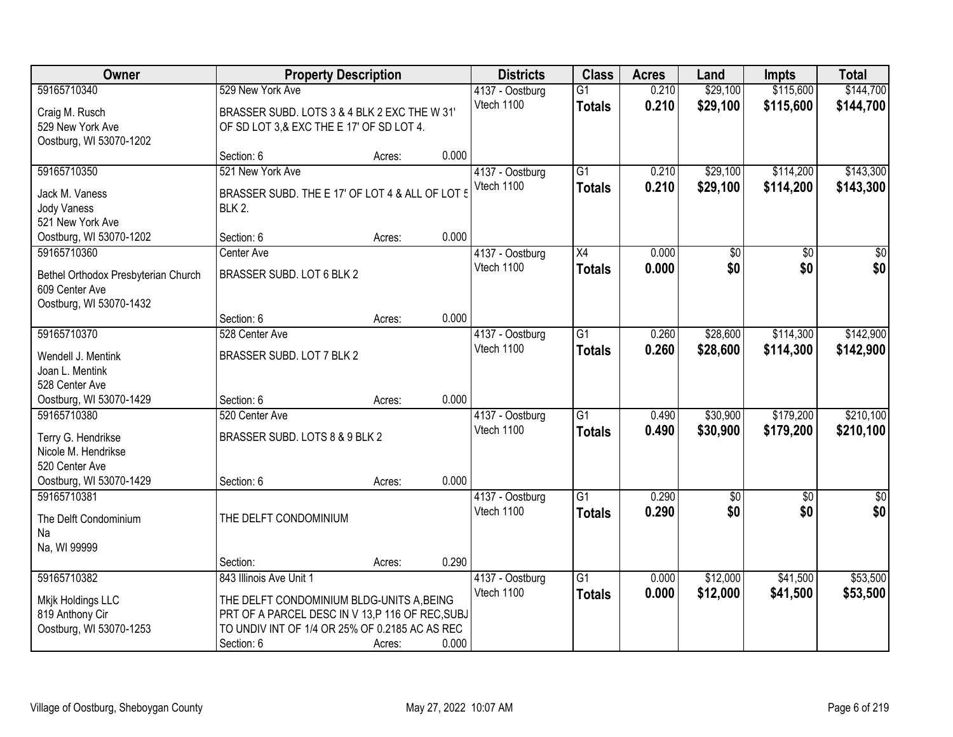| Owner                               | <b>Property Description</b>                     |        |       | <b>Districts</b> | <b>Class</b>    | <b>Acres</b> | Land            | <b>Impts</b>    | <b>Total</b>     |
|-------------------------------------|-------------------------------------------------|--------|-------|------------------|-----------------|--------------|-----------------|-----------------|------------------|
| 59165710340                         | 529 New York Ave                                |        |       | 4137 - Oostburg  | $\overline{G1}$ | 0.210        | \$29,100        | \$115,600       | \$144,700        |
| Craig M. Rusch                      | BRASSER SUBD. LOTS 3 & 4 BLK 2 EXC THE W 31'    |        |       | Vtech 1100       | <b>Totals</b>   | 0.210        | \$29,100        | \$115,600       | \$144,700        |
| 529 New York Ave                    | OF SD LOT 3,& EXC THE E 17' OF SD LOT 4.        |        |       |                  |                 |              |                 |                 |                  |
| Oostburg, WI 53070-1202             |                                                 |        |       |                  |                 |              |                 |                 |                  |
|                                     | Section: 6                                      | Acres: | 0.000 |                  |                 |              |                 |                 |                  |
| 59165710350                         | 521 New York Ave                                |        |       | 4137 - Oostburg  | $\overline{G1}$ | 0.210        | \$29,100        | \$114,200       | \$143,300        |
| Jack M. Vaness                      | BRASSER SUBD. THE E 17' OF LOT 4 & ALL OF LOT 5 |        |       | Vtech 1100       | <b>Totals</b>   | 0.210        | \$29,100        | \$114,200       | \$143,300        |
| <b>Jody Vaness</b>                  | <b>BLK 2.</b>                                   |        |       |                  |                 |              |                 |                 |                  |
| 521 New York Ave                    |                                                 |        |       |                  |                 |              |                 |                 |                  |
| Oostburg, WI 53070-1202             | Section: 6                                      | Acres: | 0.000 |                  |                 |              |                 |                 |                  |
| 59165710360                         | Center Ave                                      |        |       | 4137 - Oostburg  | X4              | 0.000        | $\overline{50}$ | $\sqrt[6]{}$    | $\overline{30}$  |
| Bethel Orthodox Presbyterian Church | BRASSER SUBD. LOT 6 BLK 2                       |        |       | Vtech 1100       | <b>Totals</b>   | 0.000        | \$0             | \$0             | \$0              |
| 609 Center Ave                      |                                                 |        |       |                  |                 |              |                 |                 |                  |
| Oostburg, WI 53070-1432             |                                                 |        |       |                  |                 |              |                 |                 |                  |
|                                     | Section: 6                                      | Acres: | 0.000 |                  |                 |              |                 |                 |                  |
| 59165710370                         | 528 Center Ave                                  |        |       | 4137 - Oostburg  | $\overline{G1}$ | 0.260        | \$28,600        | \$114,300       | \$142,900        |
| Wendell J. Mentink                  | BRASSER SUBD. LOT 7 BLK 2                       |        |       | Vtech 1100       | <b>Totals</b>   | 0.260        | \$28,600        | \$114,300       | \$142,900        |
| Joan L. Mentink                     |                                                 |        |       |                  |                 |              |                 |                 |                  |
| 528 Center Ave                      |                                                 |        |       |                  |                 |              |                 |                 |                  |
| Oostburg, WI 53070-1429             | Section: 6                                      | Acres: | 0.000 |                  |                 |              |                 |                 |                  |
| 59165710380                         | 520 Center Ave                                  |        |       | 4137 - Oostburg  | $\overline{G1}$ | 0.490        | \$30,900        | \$179,200       | \$210,100        |
| Terry G. Hendrikse                  | BRASSER SUBD. LOTS 8 & 9 BLK 2                  |        |       | Vtech 1100       | <b>Totals</b>   | 0.490        | \$30,900        | \$179,200       | \$210,100        |
| Nicole M. Hendrikse                 |                                                 |        |       |                  |                 |              |                 |                 |                  |
| 520 Center Ave                      |                                                 |        |       |                  |                 |              |                 |                 |                  |
| Oostburg, WI 53070-1429             | Section: 6                                      | Acres: | 0.000 |                  |                 |              |                 |                 |                  |
| 59165710381                         |                                                 |        |       | 4137 - Oostburg  | $\overline{G1}$ | 0.290        | $\overline{50}$ | $\overline{50}$ | $\overline{\$0}$ |
| The Delft Condominium               | THE DELFT CONDOMINIUM                           |        |       | Vtech 1100       | <b>Totals</b>   | 0.290        | \$0             | \$0             | \$0              |
| Na                                  |                                                 |        |       |                  |                 |              |                 |                 |                  |
| Na, WI 99999                        |                                                 |        |       |                  |                 |              |                 |                 |                  |
|                                     | Section:                                        | Acres: | 0.290 |                  |                 |              |                 |                 |                  |
| 59165710382                         | 843 Illinois Ave Unit 1                         |        |       | 4137 - Oostburg  | G1              | 0.000        | \$12,000        | \$41,500        | \$53,500         |
| Mkjk Holdings LLC                   | THE DELFT CONDOMINIUM BLDG-UNITS A, BEING       |        |       | Vtech 1100       | <b>Totals</b>   | 0.000        | \$12,000        | \$41,500        | \$53,500         |
| 819 Anthony Cir                     | PRT OF A PARCEL DESC IN V 13,P 116 OF REC, SUBJ |        |       |                  |                 |              |                 |                 |                  |
| Oostburg, WI 53070-1253             | TO UNDIV INT OF 1/4 OR 25% OF 0.2185 AC AS REC  |        |       |                  |                 |              |                 |                 |                  |
|                                     | Section: 6                                      | Acres: | 0.000 |                  |                 |              |                 |                 |                  |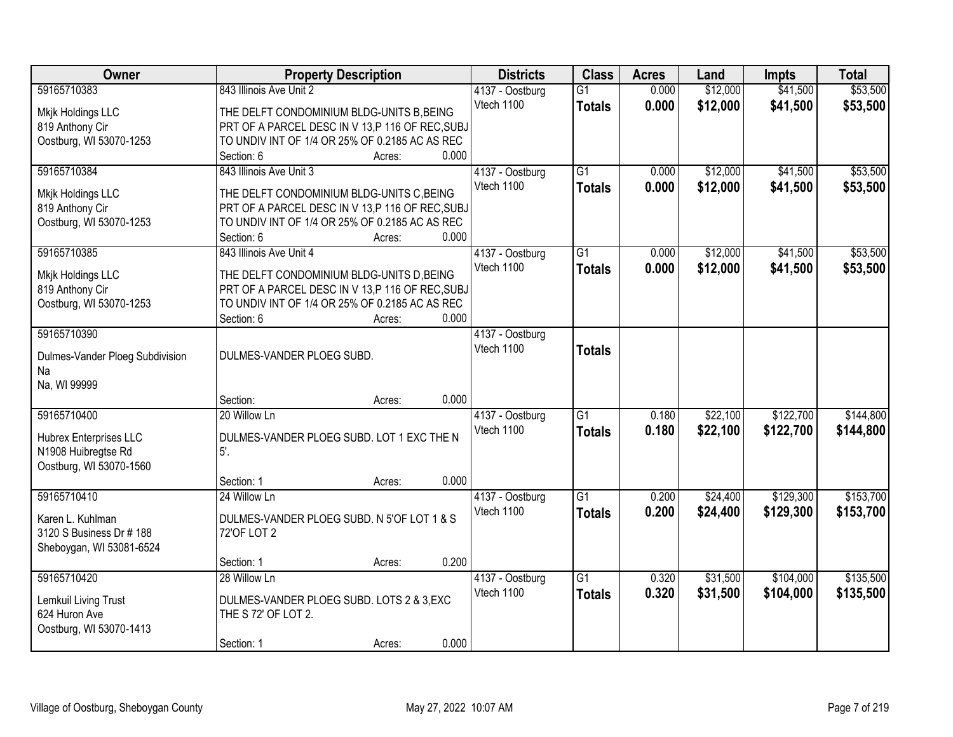| Owner                           | <b>Property Description</b>                      |                 | <b>Districts</b> | <b>Class</b>    | <b>Acres</b> | Land     | <b>Impts</b> | <b>Total</b> |
|---------------------------------|--------------------------------------------------|-----------------|------------------|-----------------|--------------|----------|--------------|--------------|
| 59165710383                     | 843 Illinois Ave Unit 2                          |                 | 4137 - Oostburg  | $\overline{G1}$ | 0.000        | \$12,000 | \$41,500     | \$53,500     |
| Mkjk Holdings LLC               | THE DELFT CONDOMINIUM BLDG-UNITS B, BEING        |                 | Vtech 1100       | <b>Totals</b>   | 0.000        | \$12,000 | \$41,500     | \$53,500     |
| 819 Anthony Cir                 | PRT OF A PARCEL DESC IN V 13, P 116 OF REC, SUBJ |                 |                  |                 |              |          |              |              |
| Oostburg, WI 53070-1253         | TO UNDIV INT OF 1/4 OR 25% OF 0.2185 AC AS REC   |                 |                  |                 |              |          |              |              |
|                                 | Section: 6                                       | 0.000<br>Acres: |                  |                 |              |          |              |              |
| 59165710384                     | 843 Illinois Ave Unit 3                          |                 | 4137 - Oostburg  | $\overline{G1}$ | 0.000        | \$12,000 | \$41,500     | \$53,500     |
|                                 |                                                  |                 | Vtech 1100       | <b>Totals</b>   | 0.000        | \$12,000 | \$41,500     | \$53,500     |
| Mkjk Holdings LLC               | THE DELFT CONDOMINIUM BLDG-UNITS C, BEING        |                 |                  |                 |              |          |              |              |
| 819 Anthony Cir                 | PRT OF A PARCEL DESC IN V 13,P 116 OF REC, SUBJ  |                 |                  |                 |              |          |              |              |
| Oostburg, WI 53070-1253         | TO UNDIV INT OF 1/4 OR 25% OF 0.2185 AC AS REC   |                 |                  |                 |              |          |              |              |
|                                 | Section: 6                                       | 0.000<br>Acres: |                  |                 |              |          |              |              |
| 59165710385                     | 843 Illinois Ave Unit 4                          |                 | 4137 - Oostburg  | $\overline{G1}$ | 0.000        | \$12,000 | \$41,500     | \$53,500     |
| Mkjk Holdings LLC               | THE DELFT CONDOMINIUM BLDG-UNITS D, BEING        |                 | Vtech 1100       | <b>Totals</b>   | 0.000        | \$12,000 | \$41,500     | \$53,500     |
| 819 Anthony Cir                 | PRT OF A PARCEL DESC IN V 13, P 116 OF REC, SUBJ |                 |                  |                 |              |          |              |              |
| Oostburg, WI 53070-1253         | TO UNDIV INT OF 1/4 OR 25% OF 0.2185 AC AS REC   |                 |                  |                 |              |          |              |              |
|                                 | Section: 6                                       | 0.000<br>Acres: |                  |                 |              |          |              |              |
| 59165710390                     |                                                  |                 | 4137 - Oostburg  |                 |              |          |              |              |
| Dulmes-Vander Ploeg Subdivision | DULMES-VANDER PLOEG SUBD.                        |                 | Vtech 1100       | <b>Totals</b>   |              |          |              |              |
| Na                              |                                                  |                 |                  |                 |              |          |              |              |
| Na, WI 99999                    |                                                  |                 |                  |                 |              |          |              |              |
|                                 | Section:                                         | 0.000<br>Acres: |                  |                 |              |          |              |              |
| 59165710400                     | 20 Willow Ln                                     |                 | 4137 - Oostburg  | $\overline{G1}$ | 0.180        | \$22,100 | \$122,700    | \$144,800    |
|                                 |                                                  |                 | Vtech 1100       | Totals          | 0.180        | \$22,100 | \$122,700    | \$144,800    |
| Hubrex Enterprises LLC          | DULMES-VANDER PLOEG SUBD. LOT 1 EXC THE N        |                 |                  |                 |              |          |              |              |
| N1908 Huibregtse Rd             | 5'.                                              |                 |                  |                 |              |          |              |              |
| Oostburg, WI 53070-1560         |                                                  |                 |                  |                 |              |          |              |              |
|                                 | Section: 1                                       | 0.000<br>Acres: |                  |                 |              |          |              |              |
| 59165710410                     | 24 Willow Ln                                     |                 | 4137 - Oostburg  | $\overline{G1}$ | 0.200        | \$24,400 | \$129,300    | \$153,700    |
| Karen L. Kuhlman                | DULMES-VANDER PLOEG SUBD. N 5'OF LOT 1 & S       |                 | Vtech 1100       | <b>Totals</b>   | 0.200        | \$24,400 | \$129,300    | \$153,700    |
| 3120 S Business Dr # 188        | 72'OF LOT 2                                      |                 |                  |                 |              |          |              |              |
| Sheboygan, WI 53081-6524        |                                                  |                 |                  |                 |              |          |              |              |
|                                 | Section: 1                                       | 0.200<br>Acres: |                  |                 |              |          |              |              |
| 59165710420                     | 28 Willow Ln                                     |                 | 4137 - Oostburg  | $\overline{G1}$ | 0.320        | \$31,500 | \$104,000    | \$135,500    |
|                                 |                                                  |                 | Vtech 1100       | <b>Totals</b>   | 0.320        | \$31,500 | \$104,000    | \$135,500    |
| Lemkuil Living Trust            | DULMES-VANDER PLOEG SUBD. LOTS 2 & 3, EXC        |                 |                  |                 |              |          |              |              |
| 624 Huron Ave                   | THE S 72' OF LOT 2.                              |                 |                  |                 |              |          |              |              |
| Oostburg, WI 53070-1413         |                                                  |                 |                  |                 |              |          |              |              |
|                                 | Section: 1                                       | 0.000<br>Acres: |                  |                 |              |          |              |              |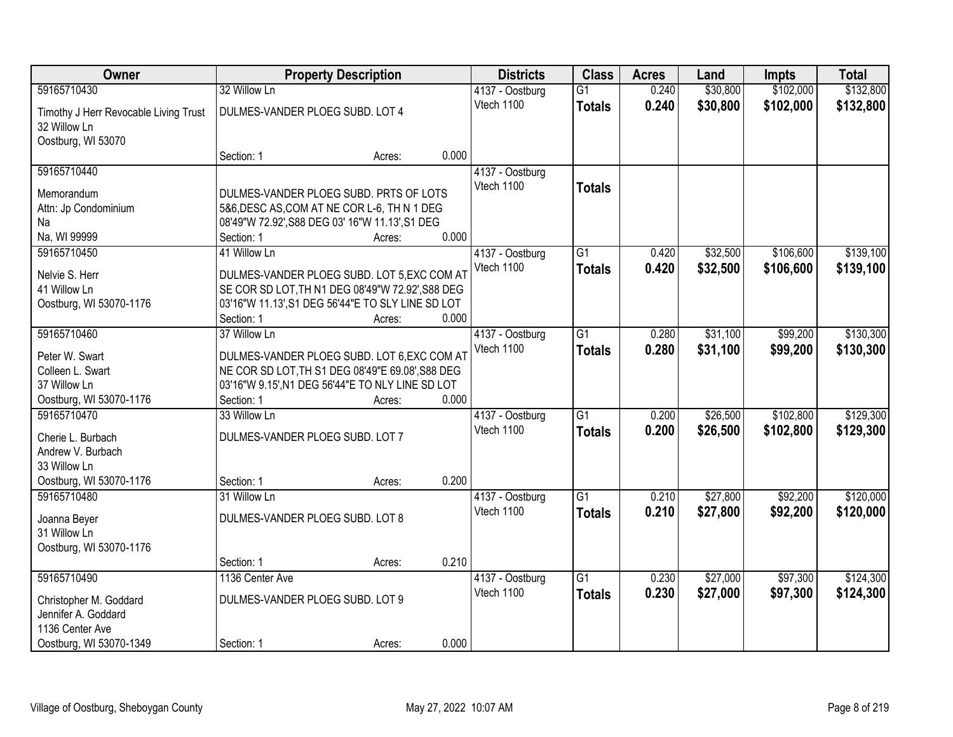| Owner                                 |                                 | <b>Property Description</b>                       |       | <b>Districts</b> | <b>Class</b>    | <b>Acres</b> | Land     | <b>Impts</b> | <b>Total</b> |
|---------------------------------------|---------------------------------|---------------------------------------------------|-------|------------------|-----------------|--------------|----------|--------------|--------------|
| 59165710430                           | 32 Willow Ln                    |                                                   |       | 4137 - Oostburg  | $\overline{G1}$ | 0.240        | \$30,800 | \$102,000    | \$132,800    |
| Timothy J Herr Revocable Living Trust | DULMES-VANDER PLOEG SUBD. LOT 4 |                                                   |       | Vtech 1100       | <b>Totals</b>   | 0.240        | \$30,800 | \$102,000    | \$132,800    |
| 32 Willow Ln                          |                                 |                                                   |       |                  |                 |              |          |              |              |
| Oostburg, WI 53070                    |                                 |                                                   |       |                  |                 |              |          |              |              |
|                                       | Section: 1                      | Acres:                                            | 0.000 |                  |                 |              |          |              |              |
| 59165710440                           |                                 |                                                   |       | 4137 - Oostburg  |                 |              |          |              |              |
| Memorandum                            |                                 | DULMES-VANDER PLOEG SUBD. PRTS OF LOTS            |       | Vtech 1100       | <b>Totals</b>   |              |          |              |              |
| Attn: Jp Condominium                  |                                 | 5&6, DESC AS, COM AT NE COR L-6, TH N 1 DEG       |       |                  |                 |              |          |              |              |
| Na                                    |                                 | 08'49"W 72.92', S88 DEG 03' 16"W 11.13', S1 DEG   |       |                  |                 |              |          |              |              |
| Na, WI 99999                          | Section: 1                      | Acres:                                            | 0.000 |                  |                 |              |          |              |              |
| 59165710450                           | 41 Willow Ln                    |                                                   |       | 4137 - Oostburg  | $\overline{G1}$ | 0.420        | \$32,500 | \$106,600    | \$139,100    |
| Nelvie S. Herr                        |                                 | DULMES-VANDER PLOEG SUBD. LOT 5, EXC COM AT       |       | Vtech 1100       | <b>Totals</b>   | 0.420        | \$32,500 | \$106,600    | \$139,100    |
| 41 Willow Ln                          |                                 | SE COR SD LOT, TH N1 DEG 08'49"W 72.92', S88 DEG  |       |                  |                 |              |          |              |              |
| Oostburg, WI 53070-1176               |                                 | 03'16"W 11.13', S1 DEG 56'44"E TO SLY LINE SD LOT |       |                  |                 |              |          |              |              |
|                                       | Section: 1                      | Acres:                                            | 0.000 |                  |                 |              |          |              |              |
| 59165710460                           | 37 Willow Ln                    |                                                   |       | 4137 - Oostburg  | $\overline{G1}$ | 0.280        | \$31,100 | \$99,200     | \$130,300    |
| Peter W. Swart                        |                                 | DULMES-VANDER PLOEG SUBD. LOT 6, EXC COM AT       |       | Vtech 1100       | <b>Totals</b>   | 0.280        | \$31,100 | \$99,200     | \$130,300    |
| Colleen L. Swart                      |                                 | NE COR SD LOT, TH S1 DEG 08'49"E 69.08', S88 DEG  |       |                  |                 |              |          |              |              |
| 37 Willow Ln                          |                                 | 03'16"W 9.15', N1 DEG 56'44"E TO NLY LINE SD LOT  |       |                  |                 |              |          |              |              |
| Oostburg, WI 53070-1176               | Section: 1                      | Acres:                                            | 0.000 |                  |                 |              |          |              |              |
| 59165710470                           | 33 Willow Ln                    |                                                   |       | 4137 - Oostburg  | $\overline{G1}$ | 0.200        | \$26,500 | \$102,800    | \$129,300    |
| Cherie L. Burbach                     | DULMES-VANDER PLOEG SUBD. LOT 7 |                                                   |       | Vtech 1100       | <b>Totals</b>   | 0.200        | \$26,500 | \$102,800    | \$129,300    |
| Andrew V. Burbach                     |                                 |                                                   |       |                  |                 |              |          |              |              |
| 33 Willow Ln                          |                                 |                                                   |       |                  |                 |              |          |              |              |
| Oostburg, WI 53070-1176               | Section: 1                      | Acres:                                            | 0.200 |                  |                 |              |          |              |              |
| 59165710480                           | 31 Willow Ln                    |                                                   |       | 4137 - Oostburg  | $\overline{G1}$ | 0.210        | \$27,800 | \$92,200     | \$120,000    |
| Joanna Beyer                          | DULMES-VANDER PLOEG SUBD. LOT 8 |                                                   |       | Vtech 1100       | <b>Totals</b>   | 0.210        | \$27,800 | \$92,200     | \$120,000    |
| 31 Willow Ln                          |                                 |                                                   |       |                  |                 |              |          |              |              |
| Oostburg, WI 53070-1176               |                                 |                                                   |       |                  |                 |              |          |              |              |
|                                       | Section: 1                      | Acres:                                            | 0.210 |                  |                 |              |          |              |              |
| 59165710490                           | 1136 Center Ave                 |                                                   |       | 4137 - Oostburg  | $\overline{G1}$ | 0.230        | \$27,000 | \$97,300     | \$124,300    |
| Christopher M. Goddard                | DULMES-VANDER PLOEG SUBD. LOT 9 |                                                   |       | Vtech 1100       | <b>Totals</b>   | 0.230        | \$27,000 | \$97,300     | \$124,300    |
| Jennifer A. Goddard                   |                                 |                                                   |       |                  |                 |              |          |              |              |
| 1136 Center Ave                       |                                 |                                                   |       |                  |                 |              |          |              |              |
| Oostburg, WI 53070-1349               | Section: 1                      | Acres:                                            | 0.000 |                  |                 |              |          |              |              |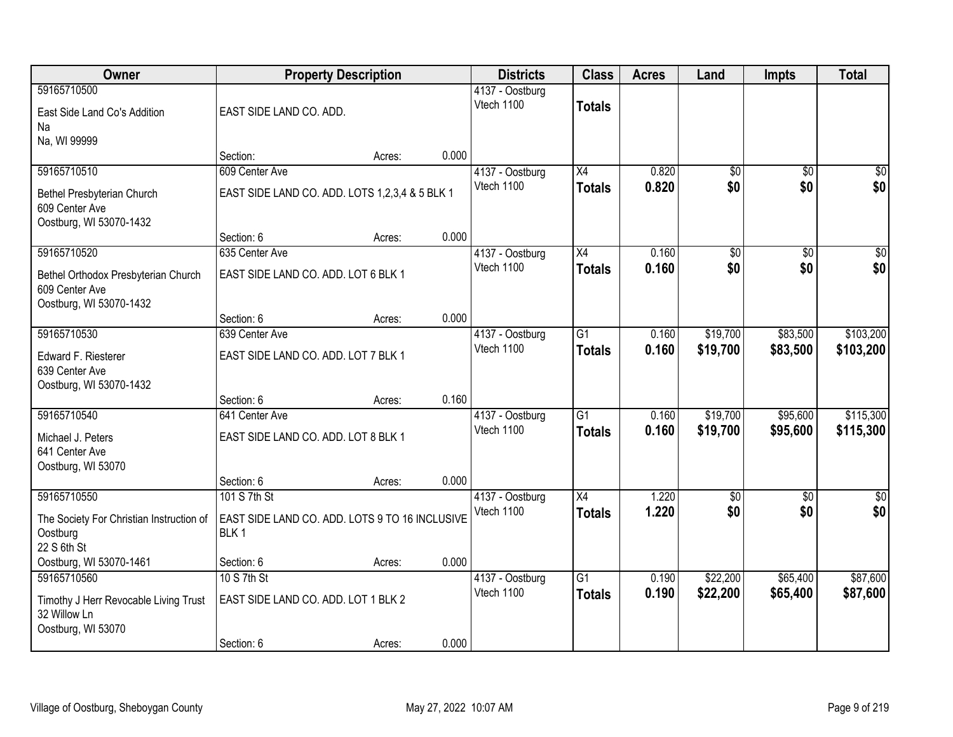| Owner                                                                                      | <b>Property Description</b>                                        |        |       | <b>Districts</b>              | <b>Class</b>                     | <b>Acres</b>   | Land                 | <b>Impts</b>         | <b>Total</b>           |
|--------------------------------------------------------------------------------------------|--------------------------------------------------------------------|--------|-------|-------------------------------|----------------------------------|----------------|----------------------|----------------------|------------------------|
| 59165710500<br>East Side Land Co's Addition<br>Na                                          | EAST SIDE LAND CO. ADD.                                            |        |       | 4137 - Oostburg<br>Vtech 1100 | <b>Totals</b>                    |                |                      |                      |                        |
| Na, WI 99999                                                                               | Section:                                                           | Acres: | 0.000 |                               |                                  |                |                      |                      |                        |
| 59165710510                                                                                | 609 Center Ave                                                     |        |       | 4137 - Oostburg               | X4                               | 0.820          | $\overline{50}$      | $\overline{50}$      | \$0                    |
| Bethel Presbyterian Church<br>609 Center Ave<br>Oostburg, WI 53070-1432                    | EAST SIDE LAND CO. ADD. LOTS 1,2,3,4 & 5 BLK 1                     |        |       | Vtech 1100                    | <b>Totals</b>                    | 0.820          | \$0                  | \$0                  | \$0                    |
|                                                                                            | Section: 6                                                         | Acres: | 0.000 |                               |                                  |                |                      |                      |                        |
| 59165710520                                                                                | 635 Center Ave                                                     |        |       | 4137 - Oostburg               | X4                               | 0.160          | \$0                  | \$0                  | $\overline{50}$        |
| Bethel Orthodox Presbyterian Church<br>609 Center Ave<br>Oostburg, WI 53070-1432           | EAST SIDE LAND CO. ADD. LOT 6 BLK 1                                |        |       | Vtech 1100                    | <b>Totals</b>                    | 0.160          | \$0                  | \$0                  | \$0                    |
|                                                                                            | Section: 6                                                         | Acres: | 0.000 |                               |                                  |                |                      |                      |                        |
| 59165710530                                                                                | 639 Center Ave                                                     |        |       | 4137 - Oostburg               | $\overline{G1}$                  | 0.160          | \$19,700             | \$83,500             | \$103,200              |
| Edward F. Riesterer<br>639 Center Ave<br>Oostburg, WI 53070-1432                           | EAST SIDE LAND CO. ADD. LOT 7 BLK 1                                |        |       | Vtech 1100                    | <b>Totals</b>                    | 0.160          | \$19,700             | \$83,500             | \$103,200              |
|                                                                                            | Section: 6                                                         | Acres: | 0.160 |                               |                                  |                |                      |                      |                        |
| 59165710540                                                                                | 641 Center Ave                                                     |        |       | 4137 - Oostburg<br>Vtech 1100 | $\overline{G1}$<br><b>Totals</b> | 0.160<br>0.160 | \$19,700<br>\$19,700 | \$95,600<br>\$95,600 | \$115,300<br>\$115,300 |
| Michael J. Peters<br>641 Center Ave                                                        | EAST SIDE LAND CO. ADD. LOT 8 BLK 1                                |        |       |                               |                                  |                |                      |                      |                        |
| Oostburg, WI 53070                                                                         | Section: 6                                                         | Acres: | 0.000 |                               |                                  |                |                      |                      |                        |
| 59165710550                                                                                | 101 S 7th St                                                       |        |       | 4137 - Oostburg               | X4                               | 1.220          | $\overline{50}$      | $\overline{30}$      | \$0                    |
| The Society For Christian Instruction of<br>Oostburg<br>22 S 6th St                        | EAST SIDE LAND CO. ADD. LOTS 9 TO 16 INCLUSIVE<br>BLK <sub>1</sub> |        |       | Vtech 1100                    | <b>Totals</b>                    | 1.220          | \$0                  | \$0                  | \$0                    |
| Oostburg, WI 53070-1461                                                                    | Section: 6                                                         | Acres: | 0.000 |                               |                                  |                |                      |                      |                        |
| 59165710560<br>Timothy J Herr Revocable Living Trust<br>32 Willow Ln<br>Oostburg, WI 53070 | 10 S 7th St<br>EAST SIDE LAND CO. ADD. LOT 1 BLK 2                 |        |       | 4137 - Oostburg<br>Vtech 1100 | $\overline{G1}$<br><b>Totals</b> | 0.190<br>0.190 | \$22,200<br>\$22,200 | \$65,400<br>\$65,400 | \$87,600<br>\$87,600   |
|                                                                                            | Section: 6                                                         | Acres: | 0.000 |                               |                                  |                |                      |                      |                        |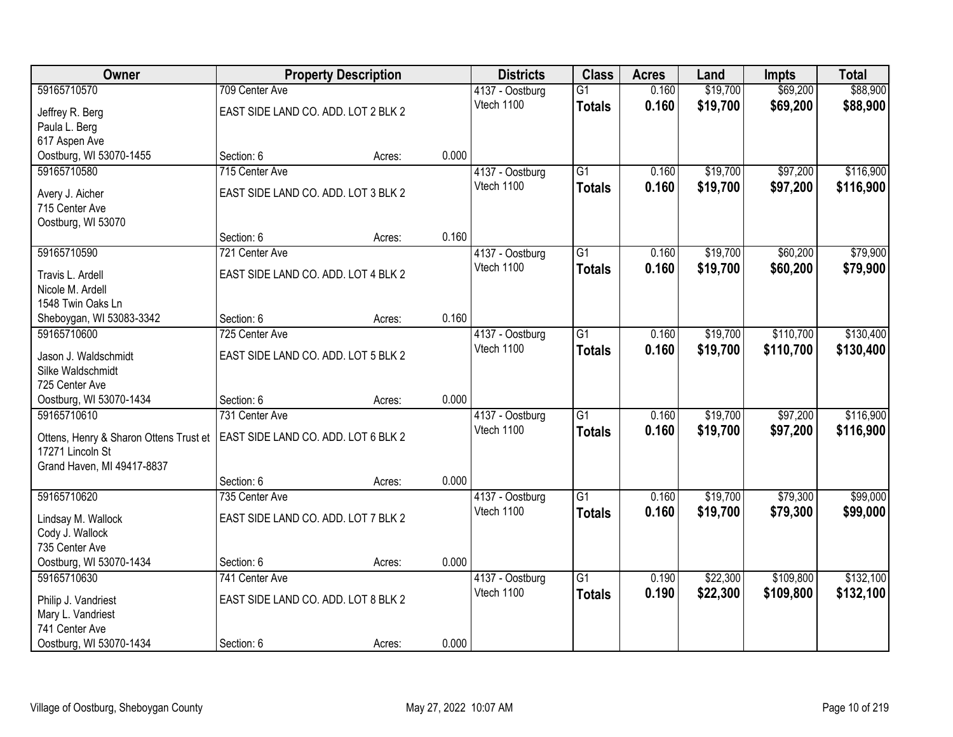| <b>Owner</b>                                   |                                     | <b>Property Description</b> |       | <b>Districts</b> | <b>Class</b>    | <b>Acres</b> | Land     | <b>Impts</b> | <b>Total</b> |
|------------------------------------------------|-------------------------------------|-----------------------------|-------|------------------|-----------------|--------------|----------|--------------|--------------|
| 59165710570                                    | 709 Center Ave                      |                             |       | 4137 - Oostburg  | $\overline{G1}$ | 0.160        | \$19,700 | \$69,200     | \$88,900     |
| Jeffrey R. Berg                                | EAST SIDE LAND CO. ADD. LOT 2 BLK 2 |                             |       | Vtech 1100       | <b>Totals</b>   | 0.160        | \$19,700 | \$69,200     | \$88,900     |
| Paula L. Berg                                  |                                     |                             |       |                  |                 |              |          |              |              |
| 617 Aspen Ave                                  |                                     |                             |       |                  |                 |              |          |              |              |
| Oostburg, WI 53070-1455                        | Section: 6                          | Acres:                      | 0.000 |                  |                 |              |          |              |              |
| 59165710580                                    | 715 Center Ave                      |                             |       | 4137 - Oostburg  | $\overline{G1}$ | 0.160        | \$19,700 | \$97,200     | \$116,900    |
| Avery J. Aicher                                | EAST SIDE LAND CO. ADD. LOT 3 BLK 2 |                             |       | Vtech 1100       | Totals          | 0.160        | \$19,700 | \$97,200     | \$116,900    |
| 715 Center Ave                                 |                                     |                             |       |                  |                 |              |          |              |              |
| Oostburg, WI 53070                             |                                     |                             |       |                  |                 |              |          |              |              |
|                                                | Section: 6                          | Acres:                      | 0.160 |                  |                 |              |          |              |              |
| 59165710590                                    | 721 Center Ave                      |                             |       | 4137 - Oostburg  | $\overline{G1}$ | 0.160        | \$19,700 | \$60,200     | \$79,900     |
| Travis L. Ardell                               | EAST SIDE LAND CO. ADD. LOT 4 BLK 2 |                             |       | Vtech 1100       | <b>Totals</b>   | 0.160        | \$19,700 | \$60,200     | \$79,900     |
| Nicole M. Ardell                               |                                     |                             |       |                  |                 |              |          |              |              |
| 1548 Twin Oaks Ln                              |                                     |                             |       |                  |                 |              |          |              |              |
| Sheboygan, WI 53083-3342                       | Section: 6                          | Acres:                      | 0.160 |                  |                 |              |          |              |              |
| 59165710600                                    | 725 Center Ave                      |                             |       | 4137 - Oostburg  | $\overline{G1}$ | 0.160        | \$19,700 | \$110,700    | \$130,400    |
| Jason J. Waldschmidt                           | EAST SIDE LAND CO. ADD. LOT 5 BLK 2 |                             |       | Vtech 1100       | <b>Totals</b>   | 0.160        | \$19,700 | \$110,700    | \$130,400    |
| Silke Waldschmidt                              |                                     |                             |       |                  |                 |              |          |              |              |
| 725 Center Ave                                 |                                     |                             |       |                  |                 |              |          |              |              |
| Oostburg, WI 53070-1434                        | Section: 6                          | Acres:                      | 0.000 |                  |                 |              |          |              |              |
| 59165710610                                    | 731 Center Ave                      |                             |       | 4137 - Oostburg  | $\overline{G1}$ | 0.160        | \$19,700 | \$97,200     | \$116,900    |
|                                                |                                     |                             |       | Vtech 1100       | <b>Totals</b>   | 0.160        | \$19,700 | \$97,200     | \$116,900    |
| Ottens, Henry & Sharon Ottens Trust et         | EAST SIDE LAND CO. ADD. LOT 6 BLK 2 |                             |       |                  |                 |              |          |              |              |
| 17271 Lincoln St<br>Grand Haven, MI 49417-8837 |                                     |                             |       |                  |                 |              |          |              |              |
|                                                | Section: 6                          | Acres:                      | 0.000 |                  |                 |              |          |              |              |
| 59165710620                                    | 735 Center Ave                      |                             |       | 4137 - Oostburg  | $\overline{G1}$ | 0.160        | \$19,700 | \$79,300     | \$99,000     |
|                                                |                                     |                             |       | Vtech 1100       | <b>Totals</b>   | 0.160        | \$19,700 | \$79,300     | \$99,000     |
| Lindsay M. Wallock                             | EAST SIDE LAND CO. ADD. LOT 7 BLK 2 |                             |       |                  |                 |              |          |              |              |
| Cody J. Wallock                                |                                     |                             |       |                  |                 |              |          |              |              |
| 735 Center Ave<br>Oostburg, WI 53070-1434      | Section: 6                          | Acres:                      | 0.000 |                  |                 |              |          |              |              |
| 59165710630                                    | 741 Center Ave                      |                             |       | 4137 - Oostburg  | $\overline{G1}$ | 0.190        | \$22,300 | \$109,800    | \$132,100    |
|                                                |                                     |                             |       | Vtech 1100       | <b>Totals</b>   | 0.190        | \$22,300 | \$109,800    | \$132,100    |
| Philip J. Vandriest                            | EAST SIDE LAND CO. ADD. LOT 8 BLK 2 |                             |       |                  |                 |              |          |              |              |
| Mary L. Vandriest                              |                                     |                             |       |                  |                 |              |          |              |              |
| 741 Center Ave                                 |                                     |                             |       |                  |                 |              |          |              |              |
| Oostburg, WI 53070-1434                        | Section: 6                          | Acres:                      | 0.000 |                  |                 |              |          |              |              |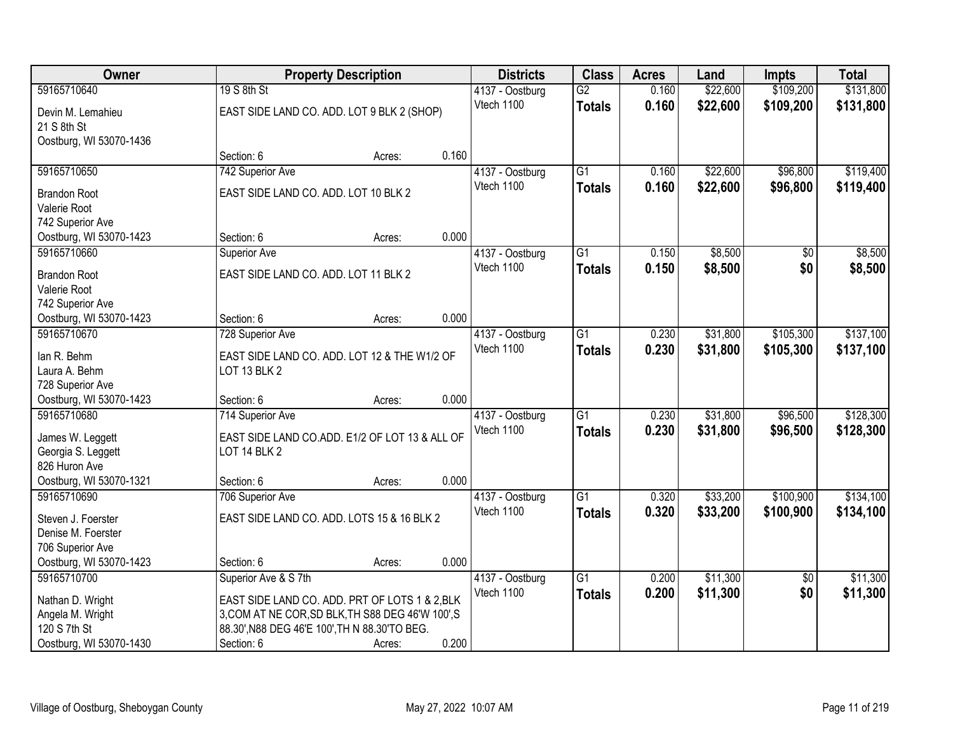| Owner                                       |                                               | <b>Property Description</b>                       |       | <b>Districts</b> | <b>Class</b>    | <b>Acres</b> | Land     | <b>Impts</b>    | <b>Total</b> |
|---------------------------------------------|-----------------------------------------------|---------------------------------------------------|-------|------------------|-----------------|--------------|----------|-----------------|--------------|
| 59165710640                                 | 19 S 8th St                                   |                                                   |       | 4137 - Oostburg  | $\overline{G2}$ | 0.160        | \$22,600 | \$109,200       | \$131,800    |
| Devin M. Lemahieu                           |                                               | EAST SIDE LAND CO. ADD. LOT 9 BLK 2 (SHOP)        |       | Vtech 1100       | <b>Totals</b>   | 0.160        | \$22,600 | \$109,200       | \$131,800    |
| 21 S 8th St                                 |                                               |                                                   |       |                  |                 |              |          |                 |              |
| Oostburg, WI 53070-1436                     |                                               |                                                   |       |                  |                 |              |          |                 |              |
|                                             | Section: 6                                    | Acres:                                            | 0.160 |                  |                 |              |          |                 |              |
| 59165710650                                 | 742 Superior Ave                              |                                                   |       | 4137 - Oostburg  | $\overline{G1}$ | 0.160        | \$22,600 | \$96,800        | \$119,400    |
| <b>Brandon Root</b>                         | EAST SIDE LAND CO. ADD. LOT 10 BLK 2          |                                                   |       | Vtech 1100       | <b>Totals</b>   | 0.160        | \$22,600 | \$96,800        | \$119,400    |
| Valerie Root                                |                                               |                                                   |       |                  |                 |              |          |                 |              |
| 742 Superior Ave                            |                                               |                                                   |       |                  |                 |              |          |                 |              |
| Oostburg, WI 53070-1423                     | Section: 6                                    | Acres:                                            | 0.000 |                  |                 |              |          |                 |              |
| 59165710660                                 | <b>Superior Ave</b>                           |                                                   |       | 4137 - Oostburg  | $\overline{G1}$ | 0.150        | \$8,500  | $\sqrt[6]{}$    | \$8,500      |
| <b>Brandon Root</b>                         | EAST SIDE LAND CO. ADD. LOT 11 BLK 2          |                                                   |       | Vtech 1100       | <b>Totals</b>   | 0.150        | \$8,500  | \$0             | \$8,500      |
| Valerie Root                                |                                               |                                                   |       |                  |                 |              |          |                 |              |
| 742 Superior Ave                            |                                               |                                                   |       |                  |                 |              |          |                 |              |
| Oostburg, WI 53070-1423                     | Section: 6                                    | Acres:                                            | 0.000 |                  |                 |              |          |                 |              |
| 59165710670                                 | 728 Superior Ave                              |                                                   |       | 4137 - Oostburg  | $\overline{G1}$ | 0.230        | \$31,800 | \$105,300       | \$137,100    |
|                                             |                                               |                                                   |       | Vtech 1100       | <b>Totals</b>   | 0.230        | \$31,800 | \$105,300       | \$137,100    |
| lan R. Behm<br>Laura A. Behm                | LOT 13 BLK 2                                  | EAST SIDE LAND CO. ADD. LOT 12 & THE W1/2 OF      |       |                  |                 |              |          |                 |              |
| 728 Superior Ave                            |                                               |                                                   |       |                  |                 |              |          |                 |              |
| Oostburg, WI 53070-1423                     | Section: 6                                    | Acres:                                            | 0.000 |                  |                 |              |          |                 |              |
| 59165710680                                 | 714 Superior Ave                              |                                                   |       | 4137 - Oostburg  | $\overline{G1}$ | 0.230        | \$31,800 | \$96,500        | \$128,300    |
|                                             |                                               |                                                   |       | Vtech 1100       | <b>Totals</b>   | 0.230        | \$31,800 | \$96,500        | \$128,300    |
| James W. Leggett                            |                                               | EAST SIDE LAND CO.ADD. E1/2 OF LOT 13 & ALL OF    |       |                  |                 |              |          |                 |              |
| Georgia S. Leggett<br>826 Huron Ave         | LOT 14 BLK 2                                  |                                                   |       |                  |                 |              |          |                 |              |
| Oostburg, WI 53070-1321                     | Section: 6                                    | Acres:                                            | 0.000 |                  |                 |              |          |                 |              |
| 59165710690                                 | 706 Superior Ave                              |                                                   |       | 4137 - Oostburg  | $\overline{G1}$ | 0.320        | \$33,200 | \$100,900       | \$134,100    |
|                                             |                                               |                                                   |       | Vtech 1100       | <b>Totals</b>   | 0.320        | \$33,200 | \$100,900       | \$134,100    |
| Steven J. Foerster                          |                                               | EAST SIDE LAND CO. ADD. LOTS 15 & 16 BLK 2        |       |                  |                 |              |          |                 |              |
| Denise M. Foerster                          |                                               |                                                   |       |                  |                 |              |          |                 |              |
| 706 Superior Ave<br>Oostburg, WI 53070-1423 | Section: 6                                    | Acres:                                            | 0.000 |                  |                 |              |          |                 |              |
| 59165710700                                 | Superior Ave & S 7th                          |                                                   |       | 4137 - Oostburg  | $\overline{G1}$ | 0.200        | \$11,300 | $\overline{50}$ | \$11,300     |
|                                             |                                               |                                                   |       | Vtech 1100       | <b>Totals</b>   | 0.200        | \$11,300 | \$0             | \$11,300     |
| Nathan D. Wright                            |                                               | EAST SIDE LAND CO. ADD. PRT OF LOTS 1 & 2, BLK    |       |                  |                 |              |          |                 |              |
| Angela M. Wright                            |                                               | 3, COM AT NE COR, SD BLK, TH S88 DEG 46'W 100', S |       |                  |                 |              |          |                 |              |
| 120 S 7th St                                | 88.30', N88 DEG 46'E 100', TH N 88.30'TO BEG. |                                                   |       |                  |                 |              |          |                 |              |
| Oostburg, WI 53070-1430                     | Section: 6                                    | Acres:                                            | 0.200 |                  |                 |              |          |                 |              |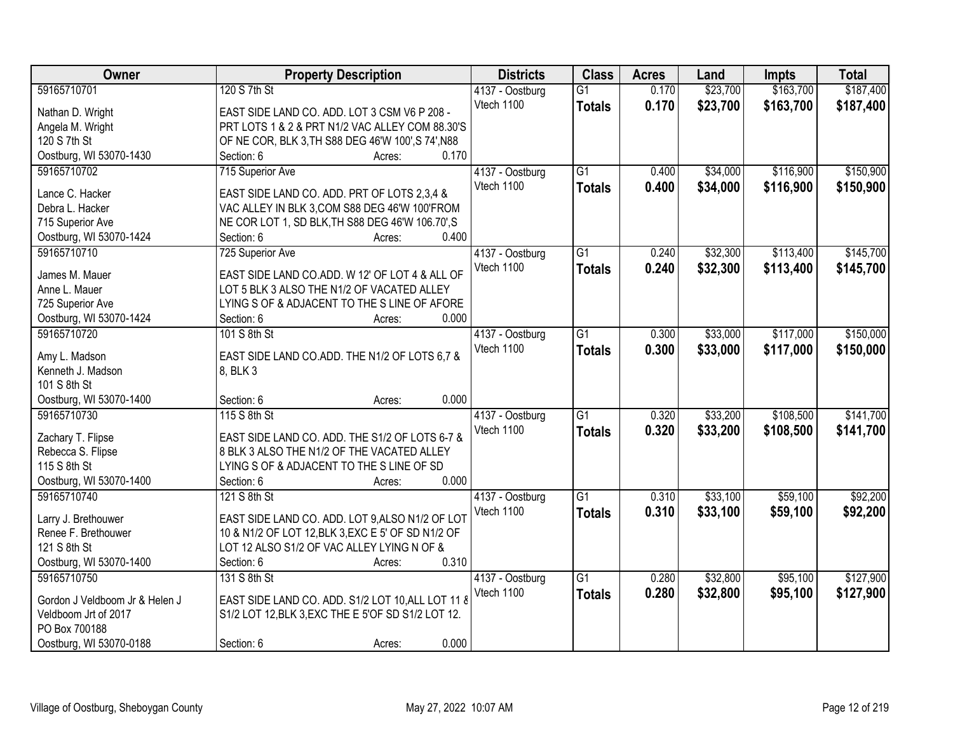| Owner                          | <b>Property Description</b>                        | <b>Districts</b> | <b>Class</b>    | <b>Acres</b> | Land     | <b>Impts</b> | <b>Total</b> |
|--------------------------------|----------------------------------------------------|------------------|-----------------|--------------|----------|--------------|--------------|
| 59165710701                    | 120 S 7th St                                       | 4137 - Oostburg  | $\overline{G1}$ | 0.170        | \$23,700 | \$163,700    | \$187,400    |
| Nathan D. Wright               | EAST SIDE LAND CO. ADD. LOT 3 CSM V6 P 208 -       | Vtech 1100       | <b>Totals</b>   | 0.170        | \$23,700 | \$163,700    | \$187,400    |
| Angela M. Wright               | PRT LOTS 1 & 2 & PRT N1/2 VAC ALLEY COM 88.30'S    |                  |                 |              |          |              |              |
| 120 S 7th St                   | OF NE COR, BLK 3, TH S88 DEG 46'W 100', S 74', N88 |                  |                 |              |          |              |              |
| Oostburg, WI 53070-1430        | 0.170<br>Section: 6<br>Acres:                      |                  |                 |              |          |              |              |
| 59165710702                    | 715 Superior Ave                                   | 4137 - Oostburg  | $\overline{G1}$ | 0.400        | \$34,000 | \$116,900    | \$150,900    |
|                                |                                                    | Vtech 1100       | <b>Totals</b>   | 0.400        | \$34,000 | \$116,900    | \$150,900    |
| Lance C. Hacker                | EAST SIDE LAND CO. ADD. PRT OF LOTS 2,3,4 &        |                  |                 |              |          |              |              |
| Debra L. Hacker                | VAC ALLEY IN BLK 3, COM S88 DEG 46'W 100'FROM      |                  |                 |              |          |              |              |
| 715 Superior Ave               | NE COR LOT 1, SD BLK, TH S88 DEG 46'W 106.70', S   |                  |                 |              |          |              |              |
| Oostburg, WI 53070-1424        | 0.400<br>Section: 6<br>Acres:                      |                  |                 |              |          |              |              |
| 59165710710                    | 725 Superior Ave                                   | 4137 - Oostburg  | $\overline{G1}$ | 0.240        | \$32,300 | \$113,400    | \$145,700    |
| James M. Mauer                 | EAST SIDE LAND CO.ADD. W 12' OF LOT 4 & ALL OF     | Vtech 1100       | <b>Totals</b>   | 0.240        | \$32,300 | \$113,400    | \$145,700    |
| Anne L. Mauer                  | LOT 5 BLK 3 ALSO THE N1/2 OF VACATED ALLEY         |                  |                 |              |          |              |              |
| 725 Superior Ave               | LYING S OF & ADJACENT TO THE S LINE OF AFORE       |                  |                 |              |          |              |              |
| Oostburg, WI 53070-1424        | 0.000<br>Section: 6<br>Acres:                      |                  |                 |              |          |              |              |
| 59165710720                    | 101 S 8th St                                       | 4137 - Oostburg  | $\overline{G1}$ | 0.300        | \$33,000 | \$117,000    | \$150,000    |
|                                |                                                    | Vtech 1100       | <b>Totals</b>   | 0.300        | \$33,000 | \$117,000    | \$150,000    |
| Amy L. Madson                  | EAST SIDE LAND CO.ADD. THE N1/2 OF LOTS 6,7 &      |                  |                 |              |          |              |              |
| Kenneth J. Madson              | 8, BLK 3                                           |                  |                 |              |          |              |              |
| 101 S 8th St                   |                                                    |                  |                 |              |          |              |              |
| Oostburg, WI 53070-1400        | 0.000<br>Section: 6<br>Acres:                      |                  |                 |              |          |              |              |
| 59165710730                    | 115 S 8th St                                       | 4137 - Oostburg  | $\overline{G1}$ | 0.320        | \$33,200 | \$108,500    | \$141,700    |
| Zachary T. Flipse              | EAST SIDE LAND CO. ADD. THE S1/2 OF LOTS 6-7 &     | Vtech 1100       | <b>Totals</b>   | 0.320        | \$33,200 | \$108,500    | \$141,700    |
| Rebecca S. Flipse              | 8 BLK 3 ALSO THE N1/2 OF THE VACATED ALLEY         |                  |                 |              |          |              |              |
| 115 S 8th St                   | LYING S OF & ADJACENT TO THE S LINE OF SD          |                  |                 |              |          |              |              |
| Oostburg, WI 53070-1400        | 0.000<br>Section: 6<br>Acres:                      |                  |                 |              |          |              |              |
| 59165710740                    | 121 S 8th St                                       | 4137 - Oostburg  | G1              | 0.310        | \$33,100 | \$59,100     | \$92,200     |
|                                |                                                    | Vtech 1100       |                 |              |          |              |              |
| Larry J. Brethouwer            | EAST SIDE LAND CO. ADD. LOT 9, ALSO N1/2 OF LOT    |                  | <b>Totals</b>   | 0.310        | \$33,100 | \$59,100     | \$92,200     |
| Renee F. Brethouwer            | 10 & N1/2 OF LOT 12, BLK 3, EXC E 5' OF SD N1/2 OF |                  |                 |              |          |              |              |
| 121 S 8th St                   | LOT 12 ALSO S1/2 OF VAC ALLEY LYING N OF &         |                  |                 |              |          |              |              |
| Oostburg, WI 53070-1400        | 0.310<br>Section: 6<br>Acres:                      |                  |                 |              |          |              |              |
| 59165710750                    | 131 S 8th St                                       | 4137 - Oostburg  | $\overline{G1}$ | 0.280        | \$32,800 | \$95,100     | \$127,900    |
|                                |                                                    | Vtech 1100       | <b>Totals</b>   | 0.280        | \$32,800 | \$95,100     | \$127,900    |
| Gordon J Veldboom Jr & Helen J | EAST SIDE LAND CO. ADD. S1/2 LOT 10, ALL LOT 11 &  |                  |                 |              |          |              |              |
| Veldboom Jrt of 2017           | S1/2 LOT 12, BLK 3, EXC THE E 5'OF SD S1/2 LOT 12. |                  |                 |              |          |              |              |
| PO Box 700188                  |                                                    |                  |                 |              |          |              |              |
| Oostburg, WI 53070-0188        | 0.000<br>Section: 6<br>Acres:                      |                  |                 |              |          |              |              |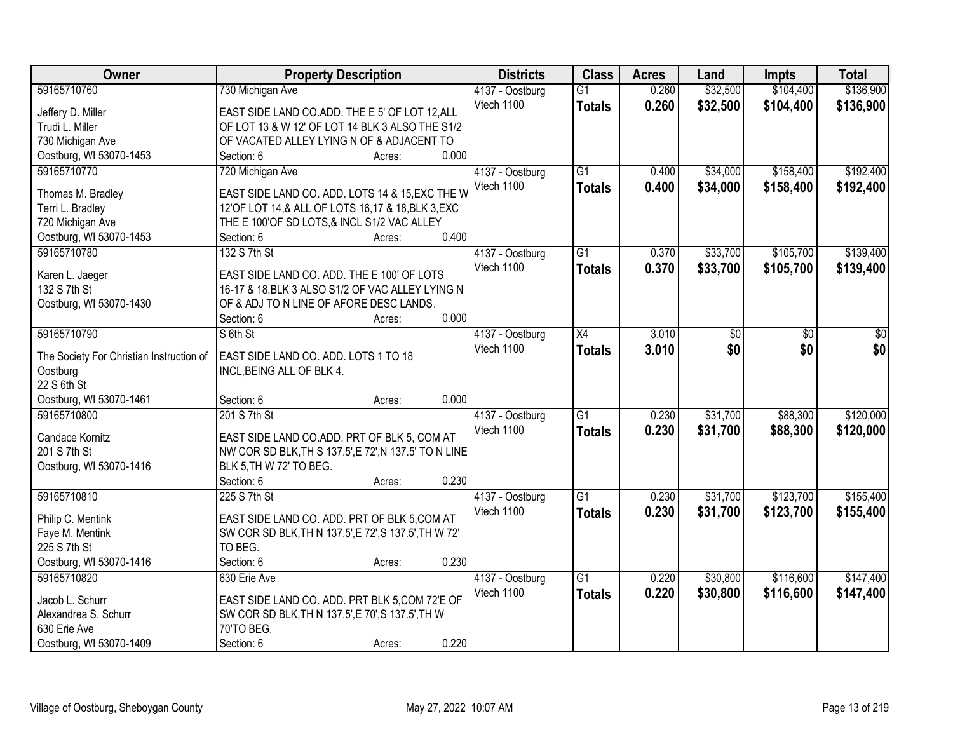| Owner                                    | <b>Property Description</b>                                                      | <b>Districts</b> | <b>Class</b>    | <b>Acres</b> | Land     | <b>Impts</b> | <b>Total</b> |
|------------------------------------------|----------------------------------------------------------------------------------|------------------|-----------------|--------------|----------|--------------|--------------|
| 59165710760                              | 730 Michigan Ave                                                                 | 4137 - Oostburg  | $\overline{G1}$ | 0.260        | \$32,500 | \$104,400    | \$136,900    |
| Jeffery D. Miller                        | EAST SIDE LAND CO.ADD. THE E 5' OF LOT 12, ALL                                   | Vtech 1100       | <b>Totals</b>   | 0.260        | \$32,500 | \$104,400    | \$136,900    |
| Trudi L. Miller                          | OF LOT 13 & W 12' OF LOT 14 BLK 3 ALSO THE S1/2                                  |                  |                 |              |          |              |              |
| 730 Michigan Ave                         | OF VACATED ALLEY LYING N OF & ADJACENT TO                                        |                  |                 |              |          |              |              |
| Oostburg, WI 53070-1453                  | 0.000<br>Section: 6<br>Acres:                                                    |                  |                 |              |          |              |              |
| 59165710770                              | 720 Michigan Ave                                                                 | 4137 - Oostburg  | $\overline{G1}$ | 0.400        | \$34,000 | \$158,400    | \$192,400    |
|                                          |                                                                                  | Vtech 1100       | <b>Totals</b>   | 0.400        | \$34,000 | \$158,400    | \$192,400    |
| Thomas M. Bradley                        | EAST SIDE LAND CO. ADD. LOTS 14 & 15, EXC THE W                                  |                  |                 |              |          |              |              |
| Terri L. Bradley                         | 12'OF LOT 14,& ALL OF LOTS 16,17 & 18, BLK 3, EXC                                |                  |                 |              |          |              |              |
| 720 Michigan Ave                         | THE E 100'OF SD LOTS, & INCL S1/2 VAC ALLEY                                      |                  |                 |              |          |              |              |
| Oostburg, WI 53070-1453                  | 0.400<br>Section: 6<br>Acres:                                                    |                  |                 |              |          |              |              |
| 59165710780                              | 132 S 7th St                                                                     | 4137 - Oostburg  | $\overline{G1}$ | 0.370        | \$33,700 | \$105,700    | \$139,400    |
| Karen L. Jaeger                          | EAST SIDE LAND CO. ADD. THE E 100' OF LOTS                                       | Vtech 1100       | <b>Totals</b>   | 0.370        | \$33,700 | \$105,700    | \$139,400    |
| 132 S 7th St                             | 16-17 & 18, BLK 3 ALSO S1/2 OF VAC ALLEY LYING N                                 |                  |                 |              |          |              |              |
| Oostburg, WI 53070-1430                  | OF & ADJ TO N LINE OF AFORE DESC LANDS.                                          |                  |                 |              |          |              |              |
|                                          | 0.000<br>Section: 6<br>Acres:                                                    |                  |                 |              |          |              |              |
| 59165710790                              | S 6th St                                                                         | 4137 - Oostburg  | $\overline{X4}$ | 3.010        | \$0      | \$0          | \$0          |
|                                          |                                                                                  | Vtech 1100       |                 | 3.010        | \$0      | \$0          | \$0          |
| The Society For Christian Instruction of | EAST SIDE LAND CO. ADD. LOTS 1 TO 18                                             |                  | <b>Totals</b>   |              |          |              |              |
| Oostburg                                 | INCL, BEING ALL OF BLK 4.                                                        |                  |                 |              |          |              |              |
| 22 S 6th St                              |                                                                                  |                  |                 |              |          |              |              |
| Oostburg, WI 53070-1461                  | 0.000<br>Section: 6<br>Acres:                                                    |                  |                 |              |          |              |              |
| 59165710800                              | 201 S 7th St                                                                     | 4137 - Oostburg  | $\overline{G1}$ | 0.230        | \$31,700 | \$88,300     | \$120,000    |
| Candace Kornitz                          | EAST SIDE LAND CO.ADD. PRT OF BLK 5, COM AT                                      | Vtech 1100       | <b>Totals</b>   | 0.230        | \$31,700 | \$88,300     | \$120,000    |
|                                          |                                                                                  |                  |                 |              |          |              |              |
| 201 S 7th St                             | NW COR SD BLK, TH S 137.5', E 72', N 137.5' TO N LINE<br>BLK 5, TH W 72' TO BEG. |                  |                 |              |          |              |              |
| Oostburg, WI 53070-1416                  | 0.230                                                                            |                  |                 |              |          |              |              |
|                                          | Section: 6<br>Acres:                                                             |                  |                 |              |          |              |              |
| 59165710810                              | 225 S 7th St                                                                     | 4137 - Oostburg  | $\overline{G1}$ | 0.230        | \$31,700 | \$123,700    | \$155,400    |
| Philip C. Mentink                        | EAST SIDE LAND CO. ADD. PRT OF BLK 5,COM AT                                      | Vtech 1100       | <b>Totals</b>   | 0.230        | \$31,700 | \$123,700    | \$155,400    |
| Faye M. Mentink                          | SW COR SD BLK, TH N 137.5', E 72', S 137.5', TH W 72'                            |                  |                 |              |          |              |              |
| 225 S 7th St                             | TO BEG.                                                                          |                  |                 |              |          |              |              |
| Oostburg, WI 53070-1416                  | 0.230<br>Section: 6<br>Acres:                                                    |                  |                 |              |          |              |              |
| 59165710820                              | 630 Erie Ave                                                                     | 4137 - Oostburg  | $\overline{G1}$ | 0.220        | \$30,800 | \$116,600    | \$147,400    |
|                                          |                                                                                  | Vtech 1100       | <b>Totals</b>   | 0.220        | \$30,800 | \$116,600    | \$147,400    |
| Jacob L. Schurr                          | EAST SIDE LAND CO. ADD. PRT BLK 5, COM 72'E OF                                   |                  |                 |              |          |              |              |
| Alexandrea S. Schurr                     | SW COR SD BLK, TH N 137.5', E 70', S 137.5', TH W                                |                  |                 |              |          |              |              |
| 630 Erie Ave                             | 70'TO BEG.                                                                       |                  |                 |              |          |              |              |
| Oostburg, WI 53070-1409                  | 0.220<br>Section: 6<br>Acres:                                                    |                  |                 |              |          |              |              |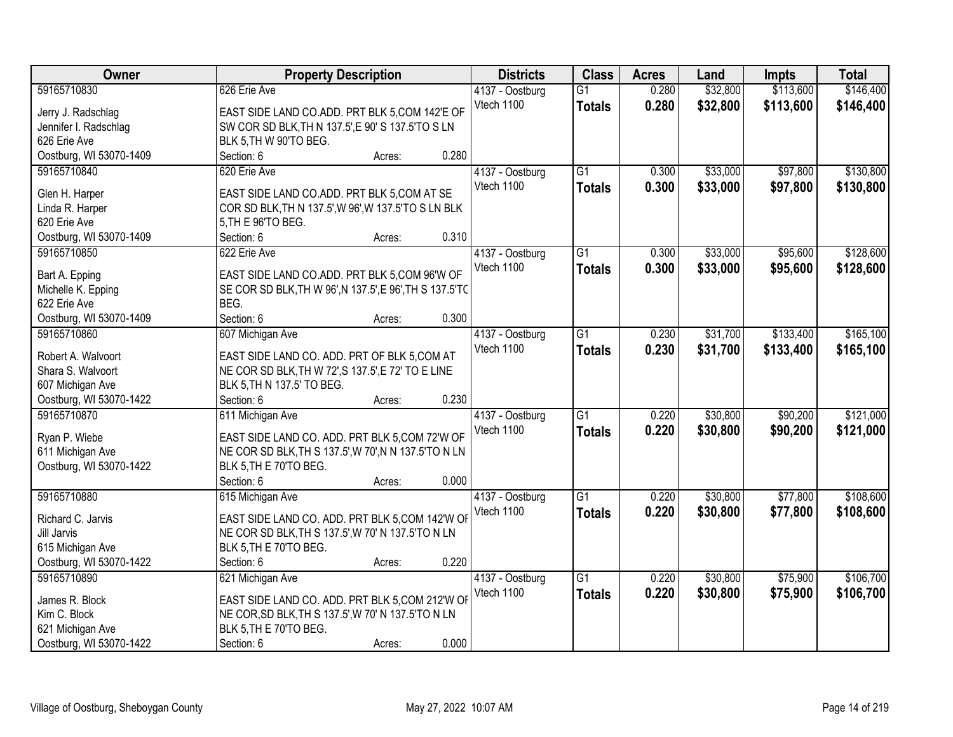| Owner                   | <b>Property Description</b>                             |        |       | <b>Districts</b> | <b>Class</b>    | <b>Acres</b> | Land     | <b>Impts</b> | <b>Total</b> |
|-------------------------|---------------------------------------------------------|--------|-------|------------------|-----------------|--------------|----------|--------------|--------------|
| 59165710830             | 626 Erie Ave                                            |        |       | 4137 - Oostburg  | $\overline{G1}$ | 0.280        | \$32,800 | \$113,600    | \$146,400    |
| Jerry J. Radschlag      | EAST SIDE LAND CO.ADD. PRT BLK 5,COM 142'E OF           |        |       | Vtech 1100       | <b>Totals</b>   | 0.280        | \$32,800 | \$113,600    | \$146,400    |
| Jennifer I. Radschlag   | SW COR SD BLK, TH N 137.5', E 90' S 137.5'TO S LN       |        |       |                  |                 |              |          |              |              |
| 626 Erie Ave            | BLK 5, TH W 90'TO BEG.                                  |        |       |                  |                 |              |          |              |              |
| Oostburg, WI 53070-1409 | Section: 6                                              | Acres: | 0.280 |                  |                 |              |          |              |              |
| 59165710840             | 620 Erie Ave                                            |        |       | 4137 - Oostburg  | $\overline{G1}$ | 0.300        | \$33,000 | \$97,800     | \$130,800    |
|                         |                                                         |        |       | Vtech 1100       | <b>Totals</b>   | 0.300        | \$33,000 | \$97,800     | \$130,800    |
| Glen H. Harper          | EAST SIDE LAND CO.ADD. PRT BLK 5,COM AT SE              |        |       |                  |                 |              |          |              |              |
| Linda R. Harper         | COR SD BLK, TH N 137.5', W 96', W 137.5'TO S LN BLK     |        |       |                  |                 |              |          |              |              |
| 620 Erie Ave            | 5, TH E 96'TO BEG.                                      |        |       |                  |                 |              |          |              |              |
| Oostburg, WI 53070-1409 | Section: 6                                              | Acres: | 0.310 |                  |                 |              |          |              |              |
| 59165710850             | 622 Erie Ave                                            |        |       | 4137 - Oostburg  | G1              | 0.300        | \$33,000 | \$95,600     | \$128,600    |
| Bart A. Epping          | EAST SIDE LAND CO.ADD. PRT BLK 5,COM 96'W OF            |        |       | Vtech 1100       | <b>Totals</b>   | 0.300        | \$33,000 | \$95,600     | \$128,600    |
| Michelle K. Epping      | SE COR SD BLK, TH W 96', N 137.5', E 96', TH S 137.5'TC |        |       |                  |                 |              |          |              |              |
| 622 Erie Ave            | BEG.                                                    |        |       |                  |                 |              |          |              |              |
| Oostburg, WI 53070-1409 | Section: 6                                              | Acres: | 0.300 |                  |                 |              |          |              |              |
| 59165710860             | 607 Michigan Ave                                        |        |       | 4137 - Oostburg  | G1              | 0.230        | \$31,700 | \$133,400    | \$165,100    |
|                         |                                                         |        |       | Vtech 1100       | <b>Totals</b>   | 0.230        | \$31,700 | \$133,400    | \$165,100    |
| Robert A. Walvoort      | EAST SIDE LAND CO. ADD. PRT OF BLK 5, COM AT            |        |       |                  |                 |              |          |              |              |
| Shara S. Walvoort       | NE COR SD BLK, TH W 72', S 137.5', E 72' TO E LINE      |        |       |                  |                 |              |          |              |              |
| 607 Michigan Ave        | BLK 5, TH N 137.5' TO BEG.                              |        |       |                  |                 |              |          |              |              |
| Oostburg, WI 53070-1422 | Section: 6                                              | Acres: | 0.230 |                  |                 |              |          |              |              |
| 59165710870             | 611 Michigan Ave                                        |        |       | 4137 - Oostburg  | $\overline{G1}$ | 0.220        | \$30,800 | \$90,200     | \$121,000    |
| Ryan P. Wiebe           | EAST SIDE LAND CO. ADD. PRT BLK 5, COM 72'W OF          |        |       | Vtech 1100       | <b>Totals</b>   | 0.220        | \$30,800 | \$90,200     | \$121,000    |
| 611 Michigan Ave        | NE COR SD BLK, TH S 137.5', W 70', N N 137.5'TO N LN    |        |       |                  |                 |              |          |              |              |
| Oostburg, WI 53070-1422 | BLK 5, TH E 70'TO BEG.                                  |        |       |                  |                 |              |          |              |              |
|                         | Section: 6                                              | Acres: | 0.000 |                  |                 |              |          |              |              |
| 59165710880             | 615 Michigan Ave                                        |        |       | 4137 - Oostburg  | $\overline{G1}$ | 0.220        | \$30,800 | \$77,800     | \$108,600    |
|                         |                                                         |        |       | Vtech 1100       | <b>Totals</b>   | 0.220        | \$30,800 | \$77,800     | \$108,600    |
| Richard C. Jarvis       | EAST SIDE LAND CO. ADD. PRT BLK 5,COM 142'W OF          |        |       |                  |                 |              |          |              |              |
| Jill Jarvis             | NE COR SD BLK, TH S 137.5', W 70' N 137.5'TO N LN       |        |       |                  |                 |              |          |              |              |
| 615 Michigan Ave        | BLK 5, TH E 70'TO BEG.                                  |        |       |                  |                 |              |          |              |              |
| Oostburg, WI 53070-1422 | Section: 6                                              | Acres: | 0.220 |                  |                 |              |          |              |              |
| 59165710890             | 621 Michigan Ave                                        |        |       | 4137 - Oostburg  | $\overline{G1}$ | 0.220        | \$30,800 | \$75,900     | \$106,700    |
| James R. Block          | EAST SIDE LAND CO. ADD. PRT BLK 5, COM 212'W OF         |        |       | Vtech 1100       | <b>Totals</b>   | 0.220        | \$30,800 | \$75,900     | \$106,700    |
| Kim C. Block            | NE COR, SD BLK, TH S 137.5', W 70' N 137.5'TO N LN      |        |       |                  |                 |              |          |              |              |
| 621 Michigan Ave        | BLK 5, TH E 70'TO BEG.                                  |        |       |                  |                 |              |          |              |              |
| Oostburg, WI 53070-1422 | Section: 6                                              | Acres: | 0.000 |                  |                 |              |          |              |              |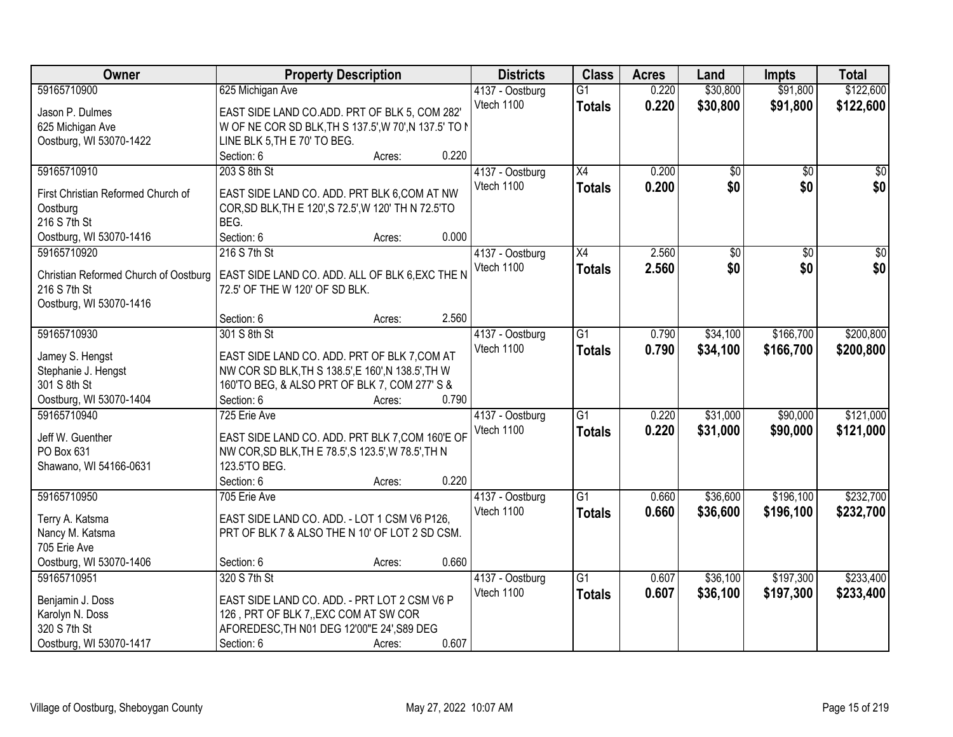| Owner                                 | <b>Property Description</b>                           |        | <b>Districts</b> | <b>Class</b>    | <b>Acres</b> | Land            | <b>Impts</b>    | <b>Total</b>    |
|---------------------------------------|-------------------------------------------------------|--------|------------------|-----------------|--------------|-----------------|-----------------|-----------------|
| 59165710900                           | 625 Michigan Ave                                      |        | 4137 - Oostburg  | $\overline{G1}$ | 0.220        | \$30,800        | \$91,800        | \$122,600       |
| Jason P. Dulmes                       | EAST SIDE LAND CO.ADD. PRT OF BLK 5, COM 282'         |        | Vtech 1100       | <b>Totals</b>   | 0.220        | \$30,800        | \$91,800        | \$122,600       |
| 625 Michigan Ave                      | W OF NE COR SD BLK, TH S 137.5', W 70', N 137.5' TO N |        |                  |                 |              |                 |                 |                 |
| Oostburg, WI 53070-1422               | LINE BLK 5, TH E 70' TO BEG.                          |        |                  |                 |              |                 |                 |                 |
|                                       | Section: 6                                            | Acres: | 0.220            |                 |              |                 |                 |                 |
| 59165710910                           | 203 S 8th St                                          |        | 4137 - Oostburg  | $\overline{X4}$ | 0.200        | $\overline{50}$ | $\overline{50}$ | $\sqrt{50}$     |
|                                       |                                                       |        | Vtech 1100       | <b>Totals</b>   | 0.200        | \$0             | \$0             | \$0             |
| First Christian Reformed Church of    | EAST SIDE LAND CO. ADD. PRT BLK 6, COM AT NW          |        |                  |                 |              |                 |                 |                 |
| Oostburg                              | COR, SD BLK, TH E 120', S 72.5', W 120' TH N 72.5'TO  |        |                  |                 |              |                 |                 |                 |
| 216 S 7th St                          | BEG.                                                  |        |                  |                 |              |                 |                 |                 |
| Oostburg, WI 53070-1416               | Section: 6                                            | Acres: | 0.000            |                 |              |                 |                 |                 |
| 59165710920                           | 216 S 7th St                                          |        | 4137 - Oostburg  | X4              | 2.560        | $\overline{50}$ | $\overline{50}$ | $\overline{30}$ |
| Christian Reformed Church of Oostburg | EAST SIDE LAND CO. ADD. ALL OF BLK 6, EXC THE N       |        | Vtech 1100       | <b>Totals</b>   | 2.560        | \$0             | \$0             | \$0             |
| 216 S 7th St                          | 72.5' OF THE W 120' OF SD BLK.                        |        |                  |                 |              |                 |                 |                 |
| Oostburg, WI 53070-1416               |                                                       |        |                  |                 |              |                 |                 |                 |
|                                       | Section: 6                                            | Acres: | 2.560            |                 |              |                 |                 |                 |
| 59165710930                           | 301 S 8th St                                          |        | 4137 - Oostburg  | $\overline{G1}$ | 0.790        | \$34,100        | \$166,700       | \$200,800       |
|                                       |                                                       |        | Vtech 1100       |                 | 0.790        | \$34,100        | \$166,700       | \$200,800       |
| Jamey S. Hengst                       | EAST SIDE LAND CO. ADD. PRT OF BLK 7, COM AT          |        |                  | <b>Totals</b>   |              |                 |                 |                 |
| Stephanie J. Hengst                   | NW COR SD BLK, TH S 138.5', E 160', N 138.5', TH W    |        |                  |                 |              |                 |                 |                 |
| 301 S 8th St                          | 160'TO BEG, & ALSO PRT OF BLK 7, COM 277' S &         |        |                  |                 |              |                 |                 |                 |
| Oostburg, WI 53070-1404               | Section: 6                                            | Acres: | 0.790            |                 |              |                 |                 |                 |
| 59165710940                           | 725 Erie Ave                                          |        | 4137 - Oostburg  | $\overline{G1}$ | 0.220        | \$31,000        | \$90,000        | \$121,000       |
|                                       |                                                       |        | Vtech 1100       | Totals          | 0.220        | \$31,000        | \$90,000        | \$121,000       |
| Jeff W. Guenther<br>PO Box 631        | EAST SIDE LAND CO. ADD. PRT BLK 7, COM 160'E OF       |        |                  |                 |              |                 |                 |                 |
|                                       | NW COR, SD BLK, TH E 78.5', S 123.5', W 78.5', TH N   |        |                  |                 |              |                 |                 |                 |
| Shawano, WI 54166-0631                | 123.5'TO BEG.                                         |        | 0.220            |                 |              |                 |                 |                 |
|                                       | Section: 6                                            | Acres: |                  |                 |              |                 |                 |                 |
| 59165710950                           | 705 Erie Ave                                          |        | 4137 - Oostburg  | $\overline{G1}$ | 0.660        | \$36,600        | \$196,100       | \$232,700       |
| Terry A. Katsma                       | EAST SIDE LAND CO. ADD. - LOT 1 CSM V6 P126,          |        | Vtech 1100       | <b>Totals</b>   | 0.660        | \$36,600        | \$196,100       | \$232,700       |
| Nancy M. Katsma                       | PRT OF BLK 7 & ALSO THE N 10' OF LOT 2 SD CSM.        |        |                  |                 |              |                 |                 |                 |
| 705 Erie Ave                          |                                                       |        |                  |                 |              |                 |                 |                 |
| Oostburg, WI 53070-1406               | Section: 6                                            | Acres: | 0.660            |                 |              |                 |                 |                 |
| 59165710951                           | 320 S 7th St                                          |        | 4137 - Oostburg  | $\overline{G1}$ | 0.607        | \$36,100        | \$197,300       | \$233,400       |
|                                       |                                                       |        | Vtech 1100       | <b>Totals</b>   | 0.607        | \$36,100        | \$197,300       | \$233,400       |
| Benjamin J. Doss                      | EAST SIDE LAND CO. ADD. - PRT LOT 2 CSM V6 P          |        |                  |                 |              |                 |                 |                 |
| Karolyn N. Doss                       | 126, PRT OF BLK 7, EXC COM AT SW COR                  |        |                  |                 |              |                 |                 |                 |
| 320 S 7th St                          | AFOREDESC, TH N01 DEG 12'00"E 24', S89 DEG            |        |                  |                 |              |                 |                 |                 |
| Oostburg, WI 53070-1417               | Section: 6                                            | Acres: | 0.607            |                 |              |                 |                 |                 |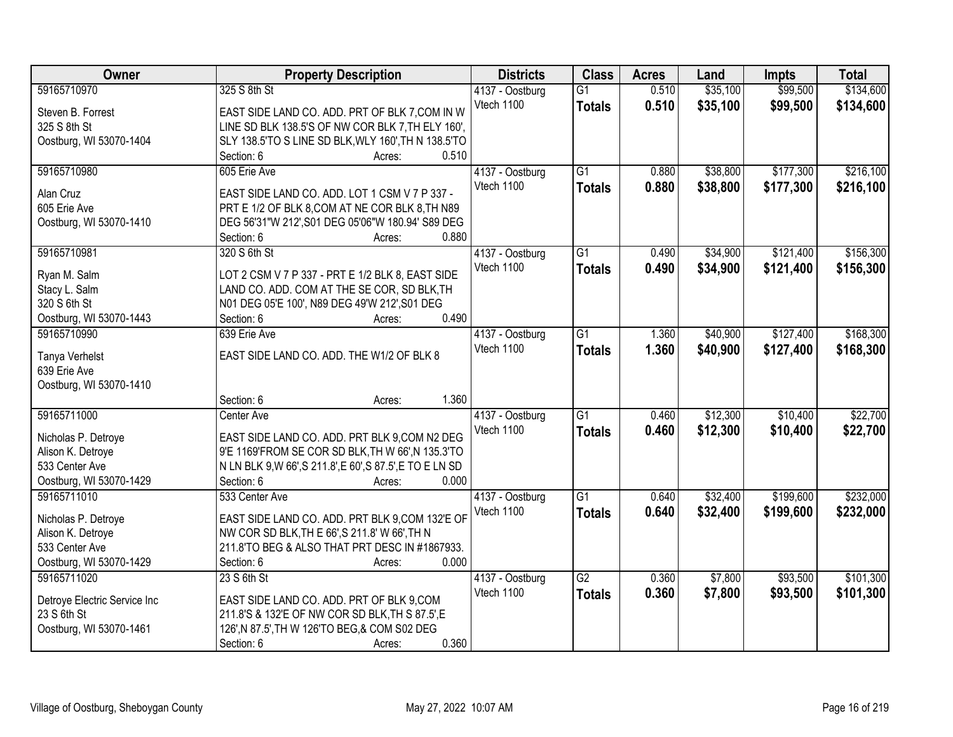| Owner                        | <b>Property Description</b>                               | <b>Districts</b> | <b>Class</b>    | <b>Acres</b> | Land     | <b>Impts</b> | <b>Total</b> |
|------------------------------|-----------------------------------------------------------|------------------|-----------------|--------------|----------|--------------|--------------|
| 59165710970                  | 325 S 8th St                                              | 4137 - Oostburg  | $\overline{G1}$ | 0.510        | \$35,100 | \$99,500     | \$134,600    |
| Steven B. Forrest            | EAST SIDE LAND CO. ADD. PRT OF BLK 7, COM IN W            | Vtech 1100       | <b>Totals</b>   | 0.510        | \$35,100 | \$99,500     | \$134,600    |
| 325 S 8th St                 | LINE SD BLK 138.5'S OF NW COR BLK 7, TH ELY 160',         |                  |                 |              |          |              |              |
| Oostburg, WI 53070-1404      | SLY 138.5'TO S LINE SD BLK, WLY 160', TH N 138.5'TO       |                  |                 |              |          |              |              |
|                              | 0.510<br>Section: 6<br>Acres:                             |                  |                 |              |          |              |              |
| 59165710980                  | 605 Erie Ave                                              | 4137 - Oostburg  | $\overline{G1}$ | 0.880        | \$38,800 | \$177,300    | \$216,100    |
|                              |                                                           | Vtech 1100       | <b>Totals</b>   | 0.880        | \$38,800 | \$177,300    | \$216,100    |
| Alan Cruz                    | EAST SIDE LAND CO. ADD. LOT 1 CSM V 7 P 337 -             |                  |                 |              |          |              |              |
| 605 Erie Ave                 | PRT E 1/2 OF BLK 8, COM AT NE COR BLK 8, TH N89           |                  |                 |              |          |              |              |
| Oostburg, WI 53070-1410      | DEG 56'31"W 212', S01 DEG 05'06"W 180.94' S89 DEG         |                  |                 |              |          |              |              |
|                              | 0.880<br>Section: 6<br>Acres:                             |                  |                 |              |          |              |              |
| 59165710981                  | 320 S 6th St                                              | 4137 - Oostburg  | G1              | 0.490        | \$34,900 | \$121,400    | \$156,300    |
| Ryan M. Salm                 | LOT 2 CSM V 7 P 337 - PRT E 1/2 BLK 8, EAST SIDE          | Vtech 1100       | <b>Totals</b>   | 0.490        | \$34,900 | \$121,400    | \$156,300    |
| Stacy L. Salm                | LAND CO. ADD. COM AT THE SE COR, SD BLK, TH               |                  |                 |              |          |              |              |
| 320 S 6th St                 | N01 DEG 05'E 100', N89 DEG 49'W 212', S01 DEG             |                  |                 |              |          |              |              |
| Oostburg, WI 53070-1443      | 0.490<br>Section: 6<br>Acres:                             |                  |                 |              |          |              |              |
| 59165710990                  | 639 Erie Ave                                              | 4137 - Oostburg  | $\overline{G1}$ | 1.360        | \$40,900 | \$127,400    | \$168,300    |
|                              |                                                           | Vtech 1100       | <b>Totals</b>   | 1.360        | \$40,900 | \$127,400    | \$168,300    |
| Tanya Verhelst               | EAST SIDE LAND CO. ADD. THE W1/2 OF BLK 8                 |                  |                 |              |          |              |              |
| 639 Erie Ave                 |                                                           |                  |                 |              |          |              |              |
| Oostburg, WI 53070-1410      |                                                           |                  |                 |              |          |              |              |
|                              | 1.360<br>Section: 6<br>Acres:                             |                  |                 |              |          |              |              |
| 59165711000                  | Center Ave                                                | 4137 - Oostburg  | $\overline{G1}$ | 0.460        | \$12,300 | \$10,400     | \$22,700     |
| Nicholas P. Detroye          | EAST SIDE LAND CO. ADD. PRT BLK 9,COM N2 DEG              | Vtech 1100       | <b>Totals</b>   | 0.460        | \$12,300 | \$10,400     | \$22,700     |
| Alison K. Detroye            | 9'E 1169'FROM SE COR SD BLK, TH W 66', N 135.3'TO         |                  |                 |              |          |              |              |
| 533 Center Ave               | N LN BLK 9, W 66', S 211.8', E 60', S 87.5', E TO E LN SD |                  |                 |              |          |              |              |
| Oostburg, WI 53070-1429      | 0.000<br>Section: 6<br>Acres:                             |                  |                 |              |          |              |              |
| 59165711010                  | 533 Center Ave                                            | 4137 - Oostburg  | $\overline{G1}$ | 0.640        | \$32,400 | \$199,600    | \$232,000    |
|                              |                                                           | Vtech 1100       | <b>Totals</b>   | 0.640        | \$32,400 | \$199,600    | \$232,000    |
| Nicholas P. Detroye          | EAST SIDE LAND CO. ADD. PRT BLK 9,COM 132'E OF            |                  |                 |              |          |              |              |
| Alison K. Detroye            | NW COR SD BLK, TH E 66', S 211.8' W 66', TH N             |                  |                 |              |          |              |              |
| 533 Center Ave               | 211.8'TO BEG & ALSO THAT PRT DESC IN #1867933.            |                  |                 |              |          |              |              |
| Oostburg, WI 53070-1429      | 0.000<br>Section: 6<br>Acres:                             |                  |                 |              |          |              |              |
| 59165711020                  | 23 S 6th St                                               | 4137 - Oostburg  | $\overline{G2}$ | 0.360        | \$7,800  | \$93,500     | \$101,300    |
| Detroye Electric Service Inc | EAST SIDE LAND CO. ADD. PRT OF BLK 9,COM                  | Vtech 1100       | <b>Totals</b>   | 0.360        | \$7,800  | \$93,500     | \$101,300    |
| 23 S 6th St                  | 211.8'S & 132'E OF NW COR SD BLK, TH S 87.5', E           |                  |                 |              |          |              |              |
| Oostburg, WI 53070-1461      | 126', N 87.5', TH W 126'TO BEG, & COM S02 DEG             |                  |                 |              |          |              |              |
|                              | 0.360<br>Section: 6<br>Acres:                             |                  |                 |              |          |              |              |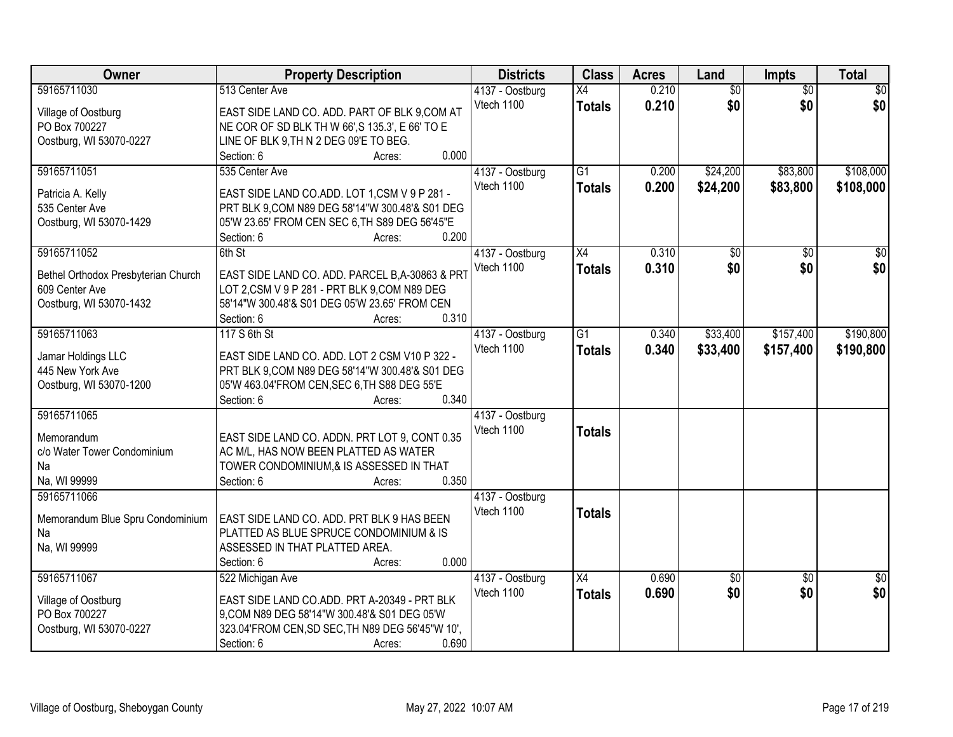| <b>Owner</b>                           | <b>Property Description</b>                                                                      | <b>Districts</b> | <b>Class</b>    | <b>Acres</b> | Land            | Impts           | <b>Total</b>    |
|----------------------------------------|--------------------------------------------------------------------------------------------------|------------------|-----------------|--------------|-----------------|-----------------|-----------------|
| 59165711030                            | 513 Center Ave                                                                                   | 4137 - Oostburg  | X4              | 0.210        | $\overline{50}$ | $\overline{50}$ | \$0             |
| Village of Oostburg                    | EAST SIDE LAND CO. ADD. PART OF BLK 9,COM AT                                                     | Vtech 1100       | <b>Totals</b>   | 0.210        | \$0             | \$0             | \$0             |
| PO Box 700227                          | NE COR OF SD BLK TH W 66', S 135.3', E 66' TO E                                                  |                  |                 |              |                 |                 |                 |
| Oostburg, WI 53070-0227                | LINE OF BLK 9, TH N 2 DEG 09'E TO BEG.                                                           |                  |                 |              |                 |                 |                 |
|                                        | 0.000<br>Section: 6<br>Acres:                                                                    |                  |                 |              |                 |                 |                 |
| 59165711051                            | 535 Center Ave                                                                                   | 4137 - Oostburg  | $\overline{G1}$ | 0.200        | \$24,200        | \$83,800        | \$108,000       |
|                                        |                                                                                                  | Vtech 1100       | <b>Totals</b>   | 0.200        | \$24,200        | \$83,800        | \$108,000       |
| Patricia A. Kelly                      | EAST SIDE LAND CO.ADD. LOT 1,CSM V 9 P 281 -                                                     |                  |                 |              |                 |                 |                 |
| 535 Center Ave                         | PRT BLK 9, COM N89 DEG 58'14"W 300.48'& S01 DEG                                                  |                  |                 |              |                 |                 |                 |
| Oostburg, WI 53070-1429                | 05'W 23.65' FROM CEN SEC 6, TH S89 DEG 56'45"E                                                   |                  |                 |              |                 |                 |                 |
|                                        | 0.200<br>Section: 6<br>Acres:                                                                    |                  |                 |              |                 |                 |                 |
| 59165711052                            | 6th St                                                                                           | 4137 - Oostburg  | X4              | 0.310        | \$0             | \$0             | $\overline{50}$ |
| Bethel Orthodox Presbyterian Church    | EAST SIDE LAND CO. ADD. PARCEL B, A-30863 & PRT                                                  | Vtech 1100       | <b>Totals</b>   | 0.310        | \$0             | \$0             | \$0             |
| 609 Center Ave                         | LOT 2,CSM V 9 P 281 - PRT BLK 9,COM N89 DEG                                                      |                  |                 |              |                 |                 |                 |
| Oostburg, WI 53070-1432                | 58'14"W 300.48'& S01 DEG 05'W 23.65' FROM CEN                                                    |                  |                 |              |                 |                 |                 |
|                                        | 0.310<br>Section: 6<br>Acres:                                                                    |                  |                 |              |                 |                 |                 |
| 59165711063                            | 117 S 6th St                                                                                     | 4137 - Oostburg  | $\overline{G1}$ | 0.340        | \$33,400        | \$157,400       | \$190,800       |
|                                        |                                                                                                  | Vtech 1100       | <b>Totals</b>   | 0.340        | \$33,400        | \$157,400       | \$190,800       |
| Jamar Holdings LLC<br>445 New York Ave | EAST SIDE LAND CO. ADD. LOT 2 CSM V10 P 322 -<br>PRT BLK 9, COM N89 DEG 58'14"W 300.48'& S01 DEG |                  |                 |              |                 |                 |                 |
| Oostburg, WI 53070-1200                | 05'W 463.04'FROM CEN, SEC 6, TH S88 DEG 55'E                                                     |                  |                 |              |                 |                 |                 |
|                                        | 0.340<br>Section: 6<br>Acres:                                                                    |                  |                 |              |                 |                 |                 |
| 59165711065                            |                                                                                                  | 4137 - Oostburg  |                 |              |                 |                 |                 |
|                                        |                                                                                                  | Vtech 1100       | <b>Totals</b>   |              |                 |                 |                 |
| Memorandum                             | EAST SIDE LAND CO. ADDN. PRT LOT 9, CONT 0.35                                                    |                  |                 |              |                 |                 |                 |
| c/o Water Tower Condominium            | AC M/L, HAS NOW BEEN PLATTED AS WATER                                                            |                  |                 |              |                 |                 |                 |
| Na                                     | TOWER CONDOMINIUM, & IS ASSESSED IN THAT                                                         |                  |                 |              |                 |                 |                 |
| Na, WI 99999                           | 0.350<br>Section: 6<br>Acres:                                                                    |                  |                 |              |                 |                 |                 |
| 59165711066                            |                                                                                                  | 4137 - Oostburg  |                 |              |                 |                 |                 |
| Memorandum Blue Spru Condominium       | EAST SIDE LAND CO. ADD. PRT BLK 9 HAS BEEN                                                       | Vtech 1100       | <b>Totals</b>   |              |                 |                 |                 |
| Na                                     | PLATTED AS BLUE SPRUCE CONDOMINIUM & IS                                                          |                  |                 |              |                 |                 |                 |
| Na, WI 99999                           | ASSESSED IN THAT PLATTED AREA.                                                                   |                  |                 |              |                 |                 |                 |
|                                        | 0.000<br>Section: 6<br>Acres:                                                                    |                  |                 |              |                 |                 |                 |
| 59165711067                            | 522 Michigan Ave                                                                                 | 4137 - Oostburg  | $\overline{X4}$ | 0.690        | \$0             | $\overline{50}$ | $\overline{50}$ |
|                                        |                                                                                                  | Vtech 1100       | <b>Totals</b>   | 0.690        | \$0             | \$0             | \$0             |
| Village of Oostburg                    | EAST SIDE LAND CO.ADD. PRT A-20349 - PRT BLK                                                     |                  |                 |              |                 |                 |                 |
| PO Box 700227                          | 9,COM N89 DEG 58'14"W 300.48'& S01 DEG 05'W                                                      |                  |                 |              |                 |                 |                 |
| Oostburg, WI 53070-0227                | 323.04'FROM CEN, SD SEC, TH N89 DEG 56'45"W 10',                                                 |                  |                 |              |                 |                 |                 |
|                                        | 0.690<br>Section: 6<br>Acres:                                                                    |                  |                 |              |                 |                 |                 |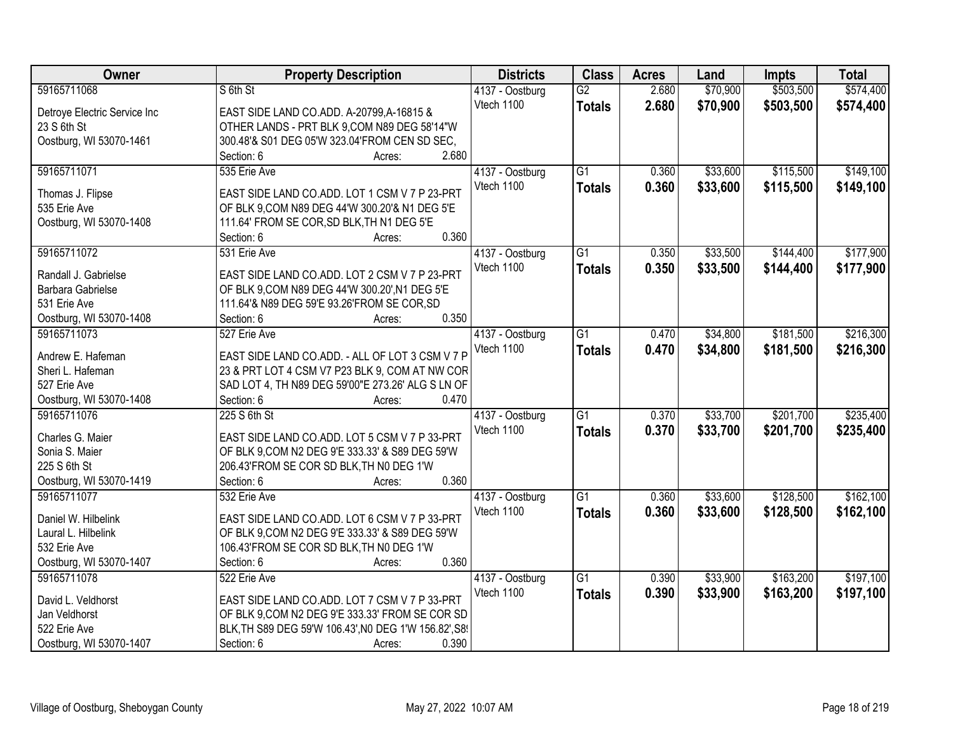| Owner                        | <b>Property Description</b>                           | <b>Districts</b> | <b>Class</b>    | <b>Acres</b> | Land     | <b>Impts</b> | <b>Total</b> |
|------------------------------|-------------------------------------------------------|------------------|-----------------|--------------|----------|--------------|--------------|
| 59165711068                  | S 6th St                                              | 4137 - Oostburg  | $\overline{G2}$ | 2.680        | \$70,900 | \$503,500    | \$574,400    |
| Detroye Electric Service Inc | EAST SIDE LAND CO.ADD. A-20799, A-16815 &             | Vtech 1100       | <b>Totals</b>   | 2.680        | \$70,900 | \$503,500    | \$574,400    |
| 23 S 6th St                  | OTHER LANDS - PRT BLK 9,COM N89 DEG 58'14"W           |                  |                 |              |          |              |              |
| Oostburg, WI 53070-1461      | 300.48'& S01 DEG 05'W 323.04'FROM CEN SD SEC,         |                  |                 |              |          |              |              |
|                              | 2.680<br>Section: 6<br>Acres:                         |                  |                 |              |          |              |              |
| 59165711071                  | 535 Erie Ave                                          | 4137 - Oostburg  | $\overline{G1}$ | 0.360        | \$33,600 | \$115,500    | \$149,100    |
|                              |                                                       | Vtech 1100       | <b>Totals</b>   | 0.360        | \$33,600 | \$115,500    | \$149,100    |
| Thomas J. Flipse             | EAST SIDE LAND CO.ADD. LOT 1 CSM V 7 P 23-PRT         |                  |                 |              |          |              |              |
| 535 Erie Ave                 | OF BLK 9, COM N89 DEG 44'W 300.20'& N1 DEG 5'E        |                  |                 |              |          |              |              |
| Oostburg, WI 53070-1408      | 111.64' FROM SE COR, SD BLK, TH N1 DEG 5'E            |                  |                 |              |          |              |              |
|                              | 0.360<br>Section: 6<br>Acres:                         |                  |                 |              |          |              |              |
| 59165711072                  | 531 Erie Ave                                          | 4137 - Oostburg  | $\overline{G1}$ | 0.350        | \$33,500 | \$144,400    | \$177,900    |
| Randall J. Gabrielse         | EAST SIDE LAND CO.ADD. LOT 2 CSM V 7 P 23-PRT         | Vtech 1100       | <b>Totals</b>   | 0.350        | \$33,500 | \$144,400    | \$177,900    |
| Barbara Gabrielse            | OF BLK 9, COM N89 DEG 44'W 300.20', N1 DEG 5'E        |                  |                 |              |          |              |              |
| 531 Erie Ave                 | 111.64'& N89 DEG 59'E 93.26'FROM SE COR, SD           |                  |                 |              |          |              |              |
| Oostburg, WI 53070-1408      | 0.350<br>Section: 6                                   |                  |                 |              |          |              |              |
|                              | Acres:                                                |                  |                 |              |          |              |              |
| 59165711073                  | 527 Erie Ave                                          | 4137 - Oostburg  | $\overline{G1}$ | 0.470        | \$34,800 | \$181,500    | \$216,300    |
| Andrew E. Hafeman            | EAST SIDE LAND CO.ADD. - ALL OF LOT 3 CSM V 7 P       | Vtech 1100       | <b>Totals</b>   | 0.470        | \$34,800 | \$181,500    | \$216,300    |
| Sheri L. Hafeman             | 23 & PRT LOT 4 CSM V7 P23 BLK 9, COM AT NW COR        |                  |                 |              |          |              |              |
| 527 Erie Ave                 | SAD LOT 4, TH N89 DEG 59'00"E 273.26' ALG S LN OF     |                  |                 |              |          |              |              |
| Oostburg, WI 53070-1408      | Section: 6<br>0.470<br>Acres:                         |                  |                 |              |          |              |              |
| 59165711076                  | 225 S 6th St                                          | 4137 - Oostburg  | $\overline{G1}$ | 0.370        | \$33,700 | \$201,700    | \$235,400    |
|                              |                                                       | Vtech 1100       | <b>Totals</b>   | 0.370        | \$33,700 | \$201,700    | \$235,400    |
| Charles G. Maier             | EAST SIDE LAND CO.ADD. LOT 5 CSM V 7 P 33-PRT         |                  |                 |              |          |              |              |
| Sonia S. Maier               | OF BLK 9, COM N2 DEG 9'E 333.33' & S89 DEG 59'W       |                  |                 |              |          |              |              |
| 225 S 6th St                 | 206.43'FROM SE COR SD BLK, TH NO DEG 1'W              |                  |                 |              |          |              |              |
| Oostburg, WI 53070-1419      | 0.360<br>Section: 6<br>Acres:                         |                  |                 |              |          |              |              |
| 59165711077                  | 532 Erie Ave                                          | 4137 - Oostburg  | $\overline{G1}$ | 0.360        | \$33,600 | \$128,500    | \$162,100    |
| Daniel W. Hilbelink          | EAST SIDE LAND CO.ADD. LOT 6 CSM V 7 P 33-PRT         | Vtech 1100       | <b>Totals</b>   | 0.360        | \$33,600 | \$128,500    | \$162,100    |
| Laural L. Hilbelink          | OF BLK 9, COM N2 DEG 9'E 333.33' & S89 DEG 59'W       |                  |                 |              |          |              |              |
| 532 Erie Ave                 | 106.43'FROM SE COR SD BLK, TH NO DEG 1'W              |                  |                 |              |          |              |              |
| Oostburg, WI 53070-1407      | 0.360<br>Section: 6<br>Acres:                         |                  |                 |              |          |              |              |
| 59165711078                  | 522 Erie Ave                                          |                  | $\overline{G1}$ | 0.390        | \$33,900 | \$163,200    | \$197,100    |
|                              |                                                       | 4137 - Oostburg  |                 |              |          |              |              |
| David L. Veldhorst           | EAST SIDE LAND CO.ADD. LOT 7 CSM V 7 P 33-PRT         | Vtech 1100       | <b>Totals</b>   | 0.390        | \$33,900 | \$163,200    | \$197,100    |
| Jan Veldhorst                | OF BLK 9, COM N2 DEG 9'E 333.33' FROM SE COR SD       |                  |                 |              |          |              |              |
| 522 Erie Ave                 | BLK, TH S89 DEG 59'W 106.43', NO DEG 1'W 156.82', S8! |                  |                 |              |          |              |              |
| Oostburg, WI 53070-1407      | 0.390<br>Section: 6<br>Acres:                         |                  |                 |              |          |              |              |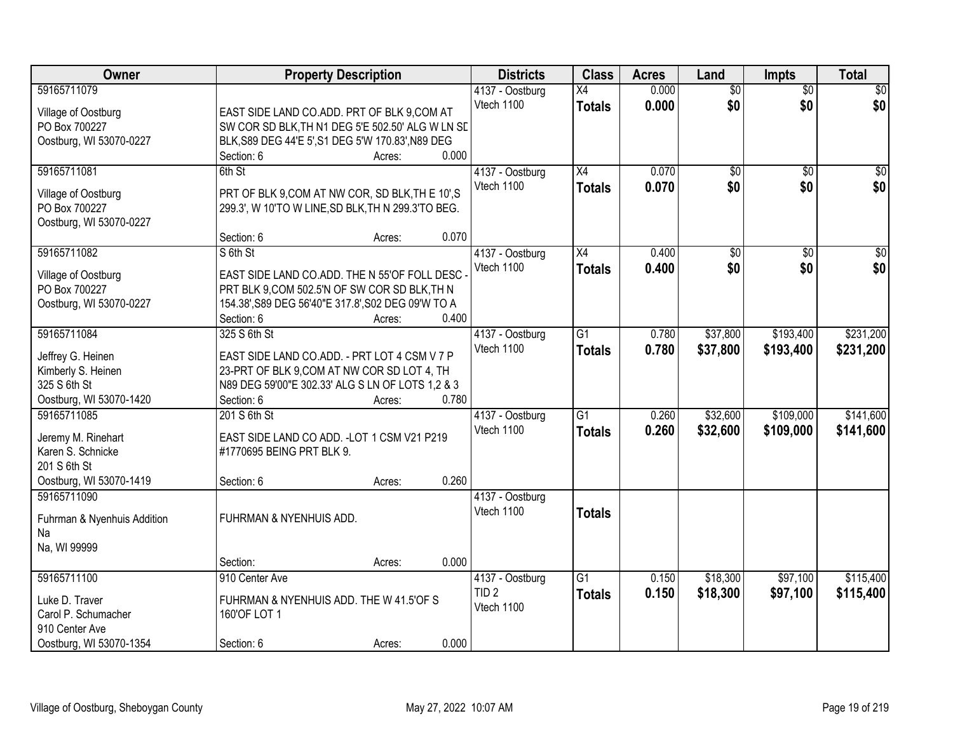| Owner                       | <b>Property Description</b>                        |        | <b>Districts</b> | <b>Class</b>    | <b>Acres</b> | Land            | <b>Impts</b>    | <b>Total</b>     |
|-----------------------------|----------------------------------------------------|--------|------------------|-----------------|--------------|-----------------|-----------------|------------------|
| 59165711079                 |                                                    |        | 4137 - Oostburg  | X4              | 0.000        | $\overline{50}$ | $\overline{50}$ | \$0              |
| Village of Oostburg         | EAST SIDE LAND CO.ADD. PRT OF BLK 9,COM AT         |        | Vtech 1100       | <b>Totals</b>   | 0.000        | \$0             | \$0             | \$0              |
| PO Box 700227               | SW COR SD BLK, TH N1 DEG 5'E 502.50' ALG W LN SE   |        |                  |                 |              |                 |                 |                  |
| Oostburg, WI 53070-0227     | BLK, S89 DEG 44'E 5', S1 DEG 5'W 170.83', N89 DEG  |        |                  |                 |              |                 |                 |                  |
|                             | Section: 6                                         | Acres: | 0.000            |                 |              |                 |                 |                  |
| 59165711081                 | 6th St                                             |        | 4137 - Oostburg  | $\overline{X4}$ | 0.070        | $\overline{50}$ | $\overline{30}$ | $\overline{50}$  |
|                             |                                                    |        | Vtech 1100       | <b>Totals</b>   | 0.070        | \$0             | \$0             | \$0              |
| Village of Oostburg         | PRT OF BLK 9, COM AT NW COR, SD BLK, TH E 10', S   |        |                  |                 |              |                 |                 |                  |
| PO Box 700227               | 299.3', W 10'TO W LINE, SD BLK, TH N 299.3'TO BEG. |        |                  |                 |              |                 |                 |                  |
| Oostburg, WI 53070-0227     | Section: 6                                         | Acres: | 0.070            |                 |              |                 |                 |                  |
| 59165711082                 | S 6th St                                           |        | 4137 - Oostburg  | X4              | 0.400        | \$0             | \$0             | $\overline{\$0}$ |
|                             |                                                    |        | Vtech 1100       |                 |              | \$0             | \$0             | \$0              |
| Village of Oostburg         | EAST SIDE LAND CO.ADD. THE N 55'OF FOLL DESC       |        |                  | <b>Totals</b>   | 0.400        |                 |                 |                  |
| PO Box 700227               | PRT BLK 9, COM 502.5'N OF SW COR SD BLK, TH N      |        |                  |                 |              |                 |                 |                  |
| Oostburg, WI 53070-0227     | 154.38', S89 DEG 56'40"E 317.8', S02 DEG 09'W TO A |        |                  |                 |              |                 |                 |                  |
|                             | Section: 6                                         | Acres: | 0.400            |                 |              |                 |                 |                  |
| 59165711084                 | 325 S 6th St                                       |        | 4137 - Oostburg  | $\overline{G1}$ | 0.780        | \$37,800        | \$193,400       | \$231,200        |
| Jeffrey G. Heinen           | EAST SIDE LAND CO.ADD. - PRT LOT 4 CSM V 7 P       |        | Vtech 1100       | <b>Totals</b>   | 0.780        | \$37,800        | \$193,400       | \$231,200        |
| Kimberly S. Heinen          | 23-PRT OF BLK 9, COM AT NW COR SD LOT 4, TH        |        |                  |                 |              |                 |                 |                  |
| 325 S 6th St                | N89 DEG 59'00"E 302.33' ALG S LN OF LOTS 1,2 & 3   |        |                  |                 |              |                 |                 |                  |
| Oostburg, WI 53070-1420     | Section: 6                                         | Acres: | 0.780            |                 |              |                 |                 |                  |
| 59165711085                 | 201 S 6th St                                       |        | 4137 - Oostburg  | $\overline{G1}$ | 0.260        | \$32,600        | \$109,000       | \$141,600        |
|                             |                                                    |        | Vtech 1100       | <b>Totals</b>   | 0.260        | \$32,600        | \$109,000       | \$141,600        |
| Jeremy M. Rinehart          | EAST SIDE LAND CO ADD. - LOT 1 CSM V21 P219        |        |                  |                 |              |                 |                 |                  |
| Karen S. Schnicke           | #1770695 BEING PRT BLK 9.                          |        |                  |                 |              |                 |                 |                  |
| 201 S 6th St                |                                                    |        |                  |                 |              |                 |                 |                  |
| Oostburg, WI 53070-1419     | Section: 6                                         | Acres: | 0.260            |                 |              |                 |                 |                  |
| 59165711090                 |                                                    |        | 4137 - Oostburg  |                 |              |                 |                 |                  |
| Fuhrman & Nyenhuis Addition | FUHRMAN & NYENHUIS ADD.                            |        | Vtech 1100       | <b>Totals</b>   |              |                 |                 |                  |
| Na                          |                                                    |        |                  |                 |              |                 |                 |                  |
| Na, WI 99999                |                                                    |        |                  |                 |              |                 |                 |                  |
|                             | Section:                                           | Acres: | 0.000            |                 |              |                 |                 |                  |
| 59165711100                 | 910 Center Ave                                     |        | 4137 - Oostburg  | $\overline{G1}$ | 0.150        | \$18,300        | \$97,100        | \$115,400        |
| Luke D. Traver              | FUHRMAN & NYENHUIS ADD. THE W 41.5'OF S            |        | TID <sub>2</sub> | <b>Totals</b>   | 0.150        | \$18,300        | \$97,100        | \$115,400        |
| Carol P. Schumacher         | 160'OF LOT 1                                       |        | Vtech 1100       |                 |              |                 |                 |                  |
| 910 Center Ave              |                                                    |        |                  |                 |              |                 |                 |                  |
| Oostburg, WI 53070-1354     | Section: 6                                         | Acres: | 0.000            |                 |              |                 |                 |                  |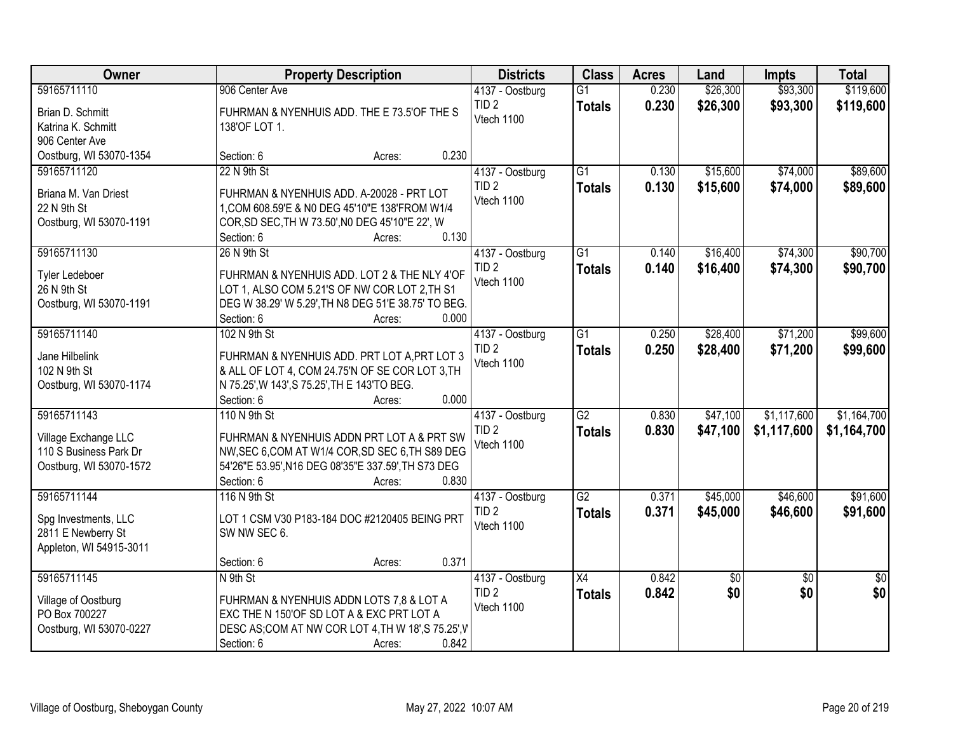| <b>Owner</b>                         | <b>Property Description</b>                         | <b>Districts</b>               | <b>Class</b>    | <b>Acres</b> | Land     | <b>Impts</b>    | <b>Total</b>    |
|--------------------------------------|-----------------------------------------------------|--------------------------------|-----------------|--------------|----------|-----------------|-----------------|
| 59165711110                          | 906 Center Ave                                      | 4137 - Oostburg                | $\overline{G1}$ | 0.230        | \$26,300 | \$93,300        | \$119,600       |
| Brian D. Schmitt                     | FUHRMAN & NYENHUIS ADD. THE E 73.5'OF THE S         | TID <sub>2</sub>               | <b>Totals</b>   | 0.230        | \$26,300 | \$93,300        | \$119,600       |
| Katrina K. Schmitt                   | 138'OF LOT 1.                                       | Vtech 1100                     |                 |              |          |                 |                 |
| 906 Center Ave                       |                                                     |                                |                 |              |          |                 |                 |
| Oostburg, WI 53070-1354              | 0.230<br>Section: 6<br>Acres:                       |                                |                 |              |          |                 |                 |
| 59165711120                          | 22 N 9th St                                         | 4137 - Oostburg                | $\overline{G1}$ | 0.130        | \$15,600 | \$74,000        | \$89,600        |
| Briana M. Van Driest                 | FUHRMAN & NYENHUIS ADD. A-20028 - PRT LOT           | TID <sub>2</sub>               | <b>Totals</b>   | 0.130        | \$15,600 | \$74,000        | \$89,600        |
| 22 N 9th St                          | 1, COM 608.59'E & N0 DEG 45'10"E 138'FROM W1/4      | Vtech 1100                     |                 |              |          |                 |                 |
| Oostburg, WI 53070-1191              | COR, SD SEC, TH W 73.50', NO DEG 45'10"E 22', W     |                                |                 |              |          |                 |                 |
|                                      | 0.130<br>Section: 6<br>Acres:                       |                                |                 |              |          |                 |                 |
| 59165711130                          | 26 N 9th St                                         | 4137 - Oostburg                | G1              | 0.140        | \$16,400 | \$74,300        | \$90,700        |
|                                      | FUHRMAN & NYENHUIS ADD. LOT 2 & THE NLY 4'OF        | TID <sub>2</sub>               | <b>Totals</b>   | 0.140        | \$16,400 | \$74,300        | \$90,700        |
| <b>Tyler Ledeboer</b><br>26 N 9th St | LOT 1, ALSO COM 5.21'S OF NW COR LOT 2, TH S1       | Vtech 1100                     |                 |              |          |                 |                 |
| Oostburg, WI 53070-1191              | DEG W 38.29' W 5.29', TH N8 DEG 51'E 38.75' TO BEG. |                                |                 |              |          |                 |                 |
|                                      | Section: 6<br>0.000<br>Acres:                       |                                |                 |              |          |                 |                 |
| 59165711140                          | 102 N 9th St                                        | 4137 - Oostburg                | $\overline{G1}$ | 0.250        | \$28,400 | \$71,200        | \$99,600        |
|                                      |                                                     | TID <sub>2</sub>               | <b>Totals</b>   | 0.250        | \$28,400 | \$71,200        | \$99,600        |
| Jane Hilbelink                       | FUHRMAN & NYENHUIS ADD. PRT LOT A, PRT LOT 3        | Vtech 1100                     |                 |              |          |                 |                 |
| 102 N 9th St                         | & ALL OF LOT 4, COM 24.75'N OF SE COR LOT 3, TH     |                                |                 |              |          |                 |                 |
| Oostburg, WI 53070-1174              | N 75.25', W 143', S 75.25', TH E 143'TO BEG.        |                                |                 |              |          |                 |                 |
|                                      | 0.000<br>Section: 6<br>Acres:                       |                                |                 |              |          |                 |                 |
| 59165711143                          | 110 N 9th St                                        | 4137 - Oostburg                | $\overline{G2}$ | 0.830        | \$47,100 | \$1,117,600     | \$1,164,700     |
| Village Exchange LLC                 | FUHRMAN & NYENHUIS ADDN PRT LOT A & PRT SW          | TID <sub>2</sub><br>Vtech 1100 | <b>Totals</b>   | 0.830        | \$47,100 | \$1,117,600     | \$1,164,700     |
| 110 S Business Park Dr               | NW, SEC 6, COM AT W1/4 COR, SD SEC 6, TH S89 DEG    |                                |                 |              |          |                 |                 |
| Oostburg, WI 53070-1572              | 54'26"E 53.95', N16 DEG 08'35"E 337.59', TH S73 DEG |                                |                 |              |          |                 |                 |
|                                      | Section: 6<br>0.830<br>Acres:                       |                                |                 |              |          |                 |                 |
| 59165711144                          | 116 N 9th St                                        | 4137 - Oostburg                | G2              | 0.371        | \$45,000 | \$46,600        | \$91,600        |
| Spg Investments, LLC                 | LOT 1 CSM V30 P183-184 DOC #2120405 BEING PRT       | TID <sub>2</sub>               | <b>Totals</b>   | 0.371        | \$45,000 | \$46,600        | \$91,600        |
| 2811 E Newberry St                   | SW NW SEC 6.                                        | Vtech 1100                     |                 |              |          |                 |                 |
| Appleton, WI 54915-3011              |                                                     |                                |                 |              |          |                 |                 |
|                                      | 0.371<br>Section: 6<br>Acres:                       |                                |                 |              |          |                 |                 |
| 59165711145                          | N 9th St                                            | 4137 - Oostburg                | $\overline{X4}$ | 0.842        | \$0      | $\overline{50}$ | $\overline{50}$ |
| Village of Oostburg                  | FUHRMAN & NYENHUIS ADDN LOTS 7,8 & LOT A            | TID <sub>2</sub>               | <b>Totals</b>   | 0.842        | \$0      | \$0             | \$0             |
| PO Box 700227                        | EXC THE N 150'OF SD LOT A & EXC PRT LOT A           | Vtech 1100                     |                 |              |          |                 |                 |
| Oostburg, WI 53070-0227              | DESC AS; COM AT NW COR LOT 4, TH W 18', S 75.25', V |                                |                 |              |          |                 |                 |
|                                      | Section: 6<br>0.842<br>Acres:                       |                                |                 |              |          |                 |                 |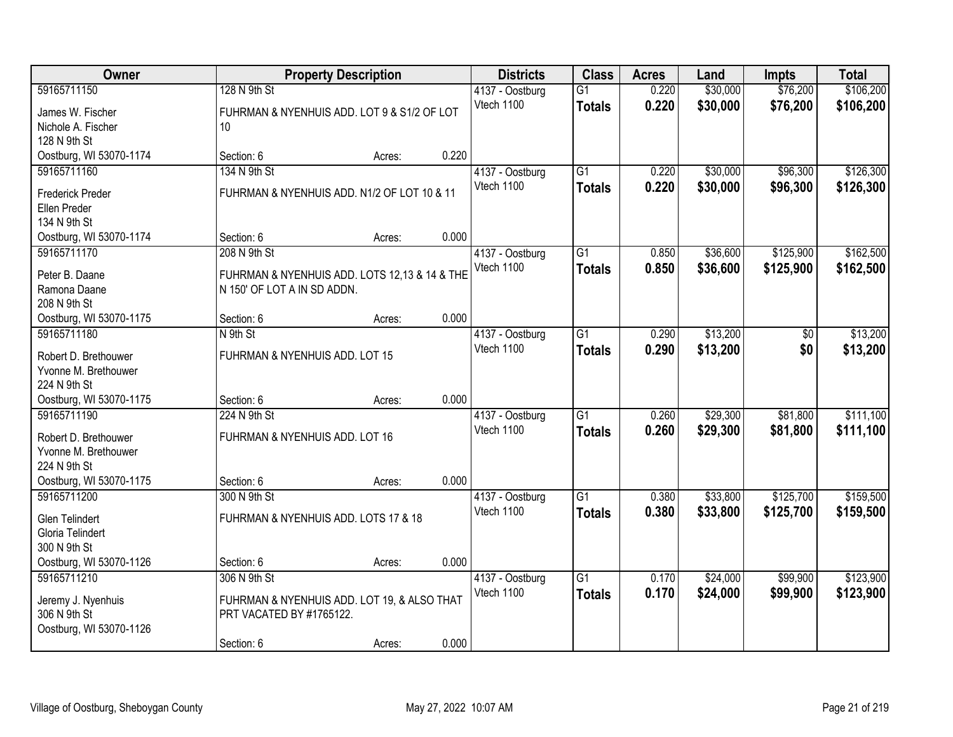| <b>Owner</b>                            |                                                                              | <b>Property Description</b> |       | <b>Districts</b>              | <b>Class</b>        | <b>Acres</b>   | Land                 | <b>Impts</b>         | <b>Total</b>           |
|-----------------------------------------|------------------------------------------------------------------------------|-----------------------------|-------|-------------------------------|---------------------|----------------|----------------------|----------------------|------------------------|
| 59165711150<br>James W. Fischer         | 128 N 9th St<br>FUHRMAN & NYENHUIS ADD. LOT 9 & S1/2 OF LOT                  |                             |       | 4137 - Oostburg<br>Vtech 1100 | G1<br><b>Totals</b> | 0.220<br>0.220 | \$30,000<br>\$30,000 | \$76,200<br>\$76,200 | \$106,200<br>\$106,200 |
| Nichole A. Fischer<br>128 N 9th St      | 10 <sup>°</sup>                                                              |                             |       |                               |                     |                |                      |                      |                        |
| Oostburg, WI 53070-1174                 | Section: 6                                                                   | Acres:                      | 0.220 |                               |                     |                |                      |                      |                        |
| 59165711160                             | 134 N 9th St                                                                 |                             |       | 4137 - Oostburg               | $\overline{G1}$     | 0.220          | \$30,000             | \$96,300             | \$126,300              |
| <b>Frederick Preder</b>                 | FUHRMAN & NYENHUIS ADD. N1/2 OF LOT 10 & 11                                  |                             |       | Vtech 1100                    | <b>Totals</b>       | 0.220          | \$30,000             | \$96,300             | \$126,300              |
| Ellen Preder                            |                                                                              |                             |       |                               |                     |                |                      |                      |                        |
| 134 N 9th St<br>Oostburg, WI 53070-1174 | Section: 6                                                                   | Acres:                      | 0.000 |                               |                     |                |                      |                      |                        |
| 59165711170                             | 208 N 9th St                                                                 |                             |       | 4137 - Oostburg               | G <sub>1</sub>      | 0.850          | \$36,600             | \$125,900            | \$162,500              |
|                                         |                                                                              |                             |       | Vtech 1100                    | <b>Totals</b>       | 0.850          | \$36,600             | \$125,900            | \$162,500              |
| Peter B. Daane<br>Ramona Daane          | FUHRMAN & NYENHUIS ADD. LOTS 12,13 & 14 & THE<br>N 150' OF LOT A IN SD ADDN. |                             |       |                               |                     |                |                      |                      |                        |
| 208 N 9th St                            |                                                                              |                             |       |                               |                     |                |                      |                      |                        |
| Oostburg, WI 53070-1175                 | Section: 6                                                                   | Acres:                      | 0.000 |                               |                     |                |                      |                      |                        |
| 59165711180                             | N 9th St                                                                     |                             |       | 4137 - Oostburg               | $\overline{G1}$     | 0.290          | \$13,200             | \$0                  | \$13,200               |
| Robert D. Brethouwer                    | FUHRMAN & NYENHUIS ADD. LOT 15                                               |                             |       | Vtech 1100                    | <b>Totals</b>       | 0.290          | \$13,200             | \$0                  | \$13,200               |
| Yvonne M. Brethouwer                    |                                                                              |                             |       |                               |                     |                |                      |                      |                        |
| 224 N 9th St                            |                                                                              |                             |       |                               |                     |                |                      |                      |                        |
| Oostburg, WI 53070-1175                 | Section: 6                                                                   | Acres:                      | 0.000 |                               |                     |                |                      |                      |                        |
| 59165711190                             | 224 N 9th St                                                                 |                             |       | 4137 - Oostburg               | $\overline{G1}$     | 0.260          | \$29,300             | \$81,800             | \$111,100              |
| Robert D. Brethouwer                    | FUHRMAN & NYENHUIS ADD. LOT 16                                               |                             |       | Vtech 1100                    | <b>Totals</b>       | 0.260          | \$29,300             | \$81,800             | \$111,100              |
| Yvonne M. Brethouwer                    |                                                                              |                             |       |                               |                     |                |                      |                      |                        |
| 224 N 9th St                            |                                                                              |                             |       |                               |                     |                |                      |                      |                        |
| Oostburg, WI 53070-1175                 | Section: 6                                                                   | Acres:                      | 0.000 |                               |                     |                |                      |                      |                        |
| 59165711200                             | 300 N 9th St                                                                 |                             |       | 4137 - Oostburg               | $\overline{G1}$     | 0.380          | \$33,800             | \$125,700            | \$159,500              |
| <b>Glen Telindert</b>                   | FUHRMAN & NYENHUIS ADD. LOTS 17 & 18                                         |                             |       | Vtech 1100                    | <b>Totals</b>       | 0.380          | \$33,800             | \$125,700            | \$159,500              |
| Gloria Telindert                        |                                                                              |                             |       |                               |                     |                |                      |                      |                        |
| 300 N 9th St                            |                                                                              |                             |       |                               |                     |                |                      |                      |                        |
| Oostburg, WI 53070-1126                 | Section: 6                                                                   | Acres:                      | 0.000 |                               |                     |                |                      |                      |                        |
| 59165711210                             | 306 N 9th St                                                                 |                             |       | 4137 - Oostburg               | $\overline{G1}$     | 0.170          | \$24,000             | \$99,900             | \$123,900              |
| Jeremy J. Nyenhuis                      | FUHRMAN & NYENHUIS ADD. LOT 19, & ALSO THAT                                  |                             |       | Vtech 1100                    | <b>Totals</b>       | 0.170          | \$24,000             | \$99,900             | \$123,900              |
| 306 N 9th St                            | PRT VACATED BY #1765122.                                                     |                             |       |                               |                     |                |                      |                      |                        |
| Oostburg, WI 53070-1126                 |                                                                              |                             |       |                               |                     |                |                      |                      |                        |
|                                         | Section: 6                                                                   | Acres:                      | 0.000 |                               |                     |                |                      |                      |                        |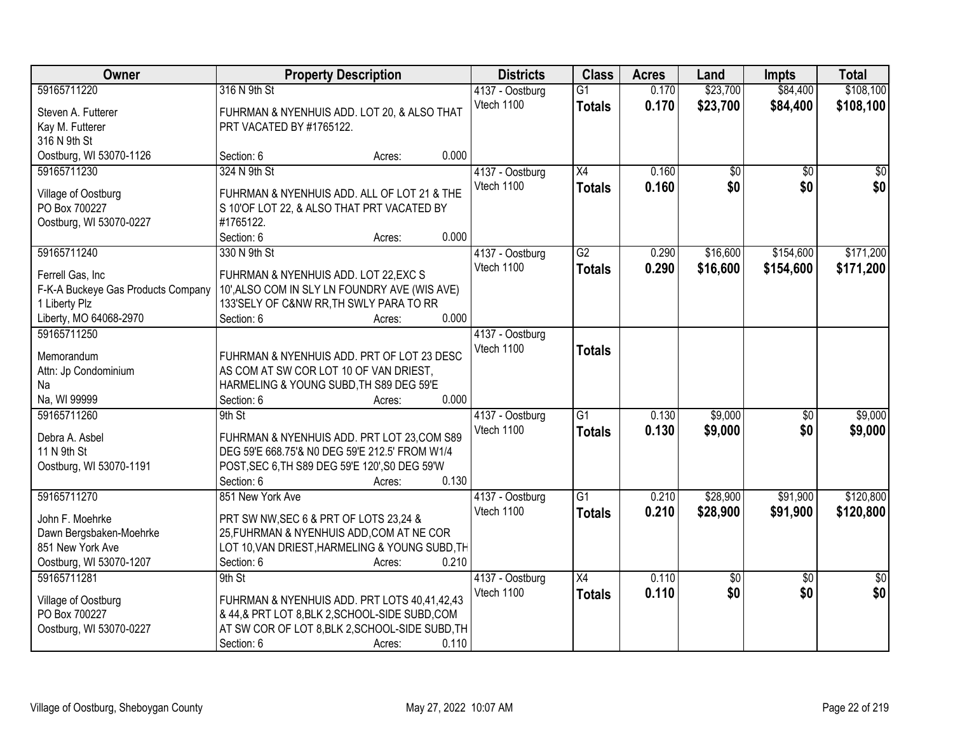| Owner                                | <b>Property Description</b>                             |       | <b>Districts</b> | <b>Class</b>    | <b>Acres</b> | Land            | <b>Impts</b>    | <b>Total</b>    |
|--------------------------------------|---------------------------------------------------------|-------|------------------|-----------------|--------------|-----------------|-----------------|-----------------|
| 59165711220                          | 316 N 9th St                                            |       | 4137 - Oostburg  | $\overline{G1}$ | 0.170        | \$23,700        | \$84,400        | \$108,100       |
| Steven A. Futterer                   | FUHRMAN & NYENHUIS ADD. LOT 20, & ALSO THAT             |       | Vtech 1100       | <b>Totals</b>   | 0.170        | \$23,700        | \$84,400        | \$108,100       |
| Kay M. Futterer                      | PRT VACATED BY #1765122.                                |       |                  |                 |              |                 |                 |                 |
| 316 N 9th St                         |                                                         |       |                  |                 |              |                 |                 |                 |
| Oostburg, WI 53070-1126              | Section: 6<br>Acres:                                    | 0.000 |                  |                 |              |                 |                 |                 |
| 59165711230                          | 324 N 9th St                                            |       | 4137 - Oostburg  | $\overline{X4}$ | 0.160        | \$0             | $\overline{50}$ | \$0             |
|                                      |                                                         |       | Vtech 1100       | <b>Totals</b>   | 0.160        | \$0             | \$0             | \$0             |
| Village of Oostburg<br>PO Box 700227 | FUHRMAN & NYENHUIS ADD. ALL OF LOT 21 & THE             |       |                  |                 |              |                 |                 |                 |
|                                      | S 10'OF LOT 22, & ALSO THAT PRT VACATED BY<br>#1765122. |       |                  |                 |              |                 |                 |                 |
| Oostburg, WI 53070-0227              | Section: 6<br>Acres:                                    | 0.000 |                  |                 |              |                 |                 |                 |
| 59165711240                          | 330 N 9th St                                            |       | 4137 - Oostburg  | $\overline{G2}$ | 0.290        | \$16,600        | \$154,600       | \$171,200       |
|                                      |                                                         |       | Vtech 1100       | <b>Totals</b>   | 0.290        | \$16,600        | \$154,600       | \$171,200       |
| Ferrell Gas, Inc                     | FUHRMAN & NYENHUIS ADD. LOT 22, EXC S                   |       |                  |                 |              |                 |                 |                 |
| F-K-A Buckeye Gas Products Company   | 10', ALSO COM IN SLY LN FOUNDRY AVE (WIS AVE)           |       |                  |                 |              |                 |                 |                 |
| 1 Liberty Plz                        | 133'SELY OF C&NW RR, TH SWLY PARA TO RR                 |       |                  |                 |              |                 |                 |                 |
| Liberty, MO 64068-2970               | Section: 6<br>Acres:                                    | 0.000 |                  |                 |              |                 |                 |                 |
| 59165711250                          |                                                         |       | 4137 - Oostburg  |                 |              |                 |                 |                 |
| Memorandum                           | FUHRMAN & NYENHUIS ADD. PRT OF LOT 23 DESC              |       | Vtech 1100       | <b>Totals</b>   |              |                 |                 |                 |
| Attn: Jp Condominium                 | AS COM AT SW COR LOT 10 OF VAN DRIEST,                  |       |                  |                 |              |                 |                 |                 |
| Na                                   | HARMELING & YOUNG SUBD, TH S89 DEG 59'E                 |       |                  |                 |              |                 |                 |                 |
| Na, WI 99999                         | Section: 6<br>Acres:                                    | 0.000 |                  |                 |              |                 |                 |                 |
| 59165711260                          | 9th St                                                  |       | 4137 - Oostburg  | $\overline{G1}$ | 0.130        | \$9,000         | \$0             | \$9,000         |
| Debra A. Asbel                       | FUHRMAN & NYENHUIS ADD. PRT LOT 23, COM S89             |       | Vtech 1100       | <b>Totals</b>   | 0.130        | \$9,000         | \$0             | \$9,000         |
| 11 N 9th St                          | DEG 59'E 668.75'& N0 DEG 59'E 212.5' FROM W1/4          |       |                  |                 |              |                 |                 |                 |
| Oostburg, WI 53070-1191              | POST, SEC 6, TH S89 DEG 59'E 120', S0 DEG 59'W          |       |                  |                 |              |                 |                 |                 |
|                                      | Section: 6<br>Acres:                                    | 0.130 |                  |                 |              |                 |                 |                 |
| 59165711270                          | 851 New York Ave                                        |       | 4137 - Oostburg  | $\overline{G1}$ | 0.210        | \$28,900        | \$91,900        | \$120,800       |
|                                      |                                                         |       | Vtech 1100       | <b>Totals</b>   | 0.210        | \$28,900        | \$91,900        | \$120,800       |
| John F. Moehrke                      | PRT SW NW, SEC 6 & PRT OF LOTS 23,24 &                  |       |                  |                 |              |                 |                 |                 |
| Dawn Bergsbaken-Moehrke              | 25, FUHRMAN & NYENHUIS ADD, COM AT NE COR               |       |                  |                 |              |                 |                 |                 |
| 851 New York Ave                     | LOT 10, VAN DRIEST, HARMELING & YOUNG SUBD, TH          |       |                  |                 |              |                 |                 |                 |
| Oostburg, WI 53070-1207              | Section: 6<br>Acres:                                    | 0.210 |                  |                 |              |                 |                 |                 |
| 59165711281                          | 9th St                                                  |       | 4137 - Oostburg  | $\overline{X4}$ | 0.110        | $\overline{50}$ | $\overline{50}$ | $\overline{50}$ |
| Village of Oostburg                  | FUHRMAN & NYENHUIS ADD. PRT LOTS 40,41,42,43            |       | Vtech 1100       | <b>Totals</b>   | 0.110        | \$0             | \$0             | \$0             |
| PO Box 700227                        | & 44,& PRT LOT 8, BLK 2, SCHOOL-SIDE SUBD, COM          |       |                  |                 |              |                 |                 |                 |
| Oostburg, WI 53070-0227              | AT SW COR OF LOT 8, BLK 2, SCHOOL-SIDE SUBD, TH         |       |                  |                 |              |                 |                 |                 |
|                                      | Section: 6<br>Acres:                                    | 0.110 |                  |                 |              |                 |                 |                 |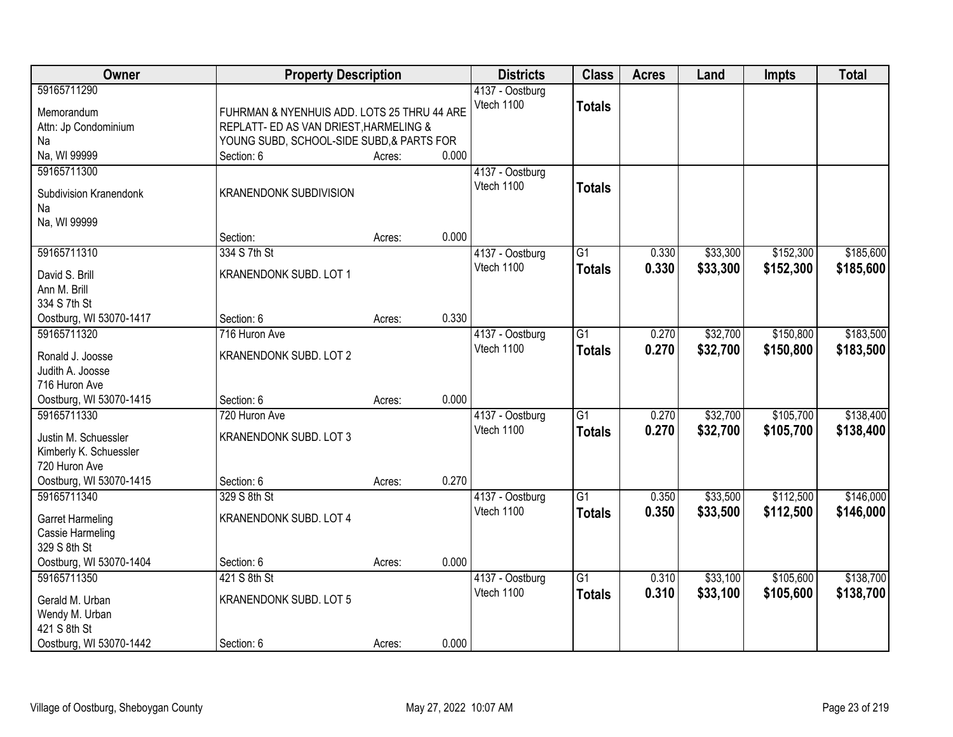| Owner                                                                                                     | <b>Property Description</b>                                                                                                        |        |       | <b>Districts</b>              | <b>Class</b>                     | <b>Acres</b>   | Land                 | <b>Impts</b>           | <b>Total</b>           |
|-----------------------------------------------------------------------------------------------------------|------------------------------------------------------------------------------------------------------------------------------------|--------|-------|-------------------------------|----------------------------------|----------------|----------------------|------------------------|------------------------|
| 59165711290<br>Memorandum<br>Attn: Jp Condominium<br>Na                                                   | FUHRMAN & NYENHUIS ADD. LOTS 25 THRU 44 ARE<br>REPLATT- ED AS VAN DRIEST, HARMELING &<br>YOUNG SUBD, SCHOOL-SIDE SUBD, & PARTS FOR |        |       | 4137 - Oostburg<br>Vtech 1100 | <b>Totals</b>                    |                |                      |                        |                        |
| Na, WI 99999                                                                                              | Section: 6                                                                                                                         | Acres: | 0.000 |                               |                                  |                |                      |                        |                        |
| 59165711300<br>Subdivision Kranendonk<br>Na<br>Na, WI 99999                                               | <b>KRANENDONK SUBDIVISION</b>                                                                                                      |        |       | 4137 - Oostburg<br>Vtech 1100 | <b>Totals</b>                    |                |                      |                        |                        |
|                                                                                                           | Section:                                                                                                                           | Acres: | 0.000 |                               |                                  |                |                      |                        |                        |
| 59165711310<br>David S. Brill<br>Ann M. Brill<br>334 S 7th St                                             | 334 S 7th St<br>KRANENDONK SUBD. LOT 1                                                                                             |        |       | 4137 - Oostburg<br>Vtech 1100 | $\overline{G1}$<br><b>Totals</b> | 0.330<br>0.330 | \$33,300<br>\$33,300 | \$152,300<br>\$152,300 | \$185,600<br>\$185,600 |
| Oostburg, WI 53070-1417                                                                                   | Section: 6                                                                                                                         | Acres: | 0.330 |                               |                                  |                |                      |                        |                        |
| 59165711320<br>Ronald J. Joosse<br>Judith A. Joosse<br>716 Huron Ave                                      | 716 Huron Ave<br>KRANENDONK SUBD. LOT 2                                                                                            |        |       | 4137 - Oostburg<br>Vtech 1100 | $\overline{G1}$<br><b>Totals</b> | 0.270<br>0.270 | \$32,700<br>\$32,700 | \$150,800<br>\$150,800 | \$183,500<br>\$183,500 |
| Oostburg, WI 53070-1415                                                                                   | Section: 6                                                                                                                         | Acres: | 0.000 |                               |                                  |                |                      |                        |                        |
| 59165711330<br>Justin M. Schuessler<br>Kimberly K. Schuessler<br>720 Huron Ave<br>Oostburg, WI 53070-1415 | 720 Huron Ave<br><b>KRANENDONK SUBD. LOT 3</b><br>Section: 6                                                                       | Acres: | 0.270 | 4137 - Oostburg<br>Vtech 1100 | $\overline{G1}$<br><b>Totals</b> | 0.270<br>0.270 | \$32,700<br>\$32,700 | \$105,700<br>\$105,700 | \$138,400<br>\$138,400 |
| 59165711340                                                                                               | 329 S 8th St                                                                                                                       |        |       | 4137 - Oostburg               | $\overline{G1}$                  | 0.350          | \$33,500             | \$112,500              | \$146,000              |
| <b>Garret Harmeling</b><br>Cassie Harmeling<br>329 S 8th St                                               | <b>KRANENDONK SUBD. LOT 4</b>                                                                                                      |        |       | Vtech 1100                    | <b>Totals</b>                    | 0.350          | \$33,500             | \$112,500              | \$146,000              |
| Oostburg, WI 53070-1404                                                                                   | Section: 6                                                                                                                         | Acres: | 0.000 |                               |                                  |                |                      |                        |                        |
| 59165711350<br>Gerald M. Urban<br>Wendy M. Urban<br>421 S 8th St<br>Oostburg, WI 53070-1442               | 421 S 8th St<br><b>KRANENDONK SUBD. LOT 5</b><br>Section: 6                                                                        |        | 0.000 | 4137 - Oostburg<br>Vtech 1100 | $\overline{G1}$<br><b>Totals</b> | 0.310<br>0.310 | \$33,100<br>\$33,100 | \$105,600<br>\$105,600 | \$138,700<br>\$138,700 |
|                                                                                                           |                                                                                                                                    | Acres: |       |                               |                                  |                |                      |                        |                        |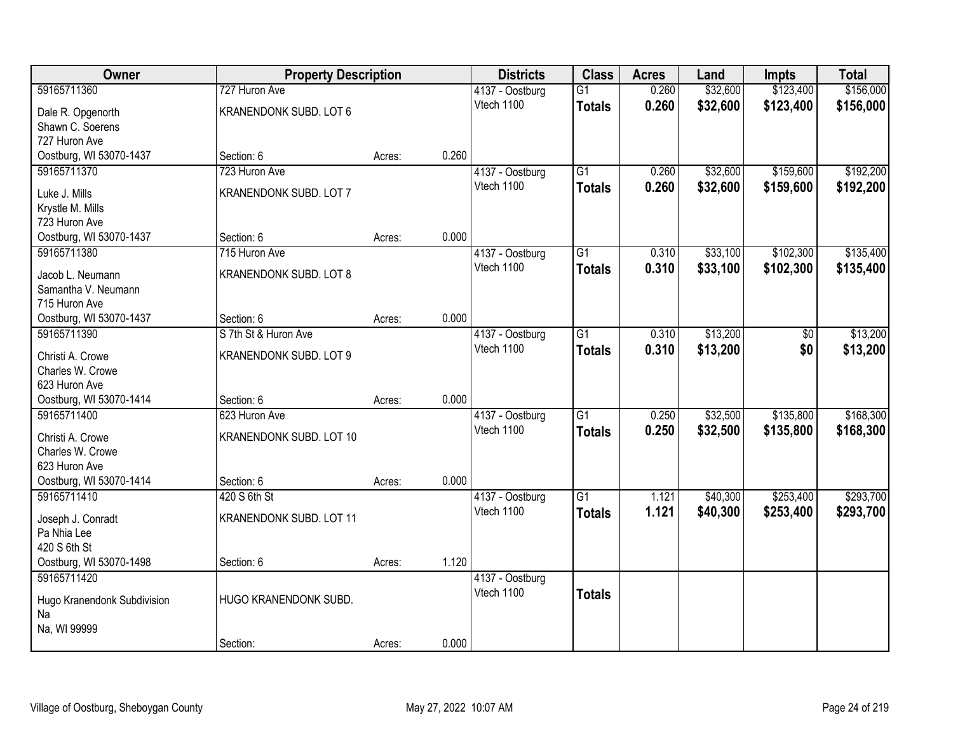| Owner                                    | <b>Property Description</b> |        |       | <b>Districts</b> | <b>Class</b>    | <b>Acres</b> | Land     | <b>Impts</b> | <b>Total</b> |
|------------------------------------------|-----------------------------|--------|-------|------------------|-----------------|--------------|----------|--------------|--------------|
| 59165711360                              | 727 Huron Ave               |        |       | 4137 - Oostburg  | $\overline{G1}$ | 0.260        | \$32,600 | \$123,400    | \$156,000    |
| Dale R. Opgenorth                        | KRANENDONK SUBD. LOT 6      |        |       | Vtech 1100       | <b>Totals</b>   | 0.260        | \$32,600 | \$123,400    | \$156,000    |
| Shawn C. Soerens                         |                             |        |       |                  |                 |              |          |              |              |
| 727 Huron Ave                            |                             |        |       |                  |                 |              |          |              |              |
| Oostburg, WI 53070-1437                  | Section: 6                  | Acres: | 0.260 |                  |                 |              |          |              |              |
| 59165711370                              | 723 Huron Ave               |        |       | 4137 - Oostburg  | $\overline{G1}$ | 0.260        | \$32,600 | \$159,600    | \$192,200    |
| Luke J. Mills                            | KRANENDONK SUBD. LOT 7      |        |       | Vtech 1100       | <b>Totals</b>   | 0.260        | \$32,600 | \$159,600    | \$192,200    |
| Krystle M. Mills                         |                             |        |       |                  |                 |              |          |              |              |
| 723 Huron Ave                            |                             |        |       |                  |                 |              |          |              |              |
| Oostburg, WI 53070-1437                  | Section: 6                  | Acres: | 0.000 |                  |                 |              |          |              |              |
| 59165711380                              | 715 Huron Ave               |        |       | 4137 - Oostburg  | G1              | 0.310        | \$33,100 | \$102,300    | \$135,400    |
|                                          |                             |        |       | Vtech 1100       | <b>Totals</b>   | 0.310        | \$33,100 | \$102,300    | \$135,400    |
| Jacob L. Neumann                         | KRANENDONK SUBD. LOT 8      |        |       |                  |                 |              |          |              |              |
| Samantha V. Neumann                      |                             |        |       |                  |                 |              |          |              |              |
| 715 Huron Ave<br>Oostburg, WI 53070-1437 | Section: 6                  | Acres: | 0.000 |                  |                 |              |          |              |              |
| 59165711390                              | S 7th St & Huron Ave        |        |       | 4137 - Oostburg  | G1              | 0.310        | \$13,200 | \$0          | \$13,200     |
|                                          |                             |        |       | Vtech 1100       |                 | 0.310        | \$13,200 | \$0          | \$13,200     |
| Christi A. Crowe                         | KRANENDONK SUBD. LOT 9      |        |       |                  | <b>Totals</b>   |              |          |              |              |
| Charles W. Crowe                         |                             |        |       |                  |                 |              |          |              |              |
| 623 Huron Ave                            |                             |        |       |                  |                 |              |          |              |              |
| Oostburg, WI 53070-1414                  | Section: 6                  | Acres: | 0.000 |                  |                 |              |          |              |              |
| 59165711400                              | 623 Huron Ave               |        |       | 4137 - Oostburg  | $\overline{G1}$ | 0.250        | \$32,500 | \$135,800    | \$168,300    |
| Christi A. Crowe                         | KRANENDONK SUBD. LOT 10     |        |       | Vtech 1100       | <b>Totals</b>   | 0.250        | \$32,500 | \$135,800    | \$168,300    |
| Charles W. Crowe                         |                             |        |       |                  |                 |              |          |              |              |
| 623 Huron Ave                            |                             |        |       |                  |                 |              |          |              |              |
| Oostburg, WI 53070-1414                  | Section: 6                  | Acres: | 0.000 |                  |                 |              |          |              |              |
| 59165711410                              | 420 S 6th St                |        |       | 4137 - Oostburg  | $\overline{G1}$ | 1.121        | \$40,300 | \$253,400    | \$293,700    |
| Joseph J. Conradt                        | KRANENDONK SUBD. LOT 11     |        |       | Vtech 1100       | <b>Totals</b>   | 1.121        | \$40,300 | \$253,400    | \$293,700    |
| Pa Nhia Lee                              |                             |        |       |                  |                 |              |          |              |              |
| 420 S 6th St                             |                             |        |       |                  |                 |              |          |              |              |
| Oostburg, WI 53070-1498                  | Section: 6                  | Acres: | 1.120 |                  |                 |              |          |              |              |
| 59165711420                              |                             |        |       | 4137 - Oostburg  |                 |              |          |              |              |
|                                          |                             |        |       | Vtech 1100       | <b>Totals</b>   |              |          |              |              |
| Hugo Kranendonk Subdivision              | HUGO KRANENDONK SUBD.       |        |       |                  |                 |              |          |              |              |
| Na<br>Na, WI 99999                       |                             |        |       |                  |                 |              |          |              |              |
|                                          | Section:                    | Acres: | 0.000 |                  |                 |              |          |              |              |
|                                          |                             |        |       |                  |                 |              |          |              |              |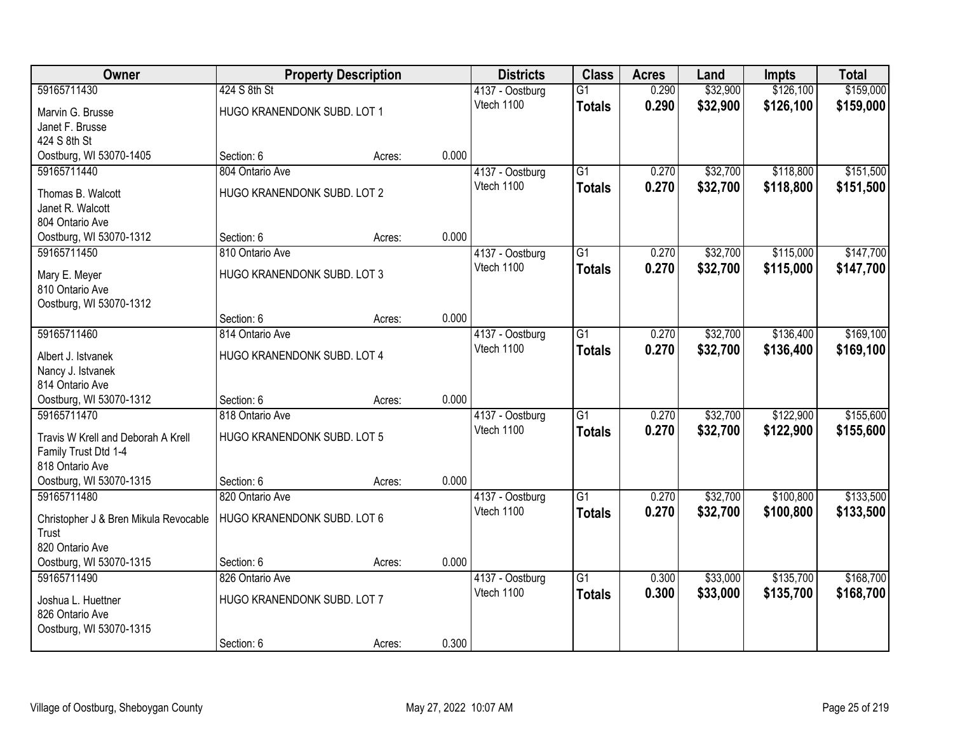| <b>Owner</b>                          |                             | <b>Property Description</b> |       | <b>Districts</b> | <b>Class</b>    | <b>Acres</b> | Land     | <b>Impts</b> | <b>Total</b> |
|---------------------------------------|-----------------------------|-----------------------------|-------|------------------|-----------------|--------------|----------|--------------|--------------|
| 59165711430                           | 424 S 8th St                |                             |       | 4137 - Oostburg  | $\overline{G1}$ | 0.290        | \$32,900 | \$126,100    | \$159,000    |
| Marvin G. Brusse                      | HUGO KRANENDONK SUBD. LOT 1 |                             |       | Vtech 1100       | <b>Totals</b>   | 0.290        | \$32,900 | \$126,100    | \$159,000    |
| Janet F. Brusse                       |                             |                             |       |                  |                 |              |          |              |              |
| 424 S 8th St                          |                             |                             |       |                  |                 |              |          |              |              |
| Oostburg, WI 53070-1405               | Section: 6                  | Acres:                      | 0.000 |                  |                 |              |          |              |              |
| 59165711440                           | 804 Ontario Ave             |                             |       | 4137 - Oostburg  | $\overline{G1}$ | 0.270        | \$32,700 | \$118,800    | \$151,500    |
| Thomas B. Walcott                     | HUGO KRANENDONK SUBD. LOT 2 |                             |       | Vtech 1100       | <b>Totals</b>   | 0.270        | \$32,700 | \$118,800    | \$151,500    |
| Janet R. Walcott                      |                             |                             |       |                  |                 |              |          |              |              |
| 804 Ontario Ave                       |                             |                             |       |                  |                 |              |          |              |              |
| Oostburg, WI 53070-1312               | Section: 6                  | Acres:                      | 0.000 |                  |                 |              |          |              |              |
| 59165711450                           | 810 Ontario Ave             |                             |       | 4137 - Oostburg  | $\overline{G1}$ | 0.270        | \$32,700 | \$115,000    | \$147,700    |
| Mary E. Meyer                         | HUGO KRANENDONK SUBD. LOT 3 |                             |       | Vtech 1100       | <b>Totals</b>   | 0.270        | \$32,700 | \$115,000    | \$147,700    |
| 810 Ontario Ave                       |                             |                             |       |                  |                 |              |          |              |              |
| Oostburg, WI 53070-1312               |                             |                             |       |                  |                 |              |          |              |              |
|                                       | Section: 6                  | Acres:                      | 0.000 |                  |                 |              |          |              |              |
| 59165711460                           | 814 Ontario Ave             |                             |       | 4137 - Oostburg  | $\overline{G1}$ | 0.270        | \$32,700 | \$136,400    | \$169,100    |
| Albert J. Istvanek                    | HUGO KRANENDONK SUBD. LOT 4 |                             |       | Vtech 1100       | <b>Totals</b>   | 0.270        | \$32,700 | \$136,400    | \$169,100    |
| Nancy J. Istvanek                     |                             |                             |       |                  |                 |              |          |              |              |
| 814 Ontario Ave                       |                             |                             |       |                  |                 |              |          |              |              |
| Oostburg, WI 53070-1312               | Section: 6                  | Acres:                      | 0.000 |                  |                 |              |          |              |              |
| 59165711470                           | 818 Ontario Ave             |                             |       | 4137 - Oostburg  | $\overline{G1}$ | 0.270        | \$32,700 | \$122,900    | \$155,600    |
| Travis W Krell and Deborah A Krell    | HUGO KRANENDONK SUBD. LOT 5 |                             |       | Vtech 1100       | <b>Totals</b>   | 0.270        | \$32,700 | \$122,900    | \$155,600    |
| Family Trust Dtd 1-4                  |                             |                             |       |                  |                 |              |          |              |              |
| 818 Ontario Ave                       |                             |                             |       |                  |                 |              |          |              |              |
| Oostburg, WI 53070-1315               | Section: 6                  | Acres:                      | 0.000 |                  |                 |              |          |              |              |
| 59165711480                           | 820 Ontario Ave             |                             |       | 4137 - Oostburg  | $\overline{G1}$ | 0.270        | \$32,700 | \$100,800    | \$133,500    |
| Christopher J & Bren Mikula Revocable | HUGO KRANENDONK SUBD. LOT 6 |                             |       | Vtech 1100       | <b>Totals</b>   | 0.270        | \$32,700 | \$100,800    | \$133,500    |
| Trust                                 |                             |                             |       |                  |                 |              |          |              |              |
| 820 Ontario Ave                       |                             |                             |       |                  |                 |              |          |              |              |
| Oostburg, WI 53070-1315               | Section: 6                  | Acres:                      | 0.000 |                  |                 |              |          |              |              |
| 59165711490                           | 826 Ontario Ave             |                             |       | 4137 - Oostburg  | $\overline{G1}$ | 0.300        | \$33,000 | \$135,700    | \$168,700    |
| Joshua L. Huettner                    | HUGO KRANENDONK SUBD. LOT 7 |                             |       | Vtech 1100       | <b>Totals</b>   | 0.300        | \$33,000 | \$135,700    | \$168,700    |
| 826 Ontario Ave                       |                             |                             |       |                  |                 |              |          |              |              |
| Oostburg, WI 53070-1315               |                             |                             |       |                  |                 |              |          |              |              |
|                                       | Section: 6                  | Acres:                      | 0.300 |                  |                 |              |          |              |              |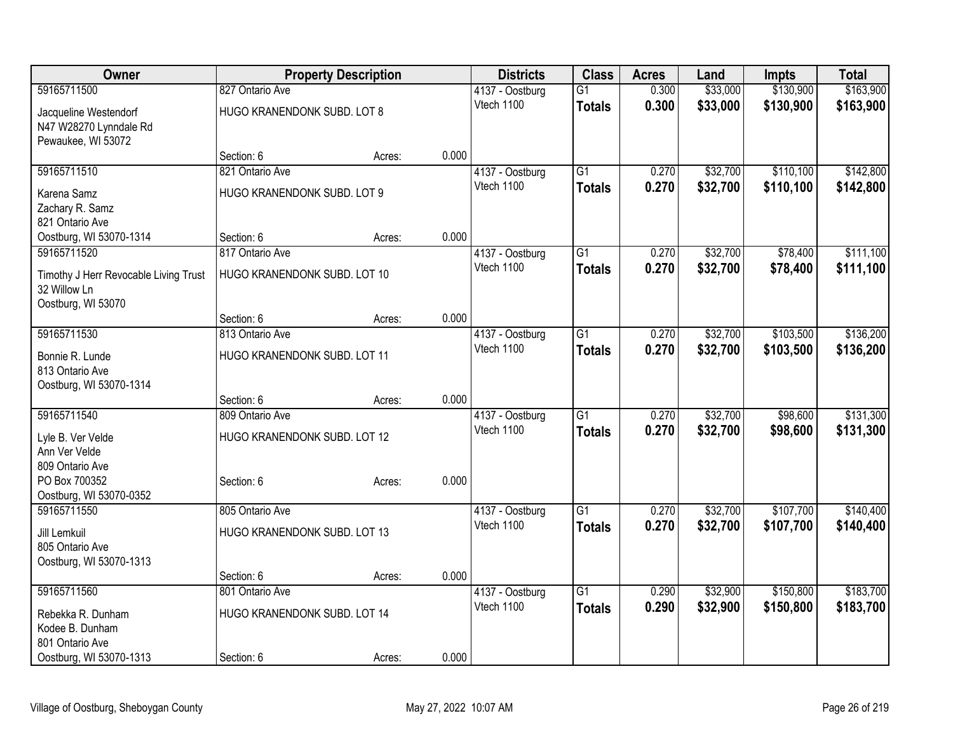| <b>Owner</b>                          |                              | <b>Property Description</b> |       | <b>Districts</b>              | <b>Class</b>    | <b>Acres</b> | Land     | Impts     | <b>Total</b> |
|---------------------------------------|------------------------------|-----------------------------|-------|-------------------------------|-----------------|--------------|----------|-----------|--------------|
| 59165711500                           | 827 Ontario Ave              |                             |       | 4137 - Oostburg               | $\overline{G1}$ | 0.300        | \$33,000 | \$130,900 | \$163,900    |
| Jacqueline Westendorf                 | HUGO KRANENDONK SUBD. LOT 8  |                             |       | Vtech 1100                    | <b>Totals</b>   | 0.300        | \$33,000 | \$130,900 | \$163,900    |
| N47 W28270 Lynndale Rd                |                              |                             |       |                               |                 |              |          |           |              |
| Pewaukee, WI 53072                    |                              |                             |       |                               |                 |              |          |           |              |
|                                       | Section: 6                   | Acres:                      | 0.000 |                               |                 |              |          |           |              |
| 59165711510                           | 821 Ontario Ave              |                             |       | 4137 - Oostburg               | $\overline{G1}$ | 0.270        | \$32,700 | \$110,100 | \$142,800    |
| Karena Samz                           | HUGO KRANENDONK SUBD. LOT 9  |                             |       | Vtech 1100                    | <b>Totals</b>   | 0.270        | \$32,700 | \$110,100 | \$142,800    |
| Zachary R. Samz                       |                              |                             |       |                               |                 |              |          |           |              |
| 821 Ontario Ave                       |                              |                             |       |                               |                 |              |          |           |              |
| Oostburg, WI 53070-1314               | Section: 6                   | Acres:                      | 0.000 |                               |                 |              |          |           |              |
| 59165711520                           | 817 Ontario Ave              |                             |       | 4137 - Oostburg               | $\overline{G1}$ | 0.270        | \$32,700 | \$78,400  | \$111,100    |
| Timothy J Herr Revocable Living Trust | HUGO KRANENDONK SUBD. LOT 10 |                             |       | Vtech 1100                    | <b>Totals</b>   | 0.270        | \$32,700 | \$78,400  | \$111,100    |
| 32 Willow Ln                          |                              |                             |       |                               |                 |              |          |           |              |
| Oostburg, WI 53070                    |                              |                             |       |                               |                 |              |          |           |              |
|                                       | Section: 6                   | Acres:                      | 0.000 |                               |                 |              |          |           |              |
| 59165711530                           | 813 Ontario Ave              |                             |       | 4137 - Oostburg               | $\overline{G1}$ | 0.270        | \$32,700 | \$103,500 | \$136,200    |
| Bonnie R. Lunde                       | HUGO KRANENDONK SUBD. LOT 11 |                             |       | Vtech 1100                    | <b>Totals</b>   | 0.270        | \$32,700 | \$103,500 | \$136,200    |
| 813 Ontario Ave                       |                              |                             |       |                               |                 |              |          |           |              |
| Oostburg, WI 53070-1314               |                              |                             |       |                               |                 |              |          |           |              |
|                                       | Section: 6                   | Acres:                      | 0.000 |                               |                 |              |          |           |              |
| 59165711540                           | 809 Ontario Ave              |                             |       | 4137 - Oostburg               | $\overline{G1}$ | 0.270        | \$32,700 | \$98,600  | \$131,300    |
| Lyle B. Ver Velde                     | HUGO KRANENDONK SUBD. LOT 12 |                             |       | Vtech 1100                    | <b>Totals</b>   | 0.270        | \$32,700 | \$98,600  | \$131,300    |
| Ann Ver Velde                         |                              |                             |       |                               |                 |              |          |           |              |
| 809 Ontario Ave                       |                              |                             |       |                               |                 |              |          |           |              |
| PO Box 700352                         | Section: 6                   | Acres:                      | 0.000 |                               |                 |              |          |           |              |
| Oostburg, WI 53070-0352               |                              |                             |       |                               |                 |              |          |           |              |
| 59165711550                           | 805 Ontario Ave              |                             |       | 4137 - Oostburg               | $\overline{G1}$ | 0.270        | \$32,700 | \$107,700 | \$140,400    |
| Jill Lemkuil                          | HUGO KRANENDONK SUBD. LOT 13 |                             |       | Vtech 1100                    | <b>Totals</b>   | 0.270        | \$32,700 | \$107,700 | \$140,400    |
| 805 Ontario Ave                       |                              |                             |       |                               |                 |              |          |           |              |
| Oostburg, WI 53070-1313               |                              |                             |       |                               |                 |              |          |           |              |
|                                       | Section: 6                   | Acres:                      | 0.000 |                               |                 |              |          |           |              |
| 59165711560                           | 801 Ontario Ave              |                             |       | 4137 - Oostburg<br>Vtech 1100 | $\overline{G1}$ | 0.290        | \$32,900 | \$150,800 | \$183,700    |
| Rebekka R. Dunham                     | HUGO KRANENDONK SUBD. LOT 14 |                             |       |                               | <b>Totals</b>   | 0.290        | \$32,900 | \$150,800 | \$183,700    |
| Kodee B. Dunham                       |                              |                             |       |                               |                 |              |          |           |              |
| 801 Ontario Ave                       |                              |                             |       |                               |                 |              |          |           |              |
| Oostburg, WI 53070-1313               | Section: 6                   | Acres:                      | 0.000 |                               |                 |              |          |           |              |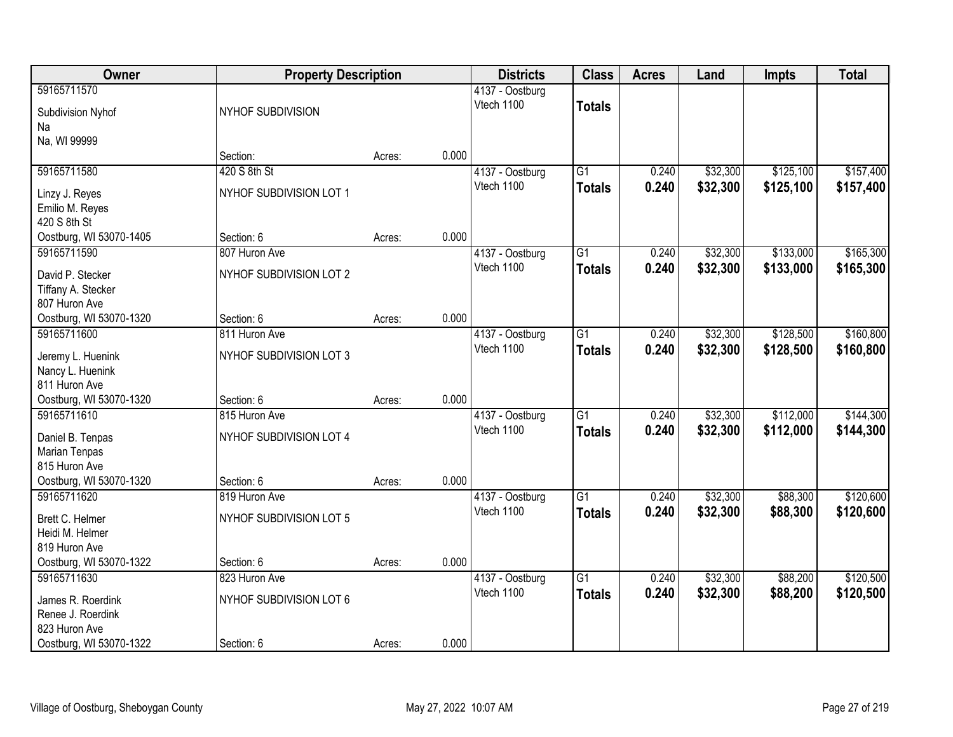| Owner                                                                         | <b>Property Description</b>                            |        |       | <b>Districts</b>              | <b>Class</b>                     | <b>Acres</b>   | Land                 | <b>Impts</b>           | <b>Total</b>           |
|-------------------------------------------------------------------------------|--------------------------------------------------------|--------|-------|-------------------------------|----------------------------------|----------------|----------------------|------------------------|------------------------|
| 59165711570<br>Subdivision Nyhof                                              | NYHOF SUBDIVISION                                      |        |       | 4137 - Oostburg<br>Vtech 1100 | <b>Totals</b>                    |                |                      |                        |                        |
| Na<br>Na, WI 99999                                                            | Section:                                               | Acres: | 0.000 |                               |                                  |                |                      |                        |                        |
| 59165711580<br>Linzy J. Reyes<br>Emilio M. Reyes<br>420 S 8th St              | 420 S 8th St<br>NYHOF SUBDIVISION LOT 1                |        |       | 4137 - Oostburg<br>Vtech 1100 | $\overline{G1}$<br><b>Totals</b> | 0.240<br>0.240 | \$32,300<br>\$32,300 | \$125,100<br>\$125,100 | \$157,400<br>\$157,400 |
| Oostburg, WI 53070-1405<br>59165711590<br>David P. Stecker                    | Section: 6<br>807 Huron Ave<br>NYHOF SUBDIVISION LOT 2 | Acres: | 0.000 | 4137 - Oostburg<br>Vtech 1100 | G1<br><b>Totals</b>              | 0.240<br>0.240 | \$32,300<br>\$32,300 | \$133,000<br>\$133,000 | \$165,300<br>\$165,300 |
| Tiffany A. Stecker<br>807 Huron Ave<br>Oostburg, WI 53070-1320<br>59165711600 | Section: 6<br>811 Huron Ave                            | Acres: | 0.000 |                               | $\overline{G1}$                  |                | \$32,300             | \$128,500              | \$160,800              |
| Jeremy L. Huenink<br>Nancy L. Huenink<br>811 Huron Ave                        | NYHOF SUBDIVISION LOT 3                                |        |       | 4137 - Oostburg<br>Vtech 1100 | <b>Totals</b>                    | 0.240<br>0.240 | \$32,300             | \$128,500              | \$160,800              |
| Oostburg, WI 53070-1320<br>59165711610                                        | Section: 6<br>815 Huron Ave                            | Acres: | 0.000 | 4137 - Oostburg               | $\overline{G1}$                  | 0.240          | \$32,300             | \$112,000              | \$144,300              |
| Daniel B. Tenpas<br>Marian Tenpas<br>815 Huron Ave                            | NYHOF SUBDIVISION LOT 4                                |        |       | Vtech 1100                    | <b>Totals</b>                    | 0.240          | \$32,300             | \$112,000              | \$144,300              |
| Oostburg, WI 53070-1320<br>59165711620                                        | Section: 6<br>819 Huron Ave                            | Acres: | 0.000 |                               | $\overline{G1}$                  | 0.240          | \$32,300             | \$88,300               | \$120,600              |
| Brett C. Helmer<br>Heidi M. Helmer<br>819 Huron Ave                           | NYHOF SUBDIVISION LOT 5                                |        |       | 4137 - Oostburg<br>Vtech 1100 | <b>Totals</b>                    | 0.240          | \$32,300             | \$88,300               | \$120,600              |
| Oostburg, WI 53070-1322                                                       | Section: 6                                             | Acres: | 0.000 |                               |                                  |                |                      |                        |                        |
| 59165711630<br>James R. Roerdink<br>Renee J. Roerdink<br>823 Huron Ave        | 823 Huron Ave<br>NYHOF SUBDIVISION LOT 6               |        |       | 4137 - Oostburg<br>Vtech 1100 | $\overline{G1}$<br><b>Totals</b> | 0.240<br>0.240 | \$32,300<br>\$32,300 | \$88,200<br>\$88,200   | \$120,500<br>\$120,500 |
| Oostburg, WI 53070-1322                                                       | Section: 6                                             | Acres: | 0.000 |                               |                                  |                |                      |                        |                        |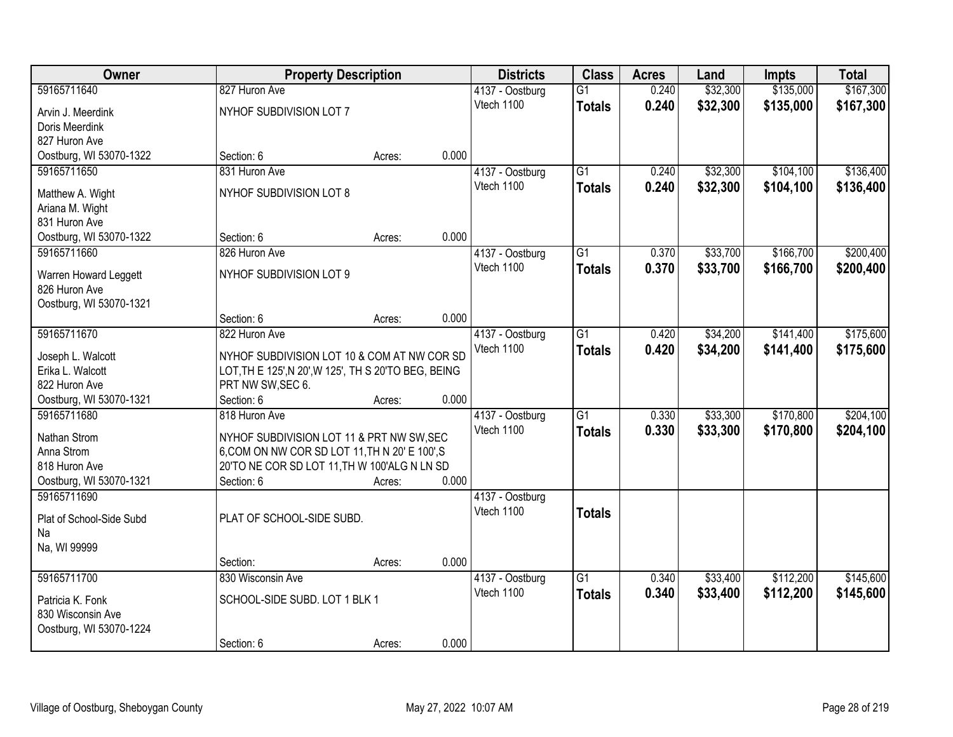| <b>Owner</b>                           |                                                      | <b>Property Description</b> |       | <b>Districts</b>              | <b>Class</b>    | <b>Acres</b> | Land     | <b>Impts</b> | <b>Total</b> |
|----------------------------------------|------------------------------------------------------|-----------------------------|-------|-------------------------------|-----------------|--------------|----------|--------------|--------------|
| 59165711640                            | 827 Huron Ave                                        |                             |       | 4137 - Oostburg               | $\overline{G1}$ | 0.240        | \$32,300 | \$135,000    | \$167,300    |
| Arvin J. Meerdink                      | NYHOF SUBDIVISION LOT 7                              |                             |       | Vtech 1100                    | <b>Totals</b>   | 0.240        | \$32,300 | \$135,000    | \$167,300    |
| Doris Meerdink                         |                                                      |                             |       |                               |                 |              |          |              |              |
| 827 Huron Ave                          |                                                      |                             |       |                               |                 |              |          |              |              |
| Oostburg, WI 53070-1322                | Section: 6                                           | Acres:                      | 0.000 |                               |                 |              |          |              |              |
| 59165711650                            | 831 Huron Ave                                        |                             |       | 4137 - Oostburg               | $\overline{G1}$ | 0.240        | \$32,300 | \$104,100    | \$136,400    |
| Matthew A. Wight                       | NYHOF SUBDIVISION LOT 8                              |                             |       | Vtech 1100                    | <b>Totals</b>   | 0.240        | \$32,300 | \$104,100    | \$136,400    |
| Ariana M. Wight                        |                                                      |                             |       |                               |                 |              |          |              |              |
| 831 Huron Ave                          |                                                      |                             |       |                               |                 |              |          |              |              |
| Oostburg, WI 53070-1322                | Section: 6                                           | Acres:                      | 0.000 |                               |                 |              |          |              |              |
| 59165711660                            | 826 Huron Ave                                        |                             |       | 4137 - Oostburg               | $\overline{G1}$ | 0.370        | \$33,700 | \$166,700    | \$200,400    |
|                                        |                                                      |                             |       | Vtech 1100                    | <b>Totals</b>   | 0.370        | \$33,700 | \$166,700    | \$200,400    |
| Warren Howard Leggett<br>826 Huron Ave | NYHOF SUBDIVISION LOT 9                              |                             |       |                               |                 |              |          |              |              |
| Oostburg, WI 53070-1321                |                                                      |                             |       |                               |                 |              |          |              |              |
|                                        | Section: 6                                           | Acres:                      | 0.000 |                               |                 |              |          |              |              |
| 59165711670                            | 822 Huron Ave                                        |                             |       | 4137 - Oostburg               | $\overline{G1}$ | 0.420        | \$34,200 | \$141,400    | \$175,600    |
|                                        |                                                      |                             |       | Vtech 1100                    | <b>Totals</b>   | 0.420        | \$34,200 | \$141,400    | \$175,600    |
| Joseph L. Walcott                      | NYHOF SUBDIVISION LOT 10 & COM AT NW COR SD          |                             |       |                               |                 |              |          |              |              |
| Erika L. Walcott                       | LOT, TH E 125', N 20', W 125', TH S 20'TO BEG, BEING |                             |       |                               |                 |              |          |              |              |
| 822 Huron Ave                          | PRT NW SW, SEC 6.                                    |                             |       |                               |                 |              |          |              |              |
| Oostburg, WI 53070-1321<br>59165711680 | Section: 6<br>818 Huron Ave                          | Acres:                      | 0.000 |                               | $\overline{G1}$ |              |          |              | \$204,100    |
|                                        |                                                      |                             |       | 4137 - Oostburg<br>Vtech 1100 |                 | 0.330        | \$33,300 | \$170,800    |              |
| Nathan Strom                           | NYHOF SUBDIVISION LOT 11 & PRT NW SW, SEC            |                             |       |                               | <b>Totals</b>   | 0.330        | \$33,300 | \$170,800    | \$204,100    |
| Anna Strom                             | 6, COM ON NW COR SD LOT 11, TH N 20' E 100', S       |                             |       |                               |                 |              |          |              |              |
| 818 Huron Ave                          | 20'TO NE COR SD LOT 11, TH W 100'ALG N LN SD         |                             |       |                               |                 |              |          |              |              |
| Oostburg, WI 53070-1321                | Section: 6                                           | Acres:                      | 0.000 |                               |                 |              |          |              |              |
| 59165711690                            |                                                      |                             |       | 4137 - Oostburg               |                 |              |          |              |              |
| Plat of School-Side Subd               | PLAT OF SCHOOL-SIDE SUBD.                            |                             |       | Vtech 1100                    | <b>Totals</b>   |              |          |              |              |
| Na                                     |                                                      |                             |       |                               |                 |              |          |              |              |
| Na, WI 99999                           |                                                      |                             |       |                               |                 |              |          |              |              |
|                                        | Section:                                             | Acres:                      | 0.000 |                               |                 |              |          |              |              |
| 59165711700                            | 830 Wisconsin Ave                                    |                             |       | 4137 - Oostburg               | $\overline{G1}$ | 0.340        | \$33,400 | \$112,200    | \$145,600    |
| Patricia K. Fonk                       | SCHOOL-SIDE SUBD. LOT 1 BLK 1                        |                             |       | Vtech 1100                    | <b>Totals</b>   | 0.340        | \$33,400 | \$112,200    | \$145,600    |
| 830 Wisconsin Ave                      |                                                      |                             |       |                               |                 |              |          |              |              |
| Oostburg, WI 53070-1224                |                                                      |                             |       |                               |                 |              |          |              |              |
|                                        | Section: 6                                           | Acres:                      | 0.000 |                               |                 |              |          |              |              |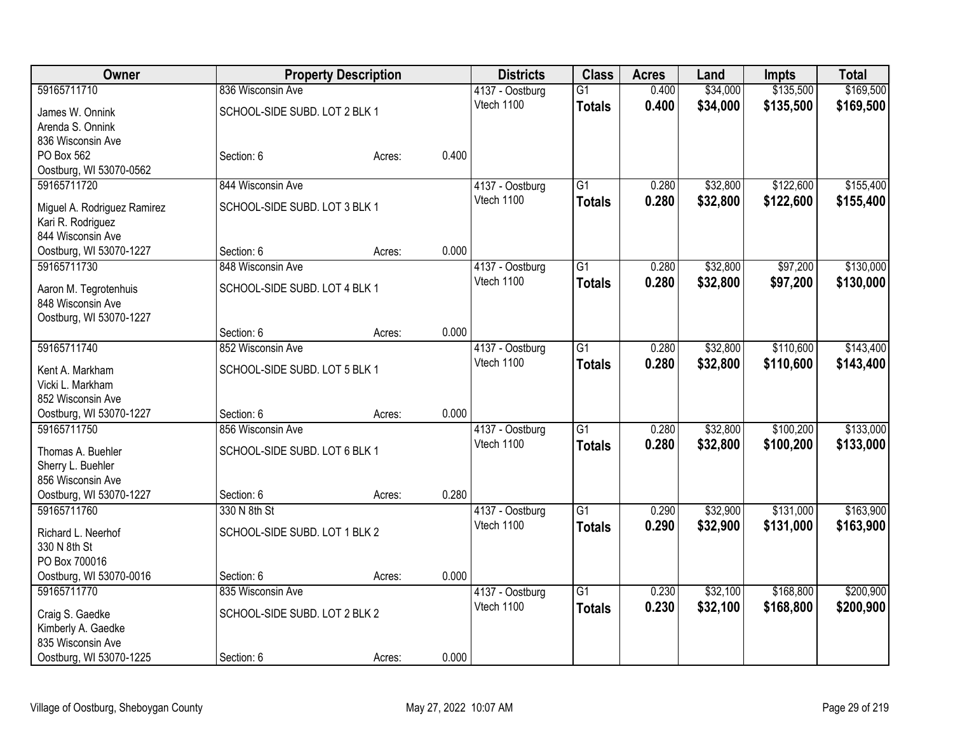| Owner                       |                               | <b>Property Description</b> |       | <b>Districts</b> | <b>Class</b>    | <b>Acres</b> | Land     | Impts     | <b>Total</b> |
|-----------------------------|-------------------------------|-----------------------------|-------|------------------|-----------------|--------------|----------|-----------|--------------|
| 59165711710                 | 836 Wisconsin Ave             |                             |       | 4137 - Oostburg  | $\overline{G1}$ | 0.400        | \$34,000 | \$135,500 | \$169,500    |
| James W. Onnink             | SCHOOL-SIDE SUBD. LOT 2 BLK 1 |                             |       | Vtech 1100       | <b>Totals</b>   | 0.400        | \$34,000 | \$135,500 | \$169,500    |
| Arenda S. Onnink            |                               |                             |       |                  |                 |              |          |           |              |
| 836 Wisconsin Ave           |                               |                             |       |                  |                 |              |          |           |              |
| PO Box 562                  | Section: 6                    | Acres:                      | 0.400 |                  |                 |              |          |           |              |
| Oostburg, WI 53070-0562     |                               |                             |       |                  |                 |              |          |           |              |
| 59165711720                 | 844 Wisconsin Ave             |                             |       | 4137 - Oostburg  | G1              | 0.280        | \$32,800 | \$122,600 | \$155,400    |
| Miguel A. Rodriguez Ramirez | SCHOOL-SIDE SUBD. LOT 3 BLK 1 |                             |       | Vtech 1100       | <b>Totals</b>   | 0.280        | \$32,800 | \$122,600 | \$155,400    |
| Kari R. Rodriguez           |                               |                             |       |                  |                 |              |          |           |              |
| 844 Wisconsin Ave           |                               |                             |       |                  |                 |              |          |           |              |
| Oostburg, WI 53070-1227     | Section: 6                    | Acres:                      | 0.000 |                  |                 |              |          |           |              |
| 59165711730                 | 848 Wisconsin Ave             |                             |       | 4137 - Oostburg  | $\overline{G1}$ | 0.280        | \$32,800 | \$97,200  | \$130,000    |
| Aaron M. Tegrotenhuis       | SCHOOL-SIDE SUBD. LOT 4 BLK 1 |                             |       | Vtech 1100       | <b>Totals</b>   | 0.280        | \$32,800 | \$97,200  | \$130,000    |
| 848 Wisconsin Ave           |                               |                             |       |                  |                 |              |          |           |              |
| Oostburg, WI 53070-1227     |                               |                             |       |                  |                 |              |          |           |              |
|                             | Section: 6                    | Acres:                      | 0.000 |                  |                 |              |          |           |              |
| 59165711740                 | 852 Wisconsin Ave             |                             |       | 4137 - Oostburg  | G1              | 0.280        | \$32,800 | \$110,600 | \$143,400    |
| Kent A. Markham             | SCHOOL-SIDE SUBD. LOT 5 BLK 1 |                             |       | Vtech 1100       | <b>Totals</b>   | 0.280        | \$32,800 | \$110,600 | \$143,400    |
| Vicki L. Markham            |                               |                             |       |                  |                 |              |          |           |              |
| 852 Wisconsin Ave           |                               |                             |       |                  |                 |              |          |           |              |
| Oostburg, WI 53070-1227     | Section: 6                    | Acres:                      | 0.000 |                  |                 |              |          |           |              |
| 59165711750                 | 856 Wisconsin Ave             |                             |       | 4137 - Oostburg  | $\overline{G1}$ | 0.280        | \$32,800 | \$100,200 | \$133,000    |
| Thomas A. Buehler           | SCHOOL-SIDE SUBD. LOT 6 BLK 1 |                             |       | Vtech 1100       | <b>Totals</b>   | 0.280        | \$32,800 | \$100,200 | \$133,000    |
| Sherry L. Buehler           |                               |                             |       |                  |                 |              |          |           |              |
| 856 Wisconsin Ave           |                               |                             |       |                  |                 |              |          |           |              |
| Oostburg, WI 53070-1227     | Section: 6                    | Acres:                      | 0.280 |                  |                 |              |          |           |              |
| 59165711760                 | 330 N 8th St                  |                             |       | 4137 - Oostburg  | $\overline{G1}$ | 0.290        | \$32,900 | \$131,000 | \$163,900    |
| Richard L. Neerhof          | SCHOOL-SIDE SUBD. LOT 1 BLK 2 |                             |       | Vtech 1100       | <b>Totals</b>   | 0.290        | \$32,900 | \$131,000 | \$163,900    |
| 330 N 8th St                |                               |                             |       |                  |                 |              |          |           |              |
| PO Box 700016               |                               |                             |       |                  |                 |              |          |           |              |
| Oostburg, WI 53070-0016     | Section: 6                    | Acres:                      | 0.000 |                  |                 |              |          |           |              |
| 59165711770                 | 835 Wisconsin Ave             |                             |       | 4137 - Oostburg  | $\overline{G1}$ | 0.230        | \$32,100 | \$168,800 | \$200,900    |
| Craig S. Gaedke             | SCHOOL-SIDE SUBD. LOT 2 BLK 2 |                             |       | Vtech 1100       | <b>Totals</b>   | 0.230        | \$32,100 | \$168,800 | \$200,900    |
| Kimberly A. Gaedke          |                               |                             |       |                  |                 |              |          |           |              |
| 835 Wisconsin Ave           |                               |                             |       |                  |                 |              |          |           |              |
| Oostburg, WI 53070-1225     | Section: 6                    | Acres:                      | 0.000 |                  |                 |              |          |           |              |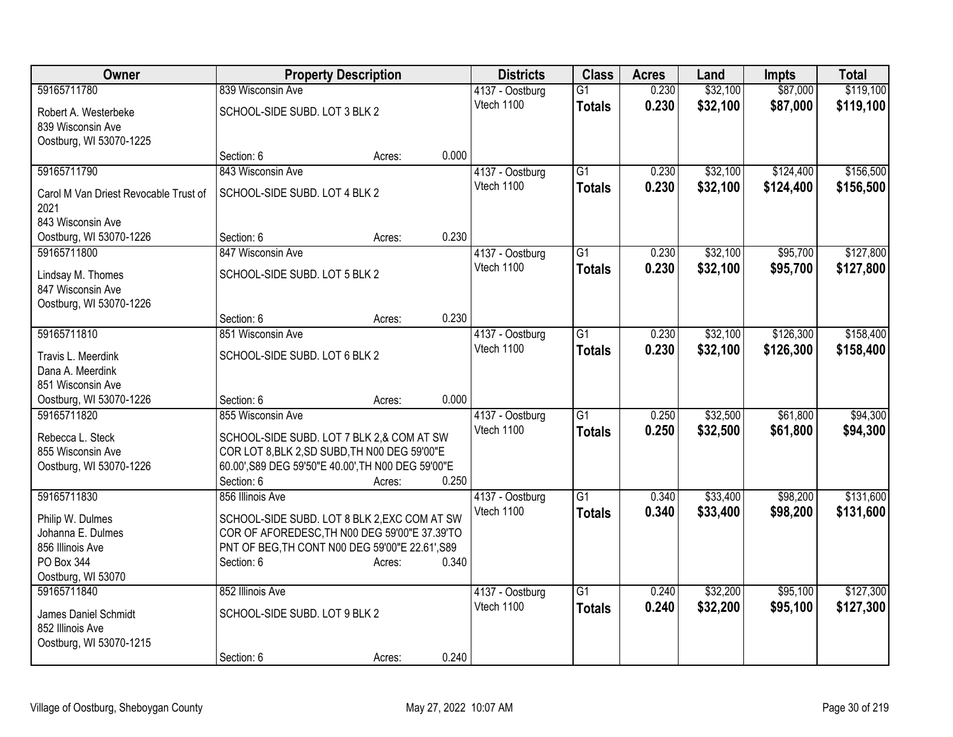| <b>Owner</b>                                  |                                                    | <b>Property Description</b> |       | <b>Districts</b>              | <b>Class</b>    | <b>Acres</b>   | Land                 | Impts     | <b>Total</b> |
|-----------------------------------------------|----------------------------------------------------|-----------------------------|-------|-------------------------------|-----------------|----------------|----------------------|-----------|--------------|
| 59165711780                                   | 839 Wisconsin Ave                                  |                             |       | 4137 - Oostburg               | $\overline{G1}$ | 0.230          | \$32,100             | \$87,000  | \$119,100    |
| Robert A. Westerbeke                          | SCHOOL-SIDE SUBD. LOT 3 BLK 2                      |                             |       | Vtech 1100                    | <b>Totals</b>   | 0.230          | \$32,100             | \$87,000  | \$119,100    |
| 839 Wisconsin Ave                             |                                                    |                             |       |                               |                 |                |                      |           |              |
| Oostburg, WI 53070-1225                       |                                                    |                             |       |                               |                 |                |                      |           |              |
|                                               | Section: 6                                         | Acres:                      | 0.000 |                               |                 |                |                      |           |              |
| 59165711790                                   | 843 Wisconsin Ave                                  |                             |       | 4137 - Oostburg               | $\overline{G1}$ | 0.230          | \$32,100             | \$124,400 | \$156,500    |
| Carol M Van Driest Revocable Trust of<br>2021 | SCHOOL-SIDE SUBD. LOT 4 BLK 2                      |                             |       | Vtech 1100                    | <b>Totals</b>   | 0.230          | \$32,100             | \$124,400 | \$156,500    |
| 843 Wisconsin Ave                             |                                                    |                             |       |                               |                 |                |                      |           |              |
| Oostburg, WI 53070-1226                       | Section: 6                                         | Acres:                      | 0.230 |                               |                 |                |                      |           |              |
| 59165711800                                   | 847 Wisconsin Ave                                  |                             |       | 4137 - Oostburg               | G1              | 0.230          | \$32,100             | \$95,700  | \$127,800    |
| Lindsay M. Thomes                             | SCHOOL-SIDE SUBD. LOT 5 BLK 2                      |                             |       | Vtech 1100                    | <b>Totals</b>   | 0.230          | \$32,100             | \$95,700  | \$127,800    |
| 847 Wisconsin Ave                             |                                                    |                             |       |                               |                 |                |                      |           |              |
| Oostburg, WI 53070-1226                       |                                                    |                             |       |                               |                 |                |                      |           |              |
|                                               | Section: 6                                         | Acres:                      | 0.230 |                               |                 |                |                      |           |              |
| 59165711810                                   | 851 Wisconsin Ave                                  |                             |       | 4137 - Oostburg               | $\overline{G1}$ | 0.230          | \$32,100             | \$126,300 | \$158,400    |
| Travis L. Meerdink                            | SCHOOL-SIDE SUBD. LOT 6 BLK 2                      |                             |       | Vtech 1100                    | <b>Totals</b>   | 0.230          | \$32,100             | \$126,300 | \$158,400    |
| Dana A. Meerdink                              |                                                    |                             |       |                               |                 |                |                      |           |              |
| 851 Wisconsin Ave                             |                                                    |                             |       |                               |                 |                |                      |           |              |
| Oostburg, WI 53070-1226                       | Section: 6                                         | Acres:                      | 0.000 |                               |                 |                |                      |           |              |
| 59165711820                                   | 855 Wisconsin Ave                                  |                             |       | 4137 - Oostburg               | $\overline{G1}$ | 0.250          | \$32,500             | \$61,800  | \$94,300     |
| Rebecca L. Steck                              | SCHOOL-SIDE SUBD. LOT 7 BLK 2,& COM AT SW          |                             |       | Vtech 1100                    | <b>Totals</b>   | 0.250          | \$32,500             | \$61,800  | \$94,300     |
| 855 Wisconsin Ave                             | COR LOT 8, BLK 2, SD SUBD, TH N00 DEG 59'00"E      |                             |       |                               |                 |                |                      |           |              |
| Oostburg, WI 53070-1226                       | 60.00', S89 DEG 59'50"E 40.00', TH N00 DEG 59'00"E |                             |       |                               |                 |                |                      |           |              |
|                                               | Section: 6                                         | Acres:                      | 0.250 |                               |                 |                |                      |           |              |
| 59165711830                                   | 856 Illinois Ave                                   |                             |       | 4137 - Oostburg               | $\overline{G1}$ | 0.340          | \$33,400             | \$98,200  | \$131,600    |
| Philip W. Dulmes                              | SCHOOL-SIDE SUBD. LOT 8 BLK 2, EXC COM AT SW       |                             |       | Vtech 1100                    | <b>Totals</b>   | 0.340          | \$33,400             | \$98,200  | \$131,600    |
| Johanna E. Dulmes                             | COR OF AFOREDESC, TH N00 DEG 59'00"E 37.39'TO      |                             |       |                               |                 |                |                      |           |              |
| 856 Illinois Ave                              | PNT OF BEG, TH CONT N00 DEG 59'00"E 22.61', S89    |                             |       |                               |                 |                |                      |           |              |
| PO Box 344                                    | Section: 6                                         | Acres:                      | 0.340 |                               |                 |                |                      |           |              |
| Oostburg, WI 53070                            | 852 Illinois Ave                                   |                             |       |                               | $\overline{G1}$ |                |                      | \$95,100  | \$127,300    |
| 59165711840                                   |                                                    |                             |       | 4137 - Oostburg<br>Vtech 1100 |                 | 0.240<br>0.240 | \$32,200<br>\$32,200 | \$95,100  |              |
| James Daniel Schmidt                          | SCHOOL-SIDE SUBD. LOT 9 BLK 2                      |                             |       |                               | <b>Totals</b>   |                |                      |           | \$127,300    |
| 852 Illinois Ave                              |                                                    |                             |       |                               |                 |                |                      |           |              |
| Oostburg, WI 53070-1215                       |                                                    |                             |       |                               |                 |                |                      |           |              |
|                                               | Section: 6                                         | Acres:                      | 0.240 |                               |                 |                |                      |           |              |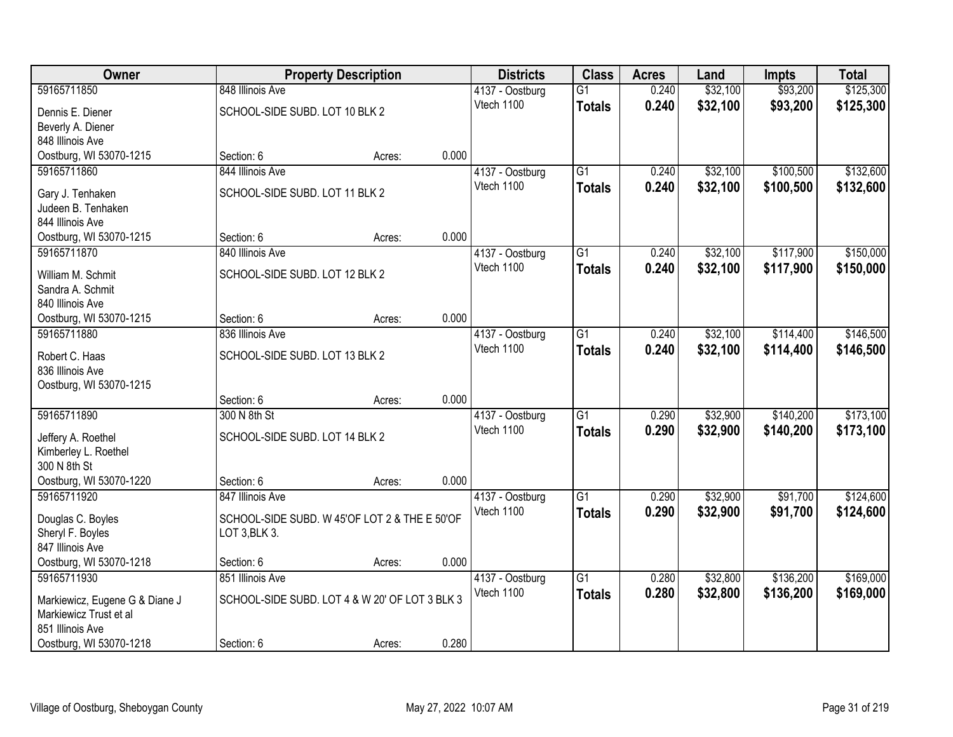| Owner                          |                                                | <b>Property Description</b> |       | <b>Districts</b> | <b>Class</b>    | <b>Acres</b> | Land     | <b>Impts</b> | <b>Total</b> |
|--------------------------------|------------------------------------------------|-----------------------------|-------|------------------|-----------------|--------------|----------|--------------|--------------|
| 59165711850                    | 848 Illinois Ave                               |                             |       | 4137 - Oostburg  | $\overline{G1}$ | 0.240        | \$32,100 | \$93,200     | \$125,300    |
| Dennis E. Diener               | SCHOOL-SIDE SUBD. LOT 10 BLK 2                 |                             |       | Vtech 1100       | <b>Totals</b>   | 0.240        | \$32,100 | \$93,200     | \$125,300    |
| Beverly A. Diener              |                                                |                             |       |                  |                 |              |          |              |              |
| 848 Illinois Ave               |                                                |                             |       |                  |                 |              |          |              |              |
| Oostburg, WI 53070-1215        | Section: 6                                     | Acres:                      | 0.000 |                  |                 |              |          |              |              |
| 59165711860                    | 844 Illinois Ave                               |                             |       | 4137 - Oostburg  | $\overline{G1}$ | 0.240        | \$32,100 | \$100,500    | \$132,600    |
| Gary J. Tenhaken               | SCHOOL-SIDE SUBD. LOT 11 BLK 2                 |                             |       | Vtech 1100       | <b>Totals</b>   | 0.240        | \$32,100 | \$100,500    | \$132,600    |
| Judeen B. Tenhaken             |                                                |                             |       |                  |                 |              |          |              |              |
| 844 Illinois Ave               |                                                |                             |       |                  |                 |              |          |              |              |
| Oostburg, WI 53070-1215        | Section: 6                                     | Acres:                      | 0.000 |                  |                 |              |          |              |              |
| 59165711870                    | 840 Illinois Ave                               |                             |       | 4137 - Oostburg  | $\overline{G1}$ | 0.240        | \$32,100 | \$117,900    | \$150,000    |
| William M. Schmit              | SCHOOL-SIDE SUBD. LOT 12 BLK 2                 |                             |       | Vtech 1100       | <b>Totals</b>   | 0.240        | \$32,100 | \$117,900    | \$150,000    |
| Sandra A. Schmit               |                                                |                             |       |                  |                 |              |          |              |              |
| 840 Illinois Ave               |                                                |                             |       |                  |                 |              |          |              |              |
| Oostburg, WI 53070-1215        | Section: 6                                     | Acres:                      | 0.000 |                  |                 |              |          |              |              |
| 59165711880                    | 836 Illinois Ave                               |                             |       | 4137 - Oostburg  | G1              | 0.240        | \$32,100 | \$114,400    | \$146,500    |
| Robert C. Haas                 | SCHOOL-SIDE SUBD. LOT 13 BLK 2                 |                             |       | Vtech 1100       | <b>Totals</b>   | 0.240        | \$32,100 | \$114,400    | \$146,500    |
| 836 Illinois Ave               |                                                |                             |       |                  |                 |              |          |              |              |
| Oostburg, WI 53070-1215        |                                                |                             |       |                  |                 |              |          |              |              |
|                                | Section: 6                                     | Acres:                      | 0.000 |                  |                 |              |          |              |              |
| 59165711890                    | 300 N 8th St                                   |                             |       | 4137 - Oostburg  | $\overline{G1}$ | 0.290        | \$32,900 | \$140,200    | \$173,100    |
| Jeffery A. Roethel             | SCHOOL-SIDE SUBD. LOT 14 BLK 2                 |                             |       | Vtech 1100       | <b>Totals</b>   | 0.290        | \$32,900 | \$140,200    | \$173,100    |
| Kimberley L. Roethel           |                                                |                             |       |                  |                 |              |          |              |              |
| 300 N 8th St                   |                                                |                             |       |                  |                 |              |          |              |              |
| Oostburg, WI 53070-1220        | Section: 6                                     | Acres:                      | 0.000 |                  |                 |              |          |              |              |
| 59165711920                    | 847 Illinois Ave                               |                             |       | 4137 - Oostburg  | $\overline{G1}$ | 0.290        | \$32,900 | \$91,700     | \$124,600    |
| Douglas C. Boyles              | SCHOOL-SIDE SUBD. W 45'OF LOT 2 & THE E 50'OF  |                             |       | Vtech 1100       | <b>Totals</b>   | 0.290        | \$32,900 | \$91,700     | \$124,600    |
| Sheryl F. Boyles               | LOT 3, BLK 3.                                  |                             |       |                  |                 |              |          |              |              |
| 847 Illinois Ave               |                                                |                             |       |                  |                 |              |          |              |              |
| Oostburg, WI 53070-1218        | Section: 6                                     | Acres:                      | 0.000 |                  |                 |              |          |              |              |
| 59165711930                    | 851 Illinois Ave                               |                             |       | 4137 - Oostburg  | $\overline{G1}$ | 0.280        | \$32,800 | \$136,200    | \$169,000    |
| Markiewicz, Eugene G & Diane J | SCHOOL-SIDE SUBD. LOT 4 & W 20' OF LOT 3 BLK 3 |                             |       | Vtech 1100       | <b>Totals</b>   | 0.280        | \$32,800 | \$136,200    | \$169,000    |
| Markiewicz Trust et al         |                                                |                             |       |                  |                 |              |          |              |              |
| 851 Illinois Ave               |                                                |                             |       |                  |                 |              |          |              |              |
| Oostburg, WI 53070-1218        | Section: 6                                     | Acres:                      | 0.280 |                  |                 |              |          |              |              |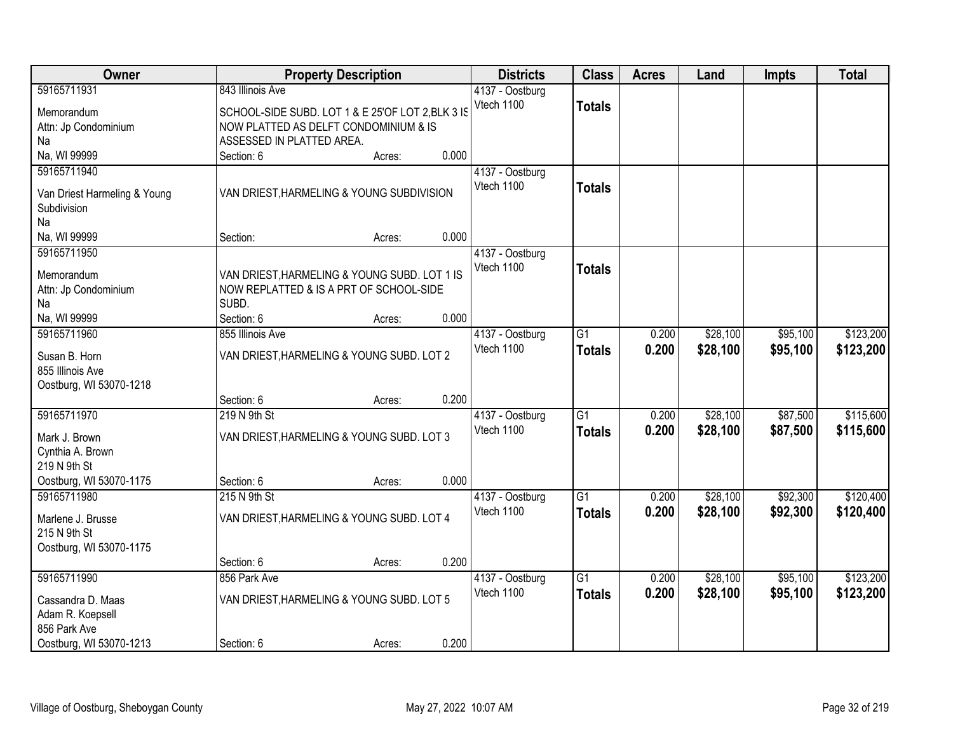| Owner                        |                                                   | <b>Property Description</b> |       | <b>Districts</b> | <b>Class</b>    | <b>Acres</b> | Land     | <b>Impts</b> | <b>Total</b> |
|------------------------------|---------------------------------------------------|-----------------------------|-------|------------------|-----------------|--------------|----------|--------------|--------------|
| 59165711931                  | 843 Illinois Ave                                  |                             |       | 4137 - Oostburg  |                 |              |          |              |              |
| Memorandum                   | SCHOOL-SIDE SUBD. LOT 1 & E 25'OF LOT 2, BLK 3 IS |                             |       | Vtech 1100       | <b>Totals</b>   |              |          |              |              |
| Attn: Jp Condominium         | NOW PLATTED AS DELFT CONDOMINIUM & IS             |                             |       |                  |                 |              |          |              |              |
| Na                           | ASSESSED IN PLATTED AREA.                         |                             |       |                  |                 |              |          |              |              |
| Na, WI 99999                 | Section: 6                                        | Acres:                      | 0.000 |                  |                 |              |          |              |              |
| 59165711940                  |                                                   |                             |       | 4137 - Oostburg  |                 |              |          |              |              |
| Van Driest Harmeling & Young | VAN DRIEST, HARMELING & YOUNG SUBDIVISION         |                             |       | Vtech 1100       | <b>Totals</b>   |              |          |              |              |
| Subdivision                  |                                                   |                             |       |                  |                 |              |          |              |              |
| Na                           |                                                   |                             |       |                  |                 |              |          |              |              |
| Na, WI 99999                 | Section:                                          | Acres:                      | 0.000 |                  |                 |              |          |              |              |
| 59165711950                  |                                                   |                             |       | 4137 - Oostburg  |                 |              |          |              |              |
| Memorandum                   | VAN DRIEST, HARMELING & YOUNG SUBD. LOT 1 IS      |                             |       | Vtech 1100       | <b>Totals</b>   |              |          |              |              |
| Attn: Jp Condominium         | NOW REPLATTED & IS A PRT OF SCHOOL-SIDE           |                             |       |                  |                 |              |          |              |              |
| Na                           | SUBD.                                             |                             |       |                  |                 |              |          |              |              |
| Na, WI 99999                 | Section: 6                                        | Acres:                      | 0.000 |                  |                 |              |          |              |              |
| 59165711960                  | 855 Illinois Ave                                  |                             |       | 4137 - Oostburg  | $\overline{G1}$ | 0.200        | \$28,100 | \$95,100     | \$123,200    |
| Susan B. Horn                | VAN DRIEST, HARMELING & YOUNG SUBD. LOT 2         |                             |       | Vtech 1100       | <b>Totals</b>   | 0.200        | \$28,100 | \$95,100     | \$123,200    |
| 855 Illinois Ave             |                                                   |                             |       |                  |                 |              |          |              |              |
| Oostburg, WI 53070-1218      |                                                   |                             |       |                  |                 |              |          |              |              |
|                              | Section: 6                                        | Acres:                      | 0.200 |                  |                 |              |          |              |              |
| 59165711970                  | 219 N 9th St                                      |                             |       | 4137 - Oostburg  | $\overline{G1}$ | 0.200        | \$28,100 | \$87,500     | \$115,600    |
| Mark J. Brown                | VAN DRIEST, HARMELING & YOUNG SUBD. LOT 3         |                             |       | Vtech 1100       | <b>Totals</b>   | 0.200        | \$28,100 | \$87,500     | \$115,600    |
| Cynthia A. Brown             |                                                   |                             |       |                  |                 |              |          |              |              |
| 219 N 9th St                 |                                                   |                             |       |                  |                 |              |          |              |              |
| Oostburg, WI 53070-1175      | Section: 6                                        | Acres:                      | 0.000 |                  |                 |              |          |              |              |
| 59165711980                  | 215 N 9th St                                      |                             |       | 4137 - Oostburg  | $\overline{G1}$ | 0.200        | \$28,100 | \$92,300     | \$120,400    |
| Marlene J. Brusse            | VAN DRIEST, HARMELING & YOUNG SUBD. LOT 4         |                             |       | Vtech 1100       | <b>Totals</b>   | 0.200        | \$28,100 | \$92,300     | \$120,400    |
| 215 N 9th St                 |                                                   |                             |       |                  |                 |              |          |              |              |
| Oostburg, WI 53070-1175      |                                                   |                             |       |                  |                 |              |          |              |              |
|                              | Section: 6                                        | Acres:                      | 0.200 |                  |                 |              |          |              |              |
| 59165711990                  | 856 Park Ave                                      |                             |       | 4137 - Oostburg  | $\overline{G1}$ | 0.200        | \$28,100 | \$95,100     | \$123,200    |
| Cassandra D. Maas            | VAN DRIEST, HARMELING & YOUNG SUBD. LOT 5         |                             |       | Vtech 1100       | <b>Totals</b>   | 0.200        | \$28,100 | \$95,100     | \$123,200    |
| Adam R. Koepsell             |                                                   |                             |       |                  |                 |              |          |              |              |
| 856 Park Ave                 |                                                   |                             |       |                  |                 |              |          |              |              |
| Oostburg, WI 53070-1213      | Section: 6                                        | Acres:                      | 0.200 |                  |                 |              |          |              |              |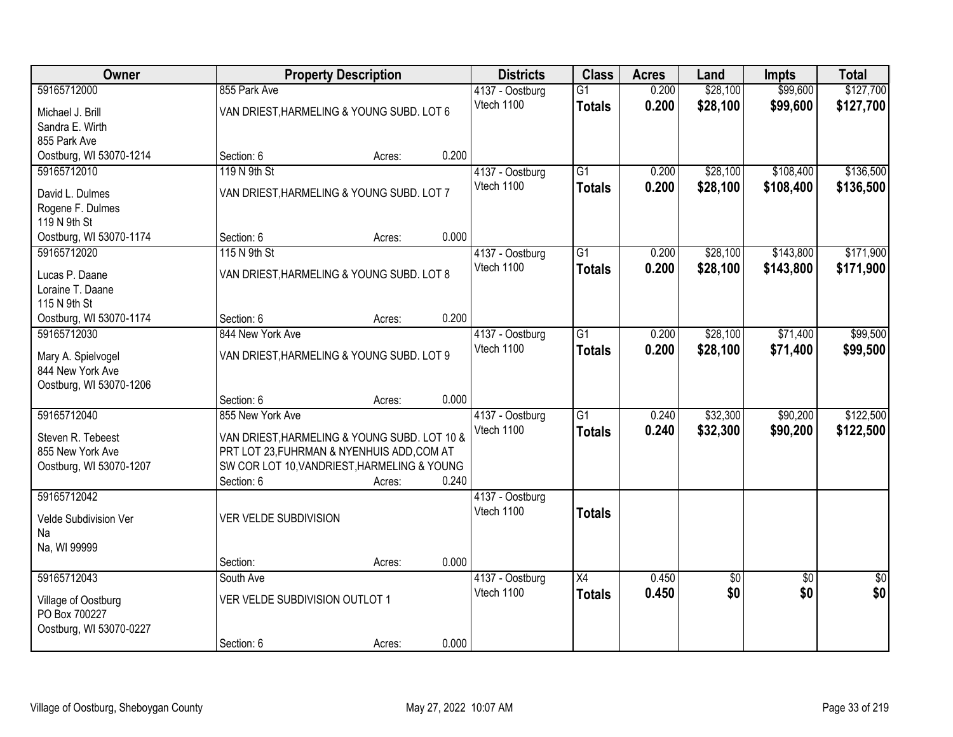| <b>Owner</b>                          |                                                                                            | <b>Property Description</b> |       | <b>Districts</b> | <b>Class</b>    | <b>Acres</b> | Land     | <b>Impts</b>    | <b>Total</b>    |
|---------------------------------------|--------------------------------------------------------------------------------------------|-----------------------------|-------|------------------|-----------------|--------------|----------|-----------------|-----------------|
| 59165712000                           | 855 Park Ave                                                                               |                             |       | 4137 - Oostburg  | $\overline{G1}$ | 0.200        | \$28,100 | \$99,600        | \$127,700       |
| Michael J. Brill                      | VAN DRIEST, HARMELING & YOUNG SUBD. LOT 6                                                  |                             |       | Vtech 1100       | <b>Totals</b>   | 0.200        | \$28,100 | \$99,600        | \$127,700       |
| Sandra E. Wirth                       |                                                                                            |                             |       |                  |                 |              |          |                 |                 |
| 855 Park Ave                          |                                                                                            |                             |       |                  |                 |              |          |                 |                 |
| Oostburg, WI 53070-1214               | Section: 6                                                                                 | Acres:                      | 0.200 |                  |                 |              |          |                 |                 |
| 59165712010                           | 119 N 9th St                                                                               |                             |       | 4137 - Oostburg  | $\overline{G1}$ | 0.200        | \$28,100 | \$108,400       | \$136,500       |
| David L. Dulmes                       | VAN DRIEST, HARMELING & YOUNG SUBD. LOT 7                                                  |                             |       | Vtech 1100       | <b>Totals</b>   | 0.200        | \$28,100 | \$108,400       | \$136,500       |
| Rogene F. Dulmes                      |                                                                                            |                             |       |                  |                 |              |          |                 |                 |
| 119 N 9th St                          |                                                                                            |                             |       |                  |                 |              |          |                 |                 |
| Oostburg, WI 53070-1174               | Section: 6                                                                                 | Acres:                      | 0.000 |                  |                 |              |          |                 |                 |
| 59165712020                           | 115 N 9th St                                                                               |                             |       | 4137 - Oostburg  | G1              | 0.200        | \$28,100 | \$143,800       | \$171,900       |
| Lucas P. Daane                        | VAN DRIEST, HARMELING & YOUNG SUBD. LOT 8                                                  |                             |       | Vtech 1100       | <b>Totals</b>   | 0.200        | \$28,100 | \$143,800       | \$171,900       |
| Loraine T. Daane                      |                                                                                            |                             |       |                  |                 |              |          |                 |                 |
| 115 N 9th St                          |                                                                                            |                             |       |                  |                 |              |          |                 |                 |
| Oostburg, WI 53070-1174               | Section: 6                                                                                 | Acres:                      | 0.200 |                  |                 |              |          |                 |                 |
| 59165712030                           | 844 New York Ave                                                                           |                             |       | 4137 - Oostburg  | G1              | 0.200        | \$28,100 | \$71,400        | \$99,500        |
| Mary A. Spielvogel                    | VAN DRIEST, HARMELING & YOUNG SUBD. LOT 9                                                  |                             |       | Vtech 1100       | <b>Totals</b>   | 0.200        | \$28,100 | \$71,400        | \$99,500        |
| 844 New York Ave                      |                                                                                            |                             |       |                  |                 |              |          |                 |                 |
| Oostburg, WI 53070-1206               |                                                                                            |                             |       |                  |                 |              |          |                 |                 |
|                                       | Section: 6                                                                                 | Acres:                      | 0.000 |                  |                 |              |          |                 |                 |
| 59165712040                           | 855 New York Ave                                                                           |                             |       | 4137 - Oostburg  | $\overline{G1}$ | 0.240        | \$32,300 | \$90,200        | \$122,500       |
|                                       |                                                                                            |                             |       | Vtech 1100       | <b>Totals</b>   | 0.240        | \$32,300 | \$90,200        | \$122,500       |
| Steven R. Tebeest<br>855 New York Ave | VAN DRIEST, HARMELING & YOUNG SUBD. LOT 10 &<br>PRT LOT 23, FUHRMAN & NYENHUIS ADD, COM AT |                             |       |                  |                 |              |          |                 |                 |
| Oostburg, WI 53070-1207               | SW COR LOT 10, VANDRIEST, HARMELING & YOUNG                                                |                             |       |                  |                 |              |          |                 |                 |
|                                       | Section: 6                                                                                 | Acres:                      | 0.240 |                  |                 |              |          |                 |                 |
| 59165712042                           |                                                                                            |                             |       | 4137 - Oostburg  |                 |              |          |                 |                 |
|                                       |                                                                                            |                             |       | Vtech 1100       | <b>Totals</b>   |              |          |                 |                 |
| Velde Subdivision Ver<br>Na           | VER VELDE SUBDIVISION                                                                      |                             |       |                  |                 |              |          |                 |                 |
| Na, WI 99999                          |                                                                                            |                             |       |                  |                 |              |          |                 |                 |
|                                       | Section:                                                                                   | Acres:                      | 0.000 |                  |                 |              |          |                 |                 |
| 59165712043                           | South Ave                                                                                  |                             |       | 4137 - Oostburg  | $\overline{X4}$ | 0.450        | \$0      | $\overline{50}$ | $\overline{50}$ |
|                                       | VER VELDE SUBDIVISION OUTLOT 1                                                             |                             |       | Vtech 1100       | <b>Totals</b>   | 0.450        | \$0      | \$0             | \$0             |
| Village of Oostburg<br>PO Box 700227  |                                                                                            |                             |       |                  |                 |              |          |                 |                 |
| Oostburg, WI 53070-0227               |                                                                                            |                             |       |                  |                 |              |          |                 |                 |
|                                       | Section: 6                                                                                 | Acres:                      | 0.000 |                  |                 |              |          |                 |                 |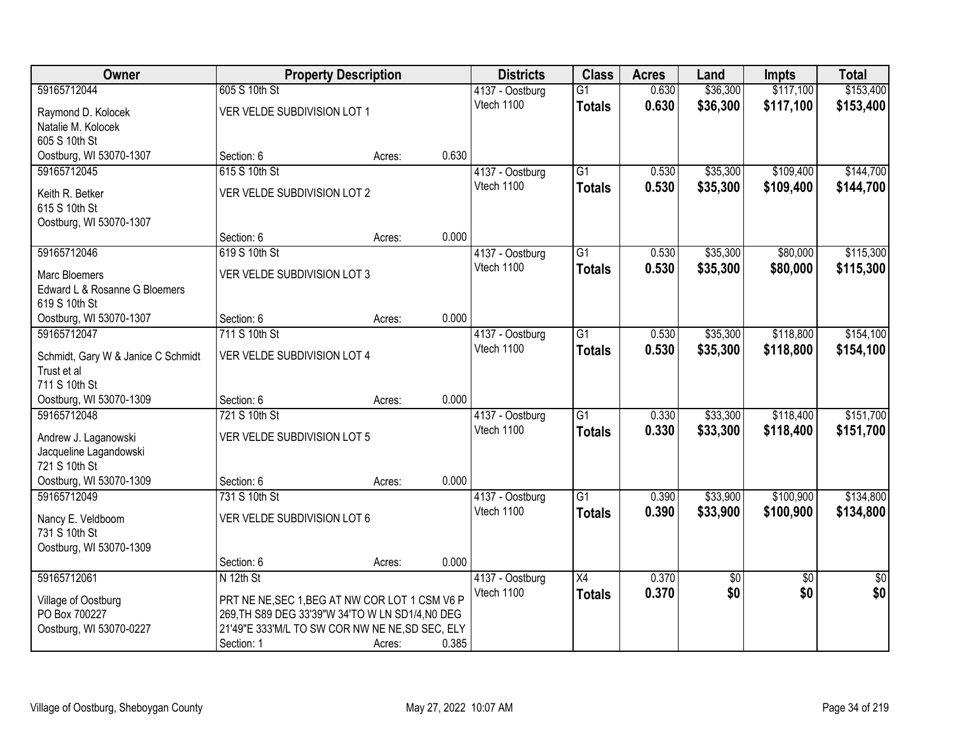| Owner                              | <b>Property Description</b>                      |        |       | <b>Districts</b> | <b>Class</b>    | <b>Acres</b> | Land     | <b>Impts</b>    | <b>Total</b>    |
|------------------------------------|--------------------------------------------------|--------|-------|------------------|-----------------|--------------|----------|-----------------|-----------------|
| 59165712044                        | 605 S 10th St                                    |        |       | 4137 - Oostburg  | $\overline{G1}$ | 0.630        | \$36,300 | \$117,100       | \$153,400       |
| Raymond D. Kolocek                 | VER VELDE SUBDIVISION LOT 1                      |        |       | Vtech 1100       | <b>Totals</b>   | 0.630        | \$36,300 | \$117,100       | \$153,400       |
| Natalie M. Kolocek                 |                                                  |        |       |                  |                 |              |          |                 |                 |
| 605 S 10th St                      |                                                  |        |       |                  |                 |              |          |                 |                 |
| Oostburg, WI 53070-1307            | Section: 6                                       | Acres: | 0.630 |                  |                 |              |          |                 |                 |
| 59165712045                        | 615 S 10th St                                    |        |       | 4137 - Oostburg  | $\overline{G1}$ | 0.530        | \$35,300 | \$109,400       | \$144,700       |
| Keith R. Betker                    | VER VELDE SUBDIVISION LOT 2                      |        |       | Vtech 1100       | <b>Totals</b>   | 0.530        | \$35,300 | \$109,400       | \$144,700       |
| 615 S 10th St                      |                                                  |        |       |                  |                 |              |          |                 |                 |
| Oostburg, WI 53070-1307            |                                                  |        |       |                  |                 |              |          |                 |                 |
|                                    | Section: 6                                       | Acres: | 0.000 |                  |                 |              |          |                 |                 |
| 59165712046                        | 619 S 10th St                                    |        |       | 4137 - Oostburg  | G1              | 0.530        | \$35,300 | \$80,000        | \$115,300       |
| <b>Marc Bloemers</b>               | VER VELDE SUBDIVISION LOT 3                      |        |       | Vtech 1100       | <b>Totals</b>   | 0.530        | \$35,300 | \$80,000        | \$115,300       |
| Edward L & Rosanne G Bloemers      |                                                  |        |       |                  |                 |              |          |                 |                 |
| 619 S 10th St                      |                                                  |        |       |                  |                 |              |          |                 |                 |
| Oostburg, WI 53070-1307            | Section: 6                                       | Acres: | 0.000 |                  |                 |              |          |                 |                 |
| 59165712047                        | 711 S 10th St                                    |        |       | 4137 - Oostburg  | $\overline{G1}$ | 0.530        | \$35,300 | \$118,800       | \$154,100       |
| Schmidt, Gary W & Janice C Schmidt | VER VELDE SUBDIVISION LOT 4                      |        |       | Vtech 1100       | <b>Totals</b>   | 0.530        | \$35,300 | \$118,800       | \$154,100       |
| Trust et al                        |                                                  |        |       |                  |                 |              |          |                 |                 |
| 711 S 10th St                      |                                                  |        |       |                  |                 |              |          |                 |                 |
| Oostburg, WI 53070-1309            | Section: 6                                       | Acres: | 0.000 |                  |                 |              |          |                 |                 |
| 59165712048                        | 721 S 10th St                                    |        |       | 4137 - Oostburg  | $\overline{G1}$ | 0.330        | \$33,300 | \$118,400       | \$151,700       |
| Andrew J. Laganowski               | VER VELDE SUBDIVISION LOT 5                      |        |       | Vtech 1100       | <b>Totals</b>   | 0.330        | \$33,300 | \$118,400       | \$151,700       |
| Jacqueline Lagandowski             |                                                  |        |       |                  |                 |              |          |                 |                 |
| 721 S 10th St                      |                                                  |        |       |                  |                 |              |          |                 |                 |
| Oostburg, WI 53070-1309            | Section: 6                                       | Acres: | 0.000 |                  |                 |              |          |                 |                 |
| 59165712049                        | 731 S 10th St                                    |        |       | 4137 - Oostburg  | $\overline{G1}$ | 0.390        | \$33,900 | \$100,900       | \$134,800       |
| Nancy E. Veldboom                  | VER VELDE SUBDIVISION LOT 6                      |        |       | Vtech 1100       | <b>Totals</b>   | 0.390        | \$33,900 | \$100,900       | \$134,800       |
| 731 S 10th St                      |                                                  |        |       |                  |                 |              |          |                 |                 |
| Oostburg, WI 53070-1309            |                                                  |        |       |                  |                 |              |          |                 |                 |
|                                    | Section: 6                                       | Acres: | 0.000 |                  |                 |              |          |                 |                 |
| 59165712061                        | N 12th St                                        |        |       | 4137 - Oostburg  | X4              | 0.370        | \$0      | $\overline{30}$ | $\overline{50}$ |
| Village of Oostburg                | PRT NE NE, SEC 1, BEG AT NW COR LOT 1 CSM V6 P   |        |       | Vtech 1100       | <b>Totals</b>   | 0.370        | \$0      | \$0             | \$0             |
| PO Box 700227                      | 269, TH S89 DEG 33'39"W 34'TO W LN SD1/4, NO DEG |        |       |                  |                 |              |          |                 |                 |
| Oostburg, WI 53070-0227            | 21'49"E 333'M/L TO SW COR NW NE NE, SD SEC, ELY  |        |       |                  |                 |              |          |                 |                 |
|                                    | Section: 1                                       | Acres: | 0.385 |                  |                 |              |          |                 |                 |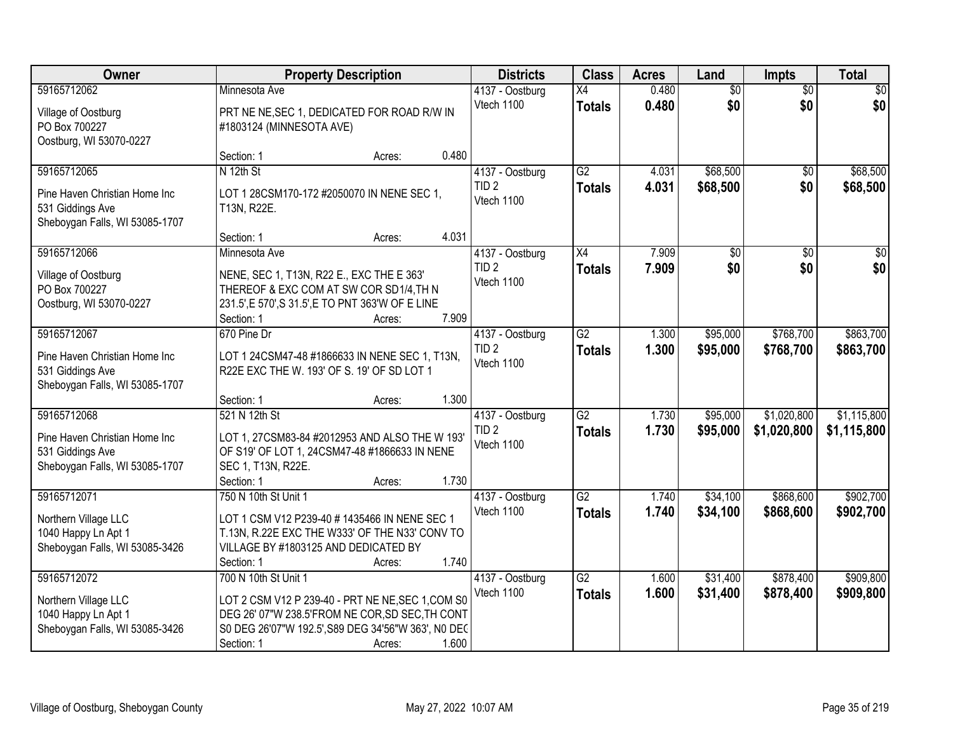| Owner                                                                                              | <b>Property Description</b>                                                                                                                                               |        | <b>Districts</b>                                           | <b>Class</b>                     | <b>Acres</b>   | Land                   | <b>Impts</b>               | <b>Total</b>               |
|----------------------------------------------------------------------------------------------------|---------------------------------------------------------------------------------------------------------------------------------------------------------------------------|--------|------------------------------------------------------------|----------------------------------|----------------|------------------------|----------------------------|----------------------------|
| 59165712062<br>Village of Oostburg<br>PO Box 700227<br>Oostburg, WI 53070-0227                     | Minnesota Ave<br>PRT NE NE, SEC 1, DEDICATED FOR ROAD R/W IN<br>#1803124 (MINNESOTA AVE)                                                                                  |        | 4137 - Oostburg<br>Vtech 1100                              | $\overline{X4}$<br><b>Totals</b> | 0.480<br>0.480 | $\overline{50}$<br>\$0 | $\overline{50}$<br>\$0     | \$0<br>\$0                 |
|                                                                                                    | Section: 1                                                                                                                                                                | Acres: | 0.480                                                      |                                  |                |                        |                            |                            |
| 59165712065<br>Pine Haven Christian Home Inc<br>531 Giddings Ave<br>Sheboygan Falls, WI 53085-1707 | N 12th St<br>LOT 1 28CSM170-172 #2050070 IN NENE SEC 1,<br>T13N, R22E.                                                                                                    |        | 4137 - Oostburg<br>TID <sub>2</sub><br>Vtech 1100<br>4.031 | $\overline{G2}$<br><b>Totals</b> | 4.031<br>4.031 | \$68,500<br>\$68,500   | \$0<br>\$0                 | \$68,500<br>\$68,500       |
| 59165712066                                                                                        | Section: 1<br>Minnesota Ave                                                                                                                                               | Acres: | 4137 - Oostburg                                            | X4                               | 7.909          | $\overline{50}$        | \$0                        | $\overline{30}$            |
| Village of Oostburg<br>PO Box 700227<br>Oostburg, WI 53070-0227                                    | NENE, SEC 1, T13N, R22 E., EXC THE E 363'<br>THEREOF & EXC COM AT SW COR SD1/4, TH N<br>231.5', E 570', S 31.5', E TO PNT 363'W OF E LINE<br>Section: 1                   | Acres: | TID <sub>2</sub><br>Vtech 1100<br>7.909                    | <b>Totals</b>                    | 7.909          | \$0                    | \$0                        | \$0                        |
| 59165712067                                                                                        | 670 Pine Dr                                                                                                                                                               |        | 4137 - Oostburg                                            | $\overline{G2}$                  | 1.300          | \$95,000               | \$768,700                  | \$863,700                  |
| Pine Haven Christian Home Inc<br>531 Giddings Ave<br>Sheboygan Falls, WI 53085-1707                | LOT 1 24CSM47-48 #1866633 IN NENE SEC 1, T13N,<br>R22E EXC THE W. 193' OF S. 19' OF SD LOT 1                                                                              |        | TID <sub>2</sub><br>Vtech 1100                             | <b>Totals</b>                    | 1.300          | \$95,000               | \$768,700                  | \$863,700                  |
|                                                                                                    | Section: 1                                                                                                                                                                | Acres: | 1.300                                                      |                                  |                |                        |                            |                            |
| 59165712068<br>Pine Haven Christian Home Inc<br>531 Giddings Ave<br>Sheboygan Falls, WI 53085-1707 | 521 N 12th St<br>LOT 1, 27CSM83-84 #2012953 AND ALSO THE W 193'<br>OF S19' OF LOT 1, 24CSM47-48 #1866633 IN NENE<br>SEC 1, T13N, R22E.<br>Section: 1                      | Acres: | 4137 - Oostburg<br>TID <sub>2</sub><br>Vtech 1100<br>1.730 | $\overline{G2}$<br>Totals        | 1.730<br>1.730 | \$95,000<br>\$95,000   | \$1,020,800<br>\$1,020,800 | \$1,115,800<br>\$1,115,800 |
| 59165712071                                                                                        | 750 N 10th St Unit 1                                                                                                                                                      |        | 4137 - Oostburg                                            | G2                               | 1.740          | \$34,100               | \$868,600                  | \$902,700                  |
| Northern Village LLC<br>1040 Happy Ln Apt 1<br>Sheboygan Falls, WI 53085-3426                      | LOT 1 CSM V12 P239-40 # 1435466 IN NENE SEC 1<br>T.13N, R.22E EXC THE W333' OF THE N33' CONV TO<br>VILLAGE BY #1803125 AND DEDICATED BY<br>Section: 1                     | Acres: | Vtech 1100<br>1.740                                        | <b>Totals</b>                    | 1.740          | \$34,100               | \$868,600                  | \$902,700                  |
| 59165712072                                                                                        | 700 N 10th St Unit 1                                                                                                                                                      |        | 4137 - Oostburg                                            | G2                               | 1.600          | \$31,400               | \$878,400                  | \$909,800                  |
| Northern Village LLC<br>1040 Happy Ln Apt 1<br>Sheboygan Falls, WI 53085-3426                      | LOT 2 CSM V12 P 239-40 - PRT NE NE, SEC 1, COM S0<br>DEG 26' 07"W 238.5'FROM NE COR, SD SEC, TH CONT<br>S0 DEG 26'07"W 192.5', S89 DEG 34'56"W 363', N0 DEC<br>Section: 1 | Acres: | Vtech 1100<br>1.600                                        | <b>Totals</b>                    | 1.600          | \$31,400               | \$878,400                  | \$909,800                  |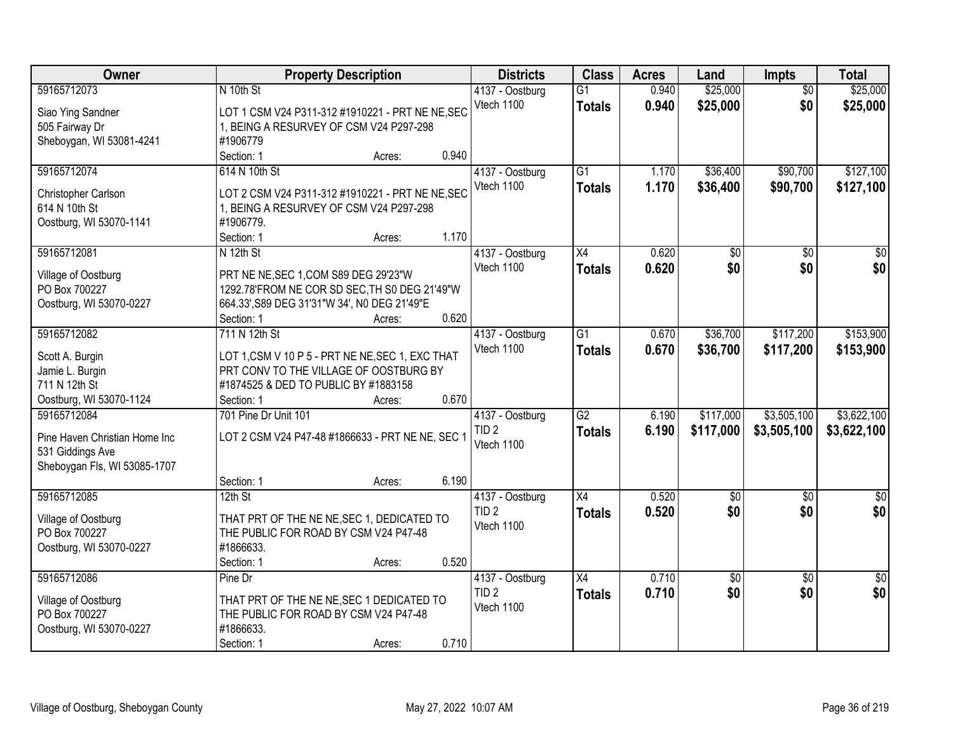| <b>Owner</b>                         |                                                                                    | <b>Property Description</b> |       | <b>Districts</b> | <b>Class</b>    | <b>Acres</b> | Land            | <b>Impts</b>    | <b>Total</b>     |
|--------------------------------------|------------------------------------------------------------------------------------|-----------------------------|-------|------------------|-----------------|--------------|-----------------|-----------------|------------------|
| 59165712073                          | N 10th St                                                                          |                             |       | 4137 - Oostburg  | $\overline{G1}$ | 0.940        | \$25,000        | $\overline{50}$ | \$25,000         |
| Siao Ying Sandner                    | LOT 1 CSM V24 P311-312 #1910221 - PRT NE NE, SEC                                   |                             |       | Vtech 1100       | <b>Totals</b>   | 0.940        | \$25,000        | \$0             | \$25,000         |
| 505 Fairway Dr                       | 1, BEING A RESURVEY OF CSM V24 P297-298                                            |                             |       |                  |                 |              |                 |                 |                  |
| Sheboygan, WI 53081-4241             | #1906779                                                                           |                             |       |                  |                 |              |                 |                 |                  |
|                                      | Section: 1                                                                         | Acres:                      | 0.940 |                  |                 |              |                 |                 |                  |
| 59165712074                          | 614 N 10th St                                                                      |                             |       | 4137 - Oostburg  | $\overline{G1}$ | 1.170        | \$36,400        | \$90,700        | \$127,100        |
|                                      |                                                                                    |                             |       | Vtech 1100       | <b>Totals</b>   | 1.170        | \$36,400        | \$90,700        | \$127,100        |
| Christopher Carlson                  | LOT 2 CSM V24 P311-312 #1910221 - PRT NE NE, SEC                                   |                             |       |                  |                 |              |                 |                 |                  |
| 614 N 10th St                        | 1, BEING A RESURVEY OF CSM V24 P297-298                                            |                             |       |                  |                 |              |                 |                 |                  |
| Oostburg, WI 53070-1141              | #1906779.                                                                          |                             |       |                  |                 |              |                 |                 |                  |
|                                      | Section: 1                                                                         | Acres:                      | 1.170 |                  |                 |              |                 |                 |                  |
| 59165712081                          | N 12th St                                                                          |                             |       | 4137 - Oostburg  | X4              | 0.620        | \$0             | \$0             | \$0              |
| Village of Oostburg                  | PRT NE NE, SEC 1, COM S89 DEG 29'23"W                                              |                             |       | Vtech 1100       | <b>Totals</b>   | 0.620        | \$0             | \$0             | \$0              |
| PO Box 700227                        | 1292.78'FROM NE COR SD SEC, TH S0 DEG 21'49"W                                      |                             |       |                  |                 |              |                 |                 |                  |
| Oostburg, WI 53070-0227              | 664.33', S89 DEG 31'31"W 34', N0 DEG 21'49"E                                       |                             |       |                  |                 |              |                 |                 |                  |
|                                      | Section: 1                                                                         | Acres:                      | 0.620 |                  |                 |              |                 |                 |                  |
| 59165712082                          | 711 N 12th St                                                                      |                             |       | 4137 - Oostburg  | $\overline{G1}$ | 0.670        | \$36,700        | \$117,200       | \$153,900        |
| Scott A. Burgin                      | LOT 1, CSM V 10 P 5 - PRT NE NE, SEC 1, EXC THAT                                   |                             |       | Vtech 1100       | <b>Totals</b>   | 0.670        | \$36,700        | \$117,200       | \$153,900        |
| Jamie L. Burgin                      | PRT CONV TO THE VILLAGE OF OOSTBURG BY                                             |                             |       |                  |                 |              |                 |                 |                  |
| 711 N 12th St                        | #1874525 & DED TO PUBLIC BY #1883158                                               |                             |       |                  |                 |              |                 |                 |                  |
| Oostburg, WI 53070-1124              | Section: 1                                                                         | Acres:                      | 0.670 |                  |                 |              |                 |                 |                  |
| 59165712084                          | 701 Pine Dr Unit 101                                                               |                             |       | 4137 - Oostburg  | $\overline{G2}$ | 6.190        | \$117,000       | \$3,505,100     | \$3,622,100      |
|                                      |                                                                                    |                             |       | TID <sub>2</sub> | <b>Totals</b>   | 6.190        | \$117,000       | \$3,505,100     | \$3,622,100      |
| Pine Haven Christian Home Inc        | LOT 2 CSM V24 P47-48 #1866633 - PRT NE NE, SEC 1                                   |                             |       | Vtech 1100       |                 |              |                 |                 |                  |
| 531 Giddings Ave                     |                                                                                    |                             |       |                  |                 |              |                 |                 |                  |
| Sheboygan Fls, WI 53085-1707         |                                                                                    |                             |       |                  |                 |              |                 |                 |                  |
|                                      | Section: 1                                                                         | Acres:                      | 6.190 |                  |                 |              |                 |                 |                  |
| 59165712085                          | $12th$ St                                                                          |                             |       | 4137 - Oostburg  | $\overline{X4}$ | 0.520        | $\overline{50}$ | $\overline{30}$ | $\overline{\$0}$ |
| Village of Oostburg                  | THAT PRT OF THE NE NE, SEC 1, DEDICATED TO                                         |                             |       | TID <sub>2</sub> | <b>Totals</b>   | 0.520        | \$0             | \$0             | \$0              |
| PO Box 700227                        | THE PUBLIC FOR ROAD BY CSM V24 P47-48                                              |                             |       | Vtech 1100       |                 |              |                 |                 |                  |
| Oostburg, WI 53070-0227              | #1866633.                                                                          |                             |       |                  |                 |              |                 |                 |                  |
|                                      | Section: 1                                                                         | Acres:                      | 0.520 |                  |                 |              |                 |                 |                  |
| 59165712086                          | Pine Dr                                                                            |                             |       | 4137 - Oostburg  | X4              | 0.710        | $\overline{50}$ | $\overline{50}$ | $\overline{30}$  |
|                                      |                                                                                    |                             |       | TID <sub>2</sub> | <b>Totals</b>   | 0.710        | \$0             | \$0             | \$0              |
| Village of Oostburg<br>PO Box 700227 | THAT PRT OF THE NE NE, SEC 1 DEDICATED TO<br>THE PUBLIC FOR ROAD BY CSM V24 P47-48 |                             |       | Vtech 1100       |                 |              |                 |                 |                  |
| Oostburg, WI 53070-0227              | #1866633.                                                                          |                             |       |                  |                 |              |                 |                 |                  |
|                                      | Section: 1                                                                         | Acres:                      | 0.710 |                  |                 |              |                 |                 |                  |
|                                      |                                                                                    |                             |       |                  |                 |              |                 |                 |                  |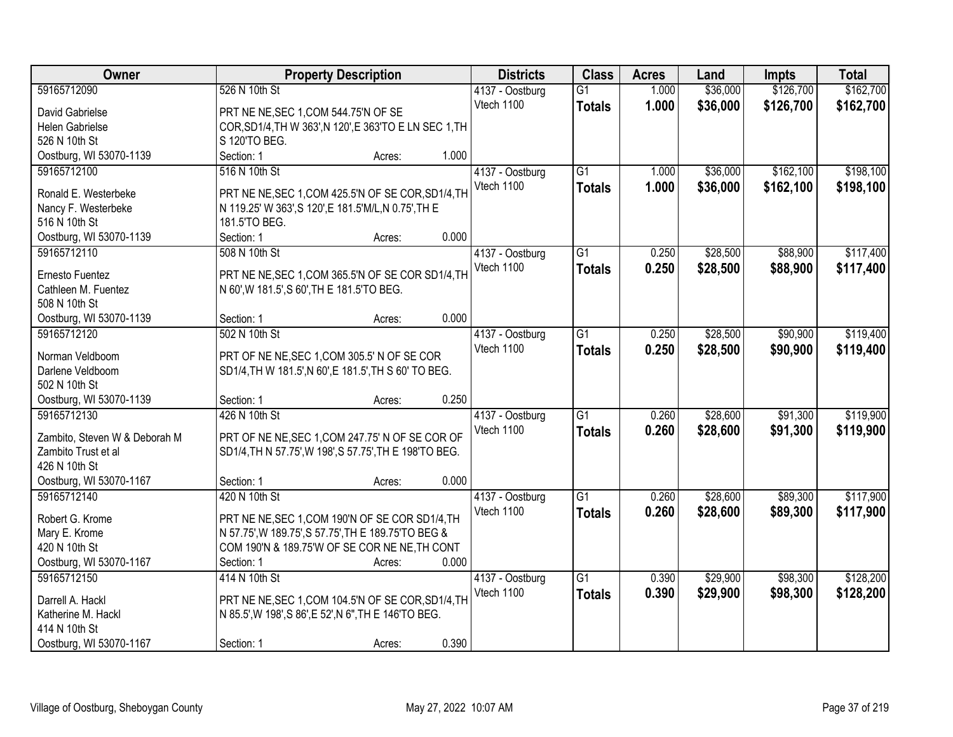| Owner                         | <b>Property Description</b>                            |        |       | <b>Districts</b> | <b>Class</b>    | <b>Acres</b> | Land     | <b>Impts</b> | <b>Total</b> |
|-------------------------------|--------------------------------------------------------|--------|-------|------------------|-----------------|--------------|----------|--------------|--------------|
| 59165712090                   | 526 N 10th St                                          |        |       | 4137 - Oostburg  | $\overline{G1}$ | 1.000        | \$36,000 | \$126,700    | \$162,700    |
| David Gabrielse               | PRT NE NE, SEC 1, COM 544.75'N OF SE                   |        |       | Vtech 1100       | <b>Totals</b>   | 1.000        | \$36,000 | \$126,700    | \$162,700    |
| Helen Gabrielse               | COR, SD1/4, TH W 363', N 120', E 363'TO E LN SEC 1, TH |        |       |                  |                 |              |          |              |              |
| 526 N 10th St                 | S 120'TO BEG.                                          |        |       |                  |                 |              |          |              |              |
| Oostburg, WI 53070-1139       | Section: 1                                             | Acres: | 1.000 |                  |                 |              |          |              |              |
| 59165712100                   | 516 N 10th St                                          |        |       | 4137 - Oostburg  | $\overline{G1}$ | 1.000        | \$36,000 | \$162,100    | \$198,100    |
|                               |                                                        |        |       | Vtech 1100       | <b>Totals</b>   | 1.000        | \$36,000 | \$162,100    | \$198,100    |
| Ronald E. Westerbeke          | PRT NE NE, SEC 1, COM 425.5'N OF SE COR, SD1/4, TH     |        |       |                  |                 |              |          |              |              |
| Nancy F. Westerbeke           | N 119.25' W 363', S 120', E 181.5'M/L, N 0.75', TH E   |        |       |                  |                 |              |          |              |              |
| 516 N 10th St                 | 181.5'TO BEG.                                          |        |       |                  |                 |              |          |              |              |
| Oostburg, WI 53070-1139       | Section: 1                                             | Acres: | 0.000 |                  |                 |              |          |              |              |
| 59165712110                   | 508 N 10th St                                          |        |       | 4137 - Oostburg  | $\overline{G1}$ | 0.250        | \$28,500 | \$88,900     | \$117,400    |
| Ernesto Fuentez               | PRT NE NE, SEC 1, COM 365.5'N OF SE COR SD1/4, TH      |        |       | Vtech 1100       | <b>Totals</b>   | 0.250        | \$28,500 | \$88,900     | \$117,400    |
| Cathleen M. Fuentez           | N 60', W 181.5', S 60', TH E 181.5'TO BEG.             |        |       |                  |                 |              |          |              |              |
| 508 N 10th St                 |                                                        |        |       |                  |                 |              |          |              |              |
| Oostburg, WI 53070-1139       | Section: 1                                             | Acres: | 0.000 |                  |                 |              |          |              |              |
| 59165712120                   | 502 N 10th St                                          |        |       | 4137 - Oostburg  | $\overline{G1}$ | 0.250        | \$28,500 | \$90,900     | \$119,400    |
|                               |                                                        |        |       | Vtech 1100       |                 |              |          |              |              |
| Norman Veldboom               | PRT OF NE NE, SEC 1, COM 305.5' N OF SE COR            |        |       |                  | <b>Totals</b>   | 0.250        | \$28,500 | \$90,900     | \$119,400    |
| Darlene Veldboom              | SD1/4, TH W 181.5', N 60', E 181.5', TH S 60' TO BEG.  |        |       |                  |                 |              |          |              |              |
| 502 N 10th St                 |                                                        |        |       |                  |                 |              |          |              |              |
| Oostburg, WI 53070-1139       | Section: 1                                             | Acres: | 0.250 |                  |                 |              |          |              |              |
| 59165712130                   | 426 N 10th St                                          |        |       | 4137 - Oostburg  | $\overline{G1}$ | 0.260        | \$28,600 | \$91,300     | \$119,900    |
|                               |                                                        |        |       | Vtech 1100       | <b>Totals</b>   | 0.260        | \$28,600 | \$91,300     | \$119,900    |
| Zambito, Steven W & Deborah M | PRT OF NE NE, SEC 1, COM 247.75' N OF SE COR OF        |        |       |                  |                 |              |          |              |              |
| Zambito Trust et al           | SD1/4, TH N 57.75', W 198', S 57.75', TH E 198'TO BEG. |        |       |                  |                 |              |          |              |              |
| 426 N 10th St                 |                                                        |        |       |                  |                 |              |          |              |              |
| Oostburg, WI 53070-1167       | Section: 1                                             | Acres: | 0.000 |                  |                 |              |          |              |              |
| 59165712140                   | 420 N 10th St                                          |        |       | 4137 - Oostburg  | $\overline{G1}$ | 0.260        | \$28,600 | \$89,300     | \$117,900    |
| Robert G. Krome               | PRT NE NE, SEC 1, COM 190'N OF SE COR SD1/4, TH        |        |       | Vtech 1100       | <b>Totals</b>   | 0.260        | \$28,600 | \$89,300     | \$117,900    |
| Mary E. Krome                 | N 57.75', W 189.75', S 57.75', TH E 189.75'TO BEG &    |        |       |                  |                 |              |          |              |              |
| 420 N 10th St                 | COM 190'N & 189.75'W OF SE COR NE NE, TH CONT          |        |       |                  |                 |              |          |              |              |
| Oostburg, WI 53070-1167       | Section: 1                                             | Acres: | 0.000 |                  |                 |              |          |              |              |
| 59165712150                   | 414 N 10th St                                          |        |       | 4137 - Oostburg  | $\overline{G1}$ | 0.390        | \$29,900 | \$98,300     | \$128,200    |
|                               |                                                        |        |       | Vtech 1100       | <b>Totals</b>   | 0.390        | \$29,900 | \$98,300     | \$128,200    |
| Darrell A. Hackl              | PRT NE NE, SEC 1, COM 104.5'N OF SE COR, SD1/4, TH     |        |       |                  |                 |              |          |              |              |
| Katherine M. Hackl            | N 85.5', W 198', S 86', E 52', N 6", TH E 146'TO BEG.  |        |       |                  |                 |              |          |              |              |
| 414 N 10th St                 |                                                        |        |       |                  |                 |              |          |              |              |
| Oostburg, WI 53070-1167       | Section: 1                                             | Acres: | 0.390 |                  |                 |              |          |              |              |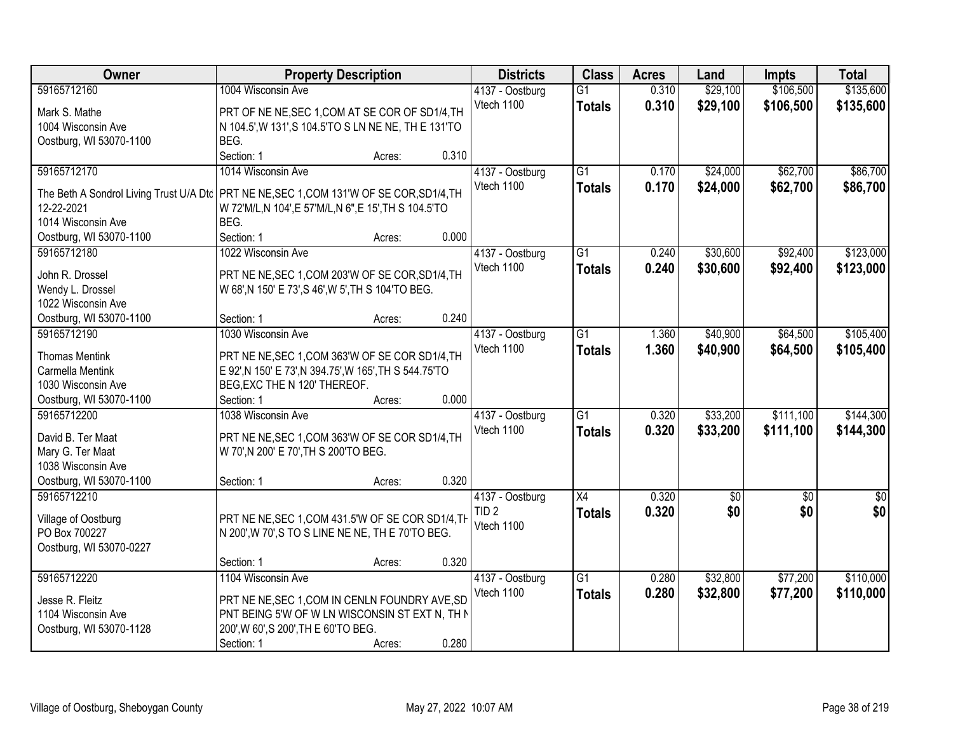| Owner                                                                                      | <b>Property Description</b>                            |        |       | <b>Districts</b> | <b>Class</b>    | <b>Acres</b> | Land            | <b>Impts</b>    | <b>Total</b>    |
|--------------------------------------------------------------------------------------------|--------------------------------------------------------|--------|-------|------------------|-----------------|--------------|-----------------|-----------------|-----------------|
| 59165712160                                                                                | 1004 Wisconsin Ave                                     |        |       | 4137 - Oostburg  | $\overline{G1}$ | 0.310        | \$29,100        | \$106,500       | \$135,600       |
| Mark S. Mathe                                                                              | PRT OF NE NE, SEC 1, COM AT SE COR OF SD1/4, TH        |        |       | Vtech 1100       | <b>Totals</b>   | 0.310        | \$29,100        | \$106,500       | \$135,600       |
| 1004 Wisconsin Ave                                                                         | N 104.5', W 131', S 104.5'TO S LN NE NE, TH E 131'TO   |        |       |                  |                 |              |                 |                 |                 |
| Oostburg, WI 53070-1100                                                                    | BEG.                                                   |        |       |                  |                 |              |                 |                 |                 |
|                                                                                            | Section: 1                                             | Acres: | 0.310 |                  |                 |              |                 |                 |                 |
| 59165712170                                                                                | 1014 Wisconsin Ave                                     |        |       | 4137 - Oostburg  | $\overline{G1}$ | 0.170        | \$24,000        | \$62,700        | \$86,700        |
|                                                                                            |                                                        |        |       | Vtech 1100       | <b>Totals</b>   | 0.170        | \$24,000        | \$62,700        | \$86,700        |
| The Beth A Sondrol Living Trust U/A Dtc   PRT NE NE, SEC 1, COM 131'W OF SE COR, SD1/4, TH |                                                        |        |       |                  |                 |              |                 |                 |                 |
| 12-22-2021                                                                                 | W 72'M/L,N 104',E 57'M/L,N 6",E 15',TH S 104.5'TO      |        |       |                  |                 |              |                 |                 |                 |
| 1014 Wisconsin Ave                                                                         | BEG.                                                   |        |       |                  |                 |              |                 |                 |                 |
| Oostburg, WI 53070-1100                                                                    | Section: 1                                             | Acres: | 0.000 |                  |                 |              |                 |                 |                 |
| 59165712180                                                                                | 1022 Wisconsin Ave                                     |        |       | 4137 - Oostburg  | G1              | 0.240        | \$30,600        | \$92,400        | \$123,000       |
| John R. Drossel                                                                            | PRT NE NE, SEC 1, COM 203'W OF SE COR, SD1/4, TH       |        |       | Vtech 1100       | <b>Totals</b>   | 0.240        | \$30,600        | \$92,400        | \$123,000       |
| Wendy L. Drossel                                                                           | W 68', N 150' E 73', S 46', W 5', TH S 104'TO BEG.     |        |       |                  |                 |              |                 |                 |                 |
| 1022 Wisconsin Ave                                                                         |                                                        |        |       |                  |                 |              |                 |                 |                 |
| Oostburg, WI 53070-1100                                                                    | Section: 1                                             | Acres: | 0.240 |                  |                 |              |                 |                 |                 |
| 59165712190                                                                                | 1030 Wisconsin Ave                                     |        |       | 4137 - Oostburg  | G1              | 1.360        | \$40,900        | \$64,500        | \$105,400       |
|                                                                                            |                                                        |        |       | Vtech 1100       | <b>Totals</b>   | 1.360        | \$40,900        | \$64,500        | \$105,400       |
| <b>Thomas Mentink</b>                                                                      | PRT NE NE, SEC 1, COM 363'W OF SE COR SD1/4, TH        |        |       |                  |                 |              |                 |                 |                 |
| Carmella Mentink                                                                           | E 92', N 150' E 73', N 394.75', W 165', TH S 544.75'TO |        |       |                  |                 |              |                 |                 |                 |
| 1030 Wisconsin Ave                                                                         | BEG, EXC THE N 120' THEREOF.                           |        |       |                  |                 |              |                 |                 |                 |
| Oostburg, WI 53070-1100                                                                    | Section: 1                                             | Acres: | 0.000 |                  |                 |              |                 |                 |                 |
| 59165712200                                                                                | 1038 Wisconsin Ave                                     |        |       | 4137 - Oostburg  | $\overline{G1}$ | 0.320        | \$33,200        | \$111,100       | \$144,300       |
| David B. Ter Maat                                                                          | PRT NE NE, SEC 1, COM 363'W OF SE COR SD1/4, TH        |        |       | Vtech 1100       | <b>Totals</b>   | 0.320        | \$33,200        | \$111,100       | \$144,300       |
| Mary G. Ter Maat                                                                           | W 70', N 200' E 70', TH S 200'TO BEG.                  |        |       |                  |                 |              |                 |                 |                 |
| 1038 Wisconsin Ave                                                                         |                                                        |        |       |                  |                 |              |                 |                 |                 |
| Oostburg, WI 53070-1100                                                                    | Section: 1                                             | Acres: | 0.320 |                  |                 |              |                 |                 |                 |
| 59165712210                                                                                |                                                        |        |       | 4137 - Oostburg  | $\overline{X4}$ | 0.320        | $\overline{50}$ | $\overline{50}$ | $\overline{50}$ |
|                                                                                            |                                                        |        |       | TID <sub>2</sub> | <b>Totals</b>   | 0.320        | \$0             | \$0             | \$0             |
| Village of Oostburg                                                                        | PRT NE NE, SEC 1, COM 431.5'W OF SE COR SD1/4, TH      |        |       | Vtech 1100       |                 |              |                 |                 |                 |
| PO Box 700227                                                                              | N 200', W 70', S TO S LINE NE NE, TH E 70'TO BEG.      |        |       |                  |                 |              |                 |                 |                 |
| Oostburg, WI 53070-0227                                                                    |                                                        |        |       |                  |                 |              |                 |                 |                 |
|                                                                                            | Section: 1                                             | Acres: | 0.320 |                  |                 |              |                 |                 |                 |
| 59165712220                                                                                | 1104 Wisconsin Ave                                     |        |       | 4137 - Oostburg  | $\overline{G1}$ | 0.280        | \$32,800        | \$77,200        | \$110,000       |
| Jesse R. Fleitz                                                                            | PRT NE NE, SEC 1, COM IN CENLN FOUNDRY AVE, SD         |        |       | Vtech 1100       | <b>Totals</b>   | 0.280        | \$32,800        | \$77,200        | \$110,000       |
| 1104 Wisconsin Ave                                                                         | PNT BEING 5'W OF W LN WISCONSIN ST EXT N, TH N         |        |       |                  |                 |              |                 |                 |                 |
| Oostburg, WI 53070-1128                                                                    | 200', W 60', S 200', TH E 60'TO BEG.                   |        |       |                  |                 |              |                 |                 |                 |
|                                                                                            | Section: 1                                             | Acres: | 0.280 |                  |                 |              |                 |                 |                 |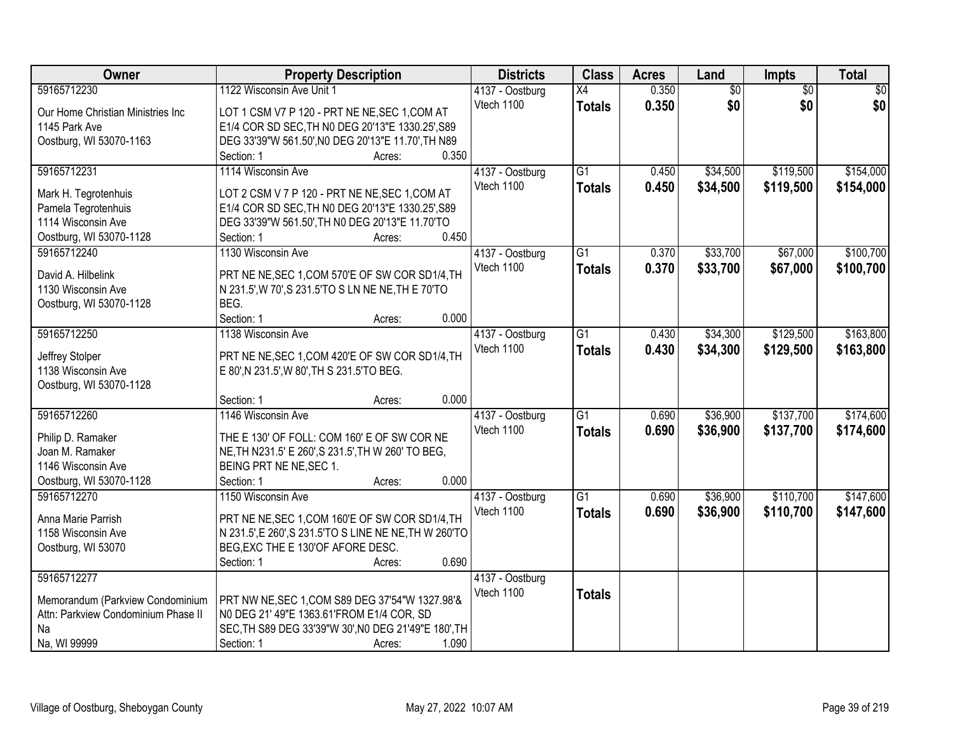| Owner                               | <b>Property Description</b>                            |        |       | <b>Districts</b> | <b>Class</b>    | <b>Acres</b> | Land            | Impts           | <b>Total</b> |
|-------------------------------------|--------------------------------------------------------|--------|-------|------------------|-----------------|--------------|-----------------|-----------------|--------------|
| 59165712230                         | 1122 Wisconsin Ave Unit 1                              |        |       | 4137 - Oostburg  | X4              | 0.350        | $\overline{60}$ | $\overline{50}$ | \$0          |
| Our Home Christian Ministries Inc   | LOT 1 CSM V7 P 120 - PRT NE NE, SEC 1, COM AT          |        |       | Vtech 1100       | <b>Totals</b>   | 0.350        | \$0             | \$0             | \$0          |
| 1145 Park Ave                       | E1/4 COR SD SEC, TH N0 DEG 20'13"E 1330.25', S89       |        |       |                  |                 |              |                 |                 |              |
| Oostburg, WI 53070-1163             | DEG 33'39"W 561.50', N0 DEG 20'13"E 11.70', TH N89     |        |       |                  |                 |              |                 |                 |              |
|                                     | Section: 1                                             | Acres: | 0.350 |                  |                 |              |                 |                 |              |
| 59165712231                         | 1114 Wisconsin Ave                                     |        |       | 4137 - Oostburg  | $\overline{G1}$ | 0.450        | \$34,500        | \$119,500       | \$154,000    |
|                                     |                                                        |        |       | Vtech 1100       | <b>Totals</b>   | 0.450        | \$34,500        | \$119,500       | \$154,000    |
| Mark H. Tegrotenhuis                | LOT 2 CSM V 7 P 120 - PRT NE NE, SEC 1, COM AT         |        |       |                  |                 |              |                 |                 |              |
| Pamela Tegrotenhuis                 | E1/4 COR SD SEC, TH N0 DEG 20'13"E 1330.25', S89       |        |       |                  |                 |              |                 |                 |              |
| 1114 Wisconsin Ave                  | DEG 33'39"W 561.50', TH N0 DEG 20'13"E 11.70'TO        |        |       |                  |                 |              |                 |                 |              |
| Oostburg, WI 53070-1128             | Section: 1                                             | Acres: | 0.450 |                  |                 |              |                 |                 |              |
| 59165712240                         | 1130 Wisconsin Ave                                     |        |       | 4137 - Oostburg  | $\overline{G1}$ | 0.370        | \$33,700        | \$67,000        | \$100,700    |
| David A. Hilbelink                  | PRT NE NE, SEC 1, COM 570'E OF SW COR SD1/4, TH        |        |       | Vtech 1100       | <b>Totals</b>   | 0.370        | \$33,700        | \$67,000        | \$100,700    |
| 1130 Wisconsin Ave                  | N 231.5', W 70', S 231.5'TO S LN NE NE, TH E 70'TO     |        |       |                  |                 |              |                 |                 |              |
| Oostburg, WI 53070-1128             | BEG.                                                   |        |       |                  |                 |              |                 |                 |              |
|                                     | Section: 1                                             | Acres: | 0.000 |                  |                 |              |                 |                 |              |
| 59165712250                         | 1138 Wisconsin Ave                                     |        |       | 4137 - Oostburg  | $\overline{G1}$ | 0.430        | \$34,300        | \$129,500       | \$163,800    |
|                                     |                                                        |        |       | Vtech 1100       | <b>Totals</b>   | 0.430        | \$34,300        | \$129,500       | \$163,800    |
| Jeffrey Stolper                     | PRT NE NE, SEC 1, COM 420'E OF SW COR SD1/4, TH        |        |       |                  |                 |              |                 |                 |              |
| 1138 Wisconsin Ave                  | E 80', N 231.5', W 80', TH S 231.5'TO BEG.             |        |       |                  |                 |              |                 |                 |              |
| Oostburg, WI 53070-1128             |                                                        |        |       |                  |                 |              |                 |                 |              |
|                                     | Section: 1                                             | Acres: | 0.000 |                  |                 |              |                 |                 |              |
| 59165712260                         | 1146 Wisconsin Ave                                     |        |       | 4137 - Oostburg  | $\overline{G1}$ | 0.690        | \$36,900        | \$137,700       | \$174,600    |
| Philip D. Ramaker                   | THE E 130' OF FOLL: COM 160' E OF SW COR NE            |        |       | Vtech 1100       | <b>Totals</b>   | 0.690        | \$36,900        | \$137,700       | \$174,600    |
| Joan M. Ramaker                     | NE, TH N231.5' E 260', S 231.5', TH W 260' TO BEG,     |        |       |                  |                 |              |                 |                 |              |
| 1146 Wisconsin Ave                  | BEING PRT NE NE, SEC 1.                                |        |       |                  |                 |              |                 |                 |              |
| Oostburg, WI 53070-1128             | Section: 1                                             | Acres: | 0.000 |                  |                 |              |                 |                 |              |
| 59165712270                         | 1150 Wisconsin Ave                                     |        |       | 4137 - Oostburg  | $\overline{G1}$ | 0.690        | \$36,900        | \$110,700       | \$147,600    |
|                                     |                                                        |        |       | Vtech 1100       | <b>Totals</b>   | 0.690        | \$36,900        | \$110,700       | \$147,600    |
| Anna Marie Parrish                  | PRT NE NE, SEC 1, COM 160'E OF SW COR SD1/4, TH        |        |       |                  |                 |              |                 |                 |              |
| 1158 Wisconsin Ave                  | N 231.5', E 260', S 231.5'TO S LINE NE NE, TH W 260'TO |        |       |                  |                 |              |                 |                 |              |
| Oostburg, WI 53070                  | BEG, EXC THE E 130'OF AFORE DESC.                      |        |       |                  |                 |              |                 |                 |              |
|                                     | Section: 1                                             | Acres: | 0.690 |                  |                 |              |                 |                 |              |
| 59165712277                         |                                                        |        |       | 4137 - Oostburg  |                 |              |                 |                 |              |
| Memorandum (Parkview Condominium    | PRT NW NE, SEC 1, COM S89 DEG 37'54"W 1327.98'&        |        |       | Vtech 1100       | <b>Totals</b>   |              |                 |                 |              |
| Attn: Parkview Condominium Phase II | NO DEG 21' 49"E 1363.61'FROM E1/4 COR, SD              |        |       |                  |                 |              |                 |                 |              |
| Na                                  | SEC, TH S89 DEG 33'39"W 30', N0 DEG 21'49"E 180', TH   |        |       |                  |                 |              |                 |                 |              |
| Na, WI 99999                        | Section: 1                                             | Acres: | 1.090 |                  |                 |              |                 |                 |              |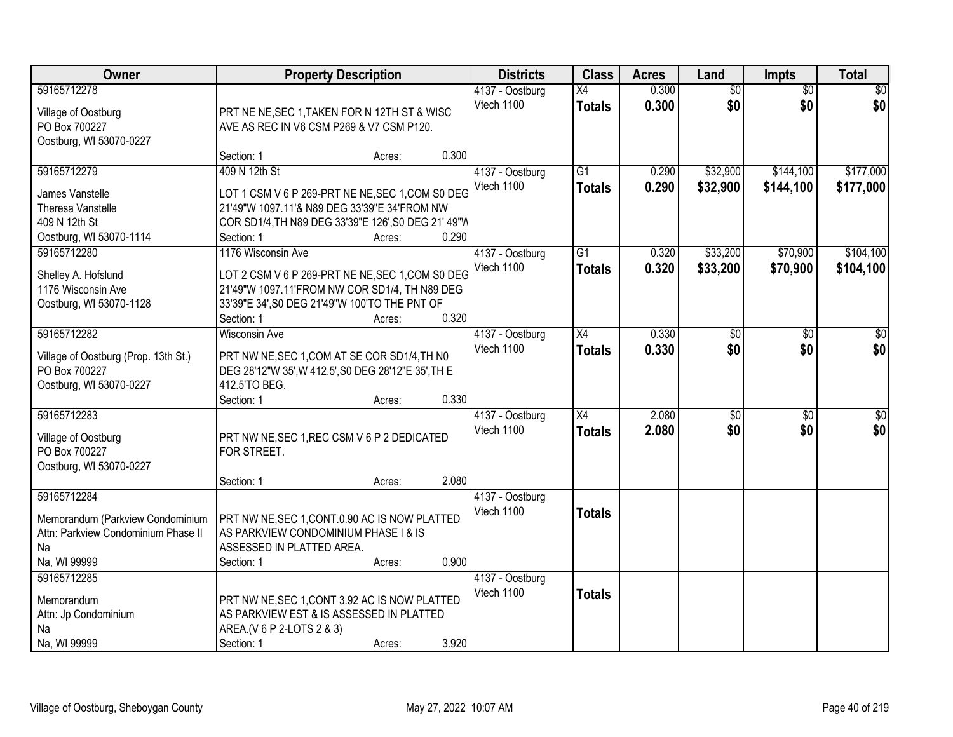| Owner                                     |                                                                                                   | <b>Property Description</b> |       | <b>Districts</b>              | <b>Class</b>    | <b>Acres</b> | Land            | Impts           | <b>Total</b> |
|-------------------------------------------|---------------------------------------------------------------------------------------------------|-----------------------------|-------|-------------------------------|-----------------|--------------|-----------------|-----------------|--------------|
| 59165712278                               |                                                                                                   |                             |       | 4137 - Oostburg               | X4              | 0.300        | $\overline{50}$ | $\overline{50}$ | \$0          |
| Village of Oostburg                       | PRT NE NE, SEC 1, TAKEN FOR N 12TH ST & WISC                                                      |                             |       | Vtech 1100                    | <b>Totals</b>   | 0.300        | \$0             | \$0             | \$0          |
| PO Box 700227                             | AVE AS REC IN V6 CSM P269 & V7 CSM P120.                                                          |                             |       |                               |                 |              |                 |                 |              |
| Oostburg, WI 53070-0227                   |                                                                                                   |                             |       |                               |                 |              |                 |                 |              |
|                                           | Section: 1                                                                                        | Acres:                      | 0.300 |                               |                 |              |                 |                 |              |
| 59165712279                               | 409 N 12th St                                                                                     |                             |       | 4137 - Oostburg               | $\overline{G1}$ | 0.290        | \$32,900        | \$144,100       | \$177,000    |
| James Vanstelle                           | LOT 1 CSM V 6 P 269-PRT NE NE, SEC 1, COM S0 DEG                                                  |                             |       | Vtech 1100                    | <b>Totals</b>   | 0.290        | \$32,900        | \$144,100       | \$177,000    |
| Theresa Vanstelle                         | 21'49"W 1097.11'& N89 DEG 33'39"E 34'FROM NW                                                      |                             |       |                               |                 |              |                 |                 |              |
| 409 N 12th St                             | COR SD1/4, TH N89 DEG 33'39"E 126', S0 DEG 21' 49"W                                               |                             |       |                               |                 |              |                 |                 |              |
| Oostburg, WI 53070-1114                   | Section: 1                                                                                        | Acres:                      | 0.290 |                               |                 |              |                 |                 |              |
| 59165712280                               | 1176 Wisconsin Ave                                                                                |                             |       | 4137 - Oostburg               | $\overline{G1}$ | 0.320        | \$33,200        | \$70,900        | \$104,100    |
|                                           |                                                                                                   |                             |       | Vtech 1100                    | <b>Totals</b>   | 0.320        | \$33,200        | \$70,900        | \$104,100    |
| Shelley A. Hofslund<br>1176 Wisconsin Ave | LOT 2 CSM V 6 P 269-PRT NE NE, SEC 1, COM S0 DEG<br>21'49"W 1097.11'FROM NW COR SD1/4, TH N89 DEG |                             |       |                               |                 |              |                 |                 |              |
| Oostburg, WI 53070-1128                   | 33'39"E 34', S0 DEG 21'49"W 100'TO THE PNT OF                                                     |                             |       |                               |                 |              |                 |                 |              |
|                                           | Section: 1                                                                                        | Acres:                      | 0.320 |                               |                 |              |                 |                 |              |
| 59165712282                               | <b>Wisconsin Ave</b>                                                                              |                             |       | 4137 - Oostburg               | X4              | 0.330        | $\sqrt[6]{3}$   | $\sqrt[6]{}$    | \$0          |
|                                           |                                                                                                   |                             |       | Vtech 1100                    | <b>Totals</b>   | 0.330        | \$0             | \$0             | \$0          |
| Village of Oostburg (Prop. 13th St.)      | PRT NW NE, SEC 1, COM AT SE COR SD1/4, TH N0                                                      |                             |       |                               |                 |              |                 |                 |              |
| PO Box 700227                             | DEG 28'12"W 35', W 412.5', S0 DEG 28'12"E 35', TH E                                               |                             |       |                               |                 |              |                 |                 |              |
| Oostburg, WI 53070-0227                   | 412.5'TO BEG.                                                                                     |                             | 0.330 |                               |                 |              |                 |                 |              |
| 59165712283                               | Section: 1                                                                                        | Acres:                      |       |                               | $\overline{X4}$ | 2.080        | $\overline{50}$ | $\overline{50}$ | \$0          |
|                                           |                                                                                                   |                             |       | 4137 - Oostburg<br>Vtech 1100 |                 | 2.080        | \$0             |                 |              |
| Village of Oostburg                       | PRT NW NE, SEC 1, REC CSM V 6 P 2 DEDICATED                                                       |                             |       |                               | <b>Totals</b>   |              |                 | \$0             | \$0          |
| PO Box 700227                             | FOR STREET.                                                                                       |                             |       |                               |                 |              |                 |                 |              |
| Oostburg, WI 53070-0227                   |                                                                                                   |                             |       |                               |                 |              |                 |                 |              |
|                                           | Section: 1                                                                                        | Acres:                      | 2.080 |                               |                 |              |                 |                 |              |
| 59165712284                               |                                                                                                   |                             |       | 4137 - Oostburg               |                 |              |                 |                 |              |
| Memorandum (Parkview Condominium          | PRT NW NE, SEC 1, CONT.0.90 AC IS NOW PLATTED                                                     |                             |       | Vtech 1100                    | <b>Totals</b>   |              |                 |                 |              |
| Attn: Parkview Condominium Phase II       | AS PARKVIEW CONDOMINIUM PHASE I & IS                                                              |                             |       |                               |                 |              |                 |                 |              |
| Na                                        | ASSESSED IN PLATTED AREA.                                                                         |                             |       |                               |                 |              |                 |                 |              |
| Na, WI 99999                              | Section: 1                                                                                        | Acres:                      | 0.900 |                               |                 |              |                 |                 |              |
| 59165712285                               |                                                                                                   |                             |       | 4137 - Oostburg               |                 |              |                 |                 |              |
| Memorandum                                | PRT NW NE, SEC 1, CONT 3.92 AC IS NOW PLATTED                                                     |                             |       | Vtech 1100                    | <b>Totals</b>   |              |                 |                 |              |
| Attn: Jp Condominium                      | AS PARKVIEW EST & IS ASSESSED IN PLATTED                                                          |                             |       |                               |                 |              |                 |                 |              |
| Na                                        | AREA.(V 6 P 2-LOTS 2 & 3)                                                                         |                             |       |                               |                 |              |                 |                 |              |
| Na, WI 99999                              | Section: 1                                                                                        | Acres:                      | 3.920 |                               |                 |              |                 |                 |              |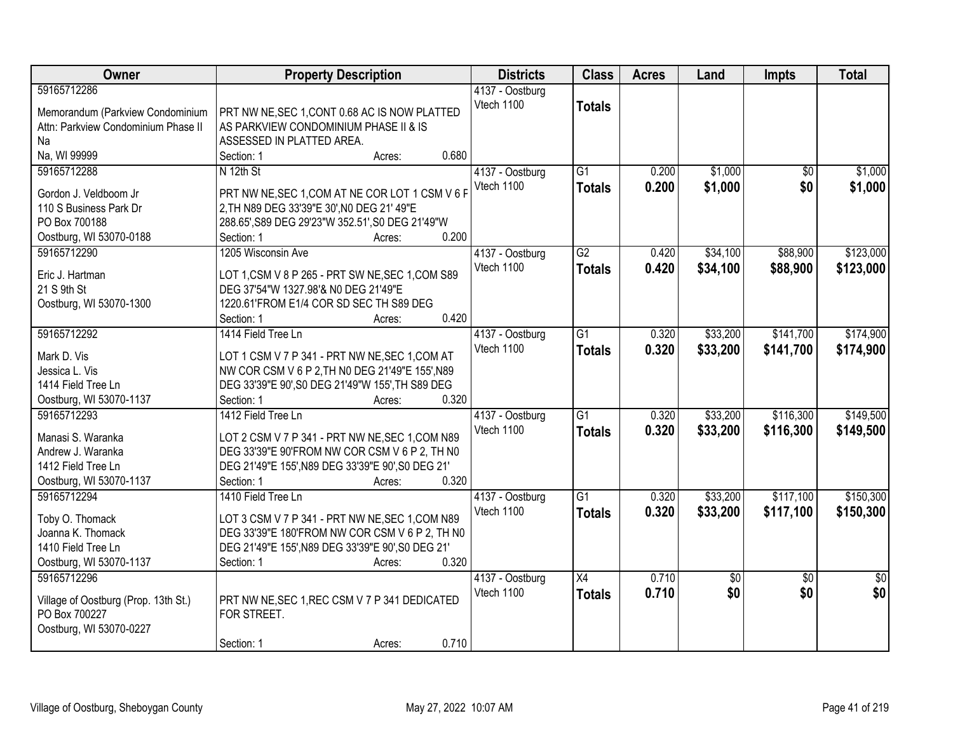| Owner                                | <b>Property Description</b>                       | <b>Districts</b> | <b>Class</b>    | <b>Acres</b> | Land        | <b>Impts</b>    | <b>Total</b>    |
|--------------------------------------|---------------------------------------------------|------------------|-----------------|--------------|-------------|-----------------|-----------------|
| 59165712286                          |                                                   | 4137 - Oostburg  |                 |              |             |                 |                 |
| Memorandum (Parkview Condominium     | PRT NW NE, SEC 1, CONT 0.68 AC IS NOW PLATTED     | Vtech 1100       | <b>Totals</b>   |              |             |                 |                 |
| Attn: Parkview Condominium Phase II  | AS PARKVIEW CONDOMINIUM PHASE II & IS             |                  |                 |              |             |                 |                 |
| Na                                   | ASSESSED IN PLATTED AREA.                         |                  |                 |              |             |                 |                 |
| Na, WI 99999                         | 0.680<br>Section: 1<br>Acres:                     |                  |                 |              |             |                 |                 |
| 59165712288                          | N 12th St                                         | 4137 - Oostburg  | $\overline{G1}$ | 0.200        | \$1,000     | \$0             | \$1,000         |
| Gordon J. Veldboom Jr                | PRT NW NE, SEC 1, COM AT NE COR LOT 1 CSM V 6 F   | Vtech 1100       | <b>Totals</b>   | 0.200        | \$1,000     | \$0             | \$1,000         |
| 110 S Business Park Dr               | 2, TH N89 DEG 33'39"E 30', N0 DEG 21' 49"E        |                  |                 |              |             |                 |                 |
| PO Box 700188                        | 288.65', S89 DEG 29'23"W 352.51', S0 DEG 21'49"W  |                  |                 |              |             |                 |                 |
| Oostburg, WI 53070-0188              | 0.200<br>Section: 1<br>Acres:                     |                  |                 |              |             |                 |                 |
| 59165712290                          | 1205 Wisconsin Ave                                | 4137 - Oostburg  | $\overline{G2}$ | 0.420        | \$34,100    | \$88,900        | \$123,000       |
|                                      |                                                   | Vtech 1100       | <b>Totals</b>   | 0.420        | \$34,100    | \$88,900        | \$123,000       |
| Eric J. Hartman                      | LOT 1, CSM V 8 P 265 - PRT SW NE, SEC 1, COM S89  |                  |                 |              |             |                 |                 |
| 21 S 9th St                          | DEG 37'54"W 1327.98'& N0 DEG 21'49"E              |                  |                 |              |             |                 |                 |
| Oostburg, WI 53070-1300              | 1220.61'FROM E1/4 COR SD SEC TH S89 DEG           |                  |                 |              |             |                 |                 |
|                                      | 0.420<br>Section: 1<br>Acres:                     |                  |                 |              |             |                 |                 |
| 59165712292                          | 1414 Field Tree Ln                                | 4137 - Oostburg  | $\overline{G1}$ | 0.320        | \$33,200    | \$141,700       | \$174,900       |
| Mark D. Vis                          | LOT 1 CSM V 7 P 341 - PRT NW NE, SEC 1, COM AT    | Vtech 1100       | <b>Totals</b>   | 0.320        | \$33,200    | \$141,700       | \$174,900       |
| Jessica L. Vis                       | NW COR CSM V 6 P 2, TH N0 DEG 21'49"E 155', N89   |                  |                 |              |             |                 |                 |
| 1414 Field Tree Ln                   | DEG 33'39"E 90', S0 DEG 21'49"W 155', TH S89 DEG  |                  |                 |              |             |                 |                 |
| Oostburg, WI 53070-1137              | 0.320<br>Section: 1<br>Acres:                     |                  |                 |              |             |                 |                 |
| 59165712293                          | 1412 Field Tree Ln                                | 4137 - Oostburg  | $\overline{G1}$ | 0.320        | \$33,200    | \$116,300       | \$149,500       |
| Manasi S. Waranka                    | LOT 2 CSM V 7 P 341 - PRT NW NE, SEC 1, COM N89   | Vtech 1100       | <b>Totals</b>   | 0.320        | \$33,200    | \$116,300       | \$149,500       |
| Andrew J. Waranka                    | DEG 33'39"E 90'FROM NW COR CSM V 6 P 2, TH N0     |                  |                 |              |             |                 |                 |
| 1412 Field Tree Ln                   | DEG 21'49"E 155', N89 DEG 33'39"E 90', S0 DEG 21' |                  |                 |              |             |                 |                 |
| Oostburg, WI 53070-1137              | 0.320<br>Section: 1<br>Acres:                     |                  |                 |              |             |                 |                 |
| 59165712294                          | 1410 Field Tree Ln                                | 4137 - Oostburg  | $\overline{G1}$ | 0.320        | \$33,200    | \$117,100       | \$150,300       |
|                                      |                                                   | Vtech 1100       | <b>Totals</b>   | 0.320        | \$33,200    | \$117,100       | \$150,300       |
| Toby O. Thomack                      | LOT 3 CSM V 7 P 341 - PRT NW NE, SEC 1, COM N89   |                  |                 |              |             |                 |                 |
| Joanna K. Thomack                    | DEG 33'39"E 180'FROM NW COR CSM V 6 P 2, TH N0    |                  |                 |              |             |                 |                 |
| 1410 Field Tree Ln                   | DEG 21'49"E 155', N89 DEG 33'39"E 90', S0 DEG 21' |                  |                 |              |             |                 |                 |
| Oostburg, WI 53070-1137              | Section: 1<br>0.320<br>Acres:                     |                  |                 |              |             |                 |                 |
| 59165712296                          |                                                   | 4137 - Oostburg  | $\overline{X4}$ | 0.710        | $\sqrt{$0}$ | $\overline{50}$ | $\overline{50}$ |
| Village of Oostburg (Prop. 13th St.) | PRT NW NE, SEC 1, REC CSM V 7 P 341 DEDICATED     | Vtech 1100       | <b>Totals</b>   | 0.710        | \$0         | \$0             | \$0             |
| PO Box 700227                        | FOR STREET.                                       |                  |                 |              |             |                 |                 |
| Oostburg, WI 53070-0227              |                                                   |                  |                 |              |             |                 |                 |
|                                      | 0.710<br>Section: 1<br>Acres:                     |                  |                 |              |             |                 |                 |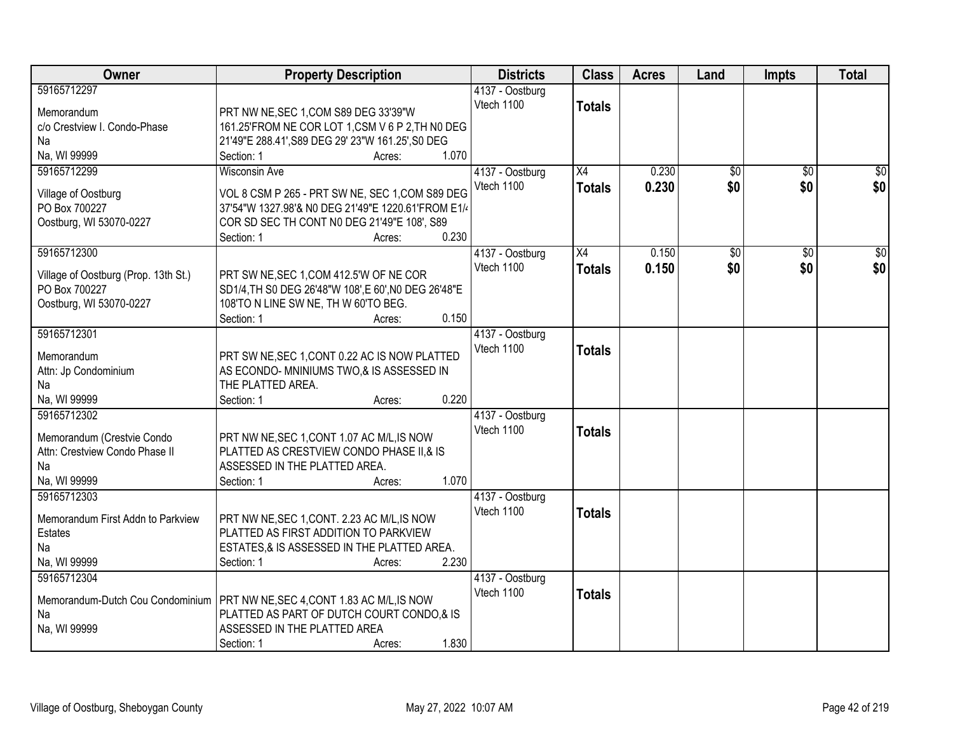| Owner                                | <b>Property Description</b>                          | <b>Districts</b> | <b>Class</b>  | <b>Acres</b> | Land            | <b>Impts</b>    | <b>Total</b> |
|--------------------------------------|------------------------------------------------------|------------------|---------------|--------------|-----------------|-----------------|--------------|
| 59165712297                          |                                                      | 4137 - Oostburg  |               |              |                 |                 |              |
| Memorandum                           | PRT NW NE, SEC 1, COM S89 DEG 33'39"W                | Vtech 1100       | <b>Totals</b> |              |                 |                 |              |
| c/o Crestview I. Condo-Phase         | 161.25'FROM NE COR LOT 1,CSM V 6 P 2, TH NO DEG      |                  |               |              |                 |                 |              |
| Na                                   | 21'49"E 288.41', S89 DEG 29' 23"W 161.25', S0 DEG    |                  |               |              |                 |                 |              |
| Na, WI 99999                         | 1.070<br>Section: 1<br>Acres:                        |                  |               |              |                 |                 |              |
| 59165712299                          | <b>Wisconsin Ave</b>                                 | 4137 - Oostburg  | X4            | 0.230        | $\overline{50}$ | $\overline{50}$ | $\sqrt{50}$  |
|                                      |                                                      | Vtech 1100       |               | 0.230        | \$0             | \$0             | \$0          |
| Village of Oostburg                  | VOL 8 CSM P 265 - PRT SW NE, SEC 1, COM S89 DEG      |                  | <b>Totals</b> |              |                 |                 |              |
| PO Box 700227                        | 37'54"W 1327.98'& N0 DEG 21'49"E 1220.61'FROM E1/4   |                  |               |              |                 |                 |              |
| Oostburg, WI 53070-0227              | COR SD SEC TH CONT N0 DEG 21'49"E 108', S89          |                  |               |              |                 |                 |              |
|                                      | 0.230<br>Section: 1<br>Acres:                        |                  |               |              |                 |                 |              |
| 59165712300                          |                                                      | 4137 - Oostburg  | X4            | 0.150        | \$0             | \$0             | \$0          |
|                                      |                                                      | Vtech 1100       | <b>Totals</b> | 0.150        | \$0             | \$0             | \$0          |
| Village of Oostburg (Prop. 13th St.) | PRT SW NE, SEC 1, COM 412.5'W OF NE COR              |                  |               |              |                 |                 |              |
| PO Box 700227                        | SD1/4, TH S0 DEG 26'48"W 108', E 60', N0 DEG 26'48"E |                  |               |              |                 |                 |              |
| Oostburg, WI 53070-0227              | 108'TO N LINE SW NE, TH W 60'TO BEG.<br>0.150        |                  |               |              |                 |                 |              |
|                                      | Section: 1<br>Acres:                                 |                  |               |              |                 |                 |              |
| 59165712301                          |                                                      | 4137 - Oostburg  |               |              |                 |                 |              |
| Memorandum                           | PRT SW NE, SEC 1, CONT 0.22 AC IS NOW PLATTED        | Vtech 1100       | <b>Totals</b> |              |                 |                 |              |
| Attn: Jp Condominium                 | AS ECONDO- MNINIUMS TWO,& IS ASSESSED IN             |                  |               |              |                 |                 |              |
| Na                                   | THE PLATTED AREA.                                    |                  |               |              |                 |                 |              |
| Na, WI 99999                         | 0.220<br>Section: 1<br>Acres:                        |                  |               |              |                 |                 |              |
| 59165712302                          |                                                      | 4137 - Oostburg  |               |              |                 |                 |              |
|                                      |                                                      | Vtech 1100       | <b>Totals</b> |              |                 |                 |              |
| Memorandum (Crestvie Condo           | PRT NW NE, SEC 1, CONT 1.07 AC M/L, IS NOW           |                  |               |              |                 |                 |              |
| Attn: Crestview Condo Phase II       | PLATTED AS CRESTVIEW CONDO PHASE II,& IS             |                  |               |              |                 |                 |              |
| Na                                   | ASSESSED IN THE PLATTED AREA.                        |                  |               |              |                 |                 |              |
| Na, WI 99999                         | 1.070<br>Section: 1<br>Acres:                        |                  |               |              |                 |                 |              |
| 59165712303                          |                                                      | 4137 - Oostburg  |               |              |                 |                 |              |
| Memorandum First Addn to Parkview    | PRT NW NE, SEC 1, CONT. 2.23 AC M/L, IS NOW          | Vtech 1100       | <b>Totals</b> |              |                 |                 |              |
| Estates                              | PLATTED AS FIRST ADDITION TO PARKVIEW                |                  |               |              |                 |                 |              |
| Na                                   | ESTATES, & IS ASSESSED IN THE PLATTED AREA.          |                  |               |              |                 |                 |              |
| Na, WI 99999                         | 2.230<br>Section: 1<br>Acres:                        |                  |               |              |                 |                 |              |
| 59165712304                          |                                                      | 4137 - Oostburg  |               |              |                 |                 |              |
|                                      |                                                      | Vtech 1100       | <b>Totals</b> |              |                 |                 |              |
| Memorandum-Dutch Cou Condominium     | PRT NW NE, SEC 4, CONT 1.83 AC M/L, IS NOW           |                  |               |              |                 |                 |              |
| Na                                   | PLATTED AS PART OF DUTCH COURT CONDO,& IS            |                  |               |              |                 |                 |              |
| Na, WI 99999                         | ASSESSED IN THE PLATTED AREA                         |                  |               |              |                 |                 |              |
|                                      | 1.830<br>Section: 1<br>Acres:                        |                  |               |              |                 |                 |              |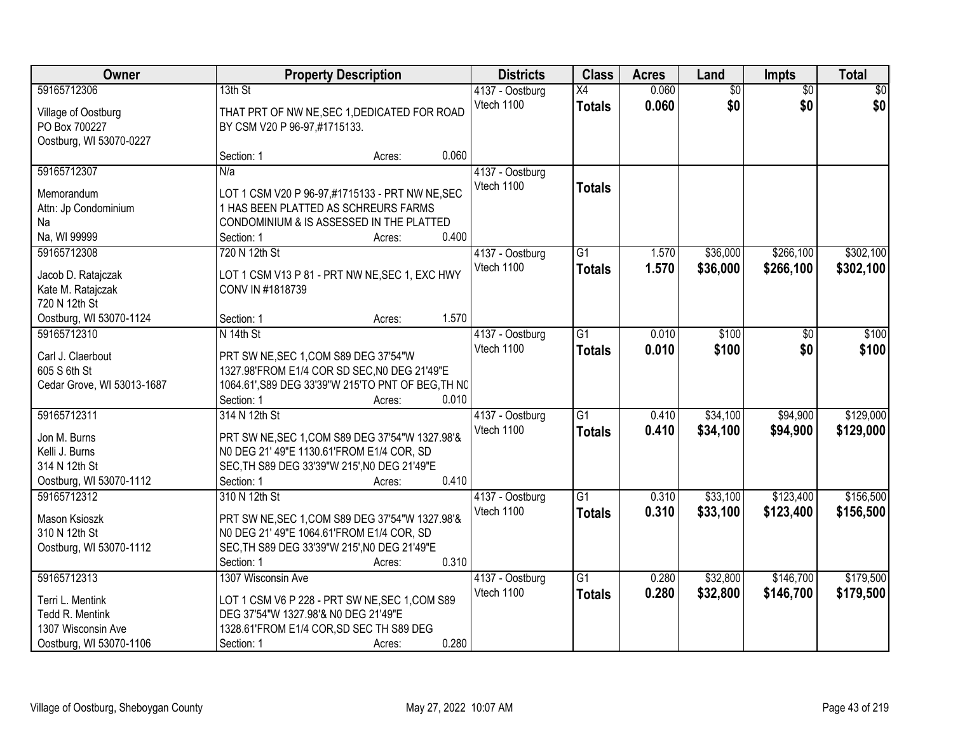| Owner                                  |                                           | <b>Property Description</b>                        |       | <b>Districts</b>              | <b>Class</b>    | <b>Acres</b> | Land            | Impts           | <b>Total</b> |
|----------------------------------------|-------------------------------------------|----------------------------------------------------|-------|-------------------------------|-----------------|--------------|-----------------|-----------------|--------------|
| 59165712306                            | 13th St                                   |                                                    |       | 4137 - Oostburg               | X4              | 0.060        | $\overline{60}$ | $\overline{50}$ | \$0          |
| Village of Oostburg                    |                                           | THAT PRT OF NW NE, SEC 1, DEDICATED FOR ROAD       |       | Vtech 1100                    | <b>Totals</b>   | 0.060        | \$0             | \$0             | \$0          |
| PO Box 700227                          | BY CSM V20 P 96-97,#1715133.              |                                                    |       |                               |                 |              |                 |                 |              |
| Oostburg, WI 53070-0227                |                                           |                                                    |       |                               |                 |              |                 |                 |              |
|                                        | Section: 1                                | Acres:                                             | 0.060 |                               |                 |              |                 |                 |              |
| 59165712307                            | N/a                                       |                                                    |       | 4137 - Oostburg               |                 |              |                 |                 |              |
| Memorandum                             |                                           | LOT 1 CSM V20 P 96-97,#1715133 - PRT NW NE, SEC    |       | Vtech 1100                    | <b>Totals</b>   |              |                 |                 |              |
| Attn: Jp Condominium                   |                                           | 1 HAS BEEN PLATTED AS SCHREURS FARMS               |       |                               |                 |              |                 |                 |              |
| Na                                     |                                           | CONDOMINIUM & IS ASSESSED IN THE PLATTED           |       |                               |                 |              |                 |                 |              |
| Na, WI 99999                           | Section: 1                                | Acres:                                             | 0.400 |                               |                 |              |                 |                 |              |
| 59165712308                            | 720 N 12th St                             |                                                    |       | 4137 - Oostburg               | G1              | 1.570        | \$36,000        | \$266,100       | \$302,100    |
|                                        |                                           |                                                    |       | Vtech 1100                    | <b>Totals</b>   | 1.570        | \$36,000        | \$266,100       | \$302,100    |
| Jacob D. Ratajczak                     |                                           | LOT 1 CSM V13 P 81 - PRT NW NE, SEC 1, EXC HWY     |       |                               |                 |              |                 |                 |              |
| Kate M. Ratajczak                      | CONV IN #1818739                          |                                                    |       |                               |                 |              |                 |                 |              |
| 720 N 12th St                          |                                           |                                                    | 1.570 |                               |                 |              |                 |                 |              |
| Oostburg, WI 53070-1124<br>59165712310 | Section: 1                                | Acres:                                             |       |                               |                 |              |                 |                 |              |
|                                        | N 14th St                                 |                                                    |       | 4137 - Oostburg<br>Vtech 1100 | G1              | 0.010        | \$100           | \$0             | \$100        |
| Carl J. Claerbout                      | PRT SW NE, SEC 1, COM S89 DEG 37'54"W     |                                                    |       |                               | <b>Totals</b>   | 0.010        | \$100           | \$0             | \$100        |
| 605 S 6th St                           |                                           | 1327.98'FROM E1/4 COR SD SEC, N0 DEG 21'49"E       |       |                               |                 |              |                 |                 |              |
| Cedar Grove, WI 53013-1687             |                                           | 1064.61', S89 DEG 33'39"W 215'TO PNT OF BEG, TH NO |       |                               |                 |              |                 |                 |              |
|                                        | Section: 1                                | Acres:                                             | 0.010 |                               |                 |              |                 |                 |              |
| 59165712311                            | 314 N 12th St                             |                                                    |       | 4137 - Oostburg               | $\overline{G1}$ | 0.410        | \$34,100        | \$94,900        | \$129,000    |
| Jon M. Burns                           |                                           | PRT SW NE, SEC 1, COM S89 DEG 37'54"W 1327.98'&    |       | Vtech 1100                    | <b>Totals</b>   | 0.410        | \$34,100        | \$94,900        | \$129,000    |
| Kelli J. Burns                         | N0 DEG 21' 49"E 1130.61'FROM E1/4 COR, SD |                                                    |       |                               |                 |              |                 |                 |              |
| 314 N 12th St                          |                                           | SEC, TH S89 DEG 33'39"W 215', N0 DEG 21'49"E       |       |                               |                 |              |                 |                 |              |
| Oostburg, WI 53070-1112                | Section: 1                                | Acres:                                             | 0.410 |                               |                 |              |                 |                 |              |
| 59165712312                            | 310 N 12th St                             |                                                    |       | 4137 - Oostburg               | $\overline{G1}$ | 0.310        | \$33,100        | \$123,400       | \$156,500    |
|                                        |                                           |                                                    |       | Vtech 1100                    | <b>Totals</b>   | 0.310        | \$33,100        | \$123,400       | \$156,500    |
| Mason Ksioszk                          |                                           | PRT SW NE, SEC 1, COM S89 DEG 37'54"W 1327.98'&    |       |                               |                 |              |                 |                 |              |
| 310 N 12th St                          | N0 DEG 21' 49"E 1064.61'FROM E1/4 COR, SD |                                                    |       |                               |                 |              |                 |                 |              |
| Oostburg, WI 53070-1112                |                                           | SEC, TH S89 DEG 33'39"W 215', NO DEG 21'49"E       |       |                               |                 |              |                 |                 |              |
|                                        | Section: 1                                | Acres:                                             | 0.310 |                               |                 |              |                 |                 |              |
| 59165712313                            | 1307 Wisconsin Ave                        |                                                    |       | 4137 - Oostburg               | $\overline{G1}$ | 0.280        | \$32,800        | \$146,700       | \$179,500    |
| Terri L. Mentink                       |                                           | LOT 1 CSM V6 P 228 - PRT SW NE, SEC 1, COM S89     |       | Vtech 1100                    | <b>Totals</b>   | 0.280        | \$32,800        | \$146,700       | \$179,500    |
| Tedd R. Mentink                        | DEG 37'54"W 1327.98'& N0 DEG 21'49"E      |                                                    |       |                               |                 |              |                 |                 |              |
| 1307 Wisconsin Ave                     |                                           | 1328.61'FROM E1/4 COR, SD SEC TH S89 DEG           |       |                               |                 |              |                 |                 |              |
| Oostburg, WI 53070-1106                | Section: 1                                | Acres:                                             | 0.280 |                               |                 |              |                 |                 |              |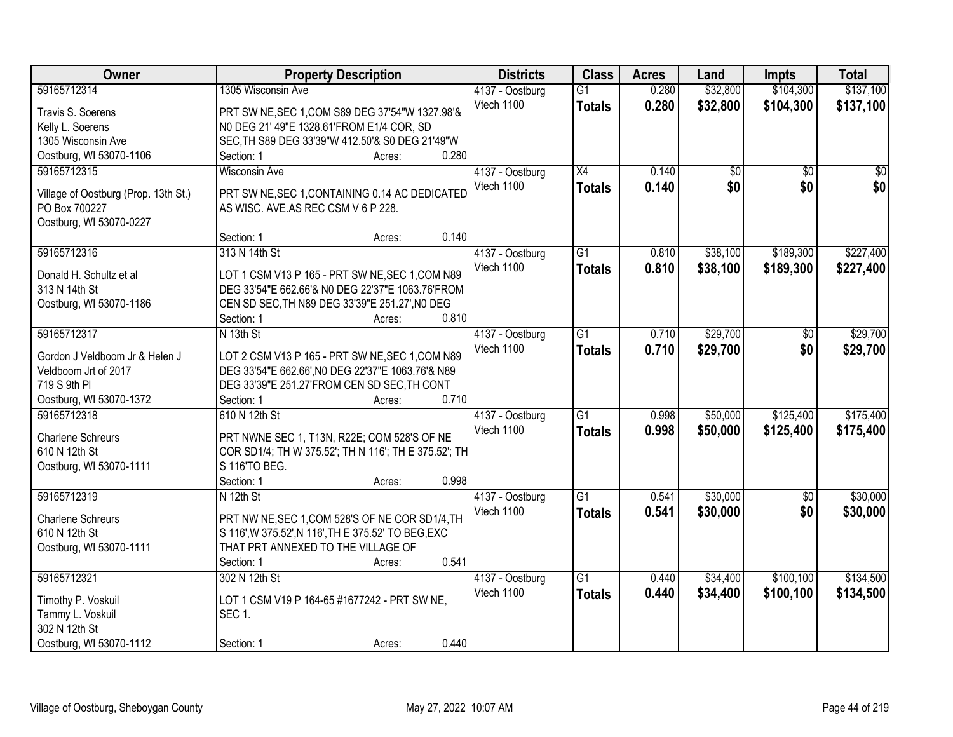| Owner                                | <b>Property Description</b>                          | <b>Districts</b> | <b>Class</b>    | <b>Acres</b> | Land     | <b>Impts</b>    | <b>Total</b> |
|--------------------------------------|------------------------------------------------------|------------------|-----------------|--------------|----------|-----------------|--------------|
| 59165712314                          | 1305 Wisconsin Ave                                   | 4137 - Oostburg  | $\overline{G1}$ | 0.280        | \$32,800 | \$104,300       | \$137,100    |
| Travis S. Soerens                    | PRT SW NE, SEC 1, COM S89 DEG 37'54"W 1327.98'&      | Vtech 1100       | <b>Totals</b>   | 0.280        | \$32,800 | \$104,300       | \$137,100    |
| Kelly L. Soerens                     | N0 DEG 21' 49"E 1328.61'FROM E1/4 COR, SD            |                  |                 |              |          |                 |              |
| 1305 Wisconsin Ave                   | SEC, TH S89 DEG 33'39"W 412.50'& S0 DEG 21'49"W      |                  |                 |              |          |                 |              |
| Oostburg, WI 53070-1106              | 0.280<br>Section: 1<br>Acres:                        |                  |                 |              |          |                 |              |
| 59165712315                          | <b>Wisconsin Ave</b>                                 | 4137 - Oostburg  | $\overline{X4}$ | 0.140        | \$0      | $\overline{50}$ | \$0          |
|                                      |                                                      | Vtech 1100       | <b>Totals</b>   | 0.140        | \$0      | \$0             | \$0          |
| Village of Oostburg (Prop. 13th St.) | PRT SW NE, SEC 1, CONTAINING 0.14 AC DEDICATED       |                  |                 |              |          |                 |              |
| PO Box 700227                        | AS WISC, AVE, AS REC CSM V 6 P 228.                  |                  |                 |              |          |                 |              |
| Oostburg, WI 53070-0227              |                                                      |                  |                 |              |          |                 |              |
|                                      | 0.140<br>Section: 1<br>Acres:                        |                  |                 |              |          |                 |              |
| 59165712316                          | 313 N 14th St                                        | 4137 - Oostburg  | $\overline{G1}$ | 0.810        | \$38,100 | \$189,300       | \$227,400    |
| Donald H. Schultz et al              | LOT 1 CSM V13 P 165 - PRT SW NE, SEC 1, COM N89      | Vtech 1100       | <b>Totals</b>   | 0.810        | \$38,100 | \$189,300       | \$227,400    |
| 313 N 14th St                        | DEG 33'54"E 662.66'& N0 DEG 22'37"E 1063.76'FROM     |                  |                 |              |          |                 |              |
| Oostburg, WI 53070-1186              | CEN SD SEC, TH N89 DEG 33'39"E 251.27', N0 DEG       |                  |                 |              |          |                 |              |
|                                      | Section: 1<br>0.810<br>Acres:                        |                  |                 |              |          |                 |              |
| 59165712317                          | N 13th St                                            | 4137 - Oostburg  | $\overline{G1}$ | 0.710        | \$29,700 | \$0             | \$29,700     |
|                                      |                                                      | Vtech 1100       | <b>Totals</b>   | 0.710        | \$29,700 | \$0             | \$29,700     |
| Gordon J Veldboom Jr & Helen J       | LOT 2 CSM V13 P 165 - PRT SW NE, SEC 1, COM N89      |                  |                 |              |          |                 |              |
| Veldboom Jrt of 2017                 | DEG 33'54"E 662.66', NO DEG 22'37"E 1063.76'& N89    |                  |                 |              |          |                 |              |
| 719 S 9th PI                         | DEG 33'39"E 251.27'FROM CEN SD SEC, TH CONT          |                  |                 |              |          |                 |              |
| Oostburg, WI 53070-1372              | 0.710<br>Section: 1<br>Acres:                        |                  |                 |              |          |                 |              |
| 59165712318                          | 610 N 12th St                                        | 4137 - Oostburg  | $\overline{G1}$ | 0.998        | \$50,000 | \$125,400       | \$175,400    |
| <b>Charlene Schreurs</b>             | PRT NWNE SEC 1, T13N, R22E; COM 528'S OF NE          | Vtech 1100       | <b>Totals</b>   | 0.998        | \$50,000 | \$125,400       | \$175,400    |
| 610 N 12th St                        | COR SD1/4; TH W 375.52'; TH N 116'; TH E 375.52'; TH |                  |                 |              |          |                 |              |
| Oostburg, WI 53070-1111              | S 116'TO BEG.                                        |                  |                 |              |          |                 |              |
|                                      | Section: 1<br>0.998<br>Acres:                        |                  |                 |              |          |                 |              |
| 59165712319                          | $N$ 12th St                                          | 4137 - Oostburg  | $\overline{G1}$ | 0.541        | \$30,000 | $\overline{50}$ | \$30,000     |
|                                      |                                                      | Vtech 1100       | <b>Totals</b>   | 0.541        | \$30,000 | \$0             | \$30,000     |
| <b>Charlene Schreurs</b>             | PRT NW NE, SEC 1, COM 528'S OF NE COR SD1/4, TH      |                  |                 |              |          |                 |              |
| 610 N 12th St                        | S 116', W 375.52', N 116', TH E 375.52' TO BEG, EXC  |                  |                 |              |          |                 |              |
| Oostburg, WI 53070-1111              | THAT PRT ANNEXED TO THE VILLAGE OF                   |                  |                 |              |          |                 |              |
|                                      | 0.541<br>Section: 1<br>Acres:                        |                  |                 |              |          |                 |              |
| 59165712321                          | 302 N 12th St                                        | 4137 - Oostburg  | $\overline{G1}$ | 0.440        | \$34,400 | \$100,100       | \$134,500    |
| Timothy P. Voskuil                   | LOT 1 CSM V19 P 164-65 #1677242 - PRT SW NE,         | Vtech 1100       | <b>Totals</b>   | 0.440        | \$34,400 | \$100,100       | \$134,500    |
| Tammy L. Voskuil                     | <b>SEC 1.</b>                                        |                  |                 |              |          |                 |              |
| 302 N 12th St                        |                                                      |                  |                 |              |          |                 |              |
| Oostburg, WI 53070-1112              | 0.440<br>Section: 1<br>Acres:                        |                  |                 |              |          |                 |              |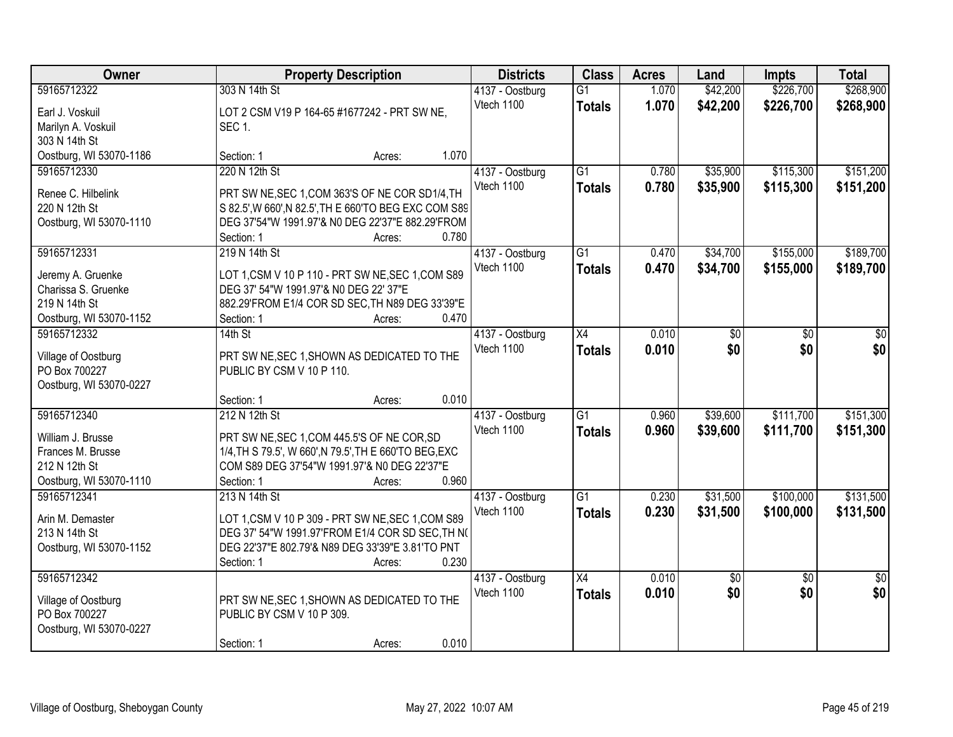| Owner                                    | <b>Property Description</b>                                                                 | <b>Districts</b>              | <b>Class</b>    | <b>Acres</b> | Land     | <b>Impts</b>    | <b>Total</b>    |
|------------------------------------------|---------------------------------------------------------------------------------------------|-------------------------------|-----------------|--------------|----------|-----------------|-----------------|
| 59165712322                              | 303 N 14th St                                                                               | 4137 - Oostburg               | $\overline{G1}$ | 1.070        | \$42,200 | \$226,700       | \$268,900       |
| Earl J. Voskuil                          | LOT 2 CSM V19 P 164-65 #1677242 - PRT SW NE,                                                | Vtech 1100                    | <b>Totals</b>   | 1.070        | \$42,200 | \$226,700       | \$268,900       |
| Marilyn A. Voskuil                       | <b>SEC 1.</b>                                                                               |                               |                 |              |          |                 |                 |
| 303 N 14th St                            |                                                                                             |                               |                 |              |          |                 |                 |
| Oostburg, WI 53070-1186                  | 1.070<br>Section: 1<br>Acres:                                                               |                               |                 |              |          |                 |                 |
| 59165712330                              | 220 N 12th St                                                                               | 4137 - Oostburg               | $\overline{G1}$ | 0.780        | \$35,900 | \$115,300       | \$151,200       |
| Renee C. Hilbelink                       | PRT SW NE, SEC 1, COM 363'S OF NE COR SD1/4, TH                                             | Vtech 1100                    | <b>Totals</b>   | 0.780        | \$35,900 | \$115,300       | \$151,200       |
| 220 N 12th St                            | S 82.5', W 660', N 82.5', TH E 660'TO BEG EXC COM S89                                       |                               |                 |              |          |                 |                 |
| Oostburg, WI 53070-1110                  | DEG 37'54"W 1991.97'& N0 DEG 22'37"E 882.29'FROM                                            |                               |                 |              |          |                 |                 |
|                                          | 0.780<br>Section: 1<br>Acres:                                                               |                               |                 |              |          |                 |                 |
| 59165712331                              | 219 N 14th St                                                                               | 4137 - Oostburg               | G1              | 0.470        | \$34,700 | \$155,000       | \$189,700       |
|                                          |                                                                                             | Vtech 1100                    | <b>Totals</b>   | 0.470        | \$34,700 | \$155,000       | \$189,700       |
| Jeremy A. Gruenke<br>Charissa S. Gruenke | LOT 1, CSM V 10 P 110 - PRT SW NE, SEC 1, COM S89<br>DEG 37' 54"W 1991.97'& N0 DEG 22' 37"E |                               |                 |              |          |                 |                 |
| 219 N 14th St                            | 882.29'FROM E1/4 COR SD SEC, TH N89 DEG 33'39"E                                             |                               |                 |              |          |                 |                 |
| Oostburg, WI 53070-1152                  | 0.470<br>Section: 1<br>Acres:                                                               |                               |                 |              |          |                 |                 |
| 59165712332                              | $14th$ St                                                                                   | 4137 - Oostburg               | X4              | 0.010        | \$0      | \$0             | \$0             |
|                                          |                                                                                             | Vtech 1100                    | <b>Totals</b>   | 0.010        | \$0      | \$0             | \$0             |
| Village of Oostburg                      | PRT SW NE, SEC 1, SHOWN AS DEDICATED TO THE                                                 |                               |                 |              |          |                 |                 |
| PO Box 700227                            | PUBLIC BY CSM V 10 P 110.                                                                   |                               |                 |              |          |                 |                 |
| Oostburg, WI 53070-0227                  | 0.010                                                                                       |                               |                 |              |          |                 |                 |
| 59165712340                              | Section: 1<br>Acres:<br>212 N 12th St                                                       |                               | $\overline{G1}$ | 0.960        | \$39,600 | \$111,700       | \$151,300       |
|                                          |                                                                                             | 4137 - Oostburg<br>Vtech 1100 |                 | 0.960        | \$39,600 | \$111,700       |                 |
| William J. Brusse                        | PRT SW NE, SEC 1, COM 445.5'S OF NE COR, SD                                                 |                               | <b>Totals</b>   |              |          |                 | \$151,300       |
| Frances M. Brusse                        | 1/4, TH S 79.5', W 660', N 79.5', TH E 660'TO BEG, EXC                                      |                               |                 |              |          |                 |                 |
| 212 N 12th St                            | COM S89 DEG 37'54"W 1991.97'& N0 DEG 22'37"E                                                |                               |                 |              |          |                 |                 |
| Oostburg, WI 53070-1110                  | 0.960<br>Section: 1<br>Acres:                                                               |                               |                 |              |          |                 |                 |
| 59165712341                              | 213 N 14th St                                                                               | 4137 - Oostburg               | $\overline{G1}$ | 0.230        | \$31,500 | \$100,000       | \$131,500       |
| Arin M. Demaster                         | LOT 1, CSM V 10 P 309 - PRT SW NE, SEC 1, COM S89                                           | Vtech 1100                    | <b>Totals</b>   | 0.230        | \$31,500 | \$100,000       | \$131,500       |
| 213 N 14th St                            | DEG 37' 54"W 1991.97'FROM E1/4 COR SD SEC, TH N(                                            |                               |                 |              |          |                 |                 |
| Oostburg, WI 53070-1152                  | DEG 22'37"E 802.79'& N89 DEG 33'39"E 3.81'TO PNT                                            |                               |                 |              |          |                 |                 |
|                                          | 0.230<br>Section: 1<br>Acres:                                                               |                               |                 |              |          |                 |                 |
| 59165712342                              |                                                                                             | 4137 - Oostburg               | $\overline{X4}$ | 0.010        | \$0      | $\overline{50}$ | $\overline{50}$ |
| Village of Oostburg                      | PRT SW NE, SEC 1, SHOWN AS DEDICATED TO THE                                                 | Vtech 1100                    | <b>Totals</b>   | 0.010        | \$0      | \$0             | \$0             |
| PO Box 700227                            | PUBLIC BY CSM V 10 P 309.                                                                   |                               |                 |              |          |                 |                 |
| Oostburg, WI 53070-0227                  |                                                                                             |                               |                 |              |          |                 |                 |
|                                          | 0.010<br>Section: 1<br>Acres:                                                               |                               |                 |              |          |                 |                 |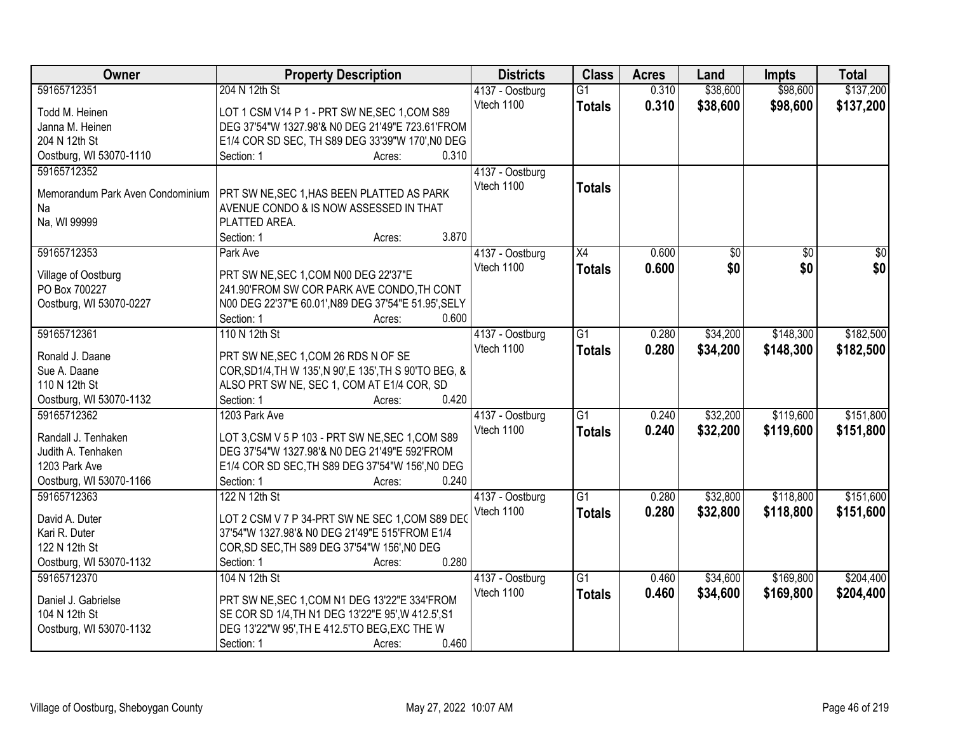| Owner                                  | <b>Property Description</b>                                       | <b>Districts</b> | <b>Class</b>    | <b>Acres</b> | Land     | <b>Impts</b>    | <b>Total</b>    |
|----------------------------------------|-------------------------------------------------------------------|------------------|-----------------|--------------|----------|-----------------|-----------------|
| 59165712351                            | 204 N 12th St                                                     | 4137 - Oostburg  | $\overline{G1}$ | 0.310        | \$38,600 | \$98,600        | \$137,200       |
| Todd M. Heinen                         | LOT 1 CSM V14 P 1 - PRT SW NE, SEC 1, COM S89                     | Vtech 1100       | <b>Totals</b>   | 0.310        | \$38,600 | \$98,600        | \$137,200       |
| Janna M. Heinen                        | DEG 37'54"W 1327.98'& N0 DEG 21'49"E 723.61'FROM                  |                  |                 |              |          |                 |                 |
| 204 N 12th St                          | E1/4 COR SD SEC, TH S89 DEG 33'39"W 170', NO DEG                  |                  |                 |              |          |                 |                 |
| Oostburg, WI 53070-1110                | 0.310<br>Section: 1<br>Acres:                                     |                  |                 |              |          |                 |                 |
| 59165712352                            |                                                                   | 4137 - Oostburg  |                 |              |          |                 |                 |
|                                        |                                                                   | Vtech 1100       | <b>Totals</b>   |              |          |                 |                 |
| Memorandum Park Aven Condominium       | PRT SW NE, SEC 1, HAS BEEN PLATTED AS PARK                        |                  |                 |              |          |                 |                 |
| Na                                     | AVENUE CONDO & IS NOW ASSESSED IN THAT                            |                  |                 |              |          |                 |                 |
| Na, WI 99999                           | PLATTED AREA.<br>3.870                                            |                  |                 |              |          |                 |                 |
|                                        | Section: 1<br>Acres:                                              |                  |                 |              |          |                 |                 |
| 59165712353                            | Park Ave                                                          | 4137 - Oostburg  | $\overline{X4}$ | 0.600        | \$0      | $\overline{50}$ | $\overline{50}$ |
| Village of Oostburg                    | PRT SW NE, SEC 1, COM N00 DEG 22'37"E                             | Vtech 1100       | <b>Totals</b>   | 0.600        | \$0      | \$0             | \$0             |
| PO Box 700227                          | 241.90'FROM SW COR PARK AVE CONDO, TH CONT                        |                  |                 |              |          |                 |                 |
| Oostburg, WI 53070-0227                | N00 DEG 22'37"E 60.01', N89 DEG 37'54"E 51.95', SELY              |                  |                 |              |          |                 |                 |
|                                        | Section: 1<br>0.600<br>Acres:                                     |                  |                 |              |          |                 |                 |
| 59165712361                            | 110 N 12th St                                                     | 4137 - Oostburg  | $\overline{G1}$ | 0.280        | \$34,200 | \$148,300       | \$182,500       |
|                                        |                                                                   | Vtech 1100       | <b>Totals</b>   | 0.280        | \$34,200 | \$148,300       | \$182,500       |
| Ronald J. Daane                        | PRT SW NE, SEC 1, COM 26 RDS N OF SE                              |                  |                 |              |          |                 |                 |
| Sue A. Daane<br>110 N 12th St          | COR, SD1/4, TH W 135', N 90', E 135', TH S 90'TO BEG, &           |                  |                 |              |          |                 |                 |
|                                        | ALSO PRT SW NE, SEC 1, COM AT E1/4 COR, SD<br>0.420<br>Section: 1 |                  |                 |              |          |                 |                 |
| Oostburg, WI 53070-1132<br>59165712362 | Acres:<br>1203 Park Ave                                           |                  | $\overline{G1}$ | 0.240        | \$32,200 | \$119,600       | \$151,800       |
|                                        |                                                                   | 4137 - Oostburg  |                 |              |          |                 |                 |
| Randall J. Tenhaken                    | LOT 3, CSM V 5 P 103 - PRT SW NE, SEC 1, COM S89                  | Vtech 1100       | <b>Totals</b>   | 0.240        | \$32,200 | \$119,600       | \$151,800       |
| Judith A. Tenhaken                     | DEG 37'54"W 1327.98'& N0 DEG 21'49"E 592'FROM                     |                  |                 |              |          |                 |                 |
| 1203 Park Ave                          | E1/4 COR SD SEC, TH S89 DEG 37'54"W 156', NO DEG                  |                  |                 |              |          |                 |                 |
| Oostburg, WI 53070-1166                | 0.240<br>Section: 1<br>Acres:                                     |                  |                 |              |          |                 |                 |
| 59165712363                            | 122 N 12th St                                                     | 4137 - Oostburg  | G1              | 0.280        | \$32,800 | \$118,800       | \$151,600       |
| David A. Duter                         | LOT 2 CSM V 7 P 34-PRT SW NE SEC 1, COM S89 DEO                   | Vtech 1100       | <b>Totals</b>   | 0.280        | \$32,800 | \$118,800       | \$151,600       |
| Kari R. Duter                          | 37'54"W 1327.98'& N0 DEG 21'49"E 515'FROM E1/4                    |                  |                 |              |          |                 |                 |
| 122 N 12th St                          | COR, SD SEC, TH S89 DEG 37'54"W 156', NO DEG                      |                  |                 |              |          |                 |                 |
| Oostburg, WI 53070-1132                | 0.280<br>Section: 1<br>Acres:                                     |                  |                 |              |          |                 |                 |
| 59165712370                            | 104 N 12th St                                                     | 4137 - Oostburg  | $\overline{G1}$ | 0.460        | \$34,600 | \$169,800       | \$204,400       |
|                                        |                                                                   | Vtech 1100       |                 | 0.460        |          |                 |                 |
| Daniel J. Gabrielse                    | PRT SW NE, SEC 1, COM N1 DEG 13'22"E 334'FROM                     |                  | <b>Totals</b>   |              | \$34,600 | \$169,800       | \$204,400       |
| 104 N 12th St                          | SE COR SD 1/4, TH N1 DEG 13'22"E 95', W 412.5', S1                |                  |                 |              |          |                 |                 |
| Oostburg, WI 53070-1132                | DEG 13'22"W 95', TH E 412.5'TO BEG, EXC THE W                     |                  |                 |              |          |                 |                 |
|                                        | 0.460<br>Section: 1<br>Acres:                                     |                  |                 |              |          |                 |                 |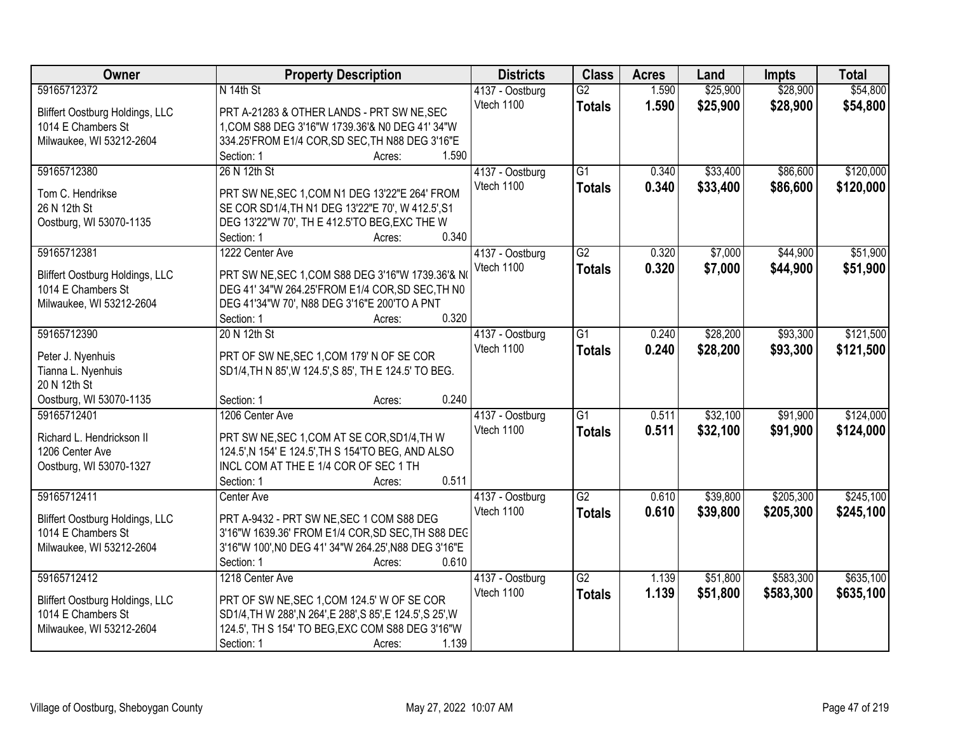| Owner                              | <b>Property Description</b>                                 | <b>Districts</b>              | <b>Class</b>    | <b>Acres</b> | Land     | <b>Impts</b> | <b>Total</b> |
|------------------------------------|-------------------------------------------------------------|-------------------------------|-----------------|--------------|----------|--------------|--------------|
| 59165712372                        | N 14th St                                                   | 4137 - Oostburg               | $\overline{G2}$ | 1.590        | \$25,900 | \$28,900     | \$54,800     |
| Bliffert Oostburg Holdings, LLC    | PRT A-21283 & OTHER LANDS - PRT SW NE, SEC                  | Vtech 1100                    | <b>Totals</b>   | 1.590        | \$25,900 | \$28,900     | \$54,800     |
| 1014 E Chambers St                 | 1, COM S88 DEG 3'16"W 1739.36'& N0 DEG 41' 34"W             |                               |                 |              |          |              |              |
| Milwaukee, WI 53212-2604           | 334.25'FROM E1/4 COR, SD SEC, TH N88 DEG 3'16"E             |                               |                 |              |          |              |              |
|                                    | 1.590<br>Section: 1<br>Acres:                               |                               |                 |              |          |              |              |
| 59165712380                        | 26 N 12th St                                                | 4137 - Oostburg               | $\overline{G1}$ | 0.340        | \$33,400 | \$86,600     | \$120,000    |
|                                    |                                                             | Vtech 1100                    | <b>Totals</b>   | 0.340        | \$33,400 | \$86,600     | \$120,000    |
| Tom C. Hendrikse                   | PRT SW NE, SEC 1, COM N1 DEG 13'22"E 264' FROM              |                               |                 |              |          |              |              |
| 26 N 12th St                       | SE COR SD1/4, TH N1 DEG 13'22"E 70', W 412.5', S1           |                               |                 |              |          |              |              |
| Oostburg, WI 53070-1135            | DEG 13'22"W 70', TH E 412.5'TO BEG, EXC THE W               |                               |                 |              |          |              |              |
|                                    | 0.340<br>Section: 1<br>Acres:                               |                               |                 |              |          |              |              |
| 59165712381                        | 1222 Center Ave                                             | 4137 - Oostburg               | $\overline{G2}$ | 0.320        | \$7,000  | \$44,900     | \$51,900     |
| Bliffert Oostburg Holdings, LLC    | PRT SW NE, SEC 1, COM S88 DEG 3'16"W 1739.36'& N            | Vtech 1100                    | <b>Totals</b>   | 0.320        | \$7,000  | \$44,900     | \$51,900     |
| 1014 E Chambers St                 | DEG 41' 34"W 264.25'FROM E1/4 COR, SD SEC, TH N0            |                               |                 |              |          |              |              |
| Milwaukee, WI 53212-2604           | DEG 41'34"W 70', N88 DEG 3'16"E 200'TO A PNT                |                               |                 |              |          |              |              |
|                                    | 0.320<br>Section: 1<br>Acres:                               |                               |                 |              |          |              |              |
| 59165712390                        | 20 N 12th St                                                | 4137 - Oostburg               | $\overline{G1}$ | 0.240        | \$28,200 | \$93,300     | \$121,500    |
|                                    |                                                             | Vtech 1100                    | <b>Totals</b>   | 0.240        | \$28,200 | \$93,300     | \$121,500    |
| Peter J. Nyenhuis                  | PRT OF SW NE, SEC 1, COM 179' N OF SE COR                   |                               |                 |              |          |              |              |
| Tianna L. Nyenhuis<br>20 N 12th St | SD1/4, TH N 85', W 124.5', S 85', TH E 124.5' TO BEG.       |                               |                 |              |          |              |              |
| Oostburg, WI 53070-1135            | 0.240<br>Section: 1<br>Acres:                               |                               |                 |              |          |              |              |
| 59165712401                        | 1206 Center Ave                                             |                               | $\overline{G1}$ | 0.511        | \$32,100 | \$91,900     | \$124,000    |
|                                    |                                                             | 4137 - Oostburg<br>Vtech 1100 |                 |              |          |              |              |
| Richard L. Hendrickson II          | PRT SW NE, SEC 1, COM AT SE COR, SD1/4, TH W                |                               | <b>Totals</b>   | 0.511        | \$32,100 | \$91,900     | \$124,000    |
| 1206 Center Ave                    | 124.5', N 154' E 124.5', TH S 154'TO BEG, AND ALSO          |                               |                 |              |          |              |              |
| Oostburg, WI 53070-1327            | INCL COM AT THE E 1/4 COR OF SEC 1 TH                       |                               |                 |              |          |              |              |
|                                    | 0.511<br>Section: 1<br>Acres:                               |                               |                 |              |          |              |              |
| 59165712411                        | Center Ave                                                  | 4137 - Oostburg               | $\overline{G2}$ | 0.610        | \$39,800 | \$205,300    | \$245,100    |
| Bliffert Oostburg Holdings, LLC    | PRT A-9432 - PRT SW NE, SEC 1 COM S88 DEG                   | Vtech 1100                    | <b>Totals</b>   | 0.610        | \$39,800 | \$205,300    | \$245,100    |
| 1014 E Chambers St                 | 3'16"W 1639.36' FROM E1/4 COR, SD SEC, TH S88 DEC           |                               |                 |              |          |              |              |
| Milwaukee, WI 53212-2604           | 3'16"W 100', NO DEG 41' 34"W 264.25', N88 DEG 3'16"E        |                               |                 |              |          |              |              |
|                                    | Section: 1<br>0.610<br>Acres:                               |                               |                 |              |          |              |              |
| 59165712412                        | 1218 Center Ave                                             | 4137 - Oostburg               | $\overline{G2}$ | 1.139        | \$51,800 | \$583,300    | \$635,100    |
|                                    |                                                             | Vtech 1100                    | <b>Totals</b>   | 1.139        | \$51,800 | \$583,300    | \$635,100    |
| Bliffert Oostburg Holdings, LLC    | PRT OF SW NE, SEC 1, COM 124.5' W OF SE COR                 |                               |                 |              |          |              |              |
| 1014 E Chambers St                 | SD1/4, TH W 288', N 264', E 288', S 85', E 124.5', S 25', W |                               |                 |              |          |              |              |
| Milwaukee, WI 53212-2604           | 124.5', TH S 154' TO BEG, EXC COM S88 DEG 3'16"W            |                               |                 |              |          |              |              |
|                                    | Section: 1<br>1.139<br>Acres:                               |                               |                 |              |          |              |              |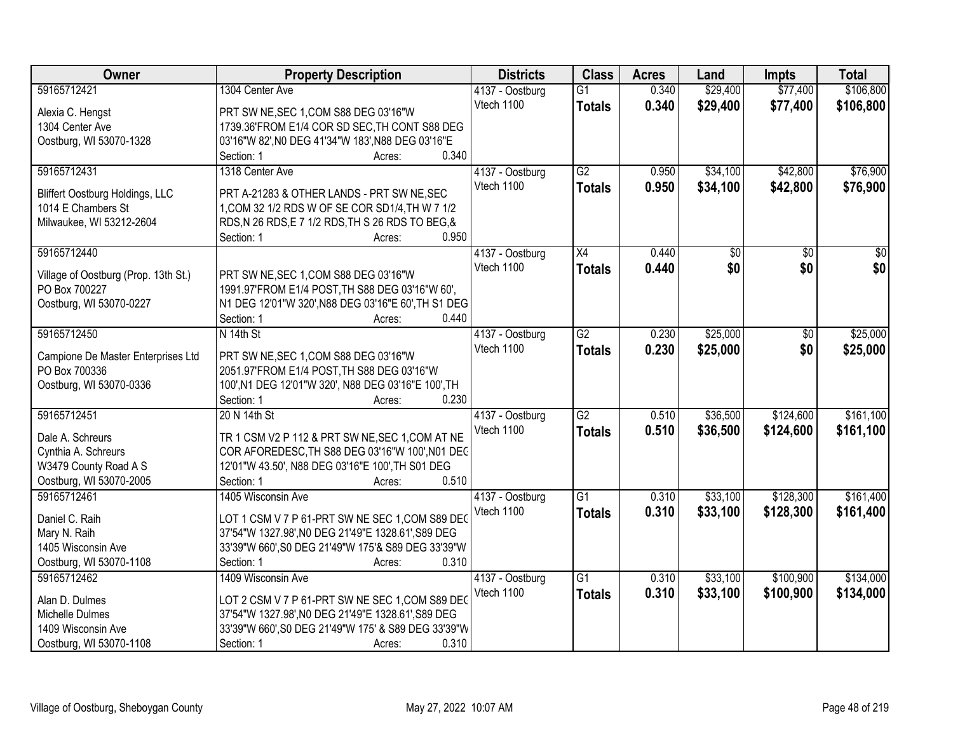| <b>Owner</b>                         | <b>Property Description</b>                                | <b>Districts</b>              | <b>Class</b>    | <b>Acres</b> | Land            | <b>Impts</b>    | <b>Total</b>    |
|--------------------------------------|------------------------------------------------------------|-------------------------------|-----------------|--------------|-----------------|-----------------|-----------------|
| 59165712421                          | 1304 Center Ave                                            | 4137 - Oostburg               | $\overline{G1}$ | 0.340        | \$29,400        | \$77,400        | \$106,800       |
| Alexia C. Hengst                     | PRT SW NE, SEC 1, COM S88 DEG 03'16"W                      | Vtech 1100                    | <b>Totals</b>   | 0.340        | \$29,400        | \$77,400        | \$106,800       |
| 1304 Center Ave                      | 1739.36'FROM E1/4 COR SD SEC, TH CONT S88 DEG              |                               |                 |              |                 |                 |                 |
| Oostburg, WI 53070-1328              | 03'16"W 82', N0 DEG 41'34"W 183', N88 DEG 03'16"E          |                               |                 |              |                 |                 |                 |
|                                      | 0.340<br>Section: 1<br>Acres:                              |                               |                 |              |                 |                 |                 |
| 59165712431                          | 1318 Center Ave                                            | 4137 - Oostburg               | G2              | 0.950        | \$34,100        | \$42,800        | \$76,900        |
|                                      |                                                            | Vtech 1100                    | <b>Totals</b>   | 0.950        | \$34,100        | \$42,800        | \$76,900        |
| Bliffert Oostburg Holdings, LLC      | PRT A-21283 & OTHER LANDS - PRT SW NE, SEC                 |                               |                 |              |                 |                 |                 |
| 1014 E Chambers St                   | 1, COM 32 1/2 RDS W OF SE COR SD1/4, TH W 7 1/2            |                               |                 |              |                 |                 |                 |
| Milwaukee, WI 53212-2604             | RDS, N 26 RDS, E 7 1/2 RDS, TH S 26 RDS TO BEG, &<br>0.950 |                               |                 |              |                 |                 |                 |
| 59165712440                          | Section: 1<br>Acres:                                       |                               | $\overline{X4}$ | 0.440        | $\overline{50}$ | $\overline{50}$ | $\overline{50}$ |
|                                      |                                                            | 4137 - Oostburg<br>Vtech 1100 |                 |              | \$0             |                 |                 |
| Village of Oostburg (Prop. 13th St.) | PRT SW NE, SEC 1, COM S88 DEG 03'16"W                      |                               | <b>Totals</b>   | 0.440        |                 | \$0             | \$0             |
| PO Box 700227                        | 1991.97'FROM E1/4 POST, TH S88 DEG 03'16"W 60',            |                               |                 |              |                 |                 |                 |
| Oostburg, WI 53070-0227              | N1 DEG 12'01"W 320', N88 DEG 03'16"E 60', TH S1 DEG        |                               |                 |              |                 |                 |                 |
|                                      | Section: 1<br>0.440<br>Acres:                              |                               |                 |              |                 |                 |                 |
| 59165712450                          | N 14th St                                                  | 4137 - Oostburg               | $\overline{G2}$ | 0.230        | \$25,000        | \$0             | \$25,000        |
| Campione De Master Enterprises Ltd   | PRT SW NE, SEC 1, COM S88 DEG 03'16"W                      | Vtech 1100                    | <b>Totals</b>   | 0.230        | \$25,000        | \$0             | \$25,000        |
| PO Box 700336                        | 2051.97'FROM E1/4 POST, TH S88 DEG 03'16"W                 |                               |                 |              |                 |                 |                 |
| Oostburg, WI 53070-0336              | 100', N1 DEG 12'01"W 320', N88 DEG 03'16"E 100', TH        |                               |                 |              |                 |                 |                 |
|                                      | Section: 1<br>0.230<br>Acres:                              |                               |                 |              |                 |                 |                 |
| 59165712451                          | 20 N 14th St                                               | 4137 - Oostburg               | $\overline{G2}$ | 0.510        | \$36,500        | \$124,600       | \$161,100       |
|                                      |                                                            | Vtech 1100                    | <b>Totals</b>   | 0.510        | \$36,500        | \$124,600       | \$161,100       |
| Dale A. Schreurs                     | TR 1 CSM V2 P 112 & PRT SW NE, SEC 1, COM AT NE            |                               |                 |              |                 |                 |                 |
| Cynthia A. Schreurs                  | COR AFOREDESC, TH S88 DEG 03'16"W 100', N01 DEC            |                               |                 |              |                 |                 |                 |
| W3479 County Road A S                | 12'01"W 43.50', N88 DEG 03'16"E 100', TH S01 DEG           |                               |                 |              |                 |                 |                 |
| Oostburg, WI 53070-2005              | 0.510<br>Section: 1<br>Acres:                              |                               |                 |              |                 |                 |                 |
| 59165712461                          | 1405 Wisconsin Ave                                         | 4137 - Oostburg               | $\overline{G1}$ | 0.310        | \$33,100        | \$128,300       | \$161,400       |
| Daniel C. Raih                       | LOT 1 CSM V 7 P 61-PRT SW NE SEC 1, COM S89 DEO            | Vtech 1100                    | <b>Totals</b>   | 0.310        | \$33,100        | \$128,300       | \$161,400       |
| Mary N. Raih                         | 37'54"W 1327.98', NO DEG 21'49"E 1328.61', S89 DEG         |                               |                 |              |                 |                 |                 |
| 1405 Wisconsin Ave                   | 33'39"W 660', S0 DEG 21'49"W 175'& S89 DEG 33'39"W         |                               |                 |              |                 |                 |                 |
| Oostburg, WI 53070-1108              | Section: 1<br>0.310<br>Acres:                              |                               |                 |              |                 |                 |                 |
| 59165712462                          | 1409 Wisconsin Ave                                         | 4137 - Oostburg               | $\overline{G1}$ | 0.310        | \$33,100        | \$100,900       | \$134,000       |
|                                      |                                                            | Vtech 1100                    | <b>Totals</b>   | 0.310        | \$33,100        | \$100,900       | \$134,000       |
| Alan D. Dulmes                       | LOT 2 CSM V 7 P 61-PRT SW NE SEC 1, COM S89 DEO            |                               |                 |              |                 |                 |                 |
| Michelle Dulmes                      | 37'54"W 1327.98', NO DEG 21'49"E 1328.61', S89 DEG         |                               |                 |              |                 |                 |                 |
| 1409 Wisconsin Ave                   | 33'39"W 660', S0 DEG 21'49"W 175' & S89 DEG 33'39"W        |                               |                 |              |                 |                 |                 |
| Oostburg, WI 53070-1108              | 0.310<br>Section: 1<br>Acres:                              |                               |                 |              |                 |                 |                 |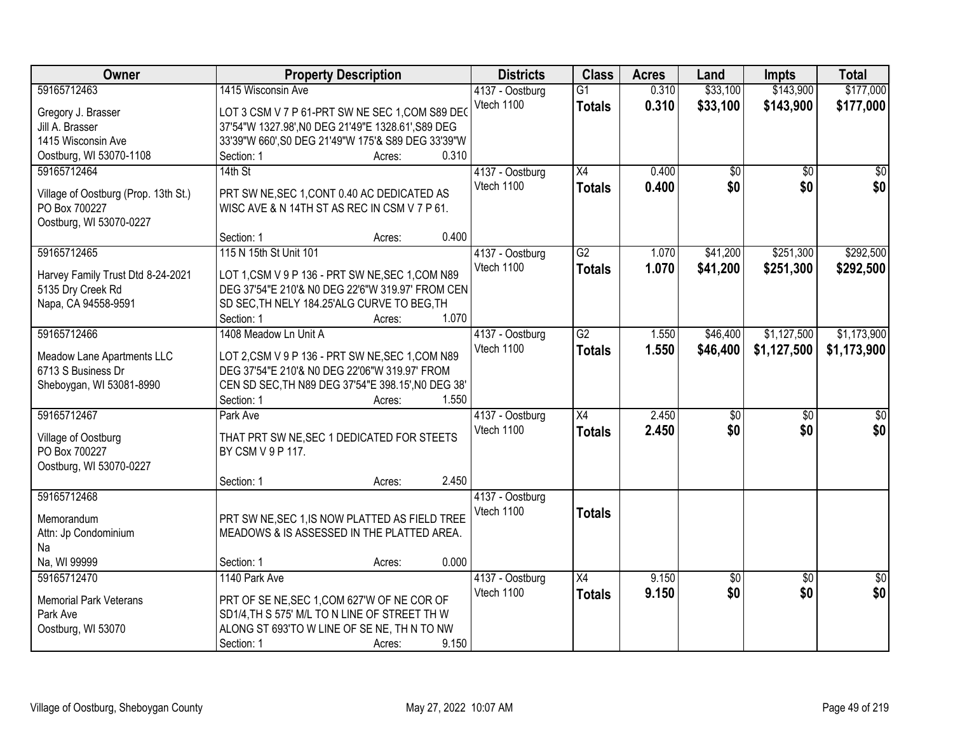| Owner                                | <b>Property Description</b>                        |        |       | <b>Districts</b> | <b>Class</b>    | <b>Acres</b> | Land            | <b>Impts</b>    | <b>Total</b>    |
|--------------------------------------|----------------------------------------------------|--------|-------|------------------|-----------------|--------------|-----------------|-----------------|-----------------|
| 59165712463                          | 1415 Wisconsin Ave                                 |        |       | 4137 - Oostburg  | $\overline{G1}$ | 0.310        | \$33,100        | \$143,900       | \$177,000       |
| Gregory J. Brasser                   | LOT 3 CSM V 7 P 61-PRT SW NE SEC 1, COM S89 DEO    |        |       | Vtech 1100       | <b>Totals</b>   | 0.310        | \$33,100        | \$143,900       | \$177,000       |
| Jill A. Brasser                      | 37'54"W 1327.98', N0 DEG 21'49"E 1328.61', S89 DEG |        |       |                  |                 |              |                 |                 |                 |
| 1415 Wisconsin Ave                   | 33'39"W 660', S0 DEG 21'49"W 175'& S89 DEG 33'39"W |        |       |                  |                 |              |                 |                 |                 |
| Oostburg, WI 53070-1108              | Section: 1                                         | Acres: | 0.310 |                  |                 |              |                 |                 |                 |
| 59165712464                          | $14th$ St                                          |        |       | 4137 - Oostburg  | $\overline{X4}$ | 0.400        | \$0             | $\overline{50}$ | $\sqrt{50}$     |
|                                      |                                                    |        |       | Vtech 1100       | <b>Totals</b>   | 0.400        | \$0             | \$0             | \$0             |
| Village of Oostburg (Prop. 13th St.) | PRT SW NE, SEC 1, CONT 0.40 AC DEDICATED AS        |        |       |                  |                 |              |                 |                 |                 |
| PO Box 700227                        | WISC AVE & N 14TH ST AS REC IN CSM V 7 P 61.       |        |       |                  |                 |              |                 |                 |                 |
| Oostburg, WI 53070-0227              |                                                    |        | 0.400 |                  |                 |              |                 |                 |                 |
|                                      | Section: 1                                         | Acres: |       |                  | G2              |              |                 |                 |                 |
| 59165712465                          | 115 N 15th St Unit 101                             |        |       | 4137 - Oostburg  |                 | 1.070        | \$41,200        | \$251,300       | \$292,500       |
| Harvey Family Trust Dtd 8-24-2021    | LOT 1, CSM V 9 P 136 - PRT SW NE, SEC 1, COM N89   |        |       | Vtech 1100       | <b>Totals</b>   | 1.070        | \$41,200        | \$251,300       | \$292,500       |
| 5135 Dry Creek Rd                    | DEG 37'54"E 210'& N0 DEG 22'6"W 319.97' FROM CEN   |        |       |                  |                 |              |                 |                 |                 |
| Napa, CA 94558-9591                  | SD SEC, TH NELY 184.25'ALG CURVE TO BEG, TH        |        |       |                  |                 |              |                 |                 |                 |
|                                      | Section: 1                                         | Acres: | 1.070 |                  |                 |              |                 |                 |                 |
| 59165712466                          | 1408 Meadow Ln Unit A                              |        |       | 4137 - Oostburg  | G2              | 1.550        | \$46,400        | \$1,127,500     | \$1,173,900     |
| Meadow Lane Apartments LLC           | LOT 2, CSM V 9 P 136 - PRT SW NE, SEC 1, COM N89   |        |       | Vtech 1100       | <b>Totals</b>   | 1.550        | \$46,400        | \$1,127,500     | \$1,173,900     |
| 6713 S Business Dr                   | DEG 37'54"E 210'& N0 DEG 22'06"W 319.97' FROM      |        |       |                  |                 |              |                 |                 |                 |
| Sheboygan, WI 53081-8990             | CEN SD SEC, TH N89 DEG 37'54"E 398.15', N0 DEG 38' |        |       |                  |                 |              |                 |                 |                 |
|                                      | Section: 1                                         | Acres: | 1.550 |                  |                 |              |                 |                 |                 |
| 59165712467                          | Park Ave                                           |        |       | 4137 - Oostburg  | $\overline{X4}$ | 2.450        | $\overline{30}$ | $\overline{50}$ | $\overline{30}$ |
|                                      |                                                    |        |       | Vtech 1100       | <b>Totals</b>   | 2.450        | \$0             | \$0             | \$0             |
| Village of Oostburg                  | THAT PRT SW NE, SEC 1 DEDICATED FOR STEETS         |        |       |                  |                 |              |                 |                 |                 |
| PO Box 700227                        | BY CSM V 9 P 117.                                  |        |       |                  |                 |              |                 |                 |                 |
| Oostburg, WI 53070-0227              |                                                    |        |       |                  |                 |              |                 |                 |                 |
|                                      | Section: 1                                         | Acres: | 2.450 |                  |                 |              |                 |                 |                 |
| 59165712468                          |                                                    |        |       | 4137 - Oostburg  |                 |              |                 |                 |                 |
| Memorandum                           | PRT SW NE, SEC 1, IS NOW PLATTED AS FIELD TREE     |        |       | Vtech 1100       | <b>Totals</b>   |              |                 |                 |                 |
| Attn: Jp Condominium                 | MEADOWS & IS ASSESSED IN THE PLATTED AREA.         |        |       |                  |                 |              |                 |                 |                 |
| Na                                   |                                                    |        |       |                  |                 |              |                 |                 |                 |
| Na, WI 99999                         | Section: 1                                         | Acres: | 0.000 |                  |                 |              |                 |                 |                 |
| 59165712470                          | 1140 Park Ave                                      |        |       | 4137 - Oostburg  | $\overline{X4}$ | 9.150        | $\overline{50}$ | $\overline{30}$ | $\frac{1}{2}$   |
| <b>Memorial Park Veterans</b>        | PRT OF SE NE, SEC 1, COM 627'W OF NE COR OF        |        |       | Vtech 1100       | <b>Totals</b>   | 9.150        | \$0             | \$0             | \$0             |
| Park Ave                             | SD1/4, TH S 575' M/L TO N LINE OF STREET TH W      |        |       |                  |                 |              |                 |                 |                 |
| Oostburg, WI 53070                   | ALONG ST 693'TO W LINE OF SE NE, TH N TO NW        |        |       |                  |                 |              |                 |                 |                 |
|                                      | Section: 1                                         | Acres: | 9.150 |                  |                 |              |                 |                 |                 |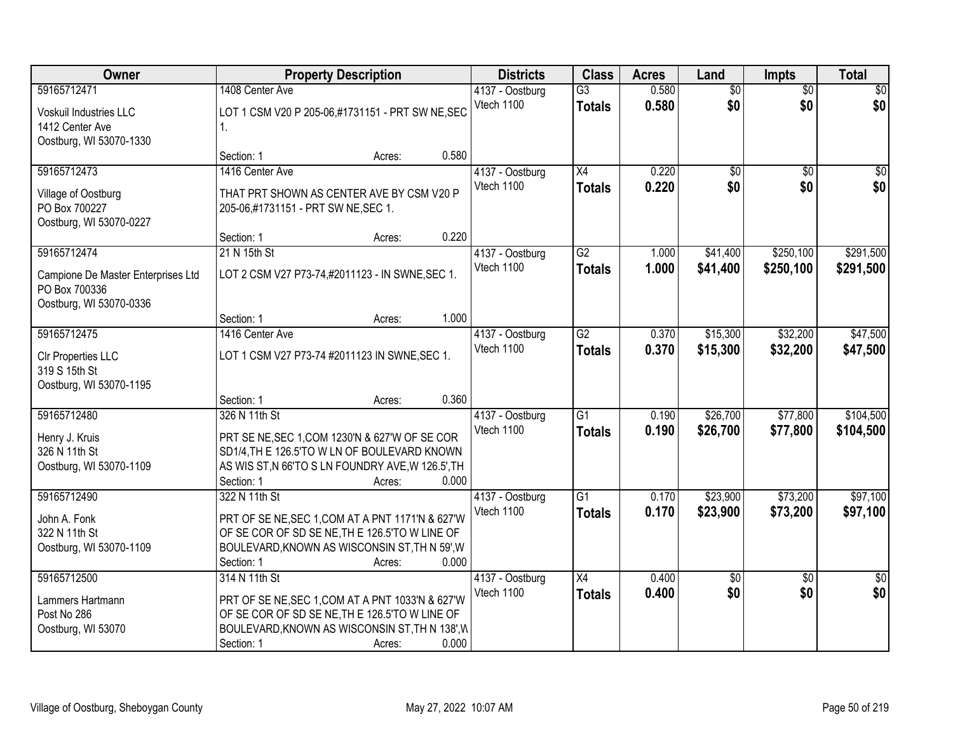| Owner                              |                                                   | <b>Property Description</b> |       | <b>Districts</b> | <b>Class</b>    | <b>Acres</b> | Land            | Impts           | <b>Total</b>    |
|------------------------------------|---------------------------------------------------|-----------------------------|-------|------------------|-----------------|--------------|-----------------|-----------------|-----------------|
| 59165712471                        | 1408 Center Ave                                   |                             |       | 4137 - Oostburg  | $\overline{G3}$ | 0.580        | $\overline{50}$ | $\overline{50}$ | \$0             |
| Voskuil Industries LLC             | LOT 1 CSM V20 P 205-06,#1731151 - PRT SW NE, SEC  |                             |       | Vtech 1100       | <b>Totals</b>   | 0.580        | \$0             | \$0             | \$0             |
| 1412 Center Ave                    | 1.                                                |                             |       |                  |                 |              |                 |                 |                 |
| Oostburg, WI 53070-1330            |                                                   |                             |       |                  |                 |              |                 |                 |                 |
|                                    | Section: 1                                        | Acres:                      | 0.580 |                  |                 |              |                 |                 |                 |
| 59165712473                        | 1416 Center Ave                                   |                             |       | 4137 - Oostburg  | $\overline{X4}$ | 0.220        | \$0             | $\overline{50}$ | \$0             |
| Village of Oostburg                | THAT PRT SHOWN AS CENTER AVE BY CSM V20 P         |                             |       | Vtech 1100       | <b>Totals</b>   | 0.220        | \$0             | \$0             | \$0             |
| PO Box 700227                      | 205-06,#1731151 - PRT SW NE, SEC 1.               |                             |       |                  |                 |              |                 |                 |                 |
| Oostburg, WI 53070-0227            |                                                   |                             |       |                  |                 |              |                 |                 |                 |
|                                    | Section: 1                                        | Acres:                      | 0.220 |                  |                 |              |                 |                 |                 |
| 59165712474                        | 21 N 15th St                                      |                             |       | 4137 - Oostburg  | $\overline{G2}$ | 1.000        | \$41,400        | \$250,100       | \$291,500       |
| Campione De Master Enterprises Ltd | LOT 2 CSM V27 P73-74,#2011123 - IN SWNE, SEC 1.   |                             |       | Vtech 1100       | <b>Totals</b>   | 1.000        | \$41,400        | \$250,100       | \$291,500       |
| PO Box 700336                      |                                                   |                             |       |                  |                 |              |                 |                 |                 |
| Oostburg, WI 53070-0336            |                                                   |                             |       |                  |                 |              |                 |                 |                 |
|                                    | Section: 1                                        | Acres:                      | 1.000 |                  |                 |              |                 |                 |                 |
| 59165712475                        | 1416 Center Ave                                   |                             |       | 4137 - Oostburg  | $\overline{G2}$ | 0.370        | \$15,300        | \$32,200        | \$47,500        |
| CIr Properties LLC                 | LOT 1 CSM V27 P73-74 #2011123 IN SWNE, SEC 1.     |                             |       | Vtech 1100       | <b>Totals</b>   | 0.370        | \$15,300        | \$32,200        | \$47,500        |
| 319 S 15th St                      |                                                   |                             |       |                  |                 |              |                 |                 |                 |
| Oostburg, WI 53070-1195            |                                                   |                             |       |                  |                 |              |                 |                 |                 |
|                                    | Section: 1                                        | Acres:                      | 0.360 |                  |                 |              |                 |                 |                 |
| 59165712480                        | 326 N 11th St                                     |                             |       | 4137 - Oostburg  | $\overline{G1}$ | 0.190        | \$26,700        | \$77,800        | \$104,500       |
| Henry J. Kruis                     | PRT SE NE, SEC 1, COM 1230'N & 627'W OF SE COR    |                             |       | Vtech 1100       | <b>Totals</b>   | 0.190        | \$26,700        | \$77,800        | \$104,500       |
| 326 N 11th St                      | SD1/4, TH E 126.5'TO W LN OF BOULEVARD KNOWN      |                             |       |                  |                 |              |                 |                 |                 |
| Oostburg, WI 53070-1109            | AS WIS ST, N 66'TO S LN FOUNDRY AVE, W 126.5', TH |                             |       |                  |                 |              |                 |                 |                 |
|                                    | Section: 1                                        | Acres:                      | 0.000 |                  |                 |              |                 |                 |                 |
| 59165712490                        | 322 N 11th St                                     |                             |       | 4137 - Oostburg  | G1              | 0.170        | \$23,900        | \$73,200        | \$97,100        |
| John A. Fonk                       | PRT OF SE NE, SEC 1, COM AT A PNT 1171'N & 627'W  |                             |       | Vtech 1100       | <b>Totals</b>   | 0.170        | \$23,900        | \$73,200        | \$97,100        |
| 322 N 11th St                      | OF SE COR OF SD SE NE, THE 126.5'TO W LINE OF     |                             |       |                  |                 |              |                 |                 |                 |
| Oostburg, WI 53070-1109            | BOULEVARD, KNOWN AS WISCONSIN ST, TH N 59', W     |                             |       |                  |                 |              |                 |                 |                 |
|                                    | Section: 1                                        | Acres:                      | 0.000 |                  |                 |              |                 |                 |                 |
| 59165712500                        | 314 N 11th St                                     |                             |       | 4137 - Oostburg  | $\overline{X4}$ | 0.400        | \$0             | $\overline{50}$ | $\overline{50}$ |
| Lammers Hartmann                   | PRT OF SE NE, SEC 1, COM AT A PNT 1033'N & 627'W  |                             |       | Vtech 1100       | <b>Totals</b>   | 0.400        | \$0             | \$0             | \$0             |
| Post No 286                        | OF SE COR OF SD SE NE, THE 126.5'TO W LINE OF     |                             |       |                  |                 |              |                 |                 |                 |
| Oostburg, WI 53070                 | BOULEVARD, KNOWN AS WISCONSIN ST, TH N 138', W    |                             |       |                  |                 |              |                 |                 |                 |
|                                    | Section: 1                                        | Acres:                      | 0.000 |                  |                 |              |                 |                 |                 |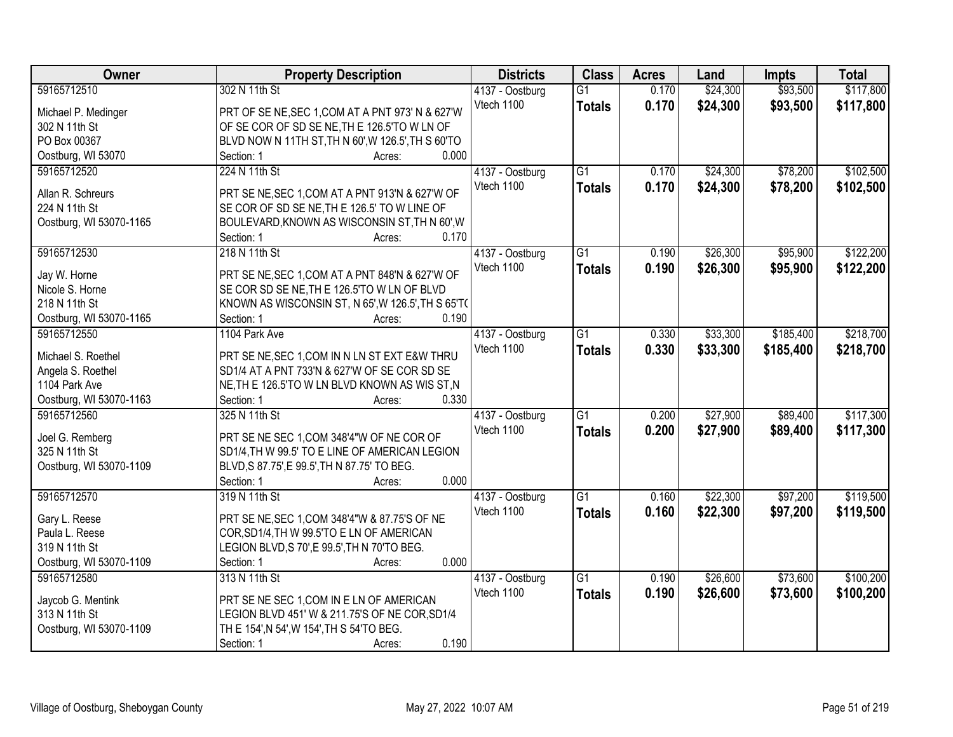| <b>Owner</b>            | <b>Property Description</b>                        | <b>Districts</b> | <b>Class</b>    | <b>Acres</b> | Land     | <b>Impts</b> | <b>Total</b> |
|-------------------------|----------------------------------------------------|------------------|-----------------|--------------|----------|--------------|--------------|
| 59165712510             | 302 N 11th St                                      | 4137 - Oostburg  | $\overline{G1}$ | 0.170        | \$24,300 | \$93,500     | \$117,800    |
| Michael P. Medinger     | PRT OF SE NE, SEC 1, COM AT A PNT 973' N & 627'W   | Vtech 1100       | <b>Totals</b>   | 0.170        | \$24,300 | \$93,500     | \$117,800    |
| 302 N 11th St           | OF SE COR OF SD SE NE, THE 126.5'TO WLN OF         |                  |                 |              |          |              |              |
| PO Box 00367            | BLVD NOW N 11TH ST, TH N 60', W 126.5', TH S 60'TO |                  |                 |              |          |              |              |
| Oostburg, WI 53070      | 0.000<br>Section: 1<br>Acres:                      |                  |                 |              |          |              |              |
| 59165712520             | 224 N 11th St                                      | 4137 - Oostburg  | $\overline{G1}$ | 0.170        | \$24,300 | \$78,200     | \$102,500    |
|                         |                                                    | Vtech 1100       | <b>Totals</b>   | 0.170        | \$24,300 | \$78,200     | \$102,500    |
| Allan R. Schreurs       | PRT SE NE, SEC 1, COM AT A PNT 913'N & 627'W OF    |                  |                 |              |          |              |              |
| 224 N 11th St           | SE COR OF SD SE NE, TH E 126.5' TO W LINE OF       |                  |                 |              |          |              |              |
| Oostburg, WI 53070-1165 | BOULEVARD, KNOWN AS WISCONSIN ST, TH N 60', W      |                  |                 |              |          |              |              |
|                         | 0.170<br>Section: 1<br>Acres:                      |                  |                 |              |          |              |              |
| 59165712530             | 218 N 11th St                                      | 4137 - Oostburg  | G1              | 0.190        | \$26,300 | \$95,900     | \$122,200    |
| Jay W. Horne            | PRT SE NE, SEC 1, COM AT A PNT 848'N & 627'W OF    | Vtech 1100       | <b>Totals</b>   | 0.190        | \$26,300 | \$95,900     | \$122,200    |
| Nicole S. Horne         | SE COR SD SE NE, TH E 126.5'TO W LN OF BLVD        |                  |                 |              |          |              |              |
| 218 N 11th St           | KNOWN AS WISCONSIN ST, N 65', W 126.5', TH S 65'T( |                  |                 |              |          |              |              |
| Oostburg, WI 53070-1165 | 0.190<br>Section: 1<br>Acres:                      |                  |                 |              |          |              |              |
| 59165712550             | 1104 Park Ave                                      | 4137 - Oostburg  | $\overline{G1}$ | 0.330        | \$33,300 | \$185,400    | \$218,700    |
|                         |                                                    | Vtech 1100       | <b>Totals</b>   | 0.330        | \$33,300 | \$185,400    | \$218,700    |
| Michael S. Roethel      | PRT SE NE, SEC 1, COM IN N LN ST EXT E&W THRU      |                  |                 |              |          |              |              |
| Angela S. Roethel       | SD1/4 AT A PNT 733'N & 627'W OF SE COR SD SE       |                  |                 |              |          |              |              |
| 1104 Park Ave           | NE, TH E 126.5'TO W LN BLVD KNOWN AS WIS ST, N     |                  |                 |              |          |              |              |
| Oostburg, WI 53070-1163 | 0.330<br>Section: 1<br>Acres:                      |                  |                 |              |          |              |              |
| 59165712560             | 325 N 11th St                                      | 4137 - Oostburg  | $\overline{G1}$ | 0.200        | \$27,900 | \$89,400     | \$117,300    |
| Joel G. Remberg         | PRT SE NE SEC 1, COM 348'4"W OF NE COR OF          | Vtech 1100       | <b>Totals</b>   | 0.200        | \$27,900 | \$89,400     | \$117,300    |
| 325 N 11th St           | SD1/4, TH W 99.5' TO E LINE OF AMERICAN LEGION     |                  |                 |              |          |              |              |
| Oostburg, WI 53070-1109 | BLVD, S 87.75', E 99.5', TH N 87.75' TO BEG.       |                  |                 |              |          |              |              |
|                         | 0.000<br>Section: 1<br>Acres:                      |                  |                 |              |          |              |              |
| 59165712570             | 319 N 11th St                                      | 4137 - Oostburg  | $\overline{G1}$ | 0.160        | \$22,300 | \$97,200     | \$119,500    |
|                         |                                                    | Vtech 1100       | <b>Totals</b>   | 0.160        | \$22,300 | \$97,200     | \$119,500    |
| Gary L. Reese           | PRT SE NE, SEC 1, COM 348'4"W & 87.75'S OF NE      |                  |                 |              |          |              |              |
| Paula L. Reese          | COR, SD1/4, TH W 99.5'TO E LN OF AMERICAN          |                  |                 |              |          |              |              |
| 319 N 11th St           | LEGION BLVD, S 70', E 99.5', TH N 70'TO BEG.       |                  |                 |              |          |              |              |
| Oostburg, WI 53070-1109 | 0.000<br>Section: 1<br>Acres:                      |                  |                 |              |          |              |              |
| 59165712580             | 313 N 11th St                                      | 4137 - Oostburg  | $\overline{G1}$ | 0.190        | \$26,600 | \$73,600     | \$100,200    |
| Jaycob G. Mentink       | PRT SE NE SEC 1, COM IN E LN OF AMERICAN           | Vtech 1100       | <b>Totals</b>   | 0.190        | \$26,600 | \$73,600     | \$100,200    |
| 313 N 11th St           | LEGION BLVD 451' W & 211.75'S OF NE COR, SD1/4     |                  |                 |              |          |              |              |
| Oostburg, WI 53070-1109 | TH E 154', N 54', W 154', TH S 54'TO BEG.          |                  |                 |              |          |              |              |
|                         | 0.190<br>Section: 1<br>Acres:                      |                  |                 |              |          |              |              |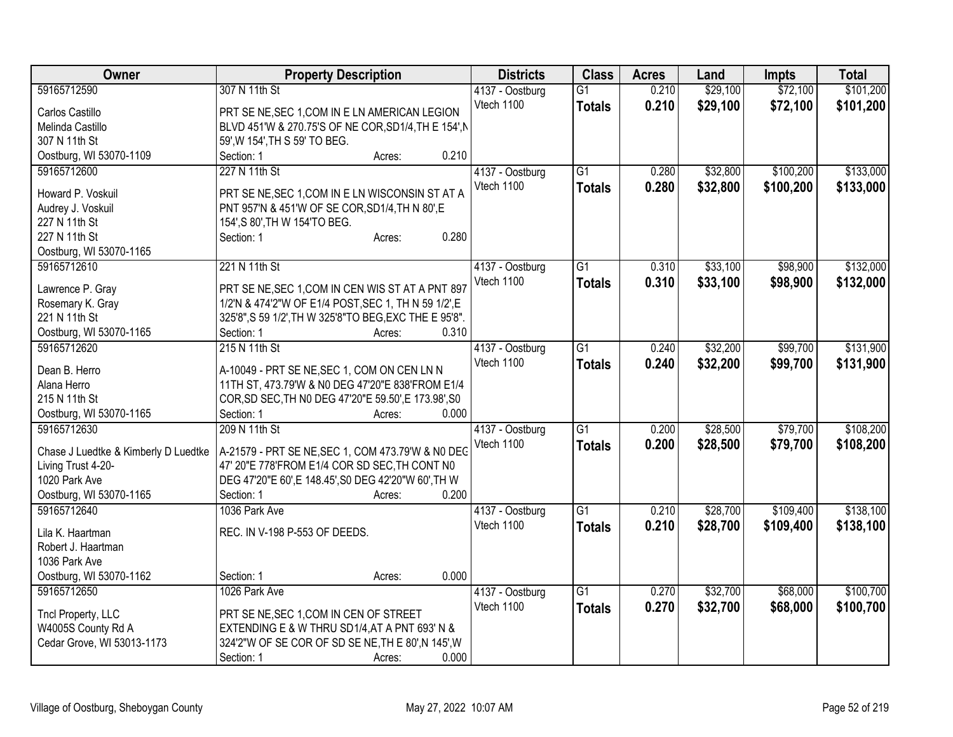| Owner                                  | <b>Property Description</b>                            | <b>Districts</b> | <b>Class</b>    | <b>Acres</b> | Land     | <b>Impts</b> | <b>Total</b> |
|----------------------------------------|--------------------------------------------------------|------------------|-----------------|--------------|----------|--------------|--------------|
| 59165712590                            | 307 N 11th St                                          | 4137 - Oostburg  | $\overline{G1}$ | 0.210        | \$29,100 | \$72,100     | \$101,200    |
| Carlos Castillo                        | PRT SE NE, SEC 1, COM IN E LN AMERICAN LEGION          | Vtech 1100       | <b>Totals</b>   | 0.210        | \$29,100 | \$72,100     | \$101,200    |
| Melinda Castillo                       | BLVD 451'W & 270.75'S OF NE COR, SD1/4, TH E 154', N   |                  |                 |              |          |              |              |
| 307 N 11th St                          | 59', W 154', TH S 59' TO BEG.                          |                  |                 |              |          |              |              |
| Oostburg, WI 53070-1109                | 0.210<br>Section: 1<br>Acres:                          |                  |                 |              |          |              |              |
| 59165712600                            | 227 N 11th St                                          | 4137 - Oostburg  | $\overline{G1}$ | 0.280        | \$32,800 | \$100,200    | \$133,000    |
|                                        |                                                        | Vtech 1100       | <b>Totals</b>   | 0.280        | \$32,800 | \$100,200    | \$133,000    |
| Howard P. Voskuil                      | PRT SE NE, SEC 1, COM IN E LN WISCONSIN ST AT A        |                  |                 |              |          |              |              |
| Audrey J. Voskuil                      | PNT 957'N & 451'W OF SE COR, SD1/4, TH N 80', E        |                  |                 |              |          |              |              |
| 227 N 11th St                          | 154', S 80', TH W 154'TO BEG.                          |                  |                 |              |          |              |              |
| 227 N 11th St                          | 0.280<br>Section: 1<br>Acres:                          |                  |                 |              |          |              |              |
| Oostburg, WI 53070-1165<br>59165712610 | 221 N 11th St                                          |                  |                 |              | \$33,100 |              |              |
|                                        |                                                        | 4137 - Oostburg  | $\overline{G1}$ | 0.310        |          | \$98,900     | \$132,000    |
| Lawrence P. Gray                       | PRT SE NE, SEC 1, COM IN CEN WIS ST AT A PNT 897       | Vtech 1100       | <b>Totals</b>   | 0.310        | \$33,100 | \$98,900     | \$132,000    |
| Rosemary K. Gray                       | 1/2'N & 474'2"W OF E1/4 POST, SEC 1, TH N 59 1/2', E   |                  |                 |              |          |              |              |
| 221 N 11th St                          | 325'8", S 59 1/2', TH W 325'8"TO BEG, EXC THE E 95'8". |                  |                 |              |          |              |              |
| Oostburg, WI 53070-1165                | 0.310<br>Section: 1<br>Acres:                          |                  |                 |              |          |              |              |
| 59165712620                            | 215 N 11th St                                          | 4137 - Oostburg  | $\overline{G1}$ | 0.240        | \$32,200 | \$99,700     | \$131,900    |
| Dean B. Herro                          | A-10049 - PRT SE NE, SEC 1, COM ON CEN LN N            | Vtech 1100       | <b>Totals</b>   | 0.240        | \$32,200 | \$99,700     | \$131,900    |
| Alana Herro                            | 11TH ST, 473.79'W & N0 DEG 47'20"E 838'FROM E1/4       |                  |                 |              |          |              |              |
| 215 N 11th St                          | COR, SD SEC, TH NO DEG 47'20"E 59.50', E 173.98', S0   |                  |                 |              |          |              |              |
| Oostburg, WI 53070-1165                | 0.000<br>Section: 1<br>Acres:                          |                  |                 |              |          |              |              |
| 59165712630                            | 209 N 11th St                                          | 4137 - Oostburg  | $\overline{G1}$ | 0.200        | \$28,500 | \$79,700     | \$108,200    |
|                                        |                                                        | Vtech 1100       | <b>Totals</b>   | 0.200        | \$28,500 | \$79,700     | \$108,200    |
| Chase J Luedtke & Kimberly D Luedtke   | A-21579 - PRT SE NE, SEC 1, COM 473.79'W & N0 DEC      |                  |                 |              |          |              |              |
| Living Trust 4-20-                     | 47' 20"E 778'FROM E1/4 COR SD SEC, TH CONT N0          |                  |                 |              |          |              |              |
| 1020 Park Ave                          | DEG 47'20"E 60', E 148.45', S0 DEG 42'20"W 60', TH W   |                  |                 |              |          |              |              |
| Oostburg, WI 53070-1165                | 0.200<br>Section: 1<br>Acres:                          |                  |                 |              |          |              |              |
| 59165712640                            | 1036 Park Ave                                          | 4137 - Oostburg  | $\overline{G1}$ | 0.210        | \$28,700 | \$109,400    | \$138,100    |
| Lila K. Haartman                       | REC. IN V-198 P-553 OF DEEDS.                          | Vtech 1100       | <b>Totals</b>   | 0.210        | \$28,700 | \$109,400    | \$138,100    |
| Robert J. Haartman                     |                                                        |                  |                 |              |          |              |              |
| 1036 Park Ave                          |                                                        |                  |                 |              |          |              |              |
| Oostburg, WI 53070-1162                | 0.000<br>Section: 1<br>Acres:                          |                  |                 |              |          |              |              |
| 59165712650                            | 1026 Park Ave                                          | 4137 - Oostburg  | $\overline{G1}$ | 0.270        | \$32,700 | \$68,000     | \$100,700    |
|                                        |                                                        | Vtech 1100       | <b>Totals</b>   | 0.270        | \$32,700 | \$68,000     | \$100,700    |
| Tncl Property, LLC                     | PRT SE NE, SEC 1, COM IN CEN OF STREET                 |                  |                 |              |          |              |              |
| W4005S County Rd A                     | EXTENDING E & W THRU SD1/4, AT A PNT 693' N &          |                  |                 |              |          |              |              |
| Cedar Grove, WI 53013-1173             | 324'2"W OF SE COR OF SD SE NE, TH E 80', N 145', W     |                  |                 |              |          |              |              |
|                                        | 0.000<br>Section: 1<br>Acres:                          |                  |                 |              |          |              |              |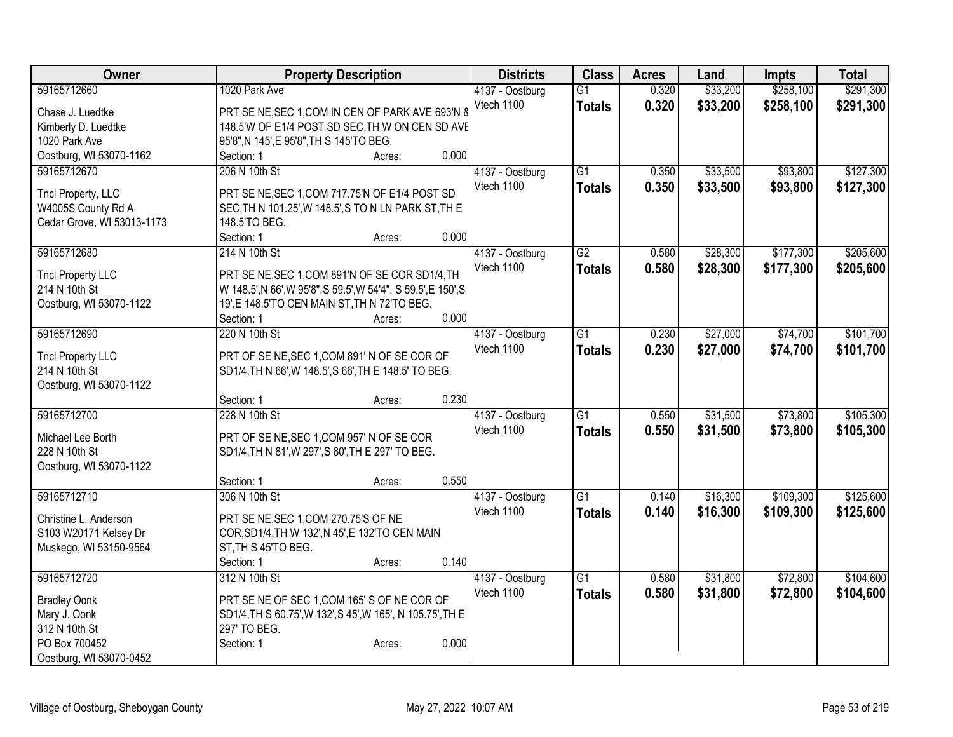| Owner                                    | <b>Property Description</b>                                                                            | <b>Districts</b>              | <b>Class</b>    | <b>Acres</b> | Land     | Impts     | <b>Total</b> |
|------------------------------------------|--------------------------------------------------------------------------------------------------------|-------------------------------|-----------------|--------------|----------|-----------|--------------|
| 59165712660                              | 1020 Park Ave                                                                                          | 4137 - Oostburg               | $\overline{G1}$ | 0.320        | \$33,200 | \$258,100 | \$291,300    |
| Chase J. Luedtke                         | PRT SE NE, SEC 1, COM IN CEN OF PARK AVE 693'N 8                                                       | Vtech 1100                    | <b>Totals</b>   | 0.320        | \$33,200 | \$258,100 | \$291,300    |
| Kimberly D. Luedtke                      | 148.5'W OF E1/4 POST SD SEC, TH W ON CEN SD AVE                                                        |                               |                 |              |          |           |              |
| 1020 Park Ave                            | 95'8", N 145', E 95'8", TH S 145'TO BEG.                                                               |                               |                 |              |          |           |              |
| Oostburg, WI 53070-1162                  | 0.000<br>Section: 1<br>Acres:                                                                          |                               |                 |              |          |           |              |
| 59165712670                              | 206 N 10th St                                                                                          | 4137 - Oostburg               | $\overline{G1}$ | 0.350        | \$33,500 | \$93,800  | \$127,300    |
|                                          |                                                                                                        | Vtech 1100                    | <b>Totals</b>   | 0.350        | \$33,500 | \$93,800  | \$127,300    |
| Tncl Property, LLC<br>W4005S County Rd A | PRT SE NE, SEC 1, COM 717.75'N OF E1/4 POST SD<br>SEC, TH N 101.25', W 148.5', S TO N LN PARK ST, TH E |                               |                 |              |          |           |              |
| Cedar Grove, WI 53013-1173               | 148.5'TO BEG.                                                                                          |                               |                 |              |          |           |              |
|                                          | 0.000<br>Section: 1<br>Acres:                                                                          |                               |                 |              |          |           |              |
| 59165712680                              | 214 N 10th St                                                                                          | 4137 - Oostburg               | $\overline{G2}$ | 0.580        | \$28,300 | \$177,300 | \$205,600    |
|                                          |                                                                                                        | Vtech 1100                    | <b>Totals</b>   | 0.580        | \$28,300 | \$177,300 | \$205,600    |
| <b>Tncl Property LLC</b>                 | PRT SE NE, SEC 1, COM 891'N OF SE COR SD1/4, TH                                                        |                               |                 |              |          |           |              |
| 214 N 10th St                            | W 148.5', N 66', W 95'8", S 59.5', W 54'4", S 59.5', E 150', S                                         |                               |                 |              |          |           |              |
| Oostburg, WI 53070-1122                  | 19',E 148.5'TO CEN MAIN ST, TH N 72'TO BEG.                                                            |                               |                 |              |          |           |              |
|                                          | 0.000<br>Section: 1<br>Acres:                                                                          |                               |                 |              |          |           |              |
| 59165712690                              | 220 N 10th St                                                                                          | 4137 - Oostburg               | $\overline{G1}$ | 0.230        | \$27,000 | \$74,700  | \$101,700    |
| <b>Tncl Property LLC</b>                 | PRT OF SE NE, SEC 1, COM 891' N OF SE COR OF                                                           | Vtech 1100                    | <b>Totals</b>   | 0.230        | \$27,000 | \$74,700  | \$101,700    |
| 214 N 10th St                            | SD1/4, TH N 66', W 148.5', S 66', TH E 148.5' TO BEG.                                                  |                               |                 |              |          |           |              |
| Oostburg, WI 53070-1122                  |                                                                                                        |                               |                 |              |          |           |              |
|                                          | 0.230<br>Section: 1<br>Acres:                                                                          |                               |                 |              |          |           |              |
| 59165712700                              | 228 N 10th St                                                                                          | 4137 - Oostburg               | $\overline{G1}$ | 0.550        | \$31,500 | \$73,800  | \$105,300    |
| Michael Lee Borth                        | PRT OF SE NE, SEC 1, COM 957' N OF SE COR                                                              | Vtech 1100                    | <b>Totals</b>   | 0.550        | \$31,500 | \$73,800  | \$105,300    |
| 228 N 10th St                            | SD1/4, TH N 81', W 297', S 80', TH E 297' TO BEG.                                                      |                               |                 |              |          |           |              |
| Oostburg, WI 53070-1122                  |                                                                                                        |                               |                 |              |          |           |              |
|                                          | 0.550<br>Section: 1<br>Acres:                                                                          |                               |                 |              |          |           |              |
| 59165712710                              | 306 N 10th St                                                                                          | 4137 - Oostburg               | $\overline{G1}$ | 0.140        | \$16,300 | \$109,300 | \$125,600    |
|                                          |                                                                                                        | Vtech 1100                    | <b>Totals</b>   | 0.140        | \$16,300 | \$109,300 | \$125,600    |
| Christine L. Anderson                    | PRT SE NE, SEC 1, COM 270.75'S OF NE                                                                   |                               |                 |              |          |           |              |
| S103 W20171 Kelsey Dr                    | COR, SD1/4, TH W 132', N 45', E 132'TO CEN MAIN                                                        |                               |                 |              |          |           |              |
| Muskego, WI 53150-9564                   | ST, TH S 45'TO BEG.<br>0.140<br>Section: 1                                                             |                               |                 |              |          |           |              |
| 59165712720                              | Acres:<br>312 N 10th St                                                                                |                               | $\overline{G1}$ | 0.580        | \$31,800 | \$72,800  | \$104,600    |
|                                          |                                                                                                        | 4137 - Oostburg<br>Vtech 1100 |                 | 0.580        | \$31,800 | \$72,800  | \$104,600    |
| <b>Bradley Oonk</b>                      | PRT SE NE OF SEC 1, COM 165' S OF NE COR OF                                                            |                               | <b>Totals</b>   |              |          |           |              |
| Mary J. Oonk                             | SD1/4, TH S 60.75', W 132', S 45', W 165', N 105.75', TH E                                             |                               |                 |              |          |           |              |
| 312 N 10th St                            | 297' TO BEG.                                                                                           |                               |                 |              |          |           |              |
| PO Box 700452                            | 0.000<br>Section: 1<br>Acres:                                                                          |                               |                 |              |          |           |              |
| Oostburg, WI 53070-0452                  |                                                                                                        |                               |                 |              |          |           |              |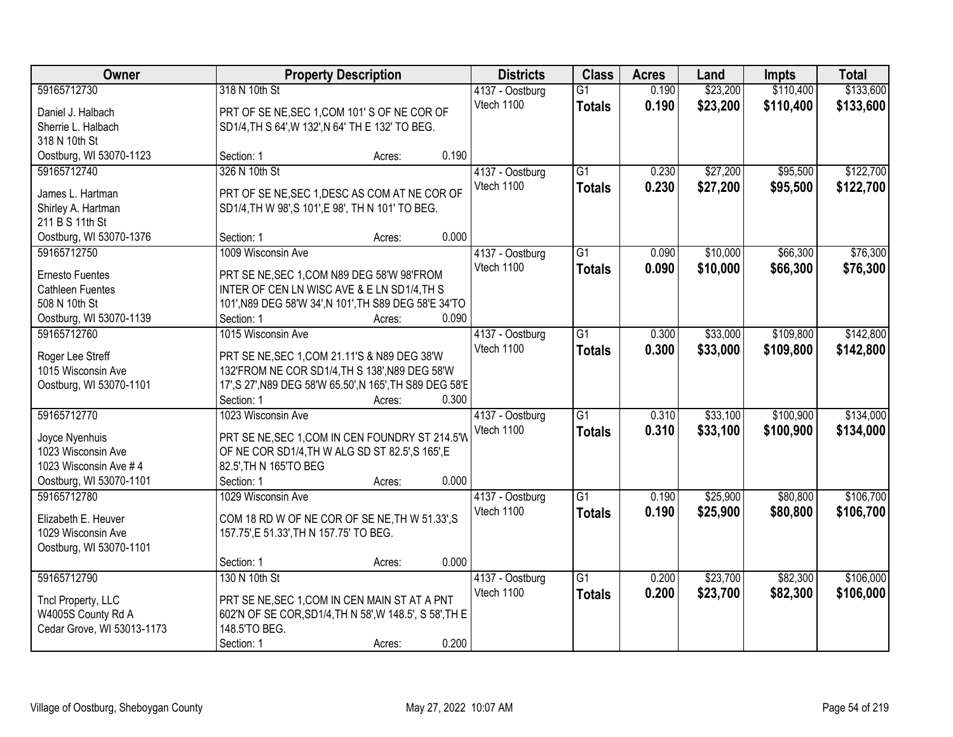| Owner                                  | <b>Property Description</b>                                                                    |        | <b>Districts</b> | <b>Class</b>                  | <b>Acres</b>    | Land  | <b>Impts</b> | <b>Total</b> |           |
|----------------------------------------|------------------------------------------------------------------------------------------------|--------|------------------|-------------------------------|-----------------|-------|--------------|--------------|-----------|
| 59165712730                            | 318 N 10th St                                                                                  |        |                  | 4137 - Oostburg               | $\overline{G1}$ | 0.190 | \$23,200     | \$110,400    | \$133,600 |
| Daniel J. Halbach                      | PRT OF SE NE, SEC 1, COM 101'S OF NE COR OF                                                    |        |                  | Vtech 1100                    | <b>Totals</b>   | 0.190 | \$23,200     | \$110,400    | \$133,600 |
| Sherrie L. Halbach                     | SD1/4, TH S 64', W 132', N 64' TH E 132' TO BEG.                                               |        |                  |                               |                 |       |              |              |           |
| 318 N 10th St                          |                                                                                                |        |                  |                               |                 |       |              |              |           |
| Oostburg, WI 53070-1123                | Section: 1                                                                                     | Acres: | 0.190            |                               |                 |       |              |              |           |
| 59165712740                            | 326 N 10th St                                                                                  |        |                  | 4137 - Oostburg               | $\overline{G1}$ | 0.230 | \$27,200     | \$95,500     | \$122,700 |
|                                        |                                                                                                |        |                  | Vtech 1100                    | <b>Totals</b>   | 0.230 | \$27,200     | \$95,500     | \$122,700 |
| James L. Hartman                       | PRT OF SE NE, SEC 1, DESC AS COM AT NE COR OF                                                  |        |                  |                               |                 |       |              |              |           |
| Shirley A. Hartman<br>211 B S 11th St  | SD1/4, TH W 98', S 101', E 98', TH N 101' TO BEG.                                              |        |                  |                               |                 |       |              |              |           |
|                                        | Section: 1                                                                                     |        | 0.000            |                               |                 |       |              |              |           |
| Oostburg, WI 53070-1376<br>59165712750 | 1009 Wisconsin Ave                                                                             | Acres: |                  |                               | G1              |       | \$10,000     | \$66,300     | \$76,300  |
|                                        |                                                                                                |        |                  | 4137 - Oostburg<br>Vtech 1100 |                 | 0.090 |              |              |           |
| <b>Ernesto Fuentes</b>                 | PRT SE NE, SEC 1, COM N89 DEG 58'W 98'FROM                                                     |        |                  |                               | <b>Totals</b>   | 0.090 | \$10,000     | \$66,300     | \$76,300  |
| <b>Cathleen Fuentes</b>                | INTER OF CEN LN WISC AVE & E LN SD1/4, TH S                                                    |        |                  |                               |                 |       |              |              |           |
| 508 N 10th St                          | 101', N89 DEG 58'W 34', N 101', TH S89 DEG 58'E 34'TO                                          |        |                  |                               |                 |       |              |              |           |
| Oostburg, WI 53070-1139                | Section: 1                                                                                     | Acres: | 0.090            |                               |                 |       |              |              |           |
| 59165712760                            | 1015 Wisconsin Ave                                                                             |        |                  | 4137 - Oostburg               | G1              | 0.300 | \$33,000     | \$109,800    | \$142,800 |
|                                        |                                                                                                |        |                  | Vtech 1100                    | <b>Totals</b>   | 0.300 | \$33,000     | \$109,800    | \$142,800 |
| Roger Lee Streff<br>1015 Wisconsin Ave | PRT SE NE, SEC 1, COM 21.11'S & N89 DEG 38'W<br>132'FROM NE COR SD1/4, TH S 138', N89 DEG 58'W |        |                  |                               |                 |       |              |              |           |
| Oostburg, WI 53070-1101                | 17', S 27', N89 DEG 58'W 65.50', N 165', TH S89 DEG 58'E                                       |        |                  |                               |                 |       |              |              |           |
|                                        | Section: 1                                                                                     | Acres: | 0.300            |                               |                 |       |              |              |           |
| 59165712770                            | 1023 Wisconsin Ave                                                                             |        |                  | 4137 - Oostburg               | $\overline{G1}$ | 0.310 | \$33,100     | \$100,900    | \$134,000 |
|                                        |                                                                                                |        |                  | Vtech 1100                    |                 |       |              |              |           |
| Joyce Nyenhuis                         | PRT SE NE, SEC 1, COM IN CEN FOUNDRY ST 214.5'W                                                |        |                  |                               | <b>Totals</b>   | 0.310 | \$33,100     | \$100,900    | \$134,000 |
| 1023 Wisconsin Ave                     | OF NE COR SD1/4, TH W ALG SD ST 82.5', S 165', E                                               |        |                  |                               |                 |       |              |              |           |
| 1023 Wisconsin Ave #4                  | 82.5', TH N 165'TO BEG                                                                         |        |                  |                               |                 |       |              |              |           |
| Oostburg, WI 53070-1101                | Section: 1                                                                                     | Acres: | 0.000            |                               |                 |       |              |              |           |
| 59165712780                            | 1029 Wisconsin Ave                                                                             |        |                  | 4137 - Oostburg               | $\overline{G1}$ | 0.190 | \$25,900     | \$80,800     | \$106,700 |
| Elizabeth E. Heuver                    | COM 18 RD W OF NE COR OF SE NE, TH W 51.33', S                                                 |        |                  | Vtech 1100                    | <b>Totals</b>   | 0.190 | \$25,900     | \$80,800     | \$106,700 |
| 1029 Wisconsin Ave                     | 157.75', E 51.33', TH N 157.75' TO BEG.                                                        |        |                  |                               |                 |       |              |              |           |
| Oostburg, WI 53070-1101                |                                                                                                |        |                  |                               |                 |       |              |              |           |
|                                        | Section: 1                                                                                     | Acres: | 0.000            |                               |                 |       |              |              |           |
| 59165712790                            | 130 N 10th St                                                                                  |        |                  | 4137 - Oostburg               | $\overline{G1}$ | 0.200 | \$23,700     | \$82,300     | \$106,000 |
|                                        |                                                                                                |        |                  | Vtech 1100                    |                 | 0.200 | \$23,700     | \$82,300     | \$106,000 |
| Tncl Property, LLC                     | PRT SE NE, SEC 1, COM IN CEN MAIN ST AT A PNT                                                  |        |                  |                               | <b>Totals</b>   |       |              |              |           |
| W4005S County Rd A                     | 602'N OF SE COR, SD1/4, TH N 58', W 148.5', S 58', TH E                                        |        |                  |                               |                 |       |              |              |           |
| Cedar Grove, WI 53013-1173             | 148.5'TO BEG.                                                                                  |        |                  |                               |                 |       |              |              |           |
|                                        | Section: 1                                                                                     | Acres: | 0.200            |                               |                 |       |              |              |           |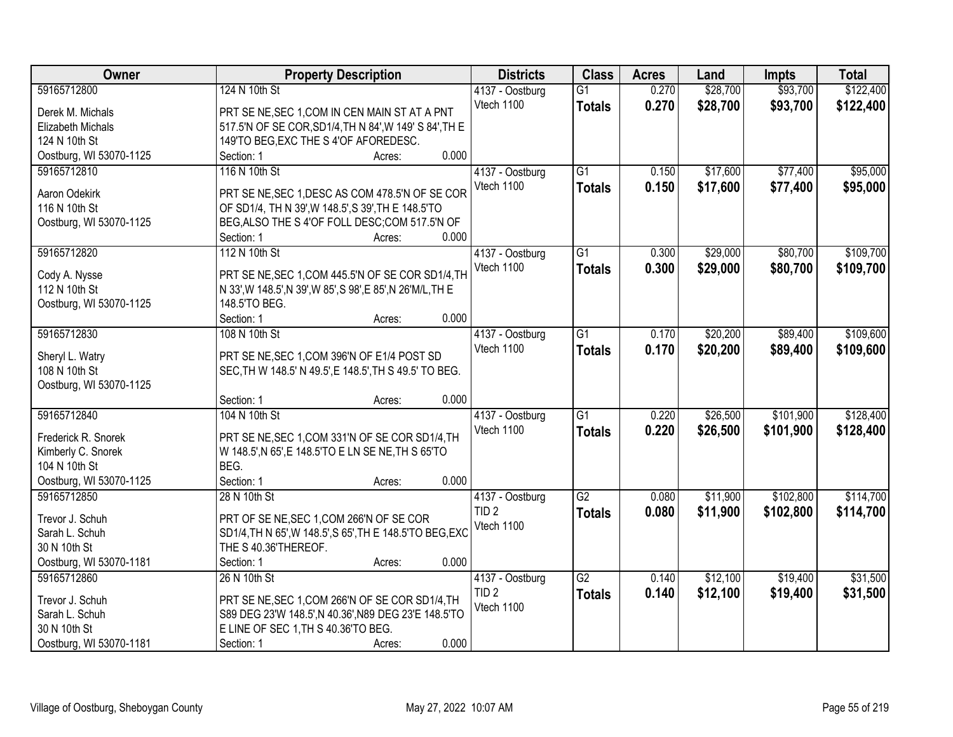| Owner                   |                                                              | <b>Property Description</b> |       | <b>Districts</b> | <b>Class</b>    | <b>Acres</b> | Land     | <b>Impts</b> | <b>Total</b> |
|-------------------------|--------------------------------------------------------------|-----------------------------|-------|------------------|-----------------|--------------|----------|--------------|--------------|
| 59165712800             | 124 N 10th St                                                |                             |       | 4137 - Oostburg  | $\overline{G1}$ | 0.270        | \$28,700 | \$93,700     | \$122,400    |
| Derek M. Michals        | PRT SE NE, SEC 1, COM IN CEN MAIN ST AT A PNT                |                             |       | Vtech 1100       | <b>Totals</b>   | 0.270        | \$28,700 | \$93,700     | \$122,400    |
| Elizabeth Michals       | 517.5'N OF SE COR, SD1/4, TH N 84', W 149' S 84', TH E       |                             |       |                  |                 |              |          |              |              |
| 124 N 10th St           | 149'TO BEG, EXC THE S 4'OF AFOREDESC.                        |                             |       |                  |                 |              |          |              |              |
| Oostburg, WI 53070-1125 | Section: 1                                                   | Acres:                      | 0.000 |                  |                 |              |          |              |              |
| 59165712810             | 116 N 10th St                                                |                             |       | 4137 - Oostburg  | $\overline{G1}$ | 0.150        | \$17,600 | \$77,400     | \$95,000     |
|                         |                                                              |                             |       | Vtech 1100       | <b>Totals</b>   | 0.150        | \$17,600 | \$77,400     | \$95,000     |
| Aaron Odekirk           | PRT SE NE, SEC 1, DESC AS COM 478.5'N OF SE COR              |                             |       |                  |                 |              |          |              |              |
| 116 N 10th St           | OF SD1/4, TH N 39', W 148.5', S 39', TH E 148.5'TO           |                             |       |                  |                 |              |          |              |              |
| Oostburg, WI 53070-1125 | BEG, ALSO THE S 4'OF FOLL DESC; COM 517.5'N OF               |                             |       |                  |                 |              |          |              |              |
|                         | Section: 1                                                   | Acres:                      | 0.000 |                  |                 |              |          |              |              |
| 59165712820             | 112 N 10th St                                                |                             |       | 4137 - Oostburg  | G1              | 0.300        | \$29,000 | \$80,700     | \$109,700    |
| Cody A. Nysse           | PRT SE NE, SEC 1, COM 445.5'N OF SE COR SD1/4, TH            |                             |       | Vtech 1100       | <b>Totals</b>   | 0.300        | \$29,000 | \$80,700     | \$109,700    |
| 112 N 10th St           | N 33', W 148.5', N 39', W 85', S 98', E 85', N 26' M/L, TH E |                             |       |                  |                 |              |          |              |              |
| Oostburg, WI 53070-1125 | 148.5'TO BEG.                                                |                             |       |                  |                 |              |          |              |              |
|                         | Section: 1                                                   | Acres:                      | 0.000 |                  |                 |              |          |              |              |
| 59165712830             | 108 N 10th St                                                |                             |       | 4137 - Oostburg  | $\overline{G1}$ | 0.170        | \$20,200 | \$89,400     | \$109,600    |
|                         |                                                              |                             |       | Vtech 1100       | <b>Totals</b>   | 0.170        | \$20,200 | \$89,400     | \$109,600    |
| Sheryl L. Watry         | PRT SE NE, SEC 1, COM 396'N OF E1/4 POST SD                  |                             |       |                  |                 |              |          |              |              |
| 108 N 10th St           | SEC, TH W 148.5' N 49.5', E 148.5', TH S 49.5' TO BEG.       |                             |       |                  |                 |              |          |              |              |
| Oostburg, WI 53070-1125 |                                                              |                             |       |                  |                 |              |          |              |              |
|                         | Section: 1                                                   | Acres:                      | 0.000 |                  |                 |              |          |              |              |
| 59165712840             | 104 N 10th St                                                |                             |       | 4137 - Oostburg  | $\overline{G1}$ | 0.220        | \$26,500 | \$101,900    | \$128,400    |
| Frederick R. Snorek     | PRT SE NE, SEC 1, COM 331'N OF SE COR SD1/4, TH              |                             |       | Vtech 1100       | <b>Totals</b>   | 0.220        | \$26,500 | \$101,900    | \$128,400    |
| Kimberly C. Snorek      | W 148.5', N 65', E 148.5'TO E LN SE NE, TH S 65'TO           |                             |       |                  |                 |              |          |              |              |
| 104 N 10th St           | BEG.                                                         |                             |       |                  |                 |              |          |              |              |
| Oostburg, WI 53070-1125 | Section: 1                                                   | Acres:                      | 0.000 |                  |                 |              |          |              |              |
| 59165712850             | 28 N 10th St                                                 |                             |       | 4137 - Oostburg  | $\overline{G2}$ | 0.080        | \$11,900 | \$102,800    | \$114,700    |
|                         |                                                              |                             |       | TID <sub>2</sub> | <b>Totals</b>   | 0.080        | \$11,900 | \$102,800    | \$114,700    |
| Trevor J. Schuh         | PRT OF SE NE, SEC 1, COM 266'N OF SE COR                     |                             |       | Vtech 1100       |                 |              |          |              |              |
| Sarah L. Schuh          | SD1/4, TH N 65', W 148.5', S 65', TH E 148.5' TO BEG, EXC    |                             |       |                  |                 |              |          |              |              |
| 30 N 10th St            | THE S 40.36'THEREOF.                                         |                             |       |                  |                 |              |          |              |              |
| Oostburg, WI 53070-1181 | Section: 1                                                   | Acres:                      | 0.000 |                  |                 |              |          |              |              |
| 59165712860             | 26 N 10th St                                                 |                             |       | 4137 - Oostburg  | $\overline{G2}$ | 0.140        | \$12,100 | \$19,400     | \$31,500     |
| Trevor J. Schuh         | PRT SE NE, SEC 1, COM 266'N OF SE COR SD1/4, TH              |                             |       | TID <sub>2</sub> | <b>Totals</b>   | 0.140        | \$12,100 | \$19,400     | \$31,500     |
| Sarah L. Schuh          | S89 DEG 23'W 148.5', N 40.36', N89 DEG 23'E 148.5'TO         |                             |       | Vtech 1100       |                 |              |          |              |              |
| 30 N 10th St            | E LINE OF SEC 1, TH S 40.36'TO BEG.                          |                             |       |                  |                 |              |          |              |              |
| Oostburg, WI 53070-1181 | Section: 1                                                   | Acres:                      | 0.000 |                  |                 |              |          |              |              |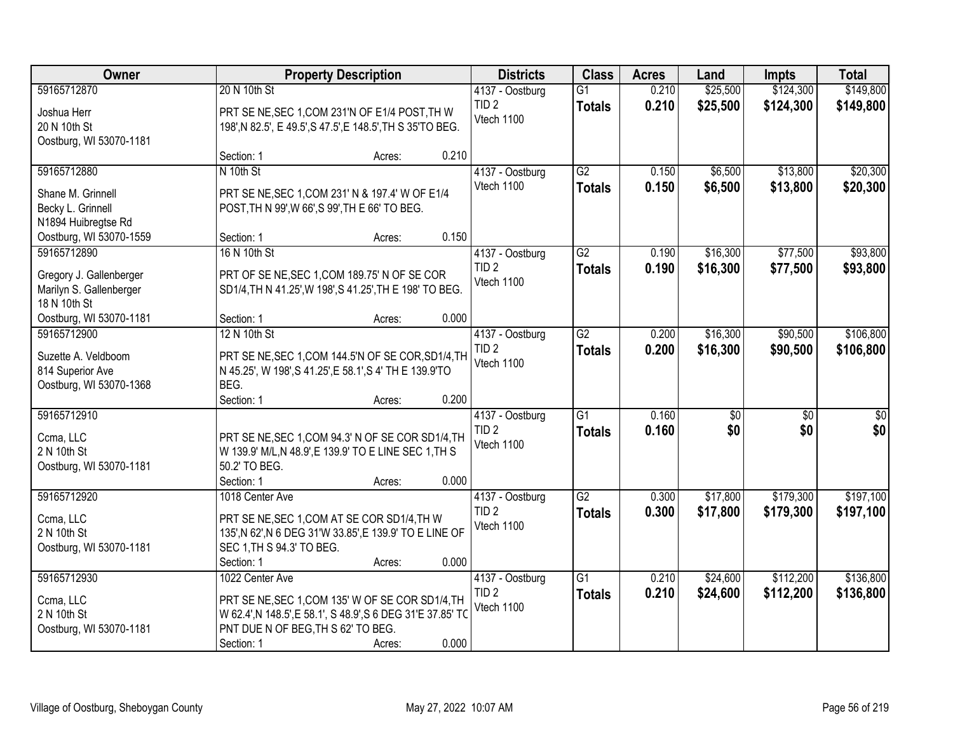| Owner                                                                                    |                                                                                                                                                                     | <b>Property Description</b> |       | <b>Districts</b>                                  | <b>Class</b>                     | <b>Acres</b>   | Land                 | <b>Impts</b>           | <b>Total</b>           |
|------------------------------------------------------------------------------------------|---------------------------------------------------------------------------------------------------------------------------------------------------------------------|-----------------------------|-------|---------------------------------------------------|----------------------------------|----------------|----------------------|------------------------|------------------------|
| 59165712870<br>Joshua Herr<br>20 N 10th St<br>Oostburg, WI 53070-1181                    | 20 N 10th St<br>PRT SE NE, SEC 1, COM 231'N OF E1/4 POST, TH W<br>198', N 82.5', E 49.5', S 47.5', E 148.5', TH S 35'TO BEG.                                        |                             |       | 4137 - Oostburg<br>TID <sub>2</sub><br>Vtech 1100 | $\overline{G1}$<br><b>Totals</b> | 0.210<br>0.210 | \$25,500<br>\$25,500 | \$124,300<br>\$124,300 | \$149,800<br>\$149,800 |
| 59165712880                                                                              | Section: 1<br>N 10th St                                                                                                                                             | Acres:                      | 0.210 | 4137 - Oostburg                                   | G2                               | 0.150          | \$6,500              | \$13,800               | \$20,300               |
| Shane M. Grinnell<br>Becky L. Grinnell<br>N1894 Huibregtse Rd<br>Oostburg, WI 53070-1559 | PRT SE NE, SEC 1, COM 231' N & 197.4' W OF E1/4<br>POST, TH N 99', W 66', S 99', TH E 66' TO BEG.<br>Section: 1                                                     | Acres:                      | 0.150 | Vtech 1100                                        | <b>Totals</b>                    | 0.150          | \$6,500              | \$13,800               | \$20,300               |
| 59165712890                                                                              | 16 N 10th St                                                                                                                                                        |                             |       | 4137 - Oostburg                                   | $\overline{G2}$                  | 0.190          | \$16,300             | \$77,500               | \$93,800               |
| Gregory J. Gallenberger<br>Marilyn S. Gallenberger<br>18 N 10th St                       | PRT OF SE NE, SEC 1, COM 189.75' N OF SE COR<br>SD1/4, TH N 41.25', W 198', S 41.25', TH E 198' TO BEG.                                                             |                             |       | TID <sub>2</sub><br>Vtech 1100                    | <b>Totals</b>                    | 0.190          | \$16,300             | \$77,500               | \$93,800               |
| Oostburg, WI 53070-1181<br>59165712900                                                   | Section: 1<br>12 N 10th St                                                                                                                                          | Acres:                      | 0.000 |                                                   | $\overline{G2}$                  |                | \$16,300             | \$90,500               | \$106,800              |
| Suzette A. Veldboom<br>814 Superior Ave<br>Oostburg, WI 53070-1368                       | PRT SE NE, SEC 1, COM 144.5'N OF SE COR, SD1/4, TH<br>N 45.25', W 198', S 41.25', E 58.1', S 4' TH E 139.9'TO<br>BEG.                                               |                             |       | 4137 - Oostburg<br>TID <sub>2</sub><br>Vtech 1100 | <b>Totals</b>                    | 0.200<br>0.200 | \$16,300             | \$90,500               | \$106,800              |
|                                                                                          | Section: 1                                                                                                                                                          | Acres:                      | 0.200 |                                                   |                                  |                |                      |                        |                        |
| 59165712910<br>Ccma, LLC<br>2 N 10th St<br>Oostburg, WI 53070-1181                       | PRT SE NE, SEC 1, COM 94.3' N OF SE COR SD1/4, TH<br>W 139.9' M/L, N 48.9', E 139.9' TO E LINE SEC 1, TH S<br>50.2' TO BEG.<br>Section: 1                           | Acres:                      | 0.000 | 4137 - Oostburg<br>TID <sub>2</sub><br>Vtech 1100 | $\overline{G1}$<br><b>Totals</b> | 0.160<br>0.160 | \$0<br>\$0           | $\overline{50}$<br>\$0 | $\overline{50}$<br>\$0 |
| 59165712920                                                                              | 1018 Center Ave                                                                                                                                                     |                             |       | 4137 - Oostburg                                   | $\overline{G2}$                  | 0.300          | \$17,800             | \$179,300              | \$197,100              |
| Ccma, LLC<br>2 N 10th St<br>Oostburg, WI 53070-1181                                      | PRT SE NE, SEC 1, COM AT SE COR SD1/4, TH W<br>135', N 62', N 6 DEG 31'W 33.85', E 139.9' TO E LINE OF<br>SEC 1, TH S 94.3' TO BEG.<br>Section: 1                   | Acres:                      | 0.000 | TID <sub>2</sub><br>Vtech 1100                    | <b>Totals</b>                    | 0.300          | \$17,800             | \$179,300              | \$197,100              |
| 59165712930                                                                              | 1022 Center Ave                                                                                                                                                     |                             |       | 4137 - Oostburg                                   | $\overline{G1}$                  | 0.210          | \$24,600             | \$112,200              | \$136,800              |
| Ccma, LLC<br>2 N 10th St<br>Oostburg, WI 53070-1181                                      | PRT SE NE, SEC 1, COM 135' W OF SE COR SD1/4, TH<br>W 62.4', N 148.5', E 58.1', S 48.9', S 6 DEG 31'E 37.85' TO<br>PNT DUE N OF BEG, TH S 62' TO BEG.<br>Section: 1 | Acres:                      | 0.000 | TID <sub>2</sub><br>Vtech 1100                    | <b>Totals</b>                    | 0.210          | \$24,600             | \$112,200              | \$136,800              |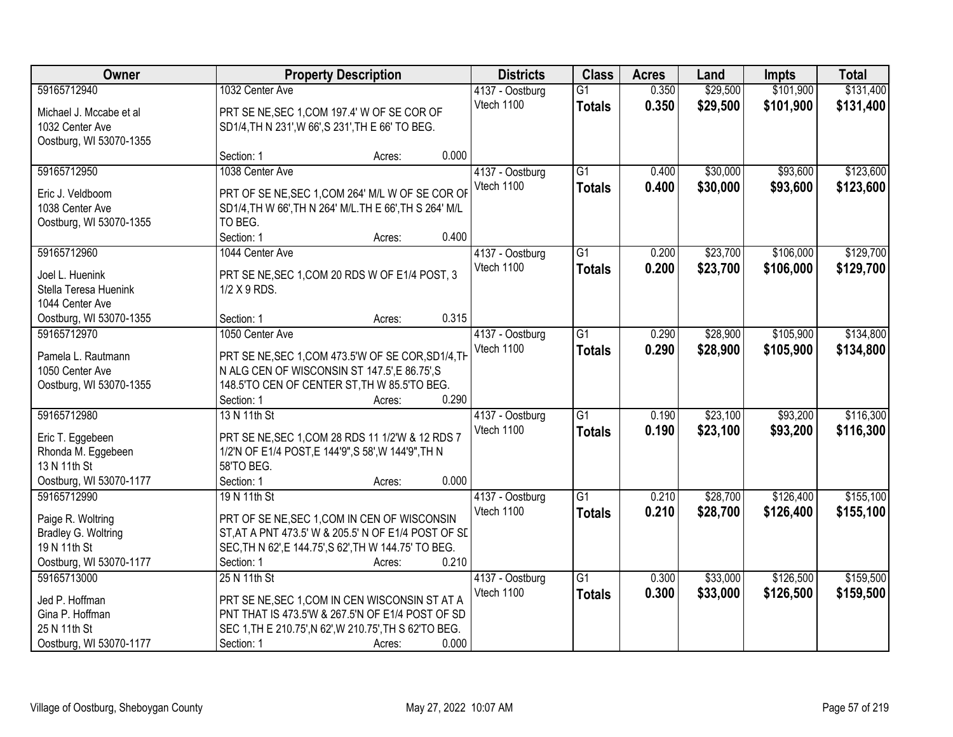| Owner                                 | <b>Property Description</b>                                                                                 |        | <b>Districts</b> | <b>Class</b>    | <b>Acres</b>    | Land  | <b>Impts</b> | <b>Total</b> |           |
|---------------------------------------|-------------------------------------------------------------------------------------------------------------|--------|------------------|-----------------|-----------------|-------|--------------|--------------|-----------|
| 59165712940                           | 1032 Center Ave                                                                                             |        |                  | 4137 - Oostburg | $\overline{G1}$ | 0.350 | \$29,500     | \$101,900    | \$131,400 |
| Michael J. Mccabe et al               | PRT SE NE, SEC 1, COM 197.4' W OF SE COR OF                                                                 |        |                  | Vtech 1100      | <b>Totals</b>   | 0.350 | \$29,500     | \$101,900    | \$131,400 |
| 1032 Center Ave                       | SD1/4, TH N 231', W 66', S 231', TH E 66' TO BEG.                                                           |        |                  |                 |                 |       |              |              |           |
| Oostburg, WI 53070-1355               |                                                                                                             |        |                  |                 |                 |       |              |              |           |
|                                       | Section: 1                                                                                                  | Acres: | 0.000            |                 |                 |       |              |              |           |
| 59165712950                           | 1038 Center Ave                                                                                             |        |                  | 4137 - Oostburg | $\overline{G1}$ | 0.400 | \$30,000     | \$93,600     | \$123,600 |
|                                       |                                                                                                             |        |                  | Vtech 1100      | <b>Totals</b>   | 0.400 | \$30,000     | \$93,600     | \$123,600 |
| Eric J. Veldboom<br>1038 Center Ave   | PRT OF SE NE, SEC 1, COM 264' M/L W OF SE COR OF<br>SD1/4, TH W 66', TH N 264' M/L. TH E 66', TH S 264' M/L |        |                  |                 |                 |       |              |              |           |
|                                       |                                                                                                             |        |                  |                 |                 |       |              |              |           |
| Oostburg, WI 53070-1355               | TO BEG.<br>Section: 1                                                                                       |        | 0.400            |                 |                 |       |              |              |           |
| 59165712960                           | 1044 Center Ave                                                                                             | Acres: |                  |                 | $\overline{G1}$ | 0.200 | \$23,700     | \$106,000    | \$129,700 |
|                                       |                                                                                                             |        |                  | 4137 - Oostburg |                 |       |              |              |           |
| Joel L. Huenink                       | PRT SE NE, SEC 1, COM 20 RDS W OF E1/4 POST, 3                                                              |        |                  | Vtech 1100      | <b>Totals</b>   | 0.200 | \$23,700     | \$106,000    | \$129,700 |
| Stella Teresa Huenink                 | 1/2 X 9 RDS.                                                                                                |        |                  |                 |                 |       |              |              |           |
| 1044 Center Ave                       |                                                                                                             |        |                  |                 |                 |       |              |              |           |
| Oostburg, WI 53070-1355               | Section: 1                                                                                                  | Acres: | 0.315            |                 |                 |       |              |              |           |
| 59165712970                           | 1050 Center Ave                                                                                             |        |                  | 4137 - Oostburg | $\overline{G1}$ | 0.290 | \$28,900     | \$105,900    | \$134,800 |
|                                       |                                                                                                             |        |                  | Vtech 1100      | <b>Totals</b>   | 0.290 | \$28,900     | \$105,900    | \$134,800 |
| Pamela L. Rautmann<br>1050 Center Ave | PRT SE NE, SEC 1, COM 473.5'W OF SE COR, SD1/4, TH                                                          |        |                  |                 |                 |       |              |              |           |
|                                       | N ALG CEN OF WISCONSIN ST 147.5', E 86.75', S                                                               |        |                  |                 |                 |       |              |              |           |
| Oostburg, WI 53070-1355               | 148.5'TO CEN OF CENTER ST, TH W 85.5'TO BEG.<br>Section: 1                                                  |        | 0.290            |                 |                 |       |              |              |           |
| 59165712980                           | 13 N 11th St                                                                                                | Acres: |                  |                 | $\overline{G1}$ | 0.190 | \$23,100     | \$93,200     | \$116,300 |
|                                       |                                                                                                             |        |                  | 4137 - Oostburg |                 |       |              |              |           |
| Eric T. Eggebeen                      | PRT SE NE, SEC 1, COM 28 RDS 11 1/2'W & 12 RDS 7                                                            |        |                  | Vtech 1100      | <b>Totals</b>   | 0.190 | \$23,100     | \$93,200     | \$116,300 |
| Rhonda M. Eggebeen                    | 1/2'N OF E1/4 POST, E 144'9", S 58', W 144'9", TH N                                                         |        |                  |                 |                 |       |              |              |           |
| 13 N 11th St                          | 58'TO BEG.                                                                                                  |        |                  |                 |                 |       |              |              |           |
| Oostburg, WI 53070-1177               | Section: 1                                                                                                  | Acres: | 0.000            |                 |                 |       |              |              |           |
| 59165712990                           | 19 N 11th St                                                                                                |        |                  | 4137 - Oostburg | G1              | 0.210 | \$28,700     | \$126,400    | \$155,100 |
| Paige R. Woltring                     | PRT OF SE NE, SEC 1, COM IN CEN OF WISCONSIN                                                                |        |                  | Vtech 1100      | <b>Totals</b>   | 0.210 | \$28,700     | \$126,400    | \$155,100 |
| Bradley G. Woltring                   | ST, AT A PNT 473.5' W & 205.5' N OF E1/4 POST OF SL                                                         |        |                  |                 |                 |       |              |              |           |
| 19 N 11th St                          | SEC, TH N 62', E 144.75', S 62', TH W 144.75' TO BEG.                                                       |        |                  |                 |                 |       |              |              |           |
| Oostburg, WI 53070-1177               | Section: 1                                                                                                  | Acres: | 0.210            |                 |                 |       |              |              |           |
| 59165713000                           | 25 N 11th St                                                                                                |        |                  | 4137 - Oostburg | $\overline{G1}$ | 0.300 | \$33,000     | \$126,500    | \$159,500 |
|                                       |                                                                                                             |        |                  | Vtech 1100      |                 | 0.300 | \$33,000     | \$126,500    | \$159,500 |
| Jed P. Hoffman                        | PRT SE NE, SEC 1, COM IN CEN WISCONSIN ST AT A                                                              |        |                  |                 | <b>Totals</b>   |       |              |              |           |
| Gina P. Hoffman                       | PNT THAT IS 473.5'W & 267.5'N OF E1/4 POST OF SD                                                            |        |                  |                 |                 |       |              |              |           |
| 25 N 11th St                          | SEC 1, TH E 210.75', N 62', W 210.75', TH S 62'TO BEG.                                                      |        |                  |                 |                 |       |              |              |           |
| Oostburg, WI 53070-1177               | Section: 1                                                                                                  | Acres: | 0.000            |                 |                 |       |              |              |           |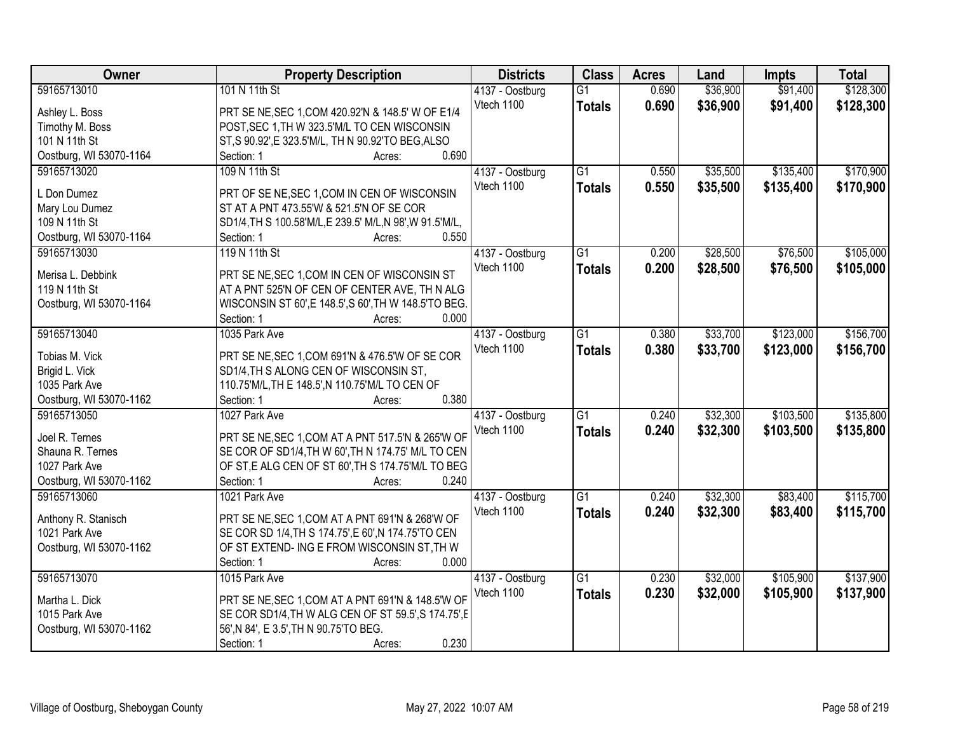| Owner                           | <b>Property Description</b>                                                              | <b>Districts</b> | <b>Class</b>    | <b>Acres</b> | Land     | <b>Impts</b> | <b>Total</b> |
|---------------------------------|------------------------------------------------------------------------------------------|------------------|-----------------|--------------|----------|--------------|--------------|
| 59165713010                     | 101 N 11th St                                                                            | 4137 - Oostburg  | $\overline{G1}$ | 0.690        | \$36,900 | \$91,400     | \$128,300    |
| Ashley L. Boss                  | PRT SE NE, SEC 1, COM 420.92'N & 148.5' W OF E1/4                                        | Vtech 1100       | <b>Totals</b>   | 0.690        | \$36,900 | \$91,400     | \$128,300    |
| Timothy M. Boss                 | POST, SEC 1, TH W 323.5'M/L TO CEN WISCONSIN                                             |                  |                 |              |          |              |              |
| 101 N 11th St                   | ST, S 90.92', E 323.5'M/L, TH N 90.92'TO BEG, ALSO                                       |                  |                 |              |          |              |              |
| Oostburg, WI 53070-1164         | 0.690<br>Section: 1<br>Acres:                                                            |                  |                 |              |          |              |              |
| 59165713020                     | 109 N 11th St                                                                            | 4137 - Oostburg  | $\overline{G1}$ | 0.550        | \$35,500 | \$135,400    | \$170,900    |
| L Don Dumez                     |                                                                                          | Vtech 1100       | <b>Totals</b>   | 0.550        | \$35,500 | \$135,400    | \$170,900    |
|                                 | PRT OF SE NE, SEC 1, COM IN CEN OF WISCONSIN<br>ST AT A PNT 473.55'W & 521.5'N OF SE COR |                  |                 |              |          |              |              |
| Mary Lou Dumez<br>109 N 11th St | SD1/4, TH S 100.58'M/L, E 239.5' M/L, N 98', W 91.5'M/L,                                 |                  |                 |              |          |              |              |
| Oostburg, WI 53070-1164         | 0.550<br>Section: 1<br>Acres:                                                            |                  |                 |              |          |              |              |
| 59165713030                     | 119 N 11th St                                                                            | 4137 - Oostburg  | $\overline{G1}$ | 0.200        | \$28,500 | \$76,500     | \$105,000    |
|                                 |                                                                                          | Vtech 1100       |                 |              |          | \$76,500     |              |
| Merisa L. Debbink               | PRT SE NE, SEC 1, COM IN CEN OF WISCONSIN ST                                             |                  | <b>Totals</b>   | 0.200        | \$28,500 |              | \$105,000    |
| 119 N 11th St                   | AT A PNT 525'N OF CEN OF CENTER AVE, TH N ALG                                            |                  |                 |              |          |              |              |
| Oostburg, WI 53070-1164         | WISCONSIN ST 60', E 148.5', S 60', TH W 148.5' TO BEG.                                   |                  |                 |              |          |              |              |
|                                 | Section: 1<br>0.000<br>Acres:                                                            |                  |                 |              |          |              |              |
| 59165713040                     | 1035 Park Ave                                                                            | 4137 - Oostburg  | $\overline{G1}$ | 0.380        | \$33,700 | \$123,000    | \$156,700    |
| Tobias M. Vick                  | PRT SE NE, SEC 1, COM 691'N & 476.5'W OF SE COR                                          | Vtech 1100       | <b>Totals</b>   | 0.380        | \$33,700 | \$123,000    | \$156,700    |
| Brigid L. Vick                  | SD1/4, TH S ALONG CEN OF WISCONSIN ST,                                                   |                  |                 |              |          |              |              |
| 1035 Park Ave                   | 110.75'M/L, TH E 148.5', N 110.75'M/L TO CEN OF                                          |                  |                 |              |          |              |              |
| Oostburg, WI 53070-1162         | 0.380<br>Section: 1<br>Acres:                                                            |                  |                 |              |          |              |              |
| 59165713050                     | 1027 Park Ave                                                                            | 4137 - Oostburg  | $\overline{G1}$ | 0.240        | \$32,300 | \$103,500    | \$135,800    |
|                                 |                                                                                          | Vtech 1100       | <b>Totals</b>   | 0.240        | \$32,300 | \$103,500    | \$135,800    |
| Joel R. Ternes                  | PRT SE NE, SEC 1, COM AT A PNT 517.5'N & 265'W OF                                        |                  |                 |              |          |              |              |
| Shauna R. Ternes                | SE COR OF SD1/4, TH W 60', TH N 174.75' M/L TO CEN                                       |                  |                 |              |          |              |              |
| 1027 Park Ave                   | OF ST, E ALG CEN OF ST 60', TH S 174.75'M/L TO BEG                                       |                  |                 |              |          |              |              |
| Oostburg, WI 53070-1162         | 0.240<br>Section: 1<br>Acres:                                                            |                  |                 |              |          |              |              |
| 59165713060                     | 1021 Park Ave                                                                            | 4137 - Oostburg  | G1              | 0.240        | \$32,300 | \$83,400     | \$115,700    |
| Anthony R. Stanisch             | PRT SE NE, SEC 1, COM AT A PNT 691'N & 268'W OF                                          | Vtech 1100       | <b>Totals</b>   | 0.240        | \$32,300 | \$83,400     | \$115,700    |
| 1021 Park Ave                   | SE COR SD 1/4, TH S 174.75', E 60', N 174.75'TO CEN                                      |                  |                 |              |          |              |              |
| Oostburg, WI 53070-1162         | OF ST EXTEND-ING E FROM WISCONSIN ST, TH W                                               |                  |                 |              |          |              |              |
|                                 | 0.000<br>Section: 1<br>Acres:                                                            |                  |                 |              |          |              |              |
| 59165713070                     | 1015 Park Ave                                                                            | 4137 - Oostburg  | $\overline{G1}$ | 0.230        | \$32,000 | \$105,900    | \$137,900    |
|                                 |                                                                                          | Vtech 1100       | <b>Totals</b>   | 0.230        | \$32,000 | \$105,900    | \$137,900    |
| Martha L. Dick                  | PRT SE NE, SEC 1, COM AT A PNT 691'N & 148.5'W OF                                        |                  |                 |              |          |              |              |
| 1015 Park Ave                   | SE COR SD1/4, TH W ALG CEN OF ST 59.5', S 174.75', E                                     |                  |                 |              |          |              |              |
| Oostburg, WI 53070-1162         | 56', N 84', E 3.5', TH N 90.75'TO BEG.                                                   |                  |                 |              |          |              |              |
|                                 | 0.230<br>Section: 1<br>Acres:                                                            |                  |                 |              |          |              |              |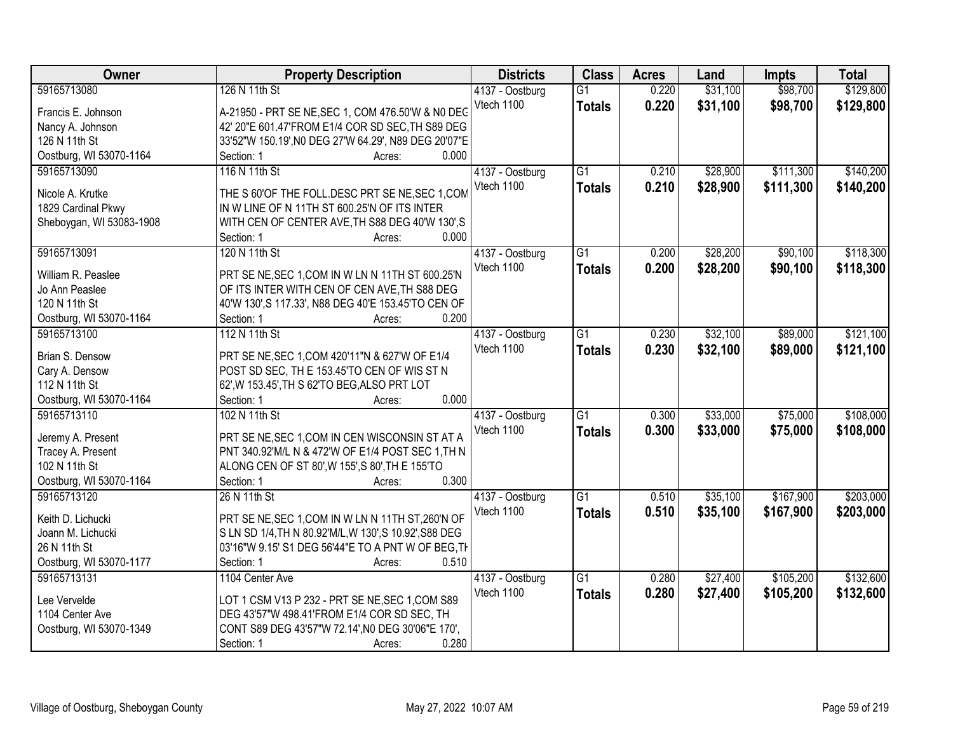| Owner                    | <b>Property Description</b>                            | <b>Districts</b> | <b>Class</b>    | <b>Acres</b> | Land     | <b>Impts</b> | <b>Total</b> |
|--------------------------|--------------------------------------------------------|------------------|-----------------|--------------|----------|--------------|--------------|
| 59165713080              | 126 N 11th St                                          | 4137 - Oostburg  | $\overline{G1}$ | 0.220        | \$31,100 | \$98,700     | \$129,800    |
| Francis E. Johnson       | A-21950 - PRT SE NE, SEC 1, COM 476.50'W & N0 DEC      | Vtech 1100       | <b>Totals</b>   | 0.220        | \$31,100 | \$98,700     | \$129,800    |
| Nancy A. Johnson         | 42' 20"E 601.47'FROM E1/4 COR SD SEC, TH S89 DEG       |                  |                 |              |          |              |              |
| 126 N 11th St            | 33'52"W 150.19', NO DEG 27'W 64.29', N89 DEG 20'07"E   |                  |                 |              |          |              |              |
| Oostburg, WI 53070-1164  | 0.000<br>Section: 1<br>Acres:                          |                  |                 |              |          |              |              |
| 59165713090              | 116 N 11th St                                          | 4137 - Oostburg  | $\overline{G1}$ | 0.210        | \$28,900 | \$111,300    | \$140,200    |
|                          |                                                        | Vtech 1100       | <b>Totals</b>   | 0.210        | \$28,900 | \$111,300    | \$140,200    |
| Nicole A. Krutke         | THE S 60'OF THE FOLL. DESC PRT SE NE, SEC 1, COM       |                  |                 |              |          |              |              |
| 1829 Cardinal Pkwy       | IN W LINE OF N 11TH ST 600.25'N OF ITS INTER           |                  |                 |              |          |              |              |
| Sheboygan, WI 53083-1908 | WITH CEN OF CENTER AVE, TH S88 DEG 40'W 130', S        |                  |                 |              |          |              |              |
|                          | 0.000<br>Section: 1<br>Acres:                          |                  |                 |              |          |              |              |
| 59165713091              | 120 N 11th St                                          | 4137 - Oostburg  | $\overline{G1}$ | 0.200        | \$28,200 | \$90,100     | \$118,300    |
|                          |                                                        | Vtech 1100       | <b>Totals</b>   | 0.200        | \$28,200 | \$90,100     | \$118,300    |
| William R. Peaslee       | PRT SE NE, SEC 1, COM IN W LN N 11TH ST 600.25'N       |                  |                 |              |          |              |              |
| Jo Ann Peaslee           | OF ITS INTER WITH CEN OF CEN AVE, TH S88 DEG           |                  |                 |              |          |              |              |
| 120 N 11th St            | 40'W 130', S 117.33', N88 DEG 40'E 153.45'TO CEN OF    |                  |                 |              |          |              |              |
| Oostburg, WI 53070-1164  | 0.200<br>Section: 1<br>Acres:                          |                  |                 |              |          |              |              |
| 59165713100              | 112 N 11th St                                          | 4137 - Oostburg  | $\overline{G1}$ | 0.230        | \$32,100 | \$89,000     | \$121,100    |
| Brian S. Densow          | PRT SE NE, SEC 1, COM 420'11"N & 627'W OF E1/4         | Vtech 1100       | <b>Totals</b>   | 0.230        | \$32,100 | \$89,000     | \$121,100    |
| Cary A. Densow           | POST SD SEC, TH E 153.45'TO CEN OF WIS ST N            |                  |                 |              |          |              |              |
| 112 N 11th St            | 62', W 153.45', TH S 62'TO BEG, ALSO PRT LOT           |                  |                 |              |          |              |              |
| Oostburg, WI 53070-1164  | 0.000<br>Section: 1<br>Acres:                          |                  |                 |              |          |              |              |
| 59165713110              | 102 N 11th St                                          | 4137 - Oostburg  | $\overline{G1}$ | 0.300        | \$33,000 | \$75,000     | \$108,000    |
|                          |                                                        | Vtech 1100       | <b>Totals</b>   | 0.300        | \$33,000 | \$75,000     | \$108,000    |
| Jeremy A. Present        | PRT SE NE, SEC 1, COM IN CEN WISCONSIN ST AT A         |                  |                 |              |          |              |              |
| Tracey A. Present        | PNT 340.92'M/L N & 472'W OF E1/4 POST SEC 1, TH N      |                  |                 |              |          |              |              |
| 102 N 11th St            | ALONG CEN OF ST 80', W 155', S 80', TH E 155'TO        |                  |                 |              |          |              |              |
| Oostburg, WI 53070-1164  | 0.300<br>Section: 1<br>Acres:                          |                  |                 |              |          |              |              |
| 59165713120              | 26 N 11th St                                           | 4137 - Oostburg  | G1              | 0.510        | \$35,100 | \$167,900    | \$203,000    |
| Keith D. Lichucki        | PRT SE NE, SEC 1, COM IN W LN N 11TH ST, 260'N OF      | Vtech 1100       | <b>Totals</b>   | 0.510        | \$35,100 | \$167,900    | \$203,000    |
| Joann M. Lichucki        | S LN SD 1/4, TH N 80.92'M/L, W 130', S 10.92', S88 DEG |                  |                 |              |          |              |              |
| 26 N 11th St             | 03'16"W 9.15' S1 DEG 56'44"E TO A PNT W OF BEG, TH     |                  |                 |              |          |              |              |
| Oostburg, WI 53070-1177  | 0.510<br>Section: 1<br>Acres:                          |                  |                 |              |          |              |              |
| 59165713131              | 1104 Center Ave                                        | 4137 - Oostburg  | $\overline{G1}$ | 0.280        | \$27,400 | \$105,200    | \$132,600    |
|                          |                                                        | Vtech 1100       |                 |              |          |              |              |
| Lee Vervelde             | LOT 1 CSM V13 P 232 - PRT SE NE, SEC 1, COM S89        |                  | <b>Totals</b>   | 0.280        | \$27,400 | \$105,200    | \$132,600    |
| 1104 Center Ave          | DEG 43'57"W 498.41'FROM E1/4 COR SD SEC, TH            |                  |                 |              |          |              |              |
| Oostburg, WI 53070-1349  | CONT S89 DEG 43'57"W 72.14', N0 DEG 30'06"E 170',      |                  |                 |              |          |              |              |
|                          | 0.280<br>Section: 1<br>Acres:                          |                  |                 |              |          |              |              |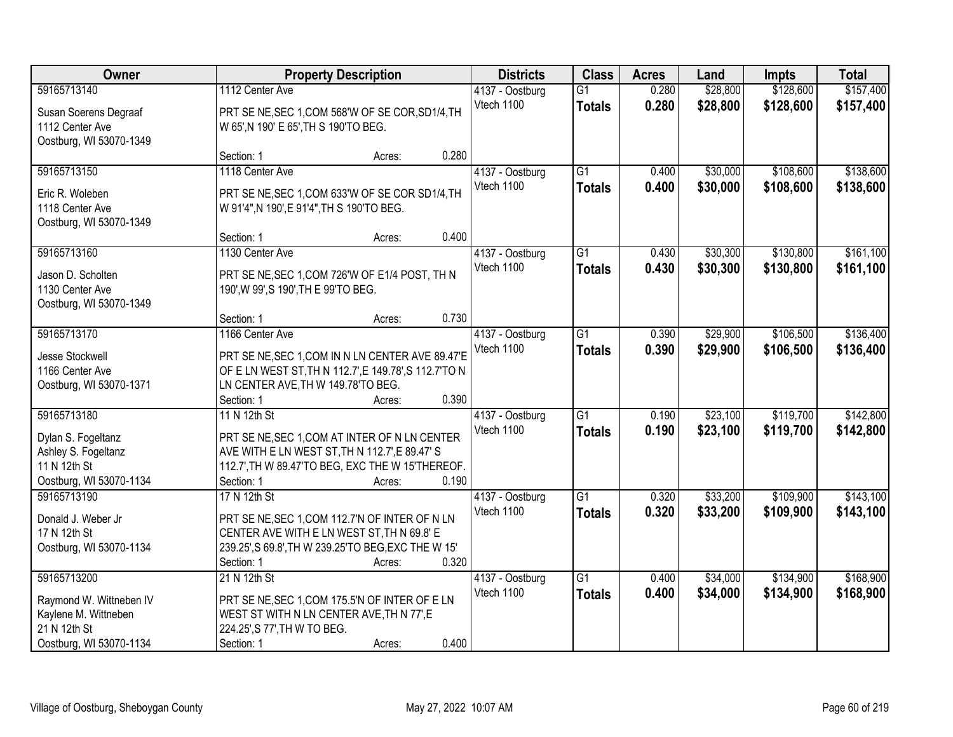| Owner                                           | <b>Property Description</b>                                                                  |        | <b>Districts</b> | <b>Class</b>    | <b>Acres</b>    | Land  | <b>Impts</b> | <b>Total</b> |           |
|-------------------------------------------------|----------------------------------------------------------------------------------------------|--------|------------------|-----------------|-----------------|-------|--------------|--------------|-----------|
| 59165713140                                     | 1112 Center Ave                                                                              |        |                  | 4137 - Oostburg | $\overline{G1}$ | 0.280 | \$28,800     | \$128,600    | \$157,400 |
| Susan Soerens Degraaf                           | PRT SE NE, SEC 1, COM 568'W OF SE COR, SD1/4, TH                                             |        |                  | Vtech 1100      | <b>Totals</b>   | 0.280 | \$28,800     | \$128,600    | \$157,400 |
| 1112 Center Ave                                 | W 65', N 190' E 65', TH S 190'TO BEG.                                                        |        |                  |                 |                 |       |              |              |           |
| Oostburg, WI 53070-1349                         |                                                                                              |        |                  |                 |                 |       |              |              |           |
|                                                 | Section: 1                                                                                   | Acres: | 0.280            |                 |                 |       |              |              |           |
| 59165713150                                     | 1118 Center Ave                                                                              |        |                  | 4137 - Oostburg | $\overline{G1}$ | 0.400 | \$30,000     | \$108,600    | \$138,600 |
| Eric R. Woleben                                 | PRT SE NE, SEC 1, COM 633'W OF SE COR SD1/4, TH                                              |        |                  | Vtech 1100      | <b>Totals</b>   | 0.400 | \$30,000     | \$108,600    | \$138,600 |
| 1118 Center Ave                                 | W 91'4", N 190', E 91'4", TH S 190'TO BEG.                                                   |        |                  |                 |                 |       |              |              |           |
| Oostburg, WI 53070-1349                         |                                                                                              |        |                  |                 |                 |       |              |              |           |
|                                                 | Section: 1                                                                                   | Acres: | 0.400            |                 |                 |       |              |              |           |
| 59165713160                                     | 1130 Center Ave                                                                              |        |                  | 4137 - Oostburg | G1              | 0.430 | \$30,300     | \$130,800    | \$161,100 |
| Jason D. Scholten                               | PRT SE NE, SEC 1, COM 726'W OF E1/4 POST, TH N                                               |        |                  | Vtech 1100      | <b>Totals</b>   | 0.430 | \$30,300     | \$130,800    | \$161,100 |
| 1130 Center Ave                                 | 190', W 99', S 190', TH E 99'TO BEG.                                                         |        |                  |                 |                 |       |              |              |           |
| Oostburg, WI 53070-1349                         |                                                                                              |        |                  |                 |                 |       |              |              |           |
|                                                 | Section: 1                                                                                   | Acres: | 0.730            |                 |                 |       |              |              |           |
| 59165713170                                     | 1166 Center Ave                                                                              |        |                  | 4137 - Oostburg | G1              | 0.390 | \$29,900     | \$106,500    | \$136,400 |
| Jesse Stockwell                                 | PRT SE NE, SEC 1, COM IN N LN CENTER AVE 89.47'E                                             |        |                  | Vtech 1100      | <b>Totals</b>   | 0.390 | \$29,900     | \$106,500    | \$136,400 |
| 1166 Center Ave                                 | OF E LN WEST ST, TH N 112.7', E 149.78', S 112.7'TO N                                        |        |                  |                 |                 |       |              |              |           |
| Oostburg, WI 53070-1371                         | LN CENTER AVE, TH W 149.78'TO BEG.                                                           |        |                  |                 |                 |       |              |              |           |
|                                                 | Section: 1                                                                                   | Acres: | 0.390            |                 |                 |       |              |              |           |
| 59165713180                                     | 11 N 12th St                                                                                 |        |                  | 4137 - Oostburg | $\overline{G1}$ | 0.190 | \$23,100     | \$119,700    | \$142,800 |
| Dylan S. Fogeltanz                              | PRT SE NE, SEC 1, COM AT INTER OF N LN CENTER                                                |        |                  | Vtech 1100      | <b>Totals</b>   | 0.190 | \$23,100     | \$119,700    | \$142,800 |
| Ashley S. Fogeltanz                             | AVE WITH E LN WEST ST, TH N 112.7', E 89.47' S                                               |        |                  |                 |                 |       |              |              |           |
| 11 N 12th St                                    | 112.7', TH W 89.47'TO BEG, EXC THE W 15'THEREOF.                                             |        |                  |                 |                 |       |              |              |           |
| Oostburg, WI 53070-1134                         | Section: 1                                                                                   | Acres: | 0.190            |                 |                 |       |              |              |           |
| 59165713190                                     | 17 N 12th St                                                                                 |        |                  | 4137 - Oostburg | $\overline{G1}$ | 0.320 | \$33,200     | \$109,900    | \$143,100 |
| Donald J. Weber Jr                              |                                                                                              |        |                  | Vtech 1100      | <b>Totals</b>   | 0.320 | \$33,200     | \$109,900    | \$143,100 |
| 17 N 12th St                                    | PRT SE NE, SEC 1, COM 112.7'N OF INTER OF N LN<br>CENTER AVE WITH E LN WEST ST, TH N 69.8' E |        |                  |                 |                 |       |              |              |           |
| Oostburg, WI 53070-1134                         | 239.25', S 69.8', TH W 239.25'TO BEG, EXC THE W 15'                                          |        |                  |                 |                 |       |              |              |           |
|                                                 | Section: 1                                                                                   | Acres: | 0.320            |                 |                 |       |              |              |           |
| 59165713200                                     | 21 N 12th St                                                                                 |        |                  | 4137 - Oostburg | $\overline{G1}$ | 0.400 | \$34,000     | \$134,900    | \$168,900 |
|                                                 |                                                                                              |        |                  | Vtech 1100      | <b>Totals</b>   | 0.400 | \$34,000     | \$134,900    | \$168,900 |
| Raymond W. Wittneben IV<br>Kaylene M. Wittneben | PRT SE NE, SEC 1, COM 175.5'N OF INTER OF E LN<br>WEST ST WITH N LN CENTER AVE, TH N 77', E  |        |                  |                 |                 |       |              |              |           |
| 21 N 12th St                                    | 224.25', S 77', TH W TO BEG.                                                                 |        |                  |                 |                 |       |              |              |           |
| Oostburg, WI 53070-1134                         | Section: 1                                                                                   | Acres: | 0.400            |                 |                 |       |              |              |           |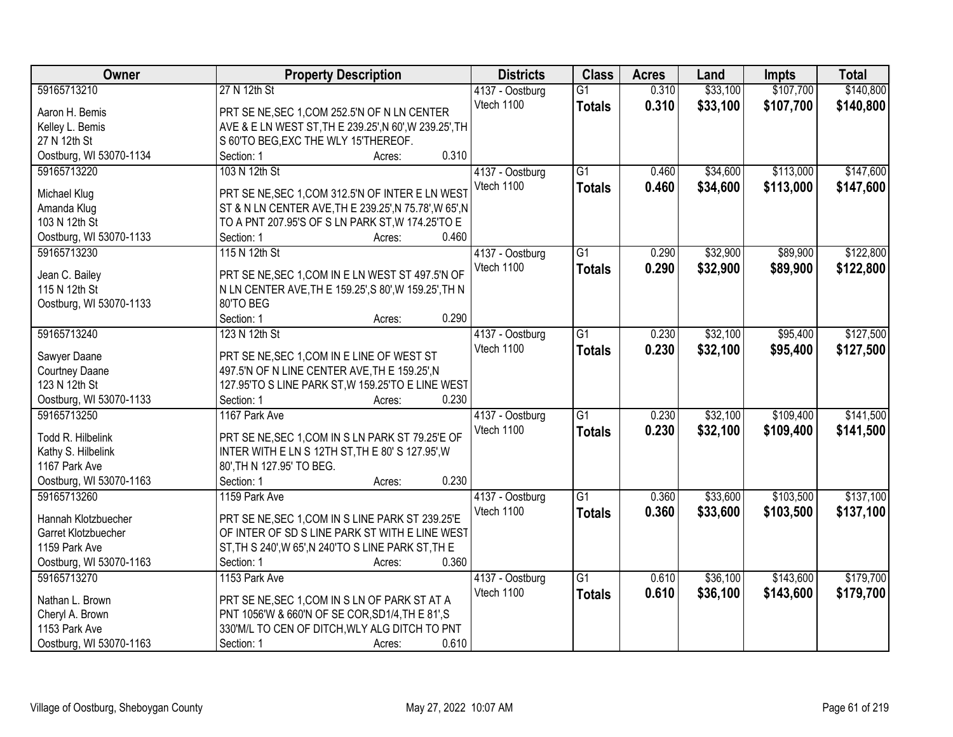| Owner                   | <b>Property Description</b>                            | <b>Districts</b> | <b>Class</b>    | <b>Acres</b> | Land     | <b>Impts</b> | <b>Total</b> |
|-------------------------|--------------------------------------------------------|------------------|-----------------|--------------|----------|--------------|--------------|
| 59165713210             | 27 N 12th St                                           | 4137 - Oostburg  | $\overline{G1}$ | 0.310        | \$33,100 | \$107,700    | \$140,800    |
| Aaron H. Bemis          | PRT SE NE, SEC 1, COM 252.5'N OF N LN CENTER           | Vtech 1100       | <b>Totals</b>   | 0.310        | \$33,100 | \$107,700    | \$140,800    |
| Kelley L. Bemis         | AVE & E LN WEST ST, TH E 239.25', N 60', W 239.25', TH |                  |                 |              |          |              |              |
| 27 N 12th St            | S 60'TO BEG, EXC THE WLY 15'THEREOF.                   |                  |                 |              |          |              |              |
| Oostburg, WI 53070-1134 | 0.310<br>Section: 1<br>Acres:                          |                  |                 |              |          |              |              |
| 59165713220             | 103 N 12th St                                          | 4137 - Oostburg  | $\overline{G1}$ | 0.460        | \$34,600 | \$113,000    | \$147,600    |
|                         |                                                        | Vtech 1100       | <b>Totals</b>   | 0.460        | \$34,600 | \$113,000    | \$147,600    |
| Michael Klug            | PRT SE NE, SEC 1, COM 312.5'N OF INTER E LN WEST       |                  |                 |              |          |              |              |
| Amanda Klug             | ST & N LN CENTER AVE, TH E 239.25', N 75.78', W 65', N |                  |                 |              |          |              |              |
| 103 N 12th St           | TO A PNT 207.95'S OF S LN PARK ST, W 174.25'TO E       |                  |                 |              |          |              |              |
| Oostburg, WI 53070-1133 | 0.460<br>Section: 1<br>Acres:                          |                  |                 |              |          |              |              |
| 59165713230             | 115 N 12th St                                          | 4137 - Oostburg  | $\overline{G1}$ | 0.290        | \$32,900 | \$89,900     | \$122,800    |
| Jean C. Bailey          | PRT SE NE, SEC 1, COM IN E LN WEST ST 497.5'N OF       | Vtech 1100       | <b>Totals</b>   | 0.290        | \$32,900 | \$89,900     | \$122,800    |
| 115 N 12th St           | N LN CENTER AVE, TH E 159.25', S 80', W 159.25', TH N  |                  |                 |              |          |              |              |
| Oostburg, WI 53070-1133 | 80'TO BEG                                              |                  |                 |              |          |              |              |
|                         | 0.290<br>Section: 1<br>Acres:                          |                  |                 |              |          |              |              |
| 59165713240             | 123 N 12th St                                          | 4137 - Oostburg  | $\overline{G1}$ | 0.230        | \$32,100 | \$95,400     | \$127,500    |
|                         |                                                        | Vtech 1100       | <b>Totals</b>   | 0.230        | \$32,100 | \$95,400     | \$127,500    |
| Sawyer Daane            | PRT SE NE, SEC 1, COM IN E LINE OF WEST ST             |                  |                 |              |          |              |              |
| Courtney Daane          | 497.5'N OF N LINE CENTER AVE, TH E 159.25', N          |                  |                 |              |          |              |              |
| 123 N 12th St           | 127.95'TO S LINE PARK ST, W 159.25'TO E LINE WEST      |                  |                 |              |          |              |              |
| Oostburg, WI 53070-1133 | 0.230<br>Section: 1<br>Acres:                          |                  |                 |              |          |              |              |
| 59165713250             | 1167 Park Ave                                          | 4137 - Oostburg  | $\overline{G1}$ | 0.230        | \$32,100 | \$109,400    | \$141,500    |
| Todd R. Hilbelink       | PRT SE NE, SEC 1, COM IN S LN PARK ST 79.25'E OF       | Vtech 1100       | <b>Totals</b>   | 0.230        | \$32,100 | \$109,400    | \$141,500    |
| Kathy S. Hilbelink      | INTER WITH E LN S 12TH ST, TH E 80' S 127.95', W       |                  |                 |              |          |              |              |
| 1167 Park Ave           | 80', TH N 127.95' TO BEG.                              |                  |                 |              |          |              |              |
| Oostburg, WI 53070-1163 | 0.230<br>Section: 1<br>Acres:                          |                  |                 |              |          |              |              |
| 59165713260             |                                                        |                  | G1              |              |          |              | \$137,100    |
|                         | 1159 Park Ave                                          | 4137 - Oostburg  |                 | 0.360        | \$33,600 | \$103,500    |              |
| Hannah Klotzbuecher     | PRT SE NE, SEC 1, COM IN S LINE PARK ST 239.25'E       | Vtech 1100       | <b>Totals</b>   | 0.360        | \$33,600 | \$103,500    | \$137,100    |
| Garret Klotzbuecher     | OF INTER OF SD S LINE PARK ST WITH E LINE WEST         |                  |                 |              |          |              |              |
| 1159 Park Ave           | ST, TH S 240', W 65', N 240'TO S LINE PARK ST, TH E    |                  |                 |              |          |              |              |
| Oostburg, WI 53070-1163 | 0.360<br>Section: 1<br>Acres:                          |                  |                 |              |          |              |              |
| 59165713270             | 1153 Park Ave                                          | 4137 - Oostburg  | $\overline{G1}$ | 0.610        | \$36,100 | \$143,600    | \$179,700    |
|                         |                                                        | Vtech 1100       | <b>Totals</b>   | 0.610        | \$36,100 | \$143,600    | \$179,700    |
| Nathan L. Brown         | PRT SE NE, SEC 1, COM IN S LN OF PARK ST AT A          |                  |                 |              |          |              |              |
| Cheryl A. Brown         | PNT 1056'W & 660'N OF SE COR, SD1/4, TH E 81', S       |                  |                 |              |          |              |              |
| 1153 Park Ave           | 330'M/L TO CEN OF DITCH, WLY ALG DITCH TO PNT          |                  |                 |              |          |              |              |
| Oostburg, WI 53070-1163 | 0.610<br>Section: 1<br>Acres:                          |                  |                 |              |          |              |              |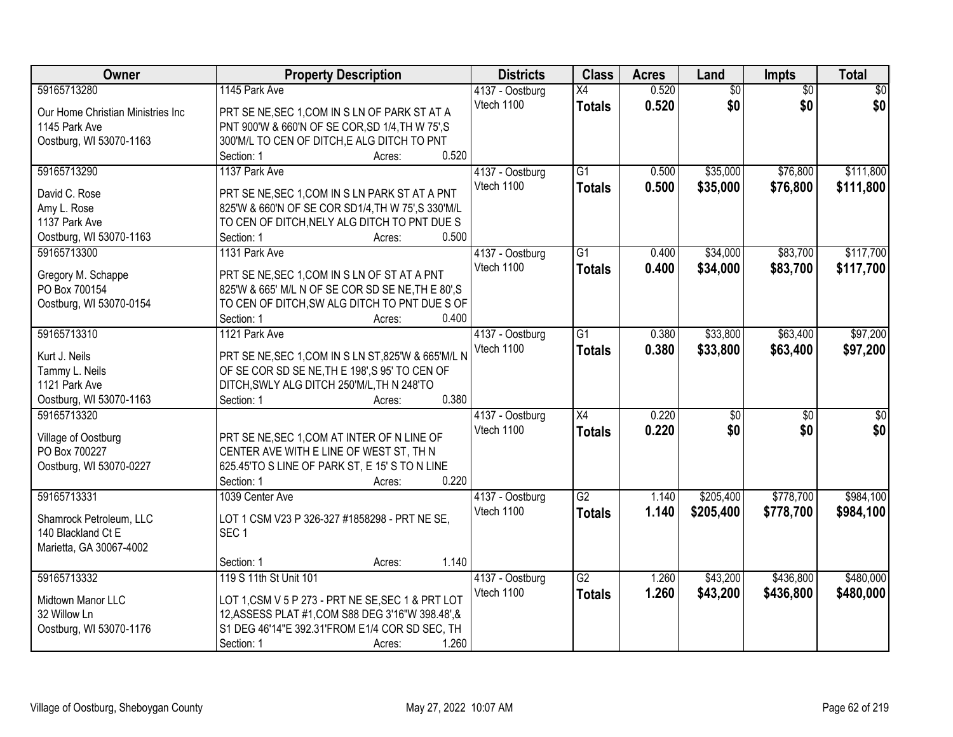| <b>Owner</b>                      | <b>Property Description</b>                         | <b>Districts</b> | <b>Class</b>    | <b>Acres</b> | Land            | <b>Impts</b>    | <b>Total</b>    |
|-----------------------------------|-----------------------------------------------------|------------------|-----------------|--------------|-----------------|-----------------|-----------------|
| 59165713280                       | 1145 Park Ave                                       | 4137 - Oostburg  | X4              | 0.520        | $\overline{50}$ | $\overline{50}$ | $\overline{50}$ |
| Our Home Christian Ministries Inc | PRT SE NE, SEC 1, COM IN S LN OF PARK ST AT A       | Vtech 1100       | <b>Totals</b>   | 0.520        | \$0             | \$0             | \$0             |
| 1145 Park Ave                     | PNT 900'W & 660'N OF SE COR, SD 1/4, TH W 75', S    |                  |                 |              |                 |                 |                 |
| Oostburg, WI 53070-1163           | 300'M/L TO CEN OF DITCH, E ALG DITCH TO PNT         |                  |                 |              |                 |                 |                 |
|                                   | 0.520<br>Section: 1<br>Acres:                       |                  |                 |              |                 |                 |                 |
| 59165713290                       | 1137 Park Ave                                       | 4137 - Oostburg  | $\overline{G1}$ | 0.500        | \$35,000        | \$76,800        | \$111,800       |
|                                   |                                                     | Vtech 1100       | <b>Totals</b>   | 0.500        | \$35,000        | \$76,800        | \$111,800       |
| David C. Rose                     | PRT SE NE, SEC 1, COM IN S LN PARK ST AT A PNT      |                  |                 |              |                 |                 |                 |
| Amy L. Rose                       | 825'W & 660'N OF SE COR SD1/4, TH W 75', S 330'M/L  |                  |                 |              |                 |                 |                 |
| 1137 Park Ave                     | TO CEN OF DITCH, NELY ALG DITCH TO PNT DUE S        |                  |                 |              |                 |                 |                 |
| Oostburg, WI 53070-1163           | 0.500<br>Section: 1<br>Acres:                       |                  |                 |              |                 |                 |                 |
| 59165713300                       | 1131 Park Ave                                       | 4137 - Oostburg  | $\overline{G1}$ | 0.400        | \$34,000        | \$83,700        | \$117,700       |
| Gregory M. Schappe                | PRT SE NE, SEC 1, COM IN S LN OF ST AT A PNT        | Vtech 1100       | <b>Totals</b>   | 0.400        | \$34,000        | \$83,700        | \$117,700       |
| PO Box 700154                     | 825'W & 665' M/L N OF SE COR SD SE NE, TH E 80', S  |                  |                 |              |                 |                 |                 |
| Oostburg, WI 53070-0154           | TO CEN OF DITCH, SW ALG DITCH TO PNT DUE S OF       |                  |                 |              |                 |                 |                 |
|                                   | Section: 1<br>0.400<br>Acres:                       |                  |                 |              |                 |                 |                 |
|                                   | 1121 Park Ave                                       |                  | $\overline{G1}$ |              |                 |                 |                 |
| 59165713310                       |                                                     | 4137 - Oostburg  |                 | 0.380        | \$33,800        | \$63,400        | \$97,200        |
| Kurt J. Neils                     | PRT SE NE, SEC 1, COM IN S LN ST, 825'W & 665'M/L N | Vtech 1100       | <b>Totals</b>   | 0.380        | \$33,800        | \$63,400        | \$97,200        |
| Tammy L. Neils                    | OF SE COR SD SE NE, THE 198', S 95' TO CEN OF       |                  |                 |              |                 |                 |                 |
| 1121 Park Ave                     | DITCH, SWLY ALG DITCH 250'M/L, TH N 248'TO          |                  |                 |              |                 |                 |                 |
| Oostburg, WI 53070-1163           | 0.380<br>Section: 1<br>Acres:                       |                  |                 |              |                 |                 |                 |
| 59165713320                       |                                                     | 4137 - Oostburg  | $\overline{X4}$ | 0.220        | $\overline{50}$ | $\overline{50}$ | \$0             |
|                                   |                                                     | Vtech 1100       | <b>Totals</b>   | 0.220        | \$0             | \$0             | \$0             |
| Village of Oostburg               | PRT SE NE, SEC 1, COM AT INTER OF N LINE OF         |                  |                 |              |                 |                 |                 |
| PO Box 700227                     | CENTER AVE WITH E LINE OF WEST ST, TH N             |                  |                 |              |                 |                 |                 |
| Oostburg, WI 53070-0227           | 625.45'TO S LINE OF PARK ST, E 15' S TO N LINE      |                  |                 |              |                 |                 |                 |
|                                   | 0.220<br>Section: 1<br>Acres:                       |                  |                 |              |                 |                 |                 |
| 59165713331                       | 1039 Center Ave                                     | 4137 - Oostburg  | G2              | 1.140        | \$205,400       | \$778,700       | \$984,100       |
| Shamrock Petroleum, LLC           | LOT 1 CSM V23 P 326-327 #1858298 - PRT NE SE,       | Vtech 1100       | <b>Totals</b>   | 1.140        | \$205,400       | \$778,700       | \$984,100       |
| 140 Blackland Ct E                | SEC <sub>1</sub>                                    |                  |                 |              |                 |                 |                 |
| Marietta, GA 30067-4002           |                                                     |                  |                 |              |                 |                 |                 |
|                                   | 1.140<br>Section: 1<br>Acres:                       |                  |                 |              |                 |                 |                 |
| 59165713332                       | 119 S 11th St Unit 101                              | 4137 - Oostburg  | $\overline{G2}$ | 1.260        | \$43,200        | \$436,800       | \$480,000       |
|                                   |                                                     | Vtech 1100       |                 |              |                 |                 |                 |
| Midtown Manor LLC                 | LOT 1, CSM V 5 P 273 - PRT NE SE, SEC 1 & PRT LOT   |                  | <b>Totals</b>   | 1.260        | \$43,200        | \$436,800       | \$480,000       |
| 32 Willow Ln                      | 12, ASSESS PLAT #1, COM S88 DEG 3'16"W 398.48", &   |                  |                 |              |                 |                 |                 |
| Oostburg, WI 53070-1176           | S1 DEG 46'14"E 392.31'FROM E1/4 COR SD SEC, TH      |                  |                 |              |                 |                 |                 |
|                                   | 1.260<br>Section: 1<br>Acres:                       |                  |                 |              |                 |                 |                 |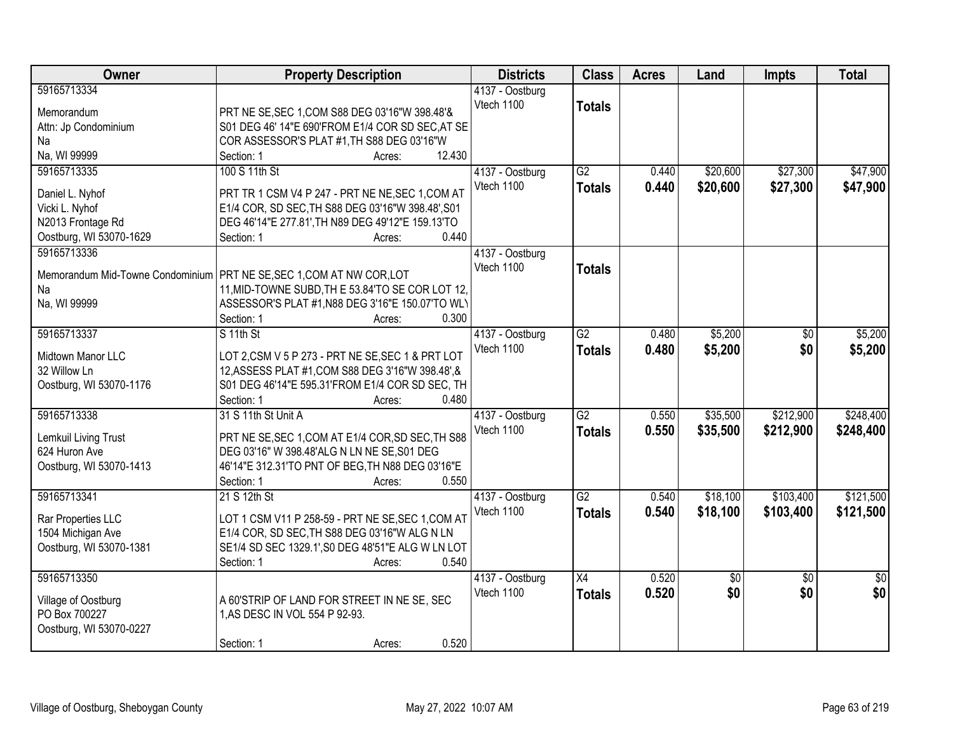| Owner                   | <b>Property Description</b>                                           | <b>Districts</b> | <b>Class</b>    | <b>Acres</b> | Land     | Impts           | <b>Total</b>    |
|-------------------------|-----------------------------------------------------------------------|------------------|-----------------|--------------|----------|-----------------|-----------------|
| 59165713334             |                                                                       | 4137 - Oostburg  |                 |              |          |                 |                 |
| Memorandum              | PRT NE SE, SEC 1, COM S88 DEG 03'16"W 398.48'&                        | Vtech 1100       | <b>Totals</b>   |              |          |                 |                 |
| Attn: Jp Condominium    | S01 DEG 46' 14"E 690'FROM E1/4 COR SD SEC, AT SE                      |                  |                 |              |          |                 |                 |
| Na                      | COR ASSESSOR'S PLAT #1, TH S88 DEG 03'16"W                            |                  |                 |              |          |                 |                 |
| Na, WI 99999            | Section: 1<br>Acres:                                                  | 12.430           |                 |              |          |                 |                 |
| 59165713335             | 100 S 11th St                                                         | 4137 - Oostburg  | $\overline{G2}$ | 0.440        | \$20,600 | \$27,300        | \$47,900        |
|                         |                                                                       | Vtech 1100       | <b>Totals</b>   | 0.440        | \$20,600 | \$27,300        | \$47,900        |
| Daniel L. Nyhof         | PRT TR 1 CSM V4 P 247 - PRT NE NE, SEC 1, COM AT                      |                  |                 |              |          |                 |                 |
| Vicki L. Nyhof          | E1/4 COR, SD SEC, TH S88 DEG 03'16"W 398.48', S01                     |                  |                 |              |          |                 |                 |
| N2013 Frontage Rd       | DEG 46'14"E 277.81', TH N89 DEG 49'12"E 159.13'TO                     |                  |                 |              |          |                 |                 |
| Oostburg, WI 53070-1629 | Section: 1<br>Acres:                                                  | 0.440            |                 |              |          |                 |                 |
| 59165713336             |                                                                       | 4137 - Oostburg  |                 |              |          |                 |                 |
|                         | Memorandum Mid-Towne Condominium PRT NE SE, SEC 1, COM AT NW COR, LOT | Vtech 1100       | <b>Totals</b>   |              |          |                 |                 |
| Na                      | 11, MID-TOWNE SUBD, TH E 53.84'TO SE COR LOT 12,                      |                  |                 |              |          |                 |                 |
| Na, WI 99999            | ASSESSOR'S PLAT #1, N88 DEG 3'16"E 150.07'TO WLY                      |                  |                 |              |          |                 |                 |
|                         | Section: 1<br>Acres:                                                  | 0.300            |                 |              |          |                 |                 |
| 59165713337             | S 11th St                                                             | 4137 - Oostburg  | $\overline{G2}$ | 0.480        | \$5,200  | $\sqrt[6]{}$    | \$5,200         |
|                         |                                                                       | Vtech 1100       | <b>Totals</b>   | 0.480        | \$5,200  | \$0             | \$5,200         |
| Midtown Manor LLC       | LOT 2, CSM V 5 P 273 - PRT NE SE, SEC 1 & PRT LOT                     |                  |                 |              |          |                 |                 |
| 32 Willow Ln            | 12, ASSESS PLAT #1, COM S88 DEG 3'16"W 398.48", &                     |                  |                 |              |          |                 |                 |
| Oostburg, WI 53070-1176 | S01 DEG 46'14"E 595.31'FROM E1/4 COR SD SEC, TH                       |                  |                 |              |          |                 |                 |
|                         | Section: 1<br>Acres:                                                  | 0.480            |                 |              |          |                 |                 |
| 59165713338             | 31 S 11th St Unit A                                                   | 4137 - Oostburg  | $\overline{G2}$ | 0.550        | \$35,500 | \$212,900       | \$248,400       |
| Lemkuil Living Trust    | PRT NE SE, SEC 1, COM AT E1/4 COR, SD SEC, TH S88                     | Vtech 1100       | <b>Totals</b>   | 0.550        | \$35,500 | \$212,900       | \$248,400       |
| 624 Huron Ave           | DEG 03'16" W 398.48'ALG N LN NE SE, S01 DEG                           |                  |                 |              |          |                 |                 |
| Oostburg, WI 53070-1413 | 46'14"E 312.31'TO PNT OF BEG, TH N88 DEG 03'16"E                      |                  |                 |              |          |                 |                 |
|                         | Section: 1<br>Acres:                                                  | 0.550            |                 |              |          |                 |                 |
| 59165713341             | 21 S 12th St                                                          | 4137 - Oostburg  | G2              | 0.540        | \$18,100 | \$103,400       | \$121,500       |
|                         |                                                                       | Vtech 1100       | <b>Totals</b>   | 0.540        | \$18,100 | \$103,400       | \$121,500       |
| Rar Properties LLC      | LOT 1 CSM V11 P 258-59 - PRT NE SE, SEC 1, COM AT                     |                  |                 |              |          |                 |                 |
| 1504 Michigan Ave       | E1/4 COR, SD SEC, TH S88 DEG 03'16"W ALG N LN                         |                  |                 |              |          |                 |                 |
| Oostburg, WI 53070-1381 | SE1/4 SD SEC 1329.1', S0 DEG 48'51"E ALG W LN LOT                     |                  |                 |              |          |                 |                 |
|                         | Section: 1<br>Acres:                                                  | 0.540            |                 |              |          |                 |                 |
| 59165713350             |                                                                       | 4137 - Oostburg  | $\overline{X4}$ | 0.520        | \$0      | $\overline{50}$ | $\overline{50}$ |
| Village of Oostburg     | A 60'STRIP OF LAND FOR STREET IN NE SE, SEC                           | Vtech 1100       | <b>Totals</b>   | 0.520        | \$0      | \$0             | \$0             |
| PO Box 700227           | 1, AS DESC IN VOL 554 P 92-93.                                        |                  |                 |              |          |                 |                 |
| Oostburg, WI 53070-0227 |                                                                       |                  |                 |              |          |                 |                 |
|                         | Section: 1<br>Acres:                                                  | 0.520            |                 |              |          |                 |                 |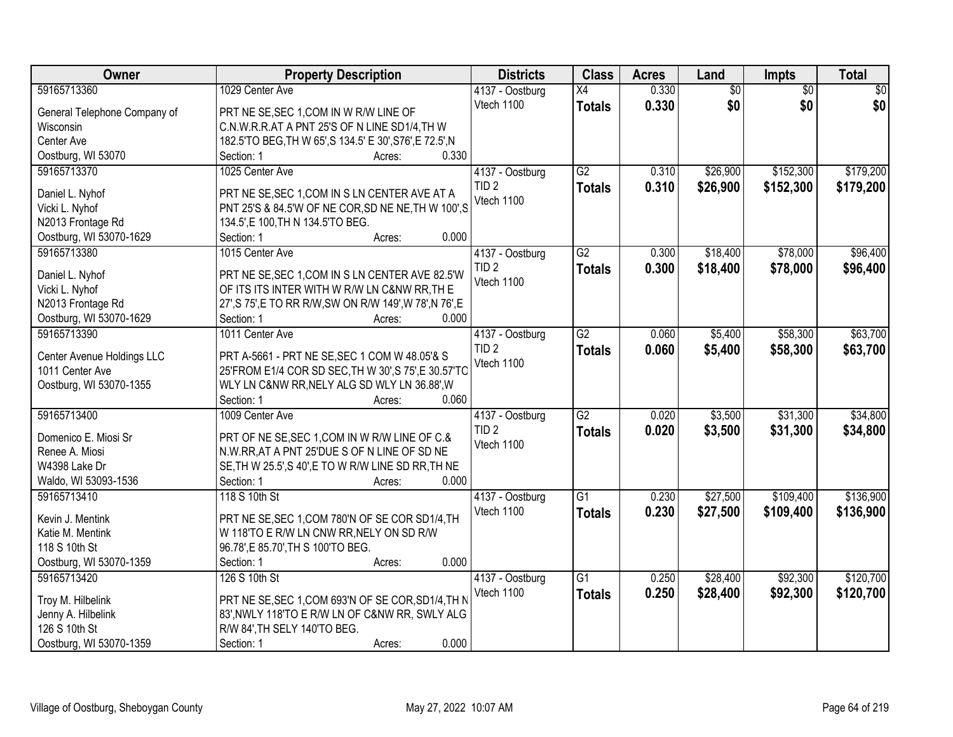| Owner                           | <b>Property Description</b>                              | <b>Districts</b> | <b>Class</b>    | <b>Acres</b> | Land            | <b>Impts</b>    | <b>Total</b> |
|---------------------------------|----------------------------------------------------------|------------------|-----------------|--------------|-----------------|-----------------|--------------|
| 59165713360                     | 1029 Center Ave                                          | 4137 - Oostburg  | X4              | 0.330        | $\overline{50}$ | $\overline{50}$ | $\sqrt{50}$  |
| General Telephone Company of    | PRT NE SE, SEC 1, COM IN W R/W LINE OF                   | Vtech 1100       | <b>Totals</b>   | 0.330        | \$0             | \$0             | \$0          |
| Wisconsin                       | C.N.W.R.R.AT A PNT 25'S OF N LINE SD1/4,TH W             |                  |                 |              |                 |                 |              |
| Center Ave                      | 182.5'TO BEG, TH W 65', S 134.5' E 30', S76', E 72.5', N |                  |                 |              |                 |                 |              |
| Oostburg, WI 53070              | 0.330<br>Section: 1<br>Acres:                            |                  |                 |              |                 |                 |              |
| 59165713370                     | 1025 Center Ave                                          | 4137 - Oostburg  | $\overline{G2}$ | 0.310        | \$26,900        | \$152,300       | \$179,200    |
|                                 |                                                          | TID <sub>2</sub> | <b>Totals</b>   | 0.310        | \$26,900        | \$152,300       | \$179,200    |
| Daniel L. Nyhof                 | PRT NE SE, SEC 1, COM IN S LN CENTER AVE AT A            | Vtech 1100       |                 |              |                 |                 |              |
| Vicki L. Nyhof                  | PNT 25'S & 84.5'W OF NE COR, SD NE NE, TH W 100', S      |                  |                 |              |                 |                 |              |
| N2013 Frontage Rd               | 134.5', E 100, TH N 134.5'TO BEG.                        |                  |                 |              |                 |                 |              |
| Oostburg, WI 53070-1629         | 0.000<br>Section: 1<br>Acres:                            |                  |                 |              |                 |                 |              |
| 59165713380                     | 1015 Center Ave                                          | 4137 - Oostburg  | G2              | 0.300        | \$18,400        | \$78,000        | \$96,400     |
| Daniel L. Nyhof                 | PRT NE SE, SEC 1, COM IN S LN CENTER AVE 82.5'W          | TID <sub>2</sub> | <b>Totals</b>   | 0.300        | \$18,400        | \$78,000        | \$96,400     |
| Vicki L. Nyhof                  | OF ITS ITS INTER WITH W R/W LN C&NW RR, TH E             | Vtech 1100       |                 |              |                 |                 |              |
| N2013 Frontage Rd               | 27', S 75', E TO RR R/W, SW ON R/W 149', W 78', N 76', E |                  |                 |              |                 |                 |              |
| Oostburg, WI 53070-1629         | Section: 1<br>0.000<br>Acres:                            |                  |                 |              |                 |                 |              |
| 59165713390                     | 1011 Center Ave                                          | 4137 - Oostburg  | G2              | 0.060        | \$5,400         | \$58,300        | \$63,700     |
|                                 |                                                          | TID <sub>2</sub> |                 | 0.060        | \$5,400         | \$58,300        | \$63,700     |
| Center Avenue Holdings LLC      | PRT A-5661 - PRT NE SE, SEC 1 COM W 48.05'& S            | Vtech 1100       | <b>Totals</b>   |              |                 |                 |              |
| 1011 Center Ave                 | 25'FROM E1/4 COR SD SEC, TH W 30', S 75', E 30.57'TC     |                  |                 |              |                 |                 |              |
| Oostburg, WI 53070-1355         | WLY LN C&NW RR, NELY ALG SD WLY LN 36.88', W             |                  |                 |              |                 |                 |              |
|                                 | 0.060<br>Section: 1<br>Acres:                            |                  |                 |              |                 |                 |              |
| 59165713400                     | 1009 Center Ave                                          | 4137 - Oostburg  | $\overline{G2}$ | 0.020        | \$3,500         | \$31,300        | \$34,800     |
|                                 |                                                          | TID <sub>2</sub> | <b>Totals</b>   | 0.020        | \$3,500         | \$31,300        | \$34,800     |
| Domenico E. Miosi Sr            | PRT OF NE SE, SEC 1, COM IN W R/W LINE OF C.&            | Vtech 1100       |                 |              |                 |                 |              |
| Renee A. Miosi<br>W4398 Lake Dr | N.W.RR, AT A PNT 25'DUE S OF N LINE OF SD NE             |                  |                 |              |                 |                 |              |
|                                 | SE, TH W 25.5', S 40', E TO W R/W LINE SD RR, TH NE      |                  |                 |              |                 |                 |              |
| Waldo, WI 53093-1536            | Section: 1<br>0.000<br>Acres:                            |                  |                 |              |                 |                 |              |
| 59165713410                     | 118 S 10th St                                            | 4137 - Oostburg  | $\overline{G1}$ | 0.230        | \$27,500        | \$109,400       | \$136,900    |
| Kevin J. Mentink                | PRT NE SE, SEC 1, COM 780'N OF SE COR SD1/4, TH          | Vtech 1100       | <b>Totals</b>   | 0.230        | \$27,500        | \$109,400       | \$136,900    |
| Katie M. Mentink                | W 118'TO E R/W LN CNW RR, NELY ON SD R/W                 |                  |                 |              |                 |                 |              |
| 118 S 10th St                   | 96.78', E 85.70', TH S 100'TO BEG.                       |                  |                 |              |                 |                 |              |
| Oostburg, WI 53070-1359         | 0.000<br>Section: 1<br>Acres:                            |                  |                 |              |                 |                 |              |
| 59165713420                     | 126 S 10th St                                            | 4137 - Oostburg  | $\overline{G1}$ | 0.250        | \$28,400        | \$92,300        | \$120,700    |
|                                 |                                                          | Vtech 1100       | <b>Totals</b>   | 0.250        | \$28,400        | \$92,300        | \$120,700    |
| Troy M. Hilbelink               | PRT NE SE, SEC 1, COM 693'N OF SE COR, SD1/4, TH N       |                  |                 |              |                 |                 |              |
| Jenny A. Hilbelink              | 83', NWLY 118'TO E R/W LN OF C&NW RR, SWLY ALG           |                  |                 |              |                 |                 |              |
| 126 S 10th St                   | R/W 84', TH SELY 140'TO BEG.                             |                  |                 |              |                 |                 |              |
| Oostburg, WI 53070-1359         | 0.000<br>Section: 1<br>Acres:                            |                  |                 |              |                 |                 |              |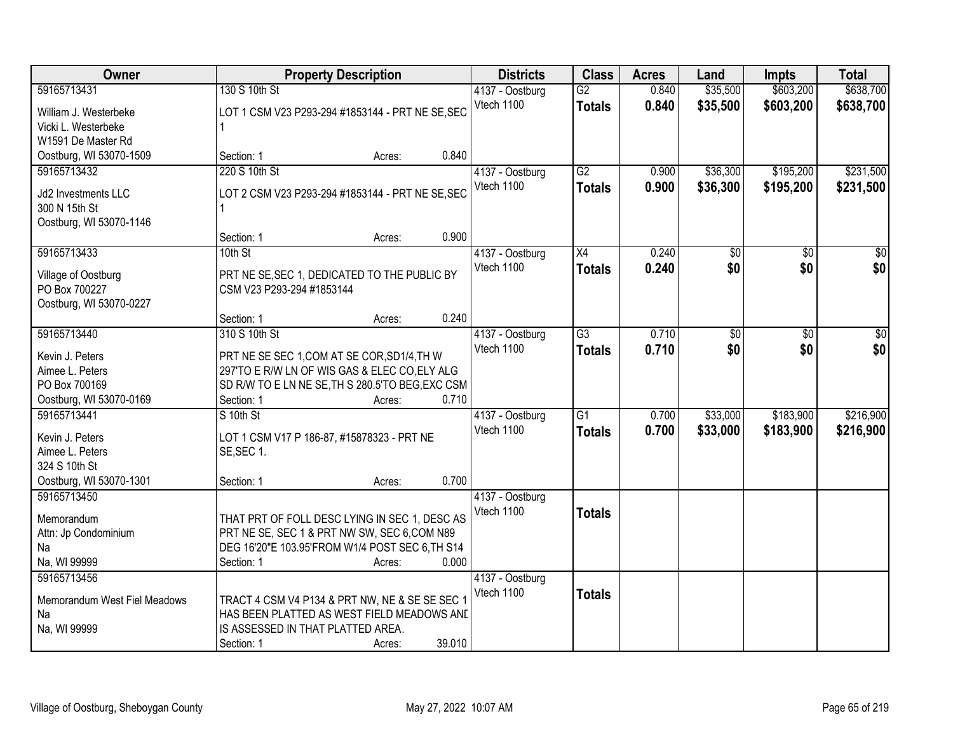| Owner                        |                                                  | <b>Property Description</b> |        | <b>Districts</b>              | <b>Class</b>    | <b>Acres</b> | Land            | <b>Impts</b>  | <b>Total</b>     |
|------------------------------|--------------------------------------------------|-----------------------------|--------|-------------------------------|-----------------|--------------|-----------------|---------------|------------------|
| 59165713431                  | 130 S 10th St                                    |                             |        | 4137 - Oostburg               | $\overline{G2}$ | 0.840        | \$35,500        | \$603,200     | \$638,700        |
| William J. Westerbeke        | LOT 1 CSM V23 P293-294 #1853144 - PRT NE SE, SEC |                             |        | Vtech 1100                    | <b>Totals</b>   | 0.840        | \$35,500        | \$603,200     | \$638,700        |
| Vicki L. Westerbeke          |                                                  |                             |        |                               |                 |              |                 |               |                  |
| W1591 De Master Rd           |                                                  |                             |        |                               |                 |              |                 |               |                  |
| Oostburg, WI 53070-1509      | Section: 1                                       | Acres:                      | 0.840  |                               |                 |              |                 |               |                  |
| 59165713432                  | 220 S 10th St                                    |                             |        | 4137 - Oostburg               | $\overline{G2}$ | 0.900        | \$36,300        | \$195,200     | \$231,500        |
|                              |                                                  |                             |        | Vtech 1100                    | <b>Totals</b>   | 0.900        | \$36,300        | \$195,200     | \$231,500        |
| Jd2 Investments LLC          | LOT 2 CSM V23 P293-294 #1853144 - PRT NE SE, SEC |                             |        |                               |                 |              |                 |               |                  |
| 300 N 15th St                |                                                  |                             |        |                               |                 |              |                 |               |                  |
| Oostburg, WI 53070-1146      |                                                  |                             | 0.900  |                               |                 |              |                 |               |                  |
| 59165713433                  | Section: 1<br>10th St                            | Acres:                      |        |                               |                 | 0.240        |                 |               | $\overline{\$0}$ |
|                              |                                                  |                             |        | 4137 - Oostburg<br>Vtech 1100 | X4              |              | $\overline{50}$ | \$0           |                  |
| Village of Oostburg          | PRT NE SE, SEC 1, DEDICATED TO THE PUBLIC BY     |                             |        |                               | <b>Totals</b>   | 0.240        | \$0             | \$0           | \$0              |
| PO Box 700227                | CSM V23 P293-294 #1853144                        |                             |        |                               |                 |              |                 |               |                  |
| Oostburg, WI 53070-0227      |                                                  |                             |        |                               |                 |              |                 |               |                  |
|                              | Section: 1                                       | Acres:                      | 0.240  |                               |                 |              |                 |               |                  |
| 59165713440                  | 310 S 10th St                                    |                             |        | 4137 - Oostburg               | $\overline{G3}$ | 0.710        | \$0             | $\sqrt[6]{3}$ | $\sqrt{50}$      |
| Kevin J. Peters              | PRT NE SE SEC 1, COM AT SE COR, SD1/4, TH W      |                             |        | Vtech 1100                    | <b>Totals</b>   | 0.710        | \$0             | \$0           | \$0              |
| Aimee L. Peters              | 297'TO E R/W LN OF WIS GAS & ELEC CO, ELY ALG    |                             |        |                               |                 |              |                 |               |                  |
| PO Box 700169                | SD R/W TO E LN NE SE, TH S 280.5'TO BEG, EXC CSM |                             |        |                               |                 |              |                 |               |                  |
| Oostburg, WI 53070-0169      | Section: 1                                       | Acres:                      | 0.710  |                               |                 |              |                 |               |                  |
| 59165713441                  | S 10th St                                        |                             |        | 4137 - Oostburg               | $\overline{G1}$ | 0.700        | \$33,000        | \$183,900     | \$216,900        |
|                              |                                                  |                             |        | Vtech 1100                    | <b>Totals</b>   | 0.700        | \$33,000        | \$183,900     | \$216,900        |
| Kevin J. Peters              | LOT 1 CSM V17 P 186-87, #15878323 - PRT NE       |                             |        |                               |                 |              |                 |               |                  |
| Aimee L. Peters              | SE, SEC 1.                                       |                             |        |                               |                 |              |                 |               |                  |
| 324 S 10th St                |                                                  |                             |        |                               |                 |              |                 |               |                  |
| Oostburg, WI 53070-1301      | Section: 1                                       | Acres:                      | 0.700  |                               |                 |              |                 |               |                  |
| 59165713450                  |                                                  |                             |        | 4137 - Oostburg               |                 |              |                 |               |                  |
| Memorandum                   | THAT PRT OF FOLL DESC LYING IN SEC 1, DESC AS    |                             |        | Vtech 1100                    | <b>Totals</b>   |              |                 |               |                  |
| Attn: Jp Condominium         | PRT NE SE, SEC 1 & PRT NW SW, SEC 6,COM N89      |                             |        |                               |                 |              |                 |               |                  |
| Na                           | DEG 16'20"E 103.95'FROM W1/4 POST SEC 6, TH S14  |                             |        |                               |                 |              |                 |               |                  |
| Na, WI 99999                 | Section: 1                                       | Acres:                      | 0.000  |                               |                 |              |                 |               |                  |
| 59165713456                  |                                                  |                             |        | 4137 - Oostburg               |                 |              |                 |               |                  |
| Memorandum West Fiel Meadows | TRACT 4 CSM V4 P134 & PRT NW, NE & SE SE SEC 1   |                             |        | Vtech 1100                    | <b>Totals</b>   |              |                 |               |                  |
| Na                           | HAS BEEN PLATTED AS WEST FIELD MEADOWS AND       |                             |        |                               |                 |              |                 |               |                  |
| Na, WI 99999                 | IS ASSESSED IN THAT PLATTED AREA.                |                             |        |                               |                 |              |                 |               |                  |
|                              | Section: 1                                       | Acres:                      | 39.010 |                               |                 |              |                 |               |                  |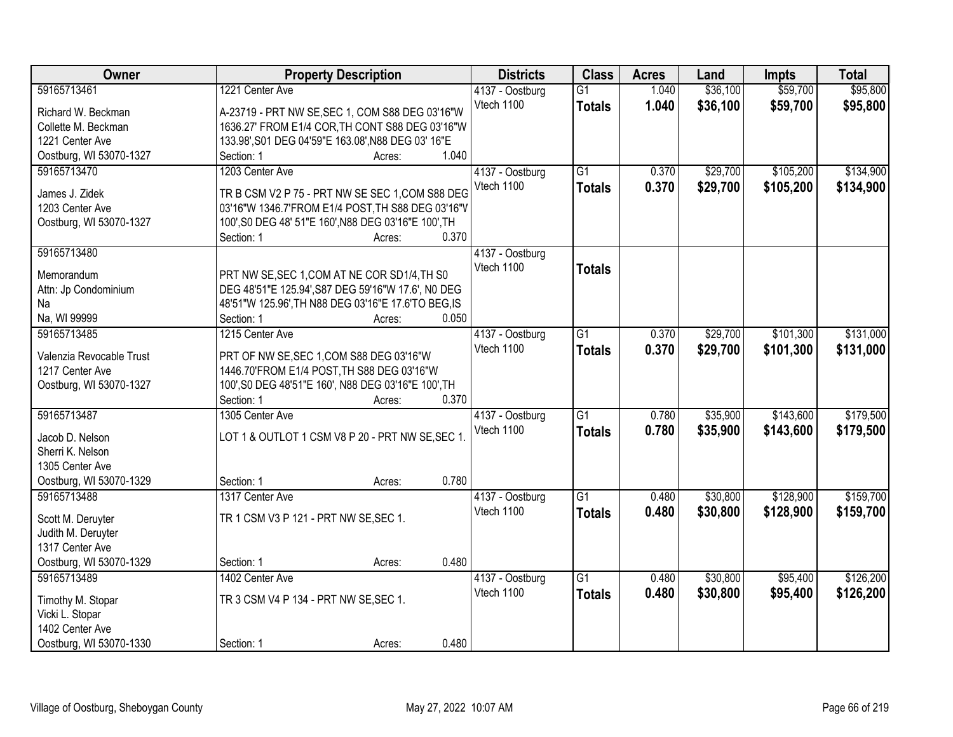| Owner                    | <b>Property Description</b>                          | <b>Districts</b> | <b>Class</b>    | <b>Acres</b> | Land     | <b>Impts</b> | <b>Total</b> |
|--------------------------|------------------------------------------------------|------------------|-----------------|--------------|----------|--------------|--------------|
| 59165713461              | 1221 Center Ave                                      | 4137 - Oostburg  | $\overline{G1}$ | 1.040        | \$36,100 | \$59,700     | \$95,800     |
| Richard W. Beckman       | A-23719 - PRT NW SE, SEC 1, COM S88 DEG 03'16"W      | Vtech 1100       | <b>Totals</b>   | 1.040        | \$36,100 | \$59,700     | \$95,800     |
| Collette M. Beckman      | 1636.27' FROM E1/4 COR, TH CONT S88 DEG 03'16"W      |                  |                 |              |          |              |              |
| 1221 Center Ave          | 133.98', S01 DEG 04'59"E 163.08', N88 DEG 03' 16"E   |                  |                 |              |          |              |              |
| Oostburg, WI 53070-1327  | 1.040<br>Section: 1<br>Acres:                        |                  |                 |              |          |              |              |
| 59165713470              | 1203 Center Ave                                      | 4137 - Oostburg  | $\overline{G1}$ | 0.370        | \$29,700 | \$105,200    | \$134,900    |
|                          |                                                      | Vtech 1100       | <b>Totals</b>   | 0.370        | \$29,700 | \$105,200    | \$134,900    |
| James J. Zidek           | TR B CSM V2 P 75 - PRT NW SE SEC 1, COM S88 DEG      |                  |                 |              |          |              |              |
| 1203 Center Ave          | 03'16"W 1346.7'FROM E1/4 POST, TH S88 DEG 03'16"V    |                  |                 |              |          |              |              |
| Oostburg, WI 53070-1327  | 100', S0 DEG 48' 51"E 160', N88 DEG 03'16"E 100', TH |                  |                 |              |          |              |              |
|                          | 0.370<br>Section: 1<br>Acres:                        |                  |                 |              |          |              |              |
| 59165713480              |                                                      | 4137 - Oostburg  |                 |              |          |              |              |
| Memorandum               | PRT NW SE, SEC 1, COM AT NE COR SD1/4, TH S0         | Vtech 1100       | <b>Totals</b>   |              |          |              |              |
| Attn: Jp Condominium     | DEG 48'51"E 125.94', S87 DEG 59'16"W 17.6', NO DEG   |                  |                 |              |          |              |              |
| Na                       | 48'51"W 125.96', TH N88 DEG 03'16"E 17.6'TO BEG, IS  |                  |                 |              |          |              |              |
| Na, WI 99999             | Section: 1<br>0.050<br>Acres:                        |                  |                 |              |          |              |              |
| 59165713485              | 1215 Center Ave                                      | 4137 - Oostburg  | G1              | 0.370        | \$29,700 | \$101,300    | \$131,000    |
|                          |                                                      | Vtech 1100       | <b>Totals</b>   | 0.370        | \$29,700 | \$101,300    | \$131,000    |
| Valenzia Revocable Trust | PRT OF NW SE, SEC 1, COM S88 DEG 03'16"W             |                  |                 |              |          |              |              |
| 1217 Center Ave          | 1446.70'FROM E1/4 POST, TH S88 DEG 03'16"W           |                  |                 |              |          |              |              |
| Oostburg, WI 53070-1327  | 100', S0 DEG 48'51"E 160', N88 DEG 03'16"E 100', TH  |                  |                 |              |          |              |              |
|                          | 0.370<br>Section: 1<br>Acres:                        |                  |                 |              |          |              |              |
| 59165713487              | 1305 Center Ave                                      | 4137 - Oostburg  | $\overline{G1}$ | 0.780        | \$35,900 | \$143,600    | \$179,500    |
| Jacob D. Nelson          | LOT 1 & OUTLOT 1 CSM V8 P 20 - PRT NW SE, SEC 1.     | Vtech 1100       | <b>Totals</b>   | 0.780        | \$35,900 | \$143,600    | \$179,500    |
| Sherri K. Nelson         |                                                      |                  |                 |              |          |              |              |
| 1305 Center Ave          |                                                      |                  |                 |              |          |              |              |
| Oostburg, WI 53070-1329  | 0.780<br>Section: 1<br>Acres:                        |                  |                 |              |          |              |              |
| 59165713488              | 1317 Center Ave                                      | 4137 - Oostburg  | $\overline{G1}$ | 0.480        | \$30,800 | \$128,900    | \$159,700    |
|                          |                                                      | Vtech 1100       | <b>Totals</b>   | 0.480        | \$30,800 | \$128,900    | \$159,700    |
| Scott M. Deruyter        | TR 1 CSM V3 P 121 - PRT NW SE, SEC 1.                |                  |                 |              |          |              |              |
| Judith M. Deruyter       |                                                      |                  |                 |              |          |              |              |
| 1317 Center Ave          |                                                      |                  |                 |              |          |              |              |
| Oostburg, WI 53070-1329  | 0.480<br>Section: 1<br>Acres:                        |                  |                 |              |          |              |              |
| 59165713489              | 1402 Center Ave                                      | 4137 - Oostburg  | $\overline{G1}$ | 0.480        | \$30,800 | \$95,400     | \$126,200    |
| Timothy M. Stopar        | TR 3 CSM V4 P 134 - PRT NW SE, SEC 1.                | Vtech 1100       | <b>Totals</b>   | 0.480        | \$30,800 | \$95,400     | \$126,200    |
| Vicki L. Stopar          |                                                      |                  |                 |              |          |              |              |
| 1402 Center Ave          |                                                      |                  |                 |              |          |              |              |
|                          | 0.480                                                |                  |                 |              |          |              |              |
| Oostburg, WI 53070-1330  | Section: 1<br>Acres:                                 |                  |                 |              |          |              |              |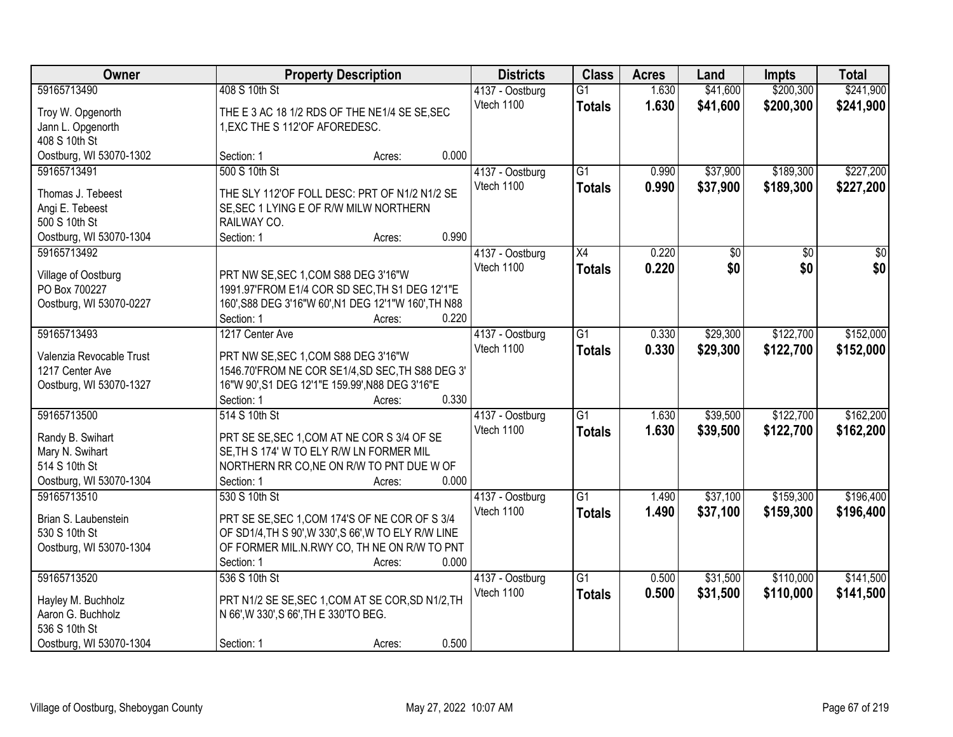| Owner                    | <b>Property Description</b>                          | <b>Districts</b> | <b>Class</b>    | <b>Acres</b>    | Land  | <b>Impts</b> | <b>Total</b>    |           |
|--------------------------|------------------------------------------------------|------------------|-----------------|-----------------|-------|--------------|-----------------|-----------|
| 59165713490              | 408 S 10th St                                        |                  | 4137 - Oostburg | $\overline{G1}$ | 1.630 | \$41,600     | \$200,300       | \$241,900 |
| Troy W. Opgenorth        | THE E 3 AC 18 1/2 RDS OF THE NE1/4 SE SE, SEC        |                  | Vtech 1100      | <b>Totals</b>   | 1.630 | \$41,600     | \$200,300       | \$241,900 |
| Jann L. Opgenorth        | 1, EXC THE S 112' OF AFOREDESC.                      |                  |                 |                 |       |              |                 |           |
| 408 S 10th St            |                                                      |                  |                 |                 |       |              |                 |           |
| Oostburg, WI 53070-1302  | Section: 1                                           | Acres:           | 0.000           |                 |       |              |                 |           |
| 59165713491              | 500 S 10th St                                        |                  | 4137 - Oostburg | $\overline{G1}$ | 0.990 | \$37,900     | \$189,300       | \$227,200 |
|                          |                                                      |                  | Vtech 1100      | <b>Totals</b>   | 0.990 | \$37,900     | \$189,300       | \$227,200 |
| Thomas J. Tebeest        | THE SLY 112'OF FOLL DESC: PRT OF N1/2 N1/2 SE        |                  |                 |                 |       |              |                 |           |
| Angi E. Tebeest          | SE, SEC 1 LYING E OF R/W MILW NORTHERN               |                  |                 |                 |       |              |                 |           |
| 500 S 10th St            | RAILWAY CO.                                          |                  |                 |                 |       |              |                 |           |
| Oostburg, WI 53070-1304  | Section: 1                                           | Acres:           | 0.990           |                 |       |              |                 |           |
| 59165713492              |                                                      |                  | 4137 - Oostburg | X4              | 0.220 | \$0          | $\overline{50}$ | \$0       |
| Village of Oostburg      | PRT NW SE, SEC 1, COM S88 DEG 3'16"W                 |                  | Vtech 1100      | <b>Totals</b>   | 0.220 | \$0          | \$0             | \$0       |
| PO Box 700227            | 1991.97'FROM E1/4 COR SD SEC, TH S1 DEG 12'1"E       |                  |                 |                 |       |              |                 |           |
| Oostburg, WI 53070-0227  | 160', S88 DEG 3'16"W 60', N1 DEG 12'1"W 160', TH N88 |                  |                 |                 |       |              |                 |           |
|                          | Section: 1                                           | Acres:           | 0.220           |                 |       |              |                 |           |
| 59165713493              | 1217 Center Ave                                      |                  | 4137 - Oostburg | $\overline{G1}$ | 0.330 | \$29,300     | \$122,700       | \$152,000 |
|                          |                                                      |                  | Vtech 1100      | <b>Totals</b>   | 0.330 | \$29,300     | \$122,700       | \$152,000 |
| Valenzia Revocable Trust | PRT NW SE, SEC 1, COM S88 DEG 3'16"W                 |                  |                 |                 |       |              |                 |           |
| 1217 Center Ave          | 1546.70'FROM NE COR SE1/4, SD SEC, TH S88 DEG 3'     |                  |                 |                 |       |              |                 |           |
| Oostburg, WI 53070-1327  | 16"W 90', S1 DEG 12'1"E 159.99', N88 DEG 3'16"E      |                  |                 |                 |       |              |                 |           |
|                          | Section: 1                                           | Acres:           | 0.330           |                 |       |              |                 |           |
| 59165713500              | 514 S 10th St                                        |                  | 4137 - Oostburg | $\overline{G1}$ | 1.630 | \$39,500     | \$122,700       | \$162,200 |
| Randy B. Swihart         | PRT SE SE, SEC 1, COM AT NE COR S 3/4 OF SE          |                  | Vtech 1100      | <b>Totals</b>   | 1.630 | \$39,500     | \$122,700       | \$162,200 |
| Mary N. Swihart          | SE, TH S 174' W TO ELY R/W LN FORMER MIL             |                  |                 |                 |       |              |                 |           |
| 514 S 10th St            | NORTHERN RR CO, NE ON R/W TO PNT DUE W OF            |                  |                 |                 |       |              |                 |           |
| Oostburg, WI 53070-1304  | Section: 1                                           | Acres:           | 0.000           |                 |       |              |                 |           |
| 59165713510              | 530 S 10th St                                        |                  | 4137 - Oostburg | $\overline{G1}$ | 1.490 | \$37,100     | \$159,300       | \$196,400 |
|                          |                                                      |                  | Vtech 1100      | <b>Totals</b>   | 1.490 | \$37,100     | \$159,300       | \$196,400 |
| Brian S. Laubenstein     | PRT SE SE, SEC 1, COM 174'S OF NE COR OF S 3/4       |                  |                 |                 |       |              |                 |           |
| 530 S 10th St            | OF SD1/4, TH S 90', W 330', S 66', W TO ELY R/W LINE |                  |                 |                 |       |              |                 |           |
| Oostburg, WI 53070-1304  | OF FORMER MIL.N.RWY CO, TH NE ON R/W TO PNT          |                  |                 |                 |       |              |                 |           |
|                          | Section: 1                                           | Acres:           | 0.000           |                 |       |              |                 |           |
| 59165713520              | 536 S 10th St                                        |                  | 4137 - Oostburg | $\overline{G1}$ | 0.500 | \$31,500     | \$110,000       | \$141,500 |
| Hayley M. Buchholz       | PRT N1/2 SE SE, SEC 1, COM AT SE COR, SD N1/2, TH    |                  | Vtech 1100      | <b>Totals</b>   | 0.500 | \$31,500     | \$110,000       | \$141,500 |
| Aaron G. Buchholz        | N 66', W 330', S 66', TH E 330'TO BEG.               |                  |                 |                 |       |              |                 |           |
| 536 S 10th St            |                                                      |                  |                 |                 |       |              |                 |           |
| Oostburg, WI 53070-1304  | Section: 1                                           | Acres:           | 0.500           |                 |       |              |                 |           |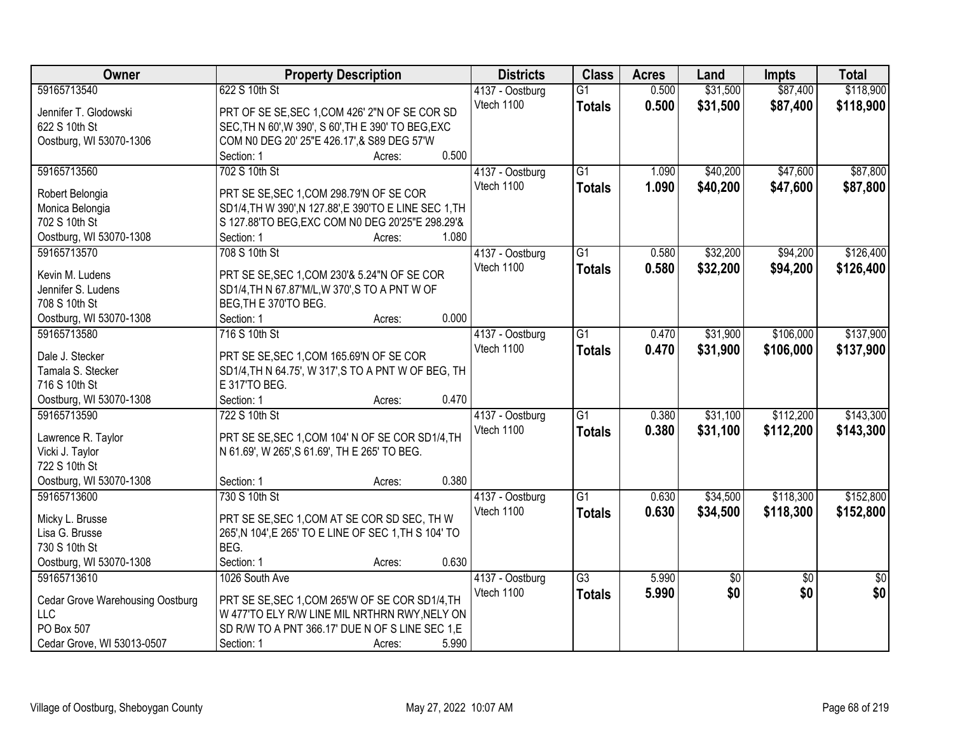| <b>Owner</b>                                   | <b>Property Description</b>                                                                      |       | <b>Districts</b> | <b>Class</b>    | <b>Acres</b> | Land     | <b>Impts</b>    | <b>Total</b>    |
|------------------------------------------------|--------------------------------------------------------------------------------------------------|-------|------------------|-----------------|--------------|----------|-----------------|-----------------|
| 59165713540                                    | 622 S 10th St                                                                                    |       | 4137 - Oostburg  | $\overline{G1}$ | 0.500        | \$31,500 | \$87,400        | \$118,900       |
| Jennifer T. Glodowski                          | PRT OF SE SE, SEC 1, COM 426' 2"N OF SE COR SD                                                   |       | Vtech 1100       | <b>Totals</b>   | 0.500        | \$31,500 | \$87,400        | \$118,900       |
| 622 S 10th St                                  | SEC, TH N 60', W 390', S 60', TH E 390' TO BEG, EXC                                              |       |                  |                 |              |          |                 |                 |
| Oostburg, WI 53070-1306                        | COM N0 DEG 20' 25"E 426.17', & S89 DEG 57'W                                                      |       |                  |                 |              |          |                 |                 |
|                                                | Section: 1<br>Acres:                                                                             | 0.500 |                  |                 |              |          |                 |                 |
| 59165713560                                    | 702 S 10th St                                                                                    |       | 4137 - Oostburg  | $\overline{G1}$ | 1.090        | \$40,200 | \$47,600        | \$87,800        |
|                                                |                                                                                                  |       | Vtech 1100       | <b>Totals</b>   | 1.090        | \$40,200 | \$47,600        | \$87,800        |
| Robert Belongia                                | PRT SE SE, SEC 1, COM 298.79'N OF SE COR                                                         |       |                  |                 |              |          |                 |                 |
| Monica Belongia                                | SD1/4, TH W 390', N 127.88', E 390'TO E LINE SEC 1, TH                                           |       |                  |                 |              |          |                 |                 |
| 702 S 10th St                                  | S 127.88'TO BEG, EXC COM N0 DEG 20'25"E 298.29'&                                                 |       |                  |                 |              |          |                 |                 |
| Oostburg, WI 53070-1308                        | Section: 1<br>Acres:                                                                             | 1.080 |                  |                 |              |          |                 |                 |
| 59165713570                                    | 708 S 10th St                                                                                    |       | 4137 - Oostburg  | $\overline{G1}$ | 0.580        | \$32,200 | \$94,200        | \$126,400       |
| Kevin M. Ludens                                | PRT SE SE, SEC 1, COM 230'& 5.24"N OF SE COR                                                     |       | Vtech 1100       | <b>Totals</b>   | 0.580        | \$32,200 | \$94,200        | \$126,400       |
| Jennifer S. Ludens                             | SD1/4, TH N 67.87'M/L, W 370', S TO A PNT W OF                                                   |       |                  |                 |              |          |                 |                 |
| 708 S 10th St                                  | BEG, TH E 370'TO BEG.                                                                            |       |                  |                 |              |          |                 |                 |
| Oostburg, WI 53070-1308                        | Section: 1<br>Acres:                                                                             | 0.000 |                  |                 |              |          |                 |                 |
| 59165713580                                    | 716 S 10th St                                                                                    |       | 4137 - Oostburg  | G1              | 0.470        | \$31,900 | \$106,000       | \$137,900       |
|                                                |                                                                                                  |       | Vtech 1100       | <b>Totals</b>   | 0.470        | \$31,900 | \$106,000       | \$137,900       |
| Dale J. Stecker                                | PRT SE SE, SEC 1, COM 165.69'N OF SE COR                                                         |       |                  |                 |              |          |                 |                 |
| Tamala S. Stecker                              | SD1/4, TH N 64.75', W 317', S TO A PNT W OF BEG, TH                                              |       |                  |                 |              |          |                 |                 |
| 716 S 10th St                                  | E 317'TO BEG.                                                                                    |       |                  |                 |              |          |                 |                 |
| Oostburg, WI 53070-1308                        | Section: 1<br>Acres:                                                                             | 0.470 |                  |                 |              |          |                 |                 |
| 59165713590                                    | 722 S 10th St                                                                                    |       | 4137 - Oostburg  | $\overline{G1}$ | 0.380        | \$31,100 | \$112,200       | \$143,300       |
| Lawrence R. Taylor                             | PRT SE SE, SEC 1, COM 104' N OF SE COR SD1/4, TH                                                 |       | Vtech 1100       | <b>Totals</b>   | 0.380        | \$31,100 | \$112,200       | \$143,300       |
| Vicki J. Taylor                                | N 61.69', W 265', S 61.69', TH E 265' TO BEG.                                                    |       |                  |                 |              |          |                 |                 |
| 722 S 10th St                                  |                                                                                                  |       |                  |                 |              |          |                 |                 |
| Oostburg, WI 53070-1308                        | Section: 1<br>Acres:                                                                             | 0.380 |                  |                 |              |          |                 |                 |
| 59165713600                                    | 730 S 10th St                                                                                    |       | 4137 - Oostburg  | $\overline{G1}$ | 0.630        | \$34,500 | \$118,300       | \$152,800       |
|                                                |                                                                                                  |       | Vtech 1100       |                 |              |          |                 |                 |
| Micky L. Brusse                                | PRT SE SE, SEC 1, COM AT SE COR SD SEC, TH W                                                     |       |                  | <b>Totals</b>   | 0.630        | \$34,500 | \$118,300       | \$152,800       |
| Lisa G. Brusse                                 | 265', N 104', E 265' TO E LINE OF SEC 1, TH S 104' TO                                            |       |                  |                 |              |          |                 |                 |
| 730 S 10th St                                  | BEG.                                                                                             |       |                  |                 |              |          |                 |                 |
| Oostburg, WI 53070-1308                        | Section: 1<br>Acres:                                                                             | 0.630 |                  |                 |              |          |                 |                 |
| 59165713610                                    | 1026 South Ave                                                                                   |       | 4137 - Oostburg  | $\overline{G3}$ | 5.990        | \$0      | $\overline{30}$ | $\overline{50}$ |
|                                                |                                                                                                  |       | Vtech 1100       | <b>Totals</b>   | 5.990        | \$0      | \$0             | \$0             |
| <b>Cedar Grove Warehousing Oostburg</b><br>LLC | PRT SE SE, SEC 1, COM 265'W OF SE COR SD1/4, TH<br>W 477'TO ELY R/W LINE MIL NRTHRN RWY, NELY ON |       |                  |                 |              |          |                 |                 |
| PO Box 507                                     |                                                                                                  |       |                  |                 |              |          |                 |                 |
|                                                | SD R/W TO A PNT 366.17' DUE N OF S LINE SEC 1,E                                                  |       |                  |                 |              |          |                 |                 |
| Cedar Grove, WI 53013-0507                     | Section: 1<br>Acres:                                                                             | 5.990 |                  |                 |              |          |                 |                 |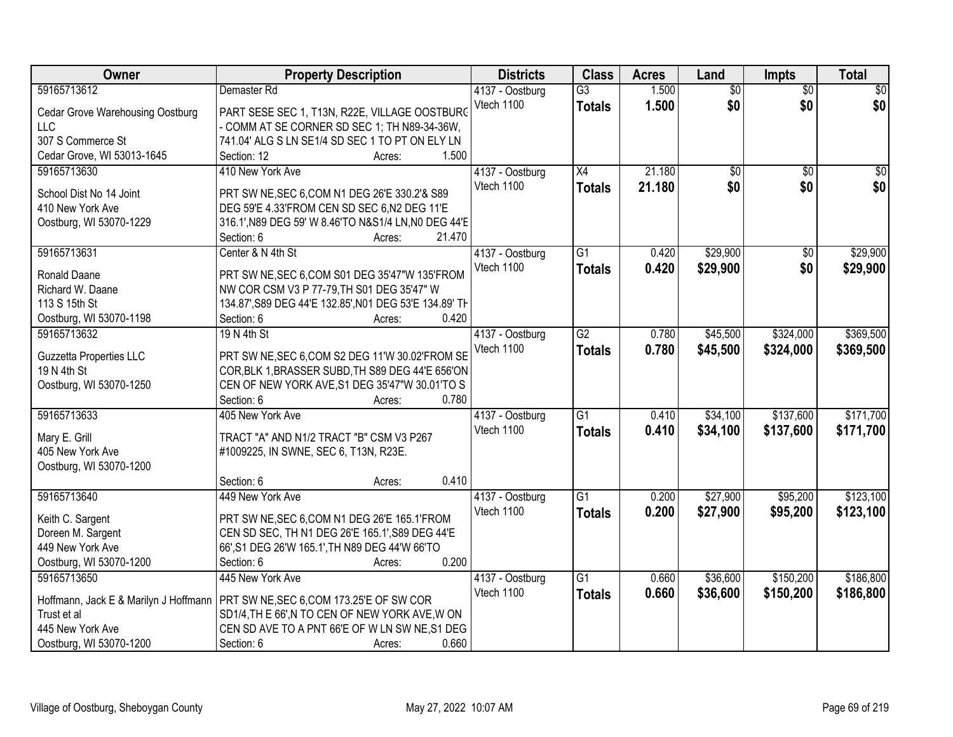| Owner                                   | <b>Property Description</b>                            | <b>Districts</b> | <b>Class</b>    | <b>Acres</b> | Land            | <b>Impts</b>    | <b>Total</b>    |
|-----------------------------------------|--------------------------------------------------------|------------------|-----------------|--------------|-----------------|-----------------|-----------------|
| 59165713612                             | Demaster Rd                                            | 4137 - Oostburg  | $\overline{G3}$ | 1.500        | $\overline{50}$ | $\overline{50}$ | $\overline{30}$ |
| <b>Cedar Grove Warehousing Oostburg</b> | PART SESE SEC 1, T13N, R22E, VILLAGE OOSTBURG          | Vtech 1100       | <b>Totals</b>   | 1.500        | \$0             | \$0             | \$0             |
| <b>LLC</b>                              | - COMM AT SE CORNER SD SEC 1; TH N89-34-36W,           |                  |                 |              |                 |                 |                 |
| 307 S Commerce St                       | 741.04' ALG S LN SE1/4 SD SEC 1 TO PT ON ELY LN        |                  |                 |              |                 |                 |                 |
| Cedar Grove, WI 53013-1645              | 1.500<br>Section: 12<br>Acres:                         |                  |                 |              |                 |                 |                 |
| 59165713630                             | 410 New York Ave                                       | 4137 - Oostburg  | X4              | 21.180       | $\overline{50}$ | $\overline{50}$ | $\sqrt{50}$     |
|                                         |                                                        | Vtech 1100       | <b>Totals</b>   | 21.180       | \$0             | \$0             | \$0             |
| School Dist No 14 Joint                 | PRT SW NE, SEC 6, COM N1 DEG 26'E 330.2'& S89          |                  |                 |              |                 |                 |                 |
| 410 New York Ave                        | DEG 59'E 4.33'FROM CEN SD SEC 6,N2 DEG 11'E            |                  |                 |              |                 |                 |                 |
| Oostburg, WI 53070-1229                 | 316.1', N89 DEG 59' W 8.46'TO N&S1/4 LN, N0 DEG 44'E   |                  |                 |              |                 |                 |                 |
|                                         | 21.470<br>Section: 6<br>Acres:                         |                  |                 |              |                 |                 |                 |
| 59165713631                             | Center & N 4th St                                      | 4137 - Oostburg  | $\overline{G1}$ | 0.420        | \$29,900        | $\overline{50}$ | \$29,900        |
| Ronald Daane                            | PRT SW NE, SEC 6, COM S01 DEG 35'47"W 135'FROM         | Vtech 1100       | <b>Totals</b>   | 0.420        | \$29,900        | \$0             | \$29,900        |
| Richard W. Daane                        | NW COR CSM V3 P 77-79, TH S01 DEG 35'47" W             |                  |                 |              |                 |                 |                 |
| 113 S 15th St                           | 134.87', S89 DEG 44'E 132.85', N01 DEG 53'E 134.89' TH |                  |                 |              |                 |                 |                 |
| Oostburg, WI 53070-1198                 | 0.420<br>Section: 6<br>Acres:                          |                  |                 |              |                 |                 |                 |
| 59165713632                             | 19 N 4th St                                            | 4137 - Oostburg  | $\overline{G2}$ | 0.780        | \$45,500        | \$324,000       | \$369,500       |
|                                         |                                                        | Vtech 1100       | <b>Totals</b>   | 0.780        | \$45,500        | \$324,000       | \$369,500       |
| <b>Guzzetta Properties LLC</b>          | PRT SW NE, SEC 6, COM S2 DEG 11'W 30.02'FROM SE        |                  |                 |              |                 |                 |                 |
| 19 N 4th St                             | COR, BLK 1, BRASSER SUBD, TH S89 DEG 44'E 656'ON       |                  |                 |              |                 |                 |                 |
| Oostburg, WI 53070-1250                 | CEN OF NEW YORK AVE, S1 DEG 35'47"W 30.01'TO S         |                  |                 |              |                 |                 |                 |
|                                         | 0.780<br>Section: 6<br>Acres:                          |                  |                 |              |                 |                 |                 |
| 59165713633                             | 405 New York Ave                                       | 4137 - Oostburg  | $\overline{G1}$ | 0.410        | \$34,100        | \$137,600       | \$171,700       |
| Mary E. Grill                           | TRACT "A" AND N1/2 TRACT "B" CSM V3 P267               | Vtech 1100       | <b>Totals</b>   | 0.410        | \$34,100        | \$137,600       | \$171,700       |
| 405 New York Ave                        | #1009225, IN SWNE, SEC 6, T13N, R23E.                  |                  |                 |              |                 |                 |                 |
| Oostburg, WI 53070-1200                 |                                                        |                  |                 |              |                 |                 |                 |
|                                         | 0.410<br>Section: 6<br>Acres:                          |                  |                 |              |                 |                 |                 |
| 59165713640                             | 449 New York Ave                                       | 4137 - Oostburg  | $\overline{G1}$ | 0.200        | \$27,900        | \$95,200        | \$123,100       |
| Keith C. Sargent                        | PRT SW NE, SEC 6, COM N1 DEG 26'E 165.1'FROM           | Vtech 1100       | <b>Totals</b>   | 0.200        | \$27,900        | \$95,200        | \$123,100       |
| Doreen M. Sargent                       | CEN SD SEC, TH N1 DEG 26'E 165.1', S89 DEG 44'E        |                  |                 |              |                 |                 |                 |
| 449 New York Ave                        | 66', S1 DEG 26'W 165.1', TH N89 DEG 44'W 66'TO         |                  |                 |              |                 |                 |                 |
| Oostburg, WI 53070-1200                 | 0.200<br>Section: 6<br>Acres:                          |                  |                 |              |                 |                 |                 |
| 59165713650                             | 445 New York Ave                                       | 4137 - Oostburg  | $\overline{G1}$ | 0.660        | \$36,600        | \$150,200       | \$186,800       |
|                                         |                                                        | Vtech 1100       |                 |              |                 |                 |                 |
| Hoffmann, Jack E & Marilyn J Hoffmann   | PRT SW NE, SEC 6, COM 173.25'E OF SW COR               |                  | <b>Totals</b>   | 0.660        | \$36,600        | \$150,200       | \$186,800       |
| Trust et al                             | SD1/4, TH E 66', N TO CEN OF NEW YORK AVE, W ON        |                  |                 |              |                 |                 |                 |
| 445 New York Ave                        | CEN SD AVE TO A PNT 66'E OF W LN SW NE, S1 DEG         |                  |                 |              |                 |                 |                 |
| Oostburg, WI 53070-1200                 | 0.660<br>Section: 6<br>Acres:                          |                  |                 |              |                 |                 |                 |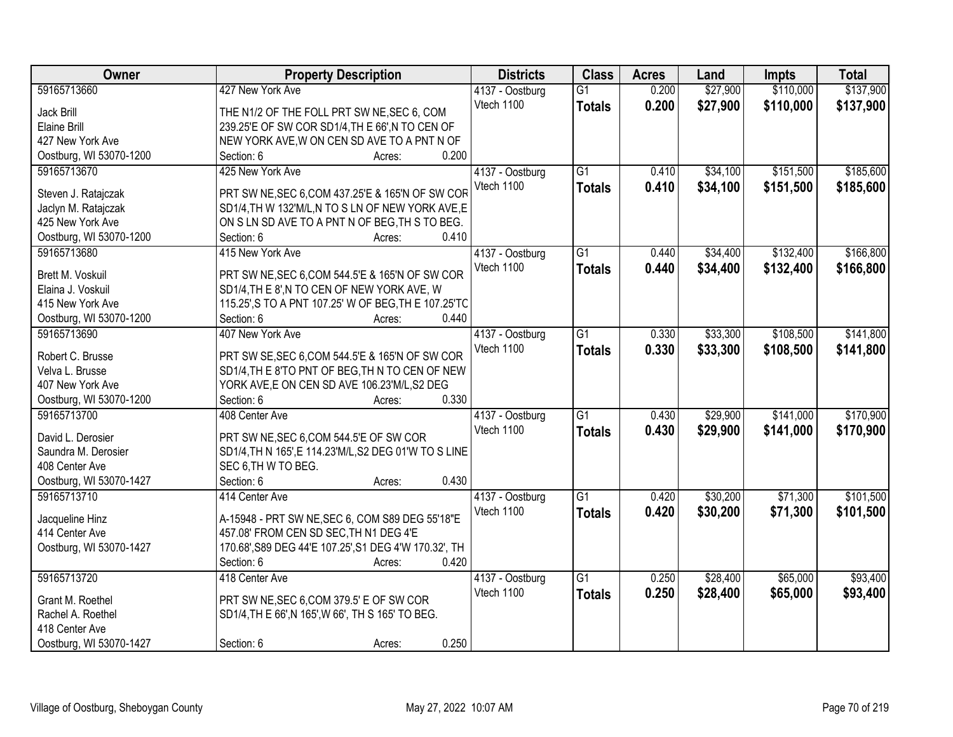| Owner                   | <b>Property Description</b>                            | <b>Districts</b>              | <b>Class</b>    | <b>Acres</b> | Land     | <b>Impts</b> | <b>Total</b> |
|-------------------------|--------------------------------------------------------|-------------------------------|-----------------|--------------|----------|--------------|--------------|
| 59165713660             | 427 New York Ave                                       | 4137 - Oostburg               | $\overline{G1}$ | 0.200        | \$27,900 | \$110,000    | \$137,900    |
| Jack Brill              | THE N1/2 OF THE FOLL PRT SW NE, SEC 6, COM             | Vtech 1100                    | <b>Totals</b>   | 0.200        | \$27,900 | \$110,000    | \$137,900    |
| <b>Elaine Brill</b>     | 239.25'E OF SW COR SD1/4, TH E 66', N TO CEN OF        |                               |                 |              |          |              |              |
| 427 New York Ave        | NEW YORK AVE, W ON CEN SD AVE TO A PNT N OF            |                               |                 |              |          |              |              |
| Oostburg, WI 53070-1200 | 0.200<br>Section: 6<br>Acres:                          |                               |                 |              |          |              |              |
| 59165713670             | 425 New York Ave                                       | 4137 - Oostburg               | $\overline{G1}$ | 0.410        | \$34,100 | \$151,500    | \$185,600    |
|                         |                                                        | Vtech 1100                    | <b>Totals</b>   | 0.410        | \$34,100 | \$151,500    | \$185,600    |
| Steven J. Ratajczak     | PRT SW NE, SEC 6, COM 437.25'E & 165'N OF SW COR       |                               |                 |              |          |              |              |
| Jaclyn M. Ratajczak     | SD1/4, TH W 132'M/L, N TO S LN OF NEW YORK AVE, E      |                               |                 |              |          |              |              |
| 425 New York Ave        | ON S LN SD AVE TO A PNT N OF BEG, TH S TO BEG.         |                               |                 |              |          |              |              |
| Oostburg, WI 53070-1200 | 0.410<br>Section: 6<br>Acres:                          |                               |                 |              |          |              |              |
| 59165713680             | 415 New York Ave                                       | 4137 - Oostburg               | $\overline{G1}$ | 0.440        | \$34,400 | \$132,400    | \$166,800    |
| Brett M. Voskuil        | PRT SW NE, SEC 6, COM 544.5'E & 165'N OF SW COR        | Vtech 1100                    | <b>Totals</b>   | 0.440        | \$34,400 | \$132,400    | \$166,800    |
| Elaina J. Voskuil       | SD1/4, TH E 8', N TO CEN OF NEW YORK AVE, W            |                               |                 |              |          |              |              |
| 415 New York Ave        | 115.25', S TO A PNT 107.25' W OF BEG, TH E 107.25'TC   |                               |                 |              |          |              |              |
| Oostburg, WI 53070-1200 | Section: 6<br>0.440<br>Acres:                          |                               |                 |              |          |              |              |
| 59165713690             | 407 New York Ave                                       | 4137 - Oostburg               | $\overline{G1}$ | 0.330        | \$33,300 | \$108,500    | \$141,800    |
|                         |                                                        | Vtech 1100                    | <b>Totals</b>   | 0.330        | \$33,300 | \$108,500    | \$141,800    |
| Robert C. Brusse        | PRT SW SE, SEC 6, COM 544.5'E & 165'N OF SW COR        |                               |                 |              |          |              |              |
| Velva L. Brusse         | SD1/4, TH E 8'TO PNT OF BEG, TH N TO CEN OF NEW        |                               |                 |              |          |              |              |
| 407 New York Ave        | YORK AVE, E ON CEN SD AVE 106.23'M/L, S2 DEG           |                               |                 |              |          |              |              |
| Oostburg, WI 53070-1200 | 0.330<br>Section: 6<br>Acres:                          |                               |                 |              |          |              |              |
| 59165713700             | 408 Center Ave                                         | 4137 - Oostburg               | $\overline{G1}$ | 0.430        | \$29,900 | \$141,000    | \$170,900    |
| David L. Derosier       | PRT SW NE, SEC 6, COM 544.5'E OF SW COR                | Vtech 1100                    | <b>Totals</b>   | 0.430        | \$29,900 | \$141,000    | \$170,900    |
| Saundra M. Derosier     | SD1/4, TH N 165', E 114.23' M/L, S2 DEG 01'W TO S LINE |                               |                 |              |          |              |              |
| 408 Center Ave          | SEC 6, TH W TO BEG.                                    |                               |                 |              |          |              |              |
| Oostburg, WI 53070-1427 | 0.430<br>Section: 6<br>Acres:                          |                               |                 |              |          |              |              |
| 59165713710             | 414 Center Ave                                         |                               | $\overline{G1}$ | 0.420        | \$30,200 | \$71,300     | \$101,500    |
|                         |                                                        | 4137 - Oostburg<br>Vtech 1100 |                 |              |          |              |              |
| Jacqueline Hinz         | A-15948 - PRT SW NE, SEC 6, COM S89 DEG 55'18"E        |                               | <b>Totals</b>   | 0.420        | \$30,200 | \$71,300     | \$101,500    |
| 414 Center Ave          | 457.08' FROM CEN SD SEC, TH N1 DEG 4'E                 |                               |                 |              |          |              |              |
| Oostburg, WI 53070-1427 | 170.68', S89 DEG 44'E 107.25', S1 DEG 4'W 170.32', TH  |                               |                 |              |          |              |              |
|                         | 0.420<br>Section: 6<br>Acres:                          |                               |                 |              |          |              |              |
| 59165713720             | 418 Center Ave                                         | 4137 - Oostburg               | $\overline{G1}$ | 0.250        | \$28,400 | \$65,000     | \$93,400     |
|                         |                                                        | Vtech 1100                    | <b>Totals</b>   | 0.250        | \$28,400 | \$65,000     | \$93,400     |
| Grant M. Roethel        | PRT SW NE, SEC 6, COM 379.5' E OF SW COR               |                               |                 |              |          |              |              |
| Rachel A. Roethel       | SD1/4, TH E 66', N 165', W 66', TH S 165' TO BEG.      |                               |                 |              |          |              |              |
| 418 Center Ave          |                                                        |                               |                 |              |          |              |              |
| Oostburg, WI 53070-1427 | 0.250<br>Section: 6<br>Acres:                          |                               |                 |              |          |              |              |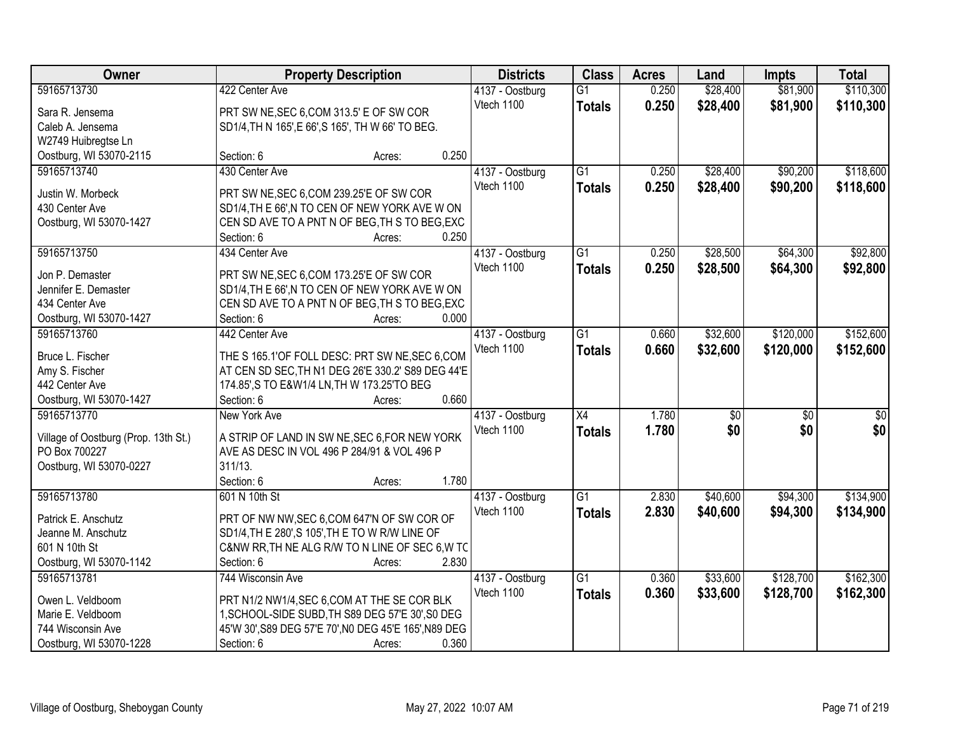| Owner                                | <b>Property Description</b>                                                                          |                 | <b>Districts</b> | <b>Class</b>    | <b>Acres</b> | Land            | <b>Impts</b>    | <b>Total</b>     |
|--------------------------------------|------------------------------------------------------------------------------------------------------|-----------------|------------------|-----------------|--------------|-----------------|-----------------|------------------|
| 59165713730                          | 422 Center Ave                                                                                       |                 | 4137 - Oostburg  | $\overline{G1}$ | 0.250        | \$28,400        | \$81,900        | \$110,300        |
| Sara R. Jensema                      | PRT SW NE, SEC 6, COM 313.5' E OF SW COR                                                             |                 | Vtech 1100       | <b>Totals</b>   | 0.250        | \$28,400        | \$81,900        | \$110,300        |
| Caleb A. Jensema                     | SD1/4, TH N 165', E 66', S 165', TH W 66' TO BEG.                                                    |                 |                  |                 |              |                 |                 |                  |
| W2749 Huibregtse Ln                  |                                                                                                      |                 |                  |                 |              |                 |                 |                  |
| Oostburg, WI 53070-2115              | Section: 6                                                                                           | 0.250<br>Acres: |                  |                 |              |                 |                 |                  |
| 59165713740                          | 430 Center Ave                                                                                       |                 | 4137 - Oostburg  | $\overline{G1}$ | 0.250        | \$28,400        | \$90,200        | \$118,600        |
|                                      |                                                                                                      |                 | Vtech 1100       | <b>Totals</b>   | 0.250        | \$28,400        | \$90,200        | \$118,600        |
| Justin W. Morbeck                    | PRT SW NE, SEC 6, COM 239.25'E OF SW COR                                                             |                 |                  |                 |              |                 |                 |                  |
| 430 Center Ave                       | SD1/4, TH E 66', N TO CEN OF NEW YORK AVE W ON                                                       |                 |                  |                 |              |                 |                 |                  |
| Oostburg, WI 53070-1427              | CEN SD AVE TO A PNT N OF BEG, TH S TO BEG, EXC                                                       | 0.250           |                  |                 |              |                 |                 |                  |
|                                      | Section: 6                                                                                           | Acres:          |                  |                 |              |                 |                 |                  |
| 59165713750                          | 434 Center Ave                                                                                       |                 | 4137 - Oostburg  | $\overline{G1}$ | 0.250        | \$28,500        | \$64,300        | \$92,800         |
| Jon P. Demaster                      | PRT SW NE, SEC 6, COM 173.25'E OF SW COR                                                             |                 | Vtech 1100       | <b>Totals</b>   | 0.250        | \$28,500        | \$64,300        | \$92,800         |
| Jennifer E. Demaster                 | SD1/4, TH E 66', N TO CEN OF NEW YORK AVE W ON                                                       |                 |                  |                 |              |                 |                 |                  |
| 434 Center Ave                       | CEN SD AVE TO A PNT N OF BEG, TH S TO BEG, EXC                                                       |                 |                  |                 |              |                 |                 |                  |
| Oostburg, WI 53070-1427              | Section: 6                                                                                           | 0.000<br>Acres: |                  |                 |              |                 |                 |                  |
| 59165713760                          | 442 Center Ave                                                                                       |                 | 4137 - Oostburg  | $\overline{G1}$ | 0.660        | \$32,600        | \$120,000       | \$152,600        |
|                                      |                                                                                                      |                 | Vtech 1100       | <b>Totals</b>   | 0.660        | \$32,600        | \$120,000       | \$152,600        |
| Bruce L. Fischer<br>Amy S. Fischer   | THE S 165.1'OF FOLL DESC: PRT SW NE, SEC 6, COM<br>AT CEN SD SEC, TH N1 DEG 26'E 330.2' S89 DEG 44'E |                 |                  |                 |              |                 |                 |                  |
| 442 Center Ave                       | 174.85', S TO E&W1/4 LN, TH W 173.25'TO BEG                                                          |                 |                  |                 |              |                 |                 |                  |
| Oostburg, WI 53070-1427              | Section: 6                                                                                           | 0.660<br>Acres: |                  |                 |              |                 |                 |                  |
| 59165713770                          | New York Ave                                                                                         |                 | 4137 - Oostburg  | $\overline{X4}$ | 1.780        | $\overline{50}$ | $\overline{50}$ | $\overline{\$0}$ |
|                                      |                                                                                                      |                 | Vtech 1100       | <b>Totals</b>   | 1.780        | \$0             | \$0             | \$0              |
| Village of Oostburg (Prop. 13th St.) | A STRIP OF LAND IN SW NE, SEC 6, FOR NEW YORK                                                        |                 |                  |                 |              |                 |                 |                  |
| PO Box 700227                        | AVE AS DESC IN VOL 496 P 284/91 & VOL 496 P                                                          |                 |                  |                 |              |                 |                 |                  |
| Oostburg, WI 53070-0227              | 311/13.                                                                                              |                 |                  |                 |              |                 |                 |                  |
|                                      | Section: 6                                                                                           | 1.780<br>Acres: |                  |                 |              |                 |                 |                  |
| 59165713780                          | 601 N 10th St                                                                                        |                 | 4137 - Oostburg  | $\overline{G1}$ | 2.830        | \$40,600        | \$94,300        | \$134,900        |
| Patrick E. Anschutz                  | PRT OF NW NW, SEC 6, COM 647'N OF SW COR OF                                                          |                 | Vtech 1100       | <b>Totals</b>   | 2.830        | \$40,600        | \$94,300        | \$134,900        |
| Jeanne M. Anschutz                   | SD1/4, TH E 280', S 105', TH E TO W R/W LINE OF                                                      |                 |                  |                 |              |                 |                 |                  |
| 601 N 10th St                        | C&NW RR, TH NE ALG R/W TO N LINE OF SEC 6, W TC                                                      |                 |                  |                 |              |                 |                 |                  |
| Oostburg, WI 53070-1142              | Section: 6                                                                                           | 2.830<br>Acres: |                  |                 |              |                 |                 |                  |
| 59165713781                          | 744 Wisconsin Ave                                                                                    |                 | 4137 - Oostburg  | $\overline{G1}$ | 0.360        | \$33,600        | \$128,700       | \$162,300        |
|                                      |                                                                                                      |                 | Vtech 1100       | <b>Totals</b>   | 0.360        | \$33,600        | \$128,700       | \$162,300        |
| Owen L. Veldboom                     | PRT N1/2 NW1/4, SEC 6, COM AT THE SE COR BLK                                                         |                 |                  |                 |              |                 |                 |                  |
| Marie E. Veldboom                    | 1, SCHOOL-SIDE SUBD, TH S89 DEG 57'E 30', S0 DEG                                                     |                 |                  |                 |              |                 |                 |                  |
| 744 Wisconsin Ave                    | 45'W 30', S89 DEG 57'E 70', N0 DEG 45'E 165', N89 DEG                                                |                 |                  |                 |              |                 |                 |                  |
| Oostburg, WI 53070-1228              | Section: 6                                                                                           | 0.360<br>Acres: |                  |                 |              |                 |                 |                  |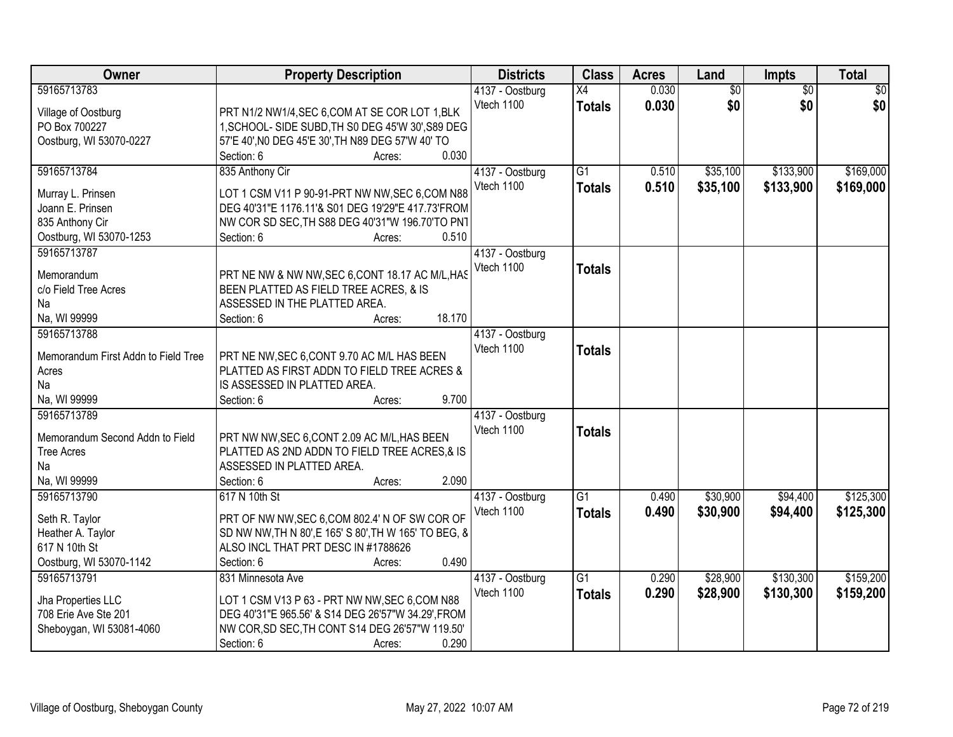| <b>Owner</b>                               | <b>Property Description</b>                                                                          | <b>Districts</b> | <b>Class</b>    | <b>Acres</b> | Land            | <b>Impts</b>    | <b>Total</b> |
|--------------------------------------------|------------------------------------------------------------------------------------------------------|------------------|-----------------|--------------|-----------------|-----------------|--------------|
| 59165713783                                |                                                                                                      | 4137 - Oostburg  | X4              | 0.030        | $\overline{50}$ | $\overline{50}$ | \$0          |
| Village of Oostburg                        | PRT N1/2 NW1/4, SEC 6, COM AT SE COR LOT 1, BLK                                                      | Vtech 1100       | <b>Totals</b>   | 0.030        | \$0             | \$0             | \$0          |
| PO Box 700227                              | 1, SCHOOL- SIDE SUBD, TH S0 DEG 45'W 30', S89 DEG                                                    |                  |                 |              |                 |                 |              |
| Oostburg, WI 53070-0227                    | 57'E 40', N0 DEG 45'E 30', TH N89 DEG 57'W 40' TO                                                    |                  |                 |              |                 |                 |              |
|                                            | 0.030<br>Section: 6<br>Acres:                                                                        |                  |                 |              |                 |                 |              |
| 59165713784                                | 835 Anthony Cir                                                                                      | 4137 - Oostburg  | $\overline{G1}$ | 0.510        | \$35,100        | \$133,900       | \$169,000    |
|                                            |                                                                                                      | Vtech 1100       | <b>Totals</b>   | 0.510        | \$35,100        | \$133,900       | \$169,000    |
| Murray L. Prinsen                          | LOT 1 CSM V11 P 90-91-PRT NW NW, SEC 6, COM N88                                                      |                  |                 |              |                 |                 |              |
| Joann E. Prinsen                           | DEG 40'31"E 1176.11'& S01 DEG 19'29"E 417.73'FROM                                                    |                  |                 |              |                 |                 |              |
| 835 Anthony Cir                            | NW COR SD SEC, TH S88 DEG 40'31"W 196.70'TO PN1                                                      |                  |                 |              |                 |                 |              |
| Oostburg, WI 53070-1253                    | 0.510<br>Section: 6<br>Acres:                                                                        |                  |                 |              |                 |                 |              |
| 59165713787                                |                                                                                                      | 4137 - Oostburg  |                 |              |                 |                 |              |
| Memorandum                                 | PRT NE NW & NW NW, SEC 6, CONT 18.17 AC M/L, HAS                                                     | Vtech 1100       | <b>Totals</b>   |              |                 |                 |              |
| c/o Field Tree Acres                       | BEEN PLATTED AS FIELD TREE ACRES, & IS                                                               |                  |                 |              |                 |                 |              |
| Na                                         | ASSESSED IN THE PLATTED AREA.                                                                        |                  |                 |              |                 |                 |              |
| Na, WI 99999                               | 18.170<br>Section: 6<br>Acres:                                                                       |                  |                 |              |                 |                 |              |
| 59165713788                                |                                                                                                      | 4137 - Oostburg  |                 |              |                 |                 |              |
|                                            |                                                                                                      | Vtech 1100       |                 |              |                 |                 |              |
| Memorandum First Addn to Field Tree        | PRT NE NW, SEC 6, CONT 9.70 AC M/L HAS BEEN                                                          |                  | <b>Totals</b>   |              |                 |                 |              |
| Acres                                      | PLATTED AS FIRST ADDN TO FIELD TREE ACRES &                                                          |                  |                 |              |                 |                 |              |
| Na                                         | IS ASSESSED IN PLATTED AREA.                                                                         |                  |                 |              |                 |                 |              |
| Na, WI 99999                               | 9.700<br>Section: 6<br>Acres:                                                                        |                  |                 |              |                 |                 |              |
| 59165713789                                |                                                                                                      | 4137 - Oostburg  |                 |              |                 |                 |              |
| Memorandum Second Addn to Field            | PRT NW NW, SEC 6, CONT 2.09 AC M/L, HAS BEEN                                                         | Vtech 1100       | <b>Totals</b>   |              |                 |                 |              |
| <b>Tree Acres</b>                          | PLATTED AS 2ND ADDN TO FIELD TREE ACRES, & IS                                                        |                  |                 |              |                 |                 |              |
| Na                                         | ASSESSED IN PLATTED AREA.                                                                            |                  |                 |              |                 |                 |              |
| Na, WI 99999                               | 2.090<br>Section: 6<br>Acres:                                                                        |                  |                 |              |                 |                 |              |
| 59165713790                                | 617 N 10th St                                                                                        | 4137 - Oostburg  | G1              | 0.490        | \$30,900        | \$94,400        | \$125,300    |
|                                            |                                                                                                      | Vtech 1100       |                 |              |                 |                 |              |
| Seth R. Taylor                             | PRT OF NW NW, SEC 6, COM 802.4' N OF SW COR OF                                                       |                  | <b>Totals</b>   | 0.490        | \$30,900        | \$94,400        | \$125,300    |
| Heather A. Taylor                          | SD NW NW, TH N 80', E 165' S 80', TH W 165' TO BEG, 8                                                |                  |                 |              |                 |                 |              |
| 617 N 10th St                              | ALSO INCL THAT PRT DESC IN #1788626                                                                  |                  |                 |              |                 |                 |              |
| Oostburg, WI 53070-1142                    | 0.490<br>Section: 6<br>Acres:                                                                        |                  |                 |              |                 |                 |              |
| 59165713791                                | 831 Minnesota Ave                                                                                    | 4137 - Oostburg  | $\overline{G1}$ | 0.290        | \$28,900        | \$130,300       | \$159,200    |
|                                            |                                                                                                      | Vtech 1100       | <b>Totals</b>   | 0.290        | \$28,900        | \$130,300       | \$159,200    |
| Jha Properties LLC<br>708 Erie Ave Ste 201 | LOT 1 CSM V13 P 63 - PRT NW NW, SEC 6, COM N88<br>DEG 40'31"E 965.56' & S14 DEG 26'57"W 34.29', FROM |                  |                 |              |                 |                 |              |
|                                            | NW COR, SD SEC, TH CONT S14 DEG 26'57"W 119.50"                                                      |                  |                 |              |                 |                 |              |
| Sheboygan, WI 53081-4060                   |                                                                                                      |                  |                 |              |                 |                 |              |
|                                            | 0.290<br>Section: 6<br>Acres:                                                                        |                  |                 |              |                 |                 |              |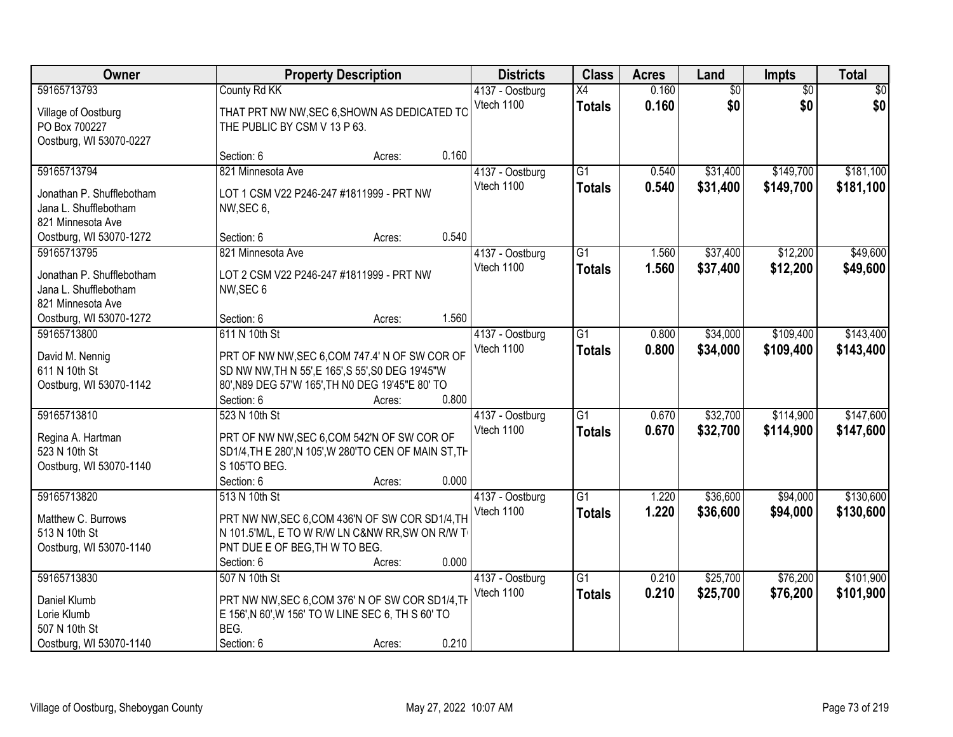| Owner                                                                   |                                                                                                                                                                       | <b>Property Description</b> |       | <b>Districts</b> | <b>Class</b>    | <b>Acres</b> | Land            | <b>Impts</b>    | <b>Total</b> |
|-------------------------------------------------------------------------|-----------------------------------------------------------------------------------------------------------------------------------------------------------------------|-----------------------------|-------|------------------|-----------------|--------------|-----------------|-----------------|--------------|
| 59165713793                                                             | County Rd KK                                                                                                                                                          |                             |       | 4137 - Oostburg  | X4              | 0.160        | $\overline{60}$ | $\overline{50}$ | \$0          |
| Village of Oostburg<br>PO Box 700227<br>Oostburg, WI 53070-0227         | THAT PRT NW NW, SEC 6, SHOWN AS DEDICATED TO<br>THE PUBLIC BY CSM V 13 P 63.                                                                                          |                             |       | Vtech 1100       | <b>Totals</b>   | 0.160        | \$0             | \$0             | \$0          |
|                                                                         | Section: 6                                                                                                                                                            | Acres:                      | 0.160 |                  |                 |              |                 |                 |              |
| 59165713794                                                             | 821 Minnesota Ave                                                                                                                                                     |                             |       | 4137 - Oostburg  | $\overline{G1}$ | 0.540        | \$31,400        | \$149,700       | \$181,100    |
| Jonathan P. Shufflebotham<br>Jana L. Shufflebotham<br>821 Minnesota Ave | LOT 1 CSM V22 P246-247 #1811999 - PRT NW<br>NW, SEC 6,                                                                                                                |                             |       | Vtech 1100       | <b>Totals</b>   | 0.540        | \$31,400        | \$149,700       | \$181,100    |
| Oostburg, WI 53070-1272                                                 | Section: 6                                                                                                                                                            | Acres:                      | 0.540 |                  |                 |              |                 |                 |              |
| 59165713795                                                             | 821 Minnesota Ave                                                                                                                                                     |                             |       | 4137 - Oostburg  | G1              | 1.560        | \$37,400        | \$12,200        | \$49,600     |
| Jonathan P. Shufflebotham<br>Jana L. Shufflebotham<br>821 Minnesota Ave | LOT 2 CSM V22 P246-247 #1811999 - PRT NW<br>NW, SEC 6                                                                                                                 |                             |       | Vtech 1100       | <b>Totals</b>   | 1.560        | \$37,400        | \$12,200        | \$49,600     |
| Oostburg, WI 53070-1272                                                 | Section: 6                                                                                                                                                            | Acres:                      | 1.560 |                  |                 |              |                 |                 |              |
| 59165713800                                                             | 611 N 10th St                                                                                                                                                         |                             |       | 4137 - Oostburg  | G1              | 0.800        | \$34,000        | \$109,400       | \$143,400    |
| David M. Nennig<br>611 N 10th St<br>Oostburg, WI 53070-1142             | PRT OF NW NW, SEC 6, COM 747.4' N OF SW COR OF<br>SD NW NW, TH N 55', E 165', S 55', S0 DEG 19'45"W<br>80', N89 DEG 57'W 165', TH N0 DEG 19'45"E 80' TO<br>Section: 6 | Acres:                      | 0.800 | Vtech 1100       | <b>Totals</b>   | 0.800        | \$34,000        | \$109,400       | \$143,400    |
| 59165713810                                                             | 523 N 10th St                                                                                                                                                         |                             |       | 4137 - Oostburg  | $\overline{G1}$ | 0.670        | \$32,700        | \$114,900       | \$147,600    |
| Regina A. Hartman<br>523 N 10th St<br>Oostburg, WI 53070-1140           | PRT OF NW NW, SEC 6, COM 542'N OF SW COR OF<br>SD1/4, TH E 280', N 105', W 280'TO CEN OF MAIN ST, TH<br>S 105'TO BEG.<br>Section: 6                                   | Acres:                      | 0.000 | Vtech 1100       | <b>Totals</b>   | 0.670        | \$32,700        | \$114,900       | \$147,600    |
| 59165713820                                                             | 513 N 10th St                                                                                                                                                         |                             |       | 4137 - Oostburg  | $\overline{G1}$ | 1.220        | \$36,600        | \$94,000        | \$130,600    |
| Matthew C. Burrows<br>513 N 10th St<br>Oostburg, WI 53070-1140          | PRT NW NW, SEC 6, COM 436'N OF SW COR SD1/4, TH<br>N 101.5'M/L, E TO W R/W LN C&NW RR, SW ON R/W T<br>PNT DUE E OF BEG, TH W TO BEG.<br>Section: 6                    | Acres:                      | 0.000 | Vtech 1100       | <b>Totals</b>   | 1.220        | \$36,600        | \$94,000        | \$130,600    |
| 59165713830                                                             | 507 N 10th St                                                                                                                                                         |                             |       | 4137 - Oostburg  | $\overline{G1}$ | 0.210        | \$25,700        | \$76,200        | \$101,900    |
| Daniel Klumb<br>Lorie Klumb<br>507 N 10th St<br>Oostburg, WI 53070-1140 | PRT NW NW, SEC 6, COM 376' N OF SW COR SD1/4, TH<br>E 156', N 60', W 156' TO W LINE SEC 6, TH S 60' TO<br>BEG.<br>Section: 6                                          | Acres:                      | 0.210 | Vtech 1100       | <b>Totals</b>   | 0.210        | \$25,700        | \$76,200        | \$101,900    |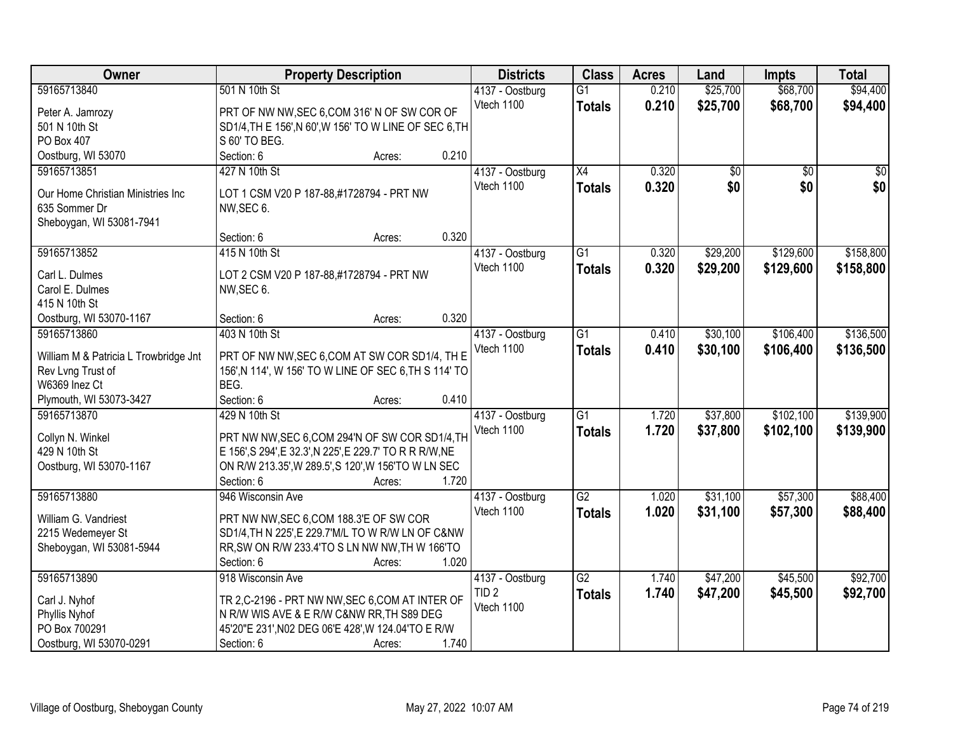| <b>Owner</b>                                               | <b>Property Description</b>                                                                             | <b>Districts</b> | <b>Class</b>    | <b>Acres</b> | Land            | <b>Impts</b>    | <b>Total</b>    |
|------------------------------------------------------------|---------------------------------------------------------------------------------------------------------|------------------|-----------------|--------------|-----------------|-----------------|-----------------|
| 59165713840                                                | 501 N 10th St                                                                                           | 4137 - Oostburg  | $\overline{G1}$ | 0.210        | \$25,700        | \$68,700        | \$94,400        |
| Peter A. Jamrozy                                           | PRT OF NW NW, SEC 6, COM 316' N OF SW COR OF                                                            | Vtech 1100       | <b>Totals</b>   | 0.210        | \$25,700        | \$68,700        | \$94,400        |
| 501 N 10th St                                              | SD1/4, TH E 156', N 60', W 156' TO W LINE OF SEC 6, TH                                                  |                  |                 |              |                 |                 |                 |
| PO Box 407                                                 | S 60' TO BEG.                                                                                           |                  |                 |              |                 |                 |                 |
| Oostburg, WI 53070                                         | 0.210<br>Section: 6<br>Acres:                                                                           |                  |                 |              |                 |                 |                 |
| 59165713851                                                | 427 N 10th St                                                                                           | 4137 - Oostburg  | $\overline{X4}$ | 0.320        | $\overline{50}$ | $\overline{50}$ | $\overline{50}$ |
|                                                            |                                                                                                         | Vtech 1100       | <b>Totals</b>   | 0.320        | \$0             | \$0             | \$0             |
| Our Home Christian Ministries Inc                          | LOT 1 CSM V20 P 187-88,#1728794 - PRT NW                                                                |                  |                 |              |                 |                 |                 |
| 635 Sommer Dr                                              | NW, SEC 6.                                                                                              |                  |                 |              |                 |                 |                 |
| Sheboygan, WI 53081-7941                                   |                                                                                                         |                  |                 |              |                 |                 |                 |
|                                                            | 0.320<br>Section: 6<br>Acres:                                                                           |                  |                 |              |                 |                 |                 |
| 59165713852                                                | 415 N 10th St                                                                                           | 4137 - Oostburg  | G1              | 0.320        | \$29,200        | \$129,600       | \$158,800       |
| Carl L. Dulmes                                             | LOT 2 CSM V20 P 187-88,#1728794 - PRT NW                                                                | Vtech 1100       | <b>Totals</b>   | 0.320        | \$29,200        | \$129,600       | \$158,800       |
| Carol E. Dulmes                                            | NW, SEC 6.                                                                                              |                  |                 |              |                 |                 |                 |
| 415 N 10th St                                              |                                                                                                         |                  |                 |              |                 |                 |                 |
| Oostburg, WI 53070-1167                                    | 0.320<br>Section: 6<br>Acres:                                                                           |                  |                 |              |                 |                 |                 |
| 59165713860                                                | 403 N 10th St                                                                                           | 4137 - Oostburg  | $\overline{G1}$ | 0.410        | \$30,100        | \$106,400       | \$136,500       |
|                                                            |                                                                                                         | Vtech 1100       | <b>Totals</b>   | 0.410        | \$30,100        | \$106,400       | \$136,500       |
| William M & Patricia L Trowbridge Jnt<br>Rev Lvng Trust of | PRT OF NW NW, SEC 6, COM AT SW COR SD1/4, TH E<br>156', N 114', W 156' TO W LINE OF SEC 6, TH S 114' TO |                  |                 |              |                 |                 |                 |
| W6369 Inez Ct                                              | BEG.                                                                                                    |                  |                 |              |                 |                 |                 |
| Plymouth, WI 53073-3427                                    | 0.410<br>Section: 6<br>Acres:                                                                           |                  |                 |              |                 |                 |                 |
| 59165713870                                                | 429 N 10th St                                                                                           | 4137 - Oostburg  | $\overline{G1}$ | 1.720        | \$37,800        | \$102,100       | \$139,900       |
|                                                            |                                                                                                         | Vtech 1100       |                 | 1.720        | \$37,800        | \$102,100       | \$139,900       |
| Collyn N. Winkel                                           | PRT NW NW, SEC 6, COM 294'N OF SW COR SD1/4, TH                                                         |                  | <b>Totals</b>   |              |                 |                 |                 |
| 429 N 10th St                                              | E 156', S 294', E 32.3', N 225', E 229.7' TO R R R/W, NE                                                |                  |                 |              |                 |                 |                 |
| Oostburg, WI 53070-1167                                    | ON R/W 213.35', W 289.5', S 120', W 156'TO W LN SEC                                                     |                  |                 |              |                 |                 |                 |
|                                                            | 1.720<br>Section: 6<br>Acres:                                                                           |                  |                 |              |                 |                 |                 |
| 59165713880                                                | 946 Wisconsin Ave                                                                                       | 4137 - Oostburg  | $\overline{G2}$ | 1.020        | \$31,100        | \$57,300        | \$88,400        |
| William G. Vandriest                                       | PRT NW NW, SEC 6, COM 188.3'E OF SW COR                                                                 | Vtech 1100       | <b>Totals</b>   | 1.020        | \$31,100        | \$57,300        | \$88,400        |
| 2215 Wedemeyer St                                          | SD1/4, TH N 225', E 229.7'M/L TO W R/W LN OF C&NW                                                       |                  |                 |              |                 |                 |                 |
| Sheboygan, WI 53081-5944                                   | RR, SW ON R/W 233.4'TO S LN NW NW, TH W 166'TO                                                          |                  |                 |              |                 |                 |                 |
|                                                            | 1.020<br>Section: 6<br>Acres:                                                                           |                  |                 |              |                 |                 |                 |
| 59165713890                                                | 918 Wisconsin Ave                                                                                       | 4137 - Oostburg  | $\overline{G2}$ | 1.740        | \$47,200        | \$45,500        | \$92,700        |
|                                                            |                                                                                                         | TID <sub>2</sub> | <b>Totals</b>   | 1.740        | \$47,200        | \$45,500        | \$92,700        |
| Carl J. Nyhof                                              | TR 2,C-2196 - PRT NW NW, SEC 6, COM AT INTER OF                                                         | Vtech 1100       |                 |              |                 |                 |                 |
| Phyllis Nyhof                                              | N R/W WIS AVE & E R/W C&NW RR, TH S89 DEG                                                               |                  |                 |              |                 |                 |                 |
| PO Box 700291                                              | 45'20"E 231', N02 DEG 06'E 428', W 124.04'TO E R/W                                                      |                  |                 |              |                 |                 |                 |
| Oostburg, WI 53070-0291                                    | 1.740<br>Section: 6<br>Acres:                                                                           |                  |                 |              |                 |                 |                 |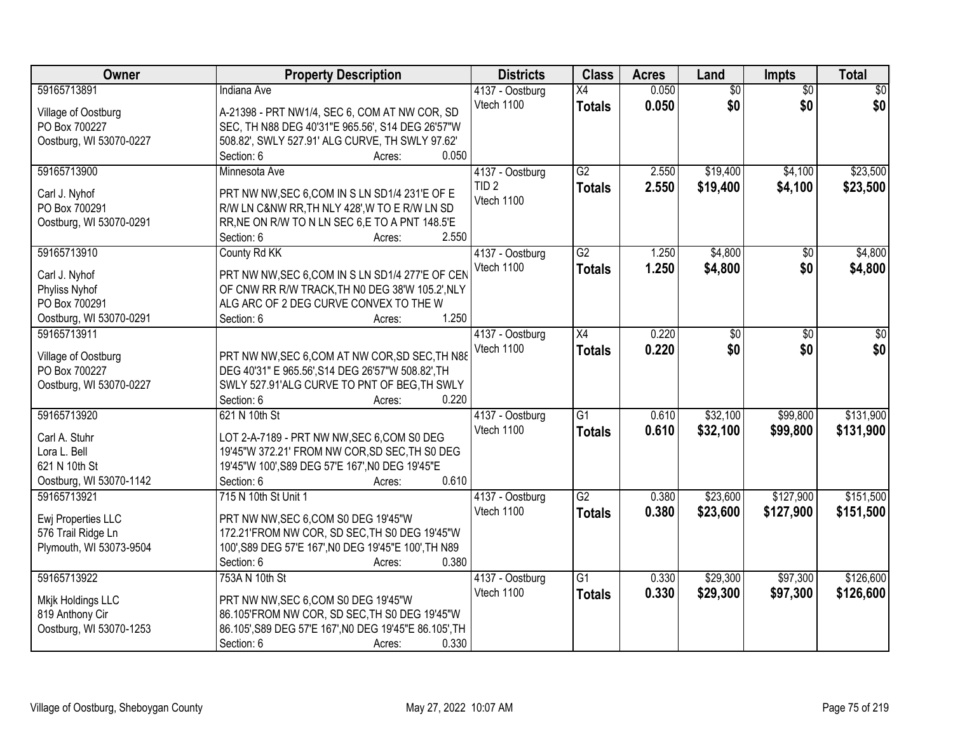| <b>Owner</b>            | <b>Property Description</b>                            | <b>Districts</b> | <b>Class</b>    | <b>Acres</b> | Land            | <b>Impts</b>    | <b>Total</b>    |
|-------------------------|--------------------------------------------------------|------------------|-----------------|--------------|-----------------|-----------------|-----------------|
| 59165713891             | <b>Indiana Ave</b>                                     | 4137 - Oostburg  | X4              | 0.050        | $\overline{50}$ | $\overline{50}$ | $\overline{30}$ |
| Village of Oostburg     | A-21398 - PRT NW1/4, SEC 6, COM AT NW COR, SD          | Vtech 1100       | <b>Totals</b>   | 0.050        | \$0             | \$0             | \$0             |
| PO Box 700227           | SEC, TH N88 DEG 40'31"E 965.56', S14 DEG 26'57"W       |                  |                 |              |                 |                 |                 |
| Oostburg, WI 53070-0227 | 508.82', SWLY 527.91' ALG CURVE, TH SWLY 97.62'        |                  |                 |              |                 |                 |                 |
|                         | 0.050<br>Section: 6<br>Acres:                          |                  |                 |              |                 |                 |                 |
| 59165713900             | Minnesota Ave                                          | 4137 - Oostburg  | $\overline{G2}$ | 2.550        | \$19,400        | \$4,100         | \$23,500        |
|                         |                                                        | TID <sub>2</sub> | <b>Totals</b>   | 2.550        | \$19,400        | \$4,100         | \$23,500        |
| Carl J. Nyhof           | PRT NW NW, SEC 6, COM IN S LN SD1/4 231'E OF E         | Vtech 1100       |                 |              |                 |                 |                 |
| PO Box 700291           | R/W LN C&NW RR, TH NLY 428', W TO E R/W LN SD          |                  |                 |              |                 |                 |                 |
| Oostburg, WI 53070-0291 | RR, NE ON R/W TO N LN SEC 6, E TO A PNT 148.5'E        |                  |                 |              |                 |                 |                 |
|                         | 2.550<br>Section: 6<br>Acres:                          |                  |                 |              |                 |                 |                 |
| 59165713910             | County Rd KK                                           | 4137 - Oostburg  | G2              | 1.250        | \$4,800         | \$0             | \$4,800         |
| Carl J. Nyhof           | PRT NW NW, SEC 6, COM IN S LN SD1/4 277'E OF CEN       | Vtech 1100       | <b>Totals</b>   | 1.250        | \$4,800         | \$0             | \$4,800         |
| Phyliss Nyhof           | OF CNW RR R/W TRACK, TH N0 DEG 38'W 105.2', NLY        |                  |                 |              |                 |                 |                 |
| PO Box 700291           | ALG ARC OF 2 DEG CURVE CONVEX TO THE W                 |                  |                 |              |                 |                 |                 |
| Oostburg, WI 53070-0291 | 1.250<br>Section: 6<br>Acres:                          |                  |                 |              |                 |                 |                 |
| 59165713911             |                                                        | 4137 - Oostburg  | $\overline{X4}$ | 0.220        | \$0             | \$0             | \$0             |
|                         |                                                        | Vtech 1100       | <b>Totals</b>   | 0.220        | \$0             | \$0             | \$0             |
| Village of Oostburg     | PRT NW NW, SEC 6, COM AT NW COR, SD SEC, TH N88        |                  |                 |              |                 |                 |                 |
| PO Box 700227           | DEG 40'31" E 965.56', S14 DEG 26'57"W 508.82', TH      |                  |                 |              |                 |                 |                 |
| Oostburg, WI 53070-0227 | SWLY 527.91'ALG CURVE TO PNT OF BEG, TH SWLY           |                  |                 |              |                 |                 |                 |
|                         | 0.220<br>Section: 6<br>Acres:                          |                  |                 |              |                 |                 |                 |
| 59165713920             | 621 N 10th St                                          | 4137 - Oostburg  | $\overline{G1}$ | 0.610        | \$32,100        | \$99,800        | \$131,900       |
| Carl A. Stuhr           | LOT 2-A-7189 - PRT NW NW, SEC 6, COM S0 DEG            | Vtech 1100       | <b>Totals</b>   | 0.610        | \$32,100        | \$99,800        | \$131,900       |
| Lora L. Bell            | 19'45"W 372.21' FROM NW COR, SD SEC, TH S0 DEG         |                  |                 |              |                 |                 |                 |
| 621 N 10th St           | 19'45"W 100', S89 DEG 57'E 167', N0 DEG 19'45"E        |                  |                 |              |                 |                 |                 |
| Oostburg, WI 53070-1142 | 0.610<br>Section: 6<br>Acres:                          |                  |                 |              |                 |                 |                 |
| 59165713921             | 715 N 10th St Unit 1                                   | 4137 - Oostburg  | $\overline{G2}$ | 0.380        | \$23,600        | \$127,900       | \$151,500       |
|                         |                                                        | Vtech 1100       | <b>Totals</b>   | 0.380        | \$23,600        | \$127,900       | \$151,500       |
| Ewj Properties LLC      | PRT NW NW, SEC 6, COM S0 DEG 19'45"W                   |                  |                 |              |                 |                 |                 |
| 576 Trail Ridge Ln      | 172.21'FROM NW COR, SD SEC, TH S0 DEG 19'45"W          |                  |                 |              |                 |                 |                 |
| Plymouth, WI 53073-9504 | 100', S89 DEG 57'E 167', N0 DEG 19'45"E 100', TH N89   |                  |                 |              |                 |                 |                 |
|                         | 0.380<br>Section: 6<br>Acres:                          |                  |                 |              |                 |                 |                 |
| 59165713922             | 753A N 10th St                                         | 4137 - Oostburg  | $\overline{G1}$ | 0.330        | \$29,300        | \$97,300        | \$126,600       |
| Mkjk Holdings LLC       | PRT NW NW, SEC 6, COM S0 DEG 19'45"W                   | Vtech 1100       | <b>Totals</b>   | 0.330        | \$29,300        | \$97,300        | \$126,600       |
| 819 Anthony Cir         | 86.105'FROM NW COR, SD SEC, TH S0 DEG 19'45"W          |                  |                 |              |                 |                 |                 |
| Oostburg, WI 53070-1253 | 86.105', S89 DEG 57'E 167', N0 DEG 19'45"E 86.105', TH |                  |                 |              |                 |                 |                 |
|                         | 0.330<br>Section: 6<br>Acres:                          |                  |                 |              |                 |                 |                 |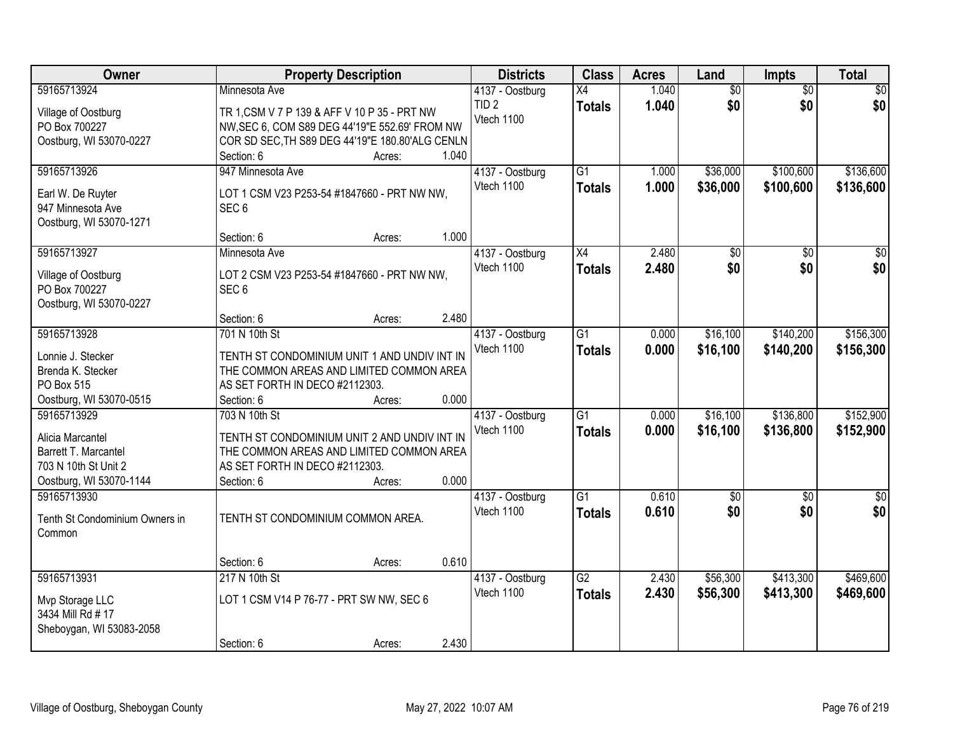| Owner                                    |                                                                 | <b>Property Description</b> |       | <b>Districts</b> | <b>Class</b>    | <b>Acres</b> | Land            | Impts           | <b>Total</b>    |
|------------------------------------------|-----------------------------------------------------------------|-----------------------------|-------|------------------|-----------------|--------------|-----------------|-----------------|-----------------|
| 59165713924                              | Minnesota Ave                                                   |                             |       | 4137 - Oostburg  | X4              | 1.040        | $\overline{60}$ | $\overline{30}$ | $\overline{50}$ |
| Village of Oostburg                      | TR 1, CSM V 7 P 139 & AFF V 10 P 35 - PRT NW                    |                             |       | TID <sub>2</sub> | <b>Totals</b>   | 1.040        | \$0             | \$0             | \$0             |
| PO Box 700227                            | NW, SEC 6, COM S89 DEG 44'19"E 552.69' FROM NW                  |                             |       | Vtech 1100       |                 |              |                 |                 |                 |
| Oostburg, WI 53070-0227                  | COR SD SEC, TH S89 DEG 44'19"E 180.80'ALG CENLN                 |                             |       |                  |                 |              |                 |                 |                 |
|                                          | Section: 6                                                      | Acres:                      | 1.040 |                  |                 |              |                 |                 |                 |
| 59165713926                              | 947 Minnesota Ave                                               |                             |       | 4137 - Oostburg  | $\overline{G1}$ | 1.000        | \$36,000        | \$100,600       | \$136,600       |
| Earl W. De Ruyter                        | LOT 1 CSM V23 P253-54 #1847660 - PRT NW NW,                     |                             |       | Vtech 1100       | <b>Totals</b>   | 1.000        | \$36,000        | \$100,600       | \$136,600       |
| 947 Minnesota Ave                        | SEC <sub>6</sub>                                                |                             |       |                  |                 |              |                 |                 |                 |
| Oostburg, WI 53070-1271                  |                                                                 |                             |       |                  |                 |              |                 |                 |                 |
|                                          | Section: 6                                                      | Acres:                      | 1.000 |                  |                 |              |                 |                 |                 |
| 59165713927                              | Minnesota Ave                                                   |                             |       | 4137 - Oostburg  | $\overline{X4}$ | 2.480        | \$0             | \$0             | \$0             |
|                                          |                                                                 |                             |       | Vtech 1100       | <b>Totals</b>   | 2.480        | \$0             | \$0             | \$0             |
| Village of Oostburg                      | LOT 2 CSM V23 P253-54 #1847660 - PRT NW NW,<br>SEC <sub>6</sub> |                             |       |                  |                 |              |                 |                 |                 |
| PO Box 700227<br>Oostburg, WI 53070-0227 |                                                                 |                             |       |                  |                 |              |                 |                 |                 |
|                                          | Section: 6                                                      | Acres:                      | 2.480 |                  |                 |              |                 |                 |                 |
| 59165713928                              | 701 N 10th St                                                   |                             |       | 4137 - Oostburg  | $\overline{G1}$ | 0.000        | \$16,100        | \$140,200       | \$156,300       |
|                                          |                                                                 |                             |       | Vtech 1100       | <b>Totals</b>   | 0.000        | \$16,100        | \$140,200       | \$156,300       |
| Lonnie J. Stecker                        | TENTH ST CONDOMINIUM UNIT 1 AND UNDIV INT IN                    |                             |       |                  |                 |              |                 |                 |                 |
| Brenda K. Stecker                        | THE COMMON AREAS AND LIMITED COMMON AREA                        |                             |       |                  |                 |              |                 |                 |                 |
| PO Box 515                               | AS SET FORTH IN DECO #2112303.                                  |                             |       |                  |                 |              |                 |                 |                 |
| Oostburg, WI 53070-0515                  | Section: 6                                                      | Acres:                      | 0.000 |                  |                 |              |                 |                 |                 |
| 59165713929                              | 703 N 10th St                                                   |                             |       | 4137 - Oostburg  | $\overline{G1}$ | 0.000        | \$16,100        | \$136,800       | \$152,900       |
| Alicia Marcantel                         | TENTH ST CONDOMINIUM UNIT 2 AND UNDIV INT IN                    |                             |       | Vtech 1100       | <b>Totals</b>   | 0.000        | \$16,100        | \$136,800       | \$152,900       |
| Barrett T. Marcantel                     | THE COMMON AREAS AND LIMITED COMMON AREA                        |                             |       |                  |                 |              |                 |                 |                 |
| 703 N 10th St Unit 2                     | AS SET FORTH IN DECO #2112303.                                  |                             |       |                  |                 |              |                 |                 |                 |
| Oostburg, WI 53070-1144                  | Section: 6                                                      | Acres:                      | 0.000 |                  |                 |              |                 |                 |                 |
| 59165713930                              |                                                                 |                             |       | 4137 - Oostburg  | $\overline{G1}$ | 0.610        | \$0             | \$0             | $\frac{1}{6}$   |
| Tenth St Condominium Owners in           | TENTH ST CONDOMINIUM COMMON AREA.                               |                             |       | Vtech 1100       | <b>Totals</b>   | 0.610        | \$0             | \$0             | \$0             |
| Common                                   |                                                                 |                             |       |                  |                 |              |                 |                 |                 |
|                                          |                                                                 |                             |       |                  |                 |              |                 |                 |                 |
|                                          | Section: 6                                                      | Acres:                      | 0.610 |                  |                 |              |                 |                 |                 |
| 59165713931                              | 217 N 10th St                                                   |                             |       | 4137 - Oostburg  | $\overline{G2}$ | 2.430        | \$56,300        | \$413,300       | \$469,600       |
| Mvp Storage LLC                          | LOT 1 CSM V14 P 76-77 - PRT SW NW, SEC 6                        |                             |       | Vtech 1100       | <b>Totals</b>   | 2.430        | \$56,300        | \$413,300       | \$469,600       |
| 3434 Mill Rd # 17                        |                                                                 |                             |       |                  |                 |              |                 |                 |                 |
| Sheboygan, WI 53083-2058                 |                                                                 |                             |       |                  |                 |              |                 |                 |                 |
|                                          | Section: 6                                                      | Acres:                      | 2.430 |                  |                 |              |                 |                 |                 |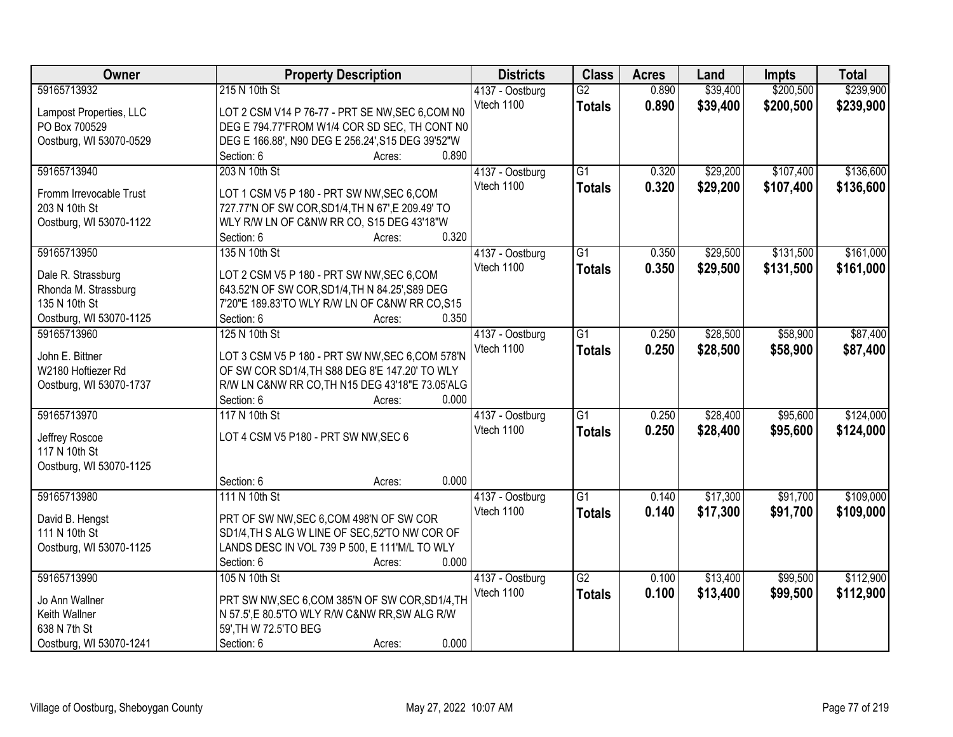| Owner                                  | <b>Property Description</b>                       | <b>Districts</b> | <b>Class</b>    | <b>Acres</b> | Land     | <b>Impts</b> | <b>Total</b> |
|----------------------------------------|---------------------------------------------------|------------------|-----------------|--------------|----------|--------------|--------------|
| 59165713932                            | 215 N 10th St                                     | 4137 - Oostburg  | $\overline{G2}$ | 0.890        | \$39,400 | \$200,500    | \$239,900    |
| Lampost Properties, LLC                | LOT 2 CSM V14 P 76-77 - PRT SE NW, SEC 6, COM N0  | Vtech 1100       | <b>Totals</b>   | 0.890        | \$39,400 | \$200,500    | \$239,900    |
| PO Box 700529                          | DEG E 794.77'FROM W1/4 COR SD SEC, TH CONT N0     |                  |                 |              |          |              |              |
| Oostburg, WI 53070-0529                | DEG E 166.88', N90 DEG E 256.24', S15 DEG 39'52"W |                  |                 |              |          |              |              |
|                                        | 0.890<br>Section: 6<br>Acres:                     |                  |                 |              |          |              |              |
| 59165713940                            | 203 N 10th St                                     | 4137 - Oostburg  | $\overline{G1}$ | 0.320        | \$29,200 | \$107,400    | \$136,600    |
|                                        |                                                   | Vtech 1100       | <b>Totals</b>   | 0.320        | \$29,200 | \$107,400    | \$136,600    |
| Fromm Irrevocable Trust                | LOT 1 CSM V5 P 180 - PRT SW NW, SEC 6, COM        |                  |                 |              |          |              |              |
| 203 N 10th St                          | 727.77'N OF SW COR, SD1/4, TH N 67', E 209.49' TO |                  |                 |              |          |              |              |
| Oostburg, WI 53070-1122                | WLY R/W LN OF C&NW RR CO, S15 DEG 43'18"W         |                  |                 |              |          |              |              |
|                                        | 0.320<br>Section: 6<br>Acres:                     |                  |                 |              |          |              |              |
| 59165713950                            | 135 N 10th St                                     | 4137 - Oostburg  | G1              | 0.350        | \$29,500 | \$131,500    | \$161,000    |
| Dale R. Strassburg                     | LOT 2 CSM V5 P 180 - PRT SW NW, SEC 6, COM        | Vtech 1100       | <b>Totals</b>   | 0.350        | \$29,500 | \$131,500    | \$161,000    |
| Rhonda M. Strassburg                   | 643.52'N OF SW COR, SD1/4, TH N 84.25', S89 DEG   |                  |                 |              |          |              |              |
| 135 N 10th St                          | 7'20"E 189.83'TO WLY R/W LN OF C&NW RR CO, S15    |                  |                 |              |          |              |              |
|                                        | 0.350<br>Section: 6                               |                  |                 |              |          |              |              |
| Oostburg, WI 53070-1125<br>59165713960 | Acres:                                            |                  | $\overline{G1}$ |              |          |              |              |
|                                        | 125 N 10th St                                     | 4137 - Oostburg  |                 | 0.250        | \$28,500 | \$58,900     | \$87,400     |
| John E. Bittner                        | LOT 3 CSM V5 P 180 - PRT SW NW, SEC 6, COM 578'N  | Vtech 1100       | <b>Totals</b>   | 0.250        | \$28,500 | \$58,900     | \$87,400     |
| W2180 Hoftiezer Rd                     | OF SW COR SD1/4, TH S88 DEG 8'E 147.20' TO WLY    |                  |                 |              |          |              |              |
| Oostburg, WI 53070-1737                | R/W LN C&NW RR CO, TH N15 DEG 43'18"E 73.05'ALG   |                  |                 |              |          |              |              |
|                                        | 0.000<br>Section: 6<br>Acres:                     |                  |                 |              |          |              |              |
| 59165713970                            | 117 N 10th St                                     | 4137 - Oostburg  | $\overline{G1}$ | 0.250        | \$28,400 | \$95,600     | \$124,000    |
|                                        |                                                   | Vtech 1100       | <b>Totals</b>   | 0.250        | \$28,400 | \$95,600     | \$124,000    |
| Jeffrey Roscoe                         | LOT 4 CSM V5 P180 - PRT SW NW, SEC 6              |                  |                 |              |          |              |              |
| 117 N 10th St                          |                                                   |                  |                 |              |          |              |              |
| Oostburg, WI 53070-1125                |                                                   |                  |                 |              |          |              |              |
|                                        | 0.000<br>Section: 6<br>Acres:                     |                  |                 |              |          |              |              |
| 59165713980                            | 111 N 10th St                                     | 4137 - Oostburg  | $\overline{G1}$ | 0.140        | \$17,300 | \$91,700     | \$109,000    |
| David B. Hengst                        | PRT OF SW NW, SEC 6, COM 498'N OF SW COR          | Vtech 1100       | <b>Totals</b>   | 0.140        | \$17,300 | \$91,700     | \$109,000    |
| 111 N 10th St                          | SD1/4, TH S ALG W LINE OF SEC, 52'TO NW COR OF    |                  |                 |              |          |              |              |
| Oostburg, WI 53070-1125                | LANDS DESC IN VOL 739 P 500, E 111'M/L TO WLY     |                  |                 |              |          |              |              |
|                                        | 0.000<br>Section: 6<br>Acres:                     |                  |                 |              |          |              |              |
| 59165713990                            | 105 N 10th St                                     | 4137 - Oostburg  | $\overline{G2}$ | 0.100        | \$13,400 | \$99,500     | \$112,900    |
|                                        |                                                   | Vtech 1100       |                 |              |          |              |              |
| Jo Ann Wallner                         | PRT SW NW, SEC 6, COM 385'N OF SW COR, SD1/4, TH  |                  | <b>Totals</b>   | 0.100        | \$13,400 | \$99,500     | \$112,900    |
| Keith Wallner                          | N 57.5',E 80.5'TO WLY R/W C&NW RR,SW ALG R/W      |                  |                 |              |          |              |              |
| 638 N 7th St                           | 59', TH W 72.5'TO BEG                             |                  |                 |              |          |              |              |
| Oostburg, WI 53070-1241                | 0.000<br>Section: 6<br>Acres:                     |                  |                 |              |          |              |              |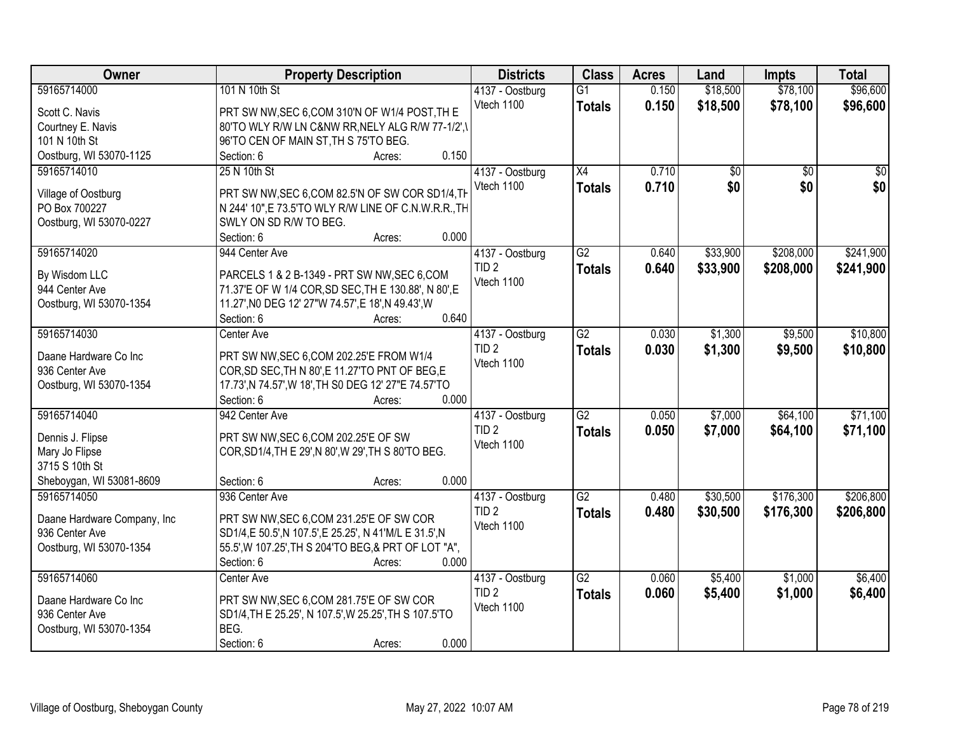| <b>Owner</b>                | <b>Property Description</b>                           | <b>Districts</b> | <b>Class</b>    | <b>Acres</b> | Land            | <b>Impts</b>    | <b>Total</b>    |
|-----------------------------|-------------------------------------------------------|------------------|-----------------|--------------|-----------------|-----------------|-----------------|
| 59165714000                 | 101 N 10th St                                         | 4137 - Oostburg  | $\overline{G1}$ | 0.150        | \$18,500        | \$78,100        | \$96,600        |
| Scott C. Navis              | PRT SW NW, SEC 6, COM 310'N OF W1/4 POST, TH E        | Vtech 1100       | <b>Totals</b>   | 0.150        | \$18,500        | \$78,100        | \$96,600        |
| Courtney E. Navis           | 80'TO WLY R/W LN C&NW RR, NELY ALG R/W 77-1/2', \     |                  |                 |              |                 |                 |                 |
| 101 N 10th St               | 96'TO CEN OF MAIN ST, TH S 75'TO BEG.                 |                  |                 |              |                 |                 |                 |
| Oostburg, WI 53070-1125     | 0.150<br>Section: 6<br>Acres:                         |                  |                 |              |                 |                 |                 |
| 59165714010                 | 25 N 10th St                                          | 4137 - Oostburg  | $\overline{X4}$ | 0.710        | $\overline{50}$ | $\overline{50}$ | $\overline{30}$ |
|                             |                                                       | Vtech 1100       | <b>Totals</b>   | 0.710        | \$0             | \$0             | \$0             |
| Village of Oostburg         | PRT SW NW, SEC 6, COM 82.5'N OF SW COR SD1/4, TH      |                  |                 |              |                 |                 |                 |
| PO Box 700227               | N 244' 10", E 73.5'TO WLY R/W LINE OF C.N.W.R.R., TH  |                  |                 |              |                 |                 |                 |
| Oostburg, WI 53070-0227     | SWLY ON SD R/W TO BEG.                                |                  |                 |              |                 |                 |                 |
|                             | 0.000<br>Section: 6<br>Acres:                         |                  |                 |              |                 |                 |                 |
| 59165714020                 | 944 Center Ave                                        | 4137 - Oostburg  | $\overline{G2}$ | 0.640        | \$33,900        | \$208,000       | \$241,900       |
| By Wisdom LLC               | PARCELS 1 & 2 B-1349 - PRT SW NW, SEC 6, COM          | TID <sub>2</sub> | <b>Totals</b>   | 0.640        | \$33,900        | \$208,000       | \$241,900       |
| 944 Center Ave              | 71.37'E OF W 1/4 COR, SD SEC, TH E 130.88', N 80', E  | Vtech 1100       |                 |              |                 |                 |                 |
| Oostburg, WI 53070-1354     | 11.27', NO DEG 12' 27"W 74.57', E 18', N 49.43', W    |                  |                 |              |                 |                 |                 |
|                             | 0.640<br>Section: 6<br>Acres:                         |                  |                 |              |                 |                 |                 |
| 59165714030                 | Center Ave                                            | 4137 - Oostburg  | $\overline{G2}$ | 0.030        | \$1,300         | \$9,500         | \$10,800        |
|                             |                                                       | TID <sub>2</sub> | <b>Totals</b>   | 0.030        | \$1,300         | \$9,500         | \$10,800        |
| Daane Hardware Co Inc       | PRT SW NW, SEC 6, COM 202.25'E FROM W1/4              | Vtech 1100       |                 |              |                 |                 |                 |
| 936 Center Ave              | COR, SD SEC, TH N 80', E 11.27'TO PNT OF BEG, E       |                  |                 |              |                 |                 |                 |
| Oostburg, WI 53070-1354     | 17.73', N 74.57', W 18', TH S0 DEG 12' 27"E 74.57'TO  |                  |                 |              |                 |                 |                 |
|                             | 0.000<br>Section: 6<br>Acres:                         |                  |                 |              |                 |                 |                 |
| 59165714040                 | 942 Center Ave                                        | 4137 - Oostburg  | $\overline{G2}$ | 0.050        | \$7,000         | \$64,100        | \$71,100        |
| Dennis J. Flipse            | PRT SW NW, SEC 6, COM 202.25 'E OF SW                 | TID <sub>2</sub> | <b>Totals</b>   | 0.050        | \$7,000         | \$64,100        | \$71,100        |
| Mary Jo Flipse              | COR, SD1/4, TH E 29', N 80', W 29', TH S 80'TO BEG.   | Vtech 1100       |                 |              |                 |                 |                 |
| 3715 S 10th St              |                                                       |                  |                 |              |                 |                 |                 |
| Sheboygan, WI 53081-8609    | 0.000<br>Section: 6<br>Acres:                         |                  |                 |              |                 |                 |                 |
| 59165714050                 | 936 Center Ave                                        | 4137 - Oostburg  | $\overline{G2}$ | 0.480        | \$30,500        | \$176,300       | \$206,800       |
|                             |                                                       | TID <sub>2</sub> | <b>Totals</b>   | 0.480        | \$30,500        | \$176,300       | \$206,800       |
| Daane Hardware Company, Inc | PRT SW NW, SEC 6, COM 231.25'E OF SW COR              | Vtech 1100       |                 |              |                 |                 |                 |
| 936 Center Ave              | SD1/4,E 50.5',N 107.5',E 25.25', N 41'M/L E 31.5',N   |                  |                 |              |                 |                 |                 |
| Oostburg, WI 53070-1354     | 55.5', W 107.25', TH S 204'TO BEG, & PRT OF LOT "A",  |                  |                 |              |                 |                 |                 |
|                             | 0.000<br>Section: 6<br>Acres:                         |                  |                 |              |                 |                 |                 |
| 59165714060                 | Center Ave                                            | 4137 - Oostburg  | $\overline{G2}$ | 0.060        | \$5,400         | \$1,000         | \$6,400         |
| Daane Hardware Co Inc       | PRT SW NW, SEC 6, COM 281.75'E OF SW COR              | TID <sub>2</sub> | <b>Totals</b>   | 0.060        | \$5,400         | \$1,000         | \$6,400         |
| 936 Center Ave              | SD1/4, TH E 25.25', N 107.5', W 25.25', TH S 107.5'TO | Vtech 1100       |                 |              |                 |                 |                 |
| Oostburg, WI 53070-1354     | BEG.                                                  |                  |                 |              |                 |                 |                 |
|                             | 0.000<br>Section: 6<br>Acres:                         |                  |                 |              |                 |                 |                 |
|                             |                                                       |                  |                 |              |                 |                 |                 |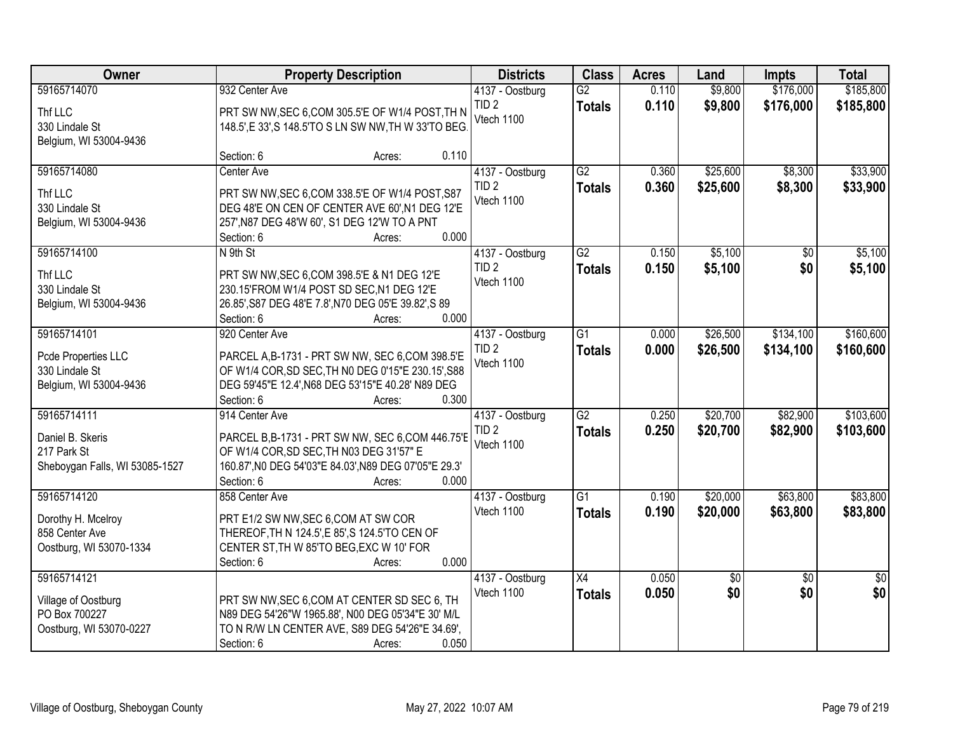| <b>Owner</b>                   |                                                       | <b>Property Description</b> | <b>Districts</b> | <b>Class</b>    | <b>Acres</b> | Land     | <b>Impts</b>    | <b>Total</b>    |
|--------------------------------|-------------------------------------------------------|-----------------------------|------------------|-----------------|--------------|----------|-----------------|-----------------|
| 59165714070                    | 932 Center Ave                                        |                             | 4137 - Oostburg  | $\overline{G2}$ | 0.110        | \$9,800  | \$176,000       | \$185,800       |
| Thf LLC                        | PRT SW NW, SEC 6, COM 305.5'E OF W1/4 POST, TH N      |                             | TID <sub>2</sub> | <b>Totals</b>   | 0.110        | \$9,800  | \$176,000       | \$185,800       |
| 330 Lindale St                 | 148.5', E 33', S 148.5'TO S LN SW NW, TH W 33'TO BEG. |                             | Vtech 1100       |                 |              |          |                 |                 |
| Belgium, WI 53004-9436         |                                                       |                             |                  |                 |              |          |                 |                 |
|                                | Section: 6                                            | 0.110<br>Acres:             |                  |                 |              |          |                 |                 |
| 59165714080                    | Center Ave                                            |                             | 4137 - Oostburg  | $\overline{G2}$ | 0.360        | \$25,600 | \$8,300         | \$33,900        |
| Thf LLC                        | PRT SW NW, SEC 6, COM 338.5'E OF W1/4 POST, S87       |                             | TID <sub>2</sub> | <b>Totals</b>   | 0.360        | \$25,600 | \$8,300         | \$33,900        |
| 330 Lindale St                 | DEG 48'E ON CEN OF CENTER AVE 60', N1 DEG 12'E        |                             | Vtech 1100       |                 |              |          |                 |                 |
| Belgium, WI 53004-9436         | 257', N87 DEG 48'W 60', S1 DEG 12'W TO A PNT          |                             |                  |                 |              |          |                 |                 |
|                                | Section: 6                                            | 0.000<br>Acres:             |                  |                 |              |          |                 |                 |
| 59165714100                    | N 9th St                                              |                             | 4137 - Oostburg  | $\overline{G2}$ | 0.150        | \$5,100  | $\overline{50}$ | \$5,100         |
| Thf LLC                        | PRT SW NW, SEC 6, COM 398.5'E & N1 DEG 12'E           |                             | TID <sub>2</sub> | <b>Totals</b>   | 0.150        | \$5,100  | \$0             | \$5,100         |
| 330 Lindale St                 | 230.15'FROM W1/4 POST SD SEC, N1 DEG 12'E             |                             | Vtech 1100       |                 |              |          |                 |                 |
| Belgium, WI 53004-9436         | 26.85', S87 DEG 48'E 7.8', N70 DEG 05'E 39.82', S89   |                             |                  |                 |              |          |                 |                 |
|                                | Section: 6                                            | 0.000<br>Acres:             |                  |                 |              |          |                 |                 |
| 59165714101                    | 920 Center Ave                                        |                             | 4137 - Oostburg  | $\overline{G1}$ | 0.000        | \$26,500 | \$134,100       | \$160,600       |
| Pcde Properties LLC            | PARCEL A, B-1731 - PRT SW NW, SEC 6, COM 398.5'E      |                             | TID <sub>2</sub> | <b>Totals</b>   | 0.000        | \$26,500 | \$134,100       | \$160,600       |
| 330 Lindale St                 | OF W1/4 COR, SD SEC, TH N0 DEG 0'15"E 230.15', S88    |                             | Vtech 1100       |                 |              |          |                 |                 |
| Belgium, WI 53004-9436         | DEG 59'45"E 12.4', N68 DEG 53'15"E 40.28' N89 DEG     |                             |                  |                 |              |          |                 |                 |
|                                | Section: 6                                            | 0.300<br>Acres:             |                  |                 |              |          |                 |                 |
| 59165714111                    | 914 Center Ave                                        |                             | 4137 - Oostburg  | $\overline{G2}$ | 0.250        | \$20,700 | \$82,900        | \$103,600       |
| Daniel B. Skeris               | PARCEL B, B-1731 - PRT SW NW, SEC 6, COM 446.75'E     |                             | TID <sub>2</sub> | <b>Totals</b>   | 0.250        | \$20,700 | \$82,900        | \$103,600       |
| 217 Park St                    | OF W1/4 COR, SD SEC, TH N03 DEG 31'57" E              |                             | Vtech 1100       |                 |              |          |                 |                 |
| Sheboygan Falls, WI 53085-1527 | 160.87', NO DEG 54'03"E 84.03', N89 DEG 07'05"E 29.3' |                             |                  |                 |              |          |                 |                 |
|                                | Section: 6                                            | 0.000<br>Acres:             |                  |                 |              |          |                 |                 |
| 59165714120                    | 858 Center Ave                                        |                             | 4137 - Oostburg  | $\overline{G1}$ | 0.190        | \$20,000 | \$63,800        | \$83,800        |
| Dorothy H. Mcelroy             | PRT E1/2 SW NW, SEC 6, COM AT SW COR                  |                             | Vtech 1100       | <b>Totals</b>   | 0.190        | \$20,000 | \$63,800        | \$83,800        |
| 858 Center Ave                 | THEREOF, TH N 124.5', E 85', S 124.5'TO CEN OF        |                             |                  |                 |              |          |                 |                 |
| Oostburg, WI 53070-1334        | CENTER ST, TH W 85'TO BEG, EXC W 10' FOR              |                             |                  |                 |              |          |                 |                 |
|                                | Section: 6                                            | 0.000<br>Acres:             |                  |                 |              |          |                 |                 |
| 59165714121                    |                                                       |                             | 4137 - Oostburg  | X4              | 0.050        | \$0      | $\overline{50}$ | $\overline{50}$ |
| Village of Oostburg            | PRT SW NW, SEC 6, COM AT CENTER SD SEC 6, TH          |                             | Vtech 1100       | <b>Totals</b>   | 0.050        | \$0      | \$0             | \$0             |
| PO Box 700227                  | N89 DEG 54'26"W 1965.88', N00 DEG 05'34"E 30' M/L     |                             |                  |                 |              |          |                 |                 |
| Oostburg, WI 53070-0227        | TO N R/W LN CENTER AVE, S89 DEG 54'26"E 34.69',       |                             |                  |                 |              |          |                 |                 |
|                                | Section: 6                                            | 0.050<br>Acres:             |                  |                 |              |          |                 |                 |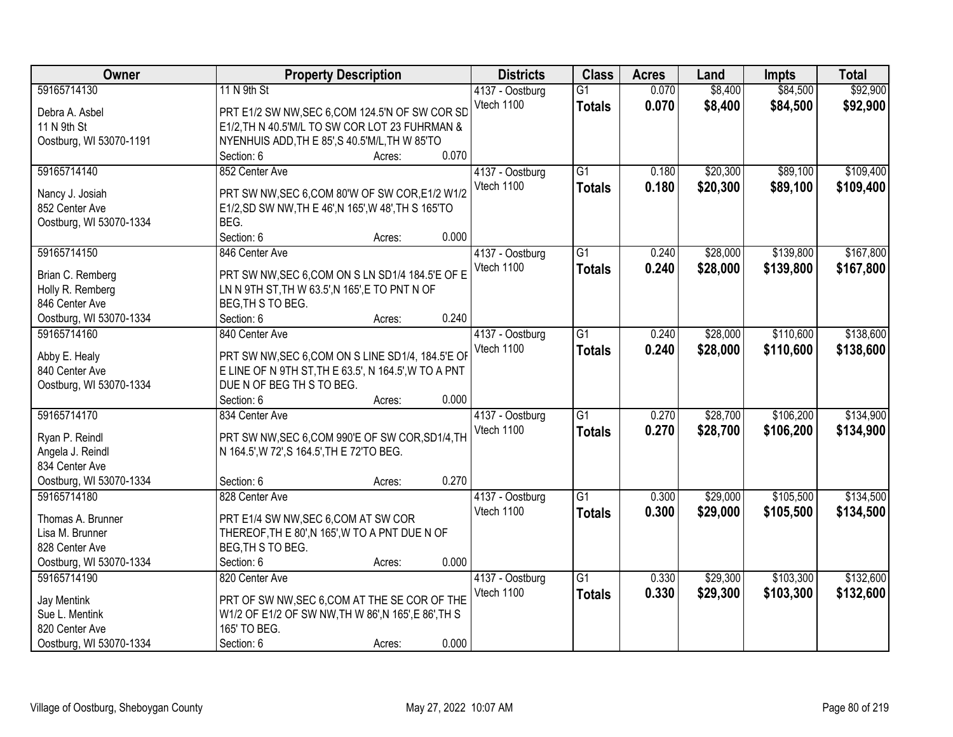| Owner                         | <b>Property Description</b>                                          | <b>Districts</b>              | <b>Class</b>    | <b>Acres</b> | Land     | <b>Impts</b> | <b>Total</b> |
|-------------------------------|----------------------------------------------------------------------|-------------------------------|-----------------|--------------|----------|--------------|--------------|
| 59165714130                   | 11 N 9th St                                                          | 4137 - Oostburg               | $\overline{G1}$ | 0.070        | \$8,400  | \$84,500     | \$92,900     |
| Debra A. Asbel                | PRT E1/2 SW NW, SEC 6, COM 124.5'N OF SW COR SD                      | Vtech 1100                    | <b>Totals</b>   | 0.070        | \$8,400  | \$84,500     | \$92,900     |
| 11 N 9th St                   | E1/2, TH N 40.5'M/L TO SW COR LOT 23 FUHRMAN &                       |                               |                 |              |          |              |              |
| Oostburg, WI 53070-1191       | NYENHUIS ADD, TH E 85', S 40.5'M/L, TH W 85'TO                       |                               |                 |              |          |              |              |
|                               | 0.070<br>Section: 6<br>Acres:                                        |                               |                 |              |          |              |              |
| 59165714140                   | 852 Center Ave                                                       | 4137 - Oostburg               | $\overline{G1}$ | 0.180        | \$20,300 | \$89,100     | \$109,400    |
|                               |                                                                      | Vtech 1100                    | <b>Totals</b>   | 0.180        | \$20,300 | \$89,100     | \$109,400    |
| Nancy J. Josiah               | PRT SW NW, SEC 6, COM 80'W OF SW COR, E1/2 W1/2                      |                               |                 |              |          |              |              |
| 852 Center Ave                | E1/2, SD SW NW, TH E 46', N 165', W 48', TH S 165'TO                 |                               |                 |              |          |              |              |
| Oostburg, WI 53070-1334       | BEG.                                                                 |                               |                 |              |          |              |              |
|                               | Section: 6<br>0.000<br>Acres:                                        |                               |                 |              |          |              |              |
| 59165714150                   | 846 Center Ave                                                       | 4137 - Oostburg               | $\overline{G1}$ | 0.240        | \$28,000 | \$139,800    | \$167,800    |
| Brian C. Remberg              | PRT SW NW, SEC 6, COM ON S LN SD1/4 184.5'E OF E                     | Vtech 1100                    | <b>Totals</b>   | 0.240        | \$28,000 | \$139,800    | \$167,800    |
| Holly R. Remberg              | LN N 9TH ST, TH W 63.5', N 165', E TO PNT N OF                       |                               |                 |              |          |              |              |
| 846 Center Ave                | BEG, TH S TO BEG.                                                    |                               |                 |              |          |              |              |
| Oostburg, WI 53070-1334       | 0.240<br>Section: 6<br>Acres:                                        |                               |                 |              |          |              |              |
| 59165714160                   | 840 Center Ave                                                       | 4137 - Oostburg               | G1              | 0.240        | \$28,000 | \$110,600    | \$138,600    |
|                               |                                                                      | Vtech 1100                    | <b>Totals</b>   | 0.240        | \$28,000 | \$110,600    | \$138,600    |
| Abby E. Healy                 | PRT SW NW, SEC 6, COM ON S LINE SD1/4, 184.5'E OF                    |                               |                 |              |          |              |              |
| 840 Center Ave                | E LINE OF N 9TH ST, TH E 63.5', N 164.5', W TO A PNT                 |                               |                 |              |          |              |              |
| Oostburg, WI 53070-1334       | DUE N OF BEG TH S TO BEG.                                            |                               |                 |              |          |              |              |
|                               | 0.000<br>Section: 6<br>Acres:                                        |                               |                 |              |          |              |              |
| 59165714170                   | 834 Center Ave                                                       | 4137 - Oostburg               | $\overline{G1}$ | 0.270        | \$28,700 | \$106,200    | \$134,900    |
| Ryan P. Reindl                | PRT SW NW, SEC 6, COM 990'E OF SW COR, SD1/4, TH                     | Vtech 1100                    | <b>Totals</b>   | 0.270        | \$28,700 | \$106,200    | \$134,900    |
| Angela J. Reindl              | N 164.5', W 72', S 164.5', TH E 72'TO BEG.                           |                               |                 |              |          |              |              |
| 834 Center Ave                |                                                                      |                               |                 |              |          |              |              |
| Oostburg, WI 53070-1334       | 0.270<br>Section: 6<br>Acres:                                        |                               |                 |              |          |              |              |
| 59165714180                   | 828 Center Ave                                                       |                               | $\overline{G1}$ | 0.300        | \$29,000 | \$105,500    | \$134,500    |
|                               |                                                                      | 4137 - Oostburg<br>Vtech 1100 |                 |              |          |              |              |
| Thomas A. Brunner             | PRT E1/4 SW NW, SEC 6, COM AT SW COR                                 |                               | <b>Totals</b>   | 0.300        | \$29,000 | \$105,500    | \$134,500    |
| Lisa M. Brunner               | THEREOF, TH E 80', N 165', W TO A PNT DUE N OF                       |                               |                 |              |          |              |              |
| 828 Center Ave                | BEG, TH S TO BEG.                                                    |                               |                 |              |          |              |              |
| Oostburg, WI 53070-1334       | 0.000<br>Section: 6<br>Acres:                                        |                               |                 |              |          |              |              |
| 59165714190                   | 820 Center Ave                                                       | 4137 - Oostburg               | $\overline{G1}$ | 0.330        | \$29,300 | \$103,300    | \$132,600    |
|                               | PRT OF SW NW, SEC 6, COM AT THE SE COR OF THE                        | Vtech 1100                    | <b>Totals</b>   | 0.330        | \$29,300 | \$103,300    | \$132,600    |
| Jay Mentink<br>Sue L. Mentink |                                                                      |                               |                 |              |          |              |              |
| 820 Center Ave                | W1/2 OF E1/2 OF SW NW, TH W 86', N 165', E 86', TH S<br>165' TO BEG. |                               |                 |              |          |              |              |
|                               | 0.000                                                                |                               |                 |              |          |              |              |
| Oostburg, WI 53070-1334       | Section: 6<br>Acres:                                                 |                               |                 |              |          |              |              |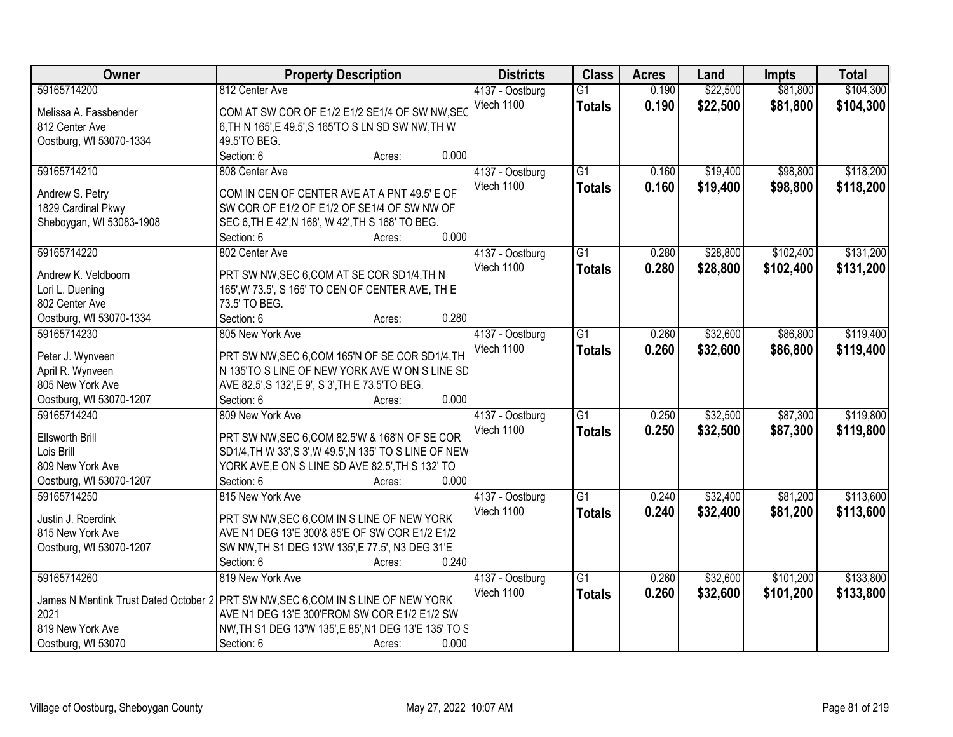| Owner                    | <b>Property Description</b>                                                       |       | <b>Districts</b> | <b>Class</b>    | <b>Acres</b> | Land     | <b>Impts</b> | <b>Total</b> |
|--------------------------|-----------------------------------------------------------------------------------|-------|------------------|-----------------|--------------|----------|--------------|--------------|
| 59165714200              | 812 Center Ave                                                                    |       | 4137 - Oostburg  | $\overline{G1}$ | 0.190        | \$22,500 | \$81,800     | \$104,300    |
| Melissa A. Fassbender    | COM AT SW COR OF E1/2 E1/2 SE1/4 OF SW NW, SEC                                    |       | Vtech 1100       | <b>Totals</b>   | 0.190        | \$22,500 | \$81,800     | \$104,300    |
| 812 Center Ave           | 6, TH N 165', E 49.5', S 165'TO S LN SD SW NW, TH W                               |       |                  |                 |              |          |              |              |
| Oostburg, WI 53070-1334  | 49.5'TO BEG.                                                                      |       |                  |                 |              |          |              |              |
|                          | Section: 6<br>Acres:                                                              | 0.000 |                  |                 |              |          |              |              |
| 59165714210              | 808 Center Ave                                                                    |       | 4137 - Oostburg  | $\overline{G1}$ | 0.160        | \$19,400 | \$98,800     | \$118,200    |
|                          |                                                                                   |       | Vtech 1100       | <b>Totals</b>   | 0.160        | \$19,400 | \$98,800     | \$118,200    |
| Andrew S. Petry          | COM IN CEN OF CENTER AVE AT A PNT 49.5' E OF                                      |       |                  |                 |              |          |              |              |
| 1829 Cardinal Pkwy       | SW COR OF E1/2 OF E1/2 OF SE1/4 OF SW NW OF                                       |       |                  |                 |              |          |              |              |
| Sheboygan, WI 53083-1908 | SEC 6, TH E 42', N 168', W 42', TH S 168' TO BEG.                                 |       |                  |                 |              |          |              |              |
|                          | Section: 6<br>Acres:                                                              | 0.000 |                  |                 |              |          |              |              |
| 59165714220              | 802 Center Ave                                                                    |       | 4137 - Oostburg  | G1              | 0.280        | \$28,800 | \$102,400    | \$131,200    |
| Andrew K. Veldboom       | PRT SW NW, SEC 6, COM AT SE COR SD1/4, TH N                                       |       | Vtech 1100       | <b>Totals</b>   | 0.280        | \$28,800 | \$102,400    | \$131,200    |
| Lori L. Duening          | 165', W 73.5', S 165' TO CEN OF CENTER AVE, TH E                                  |       |                  |                 |              |          |              |              |
| 802 Center Ave           | 73.5' TO BEG.                                                                     |       |                  |                 |              |          |              |              |
| Oostburg, WI 53070-1334  | Section: 6<br>Acres:                                                              | 0.280 |                  |                 |              |          |              |              |
| 59165714230              | 805 New York Ave                                                                  |       | 4137 - Oostburg  | $\overline{G1}$ | 0.260        | \$32,600 | \$86,800     | \$119,400    |
|                          |                                                                                   |       | Vtech 1100       | <b>Totals</b>   | 0.260        | \$32,600 | \$86,800     | \$119,400    |
| Peter J. Wynveen         | PRT SW NW, SEC 6, COM 165'N OF SE COR SD1/4, TH                                   |       |                  |                 |              |          |              |              |
| April R. Wynveen         | N 135'TO S LINE OF NEW YORK AVE W ON S LINE SD                                    |       |                  |                 |              |          |              |              |
| 805 New York Ave         | AVE 82.5', S 132', E 9', S 3', TH E 73.5' TO BEG.                                 |       |                  |                 |              |          |              |              |
| Oostburg, WI 53070-1207  | Section: 6<br>Acres:                                                              | 0.000 |                  |                 |              |          |              |              |
| 59165714240              | 809 New York Ave                                                                  |       | 4137 - Oostburg  | $\overline{G1}$ | 0.250        | \$32,500 | \$87,300     | \$119,800    |
| Ellsworth Brill          | PRT SW NW, SEC 6, COM 82.5'W & 168'N OF SE COR                                    |       | Vtech 1100       | <b>Totals</b>   | 0.250        | \$32,500 | \$87,300     | \$119,800    |
| Lois Brill               | SD1/4, TH W 33', S 3', W 49.5', N 135' TO S LINE OF NEW                           |       |                  |                 |              |          |              |              |
| 809 New York Ave         | YORK AVE, E ON S LINE SD AVE 82.5', TH S 132' TO                                  |       |                  |                 |              |          |              |              |
| Oostburg, WI 53070-1207  | Section: 6<br>Acres:                                                              | 0.000 |                  |                 |              |          |              |              |
| 59165714250              | 815 New York Ave                                                                  |       | 4137 - Oostburg  | $\overline{G1}$ | 0.240        | \$32,400 | \$81,200     | \$113,600    |
|                          |                                                                                   |       | Vtech 1100       | <b>Totals</b>   | 0.240        | \$32,400 | \$81,200     | \$113,600    |
| Justin J. Roerdink       | PRT SW NW, SEC 6, COM IN S LINE OF NEW YORK                                       |       |                  |                 |              |          |              |              |
| 815 New York Ave         | AVE N1 DEG 13'E 300'& 85'E OF SW COR E1/2 E1/2                                    |       |                  |                 |              |          |              |              |
| Oostburg, WI 53070-1207  | SW NW, TH S1 DEG 13'W 135', E 77.5', N3 DEG 31'E                                  |       |                  |                 |              |          |              |              |
|                          | Section: 6<br>Acres:                                                              | 0.240 |                  |                 |              |          |              |              |
| 59165714260              | 819 New York Ave                                                                  |       | 4137 - Oostburg  | $\overline{G1}$ | 0.260        | \$32,600 | \$101,200    | \$133,800    |
|                          | James N Mentink Trust Dated October 2 PRT SW NW, SEC 6, COM IN S LINE OF NEW YORK |       | Vtech 1100       | <b>Totals</b>   | 0.260        | \$32,600 | \$101,200    | \$133,800    |
| 2021                     | AVE N1 DEG 13'E 300'FROM SW COR E1/2 E1/2 SW                                      |       |                  |                 |              |          |              |              |
| 819 New York Ave         | NW, TH S1 DEG 13'W 135', E 85', N1 DEG 13'E 135' TO S                             |       |                  |                 |              |          |              |              |
| Oostburg, WI 53070       | Section: 6<br>Acres:                                                              | 0.000 |                  |                 |              |          |              |              |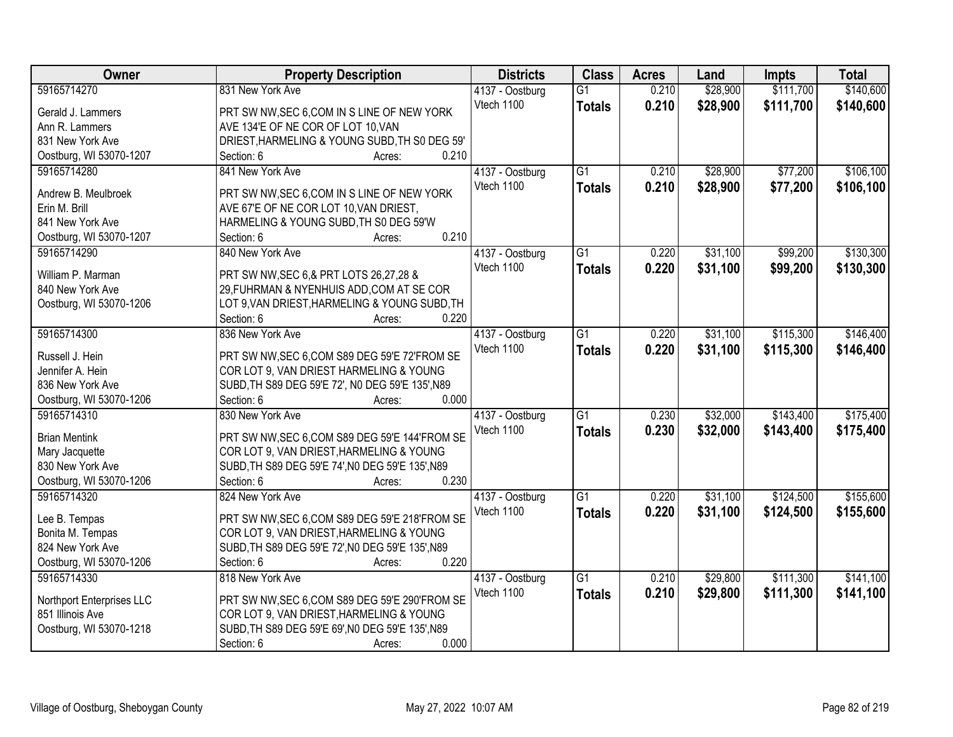| <b>Owner</b>              | <b>Property Description</b>                      | <b>Districts</b> | <b>Class</b>    | <b>Acres</b> | Land     | <b>Impts</b> | <b>Total</b> |
|---------------------------|--------------------------------------------------|------------------|-----------------|--------------|----------|--------------|--------------|
| 59165714270               | 831 New York Ave                                 | 4137 - Oostburg  | $\overline{G1}$ | 0.210        | \$28,900 | \$111,700    | \$140,600    |
| Gerald J. Lammers         | PRT SW NW, SEC 6, COM IN S LINE OF NEW YORK      | Vtech 1100       | <b>Totals</b>   | 0.210        | \$28,900 | \$111,700    | \$140,600    |
| Ann R. Lammers            | AVE 134'E OF NE COR OF LOT 10, VAN               |                  |                 |              |          |              |              |
| 831 New York Ave          | DRIEST, HARMELING & YOUNG SUBD, TH S0 DEG 59'    |                  |                 |              |          |              |              |
| Oostburg, WI 53070-1207   | 0.210<br>Section: 6<br>Acres:                    |                  |                 |              |          |              |              |
| 59165714280               | 841 New York Ave                                 | 4137 - Oostburg  | $\overline{G1}$ | 0.210        | \$28,900 | \$77,200     | \$106,100    |
|                           |                                                  | Vtech 1100       | <b>Totals</b>   | 0.210        | \$28,900 | \$77,200     | \$106,100    |
| Andrew B. Meulbroek       | PRT SW NW, SEC 6, COM IN S LINE OF NEW YORK      |                  |                 |              |          |              |              |
| Erin M. Brill             | AVE 67'E OF NE COR LOT 10, VAN DRIEST,           |                  |                 |              |          |              |              |
| 841 New York Ave          | HARMELING & YOUNG SUBD, TH S0 DEG 59'W           |                  |                 |              |          |              |              |
| Oostburg, WI 53070-1207   | 0.210<br>Section: 6<br>Acres:                    |                  |                 |              |          |              |              |
| 59165714290               | 840 New York Ave                                 | 4137 - Oostburg  | $\overline{G1}$ | 0.220        | \$31,100 | \$99,200     | \$130,300    |
| William P. Marman         | PRT SW NW, SEC 6, & PRT LOTS 26, 27, 28 &        | Vtech 1100       | <b>Totals</b>   | 0.220        | \$31,100 | \$99,200     | \$130,300    |
| 840 New York Ave          | 29, FUHRMAN & NYENHUIS ADD, COM AT SE COR        |                  |                 |              |          |              |              |
| Oostburg, WI 53070-1206   | LOT 9, VAN DRIEST, HARMELING & YOUNG SUBD, TH    |                  |                 |              |          |              |              |
|                           | Section: 6<br>0.220<br>Acres:                    |                  |                 |              |          |              |              |
| 59165714300               | 836 New York Ave                                 | 4137 - Oostburg  | $\overline{G1}$ | 0.220        | \$31,100 | \$115,300    | \$146,400    |
|                           |                                                  | Vtech 1100       | <b>Totals</b>   | 0.220        | \$31,100 | \$115,300    | \$146,400    |
| Russell J. Hein           | PRT SW NW, SEC 6, COM S89 DEG 59'E 72'FROM SE    |                  |                 |              |          |              |              |
| Jennifer A. Hein          | COR LOT 9, VAN DRIEST HARMELING & YOUNG          |                  |                 |              |          |              |              |
| 836 New York Ave          | SUBD, TH S89 DEG 59'E 72', N0 DEG 59'E 135', N89 |                  |                 |              |          |              |              |
| Oostburg, WI 53070-1206   | 0.000<br>Section: 6<br>Acres:                    |                  |                 |              |          |              |              |
| 59165714310               | 830 New York Ave                                 | 4137 - Oostburg  | $\overline{G1}$ | 0.230        | \$32,000 | \$143,400    | \$175,400    |
| <b>Brian Mentink</b>      | PRT SW NW, SEC 6, COM S89 DEG 59'E 144'FROM SE   | Vtech 1100       | <b>Totals</b>   | 0.230        | \$32,000 | \$143,400    | \$175,400    |
| Mary Jacquette            | COR LOT 9, VAN DRIEST, HARMELING & YOUNG         |                  |                 |              |          |              |              |
| 830 New York Ave          | SUBD, TH S89 DEG 59'E 74', N0 DEG 59'E 135', N89 |                  |                 |              |          |              |              |
| Oostburg, WI 53070-1206   | 0.230<br>Section: 6<br>Acres:                    |                  |                 |              |          |              |              |
| 59165714320               |                                                  |                  | G1              |              |          |              | \$155,600    |
|                           | 824 New York Ave                                 | 4137 - Oostburg  |                 | 0.220        | \$31,100 | \$124,500    |              |
| Lee B. Tempas             | PRT SW NW, SEC 6, COM S89 DEG 59'E 218'FROM SE   | Vtech 1100       | <b>Totals</b>   | 0.220        | \$31,100 | \$124,500    | \$155,600    |
| Bonita M. Tempas          | COR LOT 9, VAN DRIEST, HARMELING & YOUNG         |                  |                 |              |          |              |              |
| 824 New York Ave          | SUBD, TH S89 DEG 59'E 72', N0 DEG 59'E 135', N89 |                  |                 |              |          |              |              |
| Oostburg, WI 53070-1206   | 0.220<br>Section: 6<br>Acres:                    |                  |                 |              |          |              |              |
| 59165714330               | 818 New York Ave                                 | 4137 - Oostburg  | $\overline{G1}$ | 0.210        | \$29,800 | \$111,300    | \$141,100    |
|                           |                                                  | Vtech 1100       | <b>Totals</b>   | 0.210        | \$29,800 | \$111,300    | \$141,100    |
| Northport Enterprises LLC | PRT SW NW, SEC 6, COM S89 DEG 59'E 290'FROM SE   |                  |                 |              |          |              |              |
| 851 Illinois Ave          | COR LOT 9, VAN DRIEST, HARMELING & YOUNG         |                  |                 |              |          |              |              |
| Oostburg, WI 53070-1218   | SUBD, TH S89 DEG 59'E 69', N0 DEG 59'E 135', N89 |                  |                 |              |          |              |              |
|                           | 0.000<br>Section: 6<br>Acres:                    |                  |                 |              |          |              |              |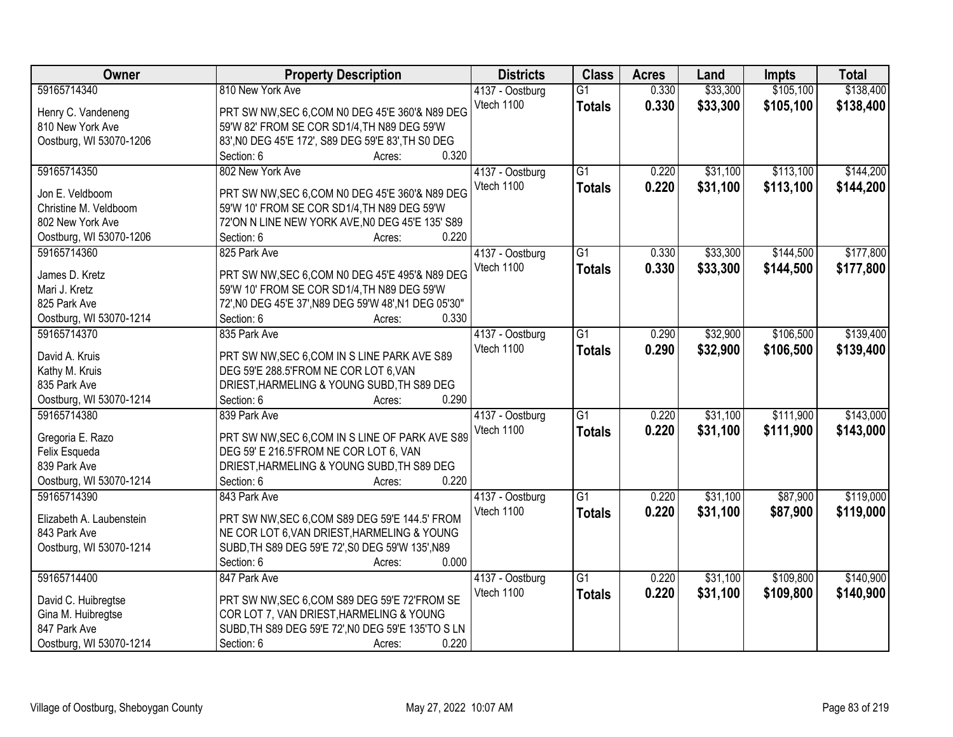| Owner                    | <b>Property Description</b>                           | <b>Districts</b> | <b>Class</b>    | <b>Acres</b> | Land     | <b>Impts</b> | <b>Total</b> |
|--------------------------|-------------------------------------------------------|------------------|-----------------|--------------|----------|--------------|--------------|
| 59165714340              | 810 New York Ave                                      | 4137 - Oostburg  | $\overline{G1}$ | 0.330        | \$33,300 | \$105,100    | \$138,400    |
| Henry C. Vandeneng       | PRT SW NW, SEC 6, COM N0 DEG 45'E 360'& N89 DEG       | Vtech 1100       | <b>Totals</b>   | 0.330        | \$33,300 | \$105,100    | \$138,400    |
| 810 New York Ave         | 59'W 82' FROM SE COR SD1/4, TH N89 DEG 59'W           |                  |                 |              |          |              |              |
| Oostburg, WI 53070-1206  | 83', N0 DEG 45'E 172', S89 DEG 59'E 83', TH S0 DEG    |                  |                 |              |          |              |              |
|                          | 0.320<br>Section: 6<br>Acres:                         |                  |                 |              |          |              |              |
| 59165714350              | 802 New York Ave                                      | 4137 - Oostburg  | $\overline{G1}$ | 0.220        | \$31,100 | \$113,100    | \$144,200    |
|                          |                                                       | Vtech 1100       | <b>Totals</b>   | 0.220        | \$31,100 | \$113,100    | \$144,200    |
| Jon E. Veldboom          | PRT SW NW, SEC 6, COM N0 DEG 45'E 360'& N89 DEG       |                  |                 |              |          |              |              |
| Christine M. Veldboom    | 59'W 10' FROM SE COR SD1/4, TH N89 DEG 59'W           |                  |                 |              |          |              |              |
| 802 New York Ave         | 72'ON N LINE NEW YORK AVE, NO DEG 45'E 135' S89       |                  |                 |              |          |              |              |
| Oostburg, WI 53070-1206  | 0.220<br>Section: 6<br>Acres:                         |                  |                 |              |          |              |              |
| 59165714360              | 825 Park Ave                                          | 4137 - Oostburg  | G1              | 0.330        | \$33,300 | \$144,500    | \$177,800    |
| James D. Kretz           | PRT SW NW, SEC 6, COM N0 DEG 45'E 495'& N89 DEG       | Vtech 1100       | <b>Totals</b>   | 0.330        | \$33,300 | \$144,500    | \$177,800    |
| Mari J. Kretz            |                                                       |                  |                 |              |          |              |              |
|                          | 59'W 10' FROM SE COR SD1/4, TH N89 DEG 59'W           |                  |                 |              |          |              |              |
| 825 Park Ave             | 72', N0 DEG 45'E 37', N89 DEG 59'W 48', N1 DEG 05'30" |                  |                 |              |          |              |              |
| Oostburg, WI 53070-1214  | 0.330<br>Section: 6<br>Acres:                         |                  |                 |              |          |              |              |
| 59165714370              | 835 Park Ave                                          | 4137 - Oostburg  | $\overline{G1}$ | 0.290        | \$32,900 | \$106,500    | \$139,400    |
| David A. Kruis           | PRT SW NW, SEC 6, COM IN S LINE PARK AVE S89          | Vtech 1100       | <b>Totals</b>   | 0.290        | \$32,900 | \$106,500    | \$139,400    |
| Kathy M. Kruis           | DEG 59'E 288.5'FROM NE COR LOT 6, VAN                 |                  |                 |              |          |              |              |
| 835 Park Ave             | DRIEST, HARMELING & YOUNG SUBD, TH S89 DEG            |                  |                 |              |          |              |              |
| Oostburg, WI 53070-1214  | 0.290<br>Section: 6<br>Acres:                         |                  |                 |              |          |              |              |
| 59165714380              | 839 Park Ave                                          |                  | $\overline{G1}$ | 0.220        | \$31,100 | \$111,900    | \$143,000    |
|                          |                                                       | 4137 - Oostburg  |                 |              |          |              |              |
| Gregoria E. Razo         | PRT SW NW, SEC 6, COM IN S LINE OF PARK AVE S89       | Vtech 1100       | <b>Totals</b>   | 0.220        | \$31,100 | \$111,900    | \$143,000    |
| Felix Esqueda            | DEG 59' E 216.5'FROM NE COR LOT 6, VAN                |                  |                 |              |          |              |              |
| 839 Park Ave             | DRIEST, HARMELING & YOUNG SUBD, TH S89 DEG            |                  |                 |              |          |              |              |
| Oostburg, WI 53070-1214  | 0.220<br>Section: 6<br>Acres:                         |                  |                 |              |          |              |              |
| 59165714390              | 843 Park Ave                                          | 4137 - Oostburg  | $\overline{G1}$ | 0.220        | \$31,100 | \$87,900     | \$119,000    |
|                          |                                                       | Vtech 1100       | <b>Totals</b>   | 0.220        | \$31,100 | \$87,900     | \$119,000    |
| Elizabeth A. Laubenstein | PRT SW NW, SEC 6, COM S89 DEG 59'E 144.5' FROM        |                  |                 |              |          |              |              |
| 843 Park Ave             | NE COR LOT 6, VAN DRIEST, HARMELING & YOUNG           |                  |                 |              |          |              |              |
| Oostburg, WI 53070-1214  | SUBD, TH S89 DEG 59'E 72', S0 DEG 59'W 135', N89      |                  |                 |              |          |              |              |
|                          | 0.000<br>Section: 6<br>Acres:                         |                  |                 |              |          |              |              |
| 59165714400              | 847 Park Ave                                          | 4137 - Oostburg  | $\overline{G1}$ | 0.220        | \$31,100 | \$109,800    | \$140,900    |
| David C. Huibregtse      | PRT SW NW, SEC 6, COM S89 DEG 59'E 72'FROM SE         | Vtech 1100       | <b>Totals</b>   | 0.220        | \$31,100 | \$109,800    | \$140,900    |
| Gina M. Huibregtse       | COR LOT 7, VAN DRIEST, HARMELING & YOUNG              |                  |                 |              |          |              |              |
| 847 Park Ave             | SUBD, TH S89 DEG 59'E 72', N0 DEG 59'E 135'TO S LN    |                  |                 |              |          |              |              |
|                          | 0.220                                                 |                  |                 |              |          |              |              |
| Oostburg, WI 53070-1214  | Section: 6<br>Acres:                                  |                  |                 |              |          |              |              |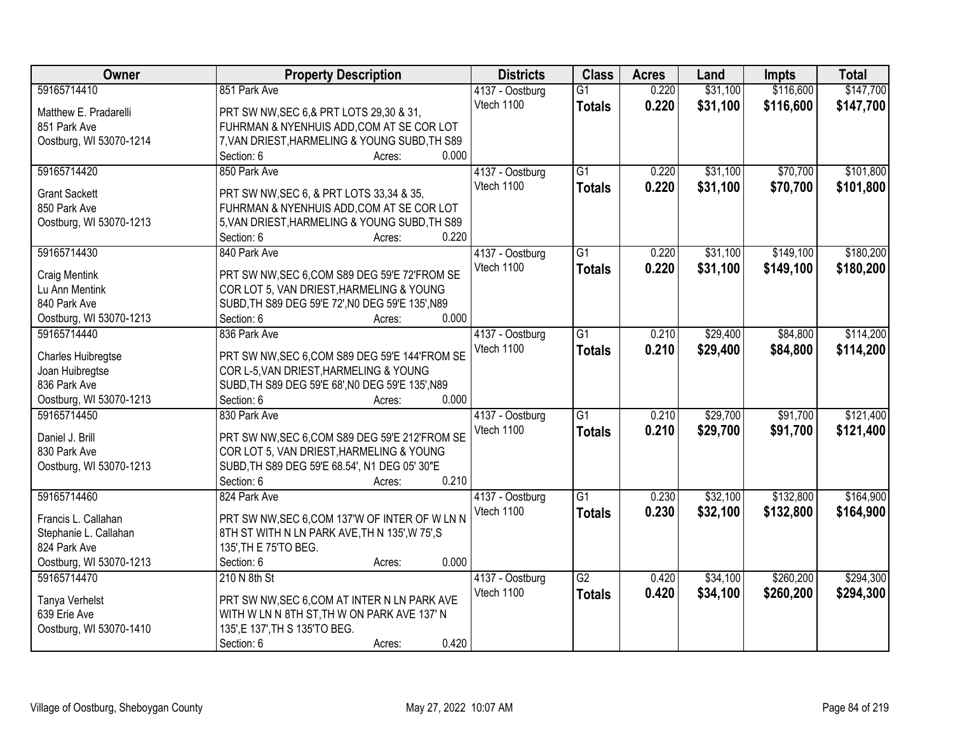| Owner                                  | <b>Property Description</b>                               | <b>Districts</b> | <b>Class</b>    | <b>Acres</b> | Land     | <b>Impts</b> | <b>Total</b> |
|----------------------------------------|-----------------------------------------------------------|------------------|-----------------|--------------|----------|--------------|--------------|
| 59165714410                            | 851 Park Ave                                              | 4137 - Oostburg  | $\overline{G1}$ | 0.220        | \$31,100 | \$116,600    | \$147,700    |
| Matthew E. Pradarelli                  | PRT SW NW, SEC 6, & PRT LOTS 29, 30 & 31,                 | Vtech 1100       | <b>Totals</b>   | 0.220        | \$31,100 | \$116,600    | \$147,700    |
| 851 Park Ave                           | FUHRMAN & NYENHUIS ADD, COM AT SE COR LOT                 |                  |                 |              |          |              |              |
| Oostburg, WI 53070-1214                | 7, VAN DRIEST, HARMELING & YOUNG SUBD, TH S89             |                  |                 |              |          |              |              |
|                                        | 0.000<br>Section: 6<br>Acres:                             |                  |                 |              |          |              |              |
| 59165714420                            | 850 Park Ave                                              | 4137 - Oostburg  | $\overline{G1}$ | 0.220        | \$31,100 | \$70,700     | \$101,800    |
|                                        |                                                           | Vtech 1100       | <b>Totals</b>   | 0.220        | \$31,100 | \$70,700     | \$101,800    |
| <b>Grant Sackett</b>                   | PRT SW NW, SEC 6, & PRT LOTS 33,34 & 35,                  |                  |                 |              |          |              |              |
| 850 Park Ave                           | FUHRMAN & NYENHUIS ADD, COM AT SE COR LOT                 |                  |                 |              |          |              |              |
| Oostburg, WI 53070-1213                | 5, VAN DRIEST, HARMELING & YOUNG SUBD, TH S89             |                  |                 |              |          |              |              |
|                                        | 0.220<br>Section: 6<br>Acres:                             |                  |                 |              |          |              |              |
| 59165714430                            | 840 Park Ave                                              | 4137 - Oostburg  | $\overline{G1}$ | 0.220        | \$31,100 | \$149,100    | \$180,200    |
| Craig Mentink                          | PRT SW NW, SEC 6, COM S89 DEG 59'E 72'FROM SE             | Vtech 1100       | <b>Totals</b>   | 0.220        | \$31,100 | \$149,100    | \$180,200    |
| Lu Ann Mentink                         | COR LOT 5, VAN DRIEST, HARMELING & YOUNG                  |                  |                 |              |          |              |              |
| 840 Park Ave                           | SUBD, TH S89 DEG 59'E 72', N0 DEG 59'E 135', N89          |                  |                 |              |          |              |              |
| Oostburg, WI 53070-1213                | 0.000<br>Section: 6<br>Acres:                             |                  |                 |              |          |              |              |
| 59165714440                            | 836 Park Ave                                              | 4137 - Oostburg  | $\overline{G1}$ | 0.210        | \$29,400 | \$84,800     | \$114,200    |
|                                        |                                                           | Vtech 1100       | <b>Totals</b>   | 0.210        | \$29,400 | \$84,800     | \$114,200    |
| <b>Charles Huibregtse</b>              | PRT SW NW, SEC 6, COM S89 DEG 59'E 144'FROM SE            |                  |                 |              |          |              |              |
| Joan Huibregtse                        | COR L-5, VAN DRIEST, HARMELING & YOUNG                    |                  |                 |              |          |              |              |
| 836 Park Ave                           | SUBD, TH S89 DEG 59'E 68', N0 DEG 59'E 135', N89<br>0.000 |                  |                 |              |          |              |              |
| Oostburg, WI 53070-1213<br>59165714450 | Section: 6<br>Acres:<br>830 Park Ave                      |                  | $\overline{G1}$ | 0.210        | \$29,700 | \$91,700     | \$121,400    |
|                                        |                                                           | 4137 - Oostburg  |                 |              |          |              |              |
| Daniel J. Brill                        | PRT SW NW, SEC 6, COM S89 DEG 59'E 212'FROM SE            | Vtech 1100       | <b>Totals</b>   | 0.210        | \$29,700 | \$91,700     | \$121,400    |
| 830 Park Ave                           | COR LOT 5, VAN DRIEST, HARMELING & YOUNG                  |                  |                 |              |          |              |              |
| Oostburg, WI 53070-1213                | SUBD, TH S89 DEG 59'E 68.54', N1 DEG 05' 30"E             |                  |                 |              |          |              |              |
|                                        | Section: 6<br>0.210<br>Acres:                             |                  |                 |              |          |              |              |
| 59165714460                            | 824 Park Ave                                              | 4137 - Oostburg  | $\overline{G1}$ | 0.230        | \$32,100 | \$132,800    | \$164,900    |
| Francis L. Callahan                    | PRT SW NW, SEC 6, COM 137'W OF INTER OF W LN N            | Vtech 1100       | <b>Totals</b>   | 0.230        | \$32,100 | \$132,800    | \$164,900    |
| Stephanie L. Callahan                  | 8TH ST WITH N LN PARK AVE, TH N 135', W 75', S            |                  |                 |              |          |              |              |
| 824 Park Ave                           | 135', TH E 75'TO BEG.                                     |                  |                 |              |          |              |              |
| Oostburg, WI 53070-1213                | 0.000<br>Section: 6<br>Acres:                             |                  |                 |              |          |              |              |
| 59165714470                            | 210 N 8th St                                              | 4137 - Oostburg  | $\overline{G2}$ | 0.420        | \$34,100 | \$260,200    | \$294,300    |
|                                        |                                                           | Vtech 1100       | <b>Totals</b>   | 0.420        | \$34,100 | \$260,200    | \$294,300    |
| Tanya Verhelst                         | PRT SW NW, SEC 6, COM AT INTER N LN PARK AVE              |                  |                 |              |          |              |              |
| 639 Erie Ave                           | WITH W LN N 8TH ST, TH W ON PARK AVE 137' N               |                  |                 |              |          |              |              |
| Oostburg, WI 53070-1410                | 135', E 137', TH S 135'TO BEG.                            |                  |                 |              |          |              |              |
|                                        | 0.420<br>Section: 6<br>Acres:                             |                  |                 |              |          |              |              |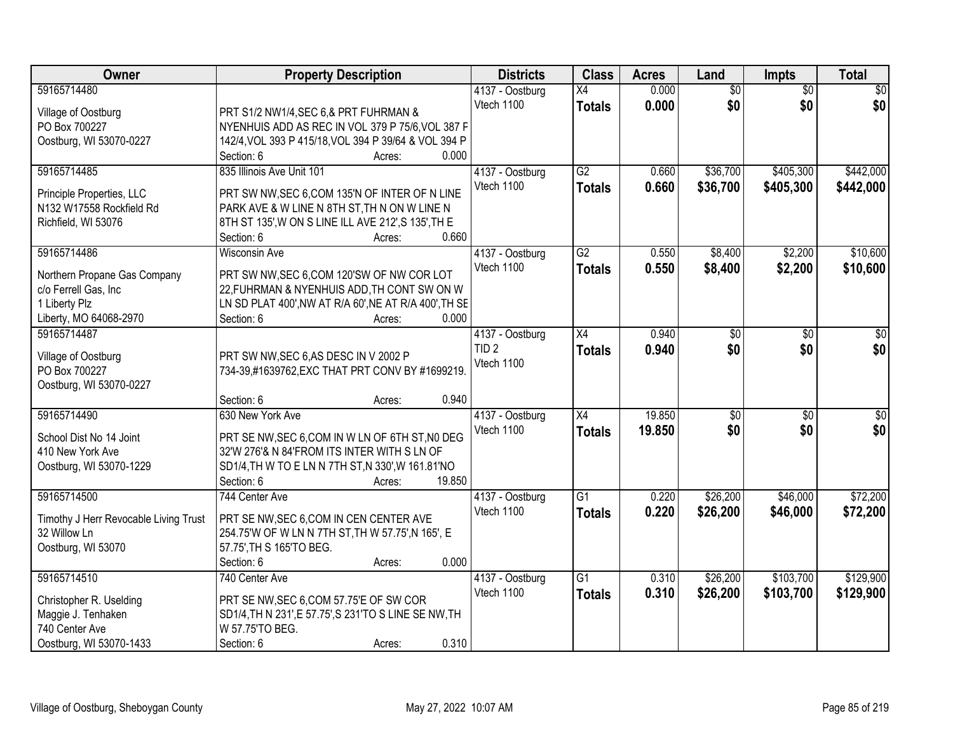| <b>Owner</b>                          | <b>Property Description</b>                                                          | <b>Districts</b> | <b>Class</b>    | <b>Acres</b> | Land            | <b>Impts</b>    | <b>Total</b> |
|---------------------------------------|--------------------------------------------------------------------------------------|------------------|-----------------|--------------|-----------------|-----------------|--------------|
| 59165714480                           |                                                                                      | 4137 - Oostburg  | X4              | 0.000        | $\overline{50}$ | $\overline{50}$ | $\sqrt{30}$  |
| Village of Oostburg                   | PRT S1/2 NW1/4, SEC 6,& PRT FUHRMAN &                                                | Vtech 1100       | <b>Totals</b>   | 0.000        | \$0             | \$0             | \$0          |
| PO Box 700227                         | NYENHUIS ADD AS REC IN VOL 379 P 75/6, VOL 387 F                                     |                  |                 |              |                 |                 |              |
| Oostburg, WI 53070-0227               | 142/4, VOL 393 P 415/18, VOL 394 P 39/64 & VOL 394 P                                 |                  |                 |              |                 |                 |              |
|                                       | 0.000<br>Section: 6<br>Acres:                                                        |                  |                 |              |                 |                 |              |
| 59165714485                           | 835 Illinois Ave Unit 101                                                            | 4137 - Oostburg  | G2              | 0.660        | \$36,700        | \$405,300       | \$442,000    |
|                                       |                                                                                      | Vtech 1100       | <b>Totals</b>   | 0.660        | \$36,700        | \$405,300       | \$442,000    |
| Principle Properties, LLC             | PRT SW NW, SEC 6, COM 135'N OF INTER OF N LINE                                       |                  |                 |              |                 |                 |              |
| N132 W17558 Rockfield Rd              | PARK AVE & W LINE N 8TH ST, TH N ON W LINE N                                         |                  |                 |              |                 |                 |              |
| Richfield, WI 53076                   | 8TH ST 135', W ON S LINE ILL AVE 212', S 135', TH E<br>0.660<br>Section: 6<br>Acres: |                  |                 |              |                 |                 |              |
| 59165714486                           | <b>Wisconsin Ave</b>                                                                 | 4137 - Oostburg  | $\overline{G2}$ | 0.550        | \$8,400         | \$2,200         | \$10,600     |
|                                       |                                                                                      | Vtech 1100       |                 |              |                 |                 |              |
| Northern Propane Gas Company          | PRT SW NW, SEC 6, COM 120'SW OF NW COR LOT                                           |                  | <b>Totals</b>   | 0.550        | \$8,400         | \$2,200         | \$10,600     |
| c/o Ferrell Gas, Inc                  | 22, FUHRMAN & NYENHUIS ADD, TH CONT SW ON W                                          |                  |                 |              |                 |                 |              |
| 1 Liberty Plz                         | LN SD PLAT 400', NW AT R/A 60', NE AT R/A 400', TH SE                                |                  |                 |              |                 |                 |              |
| Liberty, MO 64068-2970                | Section: 6<br>0.000<br>Acres:                                                        |                  |                 |              |                 |                 |              |
| 59165714487                           |                                                                                      | 4137 - Oostburg  | $\overline{X4}$ | 0.940        | \$0             | $\sqrt{6}$      | \$0          |
| Village of Oostburg                   | PRT SW NW, SEC 6, AS DESC IN V 2002 P                                                | TID <sub>2</sub> | <b>Totals</b>   | 0.940        | \$0             | \$0             | \$0          |
| PO Box 700227                         | 734-39,#1639762, EXC THAT PRT CONV BY #1699219.                                      | Vtech 1100       |                 |              |                 |                 |              |
| Oostburg, WI 53070-0227               |                                                                                      |                  |                 |              |                 |                 |              |
|                                       | 0.940<br>Section: 6<br>Acres:                                                        |                  |                 |              |                 |                 |              |
| 59165714490                           | 630 New York Ave                                                                     | 4137 - Oostburg  | $\overline{X4}$ | 19.850       | \$0             | $\overline{50}$ | $\sqrt{50}$  |
|                                       |                                                                                      | Vtech 1100       | <b>Totals</b>   | 19.850       | \$0             | \$0             | \$0          |
| School Dist No 14 Joint               | PRT SE NW, SEC 6, COM IN W LN OF 6TH ST, NO DEG                                      |                  |                 |              |                 |                 |              |
| 410 New York Ave                      | 32'W 276'& N 84'FROM ITS INTER WITH S LN OF                                          |                  |                 |              |                 |                 |              |
| Oostburg, WI 53070-1229               | SD1/4, TH W TO E LN N 7TH ST, N 330', W 161.81'NO                                    |                  |                 |              |                 |                 |              |
|                                       | Section: 6<br>19.850<br>Acres:                                                       |                  |                 |              |                 |                 |              |
| 59165714500                           | 744 Center Ave                                                                       | 4137 - Oostburg  | $\overline{G1}$ | 0.220        | \$26,200        | \$46,000        | \$72,200     |
| Timothy J Herr Revocable Living Trust | PRT SE NW, SEC 6, COM IN CEN CENTER AVE                                              | Vtech 1100       | <b>Totals</b>   | 0.220        | \$26,200        | \$46,000        | \$72,200     |
| 32 Willow Ln                          | 254.75'W OF W LN N 7TH ST, TH W 57.75', N 165', E                                    |                  |                 |              |                 |                 |              |
| Oostburg, WI 53070                    | 57.75', TH S 165'TO BEG.                                                             |                  |                 |              |                 |                 |              |
|                                       | 0.000<br>Section: 6<br>Acres:                                                        |                  |                 |              |                 |                 |              |
| 59165714510                           | 740 Center Ave                                                                       | 4137 - Oostburg  | $\overline{G1}$ | 0.310        | \$26,200        | \$103,700       | \$129,900    |
|                                       |                                                                                      | Vtech 1100       | <b>Totals</b>   | 0.310        | \$26,200        | \$103,700       | \$129,900    |
| Christopher R. Uselding               | PRT SE NW, SEC 6, COM 57.75'E OF SW COR                                              |                  |                 |              |                 |                 |              |
| Maggie J. Tenhaken                    | SD1/4, TH N 231', E 57.75', S 231'TO S LINE SE NW, TH                                |                  |                 |              |                 |                 |              |
| 740 Center Ave                        | W 57.75'TO BEG.                                                                      |                  |                 |              |                 |                 |              |
| Oostburg, WI 53070-1433               | 0.310<br>Section: 6<br>Acres:                                                        |                  |                 |              |                 |                 |              |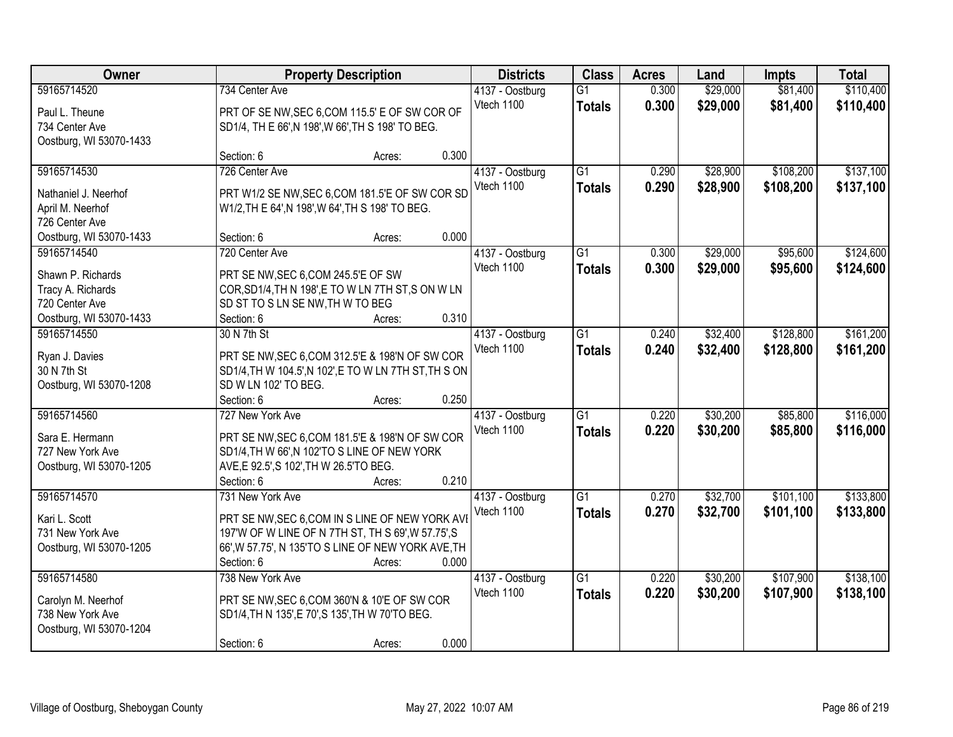| Owner                   |                                                       | <b>Property Description</b> |       | <b>Districts</b> | <b>Class</b>    | <b>Acres</b> | Land     | <b>Impts</b> | <b>Total</b> |
|-------------------------|-------------------------------------------------------|-----------------------------|-------|------------------|-----------------|--------------|----------|--------------|--------------|
| 59165714520             | 734 Center Ave                                        |                             |       | 4137 - Oostburg  | $\overline{G1}$ | 0.300        | \$29,000 | \$81,400     | \$110,400    |
| Paul L. Theune          | PRT OF SE NW, SEC 6, COM 115.5' E OF SW COR OF        |                             |       | Vtech 1100       | <b>Totals</b>   | 0.300        | \$29,000 | \$81,400     | \$110,400    |
| 734 Center Ave          | SD1/4, TH E 66', N 198', W 66', TH S 198' TO BEG.     |                             |       |                  |                 |              |          |              |              |
| Oostburg, WI 53070-1433 |                                                       |                             |       |                  |                 |              |          |              |              |
|                         | Section: 6                                            | Acres:                      | 0.300 |                  |                 |              |          |              |              |
| 59165714530             | 726 Center Ave                                        |                             |       | 4137 - Oostburg  | $\overline{G1}$ | 0.290        | \$28,900 | \$108,200    | \$137,100    |
| Nathaniel J. Neerhof    | PRT W1/2 SE NW, SEC 6, COM 181.5'E OF SW COR SD       |                             |       | Vtech 1100       | <b>Totals</b>   | 0.290        | \$28,900 | \$108,200    | \$137,100    |
| April M. Neerhof        | W1/2, TH E 64', N 198', W 64', TH S 198' TO BEG.      |                             |       |                  |                 |              |          |              |              |
| 726 Center Ave          |                                                       |                             |       |                  |                 |              |          |              |              |
| Oostburg, WI 53070-1433 | Section: 6                                            | Acres:                      | 0.000 |                  |                 |              |          |              |              |
| 59165714540             | 720 Center Ave                                        |                             |       | 4137 - Oostburg  | G1              | 0.300        | \$29,000 | \$95,600     | \$124,600    |
|                         |                                                       |                             |       | Vtech 1100       | <b>Totals</b>   | 0.300        | \$29,000 | \$95,600     | \$124,600    |
| Shawn P. Richards       | PRT SE NW, SEC 6, COM 245.5'E OF SW                   |                             |       |                  |                 |              |          |              |              |
| Tracy A. Richards       | COR, SD1/4, TH N 198', E TO W LN 7TH ST, S ON W LN    |                             |       |                  |                 |              |          |              |              |
| 720 Center Ave          | SD ST TO S LN SE NW, TH W TO BEG                      |                             |       |                  |                 |              |          |              |              |
| Oostburg, WI 53070-1433 | Section: 6                                            | Acres:                      | 0.310 |                  |                 |              |          |              |              |
| 59165714550             | 30 N 7th St                                           |                             |       | 4137 - Oostburg  | G1              | 0.240        | \$32,400 | \$128,800    | \$161,200    |
| Ryan J. Davies          | PRT SE NW, SEC 6, COM 312.5'E & 198'N OF SW COR       |                             |       | Vtech 1100       | <b>Totals</b>   | 0.240        | \$32,400 | \$128,800    | \$161,200    |
| 30 N 7th St             | SD1/4, TH W 104.5', N 102', E TO W LN 7TH ST, TH S ON |                             |       |                  |                 |              |          |              |              |
| Oostburg, WI 53070-1208 | SD W LN 102' TO BEG.                                  |                             |       |                  |                 |              |          |              |              |
|                         | Section: 6                                            | Acres:                      | 0.250 |                  |                 |              |          |              |              |
| 59165714560             | 727 New York Ave                                      |                             |       | 4137 - Oostburg  | $\overline{G1}$ | 0.220        | \$30,200 | \$85,800     | \$116,000    |
|                         |                                                       |                             |       | Vtech 1100       | <b>Totals</b>   | 0.220        | \$30,200 | \$85,800     | \$116,000    |
| Sara E. Hermann         | PRT SE NW, SEC 6, COM 181.5'E & 198'N OF SW COR       |                             |       |                  |                 |              |          |              |              |
| 727 New York Ave        | SD1/4, TH W 66', N 102'TO S LINE OF NEW YORK          |                             |       |                  |                 |              |          |              |              |
| Oostburg, WI 53070-1205 | AVE, E 92.5', S 102', TH W 26.5'TO BEG.<br>Section: 6 |                             | 0.210 |                  |                 |              |          |              |              |
| 59165714570             | 731 New York Ave                                      | Acres:                      |       | 4137 - Oostburg  | $\overline{G1}$ | 0.270        | \$32,700 | \$101,100    | \$133,800    |
|                         |                                                       |                             |       | Vtech 1100       |                 | 0.270        | \$32,700 | \$101,100    |              |
| Kari L. Scott           | PRT SE NW, SEC 6, COM IN S LINE OF NEW YORK AVI       |                             |       |                  | <b>Totals</b>   |              |          |              | \$133,800    |
| 731 New York Ave        | 197'W OF W LINE OF N 7TH ST, TH S 69', W 57.75', S    |                             |       |                  |                 |              |          |              |              |
| Oostburg, WI 53070-1205 | 66', W 57.75', N 135'TO S LINE OF NEW YORK AVE, TH    |                             |       |                  |                 |              |          |              |              |
|                         | Section: 6                                            | Acres:                      | 0.000 |                  |                 |              |          |              |              |
| 59165714580             | 738 New York Ave                                      |                             |       | 4137 - Oostburg  | $\overline{G1}$ | 0.220        | \$30,200 | \$107,900    | \$138,100    |
| Carolyn M. Neerhof      | PRT SE NW, SEC 6, COM 360'N & 10'E OF SW COR          |                             |       | Vtech 1100       | <b>Totals</b>   | 0.220        | \$30,200 | \$107,900    | \$138,100    |
| 738 New York Ave        | SD1/4, TH N 135', E 70', S 135', TH W 70'TO BEG.      |                             |       |                  |                 |              |          |              |              |
| Oostburg, WI 53070-1204 |                                                       |                             |       |                  |                 |              |          |              |              |
|                         | Section: 6                                            | Acres:                      | 0.000 |                  |                 |              |          |              |              |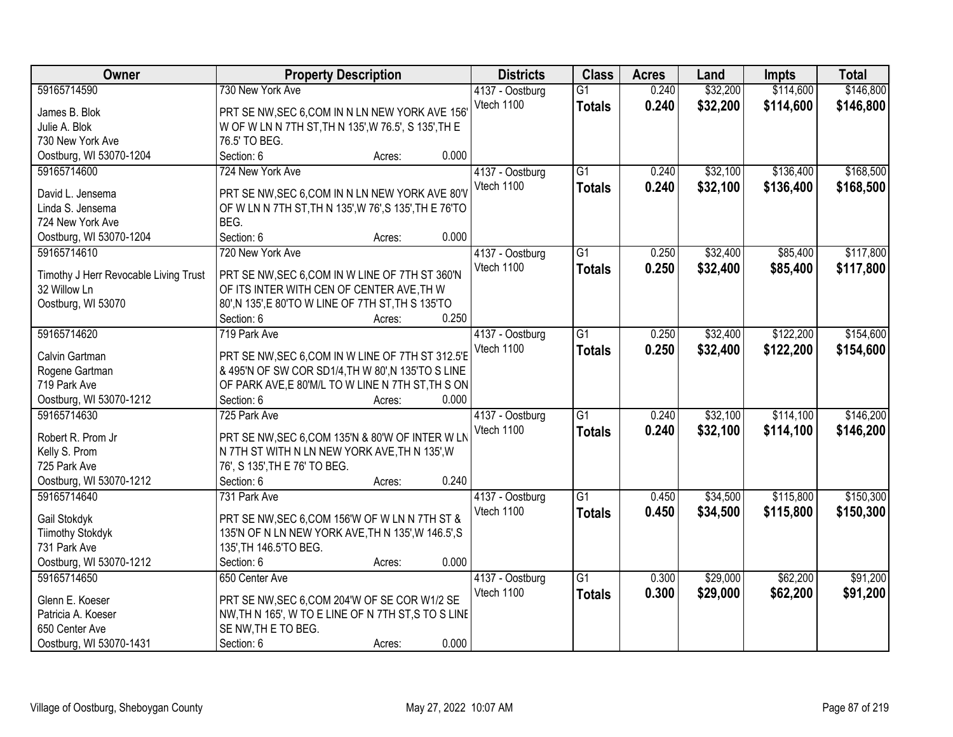| Owner                                 | <b>Property Description</b>                            | <b>Districts</b> | <b>Class</b>    | <b>Acres</b> | Land     | <b>Impts</b> | <b>Total</b> |
|---------------------------------------|--------------------------------------------------------|------------------|-----------------|--------------|----------|--------------|--------------|
| 59165714590                           | 730 New York Ave                                       | 4137 - Oostburg  | $\overline{G1}$ | 0.240        | \$32,200 | \$114,600    | \$146,800    |
| James B. Blok                         | PRT SE NW, SEC 6, COM IN N LN NEW YORK AVE 156'        | Vtech 1100       | <b>Totals</b>   | 0.240        | \$32,200 | \$114,600    | \$146,800    |
| Julie A. Blok                         | W OF W LN N 7TH ST, TH N 135', W 76.5', S 135', TH E   |                  |                 |              |          |              |              |
| 730 New York Ave                      | 76.5' TO BEG.                                          |                  |                 |              |          |              |              |
| Oostburg, WI 53070-1204               | 0.000<br>Section: 6<br>Acres:                          |                  |                 |              |          |              |              |
| 59165714600                           | 724 New York Ave                                       | 4137 - Oostburg  | $\overline{G1}$ | 0.240        | \$32,100 | \$136,400    | \$168,500    |
|                                       |                                                        | Vtech 1100       | <b>Totals</b>   | 0.240        | \$32,100 | \$136,400    | \$168,500    |
| David L. Jensema                      | PRT SE NW, SEC 6, COM IN N LN NEW YORK AVE 80'V        |                  |                 |              |          |              |              |
| Linda S. Jensema                      | OF W LN N 7TH ST, TH N 135', W 76', S 135', TH E 76'TO |                  |                 |              |          |              |              |
| 724 New York Ave                      | BEG.                                                   |                  |                 |              |          |              |              |
| Oostburg, WI 53070-1204               | Section: 6<br>0.000<br>Acres:                          |                  |                 |              |          |              |              |
| 59165714610                           | 720 New York Ave                                       | 4137 - Oostburg  | $\overline{G1}$ | 0.250        | \$32,400 | \$85,400     | \$117,800    |
| Timothy J Herr Revocable Living Trust | PRT SE NW, SEC 6, COM IN W LINE OF 7TH ST 360'N        | Vtech 1100       | <b>Totals</b>   | 0.250        | \$32,400 | \$85,400     | \$117,800    |
| 32 Willow Ln                          | OF ITS INTER WITH CEN OF CENTER AVE, TH W              |                  |                 |              |          |              |              |
| Oostburg, WI 53070                    | 80', N 135', E 80'TO W LINE OF 7TH ST, TH S 135'TO     |                  |                 |              |          |              |              |
|                                       | 0.250<br>Section: 6<br>Acres:                          |                  |                 |              |          |              |              |
| 59165714620                           | 719 Park Ave                                           | 4137 - Oostburg  | $\overline{G1}$ | 0.250        | \$32,400 | \$122,200    | \$154,600    |
|                                       |                                                        | Vtech 1100       | <b>Totals</b>   | 0.250        | \$32,400 | \$122,200    | \$154,600    |
| Calvin Gartman                        | PRT SE NW, SEC 6, COM IN W LINE OF 7TH ST 312.5'E      |                  |                 |              |          |              |              |
| Rogene Gartman                        | & 495'N OF SW COR SD1/4, TH W 80', N 135'TO S LINE     |                  |                 |              |          |              |              |
| 719 Park Ave                          | OF PARK AVE, E 80'M/L TO W LINE N 7TH ST, TH S ON      |                  |                 |              |          |              |              |
| Oostburg, WI 53070-1212               | 0.000<br>Section: 6<br>Acres:                          |                  |                 |              |          |              |              |
| 59165714630                           | 725 Park Ave                                           | 4137 - Oostburg  | $\overline{G1}$ | 0.240        | \$32,100 | \$114,100    | \$146,200    |
| Robert R. Prom Jr                     | PRT SE NW, SEC 6, COM 135'N & 80'W OF INTER W LN       | Vtech 1100       | <b>Totals</b>   | 0.240        | \$32,100 | \$114,100    | \$146,200    |
| Kelly S. Prom                         | N 7TH ST WITH N LN NEW YORK AVE, TH N 135', W          |                  |                 |              |          |              |              |
| 725 Park Ave                          | 76', S 135', TH E 76' TO BEG.                          |                  |                 |              |          |              |              |
| Oostburg, WI 53070-1212               | 0.240<br>Section: 6                                    |                  |                 |              |          |              |              |
| 59165714640                           | Acres:                                                 |                  |                 |              |          |              |              |
|                                       | 731 Park Ave                                           | 4137 - Oostburg  | G1              | 0.450        | \$34,500 | \$115,800    | \$150,300    |
| Gail Stokdyk                          | PRT SE NW, SEC 6, COM 156'W OF W LN N 7TH ST &         | Vtech 1100       | <b>Totals</b>   | 0.450        | \$34,500 | \$115,800    | \$150,300    |
| <b>Tiimothy Stokdyk</b>               | 135'N OF N LN NEW YORK AVE, TH N 135', W 146.5', S     |                  |                 |              |          |              |              |
| 731 Park Ave                          | 135', TH 146.5' TO BEG.                                |                  |                 |              |          |              |              |
| Oostburg, WI 53070-1212               | 0.000<br>Section: 6<br>Acres:                          |                  |                 |              |          |              |              |
| 59165714650                           | 650 Center Ave                                         | 4137 - Oostburg  | $\overline{G1}$ | 0.300        | \$29,000 | \$62,200     | \$91,200     |
|                                       |                                                        | Vtech 1100       | <b>Totals</b>   | 0.300        | \$29,000 | \$62,200     | \$91,200     |
| Glenn E. Koeser                       | PRT SE NW, SEC 6, COM 204'W OF SE COR W1/2 SE          |                  |                 |              |          |              |              |
| Patricia A. Koeser                    | NW, TH N 165', W TO E LINE OF N 7TH ST, S TO S LINE    |                  |                 |              |          |              |              |
| 650 Center Ave                        | SE NW, THE TO BEG.                                     |                  |                 |              |          |              |              |
| Oostburg, WI 53070-1431               | 0.000<br>Section: 6<br>Acres:                          |                  |                 |              |          |              |              |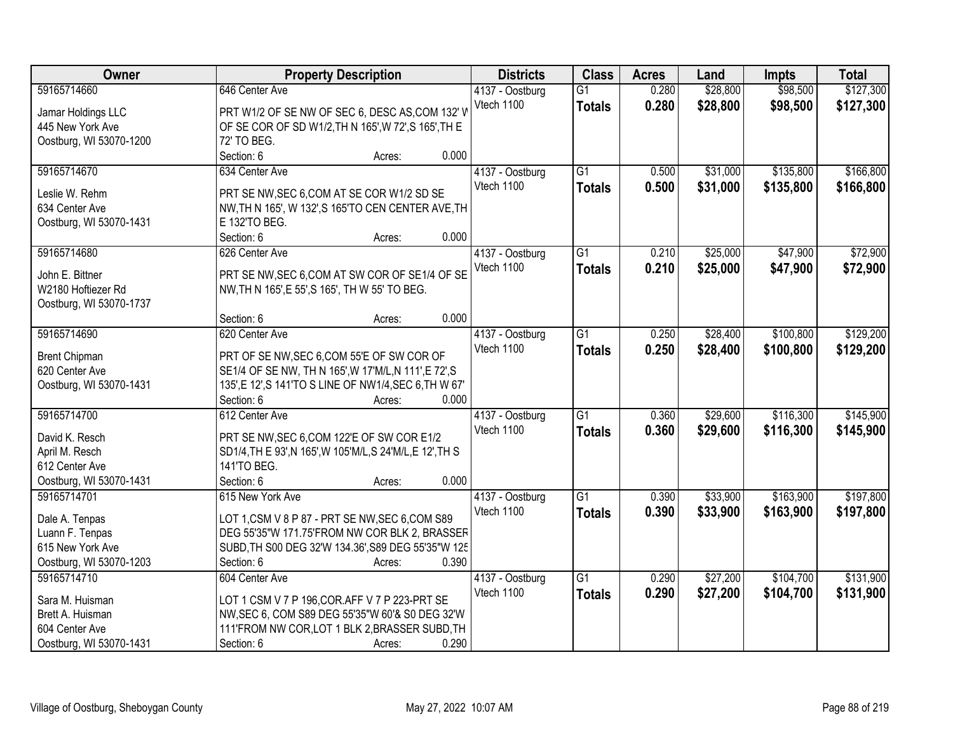| Owner                   | <b>Property Description</b>                               |        |       | <b>Districts</b> | <b>Class</b>    | <b>Acres</b> | Land     | <b>Impts</b> | <b>Total</b> |
|-------------------------|-----------------------------------------------------------|--------|-------|------------------|-----------------|--------------|----------|--------------|--------------|
| 59165714660             | 646 Center Ave                                            |        |       | 4137 - Oostburg  | $\overline{G1}$ | 0.280        | \$28,800 | \$98,500     | \$127,300    |
| Jamar Holdings LLC      | PRT W1/2 OF SE NW OF SEC 6, DESC AS, COM 132' W           |        |       | Vtech 1100       | <b>Totals</b>   | 0.280        | \$28,800 | \$98,500     | \$127,300    |
| 445 New York Ave        | OF SE COR OF SD W1/2, TH N 165', W 72', S 165', TH E      |        |       |                  |                 |              |          |              |              |
| Oostburg, WI 53070-1200 | 72' TO BEG.                                               |        |       |                  |                 |              |          |              |              |
|                         | Section: 6                                                | Acres: | 0.000 |                  |                 |              |          |              |              |
| 59165714670             | 634 Center Ave                                            |        |       | 4137 - Oostburg  | $\overline{G1}$ | 0.500        | \$31,000 | \$135,800    | \$166,800    |
|                         |                                                           |        |       | Vtech 1100       | <b>Totals</b>   | 0.500        | \$31,000 | \$135,800    | \$166,800    |
| Leslie W. Rehm          | PRT SE NW, SEC 6, COM AT SE COR W1/2 SD SE                |        |       |                  |                 |              |          |              |              |
| 634 Center Ave          | NW, TH N 165', W 132', S 165'TO CEN CENTER AVE, TH        |        |       |                  |                 |              |          |              |              |
| Oostburg, WI 53070-1431 | E 132'TO BEG.                                             |        |       |                  |                 |              |          |              |              |
|                         | Section: 6                                                | Acres: | 0.000 |                  |                 |              |          |              |              |
| 59165714680             | 626 Center Ave                                            |        |       | 4137 - Oostburg  | $\overline{G1}$ | 0.210        | \$25,000 | \$47,900     | \$72,900     |
| John E. Bittner         | PRT SE NW, SEC 6, COM AT SW COR OF SE1/4 OF SE            |        |       | Vtech 1100       | <b>Totals</b>   | 0.210        | \$25,000 | \$47,900     | \$72,900     |
| W2180 Hoftiezer Rd      | NW, TH N 165', E 55', S 165', TH W 55' TO BEG.            |        |       |                  |                 |              |          |              |              |
|                         |                                                           |        |       |                  |                 |              |          |              |              |
| Oostburg, WI 53070-1737 | Section: 6                                                |        | 0.000 |                  |                 |              |          |              |              |
|                         |                                                           | Acres: |       |                  |                 |              |          |              |              |
| 59165714690             | 620 Center Ave                                            |        |       | 4137 - Oostburg  | G1              | 0.250        | \$28,400 | \$100,800    | \$129,200    |
| <b>Brent Chipman</b>    | PRT OF SE NW, SEC 6, COM 55'E OF SW COR OF                |        |       | Vtech 1100       | <b>Totals</b>   | 0.250        | \$28,400 | \$100,800    | \$129,200    |
| 620 Center Ave          | SE1/4 OF SE NW, TH N 165', W 17'M/L, N 111', E 72', S     |        |       |                  |                 |              |          |              |              |
| Oostburg, WI 53070-1431 | 135', E 12', S 141'TO S LINE OF NW1/4, SEC 6, TH W 67'    |        |       |                  |                 |              |          |              |              |
|                         | Section: 6                                                | Acres: | 0.000 |                  |                 |              |          |              |              |
| 59165714700             | 612 Center Ave                                            |        |       | 4137 - Oostburg  | $\overline{G1}$ | 0.360        | \$29,600 | \$116,300    | \$145,900    |
|                         |                                                           |        |       | Vtech 1100       | <b>Totals</b>   | 0.360        | \$29,600 | \$116,300    | \$145,900    |
| David K. Resch          | PRT SE NW, SEC 6, COM 122'E OF SW COR E1/2                |        |       |                  |                 |              |          |              |              |
| April M. Resch          | SD1/4, TH E 93', N 165', W 105'M/L, S 24'M/L, E 12', TH S |        |       |                  |                 |              |          |              |              |
| 612 Center Ave          | 141'TO BEG.                                               |        |       |                  |                 |              |          |              |              |
| Oostburg, WI 53070-1431 | Section: 6                                                | Acres: | 0.000 |                  |                 |              |          |              |              |
| 59165714701             | 615 New York Ave                                          |        |       | 4137 - Oostburg  | $\overline{G1}$ | 0.390        | \$33,900 | \$163,900    | \$197,800    |
| Dale A. Tenpas          | LOT 1,CSM V 8 P 87 - PRT SE NW, SEC 6,COM S89             |        |       | Vtech 1100       | <b>Totals</b>   | 0.390        | \$33,900 | \$163,900    | \$197,800    |
| Luann F. Tenpas         | DEG 55'35"W 171.75'FROM NW COR BLK 2, BRASSER             |        |       |                  |                 |              |          |              |              |
| 615 New York Ave        | SUBD, TH S00 DEG 32'W 134.36', S89 DEG 55'35"W 125        |        |       |                  |                 |              |          |              |              |
| Oostburg, WI 53070-1203 | Section: 6                                                | Acres: | 0.390 |                  |                 |              |          |              |              |
| 59165714710             | 604 Center Ave                                            |        |       | 4137 - Oostburg  | $\overline{G1}$ | 0.290        | \$27,200 | \$104,700    | \$131,900    |
|                         |                                                           |        |       | Vtech 1100       |                 |              |          |              |              |
| Sara M. Huisman         | LOT 1 CSM V 7 P 196, COR. AFF V 7 P 223-PRT SE            |        |       |                  | <b>Totals</b>   | 0.290        | \$27,200 | \$104,700    | \$131,900    |
| Brett A. Huisman        | NW, SEC 6, COM S89 DEG 55'35"W 60'& S0 DEG 32'W           |        |       |                  |                 |              |          |              |              |
| 604 Center Ave          | 111'FROM NW COR, LOT 1 BLK 2, BRASSER SUBD, TH            |        |       |                  |                 |              |          |              |              |
| Oostburg, WI 53070-1431 | Section: 6                                                | Acres: | 0.290 |                  |                 |              |          |              |              |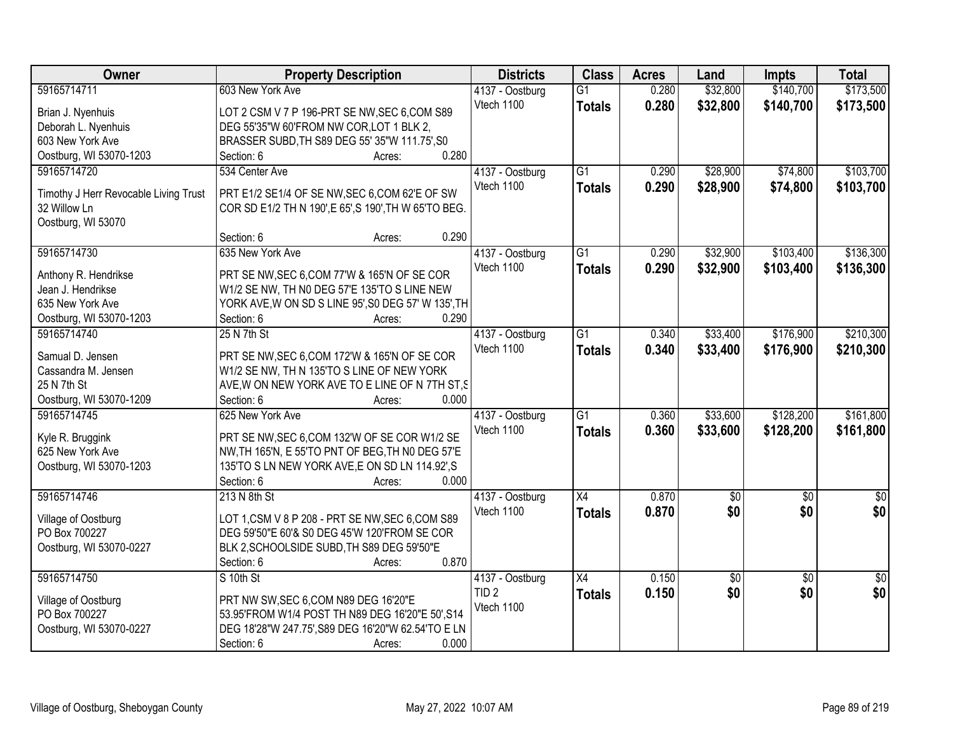| \$32,800<br>\$173,500<br>59165714711<br>603 New York Ave<br>0.280<br>\$140,700<br>$\overline{G1}$<br>4137 - Oostburg<br>Vtech 1100<br>0.280<br>\$32,800<br>\$140,700<br>\$173,500<br><b>Totals</b><br>LOT 2 CSM V 7 P 196-PRT SE NW, SEC 6, COM S89<br>Brian J. Nyenhuis<br>Deborah L. Nyenhuis<br>DEG 55'35"W 60'FROM NW COR, LOT 1 BLK 2,<br>603 New York Ave<br>BRASSER SUBD, TH S89 DEG 55' 35"W 111.75', S0<br>0.280<br>Oostburg, WI 53070-1203<br>Section: 6<br>Acres:<br>$\overline{G1}$<br>\$28,900<br>\$74,800<br>\$103,700<br>59165714720<br>534 Center Ave<br>4137 - Oostburg<br>0.290<br>Vtech 1100<br>0.290<br>\$28,900<br>\$74,800<br>\$103,700<br><b>Totals</b><br>PRT E1/2 SE1/4 OF SE NW, SEC 6, COM 62'E OF SW<br>Timothy J Herr Revocable Living Trust<br>32 Willow Ln<br>COR SD E1/2 TH N 190', E 65', S 190', TH W 65'TO BEG.<br>Oostburg, WI 53070<br>0.290<br>Section: 6<br>Acres:<br>59165714730<br>\$32,900<br>\$103,400<br>\$136,300<br>635 New York Ave<br>4137 - Oostburg<br>G1<br>0.290<br>Vtech 1100<br>0.290<br>\$32,900<br>\$103,400<br>\$136,300<br><b>Totals</b><br>Anthony R. Hendrikse<br>PRT SE NW, SEC 6, COM 77'W & 165'N OF SE COR<br>Jean J. Hendrikse<br>W1/2 SE NW, TH N0 DEG 57'E 135'TO S LINE NEW<br>635 New York Ave<br>YORK AVE, W ON SD S LINE 95', S0 DEG 57' W 135', TH<br>0.290<br>Oostburg, WI 53070-1203<br>Section: 6<br>Acres:<br>59165714740<br>$\overline{G1}$<br>\$33,400<br>\$176,900<br>25 N 7th St<br>4137 - Oostburg<br>0.340<br>Vtech 1100<br>0.340<br>\$33,400<br>\$176,900<br><b>Totals</b><br>PRT SE NW, SEC 6, COM 172'W & 165'N OF SE COR<br>Samual D. Jensen<br>Cassandra M. Jensen<br>W1/2 SE NW, TH N 135'TO S LINE OF NEW YORK<br>25 N 7th St<br>AVE, W ON NEW YORK AVE TO E LINE OF N 7TH ST, S<br>0.000<br>Oostburg, WI 53070-1209<br>Section: 6<br>Acres:<br>\$33,600<br>\$128,200<br>59165714745<br>$\overline{G1}$<br>0.360<br>625 New York Ave<br>4137 - Oostburg<br>0.360<br>\$128,200<br>Vtech 1100<br>\$33,600<br><b>Totals</b><br>Kyle R. Bruggink<br>PRT SE NW, SEC 6, COM 132'W OF SE COR W1/2 SE<br>625 New York Ave<br>NW, TH 165'N, E 55'TO PNT OF BEG, TH N0 DEG 57'E<br>Oostburg, WI 53070-1203<br>135'TO S LN NEW YORK AVE, E ON SD LN 114.92', S<br>Section: 6<br>0.000<br>Acres:<br>59165714746<br>$\overline{X4}$<br>0.870<br>$\overline{50}$<br>213 N 8th St<br>4137 - Oostburg<br>$\sqrt{50}$<br>\$0<br>Vtech 1100<br>0.870<br>\$0<br><b>Totals</b><br>LOT 1,CSM V 8 P 208 - PRT SE NW, SEC 6, COM S89<br>Village of Oostburg<br>PO Box 700227<br>DEG 59'50"E 60'& S0 DEG 45'W 120'FROM SE COR<br>BLK 2, SCHOOLSIDE SUBD, TH S89 DEG 59'50"E<br>Oostburg, WI 53070-0227<br>0.870<br>Section: 6<br>Acres:<br>59165714750<br>S 10th St<br>$\overline{X4}$<br>0.150<br>$\overline{50}$<br>4137 - Oostburg<br>$\overline{60}$<br>0.150<br>\$0<br>\$0<br>TID <sub>2</sub><br><b>Totals</b><br>PRT NW SW, SEC 6, COM N89 DEG 16'20"E<br>Village of Oostburg<br>Vtech 1100<br>PO Box 700227<br>53.95'FROM W1/4 POST TH N89 DEG 16'20"E 50', S14<br>DEG 18'28"W 247.75', S89 DEG 16'20"W 62.54'TO E LN<br>Oostburg, WI 53070-0227 | Owner | <b>Property Description</b>   | <b>Districts</b> | <b>Class</b> | <b>Acres</b> | Land | <b>Impts</b> | <b>Total</b> |
|---------------------------------------------------------------------------------------------------------------------------------------------------------------------------------------------------------------------------------------------------------------------------------------------------------------------------------------------------------------------------------------------------------------------------------------------------------------------------------------------------------------------------------------------------------------------------------------------------------------------------------------------------------------------------------------------------------------------------------------------------------------------------------------------------------------------------------------------------------------------------------------------------------------------------------------------------------------------------------------------------------------------------------------------------------------------------------------------------------------------------------------------------------------------------------------------------------------------------------------------------------------------------------------------------------------------------------------------------------------------------------------------------------------------------------------------------------------------------------------------------------------------------------------------------------------------------------------------------------------------------------------------------------------------------------------------------------------------------------------------------------------------------------------------------------------------------------------------------------------------------------------------------------------------------------------------------------------------------------------------------------------------------------------------------------------------------------------------------------------------------------------------------------------------------------------------------------------------------------------------------------------------------------------------------------------------------------------------------------------------------------------------------------------------------------------------------------------------------------------------------------------------------------------------------------------------------------------------------------------------------------------------------------------------------------------------------------------------------------------------------------------------------------------------------------------------------------------------------------------------------------------------------------------------------------------------------------------------------------------------------------------------------------------------------------------------------------------------------------------------------|-------|-------------------------------|------------------|--------------|--------------|------|--------------|--------------|
|                                                                                                                                                                                                                                                                                                                                                                                                                                                                                                                                                                                                                                                                                                                                                                                                                                                                                                                                                                                                                                                                                                                                                                                                                                                                                                                                                                                                                                                                                                                                                                                                                                                                                                                                                                                                                                                                                                                                                                                                                                                                                                                                                                                                                                                                                                                                                                                                                                                                                                                                                                                                                                                                                                                                                                                                                                                                                                                                                                                                                                                                                                                           |       |                               |                  |              |              |      |              |              |
|                                                                                                                                                                                                                                                                                                                                                                                                                                                                                                                                                                                                                                                                                                                                                                                                                                                                                                                                                                                                                                                                                                                                                                                                                                                                                                                                                                                                                                                                                                                                                                                                                                                                                                                                                                                                                                                                                                                                                                                                                                                                                                                                                                                                                                                                                                                                                                                                                                                                                                                                                                                                                                                                                                                                                                                                                                                                                                                                                                                                                                                                                                                           |       |                               |                  |              |              |      |              |              |
|                                                                                                                                                                                                                                                                                                                                                                                                                                                                                                                                                                                                                                                                                                                                                                                                                                                                                                                                                                                                                                                                                                                                                                                                                                                                                                                                                                                                                                                                                                                                                                                                                                                                                                                                                                                                                                                                                                                                                                                                                                                                                                                                                                                                                                                                                                                                                                                                                                                                                                                                                                                                                                                                                                                                                                                                                                                                                                                                                                                                                                                                                                                           |       |                               |                  |              |              |      |              |              |
|                                                                                                                                                                                                                                                                                                                                                                                                                                                                                                                                                                                                                                                                                                                                                                                                                                                                                                                                                                                                                                                                                                                                                                                                                                                                                                                                                                                                                                                                                                                                                                                                                                                                                                                                                                                                                                                                                                                                                                                                                                                                                                                                                                                                                                                                                                                                                                                                                                                                                                                                                                                                                                                                                                                                                                                                                                                                                                                                                                                                                                                                                                                           |       |                               |                  |              |              |      |              |              |
|                                                                                                                                                                                                                                                                                                                                                                                                                                                                                                                                                                                                                                                                                                                                                                                                                                                                                                                                                                                                                                                                                                                                                                                                                                                                                                                                                                                                                                                                                                                                                                                                                                                                                                                                                                                                                                                                                                                                                                                                                                                                                                                                                                                                                                                                                                                                                                                                                                                                                                                                                                                                                                                                                                                                                                                                                                                                                                                                                                                                                                                                                                                           |       |                               |                  |              |              |      |              |              |
|                                                                                                                                                                                                                                                                                                                                                                                                                                                                                                                                                                                                                                                                                                                                                                                                                                                                                                                                                                                                                                                                                                                                                                                                                                                                                                                                                                                                                                                                                                                                                                                                                                                                                                                                                                                                                                                                                                                                                                                                                                                                                                                                                                                                                                                                                                                                                                                                                                                                                                                                                                                                                                                                                                                                                                                                                                                                                                                                                                                                                                                                                                                           |       |                               |                  |              |              |      |              |              |
|                                                                                                                                                                                                                                                                                                                                                                                                                                                                                                                                                                                                                                                                                                                                                                                                                                                                                                                                                                                                                                                                                                                                                                                                                                                                                                                                                                                                                                                                                                                                                                                                                                                                                                                                                                                                                                                                                                                                                                                                                                                                                                                                                                                                                                                                                                                                                                                                                                                                                                                                                                                                                                                                                                                                                                                                                                                                                                                                                                                                                                                                                                                           |       |                               |                  |              |              |      |              |              |
|                                                                                                                                                                                                                                                                                                                                                                                                                                                                                                                                                                                                                                                                                                                                                                                                                                                                                                                                                                                                                                                                                                                                                                                                                                                                                                                                                                                                                                                                                                                                                                                                                                                                                                                                                                                                                                                                                                                                                                                                                                                                                                                                                                                                                                                                                                                                                                                                                                                                                                                                                                                                                                                                                                                                                                                                                                                                                                                                                                                                                                                                                                                           |       |                               |                  |              |              |      |              |              |
|                                                                                                                                                                                                                                                                                                                                                                                                                                                                                                                                                                                                                                                                                                                                                                                                                                                                                                                                                                                                                                                                                                                                                                                                                                                                                                                                                                                                                                                                                                                                                                                                                                                                                                                                                                                                                                                                                                                                                                                                                                                                                                                                                                                                                                                                                                                                                                                                                                                                                                                                                                                                                                                                                                                                                                                                                                                                                                                                                                                                                                                                                                                           |       |                               |                  |              |              |      |              |              |
|                                                                                                                                                                                                                                                                                                                                                                                                                                                                                                                                                                                                                                                                                                                                                                                                                                                                                                                                                                                                                                                                                                                                                                                                                                                                                                                                                                                                                                                                                                                                                                                                                                                                                                                                                                                                                                                                                                                                                                                                                                                                                                                                                                                                                                                                                                                                                                                                                                                                                                                                                                                                                                                                                                                                                                                                                                                                                                                                                                                                                                                                                                                           |       |                               |                  |              |              |      |              |              |
|                                                                                                                                                                                                                                                                                                                                                                                                                                                                                                                                                                                                                                                                                                                                                                                                                                                                                                                                                                                                                                                                                                                                                                                                                                                                                                                                                                                                                                                                                                                                                                                                                                                                                                                                                                                                                                                                                                                                                                                                                                                                                                                                                                                                                                                                                                                                                                                                                                                                                                                                                                                                                                                                                                                                                                                                                                                                                                                                                                                                                                                                                                                           |       |                               |                  |              |              |      |              |              |
|                                                                                                                                                                                                                                                                                                                                                                                                                                                                                                                                                                                                                                                                                                                                                                                                                                                                                                                                                                                                                                                                                                                                                                                                                                                                                                                                                                                                                                                                                                                                                                                                                                                                                                                                                                                                                                                                                                                                                                                                                                                                                                                                                                                                                                                                                                                                                                                                                                                                                                                                                                                                                                                                                                                                                                                                                                                                                                                                                                                                                                                                                                                           |       |                               |                  |              |              |      |              |              |
| \$210,300<br>\$210,300                                                                                                                                                                                                                                                                                                                                                                                                                                                                                                                                                                                                                                                                                                                                                                                                                                                                                                                                                                                                                                                                                                                                                                                                                                                                                                                                                                                                                                                                                                                                                                                                                                                                                                                                                                                                                                                                                                                                                                                                                                                                                                                                                                                                                                                                                                                                                                                                                                                                                                                                                                                                                                                                                                                                                                                                                                                                                                                                                                                                                                                                                                    |       |                               |                  |              |              |      |              |              |
|                                                                                                                                                                                                                                                                                                                                                                                                                                                                                                                                                                                                                                                                                                                                                                                                                                                                                                                                                                                                                                                                                                                                                                                                                                                                                                                                                                                                                                                                                                                                                                                                                                                                                                                                                                                                                                                                                                                                                                                                                                                                                                                                                                                                                                                                                                                                                                                                                                                                                                                                                                                                                                                                                                                                                                                                                                                                                                                                                                                                                                                                                                                           |       |                               |                  |              |              |      |              |              |
|                                                                                                                                                                                                                                                                                                                                                                                                                                                                                                                                                                                                                                                                                                                                                                                                                                                                                                                                                                                                                                                                                                                                                                                                                                                                                                                                                                                                                                                                                                                                                                                                                                                                                                                                                                                                                                                                                                                                                                                                                                                                                                                                                                                                                                                                                                                                                                                                                                                                                                                                                                                                                                                                                                                                                                                                                                                                                                                                                                                                                                                                                                                           |       |                               |                  |              |              |      |              |              |
|                                                                                                                                                                                                                                                                                                                                                                                                                                                                                                                                                                                                                                                                                                                                                                                                                                                                                                                                                                                                                                                                                                                                                                                                                                                                                                                                                                                                                                                                                                                                                                                                                                                                                                                                                                                                                                                                                                                                                                                                                                                                                                                                                                                                                                                                                                                                                                                                                                                                                                                                                                                                                                                                                                                                                                                                                                                                                                                                                                                                                                                                                                                           |       |                               |                  |              |              |      |              |              |
|                                                                                                                                                                                                                                                                                                                                                                                                                                                                                                                                                                                                                                                                                                                                                                                                                                                                                                                                                                                                                                                                                                                                                                                                                                                                                                                                                                                                                                                                                                                                                                                                                                                                                                                                                                                                                                                                                                                                                                                                                                                                                                                                                                                                                                                                                                                                                                                                                                                                                                                                                                                                                                                                                                                                                                                                                                                                                                                                                                                                                                                                                                                           |       |                               |                  |              |              |      |              |              |
|                                                                                                                                                                                                                                                                                                                                                                                                                                                                                                                                                                                                                                                                                                                                                                                                                                                                                                                                                                                                                                                                                                                                                                                                                                                                                                                                                                                                                                                                                                                                                                                                                                                                                                                                                                                                                                                                                                                                                                                                                                                                                                                                                                                                                                                                                                                                                                                                                                                                                                                                                                                                                                                                                                                                                                                                                                                                                                                                                                                                                                                                                                                           |       |                               |                  |              |              |      |              |              |
| \$161,800<br>\$161,800<br>$\sqrt{60}$<br>\$0<br>$\overline{50}$<br>\$0                                                                                                                                                                                                                                                                                                                                                                                                                                                                                                                                                                                                                                                                                                                                                                                                                                                                                                                                                                                                                                                                                                                                                                                                                                                                                                                                                                                                                                                                                                                                                                                                                                                                                                                                                                                                                                                                                                                                                                                                                                                                                                                                                                                                                                                                                                                                                                                                                                                                                                                                                                                                                                                                                                                                                                                                                                                                                                                                                                                                                                                    |       |                               |                  |              |              |      |              |              |
|                                                                                                                                                                                                                                                                                                                                                                                                                                                                                                                                                                                                                                                                                                                                                                                                                                                                                                                                                                                                                                                                                                                                                                                                                                                                                                                                                                                                                                                                                                                                                                                                                                                                                                                                                                                                                                                                                                                                                                                                                                                                                                                                                                                                                                                                                                                                                                                                                                                                                                                                                                                                                                                                                                                                                                                                                                                                                                                                                                                                                                                                                                                           |       |                               |                  |              |              |      |              |              |
|                                                                                                                                                                                                                                                                                                                                                                                                                                                                                                                                                                                                                                                                                                                                                                                                                                                                                                                                                                                                                                                                                                                                                                                                                                                                                                                                                                                                                                                                                                                                                                                                                                                                                                                                                                                                                                                                                                                                                                                                                                                                                                                                                                                                                                                                                                                                                                                                                                                                                                                                                                                                                                                                                                                                                                                                                                                                                                                                                                                                                                                                                                                           |       |                               |                  |              |              |      |              |              |
|                                                                                                                                                                                                                                                                                                                                                                                                                                                                                                                                                                                                                                                                                                                                                                                                                                                                                                                                                                                                                                                                                                                                                                                                                                                                                                                                                                                                                                                                                                                                                                                                                                                                                                                                                                                                                                                                                                                                                                                                                                                                                                                                                                                                                                                                                                                                                                                                                                                                                                                                                                                                                                                                                                                                                                                                                                                                                                                                                                                                                                                                                                                           |       |                               |                  |              |              |      |              |              |
|                                                                                                                                                                                                                                                                                                                                                                                                                                                                                                                                                                                                                                                                                                                                                                                                                                                                                                                                                                                                                                                                                                                                                                                                                                                                                                                                                                                                                                                                                                                                                                                                                                                                                                                                                                                                                                                                                                                                                                                                                                                                                                                                                                                                                                                                                                                                                                                                                                                                                                                                                                                                                                                                                                                                                                                                                                                                                                                                                                                                                                                                                                                           |       |                               |                  |              |              |      |              |              |
|                                                                                                                                                                                                                                                                                                                                                                                                                                                                                                                                                                                                                                                                                                                                                                                                                                                                                                                                                                                                                                                                                                                                                                                                                                                                                                                                                                                                                                                                                                                                                                                                                                                                                                                                                                                                                                                                                                                                                                                                                                                                                                                                                                                                                                                                                                                                                                                                                                                                                                                                                                                                                                                                                                                                                                                                                                                                                                                                                                                                                                                                                                                           |       |                               |                  |              |              |      |              |              |
|                                                                                                                                                                                                                                                                                                                                                                                                                                                                                                                                                                                                                                                                                                                                                                                                                                                                                                                                                                                                                                                                                                                                                                                                                                                                                                                                                                                                                                                                                                                                                                                                                                                                                                                                                                                                                                                                                                                                                                                                                                                                                                                                                                                                                                                                                                                                                                                                                                                                                                                                                                                                                                                                                                                                                                                                                                                                                                                                                                                                                                                                                                                           |       |                               |                  |              |              |      |              |              |
|                                                                                                                                                                                                                                                                                                                                                                                                                                                                                                                                                                                                                                                                                                                                                                                                                                                                                                                                                                                                                                                                                                                                                                                                                                                                                                                                                                                                                                                                                                                                                                                                                                                                                                                                                                                                                                                                                                                                                                                                                                                                                                                                                                                                                                                                                                                                                                                                                                                                                                                                                                                                                                                                                                                                                                                                                                                                                                                                                                                                                                                                                                                           |       |                               |                  |              |              |      |              |              |
|                                                                                                                                                                                                                                                                                                                                                                                                                                                                                                                                                                                                                                                                                                                                                                                                                                                                                                                                                                                                                                                                                                                                                                                                                                                                                                                                                                                                                                                                                                                                                                                                                                                                                                                                                                                                                                                                                                                                                                                                                                                                                                                                                                                                                                                                                                                                                                                                                                                                                                                                                                                                                                                                                                                                                                                                                                                                                                                                                                                                                                                                                                                           |       |                               |                  |              |              |      |              |              |
|                                                                                                                                                                                                                                                                                                                                                                                                                                                                                                                                                                                                                                                                                                                                                                                                                                                                                                                                                                                                                                                                                                                                                                                                                                                                                                                                                                                                                                                                                                                                                                                                                                                                                                                                                                                                                                                                                                                                                                                                                                                                                                                                                                                                                                                                                                                                                                                                                                                                                                                                                                                                                                                                                                                                                                                                                                                                                                                                                                                                                                                                                                                           |       |                               |                  |              |              |      |              |              |
|                                                                                                                                                                                                                                                                                                                                                                                                                                                                                                                                                                                                                                                                                                                                                                                                                                                                                                                                                                                                                                                                                                                                                                                                                                                                                                                                                                                                                                                                                                                                                                                                                                                                                                                                                                                                                                                                                                                                                                                                                                                                                                                                                                                                                                                                                                                                                                                                                                                                                                                                                                                                                                                                                                                                                                                                                                                                                                                                                                                                                                                                                                                           |       |                               |                  |              |              |      |              |              |
|                                                                                                                                                                                                                                                                                                                                                                                                                                                                                                                                                                                                                                                                                                                                                                                                                                                                                                                                                                                                                                                                                                                                                                                                                                                                                                                                                                                                                                                                                                                                                                                                                                                                                                                                                                                                                                                                                                                                                                                                                                                                                                                                                                                                                                                                                                                                                                                                                                                                                                                                                                                                                                                                                                                                                                                                                                                                                                                                                                                                                                                                                                                           |       |                               |                  |              |              |      |              |              |
|                                                                                                                                                                                                                                                                                                                                                                                                                                                                                                                                                                                                                                                                                                                                                                                                                                                                                                                                                                                                                                                                                                                                                                                                                                                                                                                                                                                                                                                                                                                                                                                                                                                                                                                                                                                                                                                                                                                                                                                                                                                                                                                                                                                                                                                                                                                                                                                                                                                                                                                                                                                                                                                                                                                                                                                                                                                                                                                                                                                                                                                                                                                           |       |                               |                  |              |              |      |              |              |
|                                                                                                                                                                                                                                                                                                                                                                                                                                                                                                                                                                                                                                                                                                                                                                                                                                                                                                                                                                                                                                                                                                                                                                                                                                                                                                                                                                                                                                                                                                                                                                                                                                                                                                                                                                                                                                                                                                                                                                                                                                                                                                                                                                                                                                                                                                                                                                                                                                                                                                                                                                                                                                                                                                                                                                                                                                                                                                                                                                                                                                                                                                                           |       |                               |                  |              |              |      |              |              |
|                                                                                                                                                                                                                                                                                                                                                                                                                                                                                                                                                                                                                                                                                                                                                                                                                                                                                                                                                                                                                                                                                                                                                                                                                                                                                                                                                                                                                                                                                                                                                                                                                                                                                                                                                                                                                                                                                                                                                                                                                                                                                                                                                                                                                                                                                                                                                                                                                                                                                                                                                                                                                                                                                                                                                                                                                                                                                                                                                                                                                                                                                                                           |       |                               |                  |              |              |      |              |              |
|                                                                                                                                                                                                                                                                                                                                                                                                                                                                                                                                                                                                                                                                                                                                                                                                                                                                                                                                                                                                                                                                                                                                                                                                                                                                                                                                                                                                                                                                                                                                                                                                                                                                                                                                                                                                                                                                                                                                                                                                                                                                                                                                                                                                                                                                                                                                                                                                                                                                                                                                                                                                                                                                                                                                                                                                                                                                                                                                                                                                                                                                                                                           |       |                               |                  |              |              |      |              |              |
|                                                                                                                                                                                                                                                                                                                                                                                                                                                                                                                                                                                                                                                                                                                                                                                                                                                                                                                                                                                                                                                                                                                                                                                                                                                                                                                                                                                                                                                                                                                                                                                                                                                                                                                                                                                                                                                                                                                                                                                                                                                                                                                                                                                                                                                                                                                                                                                                                                                                                                                                                                                                                                                                                                                                                                                                                                                                                                                                                                                                                                                                                                                           |       |                               |                  |              |              |      |              |              |
|                                                                                                                                                                                                                                                                                                                                                                                                                                                                                                                                                                                                                                                                                                                                                                                                                                                                                                                                                                                                                                                                                                                                                                                                                                                                                                                                                                                                                                                                                                                                                                                                                                                                                                                                                                                                                                                                                                                                                                                                                                                                                                                                                                                                                                                                                                                                                                                                                                                                                                                                                                                                                                                                                                                                                                                                                                                                                                                                                                                                                                                                                                                           |       |                               |                  |              |              |      |              |              |
|                                                                                                                                                                                                                                                                                                                                                                                                                                                                                                                                                                                                                                                                                                                                                                                                                                                                                                                                                                                                                                                                                                                                                                                                                                                                                                                                                                                                                                                                                                                                                                                                                                                                                                                                                                                                                                                                                                                                                                                                                                                                                                                                                                                                                                                                                                                                                                                                                                                                                                                                                                                                                                                                                                                                                                                                                                                                                                                                                                                                                                                                                                                           |       | 0.000<br>Section: 6<br>Acres: |                  |              |              |      |              |              |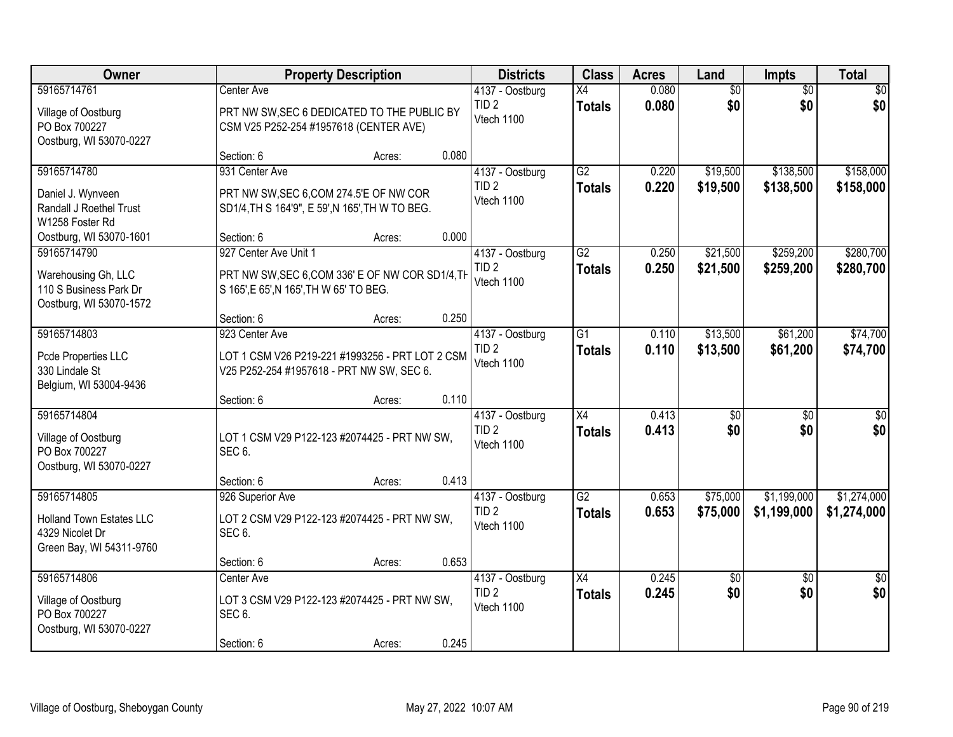| <b>Owner</b>                                                                                                       | <b>Property Description</b>                                                                                                                           | <b>Districts</b>                                  | <b>Class</b>                     | <b>Acres</b>   | Land                   | Impts                  | <b>Total</b>           |
|--------------------------------------------------------------------------------------------------------------------|-------------------------------------------------------------------------------------------------------------------------------------------------------|---------------------------------------------------|----------------------------------|----------------|------------------------|------------------------|------------------------|
| 59165714761<br>Village of Oostburg<br>PO Box 700227                                                                | Center Ave<br>PRT NW SW, SEC 6 DEDICATED TO THE PUBLIC BY<br>CSM V25 P252-254 #1957618 (CENTER AVE)                                                   | 4137 - Oostburg<br>TID <sub>2</sub><br>Vtech 1100 | X4<br><b>Totals</b>              | 0.080<br>0.080 | $\overline{60}$<br>\$0 | $\overline{50}$<br>\$0 | \$0<br>\$0             |
| Oostburg, WI 53070-0227                                                                                            | 0.080<br>Section: 6<br>Acres:                                                                                                                         |                                                   |                                  |                |                        |                        |                        |
| 59165714780<br>Daniel J. Wynveen<br>Randall J Roethel Trust<br>W1258 Foster Rd                                     | 931 Center Ave<br>PRT NW SW, SEC 6, COM 274.5'E OF NW COR<br>SD1/4, TH S 164'9", E 59', N 165', TH W TO BEG.                                          | 4137 - Oostburg<br>TID <sub>2</sub><br>Vtech 1100 | G2<br><b>Totals</b>              | 0.220<br>0.220 | \$19,500<br>\$19,500   | \$138,500<br>\$138,500 | \$158,000<br>\$158,000 |
| Oostburg, WI 53070-1601<br>59165714790<br>Warehousing Gh, LLC<br>110 S Business Park Dr<br>Oostburg, WI 53070-1572 | 0.000<br>Section: 6<br>Acres:<br>927 Center Ave Unit 1<br>PRT NW SW, SEC 6, COM 336' E OF NW COR SD1/4, TH<br>S 165', E 65', N 165', TH W 65' TO BEG. | 4137 - Oostburg<br>TID <sub>2</sub><br>Vtech 1100 | G2<br><b>Totals</b>              | 0.250<br>0.250 | \$21,500<br>\$21,500   | \$259,200<br>\$259,200 | \$280,700<br>\$280,700 |
|                                                                                                                    | 0.250<br>Section: 6<br>Acres:                                                                                                                         |                                                   |                                  |                |                        |                        |                        |
| 59165714803<br>Pcde Properties LLC<br>330 Lindale St<br>Belgium, WI 53004-9436                                     | 923 Center Ave<br>LOT 1 CSM V26 P219-221 #1993256 - PRT LOT 2 CSM<br>V25 P252-254 #1957618 - PRT NW SW, SEC 6.                                        | 4137 - Oostburg<br>TID <sub>2</sub><br>Vtech 1100 | G1<br><b>Totals</b>              | 0.110<br>0.110 | \$13,500<br>\$13,500   | \$61,200<br>\$61,200   | \$74,700<br>\$74,700   |
|                                                                                                                    | 0.110<br>Section: 6<br>Acres:                                                                                                                         |                                                   |                                  |                |                        |                        |                        |
| 59165714804<br>Village of Oostburg<br>PO Box 700227<br>Oostburg, WI 53070-0227                                     | LOT 1 CSM V29 P122-123 #2074425 - PRT NW SW,<br>SEC <sub>6</sub> .                                                                                    | 4137 - Oostburg<br>TID <sub>2</sub><br>Vtech 1100 | $\overline{X4}$<br><b>Totals</b> | 0.413<br>0.413 | $\overline{50}$<br>\$0 | $\overline{50}$<br>\$0 | \$0<br>\$0             |
| 59165714805                                                                                                        | 0.413<br>Section: 6<br>Acres:                                                                                                                         |                                                   | $\overline{G2}$                  |                |                        | \$1,199,000            | \$1,274,000            |
| <b>Holland Town Estates LLC</b><br>4329 Nicolet Dr<br>Green Bay, WI 54311-9760                                     | 926 Superior Ave<br>LOT 2 CSM V29 P122-123 #2074425 - PRT NW SW,<br>SEC <sub>6</sub> .                                                                | 4137 - Oostburg<br>TID <sub>2</sub><br>Vtech 1100 | <b>Totals</b>                    | 0.653<br>0.653 | \$75,000<br>\$75,000   | \$1,199,000            | \$1,274,000            |
|                                                                                                                    | 0.653<br>Section: 6<br>Acres:                                                                                                                         |                                                   |                                  |                |                        |                        |                        |
| 59165714806<br>Village of Oostburg<br>PO Box 700227<br>Oostburg, WI 53070-0227                                     | Center Ave<br>LOT 3 CSM V29 P122-123 #2074425 - PRT NW SW,<br>SEC <sub>6</sub> .<br>0.245<br>Section: 6<br>Acres:                                     | 4137 - Oostburg<br>TID <sub>2</sub><br>Vtech 1100 | $\overline{X4}$<br><b>Totals</b> | 0.245<br>0.245 | \$0<br>\$0             | $\overline{50}$<br>\$0 | $\overline{50}$<br>\$0 |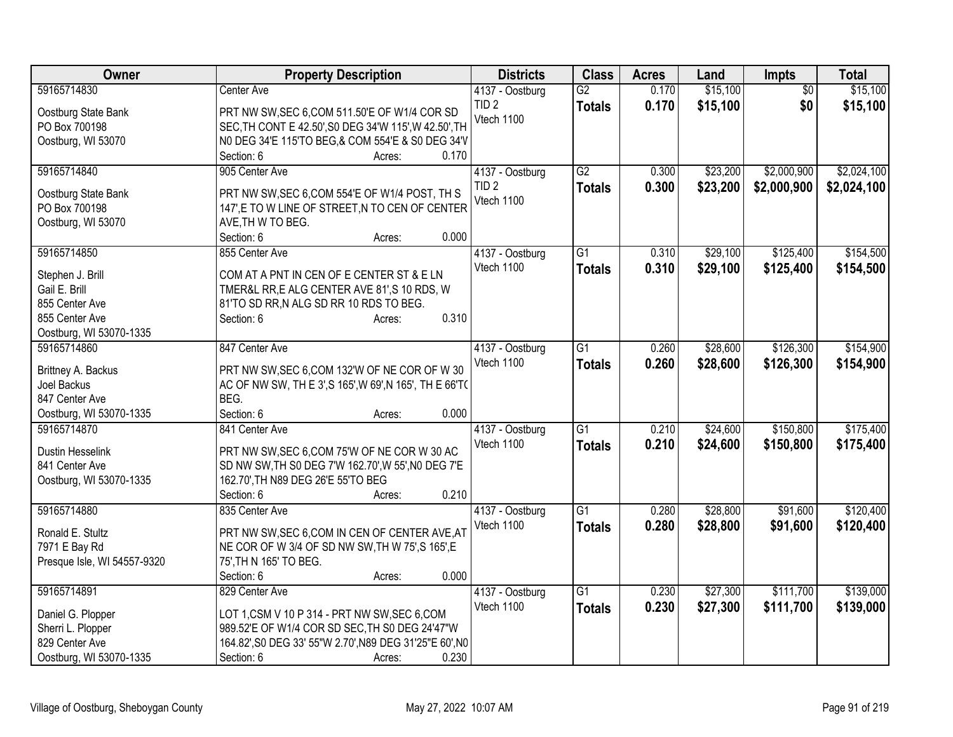| Owner                       | <b>Property Description</b>                             | <b>Districts</b> | <b>Class</b>    | <b>Acres</b> | Land     | <b>Impts</b>    | <b>Total</b> |
|-----------------------------|---------------------------------------------------------|------------------|-----------------|--------------|----------|-----------------|--------------|
| 59165714830                 | Center Ave                                              | 4137 - Oostburg  | G2              | 0.170        | \$15,100 | $\overline{50}$ | \$15,100     |
| Oostburg State Bank         | PRT NW SW, SEC 6, COM 511.50'E OF W1/4 COR SD           | TID <sub>2</sub> | <b>Totals</b>   | 0.170        | \$15,100 | \$0             | \$15,100     |
| PO Box 700198               | SEC, TH CONT E 42.50', S0 DEG 34'W 115', W 42.50', TH   | Vtech 1100       |                 |              |          |                 |              |
| Oostburg, WI 53070          | N0 DEG 34'E 115'TO BEG,& COM 554'E & S0 DEG 34'V        |                  |                 |              |          |                 |              |
|                             | Section: 6<br>0.170<br>Acres:                           |                  |                 |              |          |                 |              |
| 59165714840                 | 905 Center Ave                                          | 4137 - Oostburg  | $\overline{G2}$ | 0.300        | \$23,200 | \$2,000,900     | \$2,024,100  |
|                             |                                                         | TID <sub>2</sub> | <b>Totals</b>   | 0.300        | \$23,200 | \$2,000,900     | \$2,024,100  |
| Oostburg State Bank         | PRT NW SW, SEC 6, COM 554'E OF W1/4 POST, TH S          | Vtech 1100       |                 |              |          |                 |              |
| PO Box 700198               | 147', E TO W LINE OF STREET, N TO CEN OF CENTER         |                  |                 |              |          |                 |              |
| Oostburg, WI 53070          | AVE, TH W TO BEG.<br>0.000                              |                  |                 |              |          |                 |              |
| 59165714850                 | Section: 6<br>Acres:                                    |                  | $\overline{G1}$ |              | \$29,100 | \$125,400       | \$154,500    |
|                             | 855 Center Ave                                          | 4137 - Oostburg  |                 | 0.310        |          |                 |              |
| Stephen J. Brill            | COM AT A PNT IN CEN OF E CENTER ST & E LN               | Vtech 1100       | <b>Totals</b>   | 0.310        | \$29,100 | \$125,400       | \$154,500    |
| Gail E. Brill               | TMER&L RR, E ALG CENTER AVE 81', S 10 RDS, W            |                  |                 |              |          |                 |              |
| 855 Center Ave              | 81'TO SD RR, N ALG SD RR 10 RDS TO BEG.                 |                  |                 |              |          |                 |              |
| 855 Center Ave              | 0.310<br>Section: 6<br>Acres:                           |                  |                 |              |          |                 |              |
| Oostburg, WI 53070-1335     |                                                         |                  |                 |              |          |                 |              |
| 59165714860                 | 847 Center Ave                                          | 4137 - Oostburg  | $\overline{G1}$ | 0.260        | \$28,600 | \$126,300       | \$154,900    |
| Brittney A. Backus          | PRT NW SW, SEC 6, COM 132'W OF NE COR OF W 30           | Vtech 1100       | <b>Totals</b>   | 0.260        | \$28,600 | \$126,300       | \$154,900    |
| Joel Backus                 | AC OF NW SW, TH E 3', S 165', W 69', N 165', TH E 66'T( |                  |                 |              |          |                 |              |
| 847 Center Ave              | BEG.                                                    |                  |                 |              |          |                 |              |
| Oostburg, WI 53070-1335     | 0.000<br>Section: 6<br>Acres:                           |                  |                 |              |          |                 |              |
| 59165714870                 | 841 Center Ave                                          | 4137 - Oostburg  | $\overline{G1}$ | 0.210        | \$24,600 | \$150,800       | \$175,400    |
|                             |                                                         | Vtech 1100       |                 | 0.210        | \$24,600 | \$150,800       | \$175,400    |
| Dustin Hesselink            | PRT NW SW, SEC 6, COM 75'W OF NE COR W 30 AC            |                  | <b>Totals</b>   |              |          |                 |              |
| 841 Center Ave              | SD NW SW, TH S0 DEG 7'W 162.70', W 55', N0 DEG 7'E      |                  |                 |              |          |                 |              |
| Oostburg, WI 53070-1335     | 162.70', TH N89 DEG 26'E 55'TO BEG                      |                  |                 |              |          |                 |              |
|                             | 0.210<br>Section: 6<br>Acres:                           |                  |                 |              |          |                 |              |
| 59165714880                 | 835 Center Ave                                          | 4137 - Oostburg  | $\overline{G1}$ | 0.280        | \$28,800 | \$91,600        | \$120,400    |
| Ronald E. Stultz            | PRT NW SW, SEC 6, COM IN CEN OF CENTER AVE, AT          | Vtech 1100       | <b>Totals</b>   | 0.280        | \$28,800 | \$91,600        | \$120,400    |
| 7971 E Bay Rd               | NE COR OF W 3/4 OF SD NW SW, TH W 75', S 165', E        |                  |                 |              |          |                 |              |
| Presque Isle, WI 54557-9320 | 75', TH N 165' TO BEG.                                  |                  |                 |              |          |                 |              |
|                             | 0.000<br>Section: 6<br>Acres:                           |                  |                 |              |          |                 |              |
| 59165714891                 | 829 Center Ave                                          | 4137 - Oostburg  | $\overline{G1}$ | 0.230        | \$27,300 | \$111,700       | \$139,000    |
|                             |                                                         | Vtech 1100       | <b>Totals</b>   | 0.230        | \$27,300 | \$111,700       | \$139,000    |
| Daniel G. Plopper           | LOT 1,CSM V 10 P 314 - PRT NW SW, SEC 6, COM            |                  |                 |              |          |                 |              |
| Sherri L. Plopper           | 989.52'E OF W1/4 COR SD SEC, TH S0 DEG 24'47"W          |                  |                 |              |          |                 |              |
| 829 Center Ave              | 164.82', S0 DEG 33' 55"W 2.70', N89 DEG 31'25"E 60', N0 |                  |                 |              |          |                 |              |
| Oostburg, WI 53070-1335     | Section: 6<br>0.230<br>Acres:                           |                  |                 |              |          |                 |              |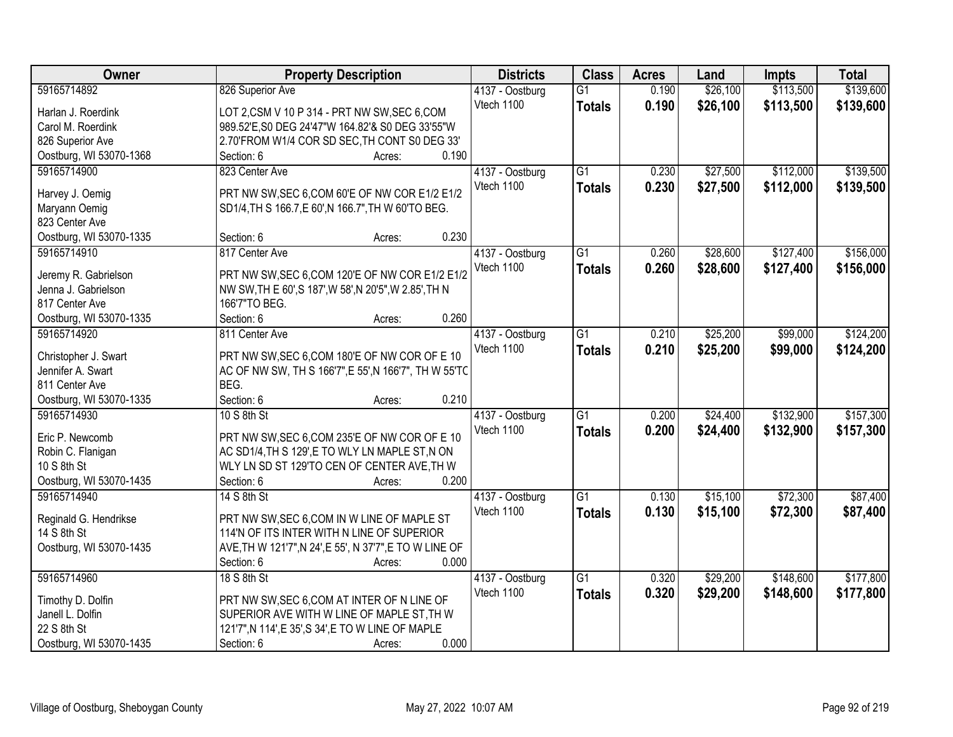| Owner                   | <b>Property Description</b>                             | <b>Districts</b> | <b>Class</b>    | <b>Acres</b> | Land     | <b>Impts</b> | <b>Total</b> |
|-------------------------|---------------------------------------------------------|------------------|-----------------|--------------|----------|--------------|--------------|
| 59165714892             | 826 Superior Ave                                        | 4137 - Oostburg  | $\overline{G1}$ | 0.190        | \$26,100 | \$113,500    | \$139,600    |
| Harlan J. Roerdink      | LOT 2,CSM V 10 P 314 - PRT NW SW, SEC 6,COM             | Vtech 1100       | <b>Totals</b>   | 0.190        | \$26,100 | \$113,500    | \$139,600    |
| Carol M. Roerdink       | 989.52'E, S0 DEG 24'47"W 164.82'& S0 DEG 33'55"W        |                  |                 |              |          |              |              |
| 826 Superior Ave        | 2.70'FROM W1/4 COR SD SEC, TH CONT S0 DEG 33'           |                  |                 |              |          |              |              |
| Oostburg, WI 53070-1368 | 0.190<br>Section: 6<br>Acres:                           |                  |                 |              |          |              |              |
| 59165714900             | 823 Center Ave                                          | 4137 - Oostburg  | $\overline{G1}$ | 0.230        | \$27,500 | \$112,000    | \$139,500    |
|                         |                                                         | Vtech 1100       | <b>Totals</b>   | 0.230        | \$27,500 | \$112,000    | \$139,500    |
| Harvey J. Oemig         | PRT NW SW, SEC 6, COM 60'E OF NW COR E1/2 E1/2          |                  |                 |              |          |              |              |
| Maryann Oemig           | SD1/4, TH S 166.7, E 60', N 166.7", TH W 60'TO BEG.     |                  |                 |              |          |              |              |
| 823 Center Ave          |                                                         |                  |                 |              |          |              |              |
| Oostburg, WI 53070-1335 | 0.230<br>Section: 6<br>Acres:                           |                  |                 |              |          |              |              |
| 59165714910             | 817 Center Ave                                          | 4137 - Oostburg  | $\overline{G1}$ | 0.260        | \$28,600 | \$127,400    | \$156,000    |
| Jeremy R. Gabrielson    | PRT NW SW, SEC 6, COM 120'E OF NW COR E1/2 E1/2         | Vtech 1100       | <b>Totals</b>   | 0.260        | \$28,600 | \$127,400    | \$156,000    |
| Jenna J. Gabrielson     | NW SW, TH E 60', S 187', W 58', N 20'5", W 2.85', TH N  |                  |                 |              |          |              |              |
| 817 Center Ave          | 166'7"TO BEG.                                           |                  |                 |              |          |              |              |
| Oostburg, WI 53070-1335 | 0.260<br>Section: 6<br>Acres:                           |                  |                 |              |          |              |              |
| 59165714920             | 811 Center Ave                                          | 4137 - Oostburg  | $\overline{G1}$ | 0.210        | \$25,200 | \$99,000     | \$124,200    |
|                         |                                                         | Vtech 1100       | <b>Totals</b>   | 0.210        | \$25,200 | \$99,000     | \$124,200    |
| Christopher J. Swart    | PRT NW SW, SEC 6, COM 180'E OF NW COR OF E 10           |                  |                 |              |          |              |              |
| Jennifer A. Swart       | AC OF NW SW, TH S 166'7", E 55', N 166'7", TH W 55'TC   |                  |                 |              |          |              |              |
| 811 Center Ave          | BEG.                                                    |                  |                 |              |          |              |              |
| Oostburg, WI 53070-1335 | 0.210<br>Section: 6<br>Acres:                           |                  |                 |              |          |              |              |
| 59165714930             | 10 S 8th St                                             | 4137 - Oostburg  | $\overline{G1}$ | 0.200        | \$24,400 | \$132,900    | \$157,300    |
| Eric P. Newcomb         | PRT NW SW, SEC 6, COM 235'E OF NW COR OF E 10           | Vtech 1100       | <b>Totals</b>   | 0.200        | \$24,400 | \$132,900    | \$157,300    |
| Robin C. Flanigan       | AC SD1/4, TH S 129', E TO WLY LN MAPLE ST, N ON         |                  |                 |              |          |              |              |
| 10 S 8th St             | WLY LN SD ST 129'TO CEN OF CENTER AVE, TH W             |                  |                 |              |          |              |              |
| Oostburg, WI 53070-1435 | 0.200<br>Section: 6<br>Acres:                           |                  |                 |              |          |              |              |
| 59165714940             | 14 S 8th St                                             | 4137 - Oostburg  | $\overline{G1}$ | 0.130        | \$15,100 | \$72,300     | \$87,400     |
|                         |                                                         | Vtech 1100       | <b>Totals</b>   | 0.130        | \$15,100 | \$72,300     | \$87,400     |
| Reginald G. Hendrikse   | PRT NW SW, SEC 6, COM IN W LINE OF MAPLE ST             |                  |                 |              |          |              |              |
| 14 S 8th St             | 114'N OF ITS INTER WITH N LINE OF SUPERIOR              |                  |                 |              |          |              |              |
| Oostburg, WI 53070-1435 | AVE, TH W 121'7", N 24', E 55', N 37'7", E TO W LINE OF |                  |                 |              |          |              |              |
|                         | 0.000<br>Section: 6<br>Acres:                           |                  |                 |              |          |              |              |
| 59165714960             | 18 S 8th St                                             | 4137 - Oostburg  | $\overline{G1}$ | 0.320        | \$29,200 | \$148,600    | \$177,800    |
| Timothy D. Dolfin       | PRT NW SW, SEC 6, COM AT INTER OF N LINE OF             | Vtech 1100       | <b>Totals</b>   | 0.320        | \$29,200 | \$148,600    | \$177,800    |
| Janell L. Dolfin        | SUPERIOR AVE WITH W LINE OF MAPLE ST, TH W              |                  |                 |              |          |              |              |
| 22 S 8th St             | 121'7", N 114', E 35', S 34', E TO W LINE OF MAPLE      |                  |                 |              |          |              |              |
| Oostburg, WI 53070-1435 | 0.000<br>Section: 6<br>Acres:                           |                  |                 |              |          |              |              |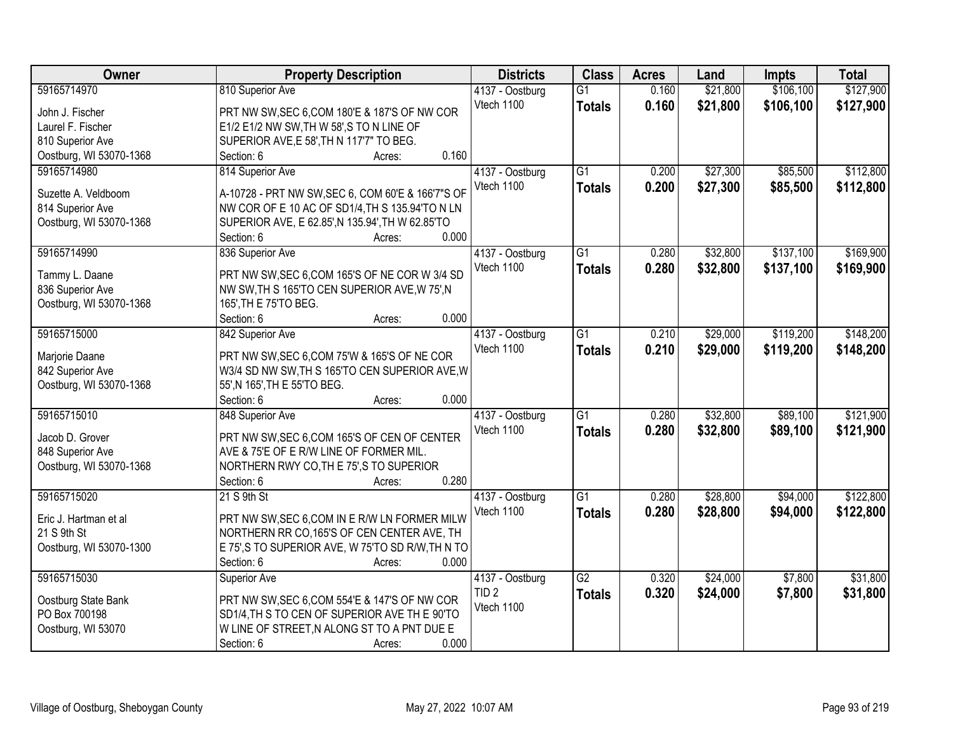| Owner                                | <b>Property Description</b>                                                                  | <b>Districts</b>               | <b>Class</b>    | <b>Acres</b> | Land     | <b>Impts</b> | <b>Total</b> |
|--------------------------------------|----------------------------------------------------------------------------------------------|--------------------------------|-----------------|--------------|----------|--------------|--------------|
| 59165714970                          | 810 Superior Ave                                                                             | 4137 - Oostburg                | $\overline{G1}$ | 0.160        | \$21,800 | \$106,100    | \$127,900    |
| John J. Fischer                      | PRT NW SW, SEC 6, COM 180'E & 187'S OF NW COR                                                | Vtech 1100                     | <b>Totals</b>   | 0.160        | \$21,800 | \$106,100    | \$127,900    |
| Laurel F. Fischer                    | E1/2 E1/2 NW SW, TH W 58', S TO N LINE OF                                                    |                                |                 |              |          |              |              |
| 810 Superior Ave                     | SUPERIOR AVE, E 58', TH N 117'7" TO BEG.                                                     |                                |                 |              |          |              |              |
| Oostburg, WI 53070-1368              | 0.160<br>Section: 6<br>Acres:                                                                |                                |                 |              |          |              |              |
| 59165714980                          | 814 Superior Ave                                                                             | 4137 - Oostburg                | $\overline{G1}$ | 0.200        | \$27,300 | \$85,500     | \$112,800    |
|                                      |                                                                                              | Vtech 1100                     | <b>Totals</b>   | 0.200        | \$27,300 | \$85,500     | \$112,800    |
| Suzette A. Veldboom                  | A-10728 - PRT NW SW, SEC 6, COM 60'E & 166'7"S OF                                            |                                |                 |              |          |              |              |
| 814 Superior Ave                     | NW COR OF E 10 AC OF SD1/4, TH S 135.94'TO N LN                                              |                                |                 |              |          |              |              |
| Oostburg, WI 53070-1368              | SUPERIOR AVE, E 62.85', N 135.94', TH W 62.85'TO                                             |                                |                 |              |          |              |              |
|                                      | 0.000<br>Section: 6<br>Acres:                                                                |                                |                 |              |          |              |              |
| 59165714990                          | 836 Superior Ave                                                                             | 4137 - Oostburg                | $\overline{G1}$ | 0.280        | \$32,800 | \$137,100    | \$169,900    |
| Tammy L. Daane                       | PRT NW SW, SEC 6, COM 165'S OF NE COR W 3/4 SD                                               | Vtech 1100                     | <b>Totals</b>   | 0.280        | \$32,800 | \$137,100    | \$169,900    |
| 836 Superior Ave                     | NW SW, TH S 165'TO CEN SUPERIOR AVE, W 75', N                                                |                                |                 |              |          |              |              |
| Oostburg, WI 53070-1368              | 165', TH E 75'TO BEG.                                                                        |                                |                 |              |          |              |              |
|                                      | 0.000<br>Section: 6<br>Acres:                                                                |                                |                 |              |          |              |              |
| 59165715000                          | 842 Superior Ave                                                                             | 4137 - Oostburg                | $\overline{G1}$ | 0.210        | \$29,000 | \$119,200    | \$148,200    |
|                                      |                                                                                              | Vtech 1100                     | <b>Totals</b>   | 0.210        | \$29,000 | \$119,200    | \$148,200    |
| Marjorie Daane                       | PRT NW SW, SEC 6, COM 75'W & 165'S OF NE COR                                                 |                                |                 |              |          |              |              |
| 842 Superior Ave                     | W3/4 SD NW SW, TH S 165'TO CEN SUPERIOR AVE, W                                               |                                |                 |              |          |              |              |
| Oostburg, WI 53070-1368              | 55', N 165', TH E 55'TO BEG.                                                                 |                                |                 |              |          |              |              |
|                                      | 0.000<br>Section: 6<br>Acres:                                                                |                                |                 |              |          |              |              |
| 59165715010                          | 848 Superior Ave                                                                             | 4137 - Oostburg                | $\overline{G1}$ | 0.280        | \$32,800 | \$89,100     | \$121,900    |
| Jacob D. Grover                      | PRT NW SW, SEC 6, COM 165'S OF CEN OF CENTER                                                 | Vtech 1100                     | <b>Totals</b>   | 0.280        | \$32,800 | \$89,100     | \$121,900    |
| 848 Superior Ave                     | AVE & 75'E OF E R/W LINE OF FORMER MIL.                                                      |                                |                 |              |          |              |              |
| Oostburg, WI 53070-1368              | NORTHERN RWY CO, TH E 75', S TO SUPERIOR                                                     |                                |                 |              |          |              |              |
|                                      | 0.280<br>Section: 6<br>Acres:                                                                |                                |                 |              |          |              |              |
| 59165715020                          | 21 S 9th St                                                                                  | 4137 - Oostburg                | G1              | 0.280        | \$28,800 | \$94,000     | \$122,800    |
|                                      |                                                                                              | Vtech 1100                     | <b>Totals</b>   | 0.280        | \$28,800 | \$94,000     | \$122,800    |
| Eric J. Hartman et al<br>21 S 9th St | PRT NW SW, SEC 6, COM IN E R/W LN FORMER MILW<br>NORTHERN RR CO, 165'S OF CEN CENTER AVE, TH |                                |                 |              |          |              |              |
| Oostburg, WI 53070-1300              | E 75', S TO SUPERIOR AVE, W 75'TO SD R/W, TH N TO                                            |                                |                 |              |          |              |              |
|                                      | Section: 6<br>0.000<br>Acres:                                                                |                                |                 |              |          |              |              |
| 59165715030                          |                                                                                              |                                | $\overline{G2}$ | 0.320        | \$24,000 | \$7,800      | \$31,800     |
|                                      | <b>Superior Ave</b>                                                                          | 4137 - Oostburg                |                 |              |          |              |              |
| Oostburg State Bank                  | PRT NW SW, SEC 6, COM 554'E & 147'S OF NW COR                                                | TID <sub>2</sub><br>Vtech 1100 | <b>Totals</b>   | 0.320        | \$24,000 | \$7,800      | \$31,800     |
| PO Box 700198                        | SD1/4, TH S TO CEN OF SUPERIOR AVE THE 90'TO                                                 |                                |                 |              |          |              |              |
| Oostburg, WI 53070                   | W LINE OF STREET, N ALONG ST TO A PNT DUE E                                                  |                                |                 |              |          |              |              |
|                                      | 0.000<br>Section: 6<br>Acres:                                                                |                                |                 |              |          |              |              |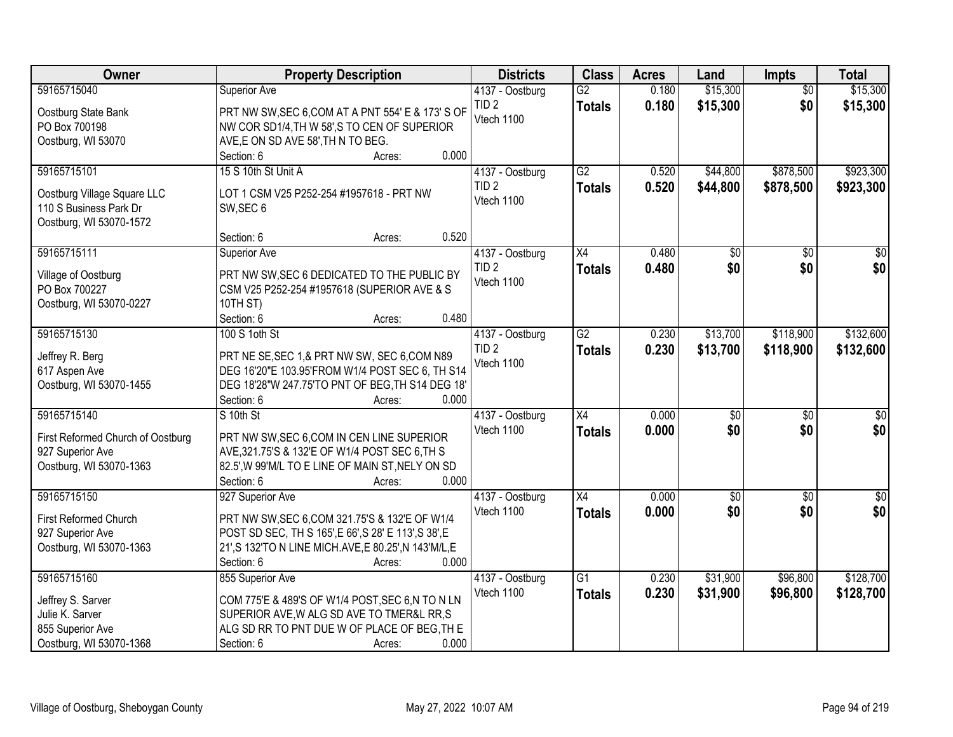| Owner                                | <b>Property Description</b>                                                                   | <b>Districts</b> | <b>Class</b>    | <b>Acres</b> | Land            | <b>Impts</b>    | <b>Total</b>    |
|--------------------------------------|-----------------------------------------------------------------------------------------------|------------------|-----------------|--------------|-----------------|-----------------|-----------------|
| 59165715040                          | Superior Ave                                                                                  | 4137 - Oostburg  | $\overline{G2}$ | 0.180        | \$15,300        | $\overline{50}$ | \$15,300        |
| Oostburg State Bank                  | PRT NW SW, SEC 6, COM AT A PNT 554' E & 173' S OF                                             | TID <sub>2</sub> | <b>Totals</b>   | 0.180        | \$15,300        | \$0             | \$15,300        |
| PO Box 700198                        | NW COR SD1/4, TH W 58', S TO CEN OF SUPERIOR                                                  | Vtech 1100       |                 |              |                 |                 |                 |
| Oostburg, WI 53070                   | AVE, E ON SD AVE 58', TH N TO BEG.                                                            |                  |                 |              |                 |                 |                 |
|                                      | 0.000<br>Section: 6<br>Acres:                                                                 |                  |                 |              |                 |                 |                 |
| 59165715101                          | 15 S 10th St Unit A                                                                           | 4137 - Oostburg  | $\overline{G2}$ | 0.520        | \$44,800        | \$878,500       | \$923,300       |
| Oostburg Village Square LLC          | LOT 1 CSM V25 P252-254 #1957618 - PRT NW                                                      | TID <sub>2</sub> | <b>Totals</b>   | 0.520        | \$44,800        | \$878,500       | \$923,300       |
| 110 S Business Park Dr               | SW, SEC 6                                                                                     | Vtech 1100       |                 |              |                 |                 |                 |
| Oostburg, WI 53070-1572              |                                                                                               |                  |                 |              |                 |                 |                 |
|                                      | 0.520<br>Section: 6<br>Acres:                                                                 |                  |                 |              |                 |                 |                 |
| 59165715111                          | <b>Superior Ave</b>                                                                           | 4137 - Oostburg  | X4              | 0.480        | $\overline{50}$ | \$0             | $\overline{30}$ |
|                                      |                                                                                               | TID <sub>2</sub> | <b>Totals</b>   | 0.480        | \$0             | \$0             | \$0             |
| Village of Oostburg<br>PO Box 700227 | PRT NW SW, SEC 6 DEDICATED TO THE PUBLIC BY                                                   | Vtech 1100       |                 |              |                 |                 |                 |
| Oostburg, WI 53070-0227              | CSM V25 P252-254 #1957618 (SUPERIOR AVE & S<br>10TH ST)                                       |                  |                 |              |                 |                 |                 |
|                                      | 0.480<br>Section: 6<br>Acres:                                                                 |                  |                 |              |                 |                 |                 |
| 59165715130                          | 100 S 1oth St                                                                                 | 4137 - Oostburg  | $\overline{G2}$ | 0.230        | \$13,700        | \$118,900       | \$132,600       |
|                                      |                                                                                               | TID <sub>2</sub> | <b>Totals</b>   | 0.230        | \$13,700        | \$118,900       | \$132,600       |
| Jeffrey R. Berg                      | PRT NE SE, SEC 1,& PRT NW SW, SEC 6, COM N89                                                  | Vtech 1100       |                 |              |                 |                 |                 |
| 617 Aspen Ave                        | DEG 16'20"E 103.95'FROM W1/4 POST SEC 6, TH S14                                               |                  |                 |              |                 |                 |                 |
| Oostburg, WI 53070-1455              | DEG 18'28"W 247.75'TO PNT OF BEG, TH S14 DEG 18'                                              |                  |                 |              |                 |                 |                 |
|                                      | 0.000<br>Section: 6<br>Acres:                                                                 |                  |                 |              |                 |                 |                 |
| 59165715140                          | S 10th St                                                                                     | 4137 - Oostburg  | $\overline{X4}$ | 0.000        | $\overline{50}$ | \$0             | $\overline{50}$ |
| First Reformed Church of Oostburg    | PRT NW SW, SEC 6, COM IN CEN LINE SUPERIOR                                                    | Vtech 1100       | <b>Totals</b>   | 0.000        | \$0             | \$0             | \$0             |
| 927 Superior Ave                     | AVE, 321.75'S & 132'E OF W1/4 POST SEC 6, TH S                                                |                  |                 |              |                 |                 |                 |
| Oostburg, WI 53070-1363              | 82.5', W 99'M/L TO E LINE OF MAIN ST, NELY ON SD                                              |                  |                 |              |                 |                 |                 |
|                                      | 0.000<br>Section: 6<br>Acres:                                                                 |                  |                 |              |                 |                 |                 |
| 59165715150                          | 927 Superior Ave                                                                              | 4137 - Oostburg  | X4              | 0.000        | $\sqrt{50}$     | \$0             | \$0             |
| <b>First Reformed Church</b>         | PRT NW SW, SEC 6, COM 321.75'S & 132'E OF W1/4                                                | Vtech 1100       | <b>Totals</b>   | 0.000        | \$0             | \$0             | \$0             |
| 927 Superior Ave                     | POST SD SEC, TH S 165', E 66', S 28' E 113', S 38', E                                         |                  |                 |              |                 |                 |                 |
| Oostburg, WI 53070-1363              | 21', S 132'TO N LINE MICH.AVE, E 80.25', N 143'M/L, E                                         |                  |                 |              |                 |                 |                 |
|                                      | 0.000<br>Section: 6<br>Acres:                                                                 |                  |                 |              |                 |                 |                 |
| 59165715160                          | 855 Superior Ave                                                                              | 4137 - Oostburg  | $\overline{G1}$ | 0.230        | \$31,900        | \$96,800        | \$128,700       |
|                                      |                                                                                               | Vtech 1100       | <b>Totals</b>   | 0.230        | \$31,900        | \$96,800        | \$128,700       |
| Jeffrey S. Sarver<br>Julie K. Sarver | COM 775'E & 489'S OF W1/4 POST, SEC 6,N TO N LN<br>SUPERIOR AVE, W ALG SD AVE TO TMER&L RR, S |                  |                 |              |                 |                 |                 |
| 855 Superior Ave                     | ALG SD RR TO PNT DUE W OF PLACE OF BEG, TH E                                                  |                  |                 |              |                 |                 |                 |
| Oostburg, WI 53070-1368              | 0.000<br>Section: 6<br>Acres:                                                                 |                  |                 |              |                 |                 |                 |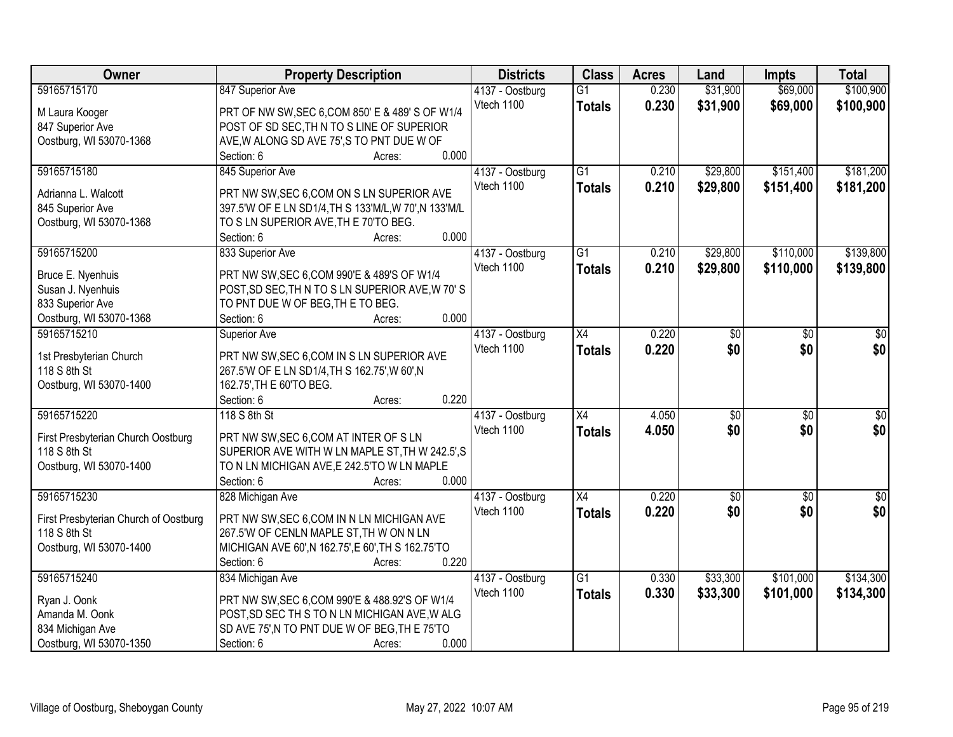| Owner                                 | <b>Property Description</b>                           | <b>Districts</b> | <b>Class</b>    | <b>Acres</b> | Land            | <b>Impts</b>    | <b>Total</b>     |
|---------------------------------------|-------------------------------------------------------|------------------|-----------------|--------------|-----------------|-----------------|------------------|
| 59165715170                           | 847 Superior Ave                                      | 4137 - Oostburg  | $\overline{G1}$ | 0.230        | \$31,900        | \$69,000        | \$100,900        |
| M Laura Kooger                        | PRT OF NW SW, SEC 6, COM 850' E & 489' S OF W1/4      | Vtech 1100       | <b>Totals</b>   | 0.230        | \$31,900        | \$69,000        | \$100,900        |
| 847 Superior Ave                      | POST OF SD SEC, TH N TO S LINE OF SUPERIOR            |                  |                 |              |                 |                 |                  |
| Oostburg, WI 53070-1368               | AVE, W ALONG SD AVE 75', S TO PNT DUE W OF            |                  |                 |              |                 |                 |                  |
|                                       | 0.000<br>Section: 6<br>Acres:                         |                  |                 |              |                 |                 |                  |
| 59165715180                           | 845 Superior Ave                                      | 4137 - Oostburg  | $\overline{G1}$ | 0.210        | \$29,800        | \$151,400       | \$181,200        |
|                                       |                                                       | Vtech 1100       | <b>Totals</b>   | 0.210        | \$29,800        | \$151,400       | \$181,200        |
| Adrianna L. Walcott                   | PRT NW SW, SEC 6, COM ON S LN SUPERIOR AVE            |                  |                 |              |                 |                 |                  |
| 845 Superior Ave                      | 397.5'W OF E LN SD1/4, TH S 133'M/L, W 70', N 133'M/L |                  |                 |              |                 |                 |                  |
| Oostburg, WI 53070-1368               | TO S LN SUPERIOR AVE, TH E 70'TO BEG.                 |                  |                 |              |                 |                 |                  |
|                                       | 0.000<br>Section: 6<br>Acres:                         |                  |                 |              |                 |                 |                  |
| 59165715200                           | 833 Superior Ave                                      | 4137 - Oostburg  | $\overline{G1}$ | 0.210        | \$29,800        | \$110,000       | \$139,800        |
| Bruce E. Nyenhuis                     | PRT NW SW, SEC 6, COM 990'E & 489'S OF W1/4           | Vtech 1100       | <b>Totals</b>   | 0.210        | \$29,800        | \$110,000       | \$139,800        |
| Susan J. Nyenhuis                     | POST, SD SEC, TH N TO S LN SUPERIOR AVE, W 70'S       |                  |                 |              |                 |                 |                  |
| 833 Superior Ave                      | TO PNT DUE W OF BEG, TH E TO BEG.                     |                  |                 |              |                 |                 |                  |
| Oostburg, WI 53070-1368               | 0.000<br>Section: 6<br>Acres:                         |                  |                 |              |                 |                 |                  |
| 59165715210                           | Superior Ave                                          | 4137 - Oostburg  | X4              | 0.220        | \$0             | \$0             | \$0              |
|                                       |                                                       | Vtech 1100       | <b>Totals</b>   | 0.220        | \$0             | \$0             | \$0              |
| 1st Presbyterian Church               | PRT NW SW, SEC 6, COM IN S LN SUPERIOR AVE            |                  |                 |              |                 |                 |                  |
| 118 S 8th St                          | 267.5'W OF E LN SD1/4, TH S 162.75', W 60', N         |                  |                 |              |                 |                 |                  |
| Oostburg, WI 53070-1400               | 162.75', TH E 60'TO BEG.                              |                  |                 |              |                 |                 |                  |
|                                       | 0.220<br>Section: 6<br>Acres:                         |                  |                 |              |                 |                 |                  |
| 59165715220                           | 118 S 8th St                                          | 4137 - Oostburg  | $\overline{X4}$ | 4.050        | $\overline{50}$ | $\overline{50}$ | $\overline{\$0}$ |
| First Presbyterian Church Oostburg    | PRT NW SW, SEC 6, COM AT INTER OF S LN                | Vtech 1100       | <b>Totals</b>   | 4.050        | \$0             | \$0             | \$0              |
| 118 S 8th St                          | SUPERIOR AVE WITH W LN MAPLE ST, TH W 242.5', S       |                  |                 |              |                 |                 |                  |
| Oostburg, WI 53070-1400               | TO N LN MICHIGAN AVE, E 242.5'TO W LN MAPLE           |                  |                 |              |                 |                 |                  |
|                                       | Section: 6<br>0.000<br>Acres:                         |                  |                 |              |                 |                 |                  |
| 59165715230                           | 828 Michigan Ave                                      | 4137 - Oostburg  | X4              | 0.220        | $\sqrt[6]{30}$  | $\overline{50}$ | $\frac{6}{3}$    |
|                                       |                                                       | Vtech 1100       | <b>Totals</b>   | 0.220        | \$0             | \$0             | \$0              |
| First Presbyterian Church of Oostburg | PRT NW SW, SEC 6, COM IN N LN MICHIGAN AVE            |                  |                 |              |                 |                 |                  |
| 118 S 8th St                          | 267.5'W OF CENLN MAPLE ST, TH W ON N LN               |                  |                 |              |                 |                 |                  |
| Oostburg, WI 53070-1400               | MICHIGAN AVE 60', N 162.75', E 60', TH S 162.75'TO    |                  |                 |              |                 |                 |                  |
|                                       | 0.220<br>Section: 6<br>Acres:                         |                  |                 |              |                 |                 |                  |
| 59165715240                           | 834 Michigan Ave                                      | 4137 - Oostburg  | $\overline{G1}$ | 0.330        | \$33,300        | \$101,000       | \$134,300        |
| Ryan J. Oonk                          | PRT NW SW, SEC 6, COM 990'E & 488.92'S OF W1/4        | Vtech 1100       | <b>Totals</b>   | 0.330        | \$33,300        | \$101,000       | \$134,300        |
| Amanda M. Oonk                        | POST, SD SEC TH S TO N LN MICHIGAN AVE, W ALG         |                  |                 |              |                 |                 |                  |
| 834 Michigan Ave                      | SD AVE 75', N TO PNT DUE W OF BEG, TH E 75'TO         |                  |                 |              |                 |                 |                  |
| Oostburg, WI 53070-1350               | 0.000<br>Section: 6<br>Acres:                         |                  |                 |              |                 |                 |                  |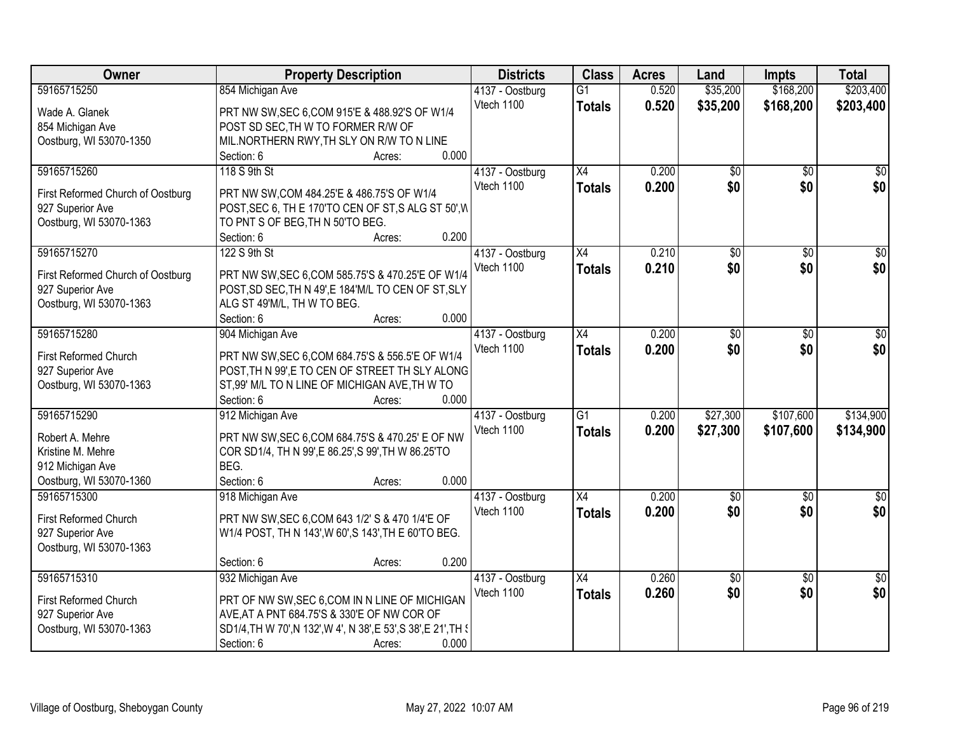| Owner                             | <b>Property Description</b>                                                                         | <b>Districts</b> | <b>Class</b>    | <b>Acres</b> | Land            | <b>Impts</b>    | <b>Total</b>    |
|-----------------------------------|-----------------------------------------------------------------------------------------------------|------------------|-----------------|--------------|-----------------|-----------------|-----------------|
| 59165715250                       | 854 Michigan Ave                                                                                    | 4137 - Oostburg  | $\overline{G1}$ | 0.520        | \$35,200        | \$168,200       | \$203,400       |
| Wade A. Glanek                    | PRT NW SW, SEC 6, COM 915'E & 488.92'S OF W1/4                                                      | Vtech 1100       | <b>Totals</b>   | 0.520        | \$35,200        | \$168,200       | \$203,400       |
| 854 Michigan Ave                  | POST SD SEC, TH W TO FORMER R/W OF                                                                  |                  |                 |              |                 |                 |                 |
| Oostburg, WI 53070-1350           | MIL.NORTHERN RWY, TH SLY ON R/W TO N LINE                                                           |                  |                 |              |                 |                 |                 |
|                                   | 0.000<br>Section: 6<br>Acres:                                                                       |                  |                 |              |                 |                 |                 |
| 59165715260                       | 118 S 9th St                                                                                        | 4137 - Oostburg  | $\overline{X4}$ | 0.200        | \$0             | $\overline{50}$ | $\sqrt{50}$     |
|                                   |                                                                                                     | Vtech 1100       | Totals          | 0.200        | \$0             | \$0             | \$0             |
| First Reformed Church of Oostburg | PRT NW SW, COM 484.25'E & 486.75'S OF W1/4                                                          |                  |                 |              |                 |                 |                 |
| 927 Superior Ave                  | POST, SEC 6, TH E 170'TO CEN OF ST, SALG ST 50', W                                                  |                  |                 |              |                 |                 |                 |
| Oostburg, WI 53070-1363           | TO PNT S OF BEG, TH N 50'TO BEG.<br>0.200                                                           |                  |                 |              |                 |                 |                 |
|                                   | Section: 6<br>Acres:                                                                                |                  |                 |              |                 |                 |                 |
| 59165715270                       | 122 S 9th St                                                                                        | 4137 - Oostburg  | X4              | 0.210        | $\overline{50}$ | $\overline{50}$ | $\overline{30}$ |
| First Reformed Church of Oostburg | PRT NW SW, SEC 6, COM 585.75'S & 470.25'E OF W1/4                                                   | Vtech 1100       | <b>Totals</b>   | 0.210        | \$0             | \$0             | \$0             |
| 927 Superior Ave                  | POST, SD SEC, TH N 49', E 184'M/L TO CEN OF ST, SLY                                                 |                  |                 |              |                 |                 |                 |
| Oostburg, WI 53070-1363           | ALG ST 49'M/L, TH W TO BEG.                                                                         |                  |                 |              |                 |                 |                 |
|                                   | 0.000<br>Section: 6<br>Acres:                                                                       |                  |                 |              |                 |                 |                 |
| 59165715280                       | 904 Michigan Ave                                                                                    | 4137 - Oostburg  | X4              | 0.200        | \$0             | \$0             | \$0             |
| First Reformed Church             |                                                                                                     | Vtech 1100       | <b>Totals</b>   | 0.200        | \$0             | \$0             | \$0             |
|                                   | PRT NW SW, SEC 6, COM 684.75'S & 556.5'E OF W1/4<br>POST, TH N 99', E TO CEN OF STREET TH SLY ALONG |                  |                 |              |                 |                 |                 |
| 927 Superior Ave                  | ST,99' M/L TO N LINE OF MICHIGAN AVE, TH W TO                                                       |                  |                 |              |                 |                 |                 |
| Oostburg, WI 53070-1363           | 0.000<br>Section: 6<br>Acres:                                                                       |                  |                 |              |                 |                 |                 |
| 59165715290                       | 912 Michigan Ave                                                                                    | 4137 - Oostburg  | $\overline{G1}$ | 0.200        | \$27,300        | \$107,600       | \$134,900       |
|                                   |                                                                                                     | Vtech 1100       |                 |              |                 |                 |                 |
| Robert A. Mehre                   | PRT NW SW, SEC 6, COM 684.75'S & 470.25' E OF NW                                                    |                  | <b>Totals</b>   | 0.200        | \$27,300        | \$107,600       | \$134,900       |
| Kristine M. Mehre                 | COR SD1/4, TH N 99', E 86.25', S 99', TH W 86.25'TO                                                 |                  |                 |              |                 |                 |                 |
| 912 Michigan Ave                  | BEG.                                                                                                |                  |                 |              |                 |                 |                 |
| Oostburg, WI 53070-1360           | 0.000<br>Section: 6<br>Acres:                                                                       |                  |                 |              |                 |                 |                 |
| 59165715300                       | 918 Michigan Ave                                                                                    | 4137 - Oostburg  | X4              | 0.200        | $\sqrt{$0}$     | \$0             | $\sqrt{50}$     |
| First Reformed Church             | PRT NW SW, SEC 6, COM 643 1/2' S & 470 1/4'E OF                                                     | Vtech 1100       | <b>Totals</b>   | 0.200        | \$0             | \$0             | \$0             |
| 927 Superior Ave                  | W1/4 POST, TH N 143', W 60', S 143', TH E 60'TO BEG.                                                |                  |                 |              |                 |                 |                 |
| Oostburg, WI 53070-1363           |                                                                                                     |                  |                 |              |                 |                 |                 |
|                                   | 0.200<br>Section: 6<br>Acres:                                                                       |                  |                 |              |                 |                 |                 |
| 59165715310                       | 932 Michigan Ave                                                                                    | 4137 - Oostburg  | $\overline{X4}$ | 0.260        | $\overline{50}$ | $\overline{30}$ | $\frac{1}{2}$   |
|                                   |                                                                                                     | Vtech 1100       | <b>Totals</b>   | 0.260        | \$0             | \$0             | \$0             |
| First Reformed Church             | PRT OF NW SW, SEC 6, COM IN N LINE OF MICHIGAN                                                      |                  |                 |              |                 |                 |                 |
| 927 Superior Ave                  | AVE, AT A PNT 684.75'S & 330'E OF NW COR OF                                                         |                  |                 |              |                 |                 |                 |
| Oostburg, WI 53070-1363           | SD1/4, TH W 70', N 132', W 4', N 38', E 53', S 38', E 21', TH {                                     |                  |                 |              |                 |                 |                 |
|                                   | 0.000<br>Section: 6<br>Acres:                                                                       |                  |                 |              |                 |                 |                 |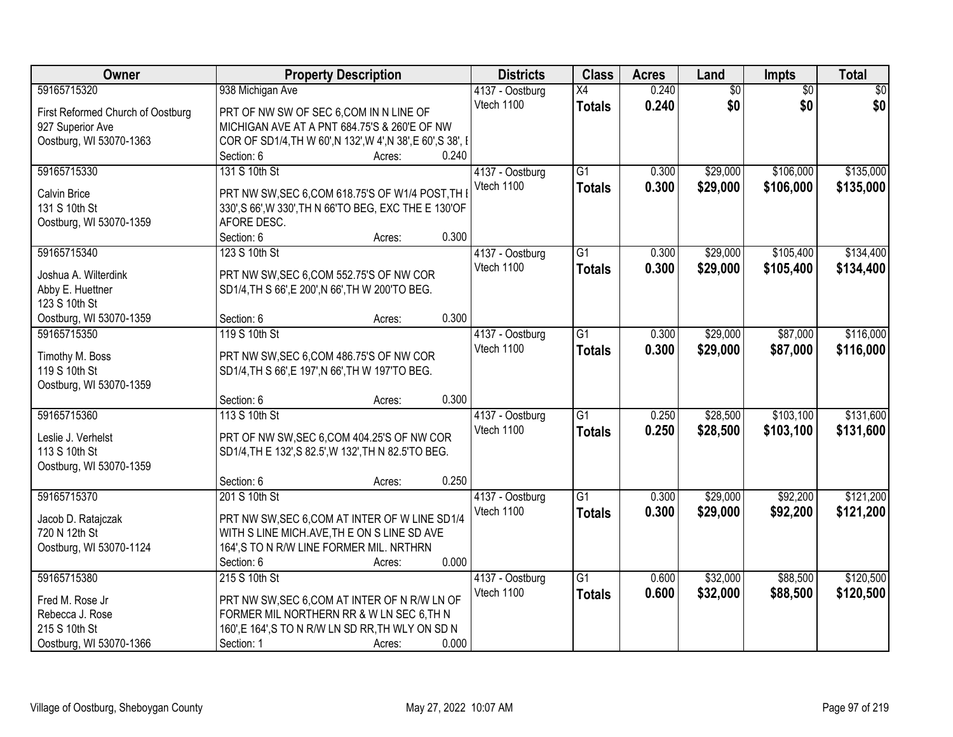| Owner                                | <b>Property Description</b>                                          | <b>Districts</b> | <b>Class</b>    | <b>Acres</b> | Land            | Impts           | <b>Total</b> |
|--------------------------------------|----------------------------------------------------------------------|------------------|-----------------|--------------|-----------------|-----------------|--------------|
| 59165715320                          | 938 Michigan Ave                                                     | 4137 - Oostburg  | X4              | 0.240        | $\overline{60}$ | $\overline{50}$ | \$0          |
| First Reformed Church of Oostburg    | PRT OF NW SW OF SEC 6,COM IN N LINE OF                               | Vtech 1100       | <b>Totals</b>   | 0.240        | \$0             | \$0             | \$0          |
| 927 Superior Ave                     | MICHIGAN AVE AT A PNT 684.75'S & 260'E OF NW                         |                  |                 |              |                 |                 |              |
| Oostburg, WI 53070-1363              | COR OF SD1/4, TH W 60', N 132', W 4', N 38', E 60', S 38', I         |                  |                 |              |                 |                 |              |
|                                      | 0.240<br>Section: 6<br>Acres:                                        |                  |                 |              |                 |                 |              |
| 59165715330                          | 131 S 10th St                                                        | 4137 - Oostburg  | $\overline{G1}$ | 0.300        | \$29,000        | \$106,000       | \$135,000    |
|                                      |                                                                      | Vtech 1100       | <b>Totals</b>   | 0.300        | \$29,000        | \$106,000       | \$135,000    |
| <b>Calvin Brice</b><br>131 S 10th St | PRT NW SW, SEC 6, COM 618.75'S OF W1/4 POST, TH I                    |                  |                 |              |                 |                 |              |
|                                      | 330', S 66', W 330', TH N 66'TO BEG, EXC THE E 130'OF<br>AFORE DESC. |                  |                 |              |                 |                 |              |
| Oostburg, WI 53070-1359              | 0.300<br>Section: 6<br>Acres:                                        |                  |                 |              |                 |                 |              |
| 59165715340                          | 123 S 10th St                                                        | 4137 - Oostburg  | $\overline{G1}$ | 0.300        | \$29,000        | \$105,400       | \$134,400    |
|                                      |                                                                      | Vtech 1100       |                 |              |                 |                 |              |
| Joshua A. Wilterdink                 | PRT NW SW, SEC 6, COM 552.75'S OF NW COR                             |                  | <b>Totals</b>   | 0.300        | \$29,000        | \$105,400       | \$134,400    |
| Abby E. Huettner                     | SD1/4, TH S 66', E 200', N 66', TH W 200'TO BEG.                     |                  |                 |              |                 |                 |              |
| 123 S 10th St                        |                                                                      |                  |                 |              |                 |                 |              |
| Oostburg, WI 53070-1359              | 0.300<br>Section: 6<br>Acres:                                        |                  |                 |              |                 |                 |              |
| 59165715350                          | 119 S 10th St                                                        | 4137 - Oostburg  | G1              | 0.300        | \$29,000        | \$87,000        | \$116,000    |
| Timothy M. Boss                      | PRT NW SW, SEC 6, COM 486.75'S OF NW COR                             | Vtech 1100       | <b>Totals</b>   | 0.300        | \$29,000        | \$87,000        | \$116,000    |
| 119 S 10th St                        | SD1/4, TH S 66', E 197', N 66', TH W 197'TO BEG.                     |                  |                 |              |                 |                 |              |
| Oostburg, WI 53070-1359              |                                                                      |                  |                 |              |                 |                 |              |
|                                      | 0.300<br>Section: 6<br>Acres:                                        |                  |                 |              |                 |                 |              |
| 59165715360                          | 113 S 10th St                                                        | 4137 - Oostburg  | $\overline{G1}$ | 0.250        | \$28,500        | \$103,100       | \$131,600    |
|                                      |                                                                      | Vtech 1100       | <b>Totals</b>   | 0.250        | \$28,500        | \$103,100       | \$131,600    |
| Leslie J. Verhelst                   | PRT OF NW SW, SEC 6, COM 404.25'S OF NW COR                          |                  |                 |              |                 |                 |              |
| 113 S 10th St                        | SD1/4, TH E 132', S 82.5', W 132', TH N 82.5'TO BEG.                 |                  |                 |              |                 |                 |              |
| Oostburg, WI 53070-1359              |                                                                      |                  |                 |              |                 |                 |              |
|                                      | 0.250<br>Section: 6<br>Acres:                                        |                  |                 |              |                 |                 |              |
| 59165715370                          | 201 S 10th St                                                        | 4137 - Oostburg  | $\overline{G1}$ | 0.300        | \$29,000        | \$92,200        | \$121,200    |
| Jacob D. Ratajczak                   | PRT NW SW, SEC 6, COM AT INTER OF W LINE SD1/4                       | Vtech 1100       | <b>Totals</b>   | 0.300        | \$29,000        | \$92,200        | \$121,200    |
| 720 N 12th St                        | WITH S LINE MICH.AVE, TH E ON S LINE SD AVE                          |                  |                 |              |                 |                 |              |
| Oostburg, WI 53070-1124              | 164', S TO N R/W LINE FORMER MIL. NRTHRN                             |                  |                 |              |                 |                 |              |
|                                      | 0.000<br>Section: 6<br>Acres:                                        |                  |                 |              |                 |                 |              |
| 59165715380                          | 215 S 10th St                                                        | 4137 - Oostburg  | $\overline{G1}$ | 0.600        | \$32,000        | \$88,500        | \$120,500    |
|                                      |                                                                      | Vtech 1100       | <b>Totals</b>   | 0.600        | \$32,000        | \$88,500        | \$120,500    |
| Fred M. Rose Jr                      | PRT NW SW, SEC 6, COM AT INTER OF N R/W LN OF                        |                  |                 |              |                 |                 |              |
| Rebecca J. Rose<br>215 S 10th St     | FORMER MIL NORTHERN RR & W LN SEC 6, TH N                            |                  |                 |              |                 |                 |              |
|                                      | 160',E 164',S TO N R/W LN SD RR, TH WLY ON SD N                      |                  |                 |              |                 |                 |              |
| Oostburg, WI 53070-1366              | 0.000<br>Section: 1<br>Acres:                                        |                  |                 |              |                 |                 |              |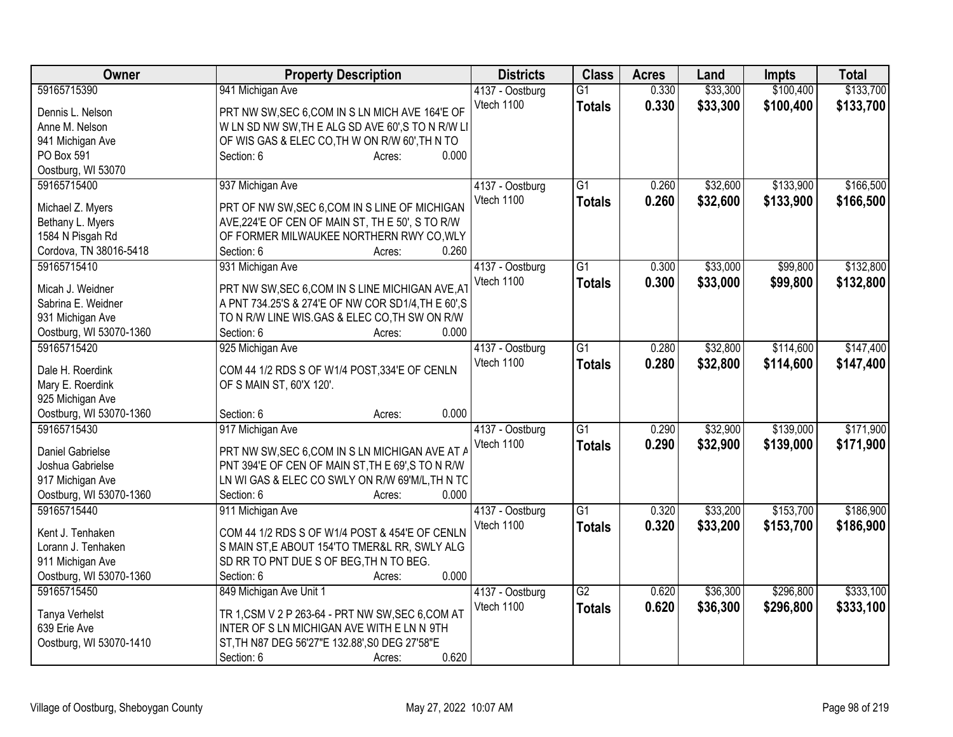| <b>Owner</b>            | <b>Property Description</b>                         | <b>Districts</b> | <b>Class</b>    | <b>Acres</b> | Land     | <b>Impts</b> | <b>Total</b> |
|-------------------------|-----------------------------------------------------|------------------|-----------------|--------------|----------|--------------|--------------|
| 59165715390             | 941 Michigan Ave                                    | 4137 - Oostburg  | $\overline{G1}$ | 0.330        | \$33,300 | \$100,400    | \$133,700    |
| Dennis L. Nelson        | PRT NW SW, SEC 6, COM IN S LN MICH AVE 164'E OF     | Vtech 1100       | <b>Totals</b>   | 0.330        | \$33,300 | \$100,400    | \$133,700    |
| Anne M. Nelson          | WLN SD NW SW, THE ALG SD AVE 60', S TO N R/W LI     |                  |                 |              |          |              |              |
| 941 Michigan Ave        | OF WIS GAS & ELEC CO, TH W ON R/W 60', TH N TO      |                  |                 |              |          |              |              |
| PO Box 591              | 0.000<br>Section: 6<br>Acres:                       |                  |                 |              |          |              |              |
| Oostburg, WI 53070      |                                                     |                  |                 |              |          |              |              |
| 59165715400             | 937 Michigan Ave                                    | 4137 - Oostburg  | $\overline{G1}$ | 0.260        | \$32,600 | \$133,900    | \$166,500    |
| Michael Z. Myers        | PRT OF NW SW, SEC 6, COM IN S LINE OF MICHIGAN      | Vtech 1100       | <b>Totals</b>   | 0.260        | \$32,600 | \$133,900    | \$166,500    |
|                         | AVE, 224'E OF CEN OF MAIN ST, TH E 50', S TO R/W    |                  |                 |              |          |              |              |
| Bethany L. Myers        |                                                     |                  |                 |              |          |              |              |
| 1584 N Pisgah Rd        | OF FORMER MILWAUKEE NORTHERN RWY CO, WLY            |                  |                 |              |          |              |              |
| Cordova, TN 38016-5418  | 0.260<br>Section: 6<br>Acres:                       |                  |                 |              |          |              |              |
| 59165715410             | 931 Michigan Ave                                    | 4137 - Oostburg  | $\overline{G1}$ | 0.300        | \$33,000 | \$99,800     | \$132,800    |
| Micah J. Weidner        | PRT NW SW, SEC 6, COM IN S LINE MICHIGAN AVE, AT    | Vtech 1100       | <b>Totals</b>   | 0.300        | \$33,000 | \$99,800     | \$132,800    |
| Sabrina E. Weidner      | A PNT 734.25'S & 274'E OF NW COR SD1/4, TH E 60', S |                  |                 |              |          |              |              |
| 931 Michigan Ave        | TO N R/W LINE WIS.GAS & ELEC CO, TH SW ON R/W       |                  |                 |              |          |              |              |
| Oostburg, WI 53070-1360 | 0.000<br>Section: 6<br>Acres:                       |                  |                 |              |          |              |              |
| 59165715420             | 925 Michigan Ave                                    | 4137 - Oostburg  | $\overline{G1}$ | 0.280        | \$32,800 | \$114,600    | \$147,400    |
|                         |                                                     | Vtech 1100       | <b>Totals</b>   | 0.280        | \$32,800 | \$114,600    | \$147,400    |
| Dale H. Roerdink        | COM 44 1/2 RDS S OF W1/4 POST, 334'E OF CENLN       |                  |                 |              |          |              |              |
| Mary E. Roerdink        | OF S MAIN ST, 60'X 120'.                            |                  |                 |              |          |              |              |
| 925 Michigan Ave        |                                                     |                  |                 |              |          |              |              |
| Oostburg, WI 53070-1360 | 0.000<br>Section: 6<br>Acres:                       |                  |                 |              |          |              |              |
| 59165715430             | 917 Michigan Ave                                    | 4137 - Oostburg  | $\overline{G1}$ | 0.290        | \$32,900 | \$139,000    | \$171,900    |
| Daniel Gabrielse        | PRT NW SW, SEC 6, COM IN S LN MICHIGAN AVE AT A     | Vtech 1100       | <b>Totals</b>   | 0.290        | \$32,900 | \$139,000    | \$171,900    |
| Joshua Gabrielse        | PNT 394'E OF CEN OF MAIN ST, TH E 69', S TO N R/W   |                  |                 |              |          |              |              |
| 917 Michigan Ave        | LN WI GAS & ELEC CO SWLY ON R/W 69'M/L, TH N TC     |                  |                 |              |          |              |              |
| Oostburg, WI 53070-1360 | 0.000<br>Section: 6<br>Acres:                       |                  |                 |              |          |              |              |
| 59165715440             | 911 Michigan Ave                                    | 4137 - Oostburg  | $\overline{G1}$ | 0.320        | \$33,200 | \$153,700    | \$186,900    |
|                         |                                                     | Vtech 1100       |                 |              |          |              |              |
| Kent J. Tenhaken        | COM 44 1/2 RDS S OF W1/4 POST & 454'E OF CENLN      |                  | <b>Totals</b>   | 0.320        | \$33,200 | \$153,700    | \$186,900    |
| Lorann J. Tenhaken      | S MAIN ST, E ABOUT 154'TO TMER&L RR, SWLY ALG       |                  |                 |              |          |              |              |
| 911 Michigan Ave        | SD RR TO PNT DUE S OF BEG, TH N TO BEG.             |                  |                 |              |          |              |              |
| Oostburg, WI 53070-1360 | 0.000<br>Section: 6<br>Acres:                       |                  |                 |              |          |              |              |
| 59165715450             | 849 Michigan Ave Unit 1                             | 4137 - Oostburg  | $\overline{G2}$ | 0.620        | \$36,300 | \$296,800    | \$333,100    |
|                         |                                                     | Vtech 1100       | <b>Totals</b>   | 0.620        | \$36,300 | \$296,800    | \$333,100    |
| Tanya Verhelst          | TR 1, CSM V 2 P 263-64 - PRT NW SW, SEC 6, COM AT   |                  |                 |              |          |              |              |
| 639 Erie Ave            | INTER OF S LN MICHIGAN AVE WITH E LN N 9TH          |                  |                 |              |          |              |              |
| Oostburg, WI 53070-1410 | ST, TH N87 DEG 56'27"E 132.88', S0 DEG 27'58"E      |                  |                 |              |          |              |              |
|                         | 0.620<br>Section: 6<br>Acres:                       |                  |                 |              |          |              |              |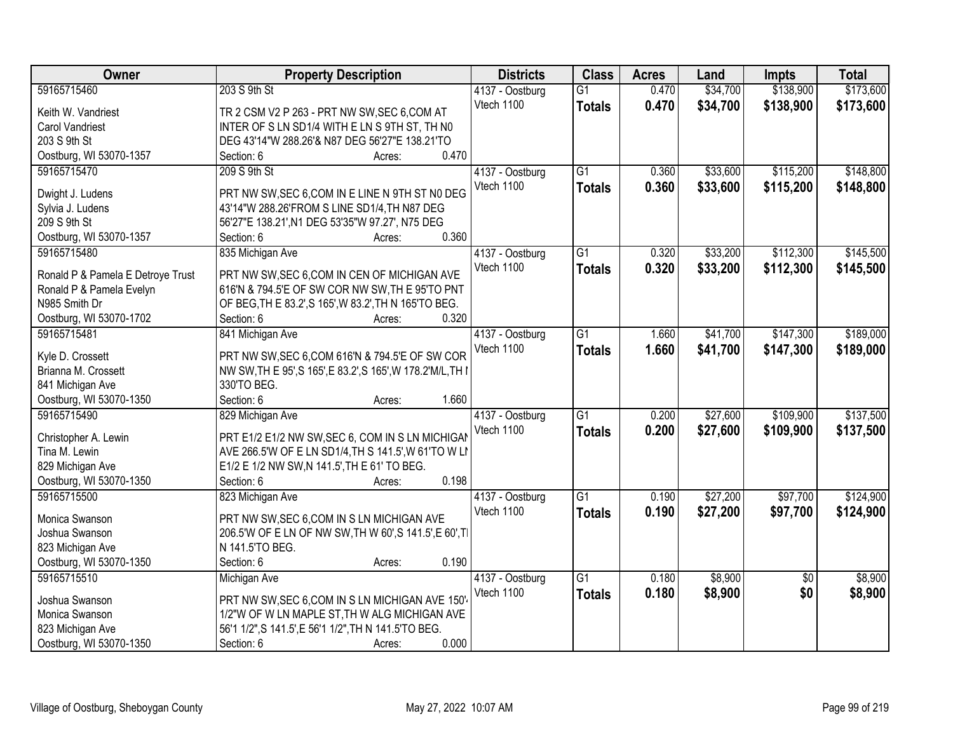| Owner                             | <b>Property Description</b>                                  | <b>Districts</b> | <b>Class</b>    | <b>Acres</b> | Land     | <b>Impts</b>    | <b>Total</b> |
|-----------------------------------|--------------------------------------------------------------|------------------|-----------------|--------------|----------|-----------------|--------------|
| 59165715460                       | 203 S 9th St                                                 | 4137 - Oostburg  | $\overline{G1}$ | 0.470        | \$34,700 | \$138,900       | \$173,600    |
| Keith W. Vandriest                | TR 2 CSM V2 P 263 - PRT NW SW, SEC 6, COM AT                 | Vtech 1100       | <b>Totals</b>   | 0.470        | \$34,700 | \$138,900       | \$173,600    |
| <b>Carol Vandriest</b>            | INTER OF S LN SD1/4 WITH E LN S 9TH ST, TH NO                |                  |                 |              |          |                 |              |
| 203 S 9th St                      | DEG 43'14"W 288.26'& N87 DEG 56'27"E 138.21'TO               |                  |                 |              |          |                 |              |
| Oostburg, WI 53070-1357           | 0.470<br>Section: 6<br>Acres:                                |                  |                 |              |          |                 |              |
| 59165715470                       | 209 S 9th St                                                 | 4137 - Oostburg  | $\overline{G1}$ | 0.360        | \$33,600 | \$115,200       | \$148,800    |
|                                   |                                                              | Vtech 1100       | <b>Totals</b>   | 0.360        | \$33,600 | \$115,200       | \$148,800    |
| Dwight J. Ludens                  | PRT NW SW, SEC 6, COM IN E LINE N 9TH ST NO DEG              |                  |                 |              |          |                 |              |
| Sylvia J. Ludens                  | 43'14"W 288.26'FROM S LINE SD1/4, TH N87 DEG                 |                  |                 |              |          |                 |              |
| 209 S 9th St                      | 56'27"E 138.21', N1 DEG 53'35"W 97.27', N75 DEG              |                  |                 |              |          |                 |              |
| Oostburg, WI 53070-1357           | 0.360<br>Section: 6<br>Acres:                                |                  |                 |              |          |                 |              |
| 59165715480                       | 835 Michigan Ave                                             | 4137 - Oostburg  | $\overline{G1}$ | 0.320        | \$33,200 | \$112,300       | \$145,500    |
| Ronald P & Pamela E Detroye Trust | PRT NW SW, SEC 6, COM IN CEN OF MICHIGAN AVE                 | Vtech 1100       | <b>Totals</b>   | 0.320        | \$33,200 | \$112,300       | \$145,500    |
| Ronald P & Pamela Evelyn          | 616'N & 794.5'E OF SW COR NW SW, TH E 95'TO PNT              |                  |                 |              |          |                 |              |
| N985 Smith Dr                     | OF BEG, TH E 83.2', S 165', W 83.2', TH N 165'TO BEG.        |                  |                 |              |          |                 |              |
| Oostburg, WI 53070-1702           | Section: 6<br>0.320<br>Acres:                                |                  |                 |              |          |                 |              |
| 59165715481                       | 841 Michigan Ave                                             |                  | $\overline{G1}$ | 1.660        | \$41,700 | \$147,300       | \$189,000    |
|                                   |                                                              | 4137 - Oostburg  |                 |              |          |                 |              |
| Kyle D. Crossett                  | PRT NW SW, SEC 6, COM 616'N & 794.5'E OF SW COR              | Vtech 1100       | <b>Totals</b>   | 1.660        | \$41,700 | \$147,300       | \$189,000    |
| Brianna M. Crossett               | NW SW, TH E 95', S 165', E 83.2', S 165', W 178.2' M/L, TH I |                  |                 |              |          |                 |              |
| 841 Michigan Ave                  | 330'TO BEG.                                                  |                  |                 |              |          |                 |              |
| Oostburg, WI 53070-1350           | 1.660<br>Section: 6<br>Acres:                                |                  |                 |              |          |                 |              |
| 59165715490                       | 829 Michigan Ave                                             | 4137 - Oostburg  | $\overline{G1}$ | 0.200        | \$27,600 | \$109,900       | \$137,500    |
|                                   |                                                              | Vtech 1100       | <b>Totals</b>   | 0.200        | \$27,600 | \$109,900       | \$137,500    |
| Christopher A. Lewin              | PRT E1/2 E1/2 NW SW, SEC 6, COM IN S LN MICHIGAN             |                  |                 |              |          |                 |              |
| Tina M. Lewin                     | AVE 266.5'W OF E LN SD1/4, TH S 141.5', W 61'TO W LI         |                  |                 |              |          |                 |              |
| 829 Michigan Ave                  | E1/2 E 1/2 NW SW, N 141.5', TH E 61' TO BEG.                 |                  |                 |              |          |                 |              |
| Oostburg, WI 53070-1350           | 0.198<br>Section: 6<br>Acres:                                |                  |                 |              |          |                 |              |
| 59165715500                       | 823 Michigan Ave                                             | 4137 - Oostburg  | $\overline{G1}$ | 0.190        | \$27,200 | \$97,700        | \$124,900    |
| Monica Swanson                    | PRT NW SW, SEC 6, COM IN S LN MICHIGAN AVE                   | Vtech 1100       | <b>Totals</b>   | 0.190        | \$27,200 | \$97,700        | \$124,900    |
| Joshua Swanson                    | 206.5'W OF E LN OF NW SW, TH W 60', S 141.5', E 60', TI      |                  |                 |              |          |                 |              |
| 823 Michigan Ave                  | N 141.5'TO BEG.                                              |                  |                 |              |          |                 |              |
| Oostburg, WI 53070-1350           | 0.190<br>Section: 6<br>Acres:                                |                  |                 |              |          |                 |              |
| 59165715510                       | Michigan Ave                                                 | 4137 - Oostburg  | $\overline{G1}$ | 0.180        | \$8,900  | $\overline{30}$ | \$8,900      |
|                                   |                                                              | Vtech 1100       | <b>Totals</b>   | 0.180        | \$8,900  | \$0             | \$8,900      |
| Joshua Swanson                    | PRT NW SW, SEC 6, COM IN S LN MICHIGAN AVE 150'              |                  |                 |              |          |                 |              |
| Monica Swanson                    | 1/2"W OF W LN MAPLE ST, TH W ALG MICHIGAN AVE                |                  |                 |              |          |                 |              |
| 823 Michigan Ave                  | 56'1 1/2", S 141.5', E 56'1 1/2", TH N 141.5'TO BEG.         |                  |                 |              |          |                 |              |
| Oostburg, WI 53070-1350           | 0.000<br>Section: 6<br>Acres:                                |                  |                 |              |          |                 |              |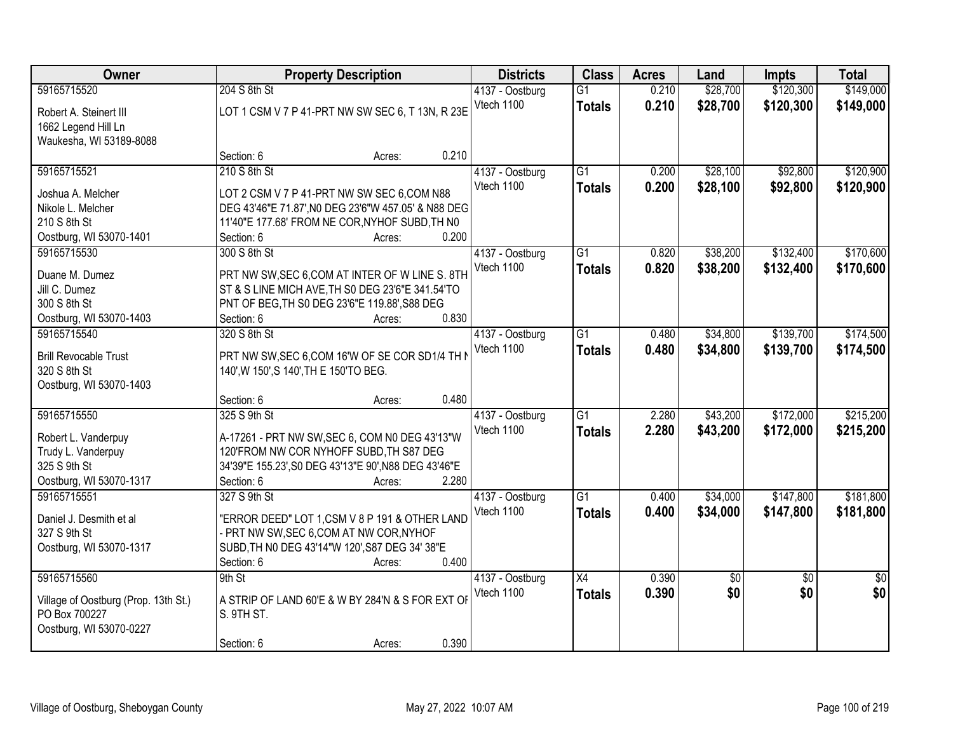| <b>Owner</b>                         |                                                      | <b>Property Description</b> |       | <b>Districts</b> | <b>Class</b>    | <b>Acres</b> | Land     | <b>Impts</b>    | <b>Total</b>    |
|--------------------------------------|------------------------------------------------------|-----------------------------|-------|------------------|-----------------|--------------|----------|-----------------|-----------------|
| 59165715520                          | 204 S 8th St                                         |                             |       | 4137 - Oostburg  | $\overline{G1}$ | 0.210        | \$28,700 | \$120,300       | \$149,000       |
| Robert A. Steinert III               | LOT 1 CSM V 7 P 41-PRT NW SW SEC 6, T 13N, R 23E     |                             |       | Vtech 1100       | <b>Totals</b>   | 0.210        | \$28,700 | \$120,300       | \$149,000       |
| 1662 Legend Hill Ln                  |                                                      |                             |       |                  |                 |              |          |                 |                 |
| Waukesha, WI 53189-8088              |                                                      |                             |       |                  |                 |              |          |                 |                 |
|                                      | Section: 6                                           | Acres:                      | 0.210 |                  |                 |              |          |                 |                 |
| 59165715521                          | 210 S 8th St                                         |                             |       | 4137 - Oostburg  | $\overline{G1}$ | 0.200        | \$28,100 | \$92,800        | \$120,900       |
|                                      |                                                      |                             |       | Vtech 1100       | <b>Totals</b>   | 0.200        | \$28,100 | \$92,800        | \$120,900       |
| Joshua A. Melcher                    | LOT 2 CSM V 7 P 41-PRT NW SW SEC 6,COM N88           |                             |       |                  |                 |              |          |                 |                 |
| Nikole L. Melcher                    | DEG 43'46"E 71.87', NO DEG 23'6"W 457.05' & N88 DEG  |                             |       |                  |                 |              |          |                 |                 |
| 210 S 8th St                         | 11'40"E 177.68' FROM NE COR, NYHOF SUBD, TH N0       |                             |       |                  |                 |              |          |                 |                 |
| Oostburg, WI 53070-1401              | Section: 6                                           | Acres:                      | 0.200 |                  |                 |              |          |                 |                 |
| 59165715530                          | 300 S 8th St                                         |                             |       | 4137 - Oostburg  | G1              | 0.820        | \$38,200 | \$132,400       | \$170,600       |
| Duane M. Dumez                       | PRT NW SW, SEC 6, COM AT INTER OF W LINE S. 8TH      |                             |       | Vtech 1100       | <b>Totals</b>   | 0.820        | \$38,200 | \$132,400       | \$170,600       |
| Jill C. Dumez                        | ST & S LINE MICH AVE, TH S0 DEG 23'6"E 341.54'TO     |                             |       |                  |                 |              |          |                 |                 |
| 300 S 8th St                         | PNT OF BEG, TH S0 DEG 23'6"E 119.88', S88 DEG        |                             |       |                  |                 |              |          |                 |                 |
| Oostburg, WI 53070-1403              | Section: 6                                           | Acres:                      | 0.830 |                  |                 |              |          |                 |                 |
| 59165715540                          | 320 S 8th St                                         |                             |       | 4137 - Oostburg  | G1              | 0.480        | \$34,800 | \$139,700       | \$174,500       |
|                                      |                                                      |                             |       | Vtech 1100       | <b>Totals</b>   | 0.480        | \$34,800 | \$139,700       | \$174,500       |
| <b>Brill Revocable Trust</b>         | PRT NW SW, SEC 6, COM 16'W OF SE COR SD1/4 TH I      |                             |       |                  |                 |              |          |                 |                 |
| 320 S 8th St                         | 140', W 150', S 140', TH E 150'TO BEG.               |                             |       |                  |                 |              |          |                 |                 |
| Oostburg, WI 53070-1403              |                                                      |                             |       |                  |                 |              |          |                 |                 |
|                                      | Section: 6                                           | Acres:                      | 0.480 |                  |                 |              |          |                 |                 |
| 59165715550                          | 325 S 9th St                                         |                             |       | 4137 - Oostburg  | $\overline{G1}$ | 2.280        | \$43,200 | \$172,000       | \$215,200       |
| Robert L. Vanderpuy                  | A-17261 - PRT NW SW, SEC 6, COM N0 DEG 43'13"W       |                             |       | Vtech 1100       | <b>Totals</b>   | 2.280        | \$43,200 | \$172,000       | \$215,200       |
| Trudy L. Vanderpuy                   | 120'FROM NW COR NYHOFF SUBD. TH S87 DEG              |                             |       |                  |                 |              |          |                 |                 |
| 325 S 9th St                         | 34'39"E 155.23', S0 DEG 43'13"E 90', N88 DEG 43'46"E |                             |       |                  |                 |              |          |                 |                 |
| Oostburg, WI 53070-1317              | Section: 6                                           | Acres:                      | 2.280 |                  |                 |              |          |                 |                 |
| 59165715551                          | 327 S 9th St                                         |                             |       | 4137 - Oostburg  | $\overline{G1}$ | 0.400        | \$34,000 | \$147,800       | \$181,800       |
|                                      |                                                      |                             |       | Vtech 1100       | <b>Totals</b>   | 0.400        | \$34,000 | \$147,800       | \$181,800       |
| Daniel J. Desmith et al              | "ERROR DEED" LOT 1, CSM V 8 P 191 & OTHER LAND       |                             |       |                  |                 |              |          |                 |                 |
| 327 S 9th St                         | - PRT NW SW, SEC 6, COM AT NW COR, NYHOF             |                             |       |                  |                 |              |          |                 |                 |
| Oostburg, WI 53070-1317              | SUBD, TH NO DEG 43'14"W 120', S87 DEG 34' 38"E       |                             |       |                  |                 |              |          |                 |                 |
|                                      | Section: 6                                           | Acres:                      | 0.400 |                  |                 |              |          |                 |                 |
| 59165715560                          | 9th St                                               |                             |       | 4137 - Oostburg  | $\overline{X4}$ | 0.390        | \$0      | $\overline{50}$ | $\overline{50}$ |
| Village of Oostburg (Prop. 13th St.) | A STRIP OF LAND 60'E & W BY 284'N & S FOR EXT OF     |                             |       | Vtech 1100       | <b>Totals</b>   | 0.390        | \$0      | \$0             | \$0             |
| PO Box 700227                        | S. 9TH ST.                                           |                             |       |                  |                 |              |          |                 |                 |
| Oostburg, WI 53070-0227              |                                                      |                             |       |                  |                 |              |          |                 |                 |
|                                      | Section: 6                                           | Acres:                      | 0.390 |                  |                 |              |          |                 |                 |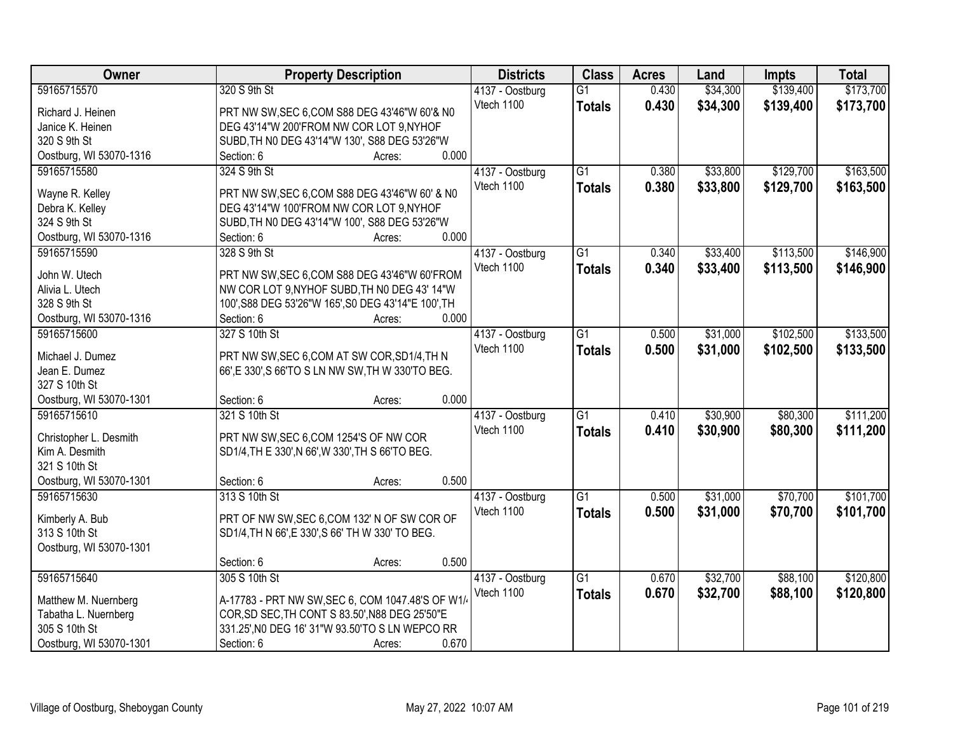| Owner                             |                                                  | <b>Property Description</b>                                                                     | <b>Districts</b> | <b>Class</b>    | <b>Acres</b> | Land     | <b>Impts</b> | <b>Total</b> |
|-----------------------------------|--------------------------------------------------|-------------------------------------------------------------------------------------------------|------------------|-----------------|--------------|----------|--------------|--------------|
| 59165715570                       | 320 S 9th St                                     |                                                                                                 | 4137 - Oostburg  | $\overline{G1}$ | 0.430        | \$34,300 | \$139,400    | \$173,700    |
| Richard J. Heinen                 |                                                  | PRT NW SW, SEC 6, COM S88 DEG 43'46"W 60'& N0                                                   | Vtech 1100       | <b>Totals</b>   | 0.430        | \$34,300 | \$139,400    | \$173,700    |
| Janice K. Heinen                  | DEG 43'14"W 200'FROM NW COR LOT 9, NYHOF         |                                                                                                 |                  |                 |              |          |              |              |
| 320 S 9th St                      |                                                  | SUBD, TH NO DEG 43'14"W 130', S88 DEG 53'26"W                                                   |                  |                 |              |          |              |              |
| Oostburg, WI 53070-1316           | Section: 6                                       | Acres:                                                                                          | 0.000            |                 |              |          |              |              |
| 59165715580                       | 324 S 9th St                                     |                                                                                                 | 4137 - Oostburg  | $\overline{G1}$ | 0.380        | \$33,800 | \$129,700    | \$163,500    |
|                                   |                                                  |                                                                                                 | Vtech 1100       | <b>Totals</b>   | 0.380        | \$33,800 | \$129,700    | \$163,500    |
| Wayne R. Kelley                   |                                                  | PRT NW SW, SEC 6, COM S88 DEG 43'46"W 60' & N0                                                  |                  |                 |              |          |              |              |
| Debra K. Kelley                   | DEG 43'14"W 100'FROM NW COR LOT 9,NYHOF          |                                                                                                 |                  |                 |              |          |              |              |
| 324 S 9th St                      |                                                  | SUBD, TH NO DEG 43'14"W 100', S88 DEG 53'26"W                                                   | 0.000            |                 |              |          |              |              |
| Oostburg, WI 53070-1316           | Section: 6                                       | Acres:                                                                                          |                  |                 |              |          |              |              |
| 59165715590                       | 328 S 9th St                                     |                                                                                                 | 4137 - Oostburg  | $\overline{G1}$ | 0.340        | \$33,400 | \$113,500    | \$146,900    |
| John W. Utech                     |                                                  | PRT NW SW, SEC 6, COM S88 DEG 43'46"W 60'FROM                                                   | Vtech 1100       | <b>Totals</b>   | 0.340        | \$33,400 | \$113,500    | \$146,900    |
| Alivia L. Utech                   |                                                  | NW COR LOT 9, NYHOF SUBD, TH NO DEG 43' 14"W                                                    |                  |                 |              |          |              |              |
| 328 S 9th St                      |                                                  | 100', S88 DEG 53'26"W 165', S0 DEG 43'14"E 100', TH                                             |                  |                 |              |          |              |              |
| Oostburg, WI 53070-1316           | Section: 6                                       | Acres:                                                                                          | 0.000            |                 |              |          |              |              |
| 59165715600                       | 327 S 10th St                                    |                                                                                                 | 4137 - Oostburg  | $\overline{G1}$ | 0.500        | \$31,000 | \$102,500    | \$133,500    |
|                                   |                                                  |                                                                                                 | Vtech 1100       | <b>Totals</b>   | 0.500        | \$31,000 | \$102,500    | \$133,500    |
| Michael J. Dumez<br>Jean E. Dumez |                                                  | PRT NW SW, SEC 6, COM AT SW COR, SD1/4, TH N<br>66',E 330',S 66'TO S LN NW SW, TH W 330'TO BEG. |                  |                 |              |          |              |              |
| 327 S 10th St                     |                                                  |                                                                                                 |                  |                 |              |          |              |              |
| Oostburg, WI 53070-1301           | Section: 6                                       | Acres:                                                                                          | 0.000            |                 |              |          |              |              |
| 59165715610                       | 321 S 10th St                                    |                                                                                                 | 4137 - Oostburg  | $\overline{G1}$ | 0.410        | \$30,900 | \$80,300     | \$111,200    |
|                                   |                                                  |                                                                                                 | Vtech 1100       | Totals          | 0.410        | \$30,900 | \$80,300     | \$111,200    |
| Christopher L. Desmith            | PRT NW SW, SEC 6, COM 1254'S OF NW COR           |                                                                                                 |                  |                 |              |          |              |              |
| Kim A. Desmith                    | SD1/4, TH E 330', N 66', W 330', TH S 66'TO BEG. |                                                                                                 |                  |                 |              |          |              |              |
| 321 S 10th St                     |                                                  |                                                                                                 |                  |                 |              |          |              |              |
| Oostburg, WI 53070-1301           | Section: 6                                       | Acres:                                                                                          | 0.500            |                 |              |          |              |              |
| 59165715630                       | 313 S 10th St                                    |                                                                                                 | 4137 - Oostburg  | $\overline{G1}$ | 0.500        | \$31,000 | \$70,700     | \$101,700    |
| Kimberly A. Bub                   |                                                  | PRT OF NW SW, SEC 6, COM 132' N OF SW COR OF                                                    | Vtech 1100       | <b>Totals</b>   | 0.500        | \$31,000 | \$70,700     | \$101,700    |
| 313 S 10th St                     | SD1/4, TH N 66', E 330', S 66' TH W 330' TO BEG. |                                                                                                 |                  |                 |              |          |              |              |
| Oostburg, WI 53070-1301           |                                                  |                                                                                                 |                  |                 |              |          |              |              |
|                                   | Section: 6                                       | Acres:                                                                                          | 0.500            |                 |              |          |              |              |
| 59165715640                       | 305 S 10th St                                    |                                                                                                 | 4137 - Oostburg  | $\overline{G1}$ | 0.670        | \$32,700 | \$88,100     | \$120,800    |
|                                   |                                                  |                                                                                                 | Vtech 1100       | <b>Totals</b>   | 0.670        | \$32,700 | \$88,100     | \$120,800    |
| Matthew M. Nuernberg              |                                                  | A-17783 - PRT NW SW, SEC 6, COM 1047.48'S OF W1/                                                |                  |                 |              |          |              |              |
| Tabatha L. Nuernberg              | COR, SD SEC, TH CONT S 83.50', N88 DEG 25'50"E   |                                                                                                 |                  |                 |              |          |              |              |
| 305 S 10th St                     |                                                  | 331.25', NO DEG 16' 31"W 93.50'TO S LN WEPCO RR                                                 |                  |                 |              |          |              |              |
| Oostburg, WI 53070-1301           | Section: 6                                       | Acres:                                                                                          | 0.670            |                 |              |          |              |              |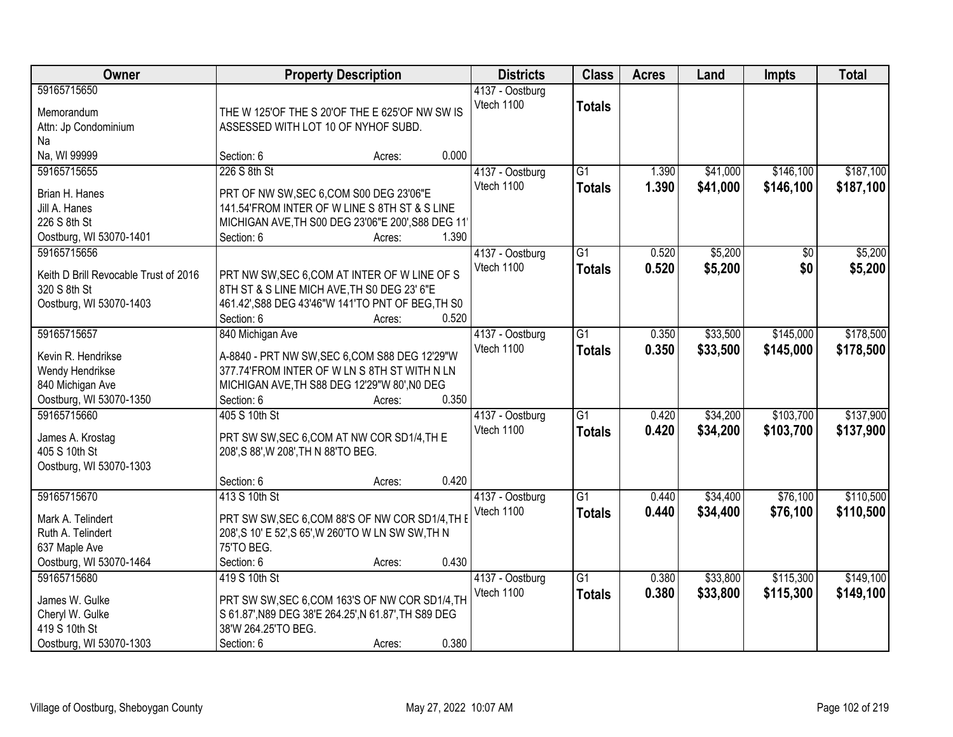|                                                                                                                                       | <b>Total</b> |
|---------------------------------------------------------------------------------------------------------------------------------------|--------------|
| 59165715650<br>4137 - Oostburg<br>Vtech 1100<br><b>Totals</b>                                                                         |              |
| THE W 125'OF THE S 20'OF THE E 625'OF NW SW IS<br>Memorandum                                                                          |              |
| Attn: Jp Condominium<br>ASSESSED WITH LOT 10 OF NYHOF SUBD.                                                                           |              |
| Na                                                                                                                                    |              |
| Na, WI 99999<br>0.000<br>Section: 6<br>Acres:                                                                                         |              |
| 226 S 8th St<br>$\overline{G1}$<br>\$41,000<br>\$146,100<br>59165715655<br>4137 - Oostburg<br>1.390                                   | \$187,100    |
| Vtech 1100<br>1.390<br>\$41,000<br>\$146,100<br><b>Totals</b><br>Brian H. Hanes<br>PRT OF NW SW, SEC 6, COM S00 DEG 23'06"E           | \$187,100    |
| Jill A. Hanes<br>141.54'FROM INTER OF W LINE S 8TH ST & S LINE                                                                        |              |
| 226 S 8th St<br>MICHIGAN AVE, TH S00 DEG 23'06"E 200', S88 DEG 11'                                                                    |              |
| Oostburg, WI 53070-1401<br>1.390<br>Section: 6<br>Acres:                                                                              |              |
| $\overline{G1}$<br>\$5,200<br>59165715656<br>4137 - Oostburg<br>0.520<br>\$0                                                          | \$5,200      |
| Vtech 1100<br>0.520<br>\$5,200<br>\$0<br><b>Totals</b>                                                                                | \$5,200      |
| PRT NW SW, SEC 6, COM AT INTER OF W LINE OF S<br>Keith D Brill Revocable Trust of 2016<br>320 S 8th St                                |              |
| 8TH ST & S LINE MICH AVE, TH SO DEG 23' 6"E                                                                                           |              |
| Oostburg, WI 53070-1403<br>461.42', S88 DEG 43'46"W 141'TO PNT OF BEG, TH S0<br>0.520<br>Section: 6<br>Acres:                         |              |
| 59165715657<br>$\overline{G1}$<br>\$33,500<br>\$145,000<br>0.350                                                                      | \$178,500    |
| 840 Michigan Ave<br>4137 - Oostburg                                                                                                   |              |
| Vtech 1100<br>0.350<br>\$33,500<br>\$145,000<br><b>Totals</b><br>Kevin R. Hendrikse<br>A-8840 - PRT NW SW, SEC 6, COM S88 DEG 12'29"W | \$178,500    |
| Wendy Hendrikse<br>377.74'FROM INTER OF W LN S 8TH ST WITH N LN                                                                       |              |
| 840 Michigan Ave<br>MICHIGAN AVE, TH S88 DEG 12'29"W 80', NO DEG                                                                      |              |
| Oostburg, WI 53070-1350<br>0.350<br>Section: 6<br>Acres:                                                                              |              |
| \$103,700<br>59165715660<br>$\overline{G1}$<br>\$34,200<br>405 S 10th St<br>0.420<br>4137 - Oostburg                                  | \$137,900    |
| 0.420<br>\$34,200<br>\$103,700<br>Vtech 1100<br><b>Totals</b>                                                                         | \$137,900    |
| PRT SW SW, SEC 6, COM AT NW COR SD1/4, TH E<br>James A. Krostag<br>405 S 10th St                                                      |              |
| 208', S 88', W 208', TH N 88'TO BEG.                                                                                                  |              |
| Oostburg, WI 53070-1303<br>0.420<br>Section: 6                                                                                        |              |
| Acres:<br>59165715670<br>$\overline{G1}$                                                                                              |              |
| \$34,400<br>\$76,100<br>413 S 10th St<br>4137 - Oostburg<br>0.440                                                                     | \$110,500    |
| Vtech 1100<br><b>Totals</b><br>0.440<br>\$34,400<br>\$76,100<br>PRT SW SW, SEC 6, COM 88'S OF NW COR SD1/4, TH E<br>Mark A. Telindert | \$110,500    |
| 208', S 10' E 52', S 65', W 260'TO W LN SW SW, TH N<br>Ruth A. Telindert                                                              |              |
| 75'TO BEG.<br>637 Maple Ave                                                                                                           |              |
| 0.430<br>Oostburg, WI 53070-1464<br>Section: 6<br>Acres:                                                                              |              |
| \$115,300<br>59165715680<br>419 S 10th St<br>$\overline{G1}$<br>\$33,800<br>4137 - Oostburg<br>0.380                                  | \$149,100    |
| Vtech 1100<br>0.380<br>\$33,800<br>\$115,300<br><b>Totals</b><br>PRT SW SW, SEC 6, COM 163'S OF NW COR SD1/4, TH<br>James W. Gulke    | \$149,100    |
| S 61.87', N89 DEG 38'E 264.25', N 61.87', TH S89 DEG<br>Cheryl W. Gulke                                                               |              |
| 419 S 10th St<br>38'W 264.25'TO BEG.                                                                                                  |              |
| 0.380<br>Oostburg, WI 53070-1303<br>Section: 6<br>Acres:                                                                              |              |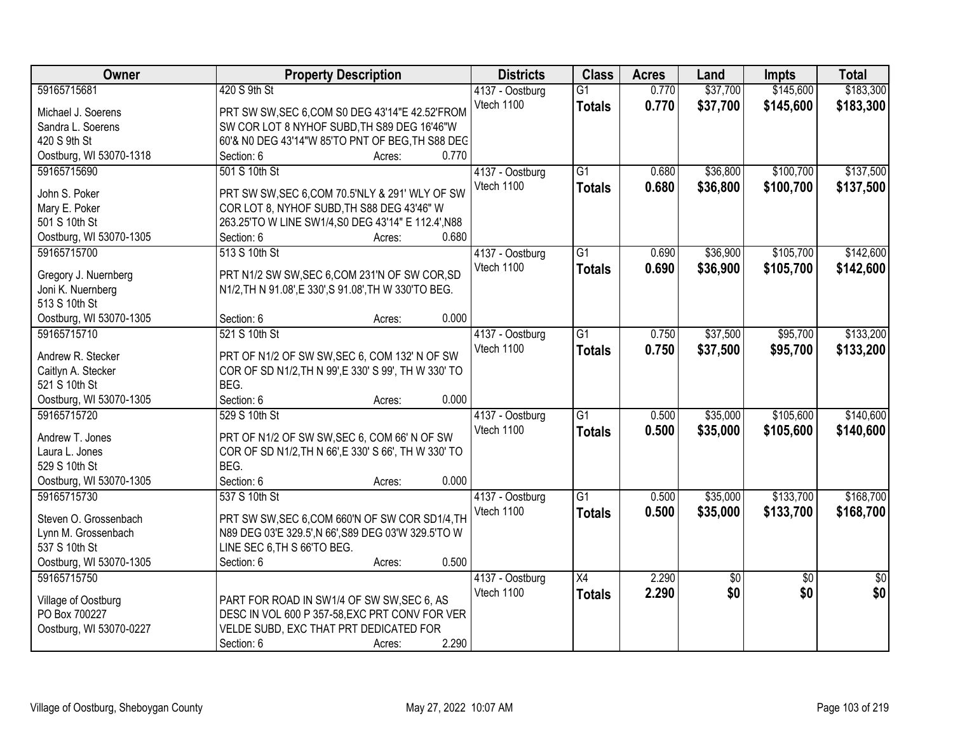| Owner                                | <b>Property Description</b>                           | <b>Districts</b> | <b>Class</b>    | <b>Acres</b> | Land       | <b>Impts</b>    | <b>Total</b>    |
|--------------------------------------|-------------------------------------------------------|------------------|-----------------|--------------|------------|-----------------|-----------------|
| 59165715681                          | 420 S 9th St                                          | 4137 - Oostburg  | $\overline{G1}$ | 0.770        | \$37,700   | \$145,600       | \$183,300       |
| Michael J. Soerens                   | PRT SW SW, SEC 6, COM S0 DEG 43'14"E 42.52'FROM       | Vtech 1100       | <b>Totals</b>   | 0.770        | \$37,700   | \$145,600       | \$183,300       |
| Sandra L. Soerens                    | SW COR LOT 8 NYHOF SUBD, TH S89 DEG 16'46"W           |                  |                 |              |            |                 |                 |
| 420 S 9th St                         | 60'& N0 DEG 43'14"W 85'TO PNT OF BEG, TH S88 DEC      |                  |                 |              |            |                 |                 |
| Oostburg, WI 53070-1318              | 0.770<br>Section: 6<br>Acres:                         |                  |                 |              |            |                 |                 |
| 59165715690                          | 501 S 10th St                                         | 4137 - Oostburg  | $\overline{G1}$ | 0.680        | \$36,800   | \$100,700       | \$137,500       |
|                                      |                                                       | Vtech 1100       | <b>Totals</b>   | 0.680        | \$36,800   | \$100,700       | \$137,500       |
| John S. Poker                        | PRT SW SW, SEC 6, COM 70.5'NLY & 291' WLY OF SW       |                  |                 |              |            |                 |                 |
| Mary E. Poker                        | COR LOT 8, NYHOF SUBD, TH S88 DEG 43'46" W            |                  |                 |              |            |                 |                 |
| 501 S 10th St                        | 263.25'TO W LINE SW1/4, S0 DEG 43'14" E 112.4', N88   |                  |                 |              |            |                 |                 |
| Oostburg, WI 53070-1305              | 0.680<br>Section: 6<br>Acres:                         |                  |                 |              |            |                 |                 |
| 59165715700                          | 513 S 10th St                                         | 4137 - Oostburg  | $\overline{G1}$ | 0.690        | \$36,900   | \$105,700       | \$142,600       |
| Gregory J. Nuernberg                 | PRT N1/2 SW SW, SEC 6, COM 231'N OF SW COR, SD        | Vtech 1100       | <b>Totals</b>   | 0.690        | \$36,900   | \$105,700       | \$142,600       |
| Joni K. Nuernberg                    | N1/2, TH N 91.08', E 330', S 91.08', TH W 330'TO BEG. |                  |                 |              |            |                 |                 |
| 513 S 10th St                        |                                                       |                  |                 |              |            |                 |                 |
| Oostburg, WI 53070-1305              | 0.000<br>Section: 6<br>Acres:                         |                  |                 |              |            |                 |                 |
| 59165715710                          | 521 S 10th St                                         | 4137 - Oostburg  | $\overline{G1}$ | 0.750        | \$37,500   | \$95,700        | \$133,200       |
|                                      |                                                       | Vtech 1100       | <b>Totals</b>   | 0.750        | \$37,500   | \$95,700        | \$133,200       |
| Andrew R. Stecker                    | PRT OF N1/2 OF SW SW, SEC 6, COM 132' N OF SW         |                  |                 |              |            |                 |                 |
| Caitlyn A. Stecker                   | COR OF SD N1/2, TH N 99', E 330' S 99', TH W 330' TO  |                  |                 |              |            |                 |                 |
| 521 S 10th St                        | BEG.                                                  |                  |                 |              |            |                 |                 |
| Oostburg, WI 53070-1305              | Section: 6<br>0.000<br>Acres:                         |                  |                 |              |            |                 |                 |
| 59165715720                          | 529 S 10th St                                         | 4137 - Oostburg  | $\overline{G1}$ | 0.500        | \$35,000   | \$105,600       | \$140,600       |
| Andrew T. Jones                      | PRT OF N1/2 OF SW SW, SEC 6, COM 66' N OF SW          | Vtech 1100       | <b>Totals</b>   | 0.500        | \$35,000   | \$105,600       | \$140,600       |
| Laura L. Jones                       | COR OF SD N1/2, TH N 66', E 330' S 66', TH W 330' TO  |                  |                 |              |            |                 |                 |
| 529 S 10th St                        | BEG.                                                  |                  |                 |              |            |                 |                 |
| Oostburg, WI 53070-1305              | Section: 6<br>0.000<br>Acres:                         |                  |                 |              |            |                 |                 |
| 59165715730                          | 537 S 10th St                                         | 4137 - Oostburg  | G1              | 0.500        | \$35,000   | \$133,700       | \$168,700       |
|                                      |                                                       | Vtech 1100       |                 |              |            |                 |                 |
| Steven O. Grossenbach                | PRT SW SW, SEC 6, COM 660'N OF SW COR SD1/4, TH       |                  | <b>Totals</b>   | 0.500        | \$35,000   | \$133,700       | \$168,700       |
| Lynn M. Grossenbach                  | N89 DEG 03'E 329.5', N 66', S89 DEG 03'W 329.5'TO W   |                  |                 |              |            |                 |                 |
| 537 S 10th St                        | LINE SEC 6, TH S 66'TO BEG.                           |                  |                 |              |            |                 |                 |
| Oostburg, WI 53070-1305              | 0.500<br>Section: 6<br>Acres:                         |                  |                 |              |            |                 |                 |
| 59165715750                          |                                                       | 4137 - Oostburg  | $\overline{X4}$ | 2.290        | $\sqrt{6}$ | $\overline{50}$ | $\overline{50}$ |
|                                      | PART FOR ROAD IN SW1/4 OF SW SW, SEC 6, AS            | Vtech 1100       | <b>Totals</b>   | 2.290        | \$0        | \$0             | \$0             |
| Village of Oostburg<br>PO Box 700227 | DESC IN VOL 600 P 357-58, EXC PRT CONV FOR VER        |                  |                 |              |            |                 |                 |
| Oostburg, WI 53070-0227              | VELDE SUBD, EXC THAT PRT DEDICATED FOR                |                  |                 |              |            |                 |                 |
|                                      | 2.290                                                 |                  |                 |              |            |                 |                 |
|                                      | Section: 6<br>Acres:                                  |                  |                 |              |            |                 |                 |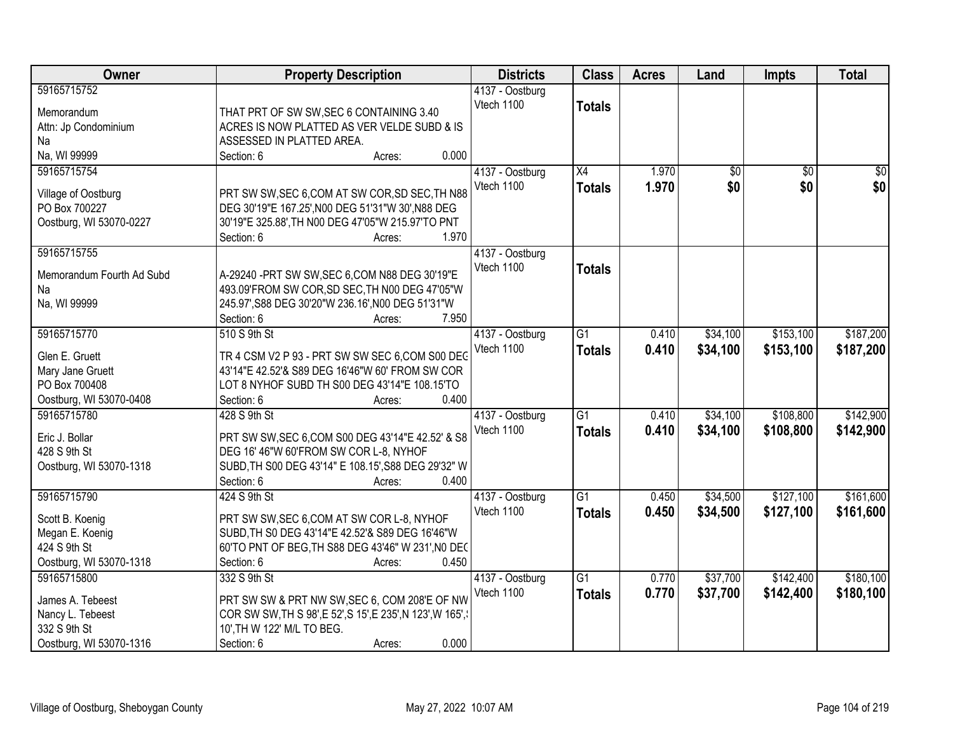| <b>Owner</b>              | <b>Property Description</b>                                | <b>Districts</b>              | <b>Class</b>    | <b>Acres</b> | Land            | <b>Impts</b>    | <b>Total</b>    |
|---------------------------|------------------------------------------------------------|-------------------------------|-----------------|--------------|-----------------|-----------------|-----------------|
| 59165715752               |                                                            | 4137 - Oostburg<br>Vtech 1100 |                 |              |                 |                 |                 |
| Memorandum                | THAT PRT OF SW SW, SEC 6 CONTAINING 3.40                   |                               | <b>Totals</b>   |              |                 |                 |                 |
| Attn: Jp Condominium      | ACRES IS NOW PLATTED AS VER VELDE SUBD & IS                |                               |                 |              |                 |                 |                 |
| Na                        | ASSESSED IN PLATTED AREA.                                  |                               |                 |              |                 |                 |                 |
| Na, WI 99999              | 0.000<br>Section: 6<br>Acres:                              |                               |                 |              |                 |                 |                 |
| 59165715754               |                                                            | 4137 - Oostburg               | X4              | 1.970        | $\overline{50}$ | $\overline{50}$ | $\overline{30}$ |
| Village of Oostburg       | PRT SW SW, SEC 6, COM AT SW COR, SD SEC, TH N88            | Vtech 1100                    | <b>Totals</b>   | 1.970        | \$0             | \$0             | \$0             |
| PO Box 700227             | DEG 30'19"E 167.25', N00 DEG 51'31"W 30', N88 DEG          |                               |                 |              |                 |                 |                 |
| Oostburg, WI 53070-0227   | 30'19"E 325.88', TH N00 DEG 47'05"W 215.97'TO PNT          |                               |                 |              |                 |                 |                 |
|                           | 1.970<br>Section: 6<br>Acres:                              |                               |                 |              |                 |                 |                 |
| 59165715755               |                                                            |                               |                 |              |                 |                 |                 |
|                           |                                                            | 4137 - Oostburg<br>Vtech 1100 |                 |              |                 |                 |                 |
| Memorandum Fourth Ad Subd | A-29240 - PRT SW SW, SEC 6, COM N88 DEG 30'19"E            |                               | <b>Totals</b>   |              |                 |                 |                 |
| Na                        | 493.09'FROM SW COR, SD SEC, TH N00 DEG 47'05"W             |                               |                 |              |                 |                 |                 |
| Na, WI 99999              | 245.97', S88 DEG 30'20"W 236.16', N00 DEG 51'31"W          |                               |                 |              |                 |                 |                 |
|                           | 7.950<br>Section: 6<br>Acres:                              |                               |                 |              |                 |                 |                 |
| 59165715770               | 510 S 9th St                                               | 4137 - Oostburg               | $\overline{G1}$ | 0.410        | \$34,100        | \$153,100       | \$187,200       |
|                           |                                                            | Vtech 1100                    | <b>Totals</b>   | 0.410        | \$34,100        | \$153,100       | \$187,200       |
| Glen E. Gruett            | TR 4 CSM V2 P 93 - PRT SW SW SEC 6, COM S00 DEC            |                               |                 |              |                 |                 |                 |
| Mary Jane Gruett          | 43'14"E 42.52'& S89 DEG 16'46"W 60' FROM SW COR            |                               |                 |              |                 |                 |                 |
| PO Box 700408             | LOT 8 NYHOF SUBD TH S00 DEG 43'14"E 108.15'TO              |                               |                 |              |                 |                 |                 |
| Oostburg, WI 53070-0408   | 0.400<br>Section: 6<br>Acres:                              |                               |                 |              |                 |                 |                 |
| 59165715780               | 428 S 9th St                                               | 4137 - Oostburg               | $\overline{G1}$ | 0.410        | \$34,100        | \$108,800       | \$142,900       |
| Eric J. Bollar            | PRT SW SW, SEC 6, COM S00 DEG 43'14"E 42.52' & S8          | Vtech 1100                    | <b>Totals</b>   | 0.410        | \$34,100        | \$108,800       | \$142,900       |
| 428 S 9th St              | DEG 16' 46"W 60'FROM SW COR L-8, NYHOF                     |                               |                 |              |                 |                 |                 |
| Oostburg, WI 53070-1318   | SUBD, TH S00 DEG 43'14" E 108.15', S88 DEG 29'32" W        |                               |                 |              |                 |                 |                 |
|                           | 0.400<br>Section: 6<br>Acres:                              |                               |                 |              |                 |                 |                 |
| 59165715790               | 424 S 9th St                                               | 4137 - Oostburg               | $\overline{G1}$ | 0.450        | \$34,500        | \$127,100       | \$161,600       |
|                           |                                                            | Vtech 1100                    | <b>Totals</b>   | 0.450        | \$34,500        | \$127,100       | \$161,600       |
| Scott B. Koenig           | PRT SW SW, SEC 6, COM AT SW COR L-8, NYHOF                 |                               |                 |              |                 |                 |                 |
| Megan E. Koenig           | SUBD, TH S0 DEG 43'14"E 42.52'& S89 DEG 16'46"W            |                               |                 |              |                 |                 |                 |
| 424 S 9th St              | 60'TO PNT OF BEG, TH S88 DEG 43'46" W 231', NO DEC         |                               |                 |              |                 |                 |                 |
| Oostburg, WI 53070-1318   | 0.450<br>Section: 6<br>Acres:                              |                               |                 |              |                 |                 |                 |
| 59165715800               | 332 S 9th St                                               | 4137 - Oostburg               | $\overline{G1}$ | 0.770        | \$37,700        | \$142,400       | \$180,100       |
| James A. Tebeest          | PRT SW SW & PRT NW SW, SEC 6, COM 208'E OF NW              | Vtech 1100                    | <b>Totals</b>   | 0.770        | \$37,700        | \$142,400       | \$180,100       |
| Nancy L. Tebeest          | COR SW SW, TH S 98', E 52', S 15', E 235', N 123', W 165', |                               |                 |              |                 |                 |                 |
| 332 S 9th St              | 10', TH W 122' M/L TO BEG.                                 |                               |                 |              |                 |                 |                 |
| Oostburg, WI 53070-1316   | 0.000<br>Section: 6<br>Acres:                              |                               |                 |              |                 |                 |                 |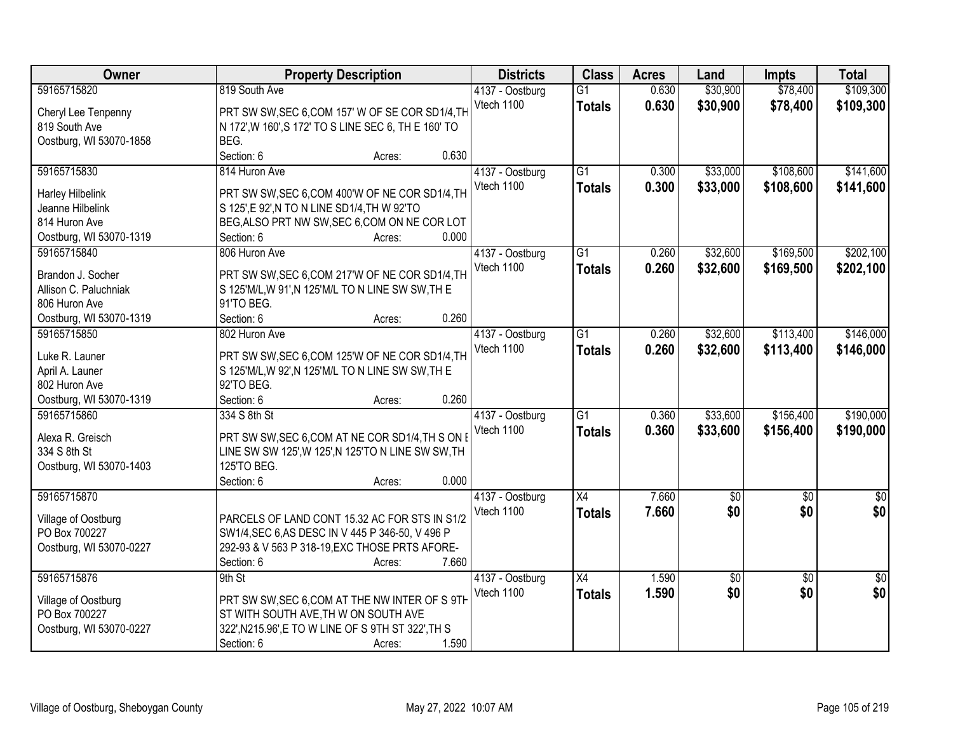| <b>Owner</b>            | <b>Property Description</b>                          | <b>Districts</b> | <b>Class</b>    | <b>Acres</b> | Land        | <b>Impts</b>    | <b>Total</b>    |
|-------------------------|------------------------------------------------------|------------------|-----------------|--------------|-------------|-----------------|-----------------|
| 59165715820             | 819 South Ave                                        | 4137 - Oostburg  | $\overline{G1}$ | 0.630        | \$30,900    | \$78,400        | \$109,300       |
| Cheryl Lee Tenpenny     | PRT SW SW, SEC 6, COM 157' W OF SE COR SD1/4, TH     | Vtech 1100       | <b>Totals</b>   | 0.630        | \$30,900    | \$78,400        | \$109,300       |
| 819 South Ave           | N 172', W 160', S 172' TO S LINE SEC 6, TH E 160' TO |                  |                 |              |             |                 |                 |
| Oostburg, WI 53070-1858 | BEG.                                                 |                  |                 |              |             |                 |                 |
|                         | Section: 6<br>0.630<br>Acres:                        |                  |                 |              |             |                 |                 |
| 59165715830             | 814 Huron Ave                                        | 4137 - Oostburg  | $\overline{G1}$ | 0.300        | \$33,000    | \$108,600       | \$141,600       |
|                         |                                                      | Vtech 1100       | <b>Totals</b>   | 0.300        | \$33,000    | \$108,600       | \$141,600       |
| Harley Hilbelink        | PRT SW SW, SEC 6, COM 400'W OF NE COR SD1/4, TH      |                  |                 |              |             |                 |                 |
| Jeanne Hilbelink        | S 125',E 92',N TO N LINE SD1/4,TH W 92'TO            |                  |                 |              |             |                 |                 |
| 814 Huron Ave           | BEG, ALSO PRT NW SW, SEC 6, COM ON NE COR LOT        |                  |                 |              |             |                 |                 |
| Oostburg, WI 53070-1319 | 0.000<br>Section: 6<br>Acres:                        |                  |                 |              |             |                 |                 |
| 59165715840             | 806 Huron Ave                                        | 4137 - Oostburg  | G1              | 0.260        | \$32,600    | \$169,500       | \$202,100       |
| Brandon J. Socher       | PRT SW SW, SEC 6, COM 217'W OF NE COR SD1/4, TH      | Vtech 1100       | <b>Totals</b>   | 0.260        | \$32,600    | \$169,500       | \$202,100       |
| Allison C. Paluchniak   | S 125'M/L, W 91', N 125'M/L TO N LINE SW SW, TH E    |                  |                 |              |             |                 |                 |
| 806 Huron Ave           | 91'TO BEG.                                           |                  |                 |              |             |                 |                 |
| Oostburg, WI 53070-1319 | 0.260<br>Section: 6<br>Acres:                        |                  |                 |              |             |                 |                 |
| 59165715850             | 802 Huron Ave                                        | 4137 - Oostburg  | $\overline{G1}$ | 0.260        | \$32,600    | \$113,400       | \$146,000       |
|                         |                                                      | Vtech 1100       | <b>Totals</b>   | 0.260        | \$32,600    | \$113,400       | \$146,000       |
| Luke R. Launer          | PRT SW SW, SEC 6, COM 125'W OF NE COR SD1/4, TH      |                  |                 |              |             |                 |                 |
| April A. Launer         | S 125'M/L, W 92', N 125'M/L TO N LINE SW SW, TH E    |                  |                 |              |             |                 |                 |
| 802 Huron Ave           | 92'TO BEG.                                           |                  |                 |              |             |                 |                 |
| Oostburg, WI 53070-1319 | 0.260<br>Section: 6<br>Acres:                        |                  |                 |              |             |                 |                 |
| 59165715860             | 334 S 8th St                                         | 4137 - Oostburg  | $\overline{G1}$ | 0.360        | \$33,600    | \$156,400       | \$190,000       |
| Alexa R. Greisch        | PRT SW SW, SEC 6, COM AT NE COR SD1/4, TH S ON I     | Vtech 1100       | <b>Totals</b>   | 0.360        | \$33,600    | \$156,400       | \$190,000       |
| 334 S 8th St            | LINE SW SW 125', W 125', N 125'TO N LINE SW SW, TH   |                  |                 |              |             |                 |                 |
| Oostburg, WI 53070-1403 | 125'TO BEG.                                          |                  |                 |              |             |                 |                 |
|                         | 0.000<br>Section: 6<br>Acres:                        |                  |                 |              |             |                 |                 |
| 59165715870             |                                                      | 4137 - Oostburg  | $\overline{X4}$ | 7.660        | $\sqrt{50}$ | $\overline{60}$ | $\sqrt{50}$     |
|                         |                                                      | Vtech 1100       | <b>Totals</b>   | 7.660        | \$0         | \$0             | \$0             |
| Village of Oostburg     | PARCELS OF LAND CONT 15.32 AC FOR STS IN S1/2        |                  |                 |              |             |                 |                 |
| PO Box 700227           | SW1/4, SEC 6, AS DESC IN V 445 P 346-50, V 496 P     |                  |                 |              |             |                 |                 |
| Oostburg, WI 53070-0227 | 292-93 & V 563 P 318-19, EXC THOSE PRTS AFORE-       |                  |                 |              |             |                 |                 |
|                         | 7.660<br>Section: 6<br>Acres:                        |                  |                 |              |             |                 |                 |
| 59165715876             | 9th St                                               | 4137 - Oostburg  | $\overline{X4}$ | 1.590        | $\sqrt{6}$  | $\overline{50}$ | $\overline{50}$ |
| Village of Oostburg     | PRT SW SW, SEC 6, COM AT THE NW INTER OF S 9TH       | Vtech 1100       | <b>Totals</b>   | 1.590        | \$0         | \$0             | \$0             |
| PO Box 700227           | ST WITH SOUTH AVE, TH W ON SOUTH AVE                 |                  |                 |              |             |                 |                 |
| Oostburg, WI 53070-0227 | 322', N215.96', E TO W LINE OF S 9TH ST 322', TH S   |                  |                 |              |             |                 |                 |
|                         | 1.590<br>Section: 6<br>Acres:                        |                  |                 |              |             |                 |                 |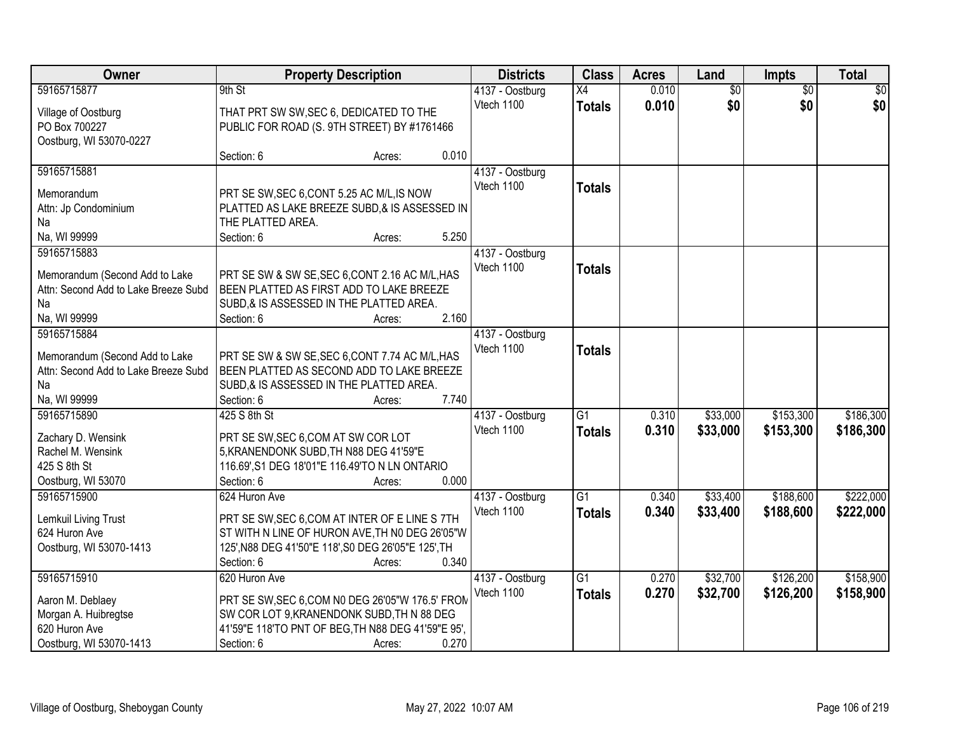| Owner                                | <b>Property Description</b>                         |                 | <b>Districts</b> | <b>Class</b>    | <b>Acres</b> | Land            | Impts           | <b>Total</b> |
|--------------------------------------|-----------------------------------------------------|-----------------|------------------|-----------------|--------------|-----------------|-----------------|--------------|
| 59165715877                          | 9th St                                              |                 | 4137 - Oostburg  | $\overline{X4}$ | 0.010        | $\overline{60}$ | $\overline{50}$ | \$0          |
| Village of Oostburg                  | THAT PRT SW SW, SEC 6, DEDICATED TO THE             |                 | Vtech 1100       | <b>Totals</b>   | 0.010        | \$0             | \$0             | \$0          |
| PO Box 700227                        | PUBLIC FOR ROAD (S. 9TH STREET) BY #1761466         |                 |                  |                 |              |                 |                 |              |
| Oostburg, WI 53070-0227              |                                                     |                 |                  |                 |              |                 |                 |              |
|                                      | Section: 6                                          | 0.010<br>Acres: |                  |                 |              |                 |                 |              |
| 59165715881                          |                                                     |                 | 4137 - Oostburg  |                 |              |                 |                 |              |
| Memorandum                           | PRT SE SW, SEC 6, CONT 5.25 AC M/L, IS NOW          |                 | Vtech 1100       | <b>Totals</b>   |              |                 |                 |              |
| Attn: Jp Condominium                 | PLATTED AS LAKE BREEZE SUBD,& IS ASSESSED IN        |                 |                  |                 |              |                 |                 |              |
| Na                                   | THE PLATTED AREA.                                   |                 |                  |                 |              |                 |                 |              |
| Na, WI 99999                         | Section: 6                                          | 5.250<br>Acres: |                  |                 |              |                 |                 |              |
| 59165715883                          |                                                     |                 | 4137 - Oostburg  |                 |              |                 |                 |              |
|                                      |                                                     |                 | Vtech 1100       | <b>Totals</b>   |              |                 |                 |              |
| Memorandum (Second Add to Lake       | PRT SE SW & SW SE, SEC 6, CONT 2.16 AC M/L, HAS     |                 |                  |                 |              |                 |                 |              |
| Attn: Second Add to Lake Breeze Subd | BEEN PLATTED AS FIRST ADD TO LAKE BREEZE            |                 |                  |                 |              |                 |                 |              |
| Na                                   | SUBD, & IS ASSESSED IN THE PLATTED AREA.            |                 |                  |                 |              |                 |                 |              |
| Na, WI 99999                         | Section: 6                                          | 2.160<br>Acres: |                  |                 |              |                 |                 |              |
| 59165715884                          |                                                     |                 | 4137 - Oostburg  |                 |              |                 |                 |              |
| Memorandum (Second Add to Lake       | PRT SE SW & SW SE, SEC 6, CONT 7.74 AC M/L, HAS     |                 | Vtech 1100       | <b>Totals</b>   |              |                 |                 |              |
| Attn: Second Add to Lake Breeze Subd | BEEN PLATTED AS SECOND ADD TO LAKE BREEZE           |                 |                  |                 |              |                 |                 |              |
| Na                                   | SUBD, & IS ASSESSED IN THE PLATTED AREA.            |                 |                  |                 |              |                 |                 |              |
| Na, WI 99999                         | Section: 6                                          | 7.740<br>Acres: |                  |                 |              |                 |                 |              |
| 59165715890                          | 425 S 8th St                                        |                 | 4137 - Oostburg  | $\overline{G1}$ | 0.310        | \$33,000        | \$153,300       | \$186,300    |
| Zachary D. Wensink                   | PRT SE SW, SEC 6, COM AT SW COR LOT                 |                 | Vtech 1100       | <b>Totals</b>   | 0.310        | \$33,000        | \$153,300       | \$186,300    |
| Rachel M. Wensink                    | 5, KRANENDONK SUBD, TH N88 DEG 41'59"E              |                 |                  |                 |              |                 |                 |              |
| 425 S 8th St                         | 116.69', S1 DEG 18'01"E 116.49'TO N LN ONTARIO      |                 |                  |                 |              |                 |                 |              |
| Oostburg, WI 53070                   | Section: 6                                          | 0.000<br>Acres: |                  |                 |              |                 |                 |              |
| 59165715900                          | 624 Huron Ave                                       |                 | 4137 - Oostburg  | $\overline{G1}$ | 0.340        | \$33,400        | \$188,600       | \$222,000    |
|                                      |                                                     |                 | Vtech 1100       | <b>Totals</b>   | 0.340        | \$33,400        | \$188,600       | \$222,000    |
| Lemkuil Living Trust                 | PRT SE SW, SEC 6, COM AT INTER OF E LINE S 7TH      |                 |                  |                 |              |                 |                 |              |
| 624 Huron Ave                        | ST WITH N LINE OF HURON AVE, TH NO DEG 26'05"W      |                 |                  |                 |              |                 |                 |              |
| Oostburg, WI 53070-1413              | 125', N88 DEG 41'50"E 118', S0 DEG 26'05"E 125', TH |                 |                  |                 |              |                 |                 |              |
|                                      | Section: 6                                          | 0.340<br>Acres: |                  |                 |              |                 |                 |              |
| 59165715910                          | 620 Huron Ave                                       |                 | 4137 - Oostburg  | $\overline{G1}$ | 0.270        | \$32,700        | \$126,200       | \$158,900    |
| Aaron M. Deblaey                     | PRT SE SW, SEC 6, COM N0 DEG 26'05"W 176.5' FROM    |                 | Vtech 1100       | <b>Totals</b>   | 0.270        | \$32,700        | \$126,200       | \$158,900    |
| Morgan A. Huibregtse                 | SW COR LOT 9, KRANENDONK SUBD, TH N 88 DEG          |                 |                  |                 |              |                 |                 |              |
| 620 Huron Ave                        | 41'59"E 118'TO PNT OF BEG, TH N88 DEG 41'59"E 95',  |                 |                  |                 |              |                 |                 |              |
| Oostburg, WI 53070-1413              | Section: 6                                          | 0.270<br>Acres: |                  |                 |              |                 |                 |              |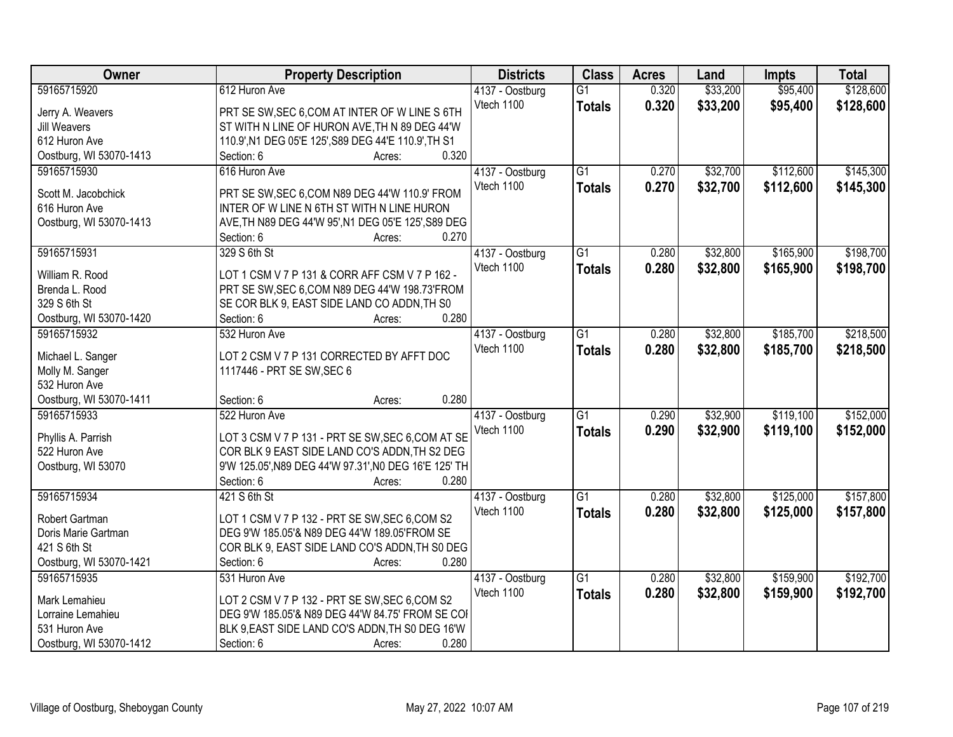| <b>Owner</b>            | <b>Property Description</b>                           | <b>Districts</b> | <b>Class</b>    | <b>Acres</b> | Land     | <b>Impts</b> | <b>Total</b> |
|-------------------------|-------------------------------------------------------|------------------|-----------------|--------------|----------|--------------|--------------|
| 59165715920             | 612 Huron Ave                                         | 4137 - Oostburg  | $\overline{G1}$ | 0.320        | \$33,200 | \$95,400     | \$128,600    |
| Jerry A. Weavers        | PRT SE SW, SEC 6, COM AT INTER OF W LINE S 6TH        | Vtech 1100       | <b>Totals</b>   | 0.320        | \$33,200 | \$95,400     | \$128,600    |
| Jill Weavers            | ST WITH N LINE OF HURON AVE, TH N 89 DEG 44'W         |                  |                 |              |          |              |              |
| 612 Huron Ave           | 110.9', N1 DEG 05'E 125', S89 DEG 44'E 110.9', TH S1  |                  |                 |              |          |              |              |
| Oostburg, WI 53070-1413 | 0.320<br>Section: 6<br>Acres:                         |                  |                 |              |          |              |              |
| 59165715930             | 616 Huron Ave                                         | 4137 - Oostburg  | $\overline{G1}$ | 0.270        | \$32,700 | \$112,600    | \$145,300    |
|                         |                                                       | Vtech 1100       | <b>Totals</b>   | 0.270        | \$32,700 | \$112,600    | \$145,300    |
| Scott M. Jacobchick     | PRT SE SW, SEC 6, COM N89 DEG 44'W 110.9' FROM        |                  |                 |              |          |              |              |
| 616 Huron Ave           | INTER OF W LINE N 6TH ST WITH N LINE HURON            |                  |                 |              |          |              |              |
| Oostburg, WI 53070-1413 | AVE, TH N89 DEG 44'W 95', N1 DEG 05'E 125', S89 DEG   |                  |                 |              |          |              |              |
|                         | 0.270<br>Section: 6<br>Acres:                         |                  |                 |              |          |              |              |
| 59165715931             | 329 S 6th St                                          | 4137 - Oostburg  | $\overline{G1}$ | 0.280        | \$32,800 | \$165,900    | \$198,700    |
| William R. Rood         | LOT 1 CSM V 7 P 131 & CORR AFF CSM V 7 P 162 -        | Vtech 1100       | <b>Totals</b>   | 0.280        | \$32,800 | \$165,900    | \$198,700    |
| Brenda L. Rood          | PRT SE SW, SEC 6, COM N89 DEG 44'W 198.73'FROM        |                  |                 |              |          |              |              |
| 329 S 6th St            | SE COR BLK 9, EAST SIDE LAND CO ADDN, TH SO           |                  |                 |              |          |              |              |
| Oostburg, WI 53070-1420 | 0.280<br>Section: 6<br>Acres:                         |                  |                 |              |          |              |              |
| 59165715932             | 532 Huron Ave                                         | 4137 - Oostburg  | $\overline{G1}$ | 0.280        | \$32,800 | \$185,700    | \$218,500    |
|                         |                                                       | Vtech 1100       | <b>Totals</b>   | 0.280        | \$32,800 | \$185,700    | \$218,500    |
| Michael L. Sanger       | LOT 2 CSM V 7 P 131 CORRECTED BY AFFT DOC             |                  |                 |              |          |              |              |
| Molly M. Sanger         | 1117446 - PRT SE SW, SEC 6                            |                  |                 |              |          |              |              |
| 532 Huron Ave           |                                                       |                  |                 |              |          |              |              |
| Oostburg, WI 53070-1411 | 0.280<br>Section: 6<br>Acres:                         |                  |                 |              |          |              |              |
| 59165715933             | 522 Huron Ave                                         | 4137 - Oostburg  | $\overline{G1}$ | 0.290        | \$32,900 | \$119,100    | \$152,000    |
| Phyllis A. Parrish      | LOT 3 CSM V 7 P 131 - PRT SE SW, SEC 6, COM AT SE     | Vtech 1100       | <b>Totals</b>   | 0.290        | \$32,900 | \$119,100    | \$152,000    |
| 522 Huron Ave           | COR BLK 9 EAST SIDE LAND CO'S ADDN, TH S2 DEG         |                  |                 |              |          |              |              |
| Oostburg, WI 53070      | 9'W 125.05', N89 DEG 44'W 97.31', N0 DEG 16'E 125' TH |                  |                 |              |          |              |              |
|                         | 0.280<br>Section: 6<br>Acres:                         |                  |                 |              |          |              |              |
| 59165715934             | 421 S 6th St                                          |                  | G1              | 0.280        | \$32,800 | \$125,000    | \$157,800    |
|                         |                                                       | 4137 - Oostburg  |                 |              |          |              |              |
| Robert Gartman          | LOT 1 CSM V 7 P 132 - PRT SE SW, SEC 6, COM S2        | Vtech 1100       | <b>Totals</b>   | 0.280        | \$32,800 | \$125,000    | \$157,800    |
| Doris Marie Gartman     | DEG 9'W 185.05'& N89 DEG 44'W 189.05'FROM SE          |                  |                 |              |          |              |              |
| 421 S 6th St            | COR BLK 9, EAST SIDE LAND CO'S ADDN, TH S0 DEG        |                  |                 |              |          |              |              |
| Oostburg, WI 53070-1421 | 0.280<br>Section: 6<br>Acres:                         |                  |                 |              |          |              |              |
| 59165715935             | 531 Huron Ave                                         | 4137 - Oostburg  | $\overline{G1}$ | 0.280        | \$32,800 | \$159,900    | \$192,700    |
|                         |                                                       | Vtech 1100       | <b>Totals</b>   | 0.280        | \$32,800 | \$159,900    | \$192,700    |
| Mark Lemahieu           | LOT 2 CSM V 7 P 132 - PRT SE SW, SEC 6, COM S2        |                  |                 |              |          |              |              |
| Lorraine Lemahieu       | DEG 9'W 185.05'& N89 DEG 44'W 84.75' FROM SE COI      |                  |                 |              |          |              |              |
| 531 Huron Ave           | BLK 9, EAST SIDE LAND CO'S ADDN, TH S0 DEG 16'W       |                  |                 |              |          |              |              |
| Oostburg, WI 53070-1412 | 0.280<br>Section: 6<br>Acres:                         |                  |                 |              |          |              |              |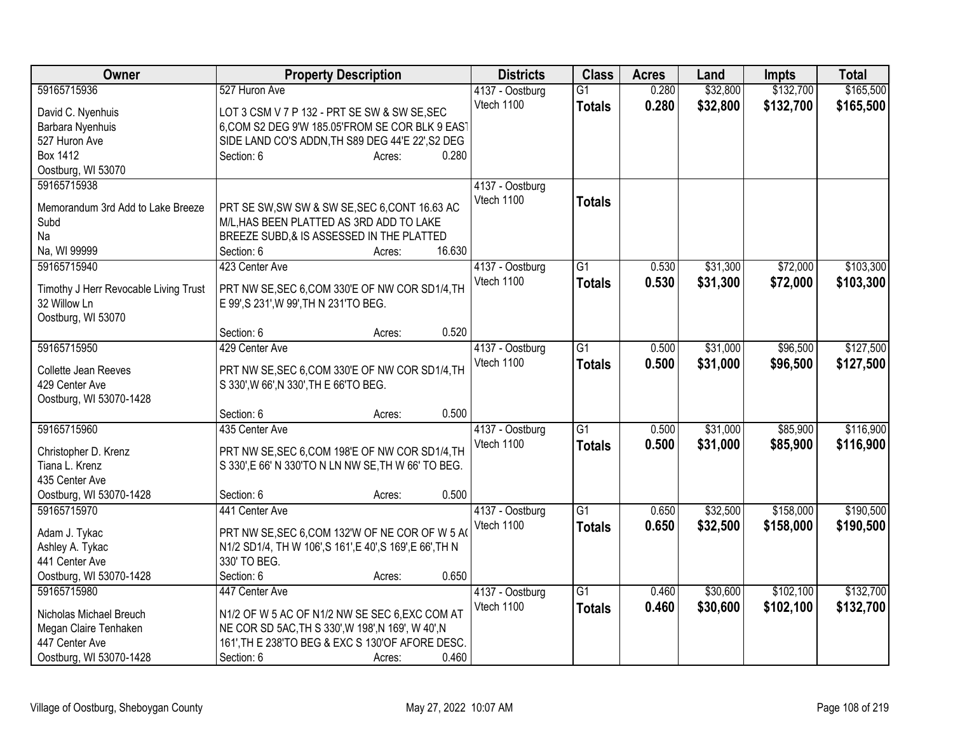| Owner                                 | <b>Property Description</b>                               | <b>Districts</b> | <b>Class</b>    | <b>Acres</b> | Land     | <b>Impts</b> | <b>Total</b> |
|---------------------------------------|-----------------------------------------------------------|------------------|-----------------|--------------|----------|--------------|--------------|
| 59165715936                           | 527 Huron Ave                                             | 4137 - Oostburg  | $\overline{G1}$ | 0.280        | \$32,800 | \$132,700    | \$165,500    |
| David C. Nyenhuis                     | LOT 3 CSM V 7 P 132 - PRT SE SW & SW SE, SEC              | Vtech 1100       | <b>Totals</b>   | 0.280        | \$32,800 | \$132,700    | \$165,500    |
| Barbara Nyenhuis                      | 6, COM S2 DEG 9'W 185.05'FROM SE COR BLK 9 EAST           |                  |                 |              |          |              |              |
| 527 Huron Ave                         | SIDE LAND CO'S ADDN, TH S89 DEG 44'E 22', S2 DEG          |                  |                 |              |          |              |              |
| Box 1412                              | Section: 6<br>0.280<br>Acres:                             |                  |                 |              |          |              |              |
| Oostburg, WI 53070                    |                                                           |                  |                 |              |          |              |              |
| 59165715938                           |                                                           | 4137 - Oostburg  |                 |              |          |              |              |
|                                       |                                                           | Vtech 1100       | <b>Totals</b>   |              |          |              |              |
| Memorandum 3rd Add to Lake Breeze     | PRT SE SW, SW SW & SW SE, SEC 6, CONT 16.63 AC            |                  |                 |              |          |              |              |
| Subd                                  | M/L, HAS BEEN PLATTED AS 3RD ADD TO LAKE                  |                  |                 |              |          |              |              |
| Na                                    | BREEZE SUBD, & IS ASSESSED IN THE PLATTED                 |                  |                 |              |          |              |              |
| Na, WI 99999                          | 16.630<br>Section: 6<br>Acres:                            |                  |                 |              |          |              |              |
| 59165715940                           | 423 Center Ave                                            | 4137 - Oostburg  | $\overline{G1}$ | 0.530        | \$31,300 | \$72,000     | \$103,300    |
| Timothy J Herr Revocable Living Trust | PRT NW SE, SEC 6, COM 330'E OF NW COR SD1/4, TH           | Vtech 1100       | <b>Totals</b>   | 0.530        | \$31,300 | \$72,000     | \$103,300    |
| 32 Willow Ln                          | E 99', S 231', W 99', TH N 231'TO BEG.                    |                  |                 |              |          |              |              |
| Oostburg, WI 53070                    |                                                           |                  |                 |              |          |              |              |
|                                       | 0.520<br>Section: 6<br>Acres:                             |                  |                 |              |          |              |              |
| 59165715950                           | 429 Center Ave                                            | 4137 - Oostburg  | $\overline{G1}$ | 0.500        | \$31,000 | \$96,500     | \$127,500    |
|                                       |                                                           | Vtech 1100       | <b>Totals</b>   | 0.500        | \$31,000 | \$96,500     | \$127,500    |
| Collette Jean Reeves                  | PRT NW SE, SEC 6, COM 330'E OF NW COR SD1/4, TH           |                  |                 |              |          |              |              |
| 429 Center Ave                        | S 330', W 66', N 330', TH E 66'TO BEG.                    |                  |                 |              |          |              |              |
| Oostburg, WI 53070-1428               | 0.500                                                     |                  |                 |              |          |              |              |
| 59165715960                           | Section: 6<br>Acres:<br>435 Center Ave                    |                  | $\overline{G1}$ |              |          |              |              |
|                                       |                                                           | 4137 - Oostburg  |                 | 0.500        | \$31,000 | \$85,900     | \$116,900    |
| Christopher D. Krenz                  | PRT NW SE, SEC 6, COM 198'E OF NW COR SD1/4, TH           | Vtech 1100       | <b>Totals</b>   | 0.500        | \$31,000 | \$85,900     | \$116,900    |
| Tiana L. Krenz                        | S 330', E 66' N 330'TO N LN NW SE, TH W 66' TO BEG.       |                  |                 |              |          |              |              |
| 435 Center Ave                        |                                                           |                  |                 |              |          |              |              |
| Oostburg, WI 53070-1428               | 0.500<br>Section: 6<br>Acres:                             |                  |                 |              |          |              |              |
| 59165715970                           | 441 Center Ave                                            | 4137 - Oostburg  | $\overline{G1}$ | 0.650        | \$32,500 | \$158,000    | \$190,500    |
| Adam J. Tykac                         | PRT NW SE, SEC 6, COM 132'W OF NE COR OF W 5 A            | Vtech 1100       | <b>Totals</b>   | 0.650        | \$32,500 | \$158,000    | \$190,500    |
| Ashley A. Tykac                       | N1/2 SD1/4, TH W 106', S 161', E 40', S 169', E 66', TH N |                  |                 |              |          |              |              |
| 441 Center Ave                        | 330' TO BEG.                                              |                  |                 |              |          |              |              |
| Oostburg, WI 53070-1428               | Section: 6<br>0.650<br>Acres:                             |                  |                 |              |          |              |              |
| 59165715980                           | 447 Center Ave                                            | 4137 - Oostburg  | $\overline{G1}$ | 0.460        | \$30,600 | \$102,100    | \$132,700    |
|                                       |                                                           | Vtech 1100       |                 | 0.460        | \$30,600 | \$102,100    | \$132,700    |
| Nicholas Michael Breuch               | N1/2 OF W 5 AC OF N1/2 NW SE SEC 6, EXC COM AT            |                  | <b>Totals</b>   |              |          |              |              |
| Megan Claire Tenhaken                 | NE COR SD 5AC, TH S 330', W 198', N 169', W 40', N        |                  |                 |              |          |              |              |
| 447 Center Ave                        | 161', TH E 238'TO BEG & EXC S 130'OF AFORE DESC.          |                  |                 |              |          |              |              |
| Oostburg, WI 53070-1428               | 0.460<br>Section: 6<br>Acres:                             |                  |                 |              |          |              |              |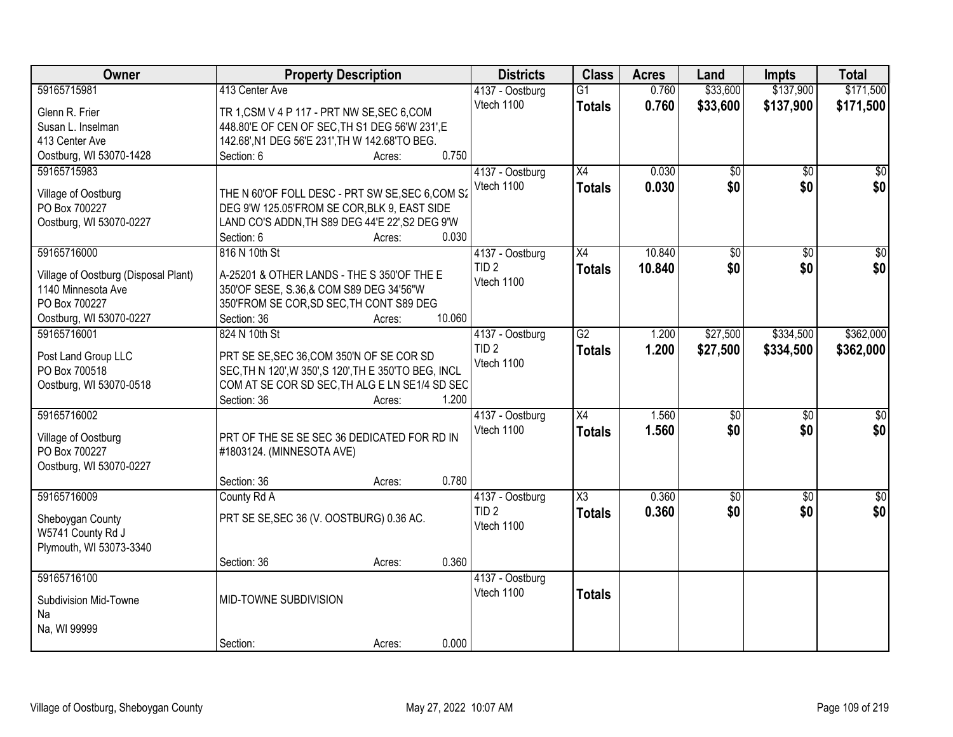| Owner                                | <b>Property Description</b>                           | <b>Districts</b>              | <b>Class</b>           | <b>Acres</b> | Land            | <b>Impts</b>    | <b>Total</b>    |
|--------------------------------------|-------------------------------------------------------|-------------------------------|------------------------|--------------|-----------------|-----------------|-----------------|
| 59165715981                          | 413 Center Ave                                        | 4137 - Oostburg               | $\overline{G1}$        | 0.760        | \$33,600        | \$137,900       | \$171,500       |
| Glenn R. Frier                       | TR 1, CSM V 4 P 117 - PRT NW SE, SEC 6, COM           | Vtech 1100                    | <b>Totals</b>          | 0.760        | \$33,600        | \$137,900       | \$171,500       |
| Susan L. Inselman                    | 448.80'E OF CEN OF SEC, TH S1 DEG 56'W 231', E        |                               |                        |              |                 |                 |                 |
| 413 Center Ave                       | 142.68', N1 DEG 56'E 231', TH W 142.68'TO BEG.        |                               |                        |              |                 |                 |                 |
| Oostburg, WI 53070-1428              | 0.750<br>Section: 6<br>Acres:                         |                               |                        |              |                 |                 |                 |
| 59165715983                          |                                                       | 4137 - Oostburg               | $\overline{X4}$        | 0.030        | $\overline{50}$ | $\overline{50}$ | $\sqrt{50}$     |
|                                      | THE N 60'OF FOLL DESC - PRT SW SE, SEC 6, COM S2      | Vtech 1100                    | <b>Totals</b>          | 0.030        | \$0             | \$0             | \$0             |
| Village of Oostburg<br>PO Box 700227 | DEG 9'W 125.05'FROM SE COR, BLK 9, EAST SIDE          |                               |                        |              |                 |                 |                 |
| Oostburg, WI 53070-0227              | LAND CO'S ADDN, TH S89 DEG 44'E 22', S2 DEG 9'W       |                               |                        |              |                 |                 |                 |
|                                      | 0.030<br>Section: 6<br>Acres:                         |                               |                        |              |                 |                 |                 |
| 59165716000                          | 816 N 10th St                                         | 4137 - Oostburg               | X4                     | 10.840       | $\overline{50}$ | $\overline{50}$ | $\overline{30}$ |
|                                      |                                                       | TID <sub>2</sub>              | <b>Totals</b>          | 10.840       | \$0             | \$0             | \$0             |
| Village of Oostburg (Disposal Plant) | A-25201 & OTHER LANDS - THE S 350'OF THE E            | Vtech 1100                    |                        |              |                 |                 |                 |
| 1140 Minnesota Ave                   | 350'OF SESE, S.36,& COM S89 DEG 34'56"W               |                               |                        |              |                 |                 |                 |
| PO Box 700227                        | 350'FROM SE COR, SD SEC, TH CONT S89 DEG              |                               |                        |              |                 |                 |                 |
| Oostburg, WI 53070-0227              | 10.060<br>Section: 36<br>Acres:                       |                               |                        |              |                 |                 |                 |
| 59165716001                          | 824 N 10th St                                         | 4137 - Oostburg               | $\overline{G2}$        | 1.200        | \$27,500        | \$334,500       | \$362,000       |
| Post Land Group LLC                  | PRT SE SE, SEC 36, COM 350'N OF SE COR SD             | TID <sub>2</sub>              | <b>Totals</b>          | 1.200        | \$27,500        | \$334,500       | \$362,000       |
| PO Box 700518                        | SEC, TH N 120', W 350', S 120', TH E 350'TO BEG, INCL | Vtech 1100                    |                        |              |                 |                 |                 |
| Oostburg, WI 53070-0518              | COM AT SE COR SD SEC, TH ALG E LN SE1/4 SD SEC        |                               |                        |              |                 |                 |                 |
|                                      | 1.200<br>Section: 36<br>Acres:                        |                               |                        |              |                 |                 |                 |
| 59165716002                          |                                                       | 4137 - Oostburg               | $\overline{X4}$        | 1.560        | $\overline{30}$ | $\overline{30}$ | $\overline{30}$ |
| Village of Oostburg                  | PRT OF THE SE SE SEC 36 DEDICATED FOR RD IN           | Vtech 1100                    | <b>Totals</b>          | 1.560        | \$0             | \$0             | \$0             |
| PO Box 700227                        | #1803124. (MINNESOTA AVE)                             |                               |                        |              |                 |                 |                 |
| Oostburg, WI 53070-0227              |                                                       |                               |                        |              |                 |                 |                 |
|                                      | 0.780<br>Section: 36<br>Acres:                        |                               |                        |              |                 |                 |                 |
| 59165716009                          | County Rd A                                           | 4137 - Oostburg               | $\overline{\text{X3}}$ | 0.360        | $\overline{50}$ | $\overline{50}$ | $\sqrt{50}$     |
|                                      |                                                       | TID <sub>2</sub>              | <b>Totals</b>          | 0.360        | \$0             | \$0             | \$0             |
| Sheboygan County                     | PRT SE SE, SEC 36 (V. OOSTBURG) 0.36 AC.              | Vtech 1100                    |                        |              |                 |                 |                 |
| W5741 County Rd J                    |                                                       |                               |                        |              |                 |                 |                 |
| Plymouth, WI 53073-3340              |                                                       |                               |                        |              |                 |                 |                 |
| 59165716100                          | 0.360<br>Section: 36<br>Acres:                        |                               |                        |              |                 |                 |                 |
|                                      |                                                       | 4137 - Oostburg<br>Vtech 1100 |                        |              |                 |                 |                 |
| Subdivision Mid-Towne                | MID-TOWNE SUBDIVISION                                 |                               | <b>Totals</b>          |              |                 |                 |                 |
| Na                                   |                                                       |                               |                        |              |                 |                 |                 |
| Na, WI 99999                         |                                                       |                               |                        |              |                 |                 |                 |
|                                      | 0.000<br>Section:<br>Acres:                           |                               |                        |              |                 |                 |                 |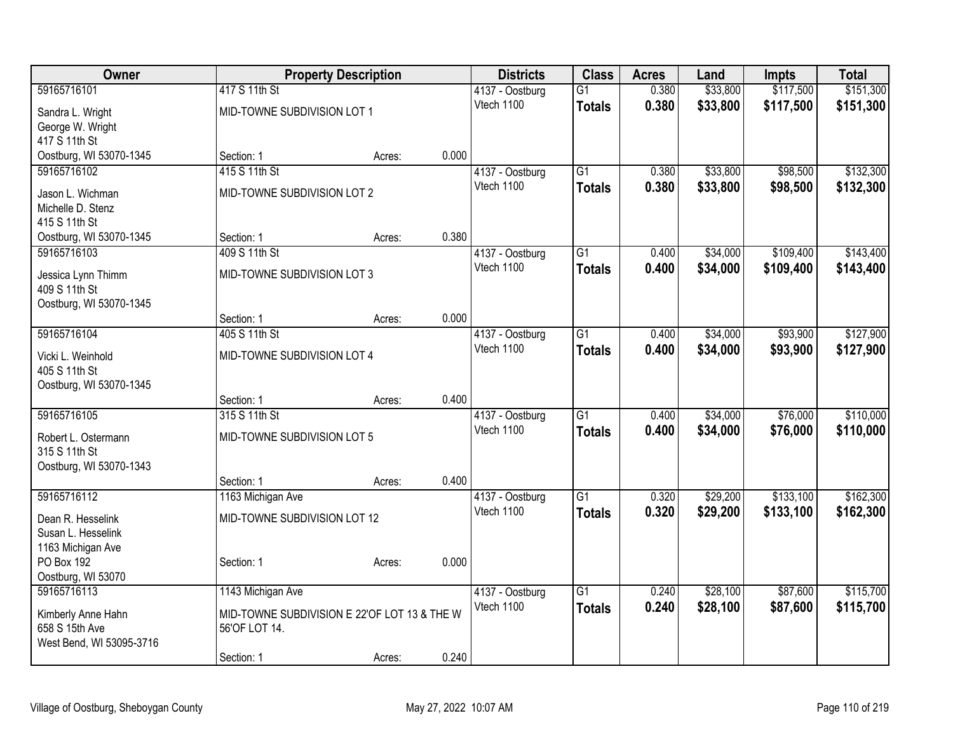| <b>Owner</b>                            |                                              | <b>Property Description</b> |       | <b>Districts</b>              | <b>Class</b>    | <b>Acres</b> | Land     | <b>Impts</b> | <b>Total</b> |
|-----------------------------------------|----------------------------------------------|-----------------------------|-------|-------------------------------|-----------------|--------------|----------|--------------|--------------|
| 59165716101                             | 417 S 11th St                                |                             |       | 4137 - Oostburg               | $\overline{G1}$ | 0.380        | \$33,800 | \$117,500    | \$151,300    |
| Sandra L. Wright                        | MID-TOWNE SUBDIVISION LOT 1                  |                             |       | Vtech 1100                    | <b>Totals</b>   | 0.380        | \$33,800 | \$117,500    | \$151,300    |
| George W. Wright                        |                                              |                             |       |                               |                 |              |          |              |              |
| 417 S 11th St                           |                                              |                             |       |                               |                 |              |          |              |              |
| Oostburg, WI 53070-1345                 | Section: 1                                   | Acres:                      | 0.000 |                               |                 |              |          |              |              |
| 59165716102                             | 415 S 11th St                                |                             |       | 4137 - Oostburg               | $\overline{G1}$ | 0.380        | \$33,800 | \$98,500     | \$132,300    |
| Jason L. Wichman                        | MID-TOWNE SUBDIVISION LOT 2                  |                             |       | Vtech 1100                    | <b>Totals</b>   | 0.380        | \$33,800 | \$98,500     | \$132,300    |
| Michelle D. Stenz                       |                                              |                             |       |                               |                 |              |          |              |              |
| 415 S 11th St                           |                                              |                             |       |                               |                 |              |          |              |              |
| Oostburg, WI 53070-1345                 | Section: 1                                   | Acres:                      | 0.380 |                               |                 |              |          |              |              |
| 59165716103                             | 409 S 11th St                                |                             |       | 4137 - Oostburg<br>Vtech 1100 | $\overline{G1}$ | 0.400        | \$34,000 | \$109,400    | \$143,400    |
| Jessica Lynn Thimm                      | MID-TOWNE SUBDIVISION LOT 3                  |                             |       |                               | <b>Totals</b>   | 0.400        | \$34,000 | \$109,400    | \$143,400    |
| 409 S 11th St                           |                                              |                             |       |                               |                 |              |          |              |              |
| Oostburg, WI 53070-1345                 |                                              |                             |       |                               |                 |              |          |              |              |
| 59165716104                             | Section: 1<br>405 S 11th St                  | Acres:                      | 0.000 | 4137 - Oostburg               | $\overline{G1}$ | 0.400        | \$34,000 | \$93,900     | \$127,900    |
|                                         |                                              |                             |       | Vtech 1100                    | <b>Totals</b>   | 0.400        | \$34,000 | \$93,900     | \$127,900    |
| Vicki L. Weinhold                       | MID-TOWNE SUBDIVISION LOT 4                  |                             |       |                               |                 |              |          |              |              |
| 405 S 11th St                           |                                              |                             |       |                               |                 |              |          |              |              |
| Oostburg, WI 53070-1345                 | Section: 1                                   |                             | 0.400 |                               |                 |              |          |              |              |
| 59165716105                             | 315 S 11th St                                | Acres:                      |       | 4137 - Oostburg               | $\overline{G1}$ | 0.400        | \$34,000 | \$76,000     | \$110,000    |
|                                         |                                              |                             |       | Vtech 1100                    | <b>Totals</b>   | 0.400        | \$34,000 | \$76,000     | \$110,000    |
| Robert L. Ostermann                     | MID-TOWNE SUBDIVISION LOT 5                  |                             |       |                               |                 |              |          |              |              |
| 315 S 11th St                           |                                              |                             |       |                               |                 |              |          |              |              |
| Oostburg, WI 53070-1343                 | Section: 1                                   | Acres:                      | 0.400 |                               |                 |              |          |              |              |
| 59165716112                             | 1163 Michigan Ave                            |                             |       | 4137 - Oostburg               | $\overline{G1}$ | 0.320        | \$29,200 | \$133,100    | \$162,300    |
|                                         |                                              |                             |       | Vtech 1100                    | <b>Totals</b>   | 0.320        | \$29,200 | \$133,100    | \$162,300    |
| Dean R. Hesselink<br>Susan L. Hesselink | MID-TOWNE SUBDIVISION LOT 12                 |                             |       |                               |                 |              |          |              |              |
| 1163 Michigan Ave                       |                                              |                             |       |                               |                 |              |          |              |              |
| PO Box 192                              | Section: 1                                   | Acres:                      | 0.000 |                               |                 |              |          |              |              |
| Oostburg, WI 53070                      |                                              |                             |       |                               |                 |              |          |              |              |
| 59165716113                             | 1143 Michigan Ave                            |                             |       | 4137 - Oostburg               | $\overline{G1}$ | 0.240        | \$28,100 | \$87,600     | \$115,700    |
| Kimberly Anne Hahn                      | MID-TOWNE SUBDIVISION E 22'OF LOT 13 & THE W |                             |       | Vtech 1100                    | <b>Totals</b>   | 0.240        | \$28,100 | \$87,600     | \$115,700    |
| 658 S 15th Ave                          | 56'OF LOT 14.                                |                             |       |                               |                 |              |          |              |              |
| West Bend, WI 53095-3716                |                                              |                             |       |                               |                 |              |          |              |              |
|                                         | Section: 1                                   | Acres:                      | 0.240 |                               |                 |              |          |              |              |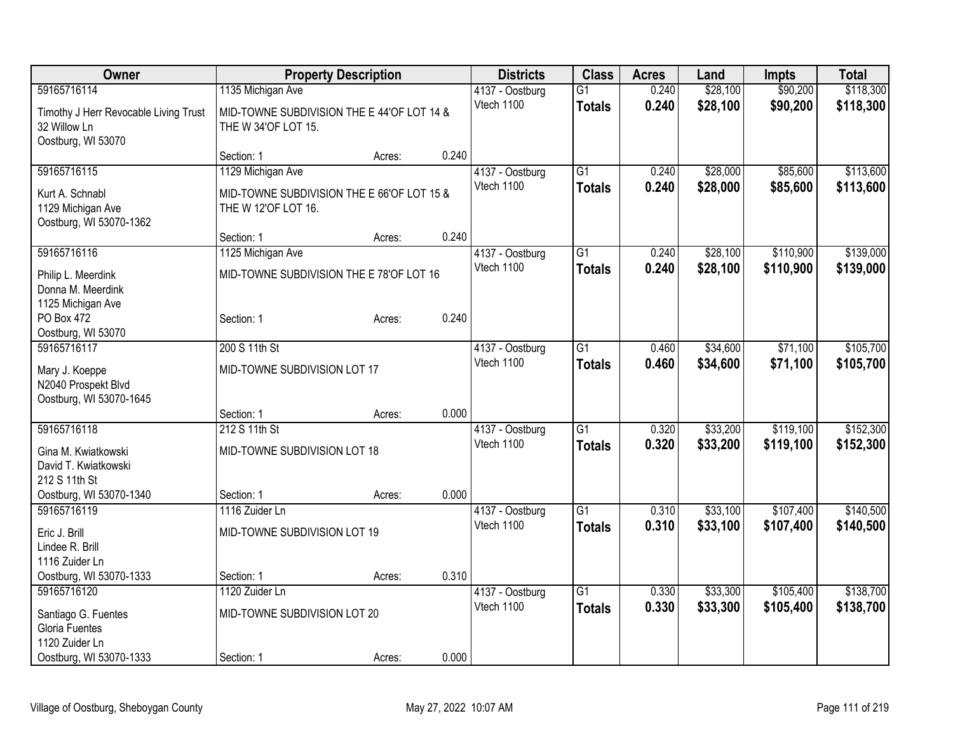| Owner                                  |                                            | <b>Property Description</b> |       | <b>Districts</b>              | <b>Class</b>    | <b>Acres</b>   | Land                 | <b>Impts</b>         | <b>Total</b> |
|----------------------------------------|--------------------------------------------|-----------------------------|-------|-------------------------------|-----------------|----------------|----------------------|----------------------|--------------|
| 59165716114                            | 1135 Michigan Ave                          |                             |       | 4137 - Oostburg               | $\overline{G1}$ | 0.240          | \$28,100             | \$90,200             | \$118,300    |
| Timothy J Herr Revocable Living Trust  | MID-TOWNE SUBDIVISION THE E 44'OF LOT 14 & |                             |       | Vtech 1100                    | <b>Totals</b>   | 0.240          | \$28,100             | \$90,200             | \$118,300    |
| 32 Willow Ln                           | THE W 34'OF LOT 15.                        |                             |       |                               |                 |                |                      |                      |              |
| Oostburg, WI 53070                     |                                            |                             |       |                               |                 |                |                      |                      |              |
|                                        | Section: 1                                 | Acres:                      | 0.240 |                               |                 |                |                      |                      |              |
| 59165716115                            | 1129 Michigan Ave                          |                             |       | 4137 - Oostburg<br>Vtech 1100 | $\overline{G1}$ | 0.240<br>0.240 | \$28,000<br>\$28,000 | \$85,600<br>\$85,600 | \$113,600    |
| Kurt A. Schnabl                        | MID-TOWNE SUBDIVISION THE E 66'OF LOT 15 & |                             |       |                               | <b>Totals</b>   |                |                      |                      | \$113,600    |
| 1129 Michigan Ave                      | THE W 12'OF LOT 16.                        |                             |       |                               |                 |                |                      |                      |              |
| Oostburg, WI 53070-1362                | Section: 1                                 | Acres:                      | 0.240 |                               |                 |                |                      |                      |              |
| 59165716116                            | 1125 Michigan Ave                          |                             |       | 4137 - Oostburg               | $\overline{G1}$ | 0.240          | \$28,100             | \$110,900            | \$139,000    |
|                                        |                                            |                             |       | Vtech 1100                    | <b>Totals</b>   | 0.240          | \$28,100             | \$110,900            | \$139,000    |
| Philip L. Meerdink                     | MID-TOWNE SUBDIVISION THE E 78'OF LOT 16   |                             |       |                               |                 |                |                      |                      |              |
| Donna M. Meerdink<br>1125 Michigan Ave |                                            |                             |       |                               |                 |                |                      |                      |              |
| PO Box 472                             | Section: 1                                 | Acres:                      | 0.240 |                               |                 |                |                      |                      |              |
| Oostburg, WI 53070                     |                                            |                             |       |                               |                 |                |                      |                      |              |
| 59165716117                            | 200 S 11th St                              |                             |       | 4137 - Oostburg               | $\overline{G1}$ | 0.460          | \$34,600             | \$71,100             | \$105,700    |
| Mary J. Koeppe                         | MID-TOWNE SUBDIVISION LOT 17               |                             |       | Vtech 1100                    | <b>Totals</b>   | 0.460          | \$34,600             | \$71,100             | \$105,700    |
| N2040 Prospekt Blvd                    |                                            |                             |       |                               |                 |                |                      |                      |              |
| Oostburg, WI 53070-1645                |                                            |                             |       |                               |                 |                |                      |                      |              |
|                                        | Section: 1                                 | Acres:                      | 0.000 |                               |                 |                |                      |                      |              |
| 59165716118                            | 212 S 11th St                              |                             |       | 4137 - Oostburg               | $\overline{G1}$ | 0.320          | \$33,200             | \$119,100            | \$152,300    |
| Gina M. Kwiatkowski                    | MID-TOWNE SUBDIVISION LOT 18               |                             |       | Vtech 1100                    | <b>Totals</b>   | 0.320          | \$33,200             | \$119,100            | \$152,300    |
| David T. Kwiatkowski                   |                                            |                             |       |                               |                 |                |                      |                      |              |
| 212 S 11th St                          |                                            |                             |       |                               |                 |                |                      |                      |              |
| Oostburg, WI 53070-1340                | Section: 1                                 | Acres:                      | 0.000 |                               |                 |                |                      |                      |              |
| 59165716119                            | 1116 Zuider Ln                             |                             |       | 4137 - Oostburg<br>Vtech 1100 | $\overline{G1}$ | 0.310          | \$33,100             | \$107,400            | \$140,500    |
| Eric J. Brill                          | MID-TOWNE SUBDIVISION LOT 19               |                             |       |                               | <b>Totals</b>   | 0.310          | \$33,100             | \$107,400            | \$140,500    |
| Lindee R. Brill                        |                                            |                             |       |                               |                 |                |                      |                      |              |
| 1116 Zuider Ln                         |                                            |                             | 0.310 |                               |                 |                |                      |                      |              |
| Oostburg, WI 53070-1333<br>59165716120 | Section: 1<br>1120 Zuider Ln               | Acres:                      |       | 4137 - Oostburg               | $\overline{G1}$ | 0.330          | \$33,300             | \$105,400            | \$138,700    |
|                                        |                                            |                             |       | Vtech 1100                    | <b>Totals</b>   | 0.330          | \$33,300             | \$105,400            | \$138,700    |
| Santiago G. Fuentes                    | MID-TOWNE SUBDIVISION LOT 20               |                             |       |                               |                 |                |                      |                      |              |
| Gloria Fuentes<br>1120 Zuider Ln       |                                            |                             |       |                               |                 |                |                      |                      |              |
| Oostburg, WI 53070-1333                | Section: 1                                 | Acres:                      | 0.000 |                               |                 |                |                      |                      |              |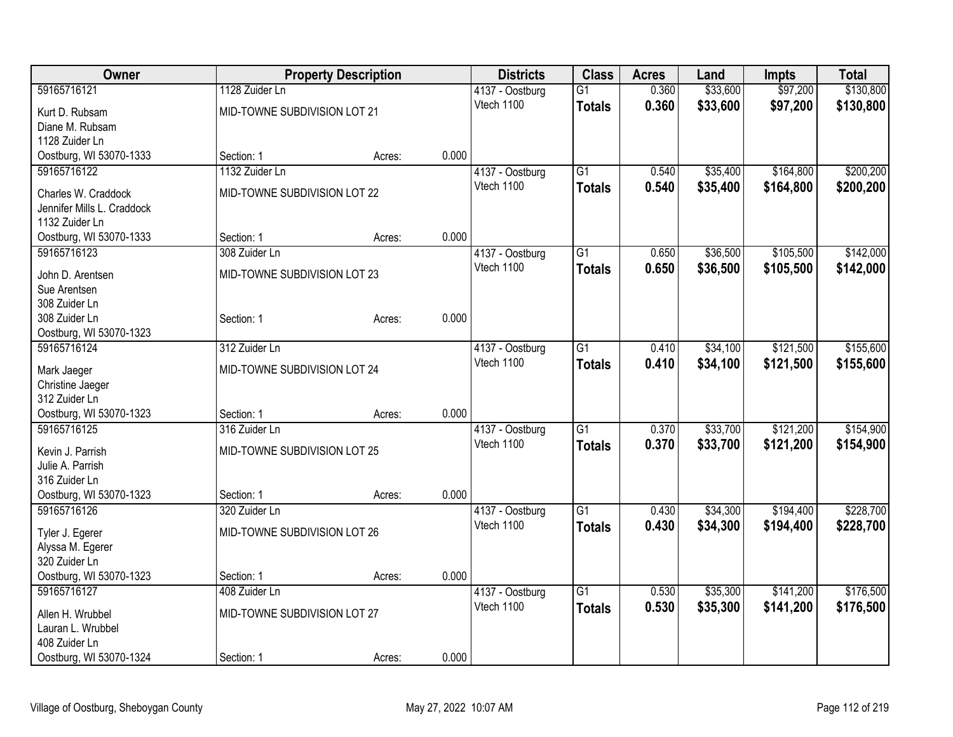| <b>Owner</b>                           |                              | <b>Property Description</b> |       | <b>Districts</b>              | <b>Class</b>    | <b>Acres</b> | Land     | <b>Impts</b> | <b>Total</b> |
|----------------------------------------|------------------------------|-----------------------------|-------|-------------------------------|-----------------|--------------|----------|--------------|--------------|
| 59165716121                            | 1128 Zuider Ln               |                             |       | 4137 - Oostburg               | $\overline{G1}$ | 0.360        | \$33,600 | \$97,200     | \$130,800    |
| Kurt D. Rubsam                         | MID-TOWNE SUBDIVISION LOT 21 |                             |       | Vtech 1100                    | <b>Totals</b>   | 0.360        | \$33,600 | \$97,200     | \$130,800    |
| Diane M. Rubsam                        |                              |                             |       |                               |                 |              |          |              |              |
| 1128 Zuider Ln                         |                              |                             |       |                               |                 |              |          |              |              |
| Oostburg, WI 53070-1333                | Section: 1                   | Acres:                      | 0.000 |                               |                 |              |          |              |              |
| 59165716122                            | 1132 Zuider Ln               |                             |       | 4137 - Oostburg               | $\overline{G1}$ | 0.540        | \$35,400 | \$164,800    | \$200,200    |
| Charles W. Craddock                    | MID-TOWNE SUBDIVISION LOT 22 |                             |       | Vtech 1100                    | <b>Totals</b>   | 0.540        | \$35,400 | \$164,800    | \$200,200    |
| Jennifer Mills L. Craddock             |                              |                             |       |                               |                 |              |          |              |              |
| 1132 Zuider Ln                         |                              |                             |       |                               |                 |              |          |              |              |
| Oostburg, WI 53070-1333                | Section: 1                   | Acres:                      | 0.000 |                               |                 |              |          |              |              |
| 59165716123                            | 308 Zuider Ln                |                             |       | 4137 - Oostburg               | $\overline{G1}$ | 0.650        | \$36,500 | \$105,500    | \$142,000    |
|                                        |                              |                             |       | Vtech 1100                    | <b>Totals</b>   | 0.650        | \$36,500 | \$105,500    | \$142,000    |
| John D. Arentsen                       | MID-TOWNE SUBDIVISION LOT 23 |                             |       |                               |                 |              |          |              |              |
| Sue Arentsen                           |                              |                             |       |                               |                 |              |          |              |              |
| 308 Zuider Ln                          |                              |                             |       |                               |                 |              |          |              |              |
| 308 Zuider Ln                          | Section: 1                   | Acres:                      | 0.000 |                               |                 |              |          |              |              |
| Oostburg, WI 53070-1323<br>59165716124 | 312 Zuider Ln                |                             |       |                               | G1              | 0.410        | \$34,100 | \$121,500    | \$155,600    |
|                                        |                              |                             |       | 4137 - Oostburg<br>Vtech 1100 |                 |              |          |              |              |
| Mark Jaeger                            | MID-TOWNE SUBDIVISION LOT 24 |                             |       |                               | <b>Totals</b>   | 0.410        | \$34,100 | \$121,500    | \$155,600    |
| Christine Jaeger                       |                              |                             |       |                               |                 |              |          |              |              |
| 312 Zuider Ln                          |                              |                             |       |                               |                 |              |          |              |              |
| Oostburg, WI 53070-1323                | Section: 1                   | Acres:                      | 0.000 |                               |                 |              |          |              |              |
| 59165716125                            | 316 Zuider Ln                |                             |       | 4137 - Oostburg               | $\overline{G1}$ | 0.370        | \$33,700 | \$121,200    | \$154,900    |
| Kevin J. Parrish                       | MID-TOWNE SUBDIVISION LOT 25 |                             |       | Vtech 1100                    | <b>Totals</b>   | 0.370        | \$33,700 | \$121,200    | \$154,900    |
| Julie A. Parrish                       |                              |                             |       |                               |                 |              |          |              |              |
| 316 Zuider Ln                          |                              |                             |       |                               |                 |              |          |              |              |
| Oostburg, WI 53070-1323                | Section: 1                   | Acres:                      | 0.000 |                               |                 |              |          |              |              |
| 59165716126                            | 320 Zuider Ln                |                             |       | 4137 - Oostburg               | $\overline{G1}$ | 0.430        | \$34,300 | \$194,400    | \$228,700    |
| Tyler J. Egerer                        | MID-TOWNE SUBDIVISION LOT 26 |                             |       | Vtech 1100                    | <b>Totals</b>   | 0.430        | \$34,300 | \$194,400    | \$228,700    |
| Alyssa M. Egerer                       |                              |                             |       |                               |                 |              |          |              |              |
| 320 Zuider Ln                          |                              |                             |       |                               |                 |              |          |              |              |
| Oostburg, WI 53070-1323                | Section: 1                   | Acres:                      | 0.000 |                               |                 |              |          |              |              |
| 59165716127                            | 408 Zuider Ln                |                             |       | 4137 - Oostburg               | $\overline{G1}$ | 0.530        | \$35,300 | \$141,200    | \$176,500    |
|                                        |                              |                             |       | Vtech 1100                    | <b>Totals</b>   | 0.530        | \$35,300 | \$141,200    | \$176,500    |
| Allen H. Wrubbel                       | MID-TOWNE SUBDIVISION LOT 27 |                             |       |                               |                 |              |          |              |              |
| Lauran L. Wrubbel<br>408 Zuider Ln     |                              |                             |       |                               |                 |              |          |              |              |
|                                        |                              |                             | 0.000 |                               |                 |              |          |              |              |
| Oostburg, WI 53070-1324                | Section: 1                   | Acres:                      |       |                               |                 |              |          |              |              |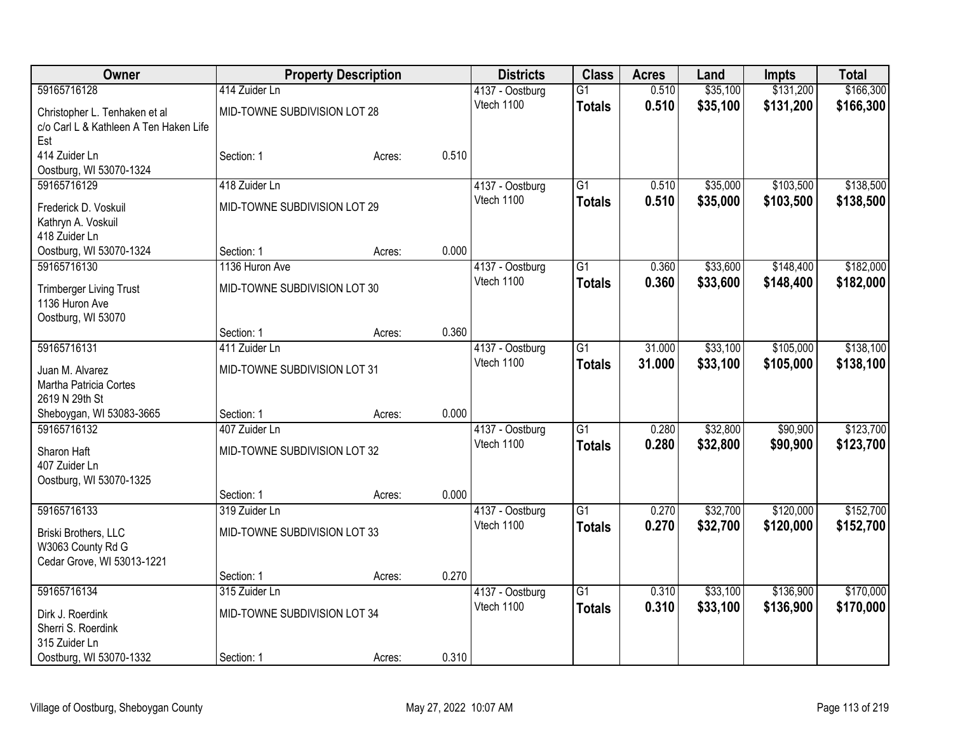| Owner                                  | <b>Property Description</b>  |        | <b>Districts</b> | <b>Class</b>    | <b>Acres</b>    | Land   | <b>Impts</b> | <b>Total</b> |           |
|----------------------------------------|------------------------------|--------|------------------|-----------------|-----------------|--------|--------------|--------------|-----------|
| 59165716128                            | 414 Zuider Ln                |        |                  | 4137 - Oostburg | $\overline{G1}$ | 0.510  | \$35,100     | \$131,200    | \$166,300 |
| Christopher L. Tenhaken et al          | MID-TOWNE SUBDIVISION LOT 28 |        |                  | Vtech 1100      | <b>Totals</b>   | 0.510  | \$35,100     | \$131,200    | \$166,300 |
| c/o Carl L & Kathleen A Ten Haken Life |                              |        |                  |                 |                 |        |              |              |           |
| Est                                    |                              |        |                  |                 |                 |        |              |              |           |
| 414 Zuider Ln                          | Section: 1                   | Acres: | 0.510            |                 |                 |        |              |              |           |
| Oostburg, WI 53070-1324                |                              |        |                  |                 |                 |        |              |              |           |
| 59165716129                            | 418 Zuider Ln                |        |                  | 4137 - Oostburg | G1              | 0.510  | \$35,000     | \$103,500    | \$138,500 |
| Frederick D. Voskuil                   | MID-TOWNE SUBDIVISION LOT 29 |        |                  | Vtech 1100      | <b>Totals</b>   | 0.510  | \$35,000     | \$103,500    | \$138,500 |
| Kathryn A. Voskuil                     |                              |        |                  |                 |                 |        |              |              |           |
| 418 Zuider Ln                          |                              |        |                  |                 |                 |        |              |              |           |
| Oostburg, WI 53070-1324                | Section: 1                   | Acres: | 0.000            |                 |                 |        |              |              |           |
| 59165716130                            | 1136 Huron Ave               |        |                  | 4137 - Oostburg | $\overline{G1}$ | 0.360  | \$33,600     | \$148,400    | \$182,000 |
| <b>Trimberger Living Trust</b>         | MID-TOWNE SUBDIVISION LOT 30 |        |                  | Vtech 1100      | <b>Totals</b>   | 0.360  | \$33,600     | \$148,400    | \$182,000 |
| 1136 Huron Ave                         |                              |        |                  |                 |                 |        |              |              |           |
| Oostburg, WI 53070                     |                              |        |                  |                 |                 |        |              |              |           |
|                                        | Section: 1                   | Acres: | 0.360            |                 |                 |        |              |              |           |
| 59165716131                            | 411 Zuider Ln                |        |                  | 4137 - Oostburg | $\overline{G1}$ | 31.000 | \$33,100     | \$105,000    | \$138,100 |
| Juan M. Alvarez                        | MID-TOWNE SUBDIVISION LOT 31 |        |                  | Vtech 1100      | <b>Totals</b>   | 31.000 | \$33,100     | \$105,000    | \$138,100 |
| Martha Patricia Cortes                 |                              |        |                  |                 |                 |        |              |              |           |
| 2619 N 29th St                         |                              |        |                  |                 |                 |        |              |              |           |
| Sheboygan, WI 53083-3665               | Section: 1                   | Acres: | 0.000            |                 |                 |        |              |              |           |
| 59165716132                            | 407 Zuider Ln                |        |                  | 4137 - Oostburg | $\overline{G1}$ | 0.280  | \$32,800     | \$90,900     | \$123,700 |
| Sharon Haft                            | MID-TOWNE SUBDIVISION LOT 32 |        |                  | Vtech 1100      | <b>Totals</b>   | 0.280  | \$32,800     | \$90,900     | \$123,700 |
| 407 Zuider Ln                          |                              |        |                  |                 |                 |        |              |              |           |
| Oostburg, WI 53070-1325                |                              |        |                  |                 |                 |        |              |              |           |
|                                        | Section: 1                   | Acres: | 0.000            |                 |                 |        |              |              |           |
| 59165716133                            | 319 Zuider Ln                |        |                  | 4137 - Oostburg | $\overline{G1}$ | 0.270  | \$32,700     | \$120,000    | \$152,700 |
| Briski Brothers, LLC                   | MID-TOWNE SUBDIVISION LOT 33 |        |                  | Vtech 1100      | <b>Totals</b>   | 0.270  | \$32,700     | \$120,000    | \$152,700 |
| W3063 County Rd G                      |                              |        |                  |                 |                 |        |              |              |           |
| Cedar Grove, WI 53013-1221             |                              |        |                  |                 |                 |        |              |              |           |
|                                        | Section: 1                   | Acres: | 0.270            |                 |                 |        |              |              |           |
| 59165716134                            | 315 Zuider Ln                |        |                  | 4137 - Oostburg | $\overline{G1}$ | 0.310  | \$33,100     | \$136,900    | \$170,000 |
| Dirk J. Roerdink                       | MID-TOWNE SUBDIVISION LOT 34 |        |                  | Vtech 1100      | <b>Totals</b>   | 0.310  | \$33,100     | \$136,900    | \$170,000 |
| Sherri S. Roerdink                     |                              |        |                  |                 |                 |        |              |              |           |
| 315 Zuider Ln                          |                              |        |                  |                 |                 |        |              |              |           |
| Oostburg, WI 53070-1332                | Section: 1                   | Acres: | 0.310            |                 |                 |        |              |              |           |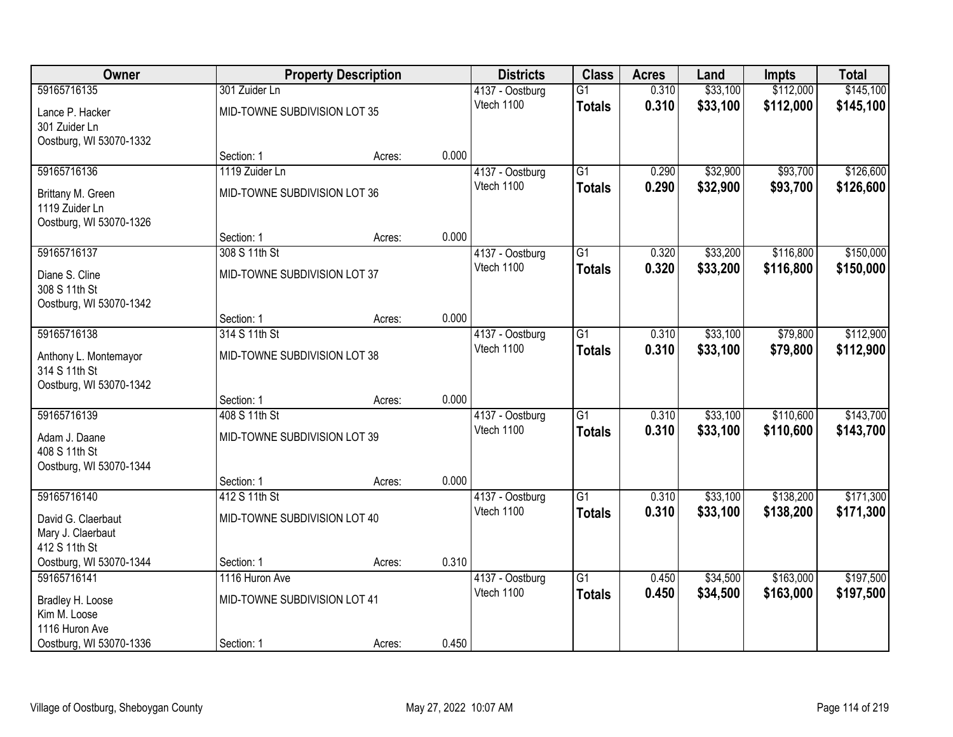| Owner                   |                              | <b>Property Description</b>                |       | <b>Districts</b> | <b>Class</b>    | <b>Acres</b> | Land     | <b>Impts</b> | <b>Total</b> |
|-------------------------|------------------------------|--------------------------------------------|-------|------------------|-----------------|--------------|----------|--------------|--------------|
| 59165716135             | 301 Zuider Ln                |                                            |       | 4137 - Oostburg  | $\overline{G1}$ | 0.310        | \$33,100 | \$112,000    | \$145,100    |
| Lance P. Hacker         | MID-TOWNE SUBDIVISION LOT 35 |                                            |       | Vtech 1100       | <b>Totals</b>   | 0.310        | \$33,100 | \$112,000    | \$145,100    |
| 301 Zuider Ln           |                              |                                            |       |                  |                 |              |          |              |              |
| Oostburg, WI 53070-1332 |                              |                                            |       |                  |                 |              |          |              |              |
|                         | Section: 1                   | Acres:                                     | 0.000 |                  |                 |              |          |              |              |
| 59165716136             | 1119 Zuider Ln               |                                            |       | 4137 - Oostburg  | $\overline{G1}$ | 0.290        | \$32,900 | \$93,700     | \$126,600    |
| Brittany M. Green       | MID-TOWNE SUBDIVISION LOT 36 |                                            |       | Vtech 1100       | <b>Totals</b>   | 0.290        | \$32,900 | \$93,700     | \$126,600    |
| 1119 Zuider Ln          |                              |                                            |       |                  |                 |              |          |              |              |
| Oostburg, WI 53070-1326 |                              |                                            |       |                  |                 |              |          |              |              |
|                         | Section: 1                   | Acres:                                     | 0.000 |                  |                 |              |          |              |              |
| 59165716137             | 308 S 11th St                |                                            |       | 4137 - Oostburg  | G1              | 0.320        | \$33,200 | \$116,800    | \$150,000    |
| Diane S. Cline          |                              | Vtech 1100<br>MID-TOWNE SUBDIVISION LOT 37 |       |                  | <b>Totals</b>   | 0.320        | \$33,200 | \$116,800    | \$150,000    |
| 308 S 11th St           |                              |                                            |       |                  |                 |              |          |              |              |
| Oostburg, WI 53070-1342 |                              |                                            |       |                  |                 |              |          |              |              |
|                         | Section: 1                   | Acres:                                     | 0.000 |                  |                 |              |          |              |              |
| 59165716138             | 314 S 11th St                |                                            |       | 4137 - Oostburg  | G1              | 0.310        | \$33,100 | \$79,800     | \$112,900    |
| Anthony L. Montemayor   | MID-TOWNE SUBDIVISION LOT 38 |                                            |       | Vtech 1100       | <b>Totals</b>   | 0.310        | \$33,100 | \$79,800     | \$112,900    |
| 314 S 11th St           |                              |                                            |       |                  |                 |              |          |              |              |
| Oostburg, WI 53070-1342 |                              |                                            |       |                  |                 |              |          |              |              |
|                         | Section: 1                   | Acres:                                     | 0.000 |                  |                 |              |          |              |              |
| 59165716139             | 408 S 11th St                |                                            |       | 4137 - Oostburg  | $\overline{G1}$ | 0.310        | \$33,100 | \$110,600    | \$143,700    |
| Adam J. Daane           | MID-TOWNE SUBDIVISION LOT 39 |                                            |       | Vtech 1100       | <b>Totals</b>   | 0.310        | \$33,100 | \$110,600    | \$143,700    |
| 408 S 11th St           |                              |                                            |       |                  |                 |              |          |              |              |
| Oostburg, WI 53070-1344 |                              |                                            |       |                  |                 |              |          |              |              |
|                         | Section: 1                   | Acres:                                     | 0.000 |                  |                 |              |          |              |              |
| 59165716140             | 412 S 11th St                |                                            |       | 4137 - Oostburg  | $\overline{G1}$ | 0.310        | \$33,100 | \$138,200    | \$171,300    |
| David G. Claerbaut      | MID-TOWNE SUBDIVISION LOT 40 |                                            |       | Vtech 1100       | <b>Totals</b>   | 0.310        | \$33,100 | \$138,200    | \$171,300    |
| Mary J. Claerbaut       |                              |                                            |       |                  |                 |              |          |              |              |
| 412 S 11th St           |                              |                                            |       |                  |                 |              |          |              |              |
| Oostburg, WI 53070-1344 | Section: 1                   | Acres:                                     | 0.310 |                  |                 |              |          |              |              |
| 59165716141             | 1116 Huron Ave               |                                            |       | 4137 - Oostburg  | $\overline{G1}$ | 0.450        | \$34,500 | \$163,000    | \$197,500    |
| Bradley H. Loose        | MID-TOWNE SUBDIVISION LOT 41 |                                            |       | Vtech 1100       | <b>Totals</b>   | 0.450        | \$34,500 | \$163,000    | \$197,500    |
| Kim M. Loose            |                              |                                            |       |                  |                 |              |          |              |              |
| 1116 Huron Ave          |                              |                                            |       |                  |                 |              |          |              |              |
| Oostburg, WI 53070-1336 | Section: 1                   | Acres:                                     | 0.450 |                  |                 |              |          |              |              |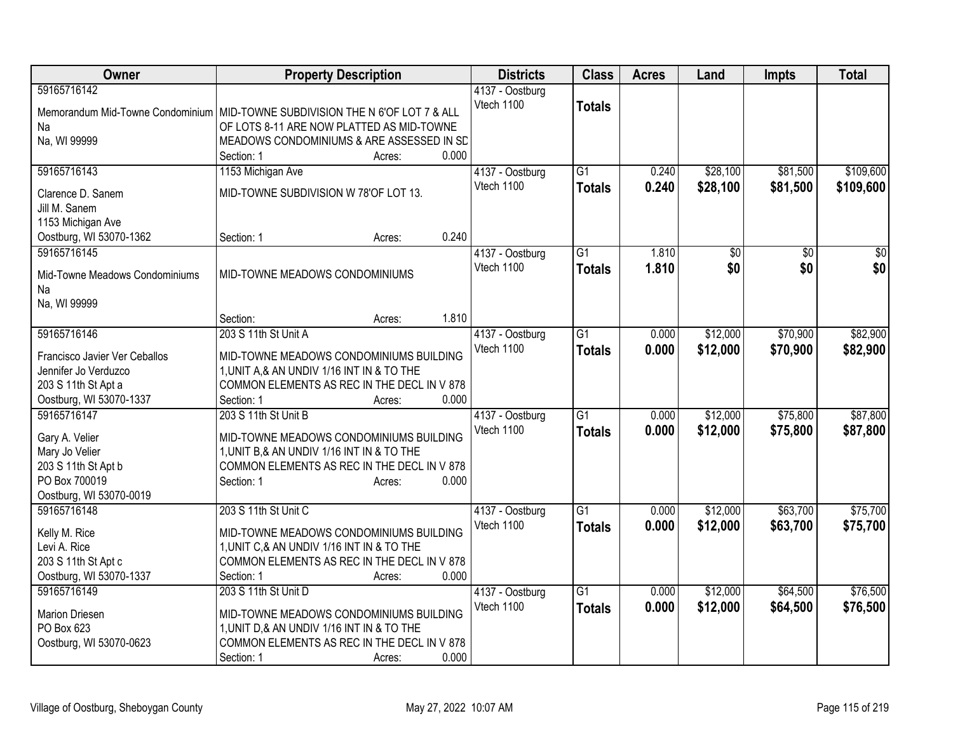| Owner                                                                                                                  | <b>Property Description</b>                                                                                                                                                                                | <b>Districts</b>              | <b>Class</b>                     | <b>Acres</b>   | Land                 | <b>Impts</b>         | <b>Total</b>           |
|------------------------------------------------------------------------------------------------------------------------|------------------------------------------------------------------------------------------------------------------------------------------------------------------------------------------------------------|-------------------------------|----------------------------------|----------------|----------------------|----------------------|------------------------|
| 59165716142<br>Na<br>Na, WI 99999                                                                                      | Memorandum Mid-Towne Condominium   MID-TOWNE SUBDIVISION THE N 6'OF LOT 7 & ALL<br>OF LOTS 8-11 ARE NOW PLATTED AS MID-TOWNE<br>MEADOWS CONDOMINIUMS & ARE ASSESSED IN SD<br>0.000<br>Section: 1<br>Acres: | 4137 - Oostburg<br>Vtech 1100 | <b>Totals</b>                    |                |                      |                      |                        |
| 59165716143<br>Clarence D. Sanem<br>Jill M. Sanem<br>1153 Michigan Ave<br>Oostburg, WI 53070-1362                      | 1153 Michigan Ave<br>MID-TOWNE SUBDIVISION W 78'OF LOT 13.<br>0.240<br>Section: 1<br>Acres:                                                                                                                | 4137 - Oostburg<br>Vtech 1100 | $\overline{G1}$<br><b>Totals</b> | 0.240<br>0.240 | \$28,100<br>\$28,100 | \$81,500<br>\$81,500 | \$109,600<br>\$109,600 |
| 59165716145<br>Mid-Towne Meadows Condominiums<br>Na<br>Na, WI 99999                                                    | MID-TOWNE MEADOWS CONDOMINIUMS<br>1.810<br>Section:<br>Acres:                                                                                                                                              | 4137 - Oostburg<br>Vtech 1100 | $\overline{G1}$<br><b>Totals</b> | 1.810<br>1.810 | \$0<br>\$0           | \$0<br>\$0           | \$0<br>\$0             |
| 59165716146<br>Francisco Javier Ver Ceballos<br>Jennifer Jo Verduzco<br>203 S 11th St Apt a<br>Oostburg, WI 53070-1337 | 203 S 11th St Unit A<br>MID-TOWNE MEADOWS CONDOMINIUMS BUILDING<br>1, UNIT A,& AN UNDIV 1/16 INT IN & TO THE<br>COMMON ELEMENTS AS REC IN THE DECL IN V 878<br>0.000<br>Section: 1<br>Acres:               | 4137 - Oostburg<br>Vtech 1100 | $\overline{G1}$<br><b>Totals</b> | 0.000<br>0.000 | \$12,000<br>\$12,000 | \$70,900<br>\$70,900 | \$82,900<br>\$82,900   |
| 59165716147<br>Gary A. Velier<br>Mary Jo Velier<br>203 S 11th St Apt b<br>PO Box 700019<br>Oostburg, WI 53070-0019     | 203 S 11th St Unit B<br>MID-TOWNE MEADOWS CONDOMINIUMS BUILDING<br>1, UNIT B, & AN UNDIV 1/16 INT IN & TO THE<br>COMMON ELEMENTS AS REC IN THE DECL IN V 878<br>0.000<br>Section: 1<br>Acres:              | 4137 - Oostburg<br>Vtech 1100 | $\overline{G1}$<br><b>Totals</b> | 0.000<br>0.000 | \$12,000<br>\$12,000 | \$75,800<br>\$75,800 | \$87,800<br>\$87,800   |
| 59165716148<br>Kelly M. Rice<br>Levi A. Rice<br>203 S 11th St Apt c<br>Oostburg, WI 53070-1337                         | 203 S 11th St Unit C<br>MID-TOWNE MEADOWS CONDOMINIUMS BUILDING<br>1, UNIT C, & AN UNDIV 1/16 INT IN & TO THE<br>COMMON ELEMENTS AS REC IN THE DECL IN V 878<br>0.000<br>Section: 1<br>Acres:              | 4137 - Oostburg<br>Vtech 1100 | $\overline{G1}$<br><b>Totals</b> | 0.000<br>0.000 | \$12,000<br>\$12,000 | \$63,700<br>\$63,700 | \$75,700<br>\$75,700   |
| 59165716149<br><b>Marion Driesen</b><br>PO Box 623<br>Oostburg, WI 53070-0623                                          | 203 S 11th St Unit D<br>MID-TOWNE MEADOWS CONDOMINIUMS BUILDING<br>1, UNIT D, & AN UNDIV 1/16 INT IN & TO THE<br>COMMON ELEMENTS AS REC IN THE DECL IN V 878<br>0.000<br>Section: 1<br>Acres:              | 4137 - Oostburg<br>Vtech 1100 | $\overline{G1}$<br><b>Totals</b> | 0.000<br>0.000 | \$12,000<br>\$12,000 | \$64,500<br>\$64,500 | \$76,500<br>\$76,500   |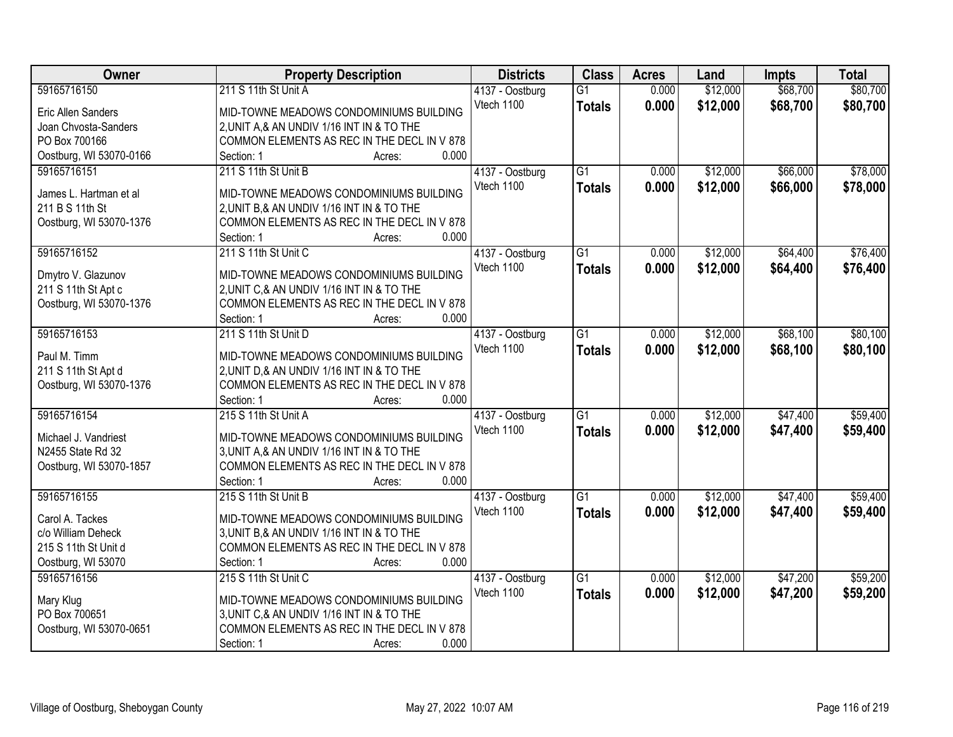| Owner                             | <b>Property Description</b>                           | <b>Districts</b> | <b>Class</b>    | <b>Acres</b> | Land     | <b>Impts</b> | <b>Total</b> |
|-----------------------------------|-------------------------------------------------------|------------------|-----------------|--------------|----------|--------------|--------------|
| 59165716150                       | 211 S 11th St Unit A                                  | 4137 - Oostburg  | $\overline{G1}$ | 0.000        | \$12,000 | \$68,700     | \$80,700     |
| Eric Allen Sanders                | MID-TOWNE MEADOWS CONDOMINIUMS BUILDING               | Vtech 1100       | <b>Totals</b>   | 0.000        | \$12,000 | \$68,700     | \$80,700     |
| Joan Chvosta-Sanders              | 2, UNIT A, & AN UNDIV 1/16 INT IN & TO THE            |                  |                 |              |          |              |              |
| PO Box 700166                     | COMMON ELEMENTS AS REC IN THE DECL IN V 878           |                  |                 |              |          |              |              |
| Oostburg, WI 53070-0166           | 0.000<br>Section: 1<br>Acres:                         |                  |                 |              |          |              |              |
| 59165716151                       | 211 S 11th St Unit B                                  | 4137 - Oostburg  | $\overline{G1}$ | 0.000        | \$12,000 | \$66,000     | \$78,000     |
|                                   |                                                       | Vtech 1100       | <b>Totals</b>   | 0.000        | \$12,000 | \$66,000     | \$78,000     |
| James L. Hartman et al            | MID-TOWNE MEADOWS CONDOMINIUMS BUILDING               |                  |                 |              |          |              |              |
| 211 B S 11th St                   | 2, UNIT B, & AN UNDIV 1/16 INT IN & TO THE            |                  |                 |              |          |              |              |
| Oostburg, WI 53070-1376           | COMMON ELEMENTS AS REC IN THE DECL IN V 878           |                  |                 |              |          |              |              |
|                                   | 0.000<br>Section: 1<br>Acres:                         |                  |                 |              |          |              |              |
| 59165716152                       | 211 S 11th St Unit C                                  | 4137 - Oostburg  | $\overline{G1}$ | 0.000        | \$12,000 | \$64,400     | \$76,400     |
| Dmytro V. Glazunov                | MID-TOWNE MEADOWS CONDOMINIUMS BUILDING               | Vtech 1100       | <b>Totals</b>   | 0.000        | \$12,000 | \$64,400     | \$76,400     |
| 211 S 11th St Apt c               | 2, UNIT C, & AN UNDIV 1/16 INT IN & TO THE            |                  |                 |              |          |              |              |
| Oostburg, WI 53070-1376           | COMMON ELEMENTS AS REC IN THE DECL IN V 878           |                  |                 |              |          |              |              |
|                                   | 0.000<br>Section: 1<br>Acres:                         |                  |                 |              |          |              |              |
| 59165716153                       | 211 S 11th St Unit D                                  | 4137 - Oostburg  | $\overline{G1}$ | 0.000        | \$12,000 | \$68,100     | \$80,100     |
|                                   |                                                       | Vtech 1100       | <b>Totals</b>   | 0.000        | \$12,000 | \$68,100     | \$80,100     |
| Paul M. Timm                      | MID-TOWNE MEADOWS CONDOMINIUMS BUILDING               |                  |                 |              |          |              |              |
| 211 S 11th St Apt d               | 2, UNIT D, & AN UNDIV 1/16 INT IN & TO THE            |                  |                 |              |          |              |              |
| Oostburg, WI 53070-1376           | COMMON ELEMENTS AS REC IN THE DECL IN V 878           |                  |                 |              |          |              |              |
|                                   | 0.000<br>Section: 1<br>Acres:                         |                  |                 |              |          |              |              |
| 59165716154                       | 215 S 11th St Unit A                                  | 4137 - Oostburg  | $\overline{G1}$ | 0.000        | \$12,000 | \$47,400     | \$59,400     |
| Michael J. Vandriest              | MID-TOWNE MEADOWS CONDOMINIUMS BUILDING               | Vtech 1100       | <b>Totals</b>   | 0.000        | \$12,000 | \$47,400     | \$59,400     |
| N2455 State Rd 32                 | 3, UNIT A, & AN UNDIV 1/16 INT IN & TO THE            |                  |                 |              |          |              |              |
| Oostburg, WI 53070-1857           | COMMON ELEMENTS AS REC IN THE DECL IN V 878           |                  |                 |              |          |              |              |
|                                   | 0.000<br>Section: 1<br>Acres:                         |                  |                 |              |          |              |              |
| 59165716155                       | 215 S 11th St Unit B                                  | 4137 - Oostburg  | $\overline{G1}$ | 0.000        | \$12,000 | \$47,400     | \$59,400     |
|                                   |                                                       | Vtech 1100       | <b>Totals</b>   | 0.000        | \$12,000 | \$47,400     | \$59,400     |
| Carol A. Tackes                   | MID-TOWNE MEADOWS CONDOMINIUMS BUILDING               |                  |                 |              |          |              |              |
| c/o William Deheck                | 3, UNIT B, & AN UNDIV 1/16 INT IN & TO THE            |                  |                 |              |          |              |              |
| 215 S 11th St Unit d              | COMMON ELEMENTS AS REC IN THE DECL IN V 878           |                  |                 |              |          |              |              |
| Oostburg, WI 53070<br>59165716156 | 0.000<br>Section: 1<br>Acres:<br>215 S 11th St Unit C |                  | $\overline{G1}$ |              |          |              |              |
|                                   |                                                       | 4137 - Oostburg  |                 | 0.000        | \$12,000 | \$47,200     | \$59,200     |
| Mary Klug                         | MID-TOWNE MEADOWS CONDOMINIUMS BUILDING               | Vtech 1100       | <b>Totals</b>   | 0.000        | \$12,000 | \$47,200     | \$59,200     |
| PO Box 700651                     | 3, UNIT C, & AN UNDIV 1/16 INT IN & TO THE            |                  |                 |              |          |              |              |
| Oostburg, WI 53070-0651           | COMMON ELEMENTS AS REC IN THE DECL IN V 878           |                  |                 |              |          |              |              |
|                                   | 0.000<br>Section: 1<br>Acres:                         |                  |                 |              |          |              |              |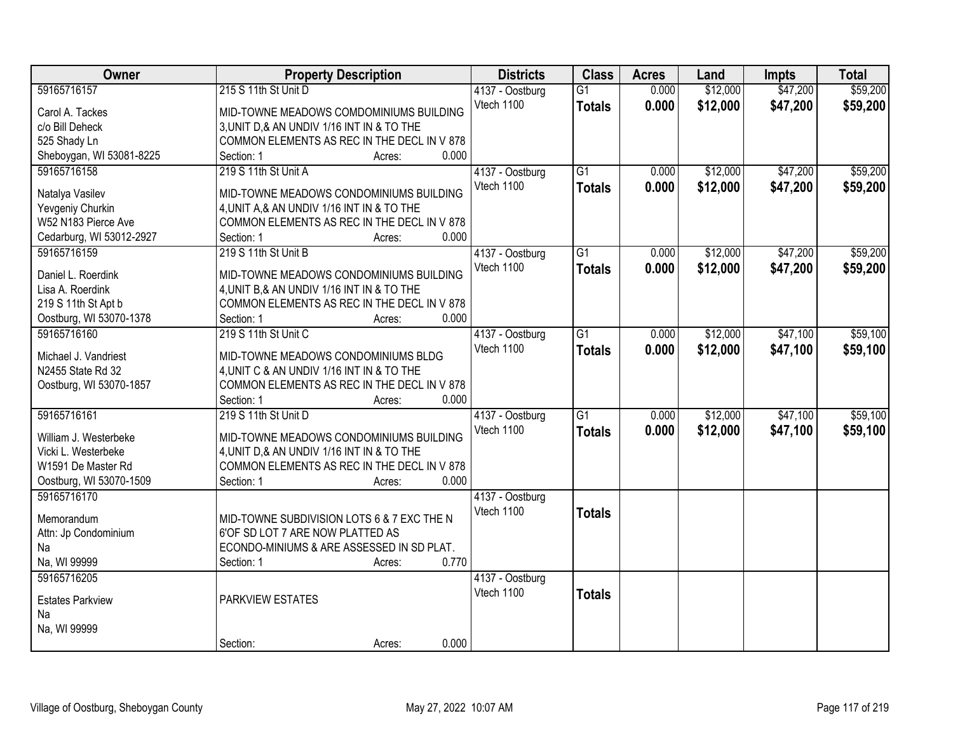| Owner                                   | <b>Property Description</b>                                                               | <b>Districts</b> | <b>Class</b>    | <b>Acres</b> | Land     | <b>Impts</b> | <b>Total</b> |
|-----------------------------------------|-------------------------------------------------------------------------------------------|------------------|-----------------|--------------|----------|--------------|--------------|
| 59165716157                             | 215 S 11th St Unit D                                                                      | 4137 - Oostburg  | $\overline{G1}$ | 0.000        | \$12,000 | \$47,200     | \$59,200     |
| Carol A. Tackes                         | MID-TOWNE MEADOWS COMDOMINIUMS BUILDING                                                   | Vtech 1100       | <b>Totals</b>   | 0.000        | \$12,000 | \$47,200     | \$59,200     |
| c/o Bill Deheck                         | 3, UNIT D, & AN UNDIV 1/16 INT IN & TO THE                                                |                  |                 |              |          |              |              |
| 525 Shady Ln                            | COMMON ELEMENTS AS REC IN THE DECL IN V 878                                               |                  |                 |              |          |              |              |
| Sheboygan, WI 53081-8225                | 0.000<br>Section: 1<br>Acres:                                                             |                  |                 |              |          |              |              |
| 59165716158                             | 219 S 11th St Unit A                                                                      | 4137 - Oostburg  | $\overline{G1}$ | 0.000        | \$12,000 | \$47,200     | \$59,200     |
| Natalya Vasilev                         | MID-TOWNE MEADOWS CONDOMINIUMS BUILDING                                                   | Vtech 1100       | <b>Totals</b>   | 0.000        | \$12,000 | \$47,200     | \$59,200     |
| Yevgeniy Churkin                        | 4, UNIT A, & AN UNDIV 1/16 INT IN & TO THE                                                |                  |                 |              |          |              |              |
| W52 N183 Pierce Ave                     | COMMON ELEMENTS AS REC IN THE DECL IN V 878                                               |                  |                 |              |          |              |              |
| Cedarburg, WI 53012-2927                | 0.000<br>Section: 1<br>Acres:                                                             |                  |                 |              |          |              |              |
| 59165716159                             | 219 S 11th St Unit B                                                                      | 4137 - Oostburg  | $\overline{G1}$ | 0.000        | \$12,000 | \$47,200     | \$59,200     |
|                                         |                                                                                           | Vtech 1100       | <b>Totals</b>   | 0.000        | \$12,000 | \$47,200     | \$59,200     |
| Daniel L. Roerdink                      | MID-TOWNE MEADOWS CONDOMINIUMS BUILDING                                                   |                  |                 |              |          |              |              |
| Lisa A. Roerdink<br>219 S 11th St Apt b | 4, UNIT B, & AN UNDIV 1/16 INT IN & TO THE<br>COMMON ELEMENTS AS REC IN THE DECL IN V 878 |                  |                 |              |          |              |              |
|                                         | 0.000<br>Section: 1                                                                       |                  |                 |              |          |              |              |
| Oostburg, WI 53070-1378<br>59165716160  | Acres:<br>219 S 11th St Unit C                                                            |                  | $\overline{G1}$ |              | \$12,000 | \$47,100     | \$59,100     |
|                                         |                                                                                           | 4137 - Oostburg  |                 | 0.000        |          |              |              |
| Michael J. Vandriest                    | MID-TOWNE MEADOWS CONDOMINIUMS BLDG                                                       | Vtech 1100       | <b>Totals</b>   | 0.000        | \$12,000 | \$47,100     | \$59,100     |
| N2455 State Rd 32                       | 4, UNIT C & AN UNDIV 1/16 INT IN & TO THE                                                 |                  |                 |              |          |              |              |
| Oostburg, WI 53070-1857                 | COMMON ELEMENTS AS REC IN THE DECL IN V 878                                               |                  |                 |              |          |              |              |
|                                         | 0.000<br>Section: 1<br>Acres:                                                             |                  |                 |              |          |              |              |
| 59165716161                             | 219 S 11th St Unit D                                                                      | 4137 - Oostburg  | $\overline{G1}$ | 0.000        | \$12,000 | \$47,100     | \$59,100     |
| William J. Westerbeke                   | MID-TOWNE MEADOWS CONDOMINIUMS BUILDING                                                   | Vtech 1100       | <b>Totals</b>   | 0.000        | \$12,000 | \$47,100     | \$59,100     |
| Vicki L. Westerbeke                     | 4, UNIT D, & AN UNDIV 1/16 INT IN & TO THE                                                |                  |                 |              |          |              |              |
| W1591 De Master Rd                      | COMMON ELEMENTS AS REC IN THE DECL IN V 878                                               |                  |                 |              |          |              |              |
| Oostburg, WI 53070-1509                 | 0.000<br>Section: 1<br>Acres:                                                             |                  |                 |              |          |              |              |
| 59165716170                             |                                                                                           | 4137 - Oostburg  |                 |              |          |              |              |
|                                         |                                                                                           | Vtech 1100       | <b>Totals</b>   |              |          |              |              |
| Memorandum                              | MID-TOWNE SUBDIVISION LOTS 6 & 7 EXC THE N                                                |                  |                 |              |          |              |              |
| Attn: Jp Condominium                    | 6'OF SD LOT 7 ARE NOW PLATTED AS                                                          |                  |                 |              |          |              |              |
| Na                                      | ECONDO-MINIUMS & ARE ASSESSED IN SD PLAT.                                                 |                  |                 |              |          |              |              |
| Na, WI 99999                            | 0.770<br>Section: 1<br>Acres:                                                             |                  |                 |              |          |              |              |
| 59165716205                             |                                                                                           | 4137 - Oostburg  |                 |              |          |              |              |
| <b>Estates Parkview</b>                 | PARKVIEW ESTATES                                                                          | Vtech 1100       | <b>Totals</b>   |              |          |              |              |
| Na                                      |                                                                                           |                  |                 |              |          |              |              |
| Na, WI 99999                            |                                                                                           |                  |                 |              |          |              |              |
|                                         | 0.000<br>Section:<br>Acres:                                                               |                  |                 |              |          |              |              |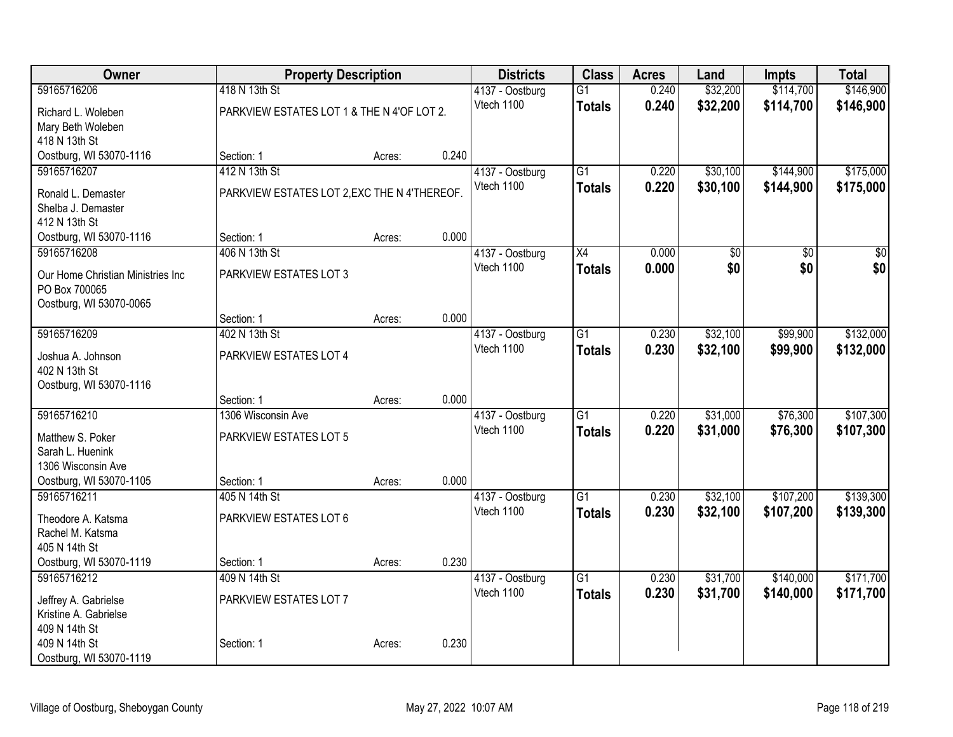| <b>Owner</b>                      | <b>Property Description</b>                  |        |       | <b>Districts</b> | <b>Class</b>    | <b>Acres</b> | Land     | <b>Impts</b> | <b>Total</b> |
|-----------------------------------|----------------------------------------------|--------|-------|------------------|-----------------|--------------|----------|--------------|--------------|
| 59165716206                       | 418 N 13th St                                |        |       | 4137 - Oostburg  | $\overline{G1}$ | 0.240        | \$32,200 | \$114,700    | \$146,900    |
| Richard L. Woleben                | PARKVIEW ESTATES LOT 1 & THE N 4'OF LOT 2.   |        |       | Vtech 1100       | <b>Totals</b>   | 0.240        | \$32,200 | \$114,700    | \$146,900    |
| Mary Beth Woleben                 |                                              |        |       |                  |                 |              |          |              |              |
| 418 N 13th St                     |                                              |        |       |                  |                 |              |          |              |              |
| Oostburg, WI 53070-1116           | Section: 1                                   | Acres: | 0.240 |                  |                 |              |          |              |              |
| 59165716207                       | 412 N 13th St                                |        |       | 4137 - Oostburg  | $\overline{G1}$ | 0.220        | \$30,100 | \$144,900    | \$175,000    |
| Ronald L. Demaster                | PARKVIEW ESTATES LOT 2, EXC THE N 4'THEREOF. |        |       | Vtech 1100       | <b>Totals</b>   | 0.220        | \$30,100 | \$144,900    | \$175,000    |
| Shelba J. Demaster                |                                              |        |       |                  |                 |              |          |              |              |
| 412 N 13th St                     |                                              |        |       |                  |                 |              |          |              |              |
| Oostburg, WI 53070-1116           | Section: 1                                   | Acres: | 0.000 |                  |                 |              |          |              |              |
| 59165716208                       | 406 N 13th St                                |        |       | 4137 - Oostburg  | $\overline{X4}$ | 0.000        | \$0      | \$0          | \$0          |
| Our Home Christian Ministries Inc | PARKVIEW ESTATES LOT 3                       |        |       | Vtech 1100       | <b>Totals</b>   | 0.000        | \$0      | \$0          | \$0          |
| PO Box 700065                     |                                              |        |       |                  |                 |              |          |              |              |
| Oostburg, WI 53070-0065           |                                              |        |       |                  |                 |              |          |              |              |
|                                   | Section: 1                                   | Acres: | 0.000 |                  |                 |              |          |              |              |
| 59165716209                       | 402 N 13th St                                |        |       | 4137 - Oostburg  | $\overline{G1}$ | 0.230        | \$32,100 | \$99,900     | \$132,000    |
| Joshua A. Johnson                 | PARKVIEW ESTATES LOT 4                       |        |       | Vtech 1100       | Totals          | 0.230        | \$32,100 | \$99,900     | \$132,000    |
| 402 N 13th St                     |                                              |        |       |                  |                 |              |          |              |              |
| Oostburg, WI 53070-1116           |                                              |        |       |                  |                 |              |          |              |              |
|                                   | Section: 1                                   | Acres: | 0.000 |                  |                 |              |          |              |              |
| 59165716210                       | 1306 Wisconsin Ave                           |        |       | 4137 - Oostburg  | $\overline{G1}$ | 0.220        | \$31,000 | \$76,300     | \$107,300    |
| Matthew S. Poker                  | PARKVIEW ESTATES LOT 5                       |        |       | Vtech 1100       | <b>Totals</b>   | 0.220        | \$31,000 | \$76,300     | \$107,300    |
| Sarah L. Huenink                  |                                              |        |       |                  |                 |              |          |              |              |
| 1306 Wisconsin Ave                |                                              |        |       |                  |                 |              |          |              |              |
| Oostburg, WI 53070-1105           | Section: 1                                   | Acres: | 0.000 |                  |                 |              |          |              |              |
| 59165716211                       | 405 N 14th St                                |        |       | 4137 - Oostburg  | $\overline{G1}$ | 0.230        | \$32,100 | \$107,200    | \$139,300    |
| Theodore A. Katsma                | PARKVIEW ESTATES LOT 6                       |        |       | Vtech 1100       | Totals          | 0.230        | \$32,100 | \$107,200    | \$139,300    |
| Rachel M. Katsma                  |                                              |        |       |                  |                 |              |          |              |              |
| 405 N 14th St                     |                                              |        |       |                  |                 |              |          |              |              |
| Oostburg, WI 53070-1119           | Section: 1                                   | Acres: | 0.230 |                  |                 |              |          |              |              |
| 59165716212                       | 409 N 14th St                                |        |       | 4137 - Oostburg  | $\overline{G1}$ | 0.230        | \$31,700 | \$140,000    | \$171,700    |
| Jeffrey A. Gabrielse              | PARKVIEW ESTATES LOT 7                       |        |       | Vtech 1100       | <b>Totals</b>   | 0.230        | \$31,700 | \$140,000    | \$171,700    |
| Kristine A. Gabrielse             |                                              |        |       |                  |                 |              |          |              |              |
| 409 N 14th St                     |                                              |        |       |                  |                 |              |          |              |              |
| 409 N 14th St                     | Section: 1                                   | Acres: | 0.230 |                  |                 |              |          |              |              |
| Oostburg, WI 53070-1119           |                                              |        |       |                  |                 |              |          |              |              |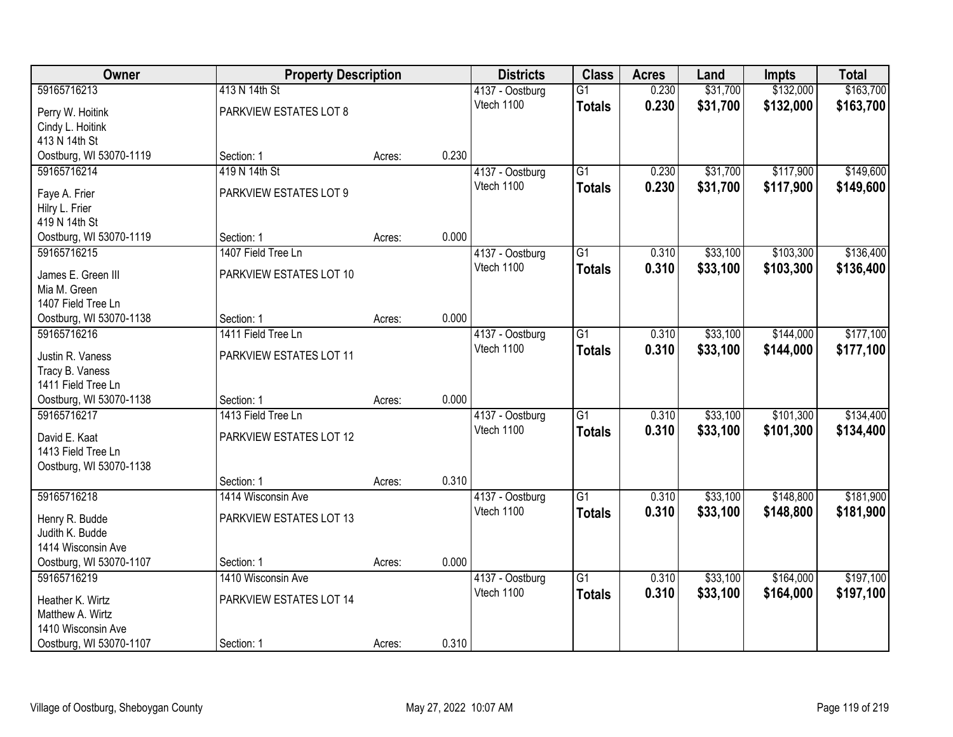| Owner                                 | <b>Property Description</b> |        |       | <b>Districts</b>              | <b>Class</b>    | <b>Acres</b> | Land     | <b>Impts</b> | <b>Total</b> |
|---------------------------------------|-----------------------------|--------|-------|-------------------------------|-----------------|--------------|----------|--------------|--------------|
| 59165716213                           | 413 N 14th St               |        |       | 4137 - Oostburg               | $\overline{G1}$ | 0.230        | \$31,700 | \$132,000    | \$163,700    |
| Perry W. Hoitink                      | PARKVIEW ESTATES LOT 8      |        |       | Vtech 1100                    | <b>Totals</b>   | 0.230        | \$31,700 | \$132,000    | \$163,700    |
| Cindy L. Hoitink                      |                             |        |       |                               |                 |              |          |              |              |
| 413 N 14th St                         |                             |        |       |                               |                 |              |          |              |              |
| Oostburg, WI 53070-1119               | Section: 1                  | Acres: | 0.230 |                               |                 |              |          |              |              |
| 59165716214                           | 419 N 14th St               |        |       | 4137 - Oostburg               | $\overline{G1}$ | 0.230        | \$31,700 | \$117,900    | \$149,600    |
| Faye A. Frier                         | PARKVIEW ESTATES LOT 9      |        |       | Vtech 1100                    | <b>Totals</b>   | 0.230        | \$31,700 | \$117,900    | \$149,600    |
| Hilry L. Frier                        |                             |        |       |                               |                 |              |          |              |              |
| 419 N 14th St                         |                             |        |       |                               |                 |              |          |              |              |
| Oostburg, WI 53070-1119               | Section: 1                  | Acres: | 0.000 |                               |                 |              |          |              |              |
| 59165716215                           | 1407 Field Tree Ln          |        |       | 4137 - Oostburg               | G1              | 0.310        | \$33,100 | \$103,300    | \$136,400    |
|                                       | PARKVIEW ESTATES LOT 10     |        |       | Vtech 1100                    | <b>Totals</b>   | 0.310        | \$33,100 | \$103,300    | \$136,400    |
| James E. Green III<br>Mia M. Green    |                             |        |       |                               |                 |              |          |              |              |
| 1407 Field Tree Ln                    |                             |        |       |                               |                 |              |          |              |              |
| Oostburg, WI 53070-1138               | Section: 1                  | Acres: | 0.000 |                               |                 |              |          |              |              |
| 59165716216                           | 1411 Field Tree Ln          |        |       | 4137 - Oostburg               | G1              | 0.310        | \$33,100 | \$144,000    | \$177,100    |
|                                       |                             |        |       | Vtech 1100                    | <b>Totals</b>   | 0.310        | \$33,100 | \$144,000    | \$177,100    |
| Justin R. Vaness                      | PARKVIEW ESTATES LOT 11     |        |       |                               |                 |              |          |              |              |
| Tracy B. Vaness<br>1411 Field Tree Ln |                             |        |       |                               |                 |              |          |              |              |
| Oostburg, WI 53070-1138               | Section: 1                  | Acres: | 0.000 |                               |                 |              |          |              |              |
| 59165716217                           | 1413 Field Tree Ln          |        |       | 4137 - Oostburg               | $\overline{G1}$ | 0.310        | \$33,100 | \$101,300    | \$134,400    |
|                                       |                             |        |       | Vtech 1100                    | <b>Totals</b>   | 0.310        | \$33,100 | \$101,300    | \$134,400    |
| David E. Kaat                         | PARKVIEW ESTATES LOT 12     |        |       |                               |                 |              |          |              |              |
| 1413 Field Tree Ln                    |                             |        |       |                               |                 |              |          |              |              |
| Oostburg, WI 53070-1138               | Section: 1                  |        | 0.310 |                               |                 |              |          |              |              |
| 59165716218                           | 1414 Wisconsin Ave          | Acres: |       | 4137 - Oostburg               | $\overline{G1}$ | 0.310        | \$33,100 | \$148,800    | \$181,900    |
|                                       |                             |        |       | Vtech 1100                    | <b>Totals</b>   | 0.310        | \$33,100 | \$148,800    | \$181,900    |
| Henry R. Budde                        | PARKVIEW ESTATES LOT 13     |        |       |                               |                 |              |          |              |              |
| Judith K. Budde                       |                             |        |       |                               |                 |              |          |              |              |
| 1414 Wisconsin Ave                    |                             |        |       |                               |                 |              |          |              |              |
| Oostburg, WI 53070-1107               | Section: 1                  | Acres: | 0.000 |                               |                 |              |          |              |              |
| 59165716219                           | 1410 Wisconsin Ave          |        |       | 4137 - Oostburg<br>Vtech 1100 | $\overline{G1}$ | 0.310        | \$33,100 | \$164,000    | \$197,100    |
| Heather K. Wirtz                      | PARKVIEW ESTATES LOT 14     |        |       |                               | <b>Totals</b>   | 0.310        | \$33,100 | \$164,000    | \$197,100    |
| Matthew A. Wirtz                      |                             |        |       |                               |                 |              |          |              |              |
| 1410 Wisconsin Ave                    |                             |        |       |                               |                 |              |          |              |              |
| Oostburg, WI 53070-1107               | Section: 1                  | Acres: | 0.310 |                               |                 |              |          |              |              |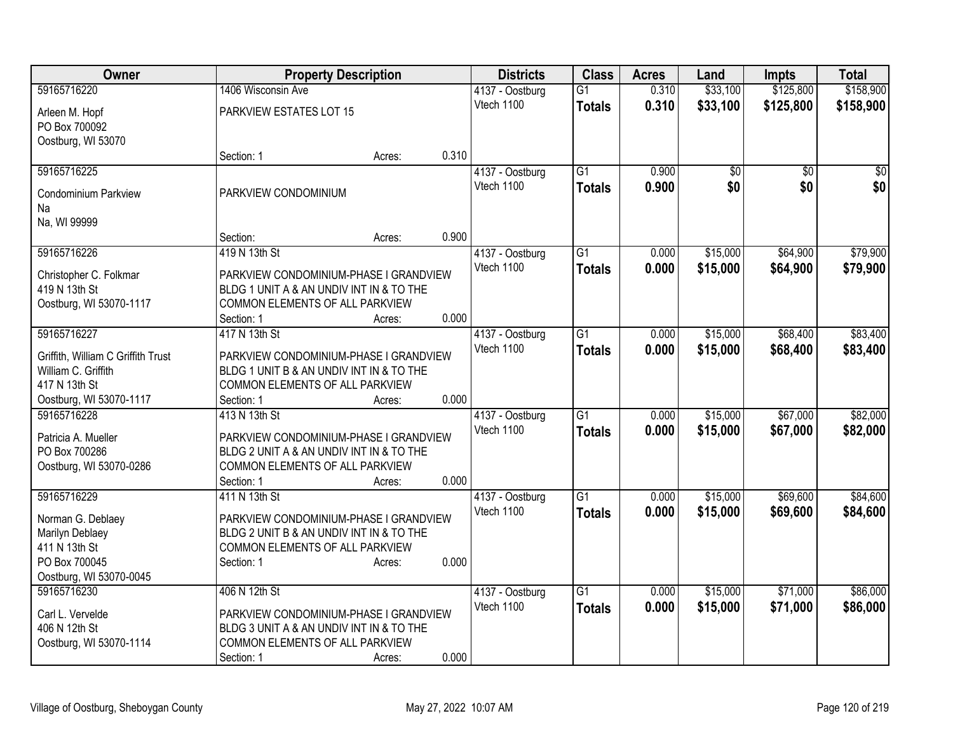| Owner                                |                                                                                    | <b>Property Description</b> |       | <b>Districts</b> | <b>Class</b>    | <b>Acres</b> | Land     | <b>Impts</b> | <b>Total</b> |
|--------------------------------------|------------------------------------------------------------------------------------|-----------------------------|-------|------------------|-----------------|--------------|----------|--------------|--------------|
| 59165716220                          | 1406 Wisconsin Ave                                                                 |                             |       | 4137 - Oostburg  | $\overline{G1}$ | 0.310        | \$33,100 | \$125,800    | \$158,900    |
| Arleen M. Hopf                       | PARKVIEW ESTATES LOT 15                                                            |                             |       | Vtech 1100       | <b>Totals</b>   | 0.310        | \$33,100 | \$125,800    | \$158,900    |
| PO Box 700092                        |                                                                                    |                             |       |                  |                 |              |          |              |              |
| Oostburg, WI 53070                   |                                                                                    |                             |       |                  |                 |              |          |              |              |
|                                      | Section: 1                                                                         | Acres:                      | 0.310 |                  |                 |              |          |              |              |
| 59165716225                          |                                                                                    |                             |       | 4137 - Oostburg  | $\overline{G1}$ | 0.900        | \$0      | \$0          | \$0          |
| <b>Condominium Parkview</b>          | PARKVIEW CONDOMINIUM                                                               |                             |       | Vtech 1100       | <b>Totals</b>   | 0.900        | \$0      | \$0          | \$0          |
| Na                                   |                                                                                    |                             |       |                  |                 |              |          |              |              |
| Na, WI 99999                         |                                                                                    |                             |       |                  |                 |              |          |              |              |
|                                      | Section:                                                                           | Acres:                      | 0.900 |                  |                 |              |          |              |              |
| 59165716226                          | 419 N 13th St                                                                      |                             |       | 4137 - Oostburg  | G1              | 0.000        | \$15,000 | \$64,900     | \$79,900     |
| Christopher C. Folkmar               | PARKVIEW CONDOMINIUM-PHASE I GRANDVIEW                                             |                             |       | Vtech 1100       | <b>Totals</b>   | 0.000        | \$15,000 | \$64,900     | \$79,900     |
| 419 N 13th St                        | BLDG 1 UNIT A & AN UNDIV INT IN & TO THE                                           |                             |       |                  |                 |              |          |              |              |
| Oostburg, WI 53070-1117              | COMMON ELEMENTS OF ALL PARKVIEW                                                    |                             |       |                  |                 |              |          |              |              |
|                                      | Section: 1                                                                         | Acres:                      | 0.000 |                  |                 |              |          |              |              |
| 59165716227                          | 417 N 13th St                                                                      |                             |       | 4137 - Oostburg  | $\overline{G1}$ | 0.000        | \$15,000 | \$68,400     | \$83,400     |
| Griffith, William C Griffith Trust   | PARKVIEW CONDOMINIUM-PHASE I GRANDVIEW                                             |                             |       | Vtech 1100       | <b>Totals</b>   | 0.000        | \$15,000 | \$68,400     | \$83,400     |
| William C. Griffith                  | BLDG 1 UNIT B & AN UNDIV INT IN & TO THE                                           |                             |       |                  |                 |              |          |              |              |
| 417 N 13th St                        | COMMON ELEMENTS OF ALL PARKVIEW                                                    |                             |       |                  |                 |              |          |              |              |
| Oostburg, WI 53070-1117              | Section: 1                                                                         | Acres:                      | 0.000 |                  |                 |              |          |              |              |
| 59165716228                          | 413 N 13th St                                                                      |                             |       | 4137 - Oostburg  | $\overline{G1}$ | 0.000        | \$15,000 | \$67,000     | \$82,000     |
|                                      |                                                                                    |                             |       | Vtech 1100       | <b>Totals</b>   | 0.000        | \$15,000 | \$67,000     | \$82,000     |
| Patricia A. Mueller<br>PO Box 700286 | PARKVIEW CONDOMINIUM-PHASE I GRANDVIEW<br>BLDG 2 UNIT A & AN UNDIV INT IN & TO THE |                             |       |                  |                 |              |          |              |              |
| Oostburg, WI 53070-0286              | COMMON ELEMENTS OF ALL PARKVIEW                                                    |                             |       |                  |                 |              |          |              |              |
|                                      | Section: 1                                                                         | Acres:                      | 0.000 |                  |                 |              |          |              |              |
| 59165716229                          | 411 N 13th St                                                                      |                             |       | 4137 - Oostburg  | $\overline{G1}$ | 0.000        | \$15,000 | \$69,600     | \$84,600     |
|                                      |                                                                                    |                             |       | Vtech 1100       | <b>Totals</b>   | 0.000        | \$15,000 | \$69,600     | \$84,600     |
| Norman G. Deblaey<br>Marilyn Deblaey | PARKVIEW CONDOMINIUM-PHASE I GRANDVIEW<br>BLDG 2 UNIT B & AN UNDIV INT IN & TO THE |                             |       |                  |                 |              |          |              |              |
| 411 N 13th St                        | COMMON ELEMENTS OF ALL PARKVIEW                                                    |                             |       |                  |                 |              |          |              |              |
| PO Box 700045                        | Section: 1                                                                         | Acres:                      | 0.000 |                  |                 |              |          |              |              |
| Oostburg, WI 53070-0045              |                                                                                    |                             |       |                  |                 |              |          |              |              |
| 59165716230                          | 406 N 12th St                                                                      |                             |       | 4137 - Oostburg  | $\overline{G1}$ | 0.000        | \$15,000 | \$71,000     | \$86,000     |
| Carl L. Vervelde                     | PARKVIEW CONDOMINIUM-PHASE I GRANDVIEW                                             |                             |       | Vtech 1100       | <b>Totals</b>   | 0.000        | \$15,000 | \$71,000     | \$86,000     |
| 406 N 12th St                        | BLDG 3 UNIT A & AN UNDIV INT IN & TO THE                                           |                             |       |                  |                 |              |          |              |              |
| Oostburg, WI 53070-1114              | COMMON ELEMENTS OF ALL PARKVIEW                                                    |                             |       |                  |                 |              |          |              |              |
|                                      | Section: 1                                                                         | Acres:                      | 0.000 |                  |                 |              |          |              |              |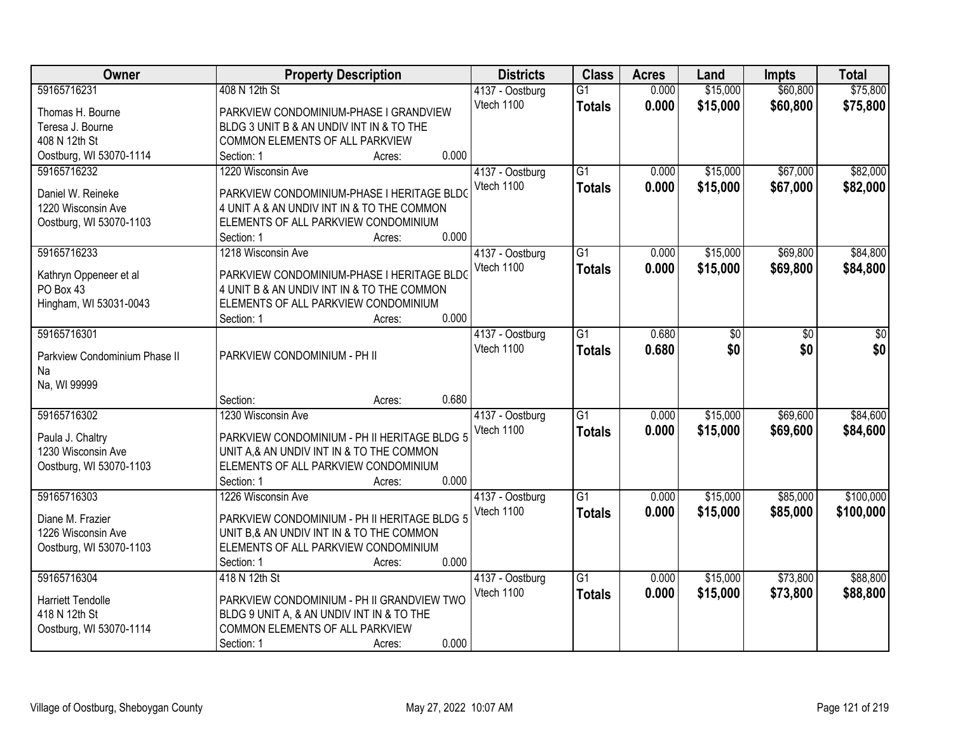| <b>Owner</b>                  | <b>Property Description</b>                  | <b>Districts</b> | <b>Class</b>    | <b>Acres</b> | Land     | <b>Impts</b> | <b>Total</b> |
|-------------------------------|----------------------------------------------|------------------|-----------------|--------------|----------|--------------|--------------|
| 59165716231                   | 408 N 12th St                                | 4137 - Oostburg  | $\overline{G1}$ | 0.000        | \$15,000 | \$60,800     | \$75,800     |
| Thomas H. Bourne              | PARKVIEW CONDOMINIUM-PHASE I GRANDVIEW       | Vtech 1100       | <b>Totals</b>   | 0.000        | \$15,000 | \$60,800     | \$75,800     |
| Teresa J. Bourne              | BLDG 3 UNIT B & AN UNDIV INT IN & TO THE     |                  |                 |              |          |              |              |
| 408 N 12th St                 | COMMON ELEMENTS OF ALL PARKVIEW              |                  |                 |              |          |              |              |
| Oostburg, WI 53070-1114       | 0.000<br>Section: 1<br>Acres:                |                  |                 |              |          |              |              |
| 59165716232                   | 1220 Wisconsin Ave                           | 4137 - Oostburg  | $\overline{G1}$ | 0.000        | \$15,000 | \$67,000     | \$82,000     |
|                               |                                              | Vtech 1100       | <b>Totals</b>   | 0.000        | \$15,000 | \$67,000     | \$82,000     |
| Daniel W. Reineke             | PARKVIEW CONDOMINIUM-PHASE I HERITAGE BLDO   |                  |                 |              |          |              |              |
| 1220 Wisconsin Ave            | 4 UNIT A & AN UNDIV INT IN & TO THE COMMON   |                  |                 |              |          |              |              |
| Oostburg, WI 53070-1103       | ELEMENTS OF ALL PARKVIEW CONDOMINIUM         |                  |                 |              |          |              |              |
|                               | 0.000<br>Section: 1<br>Acres:                |                  |                 |              |          |              |              |
| 59165716233                   | 1218 Wisconsin Ave                           | 4137 - Oostburg  | G1              | 0.000        | \$15,000 | \$69,800     | \$84,800     |
| Kathryn Oppeneer et al        | PARKVIEW CONDOMINIUM-PHASE I HERITAGE BLDC   | Vtech 1100       | <b>Totals</b>   | 0.000        | \$15,000 | \$69,800     | \$84,800     |
| PO Box 43                     | 4 UNIT B & AN UNDIV INT IN & TO THE COMMON   |                  |                 |              |          |              |              |
| Hingham, WI 53031-0043        | ELEMENTS OF ALL PARKVIEW CONDOMINIUM         |                  |                 |              |          |              |              |
|                               | 0.000<br>Section: 1<br>Acres:                |                  |                 |              |          |              |              |
| 59165716301                   |                                              | 4137 - Oostburg  | G1              | 0.680        | \$0      | \$0          | \$0          |
|                               |                                              | Vtech 1100       | <b>Totals</b>   | 0.680        | \$0      | \$0          | \$0          |
| Parkview Condominium Phase II | PARKVIEW CONDOMINIUM - PH II                 |                  |                 |              |          |              |              |
| Na                            |                                              |                  |                 |              |          |              |              |
| Na, WI 99999                  |                                              |                  |                 |              |          |              |              |
|                               | 0.680<br>Section:<br>Acres:                  |                  |                 |              |          |              |              |
| 59165716302                   | 1230 Wisconsin Ave                           | 4137 - Oostburg  | $\overline{G1}$ | 0.000        | \$15,000 | \$69,600     | \$84,600     |
| Paula J. Chaltry              | PARKVIEW CONDOMINIUM - PH II HERITAGE BLDG 5 | Vtech 1100       | <b>Totals</b>   | 0.000        | \$15,000 | \$69,600     | \$84,600     |
| 1230 Wisconsin Ave            | UNIT A, & AN UNDIV INT IN & TO THE COMMON    |                  |                 |              |          |              |              |
| Oostburg, WI 53070-1103       | ELEMENTS OF ALL PARKVIEW CONDOMINIUM         |                  |                 |              |          |              |              |
|                               | 0.000<br>Section: 1<br>Acres:                |                  |                 |              |          |              |              |
| 59165716303                   | 1226 Wisconsin Ave                           | 4137 - Oostburg  | $\overline{G1}$ | 0.000        | \$15,000 | \$85,000     | \$100,000    |
|                               |                                              | Vtech 1100       | <b>Totals</b>   | 0.000        | \$15,000 | \$85,000     | \$100,000    |
| Diane M. Frazier              | PARKVIEW CONDOMINIUM - PH II HERITAGE BLDG 5 |                  |                 |              |          |              |              |
| 1226 Wisconsin Ave            | UNIT B,& AN UNDIV INT IN & TO THE COMMON     |                  |                 |              |          |              |              |
| Oostburg, WI 53070-1103       | ELEMENTS OF ALL PARKVIEW CONDOMINIUM         |                  |                 |              |          |              |              |
|                               | 0.000<br>Section: 1<br>Acres:                |                  |                 |              |          |              |              |
| 59165716304                   | 418 N 12th St                                | 4137 - Oostburg  | $\overline{G1}$ | 0.000        | \$15,000 | \$73,800     | \$88,800     |
| <b>Harriett Tendolle</b>      | PARKVIEW CONDOMINIUM - PH II GRANDVIEW TWO   | Vtech 1100       | <b>Totals</b>   | 0.000        | \$15,000 | \$73,800     | \$88,800     |
| 418 N 12th St                 | BLDG 9 UNIT A, & AN UNDIV INT IN & TO THE    |                  |                 |              |          |              |              |
| Oostburg, WI 53070-1114       | COMMON ELEMENTS OF ALL PARKVIEW              |                  |                 |              |          |              |              |
|                               | 0.000<br>Section: 1                          |                  |                 |              |          |              |              |
|                               | Acres:                                       |                  |                 |              |          |              |              |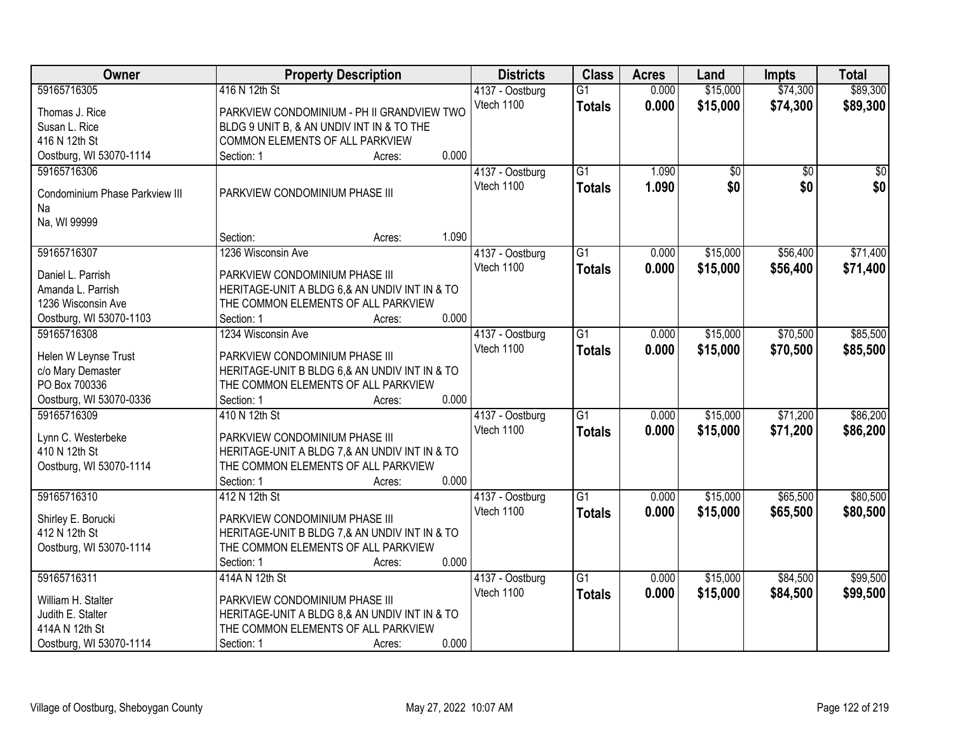| Owner                          | <b>Property Description</b>                   | <b>Districts</b>              | <b>Class</b>    | <b>Acres</b> | Land            | <b>Impts</b>    | <b>Total</b> |
|--------------------------------|-----------------------------------------------|-------------------------------|-----------------|--------------|-----------------|-----------------|--------------|
| 59165716305                    | 416 N 12th St                                 | 4137 - Oostburg               | $\overline{G1}$ | 0.000        | \$15,000        | \$74,300        | \$89,300     |
| Thomas J. Rice                 | PARKVIEW CONDOMINIUM - PH II GRANDVIEW TWO    | Vtech 1100                    | <b>Totals</b>   | 0.000        | \$15,000        | \$74,300        | \$89,300     |
| Susan L. Rice                  | BLDG 9 UNIT B, & AN UNDIV INT IN & TO THE     |                               |                 |              |                 |                 |              |
| 416 N 12th St                  | COMMON ELEMENTS OF ALL PARKVIEW               |                               |                 |              |                 |                 |              |
| Oostburg, WI 53070-1114        | 0.000<br>Section: 1<br>Acres:                 |                               |                 |              |                 |                 |              |
| 59165716306                    |                                               | 4137 - Oostburg               | $\overline{G1}$ | 1.090        | $\overline{50}$ | $\overline{50}$ | $\sqrt{50}$  |
|                                |                                               | Vtech 1100                    | <b>Totals</b>   | 1.090        | \$0             | \$0             | \$0          |
| Condominium Phase Parkview III | PARKVIEW CONDOMINIUM PHASE III                |                               |                 |              |                 |                 |              |
| Na                             |                                               |                               |                 |              |                 |                 |              |
| Na, WI 99999                   | 1.090<br>Section:                             |                               |                 |              |                 |                 |              |
| 59165716307                    | Acres:<br>1236 Wisconsin Ave                  |                               | $\overline{G1}$ | 0.000        | \$15,000        | \$56,400        | \$71,400     |
|                                |                                               | 4137 - Oostburg<br>Vtech 1100 |                 |              |                 |                 |              |
| Daniel L. Parrish              | PARKVIEW CONDOMINIUM PHASE III                |                               | <b>Totals</b>   | 0.000        | \$15,000        | \$56,400        | \$71,400     |
| Amanda L. Parrish              | HERITAGE-UNIT A BLDG 6,& AN UNDIV INT IN & TO |                               |                 |              |                 |                 |              |
| 1236 Wisconsin Ave             | THE COMMON ELEMENTS OF ALL PARKVIEW           |                               |                 |              |                 |                 |              |
| Oostburg, WI 53070-1103        | 0.000<br>Section: 1<br>Acres:                 |                               |                 |              |                 |                 |              |
| 59165716308                    | 1234 Wisconsin Ave                            | 4137 - Oostburg               | $\overline{G1}$ | 0.000        | \$15,000        | \$70,500        | \$85,500     |
| Helen W Leynse Trust           | PARKVIEW CONDOMINIUM PHASE III                | Vtech 1100                    | <b>Totals</b>   | 0.000        | \$15,000        | \$70,500        | \$85,500     |
| c/o Mary Demaster              | HERITAGE-UNIT B BLDG 6,& AN UNDIV INT IN & TO |                               |                 |              |                 |                 |              |
| PO Box 700336                  | THE COMMON ELEMENTS OF ALL PARKVIEW           |                               |                 |              |                 |                 |              |
| Oostburg, WI 53070-0336        | 0.000<br>Section: 1<br>Acres:                 |                               |                 |              |                 |                 |              |
| 59165716309                    | 410 N 12th St                                 | 4137 - Oostburg               | $\overline{G1}$ | 0.000        | \$15,000        | \$71,200        | \$86,200     |
|                                |                                               | Vtech 1100                    | Totals          | 0.000        | \$15,000        | \$71,200        | \$86,200     |
| Lynn C. Westerbeke             | PARKVIEW CONDOMINIUM PHASE III                |                               |                 |              |                 |                 |              |
| 410 N 12th St                  | HERITAGE-UNIT A BLDG 7,& AN UNDIV INT IN & TO |                               |                 |              |                 |                 |              |
| Oostburg, WI 53070-1114        | THE COMMON ELEMENTS OF ALL PARKVIEW           |                               |                 |              |                 |                 |              |
|                                | 0.000<br>Section: 1<br>Acres:                 |                               |                 |              |                 |                 |              |
| 59165716310                    | 412 N 12th St                                 | 4137 - Oostburg               | $\overline{G1}$ | 0.000        | \$15,000        | \$65,500        | \$80,500     |
| Shirley E. Borucki             | PARKVIEW CONDOMINIUM PHASE III                | Vtech 1100                    | <b>Totals</b>   | 0.000        | \$15,000        | \$65,500        | \$80,500     |
| 412 N 12th St                  | HERITAGE-UNIT B BLDG 7,& AN UNDIV INT IN & TO |                               |                 |              |                 |                 |              |
| Oostburg, WI 53070-1114        | THE COMMON ELEMENTS OF ALL PARKVIEW           |                               |                 |              |                 |                 |              |
|                                | 0.000<br>Section: 1<br>Acres:                 |                               |                 |              |                 |                 |              |
| 59165716311                    | 414A N 12th St                                | 4137 - Oostburg               | $\overline{G1}$ | 0.000        | \$15,000        | \$84,500        | \$99,500     |
| William H. Stalter             | PARKVIEW CONDOMINIUM PHASE III                | Vtech 1100                    | <b>Totals</b>   | 0.000        | \$15,000        | \$84,500        | \$99,500     |
| Judith E. Stalter              | HERITAGE-UNIT A BLDG 8,& AN UNDIV INT IN & TO |                               |                 |              |                 |                 |              |
| 414A N 12th St                 | THE COMMON ELEMENTS OF ALL PARKVIEW           |                               |                 |              |                 |                 |              |
| Oostburg, WI 53070-1114        | 0.000<br>Section: 1<br>Acres:                 |                               |                 |              |                 |                 |              |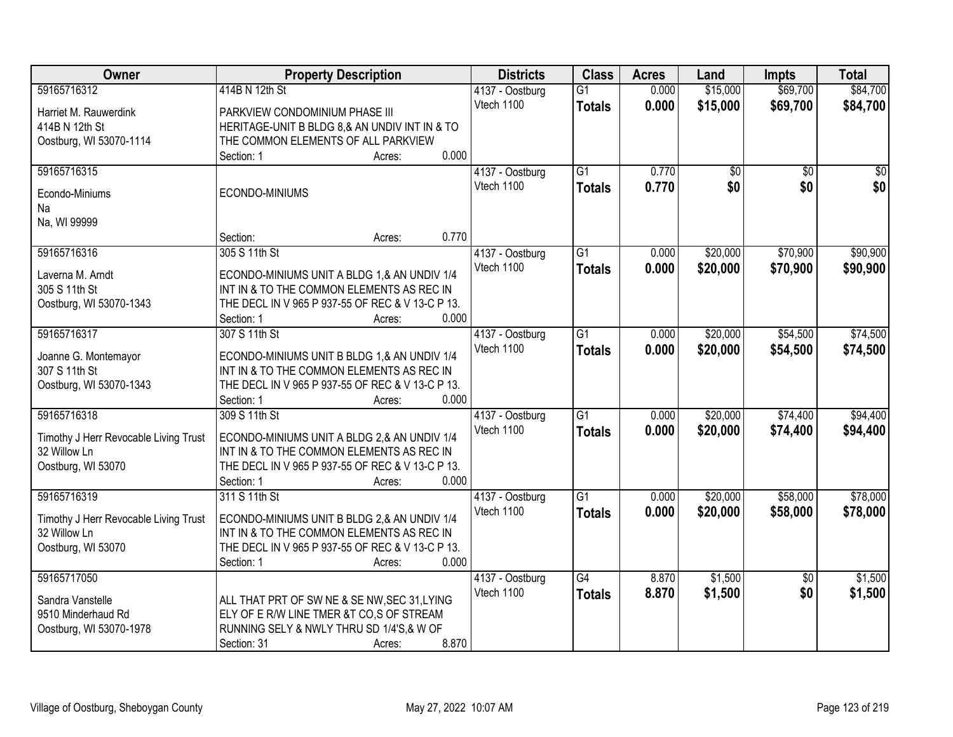| Owner                                 | <b>Property Description</b>                      |       | <b>Districts</b>              | <b>Class</b>    | <b>Acres</b> | Land            | <b>Impts</b>    | <b>Total</b>    |
|---------------------------------------|--------------------------------------------------|-------|-------------------------------|-----------------|--------------|-----------------|-----------------|-----------------|
| 59165716312                           | 414B N 12th St                                   |       | 4137 - Oostburg               | $\overline{G1}$ | 0.000        | \$15,000        | \$69,700        | \$84,700        |
| Harriet M. Rauwerdink                 | PARKVIEW CONDOMINIUM PHASE III                   |       | Vtech 1100                    | <b>Totals</b>   | 0.000        | \$15,000        | \$69,700        | \$84,700        |
| 414B N 12th St                        | HERITAGE-UNIT B BLDG 8,& AN UNDIV INT IN & TO    |       |                               |                 |              |                 |                 |                 |
| Oostburg, WI 53070-1114               | THE COMMON ELEMENTS OF ALL PARKVIEW              |       |                               |                 |              |                 |                 |                 |
|                                       | Section: 1<br>Acres:                             | 0.000 |                               |                 |              |                 |                 |                 |
| 59165716315                           |                                                  |       | 4137 - Oostburg               | $\overline{G1}$ | 0.770        | $\overline{50}$ | $\overline{30}$ | $\overline{30}$ |
|                                       |                                                  |       | Vtech 1100                    | <b>Totals</b>   | 0.770        | \$0             | \$0             | \$0             |
| Econdo-Miniums                        | ECONDO-MINIUMS                                   |       |                               |                 |              |                 |                 |                 |
| Na                                    |                                                  |       |                               |                 |              |                 |                 |                 |
| Na, WI 99999                          |                                                  |       |                               |                 |              |                 |                 |                 |
|                                       | Section:<br>Acres:                               | 0.770 |                               |                 |              |                 |                 |                 |
| 59165716316                           | 305 S 11th St                                    |       | 4137 - Oostburg               | G1              | 0.000        | \$20,000        | \$70,900        | \$90,900        |
| Laverna M. Arndt                      | ECONDO-MINIUMS UNIT A BLDG 1,& AN UNDIV 1/4      |       | Vtech 1100                    | <b>Totals</b>   | 0.000        | \$20,000        | \$70,900        | \$90,900        |
| 305 S 11th St                         | INT IN & TO THE COMMON ELEMENTS AS REC IN        |       |                               |                 |              |                 |                 |                 |
| Oostburg, WI 53070-1343               | THE DECL IN V 965 P 937-55 OF REC & V 13-C P 13. |       |                               |                 |              |                 |                 |                 |
|                                       | Section: 1<br>Acres:                             | 0.000 |                               |                 |              |                 |                 |                 |
| 59165716317                           | 307 S 11th St                                    |       | 4137 - Oostburg               | $\overline{G1}$ | 0.000        | \$20,000        | \$54,500        | \$74,500        |
|                                       |                                                  |       | Vtech 1100                    | <b>Totals</b>   | 0.000        | \$20,000        | \$54,500        | \$74,500        |
| Joanne G. Montemayor                  | ECONDO-MINIUMS UNIT B BLDG 1,& AN UNDIV 1/4      |       |                               |                 |              |                 |                 |                 |
| 307 S 11th St                         | INT IN & TO THE COMMON ELEMENTS AS REC IN        |       |                               |                 |              |                 |                 |                 |
| Oostburg, WI 53070-1343               | THE DECL IN V 965 P 937-55 OF REC & V 13-C P 13. | 0.000 |                               |                 |              |                 |                 |                 |
| 59165716318                           | Section: 1<br>Acres:<br>309 S 11th St            |       |                               | $\overline{G1}$ | 0.000        | \$20,000        | \$74,400        | \$94,400        |
|                                       |                                                  |       | 4137 - Oostburg<br>Vtech 1100 |                 |              |                 |                 |                 |
| Timothy J Herr Revocable Living Trust | ECONDO-MINIUMS UNIT A BLDG 2,& AN UNDIV 1/4      |       |                               | <b>Totals</b>   | 0.000        | \$20,000        | \$74,400        | \$94,400        |
| 32 Willow Ln                          | INT IN & TO THE COMMON ELEMENTS AS REC IN        |       |                               |                 |              |                 |                 |                 |
| Oostburg, WI 53070                    | THE DECL IN V 965 P 937-55 OF REC & V 13-C P 13. |       |                               |                 |              |                 |                 |                 |
|                                       | Section: 1<br>Acres:                             | 0.000 |                               |                 |              |                 |                 |                 |
| 59165716319                           | 311 S 11th St                                    |       | 4137 - Oostburg               | $\overline{G1}$ | 0.000        | \$20,000        | \$58,000        | \$78,000        |
| Timothy J Herr Revocable Living Trust | ECONDO-MINIUMS UNIT B BLDG 2,& AN UNDIV 1/4      |       | Vtech 1100                    | <b>Totals</b>   | 0.000        | \$20,000        | \$58,000        | \$78,000        |
| 32 Willow Ln                          | INT IN & TO THE COMMON ELEMENTS AS REC IN        |       |                               |                 |              |                 |                 |                 |
| Oostburg, WI 53070                    | THE DECL IN V 965 P 937-55 OF REC & V 13-C P 13. |       |                               |                 |              |                 |                 |                 |
|                                       | Section: 1<br>Acres:                             | 0.000 |                               |                 |              |                 |                 |                 |
| 59165717050                           |                                                  |       | 4137 - Oostburg               | $\overline{G4}$ | 8.870        | \$1,500         | $\overline{50}$ | \$1,500         |
|                                       |                                                  |       | Vtech 1100                    |                 | 8.870        | \$1,500         | \$0             | \$1,500         |
| Sandra Vanstelle                      | ALL THAT PRT OF SW NE & SE NW, SEC 31, LYING     |       |                               | <b>Totals</b>   |              |                 |                 |                 |
| 9510 Minderhaud Rd                    | ELY OF E R/W LINE TMER &T CO,S OF STREAM         |       |                               |                 |              |                 |                 |                 |
| Oostburg, WI 53070-1978               | RUNNING SELY & NWLY THRU SD 1/4'S,& W OF         |       |                               |                 |              |                 |                 |                 |
|                                       | Section: 31<br>Acres:                            | 8.870 |                               |                 |              |                 |                 |                 |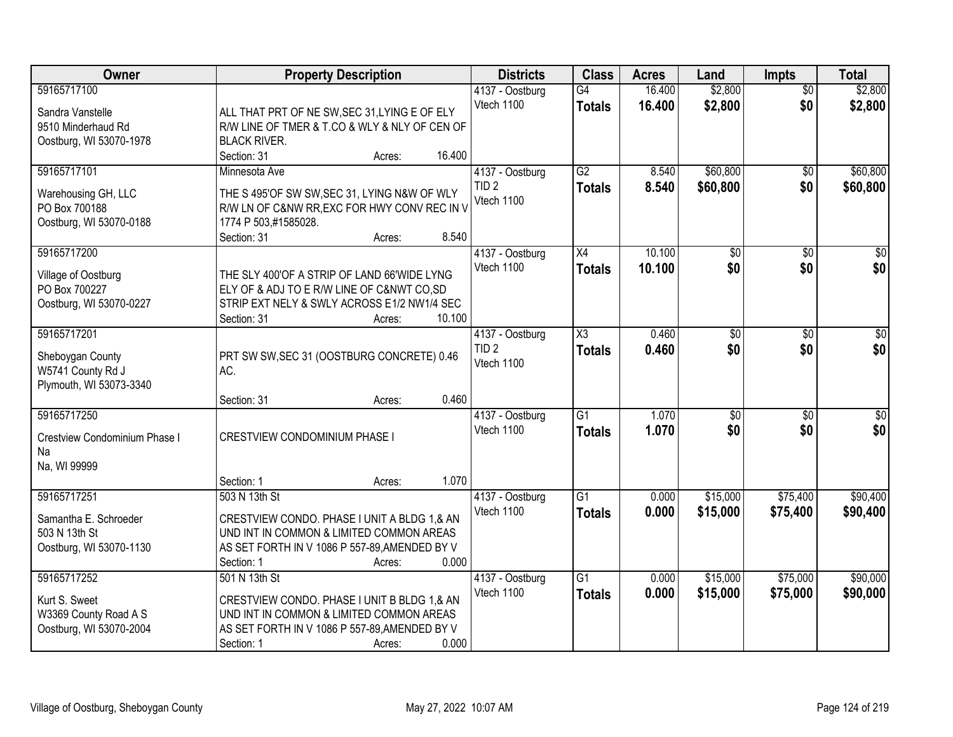| Owner                                                                            | <b>Property Description</b>                                                                                                                                                                | <b>Districts</b>                                  | <b>Class</b>                            | <b>Acres</b>     | Land                   | <b>Impts</b>           | <b>Total</b>           |
|----------------------------------------------------------------------------------|--------------------------------------------------------------------------------------------------------------------------------------------------------------------------------------------|---------------------------------------------------|-----------------------------------------|------------------|------------------------|------------------------|------------------------|
| 59165717100<br>Sandra Vanstelle<br>9510 Minderhaud Rd                            | ALL THAT PRT OF NE SW, SEC 31, LYING E OF ELY<br>R/W LINE OF TMER & T.CO & WLY & NLY OF CEN OF                                                                                             | 4137 - Oostburg<br>Vtech 1100                     | G4<br><b>Totals</b>                     | 16.400<br>16.400 | \$2,800<br>\$2,800     | $\overline{50}$<br>\$0 | \$2,800<br>\$2,800     |
| Oostburg, WI 53070-1978                                                          | <b>BLACK RIVER.</b><br>16.400<br>Section: 31<br>Acres:                                                                                                                                     |                                                   |                                         |                  |                        |                        |                        |
| 59165717101<br>Warehousing GH, LLC<br>PO Box 700188<br>Oostburg, WI 53070-0188   | Minnesota Ave<br>THE S 495'OF SW SW, SEC 31, LYING N&W OF WLY<br>R/W LN OF C&NW RR, EXC FOR HWY CONV REC IN V<br>1774 P 503,#1585028.<br>8.540<br>Section: 31<br>Acres:                    | 4137 - Oostburg<br>TID <sub>2</sub><br>Vtech 1100 | G2<br><b>Totals</b>                     | 8.540<br>8.540   | \$60,800<br>\$60,800   | \$0<br>\$0             | \$60,800<br>\$60,800   |
| 59165717200<br>Village of Oostburg<br>PO Box 700227<br>Oostburg, WI 53070-0227   | THE SLY 400'OF A STRIP OF LAND 66'WIDE LYNG<br>ELY OF & ADJ TO E R/W LINE OF C&NWT CO, SD<br>STRIP EXT NELY & SWLY ACROSS E1/2 NW1/4 SEC<br>10.100<br>Section: 31<br>Acres:                | 4137 - Oostburg<br>Vtech 1100                     | X4<br><b>Totals</b>                     | 10.100<br>10.100 | $\overline{50}$<br>\$0 | \$0<br>\$0             | $\overline{30}$<br>\$0 |
| 59165717201<br>Sheboygan County<br>W5741 County Rd J<br>Plymouth, WI 53073-3340  | PRT SW SW, SEC 31 (OOSTBURG CONCRETE) 0.46<br>AC.<br>0.460<br>Section: 31<br>Acres:                                                                                                        | 4137 - Oostburg<br>TID <sub>2</sub><br>Vtech 1100 | $\overline{\text{X3}}$<br><b>Totals</b> | 0.460<br>0.460   | $\overline{50}$<br>\$0 | \$0<br>\$0             | $\sqrt{50}$<br>\$0     |
| 59165717250<br>Crestview Condominium Phase I<br>Na<br>Na, WI 99999               | <b>CRESTVIEW CONDOMINIUM PHASE I</b><br>1.070<br>Section: 1<br>Acres:                                                                                                                      | 4137 - Oostburg<br>Vtech 1100                     | $\overline{G1}$<br>Totals               | 1.070<br>1.070   | $\overline{50}$<br>\$0 | $\overline{30}$<br>\$0 | $\sqrt{50}$<br>\$0     |
| 59165717251<br>Samantha E. Schroeder<br>503 N 13th St<br>Oostburg, WI 53070-1130 | 503 N 13th St<br>CRESTVIEW CONDO. PHASE I UNIT A BLDG 1.& AN<br>UND INT IN COMMON & LIMITED COMMON AREAS<br>AS SET FORTH IN V 1086 P 557-89, AMENDED BY V<br>0.000<br>Section: 1<br>Acres: | 4137 - Oostburg<br>Vtech 1100                     | G1<br><b>Totals</b>                     | 0.000<br>0.000   | \$15,000<br>\$15,000   | \$75,400<br>\$75,400   | \$90,400<br>\$90,400   |
| 59165717252<br>Kurt S. Sweet<br>W3369 County Road A S<br>Oostburg, WI 53070-2004 | 501 N 13th St<br>CRESTVIEW CONDO. PHASE I UNIT B BLDG 1.& AN<br>UND INT IN COMMON & LIMITED COMMON AREAS<br>AS SET FORTH IN V 1086 P 557-89, AMENDED BY V<br>0.000<br>Section: 1<br>Acres: | 4137 - Oostburg<br>Vtech 1100                     | $\overline{G1}$<br><b>Totals</b>        | 0.000<br>0.000   | \$15,000<br>\$15,000   | \$75,000<br>\$75,000   | \$90,000<br>\$90,000   |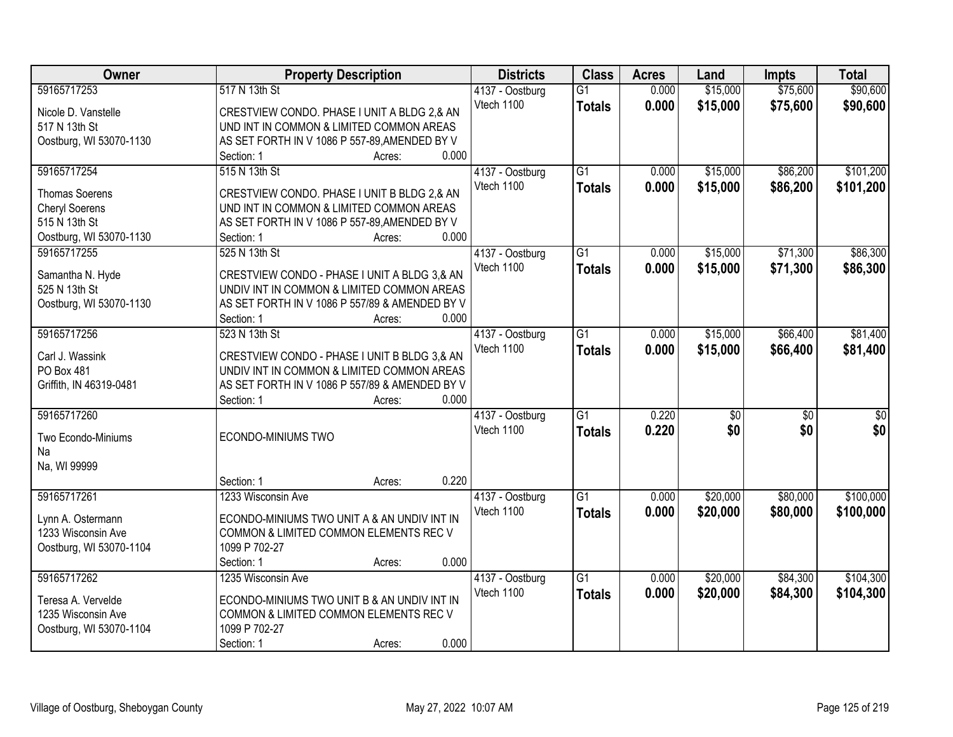| Owner                   | <b>Property Description</b>                    | <b>Districts</b> | <b>Class</b>    | <b>Acres</b> | Land            | <b>Impts</b>    | <b>Total</b> |
|-------------------------|------------------------------------------------|------------------|-----------------|--------------|-----------------|-----------------|--------------|
| 59165717253             | 517 N 13th St                                  | 4137 - Oostburg  | $\overline{G1}$ | 0.000        | \$15,000        | \$75,600        | \$90,600     |
| Nicole D. Vanstelle     | CRESTVIEW CONDO. PHASE I UNIT A BLDG 2,& AN    | Vtech 1100       | <b>Totals</b>   | 0.000        | \$15,000        | \$75,600        | \$90,600     |
| 517 N 13th St           | UND INT IN COMMON & LIMITED COMMON AREAS       |                  |                 |              |                 |                 |              |
| Oostburg, WI 53070-1130 | AS SET FORTH IN V 1086 P 557-89, AMENDED BY V  |                  |                 |              |                 |                 |              |
|                         | 0.000<br>Section: 1<br>Acres:                  |                  |                 |              |                 |                 |              |
| 59165717254             | 515 N 13th St                                  | 4137 - Oostburg  | $\overline{G1}$ | 0.000        | \$15,000        | \$86,200        | \$101,200    |
|                         |                                                | Vtech 1100       | <b>Totals</b>   | 0.000        | \$15,000        | \$86,200        | \$101,200    |
| <b>Thomas Soerens</b>   | CRESTVIEW CONDO. PHASE I UNIT B BLDG 2,& AN    |                  |                 |              |                 |                 |              |
| <b>Cheryl Soerens</b>   | UND INT IN COMMON & LIMITED COMMON AREAS       |                  |                 |              |                 |                 |              |
| 515 N 13th St           | AS SET FORTH IN V 1086 P 557-89, AMENDED BY V  |                  |                 |              |                 |                 |              |
| Oostburg, WI 53070-1130 | 0.000<br>Section: 1<br>Acres:                  |                  |                 |              |                 |                 |              |
| 59165717255             | 525 N 13th St                                  | 4137 - Oostburg  | G1              | 0.000        | \$15,000        | \$71,300        | \$86,300     |
| Samantha N. Hyde        | CRESTVIEW CONDO - PHASE I UNIT A BLDG 3,& AN   | Vtech 1100       | <b>Totals</b>   | 0.000        | \$15,000        | \$71,300        | \$86,300     |
| 525 N 13th St           | UNDIV INT IN COMMON & LIMITED COMMON AREAS     |                  |                 |              |                 |                 |              |
| Oostburg, WI 53070-1130 | AS SET FORTH IN V 1086 P 557/89 & AMENDED BY V |                  |                 |              |                 |                 |              |
|                         | 0.000<br>Section: 1<br>Acres:                  |                  |                 |              |                 |                 |              |
| 59165717256             | 523 N 13th St                                  | 4137 - Oostburg  | G1              | 0.000        | \$15,000        | \$66,400        | \$81,400     |
|                         |                                                | Vtech 1100       |                 | 0.000        |                 | \$66,400        |              |
| Carl J. Wassink         | CRESTVIEW CONDO - PHASE I UNIT B BLDG 3,& AN   |                  | <b>Totals</b>   |              | \$15,000        |                 | \$81,400     |
| PO Box 481              | UNDIV INT IN COMMON & LIMITED COMMON AREAS     |                  |                 |              |                 |                 |              |
| Griffith, IN 46319-0481 | AS SET FORTH IN V 1086 P 557/89 & AMENDED BY V |                  |                 |              |                 |                 |              |
|                         | 0.000<br>Section: 1<br>Acres:                  |                  |                 |              |                 |                 |              |
| 59165717260             |                                                | 4137 - Oostburg  | $\overline{G1}$ | 0.220        | $\overline{50}$ | $\overline{50}$ | \$0          |
| Two Econdo-Miniums      | ECONDO-MINIUMS TWO                             | Vtech 1100       | <b>Totals</b>   | 0.220        | \$0             | \$0             | \$0          |
| Na                      |                                                |                  |                 |              |                 |                 |              |
| Na, WI 99999            |                                                |                  |                 |              |                 |                 |              |
|                         | 0.220<br>Section: 1<br>Acres:                  |                  |                 |              |                 |                 |              |
| 59165717261             | 1233 Wisconsin Ave                             | 4137 - Oostburg  | $\overline{G1}$ | 0.000        | \$20,000        | \$80,000        | \$100,000    |
|                         |                                                | Vtech 1100       |                 | 0.000        |                 |                 |              |
| Lynn A. Ostermann       | ECONDO-MINIUMS TWO UNIT A & AN UNDIV INT IN    |                  | <b>Totals</b>   |              | \$20,000        | \$80,000        | \$100,000    |
| 1233 Wisconsin Ave      | COMMON & LIMITED COMMON ELEMENTS REC V         |                  |                 |              |                 |                 |              |
| Oostburg, WI 53070-1104 | 1099 P 702-27                                  |                  |                 |              |                 |                 |              |
|                         | 0.000<br>Section: 1<br>Acres:                  |                  |                 |              |                 |                 |              |
| 59165717262             | 1235 Wisconsin Ave                             | 4137 - Oostburg  | $\overline{G1}$ | 0.000        | \$20,000        | \$84,300        | \$104,300    |
| Teresa A. Vervelde      | ECONDO-MINIUMS TWO UNIT B & AN UNDIV INT IN    | Vtech 1100       | <b>Totals</b>   | 0.000        | \$20,000        | \$84,300        | \$104,300    |
| 1235 Wisconsin Ave      | COMMON & LIMITED COMMON ELEMENTS REC V         |                  |                 |              |                 |                 |              |
| Oostburg, WI 53070-1104 | 1099 P 702-27                                  |                  |                 |              |                 |                 |              |
|                         | 0.000<br>Section: 1                            |                  |                 |              |                 |                 |              |
|                         | Acres:                                         |                  |                 |              |                 |                 |              |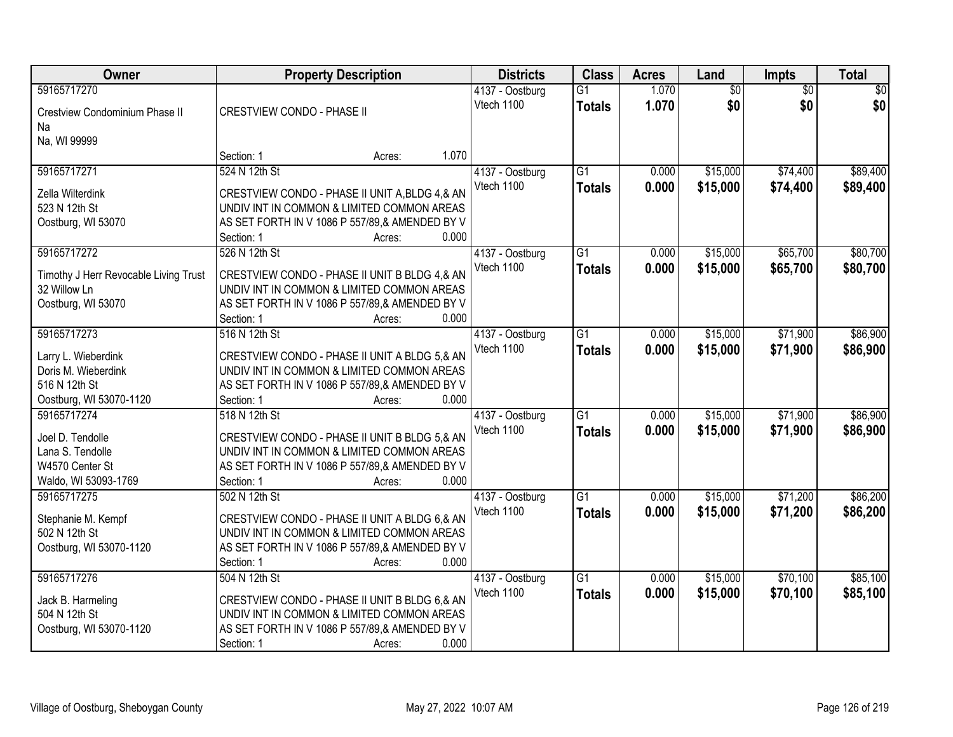| <b>Owner</b>                                          | <b>Property Description</b>                                                                 | <b>Districts</b> | <b>Class</b>    | <b>Acres</b> | Land            | Impts           | <b>Total</b>    |
|-------------------------------------------------------|---------------------------------------------------------------------------------------------|------------------|-----------------|--------------|-----------------|-----------------|-----------------|
| 59165717270                                           |                                                                                             | 4137 - Oostburg  | $\overline{G1}$ | 1.070        | $\overline{50}$ | $\overline{30}$ | $\overline{50}$ |
| Crestview Condominium Phase II                        | CRESTVIEW CONDO - PHASE II                                                                  | Vtech 1100       | <b>Totals</b>   | 1.070        | \$0             | \$0             | \$0             |
| Na                                                    |                                                                                             |                  |                 |              |                 |                 |                 |
| Na, WI 99999                                          |                                                                                             |                  |                 |              |                 |                 |                 |
|                                                       | 1.070<br>Section: 1<br>Acres:                                                               |                  |                 |              |                 |                 |                 |
| 59165717271                                           | 524 N 12th St                                                                               | 4137 - Oostburg  | $\overline{G1}$ | 0.000        | \$15,000        | \$74,400        | \$89,400        |
| Zella Wilterdink                                      | CRESTVIEW CONDO - PHASE II UNIT A, BLDG 4, & AN                                             | Vtech 1100       | <b>Totals</b>   | 0.000        | \$15,000        | \$74,400        | \$89,400        |
| 523 N 12th St                                         | UNDIV INT IN COMMON & LIMITED COMMON AREAS                                                  |                  |                 |              |                 |                 |                 |
| Oostburg, WI 53070                                    | AS SET FORTH IN V 1086 P 557/89,& AMENDED BY V                                              |                  |                 |              |                 |                 |                 |
|                                                       | 0.000<br>Section: 1<br>Acres:                                                               |                  |                 |              |                 |                 |                 |
| 59165717272                                           | 526 N 12th St                                                                               | 4137 - Oostburg  | G1              | 0.000        | \$15,000        | \$65,700        | \$80,700        |
|                                                       |                                                                                             | Vtech 1100       | <b>Totals</b>   | 0.000        | \$15,000        | \$65,700        | \$80,700        |
| Timothy J Herr Revocable Living Trust<br>32 Willow Ln | CRESTVIEW CONDO - PHASE II UNIT B BLDG 4.& AN<br>UNDIV INT IN COMMON & LIMITED COMMON AREAS |                  |                 |              |                 |                 |                 |
| Oostburg, WI 53070                                    | AS SET FORTH IN V 1086 P 557/89,& AMENDED BY V                                              |                  |                 |              |                 |                 |                 |
|                                                       | 0.000<br>Section: 1<br>Acres:                                                               |                  |                 |              |                 |                 |                 |
| 59165717273                                           | 516 N 12th St                                                                               | 4137 - Oostburg  | G1              | 0.000        | \$15,000        | \$71,900        | \$86,900        |
|                                                       |                                                                                             | Vtech 1100       | <b>Totals</b>   | 0.000        | \$15,000        | \$71,900        | \$86,900        |
| Larry L. Wieberdink                                   | CRESTVIEW CONDO - PHASE II UNIT A BLDG 5,& AN                                               |                  |                 |              |                 |                 |                 |
| Doris M. Wieberdink                                   | UNDIV INT IN COMMON & LIMITED COMMON AREAS                                                  |                  |                 |              |                 |                 |                 |
| 516 N 12th St<br>Oostburg, WI 53070-1120              | AS SET FORTH IN V 1086 P 557/89,& AMENDED BY V<br>0.000<br>Section: 1                       |                  |                 |              |                 |                 |                 |
| 59165717274                                           | Acres:<br>518 N 12th St                                                                     | 4137 - Oostburg  | $\overline{G1}$ | 0.000        | \$15,000        | \$71,900        | \$86,900        |
|                                                       |                                                                                             | Vtech 1100       |                 | 0.000        | \$15,000        | \$71,900        | \$86,900        |
| Joel D. Tendolle                                      | CRESTVIEW CONDO - PHASE II UNIT B BLDG 5,& AN                                               |                  | <b>Totals</b>   |              |                 |                 |                 |
| Lana S. Tendolle                                      | UNDIV INT IN COMMON & LIMITED COMMON AREAS                                                  |                  |                 |              |                 |                 |                 |
| W4570 Center St                                       | AS SET FORTH IN V 1086 P 557/89,& AMENDED BY V                                              |                  |                 |              |                 |                 |                 |
| Waldo, WI 53093-1769                                  | 0.000<br>Section: 1<br>Acres:                                                               |                  |                 |              |                 |                 |                 |
| 59165717275                                           | 502 N 12th St                                                                               | 4137 - Oostburg  | $\overline{G1}$ | 0.000        | \$15,000        | \$71,200        | \$86,200        |
| Stephanie M. Kempf                                    | CRESTVIEW CONDO - PHASE II UNIT A BLDG 6,& AN                                               | Vtech 1100       | <b>Totals</b>   | 0.000        | \$15,000        | \$71,200        | \$86,200        |
| 502 N 12th St                                         | UNDIV INT IN COMMON & LIMITED COMMON AREAS                                                  |                  |                 |              |                 |                 |                 |
| Oostburg, WI 53070-1120                               | AS SET FORTH IN V 1086 P 557/89,& AMENDED BY V                                              |                  |                 |              |                 |                 |                 |
|                                                       | 0.000<br>Section: 1<br>Acres:                                                               |                  |                 |              |                 |                 |                 |
| 59165717276                                           | 504 N 12th St                                                                               | 4137 - Oostburg  | $\overline{G1}$ | 0.000        | \$15,000        | \$70,100        | \$85,100        |
| Jack B. Harmeling                                     | CRESTVIEW CONDO - PHASE II UNIT B BLDG 6.& AN                                               | Vtech 1100       | <b>Totals</b>   | 0.000        | \$15,000        | \$70,100        | \$85,100        |
| 504 N 12th St                                         | UNDIV INT IN COMMON & LIMITED COMMON AREAS                                                  |                  |                 |              |                 |                 |                 |
| Oostburg, WI 53070-1120                               | AS SET FORTH IN V 1086 P 557/89,& AMENDED BY V                                              |                  |                 |              |                 |                 |                 |
|                                                       | 0.000<br>Section: 1<br>Acres:                                                               |                  |                 |              |                 |                 |                 |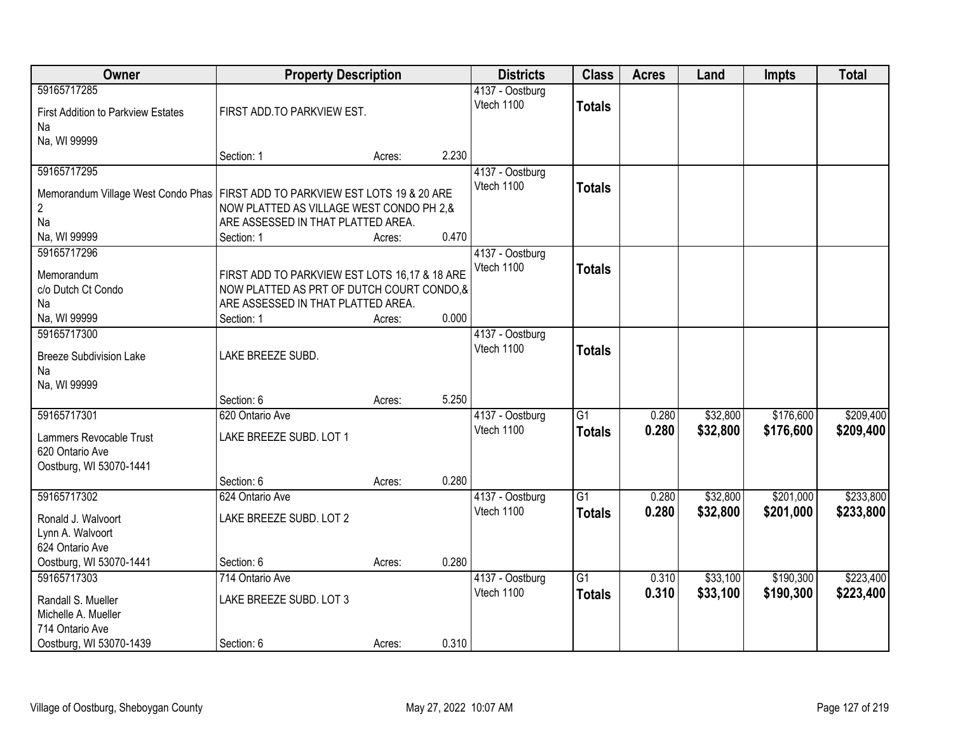| Owner                                                                           |                                               | <b>Property Description</b> |       |                               | <b>Class</b>    | <b>Acres</b>   | Land                 | <b>Impts</b>           | <b>Total</b>           |
|---------------------------------------------------------------------------------|-----------------------------------------------|-----------------------------|-------|-------------------------------|-----------------|----------------|----------------------|------------------------|------------------------|
| 59165717285                                                                     |                                               |                             |       | 4137 - Oostburg               |                 |                |                      |                        |                        |
| <b>First Addition to Parkview Estates</b>                                       | FIRST ADD.TO PARKVIEW EST.                    |                             |       | Vtech 1100                    | <b>Totals</b>   |                |                      |                        |                        |
| Na                                                                              |                                               |                             |       |                               |                 |                |                      |                        |                        |
| Na, WI 99999                                                                    |                                               |                             |       |                               |                 |                |                      |                        |                        |
|                                                                                 | Section: 1                                    | Acres:                      | 2.230 |                               |                 |                |                      |                        |                        |
| 59165717295                                                                     |                                               |                             |       | 4137 - Oostburg               |                 |                |                      |                        |                        |
| Memorandum Village West Condo Phas   FIRST ADD TO PARKVIEW EST LOTS 19 & 20 ARE |                                               |                             |       | Vtech 1100                    | <b>Totals</b>   |                |                      |                        |                        |
| 2                                                                               | NOW PLATTED AS VILLAGE WEST CONDO PH 2,&      |                             |       |                               |                 |                |                      |                        |                        |
| Na                                                                              | ARE ASSESSED IN THAT PLATTED AREA.            |                             |       |                               |                 |                |                      |                        |                        |
| Na, WI 99999                                                                    | Section: 1                                    | Acres:                      | 0.470 |                               |                 |                |                      |                        |                        |
| 59165717296                                                                     |                                               |                             |       | 4137 - Oostburg               |                 |                |                      |                        |                        |
| Memorandum                                                                      | FIRST ADD TO PARKVIEW EST LOTS 16,17 & 18 ARE |                             |       | Vtech 1100                    | <b>Totals</b>   |                |                      |                        |                        |
| c/o Dutch Ct Condo                                                              | NOW PLATTED AS PRT OF DUTCH COURT CONDO,&     |                             |       |                               |                 |                |                      |                        |                        |
| Na                                                                              | ARE ASSESSED IN THAT PLATTED AREA.            |                             |       |                               |                 |                |                      |                        |                        |
| Na, WI 99999                                                                    | Section: 1                                    | Acres:                      | 0.000 |                               |                 |                |                      |                        |                        |
| 59165717300                                                                     |                                               |                             |       | 4137 - Oostburg<br>Vtech 1100 |                 |                |                      |                        |                        |
| <b>Breeze Subdivision Lake</b>                                                  | LAKE BREEZE SUBD.                             |                             |       |                               | <b>Totals</b>   |                |                      |                        |                        |
| Na                                                                              |                                               |                             |       |                               |                 |                |                      |                        |                        |
| Na, WI 99999                                                                    |                                               |                             |       |                               |                 |                |                      |                        |                        |
|                                                                                 | Section: 6                                    | Acres:                      | 5.250 |                               | $\overline{G1}$ |                |                      |                        |                        |
| 59165717301                                                                     | 620 Ontario Ave                               |                             |       | 4137 - Oostburg<br>Vtech 1100 |                 | 0.280          | \$32,800             | \$176,600              | \$209,400              |
| Lammers Revocable Trust                                                         | LAKE BREEZE SUBD. LOT 1                       |                             |       |                               | <b>Totals</b>   | 0.280          | \$32,800             | \$176,600              | \$209,400              |
| 620 Ontario Ave                                                                 |                                               |                             |       |                               |                 |                |                      |                        |                        |
| Oostburg, WI 53070-1441                                                         |                                               |                             |       |                               |                 |                |                      |                        |                        |
|                                                                                 | Section: 6                                    | Acres:                      | 0.280 |                               |                 |                |                      |                        |                        |
| 59165717302                                                                     | 624 Ontario Ave                               |                             |       | 4137 - Oostburg<br>Vtech 1100 | $\overline{G1}$ | 0.280<br>0.280 | \$32,800<br>\$32,800 | \$201,000<br>\$201,000 | \$233,800              |
| Ronald J. Walvoort                                                              | LAKE BREEZE SUBD. LOT 2                       |                             |       |                               | <b>Totals</b>   |                |                      |                        | \$233,800              |
| Lynn A. Walvoort                                                                |                                               |                             |       |                               |                 |                |                      |                        |                        |
| 624 Ontario Ave                                                                 |                                               |                             |       |                               |                 |                |                      |                        |                        |
| Oostburg, WI 53070-1441                                                         | Section: 6                                    | Acres:                      | 0.280 |                               | $\overline{G1}$ |                |                      |                        |                        |
| 59165717303                                                                     | 714 Ontario Ave                               |                             |       | 4137 - Oostburg<br>Vtech 1100 | <b>Totals</b>   | 0.310<br>0.310 | \$33,100<br>\$33,100 | \$190,300<br>\$190,300 | \$223,400<br>\$223,400 |
| Randall S. Mueller                                                              | LAKE BREEZE SUBD. LOT 3                       |                             |       |                               |                 |                |                      |                        |                        |
| Michelle A. Mueller                                                             |                                               |                             |       |                               |                 |                |                      |                        |                        |
| 714 Ontario Ave                                                                 |                                               |                             |       |                               |                 |                |                      |                        |                        |
| Oostburg, WI 53070-1439                                                         | Section: 6                                    | Acres:                      | 0.310 |                               |                 |                |                      |                        |                        |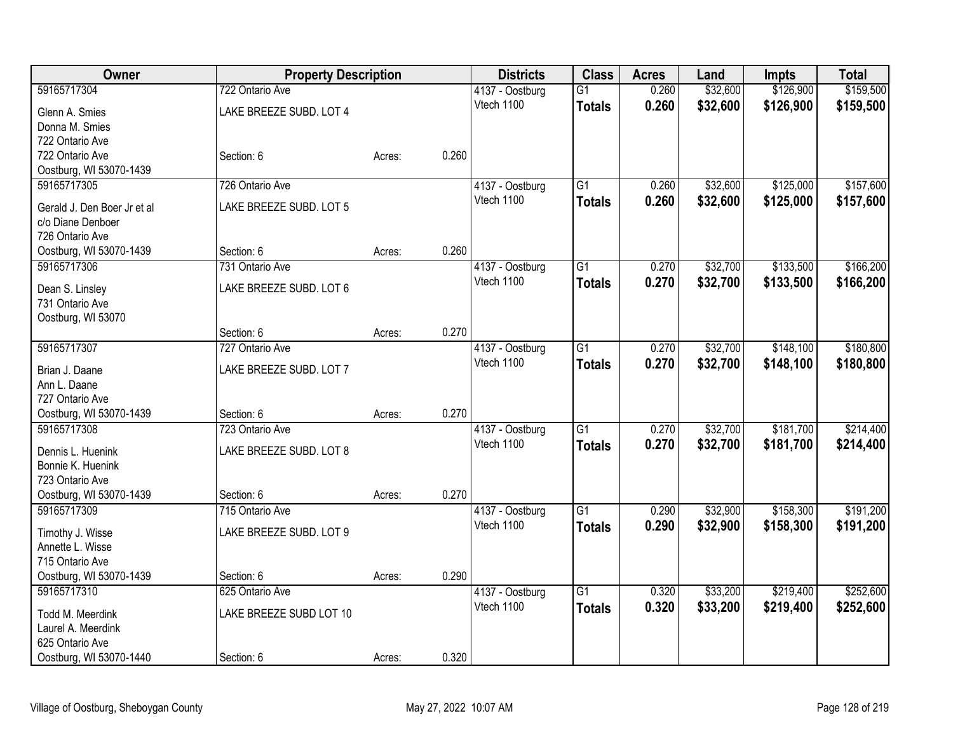| Owner                                 |                         | <b>Property Description</b> |       | <b>Districts</b> | <b>Class</b>    | <b>Acres</b> | Land     | <b>Impts</b> | <b>Total</b> |
|---------------------------------------|-------------------------|-----------------------------|-------|------------------|-----------------|--------------|----------|--------------|--------------|
| 59165717304                           | 722 Ontario Ave         |                             |       | 4137 - Oostburg  | $\overline{G1}$ | 0.260        | \$32,600 | \$126,900    | \$159,500    |
| Glenn A. Smies                        | LAKE BREEZE SUBD. LOT 4 |                             |       | Vtech 1100       | <b>Totals</b>   | 0.260        | \$32,600 | \$126,900    | \$159,500    |
| Donna M. Smies                        |                         |                             |       |                  |                 |              |          |              |              |
| 722 Ontario Ave                       |                         |                             |       |                  |                 |              |          |              |              |
| 722 Ontario Ave                       | Section: 6              | Acres:                      | 0.260 |                  |                 |              |          |              |              |
| Oostburg, WI 53070-1439               |                         |                             |       |                  |                 |              |          |              |              |
| 59165717305                           | 726 Ontario Ave         |                             |       | 4137 - Oostburg  | $\overline{G1}$ | 0.260        | \$32,600 | \$125,000    | \$157,600    |
| Gerald J. Den Boer Jr et al           | LAKE BREEZE SUBD. LOT 5 |                             |       | Vtech 1100       | <b>Totals</b>   | 0.260        | \$32,600 | \$125,000    | \$157,600    |
| c/o Diane Denboer                     |                         |                             |       |                  |                 |              |          |              |              |
| 726 Ontario Ave                       |                         |                             |       |                  |                 |              |          |              |              |
| Oostburg, WI 53070-1439               | Section: 6              | Acres:                      | 0.260 |                  |                 |              |          |              |              |
| 59165717306                           | 731 Ontario Ave         |                             |       | 4137 - Oostburg  | $\overline{G1}$ | 0.270        | \$32,700 | \$133,500    | \$166,200    |
|                                       |                         |                             |       | Vtech 1100       | <b>Totals</b>   | 0.270        | \$32,700 | \$133,500    | \$166,200    |
| Dean S. Linsley                       | LAKE BREEZE SUBD. LOT 6 |                             |       |                  |                 |              |          |              |              |
| 731 Ontario Ave                       |                         |                             |       |                  |                 |              |          |              |              |
| Oostburg, WI 53070                    | Section: 6              | Acres:                      | 0.270 |                  |                 |              |          |              |              |
| 59165717307                           | 727 Ontario Ave         |                             |       | 4137 - Oostburg  | $\overline{G1}$ | 0.270        | \$32,700 | \$148,100    | \$180,800    |
|                                       |                         |                             |       | Vtech 1100       |                 | 0.270        | \$32,700 |              |              |
| Brian J. Daane                        | LAKE BREEZE SUBD. LOT 7 |                             |       |                  | <b>Totals</b>   |              |          | \$148,100    | \$180,800    |
| Ann L. Daane                          |                         |                             |       |                  |                 |              |          |              |              |
| 727 Ontario Ave                       |                         |                             |       |                  |                 |              |          |              |              |
| Oostburg, WI 53070-1439               | Section: 6              | Acres:                      | 0.270 |                  |                 |              |          |              |              |
| 59165717308                           | 723 Ontario Ave         |                             |       | 4137 - Oostburg  | $\overline{G1}$ | 0.270        | \$32,700 | \$181,700    | \$214,400    |
| Dennis L. Huenink                     | LAKE BREEZE SUBD. LOT 8 |                             |       | Vtech 1100       | <b>Totals</b>   | 0.270        | \$32,700 | \$181,700    | \$214,400    |
| Bonnie K. Huenink                     |                         |                             |       |                  |                 |              |          |              |              |
| 723 Ontario Ave                       |                         |                             |       |                  |                 |              |          |              |              |
| Oostburg, WI 53070-1439               | Section: 6              | Acres:                      | 0.270 |                  |                 |              |          |              |              |
| 59165717309                           | 715 Ontario Ave         |                             |       | 4137 - Oostburg  | $\overline{G1}$ | 0.290        | \$32,900 | \$158,300    | \$191,200    |
| Timothy J. Wisse                      | LAKE BREEZE SUBD. LOT 9 |                             |       | Vtech 1100       | <b>Totals</b>   | 0.290        | \$32,900 | \$158,300    | \$191,200    |
| Annette L. Wisse                      |                         |                             |       |                  |                 |              |          |              |              |
| 715 Ontario Ave                       |                         |                             |       |                  |                 |              |          |              |              |
| Oostburg, WI 53070-1439               | Section: 6              | Acres:                      | 0.290 |                  |                 |              |          |              |              |
| 59165717310                           | 625 Ontario Ave         |                             |       | 4137 - Oostburg  | $\overline{G1}$ | 0.320        | \$33,200 | \$219,400    | \$252,600    |
|                                       |                         |                             |       | Vtech 1100       | <b>Totals</b>   | 0.320        | \$33,200 | \$219,400    | \$252,600    |
| Todd M. Meerdink                      | LAKE BREEZE SUBD LOT 10 |                             |       |                  |                 |              |          |              |              |
| Laurel A. Meerdink<br>625 Ontario Ave |                         |                             |       |                  |                 |              |          |              |              |
| Oostburg, WI 53070-1440               | Section: 6              | Acres:                      | 0.320 |                  |                 |              |          |              |              |
|                                       |                         |                             |       |                  |                 |              |          |              |              |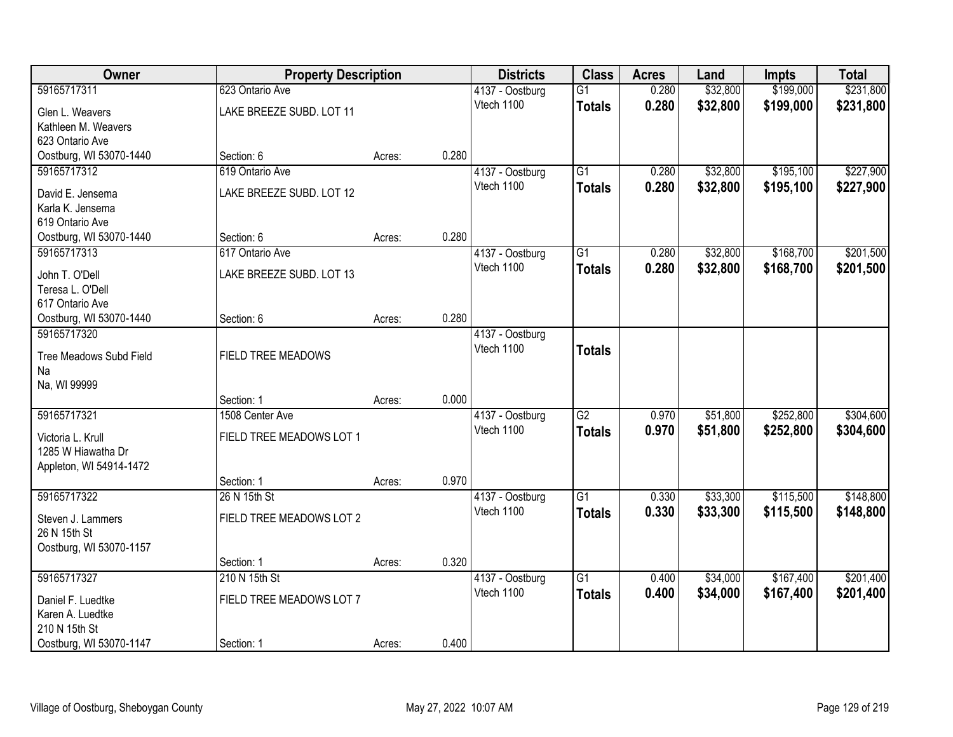| <b>Owner</b>            |                          | <b>Property Description</b> |       | <b>Districts</b> | <b>Class</b>    | <b>Acres</b> | Land     | <b>Impts</b> | <b>Total</b> |
|-------------------------|--------------------------|-----------------------------|-------|------------------|-----------------|--------------|----------|--------------|--------------|
| 59165717311             | 623 Ontario Ave          |                             |       | 4137 - Oostburg  | $\overline{G1}$ | 0.280        | \$32,800 | \$199,000    | \$231,800    |
| Glen L. Weavers         | LAKE BREEZE SUBD. LOT 11 |                             |       | Vtech 1100       | <b>Totals</b>   | 0.280        | \$32,800 | \$199,000    | \$231,800    |
| Kathleen M. Weavers     |                          |                             |       |                  |                 |              |          |              |              |
| 623 Ontario Ave         |                          |                             |       |                  |                 |              |          |              |              |
| Oostburg, WI 53070-1440 | Section: 6               | Acres:                      | 0.280 |                  |                 |              |          |              |              |
| 59165717312             | 619 Ontario Ave          |                             |       | 4137 - Oostburg  | $\overline{G1}$ | 0.280        | \$32,800 | \$195,100    | \$227,900    |
| David E. Jensema        | LAKE BREEZE SUBD. LOT 12 |                             |       | Vtech 1100       | <b>Totals</b>   | 0.280        | \$32,800 | \$195,100    | \$227,900    |
| Karla K. Jensema        |                          |                             |       |                  |                 |              |          |              |              |
| 619 Ontario Ave         |                          |                             |       |                  |                 |              |          |              |              |
| Oostburg, WI 53070-1440 | Section: 6               | Acres:                      | 0.280 |                  |                 |              |          |              |              |
| 59165717313             | 617 Ontario Ave          |                             |       | 4137 - Oostburg  | $\overline{G1}$ | 0.280        | \$32,800 | \$168,700    | \$201,500    |
| John T. O'Dell          | LAKE BREEZE SUBD. LOT 13 |                             |       | Vtech 1100       | <b>Totals</b>   | 0.280        | \$32,800 | \$168,700    | \$201,500    |
| Teresa L. O'Dell        |                          |                             |       |                  |                 |              |          |              |              |
| 617 Ontario Ave         |                          |                             |       |                  |                 |              |          |              |              |
| Oostburg, WI 53070-1440 | Section: 6               | Acres:                      | 0.280 |                  |                 |              |          |              |              |
| 59165717320             |                          |                             |       | 4137 - Oostburg  |                 |              |          |              |              |
| Tree Meadows Subd Field | FIELD TREE MEADOWS       |                             |       | Vtech 1100       | <b>Totals</b>   |              |          |              |              |
| Na                      |                          |                             |       |                  |                 |              |          |              |              |
| Na, WI 99999            |                          |                             |       |                  |                 |              |          |              |              |
|                         | Section: 1               | Acres:                      | 0.000 |                  |                 |              |          |              |              |
| 59165717321             | 1508 Center Ave          |                             |       | 4137 - Oostburg  | $\overline{G2}$ | 0.970        | \$51,800 | \$252,800    | \$304,600    |
| Victoria L. Krull       | FIELD TREE MEADOWS LOT 1 |                             |       | Vtech 1100       | <b>Totals</b>   | 0.970        | \$51,800 | \$252,800    | \$304,600    |
| 1285 W Hiawatha Dr      |                          |                             |       |                  |                 |              |          |              |              |
| Appleton, WI 54914-1472 |                          |                             |       |                  |                 |              |          |              |              |
|                         | Section: 1               | Acres:                      | 0.970 |                  |                 |              |          |              |              |
| 59165717322             | 26 N 15th St             |                             |       | 4137 - Oostburg  | $\overline{G1}$ | 0.330        | \$33,300 | \$115,500    | \$148,800    |
| Steven J. Lammers       | FIELD TREE MEADOWS LOT 2 |                             |       | Vtech 1100       | <b>Totals</b>   | 0.330        | \$33,300 | \$115,500    | \$148,800    |
| 26 N 15th St            |                          |                             |       |                  |                 |              |          |              |              |
| Oostburg, WI 53070-1157 |                          |                             |       |                  |                 |              |          |              |              |
|                         | Section: 1               | Acres:                      | 0.320 |                  |                 |              |          |              |              |
| 59165717327             | 210 N 15th St            |                             |       | 4137 - Oostburg  | $\overline{G1}$ | 0.400        | \$34,000 | \$167,400    | \$201,400    |
| Daniel F. Luedtke       | FIELD TREE MEADOWS LOT 7 |                             |       | Vtech 1100       | <b>Totals</b>   | 0.400        | \$34,000 | \$167,400    | \$201,400    |
| Karen A. Luedtke        |                          |                             |       |                  |                 |              |          |              |              |
| 210 N 15th St           |                          |                             |       |                  |                 |              |          |              |              |
| Oostburg, WI 53070-1147 | Section: 1               | Acres:                      | 0.400 |                  |                 |              |          |              |              |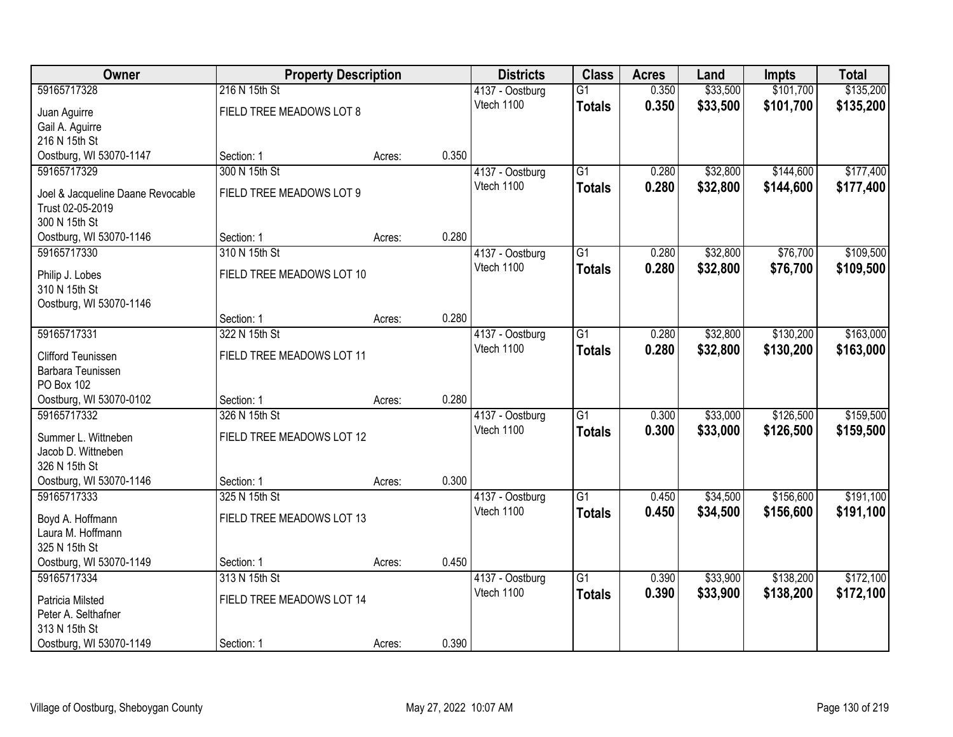| Owner                                   |                           | <b>Property Description</b> |       | <b>Districts</b> | <b>Class</b>    | <b>Acres</b> | Land     | <b>Impts</b> | <b>Total</b> |
|-----------------------------------------|---------------------------|-----------------------------|-------|------------------|-----------------|--------------|----------|--------------|--------------|
| 59165717328                             | 216 N 15th St             |                             |       | 4137 - Oostburg  | $\overline{G1}$ | 0.350        | \$33,500 | \$101,700    | \$135,200    |
| Juan Aguirre                            | FIELD TREE MEADOWS LOT 8  |                             |       | Vtech 1100       | <b>Totals</b>   | 0.350        | \$33,500 | \$101,700    | \$135,200    |
| Gail A. Aguirre                         |                           |                             |       |                  |                 |              |          |              |              |
| 216 N 15th St                           |                           |                             |       |                  |                 |              |          |              |              |
| Oostburg, WI 53070-1147                 | Section: 1                | Acres:                      | 0.350 |                  |                 |              |          |              |              |
| 59165717329                             | 300 N 15th St             |                             |       | 4137 - Oostburg  | $\overline{G1}$ | 0.280        | \$32,800 | \$144,600    | \$177,400    |
| Joel & Jacqueline Daane Revocable       | FIELD TREE MEADOWS LOT 9  |                             |       | Vtech 1100       | <b>Totals</b>   | 0.280        | \$32,800 | \$144,600    | \$177,400    |
| Trust 02-05-2019                        |                           |                             |       |                  |                 |              |          |              |              |
| 300 N 15th St                           |                           |                             |       |                  |                 |              |          |              |              |
| Oostburg, WI 53070-1146                 | Section: 1                | Acres:                      | 0.280 |                  |                 |              |          |              |              |
| 59165717330                             | 310 N 15th St             |                             |       | 4137 - Oostburg  | G1              | 0.280        | \$32,800 | \$76,700     | \$109,500    |
| Philip J. Lobes                         | FIELD TREE MEADOWS LOT 10 |                             |       | Vtech 1100       | <b>Totals</b>   | 0.280        | \$32,800 | \$76,700     | \$109,500    |
| 310 N 15th St                           |                           |                             |       |                  |                 |              |          |              |              |
| Oostburg, WI 53070-1146                 |                           |                             |       |                  |                 |              |          |              |              |
|                                         | Section: 1                | Acres:                      | 0.280 |                  |                 |              |          |              |              |
| 59165717331                             | 322 N 15th St             |                             |       | 4137 - Oostburg  | G1              | 0.280        | \$32,800 | \$130,200    | \$163,000    |
| Clifford Teunissen                      | FIELD TREE MEADOWS LOT 11 |                             |       | Vtech 1100       | <b>Totals</b>   | 0.280        | \$32,800 | \$130,200    | \$163,000    |
| Barbara Teunissen                       |                           |                             |       |                  |                 |              |          |              |              |
| PO Box 102                              |                           |                             |       |                  |                 |              |          |              |              |
| Oostburg, WI 53070-0102                 | Section: 1                | Acres:                      | 0.280 |                  |                 |              |          |              |              |
| 59165717332                             | 326 N 15th St             |                             |       | 4137 - Oostburg  | $\overline{G1}$ | 0.300        | \$33,000 | \$126,500    | \$159,500    |
| Summer L. Wittneben                     | FIELD TREE MEADOWS LOT 12 |                             |       | Vtech 1100       | <b>Totals</b>   | 0.300        | \$33,000 | \$126,500    | \$159,500    |
| Jacob D. Wittneben                      |                           |                             |       |                  |                 |              |          |              |              |
| 326 N 15th St                           |                           |                             |       |                  |                 |              |          |              |              |
| Oostburg, WI 53070-1146                 | Section: 1                | Acres:                      | 0.300 |                  |                 |              |          |              |              |
| 59165717333                             | 325 N 15th St             |                             |       | 4137 - Oostburg  | $\overline{G1}$ | 0.450        | \$34,500 | \$156,600    | \$191,100    |
| Boyd A. Hoffmann                        | FIELD TREE MEADOWS LOT 13 |                             |       | Vtech 1100       | <b>Totals</b>   | 0.450        | \$34,500 | \$156,600    | \$191,100    |
| Laura M. Hoffmann                       |                           |                             |       |                  |                 |              |          |              |              |
| 325 N 15th St                           |                           |                             |       |                  |                 |              |          |              |              |
| Oostburg, WI 53070-1149                 | Section: 1                | Acres:                      | 0.450 |                  |                 |              |          |              |              |
| 59165717334                             | 313 N 15th St             |                             |       | 4137 - Oostburg  | $\overline{G1}$ | 0.390        | \$33,900 | \$138,200    | \$172,100    |
|                                         | FIELD TREE MEADOWS LOT 14 |                             |       | Vtech 1100       | <b>Totals</b>   | 0.390        | \$33,900 | \$138,200    | \$172,100    |
| Patricia Milsted<br>Peter A. Selthafner |                           |                             |       |                  |                 |              |          |              |              |
| 313 N 15th St                           |                           |                             |       |                  |                 |              |          |              |              |
| Oostburg, WI 53070-1149                 | Section: 1                | Acres:                      | 0.390 |                  |                 |              |          |              |              |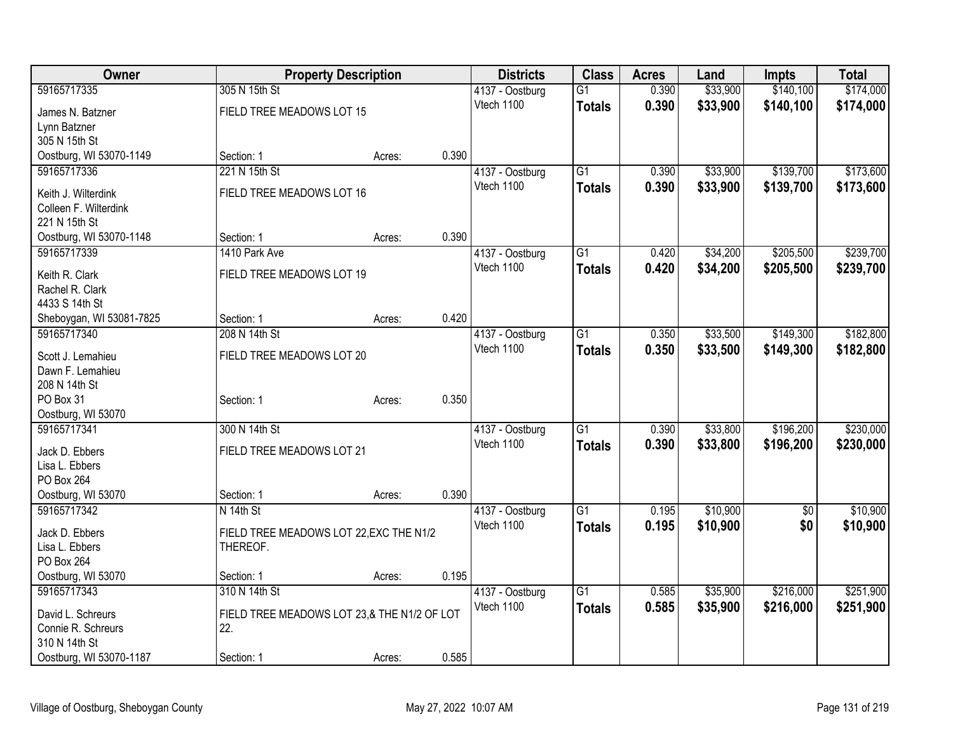| <b>Owner</b>             |                                             | <b>Property Description</b> |       | <b>Districts</b> | <b>Class</b>    | <b>Acres</b> | Land     | <b>Impts</b>    | <b>Total</b> |
|--------------------------|---------------------------------------------|-----------------------------|-------|------------------|-----------------|--------------|----------|-----------------|--------------|
| 59165717335              | 305 N 15th St                               |                             |       | 4137 - Oostburg  | $\overline{G1}$ | 0.390        | \$33,900 | \$140,100       | \$174,000    |
| James N. Batzner         | FIELD TREE MEADOWS LOT 15                   |                             |       | Vtech 1100       | <b>Totals</b>   | 0.390        | \$33,900 | \$140,100       | \$174,000    |
| Lynn Batzner             |                                             |                             |       |                  |                 |              |          |                 |              |
| 305 N 15th St            |                                             |                             |       |                  |                 |              |          |                 |              |
| Oostburg, WI 53070-1149  | Section: 1                                  | Acres:                      | 0.390 |                  |                 |              |          |                 |              |
| 59165717336              | 221 N 15th St                               |                             |       | 4137 - Oostburg  | $\overline{G1}$ | 0.390        | \$33,900 | \$139,700       | \$173,600    |
| Keith J. Wilterdink      | FIELD TREE MEADOWS LOT 16                   |                             |       | Vtech 1100       | <b>Totals</b>   | 0.390        | \$33,900 | \$139,700       | \$173,600    |
| Colleen F. Wilterdink    |                                             |                             |       |                  |                 |              |          |                 |              |
| 221 N 15th St            |                                             |                             |       |                  |                 |              |          |                 |              |
| Oostburg, WI 53070-1148  | Section: 1                                  | Acres:                      | 0.390 |                  |                 |              |          |                 |              |
| 59165717339              | 1410 Park Ave                               |                             |       | 4137 - Oostburg  | $\overline{G1}$ | 0.420        | \$34,200 | \$205,500       | \$239,700    |
| Keith R. Clark           | FIELD TREE MEADOWS LOT 19                   |                             |       | Vtech 1100       | <b>Totals</b>   | 0.420        | \$34,200 | \$205,500       | \$239,700    |
| Rachel R. Clark          |                                             |                             |       |                  |                 |              |          |                 |              |
| 4433 S 14th St           |                                             |                             |       |                  |                 |              |          |                 |              |
| Sheboygan, WI 53081-7825 | Section: 1                                  | Acres:                      | 0.420 |                  |                 |              |          |                 |              |
| 59165717340              | 208 N 14th St                               |                             |       | 4137 - Oostburg  | G1              | 0.350        | \$33,500 | \$149,300       | \$182,800    |
| Scott J. Lemahieu        | FIELD TREE MEADOWS LOT 20                   |                             |       | Vtech 1100       | <b>Totals</b>   | 0.350        | \$33,500 | \$149,300       | \$182,800    |
| Dawn F. Lemahieu         |                                             |                             |       |                  |                 |              |          |                 |              |
| 208 N 14th St            |                                             |                             |       |                  |                 |              |          |                 |              |
| PO Box 31                | Section: 1                                  | Acres:                      | 0.350 |                  |                 |              |          |                 |              |
| Oostburg, WI 53070       |                                             |                             |       |                  |                 |              |          |                 |              |
| 59165717341              | 300 N 14th St                               |                             |       | 4137 - Oostburg  | $\overline{G1}$ | 0.390        | \$33,800 | \$196,200       | \$230,000    |
| Jack D. Ebbers           | FIELD TREE MEADOWS LOT 21                   |                             |       | Vtech 1100       | <b>Totals</b>   | 0.390        | \$33,800 | \$196,200       | \$230,000    |
| Lisa L. Ebbers           |                                             |                             |       |                  |                 |              |          |                 |              |
| PO Box 264               |                                             |                             |       |                  |                 |              |          |                 |              |
| Oostburg, WI 53070       | Section: 1                                  | Acres:                      | 0.390 |                  |                 |              |          |                 |              |
| 59165717342              | N 14th St                                   |                             |       | 4137 - Oostburg  | $\overline{G1}$ | 0.195        | \$10,900 | $\overline{50}$ | \$10,900     |
| Jack D. Ebbers           | FIELD TREE MEADOWS LOT 22, EXC THE N1/2     |                             |       | Vtech 1100       | <b>Totals</b>   | 0.195        | \$10,900 | \$0             | \$10,900     |
| Lisa L. Ebbers           | THEREOF.                                    |                             |       |                  |                 |              |          |                 |              |
| PO Box 264               |                                             |                             |       |                  |                 |              |          |                 |              |
| Oostburg, WI 53070       | Section: 1                                  | Acres:                      | 0.195 |                  |                 |              |          |                 |              |
| 59165717343              | 310 N 14th St                               |                             |       | 4137 - Oostburg  | $\overline{G1}$ | 0.585        | \$35,900 | \$216,000       | \$251,900    |
| David L. Schreurs        | FIELD TREE MEADOWS LOT 23,& THE N1/2 OF LOT |                             |       | Vtech 1100       | <b>Totals</b>   | 0.585        | \$35,900 | \$216,000       | \$251,900    |
| Connie R. Schreurs       | 22.                                         |                             |       |                  |                 |              |          |                 |              |
| 310 N 14th St            |                                             |                             |       |                  |                 |              |          |                 |              |
| Oostburg, WI 53070-1187  | Section: 1                                  | Acres:                      | 0.585 |                  |                 |              |          |                 |              |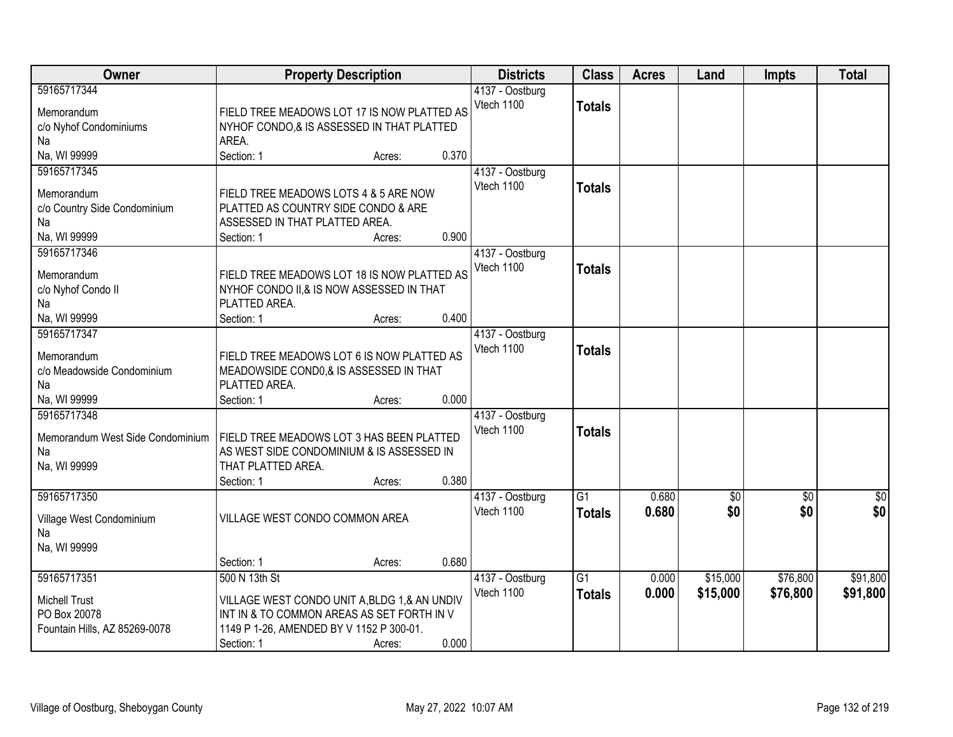| Owner                            |                                               | <b>Property Description</b> |                 |                 | <b>Acres</b> | Land            | <b>Impts</b> | <b>Total</b> |
|----------------------------------|-----------------------------------------------|-----------------------------|-----------------|-----------------|--------------|-----------------|--------------|--------------|
| 59165717344                      |                                               |                             | 4137 - Oostburg |                 |              |                 |              |              |
| Memorandum                       | FIELD TREE MEADOWS LOT 17 IS NOW PLATTED AS   |                             | Vtech 1100      | <b>Totals</b>   |              |                 |              |              |
| c/o Nyhof Condominiums           | NYHOF CONDO,& IS ASSESSED IN THAT PLATTED     |                             |                 |                 |              |                 |              |              |
| Na                               | AREA.                                         |                             |                 |                 |              |                 |              |              |
| Na, WI 99999                     | Section: 1                                    | 0.370<br>Acres:             |                 |                 |              |                 |              |              |
| 59165717345                      |                                               |                             | 4137 - Oostburg |                 |              |                 |              |              |
|                                  |                                               |                             | Vtech 1100      | <b>Totals</b>   |              |                 |              |              |
| Memorandum                       | FIELD TREE MEADOWS LOTS 4 & 5 ARE NOW         |                             |                 |                 |              |                 |              |              |
| c/o Country Side Condominium     | PLATTED AS COUNTRY SIDE CONDO & ARE           |                             |                 |                 |              |                 |              |              |
| Na                               | ASSESSED IN THAT PLATTED AREA.                |                             |                 |                 |              |                 |              |              |
| Na, WI 99999                     | Section: 1                                    | 0.900<br>Acres:             |                 |                 |              |                 |              |              |
| 59165717346                      |                                               |                             | 4137 - Oostburg |                 |              |                 |              |              |
| Memorandum                       | FIELD TREE MEADOWS LOT 18 IS NOW PLATTED AS   |                             | Vtech 1100      | <b>Totals</b>   |              |                 |              |              |
| c/o Nyhof Condo II               | NYHOF CONDO II,& IS NOW ASSESSED IN THAT      |                             |                 |                 |              |                 |              |              |
| Na                               | PLATTED AREA.                                 |                             |                 |                 |              |                 |              |              |
| Na, WI 99999                     | Section: 1                                    | 0.400<br>Acres:             |                 |                 |              |                 |              |              |
| 59165717347                      |                                               |                             | 4137 - Oostburg |                 |              |                 |              |              |
| Memorandum                       | FIELD TREE MEADOWS LOT 6 IS NOW PLATTED AS    |                             | Vtech 1100      | <b>Totals</b>   |              |                 |              |              |
| c/o Meadowside Condominium       | MEADOWSIDE COND0,& IS ASSESSED IN THAT        |                             |                 |                 |              |                 |              |              |
| Na                               | PLATTED AREA.                                 |                             |                 |                 |              |                 |              |              |
| Na, WI 99999                     | Section: 1                                    | 0.000<br>Acres:             |                 |                 |              |                 |              |              |
| 59165717348                      |                                               |                             | 4137 - Oostburg |                 |              |                 |              |              |
|                                  |                                               |                             | Vtech 1100      | <b>Totals</b>   |              |                 |              |              |
| Memorandum West Side Condominium | FIELD TREE MEADOWS LOT 3 HAS BEEN PLATTED     |                             |                 |                 |              |                 |              |              |
| Na                               | AS WEST SIDE CONDOMINIUM & IS ASSESSED IN     |                             |                 |                 |              |                 |              |              |
| Na, WI 99999                     | THAT PLATTED AREA.                            |                             |                 |                 |              |                 |              |              |
|                                  | Section: 1                                    | 0.380<br>Acres:             |                 |                 |              |                 |              |              |
| 59165717350                      |                                               |                             | 4137 - Oostburg | $\overline{G1}$ | 0.680        | $\overline{50}$ | $\sqrt{6}$   | $\sqrt{60}$  |
| Village West Condominium         | VILLAGE WEST CONDO COMMON AREA                |                             | Vtech 1100      | <b>Totals</b>   | 0.680        | \$0             | \$0          | \$0          |
| Na                               |                                               |                             |                 |                 |              |                 |              |              |
| Na, WI 99999                     |                                               |                             |                 |                 |              |                 |              |              |
|                                  | Section: 1                                    | 0.680<br>Acres:             |                 |                 |              |                 |              |              |
| 59165717351                      | 500 N 13th St                                 |                             | 4137 - Oostburg | $\overline{G1}$ | 0.000        | \$15,000        | \$76,800     | \$91,800     |
|                                  |                                               |                             | Vtech 1100      | <b>Totals</b>   | 0.000        | \$15,000        | \$76,800     | \$91,800     |
| <b>Michell Trust</b>             | VILLAGE WEST CONDO UNIT A, BLDG 1, & AN UNDIV |                             |                 |                 |              |                 |              |              |
| PO Box 20078                     | INT IN & TO COMMON AREAS AS SET FORTH IN V    |                             |                 |                 |              |                 |              |              |
| Fountain Hills, AZ 85269-0078    | 1149 P 1-26, AMENDED BY V 1152 P 300-01.      | 0.000                       |                 |                 |              |                 |              |              |
|                                  | Section: 1                                    | Acres:                      |                 |                 |              |                 |              |              |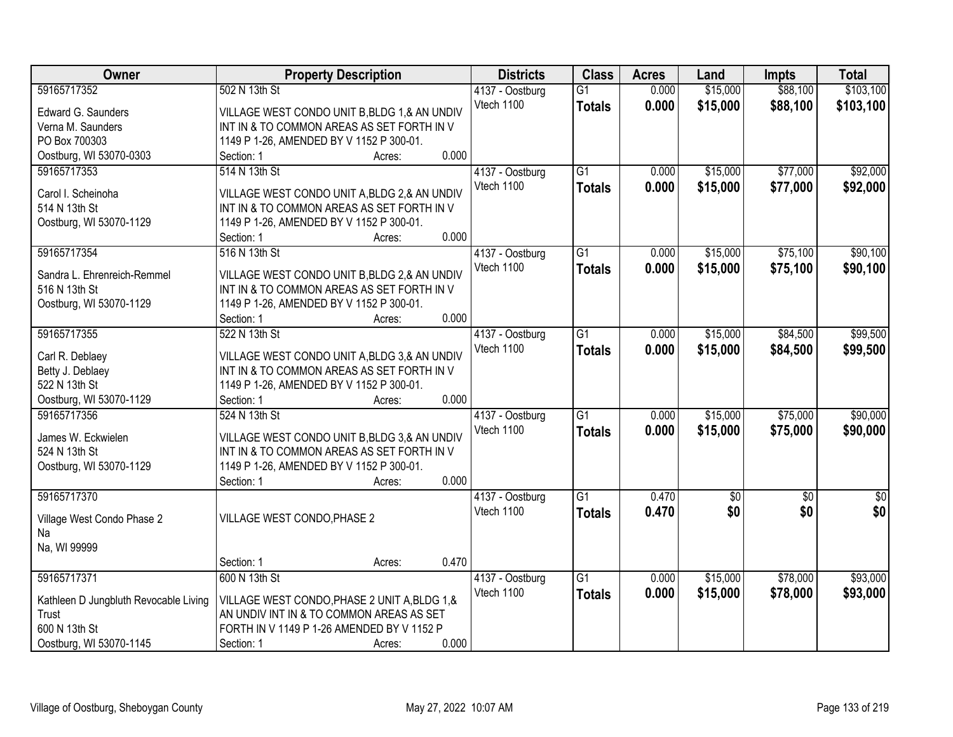| \$103,100<br>59165717352<br>502 N 13th St<br>$\overline{G1}$<br>0.000<br>\$15,000<br>\$88,100<br>4137 - Oostburg<br>\$15,000<br>Vtech 1100<br>0.000<br>\$88,100<br>\$103,100<br><b>Totals</b><br>VILLAGE WEST CONDO UNIT B, BLDG 1, & AN UNDIV<br>Edward G. Saunders<br>Verna M. Saunders<br>INT IN & TO COMMON AREAS AS SET FORTH IN V<br>PO Box 700303<br>1149 P 1-26, AMENDED BY V 1152 P 300-01.<br>0.000<br>Oostburg, WI 53070-0303<br>Section: 1<br>Acres:<br>\$77,000<br>\$92,000<br>59165717353<br>$\overline{G1}$<br>\$15,000<br>514 N 13th St<br>4137 - Oostburg<br>0.000<br>Vtech 1100<br>0.000<br>\$15,000<br>\$77,000<br>\$92,000<br><b>Totals</b><br>Carol I. Scheinoha<br>VILLAGE WEST CONDO UNIT A, BLDG 2, & AN UNDIV<br>514 N 13th St<br>INT IN & TO COMMON AREAS AS SET FORTH IN V<br>Oostburg, WI 53070-1129<br>1149 P 1-26, AMENDED BY V 1152 P 300-01.<br>0.000<br>Section: 1<br>Acres:<br>\$75,100<br>59165717354<br>516 N 13th St<br>$\overline{G1}$<br>\$15,000<br>\$90,100<br>4137 - Oostburg<br>0.000<br>Vtech 1100<br>0.000<br>\$15,000<br>\$75,100<br>\$90,100<br><b>Totals</b><br>Sandra L. Ehrenreich-Remmel<br>VILLAGE WEST CONDO UNIT B, BLDG 2, & AN UNDIV<br>516 N 13th St<br>INT IN & TO COMMON AREAS AS SET FORTH IN V<br>Oostburg, WI 53070-1129<br>1149 P 1-26, AMENDED BY V 1152 P 300-01.<br>0.000<br>Section: 1<br>Acres:<br>59165717355<br>$\overline{G1}$<br>\$15,000<br>\$84,500<br>\$99,500<br>522 N 13th St<br>0.000<br>4137 - Oostburg<br>Vtech 1100<br>0.000<br>\$15,000<br>\$84,500<br>\$99,500<br><b>Totals</b><br>Carl R. Deblaey<br>VILLAGE WEST CONDO UNIT A, BLDG 3, & AN UNDIV<br>INT IN & TO COMMON AREAS AS SET FORTH IN V<br>Betty J. Deblaey<br>522 N 13th St<br>1149 P 1-26, AMENDED BY V 1152 P 300-01. | Owner | <b>Property Description</b> | <b>Districts</b> | <b>Class</b> | <b>Acres</b> | Land | <b>Impts</b> | <b>Total</b> |
|-----------------------------------------------------------------------------------------------------------------------------------------------------------------------------------------------------------------------------------------------------------------------------------------------------------------------------------------------------------------------------------------------------------------------------------------------------------------------------------------------------------------------------------------------------------------------------------------------------------------------------------------------------------------------------------------------------------------------------------------------------------------------------------------------------------------------------------------------------------------------------------------------------------------------------------------------------------------------------------------------------------------------------------------------------------------------------------------------------------------------------------------------------------------------------------------------------------------------------------------------------------------------------------------------------------------------------------------------------------------------------------------------------------------------------------------------------------------------------------------------------------------------------------------------------------------------------------------------------------------------------------------------------------------------------------------------------------------------------------------------------------------------|-------|-----------------------------|------------------|--------------|--------------|------|--------------|--------------|
|                                                                                                                                                                                                                                                                                                                                                                                                                                                                                                                                                                                                                                                                                                                                                                                                                                                                                                                                                                                                                                                                                                                                                                                                                                                                                                                                                                                                                                                                                                                                                                                                                                                                                                                                                                       |       |                             |                  |              |              |      |              |              |
|                                                                                                                                                                                                                                                                                                                                                                                                                                                                                                                                                                                                                                                                                                                                                                                                                                                                                                                                                                                                                                                                                                                                                                                                                                                                                                                                                                                                                                                                                                                                                                                                                                                                                                                                                                       |       |                             |                  |              |              |      |              |              |
|                                                                                                                                                                                                                                                                                                                                                                                                                                                                                                                                                                                                                                                                                                                                                                                                                                                                                                                                                                                                                                                                                                                                                                                                                                                                                                                                                                                                                                                                                                                                                                                                                                                                                                                                                                       |       |                             |                  |              |              |      |              |              |
|                                                                                                                                                                                                                                                                                                                                                                                                                                                                                                                                                                                                                                                                                                                                                                                                                                                                                                                                                                                                                                                                                                                                                                                                                                                                                                                                                                                                                                                                                                                                                                                                                                                                                                                                                                       |       |                             |                  |              |              |      |              |              |
|                                                                                                                                                                                                                                                                                                                                                                                                                                                                                                                                                                                                                                                                                                                                                                                                                                                                                                                                                                                                                                                                                                                                                                                                                                                                                                                                                                                                                                                                                                                                                                                                                                                                                                                                                                       |       |                             |                  |              |              |      |              |              |
|                                                                                                                                                                                                                                                                                                                                                                                                                                                                                                                                                                                                                                                                                                                                                                                                                                                                                                                                                                                                                                                                                                                                                                                                                                                                                                                                                                                                                                                                                                                                                                                                                                                                                                                                                                       |       |                             |                  |              |              |      |              |              |
|                                                                                                                                                                                                                                                                                                                                                                                                                                                                                                                                                                                                                                                                                                                                                                                                                                                                                                                                                                                                                                                                                                                                                                                                                                                                                                                                                                                                                                                                                                                                                                                                                                                                                                                                                                       |       |                             |                  |              |              |      |              |              |
|                                                                                                                                                                                                                                                                                                                                                                                                                                                                                                                                                                                                                                                                                                                                                                                                                                                                                                                                                                                                                                                                                                                                                                                                                                                                                                                                                                                                                                                                                                                                                                                                                                                                                                                                                                       |       |                             |                  |              |              |      |              |              |
|                                                                                                                                                                                                                                                                                                                                                                                                                                                                                                                                                                                                                                                                                                                                                                                                                                                                                                                                                                                                                                                                                                                                                                                                                                                                                                                                                                                                                                                                                                                                                                                                                                                                                                                                                                       |       |                             |                  |              |              |      |              |              |
|                                                                                                                                                                                                                                                                                                                                                                                                                                                                                                                                                                                                                                                                                                                                                                                                                                                                                                                                                                                                                                                                                                                                                                                                                                                                                                                                                                                                                                                                                                                                                                                                                                                                                                                                                                       |       |                             |                  |              |              |      |              |              |
|                                                                                                                                                                                                                                                                                                                                                                                                                                                                                                                                                                                                                                                                                                                                                                                                                                                                                                                                                                                                                                                                                                                                                                                                                                                                                                                                                                                                                                                                                                                                                                                                                                                                                                                                                                       |       |                             |                  |              |              |      |              |              |
|                                                                                                                                                                                                                                                                                                                                                                                                                                                                                                                                                                                                                                                                                                                                                                                                                                                                                                                                                                                                                                                                                                                                                                                                                                                                                                                                                                                                                                                                                                                                                                                                                                                                                                                                                                       |       |                             |                  |              |              |      |              |              |
|                                                                                                                                                                                                                                                                                                                                                                                                                                                                                                                                                                                                                                                                                                                                                                                                                                                                                                                                                                                                                                                                                                                                                                                                                                                                                                                                                                                                                                                                                                                                                                                                                                                                                                                                                                       |       |                             |                  |              |              |      |              |              |
|                                                                                                                                                                                                                                                                                                                                                                                                                                                                                                                                                                                                                                                                                                                                                                                                                                                                                                                                                                                                                                                                                                                                                                                                                                                                                                                                                                                                                                                                                                                                                                                                                                                                                                                                                                       |       |                             |                  |              |              |      |              |              |
|                                                                                                                                                                                                                                                                                                                                                                                                                                                                                                                                                                                                                                                                                                                                                                                                                                                                                                                                                                                                                                                                                                                                                                                                                                                                                                                                                                                                                                                                                                                                                                                                                                                                                                                                                                       |       |                             |                  |              |              |      |              |              |
|                                                                                                                                                                                                                                                                                                                                                                                                                                                                                                                                                                                                                                                                                                                                                                                                                                                                                                                                                                                                                                                                                                                                                                                                                                                                                                                                                                                                                                                                                                                                                                                                                                                                                                                                                                       |       |                             |                  |              |              |      |              |              |
|                                                                                                                                                                                                                                                                                                                                                                                                                                                                                                                                                                                                                                                                                                                                                                                                                                                                                                                                                                                                                                                                                                                                                                                                                                                                                                                                                                                                                                                                                                                                                                                                                                                                                                                                                                       |       |                             |                  |              |              |      |              |              |
|                                                                                                                                                                                                                                                                                                                                                                                                                                                                                                                                                                                                                                                                                                                                                                                                                                                                                                                                                                                                                                                                                                                                                                                                                                                                                                                                                                                                                                                                                                                                                                                                                                                                                                                                                                       |       |                             |                  |              |              |      |              |              |
|                                                                                                                                                                                                                                                                                                                                                                                                                                                                                                                                                                                                                                                                                                                                                                                                                                                                                                                                                                                                                                                                                                                                                                                                                                                                                                                                                                                                                                                                                                                                                                                                                                                                                                                                                                       |       |                             |                  |              |              |      |              |              |
|                                                                                                                                                                                                                                                                                                                                                                                                                                                                                                                                                                                                                                                                                                                                                                                                                                                                                                                                                                                                                                                                                                                                                                                                                                                                                                                                                                                                                                                                                                                                                                                                                                                                                                                                                                       |       |                             |                  |              |              |      |              |              |
| 0.000<br>Oostburg, WI 53070-1129<br>Section: 1<br>Acres:                                                                                                                                                                                                                                                                                                                                                                                                                                                                                                                                                                                                                                                                                                                                                                                                                                                                                                                                                                                                                                                                                                                                                                                                                                                                                                                                                                                                                                                                                                                                                                                                                                                                                                              |       |                             |                  |              |              |      |              |              |
| $\overline{G1}$<br>\$15,000<br>\$75,000<br>\$90,000<br>59165717356<br>0.000<br>524 N 13th St<br>4137 - Oostburg                                                                                                                                                                                                                                                                                                                                                                                                                                                                                                                                                                                                                                                                                                                                                                                                                                                                                                                                                                                                                                                                                                                                                                                                                                                                                                                                                                                                                                                                                                                                                                                                                                                       |       |                             |                  |              |              |      |              |              |
| 0.000<br>\$15,000<br>\$75,000<br>\$90,000<br>Vtech 1100<br><b>Totals</b>                                                                                                                                                                                                                                                                                                                                                                                                                                                                                                                                                                                                                                                                                                                                                                                                                                                                                                                                                                                                                                                                                                                                                                                                                                                                                                                                                                                                                                                                                                                                                                                                                                                                                              |       |                             |                  |              |              |      |              |              |
| James W. Eckwielen<br>VILLAGE WEST CONDO UNIT B, BLDG 3, & AN UNDIV                                                                                                                                                                                                                                                                                                                                                                                                                                                                                                                                                                                                                                                                                                                                                                                                                                                                                                                                                                                                                                                                                                                                                                                                                                                                                                                                                                                                                                                                                                                                                                                                                                                                                                   |       |                             |                  |              |              |      |              |              |
| 524 N 13th St<br>INT IN & TO COMMON AREAS AS SET FORTH IN V                                                                                                                                                                                                                                                                                                                                                                                                                                                                                                                                                                                                                                                                                                                                                                                                                                                                                                                                                                                                                                                                                                                                                                                                                                                                                                                                                                                                                                                                                                                                                                                                                                                                                                           |       |                             |                  |              |              |      |              |              |
| Oostburg, WI 53070-1129<br>1149 P 1-26, AMENDED BY V 1152 P 300-01.                                                                                                                                                                                                                                                                                                                                                                                                                                                                                                                                                                                                                                                                                                                                                                                                                                                                                                                                                                                                                                                                                                                                                                                                                                                                                                                                                                                                                                                                                                                                                                                                                                                                                                   |       |                             |                  |              |              |      |              |              |
| 0.000<br>Section: 1<br>Acres:                                                                                                                                                                                                                                                                                                                                                                                                                                                                                                                                                                                                                                                                                                                                                                                                                                                                                                                                                                                                                                                                                                                                                                                                                                                                                                                                                                                                                                                                                                                                                                                                                                                                                                                                         |       |                             |                  |              |              |      |              |              |
| 59165717370<br>G1<br>0.470<br>$\sqrt{6}$<br>$\sqrt{6}$<br>$\frac{1}{6}$<br>4137 - Oostburg                                                                                                                                                                                                                                                                                                                                                                                                                                                                                                                                                                                                                                                                                                                                                                                                                                                                                                                                                                                                                                                                                                                                                                                                                                                                                                                                                                                                                                                                                                                                                                                                                                                                            |       |                             |                  |              |              |      |              |              |
| \$0<br>\$0<br>\$0<br>Vtech 1100<br>0.470<br><b>Totals</b><br>VILLAGE WEST CONDO, PHASE 2<br>Village West Condo Phase 2                                                                                                                                                                                                                                                                                                                                                                                                                                                                                                                                                                                                                                                                                                                                                                                                                                                                                                                                                                                                                                                                                                                                                                                                                                                                                                                                                                                                                                                                                                                                                                                                                                                |       |                             |                  |              |              |      |              |              |
| Na                                                                                                                                                                                                                                                                                                                                                                                                                                                                                                                                                                                                                                                                                                                                                                                                                                                                                                                                                                                                                                                                                                                                                                                                                                                                                                                                                                                                                                                                                                                                                                                                                                                                                                                                                                    |       |                             |                  |              |              |      |              |              |
| Na, WI 99999                                                                                                                                                                                                                                                                                                                                                                                                                                                                                                                                                                                                                                                                                                                                                                                                                                                                                                                                                                                                                                                                                                                                                                                                                                                                                                                                                                                                                                                                                                                                                                                                                                                                                                                                                          |       |                             |                  |              |              |      |              |              |
| 0.470<br>Section: 1<br>Acres:                                                                                                                                                                                                                                                                                                                                                                                                                                                                                                                                                                                                                                                                                                                                                                                                                                                                                                                                                                                                                                                                                                                                                                                                                                                                                                                                                                                                                                                                                                                                                                                                                                                                                                                                         |       |                             |                  |              |              |      |              |              |
| \$78,000<br>\$93,000<br>59165717371<br>600 N 13th St<br>$\overline{G1}$<br>\$15,000<br>4137 - Oostburg<br>0.000                                                                                                                                                                                                                                                                                                                                                                                                                                                                                                                                                                                                                                                                                                                                                                                                                                                                                                                                                                                                                                                                                                                                                                                                                                                                                                                                                                                                                                                                                                                                                                                                                                                       |       |                             |                  |              |              |      |              |              |
| 0.000<br>\$15,000<br>\$78,000<br>\$93,000<br>Vtech 1100<br><b>Totals</b>                                                                                                                                                                                                                                                                                                                                                                                                                                                                                                                                                                                                                                                                                                                                                                                                                                                                                                                                                                                                                                                                                                                                                                                                                                                                                                                                                                                                                                                                                                                                                                                                                                                                                              |       |                             |                  |              |              |      |              |              |
| Kathleen D Jungbluth Revocable Living<br>VILLAGE WEST CONDO, PHASE 2 UNIT A, BLDG 1, &<br>Trust<br>AN UNDIV INT IN & TO COMMON AREAS AS SET                                                                                                                                                                                                                                                                                                                                                                                                                                                                                                                                                                                                                                                                                                                                                                                                                                                                                                                                                                                                                                                                                                                                                                                                                                                                                                                                                                                                                                                                                                                                                                                                                           |       |                             |                  |              |              |      |              |              |
| 600 N 13th St<br>FORTH IN V 1149 P 1-26 AMENDED BY V 1152 P                                                                                                                                                                                                                                                                                                                                                                                                                                                                                                                                                                                                                                                                                                                                                                                                                                                                                                                                                                                                                                                                                                                                                                                                                                                                                                                                                                                                                                                                                                                                                                                                                                                                                                           |       |                             |                  |              |              |      |              |              |
| 0.000<br>Oostburg, WI 53070-1145<br>Section: 1<br>Acres:                                                                                                                                                                                                                                                                                                                                                                                                                                                                                                                                                                                                                                                                                                                                                                                                                                                                                                                                                                                                                                                                                                                                                                                                                                                                                                                                                                                                                                                                                                                                                                                                                                                                                                              |       |                             |                  |              |              |      |              |              |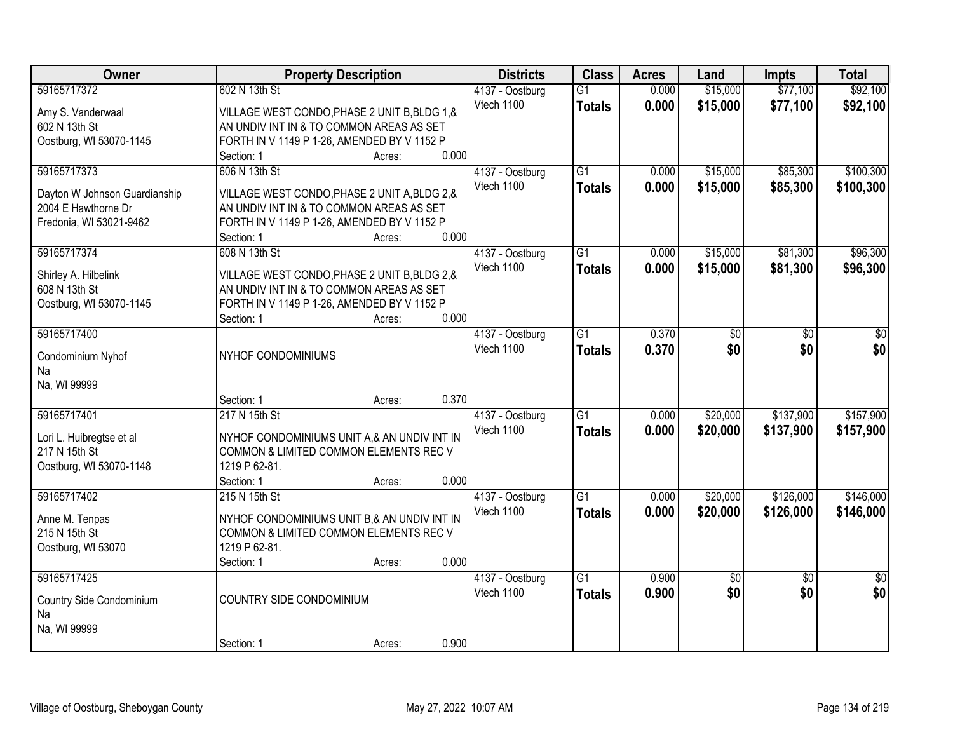| Owner                                          | <b>Property Description</b>                                                             |        |       | <b>Districts</b> | <b>Class</b>    | <b>Acres</b> | Land            | <b>Impts</b>    | <b>Total</b>    |
|------------------------------------------------|-----------------------------------------------------------------------------------------|--------|-------|------------------|-----------------|--------------|-----------------|-----------------|-----------------|
| 59165717372                                    | 602 N 13th St                                                                           |        |       | 4137 - Oostburg  | $\overline{G1}$ | 0.000        | \$15,000        | \$77,100        | \$92,100        |
| Amy S. Vanderwaal                              | VILLAGE WEST CONDO, PHASE 2 UNIT B, BLDG 1, &                                           |        |       | Vtech 1100       | <b>Totals</b>   | 0.000        | \$15,000        | \$77,100        | \$92,100        |
| 602 N 13th St                                  | AN UNDIV INT IN & TO COMMON AREAS AS SET                                                |        |       |                  |                 |              |                 |                 |                 |
| Oostburg, WI 53070-1145                        | FORTH IN V 1149 P 1-26, AMENDED BY V 1152 P                                             |        |       |                  |                 |              |                 |                 |                 |
|                                                | Section: 1                                                                              | Acres: | 0.000 |                  |                 |              |                 |                 |                 |
| 59165717373                                    | 606 N 13th St                                                                           |        |       | 4137 - Oostburg  | $\overline{G1}$ | 0.000        | \$15,000        | \$85,300        | \$100,300       |
|                                                |                                                                                         |        |       | Vtech 1100       | <b>Totals</b>   | 0.000        | \$15,000        | \$85,300        | \$100,300       |
| Dayton W Johnson Guardianship                  | VILLAGE WEST CONDO, PHASE 2 UNIT A, BLDG 2, &                                           |        |       |                  |                 |              |                 |                 |                 |
| 2004 E Hawthorne Dr<br>Fredonia, WI 53021-9462 | AN UNDIV INT IN & TO COMMON AREAS AS SET<br>FORTH IN V 1149 P 1-26, AMENDED BY V 1152 P |        |       |                  |                 |              |                 |                 |                 |
|                                                | Section: 1                                                                              | Acres: | 0.000 |                  |                 |              |                 |                 |                 |
| 59165717374                                    | 608 N 13th St                                                                           |        |       | 4137 - Oostburg  | G1              | 0.000        | \$15,000        | \$81,300        | \$96,300        |
|                                                |                                                                                         |        |       | Vtech 1100       | <b>Totals</b>   | 0.000        | \$15,000        | \$81,300        | \$96,300        |
| Shirley A. Hilbelink                           | VILLAGE WEST CONDO, PHASE 2 UNIT B, BLDG 2, &                                           |        |       |                  |                 |              |                 |                 |                 |
| 608 N 13th St                                  | AN UNDIV INT IN & TO COMMON AREAS AS SET                                                |        |       |                  |                 |              |                 |                 |                 |
| Oostburg, WI 53070-1145                        | FORTH IN V 1149 P 1-26, AMENDED BY V 1152 P                                             |        |       |                  |                 |              |                 |                 |                 |
|                                                | Section: 1                                                                              | Acres: | 0.000 |                  |                 |              |                 |                 |                 |
| 59165717400                                    |                                                                                         |        |       | 4137 - Oostburg  | $\overline{G1}$ | 0.370        | \$0             | \$0             | \$0             |
| Condominium Nyhof                              | NYHOF CONDOMINIUMS                                                                      |        |       | Vtech 1100       | <b>Totals</b>   | 0.370        | \$0             | \$0             | \$0             |
| Na                                             |                                                                                         |        |       |                  |                 |              |                 |                 |                 |
| Na, WI 99999                                   |                                                                                         |        |       |                  |                 |              |                 |                 |                 |
|                                                | Section: 1                                                                              | Acres: | 0.370 |                  |                 |              |                 |                 |                 |
| 59165717401                                    | 217 N 15th St                                                                           |        |       | 4137 - Oostburg  | $\overline{G1}$ | 0.000        | \$20,000        | \$137,900       | \$157,900       |
| Lori L. Huibregtse et al                       | NYHOF CONDOMINIUMS UNIT A,& AN UNDIV INT IN                                             |        |       | Vtech 1100       | <b>Totals</b>   | 0.000        | \$20,000        | \$137,900       | \$157,900       |
| 217 N 15th St                                  | COMMON & LIMITED COMMON ELEMENTS REC V                                                  |        |       |                  |                 |              |                 |                 |                 |
| Oostburg, WI 53070-1148                        | 1219 P 62-81.                                                                           |        |       |                  |                 |              |                 |                 |                 |
|                                                | Section: 1                                                                              | Acres: | 0.000 |                  |                 |              |                 |                 |                 |
| 59165717402                                    | 215 N 15th St                                                                           |        |       | 4137 - Oostburg  | $\overline{G1}$ | 0.000        | \$20,000        | \$126,000       | \$146,000       |
|                                                |                                                                                         |        |       | Vtech 1100       | <b>Totals</b>   | 0.000        | \$20,000        | \$126,000       | \$146,000       |
| Anne M. Tenpas                                 | NYHOF CONDOMINIUMS UNIT B,& AN UNDIV INT IN                                             |        |       |                  |                 |              |                 |                 |                 |
| 215 N 15th St                                  | COMMON & LIMITED COMMON ELEMENTS REC V<br>1219 P 62-81.                                 |        |       |                  |                 |              |                 |                 |                 |
| Oostburg, WI 53070                             |                                                                                         |        | 0.000 |                  |                 |              |                 |                 |                 |
| 59165717425                                    | Section: 1                                                                              | Acres: |       | 4137 - Oostburg  | $\overline{G1}$ | 0.900        | $\overline{60}$ | $\overline{50}$ | $\overline{50}$ |
|                                                |                                                                                         |        |       | Vtech 1100       |                 | 0.900        | \$0             | \$0             | \$0             |
| Country Side Condominium                       | COUNTRY SIDE CONDOMINIUM                                                                |        |       |                  | <b>Totals</b>   |              |                 |                 |                 |
| Na                                             |                                                                                         |        |       |                  |                 |              |                 |                 |                 |
| Na, WI 99999                                   |                                                                                         |        |       |                  |                 |              |                 |                 |                 |
|                                                | Section: 1                                                                              | Acres: | 0.900 |                  |                 |              |                 |                 |                 |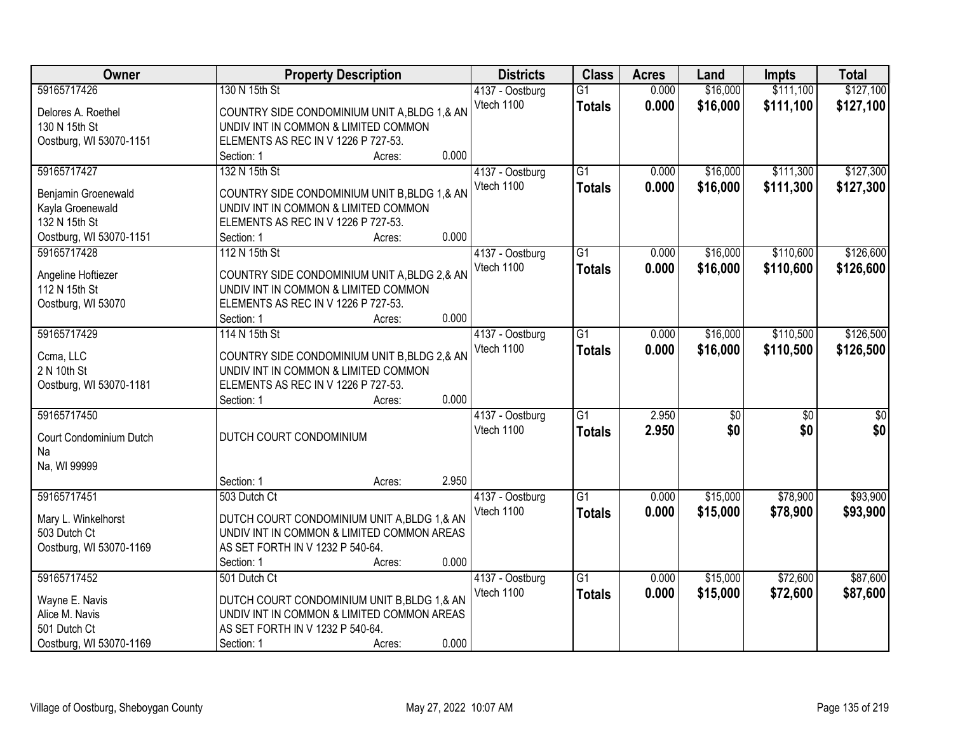| Owner                   | <b>Property Description</b>                   | <b>Districts</b> | <b>Class</b>    | <b>Acres</b> | Land            | <b>Impts</b>    | <b>Total</b> |
|-------------------------|-----------------------------------------------|------------------|-----------------|--------------|-----------------|-----------------|--------------|
| 59165717426             | 130 N 15th St                                 | 4137 - Oostburg  | $\overline{G1}$ | 0.000        | \$16,000        | \$111,100       | \$127,100    |
| Delores A. Roethel      | COUNTRY SIDE CONDOMINIUM UNIT A, BLDG 1, & AN | Vtech 1100       | <b>Totals</b>   | 0.000        | \$16,000        | \$111,100       | \$127,100    |
| 130 N 15th St           | UNDIV INT IN COMMON & LIMITED COMMON          |                  |                 |              |                 |                 |              |
| Oostburg, WI 53070-1151 | ELEMENTS AS REC IN V 1226 P 727-53.           |                  |                 |              |                 |                 |              |
|                         | 0.000<br>Section: 1<br>Acres:                 |                  |                 |              |                 |                 |              |
| 59165717427             | 132 N 15th St                                 | 4137 - Oostburg  | $\overline{G1}$ | 0.000        | \$16,000        | \$111,300       | \$127,300    |
|                         |                                               | Vtech 1100       | <b>Totals</b>   | 0.000        | \$16,000        | \$111,300       | \$127,300    |
| Benjamin Groenewald     | COUNTRY SIDE CONDOMINIUM UNIT B, BLDG 1, & AN |                  |                 |              |                 |                 |              |
| Kayla Groenewald        | UNDIV INT IN COMMON & LIMITED COMMON          |                  |                 |              |                 |                 |              |
| 132 N 15th St           | ELEMENTS AS REC IN V 1226 P 727-53.           |                  |                 |              |                 |                 |              |
| Oostburg, WI 53070-1151 | 0.000<br>Section: 1<br>Acres:                 |                  |                 |              |                 |                 |              |
| 59165717428             | 112 N 15th St                                 | 4137 - Oostburg  | G1              | 0.000        | \$16,000        | \$110,600       | \$126,600    |
| Angeline Hoftiezer      | COUNTRY SIDE CONDOMINIUM UNIT A, BLDG 2, & AN | Vtech 1100       | <b>Totals</b>   | 0.000        | \$16,000        | \$110,600       | \$126,600    |
| 112 N 15th St           | UNDIV INT IN COMMON & LIMITED COMMON          |                  |                 |              |                 |                 |              |
| Oostburg, WI 53070      | ELEMENTS AS REC IN V 1226 P 727-53.           |                  |                 |              |                 |                 |              |
|                         | 0.000<br>Section: 1<br>Acres:                 |                  |                 |              |                 |                 |              |
| 59165717429             | 114 N 15th St                                 | 4137 - Oostburg  | G1              | 0.000        | \$16,000        | \$110,500       | \$126,500    |
|                         |                                               | Vtech 1100       | <b>Totals</b>   | 0.000        | \$16,000        | \$110,500       | \$126,500    |
| Ccma, LLC               | COUNTRY SIDE CONDOMINIUM UNIT B, BLDG 2, & AN |                  |                 |              |                 |                 |              |
| 2 N 10th St             | UNDIV INT IN COMMON & LIMITED COMMON          |                  |                 |              |                 |                 |              |
| Oostburg, WI 53070-1181 | ELEMENTS AS REC IN V 1226 P 727-53.           |                  |                 |              |                 |                 |              |
|                         | 0.000<br>Section: 1<br>Acres:                 |                  |                 |              |                 |                 |              |
| 59165717450             |                                               | 4137 - Oostburg  | $\overline{G1}$ | 2.950        | $\overline{50}$ | $\overline{50}$ | \$0          |
| Court Condominium Dutch | DUTCH COURT CONDOMINIUM                       | Vtech 1100       | <b>Totals</b>   | 2.950        | \$0             | \$0             | \$0          |
| Na                      |                                               |                  |                 |              |                 |                 |              |
| Na, WI 99999            |                                               |                  |                 |              |                 |                 |              |
|                         | 2.950<br>Section: 1<br>Acres:                 |                  |                 |              |                 |                 |              |
| 59165717451             | 503 Dutch Ct                                  | 4137 - Oostburg  | $\overline{G1}$ | 0.000        | \$15,000        | \$78,900        | \$93,900     |
| Mary L. Winkelhorst     | DUTCH COURT CONDOMINIUM UNIT A, BLDG 1,& AN   | Vtech 1100       | <b>Totals</b>   | 0.000        | \$15,000        | \$78,900        | \$93,900     |
| 503 Dutch Ct            | UNDIV INT IN COMMON & LIMITED COMMON AREAS    |                  |                 |              |                 |                 |              |
| Oostburg, WI 53070-1169 | AS SET FORTH IN V 1232 P 540-64.              |                  |                 |              |                 |                 |              |
|                         | 0.000<br>Section: 1<br>Acres:                 |                  |                 |              |                 |                 |              |
| 59165717452             | 501 Dutch Ct                                  | 4137 - Oostburg  | $\overline{G1}$ | 0.000        | \$15,000        | \$72,600        | \$87,600     |
|                         |                                               | Vtech 1100       | <b>Totals</b>   | 0.000        | \$15,000        | \$72,600        | \$87,600     |
| Wayne E. Navis          | DUTCH COURT CONDOMINIUM UNIT B, BLDG 1,& AN   |                  |                 |              |                 |                 |              |
| Alice M. Navis          | UNDIV INT IN COMMON & LIMITED COMMON AREAS    |                  |                 |              |                 |                 |              |
| 501 Dutch Ct            | AS SET FORTH IN V 1232 P 540-64.              |                  |                 |              |                 |                 |              |
| Oostburg, WI 53070-1169 | 0.000<br>Section: 1<br>Acres:                 |                  |                 |              |                 |                 |              |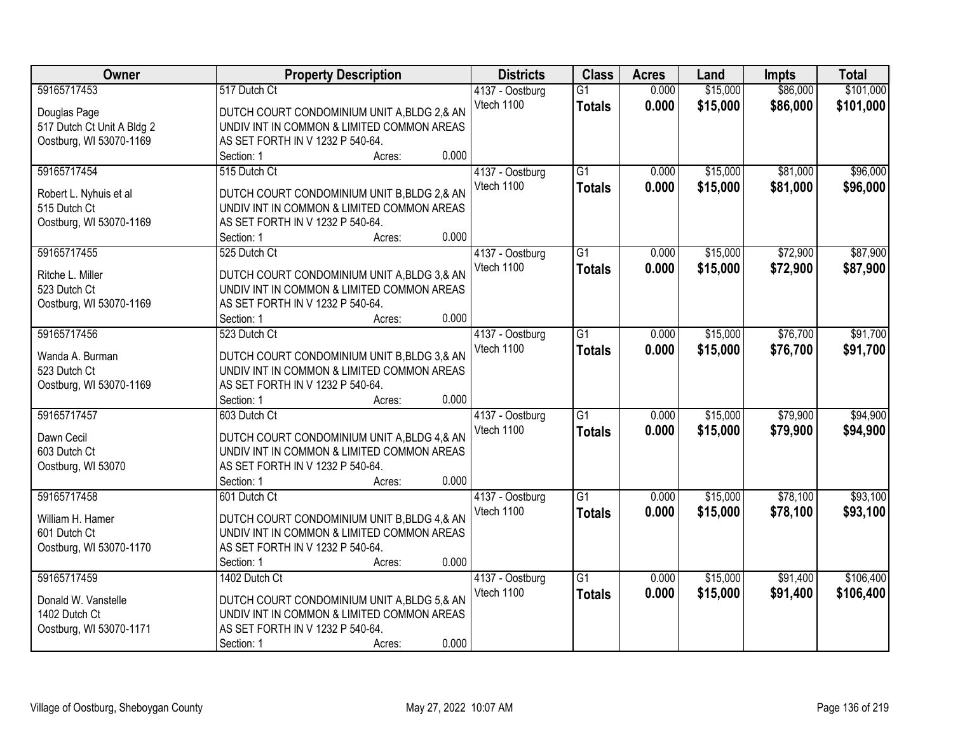| Owner                      | <b>Property Description</b>                                                               | <b>Districts</b> | <b>Class</b>    | <b>Acres</b> | Land     | <b>Impts</b> | <b>Total</b> |
|----------------------------|-------------------------------------------------------------------------------------------|------------------|-----------------|--------------|----------|--------------|--------------|
| 59165717453                | 517 Dutch Ct                                                                              | 4137 - Oostburg  | $\overline{G1}$ | 0.000        | \$15,000 | \$86,000     | \$101,000    |
| Douglas Page               | DUTCH COURT CONDOMINIUM UNIT A, BLDG 2, & AN                                              | Vtech 1100       | <b>Totals</b>   | 0.000        | \$15,000 | \$86,000     | \$101,000    |
| 517 Dutch Ct Unit A Bldg 2 | UNDIV INT IN COMMON & LIMITED COMMON AREAS                                                |                  |                 |              |          |              |              |
| Oostburg, WI 53070-1169    | AS SET FORTH IN V 1232 P 540-64.                                                          |                  |                 |              |          |              |              |
|                            | 0.000<br>Section: 1<br>Acres:                                                             |                  |                 |              |          |              |              |
| 59165717454                | 515 Dutch Ct                                                                              | 4137 - Oostburg  | $\overline{G1}$ | 0.000        | \$15,000 | \$81,000     | \$96,000     |
|                            |                                                                                           | Vtech 1100       | <b>Totals</b>   | 0.000        | \$15,000 | \$81,000     | \$96,000     |
| Robert L. Nyhuis et al     | DUTCH COURT CONDOMINIUM UNIT B, BLDG 2,& AN                                               |                  |                 |              |          |              |              |
| 515 Dutch Ct               | UNDIV INT IN COMMON & LIMITED COMMON AREAS                                                |                  |                 |              |          |              |              |
| Oostburg, WI 53070-1169    | AS SET FORTH IN V 1232 P 540-64.                                                          |                  |                 |              |          |              |              |
|                            | 0.000<br>Section: 1<br>Acres:                                                             |                  |                 |              |          |              |              |
| 59165717455                | 525 Dutch Ct                                                                              | 4137 - Oostburg  | G1              | 0.000        | \$15,000 | \$72,900     | \$87,900     |
| Ritche L. Miller           | DUTCH COURT CONDOMINIUM UNIT A, BLDG 3, & AN                                              | Vtech 1100       | <b>Totals</b>   | 0.000        | \$15,000 | \$72,900     | \$87,900     |
| 523 Dutch Ct               | UNDIV INT IN COMMON & LIMITED COMMON AREAS                                                |                  |                 |              |          |              |              |
| Oostburg, WI 53070-1169    | AS SET FORTH IN V 1232 P 540-64.                                                          |                  |                 |              |          |              |              |
|                            | 0.000<br>Section: 1<br>Acres:                                                             |                  |                 |              |          |              |              |
| 59165717456                | 523 Dutch Ct                                                                              | 4137 - Oostburg  | G1              | 0.000        | \$15,000 | \$76,700     | \$91,700     |
|                            |                                                                                           | Vtech 1100       | <b>Totals</b>   | 0.000        | \$15,000 | \$76,700     | \$91,700     |
| Wanda A. Burman            | DUTCH COURT CONDOMINIUM UNIT B, BLDG 3,& AN<br>UNDIV INT IN COMMON & LIMITED COMMON AREAS |                  |                 |              |          |              |              |
| 523 Dutch Ct               |                                                                                           |                  |                 |              |          |              |              |
| Oostburg, WI 53070-1169    | AS SET FORTH IN V 1232 P 540-64.<br>0.000                                                 |                  |                 |              |          |              |              |
| 59165717457                | Section: 1<br>Acres:<br>603 Dutch Ct                                                      |                  | $\overline{G1}$ | 0.000        | \$15,000 | \$79,900     | \$94,900     |
|                            |                                                                                           | 4137 - Oostburg  |                 |              |          |              |              |
| Dawn Cecil                 | DUTCH COURT CONDOMINIUM UNIT A, BLDG 4, & AN                                              | Vtech 1100       | <b>Totals</b>   | 0.000        | \$15,000 | \$79,900     | \$94,900     |
| 603 Dutch Ct               | UNDIV INT IN COMMON & LIMITED COMMON AREAS                                                |                  |                 |              |          |              |              |
| Oostburg, WI 53070         | AS SET FORTH IN V 1232 P 540-64.                                                          |                  |                 |              |          |              |              |
|                            | 0.000<br>Section: 1<br>Acres:                                                             |                  |                 |              |          |              |              |
| 59165717458                | 601 Dutch Ct                                                                              | 4137 - Oostburg  | $\overline{G1}$ | 0.000        | \$15,000 | \$78,100     | \$93,100     |
| William H. Hamer           | DUTCH COURT CONDOMINIUM UNIT B, BLDG 4,& AN                                               | Vtech 1100       | <b>Totals</b>   | 0.000        | \$15,000 | \$78,100     | \$93,100     |
| 601 Dutch Ct               | UNDIV INT IN COMMON & LIMITED COMMON AREAS                                                |                  |                 |              |          |              |              |
| Oostburg, WI 53070-1170    | AS SET FORTH IN V 1232 P 540-64.                                                          |                  |                 |              |          |              |              |
|                            | 0.000<br>Section: 1<br>Acres:                                                             |                  |                 |              |          |              |              |
| 59165717459                | 1402 Dutch Ct                                                                             | 4137 - Oostburg  | $\overline{G1}$ | 0.000        | \$15,000 | \$91,400     | \$106,400    |
|                            |                                                                                           | Vtech 1100       |                 | 0.000        | \$15,000 | \$91,400     | \$106,400    |
| Donald W. Vanstelle        | DUTCH COURT CONDOMINIUM UNIT A, BLDG 5,& AN                                               |                  | <b>Totals</b>   |              |          |              |              |
| 1402 Dutch Ct              | UNDIV INT IN COMMON & LIMITED COMMON AREAS                                                |                  |                 |              |          |              |              |
| Oostburg, WI 53070-1171    | AS SET FORTH IN V 1232 P 540-64.                                                          |                  |                 |              |          |              |              |
|                            | 0.000<br>Section: 1<br>Acres:                                                             |                  |                 |              |          |              |              |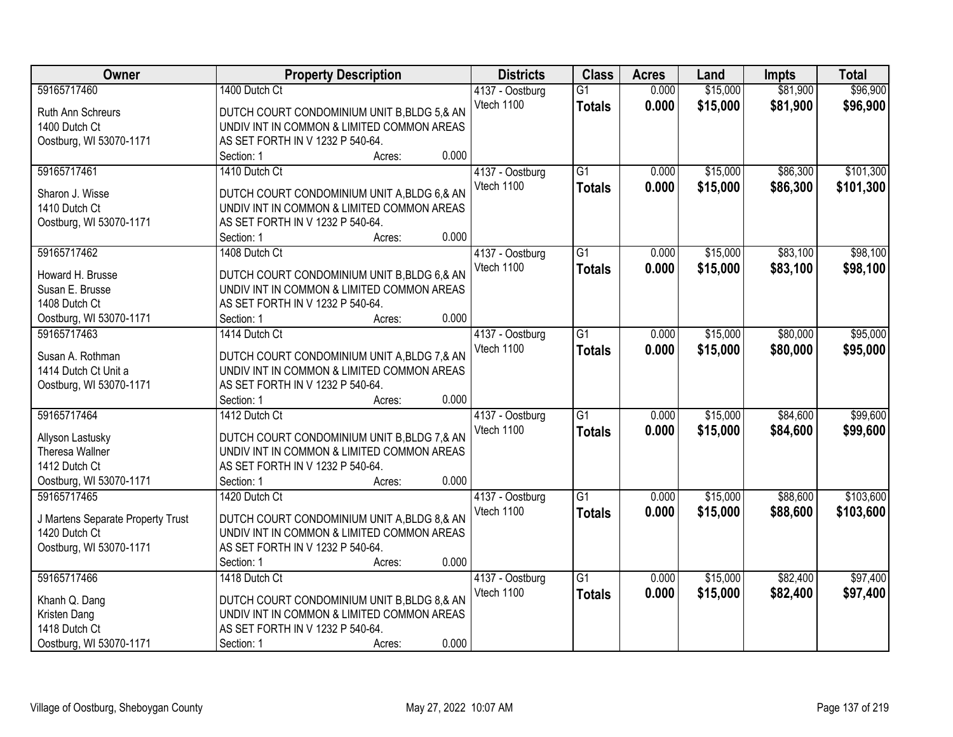| <b>Owner</b>                      | <b>Property Description</b>                  | <b>Districts</b> | <b>Class</b>    | <b>Acres</b> | Land     | <b>Impts</b> | <b>Total</b> |
|-----------------------------------|----------------------------------------------|------------------|-----------------|--------------|----------|--------------|--------------|
| 59165717460                       | 1400 Dutch Ct                                | 4137 - Oostburg  | $\overline{G1}$ | 0.000        | \$15,000 | \$81,900     | \$96,900     |
| Ruth Ann Schreurs                 | DUTCH COURT CONDOMINIUM UNIT B, BLDG 5,& AN  | Vtech 1100       | <b>Totals</b>   | 0.000        | \$15,000 | \$81,900     | \$96,900     |
| 1400 Dutch Ct                     | UNDIV INT IN COMMON & LIMITED COMMON AREAS   |                  |                 |              |          |              |              |
| Oostburg, WI 53070-1171           | AS SET FORTH IN V 1232 P 540-64.             |                  |                 |              |          |              |              |
|                                   | 0.000<br>Section: 1<br>Acres:                |                  |                 |              |          |              |              |
| 59165717461                       | 1410 Dutch Ct                                | 4137 - Oostburg  | $\overline{G1}$ | 0.000        | \$15,000 | \$86,300     | \$101,300    |
|                                   |                                              | Vtech 1100       | <b>Totals</b>   | 0.000        | \$15,000 | \$86,300     | \$101,300    |
| Sharon J. Wisse                   | DUTCH COURT CONDOMINIUM UNIT A, BLDG 6, & AN |                  |                 |              |          |              |              |
| 1410 Dutch Ct                     | UNDIV INT IN COMMON & LIMITED COMMON AREAS   |                  |                 |              |          |              |              |
| Oostburg, WI 53070-1171           | AS SET FORTH IN V 1232 P 540-64.             |                  |                 |              |          |              |              |
|                                   | 0.000<br>Section: 1<br>Acres:                |                  |                 |              |          |              |              |
| 59165717462                       | 1408 Dutch Ct                                | 4137 - Oostburg  | G1              | 0.000        | \$15,000 | \$83,100     | \$98,100     |
| Howard H. Brusse                  | DUTCH COURT CONDOMINIUM UNIT B, BLDG 6,& AN  | Vtech 1100       | <b>Totals</b>   | 0.000        | \$15,000 | \$83,100     | \$98,100     |
| Susan E. Brusse                   | UNDIV INT IN COMMON & LIMITED COMMON AREAS   |                  |                 |              |          |              |              |
| 1408 Dutch Ct                     | AS SET FORTH IN V 1232 P 540-64.             |                  |                 |              |          |              |              |
| Oostburg, WI 53070-1171           | 0.000<br>Section: 1<br>Acres:                |                  |                 |              |          |              |              |
| 59165717463                       | 1414 Dutch Ct                                | 4137 - Oostburg  | $\overline{G1}$ | 0.000        | \$15,000 | \$80,000     | \$95,000     |
|                                   |                                              | Vtech 1100       | <b>Totals</b>   | 0.000        | \$15,000 | \$80,000     | \$95,000     |
| Susan A. Rothman                  | DUTCH COURT CONDOMINIUM UNIT A, BLDG 7, & AN |                  |                 |              |          |              |              |
| 1414 Dutch Ct Unit a              | UNDIV INT IN COMMON & LIMITED COMMON AREAS   |                  |                 |              |          |              |              |
| Oostburg, WI 53070-1171           | AS SET FORTH IN V 1232 P 540-64.             |                  |                 |              |          |              |              |
|                                   | 0.000<br>Section: 1<br>Acres:                |                  |                 |              |          |              |              |
| 59165717464                       | 1412 Dutch Ct                                | 4137 - Oostburg  | $\overline{G1}$ | 0.000        | \$15,000 | \$84,600     | \$99,600     |
| Allyson Lastusky                  | DUTCH COURT CONDOMINIUM UNIT B, BLDG 7, & AN | Vtech 1100       | <b>Totals</b>   | 0.000        | \$15,000 | \$84,600     | \$99,600     |
| Theresa Wallner                   | UNDIV INT IN COMMON & LIMITED COMMON AREAS   |                  |                 |              |          |              |              |
| 1412 Dutch Ct                     | AS SET FORTH IN V 1232 P 540-64.             |                  |                 |              |          |              |              |
| Oostburg, WI 53070-1171           | 0.000<br>Section: 1<br>Acres:                |                  |                 |              |          |              |              |
| 59165717465                       | 1420 Dutch Ct                                | 4137 - Oostburg  | $\overline{G1}$ | 0.000        | \$15,000 | \$88,600     | \$103,600    |
|                                   |                                              | Vtech 1100       | <b>Totals</b>   | 0.000        | \$15,000 | \$88,600     | \$103,600    |
| J Martens Separate Property Trust | DUTCH COURT CONDOMINIUM UNIT A, BLDG 8,& AN  |                  |                 |              |          |              |              |
| 1420 Dutch Ct                     | UNDIV INT IN COMMON & LIMITED COMMON AREAS   |                  |                 |              |          |              |              |
| Oostburg, WI 53070-1171           | AS SET FORTH IN V 1232 P 540-64.             |                  |                 |              |          |              |              |
|                                   | 0.000<br>Section: 1<br>Acres:                |                  |                 |              |          |              |              |
| 59165717466                       | 1418 Dutch Ct                                | 4137 - Oostburg  | $\overline{G1}$ | 0.000        | \$15,000 | \$82,400     | \$97,400     |
| Khanh Q. Dang                     | DUTCH COURT CONDOMINIUM UNIT B, BLDG 8,& AN  | Vtech 1100       | <b>Totals</b>   | 0.000        | \$15,000 | \$82,400     | \$97,400     |
| Kristen Dang                      | UNDIV INT IN COMMON & LIMITED COMMON AREAS   |                  |                 |              |          |              |              |
| 1418 Dutch Ct                     | AS SET FORTH IN V 1232 P 540-64.             |                  |                 |              |          |              |              |
| Oostburg, WI 53070-1171           | 0.000<br>Section: 1<br>Acres:                |                  |                 |              |          |              |              |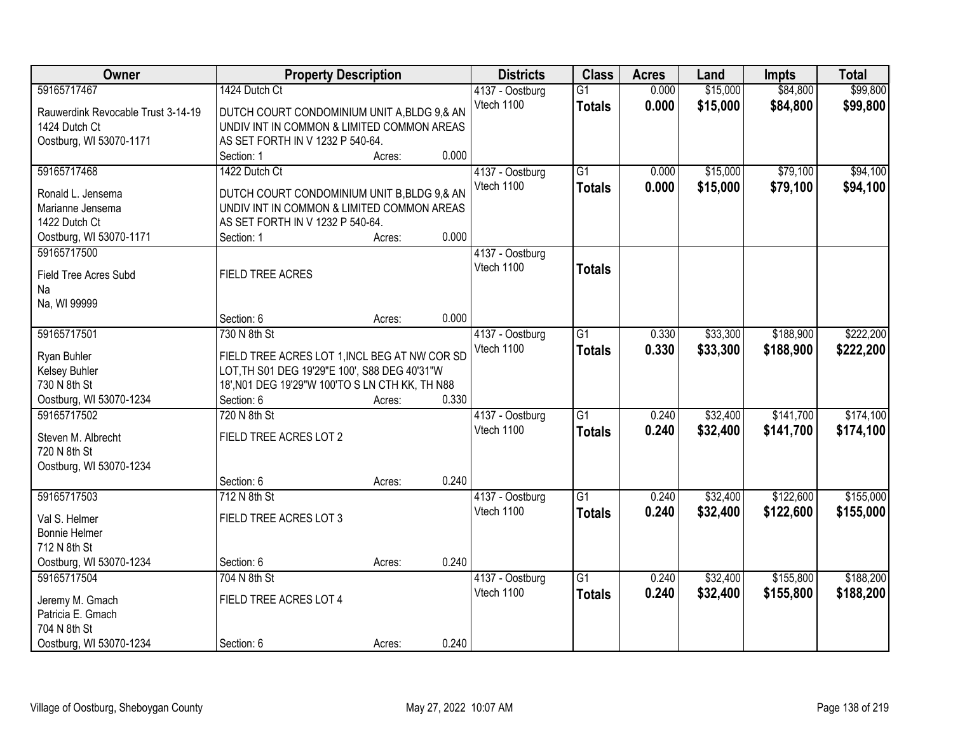| Owner                              | <b>Property Description</b>                     |        |       | <b>Districts</b> | <b>Class</b>    | <b>Acres</b> | Land     | <b>Impts</b> | <b>Total</b> |
|------------------------------------|-------------------------------------------------|--------|-------|------------------|-----------------|--------------|----------|--------------|--------------|
| 59165717467                        | 1424 Dutch Ct                                   |        |       | 4137 - Oostburg  | $\overline{G1}$ | 0.000        | \$15,000 | \$84,800     | \$99,800     |
| Rauwerdink Revocable Trust 3-14-19 | DUTCH COURT CONDOMINIUM UNIT A, BLDG 9,& AN     |        |       | Vtech 1100       | <b>Totals</b>   | 0.000        | \$15,000 | \$84,800     | \$99,800     |
| 1424 Dutch Ct                      | UNDIV INT IN COMMON & LIMITED COMMON AREAS      |        |       |                  |                 |              |          |              |              |
| Oostburg, WI 53070-1171            | AS SET FORTH IN V 1232 P 540-64.                |        |       |                  |                 |              |          |              |              |
|                                    | Section: 1                                      | Acres: | 0.000 |                  |                 |              |          |              |              |
| 59165717468                        | 1422 Dutch Ct                                   |        |       | 4137 - Oostburg  | $\overline{G1}$ | 0.000        | \$15,000 | \$79,100     | \$94,100     |
|                                    |                                                 |        |       | Vtech 1100       | <b>Totals</b>   | 0.000        | \$15,000 | \$79,100     | \$94,100     |
| Ronald L. Jensema                  | DUTCH COURT CONDOMINIUM UNIT B, BLDG 9,& AN     |        |       |                  |                 |              |          |              |              |
| Marianne Jensema                   | UNDIV INT IN COMMON & LIMITED COMMON AREAS      |        |       |                  |                 |              |          |              |              |
| 1422 Dutch Ct                      | AS SET FORTH IN V 1232 P 540-64.                |        |       |                  |                 |              |          |              |              |
| Oostburg, WI 53070-1171            | Section: 1                                      | Acres: | 0.000 |                  |                 |              |          |              |              |
| 59165717500                        |                                                 |        |       | 4137 - Oostburg  |                 |              |          |              |              |
| Field Tree Acres Subd              | FIELD TREE ACRES                                |        |       | Vtech 1100       | <b>Totals</b>   |              |          |              |              |
| Na                                 |                                                 |        |       |                  |                 |              |          |              |              |
| Na, WI 99999                       |                                                 |        |       |                  |                 |              |          |              |              |
|                                    | Section: 6                                      | Acres: | 0.000 |                  |                 |              |          |              |              |
| 59165717501                        | 730 N 8th St                                    |        |       | 4137 - Oostburg  | $\overline{G1}$ | 0.330        | \$33,300 | \$188,900    | \$222,200    |
|                                    |                                                 |        |       | Vtech 1100       | <b>Totals</b>   | 0.330        | \$33,300 | \$188,900    | \$222,200    |
| Ryan Buhler                        | FIELD TREE ACRES LOT 1, INCL BEG AT NW COR SD   |        |       |                  |                 |              |          |              |              |
| Kelsey Buhler                      | LOT, TH S01 DEG 19'29"E 100', S88 DEG 40'31"W   |        |       |                  |                 |              |          |              |              |
| 730 N 8th St                       | 18', N01 DEG 19'29"W 100'TO S LN CTH KK, TH N88 |        |       |                  |                 |              |          |              |              |
| Oostburg, WI 53070-1234            | Section: 6                                      | Acres: | 0.330 |                  |                 |              |          |              |              |
| 59165717502                        | 720 N 8th St                                    |        |       | 4137 - Oostburg  | $\overline{G1}$ | 0.240        | \$32,400 | \$141,700    | \$174,100    |
| Steven M. Albrecht                 | FIELD TREE ACRES LOT 2                          |        |       | Vtech 1100       | <b>Totals</b>   | 0.240        | \$32,400 | \$141,700    | \$174,100    |
| 720 N 8th St                       |                                                 |        |       |                  |                 |              |          |              |              |
| Oostburg, WI 53070-1234            |                                                 |        |       |                  |                 |              |          |              |              |
|                                    | Section: 6                                      | Acres: | 0.240 |                  |                 |              |          |              |              |
| 59165717503                        | 712 N 8th St                                    |        |       | 4137 - Oostburg  | $\overline{G1}$ | 0.240        | \$32,400 | \$122,600    | \$155,000    |
|                                    |                                                 |        |       | Vtech 1100       | <b>Totals</b>   | 0.240        | \$32,400 | \$122,600    | \$155,000    |
| Val S. Helmer                      | FIELD TREE ACRES LOT 3                          |        |       |                  |                 |              |          |              |              |
| Bonnie Helmer                      |                                                 |        |       |                  |                 |              |          |              |              |
| 712 N 8th St                       |                                                 |        | 0.240 |                  |                 |              |          |              |              |
| Oostburg, WI 53070-1234            | Section: 6                                      | Acres: |       |                  |                 |              |          |              |              |
| 59165717504                        | 704 N 8th St                                    |        |       | 4137 - Oostburg  | $\overline{G1}$ | 0.240        | \$32,400 | \$155,800    | \$188,200    |
| Jeremy M. Gmach                    | FIELD TREE ACRES LOT 4                          |        |       | Vtech 1100       | <b>Totals</b>   | 0.240        | \$32,400 | \$155,800    | \$188,200    |
| Patricia E. Gmach                  |                                                 |        |       |                  |                 |              |          |              |              |
| 704 N 8th St                       |                                                 |        |       |                  |                 |              |          |              |              |
| Oostburg, WI 53070-1234            | Section: 6                                      | Acres: | 0.240 |                  |                 |              |          |              |              |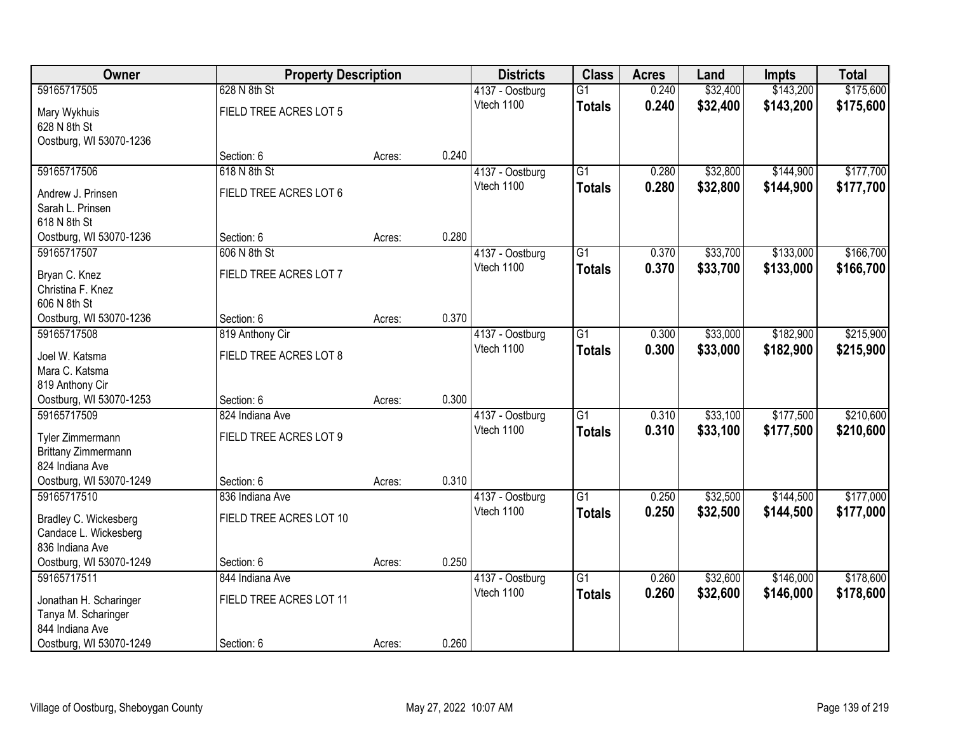| Owner                   | <b>Property Description</b> |        |       | <b>Districts</b> | <b>Class</b>    | <b>Acres</b> | Land     | <b>Impts</b> | <b>Total</b> |
|-------------------------|-----------------------------|--------|-------|------------------|-----------------|--------------|----------|--------------|--------------|
| 59165717505             | 628 N 8th St                |        |       | 4137 - Oostburg  | $\overline{G1}$ | 0.240        | \$32,400 | \$143,200    | \$175,600    |
| Mary Wykhuis            | FIELD TREE ACRES LOT 5      |        |       | Vtech 1100       | <b>Totals</b>   | 0.240        | \$32,400 | \$143,200    | \$175,600    |
| 628 N 8th St            |                             |        |       |                  |                 |              |          |              |              |
| Oostburg, WI 53070-1236 |                             |        |       |                  |                 |              |          |              |              |
|                         | Section: 6                  | Acres: | 0.240 |                  |                 |              |          |              |              |
| 59165717506             | 618 N 8th St                |        |       | 4137 - Oostburg  | $\overline{G1}$ | 0.280        | \$32,800 | \$144,900    | \$177,700    |
| Andrew J. Prinsen       | FIELD TREE ACRES LOT 6      |        |       | Vtech 1100       | <b>Totals</b>   | 0.280        | \$32,800 | \$144,900    | \$177,700    |
| Sarah L. Prinsen        |                             |        |       |                  |                 |              |          |              |              |
| 618 N 8th St            |                             |        |       |                  |                 |              |          |              |              |
| Oostburg, WI 53070-1236 | Section: 6                  | Acres: | 0.280 |                  |                 |              |          |              |              |
| 59165717507             | 606 N 8th St                |        |       | 4137 - Oostburg  | G1              | 0.370        | \$33,700 | \$133,000    | \$166,700    |
| Bryan C. Knez           | FIELD TREE ACRES LOT 7      |        |       | Vtech 1100       | <b>Totals</b>   | 0.370        | \$33,700 | \$133,000    | \$166,700    |
| Christina F. Knez       |                             |        |       |                  |                 |              |          |              |              |
| 606 N 8th St            |                             |        |       |                  |                 |              |          |              |              |
| Oostburg, WI 53070-1236 | Section: 6                  | Acres: | 0.370 |                  |                 |              |          |              |              |
| 59165717508             | 819 Anthony Cir             |        |       | 4137 - Oostburg  | G1              | 0.300        | \$33,000 | \$182,900    | \$215,900    |
| Joel W. Katsma          | FIELD TREE ACRES LOT 8      |        |       | Vtech 1100       | <b>Totals</b>   | 0.300        | \$33,000 | \$182,900    | \$215,900    |
| Mara C. Katsma          |                             |        |       |                  |                 |              |          |              |              |
| 819 Anthony Cir         |                             |        |       |                  |                 |              |          |              |              |
| Oostburg, WI 53070-1253 | Section: 6                  | Acres: | 0.300 |                  |                 |              |          |              |              |
| 59165717509             | 824 Indiana Ave             |        |       | 4137 - Oostburg  | $\overline{G1}$ | 0.310        | \$33,100 | \$177,500    | \$210,600    |
| Tyler Zimmermann        | FIELD TREE ACRES LOT 9      |        |       | Vtech 1100       | <b>Totals</b>   | 0.310        | \$33,100 | \$177,500    | \$210,600    |
| Brittany Zimmermann     |                             |        |       |                  |                 |              |          |              |              |
| 824 Indiana Ave         |                             |        |       |                  |                 |              |          |              |              |
| Oostburg, WI 53070-1249 | Section: 6                  | Acres: | 0.310 |                  |                 |              |          |              |              |
| 59165717510             | 836 Indiana Ave             |        |       | 4137 - Oostburg  | $\overline{G1}$ | 0.250        | \$32,500 | \$144,500    | \$177,000    |
| Bradley C. Wickesberg   | FIELD TREE ACRES LOT 10     |        |       | Vtech 1100       | <b>Totals</b>   | 0.250        | \$32,500 | \$144,500    | \$177,000    |
| Candace L. Wickesberg   |                             |        |       |                  |                 |              |          |              |              |
| 836 Indiana Ave         |                             |        |       |                  |                 |              |          |              |              |
| Oostburg, WI 53070-1249 | Section: 6                  | Acres: | 0.250 |                  |                 |              |          |              |              |
| 59165717511             | 844 Indiana Ave             |        |       | 4137 - Oostburg  | $\overline{G1}$ | 0.260        | \$32,600 | \$146,000    | \$178,600    |
| Jonathan H. Scharinger  | FIELD TREE ACRES LOT 11     |        |       | Vtech 1100       | <b>Totals</b>   | 0.260        | \$32,600 | \$146,000    | \$178,600    |
| Tanya M. Scharinger     |                             |        |       |                  |                 |              |          |              |              |
| 844 Indiana Ave         |                             |        |       |                  |                 |              |          |              |              |
| Oostburg, WI 53070-1249 | Section: 6                  | Acres: | 0.260 |                  |                 |              |          |              |              |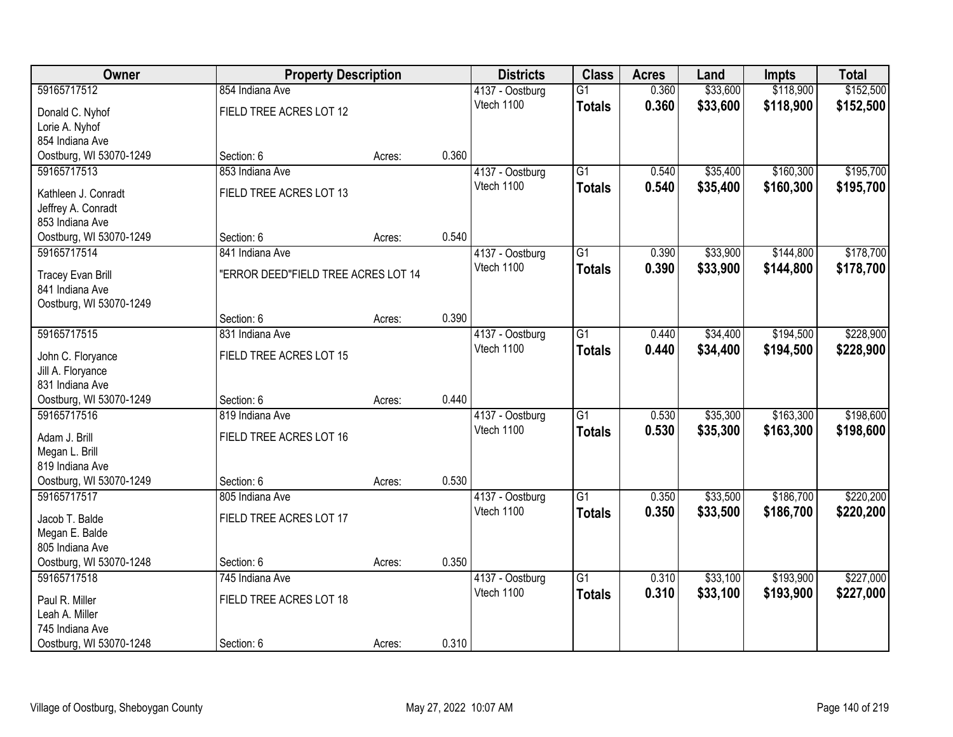| Owner                                       | <b>Property Description</b>         |        |       | <b>Districts</b>              | <b>Class</b>    | <b>Acres</b> | Land     | <b>Impts</b> | <b>Total</b> |
|---------------------------------------------|-------------------------------------|--------|-------|-------------------------------|-----------------|--------------|----------|--------------|--------------|
| 59165717512                                 | 854 Indiana Ave                     |        |       | 4137 - Oostburg               | $\overline{G1}$ | 0.360        | \$33,600 | \$118,900    | \$152,500    |
| Donald C. Nyhof                             | FIELD TREE ACRES LOT 12             |        |       | Vtech 1100                    | <b>Totals</b>   | 0.360        | \$33,600 | \$118,900    | \$152,500    |
| Lorie A. Nyhof                              |                                     |        |       |                               |                 |              |          |              |              |
| 854 Indiana Ave                             |                                     |        |       |                               |                 |              |          |              |              |
| Oostburg, WI 53070-1249                     | Section: 6                          | Acres: | 0.360 |                               |                 |              |          |              |              |
| 59165717513                                 | 853 Indiana Ave                     |        |       | 4137 - Oostburg               | $\overline{G1}$ | 0.540        | \$35,400 | \$160,300    | \$195,700    |
| Kathleen J. Conradt                         | FIELD TREE ACRES LOT 13             |        |       | Vtech 1100                    | <b>Totals</b>   | 0.540        | \$35,400 | \$160,300    | \$195,700    |
| Jeffrey A. Conradt                          |                                     |        |       |                               |                 |              |          |              |              |
| 853 Indiana Ave                             |                                     |        |       |                               |                 |              |          |              |              |
| Oostburg, WI 53070-1249                     | Section: 6                          | Acres: | 0.540 |                               |                 |              |          |              |              |
| 59165717514                                 | 841 Indiana Ave                     |        |       | 4137 - Oostburg               | $\overline{G1}$ | 0.390        | \$33,900 | \$144,800    | \$178,700    |
|                                             |                                     |        |       | Vtech 1100                    | <b>Totals</b>   | 0.390        | \$33,900 | \$144,800    | \$178,700    |
| <b>Tracey Evan Brill</b><br>841 Indiana Ave | "ERROR DEED"FIELD TREE ACRES LOT 14 |        |       |                               |                 |              |          |              |              |
| Oostburg, WI 53070-1249                     |                                     |        |       |                               |                 |              |          |              |              |
|                                             | Section: 6                          | Acres: | 0.390 |                               |                 |              |          |              |              |
| 59165717515                                 | 831 Indiana Ave                     |        |       | 4137 - Oostburg               | $\overline{G1}$ | 0.440        | \$34,400 | \$194,500    | \$228,900    |
|                                             |                                     |        |       | Vtech 1100                    | <b>Totals</b>   | 0.440        | \$34,400 | \$194,500    | \$228,900    |
| John C. Floryance                           | FIELD TREE ACRES LOT 15             |        |       |                               |                 |              |          |              |              |
| Jill A. Floryance<br>831 Indiana Ave        |                                     |        |       |                               |                 |              |          |              |              |
| Oostburg, WI 53070-1249                     | Section: 6                          | Acres: | 0.440 |                               |                 |              |          |              |              |
| 59165717516                                 | 819 Indiana Ave                     |        |       | 4137 - Oostburg               | $\overline{G1}$ | 0.530        | \$35,300 | \$163,300    | \$198,600    |
|                                             |                                     |        |       | Vtech 1100                    | <b>Totals</b>   | 0.530        | \$35,300 | \$163,300    | \$198,600    |
| Adam J. Brill                               | FIELD TREE ACRES LOT 16             |        |       |                               |                 |              |          |              |              |
| Megan L. Brill                              |                                     |        |       |                               |                 |              |          |              |              |
| 819 Indiana Ave                             |                                     |        |       |                               |                 |              |          |              |              |
| Oostburg, WI 53070-1249                     | Section: 6                          | Acres: | 0.530 |                               |                 |              |          |              |              |
| 59165717517                                 | 805 Indiana Ave                     |        |       | 4137 - Oostburg<br>Vtech 1100 | $\overline{G1}$ | 0.350        | \$33,500 | \$186,700    | \$220,200    |
| Jacob T. Balde                              | FIELD TREE ACRES LOT 17             |        |       |                               | <b>Totals</b>   | 0.350        | \$33,500 | \$186,700    | \$220,200    |
| Megan E. Balde                              |                                     |        |       |                               |                 |              |          |              |              |
| 805 Indiana Ave                             |                                     |        |       |                               |                 |              |          |              |              |
| Oostburg, WI 53070-1248                     | Section: 6                          | Acres: | 0.350 |                               |                 |              |          |              |              |
| 59165717518                                 | 745 Indiana Ave                     |        |       | 4137 - Oostburg               | $\overline{G1}$ | 0.310        | \$33,100 | \$193,900    | \$227,000    |
| Paul R. Miller                              | FIELD TREE ACRES LOT 18             |        |       | Vtech 1100                    | <b>Totals</b>   | 0.310        | \$33,100 | \$193,900    | \$227,000    |
| Leah A. Miller                              |                                     |        |       |                               |                 |              |          |              |              |
| 745 Indiana Ave                             |                                     |        |       |                               |                 |              |          |              |              |
| Oostburg, WI 53070-1248                     | Section: 6                          | Acres: | 0.310 |                               |                 |              |          |              |              |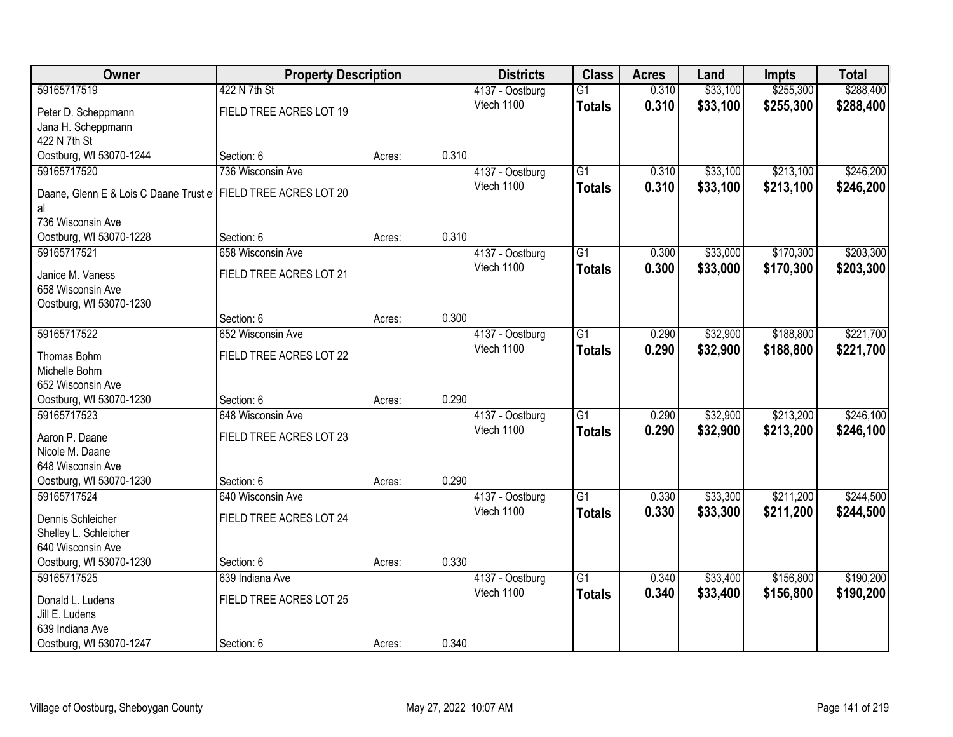| Owner                                       | <b>Property Description</b> |        |       | <b>Districts</b> | <b>Class</b>    | <b>Acres</b> | Land     | <b>Impts</b> | <b>Total</b> |
|---------------------------------------------|-----------------------------|--------|-------|------------------|-----------------|--------------|----------|--------------|--------------|
| 59165717519                                 | 422 N 7th St                |        |       | 4137 - Oostburg  | $\overline{G1}$ | 0.310        | \$33,100 | \$255,300    | \$288,400    |
| Peter D. Scheppmann                         | FIELD TREE ACRES LOT 19     |        |       | Vtech 1100       | <b>Totals</b>   | 0.310        | \$33,100 | \$255,300    | \$288,400    |
| Jana H. Scheppmann                          |                             |        |       |                  |                 |              |          |              |              |
| 422 N 7th St                                |                             |        |       |                  |                 |              |          |              |              |
| Oostburg, WI 53070-1244                     | Section: 6                  | Acres: | 0.310 |                  |                 |              |          |              |              |
| 59165717520                                 | 736 Wisconsin Ave           |        |       | 4137 - Oostburg  | $\overline{G1}$ | 0.310        | \$33,100 | \$213,100    | \$246,200    |
| Daane, Glenn E & Lois C Daane Trust e<br>al | FIELD TREE ACRES LOT 20     |        |       | Vtech 1100       | <b>Totals</b>   | 0.310        | \$33,100 | \$213,100    | \$246,200    |
| 736 Wisconsin Ave                           |                             |        |       |                  |                 |              |          |              |              |
| Oostburg, WI 53070-1228                     | Section: 6                  | Acres: | 0.310 |                  |                 |              |          |              |              |
| 59165717521                                 | 658 Wisconsin Ave           |        |       | 4137 - Oostburg  | G1              | 0.300        | \$33,000 | \$170,300    | \$203,300    |
| Janice M. Vaness                            | FIELD TREE ACRES LOT 21     |        |       | Vtech 1100       | <b>Totals</b>   | 0.300        | \$33,000 | \$170,300    | \$203,300    |
| 658 Wisconsin Ave                           |                             |        |       |                  |                 |              |          |              |              |
| Oostburg, WI 53070-1230                     |                             |        |       |                  |                 |              |          |              |              |
|                                             | Section: 6                  | Acres: | 0.300 |                  |                 |              |          |              |              |
| 59165717522                                 | 652 Wisconsin Ave           |        |       | 4137 - Oostburg  | G1              | 0.290        | \$32,900 | \$188,800    | \$221,700    |
| Thomas Bohm                                 | FIELD TREE ACRES LOT 22     |        |       | Vtech 1100       | <b>Totals</b>   | 0.290        | \$32,900 | \$188,800    | \$221,700    |
| Michelle Bohm                               |                             |        |       |                  |                 |              |          |              |              |
| 652 Wisconsin Ave                           |                             |        |       |                  |                 |              |          |              |              |
| Oostburg, WI 53070-1230                     | Section: 6                  | Acres: | 0.290 |                  |                 |              |          |              |              |
| 59165717523                                 | 648 Wisconsin Ave           |        |       | 4137 - Oostburg  | $\overline{G1}$ | 0.290        | \$32,900 | \$213,200    | \$246,100    |
| Aaron P. Daane                              | FIELD TREE ACRES LOT 23     |        |       | Vtech 1100       | <b>Totals</b>   | 0.290        | \$32,900 | \$213,200    | \$246,100    |
| Nicole M. Daane                             |                             |        |       |                  |                 |              |          |              |              |
| 648 Wisconsin Ave                           |                             |        |       |                  |                 |              |          |              |              |
| Oostburg, WI 53070-1230                     | Section: 6                  | Acres: | 0.290 |                  |                 |              |          |              |              |
| 59165717524                                 | 640 Wisconsin Ave           |        |       | 4137 - Oostburg  | $\overline{G1}$ | 0.330        | \$33,300 | \$211,200    | \$244,500    |
| Dennis Schleicher                           | FIELD TREE ACRES LOT 24     |        |       | Vtech 1100       | <b>Totals</b>   | 0.330        | \$33,300 | \$211,200    | \$244,500    |
| Shelley L. Schleicher                       |                             |        |       |                  |                 |              |          |              |              |
| 640 Wisconsin Ave                           |                             |        |       |                  |                 |              |          |              |              |
| Oostburg, WI 53070-1230                     | Section: 6                  | Acres: | 0.330 |                  |                 |              |          |              |              |
| 59165717525                                 | 639 Indiana Ave             |        |       | 4137 - Oostburg  | $\overline{G1}$ | 0.340        | \$33,400 | \$156,800    | \$190,200    |
| Donald L. Ludens                            | FIELD TREE ACRES LOT 25     |        |       | Vtech 1100       | <b>Totals</b>   | 0.340        | \$33,400 | \$156,800    | \$190,200    |
| Jill E. Ludens                              |                             |        |       |                  |                 |              |          |              |              |
| 639 Indiana Ave                             |                             |        |       |                  |                 |              |          |              |              |
| Oostburg, WI 53070-1247                     | Section: 6                  | Acres: | 0.340 |                  |                 |              |          |              |              |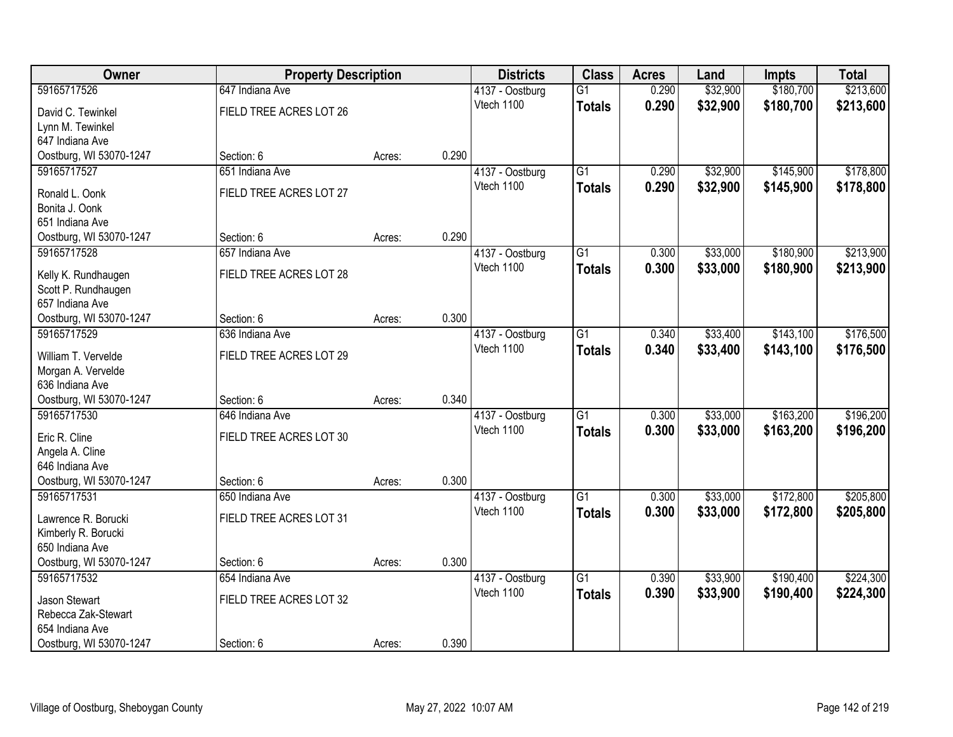| Owner                   | <b>Property Description</b> |        |       | <b>Districts</b> | <b>Class</b>    | <b>Acres</b> | Land     | <b>Impts</b> | <b>Total</b> |
|-------------------------|-----------------------------|--------|-------|------------------|-----------------|--------------|----------|--------------|--------------|
| 59165717526             | 647 Indiana Ave             |        |       | 4137 - Oostburg  | $\overline{G1}$ | 0.290        | \$32,900 | \$180,700    | \$213,600    |
| David C. Tewinkel       | FIELD TREE ACRES LOT 26     |        |       | Vtech 1100       | <b>Totals</b>   | 0.290        | \$32,900 | \$180,700    | \$213,600    |
| Lynn M. Tewinkel        |                             |        |       |                  |                 |              |          |              |              |
| 647 Indiana Ave         |                             |        |       |                  |                 |              |          |              |              |
| Oostburg, WI 53070-1247 | Section: 6                  | Acres: | 0.290 |                  |                 |              |          |              |              |
| 59165717527             | 651 Indiana Ave             |        |       | 4137 - Oostburg  | $\overline{G1}$ | 0.290        | \$32,900 | \$145,900    | \$178,800    |
| Ronald L. Oonk          | FIELD TREE ACRES LOT 27     |        |       | Vtech 1100       | <b>Totals</b>   | 0.290        | \$32,900 | \$145,900    | \$178,800    |
| Bonita J. Oonk          |                             |        |       |                  |                 |              |          |              |              |
| 651 Indiana Ave         |                             |        |       |                  |                 |              |          |              |              |
| Oostburg, WI 53070-1247 | Section: 6                  | Acres: | 0.290 |                  |                 |              |          |              |              |
| 59165717528             | 657 Indiana Ave             |        |       | 4137 - Oostburg  | $\overline{G1}$ | 0.300        | \$33,000 | \$180,900    | \$213,900    |
| Kelly K. Rundhaugen     | FIELD TREE ACRES LOT 28     |        |       | Vtech 1100       | <b>Totals</b>   | 0.300        | \$33,000 | \$180,900    | \$213,900    |
| Scott P. Rundhaugen     |                             |        |       |                  |                 |              |          |              |              |
| 657 Indiana Ave         |                             |        |       |                  |                 |              |          |              |              |
| Oostburg, WI 53070-1247 | Section: 6                  | Acres: | 0.300 |                  |                 |              |          |              |              |
| 59165717529             | 636 Indiana Ave             |        |       | 4137 - Oostburg  | $\overline{G1}$ | 0.340        | \$33,400 | \$143,100    | \$176,500    |
| William T. Vervelde     | FIELD TREE ACRES LOT 29     |        |       | Vtech 1100       | <b>Totals</b>   | 0.340        | \$33,400 | \$143,100    | \$176,500    |
| Morgan A. Vervelde      |                             |        |       |                  |                 |              |          |              |              |
| 636 Indiana Ave         |                             |        |       |                  |                 |              |          |              |              |
| Oostburg, WI 53070-1247 | Section: 6                  | Acres: | 0.340 |                  |                 |              |          |              |              |
| 59165717530             | 646 Indiana Ave             |        |       | 4137 - Oostburg  | $\overline{G1}$ | 0.300        | \$33,000 | \$163,200    | \$196,200    |
| Eric R. Cline           | FIELD TREE ACRES LOT 30     |        |       | Vtech 1100       | <b>Totals</b>   | 0.300        | \$33,000 | \$163,200    | \$196,200    |
| Angela A. Cline         |                             |        |       |                  |                 |              |          |              |              |
| 646 Indiana Ave         |                             |        |       |                  |                 |              |          |              |              |
| Oostburg, WI 53070-1247 | Section: 6                  | Acres: | 0.300 |                  |                 |              |          |              |              |
| 59165717531             | 650 Indiana Ave             |        |       | 4137 - Oostburg  | $\overline{G1}$ | 0.300        | \$33,000 | \$172,800    | \$205,800    |
| Lawrence R. Borucki     | FIELD TREE ACRES LOT 31     |        |       | Vtech 1100       | <b>Totals</b>   | 0.300        | \$33,000 | \$172,800    | \$205,800    |
| Kimberly R. Borucki     |                             |        |       |                  |                 |              |          |              |              |
| 650 Indiana Ave         |                             |        |       |                  |                 |              |          |              |              |
| Oostburg, WI 53070-1247 | Section: 6                  | Acres: | 0.300 |                  |                 |              |          |              |              |
| 59165717532             | 654 Indiana Ave             |        |       | 4137 - Oostburg  | $\overline{G1}$ | 0.390        | \$33,900 | \$190,400    | \$224,300    |
| Jason Stewart           | FIELD TREE ACRES LOT 32     |        |       | Vtech 1100       | <b>Totals</b>   | 0.390        | \$33,900 | \$190,400    | \$224,300    |
| Rebecca Zak-Stewart     |                             |        |       |                  |                 |              |          |              |              |
| 654 Indiana Ave         |                             |        |       |                  |                 |              |          |              |              |
| Oostburg, WI 53070-1247 | Section: 6                  | Acres: | 0.390 |                  |                 |              |          |              |              |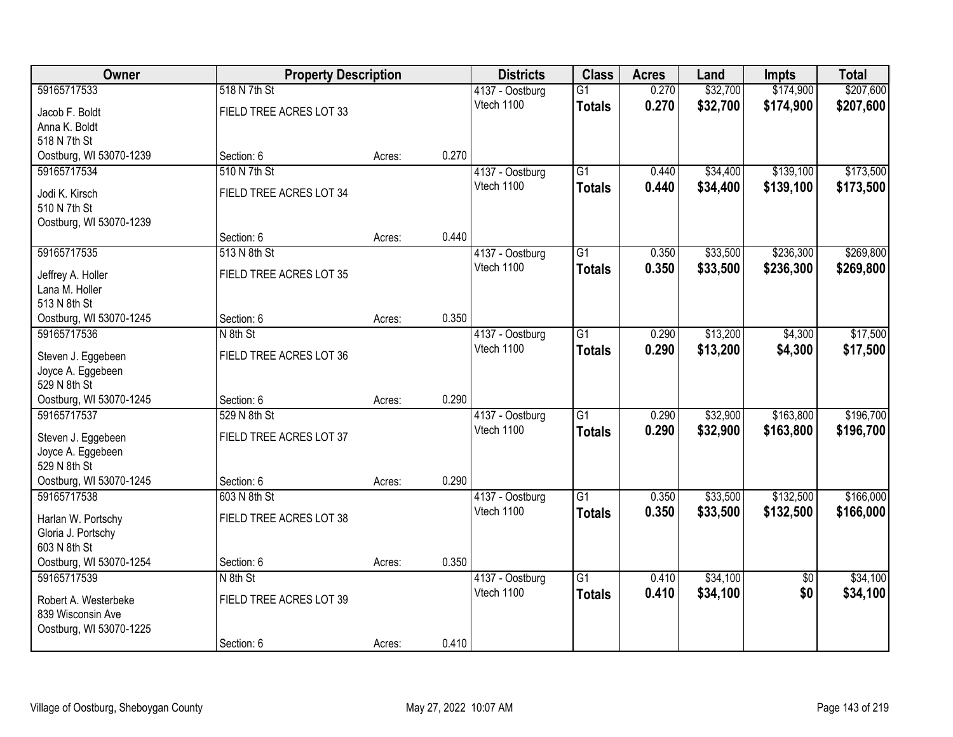| Owner                   | <b>Property Description</b> |        |       | <b>Districts</b> | <b>Class</b>    | <b>Acres</b> | Land     | <b>Impts</b>    | <b>Total</b> |
|-------------------------|-----------------------------|--------|-------|------------------|-----------------|--------------|----------|-----------------|--------------|
| 59165717533             | 518 N 7th St                |        |       | 4137 - Oostburg  | $\overline{G1}$ | 0.270        | \$32,700 | \$174,900       | \$207,600    |
| Jacob F. Boldt          | FIELD TREE ACRES LOT 33     |        |       | Vtech 1100       | <b>Totals</b>   | 0.270        | \$32,700 | \$174,900       | \$207,600    |
| Anna K. Boldt           |                             |        |       |                  |                 |              |          |                 |              |
| 518 N 7th St            |                             |        |       |                  |                 |              |          |                 |              |
| Oostburg, WI 53070-1239 | Section: 6                  | Acres: | 0.270 |                  |                 |              |          |                 |              |
| 59165717534             | 510 N 7th St                |        |       | 4137 - Oostburg  | $\overline{G1}$ | 0.440        | \$34,400 | \$139,100       | \$173,500    |
| Jodi K. Kirsch          | FIELD TREE ACRES LOT 34     |        |       | Vtech 1100       | <b>Totals</b>   | 0.440        | \$34,400 | \$139,100       | \$173,500    |
| 510 N 7th St            |                             |        |       |                  |                 |              |          |                 |              |
| Oostburg, WI 53070-1239 |                             |        |       |                  |                 |              |          |                 |              |
|                         | Section: 6                  | Acres: | 0.440 |                  |                 |              |          |                 |              |
| 59165717535             | 513 N 8th St                |        |       | 4137 - Oostburg  | G1              | 0.350        | \$33,500 | \$236,300       | \$269,800    |
| Jeffrey A. Holler       | FIELD TREE ACRES LOT 35     |        |       | Vtech 1100       | <b>Totals</b>   | 0.350        | \$33,500 | \$236,300       | \$269,800    |
| Lana M. Holler          |                             |        |       |                  |                 |              |          |                 |              |
| 513 N 8th St            |                             |        |       |                  |                 |              |          |                 |              |
| Oostburg, WI 53070-1245 | Section: 6                  | Acres: | 0.350 |                  |                 |              |          |                 |              |
| 59165717536             | N 8th St                    |        |       | 4137 - Oostburg  | $\overline{G1}$ | 0.290        | \$13,200 | \$4,300         | \$17,500     |
| Steven J. Eggebeen      | FIELD TREE ACRES LOT 36     |        |       | Vtech 1100       | <b>Totals</b>   | 0.290        | \$13,200 | \$4,300         | \$17,500     |
| Joyce A. Eggebeen       |                             |        |       |                  |                 |              |          |                 |              |
| 529 N 8th St            |                             |        |       |                  |                 |              |          |                 |              |
| Oostburg, WI 53070-1245 | Section: 6                  | Acres: | 0.290 |                  |                 |              |          |                 |              |
| 59165717537             | 529 N 8th St                |        |       | 4137 - Oostburg  | $\overline{G1}$ | 0.290        | \$32,900 | \$163,800       | \$196,700    |
| Steven J. Eggebeen      | FIELD TREE ACRES LOT 37     |        |       | Vtech 1100       | <b>Totals</b>   | 0.290        | \$32,900 | \$163,800       | \$196,700    |
| Joyce A. Eggebeen       |                             |        |       |                  |                 |              |          |                 |              |
| 529 N 8th St            |                             |        |       |                  |                 |              |          |                 |              |
| Oostburg, WI 53070-1245 | Section: 6                  | Acres: | 0.290 |                  |                 |              |          |                 |              |
| 59165717538             | 603 N 8th St                |        |       | 4137 - Oostburg  | $\overline{G1}$ | 0.350        | \$33,500 | \$132,500       | \$166,000    |
| Harlan W. Portschy      | FIELD TREE ACRES LOT 38     |        |       | Vtech 1100       | <b>Totals</b>   | 0.350        | \$33,500 | \$132,500       | \$166,000    |
| Gloria J. Portschy      |                             |        |       |                  |                 |              |          |                 |              |
| 603 N 8th St            |                             |        |       |                  |                 |              |          |                 |              |
| Oostburg, WI 53070-1254 | Section: 6                  | Acres: | 0.350 |                  |                 |              |          |                 |              |
| 59165717539             | N 8th St                    |        |       | 4137 - Oostburg  | $\overline{G1}$ | 0.410        | \$34,100 | $\overline{50}$ | \$34,100     |
| Robert A. Westerbeke    | FIELD TREE ACRES LOT 39     |        |       | Vtech 1100       | <b>Totals</b>   | 0.410        | \$34,100 | \$0             | \$34,100     |
| 839 Wisconsin Ave       |                             |        |       |                  |                 |              |          |                 |              |
| Oostburg, WI 53070-1225 |                             |        |       |                  |                 |              |          |                 |              |
|                         | Section: 6                  | Acres: | 0.410 |                  |                 |              |          |                 |              |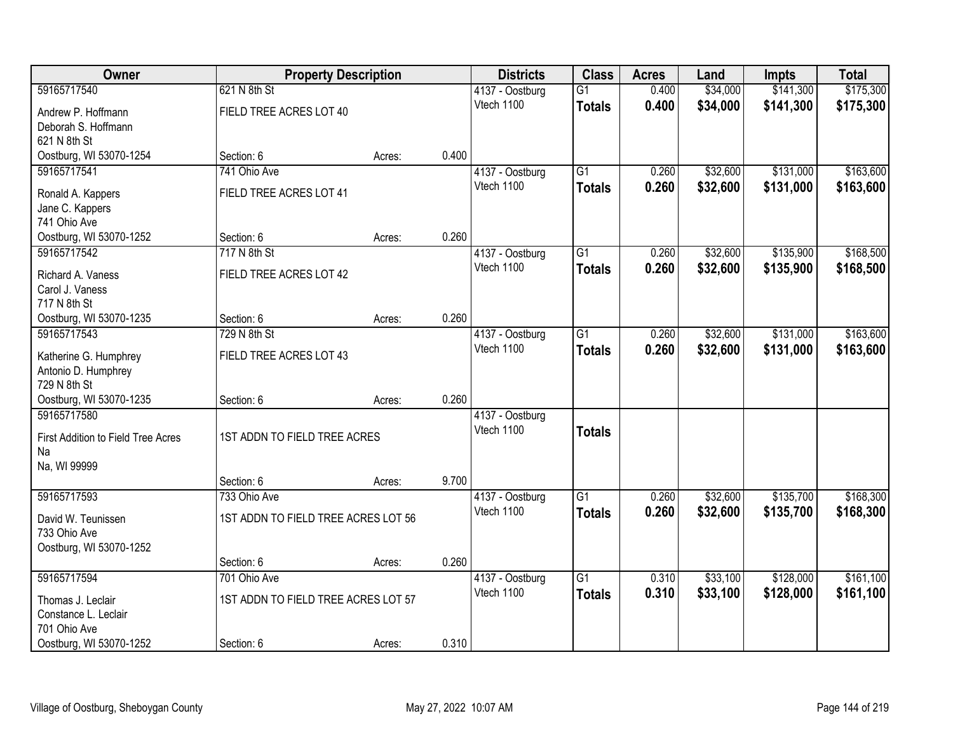| Owner                              | <b>Property Description</b>         |        |       | <b>Districts</b> | <b>Class</b>    | <b>Acres</b> | Land     | <b>Impts</b> | <b>Total</b> |
|------------------------------------|-------------------------------------|--------|-------|------------------|-----------------|--------------|----------|--------------|--------------|
| 59165717540                        | 621 N 8th St                        |        |       | 4137 - Oostburg  | $\overline{G1}$ | 0.400        | \$34,000 | \$141,300    | \$175,300    |
| Andrew P. Hoffmann                 | FIELD TREE ACRES LOT 40             |        |       | Vtech 1100       | <b>Totals</b>   | 0.400        | \$34,000 | \$141,300    | \$175,300    |
| Deborah S. Hoffmann                |                                     |        |       |                  |                 |              |          |              |              |
| 621 N 8th St                       |                                     |        |       |                  |                 |              |          |              |              |
| Oostburg, WI 53070-1254            | Section: 6                          | Acres: | 0.400 |                  |                 |              |          |              |              |
| 59165717541                        | 741 Ohio Ave                        |        |       | 4137 - Oostburg  | $\overline{G1}$ | 0.260        | \$32,600 | \$131,000    | \$163,600    |
| Ronald A. Kappers                  | FIELD TREE ACRES LOT 41             |        |       | Vtech 1100       | <b>Totals</b>   | 0.260        | \$32,600 | \$131,000    | \$163,600    |
| Jane C. Kappers                    |                                     |        |       |                  |                 |              |          |              |              |
| 741 Ohio Ave                       |                                     |        |       |                  |                 |              |          |              |              |
| Oostburg, WI 53070-1252            | Section: 6                          | Acres: | 0.260 |                  |                 |              |          |              |              |
| 59165717542                        | 717 N 8th St                        |        |       | 4137 - Oostburg  | G1              | 0.260        | \$32,600 | \$135,900    | \$168,500    |
| Richard A. Vaness                  | FIELD TREE ACRES LOT 42             |        |       | Vtech 1100       | <b>Totals</b>   | 0.260        | \$32,600 | \$135,900    | \$168,500    |
| Carol J. Vaness                    |                                     |        |       |                  |                 |              |          |              |              |
| 717 N 8th St                       |                                     |        |       |                  |                 |              |          |              |              |
| Oostburg, WI 53070-1235            | Section: 6                          | Acres: | 0.260 |                  |                 |              |          |              |              |
| 59165717543                        | 729 N 8th St                        |        |       | 4137 - Oostburg  | G1              | 0.260        | \$32,600 | \$131,000    | \$163,600    |
| Katherine G. Humphrey              | FIELD TREE ACRES LOT 43             |        |       | Vtech 1100       | <b>Totals</b>   | 0.260        | \$32,600 | \$131,000    | \$163,600    |
| Antonio D. Humphrey                |                                     |        |       |                  |                 |              |          |              |              |
| 729 N 8th St                       |                                     |        |       |                  |                 |              |          |              |              |
| Oostburg, WI 53070-1235            | Section: 6                          | Acres: | 0.260 |                  |                 |              |          |              |              |
| 59165717580                        |                                     |        |       | 4137 - Oostburg  |                 |              |          |              |              |
| First Addition to Field Tree Acres | 1ST ADDN TO FIELD TREE ACRES        |        |       | Vtech 1100       | <b>Totals</b>   |              |          |              |              |
| Na                                 |                                     |        |       |                  |                 |              |          |              |              |
| Na, WI 99999                       |                                     |        |       |                  |                 |              |          |              |              |
|                                    | Section: 6                          | Acres: | 9.700 |                  |                 |              |          |              |              |
| 59165717593                        | 733 Ohio Ave                        |        |       | 4137 - Oostburg  | $\overline{G1}$ | 0.260        | \$32,600 | \$135,700    | \$168,300    |
| David W. Teunissen                 | 1ST ADDN TO FIELD TREE ACRES LOT 56 |        |       | Vtech 1100       | <b>Totals</b>   | 0.260        | \$32,600 | \$135,700    | \$168,300    |
| 733 Ohio Ave                       |                                     |        |       |                  |                 |              |          |              |              |
| Oostburg, WI 53070-1252            |                                     |        |       |                  |                 |              |          |              |              |
|                                    | Section: 6                          | Acres: | 0.260 |                  |                 |              |          |              |              |
| 59165717594                        | 701 Ohio Ave                        |        |       | 4137 - Oostburg  | $\overline{G1}$ | 0.310        | \$33,100 | \$128,000    | \$161,100    |
| Thomas J. Leclair                  | 1ST ADDN TO FIELD TREE ACRES LOT 57 |        |       | Vtech 1100       | <b>Totals</b>   | 0.310        | \$33,100 | \$128,000    | \$161,100    |
| Constance L. Leclair               |                                     |        |       |                  |                 |              |          |              |              |
| 701 Ohio Ave                       |                                     |        |       |                  |                 |              |          |              |              |
| Oostburg, WI 53070-1252            | Section: 6                          | Acres: | 0.310 |                  |                 |              |          |              |              |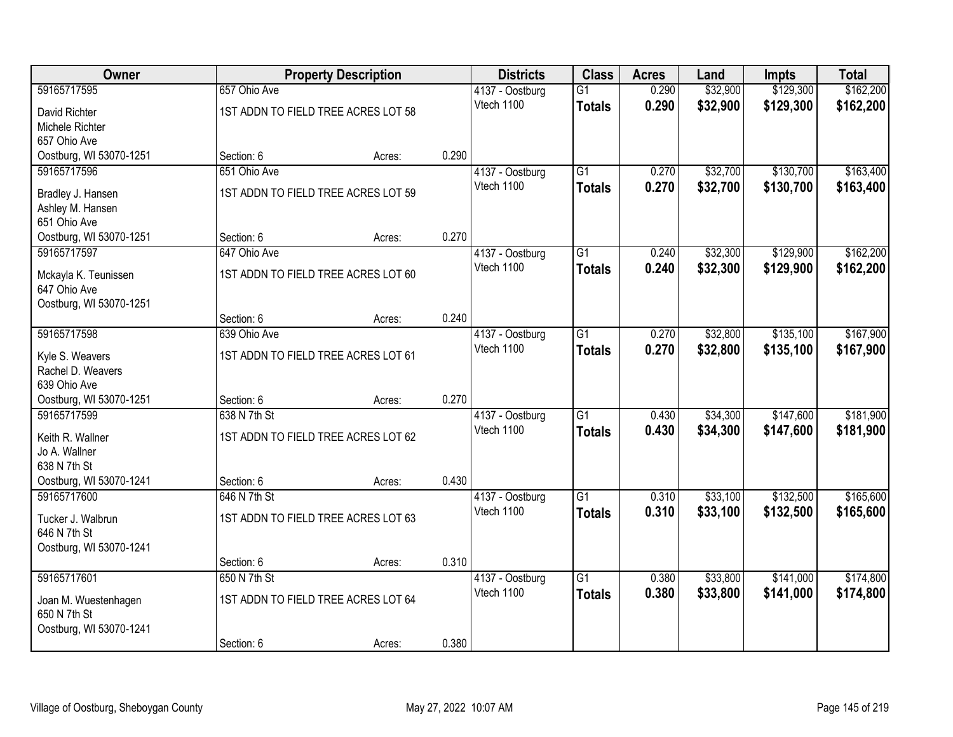| Owner                   |                                     | <b>Property Description</b> |       | <b>Districts</b> | <b>Class</b>    | <b>Acres</b> | Land     | <b>Impts</b> | <b>Total</b> |
|-------------------------|-------------------------------------|-----------------------------|-------|------------------|-----------------|--------------|----------|--------------|--------------|
| 59165717595             | 657 Ohio Ave                        |                             |       | 4137 - Oostburg  | $\overline{G1}$ | 0.290        | \$32,900 | \$129,300    | \$162,200    |
| David Richter           | 1ST ADDN TO FIELD TREE ACRES LOT 58 |                             |       | Vtech 1100       | <b>Totals</b>   | 0.290        | \$32,900 | \$129,300    | \$162,200    |
| Michele Richter         |                                     |                             |       |                  |                 |              |          |              |              |
| 657 Ohio Ave            |                                     |                             |       |                  |                 |              |          |              |              |
| Oostburg, WI 53070-1251 | Section: 6                          | Acres:                      | 0.290 |                  |                 |              |          |              |              |
| 59165717596             | 651 Ohio Ave                        |                             |       | 4137 - Oostburg  | $\overline{G1}$ | 0.270        | \$32,700 | \$130,700    | \$163,400    |
| Bradley J. Hansen       | 1ST ADDN TO FIELD TREE ACRES LOT 59 |                             |       | Vtech 1100       | <b>Totals</b>   | 0.270        | \$32,700 | \$130,700    | \$163,400    |
| Ashley M. Hansen        |                                     |                             |       |                  |                 |              |          |              |              |
| 651 Ohio Ave            |                                     |                             |       |                  |                 |              |          |              |              |
| Oostburg, WI 53070-1251 | Section: 6                          | Acres:                      | 0.270 |                  |                 |              |          |              |              |
| 59165717597             | 647 Ohio Ave                        |                             |       | 4137 - Oostburg  | G1              | 0.240        | \$32,300 | \$129,900    | \$162,200    |
| Mckayla K. Teunissen    | 1ST ADDN TO FIELD TREE ACRES LOT 60 |                             |       | Vtech 1100       | <b>Totals</b>   | 0.240        | \$32,300 | \$129,900    | \$162,200    |
| 647 Ohio Ave            |                                     |                             |       |                  |                 |              |          |              |              |
| Oostburg, WI 53070-1251 |                                     |                             |       |                  |                 |              |          |              |              |
|                         | Section: 6                          | Acres:                      | 0.240 |                  |                 |              |          |              |              |
| 59165717598             | 639 Ohio Ave                        |                             |       | 4137 - Oostburg  | G1              | 0.270        | \$32,800 | \$135,100    | \$167,900    |
| Kyle S. Weavers         | 1ST ADDN TO FIELD TREE ACRES LOT 61 |                             |       | Vtech 1100       | <b>Totals</b>   | 0.270        | \$32,800 | \$135,100    | \$167,900    |
| Rachel D. Weavers       |                                     |                             |       |                  |                 |              |          |              |              |
| 639 Ohio Ave            |                                     |                             |       |                  |                 |              |          |              |              |
| Oostburg, WI 53070-1251 | Section: 6                          | Acres:                      | 0.270 |                  |                 |              |          |              |              |
| 59165717599             | 638 N 7th St                        |                             |       | 4137 - Oostburg  | $\overline{G1}$ | 0.430        | \$34,300 | \$147,600    | \$181,900    |
| Keith R. Wallner        | 1ST ADDN TO FIELD TREE ACRES LOT 62 |                             |       | Vtech 1100       | <b>Totals</b>   | 0.430        | \$34,300 | \$147,600    | \$181,900    |
| Jo A. Wallner           |                                     |                             |       |                  |                 |              |          |              |              |
| 638 N 7th St            |                                     |                             |       |                  |                 |              |          |              |              |
| Oostburg, WI 53070-1241 | Section: 6                          | Acres:                      | 0.430 |                  |                 |              |          |              |              |
| 59165717600             | 646 N 7th St                        |                             |       | 4137 - Oostburg  | $\overline{G1}$ | 0.310        | \$33,100 | \$132,500    | \$165,600    |
| Tucker J. Walbrun       | 1ST ADDN TO FIELD TREE ACRES LOT 63 |                             |       | Vtech 1100       | <b>Totals</b>   | 0.310        | \$33,100 | \$132,500    | \$165,600    |
| 646 N 7th St            |                                     |                             |       |                  |                 |              |          |              |              |
| Oostburg, WI 53070-1241 |                                     |                             |       |                  |                 |              |          |              |              |
|                         | Section: 6                          | Acres:                      | 0.310 |                  |                 |              |          |              |              |
| 59165717601             | 650 N 7th St                        |                             |       | 4137 - Oostburg  | $\overline{G1}$ | 0.380        | \$33,800 | \$141,000    | \$174,800    |
| Joan M. Wuestenhagen    | 1ST ADDN TO FIELD TREE ACRES LOT 64 |                             |       | Vtech 1100       | <b>Totals</b>   | 0.380        | \$33,800 | \$141,000    | \$174,800    |
| 650 N 7th St            |                                     |                             |       |                  |                 |              |          |              |              |
| Oostburg, WI 53070-1241 |                                     |                             |       |                  |                 |              |          |              |              |
|                         | Section: 6                          | Acres:                      | 0.380 |                  |                 |              |          |              |              |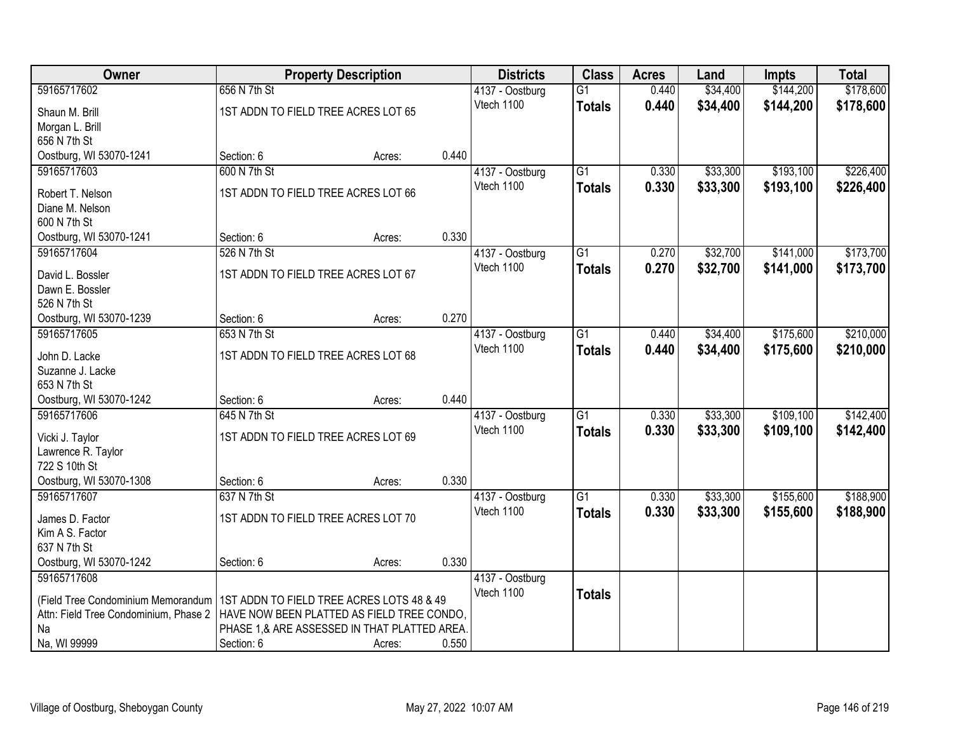| Owner                                       |                                     | <b>Property Description</b>                           |       | <b>Districts</b> | <b>Class</b>    | <b>Acres</b> | Land     | <b>Impts</b> | <b>Total</b> |
|---------------------------------------------|-------------------------------------|-------------------------------------------------------|-------|------------------|-----------------|--------------|----------|--------------|--------------|
| 59165717602                                 | 656 N 7th St                        |                                                       |       | 4137 - Oostburg  | $\overline{G1}$ | 0.440        | \$34,400 | \$144,200    | \$178,600    |
| Shaun M. Brill                              | 1ST ADDN TO FIELD TREE ACRES LOT 65 |                                                       |       | Vtech 1100       | <b>Totals</b>   | 0.440        | \$34,400 | \$144,200    | \$178,600    |
| Morgan L. Brill                             |                                     |                                                       |       |                  |                 |              |          |              |              |
| 656 N 7th St                                |                                     |                                                       |       |                  |                 |              |          |              |              |
| Oostburg, WI 53070-1241                     | Section: 6                          | Acres:                                                | 0.440 |                  |                 |              |          |              |              |
| 59165717603                                 | 600 N 7th St                        |                                                       |       | 4137 - Oostburg  | $\overline{G1}$ | 0.330        | \$33,300 | \$193,100    | \$226,400    |
| Robert T. Nelson                            | 1ST ADDN TO FIELD TREE ACRES LOT 66 |                                                       |       | Vtech 1100       | <b>Totals</b>   | 0.330        | \$33,300 | \$193,100    | \$226,400    |
| Diane M. Nelson                             |                                     |                                                       |       |                  |                 |              |          |              |              |
| 600 N 7th St                                |                                     |                                                       |       |                  |                 |              |          |              |              |
| Oostburg, WI 53070-1241                     | Section: 6                          | Acres:                                                | 0.330 |                  |                 |              |          |              |              |
| 59165717604                                 | 526 N 7th St                        |                                                       |       | 4137 - Oostburg  | $\overline{G1}$ | 0.270        | \$32,700 | \$141,000    | \$173,700    |
| David L. Bossler                            | 1ST ADDN TO FIELD TREE ACRES LOT 67 |                                                       |       | Vtech 1100       | <b>Totals</b>   | 0.270        | \$32,700 | \$141,000    | \$173,700    |
| Dawn E. Bossler                             |                                     |                                                       |       |                  |                 |              |          |              |              |
| 526 N 7th St                                |                                     |                                                       |       |                  |                 |              |          |              |              |
| Oostburg, WI 53070-1239                     | Section: 6                          | Acres:                                                | 0.270 |                  |                 |              |          |              |              |
| 59165717605                                 | 653 N 7th St                        |                                                       |       | 4137 - Oostburg  | $\overline{G1}$ | 0.440        | \$34,400 | \$175,600    | \$210,000    |
|                                             | 1ST ADDN TO FIELD TREE ACRES LOT 68 |                                                       |       | Vtech 1100       | <b>Totals</b>   | 0.440        | \$34,400 | \$175,600    | \$210,000    |
| John D. Lacke<br>Suzanne J. Lacke           |                                     |                                                       |       |                  |                 |              |          |              |              |
| 653 N 7th St                                |                                     |                                                       |       |                  |                 |              |          |              |              |
| Oostburg, WI 53070-1242                     | Section: 6                          | Acres:                                                | 0.440 |                  |                 |              |          |              |              |
| 59165717606                                 | 645 N 7th St                        |                                                       |       | 4137 - Oostburg  | $\overline{G1}$ | 0.330        | \$33,300 | \$109,100    | \$142,400    |
|                                             |                                     |                                                       |       | Vtech 1100       | <b>Totals</b>   | 0.330        | \$33,300 | \$109,100    | \$142,400    |
| Vicki J. Taylor                             | 1ST ADDN TO FIELD TREE ACRES LOT 69 |                                                       |       |                  |                 |              |          |              |              |
| Lawrence R. Taylor<br>722 S 10th St         |                                     |                                                       |       |                  |                 |              |          |              |              |
| Oostburg, WI 53070-1308                     | Section: 6                          | Acres:                                                | 0.330 |                  |                 |              |          |              |              |
| 59165717607                                 | 637 N 7th St                        |                                                       |       | 4137 - Oostburg  | $\overline{G1}$ | 0.330        | \$33,300 | \$155,600    | \$188,900    |
|                                             |                                     |                                                       |       | Vtech 1100       | <b>Totals</b>   | 0.330        | \$33,300 | \$155,600    | \$188,900    |
| James D. Factor                             | 1ST ADDN TO FIELD TREE ACRES LOT 70 |                                                       |       |                  |                 |              |          |              |              |
| Kim A S. Factor<br>637 N 7th St             |                                     |                                                       |       |                  |                 |              |          |              |              |
| Oostburg, WI 53070-1242                     | Section: 6                          | Acres:                                                | 0.330 |                  |                 |              |          |              |              |
| 59165717608                                 |                                     |                                                       |       | 4137 - Oostburg  |                 |              |          |              |              |
|                                             |                                     |                                                       |       | Vtech 1100       | <b>Totals</b>   |              |          |              |              |
| (Field Tree Condominium Memorandum          |                                     | 1ST ADDN TO FIELD TREE ACRES LOTS 48 & 49             |       |                  |                 |              |          |              |              |
| Attn: Field Tree Condominium, Phase 2<br>Na |                                     | HAVE NOW BEEN PLATTED AS FIELD TREE CONDO,            |       |                  |                 |              |          |              |              |
| Na, WI 99999                                | Section: 6                          | PHASE 1,& ARE ASSESSED IN THAT PLATTED AREA<br>Acres: | 0.550 |                  |                 |              |          |              |              |
|                                             |                                     |                                                       |       |                  |                 |              |          |              |              |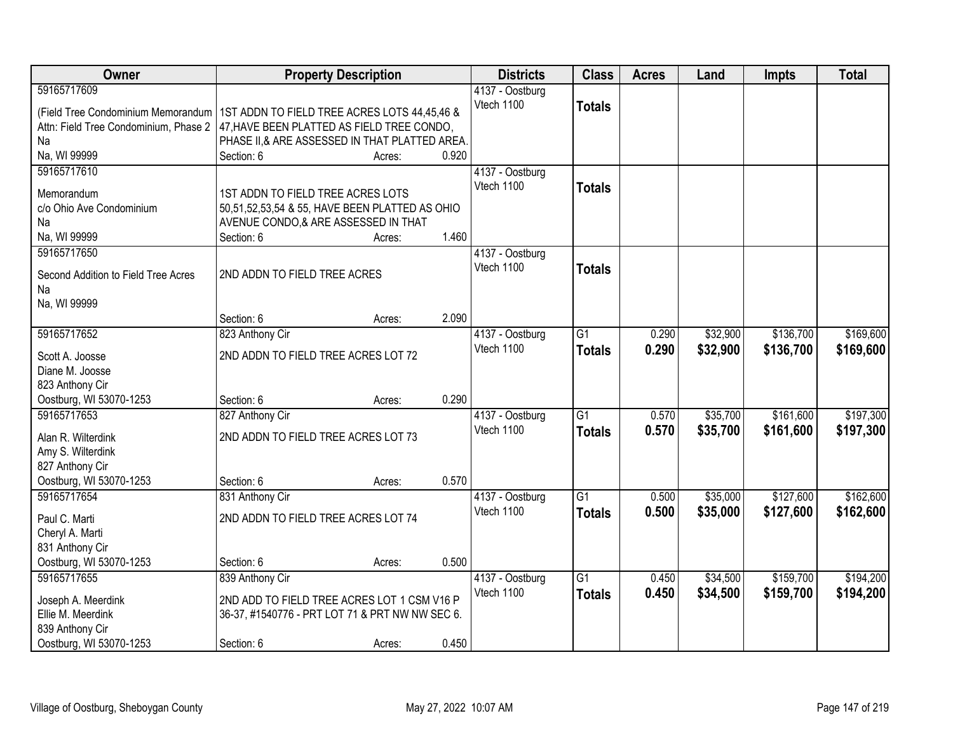| Owner                                 |                                                 | <b>Property Description</b> |       | <b>Districts</b>              | <b>Class</b>    | <b>Acres</b> | Land     | <b>Impts</b> | <b>Total</b> |
|---------------------------------------|-------------------------------------------------|-----------------------------|-------|-------------------------------|-----------------|--------------|----------|--------------|--------------|
| 59165717609                           |                                                 |                             |       | 4137 - Oostburg               |                 |              |          |              |              |
| (Field Tree Condominium Memorandum    | 1ST ADDN TO FIELD TREE ACRES LOTS 44,45,46 &    |                             |       | Vtech 1100                    | <b>Totals</b>   |              |          |              |              |
| Attn: Field Tree Condominium, Phase 2 | 47, HAVE BEEN PLATTED AS FIELD TREE CONDO,      |                             |       |                               |                 |              |          |              |              |
| Na                                    | PHASE II, & ARE ASSESSED IN THAT PLATTED AREA.  |                             |       |                               |                 |              |          |              |              |
| Na, WI 99999                          | Section: 6                                      | Acres:                      | 0.920 |                               |                 |              |          |              |              |
| 59165717610                           |                                                 |                             |       | 4137 - Oostburg               |                 |              |          |              |              |
|                                       |                                                 |                             |       | Vtech 1100                    | <b>Totals</b>   |              |          |              |              |
| Memorandum                            | 1ST ADDN TO FIELD TREE ACRES LOTS               |                             |       |                               |                 |              |          |              |              |
| c/o Ohio Ave Condominium              | 50,51,52,53,54 & 55, HAVE BEEN PLATTED AS OHIO  |                             |       |                               |                 |              |          |              |              |
| Na                                    | AVENUE CONDO,& ARE ASSESSED IN THAT             |                             | 1.460 |                               |                 |              |          |              |              |
| Na, WI 99999<br>59165717650           | Section: 6                                      | Acres:                      |       |                               |                 |              |          |              |              |
|                                       |                                                 |                             |       | 4137 - Oostburg<br>Vtech 1100 |                 |              |          |              |              |
| Second Addition to Field Tree Acres   | 2ND ADDN TO FIELD TREE ACRES                    |                             |       |                               | <b>Totals</b>   |              |          |              |              |
| Na                                    |                                                 |                             |       |                               |                 |              |          |              |              |
| Na, WI 99999                          |                                                 |                             |       |                               |                 |              |          |              |              |
|                                       | Section: 6                                      | Acres:                      | 2.090 |                               |                 |              |          |              |              |
| 59165717652                           | 823 Anthony Cir                                 |                             |       | 4137 - Oostburg               | $\overline{G1}$ | 0.290        | \$32,900 | \$136,700    | \$169,600    |
| Scott A. Joosse                       | 2ND ADDN TO FIELD TREE ACRES LOT 72             |                             |       | Vtech 1100                    | <b>Totals</b>   | 0.290        | \$32,900 | \$136,700    | \$169,600    |
| Diane M. Joosse                       |                                                 |                             |       |                               |                 |              |          |              |              |
| 823 Anthony Cir                       |                                                 |                             |       |                               |                 |              |          |              |              |
| Oostburg, WI 53070-1253               | Section: 6                                      | Acres:                      | 0.290 |                               |                 |              |          |              |              |
| 59165717653                           | 827 Anthony Cir                                 |                             |       | 4137 - Oostburg               | $\overline{G1}$ | 0.570        | \$35,700 | \$161,600    | \$197,300    |
|                                       |                                                 |                             |       | Vtech 1100                    | <b>Totals</b>   | 0.570        | \$35,700 | \$161,600    | \$197,300    |
| Alan R. Wilterdink                    | 2ND ADDN TO FIELD TREE ACRES LOT 73             |                             |       |                               |                 |              |          |              |              |
| Amy S. Wilterdink                     |                                                 |                             |       |                               |                 |              |          |              |              |
| 827 Anthony Cir                       |                                                 |                             |       |                               |                 |              |          |              |              |
| Oostburg, WI 53070-1253               | Section: 6                                      | Acres:                      | 0.570 |                               |                 |              |          |              |              |
| 59165717654                           | 831 Anthony Cir                                 |                             |       | 4137 - Oostburg               | $\overline{G1}$ | 0.500        | \$35,000 | \$127,600    | \$162,600    |
| Paul C. Marti                         | 2ND ADDN TO FIELD TREE ACRES LOT 74             |                             |       | Vtech 1100                    | <b>Totals</b>   | 0.500        | \$35,000 | \$127,600    | \$162,600    |
| Cheryl A. Marti                       |                                                 |                             |       |                               |                 |              |          |              |              |
| 831 Anthony Cir                       |                                                 |                             |       |                               |                 |              |          |              |              |
| Oostburg, WI 53070-1253               | Section: 6                                      | Acres:                      | 0.500 |                               |                 |              |          |              |              |
| 59165717655                           | 839 Anthony Cir                                 |                             |       | 4137 - Oostburg               | $\overline{G1}$ | 0.450        | \$34,500 | \$159,700    | \$194,200    |
|                                       |                                                 |                             |       | Vtech 1100                    | <b>Totals</b>   | 0.450        | \$34,500 | \$159,700    | \$194,200    |
| Joseph A. Meerdink                    | 2ND ADD TO FIELD TREE ACRES LOT 1 CSM V16 P     |                             |       |                               |                 |              |          |              |              |
| Ellie M. Meerdink                     | 36-37, #1540776 - PRT LOT 71 & PRT NW NW SEC 6. |                             |       |                               |                 |              |          |              |              |
| 839 Anthony Cir                       |                                                 |                             |       |                               |                 |              |          |              |              |
| Oostburg, WI 53070-1253               | Section: 6                                      | Acres:                      | 0.450 |                               |                 |              |          |              |              |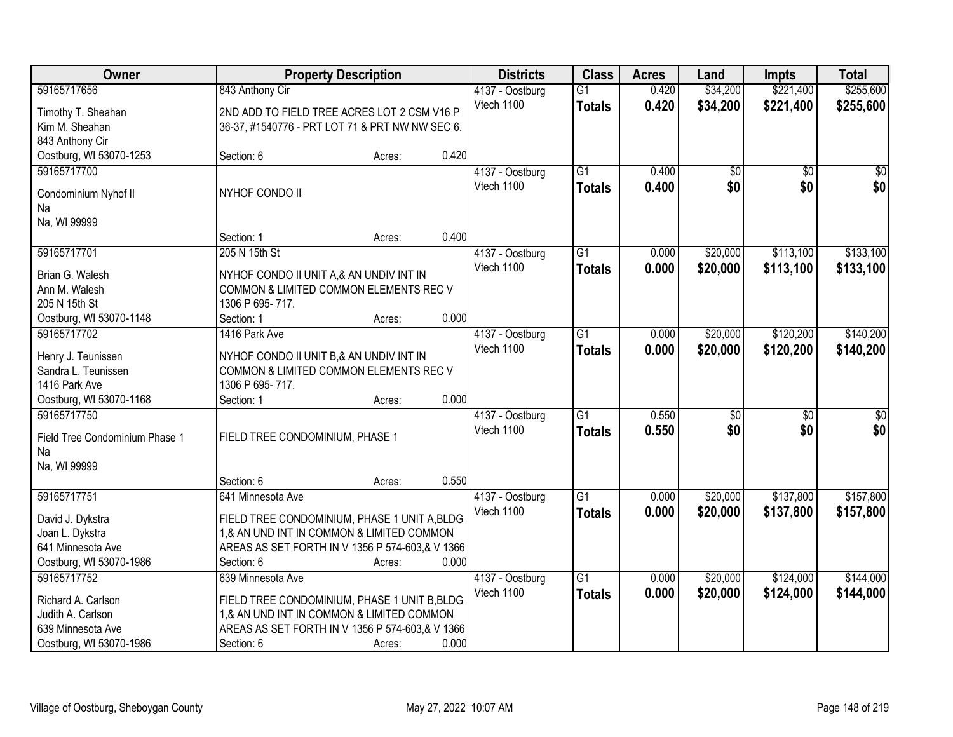| Owner                          |                                                 | <b>Property Description</b> |       | <b>Districts</b>              | <b>Class</b>    | <b>Acres</b> | Land            | <b>Impts</b>    | <b>Total</b> |
|--------------------------------|-------------------------------------------------|-----------------------------|-------|-------------------------------|-----------------|--------------|-----------------|-----------------|--------------|
| 59165717656                    | 843 Anthony Cir                                 |                             |       | 4137 - Oostburg               | $\overline{G1}$ | 0.420        | \$34,200        | \$221,400       | \$255,600    |
| Timothy T. Sheahan             | 2ND ADD TO FIELD TREE ACRES LOT 2 CSM V16 P     |                             |       | Vtech 1100                    | <b>Totals</b>   | 0.420        | \$34,200        | \$221,400       | \$255,600    |
| Kim M. Sheahan                 | 36-37, #1540776 - PRT LOT 71 & PRT NW NW SEC 6. |                             |       |                               |                 |              |                 |                 |              |
| 843 Anthony Cir                |                                                 |                             |       |                               |                 |              |                 |                 |              |
| Oostburg, WI 53070-1253        | Section: 6                                      | Acres:                      | 0.420 |                               |                 |              |                 |                 |              |
| 59165717700                    |                                                 |                             |       | 4137 - Oostburg               | $\overline{G1}$ | 0.400        | \$0             | $\overline{50}$ | \$0          |
|                                |                                                 |                             |       | Vtech 1100                    | <b>Totals</b>   | 0.400        | \$0             | \$0             | \$0          |
| Condominium Nyhof II           | NYHOF CONDO II                                  |                             |       |                               |                 |              |                 |                 |              |
| Na                             |                                                 |                             |       |                               |                 |              |                 |                 |              |
| Na, WI 99999                   | Section: 1                                      |                             | 0.400 |                               |                 |              |                 |                 |              |
|                                |                                                 | Acres:                      |       |                               |                 |              |                 | \$113,100       | \$133,100    |
| 59165717701                    | 205 N 15th St                                   |                             |       | 4137 - Oostburg<br>Vtech 1100 | G1              | 0.000        | \$20,000        |                 |              |
| Brian G. Walesh                | NYHOF CONDO II UNIT A,& AN UNDIV INT IN         |                             |       |                               | <b>Totals</b>   | 0.000        | \$20,000        | \$113,100       | \$133,100    |
| Ann M. Walesh                  | COMMON & LIMITED COMMON ELEMENTS REC V          |                             |       |                               |                 |              |                 |                 |              |
| 205 N 15th St                  | 1306 P 695-717.                                 |                             |       |                               |                 |              |                 |                 |              |
| Oostburg, WI 53070-1148        | Section: 1                                      | Acres:                      | 0.000 |                               |                 |              |                 |                 |              |
| 59165717702                    | 1416 Park Ave                                   |                             |       | 4137 - Oostburg               | $\overline{G1}$ | 0.000        | \$20,000        | \$120,200       | \$140,200    |
| Henry J. Teunissen             | NYHOF CONDO II UNIT B,& AN UNDIV INT IN         |                             |       | Vtech 1100                    | <b>Totals</b>   | 0.000        | \$20,000        | \$120,200       | \$140,200    |
| Sandra L. Teunissen            | COMMON & LIMITED COMMON ELEMENTS REC V          |                             |       |                               |                 |              |                 |                 |              |
| 1416 Park Ave                  | 1306 P 695-717.                                 |                             |       |                               |                 |              |                 |                 |              |
| Oostburg, WI 53070-1168        | Section: 1                                      | Acres:                      | 0.000 |                               |                 |              |                 |                 |              |
| 59165717750                    |                                                 |                             |       | 4137 - Oostburg               | $\overline{G1}$ | 0.550        | $\overline{50}$ | $\overline{50}$ | \$0          |
|                                |                                                 |                             |       | Vtech 1100                    | <b>Totals</b>   | 0.550        | \$0             | \$0             | \$0          |
| Field Tree Condominium Phase 1 | FIELD TREE CONDOMINIUM, PHASE 1                 |                             |       |                               |                 |              |                 |                 |              |
| Na                             |                                                 |                             |       |                               |                 |              |                 |                 |              |
| Na, WI 99999                   |                                                 |                             |       |                               |                 |              |                 |                 |              |
|                                | Section: 6                                      | Acres:                      | 0.550 |                               |                 |              |                 |                 |              |
| 59165717751                    | 641 Minnesota Ave                               |                             |       | 4137 - Oostburg               | $\overline{G1}$ | 0.000        | \$20,000        | \$137,800       | \$157,800    |
| David J. Dykstra               | FIELD TREE CONDOMINIUM, PHASE 1 UNIT A, BLDG    |                             |       | Vtech 1100                    | <b>Totals</b>   | 0.000        | \$20,000        | \$137,800       | \$157,800    |
| Joan L. Dykstra                | 1,& AN UND INT IN COMMON & LIMITED COMMON       |                             |       |                               |                 |              |                 |                 |              |
| 641 Minnesota Ave              | AREAS AS SET FORTH IN V 1356 P 574-603,& V 1366 |                             |       |                               |                 |              |                 |                 |              |
| Oostburg, WI 53070-1986        | Section: 6                                      | Acres:                      | 0.000 |                               |                 |              |                 |                 |              |
| 59165717752                    | 639 Minnesota Ave                               |                             |       | 4137 - Oostburg               | $\overline{G1}$ | 0.000        | \$20,000        | \$124,000       | \$144,000    |
| Richard A. Carlson             | FIELD TREE CONDOMINIUM, PHASE 1 UNIT B, BLDG    |                             |       | Vtech 1100                    | <b>Totals</b>   | 0.000        | \$20,000        | \$124,000       | \$144,000    |
| Judith A. Carlson              | 1.& AN UND INT IN COMMON & LIMITED COMMON       |                             |       |                               |                 |              |                 |                 |              |
| 639 Minnesota Ave              | AREAS AS SET FORTH IN V 1356 P 574-603,& V 1366 |                             |       |                               |                 |              |                 |                 |              |
| Oostburg, WI 53070-1986        | Section: 6                                      | Acres:                      | 0.000 |                               |                 |              |                 |                 |              |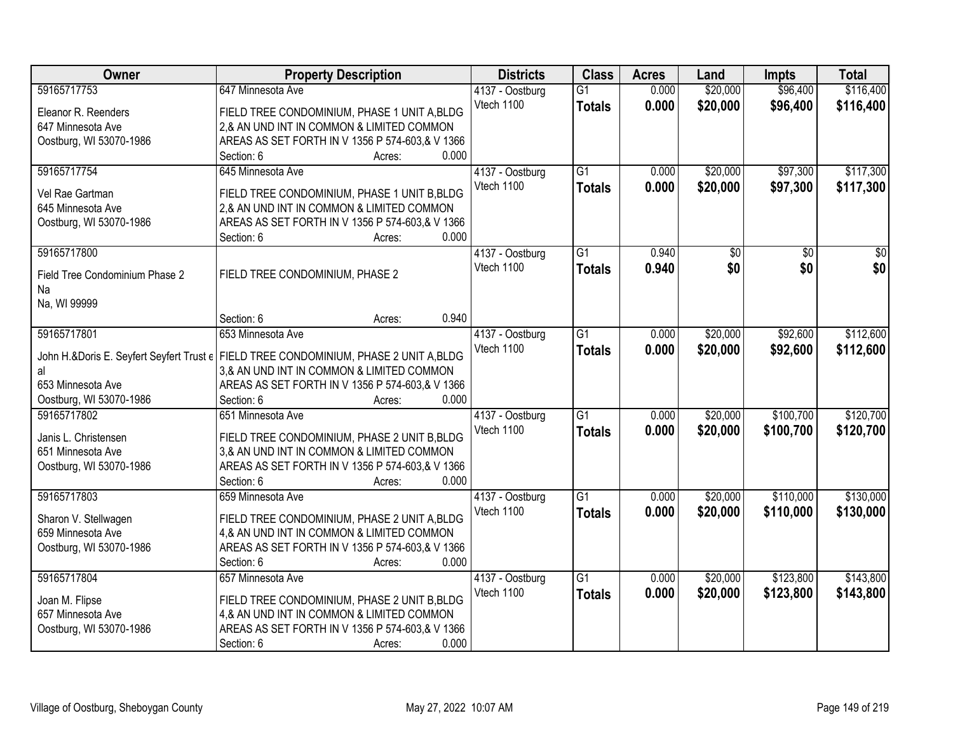| 59165717753<br>647 Minnesota Ave<br>$\overline{G1}$<br>0.000<br>\$20,000<br>\$96,400<br>\$116,400<br>4137 - Oostburg<br>\$20,000<br>Vtech 1100<br>0.000<br>\$96,400<br>\$116,400<br><b>Totals</b><br>FIELD TREE CONDOMINIUM, PHASE 1 UNIT A, BLDG<br>Eleanor R. Reenders<br>2,& AN UND INT IN COMMON & LIMITED COMMON<br>647 Minnesota Ave<br>AREAS AS SET FORTH IN V 1356 P 574-603,& V 1366<br>Oostburg, WI 53070-1986<br>0.000<br>Section: 6<br>Acres:<br>\$97,300<br>\$117,300<br>59165717754<br>645 Minnesota Ave<br>$\overline{G1}$<br>\$20,000<br>4137 - Oostburg<br>0.000<br>Vtech 1100<br>0.000<br>\$20,000<br>\$97,300<br>\$117,300<br><b>Totals</b><br>Vel Rae Gartman<br>FIELD TREE CONDOMINIUM, PHASE 1 UNIT B, BLDG<br>645 Minnesota Ave<br>2,& AN UND INT IN COMMON & LIMITED COMMON<br>AREAS AS SET FORTH IN V 1356 P 574-603,& V 1366<br>Oostburg, WI 53070-1986<br>0.000 |
|--------------------------------------------------------------------------------------------------------------------------------------------------------------------------------------------------------------------------------------------------------------------------------------------------------------------------------------------------------------------------------------------------------------------------------------------------------------------------------------------------------------------------------------------------------------------------------------------------------------------------------------------------------------------------------------------------------------------------------------------------------------------------------------------------------------------------------------------------------------------------------------------|
|                                                                                                                                                                                                                                                                                                                                                                                                                                                                                                                                                                                                                                                                                                                                                                                                                                                                                            |
|                                                                                                                                                                                                                                                                                                                                                                                                                                                                                                                                                                                                                                                                                                                                                                                                                                                                                            |
|                                                                                                                                                                                                                                                                                                                                                                                                                                                                                                                                                                                                                                                                                                                                                                                                                                                                                            |
|                                                                                                                                                                                                                                                                                                                                                                                                                                                                                                                                                                                                                                                                                                                                                                                                                                                                                            |
|                                                                                                                                                                                                                                                                                                                                                                                                                                                                                                                                                                                                                                                                                                                                                                                                                                                                                            |
|                                                                                                                                                                                                                                                                                                                                                                                                                                                                                                                                                                                                                                                                                                                                                                                                                                                                                            |
|                                                                                                                                                                                                                                                                                                                                                                                                                                                                                                                                                                                                                                                                                                                                                                                                                                                                                            |
|                                                                                                                                                                                                                                                                                                                                                                                                                                                                                                                                                                                                                                                                                                                                                                                                                                                                                            |
|                                                                                                                                                                                                                                                                                                                                                                                                                                                                                                                                                                                                                                                                                                                                                                                                                                                                                            |
|                                                                                                                                                                                                                                                                                                                                                                                                                                                                                                                                                                                                                                                                                                                                                                                                                                                                                            |
| Section: 6<br>Acres:<br>59165717800<br>$\overline{G1}$<br>0.940<br>$\overline{50}$<br>$\overline{50}$<br>$\overline{50}$                                                                                                                                                                                                                                                                                                                                                                                                                                                                                                                                                                                                                                                                                                                                                                   |
| 4137 - Oostburg<br>\$0<br>Vtech 1100                                                                                                                                                                                                                                                                                                                                                                                                                                                                                                                                                                                                                                                                                                                                                                                                                                                       |
| \$0<br>\$0<br>0.940<br><b>Totals</b><br>FIELD TREE CONDOMINIUM, PHASE 2<br>Field Tree Condominium Phase 2                                                                                                                                                                                                                                                                                                                                                                                                                                                                                                                                                                                                                                                                                                                                                                                  |
| Na                                                                                                                                                                                                                                                                                                                                                                                                                                                                                                                                                                                                                                                                                                                                                                                                                                                                                         |
| Na, WI 99999                                                                                                                                                                                                                                                                                                                                                                                                                                                                                                                                                                                                                                                                                                                                                                                                                                                                               |
| 0.940<br>Section: 6<br>Acres:                                                                                                                                                                                                                                                                                                                                                                                                                                                                                                                                                                                                                                                                                                                                                                                                                                                              |
| 59165717801<br>653 Minnesota Ave<br>$\overline{G1}$<br>\$20,000<br>\$92,600<br>\$112,600<br>0.000<br>4137 - Oostburg                                                                                                                                                                                                                                                                                                                                                                                                                                                                                                                                                                                                                                                                                                                                                                       |
| Vtech 1100<br>0.000<br>\$20,000<br>\$92,600<br>\$112,600<br><b>Totals</b><br>John H.&Doris E. Seyfert Seyfert Trust e   FIELD TREE CONDOMINIUM, PHASE 2 UNIT A, BLDG                                                                                                                                                                                                                                                                                                                                                                                                                                                                                                                                                                                                                                                                                                                       |
| 3,& AN UND INT IN COMMON & LIMITED COMMON<br>al                                                                                                                                                                                                                                                                                                                                                                                                                                                                                                                                                                                                                                                                                                                                                                                                                                            |
| 653 Minnesota Ave<br>AREAS AS SET FORTH IN V 1356 P 574-603,& V 1366                                                                                                                                                                                                                                                                                                                                                                                                                                                                                                                                                                                                                                                                                                                                                                                                                       |
| 0.000<br>Oostburg, WI 53070-1986<br>Section: 6<br>Acres:                                                                                                                                                                                                                                                                                                                                                                                                                                                                                                                                                                                                                                                                                                                                                                                                                                   |
| $\overline{G1}$<br>\$20,000<br>\$100,700<br>\$120,700<br>59165717802<br>0.000<br>651 Minnesota Ave<br>4137 - Oostburg                                                                                                                                                                                                                                                                                                                                                                                                                                                                                                                                                                                                                                                                                                                                                                      |
| 0.000<br>\$20,000<br>\$100,700<br>\$120,700<br>Vtech 1100<br><b>Totals</b>                                                                                                                                                                                                                                                                                                                                                                                                                                                                                                                                                                                                                                                                                                                                                                                                                 |
| Janis L. Christensen<br>FIELD TREE CONDOMINIUM, PHASE 2 UNIT B, BLDG                                                                                                                                                                                                                                                                                                                                                                                                                                                                                                                                                                                                                                                                                                                                                                                                                       |
| 651 Minnesota Ave<br>3,& AN UND INT IN COMMON & LIMITED COMMON                                                                                                                                                                                                                                                                                                                                                                                                                                                                                                                                                                                                                                                                                                                                                                                                                             |
| Oostburg, WI 53070-1986<br>AREAS AS SET FORTH IN V 1356 P 574-603,& V 1366                                                                                                                                                                                                                                                                                                                                                                                                                                                                                                                                                                                                                                                                                                                                                                                                                 |
| Section: 6<br>0.000<br>Acres:                                                                                                                                                                                                                                                                                                                                                                                                                                                                                                                                                                                                                                                                                                                                                                                                                                                              |
| 59165717803<br>G1<br>\$20,000<br>\$110,000<br>\$130,000<br>0.000<br>659 Minnesota Ave<br>4137 - Oostburg                                                                                                                                                                                                                                                                                                                                                                                                                                                                                                                                                                                                                                                                                                                                                                                   |
| Vtech 1100<br>0.000<br>\$20,000<br>\$110,000<br>\$130,000<br><b>Totals</b><br>FIELD TREE CONDOMINIUM, PHASE 2 UNIT A, BLDG<br>Sharon V. Stellwagen                                                                                                                                                                                                                                                                                                                                                                                                                                                                                                                                                                                                                                                                                                                                         |
| 659 Minnesota Ave<br>4,& AN UND INT IN COMMON & LIMITED COMMON                                                                                                                                                                                                                                                                                                                                                                                                                                                                                                                                                                                                                                                                                                                                                                                                                             |
| AREAS AS SET FORTH IN V 1356 P 574-603,& V 1366<br>Oostburg, WI 53070-1986                                                                                                                                                                                                                                                                                                                                                                                                                                                                                                                                                                                                                                                                                                                                                                                                                 |
| Section: 6<br>0.000<br>Acres:                                                                                                                                                                                                                                                                                                                                                                                                                                                                                                                                                                                                                                                                                                                                                                                                                                                              |
| \$123,800<br>\$143,800<br>59165717804<br>\$20,000<br>657 Minnesota Ave<br>4137 - Oostburg<br>$\overline{G1}$<br>0.000                                                                                                                                                                                                                                                                                                                                                                                                                                                                                                                                                                                                                                                                                                                                                                      |
| Vtech 1100<br>0.000<br>\$20,000<br>\$123,800<br>\$143,800<br><b>Totals</b><br>Joan M. Flipse                                                                                                                                                                                                                                                                                                                                                                                                                                                                                                                                                                                                                                                                                                                                                                                               |
| FIELD TREE CONDOMINIUM, PHASE 2 UNIT B, BLDG<br>4,& AN UND INT IN COMMON & LIMITED COMMON<br>657 Minnesota Ave                                                                                                                                                                                                                                                                                                                                                                                                                                                                                                                                                                                                                                                                                                                                                                             |
| AREAS AS SET FORTH IN V 1356 P 574-603,& V 1366<br>Oostburg, WI 53070-1986                                                                                                                                                                                                                                                                                                                                                                                                                                                                                                                                                                                                                                                                                                                                                                                                                 |
| 0.000<br>Section: 6<br>Acres:                                                                                                                                                                                                                                                                                                                                                                                                                                                                                                                                                                                                                                                                                                                                                                                                                                                              |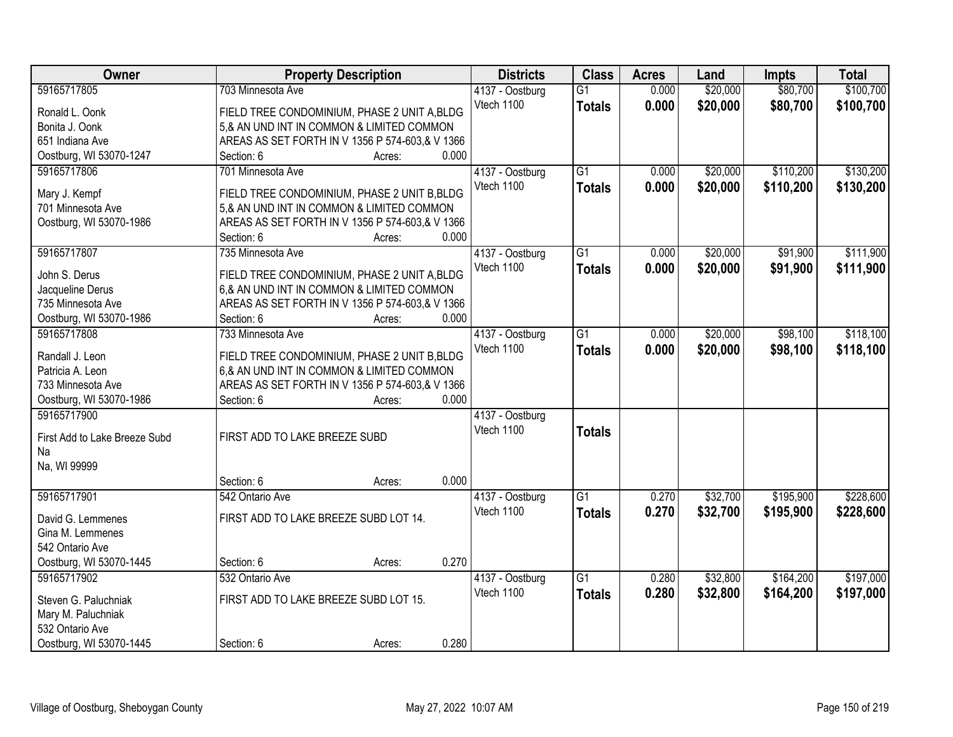| Owner                               | <b>Property Description</b>                                                               | <b>Districts</b> | <b>Class</b>    | <b>Acres</b> | Land     | <b>Impts</b> | <b>Total</b> |
|-------------------------------------|-------------------------------------------------------------------------------------------|------------------|-----------------|--------------|----------|--------------|--------------|
| 59165717805                         | 703 Minnesota Ave                                                                         | 4137 - Oostburg  | $\overline{G1}$ | 0.000        | \$20,000 | \$80,700     | \$100,700    |
| Ronald L. Oonk                      | FIELD TREE CONDOMINIUM, PHASE 2 UNIT A, BLDG                                              | Vtech 1100       | <b>Totals</b>   | 0.000        | \$20,000 | \$80,700     | \$100,700    |
| Bonita J. Oonk                      | 5,& AN UND INT IN COMMON & LIMITED COMMON                                                 |                  |                 |              |          |              |              |
| 651 Indiana Ave                     | AREAS AS SET FORTH IN V 1356 P 574-603,& V 1366                                           |                  |                 |              |          |              |              |
| Oostburg, WI 53070-1247             | 0.000<br>Section: 6<br>Acres:                                                             |                  |                 |              |          |              |              |
| 59165717806                         | 701 Minnesota Ave                                                                         | 4137 - Oostburg  | $\overline{G1}$ | 0.000        | \$20,000 | \$110,200    | \$130,200    |
|                                     |                                                                                           | Vtech 1100       | <b>Totals</b>   | 0.000        | \$20,000 | \$110,200    | \$130,200    |
| Mary J. Kempf                       | FIELD TREE CONDOMINIUM, PHASE 2 UNIT B, BLDG                                              |                  |                 |              |          |              |              |
| 701 Minnesota Ave                   | 5,& AN UND INT IN COMMON & LIMITED COMMON                                                 |                  |                 |              |          |              |              |
| Oostburg, WI 53070-1986             | AREAS AS SET FORTH IN V 1356 P 574-603,& V 1366<br>0.000                                  |                  |                 |              |          |              |              |
|                                     | Section: 6<br>Acres:                                                                      |                  |                 |              |          |              |              |
| 59165717807                         | 735 Minnesota Ave                                                                         | 4137 - Oostburg  | $\overline{G1}$ | 0.000        | \$20,000 | \$91,900     | \$111,900    |
| John S. Derus                       | FIELD TREE CONDOMINIUM, PHASE 2 UNIT A, BLDG                                              | Vtech 1100       | <b>Totals</b>   | 0.000        | \$20,000 | \$91,900     | \$111,900    |
| Jacqueline Derus                    | 6,& AN UND INT IN COMMON & LIMITED COMMON                                                 |                  |                 |              |          |              |              |
| 735 Minnesota Ave                   | AREAS AS SET FORTH IN V 1356 P 574-603,& V 1366                                           |                  |                 |              |          |              |              |
| Oostburg, WI 53070-1986             | Section: 6<br>0.000<br>Acres:                                                             |                  |                 |              |          |              |              |
| 59165717808                         | 733 Minnesota Ave                                                                         | 4137 - Oostburg  | $\overline{G1}$ | 0.000        | \$20,000 | \$98,100     | \$118,100    |
|                                     |                                                                                           | Vtech 1100       | <b>Totals</b>   | 0.000        | \$20,000 | \$98,100     | \$118,100    |
| Randall J. Leon<br>Patricia A. Leon | FIELD TREE CONDOMINIUM, PHASE 2 UNIT B, BLDG<br>6,& AN UND INT IN COMMON & LIMITED COMMON |                  |                 |              |          |              |              |
| 733 Minnesota Ave                   | AREAS AS SET FORTH IN V 1356 P 574-603,& V 1366                                           |                  |                 |              |          |              |              |
| Oostburg, WI 53070-1986             | 0.000<br>Section: 6<br>Acres:                                                             |                  |                 |              |          |              |              |
| 59165717900                         |                                                                                           | 4137 - Oostburg  |                 |              |          |              |              |
|                                     |                                                                                           | Vtech 1100       |                 |              |          |              |              |
| First Add to Lake Breeze Subd       | FIRST ADD TO LAKE BREEZE SUBD                                                             |                  | <b>Totals</b>   |              |          |              |              |
| Na                                  |                                                                                           |                  |                 |              |          |              |              |
| Na, WI 99999                        |                                                                                           |                  |                 |              |          |              |              |
|                                     | 0.000<br>Section: 6<br>Acres:                                                             |                  |                 |              |          |              |              |
| 59165717901                         | 542 Ontario Ave                                                                           | 4137 - Oostburg  | G1              | 0.270        | \$32,700 | \$195,900    | \$228,600    |
| David G. Lemmenes                   | FIRST ADD TO LAKE BREEZE SUBD LOT 14.                                                     | Vtech 1100       | <b>Totals</b>   | 0.270        | \$32,700 | \$195,900    | \$228,600    |
| Gina M. Lemmenes                    |                                                                                           |                  |                 |              |          |              |              |
| 542 Ontario Ave                     |                                                                                           |                  |                 |              |          |              |              |
| Oostburg, WI 53070-1445             | 0.270<br>Section: 6<br>Acres:                                                             |                  |                 |              |          |              |              |
| 59165717902                         | 532 Ontario Ave                                                                           | 4137 - Oostburg  | $\overline{G1}$ | 0.280        | \$32,800 | \$164,200    | \$197,000    |
|                                     |                                                                                           | Vtech 1100       | <b>Totals</b>   | 0.280        | \$32,800 | \$164,200    | \$197,000    |
| Steven G. Paluchniak                | FIRST ADD TO LAKE BREEZE SUBD LOT 15.                                                     |                  |                 |              |          |              |              |
| Mary M. Paluchniak                  |                                                                                           |                  |                 |              |          |              |              |
| 532 Ontario Ave                     |                                                                                           |                  |                 |              |          |              |              |
| Oostburg, WI 53070-1445             | 0.280<br>Section: 6<br>Acres:                                                             |                  |                 |              |          |              |              |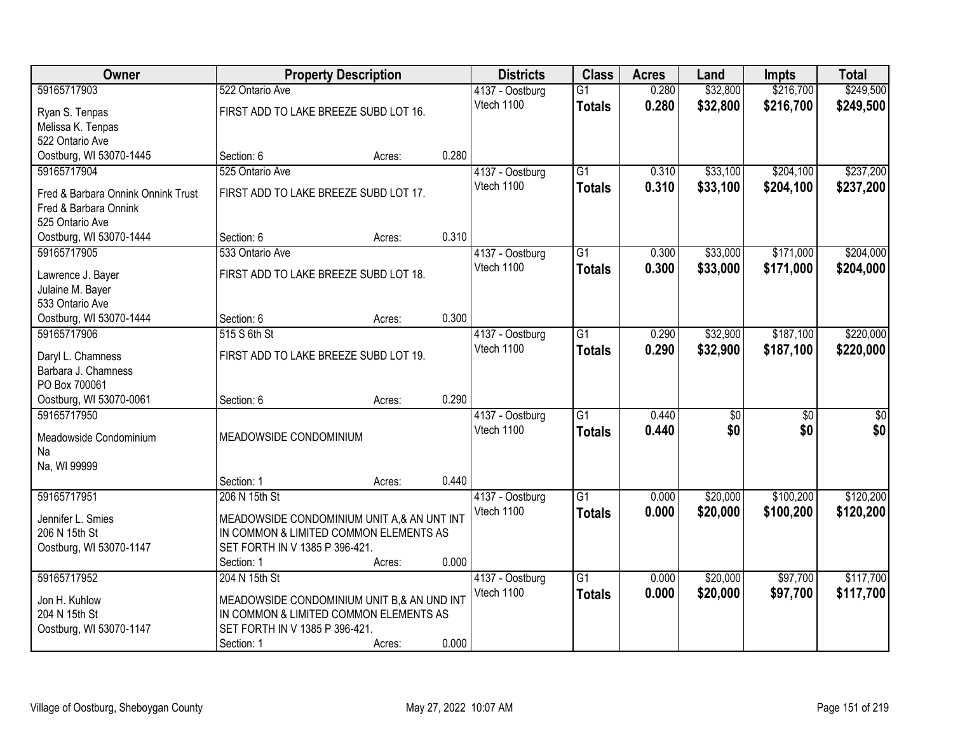| <b>Owner</b>                           |                                            | <b>Property Description</b> |       | <b>Districts</b>              | <b>Class</b>    | <b>Acres</b> | Land            | <b>Impts</b>    | <b>Total</b>    |
|----------------------------------------|--------------------------------------------|-----------------------------|-------|-------------------------------|-----------------|--------------|-----------------|-----------------|-----------------|
| 59165717903                            | 522 Ontario Ave                            |                             |       | 4137 - Oostburg               | $\overline{G1}$ | 0.280        | \$32,800        | \$216,700       | \$249,500       |
| Ryan S. Tenpas                         | FIRST ADD TO LAKE BREEZE SUBD LOT 16.      |                             |       | Vtech 1100                    | <b>Totals</b>   | 0.280        | \$32,800        | \$216,700       | \$249,500       |
| Melissa K. Tenpas                      |                                            |                             |       |                               |                 |              |                 |                 |                 |
| 522 Ontario Ave                        |                                            |                             |       |                               |                 |              |                 |                 |                 |
| Oostburg, WI 53070-1445                | Section: 6                                 | Acres:                      | 0.280 |                               |                 |              |                 |                 |                 |
| 59165717904                            | 525 Ontario Ave                            |                             |       | 4137 - Oostburg               | $\overline{G1}$ | 0.310        | \$33,100        | \$204,100       | \$237,200       |
| Fred & Barbara Onnink Onnink Trust     | FIRST ADD TO LAKE BREEZE SUBD LOT 17.      |                             |       | Vtech 1100                    | <b>Totals</b>   | 0.310        | \$33,100        | \$204,100       | \$237,200       |
| Fred & Barbara Onnink                  |                                            |                             |       |                               |                 |              |                 |                 |                 |
| 525 Ontario Ave                        |                                            |                             |       |                               |                 |              |                 |                 |                 |
| Oostburg, WI 53070-1444                | Section: 6                                 | Acres:                      | 0.310 |                               |                 |              |                 |                 |                 |
| 59165717905                            | 533 Ontario Ave                            |                             |       | 4137 - Oostburg               | G1              | 0.300        | \$33,000        | \$171,000       | \$204,000       |
|                                        |                                            |                             |       | Vtech 1100                    | <b>Totals</b>   | 0.300        | \$33,000        | \$171,000       | \$204,000       |
| Lawrence J. Bayer                      | FIRST ADD TO LAKE BREEZE SUBD LOT 18.      |                             |       |                               |                 |              |                 |                 |                 |
| Julaine M. Bayer<br>533 Ontario Ave    |                                            |                             |       |                               |                 |              |                 |                 |                 |
| Oostburg, WI 53070-1444                | Section: 6                                 | Acres:                      | 0.300 |                               |                 |              |                 |                 |                 |
| 59165717906                            | 515 S 6th St                               |                             |       | 4137 - Oostburg               | G1              | 0.290        | \$32,900        | \$187,100       | \$220,000       |
|                                        |                                            |                             |       | Vtech 1100                    | <b>Totals</b>   | 0.290        | \$32,900        | \$187,100       | \$220,000       |
| Daryl L. Chamness                      | FIRST ADD TO LAKE BREEZE SUBD LOT 19.      |                             |       |                               |                 |              |                 |                 |                 |
| Barbara J. Chamness                    |                                            |                             |       |                               |                 |              |                 |                 |                 |
| PO Box 700061                          |                                            |                             | 0.290 |                               |                 |              |                 |                 |                 |
| Oostburg, WI 53070-0061<br>59165717950 | Section: 6                                 | Acres:                      |       |                               | $\overline{G1}$ | 0.440        |                 |                 |                 |
|                                        |                                            |                             |       | 4137 - Oostburg<br>Vtech 1100 |                 |              | $\overline{50}$ | $\overline{50}$ | $\overline{50}$ |
| Meadowside Condominium                 | MEADOWSIDE CONDOMINIUM                     |                             |       |                               | <b>Totals</b>   | 0.440        | \$0             | \$0             | \$0             |
| Na                                     |                                            |                             |       |                               |                 |              |                 |                 |                 |
| Na, WI 99999                           |                                            |                             |       |                               |                 |              |                 |                 |                 |
|                                        | Section: 1                                 | Acres:                      | 0.440 |                               |                 |              |                 |                 |                 |
| 59165717951                            | 206 N 15th St                              |                             |       | 4137 - Oostburg               | $\overline{G1}$ | 0.000        | \$20,000        | \$100,200       | \$120,200       |
| Jennifer L. Smies                      | MEADOWSIDE CONDOMINIUM UNIT A,& AN UNT INT |                             |       | Vtech 1100                    | <b>Totals</b>   | 0.000        | \$20,000        | \$100,200       | \$120,200       |
| 206 N 15th St                          | IN COMMON & LIMITED COMMON ELEMENTS AS     |                             |       |                               |                 |              |                 |                 |                 |
| Oostburg, WI 53070-1147                | SET FORTH IN V 1385 P 396-421.             |                             |       |                               |                 |              |                 |                 |                 |
|                                        | Section: 1                                 | Acres:                      | 0.000 |                               |                 |              |                 |                 |                 |
| 59165717952                            | 204 N 15th St                              |                             |       | 4137 - Oostburg               | $\overline{G1}$ | 0.000        | \$20,000        | \$97,700        | \$117,700       |
| Jon H. Kuhlow                          | MEADOWSIDE CONDOMINIUM UNIT B,& AN UND INT |                             |       | Vtech 1100                    | <b>Totals</b>   | 0.000        | \$20,000        | \$97,700        | \$117,700       |
| 204 N 15th St                          | IN COMMON & LIMITED COMMON ELEMENTS AS     |                             |       |                               |                 |              |                 |                 |                 |
| Oostburg, WI 53070-1147                | SET FORTH IN V 1385 P 396-421.             |                             |       |                               |                 |              |                 |                 |                 |
|                                        | Section: 1                                 | Acres:                      | 0.000 |                               |                 |              |                 |                 |                 |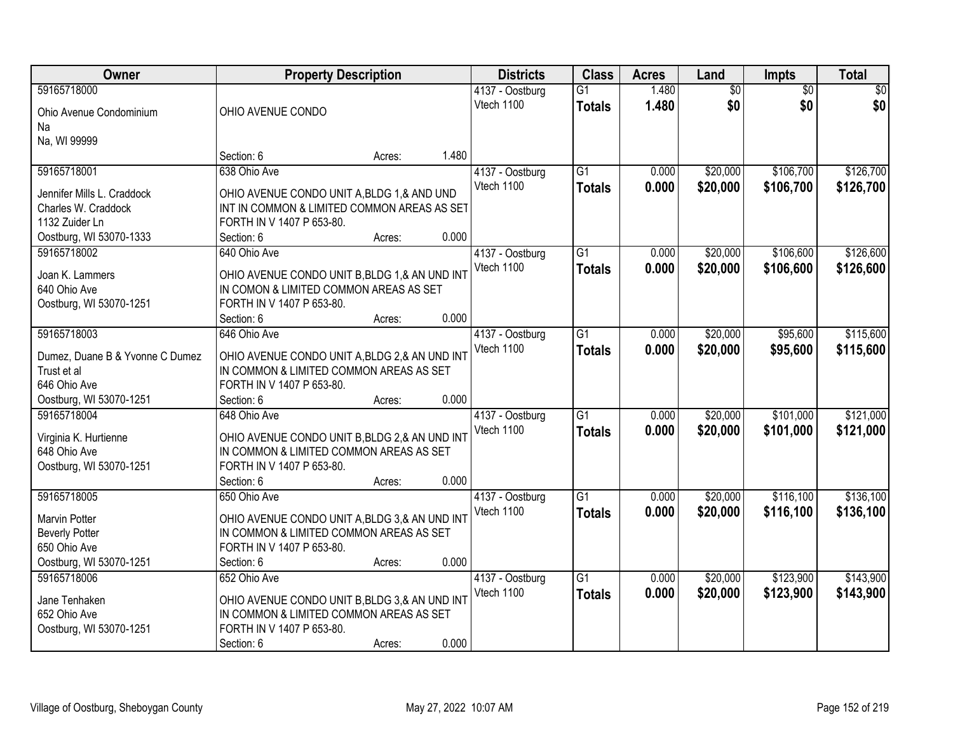| <b>Owner</b>                           | <b>Property Description</b>                                                             |        |       | <b>Districts</b>              | <b>Class</b>    | <b>Acres</b> | Land            | Impts           | <b>Total</b> |
|----------------------------------------|-----------------------------------------------------------------------------------------|--------|-------|-------------------------------|-----------------|--------------|-----------------|-----------------|--------------|
| 59165718000                            |                                                                                         |        |       | 4137 - Oostburg               | G1              | 1.480        | $\overline{50}$ | $\overline{50}$ | \$0          |
| Ohio Avenue Condominium                | OHIO AVENUE CONDO                                                                       |        |       | Vtech 1100                    | <b>Totals</b>   | 1.480        | \$0             | \$0             | \$0          |
| Na                                     |                                                                                         |        |       |                               |                 |              |                 |                 |              |
| Na, WI 99999                           |                                                                                         |        |       |                               |                 |              |                 |                 |              |
|                                        | Section: 6                                                                              | Acres: | 1.480 |                               |                 |              |                 |                 |              |
| 59165718001                            | 638 Ohio Ave                                                                            |        |       | 4137 - Oostburg               | $\overline{G1}$ | 0.000        | \$20,000        | \$106,700       | \$126,700    |
| Jennifer Mills L. Craddock             | OHIO AVENUE CONDO UNIT A, BLDG 1, & AND UND                                             |        |       | Vtech 1100                    | <b>Totals</b>   | 0.000        | \$20,000        | \$106,700       | \$126,700    |
| Charles W. Craddock                    | INT IN COMMON & LIMITED COMMON AREAS AS SET                                             |        |       |                               |                 |              |                 |                 |              |
| 1132 Zuider Ln                         | FORTH IN V 1407 P 653-80.                                                               |        |       |                               |                 |              |                 |                 |              |
| Oostburg, WI 53070-1333                | Section: 6                                                                              | Acres: | 0.000 |                               |                 |              |                 |                 |              |
| 59165718002                            | 640 Ohio Ave                                                                            |        |       | 4137 - Oostburg               | G <sub>1</sub>  | 0.000        | \$20,000        | \$106,600       | \$126,600    |
|                                        |                                                                                         |        |       | Vtech 1100                    | <b>Totals</b>   | 0.000        | \$20,000        | \$106,600       | \$126,600    |
| Joan K. Lammers<br>640 Ohio Ave        | OHIO AVENUE CONDO UNIT B, BLDG 1,& AN UND INT<br>IN COMON & LIMITED COMMON AREAS AS SET |        |       |                               |                 |              |                 |                 |              |
| Oostburg, WI 53070-1251                | FORTH IN V 1407 P 653-80.                                                               |        |       |                               |                 |              |                 |                 |              |
|                                        | Section: 6                                                                              | Acres: | 0.000 |                               |                 |              |                 |                 |              |
| 59165718003                            | 646 Ohio Ave                                                                            |        |       | 4137 - Oostburg               | $\overline{G1}$ | 0.000        | \$20,000        | \$95,600        | \$115,600    |
|                                        |                                                                                         |        |       | Vtech 1100                    | <b>Totals</b>   | 0.000        | \$20,000        | \$95,600        | \$115,600    |
| Dumez, Duane B & Yvonne C Dumez        | OHIO AVENUE CONDO UNIT A, BLDG 2, & AN UND INT                                          |        |       |                               |                 |              |                 |                 |              |
| Trust et al                            | IN COMMON & LIMITED COMMON AREAS AS SET                                                 |        |       |                               |                 |              |                 |                 |              |
| 646 Ohio Ave                           | FORTH IN V 1407 P 653-80.                                                               |        | 0.000 |                               |                 |              |                 |                 |              |
| Oostburg, WI 53070-1251<br>59165718004 | Section: 6<br>648 Ohio Ave                                                              | Acres: |       |                               | $\overline{G1}$ | 0.000        | \$20,000        | \$101,000       | \$121,000    |
|                                        |                                                                                         |        |       | 4137 - Oostburg<br>Vtech 1100 |                 |              |                 |                 |              |
| Virginia K. Hurtienne                  | OHIO AVENUE CONDO UNIT B, BLDG 2, & AN UND INT                                          |        |       |                               | <b>Totals</b>   | 0.000        | \$20,000        | \$101,000       | \$121,000    |
| 648 Ohio Ave                           | IN COMMON & LIMITED COMMON AREAS AS SET                                                 |        |       |                               |                 |              |                 |                 |              |
| Oostburg, WI 53070-1251                | FORTH IN V 1407 P 653-80.                                                               |        |       |                               |                 |              |                 |                 |              |
|                                        | Section: 6                                                                              | Acres: | 0.000 |                               |                 |              |                 |                 |              |
| 59165718005                            | 650 Ohio Ave                                                                            |        |       | 4137 - Oostburg               | $\overline{G1}$ | 0.000        | \$20,000        | \$116,100       | \$136,100    |
| Marvin Potter                          | OHIO AVENUE CONDO UNIT A, BLDG 3,& AN UND INT                                           |        |       | Vtech 1100                    | <b>Totals</b>   | 0.000        | \$20,000        | \$116,100       | \$136,100    |
| <b>Beverly Potter</b>                  | IN COMMON & LIMITED COMMON AREAS AS SET                                                 |        |       |                               |                 |              |                 |                 |              |
| 650 Ohio Ave                           | FORTH IN V 1407 P 653-80.                                                               |        |       |                               |                 |              |                 |                 |              |
| Oostburg, WI 53070-1251                | Section: 6                                                                              | Acres: | 0.000 |                               |                 |              |                 |                 |              |
| 59165718006                            | 652 Ohio Ave                                                                            |        |       | 4137 - Oostburg               | $\overline{G1}$ | 0.000        | \$20,000        | \$123,900       | \$143,900    |
| Jane Tenhaken                          | OHIO AVENUE CONDO UNIT B, BLDG 3,& AN UND INT                                           |        |       | Vtech 1100                    | <b>Totals</b>   | 0.000        | \$20,000        | \$123,900       | \$143,900    |
| 652 Ohio Ave                           | IN COMMON & LIMITED COMMON AREAS AS SET                                                 |        |       |                               |                 |              |                 |                 |              |
| Oostburg, WI 53070-1251                | FORTH IN V 1407 P 653-80.                                                               |        |       |                               |                 |              |                 |                 |              |
|                                        | Section: 6                                                                              | Acres: | 0.000 |                               |                 |              |                 |                 |              |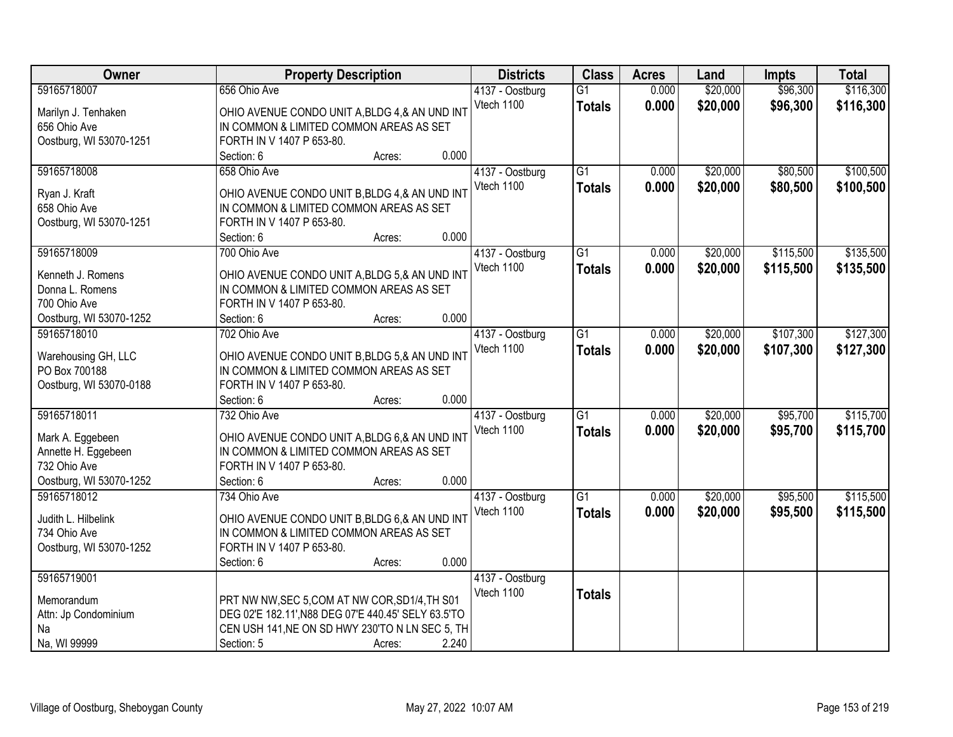| Owner                   | <b>Property Description</b>                         | <b>Districts</b> | <b>Class</b>    | <b>Acres</b> | Land     | <b>Impts</b> | <b>Total</b> |
|-------------------------|-----------------------------------------------------|------------------|-----------------|--------------|----------|--------------|--------------|
| 59165718007             | 656 Ohio Ave                                        | 4137 - Oostburg  | $\overline{G1}$ | 0.000        | \$20,000 | \$96,300     | \$116,300    |
| Marilyn J. Tenhaken     | OHIO AVENUE CONDO UNIT A, BLDG 4, & AN UND INT      | Vtech 1100       | <b>Totals</b>   | 0.000        | \$20,000 | \$96,300     | \$116,300    |
| 656 Ohio Ave            | IN COMMON & LIMITED COMMON AREAS AS SET             |                  |                 |              |          |              |              |
| Oostburg, WI 53070-1251 | FORTH IN V 1407 P 653-80.                           |                  |                 |              |          |              |              |
|                         | 0.000<br>Section: 6<br>Acres:                       |                  |                 |              |          |              |              |
| 59165718008             | 658 Ohio Ave                                        | 4137 - Oostburg  | $\overline{G1}$ | 0.000        | \$20,000 | \$80,500     | \$100,500    |
|                         |                                                     | Vtech 1100       | <b>Totals</b>   | 0.000        | \$20,000 | \$80,500     | \$100,500    |
| Ryan J. Kraft           | OHIO AVENUE CONDO UNIT B, BLDG 4, & AN UND INT      |                  |                 |              |          |              |              |
| 658 Ohio Ave            | IN COMMON & LIMITED COMMON AREAS AS SET             |                  |                 |              |          |              |              |
| Oostburg, WI 53070-1251 | FORTH IN V 1407 P 653-80.                           |                  |                 |              |          |              |              |
|                         | 0.000<br>Section: 6<br>Acres:                       |                  |                 |              |          |              |              |
| 59165718009             | 700 Ohio Ave                                        | 4137 - Oostburg  | G1              | 0.000        | \$20,000 | \$115,500    | \$135,500    |
| Kenneth J. Romens       | OHIO AVENUE CONDO UNIT A, BLDG 5,& AN UND INT       | Vtech 1100       | <b>Totals</b>   | 0.000        | \$20,000 | \$115,500    | \$135,500    |
| Donna L. Romens         | IN COMMON & LIMITED COMMON AREAS AS SET             |                  |                 |              |          |              |              |
| 700 Ohio Ave            | FORTH IN V 1407 P 653-80.                           |                  |                 |              |          |              |              |
| Oostburg, WI 53070-1252 | 0.000<br>Section: 6<br>Acres:                       |                  |                 |              |          |              |              |
| 59165718010             | 702 Ohio Ave                                        | 4137 - Oostburg  | $\overline{G1}$ | 0.000        | \$20,000 | \$107,300    | \$127,300    |
|                         |                                                     | Vtech 1100       | <b>Totals</b>   | 0.000        | \$20,000 | \$107,300    | \$127,300    |
| Warehousing GH, LLC     | OHIO AVENUE CONDO UNIT B, BLDG 5, & AN UND INT      |                  |                 |              |          |              |              |
| PO Box 700188           | IN COMMON & LIMITED COMMON AREAS AS SET             |                  |                 |              |          |              |              |
| Oostburg, WI 53070-0188 | FORTH IN V 1407 P 653-80.                           |                  |                 |              |          |              |              |
|                         | 0.000<br>Section: 6<br>Acres:                       |                  |                 |              |          |              |              |
| 59165718011             | 732 Ohio Ave                                        | 4137 - Oostburg  | $\overline{G1}$ | 0.000        | \$20,000 | \$95,700     | \$115,700    |
| Mark A. Eggebeen        | OHIO AVENUE CONDO UNIT A, BLDG 6,& AN UND INT       | Vtech 1100       | <b>Totals</b>   | 0.000        | \$20,000 | \$95,700     | \$115,700    |
| Annette H. Eggebeen     | IN COMMON & LIMITED COMMON AREAS AS SET             |                  |                 |              |          |              |              |
| 732 Ohio Ave            | FORTH IN V 1407 P 653-80.                           |                  |                 |              |          |              |              |
| Oostburg, WI 53070-1252 | 0.000<br>Section: 6<br>Acres:                       |                  |                 |              |          |              |              |
| 59165718012             | 734 Ohio Ave                                        | 4137 - Oostburg  | $\overline{G1}$ | 0.000        | \$20,000 | \$95,500     | \$115,500    |
|                         |                                                     | Vtech 1100       | <b>Totals</b>   | 0.000        | \$20,000 | \$95,500     | \$115,500    |
| Judith L. Hilbelink     | OHIO AVENUE CONDO UNIT B, BLDG 6,& AN UND INT       |                  |                 |              |          |              |              |
| 734 Ohio Ave            | IN COMMON & LIMITED COMMON AREAS AS SET             |                  |                 |              |          |              |              |
| Oostburg, WI 53070-1252 | FORTH IN V 1407 P 653-80.                           |                  |                 |              |          |              |              |
|                         | 0.000<br>Section: 6<br>Acres:                       |                  |                 |              |          |              |              |
| 59165719001             |                                                     | 4137 - Oostburg  |                 |              |          |              |              |
| Memorandum              | PRT NW NW, SEC 5, COM AT NW COR, SD1/4, TH S01      | Vtech 1100       | <b>Totals</b>   |              |          |              |              |
| Attn: Jp Condominium    | DEG 02'E 182.11', N88 DEG 07'E 440.45' SELY 63.5'TO |                  |                 |              |          |              |              |
| Na                      | CEN USH 141, NE ON SD HWY 230'TO N LN SEC 5, TH     |                  |                 |              |          |              |              |
| Na, WI 99999            | 2.240<br>Section: 5<br>Acres:                       |                  |                 |              |          |              |              |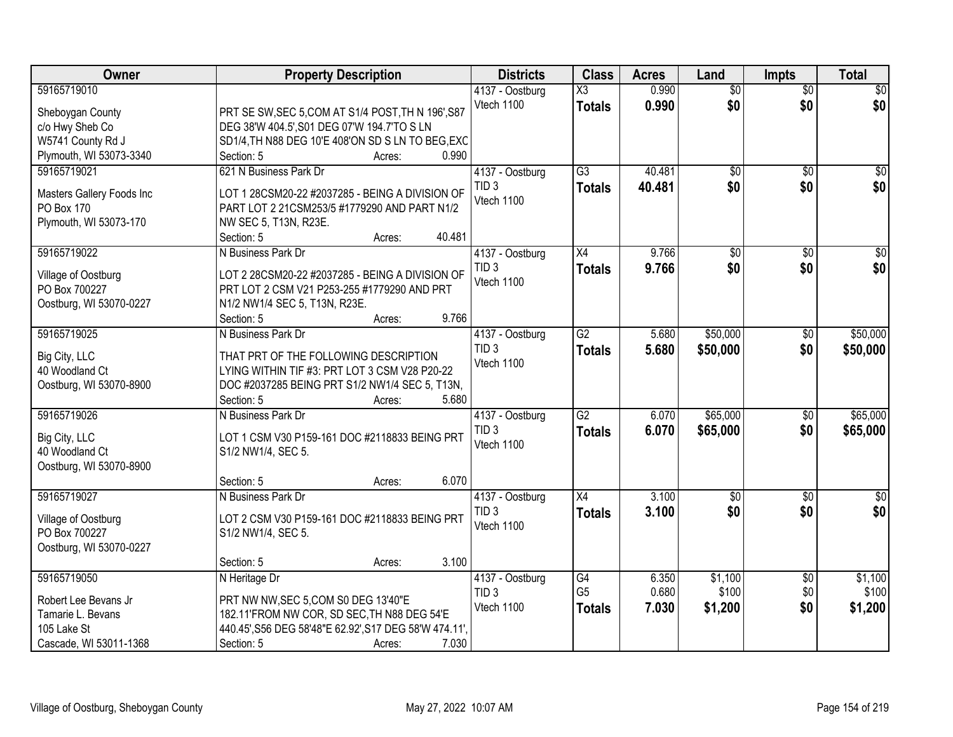| Owner                                | <b>Property Description</b>                            | <b>Districts</b>                    | <b>Class</b>    | <b>Acres</b> | Land            | <b>Impts</b>           | <b>Total</b>     |
|--------------------------------------|--------------------------------------------------------|-------------------------------------|-----------------|--------------|-----------------|------------------------|------------------|
| 59165719010                          |                                                        | 4137 - Oostburg                     | X3              | 0.990        | $\overline{50}$ | $\overline{50}$        | \$0              |
| Sheboygan County                     | PRT SE SW, SEC 5, COM AT S1/4 POST, TH N 196', S87     | Vtech 1100                          | <b>Totals</b>   | 0.990        | \$0             | \$0                    | \$0              |
| c/o Hwy Sheb Co                      | DEG 38'W 404.5', S01 DEG 07'W 194.7'TO S LN            |                                     |                 |              |                 |                        |                  |
| W5741 County Rd J                    | SD1/4, TH N88 DEG 10'E 408'ON SD S LN TO BEG, EXC      |                                     |                 |              |                 |                        |                  |
| Plymouth, WI 53073-3340              | 0.990<br>Section: 5<br>Acres:                          |                                     |                 |              |                 |                        |                  |
| 59165719021                          | 621 N Business Park Dr                                 | 4137 - Oostburg                     | $\overline{G3}$ | 40.481       | \$0             | \$0                    | \$0              |
|                                      |                                                        | TID <sub>3</sub>                    | <b>Totals</b>   | 40.481       | \$0             | \$0                    | \$0              |
| Masters Gallery Foods Inc            | LOT 1 28CSM20-22 #2037285 - BEING A DIVISION OF        | Vtech 1100                          |                 |              |                 |                        |                  |
| PO Box 170                           | PART LOT 2 21CSM253/5 #1779290 AND PART N1/2           |                                     |                 |              |                 |                        |                  |
| Plymouth, WI 53073-170               | NW SEC 5, T13N, R23E.                                  |                                     |                 |              |                 |                        |                  |
|                                      | 40.481<br>Section: 5<br>Acres:                         |                                     |                 |              |                 |                        |                  |
| 59165719022                          | N Business Park Dr                                     | 4137 - Oostburg                     | X4              | 9.766        | $\overline{50}$ | \$0                    | $\overline{\$0}$ |
| Village of Oostburg                  | LOT 2 28CSM20-22 #2037285 - BEING A DIVISION OF        | TID <sub>3</sub>                    | <b>Totals</b>   | 9.766        | \$0             | \$0                    | \$0              |
| PO Box 700227                        | PRT LOT 2 CSM V21 P253-255 #1779290 AND PRT            | Vtech 1100                          |                 |              |                 |                        |                  |
| Oostburg, WI 53070-0227              | N1/2 NW1/4 SEC 5, T13N, R23E.                          |                                     |                 |              |                 |                        |                  |
|                                      | 9.766<br>Section: 5<br>Acres:                          |                                     |                 |              |                 |                        |                  |
| 59165719025                          | N Business Park Dr                                     | 4137 - Oostburg                     | G2              | 5.680        | \$50,000        | $\sqrt[6]{3}$          | \$50,000         |
|                                      |                                                        | TID <sub>3</sub>                    | <b>Totals</b>   | 5.680        | \$50,000        | \$0                    | \$50,000         |
| Big City, LLC                        | THAT PRT OF THE FOLLOWING DESCRIPTION                  | Vtech 1100                          |                 |              |                 |                        |                  |
| 40 Woodland Ct                       | LYING WITHIN TIF #3: PRT LOT 3 CSM V28 P20-22          |                                     |                 |              |                 |                        |                  |
| Oostburg, WI 53070-8900              | DOC #2037285 BEING PRT S1/2 NW1/4 SEC 5, T13N,         |                                     |                 |              |                 |                        |                  |
|                                      | Section: 5<br>5.680<br>Acres:                          |                                     |                 |              |                 |                        |                  |
| 59165719026                          | N Business Park Dr                                     | 4137 - Oostburg                     | $\overline{G2}$ | 6.070        | \$65,000        | $\overline{50}$        | \$65,000         |
| Big City, LLC                        | LOT 1 CSM V30 P159-161 DOC #2118833 BEING PRT          | TID <sub>3</sub>                    | <b>Totals</b>   | 6.070        | \$65,000        | \$0                    | \$65,000         |
| 40 Woodland Ct                       | S1/2 NW1/4, SEC 5.                                     | Vtech 1100                          |                 |              |                 |                        |                  |
| Oostburg, WI 53070-8900              |                                                        |                                     |                 |              |                 |                        |                  |
|                                      | 6.070<br>Section: 5<br>Acres:                          |                                     |                 |              |                 |                        |                  |
| 59165719027                          | N Business Park Dr                                     | 4137 - Oostburg                     | $\overline{X4}$ | 3.100        | $\overline{60}$ | $\sqrt{6}$             | $\overline{50}$  |
|                                      | LOT 2 CSM V30 P159-161 DOC #2118833 BEING PRT          | TID <sub>3</sub>                    | <b>Totals</b>   | 3.100        | \$0             | \$0                    | \$0              |
| Village of Oostburg<br>PO Box 700227 |                                                        | Vtech 1100                          |                 |              |                 |                        |                  |
|                                      | S1/2 NW1/4, SEC 5.                                     |                                     |                 |              |                 |                        |                  |
| Oostburg, WI 53070-0227              | 3.100<br>Section: 5                                    |                                     |                 |              |                 |                        |                  |
| 59165719050                          | Acres:<br>N Heritage Dr                                |                                     | G4              | 6.350        | \$1,100         |                        | \$1,100          |
|                                      |                                                        | 4137 - Oostburg<br>TID <sub>3</sub> | G <sub>5</sub>  | 0.680        | \$100           | $\overline{60}$<br>\$0 | \$100            |
| Robert Lee Bevans Jr                 | PRT NW NW, SEC 5, COM S0 DEG 13'40"E                   | Vtech 1100                          |                 |              |                 |                        |                  |
| Tamarie L. Bevans                    | 182.11'FROM NW COR, SD SEC, TH N88 DEG 54'E            |                                     | <b>Totals</b>   | 7.030        | \$1,200         | \$0                    | \$1,200          |
| 105 Lake St                          | 440.45', S56 DEG 58'48"E 62.92', S17 DEG 58'W 474.11', |                                     |                 |              |                 |                        |                  |
| Cascade, WI 53011-1368               | 7.030<br>Section: 5<br>Acres:                          |                                     |                 |              |                 |                        |                  |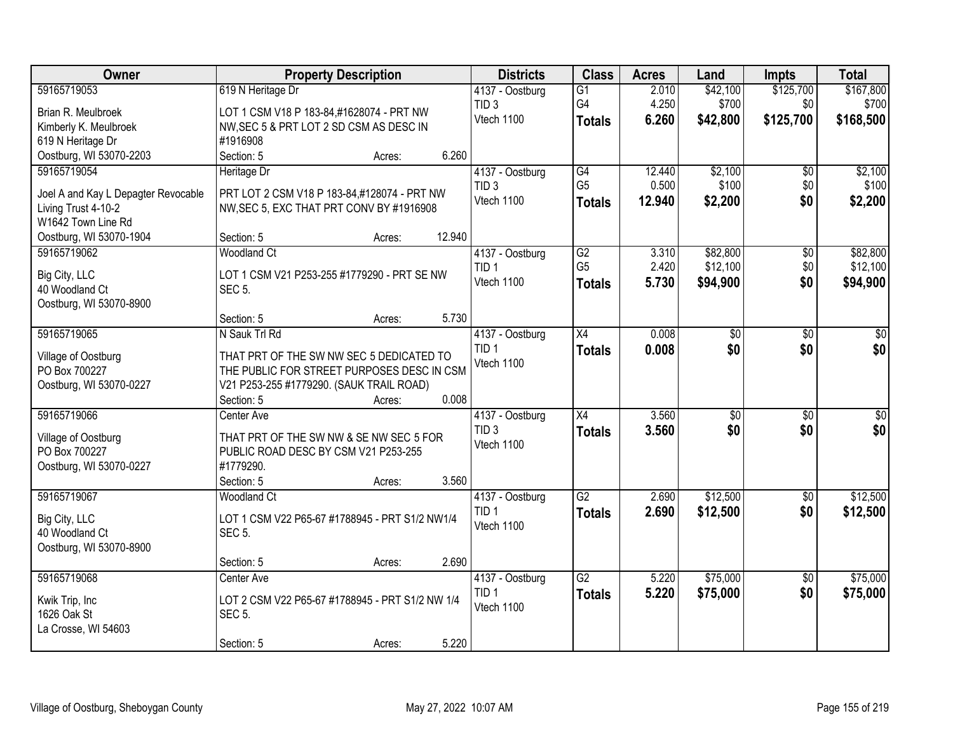| <b>Owner</b>                         | <b>Property Description</b>                                                            | <b>Districts</b> | <b>Class</b>    | <b>Acres</b> | Land            | <b>Impts</b>    | <b>Total</b>    |
|--------------------------------------|----------------------------------------------------------------------------------------|------------------|-----------------|--------------|-----------------|-----------------|-----------------|
| 59165719053                          | 619 N Heritage Dr                                                                      | 4137 - Oostburg  | $\overline{G1}$ | 2.010        | \$42,100        | \$125,700       | \$167,800       |
| Brian R. Meulbroek                   | LOT 1 CSM V18 P 183-84,#1628074 - PRT NW                                               | TID <sub>3</sub> | G4              | 4.250        | \$700           | \$0             | \$700           |
| Kimberly K. Meulbroek                | NW, SEC 5 & PRT LOT 2 SD CSM AS DESC IN                                                | Vtech 1100       | <b>Totals</b>   | 6.260        | \$42,800        | \$125,700       | \$168,500       |
| 619 N Heritage Dr                    | #1916908                                                                               |                  |                 |              |                 |                 |                 |
| Oostburg, WI 53070-2203              | 6.260<br>Section: 5<br>Acres:                                                          |                  |                 |              |                 |                 |                 |
| 59165719054                          | Heritage Dr                                                                            | 4137 - Oostburg  | G4              | 12.440       | \$2,100         | \$0             | \$2,100         |
| Joel A and Kay L Depagter Revocable  | PRT LOT 2 CSM V18 P 183-84,#128074 - PRT NW                                            | TID <sub>3</sub> | G <sub>5</sub>  | 0.500        | \$100           | \$0             | \$100           |
| Living Trust 4-10-2                  | NW, SEC 5, EXC THAT PRT CONV BY #1916908                                               | Vtech 1100       | <b>Totals</b>   | 12.940       | \$2,200         | \$0             | \$2,200         |
| W1642 Town Line Rd                   |                                                                                        |                  |                 |              |                 |                 |                 |
| Oostburg, WI 53070-1904              | 12.940<br>Section: 5<br>Acres:                                                         |                  |                 |              |                 |                 |                 |
| 59165719062                          | <b>Woodland Ct</b>                                                                     | 4137 - Oostburg  | G2              | 3.310        | \$82,800        | \$0             | \$82,800        |
| Big City, LLC                        | LOT 1 CSM V21 P253-255 #1779290 - PRT SE NW                                            | TID <sub>1</sub> | G <sub>5</sub>  | 2.420        | \$12,100        | \$0             | \$12,100        |
| 40 Woodland Ct                       | <b>SEC 5.</b>                                                                          | Vtech 1100       | <b>Totals</b>   | 5.730        | \$94,900        | \$0             | \$94,900        |
| Oostburg, WI 53070-8900              |                                                                                        |                  |                 |              |                 |                 |                 |
|                                      | 5.730<br>Section: 5<br>Acres:                                                          |                  |                 |              |                 |                 |                 |
| 59165719065                          | N Sauk Trl Rd                                                                          | 4137 - Oostburg  | X4              | 0.008        | \$0             | \$0             | \$0             |
|                                      |                                                                                        | TID <sub>1</sub> | <b>Totals</b>   | 0.008        | \$0             | \$0             | \$0             |
| Village of Oostburg<br>PO Box 700227 | THAT PRT OF THE SW NW SEC 5 DEDICATED TO<br>THE PUBLIC FOR STREET PURPOSES DESC IN CSM | Vtech 1100       |                 |              |                 |                 |                 |
| Oostburg, WI 53070-0227              | V21 P253-255 #1779290. (SAUK TRAIL ROAD)                                               |                  |                 |              |                 |                 |                 |
|                                      | 0.008<br>Section: 5<br>Acres:                                                          |                  |                 |              |                 |                 |                 |
| 59165719066                          | Center Ave                                                                             | 4137 - Oostburg  | $\overline{X4}$ | 3.560        | $\overline{50}$ | $\overline{50}$ | $\overline{50}$ |
|                                      |                                                                                        | TID <sub>3</sub> | <b>Totals</b>   | 3.560        | \$0             | \$0             | \$0             |
| Village of Oostburg<br>PO Box 700227 | THAT PRT OF THE SW NW & SE NW SEC 5 FOR<br>PUBLIC ROAD DESC BY CSM V21 P253-255        | Vtech 1100       |                 |              |                 |                 |                 |
| Oostburg, WI 53070-0227              | #1779290.                                                                              |                  |                 |              |                 |                 |                 |
|                                      | Section: 5<br>3.560<br>Acres:                                                          |                  |                 |              |                 |                 |                 |
| 59165719067                          | <b>Woodland Ct</b>                                                                     | 4137 - Oostburg  | $\overline{G2}$ | 2.690        | \$12,500        | $\overline{50}$ | \$12,500        |
|                                      |                                                                                        | TID <sub>1</sub> | <b>Totals</b>   | 2.690        | \$12,500        | \$0             | \$12,500        |
| Big City, LLC                        | LOT 1 CSM V22 P65-67 #1788945 - PRT S1/2 NW1/4                                         | Vtech 1100       |                 |              |                 |                 |                 |
| 40 Woodland Ct                       | <b>SEC 5.</b>                                                                          |                  |                 |              |                 |                 |                 |
| Oostburg, WI 53070-8900              | 2.690<br>Section: 5                                                                    |                  |                 |              |                 |                 |                 |
| 59165719068                          | Acres:<br>Center Ave                                                                   | 4137 - Oostburg  | $\overline{G2}$ | 5.220        | \$75,000        | $\overline{50}$ | \$75,000        |
|                                      |                                                                                        | TID <sub>1</sub> | <b>Totals</b>   | 5.220        | \$75,000        | \$0             | \$75,000        |
| Kwik Trip, Inc                       | LOT 2 CSM V22 P65-67 #1788945 - PRT S1/2 NW 1/4                                        | Vtech 1100       |                 |              |                 |                 |                 |
| 1626 Oak St                          | <b>SEC 5.</b>                                                                          |                  |                 |              |                 |                 |                 |
| La Crosse, WI 54603                  |                                                                                        |                  |                 |              |                 |                 |                 |
|                                      | 5.220<br>Section: 5<br>Acres:                                                          |                  |                 |              |                 |                 |                 |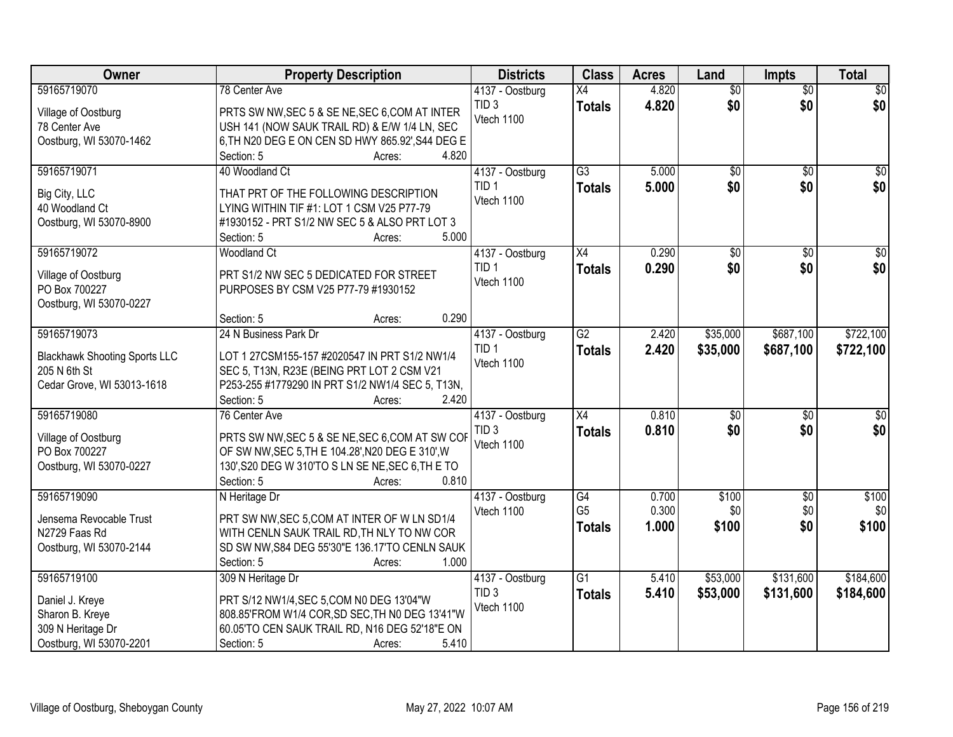| <b>Owner</b>                         | <b>Property Description</b>                                                                         | <b>Districts</b> | <b>Class</b>    | <b>Acres</b> | Land            | <b>Impts</b>    | <b>Total</b>    |
|--------------------------------------|-----------------------------------------------------------------------------------------------------|------------------|-----------------|--------------|-----------------|-----------------|-----------------|
| 59165719070                          | 78 Center Ave                                                                                       | 4137 - Oostburg  | X4              | 4.820        | $\overline{50}$ | $\overline{50}$ | $\sqrt{50}$     |
| Village of Oostburg                  | PRTS SW NW, SEC 5 & SE NE, SEC 6, COM AT INTER                                                      | TID <sub>3</sub> | <b>Totals</b>   | 4.820        | \$0             | \$0             | \$0             |
| 78 Center Ave                        | USH 141 (NOW SAUK TRAIL RD) & E/W 1/4 LN, SEC                                                       | Vtech 1100       |                 |              |                 |                 |                 |
| Oostburg, WI 53070-1462              | 6, TH N20 DEG E ON CEN SD HWY 865.92', S44 DEG E                                                    |                  |                 |              |                 |                 |                 |
|                                      | 4.820<br>Section: 5<br>Acres:                                                                       |                  |                 |              |                 |                 |                 |
| 59165719071                          | 40 Woodland Ct                                                                                      | 4137 - Oostburg  | $\overline{G3}$ | 5.000        | $\overline{50}$ | $\overline{30}$ | $\sqrt{50}$     |
|                                      |                                                                                                     | TID <sub>1</sub> | <b>Totals</b>   | 5.000        | \$0             | \$0             | \$0             |
| Big City, LLC                        | THAT PRT OF THE FOLLOWING DESCRIPTION                                                               | Vtech 1100       |                 |              |                 |                 |                 |
| 40 Woodland Ct                       | LYING WITHIN TIF #1: LOT 1 CSM V25 P77-79                                                           |                  |                 |              |                 |                 |                 |
| Oostburg, WI 53070-8900              | #1930152 - PRT S1/2 NW SEC 5 & ALSO PRT LOT 3<br>5.000<br>Section: 5<br>Acres:                      |                  |                 |              |                 |                 |                 |
| 59165719072                          | <b>Woodland Ct</b>                                                                                  | 4137 - Oostburg  | X4              | 0.290        | \$0             | \$0             | $\overline{30}$ |
|                                      |                                                                                                     | TID <sub>1</sub> |                 | 0.290        | \$0             | \$0             | \$0             |
| Village of Oostburg                  | PRT S1/2 NW SEC 5 DEDICATED FOR STREET                                                              | Vtech 1100       | <b>Totals</b>   |              |                 |                 |                 |
| PO Box 700227                        | PURPOSES BY CSM V25 P77-79 #1930152                                                                 |                  |                 |              |                 |                 |                 |
| Oostburg, WI 53070-0227              |                                                                                                     |                  |                 |              |                 |                 |                 |
|                                      | 0.290<br>Section: 5<br>Acres:                                                                       |                  |                 |              |                 |                 |                 |
| 59165719073                          | 24 N Business Park Dr                                                                               | 4137 - Oostburg  | $\overline{G2}$ | 2.420        | \$35,000        | \$687,100       | \$722,100       |
| <b>Blackhawk Shooting Sports LLC</b> | LOT 1 27CSM155-157 #2020547 IN PRT S1/2 NW1/4                                                       | TID <sub>1</sub> | <b>Totals</b>   | 2.420        | \$35,000        | \$687,100       | \$722,100       |
| 205 N 6th St                         | SEC 5, T13N, R23E (BEING PRT LOT 2 CSM V21                                                          | Vtech 1100       |                 |              |                 |                 |                 |
| Cedar Grove, WI 53013-1618           | P253-255 #1779290 IN PRT S1/2 NW1/4 SEC 5, T13N,                                                    |                  |                 |              |                 |                 |                 |
|                                      | 2.420<br>Section: 5<br>Acres:                                                                       |                  |                 |              |                 |                 |                 |
| 59165719080                          | 76 Center Ave                                                                                       | 4137 - Oostburg  | $\overline{X4}$ | 0.810        | \$0             | $\overline{50}$ | $\sqrt{30}$     |
|                                      |                                                                                                     | TID <sub>3</sub> | <b>Totals</b>   | 0.810        | \$0             | \$0             | \$0             |
| Village of Oostburg<br>PO Box 700227 | PRTS SW NW, SEC 5 & SE NE, SEC 6, COM AT SW COF<br>OF SW NW, SEC 5, TH E 104.28', N20 DEG E 310', W | Vtech 1100       |                 |              |                 |                 |                 |
| Oostburg, WI 53070-0227              | 130', S20 DEG W 310'TO S LN SE NE, SEC 6, TH E TO                                                   |                  |                 |              |                 |                 |                 |
|                                      | 0.810<br>Section: 5<br>Acres:                                                                       |                  |                 |              |                 |                 |                 |
| 59165719090                          | N Heritage Dr                                                                                       | 4137 - Oostburg  | $\overline{G4}$ | 0.700        | \$100           | $\sqrt{$0}$     | \$100           |
|                                      |                                                                                                     | Vtech 1100       | G <sub>5</sub>  | 0.300        | \$0             | \$0             | \$0             |
| Jensema Revocable Trust              | PRT SW NW, SEC 5, COM AT INTER OF W LN SD1/4                                                        |                  | <b>Totals</b>   | 1.000        | \$100           | \$0             | \$100           |
| N2729 Faas Rd                        | WITH CENLN SAUK TRAIL RD, TH NLY TO NW COR                                                          |                  |                 |              |                 |                 |                 |
| Oostburg, WI 53070-2144              | SD SW NW, S84 DEG 55'30"E 136.17'TO CENLN SAUK                                                      |                  |                 |              |                 |                 |                 |
|                                      | 1.000<br>Section: 5<br>Acres:                                                                       |                  |                 |              |                 |                 |                 |
| 59165719100                          | 309 N Heritage Dr                                                                                   | 4137 - Oostburg  | $\overline{G1}$ | 5.410        | \$53,000        | \$131,600       | \$184,600       |
| Daniel J. Kreye                      | PRT S/12 NW1/4, SEC 5, COM N0 DEG 13'04"W                                                           | TID <sub>3</sub> | <b>Totals</b>   | 5.410        | \$53,000        | \$131,600       | \$184,600       |
| Sharon B. Kreye                      | 808.85'FROM W1/4 COR, SD SEC, TH N0 DEG 13'41"W                                                     | Vtech 1100       |                 |              |                 |                 |                 |
| 309 N Heritage Dr                    | 60.05'TO CEN SAUK TRAIL RD, N16 DEG 52'18"E ON                                                      |                  |                 |              |                 |                 |                 |
| Oostburg, WI 53070-2201              | 5.410<br>Section: 5<br>Acres:                                                                       |                  |                 |              |                 |                 |                 |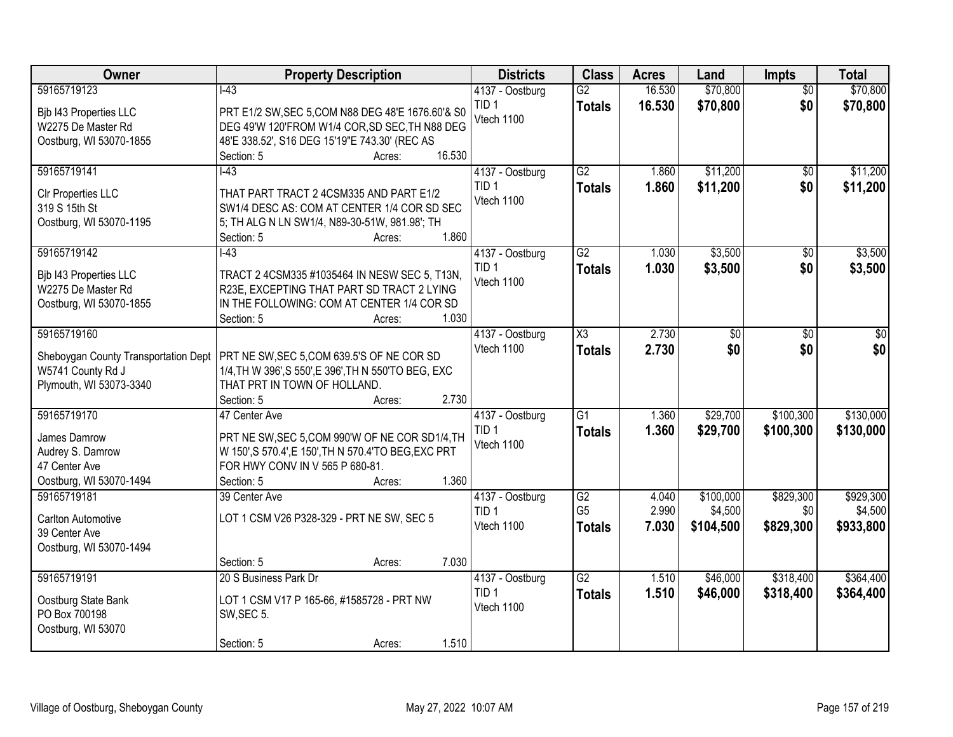| Owner                                | <b>Property Description</b>                            | <b>Districts</b>               | <b>Class</b>           | <b>Acres</b> | Land      | <b>Impts</b>    | <b>Total</b>  |
|--------------------------------------|--------------------------------------------------------|--------------------------------|------------------------|--------------|-----------|-----------------|---------------|
| 59165719123                          | $\overline{1-43}$                                      | 4137 - Oostburg                | $\overline{G2}$        | 16.530       | \$70,800  | $\overline{50}$ | \$70,800      |
| Bjb I43 Properties LLC               | PRT E1/2 SW, SEC 5, COM N88 DEG 48'E 1676.60'& S0      | TID <sub>1</sub>               | <b>Totals</b>          | 16.530       | \$70,800  | \$0             | \$70,800      |
| W2275 De Master Rd                   | DEG 49'W 120'FROM W1/4 COR, SD SEC, TH N88 DEG         | Vtech 1100                     |                        |              |           |                 |               |
| Oostburg, WI 53070-1855              | 48'E 338.52', S16 DEG 15'19"E 743.30' (REC AS          |                                |                        |              |           |                 |               |
|                                      | 16.530<br>Section: 5<br>Acres:                         |                                |                        |              |           |                 |               |
| 59165719141                          | $\overline{1-43}$                                      | 4137 - Oostburg                | G2                     | 1.860        | \$11,200  | $\overline{50}$ | \$11,200      |
|                                      |                                                        | TID <sub>1</sub>               | <b>Totals</b>          | 1.860        | \$11,200  | \$0             | \$11,200      |
| CIr Properties LLC                   | THAT PART TRACT 2 4CSM335 AND PART E1/2                | Vtech 1100                     |                        |              |           |                 |               |
| 319 S 15th St                        | SW1/4 DESC AS: COM AT CENTER 1/4 COR SD SEC            |                                |                        |              |           |                 |               |
| Oostburg, WI 53070-1195              | 5; TH ALG N LN SW1/4, N89-30-51W, 981.98'; TH<br>1.860 |                                |                        |              |           |                 |               |
| 59165719142                          | Section: 5<br>Acres:<br>$-43$                          |                                | G2                     |              | \$3,500   |                 | \$3,500       |
|                                      |                                                        | 4137 - Oostburg                |                        | 1.030        |           | $\sqrt{6}$      |               |
| Bjb I43 Properties LLC               | TRACT 2 4CSM335 #1035464 IN NESW SEC 5, T13N,          | TID <sub>1</sub><br>Vtech 1100 | <b>Totals</b>          | 1.030        | \$3,500   | \$0             | \$3,500       |
| W2275 De Master Rd                   | R23E, EXCEPTING THAT PART SD TRACT 2 LYING             |                                |                        |              |           |                 |               |
| Oostburg, WI 53070-1855              | IN THE FOLLOWING: COM AT CENTER 1/4 COR SD             |                                |                        |              |           |                 |               |
|                                      | 1.030<br>Section: 5<br>Acres:                          |                                |                        |              |           |                 |               |
| 59165719160                          |                                                        | 4137 - Oostburg                | $\overline{\text{X3}}$ | 2.730        | \$0       | \$0             | $\frac{1}{3}$ |
| Sheboygan County Transportation Dept | PRT NE SW, SEC 5, COM 639.5'S OF NE COR SD             | Vtech 1100                     | <b>Totals</b>          | 2.730        | \$0       | \$0             | \$0           |
| W5741 County Rd J                    | 1/4, TH W 396', S 550', E 396', TH N 550'TO BEG, EXC   |                                |                        |              |           |                 |               |
| Plymouth, WI 53073-3340              | THAT PRT IN TOWN OF HOLLAND.                           |                                |                        |              |           |                 |               |
|                                      | 2.730<br>Section: 5<br>Acres:                          |                                |                        |              |           |                 |               |
| 59165719170                          | 47 Center Ave                                          | 4137 - Oostburg                | $\overline{G1}$        | 1.360        | \$29,700  | \$100,300       | \$130,000     |
|                                      |                                                        | TID <sub>1</sub>               | <b>Totals</b>          | 1.360        | \$29,700  | \$100,300       | \$130,000     |
| James Damrow                         | PRT NE SW, SEC 5, COM 990'W OF NE COR SD1/4, TH        | Vtech 1100                     |                        |              |           |                 |               |
| Audrey S. Damrow                     | W 150', S 570.4', E 150', TH N 570.4'TO BEG, EXC PRT   |                                |                        |              |           |                 |               |
| 47 Center Ave                        | FOR HWY CONV IN V 565 P 680-81.                        |                                |                        |              |           |                 |               |
| Oostburg, WI 53070-1494              | 1.360<br>Section: 5<br>Acres:                          |                                |                        |              |           |                 |               |
| 59165719181                          | 39 Center Ave                                          | 4137 - Oostburg                | $\overline{G2}$        | 4.040        | \$100,000 | \$829,300       | \$929,300     |
| <b>Carlton Automotive</b>            | LOT 1 CSM V26 P328-329 - PRT NE SW, SEC 5              | TID <sub>1</sub>               | G <sub>5</sub>         | 2.990        | \$4,500   | \$0             | \$4,500       |
| 39 Center Ave                        |                                                        | Vtech 1100                     | <b>Totals</b>          | 7.030        | \$104,500 | \$829,300       | \$933,800     |
| Oostburg, WI 53070-1494              |                                                        |                                |                        |              |           |                 |               |
|                                      | 7.030<br>Section: 5<br>Acres:                          |                                |                        |              |           |                 |               |
| 59165719191                          | 20 S Business Park Dr                                  | 4137 - Oostburg                | $\overline{G2}$        | 1.510        | \$46,000  | \$318,400       | \$364,400     |
|                                      |                                                        | TID <sub>1</sub>               | <b>Totals</b>          | 1.510        | \$46,000  | \$318,400       | \$364,400     |
| Oostburg State Bank                  | LOT 1 CSM V17 P 165-66, #1585728 - PRT NW              | Vtech 1100                     |                        |              |           |                 |               |
| PO Box 700198                        | SW, SEC 5.                                             |                                |                        |              |           |                 |               |
| Oostburg, WI 53070                   |                                                        |                                |                        |              |           |                 |               |
|                                      | 1.510<br>Section: 5<br>Acres:                          |                                |                        |              |           |                 |               |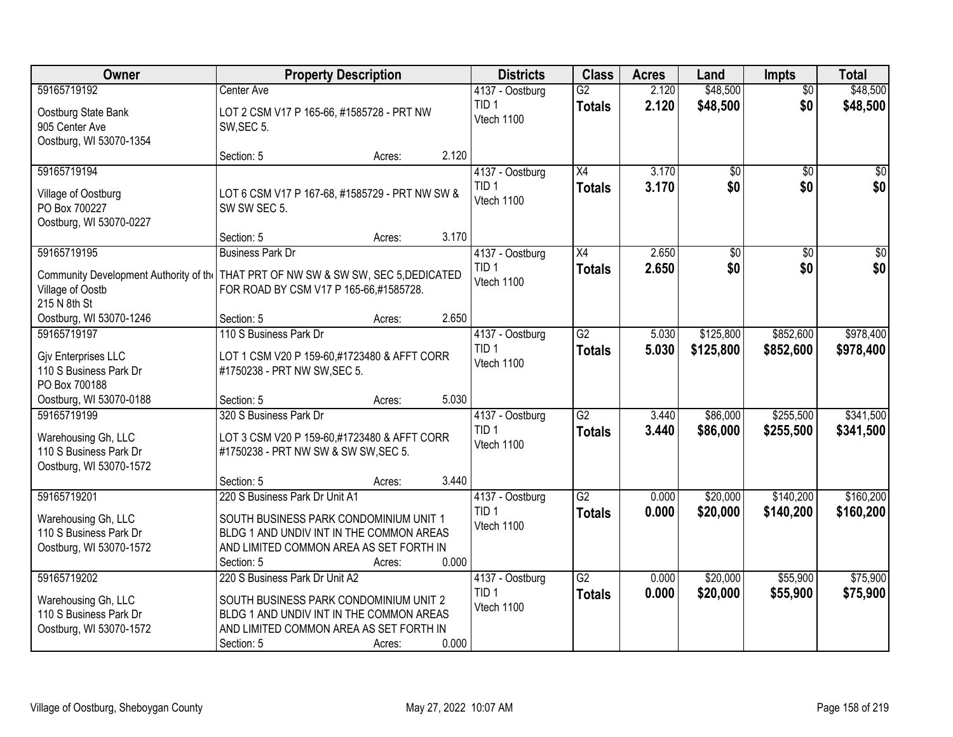| <b>Owner</b>                                                                            | <b>Property Description</b>                                                                                                                                                                      | <b>Districts</b>                                  | <b>Class</b>                     | <b>Acres</b>   | Land                   | <b>Impts</b>           | <b>Total</b>           |
|-----------------------------------------------------------------------------------------|--------------------------------------------------------------------------------------------------------------------------------------------------------------------------------------------------|---------------------------------------------------|----------------------------------|----------------|------------------------|------------------------|------------------------|
| 59165719192                                                                             | Center Ave                                                                                                                                                                                       | 4137 - Oostburg                                   | $\overline{G2}$                  | 2.120          | \$48,500               | $\overline{50}$        | \$48,500               |
| Oostburg State Bank<br>905 Center Ave<br>Oostburg, WI 53070-1354                        | LOT 2 CSM V17 P 165-66, #1585728 - PRT NW<br>SW, SEC 5.                                                                                                                                          | TID <sub>1</sub><br>Vtech 1100                    | <b>Totals</b>                    | 2.120          | \$48,500               | \$0                    | \$48,500               |
|                                                                                         | 2.120<br>Section: 5<br>Acres:                                                                                                                                                                    |                                                   |                                  |                |                        |                        |                        |
| 59165719194<br>Village of Oostburg<br>PO Box 700227<br>Oostburg, WI 53070-0227          | LOT 6 CSM V17 P 167-68, #1585729 - PRT NW SW &<br>SW SW SEC 5.                                                                                                                                   | 4137 - Oostburg<br>TID <sub>1</sub><br>Vtech 1100 | X4<br><b>Totals</b>              | 3.170<br>3.170 | $\overline{50}$<br>\$0 | $\overline{50}$<br>\$0 | \$0<br>\$0             |
|                                                                                         | 3.170<br>Section: 5<br>Acres:                                                                                                                                                                    |                                                   |                                  |                |                        |                        |                        |
| 59165719195<br>Village of Oostb<br>215 N 8th St                                         | <b>Business Park Dr</b><br>Community Development Authority of the THAT PRT OF NW SW & SW SW, SEC 5, DEDICATED<br>FOR ROAD BY CSM V17 P 165-66,#1585728.                                          | 4137 - Oostburg<br>TID <sub>1</sub><br>Vtech 1100 | X4<br><b>Totals</b>              | 2.650<br>2.650 | \$0<br>\$0             | \$0<br>\$0             | $\overline{50}$<br>\$0 |
| Oostburg, WI 53070-1246                                                                 | 2.650<br>Section: 5<br>Acres:                                                                                                                                                                    |                                                   |                                  |                |                        |                        |                        |
| 59165719197<br>Giv Enterprises LLC<br>110 S Business Park Dr<br>PO Box 700188           | 110 S Business Park Dr<br>LOT 1 CSM V20 P 159-60,#1723480 & AFFT CORR<br>#1750238 - PRT NW SW, SEC 5.                                                                                            | 4137 - Oostburg<br>TID <sub>1</sub><br>Vtech 1100 | $\overline{G2}$<br><b>Totals</b> | 5.030<br>5.030 | \$125,800<br>\$125,800 | \$852,600<br>\$852,600 | \$978,400<br>\$978,400 |
| Oostburg, WI 53070-0188                                                                 | 5.030<br>Section: 5<br>Acres:                                                                                                                                                                    |                                                   |                                  |                |                        |                        |                        |
| 59165719199<br>Warehousing Gh, LLC<br>110 S Business Park Dr<br>Oostburg, WI 53070-1572 | 320 S Business Park Dr<br>LOT 3 CSM V20 P 159-60,#1723480 & AFFT CORR<br>#1750238 - PRT NW SW & SW SW, SEC 5.<br>3.440<br>Section: 5<br>Acres:                                                   | 4137 - Oostburg<br>TID <sub>1</sub><br>Vtech 1100 | $\overline{G2}$<br><b>Totals</b> | 3.440<br>3.440 | \$86,000<br>\$86,000   | \$255,500<br>\$255,500 | \$341,500<br>\$341,500 |
| 59165719201                                                                             | 220 S Business Park Dr Unit A1                                                                                                                                                                   | 4137 - Oostburg                                   | $\overline{G2}$                  | 0.000          | \$20,000               | \$140,200              | \$160,200              |
| Warehousing Gh, LLC<br>110 S Business Park Dr<br>Oostburg, WI 53070-1572                | SOUTH BUSINESS PARK CONDOMINIUM UNIT 1<br>BLDG 1 AND UNDIV INT IN THE COMMON AREAS<br>AND LIMITED COMMON AREA AS SET FORTH IN<br>0.000<br>Section: 5<br>Acres:                                   | TID <sub>1</sub><br>Vtech 1100                    | <b>Totals</b>                    | 0.000          | \$20,000               | \$140,200              | \$160,200              |
| 59165719202<br>Warehousing Gh, LLC<br>110 S Business Park Dr<br>Oostburg, WI 53070-1572 | 220 S Business Park Dr Unit A2<br>SOUTH BUSINESS PARK CONDOMINIUM UNIT 2<br>BLDG 1 AND UNDIV INT IN THE COMMON AREAS<br>AND LIMITED COMMON AREA AS SET FORTH IN<br>0.000<br>Section: 5<br>Acres: | 4137 - Oostburg<br>TID <sub>1</sub><br>Vtech 1100 | $\overline{G2}$<br><b>Totals</b> | 0.000<br>0.000 | \$20,000<br>\$20,000   | \$55,900<br>\$55,900   | \$75,900<br>\$75,900   |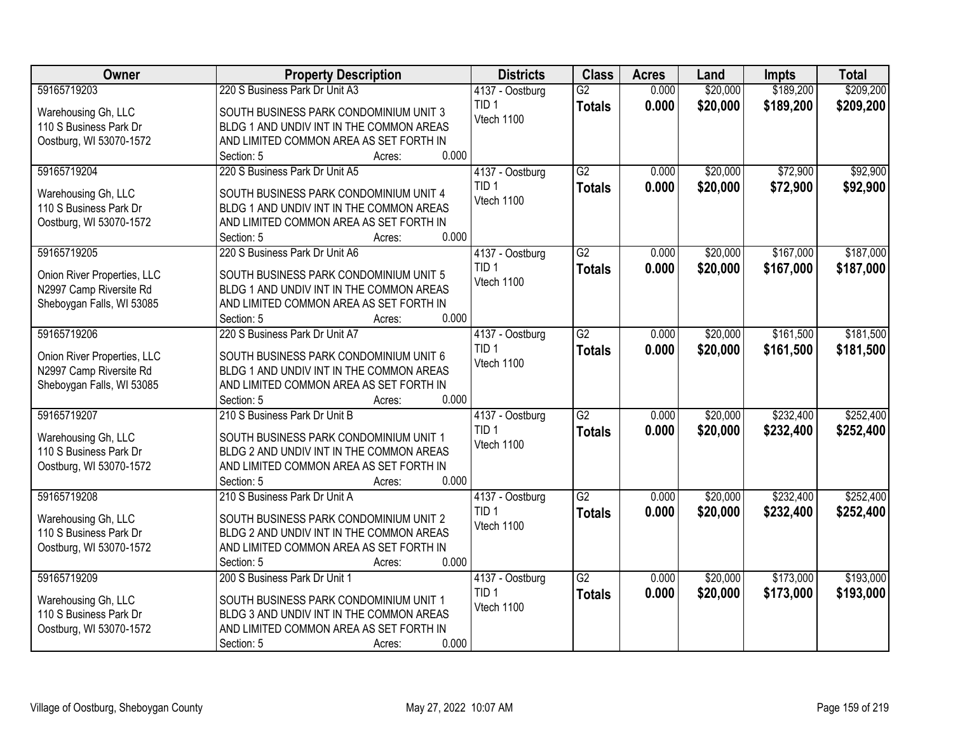| Owner                       | <b>Property Description</b>                            | <b>Districts</b>                    | <b>Class</b>    | <b>Acres</b> | Land     | <b>Impts</b> | <b>Total</b> |
|-----------------------------|--------------------------------------------------------|-------------------------------------|-----------------|--------------|----------|--------------|--------------|
| 59165719203                 | 220 S Business Park Dr Unit A3                         | 4137 - Oostburg                     | $\overline{G2}$ | 0.000        | \$20,000 | \$189,200    | \$209,200    |
| Warehousing Gh, LLC         | SOUTH BUSINESS PARK CONDOMINIUM UNIT 3                 | TID <sub>1</sub>                    | <b>Totals</b>   | 0.000        | \$20,000 | \$189,200    | \$209,200    |
| 110 S Business Park Dr      | BLDG 1 AND UNDIV INT IN THE COMMON AREAS               | Vtech 1100                          |                 |              |          |              |              |
| Oostburg, WI 53070-1572     | AND LIMITED COMMON AREA AS SET FORTH IN                |                                     |                 |              |          |              |              |
|                             | 0.000<br>Section: 5<br>Acres:                          |                                     |                 |              |          |              |              |
| 59165719204                 | 220 S Business Park Dr Unit A5                         | 4137 - Oostburg                     | $\overline{G2}$ | 0.000        | \$20,000 | \$72,900     | \$92,900     |
| Warehousing Gh, LLC         | SOUTH BUSINESS PARK CONDOMINIUM UNIT 4                 | TID <sub>1</sub>                    | <b>Totals</b>   | 0.000        | \$20,000 | \$72,900     | \$92,900     |
| 110 S Business Park Dr      | BLDG 1 AND UNDIV INT IN THE COMMON AREAS               | Vtech 1100                          |                 |              |          |              |              |
| Oostburg, WI 53070-1572     | AND LIMITED COMMON AREA AS SET FORTH IN                |                                     |                 |              |          |              |              |
|                             | 0.000<br>Section: 5<br>Acres:                          |                                     |                 |              |          |              |              |
| 59165719205                 | 220 S Business Park Dr Unit A6                         | 4137 - Oostburg                     | G2              | 0.000        | \$20,000 | \$167,000    | \$187,000    |
|                             |                                                        | TID <sub>1</sub>                    | <b>Totals</b>   | 0.000        | \$20,000 | \$167,000    | \$187,000    |
| Onion River Properties, LLC | SOUTH BUSINESS PARK CONDOMINIUM UNIT 5                 | Vtech 1100                          |                 |              |          |              |              |
| N2997 Camp Riversite Rd     | BLDG 1 AND UNDIV INT IN THE COMMON AREAS               |                                     |                 |              |          |              |              |
| Sheboygan Falls, WI 53085   | AND LIMITED COMMON AREA AS SET FORTH IN<br>0.000       |                                     |                 |              |          |              |              |
| 59165719206                 | Section: 5<br>Acres:<br>220 S Business Park Dr Unit A7 |                                     | $\overline{G2}$ | 0.000        | \$20,000 | \$161,500    | \$181,500    |
|                             |                                                        | 4137 - Oostburg<br>TID <sub>1</sub> |                 |              |          |              |              |
| Onion River Properties, LLC | SOUTH BUSINESS PARK CONDOMINIUM UNIT 6                 | Vtech 1100                          | <b>Totals</b>   | 0.000        | \$20,000 | \$161,500    | \$181,500    |
| N2997 Camp Riversite Rd     | BLDG 1 AND UNDIV INT IN THE COMMON AREAS               |                                     |                 |              |          |              |              |
| Sheboygan Falls, WI 53085   | AND LIMITED COMMON AREA AS SET FORTH IN                |                                     |                 |              |          |              |              |
|                             | 0.000<br>Section: 5<br>Acres:                          |                                     |                 |              |          |              |              |
| 59165719207                 | 210 S Business Park Dr Unit B                          | 4137 - Oostburg                     | $\overline{G2}$ | 0.000        | \$20,000 | \$232,400    | \$252,400    |
| Warehousing Gh, LLC         | SOUTH BUSINESS PARK CONDOMINIUM UNIT 1                 | TID <sub>1</sub>                    | <b>Totals</b>   | 0.000        | \$20,000 | \$232,400    | \$252,400    |
| 110 S Business Park Dr      | BLDG 2 AND UNDIV INT IN THE COMMON AREAS               | Vtech 1100                          |                 |              |          |              |              |
| Oostburg, WI 53070-1572     | AND LIMITED COMMON AREA AS SET FORTH IN                |                                     |                 |              |          |              |              |
|                             | 0.000<br>Section: 5<br>Acres:                          |                                     |                 |              |          |              |              |
| 59165719208                 | 210 S Business Park Dr Unit A                          | 4137 - Oostburg                     | G2              | 0.000        | \$20,000 | \$232,400    | \$252,400    |
| Warehousing Gh, LLC         | SOUTH BUSINESS PARK CONDOMINIUM UNIT 2                 | TID <sub>1</sub>                    | <b>Totals</b>   | 0.000        | \$20,000 | \$232,400    | \$252,400    |
| 110 S Business Park Dr      | BLDG 2 AND UNDIV INT IN THE COMMON AREAS               | Vtech 1100                          |                 |              |          |              |              |
| Oostburg, WI 53070-1572     | AND LIMITED COMMON AREA AS SET FORTH IN                |                                     |                 |              |          |              |              |
|                             | 0.000<br>Section: 5<br>Acres:                          |                                     |                 |              |          |              |              |
| 59165719209                 | 200 S Business Park Dr Unit 1                          | 4137 - Oostburg                     | $\overline{G2}$ | 0.000        | \$20,000 | \$173,000    | \$193,000    |
|                             |                                                        | TID <sub>1</sub>                    | <b>Totals</b>   | 0.000        | \$20,000 | \$173,000    | \$193,000    |
| Warehousing Gh, LLC         | SOUTH BUSINESS PARK CONDOMINIUM UNIT 1                 | Vtech 1100                          |                 |              |          |              |              |
| 110 S Business Park Dr      | BLDG 3 AND UNDIV INT IN THE COMMON AREAS               |                                     |                 |              |          |              |              |
| Oostburg, WI 53070-1572     | AND LIMITED COMMON AREA AS SET FORTH IN                |                                     |                 |              |          |              |              |
|                             | 0.000<br>Section: 5<br>Acres:                          |                                     |                 |              |          |              |              |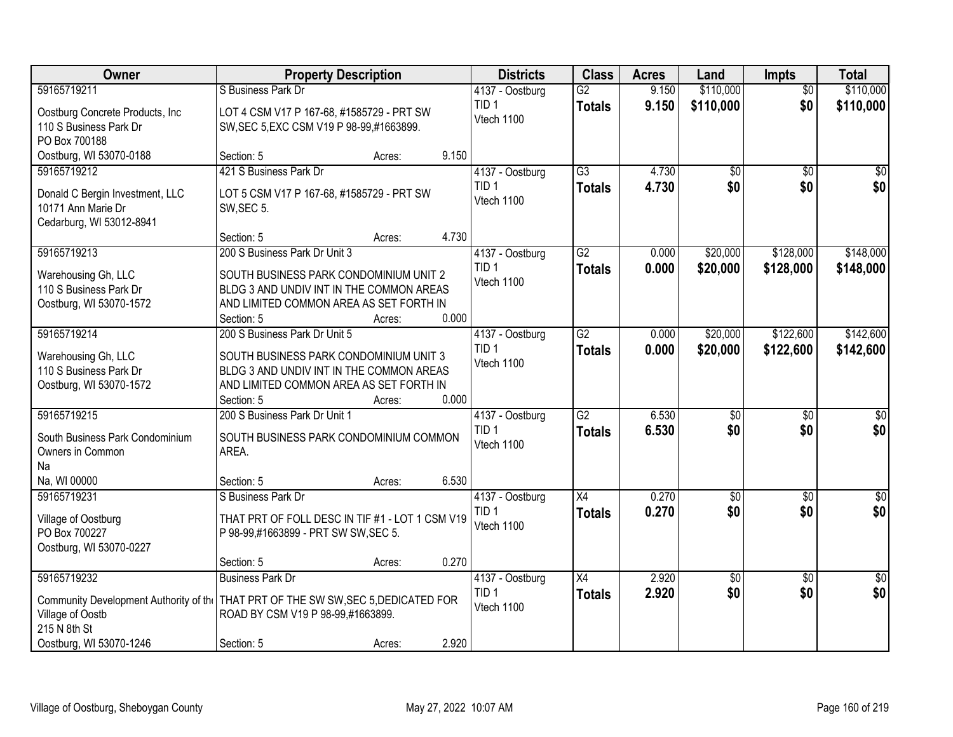| Owner                                                                                            | <b>Property Description</b>                                                                                                                                    | <b>Districts</b>                                  | <b>Class</b>                     | <b>Acres</b>   | Land                   | Impts                  | <b>Total</b>           |
|--------------------------------------------------------------------------------------------------|----------------------------------------------------------------------------------------------------------------------------------------------------------------|---------------------------------------------------|----------------------------------|----------------|------------------------|------------------------|------------------------|
| 59165719211                                                                                      | S Business Park Dr                                                                                                                                             | 4137 - Oostburg                                   | $\overline{G2}$                  | 9.150          | \$110,000              | $\overline{50}$        | \$110,000              |
| Oostburg Concrete Products, Inc.<br>110 S Business Park Dr<br>PO Box 700188                      | LOT 4 CSM V17 P 167-68, #1585729 - PRT SW<br>SW, SEC 5, EXC CSM V19 P 98-99, #1663899.                                                                         | TID <sub>1</sub><br>Vtech 1100                    | <b>Totals</b>                    | 9.150          | \$110,000              | \$0                    | \$110,000              |
| Oostburg, WI 53070-0188                                                                          | 9.150<br>Section: 5<br>Acres:                                                                                                                                  |                                                   |                                  |                |                        |                        |                        |
| 59165719212<br>Donald C Bergin Investment, LLC<br>10171 Ann Marie Dr<br>Cedarburg, WI 53012-8941 | 421 S Business Park Dr<br>LOT 5 CSM V17 P 167-68, #1585729 - PRT SW<br>SW, SEC 5.                                                                              | 4137 - Oostburg<br>TID <sub>1</sub><br>Vtech 1100 | $\overline{G3}$<br><b>Totals</b> | 4.730<br>4.730 | \$0<br>\$0             | $\overline{50}$<br>\$0 | $\sqrt{50}$<br>\$0     |
| 59165719213                                                                                      | 4.730<br>Section: 5<br>Acres:<br>200 S Business Park Dr Unit 3                                                                                                 | 4137 - Oostburg                                   | $\overline{G2}$                  | 0.000          | \$20,000               | \$128,000              | \$148,000              |
| Warehousing Gh, LLC<br>110 S Business Park Dr<br>Oostburg, WI 53070-1572                         | SOUTH BUSINESS PARK CONDOMINIUM UNIT 2<br>BLDG 3 AND UNDIV INT IN THE COMMON AREAS<br>AND LIMITED COMMON AREA AS SET FORTH IN<br>0.000<br>Section: 5<br>Acres: | TID <sub>1</sub><br>Vtech 1100                    | <b>Totals</b>                    | 0.000          | \$20,000               | \$128,000              | \$148,000              |
| 59165719214                                                                                      | 200 S Business Park Dr Unit 5                                                                                                                                  | 4137 - Oostburg                                   | $\overline{G2}$                  | 0.000          | \$20,000               | \$122,600              | \$142,600              |
| Warehousing Gh, LLC<br>110 S Business Park Dr<br>Oostburg, WI 53070-1572                         | SOUTH BUSINESS PARK CONDOMINIUM UNIT 3<br>BLDG 3 AND UNDIV INT IN THE COMMON AREAS<br>AND LIMITED COMMON AREA AS SET FORTH IN<br>0.000<br>Section: 5<br>Acres: | TID <sub>1</sub><br>Vtech 1100                    | <b>Totals</b>                    | 0.000          | \$20,000               | \$122,600              | \$142,600              |
| 59165719215<br>South Business Park Condominium<br>Owners in Common<br>Na<br>Na, WI 00000         | 200 S Business Park Dr Unit 1<br>SOUTH BUSINESS PARK CONDOMINIUM COMMON<br>AREA.<br>6.530<br>Section: 5<br>Acres:                                              | 4137 - Oostburg<br>TID <sub>1</sub><br>Vtech 1100 | $\overline{G2}$<br><b>Totals</b> | 6.530<br>6.530 | $\overline{50}$<br>\$0 | $\overline{50}$<br>\$0 | \$0<br>\$0             |
| 59165719231                                                                                      | S Business Park Dr                                                                                                                                             | 4137 - Oostburg                                   | $\overline{X4}$                  | 0.270          | $\overline{50}$        | $\overline{50}$        | $\overline{\$0}$       |
| Village of Oostburg<br>PO Box 700227<br>Oostburg, WI 53070-0227                                  | THAT PRT OF FOLL DESC IN TIF #1 - LOT 1 CSM V19<br>P 98-99,#1663899 - PRT SW SW, SEC 5.                                                                        | TID <sub>1</sub><br>Vtech 1100                    | <b>Totals</b>                    | 0.270          | \$0                    | \$0                    | \$0                    |
|                                                                                                  | 0.270<br>Section: 5<br>Acres:                                                                                                                                  |                                                   |                                  |                |                        |                        |                        |
| 59165719232<br>Village of Oostb<br>215 N 8th St                                                  | <b>Business Park Dr</b><br>Community Development Authority of the THAT PRT OF THE SW SW, SEC 5, DEDICATED FOR<br>ROAD BY CSM V19 P 98-99,#1663899.             | 4137 - Oostburg<br>TID <sub>1</sub><br>Vtech 1100 | $\overline{X4}$<br><b>Totals</b> | 2.920<br>2.920 | \$0<br>\$0             | $\overline{50}$<br>\$0 | $\overline{50}$<br>\$0 |
| Oostburg, WI 53070-1246                                                                          | 2.920<br>Section: 5<br>Acres:                                                                                                                                  |                                                   |                                  |                |                        |                        |                        |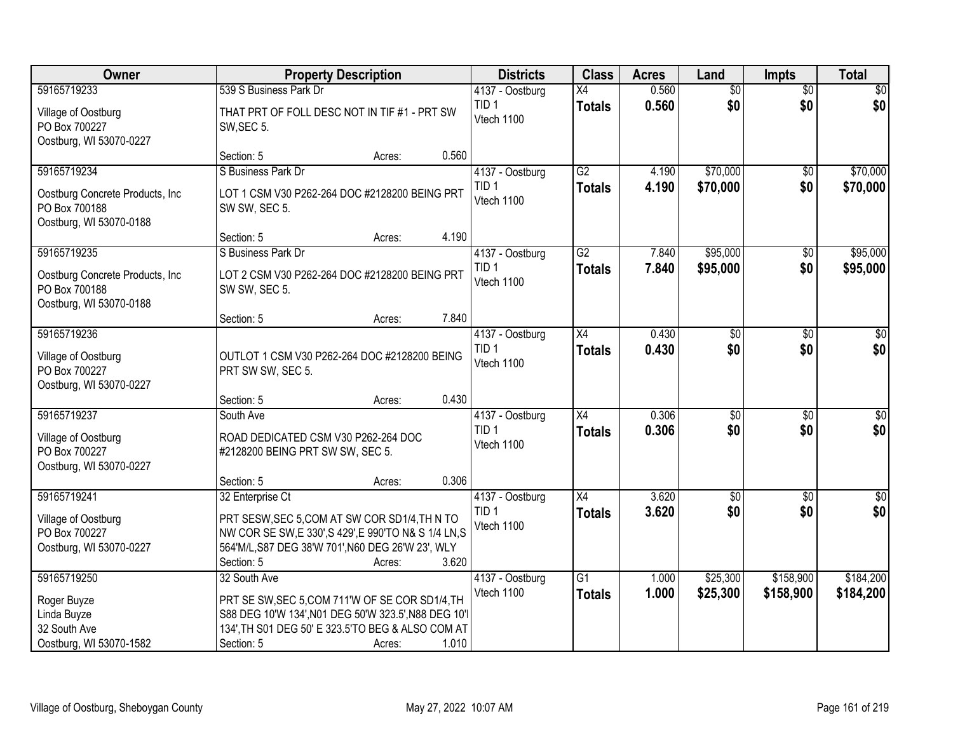| Owner                                                                        | <b>Property Description</b>                                             | <b>Districts</b>               | <b>Class</b>    | <b>Acres</b> | Land            | <b>Impts</b>    | <b>Total</b>     |
|------------------------------------------------------------------------------|-------------------------------------------------------------------------|--------------------------------|-----------------|--------------|-----------------|-----------------|------------------|
| 59165719233                                                                  | 539 S Business Park Dr                                                  | 4137 - Oostburg                | $\overline{X4}$ | 0.560        | $\overline{50}$ | $\overline{50}$ | \$0              |
| Village of Oostburg<br>PO Box 700227<br>Oostburg, WI 53070-0227              | THAT PRT OF FOLL DESC NOT IN TIF #1 - PRT SW<br>SW, SEC 5.              | TID <sub>1</sub><br>Vtech 1100 | <b>Totals</b>   | 0.560        | \$0             | \$0             | \$0              |
|                                                                              | 0.560<br>Section: 5<br>Acres:                                           |                                |                 |              |                 |                 |                  |
| 59165719234                                                                  | S Business Park Dr                                                      | 4137 - Oostburg                | G2              | 4.190        | \$70,000        | $\overline{50}$ | \$70,000         |
| Oostburg Concrete Products, Inc.<br>PO Box 700188<br>Oostburg, WI 53070-0188 | LOT 1 CSM V30 P262-264 DOC #2128200 BEING PRT<br>SW SW, SEC 5.          | TID <sub>1</sub><br>Vtech 1100 | <b>Totals</b>   | 4.190        | \$70,000        | \$0             | \$70,000         |
|                                                                              | 4.190<br>Section: 5<br>Acres:                                           |                                |                 |              |                 |                 |                  |
| 59165719235                                                                  | S Business Park Dr                                                      | 4137 - Oostburg                | G2              | 7.840        | \$95,000        | \$0             | \$95,000         |
| Oostburg Concrete Products, Inc<br>PO Box 700188<br>Oostburg, WI 53070-0188  | LOT 2 CSM V30 P262-264 DOC #2128200 BEING PRT<br>SW SW, SEC 5.          | TID <sub>1</sub><br>Vtech 1100 | <b>Totals</b>   | 7.840        | \$95,000        | \$0             | \$95,000         |
|                                                                              | 7.840<br>Section: 5<br>Acres:                                           |                                |                 |              |                 |                 |                  |
| 59165719236                                                                  |                                                                         | 4137 - Oostburg                | X4              | 0.430        | $\overline{50}$ | $\sqrt[6]{3}$   | $\sqrt{50}$      |
| Village of Oostburg<br>PO Box 700227<br>Oostburg, WI 53070-0227              | OUTLOT 1 CSM V30 P262-264 DOC #2128200 BEING<br>PRT SW SW, SEC 5.       | TID <sub>1</sub><br>Vtech 1100 | <b>Totals</b>   | 0.430        | \$0             | \$0             | \$0              |
|                                                                              | 0.430<br>Section: 5<br>Acres:                                           |                                |                 |              |                 |                 |                  |
| 59165719237                                                                  | South Ave                                                               | 4137 - Oostburg                | $\overline{X4}$ | 0.306        | \$0             | \$0             | $\sqrt{50}$      |
| Village of Oostburg<br>PO Box 700227                                         | ROAD DEDICATED CSM V30 P262-264 DOC<br>#2128200 BEING PRT SW SW, SEC 5. | TID <sub>1</sub><br>Vtech 1100 | <b>Totals</b>   | 0.306        | \$0             | \$0             | \$0              |
| Oostburg, WI 53070-0227                                                      |                                                                         |                                |                 |              |                 |                 |                  |
|                                                                              | 0.306<br>Section: 5<br>Acres:                                           |                                |                 |              |                 |                 |                  |
| 59165719241                                                                  | 32 Enterprise Ct                                                        | 4137 - Oostburg                | $\overline{X4}$ | 3.620        | $\overline{50}$ | \$0             | $\overline{\$0}$ |
| Village of Oostburg                                                          | PRT SESW, SEC 5, COM AT SW COR SD1/4, TH N TO                           | TID <sub>1</sub>               | <b>Totals</b>   | 3.620        | \$0             | \$0             | \$0              |
| PO Box 700227                                                                | NW COR SE SW, E 330', S 429', E 990'TO N& S 1/4 LN, S                   | Vtech 1100                     |                 |              |                 |                 |                  |
| Oostburg, WI 53070-0227                                                      | 564'M/L, S87 DEG 38'W 701', N60 DEG 26'W 23', WLY                       |                                |                 |              |                 |                 |                  |
|                                                                              | 3.620<br>Section: 5<br>Acres:                                           |                                |                 |              |                 |                 |                  |
| 59165719250                                                                  | 32 South Ave                                                            | 4137 - Oostburg                | $\overline{G1}$ | 1.000        | \$25,300        | \$158,900       | \$184,200        |
| Roger Buyze                                                                  | PRT SE SW, SEC 5, COM 711'W OF SE COR SD1/4, TH                         | Vtech 1100                     | <b>Totals</b>   | 1.000        | \$25,300        | \$158,900       | \$184,200        |
| Linda Buyze                                                                  | S88 DEG 10'W 134', N01 DEG 50'W 323.5', N88 DEG 10'l                    |                                |                 |              |                 |                 |                  |
| 32 South Ave                                                                 | 134', TH S01 DEG 50' E 323.5'TO BEG & ALSO COM AT                       |                                |                 |              |                 |                 |                  |
| Oostburg, WI 53070-1582                                                      | 1.010<br>Section: 5<br>Acres:                                           |                                |                 |              |                 |                 |                  |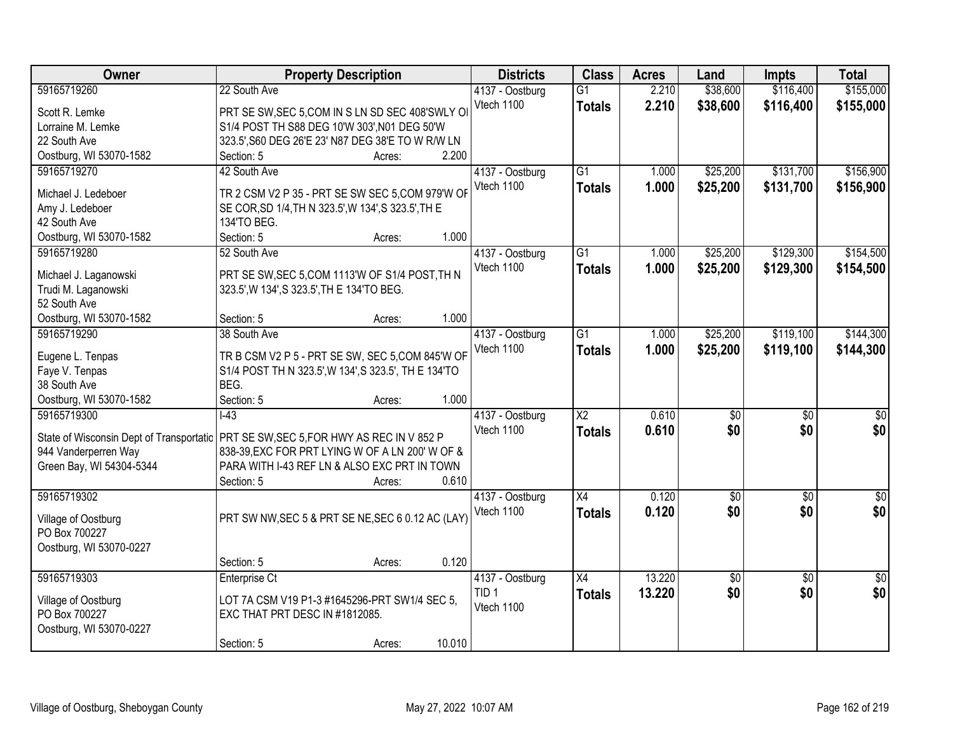| Owner                                    | <b>Property Description</b>                          | <b>Districts</b> | <b>Class</b>           | <b>Acres</b> | Land               | <b>Impts</b>    | <b>Total</b>         |
|------------------------------------------|------------------------------------------------------|------------------|------------------------|--------------|--------------------|-----------------|----------------------|
| 59165719260                              | 22 South Ave                                         | 4137 - Oostburg  | $\overline{G1}$        | 2.210        | \$38,600           | \$116,400       | \$155,000            |
| Scott R. Lemke                           | PRT SE SW, SEC 5, COM IN S LN SD SEC 408'SWLY OI     | Vtech 1100       | <b>Totals</b>          | 2.210        | \$38,600           | \$116,400       | \$155,000            |
| Lorraine M. Lemke                        | S1/4 POST TH S88 DEG 10'W 303', N01 DEG 50'W         |                  |                        |              |                    |                 |                      |
| 22 South Ave                             | 323.5', S60 DEG 26'E 23' N87 DEG 38'E TO W R/W LN    |                  |                        |              |                    |                 |                      |
| Oostburg, WI 53070-1582                  | 2.200<br>Section: 5<br>Acres:                        |                  |                        |              |                    |                 |                      |
| 59165719270                              | 42 South Ave                                         | 4137 - Oostburg  | $\overline{G1}$        | 1.000        | \$25,200           | \$131,700       | \$156,900            |
|                                          |                                                      | Vtech 1100       | <b>Totals</b>          | 1.000        | \$25,200           | \$131,700       | \$156,900            |
| Michael J. Ledeboer                      | TR 2 CSM V2 P 35 - PRT SE SW SEC 5, COM 979'W OF     |                  |                        |              |                    |                 |                      |
| Amy J. Ledeboer                          | SE COR, SD 1/4, TH N 323.5', W 134', S 323.5', TH E  |                  |                        |              |                    |                 |                      |
| 42 South Ave                             | 134'TO BEG.                                          |                  |                        |              |                    |                 |                      |
| Oostburg, WI 53070-1582                  | 1.000<br>Section: 5<br>Acres:                        |                  |                        |              |                    |                 |                      |
| 59165719280                              | 52 South Ave                                         | 4137 - Oostburg  | $\overline{G1}$        | 1.000        | \$25,200           | \$129,300       | \$154,500            |
| Michael J. Laganowski                    | PRT SE SW, SEC 5, COM 1113'W OF S1/4 POST, TH N      | Vtech 1100       | <b>Totals</b>          | 1.000        | \$25,200           | \$129,300       | \$154,500            |
| Trudi M. Laganowski                      | 323.5', W 134', S 323.5', TH E 134'TO BEG.           |                  |                        |              |                    |                 |                      |
| 52 South Ave                             |                                                      |                  |                        |              |                    |                 |                      |
| Oostburg, WI 53070-1582                  | 1.000<br>Section: 5<br>Acres:                        |                  |                        |              |                    |                 |                      |
| 59165719290                              | 38 South Ave                                         | 4137 - Oostburg  | $\overline{G1}$        | 1.000        | \$25,200           | \$119,100       | \$144,300            |
|                                          |                                                      | Vtech 1100       | <b>Totals</b>          | 1.000        | \$25,200           | \$119,100       | \$144,300            |
| Eugene L. Tenpas                         | TR B CSM V2 P 5 - PRT SE SW, SEC 5, COM 845'W OF     |                  |                        |              |                    |                 |                      |
| Faye V. Tenpas                           | S1/4 POST TH N 323.5', W 134', S 323.5', TH E 134'TO |                  |                        |              |                    |                 |                      |
| 38 South Ave                             | BEG.                                                 |                  |                        |              |                    |                 |                      |
| Oostburg, WI 53070-1582                  | 1.000<br>Section: 5<br>Acres:                        |                  |                        |              |                    |                 |                      |
| 59165719300                              | $I-43$                                               | 4137 - Oostburg  | $\overline{\text{X2}}$ | 0.610        | $\overline{50}$    | $\overline{50}$ | $\overline{\$0}$     |
| State of Wisconsin Dept of Transportatic | PRT SE SW, SEC 5, FOR HWY AS REC IN V 852 P          | Vtech 1100       | <b>Totals</b>          | 0.610        | \$0                | \$0             | \$0                  |
| 944 Vanderperren Way                     | 838-39, EXC FOR PRT LYING W OF A LN 200' W OF &      |                  |                        |              |                    |                 |                      |
| Green Bay, WI 54304-5344                 | PARA WITH I-43 REF LN & ALSO EXC PRT IN TOWN         |                  |                        |              |                    |                 |                      |
|                                          | 0.610<br>Section: 5<br>Acres:                        |                  |                        |              |                    |                 |                      |
| 59165719302                              |                                                      |                  | X4                     | 0.120        |                    |                 |                      |
|                                          |                                                      | 4137 - Oostburg  |                        |              | $\sqrt{30}$<br>\$0 | $\overline{50}$ | $\frac{1}{6}$<br>\$0 |
| Village of Oostburg                      | PRT SW NW, SEC 5 & PRT SE NE, SEC 6 0.12 AC (LAY)    | Vtech 1100       | <b>Totals</b>          | 0.120        |                    | \$0             |                      |
| PO Box 700227                            |                                                      |                  |                        |              |                    |                 |                      |
| Oostburg, WI 53070-0227                  |                                                      |                  |                        |              |                    |                 |                      |
|                                          | 0.120<br>Section: 5<br>Acres:                        |                  |                        |              |                    |                 |                      |
| 59165719303                              | <b>Enterprise Ct</b>                                 | 4137 - Oostburg  | $\overline{X4}$        | 13.220       | $\sqrt{6}$         | $\overline{50}$ | $\overline{50}$      |
|                                          |                                                      | TID <sub>1</sub> | <b>Totals</b>          | 13.220       | \$0                | \$0             | \$0                  |
| Village of Oostburg                      | LOT 7A CSM V19 P1-3 #1645296-PRT SW1/4 SEC 5,        | Vtech 1100       |                        |              |                    |                 |                      |
| PO Box 700227                            | EXC THAT PRT DESC IN #1812085.                       |                  |                        |              |                    |                 |                      |
| Oostburg, WI 53070-0227                  |                                                      |                  |                        |              |                    |                 |                      |
|                                          | 10.010<br>Section: 5<br>Acres:                       |                  |                        |              |                    |                 |                      |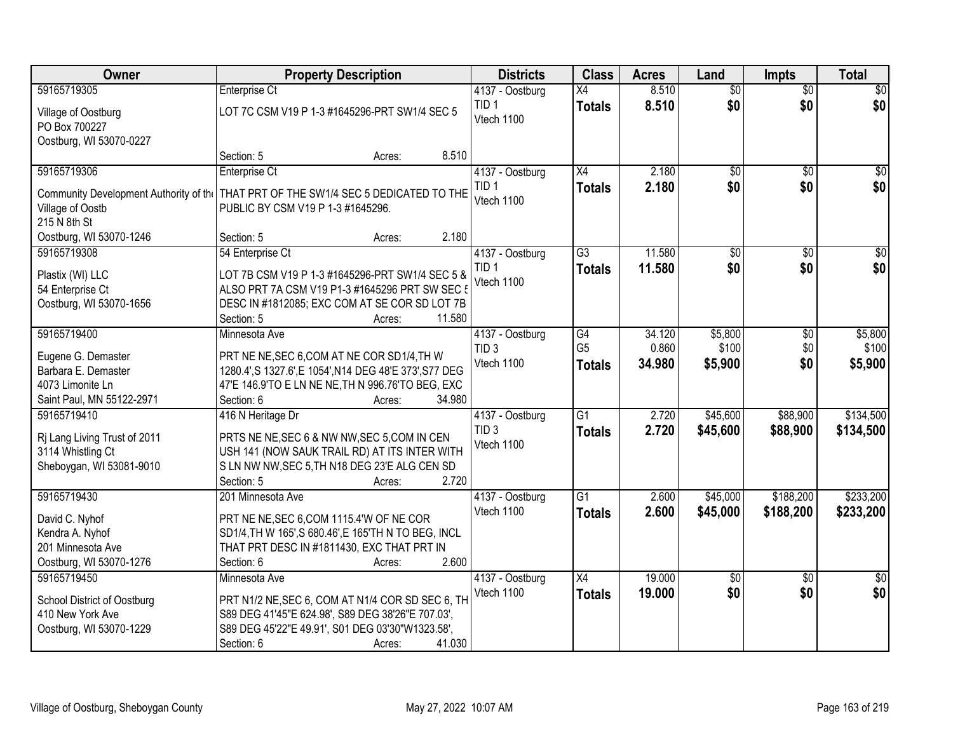| 59165719305<br>8.510<br>$\overline{50}$<br>$\sqrt{50}$<br>Enterprise Ct<br>X4<br>$\overline{50}$<br>4137 - Oostburg<br>\$0<br>\$0<br>\$0<br>TID <sub>1</sub><br>8.510<br><b>Totals</b><br>LOT 7C CSM V19 P 1-3 #1645296-PRT SW1/4 SEC 5<br>Village of Oostburg<br>Vtech 1100<br>PO Box 700227<br>Oostburg, WI 53070-0227<br>8.510<br>Section: 5<br>Acres:<br>2.180<br>59165719306<br>$\overline{X4}$<br>$\overline{50}$<br>Enterprise Ct<br>4137 - Oostburg<br>$\overline{50}$<br>2.180<br>\$0<br>\$0<br>TID <sub>1</sub><br><b>Totals</b><br>THAT PRT OF THE SW1/4 SEC 5 DEDICATED TO THE<br>Community Development Authority of the<br>Vtech 1100<br>Village of Oostb<br>PUBLIC BY CSM V19 P 1-3 #1645296.<br>215 N 8th St<br>2.180<br>Oostburg, WI 53070-1246<br>Section: 5<br>Acres:<br>11.580<br>59165719308<br>$\overline{G3}$<br>$\overline{50}$<br>$\overline{50}$<br>54 Enterprise Ct<br>4137 - Oostburg<br>\$0<br>\$0<br>TID <sub>1</sub><br>11.580<br><b>Totals</b><br>LOT 7B CSM V19 P 1-3 #1645296-PRT SW1/4 SEC 5 &<br>Plastix (WI) LLC<br>Vtech 1100<br>ALSO PRT 7A CSM V19 P1-3 #1645296 PRT SW SEC 5<br>54 Enterprise Ct<br>Oostburg, WI 53070-1656<br>DESC IN #1812085; EXC COM AT SE COR SD LOT 7B<br>11.580<br>Section: 5<br>Acres:<br>59165719400<br>$\overline{G4}$<br>\$5,800<br>Minnesota Ave<br>34.120<br>4137 - Oostburg<br>\$0<br>G <sub>5</sub><br>0.860<br>\$100<br>\$0<br>TID <sub>3</sub><br>Eugene G. Demaster<br>PRT NE NE, SEC 6, COM AT NE COR SD1/4, TH W<br>\$0<br>Vtech 1100<br>34.980<br>\$5,900<br>\$5,900<br><b>Totals</b><br>Barbara E. Demaster<br>1280.4', S 1327.6', E 1054', N14 DEG 48'E 373', S77 DEG<br>4073 Limonite Ln<br>47'E 146.9'TO E LN NE NE, TH N 996.76'TO BEG, EXC<br>Saint Paul, MN 55122-2971<br>Section: 6<br>34.980<br>Acres:<br>$\overline{G1}$<br>2.720<br>\$45,600<br>\$88,900<br>59165719410<br>416 N Heritage Dr<br>4137 - Oostburg<br>TID <sub>3</sub><br>2.720<br>\$88,900<br>\$134,500<br><b>Totals</b><br>\$45,600<br>Rj Lang Living Trust of 2011<br>PRTS NE NE, SEC 6 & NW NW, SEC 5, COM IN CEN<br>Vtech 1100<br>3114 Whistling Ct<br>USH 141 (NOW SAUK TRAIL RD) AT ITS INTER WITH<br>Sheboygan, WI 53081-9010<br>S LN NW NW, SEC 5, TH N18 DEG 23'E ALG CEN SD<br>2.720<br>Section: 5<br>Acres:<br>59165719430<br>$\overline{G1}$<br>\$188,200<br>201 Minnesota Ave<br>2.600<br>\$45,000<br>4137 - Oostburg<br>Vtech 1100<br>2.600<br>\$45,000<br>\$188,200<br>\$233,200<br><b>Totals</b><br>PRT NE NE, SEC 6, COM 1115.4'W OF NE COR<br>David C. Nyhof<br>Kendra A. Nyhof<br>SD1/4, TH W 165', S 680.46', E 165'TH N TO BEG, INCL<br>THAT PRT DESC IN #1811430, EXC THAT PRT IN<br>201 Minnesota Ave<br>Oostburg, WI 53070-1276<br>2.600<br>Section: 6<br>Acres:<br>19.000<br>59165719450<br>4137 - Oostburg<br>$\overline{X4}$<br>$\overline{50}$<br>Minnesota Ave<br>$\overline{30}$<br>\$0<br>\$0<br>\$0<br>Vtech 1100<br>19.000<br><b>Totals</b><br>PRT N1/2 NE, SEC 6, COM AT N1/4 COR SD SEC 6, TH<br>School District of Oostburg<br>410 New York Ave<br>S89 DEG 41'45"E 624.98', S89 DEG 38'26"E 707.03',<br>S89 DEG 45'22"E 49.91', S01 DEG 03'30"W1323.58',<br>Oostburg, WI 53070-1229 | Owner | <b>Property Description</b>    | <b>Districts</b> | <b>Class</b> | <b>Acres</b> | Land | <b>Impts</b> | <b>Total</b> |
|-------------------------------------------------------------------------------------------------------------------------------------------------------------------------------------------------------------------------------------------------------------------------------------------------------------------------------------------------------------------------------------------------------------------------------------------------------------------------------------------------------------------------------------------------------------------------------------------------------------------------------------------------------------------------------------------------------------------------------------------------------------------------------------------------------------------------------------------------------------------------------------------------------------------------------------------------------------------------------------------------------------------------------------------------------------------------------------------------------------------------------------------------------------------------------------------------------------------------------------------------------------------------------------------------------------------------------------------------------------------------------------------------------------------------------------------------------------------------------------------------------------------------------------------------------------------------------------------------------------------------------------------------------------------------------------------------------------------------------------------------------------------------------------------------------------------------------------------------------------------------------------------------------------------------------------------------------------------------------------------------------------------------------------------------------------------------------------------------------------------------------------------------------------------------------------------------------------------------------------------------------------------------------------------------------------------------------------------------------------------------------------------------------------------------------------------------------------------------------------------------------------------------------------------------------------------------------------------------------------------------------------------------------------------------------------------------------------------------------------------------------------------------------------------------------------------------------------------------------------------------------------------------------------------------------------------------------------------------------------------------------------------------------------------------------------------------------------------------------------------------------------------------------------------------------|-------|--------------------------------|------------------|--------------|--------------|------|--------------|--------------|
|                                                                                                                                                                                                                                                                                                                                                                                                                                                                                                                                                                                                                                                                                                                                                                                                                                                                                                                                                                                                                                                                                                                                                                                                                                                                                                                                                                                                                                                                                                                                                                                                                                                                                                                                                                                                                                                                                                                                                                                                                                                                                                                                                                                                                                                                                                                                                                                                                                                                                                                                                                                                                                                                                                                                                                                                                                                                                                                                                                                                                                                                                                                                                                               |       |                                |                  |              |              |      |              |              |
|                                                                                                                                                                                                                                                                                                                                                                                                                                                                                                                                                                                                                                                                                                                                                                                                                                                                                                                                                                                                                                                                                                                                                                                                                                                                                                                                                                                                                                                                                                                                                                                                                                                                                                                                                                                                                                                                                                                                                                                                                                                                                                                                                                                                                                                                                                                                                                                                                                                                                                                                                                                                                                                                                                                                                                                                                                                                                                                                                                                                                                                                                                                                                                               |       |                                |                  |              |              |      |              |              |
|                                                                                                                                                                                                                                                                                                                                                                                                                                                                                                                                                                                                                                                                                                                                                                                                                                                                                                                                                                                                                                                                                                                                                                                                                                                                                                                                                                                                                                                                                                                                                                                                                                                                                                                                                                                                                                                                                                                                                                                                                                                                                                                                                                                                                                                                                                                                                                                                                                                                                                                                                                                                                                                                                                                                                                                                                                                                                                                                                                                                                                                                                                                                                                               |       |                                |                  |              |              |      |              |              |
| $\sqrt{50}$<br>\$0                                                                                                                                                                                                                                                                                                                                                                                                                                                                                                                                                                                                                                                                                                                                                                                                                                                                                                                                                                                                                                                                                                                                                                                                                                                                                                                                                                                                                                                                                                                                                                                                                                                                                                                                                                                                                                                                                                                                                                                                                                                                                                                                                                                                                                                                                                                                                                                                                                                                                                                                                                                                                                                                                                                                                                                                                                                                                                                                                                                                                                                                                                                                                            |       |                                |                  |              |              |      |              |              |
|                                                                                                                                                                                                                                                                                                                                                                                                                                                                                                                                                                                                                                                                                                                                                                                                                                                                                                                                                                                                                                                                                                                                                                                                                                                                                                                                                                                                                                                                                                                                                                                                                                                                                                                                                                                                                                                                                                                                                                                                                                                                                                                                                                                                                                                                                                                                                                                                                                                                                                                                                                                                                                                                                                                                                                                                                                                                                                                                                                                                                                                                                                                                                                               |       |                                |                  |              |              |      |              |              |
| $\overline{30}$<br>\$0 <br>\$5,800<br>\$100<br>\$134,500<br>\$233,200<br>$\frac{1}{2}$                                                                                                                                                                                                                                                                                                                                                                                                                                                                                                                                                                                                                                                                                                                                                                                                                                                                                                                                                                                                                                                                                                                                                                                                                                                                                                                                                                                                                                                                                                                                                                                                                                                                                                                                                                                                                                                                                                                                                                                                                                                                                                                                                                                                                                                                                                                                                                                                                                                                                                                                                                                                                                                                                                                                                                                                                                                                                                                                                                                                                                                                                        |       |                                |                  |              |              |      |              |              |
|                                                                                                                                                                                                                                                                                                                                                                                                                                                                                                                                                                                                                                                                                                                                                                                                                                                                                                                                                                                                                                                                                                                                                                                                                                                                                                                                                                                                                                                                                                                                                                                                                                                                                                                                                                                                                                                                                                                                                                                                                                                                                                                                                                                                                                                                                                                                                                                                                                                                                                                                                                                                                                                                                                                                                                                                                                                                                                                                                                                                                                                                                                                                                                               |       |                                |                  |              |              |      |              |              |
|                                                                                                                                                                                                                                                                                                                                                                                                                                                                                                                                                                                                                                                                                                                                                                                                                                                                                                                                                                                                                                                                                                                                                                                                                                                                                                                                                                                                                                                                                                                                                                                                                                                                                                                                                                                                                                                                                                                                                                                                                                                                                                                                                                                                                                                                                                                                                                                                                                                                                                                                                                                                                                                                                                                                                                                                                                                                                                                                                                                                                                                                                                                                                                               |       |                                |                  |              |              |      |              |              |
|                                                                                                                                                                                                                                                                                                                                                                                                                                                                                                                                                                                                                                                                                                                                                                                                                                                                                                                                                                                                                                                                                                                                                                                                                                                                                                                                                                                                                                                                                                                                                                                                                                                                                                                                                                                                                                                                                                                                                                                                                                                                                                                                                                                                                                                                                                                                                                                                                                                                                                                                                                                                                                                                                                                                                                                                                                                                                                                                                                                                                                                                                                                                                                               |       |                                |                  |              |              |      |              |              |
|                                                                                                                                                                                                                                                                                                                                                                                                                                                                                                                                                                                                                                                                                                                                                                                                                                                                                                                                                                                                                                                                                                                                                                                                                                                                                                                                                                                                                                                                                                                                                                                                                                                                                                                                                                                                                                                                                                                                                                                                                                                                                                                                                                                                                                                                                                                                                                                                                                                                                                                                                                                                                                                                                                                                                                                                                                                                                                                                                                                                                                                                                                                                                                               |       |                                |                  |              |              |      |              |              |
|                                                                                                                                                                                                                                                                                                                                                                                                                                                                                                                                                                                                                                                                                                                                                                                                                                                                                                                                                                                                                                                                                                                                                                                                                                                                                                                                                                                                                                                                                                                                                                                                                                                                                                                                                                                                                                                                                                                                                                                                                                                                                                                                                                                                                                                                                                                                                                                                                                                                                                                                                                                                                                                                                                                                                                                                                                                                                                                                                                                                                                                                                                                                                                               |       |                                |                  |              |              |      |              |              |
|                                                                                                                                                                                                                                                                                                                                                                                                                                                                                                                                                                                                                                                                                                                                                                                                                                                                                                                                                                                                                                                                                                                                                                                                                                                                                                                                                                                                                                                                                                                                                                                                                                                                                                                                                                                                                                                                                                                                                                                                                                                                                                                                                                                                                                                                                                                                                                                                                                                                                                                                                                                                                                                                                                                                                                                                                                                                                                                                                                                                                                                                                                                                                                               |       |                                |                  |              |              |      |              |              |
|                                                                                                                                                                                                                                                                                                                                                                                                                                                                                                                                                                                                                                                                                                                                                                                                                                                                                                                                                                                                                                                                                                                                                                                                                                                                                                                                                                                                                                                                                                                                                                                                                                                                                                                                                                                                                                                                                                                                                                                                                                                                                                                                                                                                                                                                                                                                                                                                                                                                                                                                                                                                                                                                                                                                                                                                                                                                                                                                                                                                                                                                                                                                                                               |       |                                |                  |              |              |      |              |              |
|                                                                                                                                                                                                                                                                                                                                                                                                                                                                                                                                                                                                                                                                                                                                                                                                                                                                                                                                                                                                                                                                                                                                                                                                                                                                                                                                                                                                                                                                                                                                                                                                                                                                                                                                                                                                                                                                                                                                                                                                                                                                                                                                                                                                                                                                                                                                                                                                                                                                                                                                                                                                                                                                                                                                                                                                                                                                                                                                                                                                                                                                                                                                                                               |       |                                |                  |              |              |      |              |              |
|                                                                                                                                                                                                                                                                                                                                                                                                                                                                                                                                                                                                                                                                                                                                                                                                                                                                                                                                                                                                                                                                                                                                                                                                                                                                                                                                                                                                                                                                                                                                                                                                                                                                                                                                                                                                                                                                                                                                                                                                                                                                                                                                                                                                                                                                                                                                                                                                                                                                                                                                                                                                                                                                                                                                                                                                                                                                                                                                                                                                                                                                                                                                                                               |       |                                |                  |              |              |      |              |              |
|                                                                                                                                                                                                                                                                                                                                                                                                                                                                                                                                                                                                                                                                                                                                                                                                                                                                                                                                                                                                                                                                                                                                                                                                                                                                                                                                                                                                                                                                                                                                                                                                                                                                                                                                                                                                                                                                                                                                                                                                                                                                                                                                                                                                                                                                                                                                                                                                                                                                                                                                                                                                                                                                                                                                                                                                                                                                                                                                                                                                                                                                                                                                                                               |       |                                |                  |              |              |      |              |              |
|                                                                                                                                                                                                                                                                                                                                                                                                                                                                                                                                                                                                                                                                                                                                                                                                                                                                                                                                                                                                                                                                                                                                                                                                                                                                                                                                                                                                                                                                                                                                                                                                                                                                                                                                                                                                                                                                                                                                                                                                                                                                                                                                                                                                                                                                                                                                                                                                                                                                                                                                                                                                                                                                                                                                                                                                                                                                                                                                                                                                                                                                                                                                                                               |       |                                |                  |              |              |      |              |              |
|                                                                                                                                                                                                                                                                                                                                                                                                                                                                                                                                                                                                                                                                                                                                                                                                                                                                                                                                                                                                                                                                                                                                                                                                                                                                                                                                                                                                                                                                                                                                                                                                                                                                                                                                                                                                                                                                                                                                                                                                                                                                                                                                                                                                                                                                                                                                                                                                                                                                                                                                                                                                                                                                                                                                                                                                                                                                                                                                                                                                                                                                                                                                                                               |       |                                |                  |              |              |      |              |              |
|                                                                                                                                                                                                                                                                                                                                                                                                                                                                                                                                                                                                                                                                                                                                                                                                                                                                                                                                                                                                                                                                                                                                                                                                                                                                                                                                                                                                                                                                                                                                                                                                                                                                                                                                                                                                                                                                                                                                                                                                                                                                                                                                                                                                                                                                                                                                                                                                                                                                                                                                                                                                                                                                                                                                                                                                                                                                                                                                                                                                                                                                                                                                                                               |       |                                |                  |              |              |      |              |              |
|                                                                                                                                                                                                                                                                                                                                                                                                                                                                                                                                                                                                                                                                                                                                                                                                                                                                                                                                                                                                                                                                                                                                                                                                                                                                                                                                                                                                                                                                                                                                                                                                                                                                                                                                                                                                                                                                                                                                                                                                                                                                                                                                                                                                                                                                                                                                                                                                                                                                                                                                                                                                                                                                                                                                                                                                                                                                                                                                                                                                                                                                                                                                                                               |       |                                |                  |              |              |      |              |              |
|                                                                                                                                                                                                                                                                                                                                                                                                                                                                                                                                                                                                                                                                                                                                                                                                                                                                                                                                                                                                                                                                                                                                                                                                                                                                                                                                                                                                                                                                                                                                                                                                                                                                                                                                                                                                                                                                                                                                                                                                                                                                                                                                                                                                                                                                                                                                                                                                                                                                                                                                                                                                                                                                                                                                                                                                                                                                                                                                                                                                                                                                                                                                                                               |       |                                |                  |              |              |      |              |              |
|                                                                                                                                                                                                                                                                                                                                                                                                                                                                                                                                                                                                                                                                                                                                                                                                                                                                                                                                                                                                                                                                                                                                                                                                                                                                                                                                                                                                                                                                                                                                                                                                                                                                                                                                                                                                                                                                                                                                                                                                                                                                                                                                                                                                                                                                                                                                                                                                                                                                                                                                                                                                                                                                                                                                                                                                                                                                                                                                                                                                                                                                                                                                                                               |       |                                |                  |              |              |      |              |              |
|                                                                                                                                                                                                                                                                                                                                                                                                                                                                                                                                                                                                                                                                                                                                                                                                                                                                                                                                                                                                                                                                                                                                                                                                                                                                                                                                                                                                                                                                                                                                                                                                                                                                                                                                                                                                                                                                                                                                                                                                                                                                                                                                                                                                                                                                                                                                                                                                                                                                                                                                                                                                                                                                                                                                                                                                                                                                                                                                                                                                                                                                                                                                                                               |       |                                |                  |              |              |      |              |              |
|                                                                                                                                                                                                                                                                                                                                                                                                                                                                                                                                                                                                                                                                                                                                                                                                                                                                                                                                                                                                                                                                                                                                                                                                                                                                                                                                                                                                                                                                                                                                                                                                                                                                                                                                                                                                                                                                                                                                                                                                                                                                                                                                                                                                                                                                                                                                                                                                                                                                                                                                                                                                                                                                                                                                                                                                                                                                                                                                                                                                                                                                                                                                                                               |       |                                |                  |              |              |      |              |              |
|                                                                                                                                                                                                                                                                                                                                                                                                                                                                                                                                                                                                                                                                                                                                                                                                                                                                                                                                                                                                                                                                                                                                                                                                                                                                                                                                                                                                                                                                                                                                                                                                                                                                                                                                                                                                                                                                                                                                                                                                                                                                                                                                                                                                                                                                                                                                                                                                                                                                                                                                                                                                                                                                                                                                                                                                                                                                                                                                                                                                                                                                                                                                                                               |       |                                |                  |              |              |      |              |              |
|                                                                                                                                                                                                                                                                                                                                                                                                                                                                                                                                                                                                                                                                                                                                                                                                                                                                                                                                                                                                                                                                                                                                                                                                                                                                                                                                                                                                                                                                                                                                                                                                                                                                                                                                                                                                                                                                                                                                                                                                                                                                                                                                                                                                                                                                                                                                                                                                                                                                                                                                                                                                                                                                                                                                                                                                                                                                                                                                                                                                                                                                                                                                                                               |       |                                |                  |              |              |      |              |              |
|                                                                                                                                                                                                                                                                                                                                                                                                                                                                                                                                                                                                                                                                                                                                                                                                                                                                                                                                                                                                                                                                                                                                                                                                                                                                                                                                                                                                                                                                                                                                                                                                                                                                                                                                                                                                                                                                                                                                                                                                                                                                                                                                                                                                                                                                                                                                                                                                                                                                                                                                                                                                                                                                                                                                                                                                                                                                                                                                                                                                                                                                                                                                                                               |       |                                |                  |              |              |      |              |              |
|                                                                                                                                                                                                                                                                                                                                                                                                                                                                                                                                                                                                                                                                                                                                                                                                                                                                                                                                                                                                                                                                                                                                                                                                                                                                                                                                                                                                                                                                                                                                                                                                                                                                                                                                                                                                                                                                                                                                                                                                                                                                                                                                                                                                                                                                                                                                                                                                                                                                                                                                                                                                                                                                                                                                                                                                                                                                                                                                                                                                                                                                                                                                                                               |       |                                |                  |              |              |      |              |              |
|                                                                                                                                                                                                                                                                                                                                                                                                                                                                                                                                                                                                                                                                                                                                                                                                                                                                                                                                                                                                                                                                                                                                                                                                                                                                                                                                                                                                                                                                                                                                                                                                                                                                                                                                                                                                                                                                                                                                                                                                                                                                                                                                                                                                                                                                                                                                                                                                                                                                                                                                                                                                                                                                                                                                                                                                                                                                                                                                                                                                                                                                                                                                                                               |       |                                |                  |              |              |      |              |              |
|                                                                                                                                                                                                                                                                                                                                                                                                                                                                                                                                                                                                                                                                                                                                                                                                                                                                                                                                                                                                                                                                                                                                                                                                                                                                                                                                                                                                                                                                                                                                                                                                                                                                                                                                                                                                                                                                                                                                                                                                                                                                                                                                                                                                                                                                                                                                                                                                                                                                                                                                                                                                                                                                                                                                                                                                                                                                                                                                                                                                                                                                                                                                                                               |       |                                |                  |              |              |      |              |              |
|                                                                                                                                                                                                                                                                                                                                                                                                                                                                                                                                                                                                                                                                                                                                                                                                                                                                                                                                                                                                                                                                                                                                                                                                                                                                                                                                                                                                                                                                                                                                                                                                                                                                                                                                                                                                                                                                                                                                                                                                                                                                                                                                                                                                                                                                                                                                                                                                                                                                                                                                                                                                                                                                                                                                                                                                                                                                                                                                                                                                                                                                                                                                                                               |       |                                |                  |              |              |      |              |              |
|                                                                                                                                                                                                                                                                                                                                                                                                                                                                                                                                                                                                                                                                                                                                                                                                                                                                                                                                                                                                                                                                                                                                                                                                                                                                                                                                                                                                                                                                                                                                                                                                                                                                                                                                                                                                                                                                                                                                                                                                                                                                                                                                                                                                                                                                                                                                                                                                                                                                                                                                                                                                                                                                                                                                                                                                                                                                                                                                                                                                                                                                                                                                                                               |       |                                |                  |              |              |      |              |              |
|                                                                                                                                                                                                                                                                                                                                                                                                                                                                                                                                                                                                                                                                                                                                                                                                                                                                                                                                                                                                                                                                                                                                                                                                                                                                                                                                                                                                                                                                                                                                                                                                                                                                                                                                                                                                                                                                                                                                                                                                                                                                                                                                                                                                                                                                                                                                                                                                                                                                                                                                                                                                                                                                                                                                                                                                                                                                                                                                                                                                                                                                                                                                                                               |       |                                |                  |              |              |      |              |              |
|                                                                                                                                                                                                                                                                                                                                                                                                                                                                                                                                                                                                                                                                                                                                                                                                                                                                                                                                                                                                                                                                                                                                                                                                                                                                                                                                                                                                                                                                                                                                                                                                                                                                                                                                                                                                                                                                                                                                                                                                                                                                                                                                                                                                                                                                                                                                                                                                                                                                                                                                                                                                                                                                                                                                                                                                                                                                                                                                                                                                                                                                                                                                                                               |       |                                |                  |              |              |      |              |              |
|                                                                                                                                                                                                                                                                                                                                                                                                                                                                                                                                                                                                                                                                                                                                                                                                                                                                                                                                                                                                                                                                                                                                                                                                                                                                                                                                                                                                                                                                                                                                                                                                                                                                                                                                                                                                                                                                                                                                                                                                                                                                                                                                                                                                                                                                                                                                                                                                                                                                                                                                                                                                                                                                                                                                                                                                                                                                                                                                                                                                                                                                                                                                                                               |       |                                |                  |              |              |      |              |              |
|                                                                                                                                                                                                                                                                                                                                                                                                                                                                                                                                                                                                                                                                                                                                                                                                                                                                                                                                                                                                                                                                                                                                                                                                                                                                                                                                                                                                                                                                                                                                                                                                                                                                                                                                                                                                                                                                                                                                                                                                                                                                                                                                                                                                                                                                                                                                                                                                                                                                                                                                                                                                                                                                                                                                                                                                                                                                                                                                                                                                                                                                                                                                                                               |       | 41.030<br>Section: 6<br>Acres: |                  |              |              |      |              |              |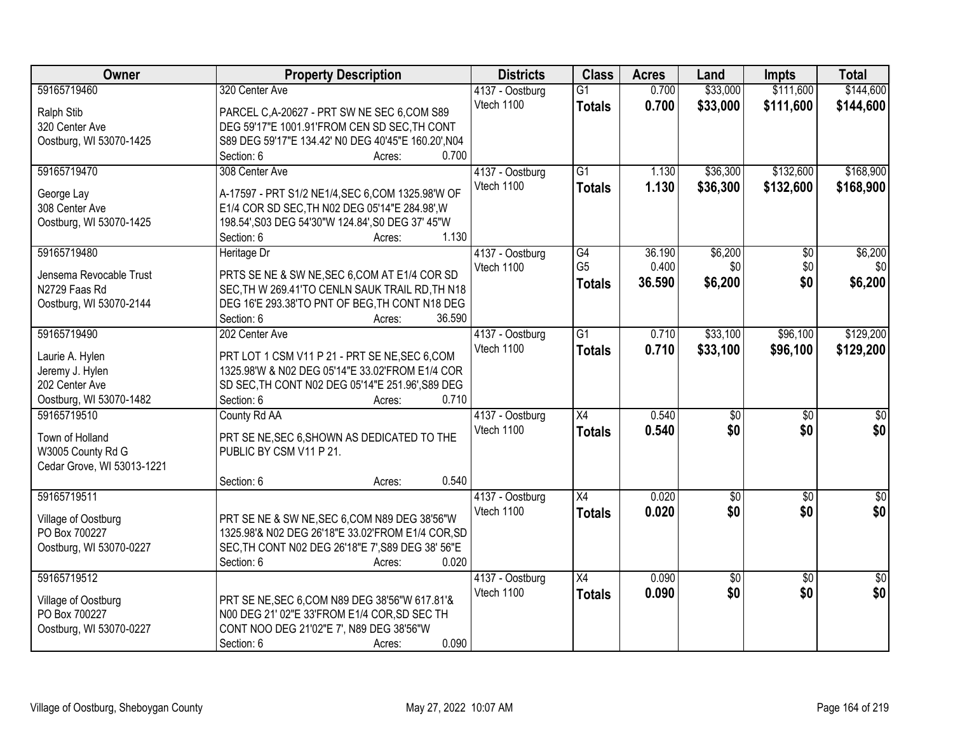| Owner                      | <b>Property Description</b>                         | <b>Districts</b> | <b>Class</b>         | <b>Acres</b> | Land        | <b>Impts</b>    | <b>Total</b>    |
|----------------------------|-----------------------------------------------------|------------------|----------------------|--------------|-------------|-----------------|-----------------|
| 59165719460                | 320 Center Ave                                      | 4137 - Oostburg  | $\overline{G1}$      | 0.700        | \$33,000    | \$111,600       | \$144,600       |
| Ralph Stib                 | PARCEL C, A-20627 - PRT SW NE SEC 6, COM S89        | Vtech 1100       | <b>Totals</b>        | 0.700        | \$33,000    | \$111,600       | \$144,600       |
| 320 Center Ave             | DEG 59'17"E 1001.91'FROM CEN SD SEC, TH CONT        |                  |                      |              |             |                 |                 |
| Oostburg, WI 53070-1425    | S89 DEG 59'17"E 134.42' N0 DEG 40'45"E 160.20', N04 |                  |                      |              |             |                 |                 |
|                            | 0.700<br>Section: 6<br>Acres:                       |                  |                      |              |             |                 |                 |
| 59165719470                | 308 Center Ave                                      | 4137 - Oostburg  | $\overline{G1}$      | 1.130        | \$36,300    | \$132,600       | \$168,900       |
|                            |                                                     | Vtech 1100       | <b>Totals</b>        | 1.130        | \$36,300    | \$132,600       | \$168,900       |
| George Lay                 | A-17597 - PRT S1/2 NE1/4, SEC 6, COM 1325.98'W OF   |                  |                      |              |             |                 |                 |
| 308 Center Ave             | E1/4 COR SD SEC, TH N02 DEG 05'14"E 284.98', W      |                  |                      |              |             |                 |                 |
| Oostburg, WI 53070-1425    | 198.54', S03 DEG 54'30"W 124.84', S0 DEG 37' 45"W   |                  |                      |              |             |                 |                 |
|                            | 1.130<br>Section: 6<br>Acres:                       |                  |                      |              |             |                 |                 |
| 59165719480                | Heritage Dr                                         | 4137 - Oostburg  | G4<br>G <sub>5</sub> | 36.190       | \$6,200     | \$0             | \$6,200         |
| Jensema Revocable Trust    | PRTS SE NE & SW NE, SEC 6, COM AT E1/4 COR SD       | Vtech 1100       |                      | 0.400        | \$0         | \$0             | \$0             |
| N2729 Faas Rd              | SEC, TH W 269.41'TO CENLN SAUK TRAIL RD, TH N18     |                  | <b>Totals</b>        | 36.590       | \$6,200     | \$0             | \$6,200         |
| Oostburg, WI 53070-2144    | DEG 16'E 293.38'TO PNT OF BEG, TH CONT N18 DEG      |                  |                      |              |             |                 |                 |
|                            | 36.590<br>Section: 6<br>Acres:                      |                  |                      |              |             |                 |                 |
| 59165719490                | 202 Center Ave                                      | 4137 - Oostburg  | $\overline{G1}$      | 0.710        | \$33,100    | \$96,100        | \$129,200       |
|                            |                                                     | Vtech 1100       | <b>Totals</b>        | 0.710        | \$33,100    | \$96,100        | \$129,200       |
| Laurie A. Hylen            | PRT LOT 1 CSM V11 P 21 - PRT SE NE, SEC 6, COM      |                  |                      |              |             |                 |                 |
| Jeremy J. Hylen            | 1325.98'W & N02 DEG 05'14"E 33.02'FROM E1/4 COR     |                  |                      |              |             |                 |                 |
| 202 Center Ave             | SD SEC, TH CONT N02 DEG 05'14"E 251.96', S89 DEG    |                  |                      |              |             |                 |                 |
| Oostburg, WI 53070-1482    | 0.710<br>Section: 6<br>Acres:                       |                  |                      |              |             |                 |                 |
| 59165719510                | County Rd AA                                        | 4137 - Oostburg  | $\overline{X4}$      | 0.540        | \$0         | $\overline{50}$ | $\sqrt{30}$     |
| Town of Holland            | PRT SE NE, SEC 6, SHOWN AS DEDICATED TO THE         | Vtech 1100       | <b>Totals</b>        | 0.540        | \$0         | \$0             | \$0             |
| W3005 County Rd G          | PUBLIC BY CSM V11 P 21.                             |                  |                      |              |             |                 |                 |
| Cedar Grove, WI 53013-1221 |                                                     |                  |                      |              |             |                 |                 |
|                            | 0.540<br>Section: 6<br>Acres:                       |                  |                      |              |             |                 |                 |
| 59165719511                |                                                     | 4137 - Oostburg  | $\overline{X4}$      | 0.020        | $\sqrt{50}$ | $\overline{50}$ | $\sqrt{60}$     |
|                            |                                                     | Vtech 1100       | <b>Totals</b>        | 0.020        | \$0         | \$0             | \$0             |
| Village of Oostburg        | PRT SE NE & SW NE, SEC 6, COM N89 DEG 38'56"W       |                  |                      |              |             |                 |                 |
| PO Box 700227              | 1325.98'& N02 DEG 26'18"E 33.02'FROM E1/4 COR, SD   |                  |                      |              |             |                 |                 |
| Oostburg, WI 53070-0227    | SEC, TH CONT N02 DEG 26'18"E 7', S89 DEG 38' 56"E   |                  |                      |              |             |                 |                 |
|                            | Section: 6<br>0.020<br>Acres:                       |                  |                      |              |             |                 |                 |
| 59165719512                |                                                     | 4137 - Oostburg  | $\overline{X4}$      | 0.090        | \$0         | $\overline{50}$ | $\overline{50}$ |
| Village of Oostburg        | PRT SE NE, SEC 6, COM N89 DEG 38'56"W 617.81'&      | Vtech 1100       | <b>Totals</b>        | 0.090        | \$0         | \$0             | \$0             |
| PO Box 700227              | N00 DEG 21' 02"E 33'FROM E1/4 COR, SD SEC TH        |                  |                      |              |             |                 |                 |
| Oostburg, WI 53070-0227    | CONT NOO DEG 21'02"E 7', N89 DEG 38'56"W            |                  |                      |              |             |                 |                 |
|                            | 0.090<br>Section: 6<br>Acres:                       |                  |                      |              |             |                 |                 |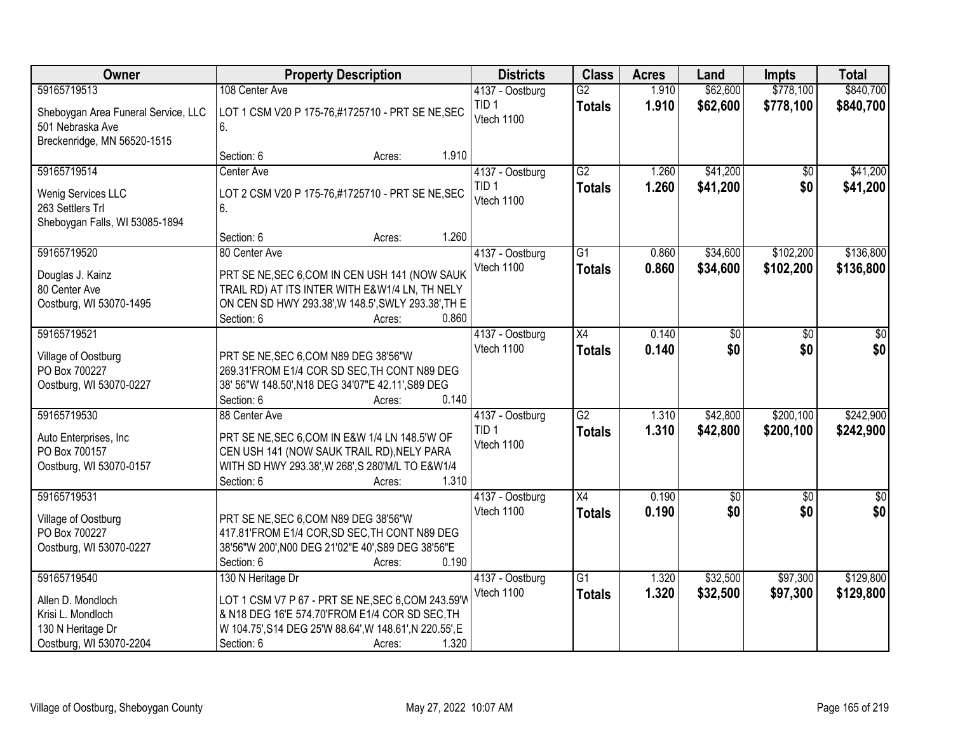| Owner                                                                                                 | <b>Property Description</b>                                                                                                                                                                                           | <b>Districts</b>                                  | <b>Class</b>                     | <b>Acres</b>   | Land                 | <b>Impts</b>           | <b>Total</b>           |
|-------------------------------------------------------------------------------------------------------|-----------------------------------------------------------------------------------------------------------------------------------------------------------------------------------------------------------------------|---------------------------------------------------|----------------------------------|----------------|----------------------|------------------------|------------------------|
| 59165719513                                                                                           | 108 Center Ave                                                                                                                                                                                                        | 4137 - Oostburg                                   | $\overline{G2}$                  | 1.910          | \$62,600             | \$778,100              | \$840,700              |
| Sheboygan Area Funeral Service, LLC<br>501 Nebraska Ave<br>Breckenridge, MN 56520-1515                | LOT 1 CSM V20 P 175-76,#1725710 - PRT SE NE, SEC<br>6.                                                                                                                                                                | TID <sub>1</sub><br>Vtech 1100                    | <b>Totals</b>                    | 1.910          | \$62,600             | \$778,100              | \$840,700              |
|                                                                                                       | 1.910<br>Section: 6<br>Acres:                                                                                                                                                                                         |                                                   |                                  |                |                      |                        |                        |
| 59165719514<br>Wenig Services LLC<br>263 Settlers Trl<br>Sheboygan Falls, WI 53085-1894               | Center Ave<br>LOT 2 CSM V20 P 175-76,#1725710 - PRT SE NE, SEC<br>6.                                                                                                                                                  | 4137 - Oostburg<br>TID <sub>1</sub><br>Vtech 1100 | $\overline{G2}$<br><b>Totals</b> | 1.260<br>1.260 | \$41,200<br>\$41,200 | \$0<br>\$0             | \$41,200<br>\$41,200   |
|                                                                                                       | 1.260<br>Section: 6<br>Acres:                                                                                                                                                                                         |                                                   |                                  |                |                      |                        |                        |
| 59165719520<br>Douglas J. Kainz<br>80 Center Ave<br>Oostburg, WI 53070-1495                           | 80 Center Ave<br>PRT SE NE, SEC 6, COM IN CEN USH 141 (NOW SAUK<br>TRAIL RD) AT ITS INTER WITH E&W1/4 LN, TH NELY<br>ON CEN SD HWY 293.38', W 148.5', SWLY 293.38', TH E<br>Section: 6<br>0.860<br>Acres:             | 4137 - Oostburg<br>Vtech 1100                     | $\overline{G1}$<br><b>Totals</b> | 0.860<br>0.860 | \$34,600<br>\$34,600 | \$102,200<br>\$102,200 | \$136,800<br>\$136,800 |
| 59165719521                                                                                           |                                                                                                                                                                                                                       | 4137 - Oostburg                                   | X4                               | 0.140          | \$0                  | \$0                    | \$0                    |
| Village of Oostburg<br>PO Box 700227<br>Oostburg, WI 53070-0227                                       | PRT SE NE, SEC 6, COM N89 DEG 38'56"W<br>269.31'FROM E1/4 COR SD SEC, TH CONT N89 DEG<br>38' 56"W 148.50', N18 DEG 34'07"E 42.11', S89 DEG<br>Section: 6<br>0.140<br>Acres:                                           | Vtech 1100                                        | <b>Totals</b>                    | 0.140          | \$0                  | \$0                    | \$0                    |
| 59165719530<br>Auto Enterprises, Inc<br>PO Box 700157<br>Oostburg, WI 53070-0157                      | 88 Center Ave<br>PRT SE NE, SEC 6, COM IN E&W 1/4 LN 148.5'W OF<br>CEN USH 141 (NOW SAUK TRAIL RD), NELY PARA<br>WITH SD HWY 293.38', W 268', S 280'M/L TO E&W1/4<br>1.310<br>Section: 6<br>Acres:                    | 4137 - Oostburg<br>TID <sub>1</sub><br>Vtech 1100 | $\overline{G2}$<br><b>Totals</b> | 1.310<br>1.310 | \$42,800<br>\$42,800 | \$200,100<br>\$200,100 | \$242,900<br>\$242,900 |
| 59165719531<br>Village of Oostburg<br>PO Box 700227<br>Oostburg, WI 53070-0227                        | PRT SE NE, SEC 6, COM N89 DEG 38'56"W<br>417.81'FROM E1/4 COR, SD SEC, TH CONT N89 DEG<br>38'56"W 200', N00 DEG 21'02"E 40', S89 DEG 38'56"E<br>Section: 6<br>0.190<br>Acres:                                         | 4137 - Oostburg<br>Vtech 1100                     | $\overline{X4}$<br><b>Totals</b> | 0.190<br>0.190 | $\sqrt{30}$<br>\$0   | $\overline{50}$<br>\$0 | $\frac{6}{3}$<br>\$0   |
| 59165719540<br>Allen D. Mondloch<br>Krisi L. Mondloch<br>130 N Heritage Dr<br>Oostburg, WI 53070-2204 | 130 N Heritage Dr<br>LOT 1 CSM V7 P 67 - PRT SE NE, SEC 6, COM 243.59'W<br>& N18 DEG 16'E 574.70'FROM E1/4 COR SD SEC, TH<br>W 104.75', S14 DEG 25'W 88.64', W 148.61', N 220.55', E<br>1.320<br>Section: 6<br>Acres: | 4137 - Oostburg<br>Vtech 1100                     | $\overline{G1}$<br><b>Totals</b> | 1.320<br>1.320 | \$32,500<br>\$32,500 | \$97,300<br>\$97,300   | \$129,800<br>\$129,800 |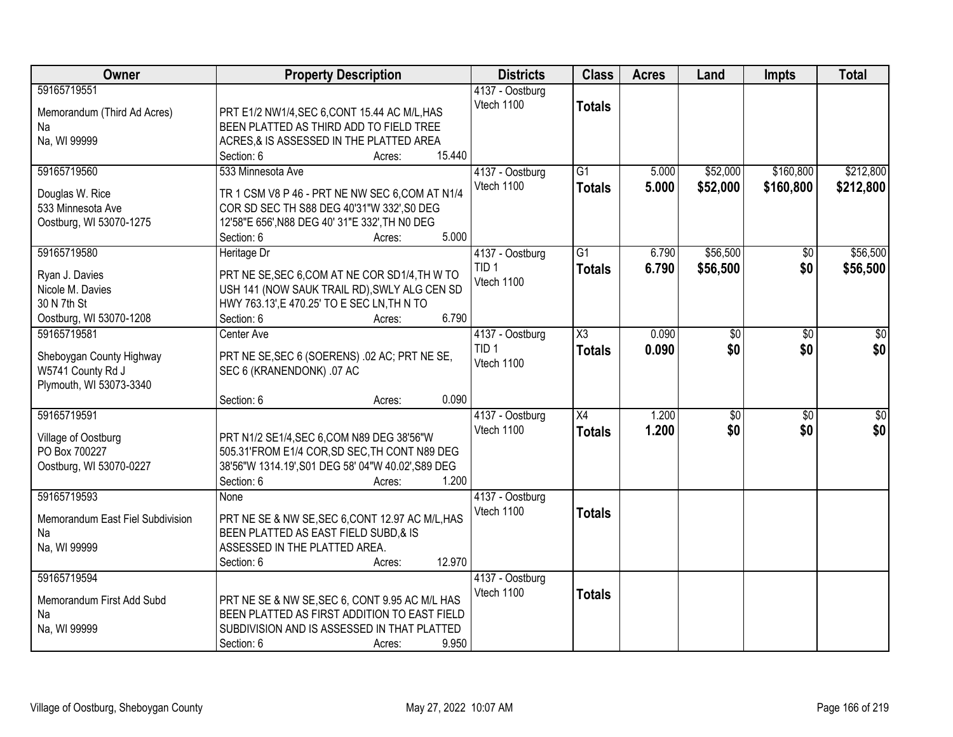| Owner                                                                                       | <b>Property Description</b>                                                                                                                                                                           | <b>Districts</b>                                  | <b>Class</b>                         | <b>Acres</b>   | Land                   | <b>Impts</b>           | <b>Total</b>           |
|---------------------------------------------------------------------------------------------|-------------------------------------------------------------------------------------------------------------------------------------------------------------------------------------------------------|---------------------------------------------------|--------------------------------------|----------------|------------------------|------------------------|------------------------|
| 59165719551<br>Memorandum (Third Ad Acres)<br>Na<br>Na, WI 99999                            | PRT E1/2 NW1/4, SEC 6, CONT 15.44 AC M/L, HAS<br>BEEN PLATTED AS THIRD ADD TO FIELD TREE<br>ACRES, & IS ASSESSED IN THE PLATTED AREA<br>15.440<br>Section: 6<br>Acres:                                | 4137 - Oostburg<br>Vtech 1100                     | <b>Totals</b>                        |                |                        |                        |                        |
| 59165719560<br>Douglas W. Rice<br>533 Minnesota Ave<br>Oostburg, WI 53070-1275              | 533 Minnesota Ave<br>TR 1 CSM V8 P 46 - PRT NE NW SEC 6, COM AT N1/4<br>COR SD SEC TH S88 DEG 40'31"W 332', S0 DEG<br>12'58"E 656', N88 DEG 40' 31"E 332', TH N0 DEG<br>5.000<br>Section: 6<br>Acres: | 4137 - Oostburg<br>Vtech 1100                     | $\overline{G1}$<br><b>Totals</b>     | 5.000<br>5.000 | \$52,000<br>\$52,000   | \$160,800<br>\$160,800 | \$212,800<br>\$212,800 |
| 59165719580<br>Ryan J. Davies<br>Nicole M. Davies<br>30 N 7th St<br>Oostburg, WI 53070-1208 | Heritage Dr<br>PRT NE SE, SEC 6, COM AT NE COR SD1/4, TH W TO<br>USH 141 (NOW SAUK TRAIL RD), SWLY ALG CEN SD<br>HWY 763.13', E 470.25' TO E SEC LN, TH N TO<br>6.790<br>Section: 6<br>Acres:         | 4137 - Oostburg<br>TID <sub>1</sub><br>Vtech 1100 | $\overline{G1}$<br><b>Totals</b>     | 6.790<br>6.790 | \$56,500<br>\$56,500   | $\overline{50}$<br>\$0 | \$56,500<br>\$56,500   |
| 59165719581<br>Sheboygan County Highway<br>W5741 County Rd J<br>Plymouth, WI 53073-3340     | Center Ave<br>PRT NE SE, SEC 6 (SOERENS) .02 AC; PRT NE SE,<br>SEC 6 (KRANENDONK) .07 AC<br>0.090<br>Section: 6<br>Acres:                                                                             | 4137 - Oostburg<br>TID <sub>1</sub><br>Vtech 1100 | $\overline{\chi_3}$<br><b>Totals</b> | 0.090<br>0.090 | \$0<br>\$0             | \$0<br>\$0             | \$0<br>\$0             |
| 59165719591<br>Village of Oostburg<br>PO Box 700227<br>Oostburg, WI 53070-0227              | PRT N1/2 SE1/4, SEC 6, COM N89 DEG 38'56"W<br>505.31'FROM E1/4 COR, SD SEC, TH CONT N89 DEG<br>38'56"W 1314.19', S01 DEG 58' 04"W 40.02', S89 DEG<br>1.200<br>Section: 6<br>Acres:                    | 4137 - Oostburg<br>Vtech 1100                     | $\overline{X4}$<br><b>Totals</b>     | 1.200<br>1.200 | $\overline{50}$<br>\$0 | $\overline{50}$<br>\$0 | \$0<br>\$0             |
| 59165719593<br>Memorandum East Fiel Subdivision<br>Na<br>Na, WI 99999                       | None<br>PRT NE SE & NW SE, SEC 6, CONT 12.97 AC M/L, HAS<br>BEEN PLATTED AS EAST FIELD SUBD,& IS<br>ASSESSED IN THE PLATTED AREA.<br>12.970<br>Section: 6<br>Acres:                                   | 4137 - Oostburg<br>Vtech 1100                     | <b>Totals</b>                        |                |                        |                        |                        |
| 59165719594<br>Memorandum First Add Subd<br>Na<br>Na, WI 99999                              | PRT NE SE & NW SE, SEC 6, CONT 9.95 AC M/L HAS<br>BEEN PLATTED AS FIRST ADDITION TO EAST FIELD<br>SUBDIVISION AND IS ASSESSED IN THAT PLATTED<br>9.950<br>Section: 6<br>Acres:                        | 4137 - Oostburg<br>Vtech 1100                     | <b>Totals</b>                        |                |                        |                        |                        |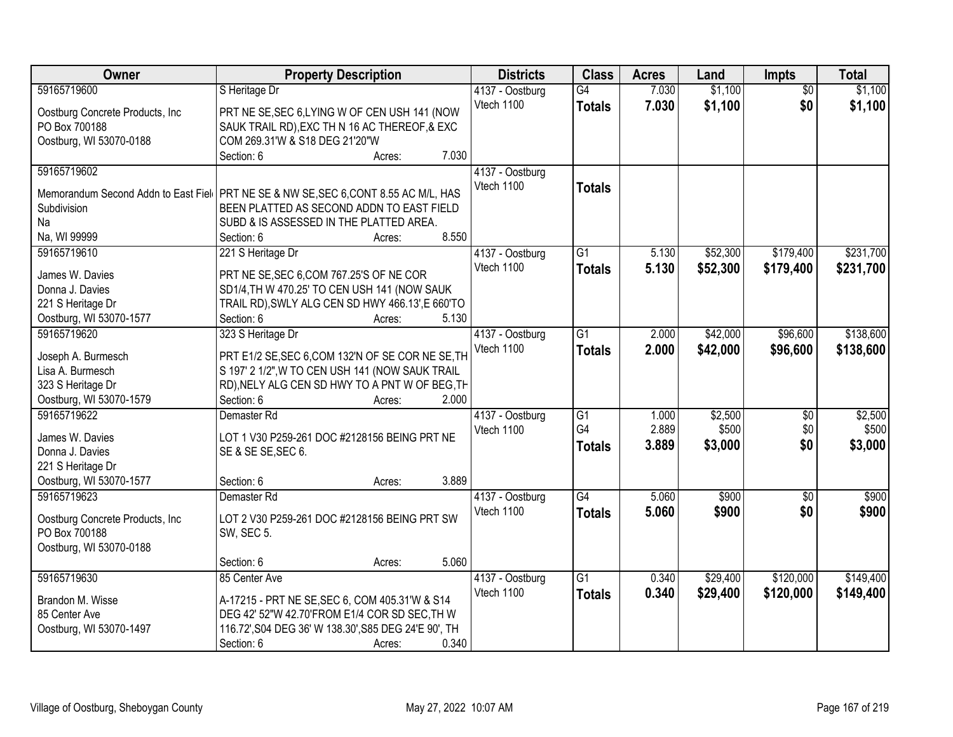| Owner                                                                                 | <b>Property Description</b>                                                                          |                 | <b>Districts</b>              | <b>Class</b>    | <b>Acres</b> | Land     | Impts           | <b>Total</b> |
|---------------------------------------------------------------------------------------|------------------------------------------------------------------------------------------------------|-----------------|-------------------------------|-----------------|--------------|----------|-----------------|--------------|
| 59165719600                                                                           | S Heritage Dr                                                                                        |                 | 4137 - Oostburg               | $\overline{G4}$ | 7.030        | \$1,100  | $\overline{50}$ | \$1,100      |
| Oostburg Concrete Products, Inc.                                                      | PRT NE SE, SEC 6, LYING W OF CEN USH 141 (NOW                                                        |                 | Vtech 1100                    | <b>Totals</b>   | 7.030        | \$1,100  | \$0             | \$1,100      |
| PO Box 700188                                                                         | SAUK TRAIL RD), EXC TH N 16 AC THEREOF, & EXC                                                        |                 |                               |                 |              |          |                 |              |
| Oostburg, WI 53070-0188                                                               | COM 269.31'W & S18 DEG 21'20"W                                                                       |                 |                               |                 |              |          |                 |              |
|                                                                                       | Section: 6                                                                                           | 7.030<br>Acres: |                               |                 |              |          |                 |              |
| 59165719602                                                                           |                                                                                                      |                 | 4137 - Oostburg               |                 |              |          |                 |              |
|                                                                                       |                                                                                                      |                 | Vtech 1100                    | <b>Totals</b>   |              |          |                 |              |
| Memorandum Second Addn to East Fiel   PRT NE SE & NW SE, SEC 6, CONT 8.55 AC M/L, HAS |                                                                                                      |                 |                               |                 |              |          |                 |              |
| Subdivision                                                                           | BEEN PLATTED AS SECOND ADDN TO EAST FIELD                                                            |                 |                               |                 |              |          |                 |              |
| Na                                                                                    | SUBD & IS ASSESSED IN THE PLATTED AREA.                                                              | 8.550           |                               |                 |              |          |                 |              |
| Na, WI 99999                                                                          | Section: 6                                                                                           | Acres:          |                               |                 |              |          |                 |              |
| 59165719610                                                                           | 221 S Heritage Dr                                                                                    |                 | 4137 - Oostburg               | $\overline{G1}$ | 5.130        | \$52,300 | \$179,400       | \$231,700    |
| James W. Davies                                                                       | PRT NE SE, SEC 6, COM 767.25'S OF NE COR                                                             |                 | Vtech 1100                    | <b>Totals</b>   | 5.130        | \$52,300 | \$179,400       | \$231,700    |
| Donna J. Davies                                                                       | SD1/4, TH W 470.25' TO CEN USH 141 (NOW SAUK                                                         |                 |                               |                 |              |          |                 |              |
| 221 S Heritage Dr                                                                     | TRAIL RD), SWLY ALG CEN SD HWY 466.13', E 660'TO                                                     |                 |                               |                 |              |          |                 |              |
| Oostburg, WI 53070-1577                                                               | Section: 6                                                                                           | 5.130<br>Acres: |                               |                 |              |          |                 |              |
| 59165719620                                                                           | 323 S Heritage Dr                                                                                    |                 | 4137 - Oostburg               | $\overline{G1}$ | 2.000        | \$42,000 | \$96,600        | \$138,600    |
|                                                                                       |                                                                                                      |                 | Vtech 1100                    | <b>Totals</b>   | 2.000        | \$42,000 | \$96,600        | \$138,600    |
| Joseph A. Burmesch<br>Lisa A. Burmesch                                                | PRT E1/2 SE, SEC 6, COM 132'N OF SE COR NE SE, TH<br>S 197' 2 1/2", W TO CEN USH 141 (NOW SAUK TRAIL |                 |                               |                 |              |          |                 |              |
| 323 S Heritage Dr                                                                     | RD), NELY ALG CEN SD HWY TO A PNT W OF BEG, TH                                                       |                 |                               |                 |              |          |                 |              |
| Oostburg, WI 53070-1579                                                               | Section: 6                                                                                           | 2.000           |                               |                 |              |          |                 |              |
| 59165719622                                                                           | Demaster Rd                                                                                          | Acres:          |                               | $\overline{G1}$ | 1.000        | \$2,500  | $\overline{50}$ | \$2,500      |
|                                                                                       |                                                                                                      |                 | 4137 - Oostburg<br>Vtech 1100 | G4              | 2.889        | \$500    | \$0             | \$500        |
| James W. Davies                                                                       | LOT 1 V30 P259-261 DOC #2128156 BEING PRT NE                                                         |                 |                               |                 | 3.889        |          | \$0             |              |
| Donna J. Davies                                                                       | SE & SE SE, SEC 6.                                                                                   |                 |                               | <b>Totals</b>   |              | \$3,000  |                 | \$3,000      |
| 221 S Heritage Dr                                                                     |                                                                                                      |                 |                               |                 |              |          |                 |              |
| Oostburg, WI 53070-1577                                                               | Section: 6                                                                                           | 3.889<br>Acres: |                               |                 |              |          |                 |              |
| 59165719623                                                                           | Demaster Rd                                                                                          |                 | 4137 - Oostburg               | $\overline{G4}$ | 5.060        | \$900    | $\overline{50}$ | \$900        |
|                                                                                       | LOT 2 V30 P259-261 DOC #2128156 BEING PRT SW                                                         |                 | Vtech 1100                    | <b>Totals</b>   | 5.060        | \$900    | \$0             | \$900        |
| Oostburg Concrete Products, Inc<br>PO Box 700188                                      | <b>SW, SEC 5.</b>                                                                                    |                 |                               |                 |              |          |                 |              |
|                                                                                       |                                                                                                      |                 |                               |                 |              |          |                 |              |
| Oostburg, WI 53070-0188                                                               | Section: 6                                                                                           | 5.060           |                               |                 |              |          |                 |              |
| 59165719630                                                                           | 85 Center Ave                                                                                        | Acres:          | 4137 - Oostburg               | $\overline{G1}$ | 0.340        | \$29,400 | \$120,000       | \$149,400    |
|                                                                                       |                                                                                                      |                 | Vtech 1100                    |                 |              |          |                 |              |
| Brandon M. Wisse                                                                      | A-17215 - PRT NE SE, SEC 6, COM 405.31'W & S14                                                       |                 |                               | <b>Totals</b>   | 0.340        | \$29,400 | \$120,000       | \$149,400    |
| 85 Center Ave                                                                         | DEG 42' 52"W 42.70'FROM E1/4 COR SD SEC, TH W                                                        |                 |                               |                 |              |          |                 |              |
| Oostburg, WI 53070-1497                                                               | 116.72', S04 DEG 36' W 138.30', S85 DEG 24'E 90', TH                                                 |                 |                               |                 |              |          |                 |              |
|                                                                                       | Section: 6                                                                                           | 0.340<br>Acres: |                               |                 |              |          |                 |              |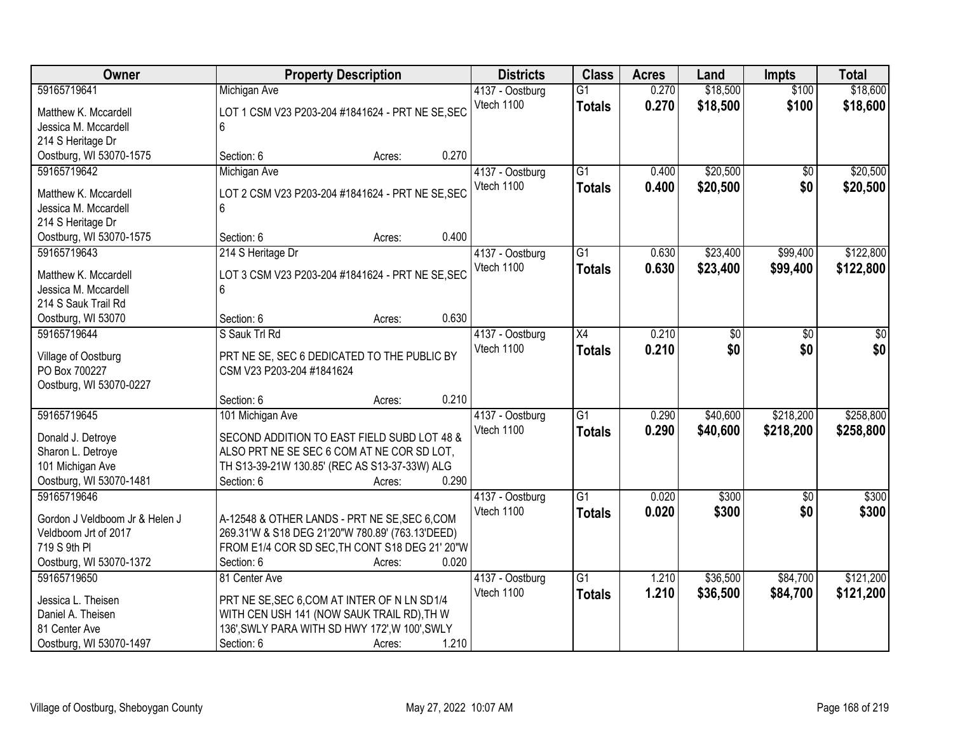| <b>Owner</b>                                 | <b>Property Description</b>                      |                 | <b>Districts</b>              | <b>Class</b>    | <b>Acres</b> | Land     | <b>Impts</b>    | <b>Total</b> |
|----------------------------------------------|--------------------------------------------------|-----------------|-------------------------------|-----------------|--------------|----------|-----------------|--------------|
| 59165719641                                  | Michigan Ave                                     |                 | 4137 - Oostburg               | $\overline{G1}$ | 0.270        | \$18,500 | \$100           | \$18,600     |
| Matthew K. Mccardell                         | LOT 1 CSM V23 P203-204 #1841624 - PRT NE SE, SEC |                 | Vtech 1100                    | <b>Totals</b>   | 0.270        | \$18,500 | \$100           | \$18,600     |
| Jessica M. Mccardell                         | 6                                                |                 |                               |                 |              |          |                 |              |
| 214 S Heritage Dr                            |                                                  |                 |                               |                 |              |          |                 |              |
| Oostburg, WI 53070-1575                      | Section: 6                                       | 0.270<br>Acres: |                               |                 |              |          |                 |              |
| 59165719642                                  | Michigan Ave                                     |                 | 4137 - Oostburg               | $\overline{G1}$ | 0.400        | \$20,500 | $\overline{50}$ | \$20,500     |
|                                              |                                                  |                 | Vtech 1100                    | <b>Totals</b>   | 0.400        | \$20,500 | \$0             | \$20,500     |
| Matthew K. Mccardell<br>Jessica M. Mccardell | LOT 2 CSM V23 P203-204 #1841624 - PRT NE SE, SEC |                 |                               |                 |              |          |                 |              |
|                                              | 6                                                |                 |                               |                 |              |          |                 |              |
| 214 S Heritage Dr                            | Section: 6                                       | 0.400           |                               |                 |              |          |                 |              |
| Oostburg, WI 53070-1575<br>59165719643       |                                                  | Acres:          |                               | $\overline{G1}$ | 0.630        | \$23,400 | \$99,400        | \$122,800    |
|                                              | 214 S Heritage Dr                                |                 | 4137 - Oostburg<br>Vtech 1100 |                 |              |          |                 |              |
| Matthew K. Mccardell                         | LOT 3 CSM V23 P203-204 #1841624 - PRT NE SE, SEC |                 |                               | <b>Totals</b>   | 0.630        | \$23,400 | \$99,400        | \$122,800    |
| Jessica M. Mccardell                         | 6                                                |                 |                               |                 |              |          |                 |              |
| 214 S Sauk Trail Rd                          |                                                  |                 |                               |                 |              |          |                 |              |
| Oostburg, WI 53070                           | Section: 6                                       | 0.630<br>Acres: |                               |                 |              |          |                 |              |
| 59165719644                                  | S Sauk Trl Rd                                    |                 | 4137 - Oostburg               | X4              | 0.210        | \$0      | \$0             | \$0          |
| Village of Oostburg                          | PRT NE SE, SEC 6 DEDICATED TO THE PUBLIC BY      |                 | Vtech 1100                    | <b>Totals</b>   | 0.210        | \$0      | \$0             | \$0          |
| PO Box 700227                                | CSM V23 P203-204 #1841624                        |                 |                               |                 |              |          |                 |              |
| Oostburg, WI 53070-0227                      |                                                  |                 |                               |                 |              |          |                 |              |
|                                              | Section: 6                                       | 0.210<br>Acres: |                               |                 |              |          |                 |              |
| 59165719645                                  | 101 Michigan Ave                                 |                 | 4137 - Oostburg               | $\overline{G1}$ | 0.290        | \$40,600 | \$218,200       | \$258,800    |
|                                              |                                                  |                 | Vtech 1100                    |                 |              |          |                 |              |
| Donald J. Detroye                            | SECOND ADDITION TO EAST FIELD SUBD LOT 48 &      |                 |                               | <b>Totals</b>   | 0.290        | \$40,600 | \$218,200       | \$258,800    |
| Sharon L. Detroye                            | ALSO PRT NE SE SEC 6 COM AT NE COR SD LOT,       |                 |                               |                 |              |          |                 |              |
| 101 Michigan Ave                             | TH S13-39-21W 130.85' (REC AS S13-37-33W) ALG    |                 |                               |                 |              |          |                 |              |
| Oostburg, WI 53070-1481                      | Section: 6                                       | 0.290<br>Acres: |                               |                 |              |          |                 |              |
| 59165719646                                  |                                                  |                 | 4137 - Oostburg               | $\overline{G1}$ | 0.020        | \$300    | $\sqrt{6}$      | \$300        |
| Gordon J Veldboom Jr & Helen J               | A-12548 & OTHER LANDS - PRT NE SE, SEC 6, COM    |                 | Vtech 1100                    | <b>Totals</b>   | 0.020        | \$300    | \$0             | \$300        |
| Veldboom Jrt of 2017                         | 269.31'W & S18 DEG 21'20"W 780.89' (763.13'DEED) |                 |                               |                 |              |          |                 |              |
| 719 S 9th PI                                 | FROM E1/4 COR SD SEC, TH CONT S18 DEG 21' 20"W   |                 |                               |                 |              |          |                 |              |
| Oostburg, WI 53070-1372                      | Section: 6                                       | 0.020<br>Acres: |                               |                 |              |          |                 |              |
| 59165719650                                  | 81 Center Ave                                    |                 | 4137 - Oostburg               | $\overline{G1}$ | 1.210        | \$36,500 | \$84,700        | \$121,200    |
|                                              |                                                  |                 | Vtech 1100                    | <b>Totals</b>   | 1.210        | \$36,500 | \$84,700        | \$121,200    |
| Jessica L. Theisen                           | PRT NE SE, SEC 6, COM AT INTER OF N LN SD1/4     |                 |                               |                 |              |          |                 |              |
| Daniel A. Theisen                            | WITH CEN USH 141 (NOW SAUK TRAIL RD), TH W       |                 |                               |                 |              |          |                 |              |
| 81 Center Ave                                | 136', SWLY PARA WITH SD HWY 172', W 100', SWLY   |                 |                               |                 |              |          |                 |              |
| Oostburg, WI 53070-1497                      | Section: 6                                       | 1.210<br>Acres: |                               |                 |              |          |                 |              |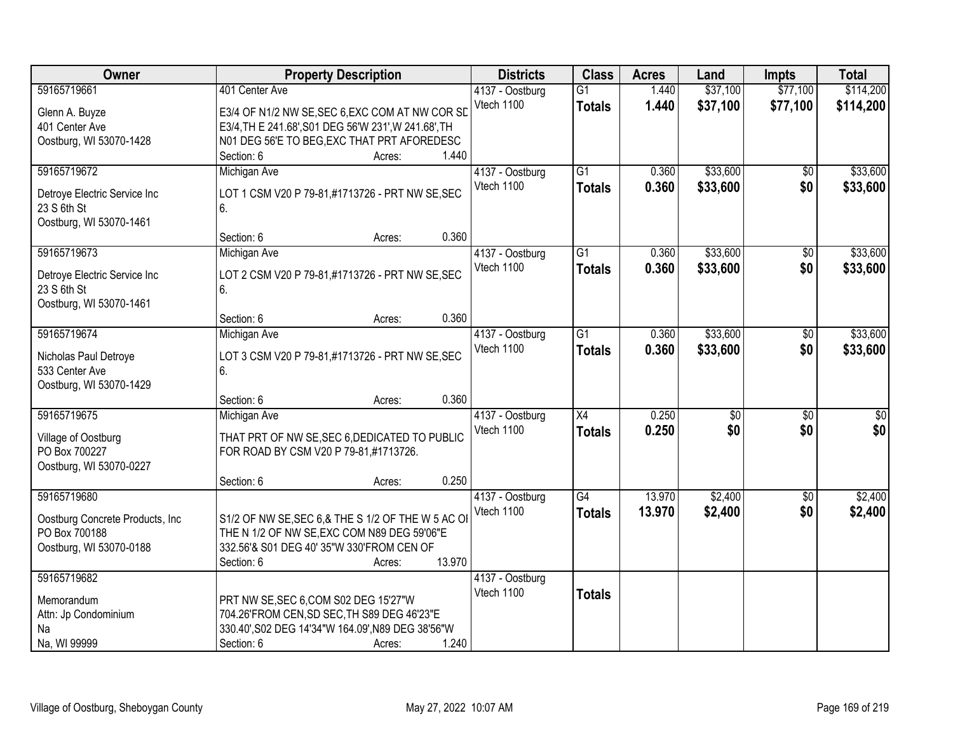| <b>Owner</b>                     | <b>Property Description</b>                          | <b>Districts</b> | <b>Class</b>    | <b>Acres</b> | Land            | <b>Impts</b>    | <b>Total</b> |
|----------------------------------|------------------------------------------------------|------------------|-----------------|--------------|-----------------|-----------------|--------------|
| 59165719661                      | 401 Center Ave                                       | 4137 - Oostburg  | $\overline{G1}$ | 1.440        | \$37,100        | \$77,100        | \$114,200    |
| Glenn A. Buyze                   | E3/4 OF N1/2 NW SE, SEC 6, EXC COM AT NW COR SD      | Vtech 1100       | <b>Totals</b>   | 1.440        | \$37,100        | \$77,100        | \$114,200    |
| 401 Center Ave                   | E3/4, TH E 241.68', S01 DEG 56'W 231', W 241.68', TH |                  |                 |              |                 |                 |              |
| Oostburg, WI 53070-1428          | N01 DEG 56'E TO BEG, EXC THAT PRT AFOREDESC          |                  |                 |              |                 |                 |              |
|                                  | 1.440<br>Section: 6<br>Acres:                        |                  |                 |              |                 |                 |              |
| 59165719672                      | Michigan Ave                                         | 4137 - Oostburg  | $\overline{G1}$ | 0.360        | \$33,600        | \$0             | \$33,600     |
|                                  |                                                      | Vtech 1100       | <b>Totals</b>   | 0.360        | \$33,600        | \$0             | \$33,600     |
| Detroye Electric Service Inc     | LOT 1 CSM V20 P 79-81,#1713726 - PRT NW SE, SEC      |                  |                 |              |                 |                 |              |
| 23 S 6th St                      | 6.                                                   |                  |                 |              |                 |                 |              |
| Oostburg, WI 53070-1461          | 0.360<br>Section: 6                                  |                  |                 |              |                 |                 |              |
| 59165719673                      | Acres:                                               | 4137 - Oostburg  | $\overline{G1}$ | 0.360        | \$33,600        | $\overline{50}$ | \$33,600     |
|                                  | Michigan Ave                                         | Vtech 1100       |                 |              |                 |                 |              |
| Detroye Electric Service Inc     | LOT 2 CSM V20 P 79-81,#1713726 - PRT NW SE, SEC      |                  | <b>Totals</b>   | 0.360        | \$33,600        | \$0             | \$33,600     |
| 23 S 6th St                      | 6.                                                   |                  |                 |              |                 |                 |              |
| Oostburg, WI 53070-1461          |                                                      |                  |                 |              |                 |                 |              |
|                                  | 0.360<br>Section: 6<br>Acres:                        |                  |                 |              |                 |                 |              |
| 59165719674                      | Michigan Ave                                         | 4137 - Oostburg  | $\overline{G1}$ | 0.360        | \$33,600        | \$0             | \$33,600     |
| Nicholas Paul Detroye            | LOT 3 CSM V20 P 79-81,#1713726 - PRT NW SE, SEC      | Vtech 1100       | <b>Totals</b>   | 0.360        | \$33,600        | \$0             | \$33,600     |
| 533 Center Ave                   | 6.                                                   |                  |                 |              |                 |                 |              |
| Oostburg, WI 53070-1429          |                                                      |                  |                 |              |                 |                 |              |
|                                  | 0.360<br>Section: 6<br>Acres:                        |                  |                 |              |                 |                 |              |
| 59165719675                      | <b>Michigan Ave</b>                                  | 4137 - Oostburg  | $\overline{X4}$ | 0.250        | $\overline{50}$ | $\overline{50}$ | \$0          |
|                                  |                                                      | Vtech 1100       | <b>Totals</b>   | 0.250        | \$0             | \$0             | \$0          |
| Village of Oostburg              | THAT PRT OF NW SE, SEC 6, DEDICATED TO PUBLIC        |                  |                 |              |                 |                 |              |
| PO Box 700227                    | FOR ROAD BY CSM V20 P 79-81,#1713726.                |                  |                 |              |                 |                 |              |
| Oostburg, WI 53070-0227          |                                                      |                  |                 |              |                 |                 |              |
|                                  | 0.250<br>Section: 6<br>Acres:                        |                  |                 |              |                 |                 |              |
| 59165719680                      |                                                      | 4137 - Oostburg  | G4              | 13.970       | \$2,400         | $\sqrt{6}$      | \$2,400      |
| Oostburg Concrete Products, Inc. | S1/2 OF NW SE, SEC 6, & THE S 1/2 OF THE W 5 AC OI   | Vtech 1100       | <b>Totals</b>   | 13.970       | \$2,400         | \$0             | \$2,400      |
| PO Box 700188                    | THE N 1/2 OF NW SE, EXC COM N89 DEG 59'06"E          |                  |                 |              |                 |                 |              |
| Oostburg, WI 53070-0188          | 332.56'& S01 DEG 40' 35"W 330'FROM CEN OF            |                  |                 |              |                 |                 |              |
|                                  | 13.970<br>Section: 6<br>Acres:                       |                  |                 |              |                 |                 |              |
| 59165719682                      |                                                      | 4137 - Oostburg  |                 |              |                 |                 |              |
| Memorandum                       | PRT NW SE, SEC 6, COM S02 DEG 15'27"W                | Vtech 1100       | <b>Totals</b>   |              |                 |                 |              |
| Attn: Jp Condominium             | 704.26'FROM CEN, SD SEC, TH S89 DEG 46'23"E          |                  |                 |              |                 |                 |              |
| Na                               | 330.40', S02 DEG 14'34"W 164.09', N89 DEG 38'56"W    |                  |                 |              |                 |                 |              |
| Na, WI 99999                     | 1.240<br>Section: 6<br>Acres:                        |                  |                 |              |                 |                 |              |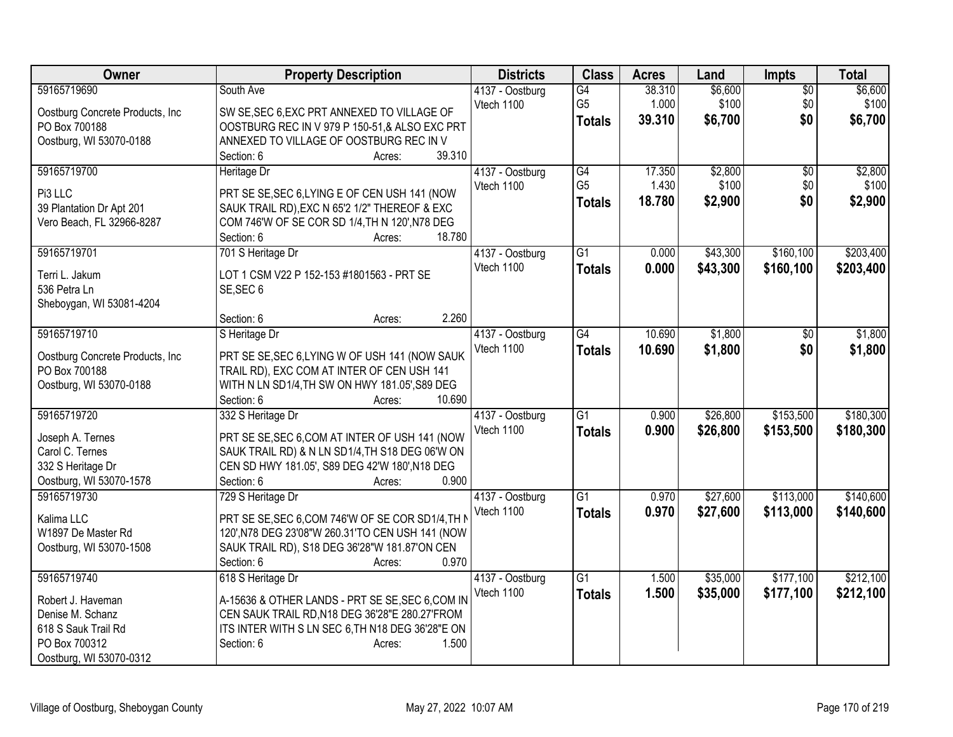| 59165719690<br>G4<br>38.310<br>\$6,600<br>\$6,600<br>South Ave<br>$\overline{50}$<br>4137 - Oostburg<br>G <sub>5</sub><br>1.000<br>\$100<br>\$0<br>\$100<br>Vtech 1100<br>SW SE, SEC 6, EXC PRT ANNEXED TO VILLAGE OF<br>Oostburg Concrete Products, Inc<br>39.310<br>\$6,700<br>\$0<br>\$6,700<br><b>Totals</b><br>PO Box 700188<br>OOSTBURG REC IN V 979 P 150-51,& ALSO EXC PRT<br>Oostburg, WI 53070-0188<br>ANNEXED TO VILLAGE OF OOSTBURG REC IN V<br>39.310<br>Section: 6<br>Acres:<br>59165719700<br>G4<br>17.350<br>\$2,800<br>Heritage Dr<br>4137 - Oostburg<br>$\overline{50}$<br>\$100<br>G <sub>5</sub><br>1.430<br>\$0<br>Vtech 1100<br>Pi3 LLC<br>PRT SE SE, SEC 6, LYING E OF CEN USH 141 (NOW<br>\$0<br>18.780<br>\$2,900<br><b>Totals</b><br>SAUK TRAIL RD), EXC N 65'2 1/2" THEREOF & EXC<br>39 Plantation Dr Apt 201<br>COM 746'W OF SE COR SD 1/4, TH N 120', N78 DEG<br>Vero Beach, FL 32966-8287<br>18.780<br>Section: 6<br>Acres:<br>59165719701<br>701 S Heritage Dr<br>$\overline{G1}$<br>\$160,100<br>\$43,300<br>4137 - Oostburg<br>0.000<br>Vtech 1100<br>0.000<br>\$43,300<br>\$160,100<br>\$203,400<br><b>Totals</b><br>Terri L. Jakum<br>LOT 1 CSM V22 P 152-153 #1801563 - PRT SE<br>536 Petra Ln<br>SE, SEC 6<br>Sheboygan, WI 53081-4204<br>2.260<br>Section: 6<br>Acres:<br>59165719710<br>$\overline{G4}$<br>10.690<br>\$1,800<br>S Heritage Dr<br>4137 - Oostburg<br>$\sqrt{6}$<br>Vtech 1100<br>\$0<br>10.690<br>\$1,800<br><b>Totals</b><br>PRT SE SE, SEC 6, LYING W OF USH 141 (NOW SAUK<br>Oostburg Concrete Products, Inc<br>PO Box 700188<br>TRAIL RD), EXC COM AT INTER OF CEN USH 141<br>Oostburg, WI 53070-0188<br>WITH N LN SD1/4, TH SW ON HWY 181.05', S89 DEG<br>10.690<br>Section: 6<br>Acres:<br>$\overline{G1}$<br>\$153,500<br>59165719720<br>0.900<br>\$26,800<br>332 S Heritage Dr<br>4137 - Oostburg<br>Vtech 1100<br>0.900<br>\$153,500<br>\$26,800<br>\$180,300<br><b>Totals</b><br>PRT SE SE, SEC 6, COM AT INTER OF USH 141 (NOW<br>Joseph A. Ternes<br>Carol C. Ternes<br>SAUK TRAIL RD) & N LN SD1/4, TH S18 DEG 06'W ON<br>332 S Heritage Dr<br>CEN SD HWY 181.05', S89 DEG 42'W 180', N18 DEG<br>0.900<br>Oostburg, WI 53070-1578<br>Section: 6<br>Acres:<br>\$27,600<br>\$113,000<br>59165719730<br>729 S Heritage Dr<br>4137 - Oostburg<br>$\overline{G1}$<br>0.970<br>Vtech 1100<br>0.970<br>\$27,600<br>\$113,000<br>\$140,600<br><b>Totals</b><br>PRT SE SE, SEC 6, COM 746'W OF SE COR SD1/4, TH N<br>Kalima LLC<br>120', N78 DEG 23'08"W 260.31'TO CEN USH 141 (NOW<br>W1897 De Master Rd<br>SAUK TRAIL RD), S18 DEG 36'28"W 181.87'ON CEN<br>Oostburg, WI 53070-1508<br>0.970<br>Section: 6<br>Acres: | Owner       | <b>Property Description</b> | <b>Districts</b> | <b>Class</b>    | <b>Acres</b> | Land     | <b>Impts</b> | <b>Total</b> |
|----------------------------------------------------------------------------------------------------------------------------------------------------------------------------------------------------------------------------------------------------------------------------------------------------------------------------------------------------------------------------------------------------------------------------------------------------------------------------------------------------------------------------------------------------------------------------------------------------------------------------------------------------------------------------------------------------------------------------------------------------------------------------------------------------------------------------------------------------------------------------------------------------------------------------------------------------------------------------------------------------------------------------------------------------------------------------------------------------------------------------------------------------------------------------------------------------------------------------------------------------------------------------------------------------------------------------------------------------------------------------------------------------------------------------------------------------------------------------------------------------------------------------------------------------------------------------------------------------------------------------------------------------------------------------------------------------------------------------------------------------------------------------------------------------------------------------------------------------------------------------------------------------------------------------------------------------------------------------------------------------------------------------------------------------------------------------------------------------------------------------------------------------------------------------------------------------------------------------------------------------------------------------------------------------------------------------------------------------------------------------------------------------------------------------------------------------------------------------------------------------------------------------------------------------------------------------------------------------------------------------------------------------------------------------------|-------------|-----------------------------|------------------|-----------------|--------------|----------|--------------|--------------|
|                                                                                                                                                                                                                                                                                                                                                                                                                                                                                                                                                                                                                                                                                                                                                                                                                                                                                                                                                                                                                                                                                                                                                                                                                                                                                                                                                                                                                                                                                                                                                                                                                                                                                                                                                                                                                                                                                                                                                                                                                                                                                                                                                                                                                                                                                                                                                                                                                                                                                                                                                                                                                                                                                  |             |                             |                  |                 |              |          |              |              |
|                                                                                                                                                                                                                                                                                                                                                                                                                                                                                                                                                                                                                                                                                                                                                                                                                                                                                                                                                                                                                                                                                                                                                                                                                                                                                                                                                                                                                                                                                                                                                                                                                                                                                                                                                                                                                                                                                                                                                                                                                                                                                                                                                                                                                                                                                                                                                                                                                                                                                                                                                                                                                                                                                  |             |                             |                  |                 |              |          |              |              |
|                                                                                                                                                                                                                                                                                                                                                                                                                                                                                                                                                                                                                                                                                                                                                                                                                                                                                                                                                                                                                                                                                                                                                                                                                                                                                                                                                                                                                                                                                                                                                                                                                                                                                                                                                                                                                                                                                                                                                                                                                                                                                                                                                                                                                                                                                                                                                                                                                                                                                                                                                                                                                                                                                  |             |                             |                  |                 |              |          |              |              |
|                                                                                                                                                                                                                                                                                                                                                                                                                                                                                                                                                                                                                                                                                                                                                                                                                                                                                                                                                                                                                                                                                                                                                                                                                                                                                                                                                                                                                                                                                                                                                                                                                                                                                                                                                                                                                                                                                                                                                                                                                                                                                                                                                                                                                                                                                                                                                                                                                                                                                                                                                                                                                                                                                  |             |                             |                  |                 |              |          |              |              |
|                                                                                                                                                                                                                                                                                                                                                                                                                                                                                                                                                                                                                                                                                                                                                                                                                                                                                                                                                                                                                                                                                                                                                                                                                                                                                                                                                                                                                                                                                                                                                                                                                                                                                                                                                                                                                                                                                                                                                                                                                                                                                                                                                                                                                                                                                                                                                                                                                                                                                                                                                                                                                                                                                  |             |                             |                  |                 |              |          |              |              |
| \$100<br>\$2,900<br>\$203,400<br>\$1,800<br>\$1,800<br>\$140,600                                                                                                                                                                                                                                                                                                                                                                                                                                                                                                                                                                                                                                                                                                                                                                                                                                                                                                                                                                                                                                                                                                                                                                                                                                                                                                                                                                                                                                                                                                                                                                                                                                                                                                                                                                                                                                                                                                                                                                                                                                                                                                                                                                                                                                                                                                                                                                                                                                                                                                                                                                                                                 |             |                             |                  |                 |              |          |              | \$2,800      |
|                                                                                                                                                                                                                                                                                                                                                                                                                                                                                                                                                                                                                                                                                                                                                                                                                                                                                                                                                                                                                                                                                                                                                                                                                                                                                                                                                                                                                                                                                                                                                                                                                                                                                                                                                                                                                                                                                                                                                                                                                                                                                                                                                                                                                                                                                                                                                                                                                                                                                                                                                                                                                                                                                  |             |                             |                  |                 |              |          |              |              |
|                                                                                                                                                                                                                                                                                                                                                                                                                                                                                                                                                                                                                                                                                                                                                                                                                                                                                                                                                                                                                                                                                                                                                                                                                                                                                                                                                                                                                                                                                                                                                                                                                                                                                                                                                                                                                                                                                                                                                                                                                                                                                                                                                                                                                                                                                                                                                                                                                                                                                                                                                                                                                                                                                  |             |                             |                  |                 |              |          |              |              |
|                                                                                                                                                                                                                                                                                                                                                                                                                                                                                                                                                                                                                                                                                                                                                                                                                                                                                                                                                                                                                                                                                                                                                                                                                                                                                                                                                                                                                                                                                                                                                                                                                                                                                                                                                                                                                                                                                                                                                                                                                                                                                                                                                                                                                                                                                                                                                                                                                                                                                                                                                                                                                                                                                  |             |                             |                  |                 |              |          |              |              |
|                                                                                                                                                                                                                                                                                                                                                                                                                                                                                                                                                                                                                                                                                                                                                                                                                                                                                                                                                                                                                                                                                                                                                                                                                                                                                                                                                                                                                                                                                                                                                                                                                                                                                                                                                                                                                                                                                                                                                                                                                                                                                                                                                                                                                                                                                                                                                                                                                                                                                                                                                                                                                                                                                  |             |                             |                  |                 |              |          |              |              |
|                                                                                                                                                                                                                                                                                                                                                                                                                                                                                                                                                                                                                                                                                                                                                                                                                                                                                                                                                                                                                                                                                                                                                                                                                                                                                                                                                                                                                                                                                                                                                                                                                                                                                                                                                                                                                                                                                                                                                                                                                                                                                                                                                                                                                                                                                                                                                                                                                                                                                                                                                                                                                                                                                  |             |                             |                  |                 |              |          |              |              |
|                                                                                                                                                                                                                                                                                                                                                                                                                                                                                                                                                                                                                                                                                                                                                                                                                                                                                                                                                                                                                                                                                                                                                                                                                                                                                                                                                                                                                                                                                                                                                                                                                                                                                                                                                                                                                                                                                                                                                                                                                                                                                                                                                                                                                                                                                                                                                                                                                                                                                                                                                                                                                                                                                  |             |                             |                  |                 |              |          |              |              |
|                                                                                                                                                                                                                                                                                                                                                                                                                                                                                                                                                                                                                                                                                                                                                                                                                                                                                                                                                                                                                                                                                                                                                                                                                                                                                                                                                                                                                                                                                                                                                                                                                                                                                                                                                                                                                                                                                                                                                                                                                                                                                                                                                                                                                                                                                                                                                                                                                                                                                                                                                                                                                                                                                  |             |                             |                  |                 |              |          |              |              |
|                                                                                                                                                                                                                                                                                                                                                                                                                                                                                                                                                                                                                                                                                                                                                                                                                                                                                                                                                                                                                                                                                                                                                                                                                                                                                                                                                                                                                                                                                                                                                                                                                                                                                                                                                                                                                                                                                                                                                                                                                                                                                                                                                                                                                                                                                                                                                                                                                                                                                                                                                                                                                                                                                  |             |                             |                  |                 |              |          |              |              |
|                                                                                                                                                                                                                                                                                                                                                                                                                                                                                                                                                                                                                                                                                                                                                                                                                                                                                                                                                                                                                                                                                                                                                                                                                                                                                                                                                                                                                                                                                                                                                                                                                                                                                                                                                                                                                                                                                                                                                                                                                                                                                                                                                                                                                                                                                                                                                                                                                                                                                                                                                                                                                                                                                  |             |                             |                  |                 |              |          |              |              |
|                                                                                                                                                                                                                                                                                                                                                                                                                                                                                                                                                                                                                                                                                                                                                                                                                                                                                                                                                                                                                                                                                                                                                                                                                                                                                                                                                                                                                                                                                                                                                                                                                                                                                                                                                                                                                                                                                                                                                                                                                                                                                                                                                                                                                                                                                                                                                                                                                                                                                                                                                                                                                                                                                  |             |                             |                  |                 |              |          |              |              |
|                                                                                                                                                                                                                                                                                                                                                                                                                                                                                                                                                                                                                                                                                                                                                                                                                                                                                                                                                                                                                                                                                                                                                                                                                                                                                                                                                                                                                                                                                                                                                                                                                                                                                                                                                                                                                                                                                                                                                                                                                                                                                                                                                                                                                                                                                                                                                                                                                                                                                                                                                                                                                                                                                  |             |                             |                  |                 |              |          |              |              |
|                                                                                                                                                                                                                                                                                                                                                                                                                                                                                                                                                                                                                                                                                                                                                                                                                                                                                                                                                                                                                                                                                                                                                                                                                                                                                                                                                                                                                                                                                                                                                                                                                                                                                                                                                                                                                                                                                                                                                                                                                                                                                                                                                                                                                                                                                                                                                                                                                                                                                                                                                                                                                                                                                  |             |                             |                  |                 |              |          |              |              |
|                                                                                                                                                                                                                                                                                                                                                                                                                                                                                                                                                                                                                                                                                                                                                                                                                                                                                                                                                                                                                                                                                                                                                                                                                                                                                                                                                                                                                                                                                                                                                                                                                                                                                                                                                                                                                                                                                                                                                                                                                                                                                                                                                                                                                                                                                                                                                                                                                                                                                                                                                                                                                                                                                  |             |                             |                  |                 |              |          |              |              |
| \$180,300                                                                                                                                                                                                                                                                                                                                                                                                                                                                                                                                                                                                                                                                                                                                                                                                                                                                                                                                                                                                                                                                                                                                                                                                                                                                                                                                                                                                                                                                                                                                                                                                                                                                                                                                                                                                                                                                                                                                                                                                                                                                                                                                                                                                                                                                                                                                                                                                                                                                                                                                                                                                                                                                        |             |                             |                  |                 |              |          |              |              |
|                                                                                                                                                                                                                                                                                                                                                                                                                                                                                                                                                                                                                                                                                                                                                                                                                                                                                                                                                                                                                                                                                                                                                                                                                                                                                                                                                                                                                                                                                                                                                                                                                                                                                                                                                                                                                                                                                                                                                                                                                                                                                                                                                                                                                                                                                                                                                                                                                                                                                                                                                                                                                                                                                  |             |                             |                  |                 |              |          |              |              |
|                                                                                                                                                                                                                                                                                                                                                                                                                                                                                                                                                                                                                                                                                                                                                                                                                                                                                                                                                                                                                                                                                                                                                                                                                                                                                                                                                                                                                                                                                                                                                                                                                                                                                                                                                                                                                                                                                                                                                                                                                                                                                                                                                                                                                                                                                                                                                                                                                                                                                                                                                                                                                                                                                  |             |                             |                  |                 |              |          |              |              |
|                                                                                                                                                                                                                                                                                                                                                                                                                                                                                                                                                                                                                                                                                                                                                                                                                                                                                                                                                                                                                                                                                                                                                                                                                                                                                                                                                                                                                                                                                                                                                                                                                                                                                                                                                                                                                                                                                                                                                                                                                                                                                                                                                                                                                                                                                                                                                                                                                                                                                                                                                                                                                                                                                  |             |                             |                  |                 |              |          |              |              |
|                                                                                                                                                                                                                                                                                                                                                                                                                                                                                                                                                                                                                                                                                                                                                                                                                                                                                                                                                                                                                                                                                                                                                                                                                                                                                                                                                                                                                                                                                                                                                                                                                                                                                                                                                                                                                                                                                                                                                                                                                                                                                                                                                                                                                                                                                                                                                                                                                                                                                                                                                                                                                                                                                  |             |                             |                  |                 |              |          |              |              |
|                                                                                                                                                                                                                                                                                                                                                                                                                                                                                                                                                                                                                                                                                                                                                                                                                                                                                                                                                                                                                                                                                                                                                                                                                                                                                                                                                                                                                                                                                                                                                                                                                                                                                                                                                                                                                                                                                                                                                                                                                                                                                                                                                                                                                                                                                                                                                                                                                                                                                                                                                                                                                                                                                  |             |                             |                  |                 |              |          |              |              |
|                                                                                                                                                                                                                                                                                                                                                                                                                                                                                                                                                                                                                                                                                                                                                                                                                                                                                                                                                                                                                                                                                                                                                                                                                                                                                                                                                                                                                                                                                                                                                                                                                                                                                                                                                                                                                                                                                                                                                                                                                                                                                                                                                                                                                                                                                                                                                                                                                                                                                                                                                                                                                                                                                  |             |                             |                  |                 |              |          |              |              |
|                                                                                                                                                                                                                                                                                                                                                                                                                                                                                                                                                                                                                                                                                                                                                                                                                                                                                                                                                                                                                                                                                                                                                                                                                                                                                                                                                                                                                                                                                                                                                                                                                                                                                                                                                                                                                                                                                                                                                                                                                                                                                                                                                                                                                                                                                                                                                                                                                                                                                                                                                                                                                                                                                  |             |                             |                  |                 |              |          |              |              |
|                                                                                                                                                                                                                                                                                                                                                                                                                                                                                                                                                                                                                                                                                                                                                                                                                                                                                                                                                                                                                                                                                                                                                                                                                                                                                                                                                                                                                                                                                                                                                                                                                                                                                                                                                                                                                                                                                                                                                                                                                                                                                                                                                                                                                                                                                                                                                                                                                                                                                                                                                                                                                                                                                  |             |                             |                  |                 |              |          |              |              |
|                                                                                                                                                                                                                                                                                                                                                                                                                                                                                                                                                                                                                                                                                                                                                                                                                                                                                                                                                                                                                                                                                                                                                                                                                                                                                                                                                                                                                                                                                                                                                                                                                                                                                                                                                                                                                                                                                                                                                                                                                                                                                                                                                                                                                                                                                                                                                                                                                                                                                                                                                                                                                                                                                  |             |                             |                  |                 |              |          |              |              |
|                                                                                                                                                                                                                                                                                                                                                                                                                                                                                                                                                                                                                                                                                                                                                                                                                                                                                                                                                                                                                                                                                                                                                                                                                                                                                                                                                                                                                                                                                                                                                                                                                                                                                                                                                                                                                                                                                                                                                                                                                                                                                                                                                                                                                                                                                                                                                                                                                                                                                                                                                                                                                                                                                  |             |                             |                  |                 |              |          |              |              |
|                                                                                                                                                                                                                                                                                                                                                                                                                                                                                                                                                                                                                                                                                                                                                                                                                                                                                                                                                                                                                                                                                                                                                                                                                                                                                                                                                                                                                                                                                                                                                                                                                                                                                                                                                                                                                                                                                                                                                                                                                                                                                                                                                                                                                                                                                                                                                                                                                                                                                                                                                                                                                                                                                  |             |                             |                  |                 |              |          |              |              |
|                                                                                                                                                                                                                                                                                                                                                                                                                                                                                                                                                                                                                                                                                                                                                                                                                                                                                                                                                                                                                                                                                                                                                                                                                                                                                                                                                                                                                                                                                                                                                                                                                                                                                                                                                                                                                                                                                                                                                                                                                                                                                                                                                                                                                                                                                                                                                                                                                                                                                                                                                                                                                                                                                  | 59165719740 | 618 S Heritage Dr           | 4137 - Oostburg  | $\overline{G1}$ | 1.500        | \$35,000 | \$177,100    | \$212,100    |
| Vtech 1100<br>1.500<br>\$35,000<br>\$177,100<br>\$212,100<br><b>Totals</b>                                                                                                                                                                                                                                                                                                                                                                                                                                                                                                                                                                                                                                                                                                                                                                                                                                                                                                                                                                                                                                                                                                                                                                                                                                                                                                                                                                                                                                                                                                                                                                                                                                                                                                                                                                                                                                                                                                                                                                                                                                                                                                                                                                                                                                                                                                                                                                                                                                                                                                                                                                                                       |             |                             |                  |                 |              |          |              |              |
| A-15636 & OTHER LANDS - PRT SE SE, SEC 6, COM IN<br>Robert J. Haveman                                                                                                                                                                                                                                                                                                                                                                                                                                                                                                                                                                                                                                                                                                                                                                                                                                                                                                                                                                                                                                                                                                                                                                                                                                                                                                                                                                                                                                                                                                                                                                                                                                                                                                                                                                                                                                                                                                                                                                                                                                                                                                                                                                                                                                                                                                                                                                                                                                                                                                                                                                                                            |             |                             |                  |                 |              |          |              |              |
| CEN SAUK TRAIL RD, N18 DEG 36'28"E 280.27'FROM<br>Denise M. Schanz                                                                                                                                                                                                                                                                                                                                                                                                                                                                                                                                                                                                                                                                                                                                                                                                                                                                                                                                                                                                                                                                                                                                                                                                                                                                                                                                                                                                                                                                                                                                                                                                                                                                                                                                                                                                                                                                                                                                                                                                                                                                                                                                                                                                                                                                                                                                                                                                                                                                                                                                                                                                               |             |                             |                  |                 |              |          |              |              |
| 618 S Sauk Trail Rd<br>ITS INTER WITH S LN SEC 6, TH N18 DEG 36'28"E ON<br>PO Box 700312<br>1.500<br>Section: 6<br>Acres:                                                                                                                                                                                                                                                                                                                                                                                                                                                                                                                                                                                                                                                                                                                                                                                                                                                                                                                                                                                                                                                                                                                                                                                                                                                                                                                                                                                                                                                                                                                                                                                                                                                                                                                                                                                                                                                                                                                                                                                                                                                                                                                                                                                                                                                                                                                                                                                                                                                                                                                                                        |             |                             |                  |                 |              |          |              |              |
| Oostburg, WI 53070-0312                                                                                                                                                                                                                                                                                                                                                                                                                                                                                                                                                                                                                                                                                                                                                                                                                                                                                                                                                                                                                                                                                                                                                                                                                                                                                                                                                                                                                                                                                                                                                                                                                                                                                                                                                                                                                                                                                                                                                                                                                                                                                                                                                                                                                                                                                                                                                                                                                                                                                                                                                                                                                                                          |             |                             |                  |                 |              |          |              |              |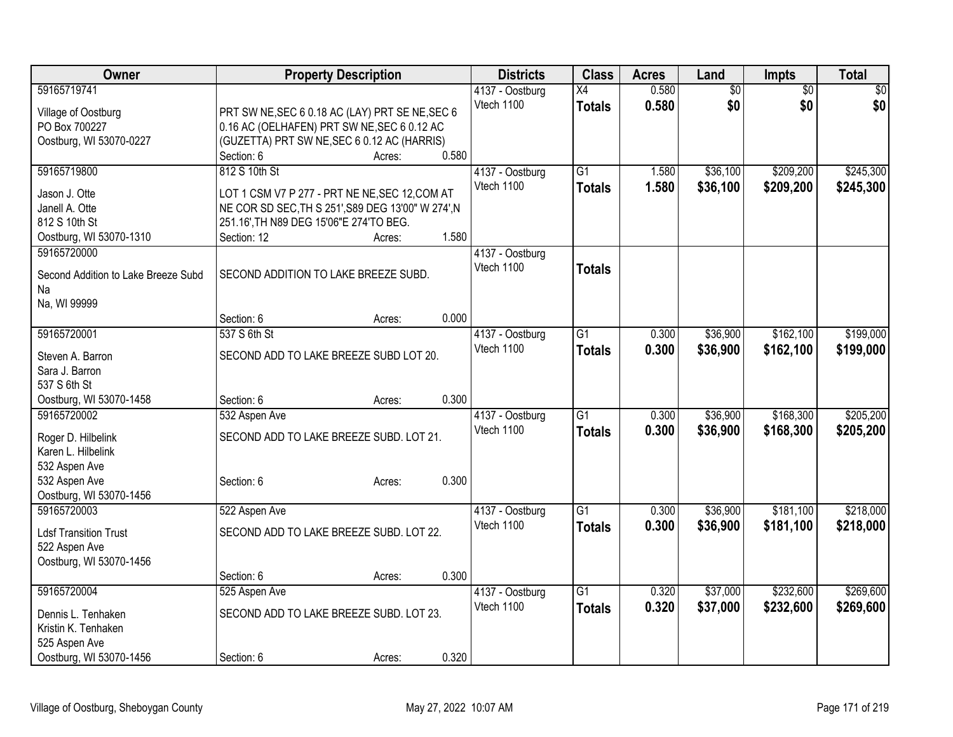| Owner                                     | <b>Property Description</b>                        |        |       | <b>Districts</b>              | <b>Class</b>    | <b>Acres</b> | Land            | <b>Impts</b>    | <b>Total</b> |
|-------------------------------------------|----------------------------------------------------|--------|-------|-------------------------------|-----------------|--------------|-----------------|-----------------|--------------|
| 59165719741                               |                                                    |        |       | 4137 - Oostburg               | $\overline{X4}$ | 0.580        | $\overline{50}$ | $\overline{50}$ | $\sqrt{50}$  |
| Village of Oostburg                       | PRT SW NE, SEC 6 0.18 AC (LAY) PRT SE NE, SEC 6    |        |       | Vtech 1100                    | <b>Totals</b>   | 0.580        | \$0             | \$0             | \$0          |
| PO Box 700227                             | 0.16 AC (OELHAFEN) PRT SW NE, SEC 6 0.12 AC        |        |       |                               |                 |              |                 |                 |              |
| Oostburg, WI 53070-0227                   | (GUZETTA) PRT SW NE, SEC 6 0.12 AC (HARRIS)        |        |       |                               |                 |              |                 |                 |              |
|                                           | Section: 6                                         | Acres: | 0.580 |                               |                 |              |                 |                 |              |
| 59165719800                               | 812 S 10th St                                      |        |       | 4137 - Oostburg               | $\overline{G1}$ | 1.580        | \$36,100        | \$209,200       | \$245,300    |
| Jason J. Otte                             | LOT 1 CSM V7 P 277 - PRT NE NE, SEC 12, COM AT     |        |       | Vtech 1100                    | <b>Totals</b>   | 1.580        | \$36,100        | \$209,200       | \$245,300    |
| Janell A. Otte                            | NE COR SD SEC, TH S 251', S89 DEG 13'00" W 274', N |        |       |                               |                 |              |                 |                 |              |
| 812 S 10th St                             | 251.16', TH N89 DEG 15'06"E 274'TO BEG.            |        |       |                               |                 |              |                 |                 |              |
| Oostburg, WI 53070-1310                   | Section: 12                                        | Acres: | 1.580 |                               |                 |              |                 |                 |              |
| 59165720000                               |                                                    |        |       | 4137 - Oostburg               |                 |              |                 |                 |              |
|                                           | SECOND ADDITION TO LAKE BREEZE SUBD.               |        |       | Vtech 1100                    | <b>Totals</b>   |              |                 |                 |              |
| Second Addition to Lake Breeze Subd<br>Na |                                                    |        |       |                               |                 |              |                 |                 |              |
| Na, WI 99999                              |                                                    |        |       |                               |                 |              |                 |                 |              |
|                                           | Section: 6                                         | Acres: | 0.000 |                               |                 |              |                 |                 |              |
| 59165720001                               | 537 S 6th St                                       |        |       | 4137 - Oostburg               | $\overline{G1}$ | 0.300        | \$36,900        | \$162,100       | \$199,000    |
|                                           |                                                    |        |       | Vtech 1100                    | <b>Totals</b>   | 0.300        | \$36,900        | \$162,100       | \$199,000    |
| Steven A. Barron                          | SECOND ADD TO LAKE BREEZE SUBD LOT 20.             |        |       |                               |                 |              |                 |                 |              |
| Sara J. Barron                            |                                                    |        |       |                               |                 |              |                 |                 |              |
| 537 S 6th St                              |                                                    |        |       |                               |                 |              |                 |                 |              |
| Oostburg, WI 53070-1458                   | Section: 6                                         | Acres: | 0.300 |                               |                 |              |                 |                 |              |
| 59165720002                               | 532 Aspen Ave                                      |        |       | 4137 - Oostburg<br>Vtech 1100 | $\overline{G1}$ | 0.300        | \$36,900        | \$168,300       | \$205,200    |
| Roger D. Hilbelink                        | SECOND ADD TO LAKE BREEZE SUBD. LOT 21.            |        |       |                               | <b>Totals</b>   | 0.300        | \$36,900        | \$168,300       | \$205,200    |
| Karen L. Hilbelink                        |                                                    |        |       |                               |                 |              |                 |                 |              |
| 532 Aspen Ave                             |                                                    |        |       |                               |                 |              |                 |                 |              |
| 532 Aspen Ave                             | Section: 6                                         | Acres: | 0.300 |                               |                 |              |                 |                 |              |
| Oostburg, WI 53070-1456                   |                                                    |        |       |                               |                 |              |                 |                 |              |
| 59165720003                               | 522 Aspen Ave                                      |        |       | 4137 - Oostburg               | $\overline{G1}$ | 0.300        | \$36,900        | \$181,100       | \$218,000    |
| <b>Ldsf Transition Trust</b>              | SECOND ADD TO LAKE BREEZE SUBD. LOT 22.            |        |       | Vtech 1100                    | <b>Totals</b>   | 0.300        | \$36,900        | \$181,100       | \$218,000    |
| 522 Aspen Ave                             |                                                    |        |       |                               |                 |              |                 |                 |              |
| Oostburg, WI 53070-1456                   |                                                    |        |       |                               |                 |              |                 |                 |              |
|                                           | Section: 6                                         | Acres: | 0.300 |                               |                 |              |                 |                 |              |
| 59165720004                               | 525 Aspen Ave                                      |        |       | 4137 - Oostburg               | $\overline{G1}$ | 0.320        | \$37,000        | \$232,600       | \$269,600    |
| Dennis L. Tenhaken                        | SECOND ADD TO LAKE BREEZE SUBD. LOT 23.            |        |       | Vtech 1100                    | <b>Totals</b>   | 0.320        | \$37,000        | \$232,600       | \$269,600    |
| Kristin K. Tenhaken                       |                                                    |        |       |                               |                 |              |                 |                 |              |
| 525 Aspen Ave                             |                                                    |        |       |                               |                 |              |                 |                 |              |
| Oostburg, WI 53070-1456                   | Section: 6                                         | Acres: | 0.320 |                               |                 |              |                 |                 |              |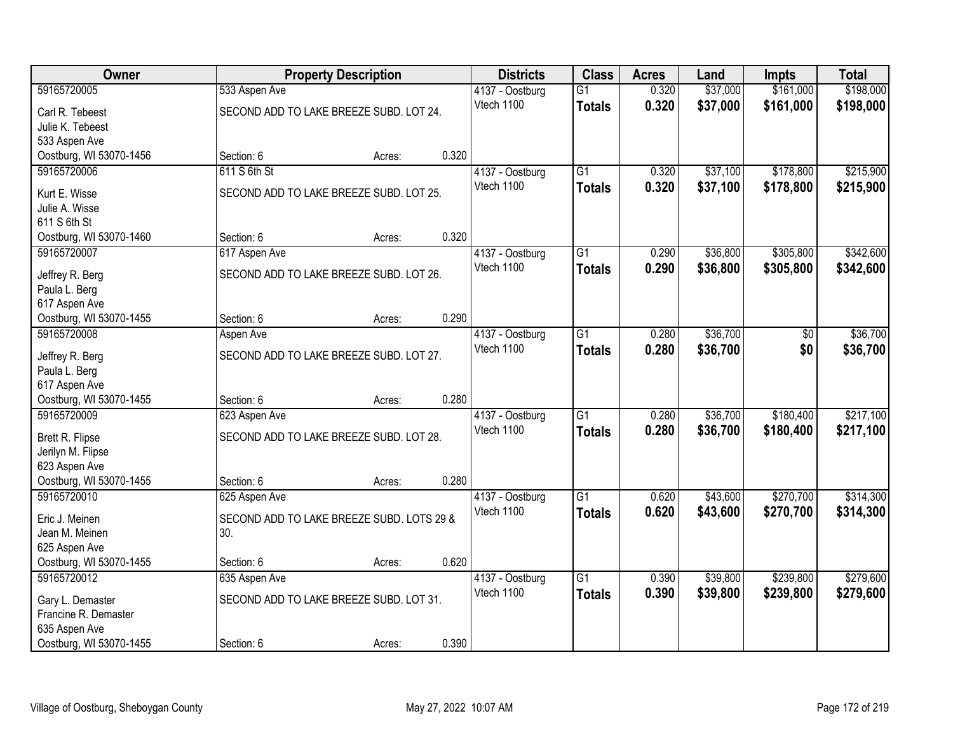| Owner                   |                                           | <b>Property Description</b> |       | <b>Districts</b> | <b>Class</b>    | <b>Acres</b> | Land     | <b>Impts</b> | <b>Total</b> |
|-------------------------|-------------------------------------------|-----------------------------|-------|------------------|-----------------|--------------|----------|--------------|--------------|
| 59165720005             | 533 Aspen Ave                             |                             |       | 4137 - Oostburg  | $\overline{G1}$ | 0.320        | \$37,000 | \$161,000    | \$198,000    |
| Carl R. Tebeest         | SECOND ADD TO LAKE BREEZE SUBD. LOT 24.   |                             |       | Vtech 1100       | <b>Totals</b>   | 0.320        | \$37,000 | \$161,000    | \$198,000    |
| Julie K. Tebeest        |                                           |                             |       |                  |                 |              |          |              |              |
| 533 Aspen Ave           |                                           |                             |       |                  |                 |              |          |              |              |
| Oostburg, WI 53070-1456 | Section: 6                                | Acres:                      | 0.320 |                  |                 |              |          |              |              |
| 59165720006             | 611 S 6th St                              |                             |       | 4137 - Oostburg  | $\overline{G1}$ | 0.320        | \$37,100 | \$178,800    | \$215,900    |
| Kurt E. Wisse           | SECOND ADD TO LAKE BREEZE SUBD. LOT 25.   |                             |       | Vtech 1100       | <b>Totals</b>   | 0.320        | \$37,100 | \$178,800    | \$215,900    |
| Julie A. Wisse          |                                           |                             |       |                  |                 |              |          |              |              |
| 611 S 6th St            |                                           |                             |       |                  |                 |              |          |              |              |
| Oostburg, WI 53070-1460 | Section: 6                                | Acres:                      | 0.320 |                  |                 |              |          |              |              |
| 59165720007             | 617 Aspen Ave                             |                             |       | 4137 - Oostburg  | G1              | 0.290        | \$36,800 | \$305,800    | \$342,600    |
|                         |                                           |                             |       | Vtech 1100       | <b>Totals</b>   | 0.290        | \$36,800 | \$305,800    | \$342,600    |
| Jeffrey R. Berg         | SECOND ADD TO LAKE BREEZE SUBD. LOT 26.   |                             |       |                  |                 |              |          |              |              |
| Paula L. Berg           |                                           |                             |       |                  |                 |              |          |              |              |
| 617 Aspen Ave           |                                           |                             |       |                  |                 |              |          |              |              |
| Oostburg, WI 53070-1455 | Section: 6                                | Acres:                      | 0.290 |                  |                 |              |          |              |              |
| 59165720008             | Aspen Ave                                 |                             |       | 4137 - Oostburg  | G1              | 0.280        | \$36,700 | \$0          | \$36,700     |
| Jeffrey R. Berg         | SECOND ADD TO LAKE BREEZE SUBD. LOT 27.   |                             |       | Vtech 1100       | <b>Totals</b>   | 0.280        | \$36,700 | \$0          | \$36,700     |
| Paula L. Berg           |                                           |                             |       |                  |                 |              |          |              |              |
| 617 Aspen Ave           |                                           |                             |       |                  |                 |              |          |              |              |
| Oostburg, WI 53070-1455 | Section: 6                                | Acres:                      | 0.280 |                  |                 |              |          |              |              |
| 59165720009             | 623 Aspen Ave                             |                             |       | 4137 - Oostburg  | $\overline{G1}$ | 0.280        | \$36,700 | \$180,400    | \$217,100    |
| Brett R. Flipse         | SECOND ADD TO LAKE BREEZE SUBD. LOT 28.   |                             |       | Vtech 1100       | <b>Totals</b>   | 0.280        | \$36,700 | \$180,400    | \$217,100    |
| Jerilyn M. Flipse       |                                           |                             |       |                  |                 |              |          |              |              |
| 623 Aspen Ave           |                                           |                             |       |                  |                 |              |          |              |              |
| Oostburg, WI 53070-1455 | Section: 6                                | Acres:                      | 0.280 |                  |                 |              |          |              |              |
| 59165720010             | 625 Aspen Ave                             |                             |       | 4137 - Oostburg  | $\overline{G1}$ | 0.620        | \$43,600 | \$270,700    | \$314,300    |
|                         |                                           |                             |       | Vtech 1100       | <b>Totals</b>   | 0.620        | \$43,600 | \$270,700    | \$314,300    |
| Eric J. Meinen          | SECOND ADD TO LAKE BREEZE SUBD. LOTS 29 & |                             |       |                  |                 |              |          |              |              |
| Jean M. Meinen          | 30.                                       |                             |       |                  |                 |              |          |              |              |
| 625 Aspen Ave           |                                           |                             |       |                  |                 |              |          |              |              |
| Oostburg, WI 53070-1455 | Section: 6                                | Acres:                      | 0.620 |                  |                 |              |          |              |              |
| 59165720012             | 635 Aspen Ave                             |                             |       | 4137 - Oostburg  | $\overline{G1}$ | 0.390        | \$39,800 | \$239,800    | \$279,600    |
| Gary L. Demaster        | SECOND ADD TO LAKE BREEZE SUBD. LOT 31.   |                             |       | Vtech 1100       | <b>Totals</b>   | 0.390        | \$39,800 | \$239,800    | \$279,600    |
| Francine R. Demaster    |                                           |                             |       |                  |                 |              |          |              |              |
| 635 Aspen Ave           |                                           |                             |       |                  |                 |              |          |              |              |
| Oostburg, WI 53070-1455 | Section: 6                                | Acres:                      | 0.390 |                  |                 |              |          |              |              |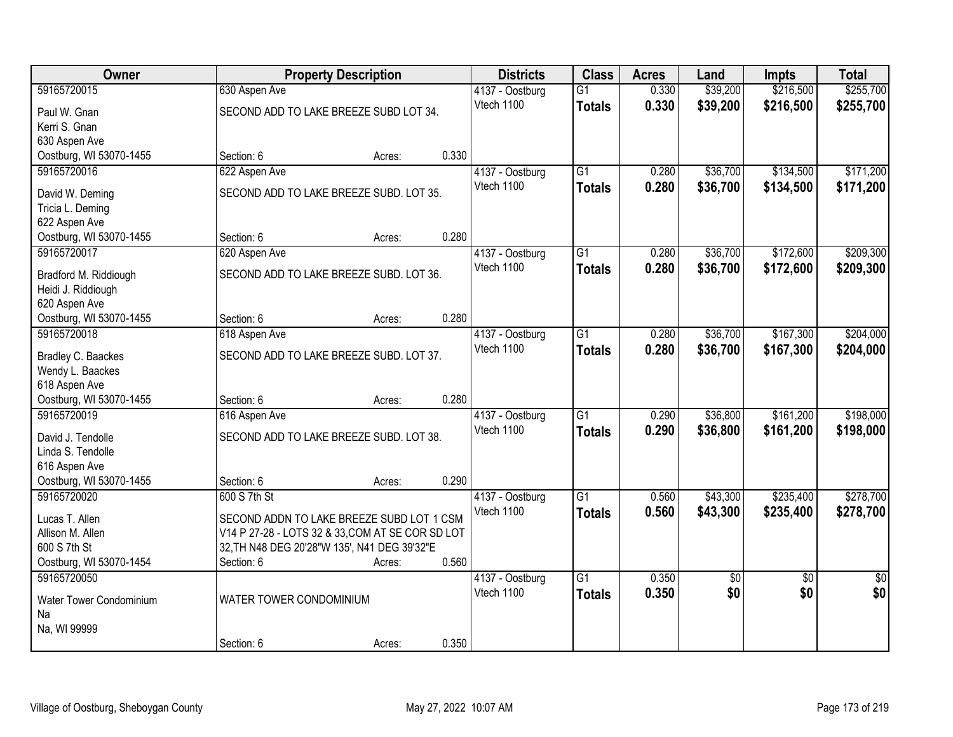| Owner                                       |                                                  | <b>Property Description</b> |       | <b>Districts</b> | <b>Class</b>    | <b>Acres</b> | Land            | <b>Impts</b>    | <b>Total</b>    |
|---------------------------------------------|--------------------------------------------------|-----------------------------|-------|------------------|-----------------|--------------|-----------------|-----------------|-----------------|
| 59165720015                                 | 630 Aspen Ave                                    |                             |       | 4137 - Oostburg  | $\overline{G1}$ | 0.330        | \$39,200        | \$216,500       | \$255,700       |
| Paul W. Gnan                                | SECOND ADD TO LAKE BREEZE SUBD LOT 34.           |                             |       | Vtech 1100       | <b>Totals</b>   | 0.330        | \$39,200        | \$216,500       | \$255,700       |
| Kerri S. Gnan                               |                                                  |                             |       |                  |                 |              |                 |                 |                 |
| 630 Aspen Ave                               |                                                  |                             |       |                  |                 |              |                 |                 |                 |
| Oostburg, WI 53070-1455                     | Section: 6                                       | Acres:                      | 0.330 |                  |                 |              |                 |                 |                 |
| 59165720016                                 | 622 Aspen Ave                                    |                             |       | 4137 - Oostburg  | $\overline{G1}$ | 0.280        | \$36,700        | \$134,500       | \$171,200       |
| David W. Deming                             | SECOND ADD TO LAKE BREEZE SUBD. LOT 35.          |                             |       | Vtech 1100       | <b>Totals</b>   | 0.280        | \$36,700        | \$134,500       | \$171,200       |
| Tricia L. Deming                            |                                                  |                             |       |                  |                 |              |                 |                 |                 |
| 622 Aspen Ave                               |                                                  |                             |       |                  |                 |              |                 |                 |                 |
| Oostburg, WI 53070-1455                     | Section: 6                                       | Acres:                      | 0.280 |                  |                 |              |                 |                 |                 |
| 59165720017                                 | 620 Aspen Ave                                    |                             |       | 4137 - Oostburg  | G1              | 0.280        | \$36,700        | \$172,600       | \$209,300       |
|                                             | SECOND ADD TO LAKE BREEZE SUBD. LOT 36.          |                             |       | Vtech 1100       | <b>Totals</b>   | 0.280        | \$36,700        | \$172,600       | \$209,300       |
| Bradford M. Riddiough<br>Heidi J. Riddiough |                                                  |                             |       |                  |                 |              |                 |                 |                 |
| 620 Aspen Ave                               |                                                  |                             |       |                  |                 |              |                 |                 |                 |
| Oostburg, WI 53070-1455                     | Section: 6                                       | Acres:                      | 0.280 |                  |                 |              |                 |                 |                 |
| 59165720018                                 | 618 Aspen Ave                                    |                             |       | 4137 - Oostburg  | $\overline{G1}$ | 0.280        | \$36,700        | \$167,300       | \$204,000       |
|                                             |                                                  |                             |       | Vtech 1100       | <b>Totals</b>   | 0.280        | \$36,700        | \$167,300       | \$204,000       |
| Bradley C. Baackes                          | SECOND ADD TO LAKE BREEZE SUBD. LOT 37.          |                             |       |                  |                 |              |                 |                 |                 |
| Wendy L. Baackes                            |                                                  |                             |       |                  |                 |              |                 |                 |                 |
| 618 Aspen Ave<br>Oostburg, WI 53070-1455    | Section: 6                                       | Acres:                      | 0.280 |                  |                 |              |                 |                 |                 |
| 59165720019                                 | 616 Aspen Ave                                    |                             |       | 4137 - Oostburg  | $\overline{G1}$ | 0.290        | \$36,800        | \$161,200       | \$198,000       |
|                                             |                                                  |                             |       | Vtech 1100       | <b>Totals</b>   | 0.290        | \$36,800        | \$161,200       | \$198,000       |
| David J. Tendolle                           | SECOND ADD TO LAKE BREEZE SUBD. LOT 38.          |                             |       |                  |                 |              |                 |                 |                 |
| Linda S. Tendolle                           |                                                  |                             |       |                  |                 |              |                 |                 |                 |
| 616 Aspen Ave                               |                                                  |                             |       |                  |                 |              |                 |                 |                 |
| Oostburg, WI 53070-1455                     | Section: 6                                       | Acres:                      | 0.290 |                  |                 |              |                 |                 |                 |
| 59165720020                                 | 600 S 7th St                                     |                             |       | 4137 - Oostburg  | $\overline{G1}$ | 0.560        | \$43,300        | \$235,400       | \$278,700       |
| Lucas T. Allen                              | SECOND ADDN TO LAKE BREEZE SUBD LOT 1 CSM        |                             |       | Vtech 1100       | <b>Totals</b>   | 0.560        | \$43,300        | \$235,400       | \$278,700       |
| Allison M. Allen                            | V14 P 27-28 - LOTS 32 & 33, COM AT SE COR SD LOT |                             |       |                  |                 |              |                 |                 |                 |
| 600 S 7th St                                | 32, TH N48 DEG 20'28"W 135', N41 DEG 39'32"E     |                             |       |                  |                 |              |                 |                 |                 |
| Oostburg, WI 53070-1454                     | Section: 6                                       | Acres:                      | 0.560 |                  |                 |              |                 |                 |                 |
| 59165720050                                 |                                                  |                             |       | 4137 - Oostburg  | $\overline{G1}$ | 0.350        | $\overline{50}$ | $\overline{50}$ | $\overline{50}$ |
| Water Tower Condominium                     | WATER TOWER CONDOMINIUM                          |                             |       | Vtech 1100       | <b>Totals</b>   | 0.350        | \$0             | \$0             | \$0             |
| Na                                          |                                                  |                             |       |                  |                 |              |                 |                 |                 |
| Na, WI 99999                                |                                                  |                             |       |                  |                 |              |                 |                 |                 |
|                                             | Section: 6                                       | Acres:                      | 0.350 |                  |                 |              |                 |                 |                 |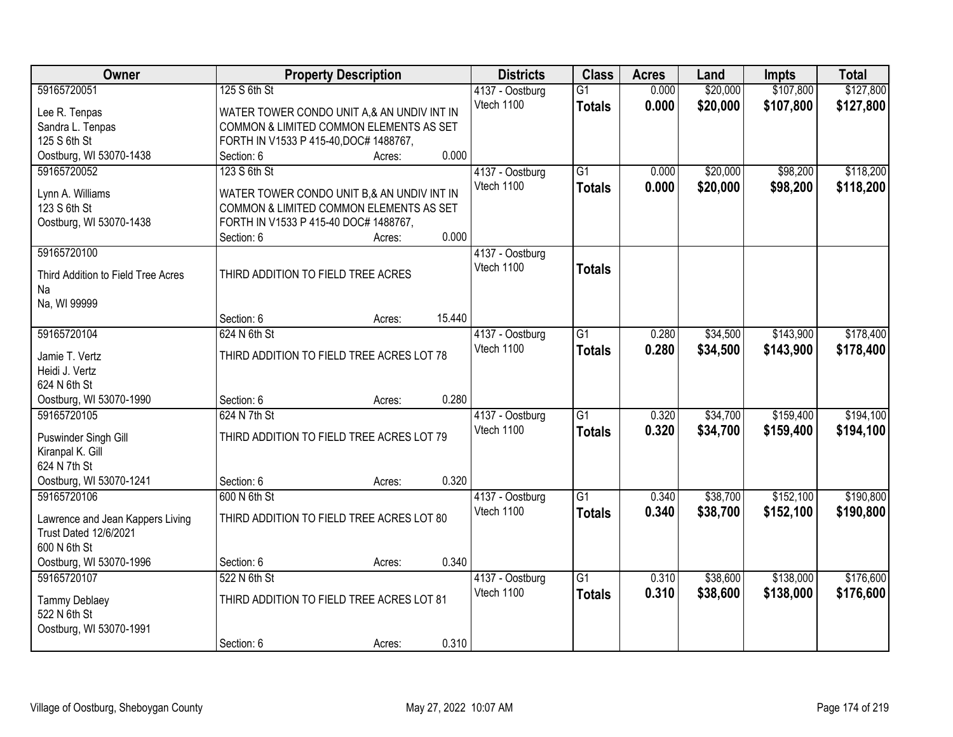| Owner                                    |                                            | <b>Property Description</b> |        | <b>Districts</b>              | <b>Class</b>    | <b>Acres</b>   | Land     | <b>Impts</b> | <b>Total</b> |
|------------------------------------------|--------------------------------------------|-----------------------------|--------|-------------------------------|-----------------|----------------|----------|--------------|--------------|
| 59165720051                              | 125 S 6th St                               |                             |        | 4137 - Oostburg               | $\overline{G1}$ | 0.000          | \$20,000 | \$107,800    | \$127,800    |
| Lee R. Tenpas                            | WATER TOWER CONDO UNIT A,& AN UNDIV INT IN |                             |        | Vtech 1100                    | <b>Totals</b>   | 0.000          | \$20,000 | \$107,800    | \$127,800    |
| Sandra L. Tenpas                         | COMMON & LIMITED COMMON ELEMENTS AS SET    |                             |        |                               |                 |                |          |              |              |
| 125 S 6th St                             | FORTH IN V1533 P 415-40, DOC# 1488767,     |                             |        |                               |                 |                |          |              |              |
| Oostburg, WI 53070-1438                  | Section: 6                                 | Acres:                      | 0.000  |                               |                 |                |          |              |              |
| 59165720052                              | 123 S 6th St                               |                             |        | 4137 - Oostburg               | $\overline{G1}$ | 0.000          | \$20,000 | \$98,200     | \$118,200    |
| Lynn A. Williams                         | WATER TOWER CONDO UNIT B,& AN UNDIV INT IN |                             |        | Vtech 1100                    | <b>Totals</b>   | 0.000          | \$20,000 | \$98,200     | \$118,200    |
| 123 S 6th St                             | COMMON & LIMITED COMMON ELEMENTS AS SET    |                             |        |                               |                 |                |          |              |              |
| Oostburg, WI 53070-1438                  | FORTH IN V1533 P 415-40 DOC# 1488767,      |                             |        |                               |                 |                |          |              |              |
|                                          | Section: 6                                 | Acres:                      | 0.000  |                               |                 |                |          |              |              |
| 59165720100                              |                                            |                             |        | 4137 - Oostburg               |                 |                |          |              |              |
|                                          | THIRD ADDITION TO FIELD TREE ACRES         |                             |        | Vtech 1100                    | <b>Totals</b>   |                |          |              |              |
| Third Addition to Field Tree Acres<br>Na |                                            |                             |        |                               |                 |                |          |              |              |
| Na, WI 99999                             |                                            |                             |        |                               |                 |                |          |              |              |
|                                          | Section: 6                                 | Acres:                      | 15.440 |                               |                 |                |          |              |              |
| 59165720104                              | 624 N 6th St                               |                             |        | 4137 - Oostburg               | $\overline{G1}$ | 0.280          | \$34,500 | \$143,900    | \$178,400    |
|                                          |                                            |                             |        | Vtech 1100                    | <b>Totals</b>   | 0.280          | \$34,500 | \$143,900    | \$178,400    |
| Jamie T. Vertz                           | THIRD ADDITION TO FIELD TREE ACRES LOT 78  |                             |        |                               |                 |                |          |              |              |
| Heidi J. Vertz<br>624 N 6th St           |                                            |                             |        |                               |                 |                |          |              |              |
| Oostburg, WI 53070-1990                  | Section: 6                                 | Acres:                      | 0.280  |                               |                 |                |          |              |              |
| 59165720105                              | 624 N 7th St                               |                             |        | 4137 - Oostburg               | $\overline{G1}$ | 0.320          | \$34,700 | \$159,400    | \$194,100    |
|                                          |                                            |                             |        | Vtech 1100                    | <b>Totals</b>   | 0.320          | \$34,700 | \$159,400    | \$194,100    |
| Puswinder Singh Gill                     | THIRD ADDITION TO FIELD TREE ACRES LOT 79  |                             |        |                               |                 |                |          |              |              |
| Kiranpal K. Gill                         |                                            |                             |        |                               |                 |                |          |              |              |
| 624 N 7th St                             |                                            |                             |        |                               |                 |                |          |              |              |
| Oostburg, WI 53070-1241<br>59165720106   | Section: 6                                 | Acres:                      | 0.320  |                               |                 |                |          |              |              |
|                                          | 600 N 6th St                               |                             |        | 4137 - Oostburg<br>Vtech 1100 | $\overline{G1}$ | 0.340<br>0.340 | \$38,700 | \$152,100    | \$190,800    |
| Lawrence and Jean Kappers Living         | THIRD ADDITION TO FIELD TREE ACRES LOT 80  |                             |        |                               | <b>Totals</b>   |                | \$38,700 | \$152,100    | \$190,800    |
| <b>Trust Dated 12/6/2021</b>             |                                            |                             |        |                               |                 |                |          |              |              |
| 600 N 6th St                             |                                            |                             |        |                               |                 |                |          |              |              |
| Oostburg, WI 53070-1996                  | Section: 6                                 | Acres:                      | 0.340  |                               |                 |                |          |              |              |
| 59165720107                              | 522 N 6th St                               |                             |        | 4137 - Oostburg               | $\overline{G1}$ | 0.310          | \$38,600 | \$138,000    | \$176,600    |
| <b>Tammy Deblaey</b>                     | THIRD ADDITION TO FIELD TREE ACRES LOT 81  |                             |        | Vtech 1100                    | <b>Totals</b>   | 0.310          | \$38,600 | \$138,000    | \$176,600    |
| 522 N 6th St                             |                                            |                             |        |                               |                 |                |          |              |              |
| Oostburg, WI 53070-1991                  |                                            |                             |        |                               |                 |                |          |              |              |
|                                          | Section: 6                                 | Acres:                      | 0.310  |                               |                 |                |          |              |              |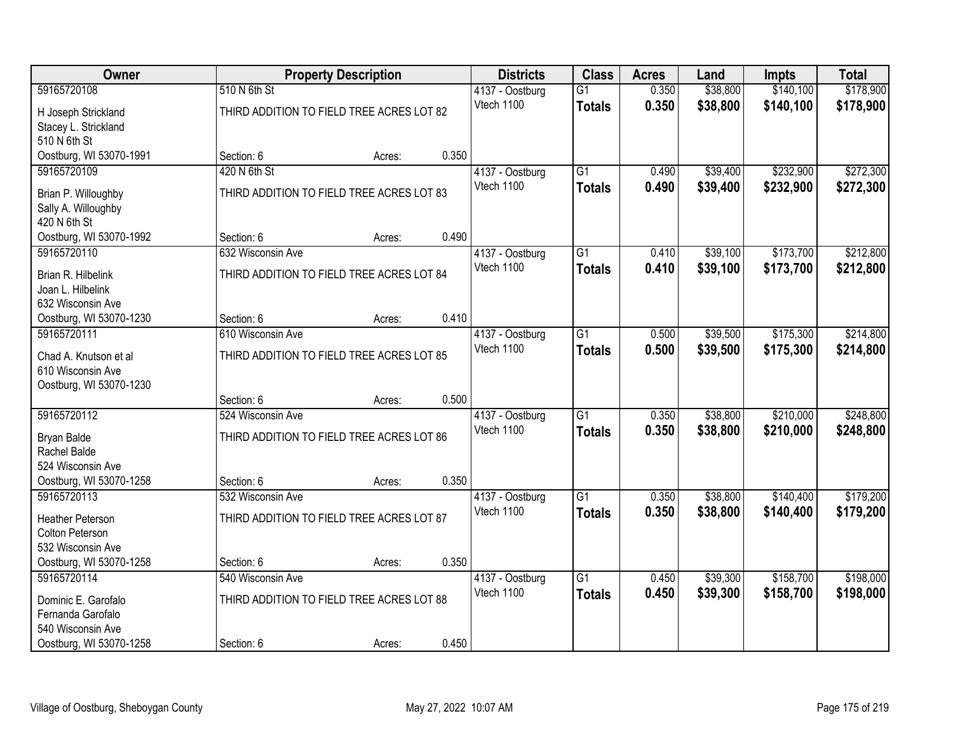| Owner                                      |                                           | <b>Property Description</b> |       | <b>Districts</b>              | <b>Class</b>    | <b>Acres</b>   | Land     | <b>Impts</b>           | <b>Total</b> |
|--------------------------------------------|-------------------------------------------|-----------------------------|-------|-------------------------------|-----------------|----------------|----------|------------------------|--------------|
| 59165720108                                | 510 N 6th St                              |                             |       | 4137 - Oostburg               | $\overline{G1}$ | 0.350          | \$38,800 | \$140,100              | \$178,900    |
| H Joseph Strickland                        | THIRD ADDITION TO FIELD TREE ACRES LOT 82 |                             |       | Vtech 1100                    | <b>Totals</b>   | 0.350          | \$38,800 | \$140,100              | \$178,900    |
| Stacey L. Strickland                       |                                           |                             |       |                               |                 |                |          |                        |              |
| 510 N 6th St                               |                                           |                             |       |                               |                 |                |          |                        |              |
| Oostburg, WI 53070-1991                    | Section: 6                                | Acres:                      | 0.350 |                               |                 |                |          |                        |              |
| 59165720109                                | 420 N 6th St                              |                             |       | 4137 - Oostburg<br>Vtech 1100 | $\overline{G1}$ | 0.490<br>0.490 | \$39,400 | \$232,900              | \$272,300    |
| Brian P. Willoughby                        | THIRD ADDITION TO FIELD TREE ACRES LOT 83 |                             |       |                               | <b>Totals</b>   |                | \$39,400 | \$232,900              | \$272,300    |
| Sally A. Willoughby                        |                                           |                             |       |                               |                 |                |          |                        |              |
| 420 N 6th St                               | Section: 6                                |                             | 0.490 |                               |                 |                |          |                        |              |
| Oostburg, WI 53070-1992<br>59165720110     | 632 Wisconsin Ave                         | Acres:                      |       | 4137 - Oostburg               | $\overline{G1}$ | 0.410          | \$39,100 | \$173,700              | \$212,800    |
|                                            |                                           |                             |       | Vtech 1100                    | <b>Totals</b>   | 0.410          | \$39,100 | \$173,700              | \$212,800    |
| Brian R. Hilbelink                         | THIRD ADDITION TO FIELD TREE ACRES LOT 84 |                             |       |                               |                 |                |          |                        |              |
| Joan L. Hilbelink<br>632 Wisconsin Ave     |                                           |                             |       |                               |                 |                |          |                        |              |
| Oostburg, WI 53070-1230                    | Section: 6                                | Acres:                      | 0.410 |                               |                 |                |          |                        |              |
| 59165720111                                | 610 Wisconsin Ave                         |                             |       | 4137 - Oostburg               | $\overline{G1}$ | 0.500          | \$39,500 | \$175,300              | \$214,800    |
|                                            | THIRD ADDITION TO FIELD TREE ACRES LOT 85 |                             |       | Vtech 1100                    | <b>Totals</b>   | 0.500          | \$39,500 | \$175,300              | \$214,800    |
| Chad A. Knutson et al<br>610 Wisconsin Ave |                                           |                             |       |                               |                 |                |          |                        |              |
| Oostburg, WI 53070-1230                    |                                           |                             |       |                               |                 |                |          |                        |              |
|                                            | Section: 6                                | Acres:                      | 0.500 |                               |                 |                |          |                        |              |
| 59165720112                                | 524 Wisconsin Ave                         |                             |       | 4137 - Oostburg               | $\overline{G1}$ | 0.350          | \$38,800 | \$210,000              | \$248,800    |
| Bryan Balde                                | THIRD ADDITION TO FIELD TREE ACRES LOT 86 |                             |       | Vtech 1100                    | <b>Totals</b>   | 0.350          | \$38,800 | \$210,000              | \$248,800    |
| Rachel Balde                               |                                           |                             |       |                               |                 |                |          |                        |              |
| 524 Wisconsin Ave                          |                                           |                             |       |                               |                 |                |          |                        |              |
| Oostburg, WI 53070-1258                    | Section: 6                                | Acres:                      | 0.350 |                               |                 |                |          |                        |              |
| 59165720113                                | 532 Wisconsin Ave                         |                             |       | 4137 - Oostburg               | $\overline{G1}$ | 0.350          | \$38,800 | \$140,400              | \$179,200    |
| <b>Heather Peterson</b>                    | THIRD ADDITION TO FIELD TREE ACRES LOT 87 |                             |       | Vtech 1100                    | <b>Totals</b>   | 0.350          | \$38,800 | \$140,400              | \$179,200    |
| Colton Peterson                            |                                           |                             |       |                               |                 |                |          |                        |              |
| 532 Wisconsin Ave                          |                                           |                             |       |                               |                 |                |          |                        |              |
| Oostburg, WI 53070-1258                    | Section: 6                                | Acres:                      | 0.350 |                               |                 |                |          |                        |              |
| 59165720114                                | 540 Wisconsin Ave                         |                             |       | 4137 - Oostburg<br>Vtech 1100 | $\overline{G1}$ | 0.450<br>0.450 | \$39,300 | \$158,700<br>\$158,700 | \$198,000    |
| Dominic E. Garofalo                        | THIRD ADDITION TO FIELD TREE ACRES LOT 88 |                             |       |                               | <b>Totals</b>   |                | \$39,300 |                        | \$198,000    |
| Fernanda Garofalo                          |                                           |                             |       |                               |                 |                |          |                        |              |
| 540 Wisconsin Ave                          |                                           |                             | 0.450 |                               |                 |                |          |                        |              |
| Oostburg, WI 53070-1258                    | Section: 6                                | Acres:                      |       |                               |                 |                |          |                        |              |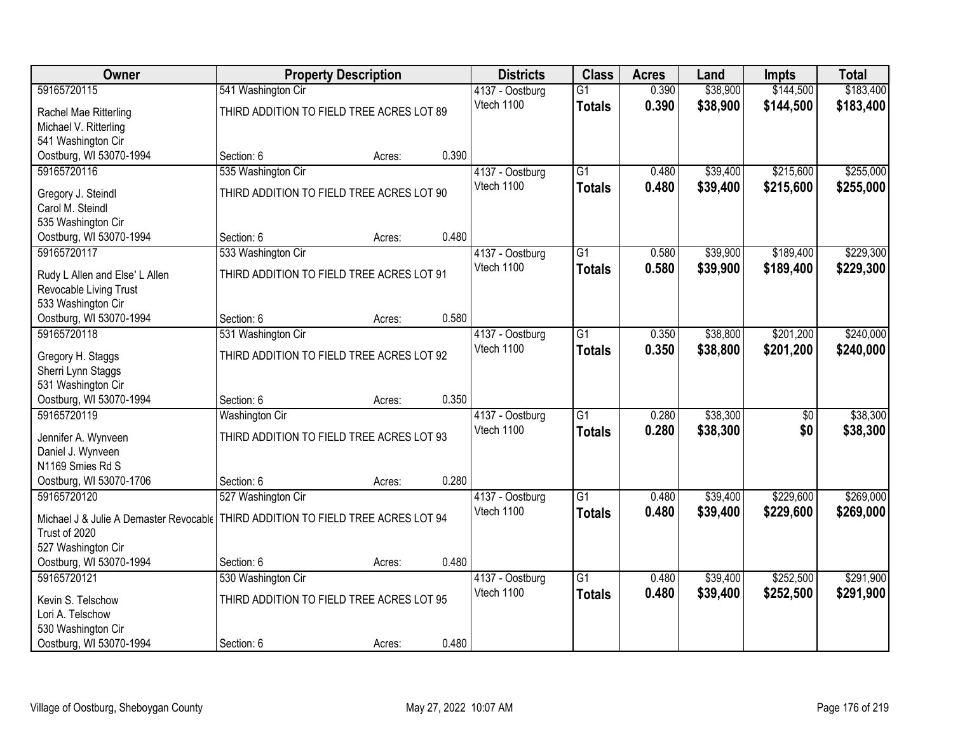| Owner                                                                              |                                           | <b>Property Description</b> |       | <b>Districts</b> | <b>Class</b>    | <b>Acres</b> | Land     | <b>Impts</b>    | <b>Total</b> |
|------------------------------------------------------------------------------------|-------------------------------------------|-----------------------------|-------|------------------|-----------------|--------------|----------|-----------------|--------------|
| 59165720115                                                                        | 541 Washington Cir                        |                             |       | 4137 - Oostburg  | $\overline{G1}$ | 0.390        | \$38,900 | \$144,500       | \$183,400    |
| Rachel Mae Ritterling                                                              | THIRD ADDITION TO FIELD TREE ACRES LOT 89 |                             |       | Vtech 1100       | <b>Totals</b>   | 0.390        | \$38,900 | \$144,500       | \$183,400    |
| Michael V. Ritterling                                                              |                                           |                             |       |                  |                 |              |          |                 |              |
| 541 Washington Cir                                                                 |                                           |                             |       |                  |                 |              |          |                 |              |
| Oostburg, WI 53070-1994                                                            | Section: 6                                | Acres:                      | 0.390 |                  |                 |              |          |                 |              |
| 59165720116                                                                        | 535 Washington Cir                        |                             |       | 4137 - Oostburg  | $\overline{G1}$ | 0.480        | \$39,400 | \$215,600       | \$255,000    |
| Gregory J. Steindl                                                                 | THIRD ADDITION TO FIELD TREE ACRES LOT 90 |                             |       | Vtech 1100       | <b>Totals</b>   | 0.480        | \$39,400 | \$215,600       | \$255,000    |
| Carol M. Steindl                                                                   |                                           |                             |       |                  |                 |              |          |                 |              |
| 535 Washington Cir                                                                 |                                           |                             |       |                  |                 |              |          |                 |              |
| Oostburg, WI 53070-1994                                                            | Section: 6                                | Acres:                      | 0.480 |                  |                 |              |          |                 |              |
| 59165720117                                                                        | 533 Washington Cir                        |                             |       | 4137 - Oostburg  | $\overline{G1}$ | 0.580        | \$39,900 | \$189,400       | \$229,300    |
| Rudy L Allen and Else' L Allen                                                     | THIRD ADDITION TO FIELD TREE ACRES LOT 91 |                             |       | Vtech 1100       | <b>Totals</b>   | 0.580        | \$39,900 | \$189,400       | \$229,300    |
| Revocable Living Trust                                                             |                                           |                             |       |                  |                 |              |          |                 |              |
| 533 Washington Cir                                                                 |                                           |                             |       |                  |                 |              |          |                 |              |
| Oostburg, WI 53070-1994                                                            | Section: 6                                | Acres:                      | 0.580 |                  |                 |              |          |                 |              |
| 59165720118                                                                        | 531 Washington Cir                        |                             |       | 4137 - Oostburg  | $\overline{G1}$ | 0.350        | \$38,800 | \$201,200       | \$240,000    |
| Gregory H. Staggs                                                                  | THIRD ADDITION TO FIELD TREE ACRES LOT 92 |                             |       | Vtech 1100       | <b>Totals</b>   | 0.350        | \$38,800 | \$201,200       | \$240,000    |
| Sherri Lynn Staggs                                                                 |                                           |                             |       |                  |                 |              |          |                 |              |
| 531 Washington Cir                                                                 |                                           |                             |       |                  |                 |              |          |                 |              |
| Oostburg, WI 53070-1994                                                            | Section: 6                                | Acres:                      | 0.350 |                  |                 |              |          |                 |              |
| 59165720119                                                                        | <b>Washington Cir</b>                     |                             |       | 4137 - Oostburg  | $\overline{G1}$ | 0.280        | \$38,300 | $\overline{50}$ | \$38,300     |
| Jennifer A. Wynveen                                                                | THIRD ADDITION TO FIELD TREE ACRES LOT 93 |                             |       | Vtech 1100       | <b>Totals</b>   | 0.280        | \$38,300 | \$0             | \$38,300     |
| Daniel J. Wynveen                                                                  |                                           |                             |       |                  |                 |              |          |                 |              |
| N1169 Smies Rd S                                                                   |                                           |                             |       |                  |                 |              |          |                 |              |
| Oostburg, WI 53070-1706                                                            | Section: 6                                | Acres:                      | 0.280 |                  |                 |              |          |                 |              |
| 59165720120                                                                        | 527 Washington Cir                        |                             |       | 4137 - Oostburg  | $\overline{G1}$ | 0.480        | \$39,400 | \$229,600       | \$269,000    |
| Michael J & Julie A Demaster Revocable   THIRD ADDITION TO FIELD TREE ACRES LOT 94 |                                           |                             |       | Vtech 1100       | <b>Totals</b>   | 0.480        | \$39,400 | \$229,600       | \$269,000    |
| Trust of 2020                                                                      |                                           |                             |       |                  |                 |              |          |                 |              |
| 527 Washington Cir                                                                 |                                           |                             |       |                  |                 |              |          |                 |              |
| Oostburg, WI 53070-1994                                                            | Section: 6                                | Acres:                      | 0.480 |                  |                 |              |          |                 |              |
| 59165720121                                                                        | 530 Washington Cir                        |                             |       | 4137 - Oostburg  | $\overline{G1}$ | 0.480        | \$39,400 | \$252,500       | \$291,900    |
| Kevin S. Telschow                                                                  | THIRD ADDITION TO FIELD TREE ACRES LOT 95 |                             |       | Vtech 1100       | <b>Totals</b>   | 0.480        | \$39,400 | \$252,500       | \$291,900    |
| Lori A. Telschow                                                                   |                                           |                             |       |                  |                 |              |          |                 |              |
| 530 Washington Cir                                                                 |                                           |                             |       |                  |                 |              |          |                 |              |
| Oostburg, WI 53070-1994                                                            | Section: 6                                | Acres:                      | 0.480 |                  |                 |              |          |                 |              |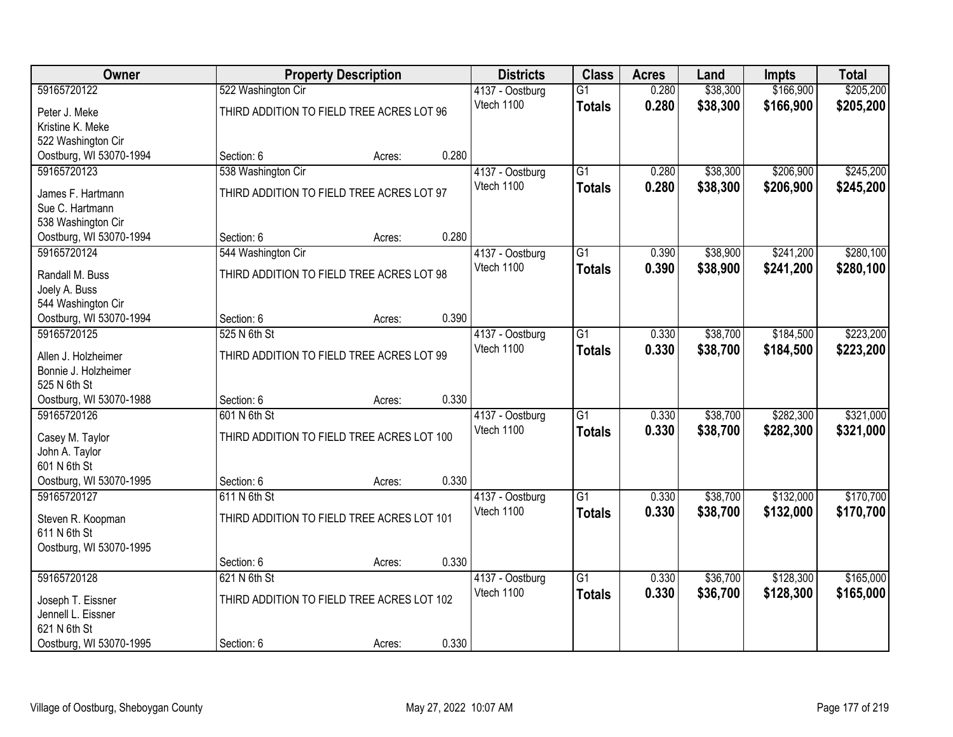| Owner                                  |                                            | <b>Property Description</b> |       | <b>Districts</b>              | <b>Class</b>    | <b>Acres</b> | Land     | <b>Impts</b> | <b>Total</b> |
|----------------------------------------|--------------------------------------------|-----------------------------|-------|-------------------------------|-----------------|--------------|----------|--------------|--------------|
| 59165720122                            | 522 Washington Cir                         |                             |       | 4137 - Oostburg               | $\overline{G1}$ | 0.280        | \$38,300 | \$166,900    | \$205,200    |
| Peter J. Meke                          | THIRD ADDITION TO FIELD TREE ACRES LOT 96  |                             |       | Vtech 1100                    | <b>Totals</b>   | 0.280        | \$38,300 | \$166,900    | \$205,200    |
| Kristine K. Meke                       |                                            |                             |       |                               |                 |              |          |              |              |
| 522 Washington Cir                     |                                            |                             |       |                               |                 |              |          |              |              |
| Oostburg, WI 53070-1994                | Section: 6                                 | Acres:                      | 0.280 |                               |                 |              |          |              |              |
| 59165720123                            | 538 Washington Cir                         |                             |       | 4137 - Oostburg               | $\overline{G1}$ | 0.280        | \$38,300 | \$206,900    | \$245,200    |
| James F. Hartmann                      | THIRD ADDITION TO FIELD TREE ACRES LOT 97  |                             |       | Vtech 1100                    | <b>Totals</b>   | 0.280        | \$38,300 | \$206,900    | \$245,200    |
| Sue C. Hartmann                        |                                            |                             |       |                               |                 |              |          |              |              |
| 538 Washington Cir                     |                                            |                             |       |                               |                 |              |          |              |              |
| Oostburg, WI 53070-1994                | Section: 6                                 | Acres:                      | 0.280 |                               |                 |              |          |              |              |
| 59165720124                            | 544 Washington Cir                         |                             |       | 4137 - Oostburg               | $\overline{G1}$ | 0.390        | \$38,900 | \$241,200    | \$280,100    |
|                                        |                                            |                             |       | Vtech 1100                    | <b>Totals</b>   | 0.390        | \$38,900 | \$241,200    | \$280,100    |
| Randall M. Buss<br>Joely A. Buss       | THIRD ADDITION TO FIELD TREE ACRES LOT 98  |                             |       |                               |                 |              |          |              |              |
| 544 Washington Cir                     |                                            |                             |       |                               |                 |              |          |              |              |
| Oostburg, WI 53070-1994                | Section: 6                                 | Acres:                      | 0.390 |                               |                 |              |          |              |              |
| 59165720125                            | 525 N 6th St                               |                             |       | 4137 - Oostburg               | $\overline{G1}$ | 0.330        | \$38,700 | \$184,500    | \$223,200    |
|                                        |                                            |                             |       | Vtech 1100                    | <b>Totals</b>   | 0.330        | \$38,700 | \$184,500    | \$223,200    |
| Allen J. Holzheimer                    | THIRD ADDITION TO FIELD TREE ACRES LOT 99  |                             |       |                               |                 |              |          |              |              |
| Bonnie J. Holzheimer<br>525 N 6th St   |                                            |                             |       |                               |                 |              |          |              |              |
| Oostburg, WI 53070-1988                | Section: 6                                 | Acres:                      | 0.330 |                               |                 |              |          |              |              |
| 59165720126                            | 601 N 6th St                               |                             |       | 4137 - Oostburg               | $\overline{G1}$ | 0.330        | \$38,700 | \$282,300    | \$321,000    |
|                                        |                                            |                             |       | Vtech 1100                    | <b>Totals</b>   | 0.330        | \$38,700 | \$282,300    | \$321,000    |
| Casey M. Taylor                        | THIRD ADDITION TO FIELD TREE ACRES LOT 100 |                             |       |                               |                 |              |          |              |              |
| John A. Taylor                         |                                            |                             |       |                               |                 |              |          |              |              |
| 601 N 6th St                           |                                            |                             |       |                               |                 |              |          |              |              |
| Oostburg, WI 53070-1995<br>59165720127 | Section: 6                                 | Acres:                      | 0.330 |                               |                 |              |          |              |              |
|                                        | 611 N 6th St                               |                             |       | 4137 - Oostburg<br>Vtech 1100 | $\overline{G1}$ | 0.330        | \$38,700 | \$132,000    | \$170,700    |
| Steven R. Koopman                      | THIRD ADDITION TO FIELD TREE ACRES LOT 101 |                             |       |                               | <b>Totals</b>   | 0.330        | \$38,700 | \$132,000    | \$170,700    |
| 611 N 6th St                           |                                            |                             |       |                               |                 |              |          |              |              |
| Oostburg, WI 53070-1995                |                                            |                             |       |                               |                 |              |          |              |              |
|                                        | Section: 6                                 | Acres:                      | 0.330 |                               |                 |              |          |              |              |
| 59165720128                            | 621 N 6th St                               |                             |       | 4137 - Oostburg               | $\overline{G1}$ | 0.330        | \$36,700 | \$128,300    | \$165,000    |
| Joseph T. Eissner                      | THIRD ADDITION TO FIELD TREE ACRES LOT 102 |                             |       | Vtech 1100                    | <b>Totals</b>   | 0.330        | \$36,700 | \$128,300    | \$165,000    |
| Jennell L. Eissner                     |                                            |                             |       |                               |                 |              |          |              |              |
| 621 N 6th St                           |                                            |                             |       |                               |                 |              |          |              |              |
| Oostburg, WI 53070-1995                | Section: 6                                 | Acres:                      | 0.330 |                               |                 |              |          |              |              |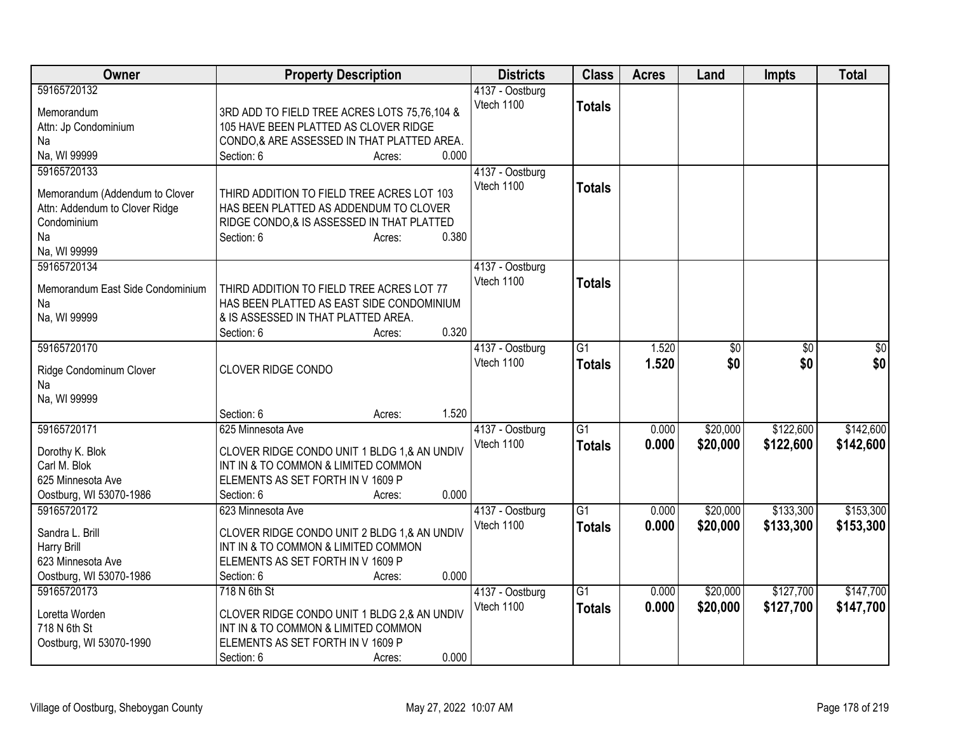| Owner                                                                                                                | <b>Property Description</b>                                                                                                                                                   | <b>Districts</b>              | <b>Class</b>                     | <b>Acres</b>   | Land                 | <b>Impts</b>           | <b>Total</b>           |
|----------------------------------------------------------------------------------------------------------------------|-------------------------------------------------------------------------------------------------------------------------------------------------------------------------------|-------------------------------|----------------------------------|----------------|----------------------|------------------------|------------------------|
| 59165720132<br>Memorandum<br>Attn: Jp Condominium<br>Na<br>Na, WI 99999                                              | 3RD ADD TO FIELD TREE ACRES LOTS 75,76,104 &<br>105 HAVE BEEN PLATTED AS CLOVER RIDGE<br>CONDO,& ARE ASSESSED IN THAT PLATTED AREA.<br>0.000<br>Section: 6<br>Acres:          | 4137 - Oostburg<br>Vtech 1100 | <b>Totals</b>                    |                |                      |                        |                        |
| 59165720133<br>Memorandum (Addendum to Clover<br>Attn: Addendum to Clover Ridge<br>Condominium<br>Na<br>Na, WI 99999 | THIRD ADDITION TO FIELD TREE ACRES LOT 103<br>HAS BEEN PLATTED AS ADDENDUM TO CLOVER<br>RIDGE CONDO,& IS ASSESSED IN THAT PLATTED<br>0.380<br>Section: 6<br>Acres:            | 4137 - Oostburg<br>Vtech 1100 | <b>Totals</b>                    |                |                      |                        |                        |
| 59165720134<br>Memorandum East Side Condominium<br>Na<br>Na, WI 99999                                                | THIRD ADDITION TO FIELD TREE ACRES LOT 77<br>HAS BEEN PLATTED AS EAST SIDE CONDOMINIUM<br>& IS ASSESSED IN THAT PLATTED AREA.<br>0.320<br>Section: 6<br>Acres:                | 4137 - Oostburg<br>Vtech 1100 | <b>Totals</b>                    |                |                      |                        |                        |
| 59165720170<br>Ridge Condominum Clover<br>Na<br>Na, WI 99999                                                         | CLOVER RIDGE CONDO<br>1.520<br>Section: 6<br>Acres:                                                                                                                           | 4137 - Oostburg<br>Vtech 1100 | $\overline{G1}$<br><b>Totals</b> | 1.520<br>1.520 | \$0<br>\$0           | \$0<br>\$0             | \$0<br>\$0             |
| 59165720171<br>Dorothy K. Blok<br>Carl M. Blok<br>625 Minnesota Ave<br>Oostburg, WI 53070-1986                       | 625 Minnesota Ave<br>CLOVER RIDGE CONDO UNIT 1 BLDG 1,& AN UNDIV<br>INT IN & TO COMMON & LIMITED COMMON<br>ELEMENTS AS SET FORTH IN V 1609 P<br>0.000<br>Section: 6<br>Acres: | 4137 - Oostburg<br>Vtech 1100 | $\overline{G1}$<br><b>Totals</b> | 0.000<br>0.000 | \$20,000<br>\$20,000 | \$122,600<br>\$122,600 | \$142,600<br>\$142,600 |
| 59165720172<br>Sandra L. Brill<br>Harry Brill<br>623 Minnesota Ave<br>Oostburg, WI 53070-1986                        | 623 Minnesota Ave<br>CLOVER RIDGE CONDO UNIT 2 BLDG 1,& AN UNDIV<br>INT IN & TO COMMON & LIMITED COMMON<br>ELEMENTS AS SET FORTH IN V 1609 P<br>0.000<br>Section: 6<br>Acres: | 4137 - Oostburg<br>Vtech 1100 | $\overline{G1}$<br><b>Totals</b> | 0.000<br>0.000 | \$20,000<br>\$20,000 | \$133,300<br>\$133,300 | \$153,300<br>\$153,300 |
| 59165720173<br>Loretta Worden<br>718 N 6th St<br>Oostburg, WI 53070-1990                                             | 718 N 6th St<br>CLOVER RIDGE CONDO UNIT 1 BLDG 2,& AN UNDIV<br>INT IN & TO COMMON & LIMITED COMMON<br>ELEMENTS AS SET FORTH IN V 1609 P<br>0.000<br>Section: 6<br>Acres:      | 4137 - Oostburg<br>Vtech 1100 | $\overline{G1}$<br><b>Totals</b> | 0.000<br>0.000 | \$20,000<br>\$20,000 | \$127,700<br>\$127,700 | \$147,700<br>\$147,700 |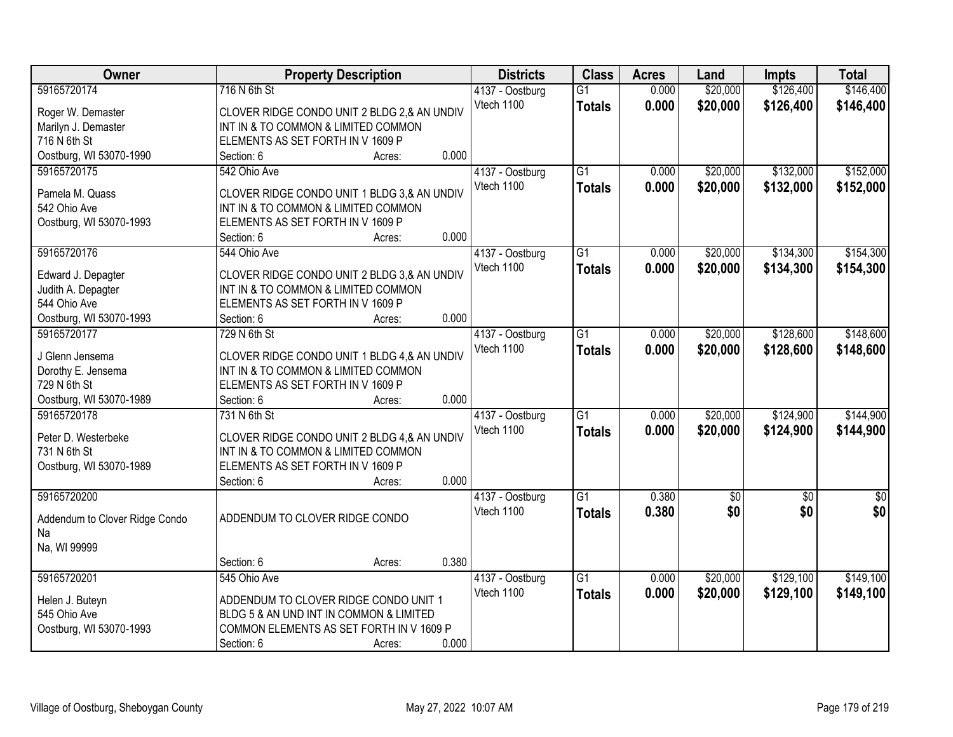| Owner                           | <b>Property Description</b>                                                      |                 | <b>Districts</b> | <b>Class</b>    | <b>Acres</b> | Land       | <b>Impts</b> | <b>Total</b>  |
|---------------------------------|----------------------------------------------------------------------------------|-----------------|------------------|-----------------|--------------|------------|--------------|---------------|
| 59165720174                     | 716 N 6th St                                                                     |                 | 4137 - Oostburg  | $\overline{G1}$ | 0.000        | \$20,000   | \$126,400    | \$146,400     |
| Roger W. Demaster               | CLOVER RIDGE CONDO UNIT 2 BLDG 2,& AN UNDIV                                      |                 | Vtech 1100       | <b>Totals</b>   | 0.000        | \$20,000   | \$126,400    | \$146,400     |
| Marilyn J. Demaster             | INT IN & TO COMMON & LIMITED COMMON                                              |                 |                  |                 |              |            |              |               |
| 716 N 6th St                    | ELEMENTS AS SET FORTH IN V 1609 P                                                |                 |                  |                 |              |            |              |               |
| Oostburg, WI 53070-1990         | Section: 6                                                                       | 0.000<br>Acres: |                  |                 |              |            |              |               |
| 59165720175                     | 542 Ohio Ave                                                                     |                 | 4137 - Oostburg  | $\overline{G1}$ | 0.000        | \$20,000   | \$132,000    | \$152,000     |
|                                 |                                                                                  |                 | Vtech 1100       | <b>Totals</b>   | 0.000        | \$20,000   | \$132,000    | \$152,000     |
| Pamela M. Quass                 | CLOVER RIDGE CONDO UNIT 1 BLDG 3,& AN UNDIV                                      |                 |                  |                 |              |            |              |               |
| 542 Ohio Ave                    | INT IN & TO COMMON & LIMITED COMMON                                              |                 |                  |                 |              |            |              |               |
| Oostburg, WI 53070-1993         | ELEMENTS AS SET FORTH IN V 1609 P                                                | 0.000           |                  |                 |              |            |              |               |
|                                 | Section: 6                                                                       | Acres:          |                  |                 |              |            |              |               |
| 59165720176                     | 544 Ohio Ave                                                                     |                 | 4137 - Oostburg  | $\overline{G1}$ | 0.000        | \$20,000   | \$134,300    | \$154,300     |
| Edward J. Depagter              | CLOVER RIDGE CONDO UNIT 2 BLDG 3,& AN UNDIV                                      |                 | Vtech 1100       | <b>Totals</b>   | 0.000        | \$20,000   | \$134,300    | \$154,300     |
| Judith A. Depagter              | INT IN & TO COMMON & LIMITED COMMON                                              |                 |                  |                 |              |            |              |               |
| 544 Ohio Ave                    | ELEMENTS AS SET FORTH IN V 1609 P                                                |                 |                  |                 |              |            |              |               |
| Oostburg, WI 53070-1993         | Section: 6                                                                       | 0.000<br>Acres: |                  |                 |              |            |              |               |
| 59165720177                     | 729 N 6th St                                                                     |                 | 4137 - Oostburg  | $\overline{G1}$ | 0.000        | \$20,000   | \$128,600    | \$148,600     |
| J Glenn Jensema                 | CLOVER RIDGE CONDO UNIT 1 BLDG 4,& AN UNDIV                                      |                 | Vtech 1100       | <b>Totals</b>   | 0.000        | \$20,000   | \$128,600    | \$148,600     |
| Dorothy E. Jensema              | INT IN & TO COMMON & LIMITED COMMON                                              |                 |                  |                 |              |            |              |               |
| 729 N 6th St                    | ELEMENTS AS SET FORTH IN V 1609 P                                                |                 |                  |                 |              |            |              |               |
| Oostburg, WI 53070-1989         | Section: 6                                                                       | 0.000<br>Acres: |                  |                 |              |            |              |               |
| 59165720178                     | 731 N 6th St                                                                     |                 | 4137 - Oostburg  | $\overline{G1}$ | 0.000        | \$20,000   | \$124,900    | \$144,900     |
|                                 |                                                                                  |                 | Vtech 1100       | <b>Totals</b>   | 0.000        | \$20,000   | \$124,900    | \$144,900     |
| Peter D. Westerbeke             | CLOVER RIDGE CONDO UNIT 2 BLDG 4,& AN UNDIV                                      |                 |                  |                 |              |            |              |               |
| 731 N 6th St                    | INT IN & TO COMMON & LIMITED COMMON                                              |                 |                  |                 |              |            |              |               |
| Oostburg, WI 53070-1989         | ELEMENTS AS SET FORTH IN V 1609 P                                                |                 |                  |                 |              |            |              |               |
|                                 | Section: 6                                                                       | 0.000<br>Acres: |                  |                 |              |            |              |               |
| 59165720200                     |                                                                                  |                 | 4137 - Oostburg  | G1              | 0.380        | $\sqrt{6}$ | $\sqrt{6}$   | $\frac{6}{3}$ |
| Addendum to Clover Ridge Condo  | ADDENDUM TO CLOVER RIDGE CONDO                                                   |                 | Vtech 1100       | <b>Totals</b>   | 0.380        | \$0        | \$0          | \$0           |
| Na                              |                                                                                  |                 |                  |                 |              |            |              |               |
| Na, WI 99999                    |                                                                                  |                 |                  |                 |              |            |              |               |
|                                 | Section: 6                                                                       | 0.380<br>Acres: |                  |                 |              |            |              |               |
| 59165720201                     | 545 Ohio Ave                                                                     |                 | 4137 - Oostburg  | $\overline{G1}$ | 0.000        | \$20,000   | \$129,100    | \$149,100     |
|                                 |                                                                                  |                 | Vtech 1100       | <b>Totals</b>   | 0.000        | \$20,000   | \$129,100    | \$149,100     |
| Helen J. Buteyn<br>545 Ohio Ave | ADDENDUM TO CLOVER RIDGE CONDO UNIT 1<br>BLDG 5 & AN UND INT IN COMMON & LIMITED |                 |                  |                 |              |            |              |               |
| Oostburg, WI 53070-1993         | COMMON ELEMENTS AS SET FORTH IN V 1609 P                                         |                 |                  |                 |              |            |              |               |
|                                 | Section: 6                                                                       | 0.000<br>Acres: |                  |                 |              |            |              |               |
|                                 |                                                                                  |                 |                  |                 |              |            |              |               |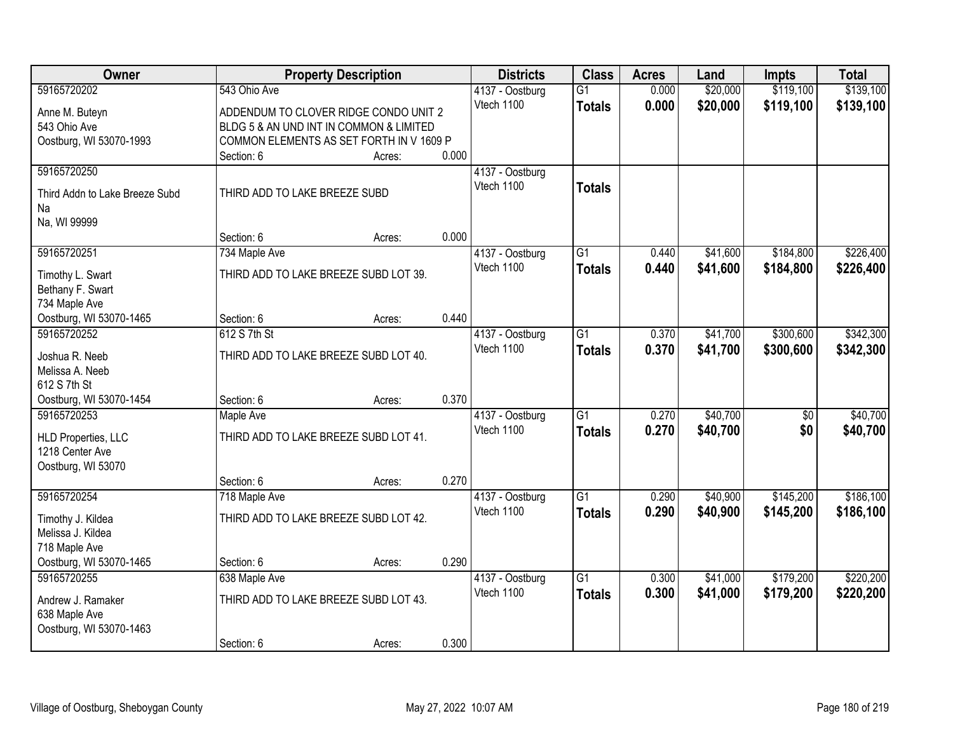| Owner                                |                                          | <b>Property Description</b> |       | <b>Districts</b>              | <b>Class</b>    | <b>Acres</b>   | Land                 | <b>Impts</b>    | <b>Total</b> |
|--------------------------------------|------------------------------------------|-----------------------------|-------|-------------------------------|-----------------|----------------|----------------------|-----------------|--------------|
| 59165720202                          | 543 Ohio Ave                             |                             |       | 4137 - Oostburg               | $\overline{G1}$ | 0.000          | \$20,000             | \$119,100       | \$139,100    |
| Anne M. Buteyn                       | ADDENDUM TO CLOVER RIDGE CONDO UNIT 2    |                             |       | Vtech 1100                    | <b>Totals</b>   | 0.000          | \$20,000             | \$119,100       | \$139,100    |
| 543 Ohio Ave                         | BLDG 5 & AN UND INT IN COMMON & LIMITED  |                             |       |                               |                 |                |                      |                 |              |
| Oostburg, WI 53070-1993              | COMMON ELEMENTS AS SET FORTH IN V 1609 P |                             |       |                               |                 |                |                      |                 |              |
|                                      | Section: 6                               | Acres:                      | 0.000 |                               |                 |                |                      |                 |              |
| 59165720250                          |                                          |                             |       | 4137 - Oostburg               |                 |                |                      |                 |              |
| Third Addn to Lake Breeze Subd       | THIRD ADD TO LAKE BREEZE SUBD            |                             |       | Vtech 1100                    | <b>Totals</b>   |                |                      |                 |              |
| Na                                   |                                          |                             |       |                               |                 |                |                      |                 |              |
| Na, WI 99999                         |                                          |                             |       |                               |                 |                |                      |                 |              |
|                                      | Section: 6                               | Acres:                      | 0.000 |                               |                 |                |                      |                 |              |
| 59165720251                          | 734 Maple Ave                            |                             |       | 4137 - Oostburg               | $\overline{G1}$ | 0.440          | \$41,600             | \$184,800       | \$226,400    |
|                                      | THIRD ADD TO LAKE BREEZE SUBD LOT 39.    |                             |       | Vtech 1100                    | <b>Totals</b>   | 0.440          | \$41,600             | \$184,800       | \$226,400    |
| Timothy L. Swart<br>Bethany F. Swart |                                          |                             |       |                               |                 |                |                      |                 |              |
| 734 Maple Ave                        |                                          |                             |       |                               |                 |                |                      |                 |              |
| Oostburg, WI 53070-1465              | Section: 6                               | Acres:                      | 0.440 |                               |                 |                |                      |                 |              |
| 59165720252                          | 612 S 7th St                             |                             |       | 4137 - Oostburg               | $\overline{G1}$ | 0.370          | \$41,700             | \$300,600       | \$342,300    |
|                                      |                                          |                             |       | Vtech 1100                    | <b>Totals</b>   | 0.370          | \$41,700             | \$300,600       | \$342,300    |
| Joshua R. Neeb                       | THIRD ADD TO LAKE BREEZE SUBD LOT 40.    |                             |       |                               |                 |                |                      |                 |              |
| Melissa A. Neeb<br>612 S 7th St      |                                          |                             |       |                               |                 |                |                      |                 |              |
| Oostburg, WI 53070-1454              | Section: 6                               | Acres:                      | 0.370 |                               |                 |                |                      |                 |              |
| 59165720253                          | <b>Maple Ave</b>                         |                             |       | 4137 - Oostburg               | $\overline{G1}$ | 0.270          | \$40,700             | $\overline{50}$ | \$40,700     |
|                                      |                                          |                             |       | Vtech 1100                    | <b>Totals</b>   | 0.270          | \$40,700             | \$0             | \$40,700     |
| <b>HLD Properties, LLC</b>           | THIRD ADD TO LAKE BREEZE SUBD LOT 41.    |                             |       |                               |                 |                |                      |                 |              |
| 1218 Center Ave                      |                                          |                             |       |                               |                 |                |                      |                 |              |
| Oostburg, WI 53070                   |                                          |                             |       |                               |                 |                |                      |                 |              |
| 59165720254                          | Section: 6                               | Acres:                      | 0.270 |                               | $\overline{G1}$ |                |                      |                 | \$186,100    |
|                                      | 718 Maple Ave                            |                             |       | 4137 - Oostburg<br>Vtech 1100 |                 | 0.290<br>0.290 | \$40,900<br>\$40,900 | \$145,200       |              |
| Timothy J. Kildea                    | THIRD ADD TO LAKE BREEZE SUBD LOT 42.    |                             |       |                               | <b>Totals</b>   |                |                      | \$145,200       | \$186,100    |
| Melissa J. Kildea                    |                                          |                             |       |                               |                 |                |                      |                 |              |
| 718 Maple Ave                        |                                          |                             |       |                               |                 |                |                      |                 |              |
| Oostburg, WI 53070-1465              | Section: 6                               | Acres:                      | 0.290 |                               |                 |                |                      |                 |              |
| 59165720255                          | 638 Maple Ave                            |                             |       | 4137 - Oostburg               | $\overline{G1}$ | 0.300          | \$41,000             | \$179,200       | \$220,200    |
| Andrew J. Ramaker                    | THIRD ADD TO LAKE BREEZE SUBD LOT 43.    |                             |       | Vtech 1100                    | <b>Totals</b>   | 0.300          | \$41,000             | \$179,200       | \$220,200    |
| 638 Maple Ave                        |                                          |                             |       |                               |                 |                |                      |                 |              |
| Oostburg, WI 53070-1463              |                                          |                             |       |                               |                 |                |                      |                 |              |
|                                      | Section: 6                               | Acres:                      | 0.300 |                               |                 |                |                      |                 |              |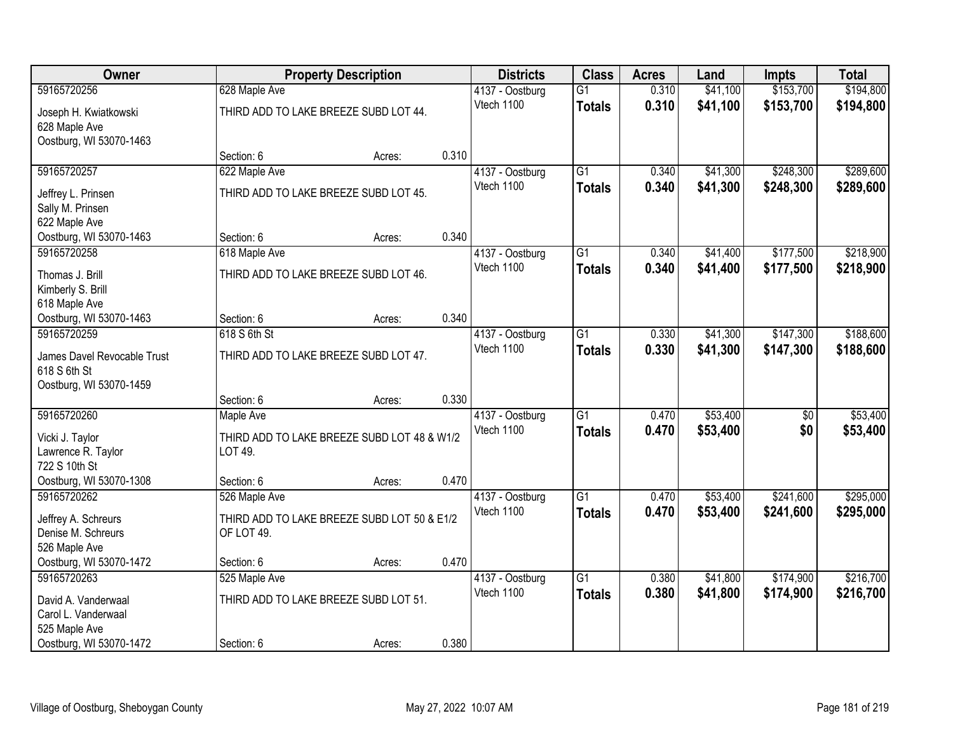| Owner                                       |                                             | <b>Property Description</b> |       | <b>Districts</b> | <b>Class</b>    | <b>Acres</b> | Land     | <b>Impts</b>    | <b>Total</b> |
|---------------------------------------------|---------------------------------------------|-----------------------------|-------|------------------|-----------------|--------------|----------|-----------------|--------------|
| 59165720256                                 | 628 Maple Ave                               |                             |       | 4137 - Oostburg  | $\overline{G1}$ | 0.310        | \$41,100 | \$153,700       | \$194,800    |
| Joseph H. Kwiatkowski                       | THIRD ADD TO LAKE BREEZE SUBD LOT 44.       |                             |       | Vtech 1100       | <b>Totals</b>   | 0.310        | \$41,100 | \$153,700       | \$194,800    |
| 628 Maple Ave                               |                                             |                             |       |                  |                 |              |          |                 |              |
| Oostburg, WI 53070-1463                     |                                             |                             |       |                  |                 |              |          |                 |              |
|                                             | Section: 6                                  | Acres:                      | 0.310 |                  |                 |              |          |                 |              |
| 59165720257                                 | 622 Maple Ave                               |                             |       | 4137 - Oostburg  | $\overline{G1}$ | 0.340        | \$41,300 | \$248,300       | \$289,600    |
| Jeffrey L. Prinsen                          | THIRD ADD TO LAKE BREEZE SUBD LOT 45.       |                             |       | Vtech 1100       | <b>Totals</b>   | 0.340        | \$41,300 | \$248,300       | \$289,600    |
| Sally M. Prinsen                            |                                             |                             |       |                  |                 |              |          |                 |              |
| 622 Maple Ave                               |                                             |                             |       |                  |                 |              |          |                 |              |
| Oostburg, WI 53070-1463                     | Section: 6                                  | Acres:                      | 0.340 |                  |                 |              |          |                 |              |
| 59165720258                                 | 618 Maple Ave                               |                             |       | 4137 - Oostburg  | G1              | 0.340        | \$41,400 | \$177,500       | \$218,900    |
| Thomas J. Brill                             | THIRD ADD TO LAKE BREEZE SUBD LOT 46.       |                             |       | Vtech 1100       | <b>Totals</b>   | 0.340        | \$41,400 | \$177,500       | \$218,900    |
| Kimberly S. Brill                           |                                             |                             |       |                  |                 |              |          |                 |              |
| 618 Maple Ave                               |                                             |                             |       |                  |                 |              |          |                 |              |
| Oostburg, WI 53070-1463                     | Section: 6                                  | Acres:                      | 0.340 |                  |                 |              |          |                 |              |
| 59165720259                                 | 618 S 6th St                                |                             |       | 4137 - Oostburg  | G1              | 0.330        | \$41,300 | \$147,300       | \$188,600    |
|                                             |                                             |                             |       | Vtech 1100       | <b>Totals</b>   | 0.330        | \$41,300 | \$147,300       | \$188,600    |
| James Davel Revocable Trust<br>618 S 6th St | THIRD ADD TO LAKE BREEZE SUBD LOT 47.       |                             |       |                  |                 |              |          |                 |              |
| Oostburg, WI 53070-1459                     |                                             |                             |       |                  |                 |              |          |                 |              |
|                                             | Section: 6                                  | Acres:                      | 0.330 |                  |                 |              |          |                 |              |
| 59165720260                                 | Maple Ave                                   |                             |       | 4137 - Oostburg  | $\overline{G1}$ | 0.470        | \$53,400 | $\overline{50}$ | \$53,400     |
|                                             |                                             |                             |       | Vtech 1100       | <b>Totals</b>   | 0.470        | \$53,400 | \$0             | \$53,400     |
| Vicki J. Taylor                             | THIRD ADD TO LAKE BREEZE SUBD LOT 48 & W1/2 |                             |       |                  |                 |              |          |                 |              |
| Lawrence R. Taylor                          | LOT 49.                                     |                             |       |                  |                 |              |          |                 |              |
| 722 S 10th St<br>Oostburg, WI 53070-1308    | Section: 6                                  |                             | 0.470 |                  |                 |              |          |                 |              |
| 59165720262                                 | 526 Maple Ave                               | Acres:                      |       | 4137 - Oostburg  | $\overline{G1}$ | 0.470        | \$53,400 | \$241,600       | \$295,000    |
|                                             |                                             |                             |       | Vtech 1100       | <b>Totals</b>   | 0.470        | \$53,400 | \$241,600       | \$295,000    |
| Jeffrey A. Schreurs                         | THIRD ADD TO LAKE BREEZE SUBD LOT 50 & E1/2 |                             |       |                  |                 |              |          |                 |              |
| Denise M. Schreurs                          | OF LOT 49.                                  |                             |       |                  |                 |              |          |                 |              |
| 526 Maple Ave                               |                                             |                             |       |                  |                 |              |          |                 |              |
| Oostburg, WI 53070-1472                     | Section: 6                                  | Acres:                      | 0.470 |                  |                 |              |          |                 |              |
| 59165720263                                 | 525 Maple Ave                               |                             |       | 4137 - Oostburg  | $\overline{G1}$ | 0.380        | \$41,800 | \$174,900       | \$216,700    |
| David A. Vanderwaal                         | THIRD ADD TO LAKE BREEZE SUBD LOT 51.       |                             |       | Vtech 1100       | <b>Totals</b>   | 0.380        | \$41,800 | \$174,900       | \$216,700    |
| Carol L. Vanderwaal                         |                                             |                             |       |                  |                 |              |          |                 |              |
| 525 Maple Ave                               |                                             |                             |       |                  |                 |              |          |                 |              |
| Oostburg, WI 53070-1472                     | Section: 6                                  | Acres:                      | 0.380 |                  |                 |              |          |                 |              |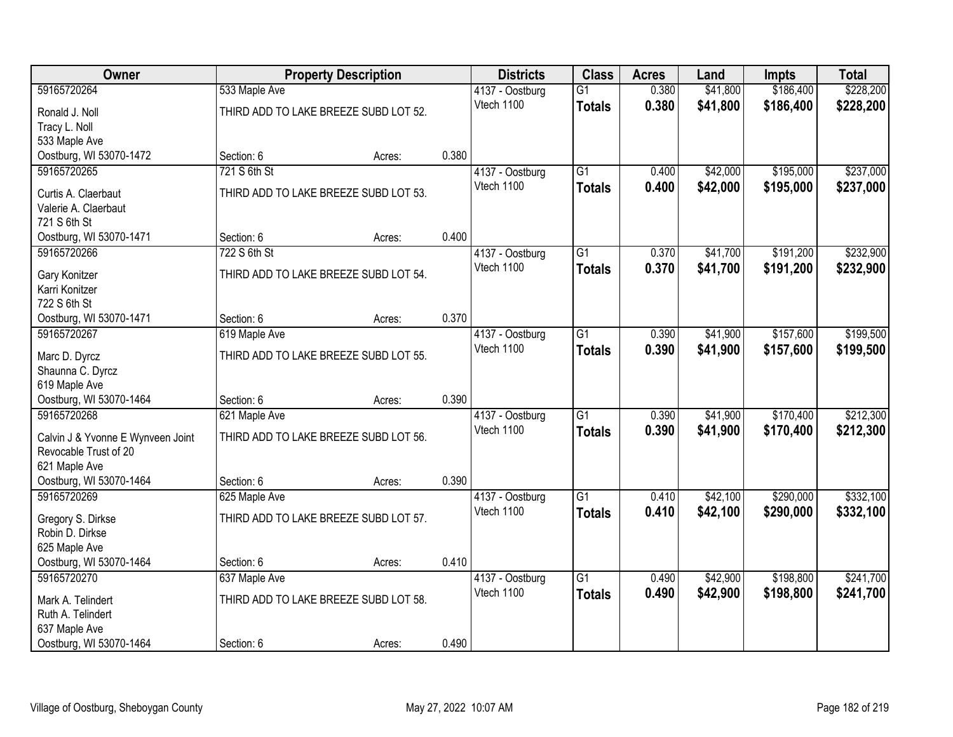| Owner                                  |                                       | <b>Property Description</b> |       | <b>Districts</b>              | <b>Class</b>    | <b>Acres</b> | Land     | <b>Impts</b> | <b>Total</b> |
|----------------------------------------|---------------------------------------|-----------------------------|-------|-------------------------------|-----------------|--------------|----------|--------------|--------------|
| 59165720264                            | 533 Maple Ave                         |                             |       | 4137 - Oostburg               | $\overline{G1}$ | 0.380        | \$41,800 | \$186,400    | \$228,200    |
| Ronald J. Noll                         | THIRD ADD TO LAKE BREEZE SUBD LOT 52. |                             |       | Vtech 1100                    | <b>Totals</b>   | 0.380        | \$41,800 | \$186,400    | \$228,200    |
| Tracy L. Noll                          |                                       |                             |       |                               |                 |              |          |              |              |
| 533 Maple Ave                          |                                       |                             |       |                               |                 |              |          |              |              |
| Oostburg, WI 53070-1472                | Section: 6                            | Acres:                      | 0.380 |                               |                 |              |          |              |              |
| 59165720265                            | 721 S 6th St                          |                             |       | 4137 - Oostburg               | $\overline{G1}$ | 0.400        | \$42,000 | \$195,000    | \$237,000    |
| Curtis A. Claerbaut                    | THIRD ADD TO LAKE BREEZE SUBD LOT 53. |                             |       | Vtech 1100                    | <b>Totals</b>   | 0.400        | \$42,000 | \$195,000    | \$237,000    |
| Valerie A. Claerbaut                   |                                       |                             |       |                               |                 |              |          |              |              |
| 721 S 6th St                           |                                       |                             |       |                               |                 |              |          |              |              |
| Oostburg, WI 53070-1471                | Section: 6                            | Acres:                      | 0.400 |                               |                 |              |          |              |              |
| 59165720266                            | 722 S 6th St                          |                             |       | 4137 - Oostburg               | G1              | 0.370        | \$41,700 | \$191,200    | \$232,900    |
|                                        | THIRD ADD TO LAKE BREEZE SUBD LOT 54. |                             |       | Vtech 1100                    | <b>Totals</b>   | 0.370        | \$41,700 | \$191,200    | \$232,900    |
| Gary Konitzer<br>Karri Konitzer        |                                       |                             |       |                               |                 |              |          |              |              |
| 722 S 6th St                           |                                       |                             |       |                               |                 |              |          |              |              |
| Oostburg, WI 53070-1471                | Section: 6                            | Acres:                      | 0.370 |                               |                 |              |          |              |              |
| 59165720267                            | 619 Maple Ave                         |                             |       | 4137 - Oostburg               | G1              | 0.390        | \$41,900 | \$157,600    | \$199,500    |
|                                        |                                       |                             |       | Vtech 1100                    | <b>Totals</b>   | 0.390        | \$41,900 | \$157,600    | \$199,500    |
| Marc D. Dyrcz                          | THIRD ADD TO LAKE BREEZE SUBD LOT 55. |                             |       |                               |                 |              |          |              |              |
| Shaunna C. Dyrcz<br>619 Maple Ave      |                                       |                             |       |                               |                 |              |          |              |              |
| Oostburg, WI 53070-1464                | Section: 6                            | Acres:                      | 0.390 |                               |                 |              |          |              |              |
| 59165720268                            | 621 Maple Ave                         |                             |       | 4137 - Oostburg               | $\overline{G1}$ | 0.390        | \$41,900 | \$170,400    | \$212,300    |
|                                        |                                       |                             |       | Vtech 1100                    | <b>Totals</b>   | 0.390        | \$41,900 | \$170,400    | \$212,300    |
| Calvin J & Yvonne E Wynveen Joint      | THIRD ADD TO LAKE BREEZE SUBD LOT 56. |                             |       |                               |                 |              |          |              |              |
| Revocable Trust of 20                  |                                       |                             |       |                               |                 |              |          |              |              |
| 621 Maple Ave                          |                                       |                             |       |                               |                 |              |          |              |              |
| Oostburg, WI 53070-1464<br>59165720269 | Section: 6                            | Acres:                      | 0.390 |                               | $\overline{G1}$ | 0.410        | \$42,100 | \$290,000    | \$332,100    |
|                                        | 625 Maple Ave                         |                             |       | 4137 - Oostburg<br>Vtech 1100 |                 | 0.410        |          |              |              |
| Gregory S. Dirkse                      | THIRD ADD TO LAKE BREEZE SUBD LOT 57. |                             |       |                               | <b>Totals</b>   |              | \$42,100 | \$290,000    | \$332,100    |
| Robin D. Dirkse                        |                                       |                             |       |                               |                 |              |          |              |              |
| 625 Maple Ave                          |                                       |                             |       |                               |                 |              |          |              |              |
| Oostburg, WI 53070-1464                | Section: 6                            | Acres:                      | 0.410 |                               |                 |              |          |              |              |
| 59165720270                            | 637 Maple Ave                         |                             |       | 4137 - Oostburg               | $\overline{G1}$ | 0.490        | \$42,900 | \$198,800    | \$241,700    |
| Mark A. Telindert                      | THIRD ADD TO LAKE BREEZE SUBD LOT 58. |                             |       | Vtech 1100                    | <b>Totals</b>   | 0.490        | \$42,900 | \$198,800    | \$241,700    |
| Ruth A. Telindert                      |                                       |                             |       |                               |                 |              |          |              |              |
| 637 Maple Ave                          |                                       |                             |       |                               |                 |              |          |              |              |
| Oostburg, WI 53070-1464                | Section: 6                            | Acres:                      | 0.490 |                               |                 |              |          |              |              |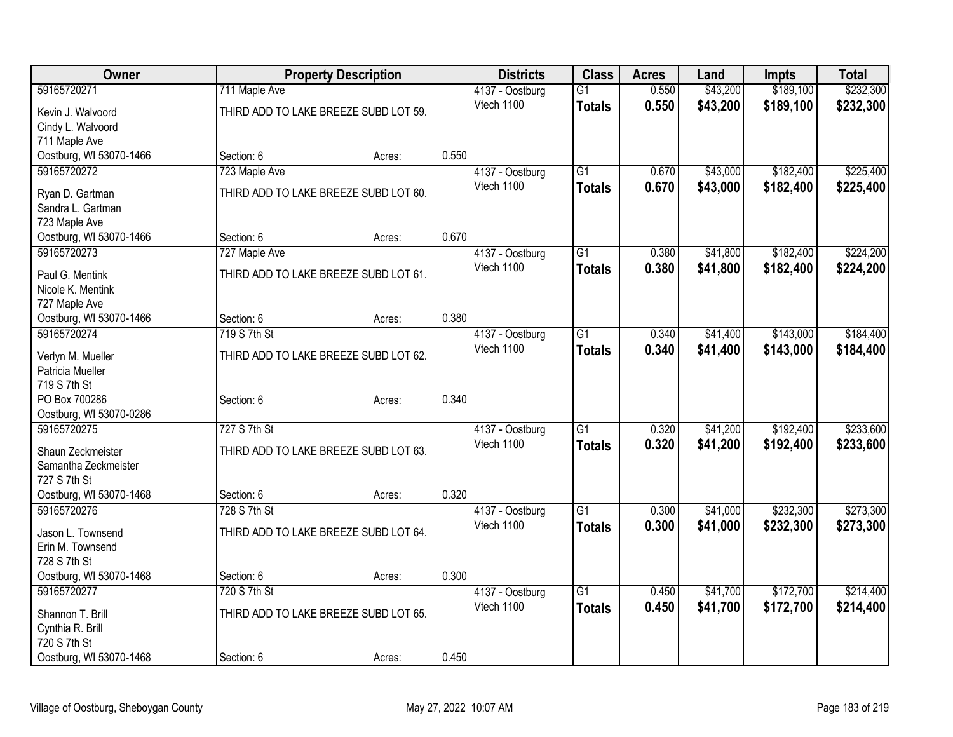| <b>Owner</b>            |                                       | <b>Property Description</b> |       |                 | <b>Class</b>    | <b>Acres</b> | Land     | <b>Impts</b> | <b>Total</b> |
|-------------------------|---------------------------------------|-----------------------------|-------|-----------------|-----------------|--------------|----------|--------------|--------------|
| 59165720271             | 711 Maple Ave                         |                             |       | 4137 - Oostburg | $\overline{G1}$ | 0.550        | \$43,200 | \$189,100    | \$232,300    |
| Kevin J. Walvoord       | THIRD ADD TO LAKE BREEZE SUBD LOT 59. |                             |       | Vtech 1100      | <b>Totals</b>   | 0.550        | \$43,200 | \$189,100    | \$232,300    |
| Cindy L. Walvoord       |                                       |                             |       |                 |                 |              |          |              |              |
| 711 Maple Ave           |                                       |                             |       |                 |                 |              |          |              |              |
| Oostburg, WI 53070-1466 | Section: 6                            | Acres:                      | 0.550 |                 |                 |              |          |              |              |
| 59165720272             | 723 Maple Ave                         |                             |       | 4137 - Oostburg | $\overline{G1}$ | 0.670        | \$43,000 | \$182,400    | \$225,400    |
| Ryan D. Gartman         | THIRD ADD TO LAKE BREEZE SUBD LOT 60. |                             |       | Vtech 1100      | <b>Totals</b>   | 0.670        | \$43,000 | \$182,400    | \$225,400    |
| Sandra L. Gartman       |                                       |                             |       |                 |                 |              |          |              |              |
| 723 Maple Ave           |                                       |                             |       |                 |                 |              |          |              |              |
| Oostburg, WI 53070-1466 | Section: 6                            | Acres:                      | 0.670 |                 |                 |              |          |              |              |
| 59165720273             | 727 Maple Ave                         |                             |       | 4137 - Oostburg | $\overline{G1}$ | 0.380        | \$41,800 | \$182,400    | \$224,200    |
| Paul G. Mentink         | THIRD ADD TO LAKE BREEZE SUBD LOT 61. |                             |       | Vtech 1100      | <b>Totals</b>   | 0.380        | \$41,800 | \$182,400    | \$224,200    |
| Nicole K. Mentink       |                                       |                             |       |                 |                 |              |          |              |              |
| 727 Maple Ave           |                                       |                             |       |                 |                 |              |          |              |              |
| Oostburg, WI 53070-1466 | Section: 6                            | Acres:                      | 0.380 |                 |                 |              |          |              |              |
| 59165720274             | 719 S 7th St                          |                             |       | 4137 - Oostburg | $\overline{G1}$ | 0.340        | \$41,400 | \$143,000    | \$184,400    |
| Verlyn M. Mueller       | THIRD ADD TO LAKE BREEZE SUBD LOT 62. |                             |       | Vtech 1100      | <b>Totals</b>   | 0.340        | \$41,400 | \$143,000    | \$184,400    |
| Patricia Mueller        |                                       |                             |       |                 |                 |              |          |              |              |
| 719 S 7th St            |                                       |                             |       |                 |                 |              |          |              |              |
| PO Box 700286           | Section: 6                            | Acres:                      | 0.340 |                 |                 |              |          |              |              |
| Oostburg, WI 53070-0286 |                                       |                             |       |                 |                 |              |          |              |              |
| 59165720275             | 727 S 7th St                          |                             |       | 4137 - Oostburg | G1              | 0.320        | \$41,200 | \$192,400    | \$233,600    |
| Shaun Zeckmeister       | THIRD ADD TO LAKE BREEZE SUBD LOT 63. |                             |       | Vtech 1100      | <b>Totals</b>   | 0.320        | \$41,200 | \$192,400    | \$233,600    |
| Samantha Zeckmeister    |                                       |                             |       |                 |                 |              |          |              |              |
| 727 S 7th St            |                                       |                             |       |                 |                 |              |          |              |              |
| Oostburg, WI 53070-1468 | Section: 6                            | Acres:                      | 0.320 |                 |                 |              |          |              |              |
| 59165720276             | 728 S 7th St                          |                             |       | 4137 - Oostburg | $\overline{G1}$ | 0.300        | \$41,000 | \$232,300    | \$273,300    |
| Jason L. Townsend       | THIRD ADD TO LAKE BREEZE SUBD LOT 64. |                             |       | Vtech 1100      | <b>Totals</b>   | 0.300        | \$41,000 | \$232,300    | \$273,300    |
| Erin M. Townsend        |                                       |                             |       |                 |                 |              |          |              |              |
| 728 S 7th St            |                                       |                             |       |                 |                 |              |          |              |              |
| Oostburg, WI 53070-1468 | Section: 6                            | Acres:                      | 0.300 |                 |                 |              |          |              |              |
| 59165720277             | 720 S 7th St                          |                             |       | 4137 - Oostburg | $\overline{G1}$ | 0.450        | \$41,700 | \$172,700    | \$214,400    |
| Shannon T. Brill        | THIRD ADD TO LAKE BREEZE SUBD LOT 65. |                             |       | Vtech 1100      | <b>Totals</b>   | 0.450        | \$41,700 | \$172,700    | \$214,400    |
| Cynthia R. Brill        |                                       |                             |       |                 |                 |              |          |              |              |
| 720 S 7th St            |                                       |                             |       |                 |                 |              |          |              |              |
| Oostburg, WI 53070-1468 | Section: 6                            | Acres:                      | 0.450 |                 |                 |              |          |              |              |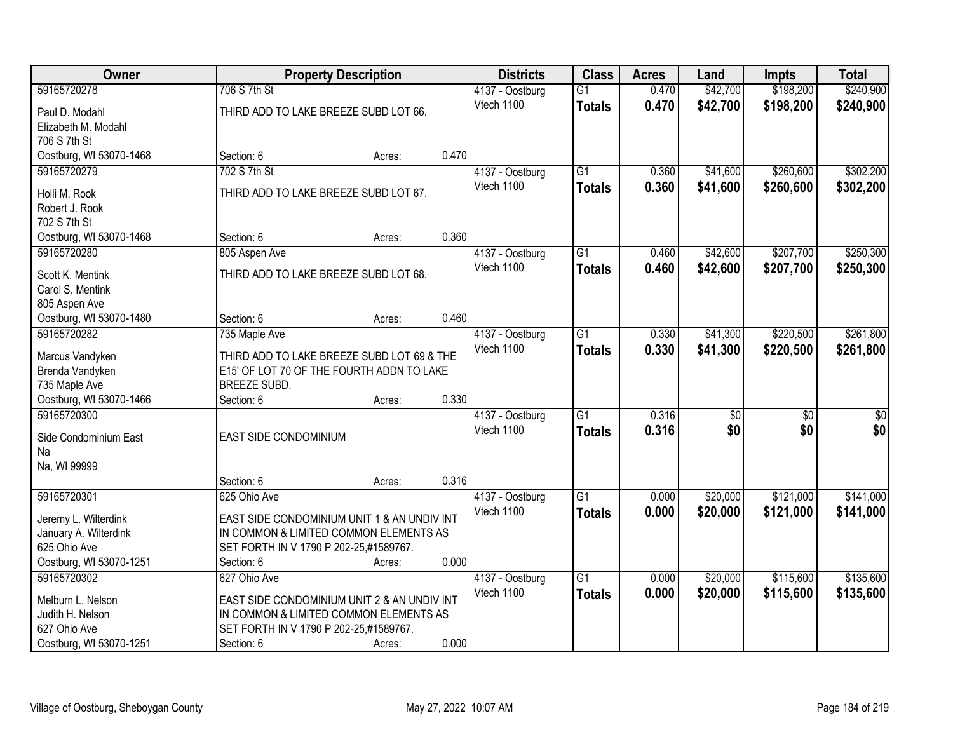| Owner                          |                                             | <b>Property Description</b> |       |                               | <b>Class</b>    | <b>Acres</b> | Land            | <b>Impts</b>    | <b>Total</b>    |
|--------------------------------|---------------------------------------------|-----------------------------|-------|-------------------------------|-----------------|--------------|-----------------|-----------------|-----------------|
| 59165720278                    | 706 S 7th St                                |                             |       | 4137 - Oostburg               | $\overline{G1}$ | 0.470        | \$42,700        | \$198,200       | \$240,900       |
| Paul D. Modahl                 | THIRD ADD TO LAKE BREEZE SUBD LOT 66.       |                             |       | Vtech 1100                    | <b>Totals</b>   | 0.470        | \$42,700        | \$198,200       | \$240,900       |
| Elizabeth M. Modahl            |                                             |                             |       |                               |                 |              |                 |                 |                 |
| 706 S 7th St                   |                                             |                             |       |                               |                 |              |                 |                 |                 |
| Oostburg, WI 53070-1468        | Section: 6                                  | Acres:                      | 0.470 |                               |                 |              |                 |                 |                 |
| 59165720279                    | 702 S 7th St                                |                             |       | 4137 - Oostburg               | $\overline{G1}$ | 0.360        | \$41,600        | \$260,600       | \$302,200       |
|                                |                                             |                             |       | Vtech 1100                    | <b>Totals</b>   | 0.360        | \$41,600        | \$260,600       | \$302,200       |
| Holli M. Rook                  | THIRD ADD TO LAKE BREEZE SUBD LOT 67.       |                             |       |                               |                 |              |                 |                 |                 |
| Robert J. Rook<br>702 S 7th St |                                             |                             |       |                               |                 |              |                 |                 |                 |
| Oostburg, WI 53070-1468        | Section: 6                                  | Acres:                      | 0.360 |                               |                 |              |                 |                 |                 |
| 59165720280                    |                                             |                             |       |                               | G1              | 0.460        | \$42,600        | \$207,700       | \$250,300       |
|                                | 805 Aspen Ave                               |                             |       | 4137 - Oostburg<br>Vtech 1100 |                 |              |                 |                 |                 |
| Scott K. Mentink               | THIRD ADD TO LAKE BREEZE SUBD LOT 68.       |                             |       |                               | <b>Totals</b>   | 0.460        | \$42,600        | \$207,700       | \$250,300       |
| Carol S. Mentink               |                                             |                             |       |                               |                 |              |                 |                 |                 |
| 805 Aspen Ave                  |                                             |                             |       |                               |                 |              |                 |                 |                 |
| Oostburg, WI 53070-1480        | Section: 6                                  | Acres:                      | 0.460 |                               |                 |              |                 |                 |                 |
| 59165720282                    | 735 Maple Ave                               |                             |       | 4137 - Oostburg               | $\overline{G1}$ | 0.330        | \$41,300        | \$220,500       | \$261,800       |
| Marcus Vandyken                | THIRD ADD TO LAKE BREEZE SUBD LOT 69 & THE  |                             |       | Vtech 1100                    | <b>Totals</b>   | 0.330        | \$41,300        | \$220,500       | \$261,800       |
| Brenda Vandyken                | E15' OF LOT 70 OF THE FOURTH ADDN TO LAKE   |                             |       |                               |                 |              |                 |                 |                 |
| 735 Maple Ave                  | BREEZE SUBD.                                |                             |       |                               |                 |              |                 |                 |                 |
| Oostburg, WI 53070-1466        | Section: 6                                  | Acres:                      | 0.330 |                               |                 |              |                 |                 |                 |
| 59165720300                    |                                             |                             |       | 4137 - Oostburg               | $\overline{G1}$ | 0.316        | $\overline{50}$ | $\overline{50}$ | $\overline{50}$ |
|                                |                                             |                             |       | Vtech 1100                    | <b>Totals</b>   | 0.316        | \$0             | \$0             | \$0             |
| Side Condominium East          | EAST SIDE CONDOMINIUM                       |                             |       |                               |                 |              |                 |                 |                 |
| Na                             |                                             |                             |       |                               |                 |              |                 |                 |                 |
| Na, WI 99999                   |                                             |                             |       |                               |                 |              |                 |                 |                 |
|                                | Section: 6                                  | Acres:                      | 0.316 |                               |                 |              |                 |                 |                 |
| 59165720301                    | 625 Ohio Ave                                |                             |       | 4137 - Oostburg               | $\overline{G1}$ | 0.000        | \$20,000        | \$121,000       | \$141,000       |
| Jeremy L. Wilterdink           | EAST SIDE CONDOMINIUM UNIT 1 & AN UNDIV INT |                             |       | Vtech 1100                    | <b>Totals</b>   | 0.000        | \$20,000        | \$121,000       | \$141,000       |
| January A. Wilterdink          | IN COMMON & LIMITED COMMON ELEMENTS AS      |                             |       |                               |                 |              |                 |                 |                 |
| 625 Ohio Ave                   | SET FORTH IN V 1790 P 202-25,#1589767.      |                             |       |                               |                 |              |                 |                 |                 |
| Oostburg, WI 53070-1251        | Section: 6                                  | Acres:                      | 0.000 |                               |                 |              |                 |                 |                 |
| 59165720302                    | 627 Ohio Ave                                |                             |       | 4137 - Oostburg               | $\overline{G1}$ | 0.000        | \$20,000        | \$115,600       | \$135,600       |
| Melburn L. Nelson              | EAST SIDE CONDOMINIUM UNIT 2 & AN UNDIV INT |                             |       | Vtech 1100                    | <b>Totals</b>   | 0.000        | \$20,000        | \$115,600       | \$135,600       |
| Judith H. Nelson               | IN COMMON & LIMITED COMMON ELEMENTS AS      |                             |       |                               |                 |              |                 |                 |                 |
| 627 Ohio Ave                   | SET FORTH IN V 1790 P 202-25,#1589767.      |                             |       |                               |                 |              |                 |                 |                 |
| Oostburg, WI 53070-1251        | Section: 6                                  | Acres:                      | 0.000 |                               |                 |              |                 |                 |                 |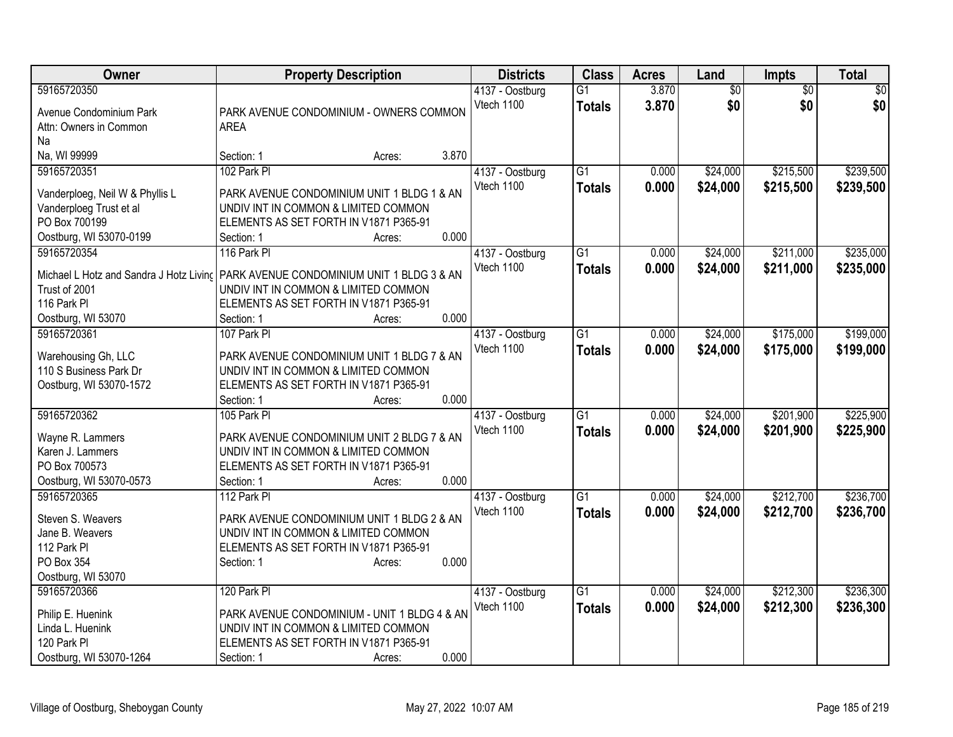| 3.870<br>59165720350<br>$\overline{G1}$<br>$\overline{60}$<br>$\overline{50}$<br>$\overline{50}$<br>4137 - Oostburg<br>\$0<br>\$0<br>Vtech 1100<br>3.870<br>\$0<br><b>Totals</b><br>Avenue Condominium Park<br>PARK AVENUE CONDOMINIUM - OWNERS COMMON<br>Attn: Owners in Common<br><b>AREA</b><br>Na<br>Na, WI 99999<br>3.870<br>Section: 1<br>Acres:<br>59165720351<br>102 Park Pl<br>$\overline{G1}$<br>\$215,500<br>\$239,500<br>4137 - Oostburg<br>\$24,000<br>0.000<br>0.000<br>Vtech 1100<br>\$24,000<br>\$215,500<br>\$239,500<br><b>Totals</b><br>PARK AVENUE CONDOMINIUM UNIT 1 BLDG 1 & AN<br>Vanderploeg, Neil W & Phyllis L<br>UNDIV INT IN COMMON & LIMITED COMMON<br>Vanderploeg Trust et al<br>PO Box 700199<br>ELEMENTS AS SET FORTH IN V1871 P365-91<br>0.000<br>Oostburg, WI 53070-0199<br>Section: 1<br>Acres:<br>116 Park Pl<br>$\overline{G1}$<br>\$24,000<br>\$211,000<br>\$235,000<br>59165720354<br>0.000<br>4137 - Oostburg<br>Vtech 1100<br>0.000<br>\$24,000<br>\$211,000<br>\$235,000<br><b>Totals</b><br>Michael L Hotz and Sandra J Hotz Livinc   PARK AVENUE CONDOMINIUM UNIT 1 BLDG 3 & AN<br>Trust of 2001<br>UNDIV INT IN COMMON & LIMITED COMMON<br>116 Park PI<br>ELEMENTS AS SET FORTH IN V1871 P365-91<br>0.000<br>Oostburg, WI 53070<br>Section: 1<br>Acres:<br>\$175,000<br>59165720361<br>107 Park PI<br>$\overline{G1}$<br>\$24,000<br>4137 - Oostburg<br>0.000<br>Vtech 1100<br>0.000<br>\$24,000<br>\$175,000<br><b>Totals</b><br>PARK AVENUE CONDOMINIUM UNIT 1 BLDG 7 & AN<br>Warehousing Gh, LLC<br>110 S Business Park Dr<br>UNDIV INT IN COMMON & LIMITED COMMON<br>Oostburg, WI 53070-1572<br>ELEMENTS AS SET FORTH IN V1871 P365-91 | Owner | <b>Property Description</b> |       | <b>Districts</b> | <b>Class</b> | <b>Acres</b> | Land | Impts | <b>Total</b> |
|-----------------------------------------------------------------------------------------------------------------------------------------------------------------------------------------------------------------------------------------------------------------------------------------------------------------------------------------------------------------------------------------------------------------------------------------------------------------------------------------------------------------------------------------------------------------------------------------------------------------------------------------------------------------------------------------------------------------------------------------------------------------------------------------------------------------------------------------------------------------------------------------------------------------------------------------------------------------------------------------------------------------------------------------------------------------------------------------------------------------------------------------------------------------------------------------------------------------------------------------------------------------------------------------------------------------------------------------------------------------------------------------------------------------------------------------------------------------------------------------------------------------------------------------------------------------------------------------------------------------------------------------------------------------------------------------|-------|-----------------------------|-------|------------------|--------------|--------------|------|-------|--------------|
|                                                                                                                                                                                                                                                                                                                                                                                                                                                                                                                                                                                                                                                                                                                                                                                                                                                                                                                                                                                                                                                                                                                                                                                                                                                                                                                                                                                                                                                                                                                                                                                                                                                                                         |       |                             |       |                  |              |              |      |       |              |
|                                                                                                                                                                                                                                                                                                                                                                                                                                                                                                                                                                                                                                                                                                                                                                                                                                                                                                                                                                                                                                                                                                                                                                                                                                                                                                                                                                                                                                                                                                                                                                                                                                                                                         |       |                             |       |                  |              |              |      |       |              |
|                                                                                                                                                                                                                                                                                                                                                                                                                                                                                                                                                                                                                                                                                                                                                                                                                                                                                                                                                                                                                                                                                                                                                                                                                                                                                                                                                                                                                                                                                                                                                                                                                                                                                         |       |                             |       |                  |              |              |      |       |              |
|                                                                                                                                                                                                                                                                                                                                                                                                                                                                                                                                                                                                                                                                                                                                                                                                                                                                                                                                                                                                                                                                                                                                                                                                                                                                                                                                                                                                                                                                                                                                                                                                                                                                                         |       |                             |       |                  |              |              |      |       |              |
|                                                                                                                                                                                                                                                                                                                                                                                                                                                                                                                                                                                                                                                                                                                                                                                                                                                                                                                                                                                                                                                                                                                                                                                                                                                                                                                                                                                                                                                                                                                                                                                                                                                                                         |       |                             |       |                  |              |              |      |       |              |
|                                                                                                                                                                                                                                                                                                                                                                                                                                                                                                                                                                                                                                                                                                                                                                                                                                                                                                                                                                                                                                                                                                                                                                                                                                                                                                                                                                                                                                                                                                                                                                                                                                                                                         |       |                             |       |                  |              |              |      |       |              |
|                                                                                                                                                                                                                                                                                                                                                                                                                                                                                                                                                                                                                                                                                                                                                                                                                                                                                                                                                                                                                                                                                                                                                                                                                                                                                                                                                                                                                                                                                                                                                                                                                                                                                         |       |                             |       |                  |              |              |      |       |              |
|                                                                                                                                                                                                                                                                                                                                                                                                                                                                                                                                                                                                                                                                                                                                                                                                                                                                                                                                                                                                                                                                                                                                                                                                                                                                                                                                                                                                                                                                                                                                                                                                                                                                                         |       |                             |       |                  |              |              |      |       |              |
|                                                                                                                                                                                                                                                                                                                                                                                                                                                                                                                                                                                                                                                                                                                                                                                                                                                                                                                                                                                                                                                                                                                                                                                                                                                                                                                                                                                                                                                                                                                                                                                                                                                                                         |       |                             |       |                  |              |              |      |       |              |
|                                                                                                                                                                                                                                                                                                                                                                                                                                                                                                                                                                                                                                                                                                                                                                                                                                                                                                                                                                                                                                                                                                                                                                                                                                                                                                                                                                                                                                                                                                                                                                                                                                                                                         |       |                             |       |                  |              |              |      |       |              |
|                                                                                                                                                                                                                                                                                                                                                                                                                                                                                                                                                                                                                                                                                                                                                                                                                                                                                                                                                                                                                                                                                                                                                                                                                                                                                                                                                                                                                                                                                                                                                                                                                                                                                         |       |                             |       |                  |              |              |      |       |              |
|                                                                                                                                                                                                                                                                                                                                                                                                                                                                                                                                                                                                                                                                                                                                                                                                                                                                                                                                                                                                                                                                                                                                                                                                                                                                                                                                                                                                                                                                                                                                                                                                                                                                                         |       |                             |       |                  |              |              |      |       |              |
|                                                                                                                                                                                                                                                                                                                                                                                                                                                                                                                                                                                                                                                                                                                                                                                                                                                                                                                                                                                                                                                                                                                                                                                                                                                                                                                                                                                                                                                                                                                                                                                                                                                                                         |       |                             |       |                  |              |              |      |       |              |
| \$199,000<br>\$199,000                                                                                                                                                                                                                                                                                                                                                                                                                                                                                                                                                                                                                                                                                                                                                                                                                                                                                                                                                                                                                                                                                                                                                                                                                                                                                                                                                                                                                                                                                                                                                                                                                                                                  |       |                             |       |                  |              |              |      |       |              |
|                                                                                                                                                                                                                                                                                                                                                                                                                                                                                                                                                                                                                                                                                                                                                                                                                                                                                                                                                                                                                                                                                                                                                                                                                                                                                                                                                                                                                                                                                                                                                                                                                                                                                         |       |                             |       |                  |              |              |      |       |              |
|                                                                                                                                                                                                                                                                                                                                                                                                                                                                                                                                                                                                                                                                                                                                                                                                                                                                                                                                                                                                                                                                                                                                                                                                                                                                                                                                                                                                                                                                                                                                                                                                                                                                                         |       |                             |       |                  |              |              |      |       |              |
|                                                                                                                                                                                                                                                                                                                                                                                                                                                                                                                                                                                                                                                                                                                                                                                                                                                                                                                                                                                                                                                                                                                                                                                                                                                                                                                                                                                                                                                                                                                                                                                                                                                                                         |       |                             |       |                  |              |              |      |       |              |
|                                                                                                                                                                                                                                                                                                                                                                                                                                                                                                                                                                                                                                                                                                                                                                                                                                                                                                                                                                                                                                                                                                                                                                                                                                                                                                                                                                                                                                                                                                                                                                                                                                                                                         |       |                             |       |                  |              |              |      |       |              |
|                                                                                                                                                                                                                                                                                                                                                                                                                                                                                                                                                                                                                                                                                                                                                                                                                                                                                                                                                                                                                                                                                                                                                                                                                                                                                                                                                                                                                                                                                                                                                                                                                                                                                         |       |                             |       |                  |              |              |      |       |              |
|                                                                                                                                                                                                                                                                                                                                                                                                                                                                                                                                                                                                                                                                                                                                                                                                                                                                                                                                                                                                                                                                                                                                                                                                                                                                                                                                                                                                                                                                                                                                                                                                                                                                                         |       |                             |       |                  |              |              |      |       |              |
|                                                                                                                                                                                                                                                                                                                                                                                                                                                                                                                                                                                                                                                                                                                                                                                                                                                                                                                                                                                                                                                                                                                                                                                                                                                                                                                                                                                                                                                                                                                                                                                                                                                                                         |       | Section: 1<br>Acres:        | 0.000 |                  |              |              |      |       |              |
| \$225,900<br>59165720362<br>$\overline{G1}$<br>\$24,000<br>\$201,900<br>105 Park Pl<br>0.000<br>4137 - Oostburg                                                                                                                                                                                                                                                                                                                                                                                                                                                                                                                                                                                                                                                                                                                                                                                                                                                                                                                                                                                                                                                                                                                                                                                                                                                                                                                                                                                                                                                                                                                                                                         |       |                             |       |                  |              |              |      |       |              |
| Vtech 1100<br>0.000<br>\$24,000<br>\$201,900<br>\$225,900<br><b>Totals</b><br>PARK AVENUE CONDOMINIUM UNIT 2 BLDG 7 & AN<br>Wayne R. Lammers                                                                                                                                                                                                                                                                                                                                                                                                                                                                                                                                                                                                                                                                                                                                                                                                                                                                                                                                                                                                                                                                                                                                                                                                                                                                                                                                                                                                                                                                                                                                            |       |                             |       |                  |              |              |      |       |              |
| Karen J. Lammers<br>UNDIV INT IN COMMON & LIMITED COMMON                                                                                                                                                                                                                                                                                                                                                                                                                                                                                                                                                                                                                                                                                                                                                                                                                                                                                                                                                                                                                                                                                                                                                                                                                                                                                                                                                                                                                                                                                                                                                                                                                                |       |                             |       |                  |              |              |      |       |              |
| PO Box 700573<br>ELEMENTS AS SET FORTH IN V1871 P365-91                                                                                                                                                                                                                                                                                                                                                                                                                                                                                                                                                                                                                                                                                                                                                                                                                                                                                                                                                                                                                                                                                                                                                                                                                                                                                                                                                                                                                                                                                                                                                                                                                                 |       |                             |       |                  |              |              |      |       |              |
| 0.000<br>Oostburg, WI 53070-0573<br>Section: 1<br>Acres:                                                                                                                                                                                                                                                                                                                                                                                                                                                                                                                                                                                                                                                                                                                                                                                                                                                                                                                                                                                                                                                                                                                                                                                                                                                                                                                                                                                                                                                                                                                                                                                                                                |       |                             |       |                  |              |              |      |       |              |
| \$212,700<br>\$236,700<br>59165720365<br>$\overline{G1}$<br>\$24,000<br>112 Park PI<br>4137 - Oostburg<br>0.000                                                                                                                                                                                                                                                                                                                                                                                                                                                                                                                                                                                                                                                                                                                                                                                                                                                                                                                                                                                                                                                                                                                                                                                                                                                                                                                                                                                                                                                                                                                                                                         |       |                             |       |                  |              |              |      |       |              |
| 0.000<br>Vtech 1100<br><b>Totals</b><br>\$24,000<br>\$212,700<br>\$236,700<br>Steven S. Weavers<br>PARK AVENUE CONDOMINIUM UNIT 1 BLDG 2 & AN                                                                                                                                                                                                                                                                                                                                                                                                                                                                                                                                                                                                                                                                                                                                                                                                                                                                                                                                                                                                                                                                                                                                                                                                                                                                                                                                                                                                                                                                                                                                           |       |                             |       |                  |              |              |      |       |              |
| UNDIV INT IN COMMON & LIMITED COMMON<br>Jane B. Weavers                                                                                                                                                                                                                                                                                                                                                                                                                                                                                                                                                                                                                                                                                                                                                                                                                                                                                                                                                                                                                                                                                                                                                                                                                                                                                                                                                                                                                                                                                                                                                                                                                                 |       |                             |       |                  |              |              |      |       |              |
| 112 Park PI<br>ELEMENTS AS SET FORTH IN V1871 P365-91                                                                                                                                                                                                                                                                                                                                                                                                                                                                                                                                                                                                                                                                                                                                                                                                                                                                                                                                                                                                                                                                                                                                                                                                                                                                                                                                                                                                                                                                                                                                                                                                                                   |       |                             |       |                  |              |              |      |       |              |
| 0.000<br>PO Box 354<br>Section: 1<br>Acres:                                                                                                                                                                                                                                                                                                                                                                                                                                                                                                                                                                                                                                                                                                                                                                                                                                                                                                                                                                                                                                                                                                                                                                                                                                                                                                                                                                                                                                                                                                                                                                                                                                             |       |                             |       |                  |              |              |      |       |              |
| Oostburg, WI 53070                                                                                                                                                                                                                                                                                                                                                                                                                                                                                                                                                                                                                                                                                                                                                                                                                                                                                                                                                                                                                                                                                                                                                                                                                                                                                                                                                                                                                                                                                                                                                                                                                                                                      |       |                             |       |                  |              |              |      |       |              |
| 120 Park Pl<br>$\overline{G1}$<br>\$24,000<br>\$212,300<br>\$236,300<br>59165720366<br>0.000<br>4137 - Oostburg                                                                                                                                                                                                                                                                                                                                                                                                                                                                                                                                                                                                                                                                                                                                                                                                                                                                                                                                                                                                                                                                                                                                                                                                                                                                                                                                                                                                                                                                                                                                                                         |       |                             |       |                  |              |              |      |       |              |
| Vtech 1100<br>0.000<br><b>Totals</b><br>\$24,000<br>\$212,300<br>\$236,300                                                                                                                                                                                                                                                                                                                                                                                                                                                                                                                                                                                                                                                                                                                                                                                                                                                                                                                                                                                                                                                                                                                                                                                                                                                                                                                                                                                                                                                                                                                                                                                                              |       |                             |       |                  |              |              |      |       |              |
| PARK AVENUE CONDOMINIUM - UNIT 1 BLDG 4 & AN<br>Philip E. Huenink<br>Linda L. Huenink<br>UNDIV INT IN COMMON & LIMITED COMMON                                                                                                                                                                                                                                                                                                                                                                                                                                                                                                                                                                                                                                                                                                                                                                                                                                                                                                                                                                                                                                                                                                                                                                                                                                                                                                                                                                                                                                                                                                                                                           |       |                             |       |                  |              |              |      |       |              |
| 120 Park PI<br>ELEMENTS AS SET FORTH IN V1871 P365-91                                                                                                                                                                                                                                                                                                                                                                                                                                                                                                                                                                                                                                                                                                                                                                                                                                                                                                                                                                                                                                                                                                                                                                                                                                                                                                                                                                                                                                                                                                                                                                                                                                   |       |                             |       |                  |              |              |      |       |              |
| 0.000<br>Oostburg, WI 53070-1264<br>Section: 1<br>Acres:                                                                                                                                                                                                                                                                                                                                                                                                                                                                                                                                                                                                                                                                                                                                                                                                                                                                                                                                                                                                                                                                                                                                                                                                                                                                                                                                                                                                                                                                                                                                                                                                                                |       |                             |       |                  |              |              |      |       |              |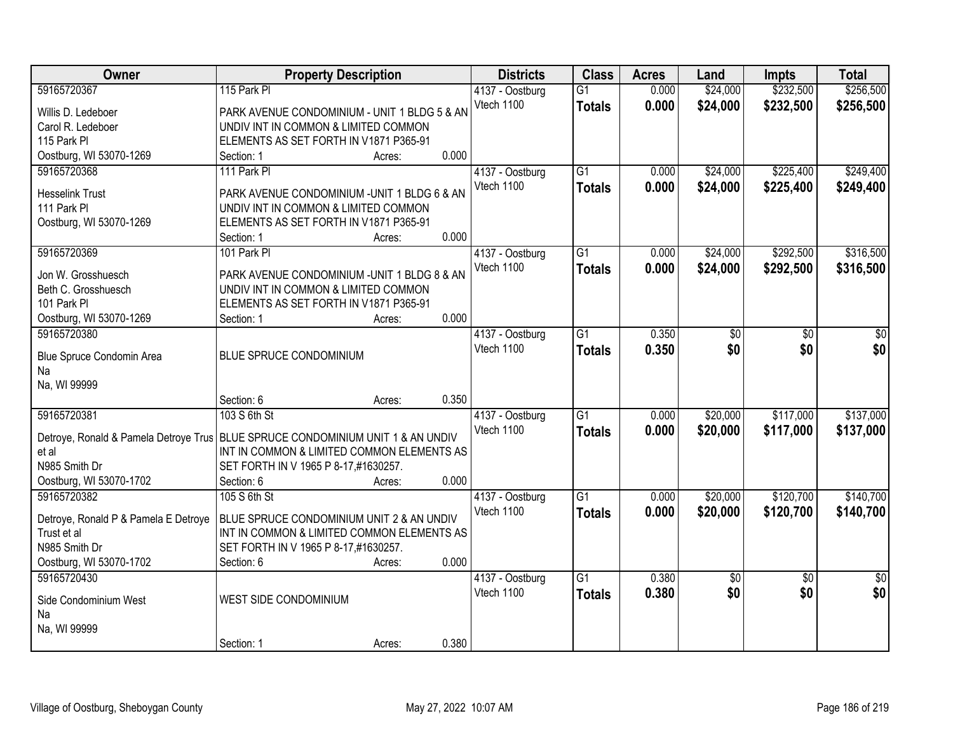| Owner                                                                             | <b>Property Description</b>                                                          |        | <b>Districts</b> | <b>Class</b>    | <b>Acres</b> | Land            | <b>Impts</b>    | <b>Total</b>    |
|-----------------------------------------------------------------------------------|--------------------------------------------------------------------------------------|--------|------------------|-----------------|--------------|-----------------|-----------------|-----------------|
| 59165720367                                                                       | 115 Park PI                                                                          |        | 4137 - Oostburg  | $\overline{G1}$ | 0.000        | \$24,000        | \$232,500       | \$256,500       |
| Willis D. Ledeboer                                                                | PARK AVENUE CONDOMINIUM - UNIT 1 BLDG 5 & AN                                         |        | Vtech 1100       | <b>Totals</b>   | 0.000        | \$24,000        | \$232,500       | \$256,500       |
| Carol R. Ledeboer                                                                 | UNDIV INT IN COMMON & LIMITED COMMON                                                 |        |                  |                 |              |                 |                 |                 |
| 115 Park PI                                                                       | ELEMENTS AS SET FORTH IN V1871 P365-91                                               |        |                  |                 |              |                 |                 |                 |
| Oostburg, WI 53070-1269                                                           | Section: 1                                                                           | Acres: | 0.000            |                 |              |                 |                 |                 |
| 59165720368                                                                       | 111 Park PI                                                                          |        | 4137 - Oostburg  | $\overline{G1}$ | 0.000        | \$24,000        | \$225,400       | \$249,400       |
|                                                                                   |                                                                                      |        | Vtech 1100       | <b>Totals</b>   | 0.000        | \$24,000        | \$225,400       | \$249,400       |
| <b>Hesselink Trust</b><br>111 Park PI                                             | PARK AVENUE CONDOMINIUM - UNIT 1 BLDG 6 & AN<br>UNDIV INT IN COMMON & LIMITED COMMON |        |                  |                 |              |                 |                 |                 |
| Oostburg, WI 53070-1269                                                           | ELEMENTS AS SET FORTH IN V1871 P365-91                                               |        |                  |                 |              |                 |                 |                 |
|                                                                                   | Section: 1                                                                           | Acres: | 0.000            |                 |              |                 |                 |                 |
| 59165720369                                                                       | 101 Park Pl                                                                          |        | 4137 - Oostburg  | $\overline{G1}$ | 0.000        | \$24,000        | \$292,500       | \$316,500       |
|                                                                                   |                                                                                      |        | Vtech 1100       | <b>Totals</b>   | 0.000        | \$24,000        | \$292,500       | \$316,500       |
| Jon W. Grosshuesch                                                                | PARK AVENUE CONDOMINIUM - UNIT 1 BLDG 8 & AN                                         |        |                  |                 |              |                 |                 |                 |
| Beth C. Grosshuesch                                                               | UNDIV INT IN COMMON & LIMITED COMMON                                                 |        |                  |                 |              |                 |                 |                 |
| 101 Park PI                                                                       | ELEMENTS AS SET FORTH IN V1871 P365-91                                               |        |                  |                 |              |                 |                 |                 |
| Oostburg, WI 53070-1269                                                           | Section: 1                                                                           | Acres: | 0.000            |                 |              |                 |                 |                 |
| 59165720380                                                                       |                                                                                      |        | 4137 - Oostburg  | G1              | 0.350        | \$0             | \$0             | \$0             |
| Blue Spruce Condomin Area                                                         | BLUE SPRUCE CONDOMINIUM                                                              |        | Vtech 1100       | <b>Totals</b>   | 0.350        | \$0             | \$0             | \$0             |
| Na                                                                                |                                                                                      |        |                  |                 |              |                 |                 |                 |
| Na, WI 99999                                                                      |                                                                                      |        |                  |                 |              |                 |                 |                 |
|                                                                                   | Section: 6                                                                           | Acres: | 0.350            |                 |              |                 |                 |                 |
| 59165720381                                                                       | 103 S 6th St                                                                         |        | 4137 - Oostburg  | $\overline{G1}$ | 0.000        | \$20,000        | \$117,000       | \$137,000       |
| Detroye, Ronald & Pamela Detroye Trus   BLUE SPRUCE CONDOMINIUM UNIT 1 & AN UNDIV |                                                                                      |        | Vtech 1100       | <b>Totals</b>   | 0.000        | \$20,000        | \$117,000       | \$137,000       |
| et al                                                                             | INT IN COMMON & LIMITED COMMON ELEMENTS AS                                           |        |                  |                 |              |                 |                 |                 |
| N985 Smith Dr                                                                     | SET FORTH IN V 1965 P 8-17,#1630257.                                                 |        |                  |                 |              |                 |                 |                 |
| Oostburg, WI 53070-1702                                                           | Section: 6                                                                           | Acres: | 0.000            |                 |              |                 |                 |                 |
| 59165720382                                                                       | 105 S 6th St                                                                         |        | 4137 - Oostburg  | $\overline{G1}$ | 0.000        | \$20,000        | \$120,700       | \$140,700       |
|                                                                                   |                                                                                      |        | Vtech 1100       | <b>Totals</b>   | 0.000        | \$20,000        | \$120,700       | \$140,700       |
| Detroye, Ronald P & Pamela E Detroye                                              | BLUE SPRUCE CONDOMINIUM UNIT 2 & AN UNDIV                                            |        |                  |                 |              |                 |                 |                 |
| Trust et al                                                                       | INT IN COMMON & LIMITED COMMON ELEMENTS AS                                           |        |                  |                 |              |                 |                 |                 |
| N985 Smith Dr                                                                     | SET FORTH IN V 1965 P 8-17,#1630257.                                                 |        |                  |                 |              |                 |                 |                 |
| Oostburg, WI 53070-1702                                                           | Section: 6                                                                           | Acres: | 0.000            |                 |              |                 |                 |                 |
| 59165720430                                                                       |                                                                                      |        | 4137 - Oostburg  | $\overline{G1}$ | 0.380        | $\overline{60}$ | $\overline{50}$ | $\overline{50}$ |
| Side Condominium West                                                             | WEST SIDE CONDOMINIUM                                                                |        | Vtech 1100       | <b>Totals</b>   | 0.380        | \$0             | \$0             | \$0             |
| Na                                                                                |                                                                                      |        |                  |                 |              |                 |                 |                 |
| Na, WI 99999                                                                      |                                                                                      |        |                  |                 |              |                 |                 |                 |
|                                                                                   | Section: 1                                                                           | Acres: | 0.380            |                 |              |                 |                 |                 |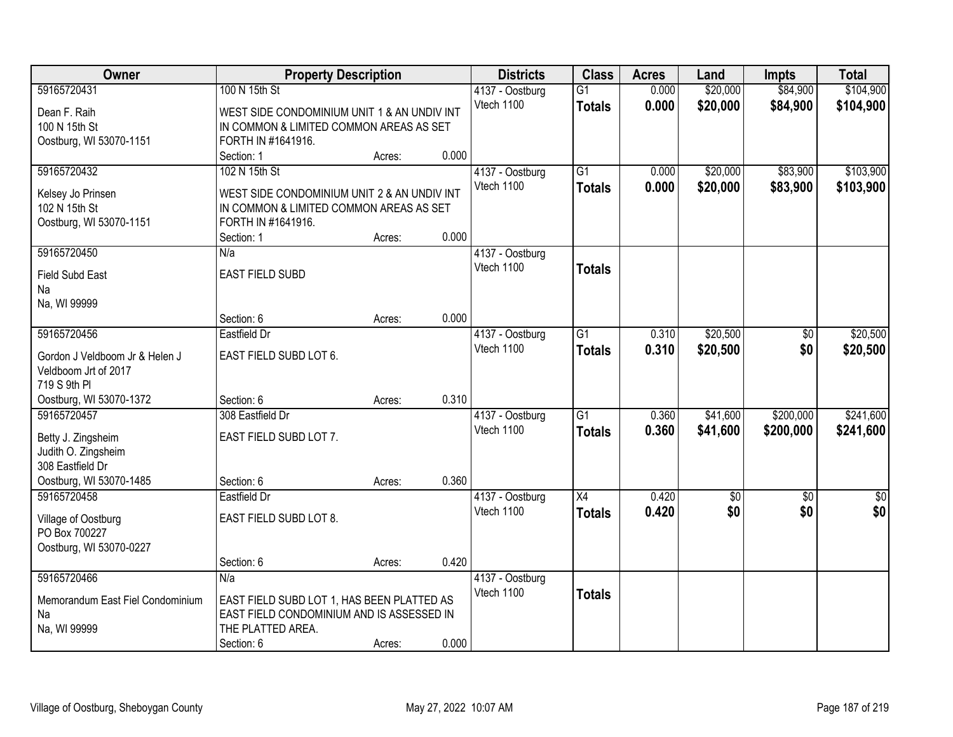| Owner                              | <b>Property Description</b>                 |        |       | <b>Districts</b>              | <b>Class</b>    | <b>Acres</b> | Land            | <b>Impts</b>    | <b>Total</b>     |
|------------------------------------|---------------------------------------------|--------|-------|-------------------------------|-----------------|--------------|-----------------|-----------------|------------------|
| 59165720431                        | 100 N 15th St                               |        |       | 4137 - Oostburg               | $\overline{G1}$ | 0.000        | \$20,000        | \$84,900        | \$104,900        |
| Dean F. Raih                       | WEST SIDE CONDOMINIUM UNIT 1 & AN UNDIV INT |        |       | Vtech 1100                    | <b>Totals</b>   | 0.000        | \$20,000        | \$84,900        | \$104,900        |
| 100 N 15th St                      | IN COMMON & LIMITED COMMON AREAS AS SET     |        |       |                               |                 |              |                 |                 |                  |
| Oostburg, WI 53070-1151            | FORTH IN #1641916.                          |        |       |                               |                 |              |                 |                 |                  |
|                                    | Section: 1                                  | Acres: | 0.000 |                               |                 |              |                 |                 |                  |
| 59165720432                        | 102 N 15th St                               |        |       | 4137 - Oostburg               | $\overline{G1}$ | 0.000        | \$20,000        | \$83,900        | \$103,900        |
|                                    | WEST SIDE CONDOMINIUM UNIT 2 & AN UNDIV INT |        |       | Vtech 1100                    | <b>Totals</b>   | 0.000        | \$20,000        | \$83,900        | \$103,900        |
| Kelsey Jo Prinsen<br>102 N 15th St | IN COMMON & LIMITED COMMON AREAS AS SET     |        |       |                               |                 |              |                 |                 |                  |
| Oostburg, WI 53070-1151            | FORTH IN #1641916.                          |        |       |                               |                 |              |                 |                 |                  |
|                                    | Section: 1                                  | Acres: | 0.000 |                               |                 |              |                 |                 |                  |
| 59165720450                        | N/a                                         |        |       | 4137 - Oostburg               |                 |              |                 |                 |                  |
|                                    |                                             |        |       | Vtech 1100                    | <b>Totals</b>   |              |                 |                 |                  |
| <b>Field Subd East</b>             | <b>EAST FIELD SUBD</b>                      |        |       |                               |                 |              |                 |                 |                  |
| Na<br>Na, WI 99999                 |                                             |        |       |                               |                 |              |                 |                 |                  |
|                                    | Section: 6                                  | Acres: | 0.000 |                               |                 |              |                 |                 |                  |
| 59165720456                        | Eastfield Dr                                |        |       | 4137 - Oostburg               | G1              | 0.310        | \$20,500        | \$0             | \$20,500         |
|                                    |                                             |        |       | Vtech 1100                    | <b>Totals</b>   | 0.310        | \$20,500        | \$0             | \$20,500         |
| Gordon J Veldboom Jr & Helen J     | EAST FIELD SUBD LOT 6.                      |        |       |                               |                 |              |                 |                 |                  |
| Veldboom Jrt of 2017               |                                             |        |       |                               |                 |              |                 |                 |                  |
| 719 S 9th PI                       |                                             |        |       |                               |                 |              |                 |                 |                  |
| Oostburg, WI 53070-1372            | Section: 6                                  | Acres: | 0.310 |                               |                 |              |                 |                 |                  |
| 59165720457                        | 308 Eastfield Dr                            |        |       | 4137 - Oostburg<br>Vtech 1100 | $\overline{G1}$ | 0.360        | \$41,600        | \$200,000       | \$241,600        |
| Betty J. Zingsheim                 | EAST FIELD SUBD LOT 7.                      |        |       |                               | <b>Totals</b>   | 0.360        | \$41,600        | \$200,000       | \$241,600        |
| Judith O. Zingsheim                |                                             |        |       |                               |                 |              |                 |                 |                  |
| 308 Eastfield Dr                   |                                             |        |       |                               |                 |              |                 |                 |                  |
| Oostburg, WI 53070-1485            | Section: 6                                  | Acres: | 0.360 |                               |                 |              |                 |                 |                  |
| 59165720458                        | Eastfield Dr                                |        |       | 4137 - Oostburg               | X4              | 0.420        | $\overline{50}$ | $\overline{50}$ | $\overline{\$0}$ |
| Village of Oostburg                | EAST FIELD SUBD LOT 8.                      |        |       | Vtech 1100                    | <b>Totals</b>   | 0.420        | \$0             | \$0             | \$0              |
| PO Box 700227                      |                                             |        |       |                               |                 |              |                 |                 |                  |
| Oostburg, WI 53070-0227            |                                             |        |       |                               |                 |              |                 |                 |                  |
|                                    | Section: 6                                  | Acres: | 0.420 |                               |                 |              |                 |                 |                  |
| 59165720466                        | N/a                                         |        |       | 4137 - Oostburg               |                 |              |                 |                 |                  |
| Memorandum East Fiel Condominium   | EAST FIELD SUBD LOT 1, HAS BEEN PLATTED AS  |        |       | Vtech 1100                    | <b>Totals</b>   |              |                 |                 |                  |
| Na                                 | EAST FIELD CONDOMINIUM AND IS ASSESSED IN   |        |       |                               |                 |              |                 |                 |                  |
| Na, WI 99999                       | THE PLATTED AREA.                           |        |       |                               |                 |              |                 |                 |                  |
|                                    | Section: 6                                  | Acres: | 0.000 |                               |                 |              |                 |                 |                  |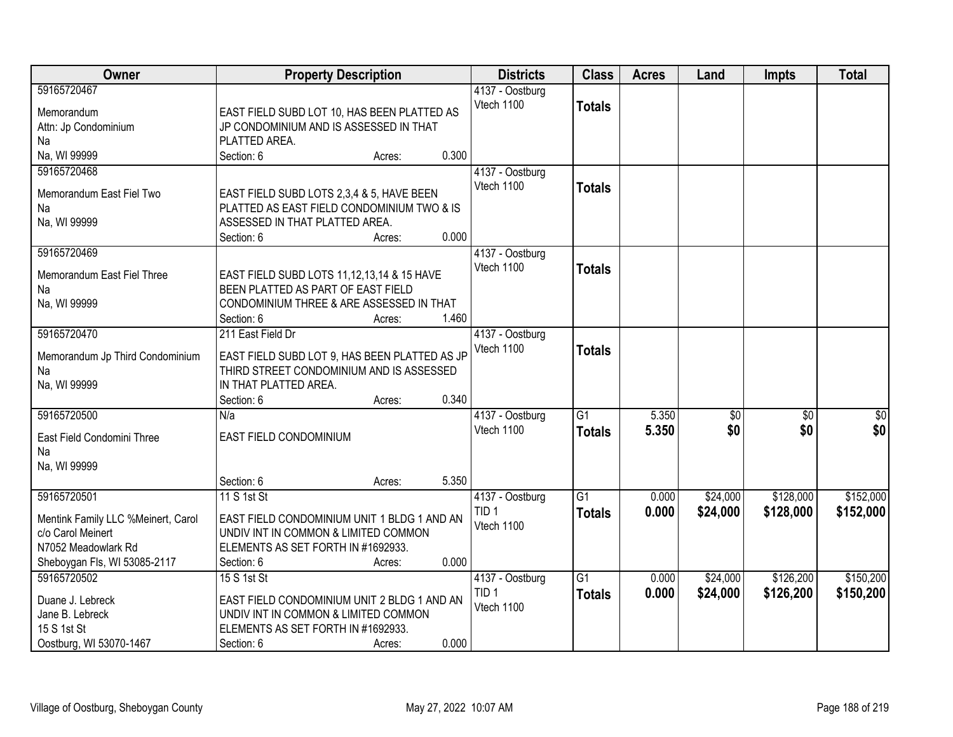| <b>Owner</b>                                | <b>Property Description</b>                                                               | <b>Districts</b>                    | <b>Class</b>    | <b>Acres</b> | Land            | <b>Impts</b>    | <b>Total</b> |
|---------------------------------------------|-------------------------------------------------------------------------------------------|-------------------------------------|-----------------|--------------|-----------------|-----------------|--------------|
| 59165720467                                 |                                                                                           | 4137 - Oostburg                     |                 |              |                 |                 |              |
| Memorandum                                  | EAST FIELD SUBD LOT 10, HAS BEEN PLATTED AS                                               | Vtech 1100                          | <b>Totals</b>   |              |                 |                 |              |
| Attn: Jp Condominium                        | JP CONDOMINIUM AND IS ASSESSED IN THAT                                                    |                                     |                 |              |                 |                 |              |
| Na                                          | PLATTED AREA.                                                                             |                                     |                 |              |                 |                 |              |
| Na, WI 99999                                | 0.300<br>Section: 6<br>Acres:                                                             |                                     |                 |              |                 |                 |              |
| 59165720468                                 |                                                                                           | 4137 - Oostburg                     |                 |              |                 |                 |              |
| Memorandum East Fiel Two                    | EAST FIELD SUBD LOTS 2,3,4 & 5, HAVE BEEN                                                 | Vtech 1100                          | <b>Totals</b>   |              |                 |                 |              |
| Na                                          | PLATTED AS EAST FIELD CONDOMINIUM TWO & IS                                                |                                     |                 |              |                 |                 |              |
| Na, WI 99999                                | ASSESSED IN THAT PLATTED AREA.                                                            |                                     |                 |              |                 |                 |              |
|                                             | 0.000<br>Section: 6<br>Acres:                                                             |                                     |                 |              |                 |                 |              |
| 59165720469                                 |                                                                                           | 4137 - Oostburg                     |                 |              |                 |                 |              |
| Memorandum East Fiel Three                  | EAST FIELD SUBD LOTS 11,12,13,14 & 15 HAVE                                                | Vtech 1100                          | <b>Totals</b>   |              |                 |                 |              |
| Na                                          | BEEN PLATTED AS PART OF EAST FIELD                                                        |                                     |                 |              |                 |                 |              |
| Na, WI 99999                                | CONDOMINIUM THREE & ARE ASSESSED IN THAT                                                  |                                     |                 |              |                 |                 |              |
|                                             | Section: 6<br>1.460<br>Acres:                                                             |                                     |                 |              |                 |                 |              |
| 59165720470                                 | 211 East Field Dr                                                                         | 4137 - Oostburg                     |                 |              |                 |                 |              |
|                                             |                                                                                           | Vtech 1100                          | <b>Totals</b>   |              |                 |                 |              |
| Memorandum Jp Third Condominium<br>Na       | EAST FIELD SUBD LOT 9, HAS BEEN PLATTED AS JP<br>THIRD STREET CONDOMINIUM AND IS ASSESSED |                                     |                 |              |                 |                 |              |
| Na, WI 99999                                | IN THAT PLATTED AREA.                                                                     |                                     |                 |              |                 |                 |              |
|                                             | 0.340<br>Section: 6<br>Acres:                                                             |                                     |                 |              |                 |                 |              |
| 59165720500                                 | N/a                                                                                       | 4137 - Oostburg                     | $\overline{G1}$ | 5.350        | $\overline{50}$ | $\overline{50}$ | \$0          |
|                                             |                                                                                           | Vtech 1100                          | <b>Totals</b>   | 5.350        | \$0             | \$0             | \$0          |
| East Field Condomini Three                  | EAST FIELD CONDOMINIUM                                                                    |                                     |                 |              |                 |                 |              |
| Na<br>Na, WI 99999                          |                                                                                           |                                     |                 |              |                 |                 |              |
|                                             | Section: 6<br>5.350<br>Acres:                                                             |                                     |                 |              |                 |                 |              |
| 59165720501                                 | 11 S 1st St                                                                               | 4137 - Oostburg                     | $\overline{G1}$ | 0.000        | \$24,000        | \$128,000       | \$152,000    |
|                                             |                                                                                           | TID <sub>1</sub>                    | <b>Totals</b>   | 0.000        | \$24,000        | \$128,000       | \$152,000    |
| Mentink Family LLC %Meinert, Carol          | EAST FIELD CONDOMINIUM UNIT 1 BLDG 1 AND AN                                               | Vtech 1100                          |                 |              |                 |                 |              |
| c/o Carol Meinert                           | UNDIV INT IN COMMON & LIMITED COMMON                                                      |                                     |                 |              |                 |                 |              |
| N7052 Meadowlark Rd                         | ELEMENTS AS SET FORTH IN #1692933.                                                        |                                     |                 |              |                 |                 |              |
| Sheboygan Fls, WI 53085-2117<br>59165720502 | 0.000<br>Section: 6<br>Acres:<br>15 S 1st St                                              |                                     | $\overline{G1}$ | 0.000        | \$24,000        | \$126,200       | \$150,200    |
|                                             |                                                                                           | 4137 - Oostburg<br>TID <sub>1</sub> |                 |              |                 |                 |              |
| Duane J. Lebreck                            | EAST FIELD CONDOMINIUM UNIT 2 BLDG 1 AND AN                                               | Vtech 1100                          | <b>Totals</b>   | 0.000        | \$24,000        | \$126,200       | \$150,200    |
| Jane B. Lebreck                             | UNDIV INT IN COMMON & LIMITED COMMON                                                      |                                     |                 |              |                 |                 |              |
| 15 S 1st St                                 | ELEMENTS AS SET FORTH IN #1692933.                                                        |                                     |                 |              |                 |                 |              |
| Oostburg, WI 53070-1467                     | 0.000<br>Section: 6<br>Acres:                                                             |                                     |                 |              |                 |                 |              |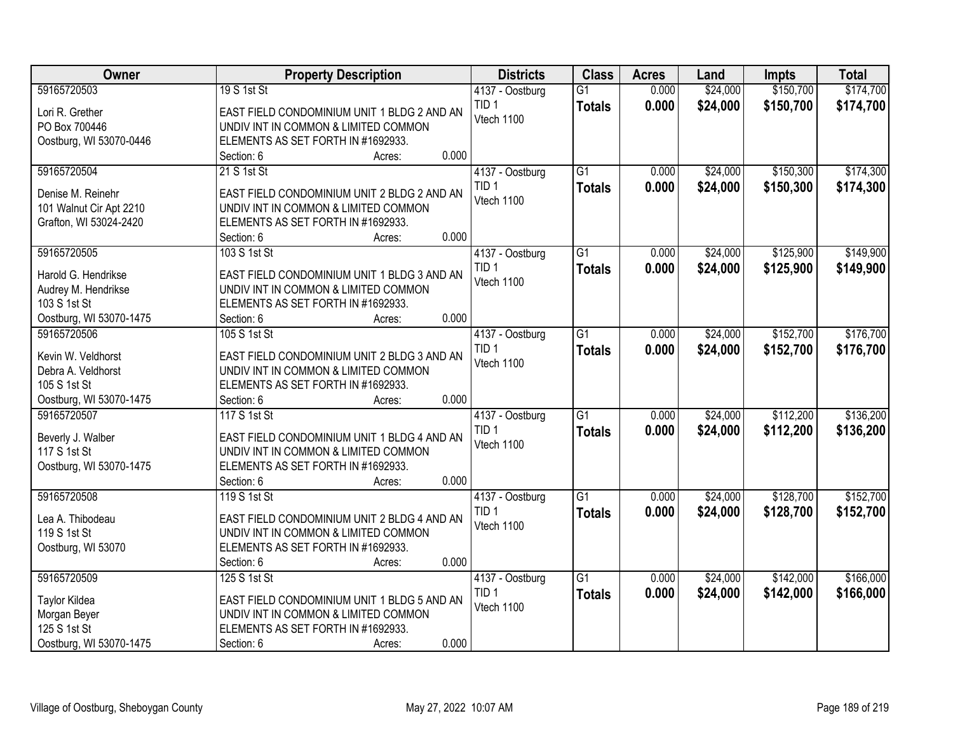| \$150,700<br>59165720503<br>19 S 1st St<br>$\overline{G1}$<br>\$24,000<br>0.000<br>4137 - Oostburg<br>TID <sub>1</sub><br>0.000<br>\$24,000<br>\$150,700<br><b>Totals</b><br>Lori R. Grether<br>EAST FIELD CONDOMINIUM UNIT 1 BLDG 2 AND AN<br>Vtech 1100<br>PO Box 700446<br>UNDIV INT IN COMMON & LIMITED COMMON<br>ELEMENTS AS SET FORTH IN #1692933.<br>Oostburg, WI 53070-0446<br>0.000<br>Section: 6<br>Acres:<br>59165720504<br>$\overline{G1}$<br>\$24,000<br>\$150,300<br>21 S 1st St<br>4137 - Oostburg<br>0.000<br>TID <sub>1</sub><br>0.000<br>\$24,000<br>\$150,300<br><b>Totals</b><br>EAST FIELD CONDOMINIUM UNIT 2 BLDG 2 AND AN<br>Denise M. Reinehr<br>Vtech 1100<br>101 Walnut Cir Apt 2210<br>UNDIV INT IN COMMON & LIMITED COMMON<br>Grafton, WI 53024-2420<br>ELEMENTS AS SET FORTH IN #1692933.<br>0.000<br>Section: 6<br>Acres:<br>\$125,900<br>59165720505<br>103 S 1st St<br>G1<br>\$24,000<br>4137 - Oostburg<br>0.000<br>TID <sub>1</sub><br>0.000<br>\$24,000<br>\$125,900<br><b>Totals</b><br>Harold G. Hendrikse<br>EAST FIELD CONDOMINIUM UNIT 1 BLDG 3 AND AN<br>Vtech 1100<br>Audrey M. Hendrikse<br>UNDIV INT IN COMMON & LIMITED COMMON<br>103 S 1st St<br>ELEMENTS AS SET FORTH IN #1692933.<br>0.000<br>Oostburg, WI 53070-1475<br>Section: 6<br>Acres:<br>$\overline{G1}$<br>\$24,000<br>\$152,700<br>59165720506<br>105 S 1st St<br>0.000<br>4137 - Oostburg<br>TID <sub>1</sub><br>0.000<br>\$24,000<br>\$152,700<br><b>Totals</b><br>EAST FIELD CONDOMINIUM UNIT 2 BLDG 3 AND AN<br>Kevin W. Veldhorst<br>Vtech 1100<br>Debra A. Veldhorst<br>UNDIV INT IN COMMON & LIMITED COMMON<br>105 S 1st St<br>ELEMENTS AS SET FORTH IN #1692933.<br>0.000<br>Oostburg, WI 53070-1475<br>Section: 6<br>Acres:<br>\$112,200<br>59165720507<br>117 S 1st St<br>$\overline{G1}$<br>0.000<br>\$24,000<br>4137 - Oostburg<br>TID <sub>1</sub><br>0.000<br>\$24,000<br>\$112,200<br><b>Totals</b><br>Beverly J. Walber<br>EAST FIELD CONDOMINIUM UNIT 1 BLDG 4 AND AN<br>Vtech 1100 | Owner        | <b>Property Description</b>          | <b>Districts</b> | <b>Class</b> | <b>Acres</b> | Land | <b>Impts</b> | <b>Total</b> |
|----------------------------------------------------------------------------------------------------------------------------------------------------------------------------------------------------------------------------------------------------------------------------------------------------------------------------------------------------------------------------------------------------------------------------------------------------------------------------------------------------------------------------------------------------------------------------------------------------------------------------------------------------------------------------------------------------------------------------------------------------------------------------------------------------------------------------------------------------------------------------------------------------------------------------------------------------------------------------------------------------------------------------------------------------------------------------------------------------------------------------------------------------------------------------------------------------------------------------------------------------------------------------------------------------------------------------------------------------------------------------------------------------------------------------------------------------------------------------------------------------------------------------------------------------------------------------------------------------------------------------------------------------------------------------------------------------------------------------------------------------------------------------------------------------------------------------------------------------------------------------------------------------------------------------------------------------------------------------------------------------------------|--------------|--------------------------------------|------------------|--------------|--------------|------|--------------|--------------|
| \$174,700                                                                                                                                                                                                                                                                                                                                                                                                                                                                                                                                                                                                                                                                                                                                                                                                                                                                                                                                                                                                                                                                                                                                                                                                                                                                                                                                                                                                                                                                                                                                                                                                                                                                                                                                                                                                                                                                                                                                                                                                      |              |                                      |                  |              |              |      |              | \$174,700    |
|                                                                                                                                                                                                                                                                                                                                                                                                                                                                                                                                                                                                                                                                                                                                                                                                                                                                                                                                                                                                                                                                                                                                                                                                                                                                                                                                                                                                                                                                                                                                                                                                                                                                                                                                                                                                                                                                                                                                                                                                                |              |                                      |                  |              |              |      |              |              |
|                                                                                                                                                                                                                                                                                                                                                                                                                                                                                                                                                                                                                                                                                                                                                                                                                                                                                                                                                                                                                                                                                                                                                                                                                                                                                                                                                                                                                                                                                                                                                                                                                                                                                                                                                                                                                                                                                                                                                                                                                |              |                                      |                  |              |              |      |              |              |
|                                                                                                                                                                                                                                                                                                                                                                                                                                                                                                                                                                                                                                                                                                                                                                                                                                                                                                                                                                                                                                                                                                                                                                                                                                                                                                                                                                                                                                                                                                                                                                                                                                                                                                                                                                                                                                                                                                                                                                                                                |              |                                      |                  |              |              |      |              |              |
| \$174,300<br>\$174,300<br>\$149,900<br>\$149,900<br>\$176,700<br>\$176,700<br>\$136,200<br>\$136,200                                                                                                                                                                                                                                                                                                                                                                                                                                                                                                                                                                                                                                                                                                                                                                                                                                                                                                                                                                                                                                                                                                                                                                                                                                                                                                                                                                                                                                                                                                                                                                                                                                                                                                                                                                                                                                                                                                           |              |                                      |                  |              |              |      |              |              |
|                                                                                                                                                                                                                                                                                                                                                                                                                                                                                                                                                                                                                                                                                                                                                                                                                                                                                                                                                                                                                                                                                                                                                                                                                                                                                                                                                                                                                                                                                                                                                                                                                                                                                                                                                                                                                                                                                                                                                                                                                |              |                                      |                  |              |              |      |              |              |
|                                                                                                                                                                                                                                                                                                                                                                                                                                                                                                                                                                                                                                                                                                                                                                                                                                                                                                                                                                                                                                                                                                                                                                                                                                                                                                                                                                                                                                                                                                                                                                                                                                                                                                                                                                                                                                                                                                                                                                                                                |              |                                      |                  |              |              |      |              |              |
|                                                                                                                                                                                                                                                                                                                                                                                                                                                                                                                                                                                                                                                                                                                                                                                                                                                                                                                                                                                                                                                                                                                                                                                                                                                                                                                                                                                                                                                                                                                                                                                                                                                                                                                                                                                                                                                                                                                                                                                                                |              |                                      |                  |              |              |      |              |              |
|                                                                                                                                                                                                                                                                                                                                                                                                                                                                                                                                                                                                                                                                                                                                                                                                                                                                                                                                                                                                                                                                                                                                                                                                                                                                                                                                                                                                                                                                                                                                                                                                                                                                                                                                                                                                                                                                                                                                                                                                                |              |                                      |                  |              |              |      |              |              |
|                                                                                                                                                                                                                                                                                                                                                                                                                                                                                                                                                                                                                                                                                                                                                                                                                                                                                                                                                                                                                                                                                                                                                                                                                                                                                                                                                                                                                                                                                                                                                                                                                                                                                                                                                                                                                                                                                                                                                                                                                |              |                                      |                  |              |              |      |              |              |
|                                                                                                                                                                                                                                                                                                                                                                                                                                                                                                                                                                                                                                                                                                                                                                                                                                                                                                                                                                                                                                                                                                                                                                                                                                                                                                                                                                                                                                                                                                                                                                                                                                                                                                                                                                                                                                                                                                                                                                                                                |              |                                      |                  |              |              |      |              |              |
|                                                                                                                                                                                                                                                                                                                                                                                                                                                                                                                                                                                                                                                                                                                                                                                                                                                                                                                                                                                                                                                                                                                                                                                                                                                                                                                                                                                                                                                                                                                                                                                                                                                                                                                                                                                                                                                                                                                                                                                                                |              |                                      |                  |              |              |      |              |              |
|                                                                                                                                                                                                                                                                                                                                                                                                                                                                                                                                                                                                                                                                                                                                                                                                                                                                                                                                                                                                                                                                                                                                                                                                                                                                                                                                                                                                                                                                                                                                                                                                                                                                                                                                                                                                                                                                                                                                                                                                                |              |                                      |                  |              |              |      |              |              |
|                                                                                                                                                                                                                                                                                                                                                                                                                                                                                                                                                                                                                                                                                                                                                                                                                                                                                                                                                                                                                                                                                                                                                                                                                                                                                                                                                                                                                                                                                                                                                                                                                                                                                                                                                                                                                                                                                                                                                                                                                |              |                                      |                  |              |              |      |              |              |
|                                                                                                                                                                                                                                                                                                                                                                                                                                                                                                                                                                                                                                                                                                                                                                                                                                                                                                                                                                                                                                                                                                                                                                                                                                                                                                                                                                                                                                                                                                                                                                                                                                                                                                                                                                                                                                                                                                                                                                                                                |              |                                      |                  |              |              |      |              |              |
|                                                                                                                                                                                                                                                                                                                                                                                                                                                                                                                                                                                                                                                                                                                                                                                                                                                                                                                                                                                                                                                                                                                                                                                                                                                                                                                                                                                                                                                                                                                                                                                                                                                                                                                                                                                                                                                                                                                                                                                                                |              |                                      |                  |              |              |      |              |              |
|                                                                                                                                                                                                                                                                                                                                                                                                                                                                                                                                                                                                                                                                                                                                                                                                                                                                                                                                                                                                                                                                                                                                                                                                                                                                                                                                                                                                                                                                                                                                                                                                                                                                                                                                                                                                                                                                                                                                                                                                                |              |                                      |                  |              |              |      |              |              |
|                                                                                                                                                                                                                                                                                                                                                                                                                                                                                                                                                                                                                                                                                                                                                                                                                                                                                                                                                                                                                                                                                                                                                                                                                                                                                                                                                                                                                                                                                                                                                                                                                                                                                                                                                                                                                                                                                                                                                                                                                |              |                                      |                  |              |              |      |              |              |
|                                                                                                                                                                                                                                                                                                                                                                                                                                                                                                                                                                                                                                                                                                                                                                                                                                                                                                                                                                                                                                                                                                                                                                                                                                                                                                                                                                                                                                                                                                                                                                                                                                                                                                                                                                                                                                                                                                                                                                                                                |              |                                      |                  |              |              |      |              |              |
|                                                                                                                                                                                                                                                                                                                                                                                                                                                                                                                                                                                                                                                                                                                                                                                                                                                                                                                                                                                                                                                                                                                                                                                                                                                                                                                                                                                                                                                                                                                                                                                                                                                                                                                                                                                                                                                                                                                                                                                                                |              |                                      |                  |              |              |      |              |              |
|                                                                                                                                                                                                                                                                                                                                                                                                                                                                                                                                                                                                                                                                                                                                                                                                                                                                                                                                                                                                                                                                                                                                                                                                                                                                                                                                                                                                                                                                                                                                                                                                                                                                                                                                                                                                                                                                                                                                                                                                                |              |                                      |                  |              |              |      |              |              |
|                                                                                                                                                                                                                                                                                                                                                                                                                                                                                                                                                                                                                                                                                                                                                                                                                                                                                                                                                                                                                                                                                                                                                                                                                                                                                                                                                                                                                                                                                                                                                                                                                                                                                                                                                                                                                                                                                                                                                                                                                |              |                                      |                  |              |              |      |              |              |
|                                                                                                                                                                                                                                                                                                                                                                                                                                                                                                                                                                                                                                                                                                                                                                                                                                                                                                                                                                                                                                                                                                                                                                                                                                                                                                                                                                                                                                                                                                                                                                                                                                                                                                                                                                                                                                                                                                                                                                                                                |              |                                      |                  |              |              |      |              |              |
|                                                                                                                                                                                                                                                                                                                                                                                                                                                                                                                                                                                                                                                                                                                                                                                                                                                                                                                                                                                                                                                                                                                                                                                                                                                                                                                                                                                                                                                                                                                                                                                                                                                                                                                                                                                                                                                                                                                                                                                                                |              |                                      |                  |              |              |      |              |              |
|                                                                                                                                                                                                                                                                                                                                                                                                                                                                                                                                                                                                                                                                                                                                                                                                                                                                                                                                                                                                                                                                                                                                                                                                                                                                                                                                                                                                                                                                                                                                                                                                                                                                                                                                                                                                                                                                                                                                                                                                                | 117 S 1st St | UNDIV INT IN COMMON & LIMITED COMMON |                  |              |              |      |              |              |
| Oostburg, WI 53070-1475<br>ELEMENTS AS SET FORTH IN #1692933.                                                                                                                                                                                                                                                                                                                                                                                                                                                                                                                                                                                                                                                                                                                                                                                                                                                                                                                                                                                                                                                                                                                                                                                                                                                                                                                                                                                                                                                                                                                                                                                                                                                                                                                                                                                                                                                                                                                                                  |              |                                      |                  |              |              |      |              |              |
| 0.000<br>Section: 6<br>Acres:                                                                                                                                                                                                                                                                                                                                                                                                                                                                                                                                                                                                                                                                                                                                                                                                                                                                                                                                                                                                                                                                                                                                                                                                                                                                                                                                                                                                                                                                                                                                                                                                                                                                                                                                                                                                                                                                                                                                                                                  |              |                                      |                  |              |              |      |              |              |
| 59165720508<br>$\overline{G1}$<br>\$128,700<br>\$152,700<br>119 S 1st St<br>0.000<br>\$24,000<br>4137 - Oostburg                                                                                                                                                                                                                                                                                                                                                                                                                                                                                                                                                                                                                                                                                                                                                                                                                                                                                                                                                                                                                                                                                                                                                                                                                                                                                                                                                                                                                                                                                                                                                                                                                                                                                                                                                                                                                                                                                               |              |                                      |                  |              |              |      |              |              |
| TID <sub>1</sub><br>0.000<br>\$24,000<br>\$128,700<br>\$152,700<br><b>Totals</b><br>Lea A. Thibodeau<br>EAST FIELD CONDOMINIUM UNIT 2 BLDG 4 AND AN                                                                                                                                                                                                                                                                                                                                                                                                                                                                                                                                                                                                                                                                                                                                                                                                                                                                                                                                                                                                                                                                                                                                                                                                                                                                                                                                                                                                                                                                                                                                                                                                                                                                                                                                                                                                                                                            |              |                                      |                  |              |              |      |              |              |
| Vtech 1100<br>119 S 1st St<br>UNDIV INT IN COMMON & LIMITED COMMON                                                                                                                                                                                                                                                                                                                                                                                                                                                                                                                                                                                                                                                                                                                                                                                                                                                                                                                                                                                                                                                                                                                                                                                                                                                                                                                                                                                                                                                                                                                                                                                                                                                                                                                                                                                                                                                                                                                                             |              |                                      |                  |              |              |      |              |              |
| Oostburg, WI 53070<br>ELEMENTS AS SET FORTH IN #1692933.                                                                                                                                                                                                                                                                                                                                                                                                                                                                                                                                                                                                                                                                                                                                                                                                                                                                                                                                                                                                                                                                                                                                                                                                                                                                                                                                                                                                                                                                                                                                                                                                                                                                                                                                                                                                                                                                                                                                                       |              |                                      |                  |              |              |      |              |              |
| 0.000<br>Section: 6<br>Acres:                                                                                                                                                                                                                                                                                                                                                                                                                                                                                                                                                                                                                                                                                                                                                                                                                                                                                                                                                                                                                                                                                                                                                                                                                                                                                                                                                                                                                                                                                                                                                                                                                                                                                                                                                                                                                                                                                                                                                                                  |              |                                      |                  |              |              |      |              |              |
| 59165720509<br>$\overline{G1}$<br>\$24,000<br>\$142,000<br>\$166,000<br>125 S 1st St<br>4137 - Oostburg<br>0.000                                                                                                                                                                                                                                                                                                                                                                                                                                                                                                                                                                                                                                                                                                                                                                                                                                                                                                                                                                                                                                                                                                                                                                                                                                                                                                                                                                                                                                                                                                                                                                                                                                                                                                                                                                                                                                                                                               |              |                                      |                  |              |              |      |              |              |
| TID <sub>1</sub><br>0.000<br>\$24,000<br>\$142,000<br>\$166,000<br><b>Totals</b><br>EAST FIELD CONDOMINIUM UNIT 1 BLDG 5 AND AN<br><b>Taylor Kildea</b>                                                                                                                                                                                                                                                                                                                                                                                                                                                                                                                                                                                                                                                                                                                                                                                                                                                                                                                                                                                                                                                                                                                                                                                                                                                                                                                                                                                                                                                                                                                                                                                                                                                                                                                                                                                                                                                        |              |                                      |                  |              |              |      |              |              |
| Vtech 1100<br>UNDIV INT IN COMMON & LIMITED COMMON<br>Morgan Beyer                                                                                                                                                                                                                                                                                                                                                                                                                                                                                                                                                                                                                                                                                                                                                                                                                                                                                                                                                                                                                                                                                                                                                                                                                                                                                                                                                                                                                                                                                                                                                                                                                                                                                                                                                                                                                                                                                                                                             |              |                                      |                  |              |              |      |              |              |
| 125 S 1st St<br>ELEMENTS AS SET FORTH IN #1692933.                                                                                                                                                                                                                                                                                                                                                                                                                                                                                                                                                                                                                                                                                                                                                                                                                                                                                                                                                                                                                                                                                                                                                                                                                                                                                                                                                                                                                                                                                                                                                                                                                                                                                                                                                                                                                                                                                                                                                             |              |                                      |                  |              |              |      |              |              |
| 0.000<br>Oostburg, WI 53070-1475<br>Section: 6<br>Acres:                                                                                                                                                                                                                                                                                                                                                                                                                                                                                                                                                                                                                                                                                                                                                                                                                                                                                                                                                                                                                                                                                                                                                                                                                                                                                                                                                                                                                                                                                                                                                                                                                                                                                                                                                                                                                                                                                                                                                       |              |                                      |                  |              |              |      |              |              |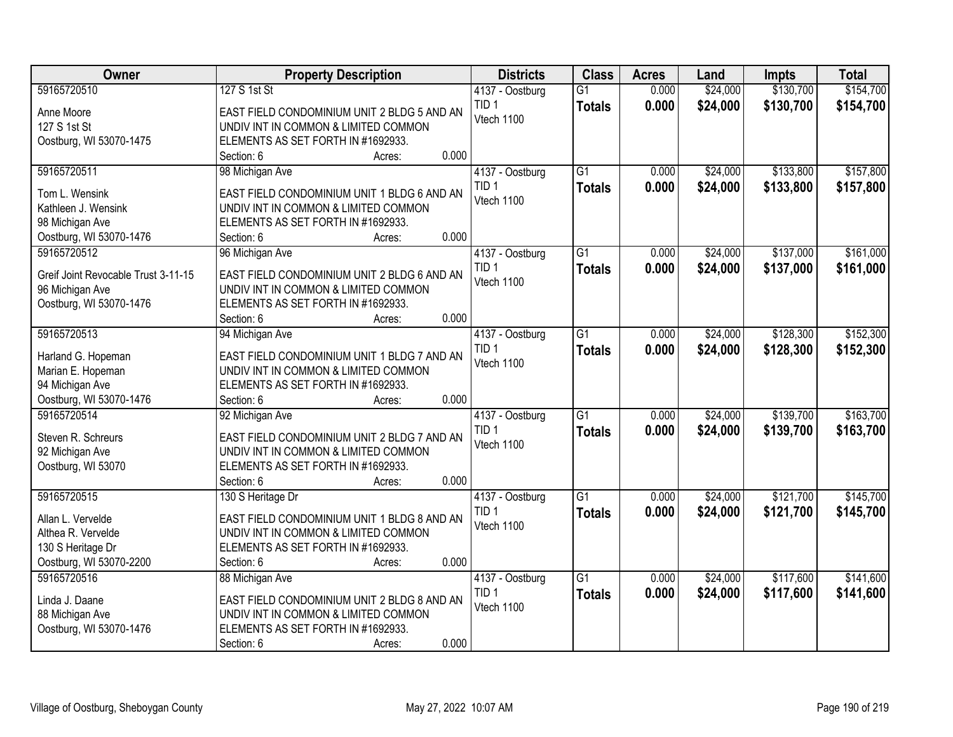| <b>Owner</b>                               | <b>Property Description</b>                                                         | <b>Districts</b>                    | <b>Class</b>    | <b>Acres</b> | Land     | <b>Impts</b> | <b>Total</b> |
|--------------------------------------------|-------------------------------------------------------------------------------------|-------------------------------------|-----------------|--------------|----------|--------------|--------------|
| 59165720510                                | 127 S 1st St                                                                        | 4137 - Oostburg                     | $\overline{G1}$ | 0.000        | \$24,000 | \$130,700    | \$154,700    |
| Anne Moore                                 | EAST FIELD CONDOMINIUM UNIT 2 BLDG 5 AND AN                                         | TID <sub>1</sub>                    | <b>Totals</b>   | 0.000        | \$24,000 | \$130,700    | \$154,700    |
| 127 S 1st St                               | UNDIV INT IN COMMON & LIMITED COMMON                                                | Vtech 1100                          |                 |              |          |              |              |
| Oostburg, WI 53070-1475                    | ELEMENTS AS SET FORTH IN #1692933.                                                  |                                     |                 |              |          |              |              |
|                                            | 0.000<br>Section: 6<br>Acres:                                                       |                                     |                 |              |          |              |              |
| 59165720511                                | 98 Michigan Ave                                                                     | 4137 - Oostburg                     | $\overline{G1}$ | 0.000        | \$24,000 | \$133,800    | \$157,800    |
| Tom L. Wensink                             | EAST FIELD CONDOMINIUM UNIT 1 BLDG 6 AND AN                                         | TID <sub>1</sub>                    | <b>Totals</b>   | 0.000        | \$24,000 | \$133,800    | \$157,800    |
| Kathleen J. Wensink                        | UNDIV INT IN COMMON & LIMITED COMMON                                                | Vtech 1100                          |                 |              |          |              |              |
| 98 Michigan Ave                            | ELEMENTS AS SET FORTH IN #1692933.                                                  |                                     |                 |              |          |              |              |
| Oostburg, WI 53070-1476                    | 0.000<br>Section: 6<br>Acres:                                                       |                                     |                 |              |          |              |              |
| 59165720512                                | 96 Michigan Ave                                                                     | 4137 - Oostburg                     | $\overline{G1}$ | 0.000        | \$24,000 | \$137,000    | \$161,000    |
|                                            |                                                                                     | TID <sub>1</sub>                    | <b>Totals</b>   | 0.000        | \$24,000 | \$137,000    | \$161,000    |
| Greif Joint Revocable Trust 3-11-15        | EAST FIELD CONDOMINIUM UNIT 2 BLDG 6 AND AN<br>UNDIV INT IN COMMON & LIMITED COMMON | Vtech 1100                          |                 |              |          |              |              |
| 96 Michigan Ave<br>Oostburg, WI 53070-1476 | ELEMENTS AS SET FORTH IN #1692933.                                                  |                                     |                 |              |          |              |              |
|                                            | 0.000<br>Section: 6<br>Acres:                                                       |                                     |                 |              |          |              |              |
| 59165720513                                | 94 Michigan Ave                                                                     | 4137 - Oostburg                     | $\overline{G1}$ | 0.000        | \$24,000 | \$128,300    | \$152,300    |
|                                            |                                                                                     | TID <sub>1</sub>                    | <b>Totals</b>   | 0.000        | \$24,000 | \$128,300    | \$152,300    |
| Harland G. Hopeman                         | EAST FIELD CONDOMINIUM UNIT 1 BLDG 7 AND AN                                         | Vtech 1100                          |                 |              |          |              |              |
| Marian E. Hopeman                          | UNDIV INT IN COMMON & LIMITED COMMON                                                |                                     |                 |              |          |              |              |
| 94 Michigan Ave                            | ELEMENTS AS SET FORTH IN #1692933.                                                  |                                     |                 |              |          |              |              |
| Oostburg, WI 53070-1476                    | 0.000<br>Section: 6<br>Acres:                                                       |                                     | $\overline{G1}$ |              |          | \$139,700    |              |
| 59165720514                                | 92 Michigan Ave                                                                     | 4137 - Oostburg<br>TID <sub>1</sub> |                 | 0.000        | \$24,000 |              | \$163,700    |
| Steven R. Schreurs                         | EAST FIELD CONDOMINIUM UNIT 2 BLDG 7 AND AN                                         | Vtech 1100                          | <b>Totals</b>   | 0.000        | \$24,000 | \$139,700    | \$163,700    |
| 92 Michigan Ave                            | UNDIV INT IN COMMON & LIMITED COMMON                                                |                                     |                 |              |          |              |              |
| Oostburg, WI 53070                         | ELEMENTS AS SET FORTH IN #1692933.                                                  |                                     |                 |              |          |              |              |
|                                            | 0.000<br>Section: 6<br>Acres:                                                       |                                     |                 |              |          |              |              |
| 59165720515                                | 130 S Heritage Dr                                                                   | 4137 - Oostburg                     | $\overline{G1}$ | 0.000        | \$24,000 | \$121,700    | \$145,700    |
| Allan L. Vervelde                          | EAST FIELD CONDOMINIUM UNIT 1 BLDG 8 AND AN                                         | TID <sub>1</sub>                    | <b>Totals</b>   | 0.000        | \$24,000 | \$121,700    | \$145,700    |
| Althea R. Vervelde                         | UNDIV INT IN COMMON & LIMITED COMMON                                                | Vtech 1100                          |                 |              |          |              |              |
| 130 S Heritage Dr                          | ELEMENTS AS SET FORTH IN #1692933.                                                  |                                     |                 |              |          |              |              |
| Oostburg, WI 53070-2200                    | 0.000<br>Section: 6<br>Acres:                                                       |                                     |                 |              |          |              |              |
| 59165720516                                | 88 Michigan Ave                                                                     | 4137 - Oostburg                     | $\overline{G1}$ | 0.000        | \$24,000 | \$117,600    | \$141,600    |
| Linda J. Daane                             | EAST FIELD CONDOMINIUM UNIT 2 BLDG 8 AND AN                                         | TID <sub>1</sub>                    | <b>Totals</b>   | 0.000        | \$24,000 | \$117,600    | \$141,600    |
| 88 Michigan Ave                            | UNDIV INT IN COMMON & LIMITED COMMON                                                | Vtech 1100                          |                 |              |          |              |              |
| Oostburg, WI 53070-1476                    | ELEMENTS AS SET FORTH IN #1692933.                                                  |                                     |                 |              |          |              |              |
|                                            | 0.000<br>Section: 6<br>Acres:                                                       |                                     |                 |              |          |              |              |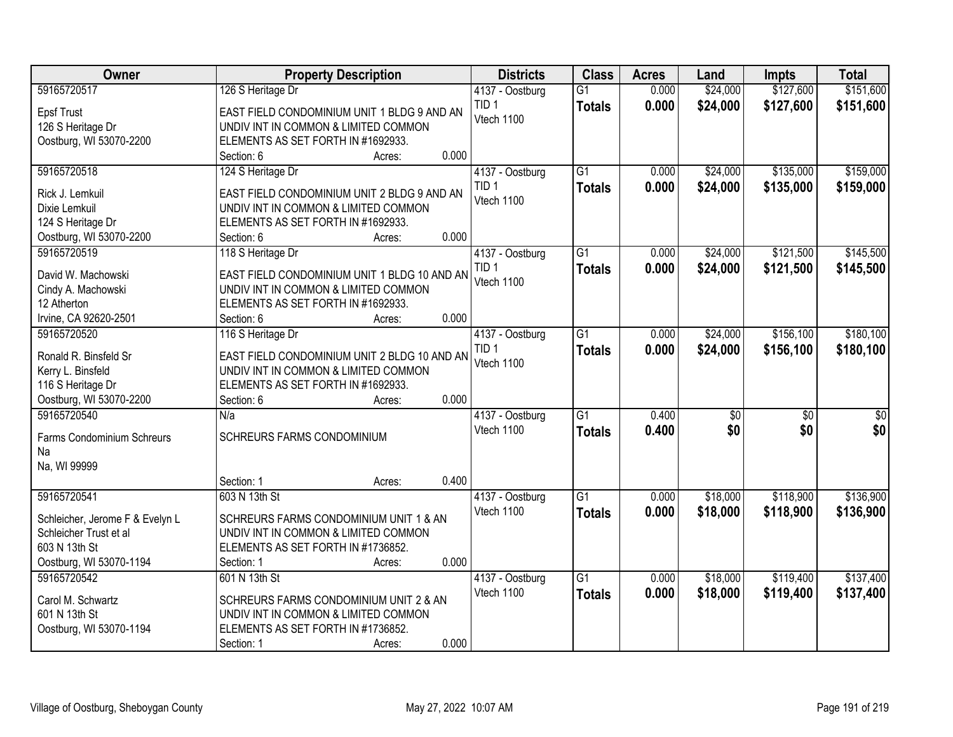| <b>Owner</b>                       | <b>Property Description</b>                                                | <b>Districts</b>                    | <b>Class</b>    | <b>Acres</b> | Land            | <b>Impts</b>    | <b>Total</b>    |
|------------------------------------|----------------------------------------------------------------------------|-------------------------------------|-----------------|--------------|-----------------|-----------------|-----------------|
| 59165720517                        | 126 S Heritage Dr                                                          | 4137 - Oostburg                     | $\overline{G1}$ | 0.000        | \$24,000        | \$127,600       | \$151,600       |
| <b>Epsf Trust</b>                  | EAST FIELD CONDOMINIUM UNIT 1 BLDG 9 AND AN                                | TID <sub>1</sub>                    | <b>Totals</b>   | 0.000        | \$24,000        | \$127,600       | \$151,600       |
| 126 S Heritage Dr                  | UNDIV INT IN COMMON & LIMITED COMMON                                       | Vtech 1100                          |                 |              |                 |                 |                 |
| Oostburg, WI 53070-2200            | ELEMENTS AS SET FORTH IN #1692933.                                         |                                     |                 |              |                 |                 |                 |
|                                    | 0.000<br>Section: 6<br>Acres:                                              |                                     |                 |              |                 |                 |                 |
| 59165720518                        | 124 S Heritage Dr                                                          | 4137 - Oostburg                     | $\overline{G1}$ | 0.000        | \$24,000        | \$135,000       | \$159,000       |
|                                    |                                                                            | TID <sub>1</sub>                    | <b>Totals</b>   | 0.000        | \$24,000        | \$135,000       | \$159,000       |
| Rick J. Lemkuil                    | EAST FIELD CONDOMINIUM UNIT 2 BLDG 9 AND AN                                | Vtech 1100                          |                 |              |                 |                 |                 |
| Dixie Lemkuil<br>124 S Heritage Dr | UNDIV INT IN COMMON & LIMITED COMMON<br>ELEMENTS AS SET FORTH IN #1692933. |                                     |                 |              |                 |                 |                 |
| Oostburg, WI 53070-2200            | 0.000<br>Section: 6<br>Acres:                                              |                                     |                 |              |                 |                 |                 |
| 59165720519                        |                                                                            |                                     | G1              | 0.000        | \$24,000        | \$121,500       | \$145,500       |
|                                    | 118 S Heritage Dr                                                          | 4137 - Oostburg<br>TID <sub>1</sub> |                 |              |                 |                 |                 |
| David W. Machowski                 | EAST FIELD CONDOMINIUM UNIT 1 BLDG 10 AND AN                               | Vtech 1100                          | <b>Totals</b>   | 0.000        | \$24,000        | \$121,500       | \$145,500       |
| Cindy A. Machowski                 | UNDIV INT IN COMMON & LIMITED COMMON                                       |                                     |                 |              |                 |                 |                 |
| 12 Atherton                        | ELEMENTS AS SET FORTH IN #1692933.                                         |                                     |                 |              |                 |                 |                 |
| Irvine, CA 92620-2501              | 0.000<br>Section: 6<br>Acres:                                              |                                     |                 |              |                 |                 |                 |
| 59165720520                        | 116 S Heritage Dr                                                          | 4137 - Oostburg                     | $\overline{G1}$ | 0.000        | \$24,000        | \$156,100       | \$180,100       |
| Ronald R. Binsfeld Sr              | EAST FIELD CONDOMINIUM UNIT 2 BLDG 10 AND AN                               | TID <sub>1</sub>                    | <b>Totals</b>   | 0.000        | \$24,000        | \$156,100       | \$180,100       |
| Kerry L. Binsfeld                  | UNDIV INT IN COMMON & LIMITED COMMON                                       | Vtech 1100                          |                 |              |                 |                 |                 |
| 116 S Heritage Dr                  | ELEMENTS AS SET FORTH IN #1692933.                                         |                                     |                 |              |                 |                 |                 |
| Oostburg, WI 53070-2200            | 0.000<br>Section: 6<br>Acres:                                              |                                     |                 |              |                 |                 |                 |
| 59165720540                        | N/a                                                                        | 4137 - Oostburg                     | $\overline{G1}$ | 0.400        | $\overline{50}$ | $\overline{50}$ | $\overline{50}$ |
|                                    |                                                                            | Vtech 1100                          | <b>Totals</b>   | 0.400        | \$0             | \$0             | \$0             |
| Farms Condominium Schreurs         | <b>SCHREURS FARMS CONDOMINIUM</b>                                          |                                     |                 |              |                 |                 |                 |
| Na                                 |                                                                            |                                     |                 |              |                 |                 |                 |
| Na, WI 99999                       |                                                                            |                                     |                 |              |                 |                 |                 |
|                                    | 0.400<br>Section: 1<br>Acres:                                              |                                     |                 |              |                 |                 |                 |
| 59165720541                        | 603 N 13th St                                                              | 4137 - Oostburg                     | $\overline{G1}$ | 0.000        | \$18,000        | \$118,900       | \$136,900       |
| Schleicher, Jerome F & Evelyn L    | SCHREURS FARMS CONDOMINIUM UNIT 1 & AN                                     | Vtech 1100                          | <b>Totals</b>   | 0.000        | \$18,000        | \$118,900       | \$136,900       |
| Schleicher Trust et al             | UNDIV INT IN COMMON & LIMITED COMMON                                       |                                     |                 |              |                 |                 |                 |
| 603 N 13th St                      | ELEMENTS AS SET FORTH IN #1736852.                                         |                                     |                 |              |                 |                 |                 |
| Oostburg, WI 53070-1194            | 0.000<br>Section: 1<br>Acres:                                              |                                     |                 |              |                 |                 |                 |
| 59165720542                        | 601 N 13th St                                                              | 4137 - Oostburg                     | $\overline{G1}$ | 0.000        | \$18,000        | \$119,400       | \$137,400       |
|                                    |                                                                            | Vtech 1100                          | <b>Totals</b>   | 0.000        | \$18,000        | \$119,400       | \$137,400       |
| Carol M. Schwartz                  | SCHREURS FARMS CONDOMINIUM UNIT 2 & AN                                     |                                     |                 |              |                 |                 |                 |
| 601 N 13th St                      | UNDIV INT IN COMMON & LIMITED COMMON                                       |                                     |                 |              |                 |                 |                 |
| Oostburg, WI 53070-1194            | ELEMENTS AS SET FORTH IN #1736852.                                         |                                     |                 |              |                 |                 |                 |
|                                    | 0.000<br>Section: 1<br>Acres:                                              |                                     |                 |              |                 |                 |                 |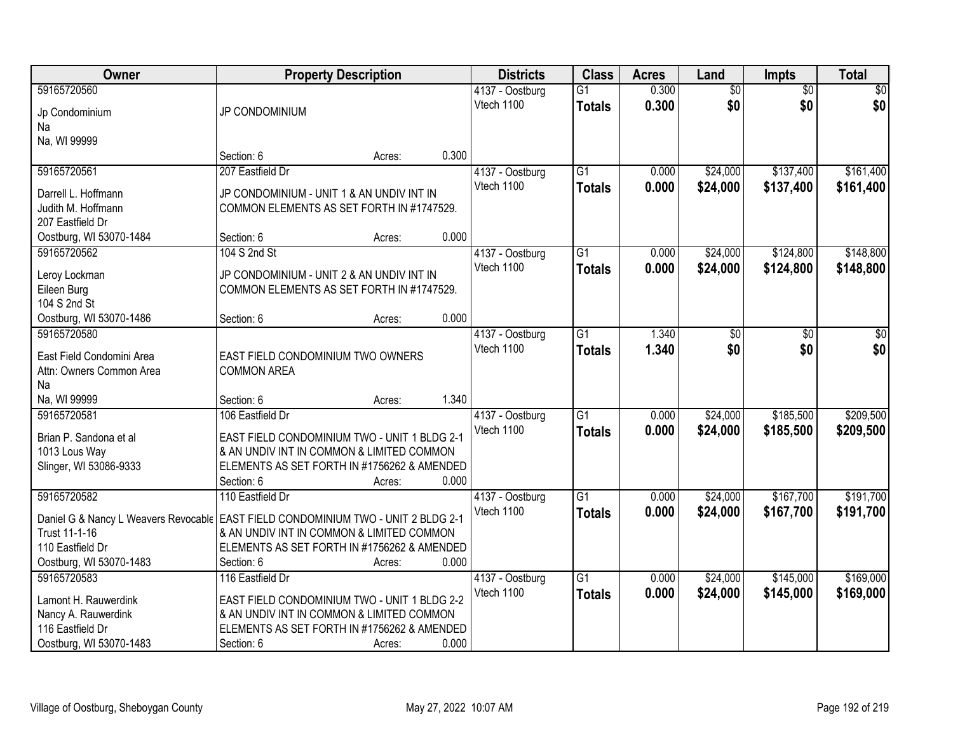| Owner                                | <b>Property Description</b>                               |        | <b>Districts</b> | <b>Class</b>    | <b>Acres</b> | Land            | Impts           | <b>Total</b>    |
|--------------------------------------|-----------------------------------------------------------|--------|------------------|-----------------|--------------|-----------------|-----------------|-----------------|
| 59165720560                          |                                                           |        | 4137 - Oostburg  | $\overline{G1}$ | 0.300        | $\overline{50}$ | $\overline{50}$ | $\overline{50}$ |
| Jp Condominium                       | JP CONDOMINIUM                                            |        | Vtech 1100       | <b>Totals</b>   | 0.300        | \$0             | \$0             | \$0             |
| Na                                   |                                                           |        |                  |                 |              |                 |                 |                 |
| Na, WI 99999                         |                                                           |        |                  |                 |              |                 |                 |                 |
|                                      | Section: 6                                                | Acres: | 0.300            |                 |              |                 |                 |                 |
| 59165720561                          | 207 Eastfield Dr                                          |        | 4137 - Oostburg  | $\overline{G1}$ | 0.000        | \$24,000        | \$137,400       | \$161,400       |
| Darrell L. Hoffmann                  | JP CONDOMINIUM - UNIT 1 & AN UNDIV INT IN                 |        | Vtech 1100       | <b>Totals</b>   | 0.000        | \$24,000        | \$137,400       | \$161,400       |
| Judith M. Hoffmann                   | COMMON ELEMENTS AS SET FORTH IN #1747529.                 |        |                  |                 |              |                 |                 |                 |
| 207 Eastfield Dr                     |                                                           |        |                  |                 |              |                 |                 |                 |
| Oostburg, WI 53070-1484              | Section: 6                                                | Acres: | 0.000            |                 |              |                 |                 |                 |
| 59165720562                          | 104 S 2nd St                                              |        | 4137 - Oostburg  | $\overline{G1}$ | 0.000        | \$24,000        | \$124,800       | \$148,800       |
|                                      | JP CONDOMINIUM - UNIT 2 & AN UNDIV INT IN                 |        | Vtech 1100       | <b>Totals</b>   | 0.000        | \$24,000        | \$124,800       | \$148,800       |
| Leroy Lockman<br>Eileen Burg         | COMMON ELEMENTS AS SET FORTH IN #1747529.                 |        |                  |                 |              |                 |                 |                 |
| 104 S 2nd St                         |                                                           |        |                  |                 |              |                 |                 |                 |
| Oostburg, WI 53070-1486              | Section: 6                                                | Acres: | 0.000            |                 |              |                 |                 |                 |
| 59165720580                          |                                                           |        | 4137 - Oostburg  | $\overline{G1}$ | 1.340        | \$0             | \$0             | \$0             |
|                                      |                                                           |        | Vtech 1100       | <b>Totals</b>   | 1.340        | \$0             | \$0             | \$0             |
| East Field Condomini Area            | EAST FIELD CONDOMINIUM TWO OWNERS                         |        |                  |                 |              |                 |                 |                 |
| Attn: Owners Common Area<br>Na       | <b>COMMON AREA</b>                                        |        |                  |                 |              |                 |                 |                 |
| Na, WI 99999                         | Section: 6                                                | Acres: | 1.340            |                 |              |                 |                 |                 |
| 59165720581                          | 106 Eastfield Dr                                          |        | 4137 - Oostburg  | $\overline{G1}$ | 0.000        | \$24,000        | \$185,500       | \$209,500       |
|                                      |                                                           |        | Vtech 1100       | <b>Totals</b>   | 0.000        | \$24,000        | \$185,500       | \$209,500       |
| Brian P. Sandona et al               | EAST FIELD CONDOMINIUM TWO - UNIT 1 BLDG 2-1              |        |                  |                 |              |                 |                 |                 |
| 1013 Lous Way                        | & AN UNDIV INT IN COMMON & LIMITED COMMON                 |        |                  |                 |              |                 |                 |                 |
| Slinger, WI 53086-9333               | ELEMENTS AS SET FORTH IN #1756262 & AMENDED<br>Section: 6 | Acres: | 0.000            |                 |              |                 |                 |                 |
| 59165720582                          | 110 Eastfield Dr                                          |        | 4137 - Oostburg  | G1              | 0.000        | \$24,000        | \$167,700       | \$191,700       |
|                                      |                                                           |        | Vtech 1100       | <b>Totals</b>   | 0.000        | \$24,000        | \$167,700       | \$191,700       |
| Daniel G & Nancy L Weavers Revocable | <b>EAST FIELD CONDOMINIUM TWO - UNIT 2 BLDG 2-1</b>       |        |                  |                 |              |                 |                 |                 |
| Trust 11-1-16                        | & AN UNDIV INT IN COMMON & LIMITED COMMON                 |        |                  |                 |              |                 |                 |                 |
| 110 Eastfield Dr                     | ELEMENTS AS SET FORTH IN #1756262 & AMENDED               |        |                  |                 |              |                 |                 |                 |
| Oostburg, WI 53070-1483              | Section: 6                                                | Acres: | 0.000            |                 |              |                 |                 |                 |
| 59165720583                          | 116 Eastfield Dr                                          |        | 4137 - Oostburg  | $\overline{G1}$ | 0.000        | \$24,000        | \$145,000       | \$169,000       |
| Lamont H. Rauwerdink                 | EAST FIELD CONDOMINIUM TWO - UNIT 1 BLDG 2-2              |        | Vtech 1100       | <b>Totals</b>   | 0.000        | \$24,000        | \$145,000       | \$169,000       |
| Nancy A. Rauwerdink                  | & AN UNDIV INT IN COMMON & LIMITED COMMON                 |        |                  |                 |              |                 |                 |                 |
| 116 Eastfield Dr                     | ELEMENTS AS SET FORTH IN #1756262 & AMENDED               |        |                  |                 |              |                 |                 |                 |
| Oostburg, WI 53070-1483              | Section: 6                                                | Acres: | 0.000            |                 |              |                 |                 |                 |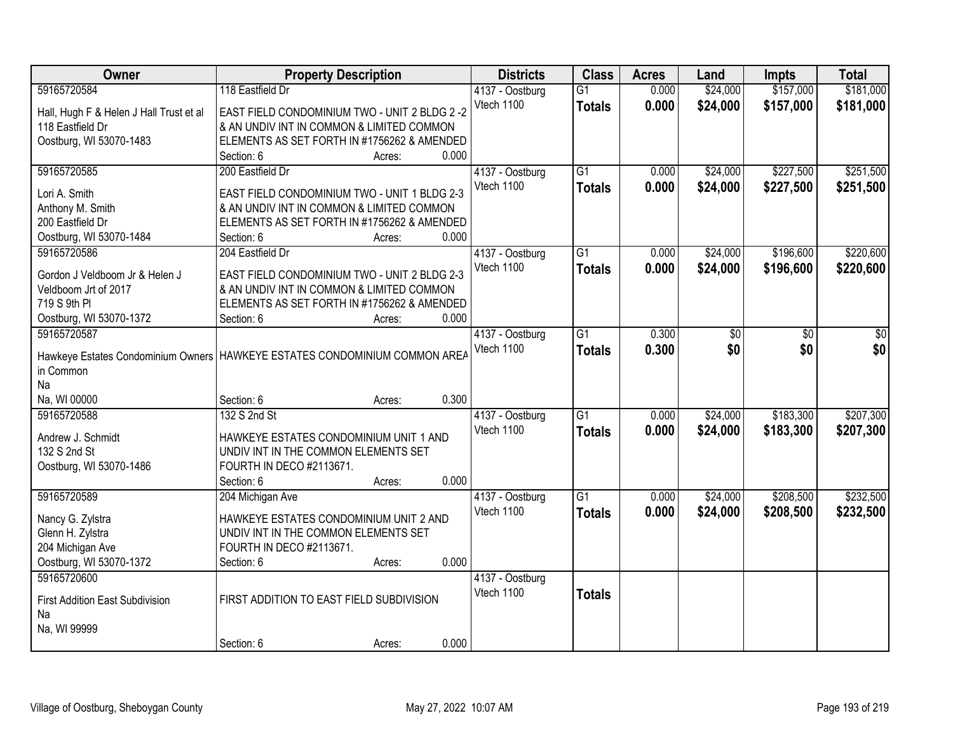| Owner                                   | <b>Property Description</b>                                                  | <b>Districts</b> | <b>Class</b>    | <b>Acres</b> | Land     | <b>Impts</b> | <b>Total</b> |
|-----------------------------------------|------------------------------------------------------------------------------|------------------|-----------------|--------------|----------|--------------|--------------|
| 59165720584                             | 118 Eastfield Dr                                                             | 4137 - Oostburg  | $\overline{G1}$ | 0.000        | \$24,000 | \$157,000    | \$181,000    |
| Hall, Hugh F & Helen J Hall Trust et al | EAST FIELD CONDOMINIUM TWO - UNIT 2 BLDG 2 -2                                | Vtech 1100       | <b>Totals</b>   | 0.000        | \$24,000 | \$157,000    | \$181,000    |
| 118 Eastfield Dr                        | & AN UNDIV INT IN COMMON & LIMITED COMMON                                    |                  |                 |              |          |              |              |
| Oostburg, WI 53070-1483                 | ELEMENTS AS SET FORTH IN #1756262 & AMENDED                                  |                  |                 |              |          |              |              |
|                                         | 0.000<br>Section: 6<br>Acres:                                                |                  |                 |              |          |              |              |
| 59165720585                             | 200 Eastfield Dr                                                             | 4137 - Oostburg  | $\overline{G1}$ | 0.000        | \$24,000 | \$227,500    | \$251,500    |
|                                         |                                                                              | Vtech 1100       | <b>Totals</b>   | 0.000        | \$24,000 | \$227,500    | \$251,500    |
| Lori A. Smith                           | EAST FIELD CONDOMINIUM TWO - UNIT 1 BLDG 2-3                                 |                  |                 |              |          |              |              |
| Anthony M. Smith                        | & AN UNDIV INT IN COMMON & LIMITED COMMON                                    |                  |                 |              |          |              |              |
| 200 Eastfield Dr                        | ELEMENTS AS SET FORTH IN #1756262 & AMENDED                                  |                  |                 |              |          |              |              |
| Oostburg, WI 53070-1484                 | 0.000<br>Section: 6<br>Acres:                                                |                  |                 |              |          |              |              |
| 59165720586                             | 204 Eastfield Dr                                                             | 4137 - Oostburg  | $\overline{G1}$ | 0.000        | \$24,000 | \$196,600    | \$220,600    |
| Gordon J Veldboom Jr & Helen J          | EAST FIELD CONDOMINIUM TWO - UNIT 2 BLDG 2-3                                 | Vtech 1100       | <b>Totals</b>   | 0.000        | \$24,000 | \$196,600    | \$220,600    |
| Veldboom Jrt of 2017                    | & AN UNDIV INT IN COMMON & LIMITED COMMON                                    |                  |                 |              |          |              |              |
| 719 S 9th PI                            | ELEMENTS AS SET FORTH IN #1756262 & AMENDED                                  |                  |                 |              |          |              |              |
| Oostburg, WI 53070-1372                 | 0.000<br>Section: 6<br>Acres:                                                |                  |                 |              |          |              |              |
| 59165720587                             |                                                                              | 4137 - Oostburg  | $\overline{G1}$ | 0.300        | \$0      | \$0          | \$0          |
|                                         |                                                                              | Vtech 1100       | <b>Totals</b>   | 0.300        | \$0      | \$0          | \$0          |
|                                         | Hawkeye Estates Condominium Owners   HAWKEYE ESTATES CONDOMINIUM COMMON AREA |                  |                 |              |          |              |              |
| in Common                               |                                                                              |                  |                 |              |          |              |              |
| Na                                      |                                                                              |                  |                 |              |          |              |              |
| Na, WI 00000                            | 0.300<br>Section: 6<br>Acres:                                                |                  |                 |              |          |              |              |
| 59165720588                             | 132 S 2nd St                                                                 | 4137 - Oostburg  | $\overline{G1}$ | 0.000        | \$24,000 | \$183,300    | \$207,300    |
| Andrew J. Schmidt                       | HAWKEYE ESTATES CONDOMINIUM UNIT 1 AND                                       | Vtech 1100       | <b>Totals</b>   | 0.000        | \$24,000 | \$183,300    | \$207,300    |
| 132 S 2nd St                            | UNDIV INT IN THE COMMON ELEMENTS SET                                         |                  |                 |              |          |              |              |
| Oostburg, WI 53070-1486                 | FOURTH IN DECO #2113671.                                                     |                  |                 |              |          |              |              |
|                                         | 0.000<br>Section: 6<br>Acres:                                                |                  |                 |              |          |              |              |
| 59165720589                             | 204 Michigan Ave                                                             | 4137 - Oostburg  | $\overline{G1}$ | 0.000        | \$24,000 | \$208,500    | \$232,500    |
|                                         |                                                                              | Vtech 1100       |                 |              |          |              |              |
| Nancy G. Zylstra                        | HAWKEYE ESTATES CONDOMINIUM UNIT 2 AND                                       |                  | <b>Totals</b>   | 0.000        | \$24,000 | \$208,500    | \$232,500    |
| Glenn H. Zylstra                        | UNDIV INT IN THE COMMON ELEMENTS SET                                         |                  |                 |              |          |              |              |
| 204 Michigan Ave                        | FOURTH IN DECO #2113671.                                                     |                  |                 |              |          |              |              |
| Oostburg, WI 53070-1372                 | 0.000<br>Section: 6<br>Acres:                                                |                  |                 |              |          |              |              |
| 59165720600                             |                                                                              | 4137 - Oostburg  |                 |              |          |              |              |
| <b>First Addition East Subdivision</b>  | FIRST ADDITION TO EAST FIELD SUBDIVISION                                     | Vtech 1100       | <b>Totals</b>   |              |          |              |              |
|                                         |                                                                              |                  |                 |              |          |              |              |
| Na                                      |                                                                              |                  |                 |              |          |              |              |
| Na, WI 99999                            |                                                                              |                  |                 |              |          |              |              |
|                                         | 0.000<br>Section: 6<br>Acres:                                                |                  |                 |              |          |              |              |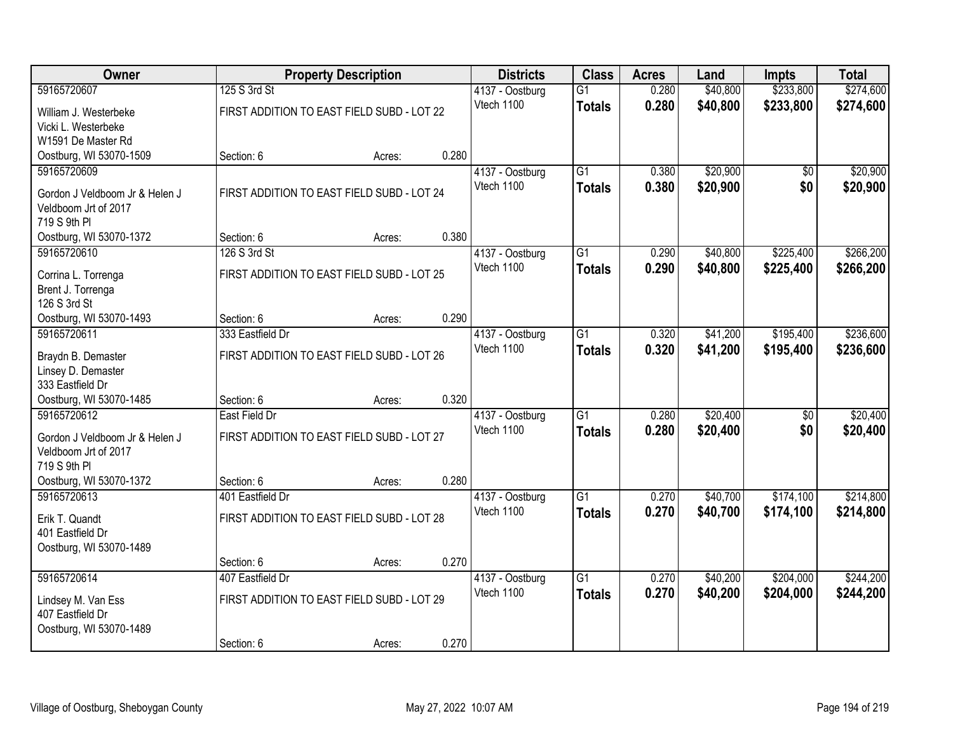| Owner                          |                                            | <b>Property Description</b> |       | <b>Districts</b> | <b>Class</b>    | <b>Acres</b> | Land     | <b>Impts</b>    | <b>Total</b> |
|--------------------------------|--------------------------------------------|-----------------------------|-------|------------------|-----------------|--------------|----------|-----------------|--------------|
| 59165720607                    | 125 S 3rd St                               |                             |       | 4137 - Oostburg  | $\overline{G1}$ | 0.280        | \$40,800 | \$233,800       | \$274,600    |
| William J. Westerbeke          | FIRST ADDITION TO EAST FIELD SUBD - LOT 22 |                             |       | Vtech 1100       | <b>Totals</b>   | 0.280        | \$40,800 | \$233,800       | \$274,600    |
| Vicki L. Westerbeke            |                                            |                             |       |                  |                 |              |          |                 |              |
| W1591 De Master Rd             |                                            |                             |       |                  |                 |              |          |                 |              |
| Oostburg, WI 53070-1509        | Section: 6                                 | Acres:                      | 0.280 |                  |                 |              |          |                 |              |
| 59165720609                    |                                            |                             |       | 4137 - Oostburg  | $\overline{G1}$ | 0.380        | \$20,900 | \$0             | \$20,900     |
| Gordon J Veldboom Jr & Helen J | FIRST ADDITION TO EAST FIELD SUBD - LOT 24 |                             |       | Vtech 1100       | <b>Totals</b>   | 0.380        | \$20,900 | \$0             | \$20,900     |
| Veldboom Jrt of 2017           |                                            |                             |       |                  |                 |              |          |                 |              |
| 719 S 9th PI                   |                                            |                             |       |                  |                 |              |          |                 |              |
| Oostburg, WI 53070-1372        | Section: 6                                 | Acres:                      | 0.380 |                  |                 |              |          |                 |              |
| 59165720610                    | 126 S 3rd St                               |                             |       | 4137 - Oostburg  | $\overline{G1}$ | 0.290        | \$40,800 | \$225,400       | \$266,200    |
| Corrina L. Torrenga            | FIRST ADDITION TO EAST FIELD SUBD - LOT 25 |                             |       | Vtech 1100       | <b>Totals</b>   | 0.290        | \$40,800 | \$225,400       | \$266,200    |
| Brent J. Torrenga              |                                            |                             |       |                  |                 |              |          |                 |              |
| 126 S 3rd St                   |                                            |                             |       |                  |                 |              |          |                 |              |
| Oostburg, WI 53070-1493        | Section: 6                                 | Acres:                      | 0.290 |                  |                 |              |          |                 |              |
| 59165720611                    | 333 Eastfield Dr                           |                             |       | 4137 - Oostburg  | $\overline{G1}$ | 0.320        | \$41,200 | \$195,400       | \$236,600    |
| Braydn B. Demaster             | FIRST ADDITION TO EAST FIELD SUBD - LOT 26 |                             |       | Vtech 1100       | <b>Totals</b>   | 0.320        | \$41,200 | \$195,400       | \$236,600    |
| Linsey D. Demaster             |                                            |                             |       |                  |                 |              |          |                 |              |
| 333 Eastfield Dr               |                                            |                             |       |                  |                 |              |          |                 |              |
| Oostburg, WI 53070-1485        | Section: 6                                 | Acres:                      | 0.320 |                  |                 |              |          |                 |              |
| 59165720612                    | East Field Dr                              |                             |       | 4137 - Oostburg  | $\overline{G1}$ | 0.280        | \$20,400 | $\overline{60}$ | \$20,400     |
| Gordon J Veldboom Jr & Helen J | FIRST ADDITION TO EAST FIELD SUBD - LOT 27 |                             |       | Vtech 1100       | <b>Totals</b>   | 0.280        | \$20,400 | \$0             | \$20,400     |
| Veldboom Jrt of 2017           |                                            |                             |       |                  |                 |              |          |                 |              |
| 719 S 9th PI                   |                                            |                             |       |                  |                 |              |          |                 |              |
| Oostburg, WI 53070-1372        | Section: 6                                 | Acres:                      | 0.280 |                  |                 |              |          |                 |              |
| 59165720613                    | 401 Eastfield Dr                           |                             |       | 4137 - Oostburg  | $\overline{G1}$ | 0.270        | \$40,700 | \$174,100       | \$214,800    |
| Erik T. Quandt                 | FIRST ADDITION TO EAST FIELD SUBD - LOT 28 |                             |       | Vtech 1100       | <b>Totals</b>   | 0.270        | \$40,700 | \$174,100       | \$214,800    |
| 401 Eastfield Dr               |                                            |                             |       |                  |                 |              |          |                 |              |
| Oostburg, WI 53070-1489        |                                            |                             |       |                  |                 |              |          |                 |              |
|                                | Section: 6                                 | Acres:                      | 0.270 |                  |                 |              |          |                 |              |
| 59165720614                    | 407 Eastfield Dr                           |                             |       | 4137 - Oostburg  | $\overline{G1}$ | 0.270        | \$40,200 | \$204,000       | \$244,200    |
| Lindsey M. Van Ess             | FIRST ADDITION TO EAST FIELD SUBD - LOT 29 |                             |       | Vtech 1100       | <b>Totals</b>   | 0.270        | \$40,200 | \$204,000       | \$244,200    |
| 407 Eastfield Dr               |                                            |                             |       |                  |                 |              |          |                 |              |
| Oostburg, WI 53070-1489        |                                            |                             |       |                  |                 |              |          |                 |              |
|                                | Section: 6                                 | Acres:                      | 0.270 |                  |                 |              |          |                 |              |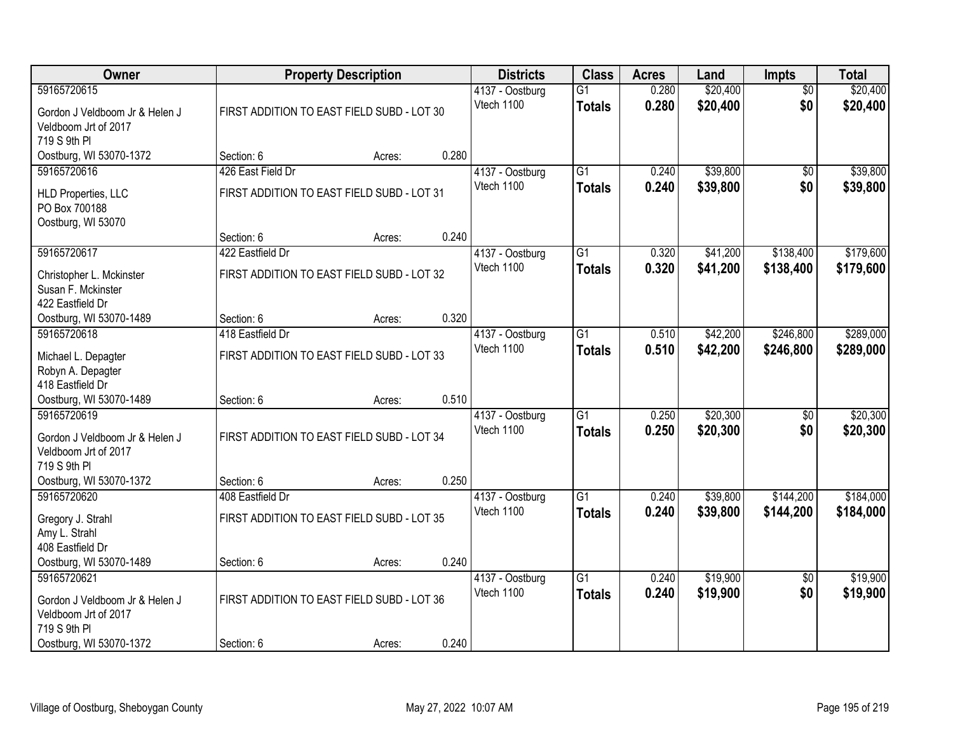| Owner                                                                                 |                                            | <b>Property Description</b> |       | <b>Districts</b>              | <b>Class</b>                     | <b>Acres</b>   | Land                 | <b>Impts</b>           | <b>Total</b>         |
|---------------------------------------------------------------------------------------|--------------------------------------------|-----------------------------|-------|-------------------------------|----------------------------------|----------------|----------------------|------------------------|----------------------|
| 59165720615                                                                           |                                            |                             |       | 4137 - Oostburg               | $\overline{G1}$                  | 0.280          | \$20,400             | $\overline{50}$        | \$20,400             |
| Gordon J Veldboom Jr & Helen J<br>Veldboom Jrt of 2017<br>719 S 9th PI                | FIRST ADDITION TO EAST FIELD SUBD - LOT 30 |                             |       | Vtech 1100                    | <b>Totals</b>                    | 0.280          | \$20,400             | \$0                    | \$20,400             |
| Oostburg, WI 53070-1372                                                               | Section: 6                                 | Acres:                      | 0.280 |                               |                                  |                |                      |                        |                      |
| 59165720616                                                                           | 426 East Field Dr                          |                             |       | 4137 - Oostburg               | $\overline{G1}$                  | 0.240          | \$39,800             | \$0                    | \$39,800             |
| <b>HLD Properties, LLC</b><br>PO Box 700188<br>Oostburg, WI 53070                     | FIRST ADDITION TO EAST FIELD SUBD - LOT 31 |                             |       | Vtech 1100                    | <b>Totals</b>                    | 0.240          | \$39,800             | \$0                    | \$39,800             |
|                                                                                       | Section: 6                                 | Acres:                      | 0.240 |                               |                                  |                |                      |                        |                      |
| 59165720617                                                                           | 422 Eastfield Dr                           |                             |       | 4137 - Oostburg               | G1                               | 0.320          | \$41,200             | \$138,400              | \$179,600            |
| Christopher L. Mckinster<br>Susan F. Mckinster<br>422 Eastfield Dr                    | FIRST ADDITION TO EAST FIELD SUBD - LOT 32 |                             |       | Vtech 1100                    | <b>Totals</b>                    | 0.320          | \$41,200             | \$138,400              | \$179,600            |
| Oostburg, WI 53070-1489                                                               | Section: 6                                 | Acres:                      | 0.320 |                               |                                  |                |                      |                        |                      |
| 59165720618                                                                           | 418 Eastfield Dr                           |                             |       | 4137 - Oostburg               | $\overline{G1}$                  | 0.510          | \$42,200             | \$246,800              | \$289,000            |
| Michael L. Depagter<br>Robyn A. Depagter<br>418 Eastfield Dr                          | FIRST ADDITION TO EAST FIELD SUBD - LOT 33 |                             |       | Vtech 1100                    | <b>Totals</b>                    | 0.510          | \$42,200             | \$246,800              | \$289,000            |
| Oostburg, WI 53070-1489                                                               | Section: 6                                 | Acres:                      | 0.510 |                               |                                  |                |                      |                        |                      |
| 59165720619<br>Gordon J Veldboom Jr & Helen J<br>Veldboom Jrt of 2017<br>719 S 9th PI | FIRST ADDITION TO EAST FIELD SUBD - LOT 34 |                             |       | 4137 - Oostburg<br>Vtech 1100 | $\overline{G1}$<br><b>Totals</b> | 0.250<br>0.250 | \$20,300<br>\$20,300 | $\overline{50}$<br>\$0 | \$20,300<br>\$20,300 |
| Oostburg, WI 53070-1372                                                               | Section: 6                                 | Acres:                      | 0.250 |                               |                                  |                |                      |                        |                      |
| 59165720620                                                                           | 408 Eastfield Dr                           |                             |       | 4137 - Oostburg               | $\overline{G1}$                  | 0.240          | \$39,800             | \$144,200              | \$184,000            |
| Gregory J. Strahl<br>Amy L. Strahl<br>408 Eastfield Dr                                | FIRST ADDITION TO EAST FIELD SUBD - LOT 35 |                             |       | Vtech 1100                    | <b>Totals</b>                    | 0.240          | \$39,800             | \$144,200              | \$184,000            |
| Oostburg, WI 53070-1489                                                               | Section: 6                                 | Acres:                      | 0.240 |                               |                                  |                |                      |                        |                      |
| 59165720621<br>Gordon J Veldboom Jr & Helen J<br>Veldboom Jrt of 2017<br>719 S 9th PI | FIRST ADDITION TO EAST FIELD SUBD - LOT 36 |                             |       | 4137 - Oostburg<br>Vtech 1100 | $\overline{G1}$<br><b>Totals</b> | 0.240<br>0.240 | \$19,900<br>\$19,900 | $\overline{50}$<br>\$0 | \$19,900<br>\$19,900 |
| Oostburg, WI 53070-1372                                                               | Section: 6                                 | Acres:                      | 0.240 |                               |                                  |                |                      |                        |                      |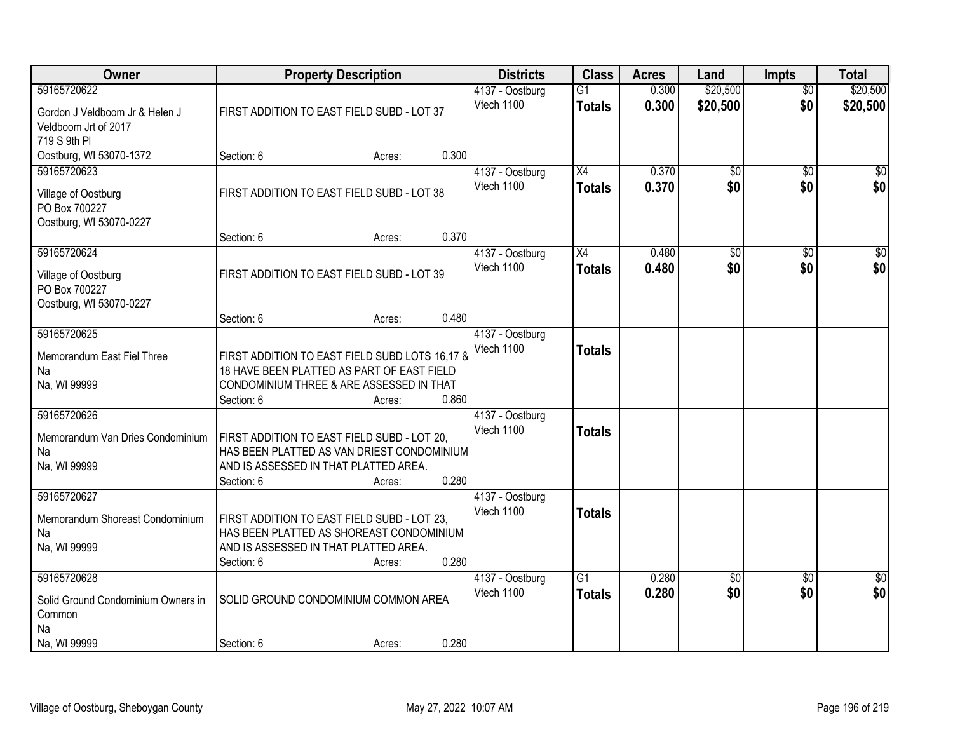| Owner                                                                             | <b>Property Description</b>                                                                                                                                      |       | <b>Districts</b>              | <b>Class</b>                     | <b>Acres</b>   | Land                   | <b>Impts</b>           | <b>Total</b>    |
|-----------------------------------------------------------------------------------|------------------------------------------------------------------------------------------------------------------------------------------------------------------|-------|-------------------------------|----------------------------------|----------------|------------------------|------------------------|-----------------|
| 59165720622                                                                       |                                                                                                                                                                  |       | 4137 - Oostburg               | $\overline{G1}$                  | 0.300          | \$20,500               | $\overline{50}$        | \$20,500        |
| Gordon J Veldboom Jr & Helen J<br>Veldboom Jrt of 2017<br>719 S 9th PI            | FIRST ADDITION TO EAST FIELD SUBD - LOT 37                                                                                                                       |       | Vtech 1100                    | <b>Totals</b>                    | 0.300          | \$20,500               | \$0                    | \$20,500        |
| Oostburg, WI 53070-1372                                                           | Section: 6<br>Acres:                                                                                                                                             | 0.300 |                               |                                  |                |                        |                        |                 |
| 59165720623<br>Village of Oostburg<br>PO Box 700227<br>Oostburg, WI 53070-0227    | FIRST ADDITION TO EAST FIELD SUBD - LOT 38<br>Section: 6<br>Acres:                                                                                               | 0.370 | 4137 - Oostburg<br>Vtech 1100 | X4<br><b>Totals</b>              | 0.370<br>0.370 | \$0<br>\$0             | $\overline{50}$<br>\$0 | \$0<br>\$0      |
| 59165720624                                                                       |                                                                                                                                                                  |       | 4137 - Oostburg               | X4                               | 0.480          | \$0                    | \$0                    | $\overline{50}$ |
| Village of Oostburg<br>PO Box 700227<br>Oostburg, WI 53070-0227                   | FIRST ADDITION TO EAST FIELD SUBD - LOT 39                                                                                                                       |       | Vtech 1100                    | <b>Totals</b>                    | 0.480          | \$0                    | \$0                    | \$0             |
|                                                                                   | Section: 6<br>Acres:                                                                                                                                             | 0.480 |                               |                                  |                |                        |                        |                 |
| 59165720625<br>Memorandum East Fiel Three<br>Na<br>Na, WI 99999                   | FIRST ADDITION TO EAST FIELD SUBD LOTS 16,17 &<br>18 HAVE BEEN PLATTED AS PART OF EAST FIELD<br>CONDOMINIUM THREE & ARE ASSESSED IN THAT<br>Section: 6<br>Acres: | 0.860 | 4137 - Oostburg<br>Vtech 1100 | <b>Totals</b>                    |                |                        |                        |                 |
| 59165720626                                                                       |                                                                                                                                                                  |       | 4137 - Oostburg<br>Vtech 1100 | <b>Totals</b>                    |                |                        |                        |                 |
| Memorandum Van Dries Condominium<br>Na<br>Na, WI 99999                            | FIRST ADDITION TO EAST FIELD SUBD - LOT 20,<br>HAS BEEN PLATTED AS VAN DRIEST CONDOMINIUM<br>AND IS ASSESSED IN THAT PLATTED AREA.<br>Section: 6<br>Acres:       | 0.280 |                               |                                  |                |                        |                        |                 |
| 59165720627<br>Memorandum Shoreast Condominium<br>Na<br>Na, WI 99999              | FIRST ADDITION TO EAST FIELD SUBD - LOT 23,<br>HAS BEEN PLATTED AS SHOREAST CONDOMINIUM<br>AND IS ASSESSED IN THAT PLATTED AREA.<br>Section: 6<br>Acres:         | 0.280 | 4137 - Oostburg<br>Vtech 1100 | <b>Totals</b>                    |                |                        |                        |                 |
| 59165720628<br>Solid Ground Condominium Owners in<br>Common<br>Na<br>Na, WI 99999 | SOLID GROUND CONDOMINIUM COMMON AREA<br>Section: 6<br>Acres:                                                                                                     | 0.280 | 4137 - Oostburg<br>Vtech 1100 | $\overline{G1}$<br><b>Totals</b> | 0.280<br>0.280 | $\overline{50}$<br>\$0 | $\overline{30}$<br>\$0 | \$0<br>\$0      |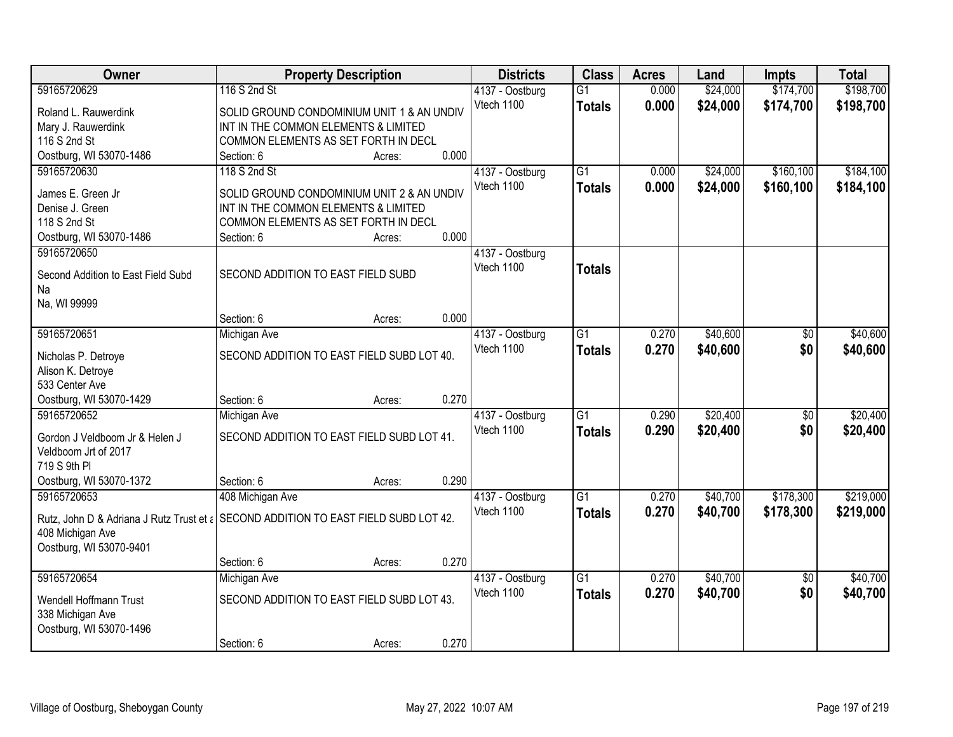| Owner                                                                               | <b>Property Description</b>                |        |       | <b>Districts</b> | <b>Class</b>    | <b>Acres</b> | Land     | <b>Impts</b>    | <b>Total</b> |
|-------------------------------------------------------------------------------------|--------------------------------------------|--------|-------|------------------|-----------------|--------------|----------|-----------------|--------------|
| 59165720629                                                                         | 116 S 2nd St                               |        |       | 4137 - Oostburg  | $\overline{G1}$ | 0.000        | \$24,000 | \$174,700       | \$198,700    |
| Roland L. Rauwerdink                                                                | SOLID GROUND CONDOMINIUM UNIT 1 & AN UNDIV |        |       | Vtech 1100       | <b>Totals</b>   | 0.000        | \$24,000 | \$174,700       | \$198,700    |
| Mary J. Rauwerdink                                                                  | INT IN THE COMMON ELEMENTS & LIMITED       |        |       |                  |                 |              |          |                 |              |
| 116 S 2nd St                                                                        | COMMON ELEMENTS AS SET FORTH IN DECL       |        |       |                  |                 |              |          |                 |              |
| Oostburg, WI 53070-1486                                                             | Section: 6                                 | Acres: | 0.000 |                  |                 |              |          |                 |              |
| 59165720630                                                                         | 118 S 2nd St                               |        |       | 4137 - Oostburg  | $\overline{G1}$ | 0.000        | \$24,000 | \$160,100       | \$184,100    |
|                                                                                     |                                            |        |       | Vtech 1100       | <b>Totals</b>   | 0.000        | \$24,000 | \$160,100       | \$184,100    |
| James E. Green Jr                                                                   | SOLID GROUND CONDOMINIUM UNIT 2 & AN UNDIV |        |       |                  |                 |              |          |                 |              |
| Denise J. Green                                                                     | INT IN THE COMMON ELEMENTS & LIMITED       |        |       |                  |                 |              |          |                 |              |
| 118 S 2nd St                                                                        | COMMON ELEMENTS AS SET FORTH IN DECL       |        |       |                  |                 |              |          |                 |              |
| Oostburg, WI 53070-1486                                                             | Section: 6                                 | Acres: | 0.000 |                  |                 |              |          |                 |              |
| 59165720650                                                                         |                                            |        |       | 4137 - Oostburg  |                 |              |          |                 |              |
| Second Addition to East Field Subd                                                  | SECOND ADDITION TO EAST FIELD SUBD         |        |       | Vtech 1100       | <b>Totals</b>   |              |          |                 |              |
| Na                                                                                  |                                            |        |       |                  |                 |              |          |                 |              |
| Na, WI 99999                                                                        |                                            |        |       |                  |                 |              |          |                 |              |
|                                                                                     | Section: 6                                 | Acres: | 0.000 |                  |                 |              |          |                 |              |
| 59165720651                                                                         | Michigan Ave                               |        |       | 4137 - Oostburg  | $\overline{G1}$ | 0.270        | \$40,600 | \$0             | \$40,600     |
|                                                                                     | SECOND ADDITION TO EAST FIELD SUBD LOT 40. |        |       | Vtech 1100       | <b>Totals</b>   | 0.270        | \$40,600 | \$0             | \$40,600     |
| Nicholas P. Detroye<br>Alison K. Detroye                                            |                                            |        |       |                  |                 |              |          |                 |              |
| 533 Center Ave                                                                      |                                            |        |       |                  |                 |              |          |                 |              |
| Oostburg, WI 53070-1429                                                             | Section: 6                                 | Acres: | 0.270 |                  |                 |              |          |                 |              |
| 59165720652                                                                         | Michigan Ave                               |        |       | 4137 - Oostburg  | $\overline{G1}$ | 0.290        | \$20,400 | $\overline{60}$ | \$20,400     |
|                                                                                     |                                            |        |       | Vtech 1100       |                 | 0.290        | \$20,400 | \$0             |              |
| Gordon J Veldboom Jr & Helen J                                                      | SECOND ADDITION TO EAST FIELD SUBD LOT 41. |        |       |                  | <b>Totals</b>   |              |          |                 | \$20,400     |
| Veldboom Jrt of 2017                                                                |                                            |        |       |                  |                 |              |          |                 |              |
| 719 S 9th PI                                                                        |                                            |        |       |                  |                 |              |          |                 |              |
| Oostburg, WI 53070-1372                                                             | Section: 6                                 | Acres: | 0.290 |                  |                 |              |          |                 |              |
| 59165720653                                                                         | 408 Michigan Ave                           |        |       | 4137 - Oostburg  | $\overline{G1}$ | 0.270        | \$40,700 | \$178,300       | \$219,000    |
| Rutz, John D & Adriana J Rutz Trust et ¿ SECOND ADDITION TO EAST FIELD SUBD LOT 42. |                                            |        |       | Vtech 1100       | <b>Totals</b>   | 0.270        | \$40,700 | \$178,300       | \$219,000    |
| 408 Michigan Ave                                                                    |                                            |        |       |                  |                 |              |          |                 |              |
| Oostburg, WI 53070-9401                                                             |                                            |        |       |                  |                 |              |          |                 |              |
|                                                                                     | Section: 6                                 | Acres: | 0.270 |                  |                 |              |          |                 |              |
| 59165720654                                                                         | Michigan Ave                               |        |       | 4137 - Oostburg  | $\overline{G1}$ | 0.270        | \$40,700 | $\overline{50}$ | \$40,700     |
|                                                                                     |                                            |        |       | Vtech 1100       | <b>Totals</b>   | 0.270        | \$40,700 | \$0             | \$40,700     |
| Wendell Hoffmann Trust                                                              | SECOND ADDITION TO EAST FIELD SUBD LOT 43. |        |       |                  |                 |              |          |                 |              |
| 338 Michigan Ave                                                                    |                                            |        |       |                  |                 |              |          |                 |              |
| Oostburg, WI 53070-1496                                                             |                                            |        |       |                  |                 |              |          |                 |              |
|                                                                                     | Section: 6                                 | Acres: | 0.270 |                  |                 |              |          |                 |              |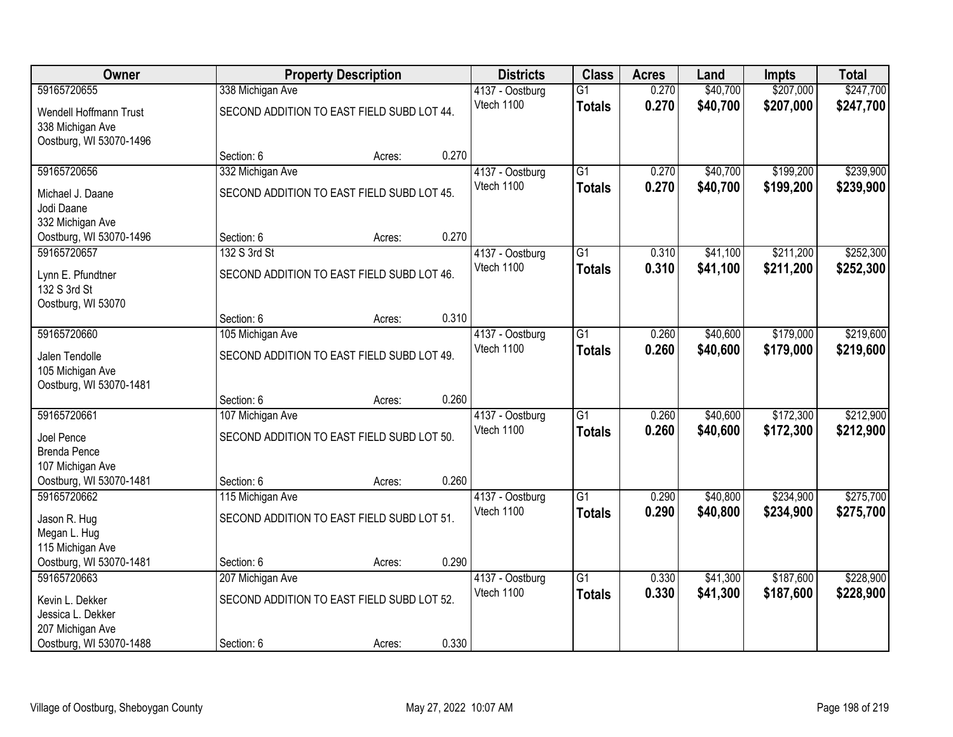| Owner                                       | <b>Property Description</b>                |        |       | <b>Districts</b>              | <b>Class</b>    | <b>Acres</b>   | Land                 | Impts                  | <b>Total</b>           |
|---------------------------------------------|--------------------------------------------|--------|-------|-------------------------------|-----------------|----------------|----------------------|------------------------|------------------------|
| 59165720655                                 | 338 Michigan Ave                           |        |       | 4137 - Oostburg               | $\overline{G1}$ | 0.270          | \$40,700             | \$207,000              | \$247,700              |
| Wendell Hoffmann Trust                      | SECOND ADDITION TO EAST FIELD SUBD LOT 44. |        |       | Vtech 1100                    | <b>Totals</b>   | 0.270          | \$40,700             | \$207,000              | \$247,700              |
| 338 Michigan Ave                            |                                            |        |       |                               |                 |                |                      |                        |                        |
| Oostburg, WI 53070-1496                     |                                            |        |       |                               |                 |                |                      |                        |                        |
| 59165720656                                 | Section: 6                                 | Acres: | 0.270 |                               | $\overline{G1}$ | 0.270          | \$40,700             | \$199,200              | \$239,900              |
|                                             | 332 Michigan Ave                           |        |       | 4137 - Oostburg<br>Vtech 1100 | <b>Totals</b>   | 0.270          | \$40,700             | \$199,200              | \$239,900              |
| Michael J. Daane                            | SECOND ADDITION TO EAST FIELD SUBD LOT 45. |        |       |                               |                 |                |                      |                        |                        |
| Jodi Daane                                  |                                            |        |       |                               |                 |                |                      |                        |                        |
| 332 Michigan Ave<br>Oostburg, WI 53070-1496 | Section: 6                                 | Acres: | 0.270 |                               |                 |                |                      |                        |                        |
| 59165720657                                 | 132 S 3rd St                               |        |       | 4137 - Oostburg               | $\overline{G1}$ | 0.310          | \$41,100             | \$211,200              | \$252,300              |
|                                             |                                            |        |       | Vtech 1100                    | <b>Totals</b>   | 0.310          | \$41,100             | \$211,200              | \$252,300              |
| Lynn E. Pfundtner<br>132 S 3rd St           | SECOND ADDITION TO EAST FIELD SUBD LOT 46. |        |       |                               |                 |                |                      |                        |                        |
| Oostburg, WI 53070                          |                                            |        |       |                               |                 |                |                      |                        |                        |
|                                             | Section: 6                                 | Acres: | 0.310 |                               |                 |                |                      |                        |                        |
| 59165720660                                 | 105 Michigan Ave                           |        |       | 4137 - Oostburg               | $\overline{G1}$ | 0.260          | \$40,600             | \$179,000              | \$219,600              |
| Jalen Tendolle                              | SECOND ADDITION TO EAST FIELD SUBD LOT 49. |        |       | Vtech 1100                    | <b>Totals</b>   | 0.260          | \$40,600             | \$179,000              | \$219,600              |
| 105 Michigan Ave                            |                                            |        |       |                               |                 |                |                      |                        |                        |
| Oostburg, WI 53070-1481                     |                                            |        |       |                               |                 |                |                      |                        |                        |
|                                             | Section: 6                                 | Acres: | 0.260 |                               |                 |                |                      |                        |                        |
| 59165720661                                 | 107 Michigan Ave                           |        |       | 4137 - Oostburg               | $\overline{G1}$ | 0.260          | \$40,600             | \$172,300              | \$212,900              |
| Joel Pence                                  | SECOND ADDITION TO EAST FIELD SUBD LOT 50. |        |       | Vtech 1100                    | <b>Totals</b>   | 0.260          | \$40,600             | \$172,300              | \$212,900              |
| <b>Brenda Pence</b>                         |                                            |        |       |                               |                 |                |                      |                        |                        |
| 107 Michigan Ave                            |                                            |        |       |                               |                 |                |                      |                        |                        |
| Oostburg, WI 53070-1481                     | Section: 6                                 | Acres: | 0.260 |                               |                 |                |                      |                        |                        |
| 59165720662                                 | 115 Michigan Ave                           |        |       | 4137 - Oostburg<br>Vtech 1100 | $\overline{G1}$ | 0.290<br>0.290 | \$40,800<br>\$40,800 | \$234,900<br>\$234,900 | \$275,700<br>\$275,700 |
| Jason R. Hug                                | SECOND ADDITION TO EAST FIELD SUBD LOT 51. |        |       |                               | <b>Totals</b>   |                |                      |                        |                        |
| Megan L. Hug                                |                                            |        |       |                               |                 |                |                      |                        |                        |
| 115 Michigan Ave<br>Oostburg, WI 53070-1481 | Section: 6                                 | Acres: | 0.290 |                               |                 |                |                      |                        |                        |
| 59165720663                                 | 207 Michigan Ave                           |        |       | 4137 - Oostburg               | $\overline{G1}$ | 0.330          | \$41,300             | \$187,600              | \$228,900              |
|                                             |                                            |        |       | Vtech 1100                    | <b>Totals</b>   | 0.330          | \$41,300             | \$187,600              | \$228,900              |
| Kevin L. Dekker                             | SECOND ADDITION TO EAST FIELD SUBD LOT 52. |        |       |                               |                 |                |                      |                        |                        |
| Jessica L. Dekker<br>207 Michigan Ave       |                                            |        |       |                               |                 |                |                      |                        |                        |
| Oostburg, WI 53070-1488                     | Section: 6                                 | Acres: | 0.330 |                               |                 |                |                      |                        |                        |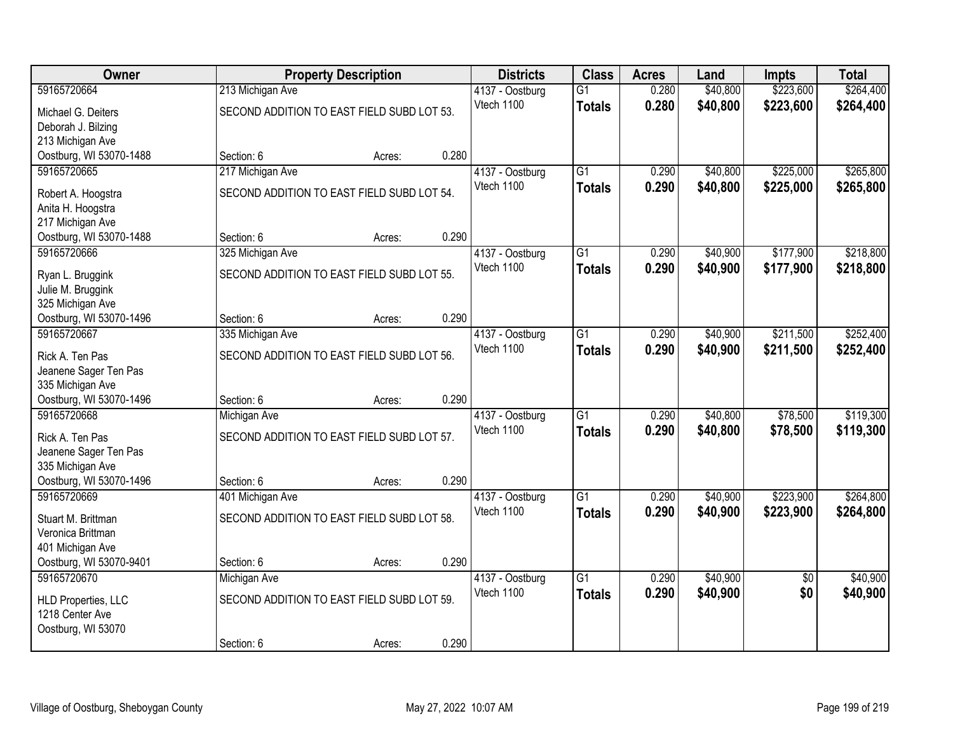| Owner                                       |                                            | <b>Property Description</b> |       | <b>Districts</b>              | <b>Class</b>    | <b>Acres</b>   | Land                 | <b>Impts</b>           | <b>Total</b> |
|---------------------------------------------|--------------------------------------------|-----------------------------|-------|-------------------------------|-----------------|----------------|----------------------|------------------------|--------------|
| 59165720664                                 | 213 Michigan Ave                           |                             |       | 4137 - Oostburg               | $\overline{G1}$ | 0.280          | \$40,800             | \$223,600              | \$264,400    |
| Michael G. Deiters                          | SECOND ADDITION TO EAST FIELD SUBD LOT 53. |                             |       | Vtech 1100                    | <b>Totals</b>   | 0.280          | \$40,800             | \$223,600              | \$264,400    |
| Deborah J. Bilzing                          |                                            |                             |       |                               |                 |                |                      |                        |              |
| 213 Michigan Ave                            |                                            |                             |       |                               |                 |                |                      |                        |              |
| Oostburg, WI 53070-1488                     | Section: 6                                 | Acres:                      | 0.280 |                               |                 |                |                      |                        |              |
| 59165720665                                 | 217 Michigan Ave                           |                             |       | 4137 - Oostburg               | $\overline{G1}$ | 0.290          | \$40,800             | \$225,000              | \$265,800    |
| Robert A. Hoogstra                          | SECOND ADDITION TO EAST FIELD SUBD LOT 54. |                             |       | Vtech 1100                    | <b>Totals</b>   | 0.290          | \$40,800             | \$225,000              | \$265,800    |
| Anita H. Hoogstra                           |                                            |                             |       |                               |                 |                |                      |                        |              |
| 217 Michigan Ave                            |                                            |                             |       |                               |                 |                |                      |                        |              |
| Oostburg, WI 53070-1488<br>59165720666      | Section: 6                                 | Acres:                      | 0.290 |                               | $\overline{G1}$ |                |                      |                        | \$218,800    |
|                                             | 325 Michigan Ave                           |                             |       | 4137 - Oostburg<br>Vtech 1100 |                 | 0.290<br>0.290 | \$40,900<br>\$40,900 | \$177,900<br>\$177,900 | \$218,800    |
| Ryan L. Bruggink                            | SECOND ADDITION TO EAST FIELD SUBD LOT 55. |                             |       |                               | <b>Totals</b>   |                |                      |                        |              |
| Julie M. Bruggink                           |                                            |                             |       |                               |                 |                |                      |                        |              |
| 325 Michigan Ave<br>Oostburg, WI 53070-1496 | Section: 6                                 |                             | 0.290 |                               |                 |                |                      |                        |              |
| 59165720667                                 | 335 Michigan Ave                           | Acres:                      |       | 4137 - Oostburg               | $\overline{G1}$ | 0.290          | \$40,900             | \$211,500              | \$252,400    |
|                                             |                                            |                             |       | Vtech 1100                    | <b>Totals</b>   | 0.290          | \$40,900             | \$211,500              | \$252,400    |
| Rick A. Ten Pas                             | SECOND ADDITION TO EAST FIELD SUBD LOT 56. |                             |       |                               |                 |                |                      |                        |              |
| Jeanene Sager Ten Pas<br>335 Michigan Ave   |                                            |                             |       |                               |                 |                |                      |                        |              |
| Oostburg, WI 53070-1496                     | Section: 6                                 | Acres:                      | 0.290 |                               |                 |                |                      |                        |              |
| 59165720668                                 | Michigan Ave                               |                             |       | 4137 - Oostburg               | $\overline{G1}$ | 0.290          | \$40,800             | \$78,500               | \$119,300    |
|                                             |                                            |                             |       | Vtech 1100                    | <b>Totals</b>   | 0.290          | \$40,800             | \$78,500               | \$119,300    |
| Rick A. Ten Pas<br>Jeanene Sager Ten Pas    | SECOND ADDITION TO EAST FIELD SUBD LOT 57. |                             |       |                               |                 |                |                      |                        |              |
| 335 Michigan Ave                            |                                            |                             |       |                               |                 |                |                      |                        |              |
| Oostburg, WI 53070-1496                     | Section: 6                                 | Acres:                      | 0.290 |                               |                 |                |                      |                        |              |
| 59165720669                                 | 401 Michigan Ave                           |                             |       | 4137 - Oostburg               | $\overline{G1}$ | 0.290          | \$40,900             | \$223,900              | \$264,800    |
| Stuart M. Brittman                          | SECOND ADDITION TO EAST FIELD SUBD LOT 58. |                             |       | Vtech 1100                    | <b>Totals</b>   | 0.290          | \$40,900             | \$223,900              | \$264,800    |
| Veronica Brittman                           |                                            |                             |       |                               |                 |                |                      |                        |              |
| 401 Michigan Ave                            |                                            |                             |       |                               |                 |                |                      |                        |              |
| Oostburg, WI 53070-9401                     | Section: 6                                 | Acres:                      | 0.290 |                               |                 |                |                      |                        |              |
| 59165720670                                 | Michigan Ave                               |                             |       | 4137 - Oostburg               | $\overline{G1}$ | 0.290          | \$40,900             | $\overline{50}$        | \$40,900     |
| <b>HLD Properties, LLC</b>                  | SECOND ADDITION TO EAST FIELD SUBD LOT 59. |                             |       | Vtech 1100                    | <b>Totals</b>   | 0.290          | \$40,900             | \$0                    | \$40,900     |
| 1218 Center Ave                             |                                            |                             |       |                               |                 |                |                      |                        |              |
| Oostburg, WI 53070                          |                                            |                             |       |                               |                 |                |                      |                        |              |
|                                             | Section: 6                                 | Acres:                      | 0.290 |                               |                 |                |                      |                        |              |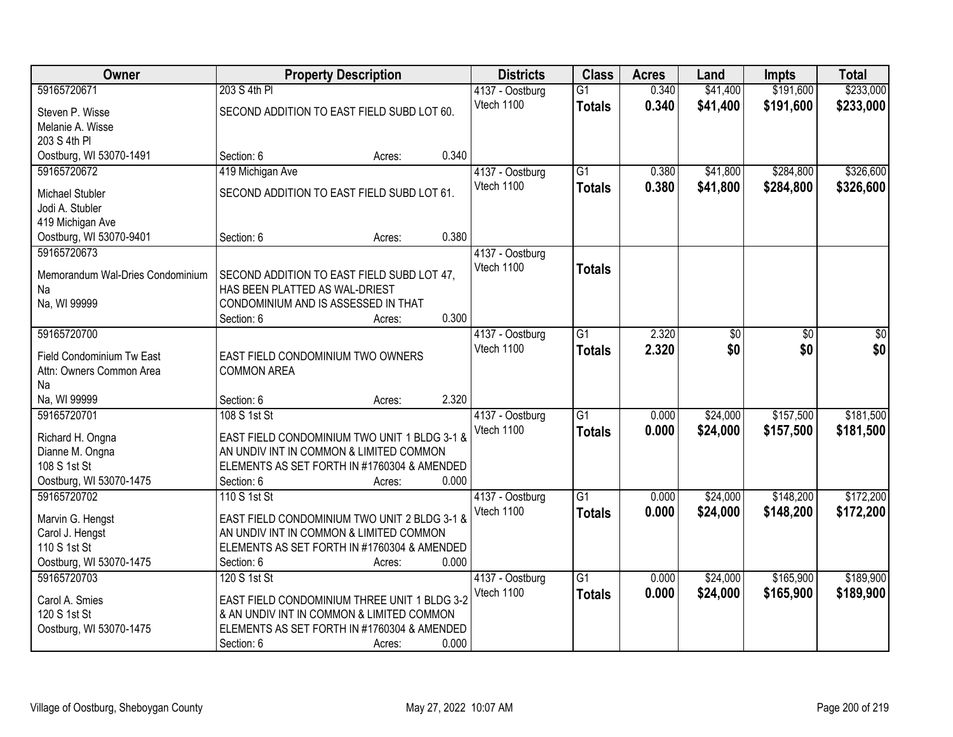| Owner                            | <b>Property Description</b>                  |                 | <b>Districts</b> | <b>Class</b>    | <b>Acres</b> | Land     | <b>Impts</b> | <b>Total</b> |
|----------------------------------|----------------------------------------------|-----------------|------------------|-----------------|--------------|----------|--------------|--------------|
| 59165720671                      | 203 S 4th PI                                 |                 | 4137 - Oostburg  | $\overline{G1}$ | 0.340        | \$41,400 | \$191,600    | \$233,000    |
| Steven P. Wisse                  | SECOND ADDITION TO EAST FIELD SUBD LOT 60.   |                 | Vtech 1100       | <b>Totals</b>   | 0.340        | \$41,400 | \$191,600    | \$233,000    |
| Melanie A. Wisse                 |                                              |                 |                  |                 |              |          |              |              |
| 203 S 4th PI                     |                                              |                 |                  |                 |              |          |              |              |
| Oostburg, WI 53070-1491          | Section: 6                                   | 0.340<br>Acres: |                  |                 |              |          |              |              |
| 59165720672                      | 419 Michigan Ave                             |                 | 4137 - Oostburg  | $\overline{G1}$ | 0.380        | \$41,800 | \$284,800    | \$326,600    |
| <b>Michael Stubler</b>           | SECOND ADDITION TO EAST FIELD SUBD LOT 61.   |                 | Vtech 1100       | <b>Totals</b>   | 0.380        | \$41,800 | \$284,800    | \$326,600    |
| Jodi A. Stubler                  |                                              |                 |                  |                 |              |          |              |              |
| 419 Michigan Ave                 |                                              |                 |                  |                 |              |          |              |              |
| Oostburg, WI 53070-9401          | Section: 6                                   | 0.380<br>Acres: |                  |                 |              |          |              |              |
| 59165720673                      |                                              |                 | 4137 - Oostburg  |                 |              |          |              |              |
|                                  |                                              |                 | Vtech 1100       | <b>Totals</b>   |              |          |              |              |
| Memorandum Wal-Dries Condominium | SECOND ADDITION TO EAST FIELD SUBD LOT 47.   |                 |                  |                 |              |          |              |              |
| Na                               | HAS BEEN PLATTED AS WAL-DRIEST               |                 |                  |                 |              |          |              |              |
| Na, WI 99999                     | CONDOMINIUM AND IS ASSESSED IN THAT          |                 |                  |                 |              |          |              |              |
|                                  | Section: 6                                   | 0.300<br>Acres: |                  |                 |              |          |              |              |
| 59165720700                      |                                              |                 | 4137 - Oostburg  | G1              | 2.320        | \$0      | \$0          | \$0          |
| Field Condominium Tw East        | EAST FIELD CONDOMINIUM TWO OWNERS            |                 | Vtech 1100       | <b>Totals</b>   | 2.320        | \$0      | \$0          | \$0          |
| Attn: Owners Common Area         | <b>COMMON AREA</b>                           |                 |                  |                 |              |          |              |              |
| Na                               |                                              |                 |                  |                 |              |          |              |              |
| Na, WI 99999                     | Section: 6                                   | 2.320<br>Acres: |                  |                 |              |          |              |              |
| 59165720701                      | 108 S 1st St                                 |                 | 4137 - Oostburg  | $\overline{G1}$ | 0.000        | \$24,000 | \$157,500    | \$181,500    |
| Richard H. Ongna                 | EAST FIELD CONDOMINIUM TWO UNIT 1 BLDG 3-1 & |                 | Vtech 1100       | <b>Totals</b>   | 0.000        | \$24,000 | \$157,500    | \$181,500    |
| Dianne M. Ongna                  | AN UNDIV INT IN COMMON & LIMITED COMMON      |                 |                  |                 |              |          |              |              |
| 108 S 1st St                     | ELEMENTS AS SET FORTH IN #1760304 & AMENDED  |                 |                  |                 |              |          |              |              |
| Oostburg, WI 53070-1475          | Section: 6                                   | 0.000<br>Acres: |                  |                 |              |          |              |              |
| 59165720702                      | 110 S 1st St                                 |                 | 4137 - Oostburg  | $\overline{G1}$ | 0.000        | \$24,000 | \$148,200    | \$172,200    |
|                                  |                                              |                 | Vtech 1100       | <b>Totals</b>   | 0.000        | \$24,000 | \$148,200    | \$172,200    |
| Marvin G. Hengst                 | EAST FIELD CONDOMINIUM TWO UNIT 2 BLDG 3-1 & |                 |                  |                 |              |          |              |              |
| Carol J. Hengst                  | AN UNDIV INT IN COMMON & LIMITED COMMON      |                 |                  |                 |              |          |              |              |
| 110 S 1st St                     | ELEMENTS AS SET FORTH IN #1760304 & AMENDED  |                 |                  |                 |              |          |              |              |
| Oostburg, WI 53070-1475          | Section: 6                                   | 0.000<br>Acres: |                  |                 |              |          |              |              |
| 59165720703                      | 120 S 1st St                                 |                 | 4137 - Oostburg  | $\overline{G1}$ | 0.000        | \$24,000 | \$165,900    | \$189,900    |
| Carol A. Smies                   | EAST FIELD CONDOMINIUM THREE UNIT 1 BLDG 3-2 |                 | Vtech 1100       | <b>Totals</b>   | 0.000        | \$24,000 | \$165,900    | \$189,900    |
| 120 S 1st St                     | & AN UNDIV INT IN COMMON & LIMITED COMMON    |                 |                  |                 |              |          |              |              |
| Oostburg, WI 53070-1475          | ELEMENTS AS SET FORTH IN #1760304 & AMENDED  |                 |                  |                 |              |          |              |              |
|                                  | Section: 6                                   | 0.000<br>Acres: |                  |                 |              |          |              |              |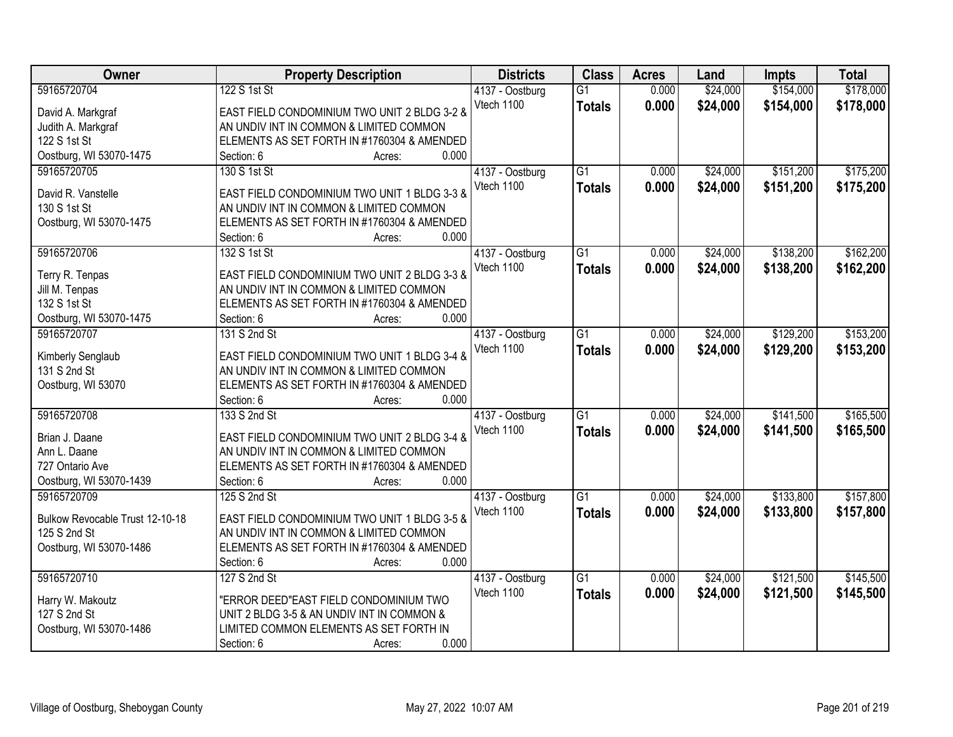| Owner                             | <b>Property Description</b>                                                             | <b>Districts</b> | <b>Class</b>    | <b>Acres</b> | Land     | <b>Impts</b> | <b>Total</b> |
|-----------------------------------|-----------------------------------------------------------------------------------------|------------------|-----------------|--------------|----------|--------------|--------------|
| 59165720704                       | 122 S 1st St                                                                            | 4137 - Oostburg  | $\overline{G1}$ | 0.000        | \$24,000 | \$154,000    | \$178,000    |
| David A. Markgraf                 | EAST FIELD CONDOMINIUM TWO UNIT 2 BLDG 3-2 &                                            | Vtech 1100       | <b>Totals</b>   | 0.000        | \$24,000 | \$154,000    | \$178,000    |
| Judith A. Markgraf                | AN UNDIV INT IN COMMON & LIMITED COMMON                                                 |                  |                 |              |          |              |              |
| 122 S 1st St                      | ELEMENTS AS SET FORTH IN #1760304 & AMENDED                                             |                  |                 |              |          |              |              |
| Oostburg, WI 53070-1475           | 0.000<br>Section: 6<br>Acres:                                                           |                  |                 |              |          |              |              |
| 59165720705                       | 130 S 1st St                                                                            | 4137 - Oostburg  | $\overline{G1}$ | 0.000        | \$24,000 | \$151,200    | \$175,200    |
|                                   |                                                                                         | Vtech 1100       | <b>Totals</b>   | 0.000        | \$24,000 | \$151,200    | \$175,200    |
| David R. Vanstelle                | EAST FIELD CONDOMINIUM TWO UNIT 1 BLDG 3-3 &                                            |                  |                 |              |          |              |              |
| 130 S 1st St                      | AN UNDIV INT IN COMMON & LIMITED COMMON                                                 |                  |                 |              |          |              |              |
| Oostburg, WI 53070-1475           | ELEMENTS AS SET FORTH IN #1760304 & AMENDED<br>0.000                                    |                  |                 |              |          |              |              |
|                                   | Section: 6<br>Acres:                                                                    |                  |                 |              |          |              |              |
| 59165720706                       | 132 S 1st St                                                                            | 4137 - Oostburg  | $\overline{G1}$ | 0.000        | \$24,000 | \$138,200    | \$162,200    |
| Terry R. Tenpas                   | EAST FIELD CONDOMINIUM TWO UNIT 2 BLDG 3-3 &                                            | Vtech 1100       | <b>Totals</b>   | 0.000        | \$24,000 | \$138,200    | \$162,200    |
| Jill M. Tenpas                    | AN UNDIV INT IN COMMON & LIMITED COMMON                                                 |                  |                 |              |          |              |              |
| 132 S 1st St                      | ELEMENTS AS SET FORTH IN #1760304 & AMENDED                                             |                  |                 |              |          |              |              |
| Oostburg, WI 53070-1475           | 0.000<br>Section: 6<br>Acres:                                                           |                  |                 |              |          |              |              |
| 59165720707                       | 131 S 2nd St                                                                            | 4137 - Oostburg  | $\overline{G1}$ | 0.000        | \$24,000 | \$129,200    | \$153,200    |
|                                   |                                                                                         | Vtech 1100       | <b>Totals</b>   | 0.000        | \$24,000 | \$129,200    | \$153,200    |
| Kimberly Senglaub<br>131 S 2nd St | EAST FIELD CONDOMINIUM TWO UNIT 1 BLDG 3-4 &<br>AN UNDIV INT IN COMMON & LIMITED COMMON |                  |                 |              |          |              |              |
| Oostburg, WI 53070                | ELEMENTS AS SET FORTH IN #1760304 & AMENDED                                             |                  |                 |              |          |              |              |
|                                   | 0.000<br>Section: 6<br>Acres:                                                           |                  |                 |              |          |              |              |
| 59165720708                       | 133 S 2nd St                                                                            | 4137 - Oostburg  | $\overline{G1}$ | 0.000        | \$24,000 | \$141,500    | \$165,500    |
|                                   |                                                                                         | Vtech 1100       |                 | 0.000        | \$24,000 | \$141,500    | \$165,500    |
| Brian J. Daane                    | EAST FIELD CONDOMINIUM TWO UNIT 2 BLDG 3-4 &                                            |                  | <b>Totals</b>   |              |          |              |              |
| Ann L. Daane                      | AN UNDIV INT IN COMMON & LIMITED COMMON                                                 |                  |                 |              |          |              |              |
| 727 Ontario Ave                   | ELEMENTS AS SET FORTH IN #1760304 & AMENDED                                             |                  |                 |              |          |              |              |
| Oostburg, WI 53070-1439           | 0.000<br>Section: 6<br>Acres:                                                           |                  |                 |              |          |              |              |
| 59165720709                       | 125 S 2nd St                                                                            | 4137 - Oostburg  | G1              | 0.000        | \$24,000 | \$133,800    | \$157,800    |
| Bulkow Revocable Trust 12-10-18   | EAST FIELD CONDOMINIUM TWO UNIT 1 BLDG 3-5 &                                            | Vtech 1100       | <b>Totals</b>   | 0.000        | \$24,000 | \$133,800    | \$157,800    |
| 125 S 2nd St                      | AN UNDIV INT IN COMMON & LIMITED COMMON                                                 |                  |                 |              |          |              |              |
| Oostburg, WI 53070-1486           | ELEMENTS AS SET FORTH IN #1760304 & AMENDED                                             |                  |                 |              |          |              |              |
|                                   | 0.000<br>Section: 6<br>Acres:                                                           |                  |                 |              |          |              |              |
| 59165720710                       | 127 S 2nd St                                                                            | 4137 - Oostburg  | $\overline{G1}$ | 0.000        | \$24,000 | \$121,500    | \$145,500    |
|                                   |                                                                                         | Vtech 1100       | <b>Totals</b>   | 0.000        | \$24,000 | \$121,500    | \$145,500    |
| Harry W. Makoutz                  | "ERROR DEED"EAST FIELD CONDOMINIUM TWO                                                  |                  |                 |              |          |              |              |
| 127 S 2nd St                      | UNIT 2 BLDG 3-5 & AN UNDIV INT IN COMMON &                                              |                  |                 |              |          |              |              |
| Oostburg, WI 53070-1486           | LIMITED COMMON ELEMENTS AS SET FORTH IN                                                 |                  |                 |              |          |              |              |
|                                   | 0.000<br>Section: 6<br>Acres:                                                           |                  |                 |              |          |              |              |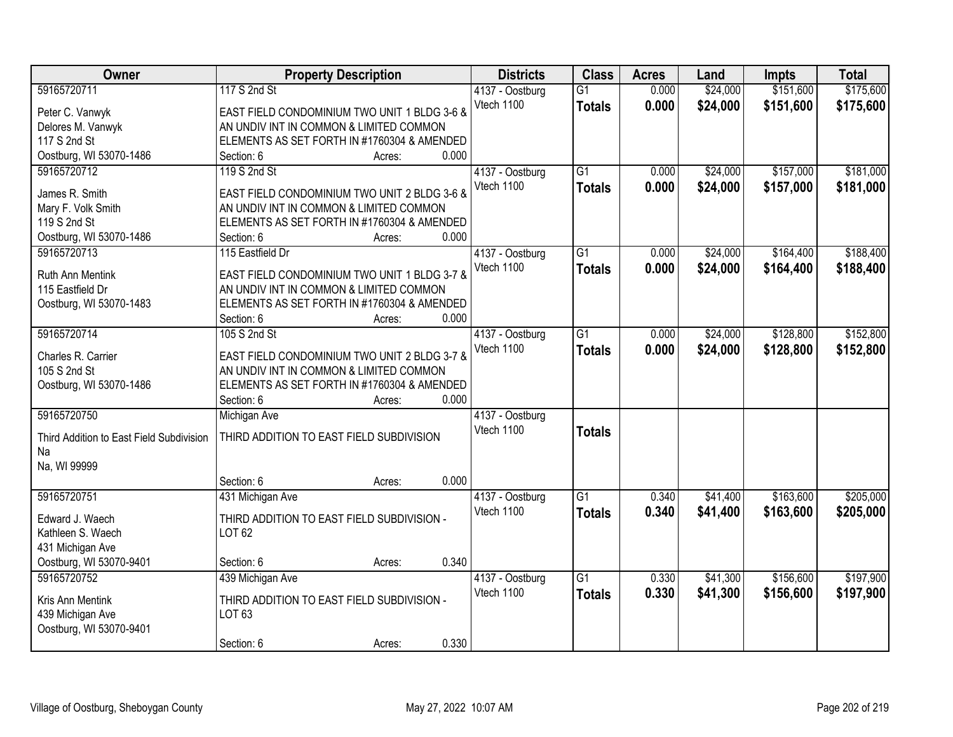| Owner                                    | <b>Property Description</b>                  | <b>Districts</b> | <b>Class</b>    | <b>Acres</b> | Land     | <b>Impts</b> | <b>Total</b> |
|------------------------------------------|----------------------------------------------|------------------|-----------------|--------------|----------|--------------|--------------|
| 59165720711                              | 117 S 2nd St                                 | 4137 - Oostburg  | $\overline{G1}$ | 0.000        | \$24,000 | \$151,600    | \$175,600    |
| Peter C. Vanwyk                          | EAST FIELD CONDOMINIUM TWO UNIT 1 BLDG 3-6 & | Vtech 1100       | <b>Totals</b>   | 0.000        | \$24,000 | \$151,600    | \$175,600    |
| Delores M. Vanwyk                        | AN UNDIV INT IN COMMON & LIMITED COMMON      |                  |                 |              |          |              |              |
| 117 S 2nd St                             | ELEMENTS AS SET FORTH IN #1760304 & AMENDED  |                  |                 |              |          |              |              |
| Oostburg, WI 53070-1486                  | 0.000<br>Section: 6<br>Acres:                |                  |                 |              |          |              |              |
| 59165720712                              | 119 S 2nd St                                 | 4137 - Oostburg  | $\overline{G1}$ | 0.000        | \$24,000 | \$157,000    | \$181,000    |
|                                          |                                              | Vtech 1100       | <b>Totals</b>   | 0.000        | \$24,000 | \$157,000    | \$181,000    |
| James R. Smith                           | EAST FIELD CONDOMINIUM TWO UNIT 2 BLDG 3-6 & |                  |                 |              |          |              |              |
| Mary F. Volk Smith                       | AN UNDIV INT IN COMMON & LIMITED COMMON      |                  |                 |              |          |              |              |
| 119 S 2nd St                             | ELEMENTS AS SET FORTH IN #1760304 & AMENDED  |                  |                 |              |          |              |              |
| Oostburg, WI 53070-1486                  | 0.000<br>Section: 6<br>Acres:                |                  |                 |              |          |              |              |
| 59165720713                              | 115 Eastfield Dr                             | 4137 - Oostburg  | G1              | 0.000        | \$24,000 | \$164,400    | \$188,400    |
| Ruth Ann Mentink                         | EAST FIELD CONDOMINIUM TWO UNIT 1 BLDG 3-7 & | Vtech 1100       | <b>Totals</b>   | 0.000        | \$24,000 | \$164,400    | \$188,400    |
| 115 Eastfield Dr                         | AN UNDIV INT IN COMMON & LIMITED COMMON      |                  |                 |              |          |              |              |
| Oostburg, WI 53070-1483                  | ELEMENTS AS SET FORTH IN #1760304 & AMENDED  |                  |                 |              |          |              |              |
|                                          | 0.000<br>Section: 6<br>Acres:                |                  |                 |              |          |              |              |
| 59165720714                              | 105 S 2nd St                                 |                  | G1              | 0.000        | \$24,000 | \$128,800    | \$152,800    |
|                                          |                                              | 4137 - Oostburg  |                 |              |          |              |              |
| Charles R. Carrier                       | EAST FIELD CONDOMINIUM TWO UNIT 2 BLDG 3-7 & | Vtech 1100       | <b>Totals</b>   | 0.000        | \$24,000 | \$128,800    | \$152,800    |
| 105 S 2nd St                             | AN UNDIV INT IN COMMON & LIMITED COMMON      |                  |                 |              |          |              |              |
| Oostburg, WI 53070-1486                  | ELEMENTS AS SET FORTH IN #1760304 & AMENDED  |                  |                 |              |          |              |              |
|                                          | 0.000<br>Section: 6<br>Acres:                |                  |                 |              |          |              |              |
| 59165720750                              | <b>Michigan Ave</b>                          | 4137 - Oostburg  |                 |              |          |              |              |
|                                          |                                              | Vtech 1100       | <b>Totals</b>   |              |          |              |              |
| Third Addition to East Field Subdivision | THIRD ADDITION TO EAST FIELD SUBDIVISION     |                  |                 |              |          |              |              |
| Na                                       |                                              |                  |                 |              |          |              |              |
| Na, WI 99999                             |                                              |                  |                 |              |          |              |              |
|                                          | 0.000<br>Section: 6<br>Acres:                |                  |                 |              |          |              |              |
| 59165720751                              | 431 Michigan Ave                             | 4137 - Oostburg  | $\overline{G1}$ | 0.340        | \$41,400 | \$163,600    | \$205,000    |
| Edward J. Waech                          | THIRD ADDITION TO EAST FIELD SUBDIVISION -   | Vtech 1100       | <b>Totals</b>   | 0.340        | \$41,400 | \$163,600    | \$205,000    |
| Kathleen S. Waech                        | LOT 62                                       |                  |                 |              |          |              |              |
| 431 Michigan Ave                         |                                              |                  |                 |              |          |              |              |
| Oostburg, WI 53070-9401                  | 0.340<br>Section: 6<br>Acres:                |                  |                 |              |          |              |              |
| 59165720752                              | 439 Michigan Ave                             | 4137 - Oostburg  | $\overline{G1}$ | 0.330        | \$41,300 | \$156,600    | \$197,900    |
|                                          |                                              | Vtech 1100       | <b>Totals</b>   | 0.330        | \$41,300 | \$156,600    | \$197,900    |
| Kris Ann Mentink                         | THIRD ADDITION TO EAST FIELD SUBDIVISION -   |                  |                 |              |          |              |              |
| 439 Michigan Ave                         | LOT 63                                       |                  |                 |              |          |              |              |
| Oostburg, WI 53070-9401                  |                                              |                  |                 |              |          |              |              |
|                                          | 0.330<br>Section: 6<br>Acres:                |                  |                 |              |          |              |              |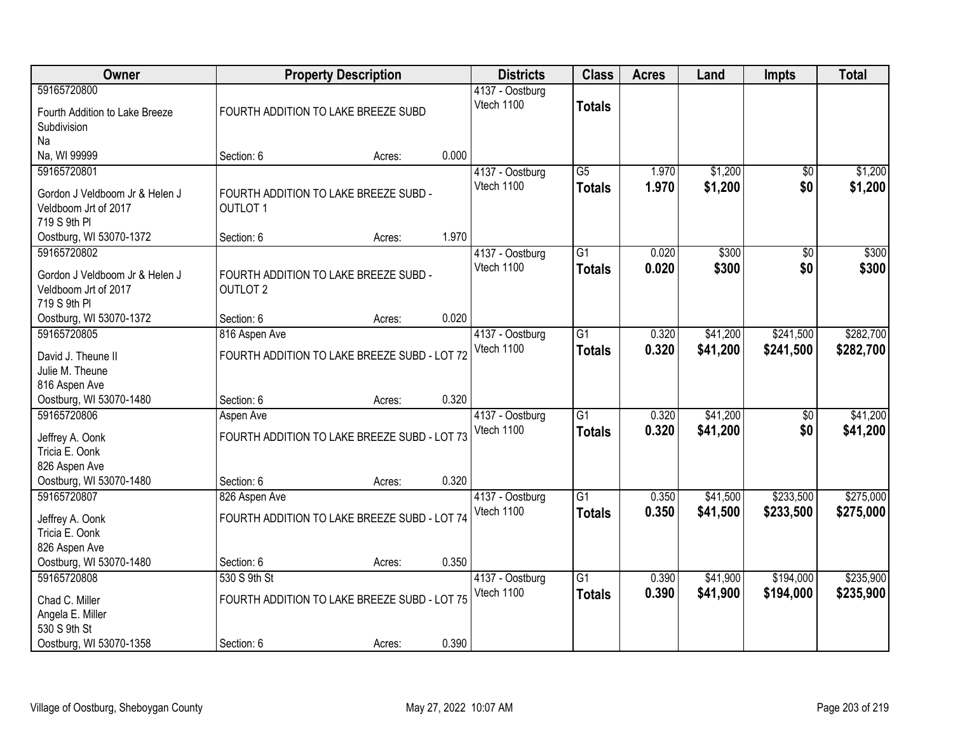| Owner                                                                                        |                                                                         | <b>Property Description</b> |       | <b>Districts</b>              | <b>Class</b>                     | <b>Acres</b>   | Land                 | <b>Impts</b>           | <b>Total</b>           |
|----------------------------------------------------------------------------------------------|-------------------------------------------------------------------------|-----------------------------|-------|-------------------------------|----------------------------------|----------------|----------------------|------------------------|------------------------|
| 59165720800<br>Fourth Addition to Lake Breeze<br>Subdivision                                 | FOURTH ADDITION TO LAKE BREEZE SUBD                                     |                             |       | 4137 - Oostburg<br>Vtech 1100 | <b>Totals</b>                    |                |                      |                        |                        |
| Na<br>Na, WI 99999                                                                           | Section: 6                                                              | Acres:                      | 0.000 |                               |                                  |                |                      |                        |                        |
| 59165720801<br>Gordon J Veldboom Jr & Helen J<br>Veldboom Jrt of 2017<br>719 S 9th PI        | FOURTH ADDITION TO LAKE BREEZE SUBD -<br><b>OUTLOT 1</b>                |                             |       | 4137 - Oostburg<br>Vtech 1100 | $\overline{G5}$<br><b>Totals</b> | 1.970<br>1.970 | \$1,200<br>\$1,200   | \$0<br>\$0             | \$1,200<br>\$1,200     |
| Oostburg, WI 53070-1372                                                                      | Section: 6                                                              | Acres:                      | 1.970 |                               |                                  |                |                      |                        |                        |
| 59165720802<br>Gordon J Veldboom Jr & Helen J<br>Veldboom Jrt of 2017<br>719 S 9th PI        | FOURTH ADDITION TO LAKE BREEZE SUBD -<br><b>OUTLOT 2</b>                |                             |       | 4137 - Oostburg<br>Vtech 1100 | G1<br><b>Totals</b>              | 0.020<br>0.020 | \$300<br>\$300       | \$0<br>\$0             | \$300<br>\$300         |
| Oostburg, WI 53070-1372                                                                      | Section: 6                                                              | Acres:                      | 0.020 |                               |                                  |                |                      |                        |                        |
| 59165720805<br>David J. Theune II<br>Julie M. Theune                                         | 816 Aspen Ave<br>FOURTH ADDITION TO LAKE BREEZE SUBD - LOT 72           |                             |       | 4137 - Oostburg<br>Vtech 1100 | $\overline{G1}$<br><b>Totals</b> | 0.320<br>0.320 | \$41,200<br>\$41,200 | \$241,500<br>\$241,500 | \$282,700<br>\$282,700 |
| 816 Aspen Ave<br>Oostburg, WI 53070-1480                                                     | Section: 6                                                              | Acres:                      | 0.320 |                               |                                  |                |                      |                        |                        |
| 59165720806<br>Jeffrey A. Oonk<br>Tricia E. Oonk<br>826 Aspen Ave<br>Oostburg, WI 53070-1480 | Aspen Ave<br>FOURTH ADDITION TO LAKE BREEZE SUBD - LOT 73<br>Section: 6 | Acres:                      | 0.320 | 4137 - Oostburg<br>Vtech 1100 | $\overline{G1}$<br><b>Totals</b> | 0.320<br>0.320 | \$41,200<br>\$41,200 | $\overline{50}$<br>\$0 | \$41,200<br>\$41,200   |
| 59165720807                                                                                  | 826 Aspen Ave                                                           |                             |       | 4137 - Oostburg               | $\overline{G1}$                  | 0.350          | \$41,500             | \$233,500              | \$275,000              |
| Jeffrey A. Oonk<br>Tricia E. Oonk<br>826 Aspen Ave                                           | FOURTH ADDITION TO LAKE BREEZE SUBD - LOT 74                            |                             |       | Vtech 1100                    | <b>Totals</b>                    | 0.350          | \$41,500             | \$233,500              | \$275,000              |
| Oostburg, WI 53070-1480                                                                      | Section: 6                                                              | Acres:                      | 0.350 |                               |                                  |                |                      |                        |                        |
| 59165720808<br>Chad C. Miller<br>Angela E. Miller<br>530 S 9th St                            | 530 S 9th St<br>FOURTH ADDITION TO LAKE BREEZE SUBD - LOT 75            |                             |       | 4137 - Oostburg<br>Vtech 1100 | $\overline{G1}$<br><b>Totals</b> | 0.390<br>0.390 | \$41,900<br>\$41,900 | \$194,000<br>\$194,000 | \$235,900<br>\$235,900 |
| Oostburg, WI 53070-1358                                                                      | Section: 6                                                              | Acres:                      | 0.390 |                               |                                  |                |                      |                        |                        |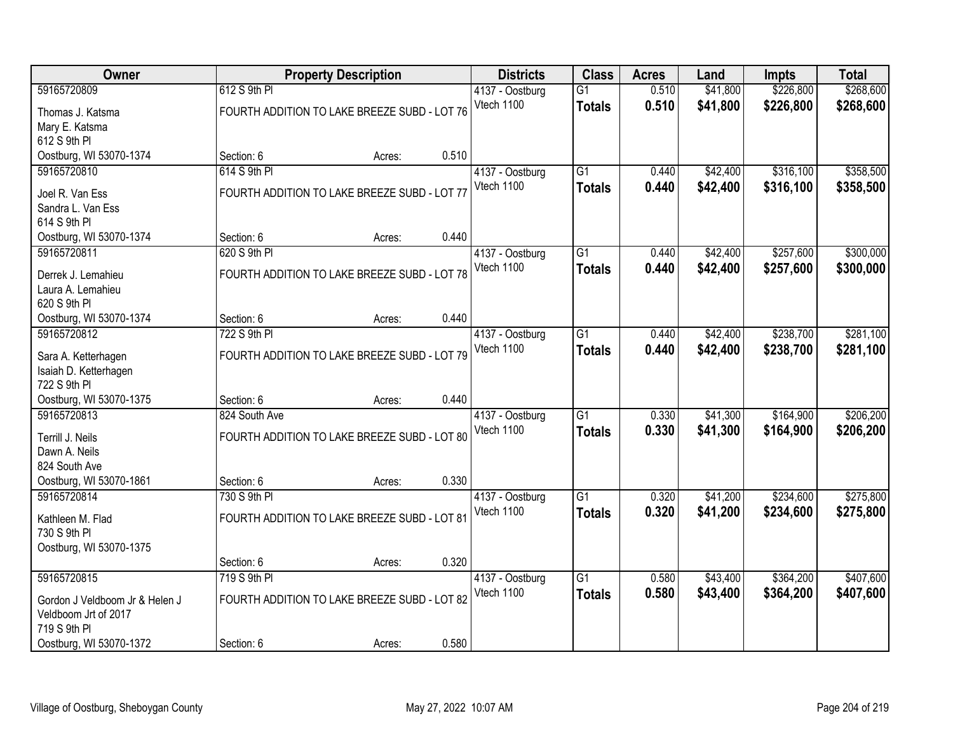| Owner                                  | <b>Property Description</b>                  |        |       | <b>Districts</b> | <b>Class</b>    | <b>Acres</b> | Land     | <b>Impts</b> | <b>Total</b> |
|----------------------------------------|----------------------------------------------|--------|-------|------------------|-----------------|--------------|----------|--------------|--------------|
| 59165720809                            | 612 S 9th PI                                 |        |       | 4137 - Oostburg  | $\overline{G1}$ | 0.510        | \$41,800 | \$226,800    | \$268,600    |
| Thomas J. Katsma                       | FOURTH ADDITION TO LAKE BREEZE SUBD - LOT 76 |        |       | Vtech 1100       | <b>Totals</b>   | 0.510        | \$41,800 | \$226,800    | \$268,600    |
| Mary E. Katsma                         |                                              |        |       |                  |                 |              |          |              |              |
| 612 S 9th PI                           |                                              |        |       |                  |                 |              |          |              |              |
| Oostburg, WI 53070-1374                | Section: 6                                   | Acres: | 0.510 |                  |                 |              |          |              |              |
| 59165720810                            | 614 S 9th PI                                 |        |       | 4137 - Oostburg  | $\overline{G1}$ | 0.440        | \$42,400 | \$316,100    | \$358,500    |
| Joel R. Van Ess                        | FOURTH ADDITION TO LAKE BREEZE SUBD - LOT 77 |        |       | Vtech 1100       | <b>Totals</b>   | 0.440        | \$42,400 | \$316,100    | \$358,500    |
| Sandra L. Van Ess                      |                                              |        |       |                  |                 |              |          |              |              |
| 614 S 9th PI                           |                                              |        |       |                  |                 |              |          |              |              |
| Oostburg, WI 53070-1374                | Section: 6                                   | Acres: | 0.440 |                  |                 |              |          |              |              |
| 59165720811                            | 620 S 9th PI                                 |        |       | 4137 - Oostburg  | G1              | 0.440        | \$42,400 | \$257,600    | \$300,000    |
|                                        |                                              |        |       | Vtech 1100       | <b>Totals</b>   | 0.440        | \$42,400 | \$257,600    | \$300,000    |
| Derrek J. Lemahieu                     | FOURTH ADDITION TO LAKE BREEZE SUBD - LOT 78 |        |       |                  |                 |              |          |              |              |
| Laura A. Lemahieu                      |                                              |        |       |                  |                 |              |          |              |              |
| 620 S 9th PI                           |                                              |        | 0.440 |                  |                 |              |          |              |              |
| Oostburg, WI 53070-1374<br>59165720812 | Section: 6<br>722 S 9th PI                   | Acres: |       | 4137 - Oostburg  | G1              | 0.440        | \$42,400 | \$238,700    | \$281,100    |
|                                        |                                              |        |       | Vtech 1100       |                 | 0.440        | \$42,400 | \$238,700    |              |
| Sara A. Ketterhagen                    | FOURTH ADDITION TO LAKE BREEZE SUBD - LOT 79 |        |       |                  | <b>Totals</b>   |              |          |              | \$281,100    |
| Isaiah D. Ketterhagen                  |                                              |        |       |                  |                 |              |          |              |              |
| 722 S 9th PI                           |                                              |        |       |                  |                 |              |          |              |              |
| Oostburg, WI 53070-1375                | Section: 6                                   | Acres: | 0.440 |                  |                 |              |          |              |              |
| 59165720813                            | 824 South Ave                                |        |       | 4137 - Oostburg  | $\overline{G1}$ | 0.330        | \$41,300 | \$164,900    | \$206,200    |
| Terrill J. Neils                       | FOURTH ADDITION TO LAKE BREEZE SUBD - LOT 80 |        |       | Vtech 1100       | <b>Totals</b>   | 0.330        | \$41,300 | \$164,900    | \$206,200    |
| Dawn A. Neils                          |                                              |        |       |                  |                 |              |          |              |              |
| 824 South Ave                          |                                              |        |       |                  |                 |              |          |              |              |
| Oostburg, WI 53070-1861                | Section: 6                                   | Acres: | 0.330 |                  |                 |              |          |              |              |
| 59165720814                            | 730 S 9th PI                                 |        |       | 4137 - Oostburg  | $\overline{G1}$ | 0.320        | \$41,200 | \$234,600    | \$275,800    |
| Kathleen M. Flad                       | FOURTH ADDITION TO LAKE BREEZE SUBD - LOT 81 |        |       | Vtech 1100       | <b>Totals</b>   | 0.320        | \$41,200 | \$234,600    | \$275,800    |
| 730 S 9th PI                           |                                              |        |       |                  |                 |              |          |              |              |
| Oostburg, WI 53070-1375                |                                              |        |       |                  |                 |              |          |              |              |
|                                        | Section: 6                                   | Acres: | 0.320 |                  |                 |              |          |              |              |
| 59165720815                            | 719 S 9th PI                                 |        |       | 4137 - Oostburg  | $\overline{G1}$ | 0.580        | \$43,400 | \$364,200    | \$407,600    |
| Gordon J Veldboom Jr & Helen J         | FOURTH ADDITION TO LAKE BREEZE SUBD - LOT 82 |        |       | Vtech 1100       | <b>Totals</b>   | 0.580        | \$43,400 | \$364,200    | \$407,600    |
| Veldboom Jrt of 2017                   |                                              |        |       |                  |                 |              |          |              |              |
| 719 S 9th PI                           |                                              |        |       |                  |                 |              |          |              |              |
| Oostburg, WI 53070-1372                | Section: 6                                   | Acres: | 0.580 |                  |                 |              |          |              |              |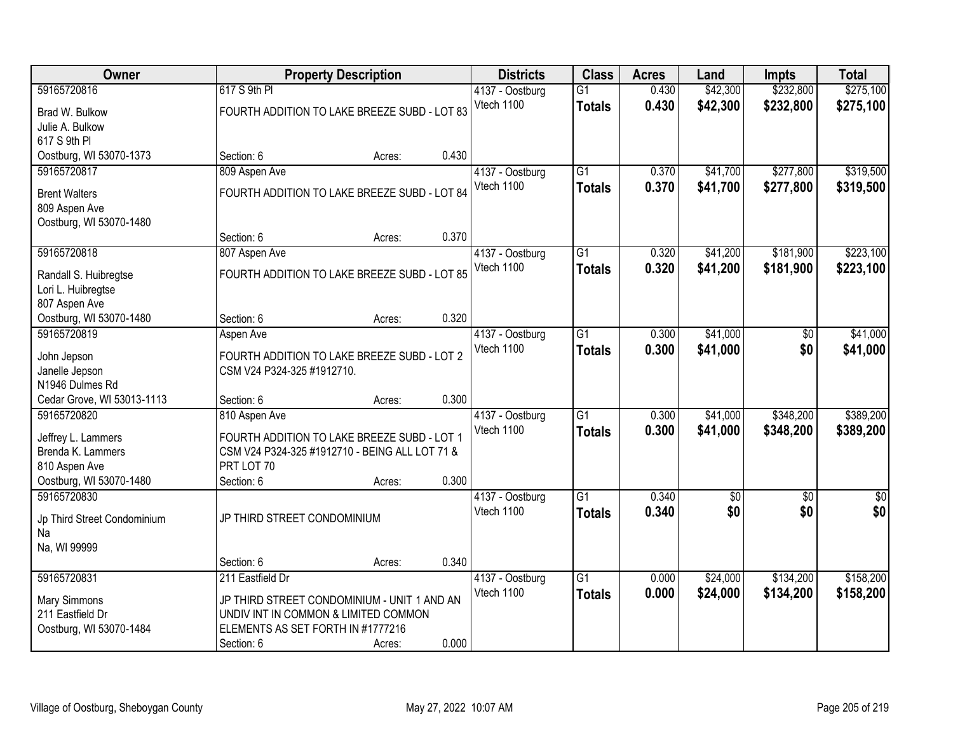| <b>Owner</b>                                |                                      | <b>Property Description</b>                    |       | <b>Districts</b> | <b>Class</b>    | <b>Acres</b> | Land       | <b>Impts</b> | <b>Total</b>  |
|---------------------------------------------|--------------------------------------|------------------------------------------------|-------|------------------|-----------------|--------------|------------|--------------|---------------|
| 59165720816                                 | 617 S 9th PI                         |                                                |       | 4137 - Oostburg  | $\overline{G1}$ | 0.430        | \$42,300   | \$232,800    | \$275,100     |
| Brad W. Bulkow                              |                                      | FOURTH ADDITION TO LAKE BREEZE SUBD - LOT 83   |       | Vtech 1100       | <b>Totals</b>   | 0.430        | \$42,300   | \$232,800    | \$275,100     |
| Julie A. Bulkow                             |                                      |                                                |       |                  |                 |              |            |              |               |
| 617 S 9th PI                                |                                      |                                                |       |                  |                 |              |            |              |               |
| Oostburg, WI 53070-1373                     | Section: 6                           | Acres:                                         | 0.430 |                  |                 |              |            |              |               |
| 59165720817                                 | 809 Aspen Ave                        |                                                |       | 4137 - Oostburg  | $\overline{G1}$ | 0.370        | \$41,700   | \$277,800    | \$319,500     |
| <b>Brent Walters</b>                        |                                      | FOURTH ADDITION TO LAKE BREEZE SUBD - LOT 84   |       | Vtech 1100       | <b>Totals</b>   | 0.370        | \$41,700   | \$277,800    | \$319,500     |
| 809 Aspen Ave                               |                                      |                                                |       |                  |                 |              |            |              |               |
| Oostburg, WI 53070-1480                     |                                      |                                                |       |                  |                 |              |            |              |               |
|                                             | Section: 6                           | Acres:                                         | 0.370 |                  |                 |              |            |              |               |
| 59165720818                                 | 807 Aspen Ave                        |                                                |       | 4137 - Oostburg  | $\overline{G1}$ | 0.320        | \$41,200   | \$181,900    | \$223,100     |
|                                             |                                      | FOURTH ADDITION TO LAKE BREEZE SUBD - LOT 85   |       | Vtech 1100       | <b>Totals</b>   | 0.320        | \$41,200   | \$181,900    | \$223,100     |
| Randall S. Huibregtse<br>Lori L. Huibregtse |                                      |                                                |       |                  |                 |              |            |              |               |
| 807 Aspen Ave                               |                                      |                                                |       |                  |                 |              |            |              |               |
| Oostburg, WI 53070-1480                     | Section: 6                           | Acres:                                         | 0.320 |                  |                 |              |            |              |               |
| 59165720819                                 | Aspen Ave                            |                                                |       | 4137 - Oostburg  | $\overline{G1}$ | 0.300        | \$41,000   | \$0          | \$41,000      |
|                                             |                                      |                                                |       | Vtech 1100       | <b>Totals</b>   | 0.300        | \$41,000   | \$0          | \$41,000      |
| John Jepson                                 | CSM V24 P324-325 #1912710.           | FOURTH ADDITION TO LAKE BREEZE SUBD - LOT 2    |       |                  |                 |              |            |              |               |
| Janelle Jepson<br>N1946 Dulmes Rd           |                                      |                                                |       |                  |                 |              |            |              |               |
| Cedar Grove, WI 53013-1113                  | Section: 6                           | Acres:                                         | 0.300 |                  |                 |              |            |              |               |
| 59165720820                                 | 810 Aspen Ave                        |                                                |       | 4137 - Oostburg  | $\overline{G1}$ | 0.300        | \$41,000   | \$348,200    | \$389,200     |
|                                             |                                      |                                                |       | Vtech 1100       | <b>Totals</b>   | 0.300        | \$41,000   | \$348,200    | \$389,200     |
| Jeffrey L. Lammers                          |                                      | FOURTH ADDITION TO LAKE BREEZE SUBD - LOT 1    |       |                  |                 |              |            |              |               |
| Brenda K. Lammers<br>810 Aspen Ave          | PRT LOT 70                           | CSM V24 P324-325 #1912710 - BEING ALL LOT 71 & |       |                  |                 |              |            |              |               |
| Oostburg, WI 53070-1480                     | Section: 6                           | Acres:                                         | 0.300 |                  |                 |              |            |              |               |
| 59165720830                                 |                                      |                                                |       | 4137 - Oostburg  | G1              | 0.340        | $\sqrt{6}$ | $\sqrt{6}$   | $\frac{6}{3}$ |
|                                             |                                      |                                                |       | Vtech 1100       | <b>Totals</b>   | 0.340        | \$0        | \$0          | \$0           |
| Jp Third Street Condominium                 | JP THIRD STREET CONDOMINIUM          |                                                |       |                  |                 |              |            |              |               |
| Na                                          |                                      |                                                |       |                  |                 |              |            |              |               |
| Na, WI 99999                                | Section: 6                           |                                                | 0.340 |                  |                 |              |            |              |               |
| 59165720831                                 | 211 Eastfield Dr                     | Acres:                                         |       | 4137 - Oostburg  | $\overline{G1}$ | 0.000        | \$24,000   | \$134,200    | \$158,200     |
|                                             |                                      |                                                |       | Vtech 1100       | <b>Totals</b>   | 0.000        | \$24,000   | \$134,200    | \$158,200     |
| <b>Mary Simmons</b>                         |                                      | JP THIRD STREET CONDOMINIUM - UNIT 1 AND AN    |       |                  |                 |              |            |              |               |
| 211 Eastfield Dr                            | UNDIV INT IN COMMON & LIMITED COMMON |                                                |       |                  |                 |              |            |              |               |
| Oostburg, WI 53070-1484                     | ELEMENTS AS SET FORTH IN #1777216    |                                                |       |                  |                 |              |            |              |               |
|                                             | Section: 6                           | Acres:                                         | 0.000 |                  |                 |              |            |              |               |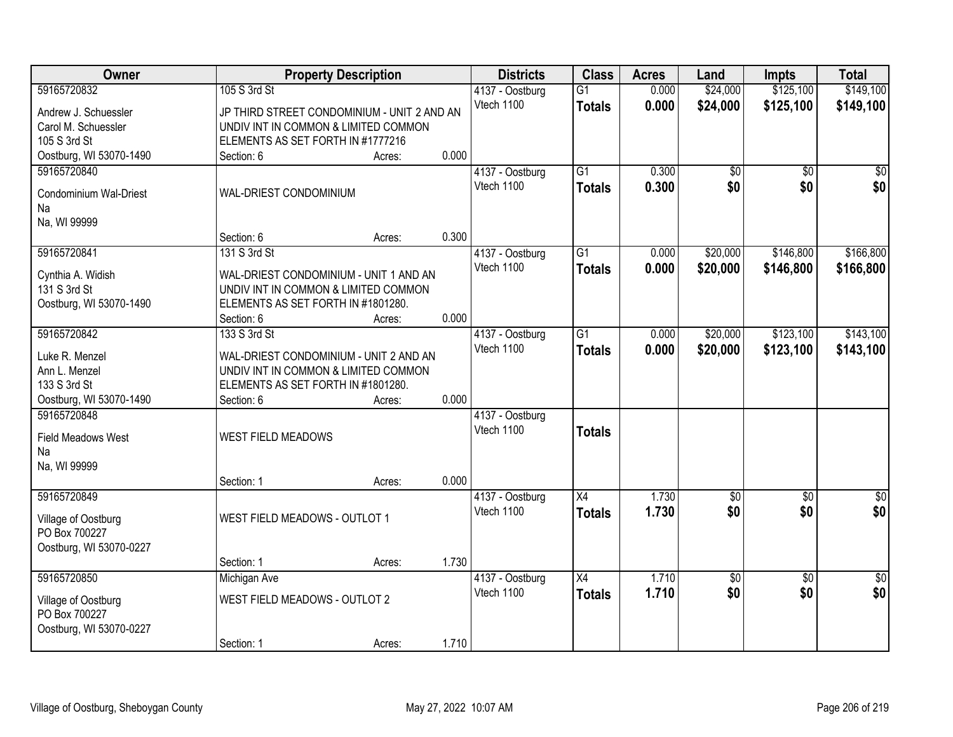| Owner                                | <b>Property Description</b>                 |                 | <b>Districts</b> | <b>Class</b>    | <b>Acres</b> | Land            | <b>Impts</b>    | <b>Total</b>    |
|--------------------------------------|---------------------------------------------|-----------------|------------------|-----------------|--------------|-----------------|-----------------|-----------------|
| 59165720832                          | 105 S 3rd St                                |                 | 4137 - Oostburg  | $\overline{G1}$ | 0.000        | \$24,000        | \$125,100       | \$149,100       |
| Andrew J. Schuessler                 | JP THIRD STREET CONDOMINIUM - UNIT 2 AND AN |                 | Vtech 1100       | <b>Totals</b>   | 0.000        | \$24,000        | \$125,100       | \$149,100       |
| Carol M. Schuessler                  | UNDIV INT IN COMMON & LIMITED COMMON        |                 |                  |                 |              |                 |                 |                 |
| 105 S 3rd St                         | ELEMENTS AS SET FORTH IN #1777216           |                 |                  |                 |              |                 |                 |                 |
| Oostburg, WI 53070-1490              | Section: 6                                  | 0.000<br>Acres: |                  |                 |              |                 |                 |                 |
| 59165720840                          |                                             |                 | 4137 - Oostburg  | $\overline{G1}$ | 0.300        | \$0             | $\overline{50}$ | $\sqrt{50}$     |
|                                      | WAL-DRIEST CONDOMINIUM                      |                 | Vtech 1100       | <b>Totals</b>   | 0.300        | \$0             | \$0             | \$0             |
| Condominium Wal-Driest<br>Na         |                                             |                 |                  |                 |              |                 |                 |                 |
| Na, WI 99999                         |                                             |                 |                  |                 |              |                 |                 |                 |
|                                      | Section: 6                                  | 0.300<br>Acres: |                  |                 |              |                 |                 |                 |
| 59165720841                          | 131 S 3rd St                                |                 | 4137 - Oostburg  | G1              | 0.000        | \$20,000        | \$146,800       | \$166,800       |
|                                      |                                             |                 | Vtech 1100       | <b>Totals</b>   | 0.000        | \$20,000        | \$146,800       | \$166,800       |
| Cynthia A. Widish                    | WAL-DRIEST CONDOMINIUM - UNIT 1 AND AN      |                 |                  |                 |              |                 |                 |                 |
| 131 S 3rd St                         | UNDIV INT IN COMMON & LIMITED COMMON        |                 |                  |                 |              |                 |                 |                 |
| Oostburg, WI 53070-1490              | ELEMENTS AS SET FORTH IN #1801280.          |                 |                  |                 |              |                 |                 |                 |
|                                      | Section: 6                                  | 0.000<br>Acres: |                  |                 |              |                 |                 |                 |
| 59165720842                          | 133 S 3rd St                                |                 | 4137 - Oostburg  | G1              | 0.000        | \$20,000        | \$123,100       | \$143,100       |
| Luke R. Menzel                       | WAL-DRIEST CONDOMINIUM - UNIT 2 AND AN      |                 | Vtech 1100       | <b>Totals</b>   | 0.000        | \$20,000        | \$123,100       | \$143,100       |
| Ann L. Menzel                        | UNDIV INT IN COMMON & LIMITED COMMON        |                 |                  |                 |              |                 |                 |                 |
| 133 S 3rd St                         | ELEMENTS AS SET FORTH IN #1801280.          |                 |                  |                 |              |                 |                 |                 |
| Oostburg, WI 53070-1490              | Section: 6                                  | 0.000<br>Acres: |                  |                 |              |                 |                 |                 |
| 59165720848                          |                                             |                 | 4137 - Oostburg  |                 |              |                 |                 |                 |
| <b>Field Meadows West</b>            | WEST FIELD MEADOWS                          |                 | Vtech 1100       | <b>Totals</b>   |              |                 |                 |                 |
| Na                                   |                                             |                 |                  |                 |              |                 |                 |                 |
| Na, WI 99999                         |                                             |                 |                  |                 |              |                 |                 |                 |
|                                      | Section: 1                                  | 0.000<br>Acres: |                  |                 |              |                 |                 |                 |
| 59165720849                          |                                             |                 | 4137 - Oostburg  | $\overline{X4}$ | 1.730        | $\overline{50}$ | $\overline{50}$ | $\overline{50}$ |
|                                      |                                             |                 | Vtech 1100       | <b>Totals</b>   | 1.730        | \$0             | \$0             | \$0             |
| Village of Oostburg<br>PO Box 700227 | WEST FIELD MEADOWS - OUTLOT 1               |                 |                  |                 |              |                 |                 |                 |
| Oostburg, WI 53070-0227              |                                             |                 |                  |                 |              |                 |                 |                 |
|                                      | Section: 1                                  | 1.730<br>Acres: |                  |                 |              |                 |                 |                 |
| 59165720850                          | Michigan Ave                                |                 | 4137 - Oostburg  | $\overline{X4}$ | 1.710        | \$0             | $\overline{50}$ | $\overline{50}$ |
|                                      |                                             |                 | Vtech 1100       | <b>Totals</b>   | 1.710        | \$0             | \$0             | \$0             |
| Village of Oostburg                  | WEST FIELD MEADOWS - OUTLOT 2               |                 |                  |                 |              |                 |                 |                 |
| PO Box 700227                        |                                             |                 |                  |                 |              |                 |                 |                 |
| Oostburg, WI 53070-0227              |                                             |                 |                  |                 |              |                 |                 |                 |
|                                      | Section: 1                                  | 1.710<br>Acres: |                  |                 |              |                 |                 |                 |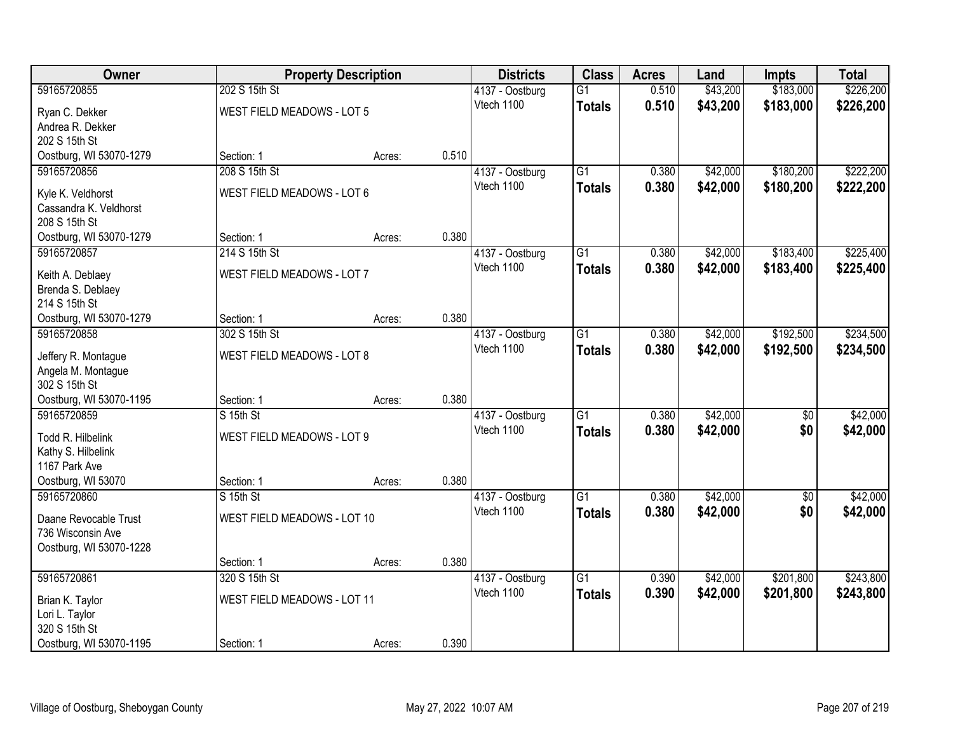| Owner                                     |                                   | <b>Property Description</b> |       | <b>Districts</b> | <b>Class</b>    | <b>Acres</b> | Land     | <b>Impts</b> | <b>Total</b> |
|-------------------------------------------|-----------------------------------|-----------------------------|-------|------------------|-----------------|--------------|----------|--------------|--------------|
| 59165720855                               | 202 S 15th St                     |                             |       | 4137 - Oostburg  | $\overline{G1}$ | 0.510        | \$43,200 | \$183,000    | \$226,200    |
| Ryan C. Dekker                            | WEST FIELD MEADOWS - LOT 5        |                             |       | Vtech 1100       | <b>Totals</b>   | 0.510        | \$43,200 | \$183,000    | \$226,200    |
| Andrea R. Dekker                          |                                   |                             |       |                  |                 |              |          |              |              |
| 202 S 15th St                             |                                   |                             |       |                  |                 |              |          |              |              |
| Oostburg, WI 53070-1279                   | Section: 1                        | Acres:                      | 0.510 |                  |                 |              |          |              |              |
| 59165720856                               | 208 S 15th St                     |                             |       | 4137 - Oostburg  | $\overline{G1}$ | 0.380        | \$42,000 | \$180,200    | \$222,200    |
| Kyle K. Veldhorst                         | WEST FIELD MEADOWS - LOT 6        |                             |       | Vtech 1100       | <b>Totals</b>   | 0.380        | \$42,000 | \$180,200    | \$222,200    |
| Cassandra K. Veldhorst                    |                                   |                             |       |                  |                 |              |          |              |              |
| 208 S 15th St                             |                                   |                             |       |                  |                 |              |          |              |              |
| Oostburg, WI 53070-1279                   | Section: 1                        | Acres:                      | 0.380 |                  |                 |              |          |              |              |
| 59165720857                               | 214 S 15th St                     |                             |       | 4137 - Oostburg  | $\overline{G1}$ | 0.380        | \$42,000 | \$183,400    | \$225,400    |
| Keith A. Deblaey                          | WEST FIELD MEADOWS - LOT 7        |                             |       | Vtech 1100       | <b>Totals</b>   | 0.380        | \$42,000 | \$183,400    | \$225,400    |
| Brenda S. Deblaey                         |                                   |                             |       |                  |                 |              |          |              |              |
| 214 S 15th St                             |                                   |                             |       |                  |                 |              |          |              |              |
| Oostburg, WI 53070-1279                   | Section: 1                        | Acres:                      | 0.380 |                  |                 |              |          |              |              |
| 59165720858                               | 302 S 15th St                     |                             |       | 4137 - Oostburg  | $\overline{G1}$ | 0.380        | \$42,000 | \$192,500    | \$234,500    |
|                                           |                                   |                             |       | Vtech 1100       | <b>Totals</b>   | 0.380        | \$42,000 | \$192,500    | \$234,500    |
| Jeffery R. Montague<br>Angela M. Montague | <b>WEST FIELD MEADOWS - LOT 8</b> |                             |       |                  |                 |              |          |              |              |
| 302 S 15th St                             |                                   |                             |       |                  |                 |              |          |              |              |
| Oostburg, WI 53070-1195                   | Section: 1                        | Acres:                      | 0.380 |                  |                 |              |          |              |              |
| 59165720859                               | S 15th St                         |                             |       | 4137 - Oostburg  | $\overline{G1}$ | 0.380        | \$42,000 | \$0          | \$42,000     |
|                                           |                                   |                             |       | Vtech 1100       | <b>Totals</b>   | 0.380        | \$42,000 | \$0          | \$42,000     |
| Todd R. Hilbelink                         | WEST FIELD MEADOWS - LOT 9        |                             |       |                  |                 |              |          |              |              |
| Kathy S. Hilbelink<br>1167 Park Ave       |                                   |                             |       |                  |                 |              |          |              |              |
| Oostburg, WI 53070                        | Section: 1                        | Acres:                      | 0.380 |                  |                 |              |          |              |              |
| 59165720860                               | S 15th St                         |                             |       | 4137 - Oostburg  | $\overline{G1}$ | 0.380        | \$42,000 | $\sqrt{6}$   | \$42,000     |
|                                           |                                   |                             |       | Vtech 1100       | <b>Totals</b>   | 0.380        | \$42,000 | \$0          | \$42,000     |
| Daane Revocable Trust                     | WEST FIELD MEADOWS - LOT 10       |                             |       |                  |                 |              |          |              |              |
| 736 Wisconsin Ave                         |                                   |                             |       |                  |                 |              |          |              |              |
| Oostburg, WI 53070-1228                   | Section: 1                        |                             | 0.380 |                  |                 |              |          |              |              |
| 59165720861                               | 320 S 15th St                     | Acres:                      |       | 4137 - Oostburg  | $\overline{G1}$ | 0.390        | \$42,000 | \$201,800    | \$243,800    |
|                                           |                                   |                             |       | Vtech 1100       | <b>Totals</b>   | 0.390        | \$42,000 | \$201,800    | \$243,800    |
| Brian K. Taylor                           | WEST FIELD MEADOWS - LOT 11       |                             |       |                  |                 |              |          |              |              |
| Lori L. Taylor                            |                                   |                             |       |                  |                 |              |          |              |              |
| 320 S 15th St                             |                                   |                             |       |                  |                 |              |          |              |              |
| Oostburg, WI 53070-1195                   | Section: 1                        | Acres:                      | 0.390 |                  |                 |              |          |              |              |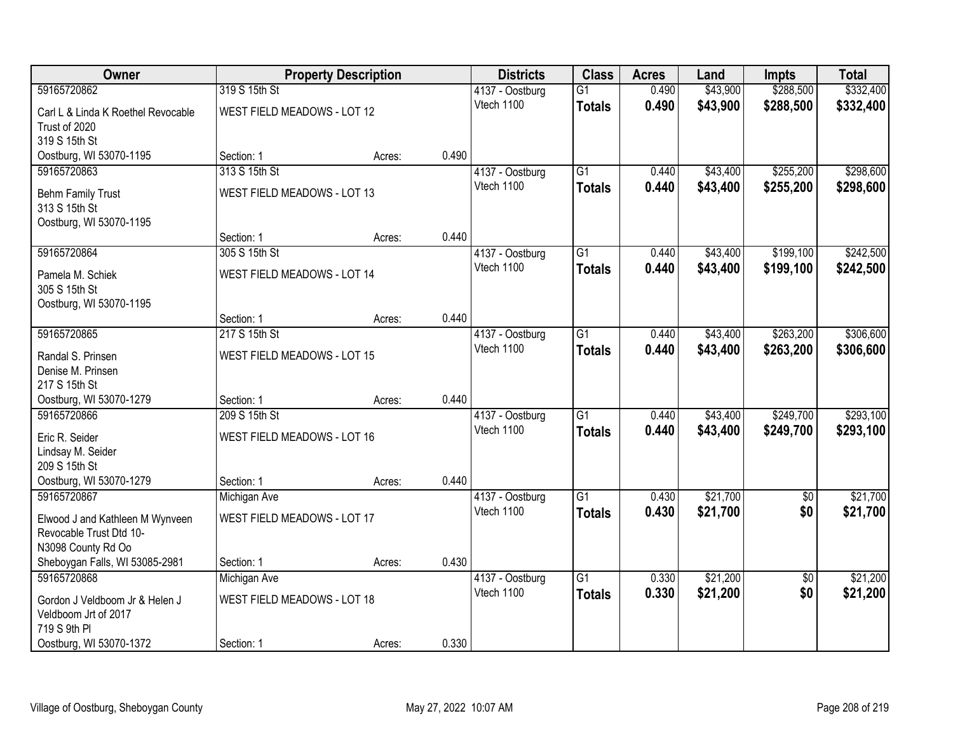| Owner                              |                                    | <b>Property Description</b> |       | <b>Districts</b>              | <b>Class</b>    | <b>Acres</b> | Land     | <b>Impts</b>    | <b>Total</b> |
|------------------------------------|------------------------------------|-----------------------------|-------|-------------------------------|-----------------|--------------|----------|-----------------|--------------|
| 59165720862                        | 319 S 15th St                      |                             |       | 4137 - Oostburg               | $\overline{G1}$ | 0.490        | \$43,900 | \$288,500       | \$332,400    |
| Carl L & Linda K Roethel Revocable | WEST FIELD MEADOWS - LOT 12        |                             |       | Vtech 1100                    | <b>Totals</b>   | 0.490        | \$43,900 | \$288,500       | \$332,400    |
| Trust of 2020                      |                                    |                             |       |                               |                 |              |          |                 |              |
| 319 S 15th St                      |                                    |                             |       |                               |                 |              |          |                 |              |
| Oostburg, WI 53070-1195            | Section: 1                         | Acres:                      | 0.490 |                               |                 |              |          |                 |              |
| 59165720863                        | 313 S 15th St                      |                             |       | 4137 - Oostburg               | $\overline{G1}$ | 0.440        | \$43,400 | \$255,200       | \$298,600    |
| <b>Behm Family Trust</b>           | WEST FIELD MEADOWS - LOT 13        |                             |       | Vtech 1100                    | <b>Totals</b>   | 0.440        | \$43,400 | \$255,200       | \$298,600    |
| 313 S 15th St                      |                                    |                             |       |                               |                 |              |          |                 |              |
| Oostburg, WI 53070-1195            |                                    |                             |       |                               |                 |              |          |                 |              |
|                                    | Section: 1                         | Acres:                      | 0.440 |                               |                 |              |          |                 |              |
| 59165720864                        | 305 S 15th St                      |                             |       | 4137 - Oostburg               | $\overline{G1}$ | 0.440        | \$43,400 | \$199,100       | \$242,500    |
| Pamela M. Schiek                   | <b>WEST FIELD MEADOWS - LOT 14</b> |                             |       | Vtech 1100                    | <b>Totals</b>   | 0.440        | \$43,400 | \$199,100       | \$242,500    |
| 305 S 15th St                      |                                    |                             |       |                               |                 |              |          |                 |              |
| Oostburg, WI 53070-1195            |                                    |                             |       |                               |                 |              |          |                 |              |
|                                    | Section: 1                         | Acres:                      | 0.440 |                               |                 |              |          |                 |              |
| 59165720865                        | 217 S 15th St                      |                             |       | 4137 - Oostburg               | $\overline{G1}$ | 0.440        | \$43,400 | \$263,200       | \$306,600    |
| Randal S. Prinsen                  | <b>WEST FIELD MEADOWS - LOT 15</b> |                             |       | Vtech 1100                    | <b>Totals</b>   | 0.440        | \$43,400 | \$263,200       | \$306,600    |
| Denise M. Prinsen                  |                                    |                             |       |                               |                 |              |          |                 |              |
| 217 S 15th St                      |                                    |                             |       |                               |                 |              |          |                 |              |
| Oostburg, WI 53070-1279            | Section: 1                         | Acres:                      | 0.440 |                               |                 |              |          |                 |              |
| 59165720866                        | 209 S 15th St                      |                             |       | 4137 - Oostburg               | $\overline{G1}$ | 0.440        | \$43,400 | \$249,700       | \$293,100    |
| Eric R. Seider                     | WEST FIELD MEADOWS - LOT 16        |                             |       | Vtech 1100                    | <b>Totals</b>   | 0.440        | \$43,400 | \$249,700       | \$293,100    |
| Lindsay M. Seider                  |                                    |                             |       |                               |                 |              |          |                 |              |
| 209 S 15th St                      |                                    |                             |       |                               |                 |              |          |                 |              |
| Oostburg, WI 53070-1279            | Section: 1                         | Acres:                      | 0.440 |                               |                 |              |          |                 |              |
| 59165720867                        | Michigan Ave                       |                             |       | 4137 - Oostburg<br>Vtech 1100 | $\overline{G1}$ | 0.430        | \$21,700 | $\overline{50}$ | \$21,700     |
| Elwood J and Kathleen M Wynveen    | WEST FIELD MEADOWS - LOT 17        |                             |       |                               | <b>Totals</b>   | 0.430        | \$21,700 | \$0             | \$21,700     |
| Revocable Trust Dtd 10-            |                                    |                             |       |                               |                 |              |          |                 |              |
| N3098 County Rd Oo                 |                                    |                             |       |                               |                 |              |          |                 |              |
| Sheboygan Falls, WI 53085-2981     | Section: 1                         | Acres:                      | 0.430 |                               |                 |              |          |                 |              |
| 59165720868                        | Michigan Ave                       |                             |       | 4137 - Oostburg<br>Vtech 1100 | $\overline{G1}$ | 0.330        | \$21,200 | $\overline{30}$ | \$21,200     |
| Gordon J Veldboom Jr & Helen J     | WEST FIELD MEADOWS - LOT 18        |                             |       |                               | <b>Totals</b>   | 0.330        | \$21,200 | \$0             | \$21,200     |
| Veldboom Jrt of 2017               |                                    |                             |       |                               |                 |              |          |                 |              |
| 719 S 9th PI                       |                                    |                             |       |                               |                 |              |          |                 |              |
| Oostburg, WI 53070-1372            | Section: 1                         | Acres:                      | 0.330 |                               |                 |              |          |                 |              |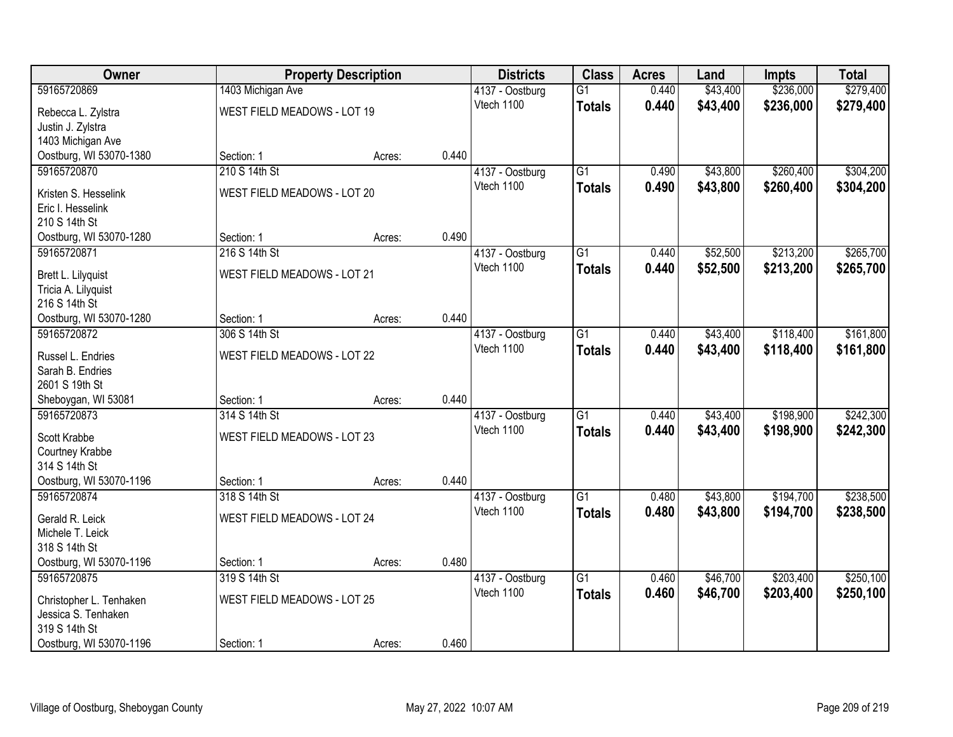| Owner                                     |                                    | <b>Property Description</b> |       | <b>Districts</b> | <b>Class</b>    | <b>Acres</b> | Land     | <b>Impts</b> | <b>Total</b> |
|-------------------------------------------|------------------------------------|-----------------------------|-------|------------------|-----------------|--------------|----------|--------------|--------------|
| 59165720869                               | 1403 Michigan Ave                  |                             |       | 4137 - Oostburg  | $\overline{G1}$ | 0.440        | \$43,400 | \$236,000    | \$279,400    |
| Rebecca L. Zylstra                        | <b>WEST FIELD MEADOWS - LOT 19</b> |                             |       | Vtech 1100       | <b>Totals</b>   | 0.440        | \$43,400 | \$236,000    | \$279,400    |
| Justin J. Zylstra                         |                                    |                             |       |                  |                 |              |          |              |              |
| 1403 Michigan Ave                         |                                    |                             |       |                  |                 |              |          |              |              |
| Oostburg, WI 53070-1380                   | Section: 1                         | Acres:                      | 0.440 |                  |                 |              |          |              |              |
| 59165720870                               | 210 S 14th St                      |                             |       | 4137 - Oostburg  | $\overline{G1}$ | 0.490        | \$43,800 | \$260,400    | \$304,200    |
| Kristen S. Hesselink                      | WEST FIELD MEADOWS - LOT 20        |                             |       | Vtech 1100       | <b>Totals</b>   | 0.490        | \$43,800 | \$260,400    | \$304,200    |
| Eric I. Hesselink                         |                                    |                             |       |                  |                 |              |          |              |              |
| 210 S 14th St                             |                                    |                             |       |                  |                 |              |          |              |              |
| Oostburg, WI 53070-1280                   | Section: 1                         | Acres:                      | 0.490 |                  |                 |              |          |              |              |
| 59165720871                               | 216 S 14th St                      |                             |       | 4137 - Oostburg  | G1              | 0.440        | \$52,500 | \$213,200    | \$265,700    |
|                                           | <b>WEST FIELD MEADOWS - LOT 21</b> |                             |       | Vtech 1100       | <b>Totals</b>   | 0.440        | \$52,500 | \$213,200    | \$265,700    |
| Brett L. Lilyquist<br>Tricia A. Lilyquist |                                    |                             |       |                  |                 |              |          |              |              |
| 216 S 14th St                             |                                    |                             |       |                  |                 |              |          |              |              |
| Oostburg, WI 53070-1280                   | Section: 1                         | Acres:                      | 0.440 |                  |                 |              |          |              |              |
| 59165720872                               | 306 S 14th St                      |                             |       | 4137 - Oostburg  | G1              | 0.440        | \$43,400 | \$118,400    | \$161,800    |
|                                           |                                    |                             |       | Vtech 1100       | <b>Totals</b>   | 0.440        | \$43,400 | \$118,400    | \$161,800    |
| Russel L. Endries                         | <b>WEST FIELD MEADOWS - LOT 22</b> |                             |       |                  |                 |              |          |              |              |
| Sarah B. Endries<br>2601 S 19th St        |                                    |                             |       |                  |                 |              |          |              |              |
| Sheboygan, WI 53081                       | Section: 1                         | Acres:                      | 0.440 |                  |                 |              |          |              |              |
| 59165720873                               | 314 S 14th St                      |                             |       | 4137 - Oostburg  | $\overline{G1}$ | 0.440        | \$43,400 | \$198,900    | \$242,300    |
|                                           |                                    |                             |       | Vtech 1100       | <b>Totals</b>   | 0.440        | \$43,400 | \$198,900    | \$242,300    |
| Scott Krabbe                              | WEST FIELD MEADOWS - LOT 23        |                             |       |                  |                 |              |          |              |              |
| Courtney Krabbe                           |                                    |                             |       |                  |                 |              |          |              |              |
| 314 S 14th St                             |                                    |                             |       |                  |                 |              |          |              |              |
| Oostburg, WI 53070-1196                   | Section: 1                         | Acres:                      | 0.440 |                  |                 |              |          |              |              |
| 59165720874                               | 318 S 14th St                      |                             |       | 4137 - Oostburg  | $\overline{G1}$ | 0.480        | \$43,800 | \$194,700    | \$238,500    |
| Gerald R. Leick                           | WEST FIELD MEADOWS - LOT 24        |                             |       | Vtech 1100       | <b>Totals</b>   | 0.480        | \$43,800 | \$194,700    | \$238,500    |
| Michele T. Leick                          |                                    |                             |       |                  |                 |              |          |              |              |
| 318 S 14th St                             |                                    |                             |       |                  |                 |              |          |              |              |
| Oostburg, WI 53070-1196                   | Section: 1                         | Acres:                      | 0.480 |                  |                 |              |          |              |              |
| 59165720875                               | 319 S 14th St                      |                             |       | 4137 - Oostburg  | $\overline{G1}$ | 0.460        | \$46,700 | \$203,400    | \$250,100    |
| Christopher L. Tenhaken                   | <b>WEST FIELD MEADOWS - LOT 25</b> |                             |       | Vtech 1100       | <b>Totals</b>   | 0.460        | \$46,700 | \$203,400    | \$250,100    |
| Jessica S. Tenhaken                       |                                    |                             |       |                  |                 |              |          |              |              |
| 319 S 14th St                             |                                    |                             |       |                  |                 |              |          |              |              |
| Oostburg, WI 53070-1196                   | Section: 1                         | Acres:                      | 0.460 |                  |                 |              |          |              |              |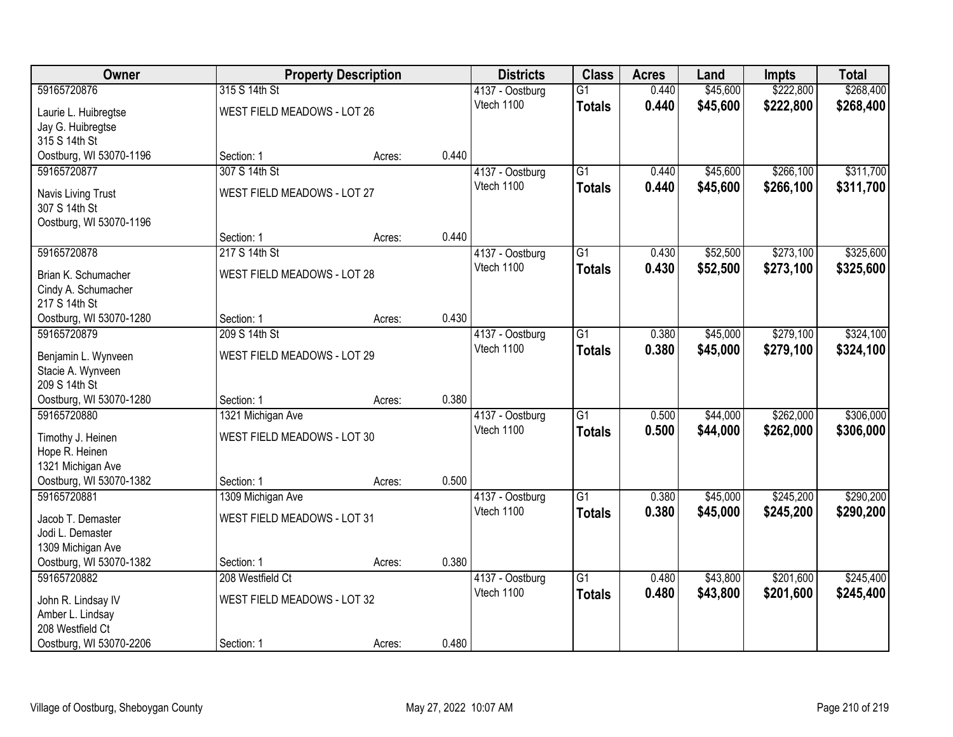| Owner                                      |                                    | <b>Property Description</b> |       | <b>Districts</b>              | <b>Class</b>    | <b>Acres</b> | Land     | <b>Impts</b> | <b>Total</b> |
|--------------------------------------------|------------------------------------|-----------------------------|-------|-------------------------------|-----------------|--------------|----------|--------------|--------------|
| 59165720876                                | 315 S 14th St                      |                             |       | 4137 - Oostburg               | $\overline{G1}$ | 0.440        | \$45,600 | \$222,800    | \$268,400    |
| Laurie L. Huibregtse                       | WEST FIELD MEADOWS - LOT 26        |                             |       | Vtech 1100                    | <b>Totals</b>   | 0.440        | \$45,600 | \$222,800    | \$268,400    |
| Jay G. Huibregtse                          |                                    |                             |       |                               |                 |              |          |              |              |
| 315 S 14th St                              |                                    |                             |       |                               |                 |              |          |              |              |
| Oostburg, WI 53070-1196                    | Section: 1                         | Acres:                      | 0.440 |                               |                 |              |          |              |              |
| 59165720877                                | 307 S 14th St                      |                             |       | 4137 - Oostburg               | $\overline{G1}$ | 0.440        | \$45,600 | \$266,100    | \$311,700    |
| Navis Living Trust                         | WEST FIELD MEADOWS - LOT 27        |                             |       | Vtech 1100                    | <b>Totals</b>   | 0.440        | \$45,600 | \$266,100    | \$311,700    |
| 307 S 14th St                              |                                    |                             |       |                               |                 |              |          |              |              |
| Oostburg, WI 53070-1196                    |                                    |                             |       |                               |                 |              |          |              |              |
|                                            | Section: 1                         | Acres:                      | 0.440 |                               |                 |              |          |              |              |
| 59165720878                                | 217 S 14th St                      |                             |       | 4137 - Oostburg               | G1              | 0.430        | \$52,500 | \$273,100    | \$325,600    |
|                                            | WEST FIELD MEADOWS - LOT 28        |                             |       | Vtech 1100                    | <b>Totals</b>   | 0.430        | \$52,500 | \$273,100    | \$325,600    |
| Brian K. Schumacher<br>Cindy A. Schumacher |                                    |                             |       |                               |                 |              |          |              |              |
| 217 S 14th St                              |                                    |                             |       |                               |                 |              |          |              |              |
| Oostburg, WI 53070-1280                    | Section: 1                         | Acres:                      | 0.430 |                               |                 |              |          |              |              |
| 59165720879                                | 209 S 14th St                      |                             |       | 4137 - Oostburg               | G1              | 0.380        | \$45,000 | \$279,100    | \$324,100    |
|                                            |                                    |                             |       | Vtech 1100                    | <b>Totals</b>   | 0.380        | \$45,000 | \$279,100    | \$324,100    |
| Benjamin L. Wynveen                        | WEST FIELD MEADOWS - LOT 29        |                             |       |                               |                 |              |          |              |              |
| Stacie A. Wynveen<br>209 S 14th St         |                                    |                             |       |                               |                 |              |          |              |              |
| Oostburg, WI 53070-1280                    | Section: 1                         | Acres:                      | 0.380 |                               |                 |              |          |              |              |
| 59165720880                                | 1321 Michigan Ave                  |                             |       | 4137 - Oostburg               | $\overline{G1}$ | 0.500        | \$44,000 | \$262,000    | \$306,000    |
|                                            |                                    |                             |       | Vtech 1100                    | <b>Totals</b>   | 0.500        | \$44,000 | \$262,000    | \$306,000    |
| Timothy J. Heinen                          | WEST FIELD MEADOWS - LOT 30        |                             |       |                               |                 |              |          |              |              |
| Hope R. Heinen                             |                                    |                             |       |                               |                 |              |          |              |              |
| 1321 Michigan Ave                          |                                    |                             |       |                               |                 |              |          |              |              |
| Oostburg, WI 53070-1382<br>59165720881     | Section: 1                         | Acres:                      | 0.500 |                               | $\overline{G1}$ | 0.380        |          | \$245,200    | \$290,200    |
|                                            | 1309 Michigan Ave                  |                             |       | 4137 - Oostburg<br>Vtech 1100 |                 | 0.380        | \$45,000 |              |              |
| Jacob T. Demaster                          | WEST FIELD MEADOWS - LOT 31        |                             |       |                               | <b>Totals</b>   |              | \$45,000 | \$245,200    | \$290,200    |
| Jodi L. Demaster                           |                                    |                             |       |                               |                 |              |          |              |              |
| 1309 Michigan Ave                          |                                    |                             |       |                               |                 |              |          |              |              |
| Oostburg, WI 53070-1382                    | Section: 1                         | Acres:                      | 0.380 |                               |                 |              |          |              |              |
| 59165720882                                | 208 Westfield Ct                   |                             |       | 4137 - Oostburg               | $\overline{G1}$ | 0.480        | \$43,800 | \$201,600    | \$245,400    |
| John R. Lindsay IV                         | <b>WEST FIELD MEADOWS - LOT 32</b> |                             |       | Vtech 1100                    | <b>Totals</b>   | 0.480        | \$43,800 | \$201,600    | \$245,400    |
| Amber L. Lindsay                           |                                    |                             |       |                               |                 |              |          |              |              |
| 208 Westfield Ct                           |                                    |                             |       |                               |                 |              |          |              |              |
| Oostburg, WI 53070-2206                    | Section: 1                         | Acres:                      | 0.480 |                               |                 |              |          |              |              |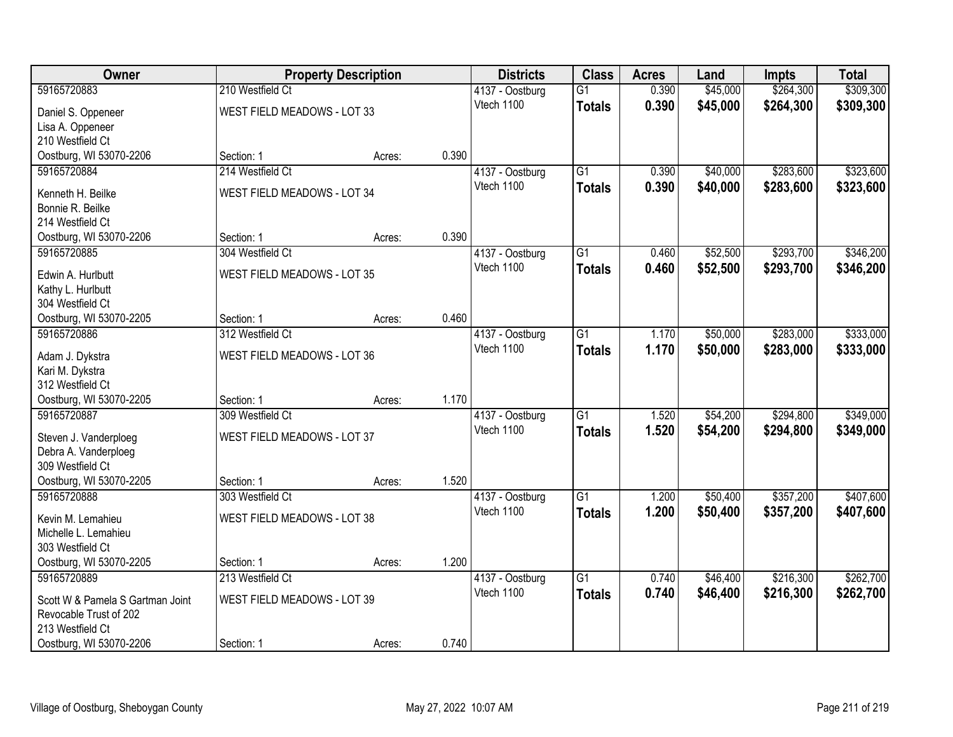| Owner                                       |                                    | <b>Property Description</b> |       | <b>Districts</b> | <b>Class</b>    | <b>Acres</b> | Land     | <b>Impts</b> | <b>Total</b> |
|---------------------------------------------|------------------------------------|-----------------------------|-------|------------------|-----------------|--------------|----------|--------------|--------------|
| 59165720883                                 | 210 Westfield Ct                   |                             |       | 4137 - Oostburg  | $\overline{G1}$ | 0.390        | \$45,000 | \$264,300    | \$309,300    |
| Daniel S. Oppeneer                          | WEST FIELD MEADOWS - LOT 33        |                             |       | Vtech 1100       | <b>Totals</b>   | 0.390        | \$45,000 | \$264,300    | \$309,300    |
| Lisa A. Oppeneer                            |                                    |                             |       |                  |                 |              |          |              |              |
| 210 Westfield Ct                            |                                    |                             |       |                  |                 |              |          |              |              |
| Oostburg, WI 53070-2206                     | Section: 1                         | Acres:                      | 0.390 |                  |                 |              |          |              |              |
| 59165720884                                 | 214 Westfield Ct                   |                             |       | 4137 - Oostburg  | $\overline{G1}$ | 0.390        | \$40,000 | \$283,600    | \$323,600    |
| Kenneth H. Beilke                           | WEST FIELD MEADOWS - LOT 34        |                             |       | Vtech 1100       | <b>Totals</b>   | 0.390        | \$40,000 | \$283,600    | \$323,600    |
| Bonnie R. Beilke                            |                                    |                             |       |                  |                 |              |          |              |              |
| 214 Westfield Ct                            |                                    |                             |       |                  |                 |              |          |              |              |
| Oostburg, WI 53070-2206                     | Section: 1                         | Acres:                      | 0.390 |                  |                 |              |          |              |              |
| 59165720885                                 | 304 Westfield Ct                   |                             |       | 4137 - Oostburg  | G1              | 0.460        | \$52,500 | \$293,700    | \$346,200    |
|                                             |                                    |                             |       | Vtech 1100       | <b>Totals</b>   | 0.460        | \$52,500 | \$293,700    | \$346,200    |
| Edwin A. Hurlbutt<br>Kathy L. Hurlbutt      | <b>WEST FIELD MEADOWS - LOT 35</b> |                             |       |                  |                 |              |          |              |              |
| 304 Westfield Ct                            |                                    |                             |       |                  |                 |              |          |              |              |
| Oostburg, WI 53070-2205                     | Section: 1                         | Acres:                      | 0.460 |                  |                 |              |          |              |              |
| 59165720886                                 | 312 Westfield Ct                   |                             |       | 4137 - Oostburg  | G1              | 1.170        | \$50,000 | \$283,000    | \$333,000    |
|                                             |                                    |                             |       | Vtech 1100       | <b>Totals</b>   | 1.170        | \$50,000 | \$283,000    | \$333,000    |
| Adam J. Dykstra                             | <b>WEST FIELD MEADOWS - LOT 36</b> |                             |       |                  |                 |              |          |              |              |
| Kari M. Dykstra                             |                                    |                             |       |                  |                 |              |          |              |              |
| 312 Westfield Ct<br>Oostburg, WI 53070-2205 | Section: 1                         | Acres:                      | 1.170 |                  |                 |              |          |              |              |
| 59165720887                                 | 309 Westfield Ct                   |                             |       | 4137 - Oostburg  | $\overline{G1}$ | 1.520        | \$54,200 | \$294,800    | \$349,000    |
|                                             |                                    |                             |       | Vtech 1100       | <b>Totals</b>   | 1.520        | \$54,200 | \$294,800    | \$349,000    |
| Steven J. Vanderploeg                       | WEST FIELD MEADOWS - LOT 37        |                             |       |                  |                 |              |          |              |              |
| Debra A. Vanderploeg                        |                                    |                             |       |                  |                 |              |          |              |              |
| 309 Westfield Ct                            |                                    |                             |       |                  |                 |              |          |              |              |
| Oostburg, WI 53070-2205                     | Section: 1                         | Acres:                      | 1.520 |                  |                 |              |          |              |              |
| 59165720888                                 | 303 Westfield Ct                   |                             |       | 4137 - Oostburg  | $\overline{G1}$ | 1.200        | \$50,400 | \$357,200    | \$407,600    |
| Kevin M. Lemahieu                           | WEST FIELD MEADOWS - LOT 38        |                             |       | Vtech 1100       | <b>Totals</b>   | 1.200        | \$50,400 | \$357,200    | \$407,600    |
| Michelle L. Lemahieu                        |                                    |                             |       |                  |                 |              |          |              |              |
| 303 Westfield Ct                            |                                    |                             |       |                  |                 |              |          |              |              |
| Oostburg, WI 53070-2205                     | Section: 1                         | Acres:                      | 1.200 |                  |                 |              |          |              |              |
| 59165720889                                 | 213 Westfield Ct                   |                             |       | 4137 - Oostburg  | $\overline{G1}$ | 0.740        | \$46,400 | \$216,300    | \$262,700    |
| Scott W & Pamela S Gartman Joint            | <b>WEST FIELD MEADOWS - LOT 39</b> |                             |       | Vtech 1100       | <b>Totals</b>   | 0.740        | \$46,400 | \$216,300    | \$262,700    |
| Revocable Trust of 202                      |                                    |                             |       |                  |                 |              |          |              |              |
| 213 Westfield Ct                            |                                    |                             |       |                  |                 |              |          |              |              |
| Oostburg, WI 53070-2206                     | Section: 1                         | Acres:                      | 0.740 |                  |                 |              |          |              |              |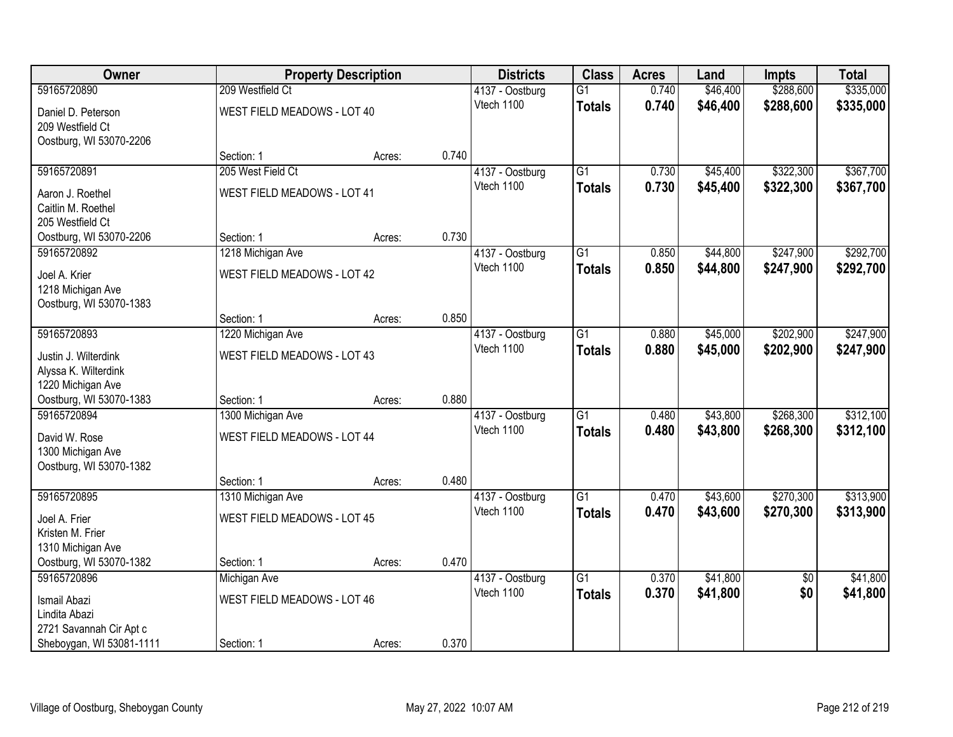| <b>Owner</b>             |                                    | <b>Property Description</b> |       | <b>Districts</b> | <b>Class</b>    | <b>Acres</b> | Land     | <b>Impts</b>    | <b>Total</b> |
|--------------------------|------------------------------------|-----------------------------|-------|------------------|-----------------|--------------|----------|-----------------|--------------|
| 59165720890              | 209 Westfield Ct                   |                             |       | 4137 - Oostburg  | $\overline{G1}$ | 0.740        | \$46,400 | \$288,600       | \$335,000    |
| Daniel D. Peterson       | WEST FIELD MEADOWS - LOT 40        |                             |       | Vtech 1100       | <b>Totals</b>   | 0.740        | \$46,400 | \$288,600       | \$335,000    |
| 209 Westfield Ct         |                                    |                             |       |                  |                 |              |          |                 |              |
| Oostburg, WI 53070-2206  |                                    |                             |       |                  |                 |              |          |                 |              |
|                          | Section: 1                         | Acres:                      | 0.740 |                  |                 |              |          |                 |              |
| 59165720891              | 205 West Field Ct                  |                             |       | 4137 - Oostburg  | $\overline{G1}$ | 0.730        | \$45,400 | \$322,300       | \$367,700    |
| Aaron J. Roethel         | <b>WEST FIELD MEADOWS - LOT 41</b> |                             |       | Vtech 1100       | <b>Totals</b>   | 0.730        | \$45,400 | \$322,300       | \$367,700    |
| Caitlin M. Roethel       |                                    |                             |       |                  |                 |              |          |                 |              |
| 205 Westfield Ct         |                                    |                             |       |                  |                 |              |          |                 |              |
| Oostburg, WI 53070-2206  | Section: 1                         | Acres:                      | 0.730 |                  |                 |              |          |                 |              |
| 59165720892              | 1218 Michigan Ave                  |                             |       | 4137 - Oostburg  | $\overline{G1}$ | 0.850        | \$44,800 | \$247,900       | \$292,700    |
| Joel A. Krier            | <b>WEST FIELD MEADOWS - LOT 42</b> |                             |       | Vtech 1100       | <b>Totals</b>   | 0.850        | \$44,800 | \$247,900       | \$292,700    |
| 1218 Michigan Ave        |                                    |                             |       |                  |                 |              |          |                 |              |
| Oostburg, WI 53070-1383  |                                    |                             |       |                  |                 |              |          |                 |              |
|                          | Section: 1                         | Acres:                      | 0.850 |                  |                 |              |          |                 |              |
| 59165720893              | 1220 Michigan Ave                  |                             |       | 4137 - Oostburg  | $\overline{G1}$ | 0.880        | \$45,000 | \$202,900       | \$247,900    |
| Justin J. Wilterdink     | <b>WEST FIELD MEADOWS - LOT 43</b> |                             |       | Vtech 1100       | <b>Totals</b>   | 0.880        | \$45,000 | \$202,900       | \$247,900    |
| Alyssa K. Wilterdink     |                                    |                             |       |                  |                 |              |          |                 |              |
| 1220 Michigan Ave        |                                    |                             |       |                  |                 |              |          |                 |              |
| Oostburg, WI 53070-1383  | Section: 1                         | Acres:                      | 0.880 |                  |                 |              |          |                 |              |
| 59165720894              | 1300 Michigan Ave                  |                             |       | 4137 - Oostburg  | $\overline{G1}$ | 0.480        | \$43,800 | \$268,300       | \$312,100    |
| David W. Rose            | WEST FIELD MEADOWS - LOT 44        |                             |       | Vtech 1100       | <b>Totals</b>   | 0.480        | \$43,800 | \$268,300       | \$312,100    |
| 1300 Michigan Ave        |                                    |                             |       |                  |                 |              |          |                 |              |
| Oostburg, WI 53070-1382  |                                    |                             |       |                  |                 |              |          |                 |              |
|                          | Section: 1                         | Acres:                      | 0.480 |                  |                 |              |          |                 |              |
| 59165720895              | 1310 Michigan Ave                  |                             |       | 4137 - Oostburg  | $\overline{G1}$ | 0.470        | \$43,600 | \$270,300       | \$313,900    |
| Joel A. Frier            | <b>WEST FIELD MEADOWS - LOT 45</b> |                             |       | Vtech 1100       | <b>Totals</b>   | 0.470        | \$43,600 | \$270,300       | \$313,900    |
| Kristen M. Frier         |                                    |                             |       |                  |                 |              |          |                 |              |
| 1310 Michigan Ave        |                                    |                             |       |                  |                 |              |          |                 |              |
| Oostburg, WI 53070-1382  | Section: 1                         | Acres:                      | 0.470 |                  |                 |              |          |                 |              |
| 59165720896              | Michigan Ave                       |                             |       | 4137 - Oostburg  | $\overline{G1}$ | 0.370        | \$41,800 | $\overline{50}$ | \$41,800     |
| Ismail Abazi             | <b>WEST FIELD MEADOWS - LOT 46</b> |                             |       | Vtech 1100       | <b>Totals</b>   | 0.370        | \$41,800 | \$0             | \$41,800     |
| Lindita Abazi            |                                    |                             |       |                  |                 |              |          |                 |              |
| 2721 Savannah Cir Apt c  |                                    |                             |       |                  |                 |              |          |                 |              |
| Sheboygan, WI 53081-1111 | Section: 1                         | Acres:                      | 0.370 |                  |                 |              |          |                 |              |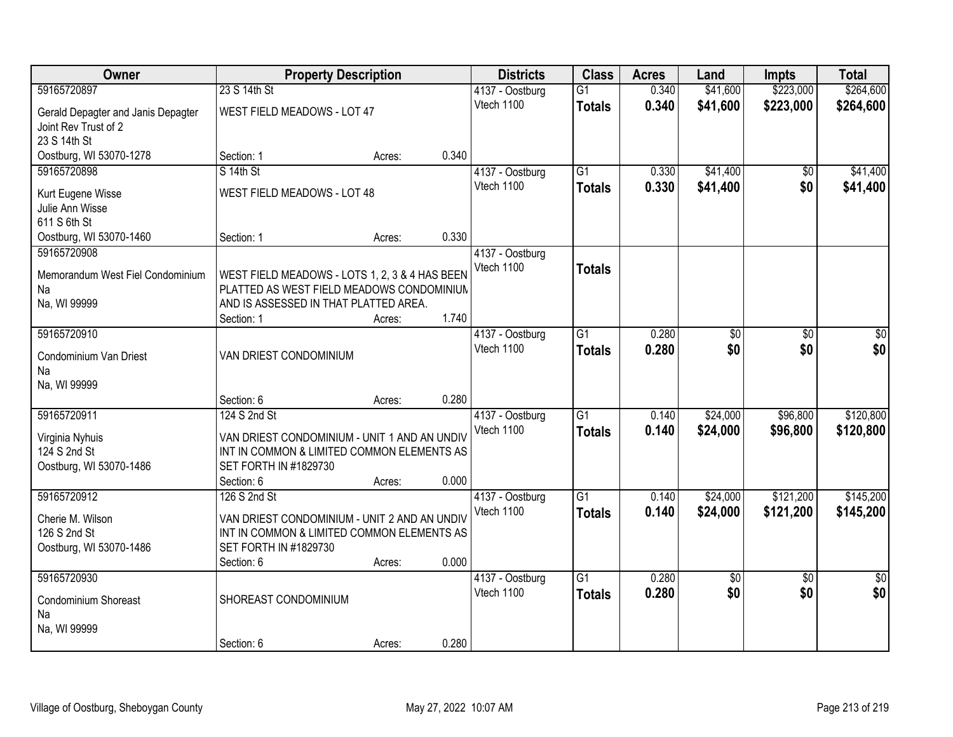| Owner                                  | <b>Property Description</b>                                                                |                 | <b>Districts</b>              | <b>Class</b>    | <b>Acres</b> | Land     | <b>Impts</b>    | <b>Total</b>    |
|----------------------------------------|--------------------------------------------------------------------------------------------|-----------------|-------------------------------|-----------------|--------------|----------|-----------------|-----------------|
| 59165720897                            | 23 S 14th St                                                                               |                 | 4137 - Oostburg               | $\overline{G1}$ | 0.340        | \$41,600 | \$223,000       | \$264,600       |
| Gerald Depagter and Janis Depagter     | WEST FIELD MEADOWS - LOT 47                                                                |                 | Vtech 1100                    | <b>Totals</b>   | 0.340        | \$41,600 | \$223,000       | \$264,600       |
| Joint Rev Trust of 2                   |                                                                                            |                 |                               |                 |              |          |                 |                 |
| 23 S 14th St                           |                                                                                            |                 |                               |                 |              |          |                 |                 |
| Oostburg, WI 53070-1278                | Section: 1                                                                                 | 0.340<br>Acres: |                               |                 |              |          |                 |                 |
| 59165720898                            | S 14th St                                                                                  |                 | 4137 - Oostburg               | $\overline{G1}$ | 0.330        | \$41,400 | $\overline{50}$ | \$41,400        |
| Kurt Eugene Wisse                      | WEST FIELD MEADOWS - LOT 48                                                                |                 | Vtech 1100                    | <b>Totals</b>   | 0.330        | \$41,400 | \$0             | \$41,400        |
| Julie Ann Wisse                        |                                                                                            |                 |                               |                 |              |          |                 |                 |
| 611 S 6th St                           |                                                                                            |                 |                               |                 |              |          |                 |                 |
| Oostburg, WI 53070-1460<br>59165720908 | Section: 1                                                                                 | 0.330<br>Acres: |                               |                 |              |          |                 |                 |
|                                        |                                                                                            |                 | 4137 - Oostburg<br>Vtech 1100 |                 |              |          |                 |                 |
| Memorandum West Fiel Condominium       | WEST FIELD MEADOWS - LOTS 1, 2, 3 & 4 HAS BEEN                                             |                 |                               | <b>Totals</b>   |              |          |                 |                 |
| Na                                     | PLATTED AS WEST FIELD MEADOWS CONDOMINIUM                                                  |                 |                               |                 |              |          |                 |                 |
| Na, WI 99999                           | AND IS ASSESSED IN THAT PLATTED AREA.<br>Section: 1                                        | 1.740           |                               |                 |              |          |                 |                 |
| 59165720910                            |                                                                                            | Acres:          | 4137 - Oostburg               | $\overline{G1}$ | 0.280        | \$0      | \$0             | \$0             |
|                                        |                                                                                            |                 | Vtech 1100                    | <b>Totals</b>   | 0.280        | \$0      | \$0             | \$0             |
| Condominium Van Driest                 | VAN DRIEST CONDOMINIUM                                                                     |                 |                               |                 |              |          |                 |                 |
| Na                                     |                                                                                            |                 |                               |                 |              |          |                 |                 |
| Na, WI 99999                           | Section: 6                                                                                 | 0.280<br>Acres: |                               |                 |              |          |                 |                 |
| 59165720911                            | 124 S 2nd St                                                                               |                 | 4137 - Oostburg               | $\overline{G1}$ | 0.140        | \$24,000 | \$96,800        | \$120,800       |
|                                        |                                                                                            |                 | Vtech 1100                    | <b>Totals</b>   | 0.140        | \$24,000 | \$96,800        | \$120,800       |
| Virginia Nyhuis<br>124 S 2nd St        | VAN DRIEST CONDOMINIUM - UNIT 1 AND AN UNDIV<br>INT IN COMMON & LIMITED COMMON ELEMENTS AS |                 |                               |                 |              |          |                 |                 |
| Oostburg, WI 53070-1486                | SET FORTH IN #1829730                                                                      |                 |                               |                 |              |          |                 |                 |
|                                        | Section: 6                                                                                 | 0.000<br>Acres: |                               |                 |              |          |                 |                 |
| 59165720912                            | 126 S 2nd St                                                                               |                 | 4137 - Oostburg               | $\overline{G1}$ | 0.140        | \$24,000 | \$121,200       | \$145,200       |
| Cherie M. Wilson                       | VAN DRIEST CONDOMINIUM - UNIT 2 AND AN UNDIV                                               |                 | Vtech 1100                    | <b>Totals</b>   | 0.140        | \$24,000 | \$121,200       | \$145,200       |
| 126 S 2nd St                           | INT IN COMMON & LIMITED COMMON ELEMENTS AS                                                 |                 |                               |                 |              |          |                 |                 |
| Oostburg, WI 53070-1486                | SET FORTH IN #1829730                                                                      |                 |                               |                 |              |          |                 |                 |
|                                        | Section: 6                                                                                 | 0.000<br>Acres: |                               |                 |              |          |                 |                 |
| 59165720930                            |                                                                                            |                 | 4137 - Oostburg               | $\overline{G1}$ | 0.280        | \$0      | $\overline{30}$ | $\overline{30}$ |
| Condominium Shoreast                   | SHOREAST CONDOMINIUM                                                                       |                 | Vtech 1100                    | <b>Totals</b>   | 0.280        | \$0      | \$0             | \$0             |
| Na                                     |                                                                                            |                 |                               |                 |              |          |                 |                 |
| Na, WI 99999                           |                                                                                            |                 |                               |                 |              |          |                 |                 |
|                                        | Section: 6                                                                                 | 0.280<br>Acres: |                               |                 |              |          |                 |                 |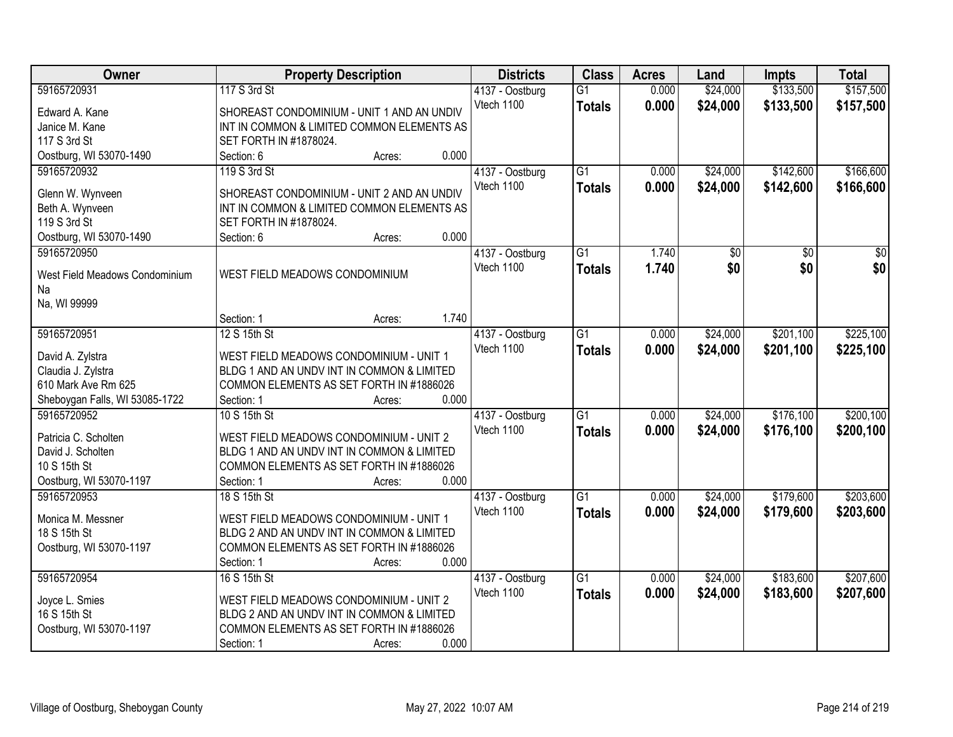| Owner                          | <b>Property Description</b>                | <b>Districts</b> | <b>Class</b>    | <b>Acres</b> | Land     | <b>Impts</b> | <b>Total</b> |
|--------------------------------|--------------------------------------------|------------------|-----------------|--------------|----------|--------------|--------------|
| 59165720931                    | 117 S 3rd St                               | 4137 - Oostburg  | $\overline{G1}$ | 0.000        | \$24,000 | \$133,500    | \$157,500    |
| Edward A. Kane                 | SHOREAST CONDOMINIUM - UNIT 1 AND AN UNDIV | Vtech 1100       | <b>Totals</b>   | 0.000        | \$24,000 | \$133,500    | \$157,500    |
| Janice M. Kane                 | INT IN COMMON & LIMITED COMMON ELEMENTS AS |                  |                 |              |          |              |              |
| 117 S 3rd St                   | SET FORTH IN #1878024.                     |                  |                 |              |          |              |              |
| Oostburg, WI 53070-1490        | 0.000<br>Section: 6<br>Acres:              |                  |                 |              |          |              |              |
| 59165720932                    | 119 S 3rd St                               | 4137 - Oostburg  | $\overline{G1}$ | 0.000        | \$24,000 | \$142,600    | \$166,600    |
|                                |                                            | Vtech 1100       | <b>Totals</b>   | 0.000        | \$24,000 | \$142,600    | \$166,600    |
| Glenn W. Wynveen               | SHOREAST CONDOMINIUM - UNIT 2 AND AN UNDIV |                  |                 |              |          |              |              |
| Beth A. Wynveen                | INT IN COMMON & LIMITED COMMON ELEMENTS AS |                  |                 |              |          |              |              |
| 119 S 3rd St                   | SET FORTH IN #1878024.                     |                  |                 |              |          |              |              |
| Oostburg, WI 53070-1490        | 0.000<br>Section: 6<br>Acres:              |                  |                 |              |          |              |              |
| 59165720950                    |                                            | 4137 - Oostburg  | G1              | 1.740        | \$0      | \$0          | \$0          |
| West Field Meadows Condominium | WEST FIELD MEADOWS CONDOMINIUM             | Vtech 1100       | <b>Totals</b>   | 1.740        | \$0      | \$0          | \$0          |
| Na                             |                                            |                  |                 |              |          |              |              |
| Na, WI 99999                   |                                            |                  |                 |              |          |              |              |
|                                | 1.740<br>Section: 1<br>Acres:              |                  |                 |              |          |              |              |
| 59165720951                    | 12 S 15th St                               | 4137 - Oostburg  | G1              | 0.000        | \$24,000 | \$201,100    | \$225,100    |
|                                |                                            | Vtech 1100       | <b>Totals</b>   | 0.000        | \$24,000 | \$201,100    | \$225,100    |
| David A. Zylstra               | WEST FIELD MEADOWS CONDOMINIUM - UNIT 1    |                  |                 |              |          |              |              |
| Claudia J. Zylstra             | BLDG 1 AND AN UNDV INT IN COMMON & LIMITED |                  |                 |              |          |              |              |
| 610 Mark Ave Rm 625            | COMMON ELEMENTS AS SET FORTH IN #1886026   |                  |                 |              |          |              |              |
| Sheboygan Falls, WI 53085-1722 | 0.000<br>Section: 1<br>Acres:              |                  |                 |              |          |              |              |
| 59165720952                    | 10 S 15th St                               | 4137 - Oostburg  | $\overline{G1}$ | 0.000        | \$24,000 | \$176,100    | \$200,100    |
| Patricia C. Scholten           | WEST FIELD MEADOWS CONDOMINIUM - UNIT 2    | Vtech 1100       | Totals          | 0.000        | \$24,000 | \$176,100    | \$200,100    |
| David J. Scholten              | BLDG 1 AND AN UNDV INT IN COMMON & LIMITED |                  |                 |              |          |              |              |
| 10 S 15th St                   | COMMON ELEMENTS AS SET FORTH IN #1886026   |                  |                 |              |          |              |              |
| Oostburg, WI 53070-1197        | 0.000<br>Section: 1<br>Acres:              |                  |                 |              |          |              |              |
| 59165720953                    | 18 S 15th St                               | 4137 - Oostburg  | $\overline{G1}$ | 0.000        | \$24,000 | \$179,600    | \$203,600    |
| Monica M. Messner              | WEST FIELD MEADOWS CONDOMINIUM - UNIT 1    | Vtech 1100       | <b>Totals</b>   | 0.000        | \$24,000 | \$179,600    | \$203,600    |
| 18 S 15th St                   | BLDG 2 AND AN UNDV INT IN COMMON & LIMITED |                  |                 |              |          |              |              |
| Oostburg, WI 53070-1197        | COMMON ELEMENTS AS SET FORTH IN #1886026   |                  |                 |              |          |              |              |
|                                | 0.000<br>Section: 1<br>Acres:              |                  |                 |              |          |              |              |
| 59165720954                    | 16 S 15th St                               | 4137 - Oostburg  | $\overline{G1}$ | 0.000        | \$24,000 | \$183,600    | \$207,600    |
|                                |                                            | Vtech 1100       |                 |              |          |              |              |
| Joyce L. Smies                 | WEST FIELD MEADOWS CONDOMINIUM - UNIT 2    |                  | <b>Totals</b>   | 0.000        | \$24,000 | \$183,600    | \$207,600    |
| 16 S 15th St                   | BLDG 2 AND AN UNDV INT IN COMMON & LIMITED |                  |                 |              |          |              |              |
| Oostburg, WI 53070-1197        | COMMON ELEMENTS AS SET FORTH IN #1886026   |                  |                 |              |          |              |              |
|                                | 0.000<br>Section: 1<br>Acres:              |                  |                 |              |          |              |              |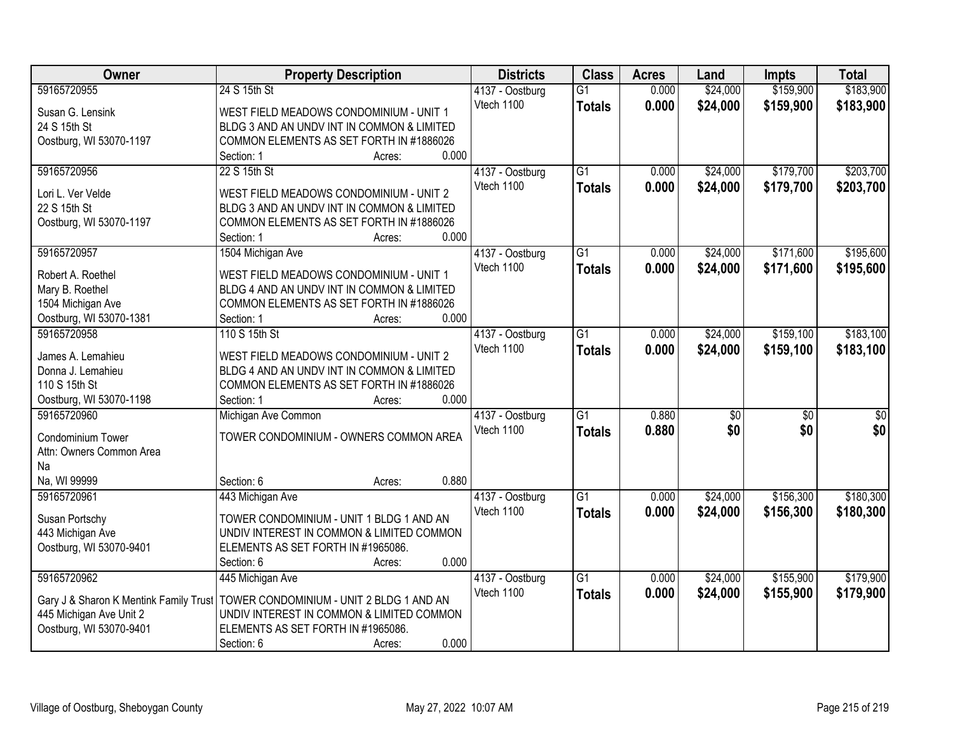| Owner                                         | <b>Property Description</b>                | <b>Districts</b> | <b>Class</b>    | <b>Acres</b> | Land     | <b>Impts</b>    | <b>Total</b>    |
|-----------------------------------------------|--------------------------------------------|------------------|-----------------|--------------|----------|-----------------|-----------------|
| 59165720955                                   | 24 S 15th St                               | 4137 - Oostburg  | $\overline{G1}$ | 0.000        | \$24,000 | \$159,900       | \$183,900       |
| Susan G. Lensink                              | WEST FIELD MEADOWS CONDOMINIUM - UNIT 1    | Vtech 1100       | <b>Totals</b>   | 0.000        | \$24,000 | \$159,900       | \$183,900       |
| 24 S 15th St                                  | BLDG 3 AND AN UNDV INT IN COMMON & LIMITED |                  |                 |              |          |                 |                 |
| Oostburg, WI 53070-1197                       | COMMON ELEMENTS AS SET FORTH IN #1886026   |                  |                 |              |          |                 |                 |
|                                               | 0.000<br>Section: 1<br>Acres:              |                  |                 |              |          |                 |                 |
| 59165720956                                   | 22 S 15th St                               | 4137 - Oostburg  | $\overline{G1}$ | 0.000        | \$24,000 | \$179,700       | \$203,700       |
|                                               |                                            | Vtech 1100       | <b>Totals</b>   | 0.000        | \$24,000 | \$179,700       | \$203,700       |
| Lori L. Ver Velde                             | WEST FIELD MEADOWS CONDOMINIUM - UNIT 2    |                  |                 |              |          |                 |                 |
| 22 S 15th St                                  | BLDG 3 AND AN UNDV INT IN COMMON & LIMITED |                  |                 |              |          |                 |                 |
| Oostburg, WI 53070-1197                       | COMMON ELEMENTS AS SET FORTH IN #1886026   |                  |                 |              |          |                 |                 |
|                                               | 0.000<br>Section: 1<br>Acres:              |                  |                 |              |          |                 |                 |
| 59165720957                                   | 1504 Michigan Ave                          | 4137 - Oostburg  | $\overline{G1}$ | 0.000        | \$24,000 | \$171,600       | \$195,600       |
| Robert A. Roethel                             | WEST FIELD MEADOWS CONDOMINIUM - UNIT 1    | Vtech 1100       | <b>Totals</b>   | 0.000        | \$24,000 | \$171,600       | \$195,600       |
| Mary B. Roethel                               | BLDG 4 AND AN UNDV INT IN COMMON & LIMITED |                  |                 |              |          |                 |                 |
| 1504 Michigan Ave                             | COMMON ELEMENTS AS SET FORTH IN #1886026   |                  |                 |              |          |                 |                 |
| Oostburg, WI 53070-1381                       | 0.000<br>Section: 1<br>Acres:              |                  |                 |              |          |                 |                 |
| 59165720958                                   | 110 S 15th St                              | 4137 - Oostburg  | $\overline{G1}$ | 0.000        | \$24,000 | \$159,100       | \$183,100       |
|                                               |                                            | Vtech 1100       |                 | 0.000        | \$24,000 | \$159,100       | \$183,100       |
| James A. Lemahieu                             | WEST FIELD MEADOWS CONDOMINIUM - UNIT 2    |                  | <b>Totals</b>   |              |          |                 |                 |
| Donna J. Lemahieu                             | BLDG 4 AND AN UNDV INT IN COMMON & LIMITED |                  |                 |              |          |                 |                 |
| 110 S 15th St                                 | COMMON ELEMENTS AS SET FORTH IN #1886026   |                  |                 |              |          |                 |                 |
| Oostburg, WI 53070-1198                       | 0.000<br>Section: 1<br>Acres:              |                  |                 |              |          |                 |                 |
| 59165720960                                   | Michigan Ave Common                        | 4137 - Oostburg  | $\overline{G1}$ | 0.880        | \$0      | $\overline{30}$ | $\overline{50}$ |
|                                               | TOWER CONDOMINIUM - OWNERS COMMON AREA     | Vtech 1100       | <b>Totals</b>   | 0.880        | \$0      | \$0             | \$0             |
| Condominium Tower<br>Attn: Owners Common Area |                                            |                  |                 |              |          |                 |                 |
| Na                                            |                                            |                  |                 |              |          |                 |                 |
| Na, WI 99999                                  | 0.880<br>Section: 6                        |                  |                 |              |          |                 |                 |
|                                               | Acres:                                     |                  |                 |              |          |                 |                 |
| 59165720961                                   | 443 Michigan Ave                           | 4137 - Oostburg  | $\overline{G1}$ | 0.000        | \$24,000 | \$156,300       | \$180,300       |
| Susan Portschy                                | TOWER CONDOMINIUM - UNIT 1 BLDG 1 AND AN   | Vtech 1100       | <b>Totals</b>   | 0.000        | \$24,000 | \$156,300       | \$180,300       |
| 443 Michigan Ave                              | UNDIV INTEREST IN COMMON & LIMITED COMMON  |                  |                 |              |          |                 |                 |
| Oostburg, WI 53070-9401                       | ELEMENTS AS SET FORTH IN #1965086.         |                  |                 |              |          |                 |                 |
|                                               | 0.000<br>Section: 6<br>Acres:              |                  |                 |              |          |                 |                 |
| 59165720962                                   | 445 Michigan Ave                           | 4137 - Oostburg  | $\overline{G1}$ | 0.000        | \$24,000 | \$155,900       | \$179,900       |
|                                               |                                            | Vtech 1100       | <b>Totals</b>   | 0.000        | \$24,000 | \$155,900       | \$179,900       |
| Gary J & Sharon K Mentink Family Trust        | TOWER CONDOMINIUM - UNIT 2 BLDG 1 AND AN   |                  |                 |              |          |                 |                 |
| 445 Michigan Ave Unit 2                       | UNDIV INTEREST IN COMMON & LIMITED COMMON  |                  |                 |              |          |                 |                 |
| Oostburg, WI 53070-9401                       | ELEMENTS AS SET FORTH IN #1965086.         |                  |                 |              |          |                 |                 |
|                                               | 0.000<br>Section: 6<br>Acres:              |                  |                 |              |          |                 |                 |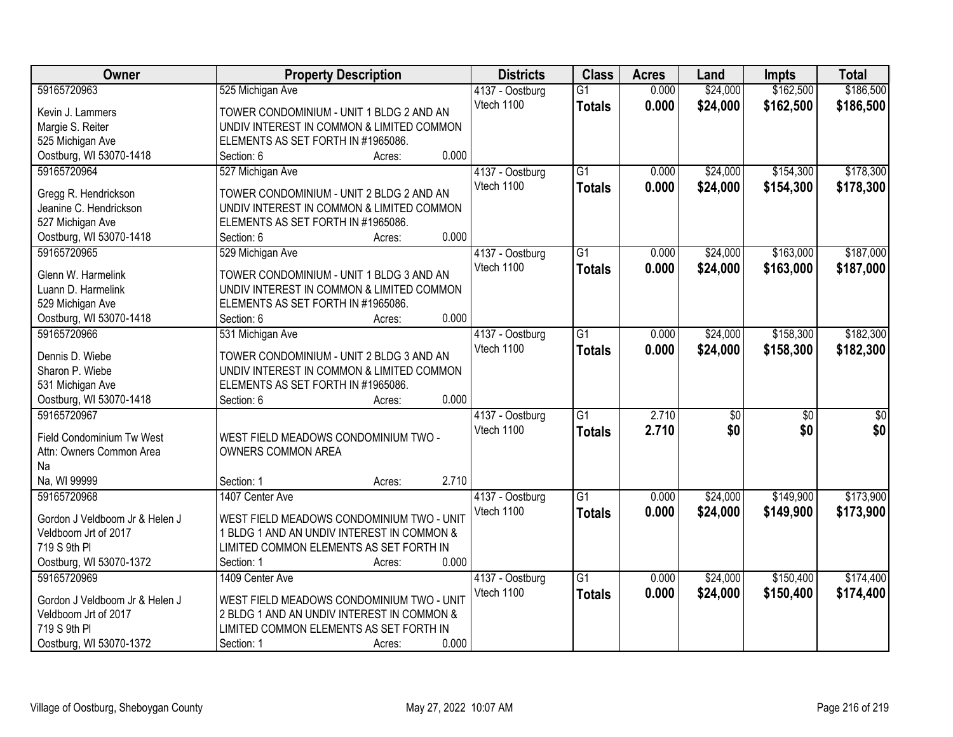| <b>Owner</b>                           | <b>Property Description</b>                | <b>Districts</b> | <b>Class</b>    | <b>Acres</b> | Land     | <b>Impts</b>    | <b>Total</b> |
|----------------------------------------|--------------------------------------------|------------------|-----------------|--------------|----------|-----------------|--------------|
| 59165720963                            | 525 Michigan Ave                           | 4137 - Oostburg  | $\overline{G1}$ | 0.000        | \$24,000 | \$162,500       | \$186,500    |
| Kevin J. Lammers                       | TOWER CONDOMINIUM - UNIT 1 BLDG 2 AND AN   | Vtech 1100       | <b>Totals</b>   | 0.000        | \$24,000 | \$162,500       | \$186,500    |
| Margie S. Reiter                       | UNDIV INTEREST IN COMMON & LIMITED COMMON  |                  |                 |              |          |                 |              |
| 525 Michigan Ave                       | ELEMENTS AS SET FORTH IN #1965086.         |                  |                 |              |          |                 |              |
| Oostburg, WI 53070-1418                | 0.000<br>Section: 6<br>Acres:              |                  |                 |              |          |                 |              |
| 59165720964                            | 527 Michigan Ave                           | 4137 - Oostburg  | $\overline{G1}$ | 0.000        | \$24,000 | \$154,300       | \$178,300    |
|                                        |                                            | Vtech 1100       | <b>Totals</b>   | 0.000        | \$24,000 | \$154,300       | \$178,300    |
| Gregg R. Hendrickson                   | TOWER CONDOMINIUM - UNIT 2 BLDG 2 AND AN   |                  |                 |              |          |                 |              |
| Jeanine C. Hendrickson                 | UNDIV INTEREST IN COMMON & LIMITED COMMON  |                  |                 |              |          |                 |              |
| 527 Michigan Ave                       | ELEMENTS AS SET FORTH IN #1965086.         |                  |                 |              |          |                 |              |
| Oostburg, WI 53070-1418                | 0.000<br>Section: 6<br>Acres:              |                  |                 |              |          |                 |              |
| 59165720965                            | 529 Michigan Ave                           | 4137 - Oostburg  | $\overline{G1}$ | 0.000        | \$24,000 | \$163,000       | \$187,000    |
| Glenn W. Harmelink                     | TOWER CONDOMINIUM - UNIT 1 BLDG 3 AND AN   | Vtech 1100       | <b>Totals</b>   | 0.000        | \$24,000 | \$163,000       | \$187,000    |
| Luann D. Harmelink                     | UNDIV INTEREST IN COMMON & LIMITED COMMON  |                  |                 |              |          |                 |              |
| 529 Michigan Ave                       | ELEMENTS AS SET FORTH IN #1965086.         |                  |                 |              |          |                 |              |
|                                        | 0.000                                      |                  |                 |              |          |                 |              |
| Oostburg, WI 53070-1418<br>59165720966 | Section: 6<br>Acres:                       |                  |                 |              |          |                 |              |
|                                        | 531 Michigan Ave                           | 4137 - Oostburg  | $\overline{G1}$ | 0.000        | \$24,000 | \$158,300       | \$182,300    |
| Dennis D. Wiebe                        | TOWER CONDOMINIUM - UNIT 2 BLDG 3 AND AN   | Vtech 1100       | <b>Totals</b>   | 0.000        | \$24,000 | \$158,300       | \$182,300    |
| Sharon P. Wiebe                        | UNDIV INTEREST IN COMMON & LIMITED COMMON  |                  |                 |              |          |                 |              |
| 531 Michigan Ave                       | ELEMENTS AS SET FORTH IN #1965086.         |                  |                 |              |          |                 |              |
| Oostburg, WI 53070-1418                | 0.000<br>Section: 6<br>Acres:              |                  |                 |              |          |                 |              |
| 59165720967                            |                                            | 4137 - Oostburg  | $\overline{G1}$ | 2.710        | \$0      | $\overline{50}$ | \$0          |
|                                        |                                            | Vtech 1100       | <b>Totals</b>   | 2.710        | \$0      | \$0             | \$0          |
| Field Condominium Tw West              | WEST FIELD MEADOWS CONDOMINIUM TWO -       |                  |                 |              |          |                 |              |
| Attn: Owners Common Area               | OWNERS COMMON AREA                         |                  |                 |              |          |                 |              |
| Na                                     |                                            |                  |                 |              |          |                 |              |
| Na, WI 99999                           | 2.710<br>Section: 1<br>Acres:              |                  |                 |              |          |                 |              |
| 59165720968                            | 1407 Center Ave                            | 4137 - Oostburg  | $\overline{G1}$ | 0.000        | \$24,000 | \$149,900       | \$173,900    |
| Gordon J Veldboom Jr & Helen J         | WEST FIELD MEADOWS CONDOMINIUM TWO - UNIT  | Vtech 1100       | <b>Totals</b>   | 0.000        | \$24,000 | \$149,900       | \$173,900    |
| Veldboom Jrt of 2017                   | 1 BLDG 1 AND AN UNDIV INTEREST IN COMMON & |                  |                 |              |          |                 |              |
| 719 S 9th PI                           | LIMITED COMMON ELEMENTS AS SET FORTH IN    |                  |                 |              |          |                 |              |
| Oostburg, WI 53070-1372                | 0.000<br>Section: 1<br>Acres:              |                  |                 |              |          |                 |              |
| 59165720969                            | 1409 Center Ave                            | 4137 - Oostburg  | $\overline{G1}$ | 0.000        | \$24,000 | \$150,400       | \$174,400    |
|                                        |                                            |                  |                 |              |          |                 |              |
| Gordon J Veldboom Jr & Helen J         | WEST FIELD MEADOWS CONDOMINIUM TWO - UNIT  | Vtech 1100       | <b>Totals</b>   | 0.000        | \$24,000 | \$150,400       | \$174,400    |
| Veldboom Jrt of 2017                   | 2 BLDG 1 AND AN UNDIV INTEREST IN COMMON & |                  |                 |              |          |                 |              |
| 719 S 9th PI                           | LIMITED COMMON ELEMENTS AS SET FORTH IN    |                  |                 |              |          |                 |              |
| Oostburg, WI 53070-1372                | 0.000<br>Section: 1<br>Acres:              |                  |                 |              |          |                 |              |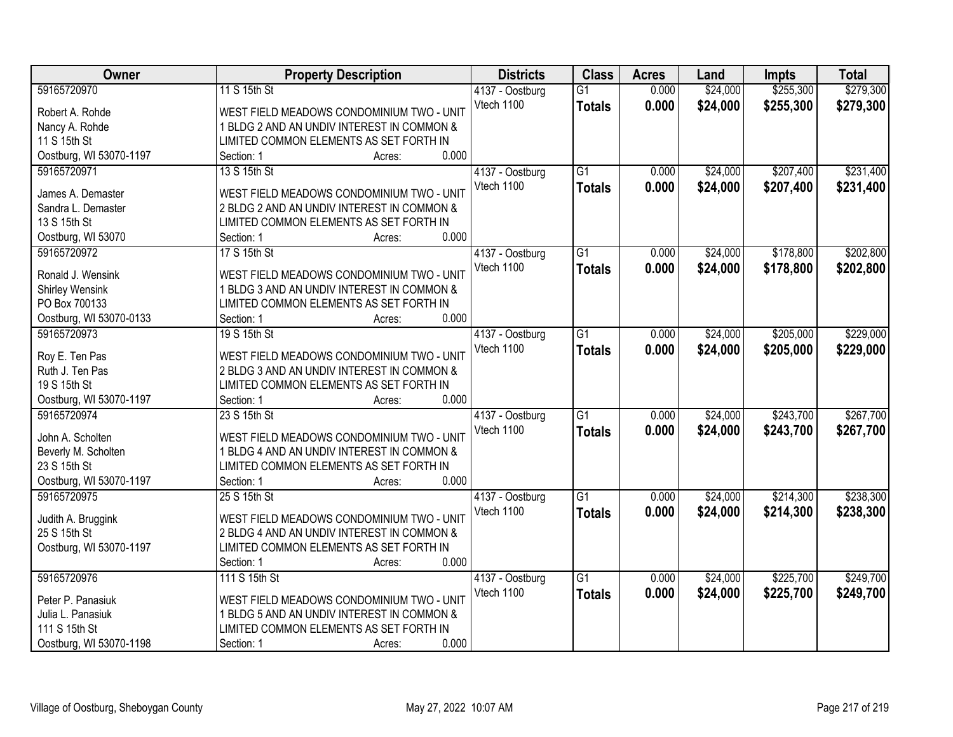| Owner                               | <b>Property Description</b>                                                           | <b>Districts</b> | <b>Class</b>    | <b>Acres</b> | Land     | <b>Impts</b> | <b>Total</b> |
|-------------------------------------|---------------------------------------------------------------------------------------|------------------|-----------------|--------------|----------|--------------|--------------|
| 59165720970                         | 11 S 15th St                                                                          | 4137 - Oostburg  | $\overline{G1}$ | 0.000        | \$24,000 | \$255,300    | \$279,300    |
| Robert A. Rohde                     | WEST FIELD MEADOWS CONDOMINIUM TWO - UNIT                                             | Vtech 1100       | <b>Totals</b>   | 0.000        | \$24,000 | \$255,300    | \$279,300    |
| Nancy A. Rohde                      | 1 BLDG 2 AND AN UNDIV INTEREST IN COMMON &                                            |                  |                 |              |          |              |              |
| 11 S 15th St                        | LIMITED COMMON ELEMENTS AS SET FORTH IN                                               |                  |                 |              |          |              |              |
| Oostburg, WI 53070-1197             | 0.000<br>Section: 1<br>Acres:                                                         |                  |                 |              |          |              |              |
| 59165720971                         | 13 S 15th St                                                                          | 4137 - Oostburg  | $\overline{G1}$ | 0.000        | \$24,000 | \$207,400    | \$231,400    |
|                                     |                                                                                       | Vtech 1100       | <b>Totals</b>   | 0.000        | \$24,000 | \$207,400    | \$231,400    |
| James A. Demaster                   | WEST FIELD MEADOWS CONDOMINIUM TWO - UNIT                                             |                  |                 |              |          |              |              |
| Sandra L. Demaster                  | 2 BLDG 2 AND AN UNDIV INTEREST IN COMMON &                                            |                  |                 |              |          |              |              |
| 13 S 15th St                        | LIMITED COMMON ELEMENTS AS SET FORTH IN                                               |                  |                 |              |          |              |              |
| Oostburg, WI 53070                  | 0.000<br>Section: 1<br>Acres:                                                         |                  |                 |              |          |              |              |
| 59165720972                         | 17 S 15th St                                                                          | 4137 - Oostburg  | $\overline{G1}$ | 0.000        | \$24,000 | \$178,800    | \$202,800    |
| Ronald J. Wensink                   | WEST FIELD MEADOWS CONDOMINIUM TWO - UNIT                                             | Vtech 1100       | <b>Totals</b>   | 0.000        | \$24,000 | \$178,800    | \$202,800    |
| Shirley Wensink                     | 1 BLDG 3 AND AN UNDIV INTEREST IN COMMON &                                            |                  |                 |              |          |              |              |
| PO Box 700133                       | LIMITED COMMON ELEMENTS AS SET FORTH IN                                               |                  |                 |              |          |              |              |
| Oostburg, WI 53070-0133             | 0.000<br>Section: 1<br>Acres:                                                         |                  |                 |              |          |              |              |
| 59165720973                         | 19 S 15th St                                                                          | 4137 - Oostburg  | $\overline{G1}$ | 0.000        | \$24,000 | \$205,000    | \$229,000    |
|                                     |                                                                                       | Vtech 1100       |                 | 0.000        | \$24,000 | \$205,000    |              |
| Roy E. Ten Pas                      | WEST FIELD MEADOWS CONDOMINIUM TWO - UNIT                                             |                  | <b>Totals</b>   |              |          |              | \$229,000    |
| Ruth J. Ten Pas                     | 2 BLDG 3 AND AN UNDIV INTEREST IN COMMON &                                            |                  |                 |              |          |              |              |
| 19 S 15th St                        | LIMITED COMMON ELEMENTS AS SET FORTH IN                                               |                  |                 |              |          |              |              |
| Oostburg, WI 53070-1197             | 0.000<br>Section: 1<br>Acres:                                                         |                  |                 |              |          |              |              |
| 59165720974                         | 23 S 15th St                                                                          | 4137 - Oostburg  | $\overline{G1}$ | 0.000        | \$24,000 | \$243,700    | \$267,700    |
| John A. Scholten                    | WEST FIELD MEADOWS CONDOMINIUM TWO - UNIT                                             | Vtech 1100       | <b>Totals</b>   | 0.000        | \$24,000 | \$243,700    | \$267,700    |
|                                     |                                                                                       |                  |                 |              |          |              |              |
| Beverly M. Scholten<br>23 S 15th St | 1 BLDG 4 AND AN UNDIV INTEREST IN COMMON &<br>LIMITED COMMON ELEMENTS AS SET FORTH IN |                  |                 |              |          |              |              |
|                                     | 0.000                                                                                 |                  |                 |              |          |              |              |
| Oostburg, WI 53070-1197             | Section: 1<br>Acres:                                                                  |                  |                 |              |          |              |              |
| 59165720975                         | 25 S 15th St                                                                          | 4137 - Oostburg  | $\overline{G1}$ | 0.000        | \$24,000 | \$214,300    | \$238,300    |
| Judith A. Bruggink                  | WEST FIELD MEADOWS CONDOMINIUM TWO - UNIT                                             | Vtech 1100       | <b>Totals</b>   | 0.000        | \$24,000 | \$214,300    | \$238,300    |
| 25 S 15th St                        | 2 BLDG 4 AND AN UNDIV INTEREST IN COMMON &                                            |                  |                 |              |          |              |              |
| Oostburg, WI 53070-1197             | LIMITED COMMON ELEMENTS AS SET FORTH IN                                               |                  |                 |              |          |              |              |
|                                     | 0.000<br>Section: 1<br>Acres:                                                         |                  |                 |              |          |              |              |
| 59165720976                         | 111 S 15th St                                                                         | 4137 - Oostburg  | $\overline{G1}$ | 0.000        | \$24,000 | \$225,700    | \$249,700    |
|                                     |                                                                                       | Vtech 1100       | <b>Totals</b>   | 0.000        | \$24,000 | \$225,700    | \$249,700    |
| Peter P. Panasiuk                   | WEST FIELD MEADOWS CONDOMINIUM TWO - UNIT                                             |                  |                 |              |          |              |              |
| Julia L. Panasiuk                   | 1 BLDG 5 AND AN UNDIV INTEREST IN COMMON &                                            |                  |                 |              |          |              |              |
| 111 S 15th St                       | LIMITED COMMON ELEMENTS AS SET FORTH IN                                               |                  |                 |              |          |              |              |
| Oostburg, WI 53070-1198             | 0.000<br>Section: 1<br>Acres:                                                         |                  |                 |              |          |              |              |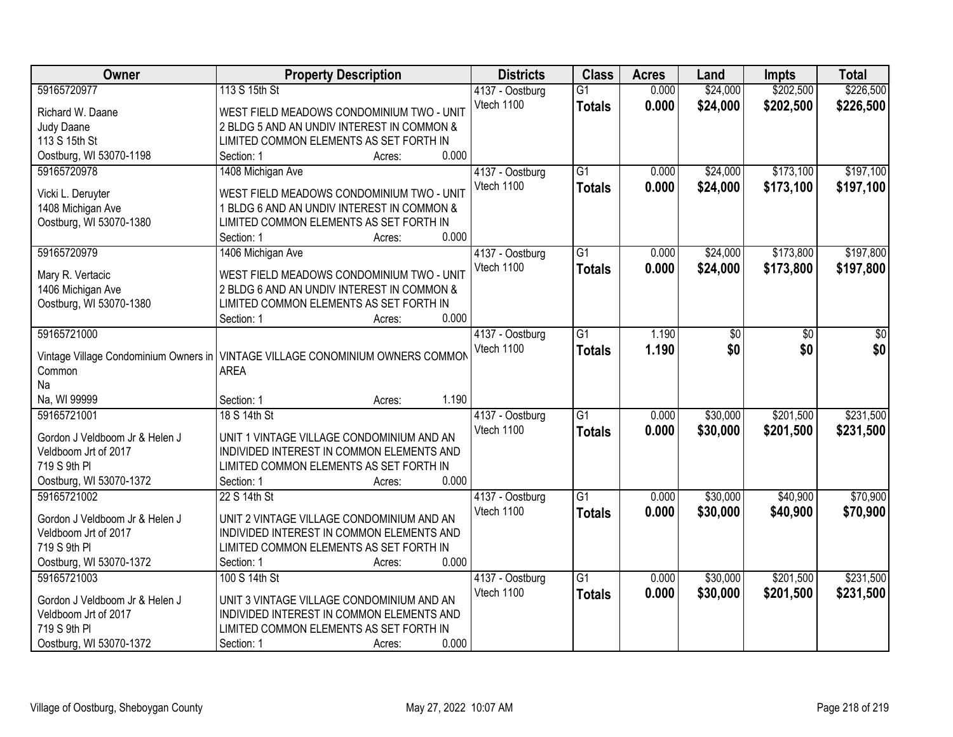| Owner                                 | <b>Property Description</b>                                                          | <b>Districts</b> | <b>Class</b>    | <b>Acres</b> | Land     | <b>Impts</b> | <b>Total</b> |
|---------------------------------------|--------------------------------------------------------------------------------------|------------------|-----------------|--------------|----------|--------------|--------------|
| 59165720977                           | 113 S 15th St                                                                        | 4137 - Oostburg  | $\overline{G1}$ | 0.000        | \$24,000 | \$202,500    | \$226,500    |
| Richard W. Daane                      | WEST FIELD MEADOWS CONDOMINIUM TWO - UNIT                                            | Vtech 1100       | <b>Totals</b>   | 0.000        | \$24,000 | \$202,500    | \$226,500    |
| Judy Daane                            | 2 BLDG 5 AND AN UNDIV INTEREST IN COMMON &                                           |                  |                 |              |          |              |              |
| 113 S 15th St                         | LIMITED COMMON ELEMENTS AS SET FORTH IN                                              |                  |                 |              |          |              |              |
| Oostburg, WI 53070-1198               | 0.000<br>Section: 1<br>Acres:                                                        |                  |                 |              |          |              |              |
| 59165720978                           | 1408 Michigan Ave                                                                    | 4137 - Oostburg  | $\overline{G1}$ | 0.000        | \$24,000 | \$173,100    | \$197,100    |
|                                       |                                                                                      | Vtech 1100       | <b>Totals</b>   | 0.000        | \$24,000 | \$173,100    | \$197,100    |
| Vicki L. Deruyter                     | WEST FIELD MEADOWS CONDOMINIUM TWO - UNIT                                            |                  |                 |              |          |              |              |
| 1408 Michigan Ave                     | 1 BLDG 6 AND AN UNDIV INTEREST IN COMMON &                                           |                  |                 |              |          |              |              |
| Oostburg, WI 53070-1380               | LIMITED COMMON ELEMENTS AS SET FORTH IN                                              |                  |                 |              |          |              |              |
|                                       | 0.000<br>Section: 1<br>Acres:                                                        |                  |                 |              |          |              |              |
| 59165720979                           | 1406 Michigan Ave                                                                    | 4137 - Oostburg  | $\overline{G1}$ | 0.000        | \$24,000 | \$173,800    | \$197,800    |
| Mary R. Vertacic                      | WEST FIELD MEADOWS CONDOMINIUM TWO - UNIT                                            | Vtech 1100       | <b>Totals</b>   | 0.000        | \$24,000 | \$173,800    | \$197,800    |
| 1406 Michigan Ave                     | 2 BLDG 6 AND AN UNDIV INTEREST IN COMMON &                                           |                  |                 |              |          |              |              |
| Oostburg, WI 53070-1380               | LIMITED COMMON ELEMENTS AS SET FORTH IN                                              |                  |                 |              |          |              |              |
|                                       | 0.000<br>Section: 1<br>Acres:                                                        |                  |                 |              |          |              |              |
| 59165721000                           |                                                                                      | 4137 - Oostburg  | $\overline{G1}$ | 1.190        | \$0      | \$0          | \$0          |
|                                       |                                                                                      | Vtech 1100       | <b>Totals</b>   | 1.190        | \$0      | \$0          | \$0          |
| Vintage Village Condominium Owners in | VINTAGE VILLAGE CONOMINIUM OWNERS COMMON                                             |                  |                 |              |          |              |              |
| Common                                | <b>AREA</b>                                                                          |                  |                 |              |          |              |              |
| Na                                    |                                                                                      |                  |                 |              |          |              |              |
| Na, WI 99999                          | 1.190<br>Section: 1<br>Acres:                                                        |                  |                 |              |          |              |              |
| 59165721001                           | 18 S 14th St                                                                         | 4137 - Oostburg  | $\overline{G1}$ | 0.000        | \$30,000 | \$201,500    | \$231,500    |
| Gordon J Veldboom Jr & Helen J        | UNIT 1 VINTAGE VILLAGE CONDOMINIUM AND AN                                            | Vtech 1100       | <b>Totals</b>   | 0.000        | \$30,000 | \$201,500    | \$231,500    |
| Veldboom Jrt of 2017                  | INDIVIDED INTEREST IN COMMON ELEMENTS AND                                            |                  |                 |              |          |              |              |
| 719 S 9th PI                          | LIMITED COMMON ELEMENTS AS SET FORTH IN                                              |                  |                 |              |          |              |              |
| Oostburg, WI 53070-1372               | 0.000<br>Section: 1<br>Acres:                                                        |                  |                 |              |          |              |              |
| 59165721002                           | 22 S 14th St                                                                         | 4137 - Oostburg  | $\overline{G1}$ | 0.000        | \$30,000 | \$40,900     | \$70,900     |
|                                       |                                                                                      | Vtech 1100       |                 |              |          |              |              |
| Gordon J Veldboom Jr & Helen J        | UNIT 2 VINTAGE VILLAGE CONDOMINIUM AND AN                                            |                  | <b>Totals</b>   | 0.000        | \$30,000 | \$40,900     | \$70,900     |
| Veldboom Jrt of 2017                  | INDIVIDED INTEREST IN COMMON ELEMENTS AND                                            |                  |                 |              |          |              |              |
| 719 S 9th PI                          | LIMITED COMMON ELEMENTS AS SET FORTH IN                                              |                  |                 |              |          |              |              |
| Oostburg, WI 53070-1372               | 0.000<br>Section: 1<br>Acres:                                                        |                  |                 |              |          |              |              |
| 59165721003                           | 100 S 14th St                                                                        | 4137 - Oostburg  | $\overline{G1}$ | 0.000        | \$30,000 | \$201,500    | \$231,500    |
| Gordon J Veldboom Jr & Helen J        |                                                                                      | Vtech 1100       | <b>Totals</b>   | 0.000        | \$30,000 | \$201,500    | \$231,500    |
|                                       | UNIT 3 VINTAGE VILLAGE CONDOMINIUM AND AN                                            |                  |                 |              |          |              |              |
| Veldboom Jrt of 2017<br>719 S 9th PI  | INDIVIDED INTEREST IN COMMON ELEMENTS AND<br>LIMITED COMMON ELEMENTS AS SET FORTH IN |                  |                 |              |          |              |              |
|                                       | 0.000                                                                                |                  |                 |              |          |              |              |
| Oostburg, WI 53070-1372               | Section: 1<br>Acres:                                                                 |                  |                 |              |          |              |              |